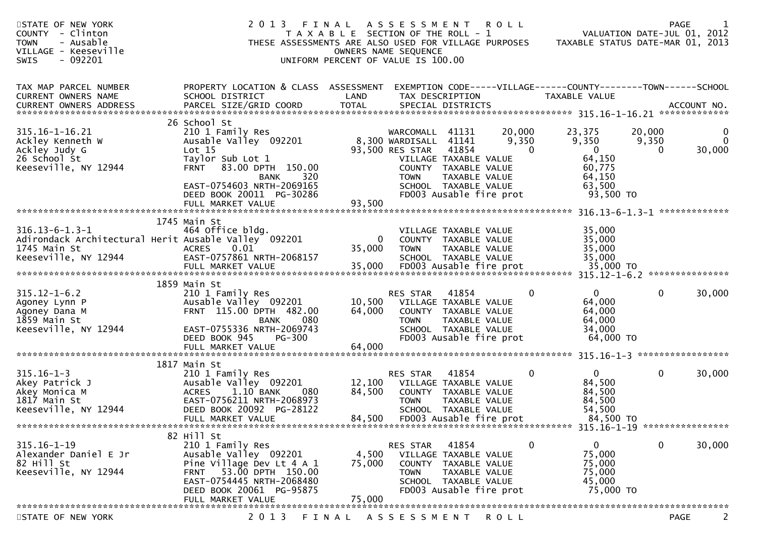| STATE OF NEW YORK<br>COUNTY - Clinton<br><b>TOWN</b><br>- Ausable<br>VILLAGE - Keeseville<br>$-092201$<br>SWIS                                                  | 2013<br>THESE ASSESSMENTS ARE ALSO USED FOR VILLAGE PURPOSES                                                                                                                               | FINAL<br>T A X A B L E SECTION OF THE ROLL - 1<br>UNIFORM PERCENT OF VALUE IS 100.00 | A S S E S S M E N T<br>OWNERS NAME SEQUENCE                                |                                                                                                                            | <b>ROLL</b>                 | TAXABLE STATUS DATE-MAR 01, 2013                                                 |                      | <b>PAGE</b><br>VALUATION DATE-JUL 01, 2012 |
|-----------------------------------------------------------------------------------------------------------------------------------------------------------------|--------------------------------------------------------------------------------------------------------------------------------------------------------------------------------------------|--------------------------------------------------------------------------------------|----------------------------------------------------------------------------|----------------------------------------------------------------------------------------------------------------------------|-----------------------------|----------------------------------------------------------------------------------|----------------------|--------------------------------------------|
| TAX MAP PARCEL NUMBER<br>CURRENT OWNERS NAME<br>.CURRENT OWNERS ADDRESS PARCEL SIZE/GRID COORD TOTAL SPECIAL DISTRICTS ACCOUNT NO ACCOUNT NO ACCOUNT NO ACCOUNT | PROPERTY LOCATION & CLASS ASSESSMENT<br>SCHOOL DISTRICT                                                                                                                                    | LAND                                                                                 | TAX DESCRIPTION                                                            |                                                                                                                            |                             | EXEMPTION CODE-----VILLAGE------COUNTY--------TOWN------SCHOOL<br>TAXABLE VALUE  |                      |                                            |
|                                                                                                                                                                 | 26 School St                                                                                                                                                                               |                                                                                      |                                                                            |                                                                                                                            |                             |                                                                                  |                      |                                            |
| $315.16 - 1 - 16.21$<br>Ackley Kenneth W<br>Ackley Judy G<br>26 School St<br>Keeseville, NY 12944                                                               | 210 1 Family Res<br>Ausable Valley 092201<br>Lot 15<br>Taylor Sub Lot 1<br><b>FRNT</b><br>83.00 DPTH 150.00<br>320<br><b>BANK</b><br>EAST-0754603 NRTH-2069165<br>DEED BOOK 20011 PG-30286 |                                                                                      | WARCOMALL 41131<br>8,300 WARDISALL 41141<br>93,500 RES STAR<br><b>TOWN</b> | 41854<br>VILLAGE TAXABLE VALUE<br>COUNTY TAXABLE VALUE<br>TAXABLE VALUE<br>SCHOOL TAXABLE VALUE<br>FD003 Ausable fire prot | 20,000<br>9,350<br>$\Omega$ | 23,375<br>9,350<br>$\Omega$<br>64,150<br>60,775<br>64,150<br>63,500<br>93,500 TO | 20,000<br>9,350<br>0 | 0<br>$\mathbf{0}$<br>30,000                |
|                                                                                                                                                                 | FULL MARKET VALUE                                                                                                                                                                          | 93,500                                                                               |                                                                            |                                                                                                                            |                             |                                                                                  |                      |                                            |
|                                                                                                                                                                 |                                                                                                                                                                                            |                                                                                      |                                                                            |                                                                                                                            |                             |                                                                                  |                      |                                            |
| $316.13 - 6 - 1.3 - 1$<br>Adirondack Architectural Herit Ausable Valley 092201<br>1745 Main St<br>Keeseville, NY 12944                                          | 1745 Main St<br>464 Office bldg.<br><b>ACRES</b><br>0.01<br>EAST-0757861 NRTH-2068157                                                                                                      | $\overline{0}$<br>35,000                                                             | <b>TOWN</b>                                                                | VILLAGE TAXABLE VALUE<br>COUNTY TAXABLE VALUE<br>TAXABLE VALUE<br>SCHOOL TAXABLE VALUE                                     |                             | 35,000<br>35,000<br>35,000<br>35,000                                             |                      |                                            |
|                                                                                                                                                                 | 1859 Main St                                                                                                                                                                               |                                                                                      |                                                                            |                                                                                                                            |                             |                                                                                  |                      |                                            |
| $315.12 - 1 - 6.2$<br>Agoney Lynn P<br>Agoney Dana M<br>1859 Main St<br>Keeseville, NY 12944                                                                    | 210 1 Family Res<br>Ausable Valley 092201<br>FRNT 115.00 DPTH 482.00<br><b>BANK</b><br>080<br>EAST-0755336 NRTH-2069743<br><b>PG-300</b><br>DEED BOOK 945                                  | 10,500<br>64,000                                                                     | RES STAR<br><b>TOWN</b>                                                    | 41854<br>VILLAGE TAXABLE VALUE<br>COUNTY TAXABLE VALUE<br>TAXABLE VALUE<br>SCHOOL TAXABLE VALUE<br>FD003 Ausable fire prot | $\mathbf{0}$                | $\mathbf{0}$<br>64,000<br>64,000<br>64,000<br>34,000<br>64,000 TO                | $\mathbf{0}$         | 30,000                                     |
|                                                                                                                                                                 | FULL MARKET VALUE                                                                                                                                                                          | 64,000                                                                               |                                                                            |                                                                                                                            |                             |                                                                                  |                      |                                            |
| $315.16 - 1 - 3$<br>Akey Patrick J<br>Akey Monica M<br>1817 Main St<br>Keeseville, NY 12944                                                                     | 1817 Main St<br>210 1 Family Res<br>Ausable Valley 092201<br>1.10 BANK<br><b>ACRES</b><br>080<br>EAST-0756211 NRTH-2068973<br>DEED BOOK 20092 PG-28122<br>FULL MARKET VALUE                | 12,100<br>84,500<br>84,500                                                           | RES STAR<br><b>TOWN</b>                                                    | 41854<br>VILLAGE TAXABLE VALUE<br>COUNTY TAXABLE VALUE<br>TAXABLE VALUE<br>SCHOOL TAXABLE VALUE<br>FD003 Ausable fire prot | 0                           | $\mathbf{0}$<br>84,500<br>84,500<br>84,500<br>54,500<br>84,500 TO                | 0                    | 30,000                                     |
|                                                                                                                                                                 |                                                                                                                                                                                            |                                                                                      |                                                                            |                                                                                                                            |                             |                                                                                  |                      |                                            |
| $315.16 - 1 - 19$<br>Alexander Daniel E Jr<br>82 Hill St<br>Keeseville, NY 12944                                                                                | 82 Hill St<br>210 1 Family Res<br>Ausable Valley 092201<br>Pine Village Dev Lt 4 A 1<br>53.00 DPTH 150.00<br><b>FRNT</b><br>EAST-0754445 NRTH-2068480<br>DEED BOOK 20061 PG-95875          | 4,500<br>75,000                                                                      | <b>RES STAR</b><br><b>TOWN</b>                                             | 41854<br>VILLAGE TAXABLE VALUE<br>COUNTY TAXABLE VALUE<br>TAXABLE VALUE<br>SCHOOL TAXABLE VALUE<br>FD003 Ausable fire prot | 0                           | $\mathbf{0}$<br>75,000<br>75,000<br>75,000<br>45,000<br>75,000 TO                | 0                    | 30,000                                     |
|                                                                                                                                                                 | FULL MARKET VALUE                                                                                                                                                                          | 75,000                                                                               |                                                                            |                                                                                                                            |                             |                                                                                  |                      |                                            |
| STATE OF NEW YORK                                                                                                                                               | 2 0 1 3                                                                                                                                                                                    | FINAL                                                                                | A S S E S S M E N T                                                        |                                                                                                                            | <b>ROLL</b>                 |                                                                                  |                      | <b>PAGE</b>                                |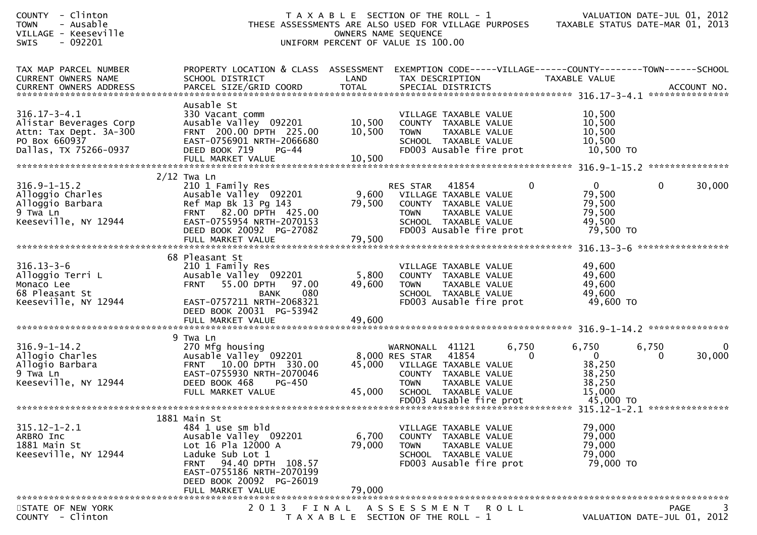| COUNTY - Clinton<br>- Ausable<br><b>TOWN</b><br>VILLAGE - Keeseville<br>SWIS<br>- 092201                         | THESE ASSESSMENTS ARE ALSO USED FOR VILLAGE PURPOSES TAXABLE STATUS DATE-MAR 01, 2013                                                                                                                                 | T A X A B L E SECTION OF THE ROLL - 1<br>UNIFORM PERCENT OF VALUE IS 100.00 | OWNERS NAME SEQUENCE                                                                                                                    |                                                                                          |                       |                                                                                 |                                                         |                   | VALUATION DATE-JUL 01, 2012      |
|------------------------------------------------------------------------------------------------------------------|-----------------------------------------------------------------------------------------------------------------------------------------------------------------------------------------------------------------------|-----------------------------------------------------------------------------|-----------------------------------------------------------------------------------------------------------------------------------------|------------------------------------------------------------------------------------------|-----------------------|---------------------------------------------------------------------------------|---------------------------------------------------------|-------------------|----------------------------------|
| TAX MAP PARCEL NUMBER<br>CURRENT OWNERS NAME                                                                     | PROPERTY LOCATION & CLASS ASSESSMENT<br>SCHOOL DISTRICT                                                                                                                                                               | LAND                                                                        | TAX DESCRIPTION                                                                                                                         |                                                                                          |                       | EXEMPTION CODE-----VILLAGE------COUNTY--------TOWN------SCHOOL<br>TAXABLE VALUE |                                                         |                   |                                  |
| $316.17 - 3 - 4.1$<br>Alistar Beverages Corp<br>Attn: Tax Dept. 3A-300<br>PO Box 660937<br>Dallas, TX 75266-0937 | Ausable St<br>330 Vacant comm<br>Ausable Valley 092201 10,500<br>FRNT 200.00 DPTH 225.00<br>EAST-0756901 NRTH-2066680<br>DEED BOOK 719<br>PG-44                                                                       | 10,500                                                                      | VILLAGE TAXABLE VALUE<br>COUNTY TAXABLE VALUE<br><b>TOWN</b>                                                                            | TAXABLE VALUE<br>SCHOOL TAXABLE VALUE<br>FD003 Ausable fire prot                         |                       | 10,500<br>10,500<br>10,500<br>10,500                                            | 10,500 TO                                               |                   |                                  |
|                                                                                                                  | $2/12$ Twa Ln                                                                                                                                                                                                         |                                                                             |                                                                                                                                         |                                                                                          |                       |                                                                                 |                                                         |                   |                                  |
| $316.9 - 1 - 15.2$<br>Alloggio Charles<br>Alloggio Barbara<br>9 Twa Ln<br>Keeseville, NY 12944                   | 210 1 Family Res<br>Ausable Valley 092201<br>Ref Map Bk 13 Pg 143<br>FRNT 82.00 DPTH 425.00<br>EAST-0755954 NRTH-2070153<br>DEED BOOK 20092 PG-27082                                                                  | 79,500                                                                      | RES STAR 41854<br>9,600 VILLAGE TAXABLE VALUE<br>COUNTY TAXABLE VALUE<br><b>TOWN</b><br>SCHOOL TAXABLE VALUE<br>FD003 Ausable fire prot | TAXABLE VALUE                                                                            | $\mathbf 0$           | 79,500                                                                          | $\mathbf{0}$<br>79,500<br>79,500<br>49,500<br>79,500 TO | $\mathbf{0}$      | 30,000                           |
|                                                                                                                  |                                                                                                                                                                                                                       |                                                                             |                                                                                                                                         |                                                                                          |                       |                                                                                 |                                                         |                   |                                  |
|                                                                                                                  |                                                                                                                                                                                                                       |                                                                             |                                                                                                                                         |                                                                                          |                       |                                                                                 |                                                         | ***************** |                                  |
| $316.13 - 3 - 6$<br>Alloggio Terri L<br>Monaco Lee<br>68 Pleasant St<br>Keeseville, NY 12944                     | 68 Pleasant St<br>210 1 Family Res<br>Ausable Valley 092201<br>55.00 DPTH 97.00<br><b>FRNT</b><br>080<br><b>BANK</b><br>EAST-0757211 NRTH-2068321<br>DEED BOOK 20031 PG-53942<br>FULL MARKET VALUE                    | 5,800<br>49,600<br>49,600                                                   | VILLAGE TAXABLE VALUE<br>COUNTY TAXABLE VALUE<br><b>TOWN</b><br>FD003 Ausable fire prot                                                 | TAXABLE VALUE<br>SCHOOL TAXABLE VALUE                                                    |                       | 49,600<br>49,600<br>49,600                                                      | 49,600<br>49,600 TO                                     |                   |                                  |
|                                                                                                                  |                                                                                                                                                                                                                       |                                                                             |                                                                                                                                         |                                                                                          |                       |                                                                                 |                                                         |                   |                                  |
| $316.9 - 1 - 14.2$<br>Allogio Charles<br>Allogio Barbara<br>9 Twa Ln<br>Keeseville, NY 12944                     | 9 Twa Ln<br>270 Mfg housing<br>Ausable Valley <sup>o</sup> 092201<br>FRNT 10.00 DPTH 330.00<br>EAST-0755930 NRTH-2070046<br>DEED BOOK 468<br>PG-450<br>FULL MARKET VALUE                                              | 45,000                                                                      | WARNONALL 41121<br>8,000 RES STAR<br>45,000 VILLAGE TAXABLE VALUE<br>COUNTY TAXABLE VALUE<br><b>TOWN</b><br>SCHOOL TAXABLE VALUE        | 41854<br>TAXABLE VALUE                                                                   | 6,750<br>$\mathbf{0}$ | 6,750<br>$\overline{0}$<br>15,000                                               | 38,250<br>38,250<br>38,250                              | 6,750<br>$\Omega$ | 0<br>30,000                      |
|                                                                                                                  |                                                                                                                                                                                                                       |                                                                             |                                                                                                                                         | FD003 Ausable fire prot                                                                  |                       |                                                                                 | 45,000 TO                                               |                   |                                  |
|                                                                                                                  |                                                                                                                                                                                                                       |                                                                             |                                                                                                                                         |                                                                                          |                       |                                                                                 |                                                         |                   |                                  |
| $315.12 - 1 - 2.1$<br>ARBRO Inc<br>1881 Main St<br>Keeseville, NY 12944                                          | 1881 Main St<br>484 1 use sm bld<br>Ausable Valley 092201<br>Lot 16 Pla 12000 A<br>Laduke Sub Lot 1<br>94.40 DPTH 108.57<br><b>FRNT</b><br>EAST-0755186 NRTH-2070199<br>DEED BOOK 20092 PG-26019<br>FULL MARKET VALUE | 6,700<br>79,000<br>79,000                                                   | VILLAGE TAXABLE VALUE<br><b>TOWN</b>                                                                                                    | COUNTY TAXABLE VALUE<br>TAXABLE VALUE<br>SCHOOL TAXABLE VALUE<br>FD003 Ausable fire prot |                       | 79,000<br>79,000                                                                | 79,000<br>79,000<br>79,000 TO                           |                   |                                  |
|                                                                                                                  |                                                                                                                                                                                                                       |                                                                             |                                                                                                                                         |                                                                                          |                       |                                                                                 |                                                         |                   |                                  |
| STATE OF NEW YORK<br>COUNTY - Clinton                                                                            | 2 0 1 3                                                                                                                                                                                                               | FINAL<br>T A X A B L E SECTION OF THE ROLL - 1                              | A S S E S S M E N T                                                                                                                     |                                                                                          | ROLL                  |                                                                                 |                                                         | <b>PAGE</b>       | 3<br>VALUATION DATE-JUL 01, 2012 |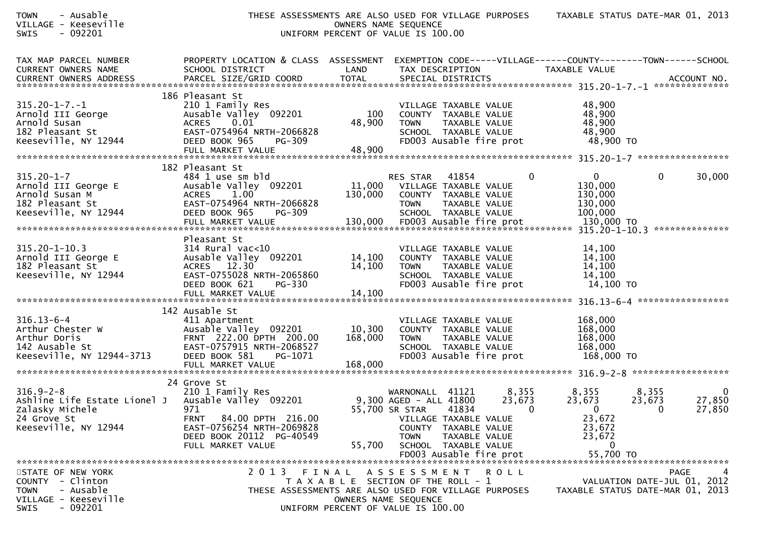| TOWN<br>- Ausable<br>VILLAGE - Keeseville<br>$-092201$<br>SWIS                                                                     | THESE ASSESSMENTS ARE ALSO USED FOR VILLAGE PURPOSES                                                                                                                          | OWNERS NAME SEQUENCE<br>UNIFORM PERCENT OF VALUE IS 100.00                                                   |                                                                            |                                                                                                                            |                             | TAXABLE STATUS DATE-MAR 01, 2013                                                   |                             |                                 |
|------------------------------------------------------------------------------------------------------------------------------------|-------------------------------------------------------------------------------------------------------------------------------------------------------------------------------|--------------------------------------------------------------------------------------------------------------|----------------------------------------------------------------------------|----------------------------------------------------------------------------------------------------------------------------|-----------------------------|------------------------------------------------------------------------------------|-----------------------------|---------------------------------|
| TAX MAP PARCEL NUMBER<br>CURRENT OWNERS NAME                                                                                       | PROPERTY LOCATION & CLASS ASSESSMENT EXEMPTION CODE-----VILLAGE------COUNTY--------TOWN------SCHOOL<br>SCHOOL DISTRICT                                                        | LAND                                                                                                         | TAX DESCRIPTION                                                            |                                                                                                                            |                             | TAXABLE VALUE                                                                      |                             |                                 |
| $315.20 - 1 - 7. - 1$<br>Arnold III George<br>Arnold Susan<br>182 Pleasant St<br>Keeseville, NY 12944                              | 186 Pleasant St<br>210 1 Family Res<br>Ausable Valley 092201<br>ACRES 0.01<br>EAST-0754964 NRTH-2066828<br>DEED BOOK 965<br>PG-309<br>FULL MARKET VALUE                       | 100<br>48,900<br>48,900                                                                                      | <b>TOWN</b>                                                                | VILLAGE TAXABLE VALUE<br>COUNTY TAXABLE VALUE<br>TAXABLE VALUE<br>SCHOOL TAXABLE VALUE<br>FD003 Ausable fire prot          |                             | 48,900<br>48,900<br>48,900<br>48,900<br>48,900 TO                                  |                             |                                 |
| 315.20-1-7<br>Arnold III George E<br>Arnold Susan M<br>182 Pleasant St<br>Keeseville, NY 12944                                     | 182 Pleasant St<br>484 1 use sm bld<br>Ausable Valley 092201<br>ACRES 1.00<br>EAST-0754964 NRTH-2066828<br>DEED BOOK 965<br>PG-309                                            | 130,000                                                                                                      | RES STAR 41854<br>11,000 VILLAGE TAXABLE VALUE<br><b>TOWN</b>              | COUNTY TAXABLE VALUE<br>TAXABLE VALUE<br>SCHOOL TAXABLE VALUE                                                              | $\bf{0}$                    | $\overline{0}$<br>130,000<br>130,000<br>130,000<br>100,000                         | $\Omega$                    | 30,000                          |
| 315.20-1-10.3<br>Arnold III George E<br>182 Pleasant St<br>Keeseville, NY 12944                                                    | Pleasant St<br>$314$ Rural vac<10<br>Ausable Valley 092201<br>ACRES 12.30<br>EAST-0755028 NRTH-2065860<br>DEED BOOK 621<br>PG-330                                             | 14,100<br>14,100                                                                                             | <b>TOWN</b>                                                                | VILLAGE TAXABLE VALUE<br>COUNTY TAXABLE VALUE<br>TAXABLE VALUE<br>SCHOOL TAXABLE VALUE<br>FD003 Ausable fire prot          |                             | 14,100<br>14,100<br>14,100<br>14,100<br>14,100 TO                                  |                             |                                 |
| 316.13-6-4<br>Arthur Chester W<br>Arthur Doris<br>142 Ausable St<br>Keeseville, NY 12944-3713                                      | 142 Ausable St<br>411 Apartment<br>Ausable Valley 092201<br>FRNT 222.00 DPTH 200.00<br>EAST-0757915 NRTH-2068527<br>PG-1071 DEED BOOK 581 PG-1071<br>DEED BOOK 581<br>PG-1071 | 10,300<br>168,000                                                                                            | <b>TOWN</b>                                                                | VILLAGE TAXABLE VALUE<br>COUNTY TAXABLE VALUE<br>TAXABLE VALUE<br>SCHOOL TAXABLE VALUE<br>FD003 Ausable fire prot          |                             | 168,000<br>168,000<br>168,000<br>168,000<br>168,000 TO                             |                             |                                 |
| $316.9 - 2 - 8$<br>Ashline Life Estate Lionel J   Ausable Valley  092201<br>Zalasky Michele<br>24 Grove St<br>Keeseville, NY 12944 | 24 Grove St<br>210 1 Family Res<br>971<br>FRNT 84.00 DPTH 216.00<br>EAST-0756254 NRTH-2069828<br>DEED BOOK 20112 PG-40549<br>FULL MARKET VALUE                                | 55,700                                                                                                       | WARNONALL 41121<br>9,300 AGED - ALL 41800<br>55,700 SR STAR<br><b>TOWN</b> | 41834<br>VILLAGE TAXABLE VALUE<br>COUNTY TAXABLE VALUE<br>TAXABLE VALUE<br>SCHOOL TAXABLE VALUE<br>FD003 Ausable fire prot | 8,355<br>23,673<br>$\bf{0}$ | 8,355<br>23,673<br>$\Omega$<br>23,672<br>23,672<br>23,672<br>$\Omega$<br>55,700 TO | 8,355<br>23,673<br>0        | $\mathbf 0$<br>27,850<br>27,850 |
| STATE OF NEW YORK<br>COUNTY - Clinton<br>- Ausable<br>TOWN<br>VILLAGE - Keeseville<br>SWIS<br>- 092201                             | 2 0 1 3<br>THESE ASSESSMENTS ARE ALSO USED FOR VILLAGE PURPOSES                                                                                                               | FINAL<br>T A X A B L E SECTION OF THE ROLL - 1<br>OWNERS NAME SEQUENCE<br>UNIFORM PERCENT OF VALUE IS 100.00 | ASSESSMENT ROLL                                                            |                                                                                                                            |                             | TAXABLE STATUS DATE-MAR 01, 2013                                                   | VALUATION DATE-JUL 01, 2012 | <b>PAGE</b><br>4                |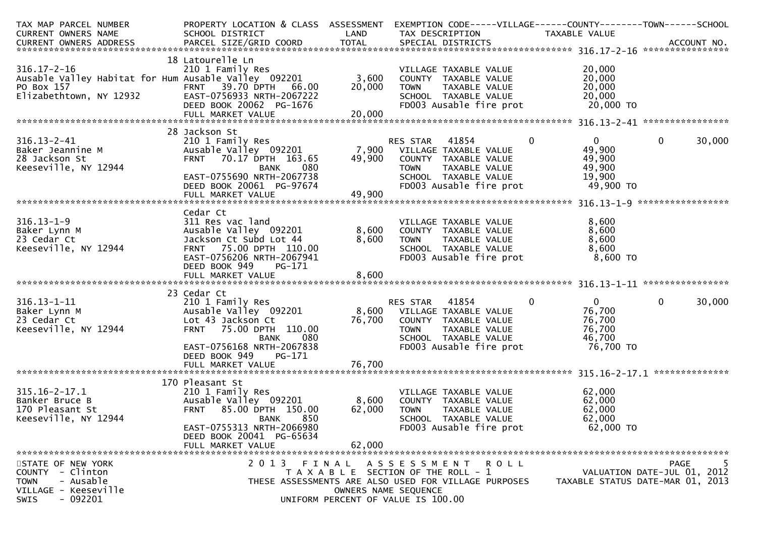| TAX MAP PARCEL NUMBER                                | PROPERTY LOCATION & CLASS ASSESSMENT                 |        | EXEMPTION CODE-----VILLAGE------COUNTY--------TOWN------SCHOOL |                  |                                  |
|------------------------------------------------------|------------------------------------------------------|--------|----------------------------------------------------------------|------------------|----------------------------------|
| CURRENT OWNERS NAME                                  | SCHOOL DISTRICT                                      | LAND   | TAX DESCRIPTION                                                | TAXABLE VALUE    |                                  |
|                                                      |                                                      |        |                                                                |                  |                                  |
|                                                      |                                                      |        |                                                                |                  |                                  |
|                                                      | 18 Latourelle Ln                                     |        |                                                                |                  |                                  |
| $316.17 - 2 - 16$                                    | 210 1 Family Res                                     |        | VILLAGE TAXABLE VALUE                                          | 20,000           |                                  |
| Ausable Valley Habitat for Hum Ausable Valley 092201 |                                                      | 3,600  | COUNTY TAXABLE VALUE                                           | 20,000           |                                  |
| PO Box 157<br>NY 12932                               | <b>FRNT 39.70 DPTH</b><br>66.00                      | 20,000 | <b>TOWN</b><br>TAXABLE VALUE                                   | 20,000<br>20,000 |                                  |
| Elizabethtown, NY 12932                              | EAST-0756933 NRTH-2067222<br>DEED BOOK 20062 PG-1676 |        | SCHOOL TAXABLE VALUE                                           |                  |                                  |
|                                                      |                                                      |        | FD003 Ausable fire prot                                        | 20,000 TO        |                                  |
|                                                      |                                                      |        |                                                                |                  |                                  |
|                                                      | 28 Jackson St                                        |        |                                                                |                  |                                  |
| $316.13 - 2 - 41$                                    | 210 1 Family Res                                     |        | RES STAR<br>41854<br>$\overline{0}$                            | $\overline{0}$   | 30,000<br>$\mathbf{0}$           |
| Baker Jeannine M                                     | Ausable Valley 092201                                |        | 7,900 VILLAGE TAXABLE VALUE                                    | 49,900           |                                  |
| 28 Jackson St                                        | FRNT 70.17 DPTH 163.65                               | 49,900 | COUNTY TAXABLE VALUE                                           | 49,900           |                                  |
| Keeseville, NY 12944                                 | 080<br><b>BANK</b>                                   |        | TAXABLE VALUE<br><b>TOWN</b>                                   | 49,900           |                                  |
|                                                      | EAST-0755690 NRTH-2067738                            |        | SCHOOL TAXABLE VALUE                                           | 19,900           |                                  |
|                                                      | DEED BOOK 20061 PG-97674                             |        | FD003 Ausable fire prot                                        | 49,900 TO        |                                  |
|                                                      | FULL MARKET VALUE                                    | 49,900 |                                                                |                  |                                  |
|                                                      |                                                      |        |                                                                |                  |                                  |
|                                                      | Cedar Ct                                             |        |                                                                |                  |                                  |
| $316.13 - 1 - 9$                                     | 311 Res vac land                                     |        | VILLAGE TAXABLE VALUE                                          | 8,600            |                                  |
| Baker Lynn M                                         | Ausable Valley 092201                                | 8,600  | COUNTY TAXABLE VALUE                                           | 8,600            |                                  |
| 23 Cedar Ct                                          | Jackson Ct Subd Lot 44                               | 8,600  | <b>TOWN</b><br>TAXABLE VALUE                                   | 8,600            |                                  |
| Keeseville, NY 12944                                 | FRNT 75.00 DPTH 110.00                               |        | SCHOOL TAXABLE VALUE                                           | 8,600            |                                  |
|                                                      | EAST-0756206 NRTH-2067941                            |        | FD003 Ausable fire prot                                        | 8,600 TO         |                                  |
|                                                      | DEED BOOK 949<br>PG-171                              |        |                                                                |                  |                                  |
|                                                      |                                                      |        |                                                                |                  |                                  |
|                                                      |                                                      |        |                                                                |                  |                                  |
|                                                      | 23 Cedar Ct                                          |        |                                                                |                  |                                  |
| $316.13 - 1 - 11$                                    | 210 1 Family Res                                     |        | RES STAR<br>41854<br>0                                         | $\mathbf{0}$     | $\mathbf{0}$<br>30,000           |
| Baker Lynn M                                         | Ausable Valley 092201                                |        | 8,600 VILLAGE TAXABLE VALUE                                    | 76,700           |                                  |
| 23 Cedar Ct                                          | Lot 43 Jackson Ct                                    | 76,700 | COUNTY TAXABLE VALUE                                           | 76,700           |                                  |
| Keeseville, NY 12944                                 | 75.00 DPTH 110.00<br><b>FRNT</b>                     |        | <b>TOWN</b><br>TAXABLE VALUE                                   | 76,700           |                                  |
|                                                      | 080<br><b>BANK</b>                                   |        | SCHOOL TAXABLE VALUE                                           | 46,700           |                                  |
|                                                      | EAST-0756168 NRTH-2067838                            |        | FD003 Ausable fire prot                                        | 76,700 TO        |                                  |
|                                                      | DEED BOOK 949<br>PG-171                              |        |                                                                |                  |                                  |
|                                                      | FULL MARKET VALUE                                    | 76,700 |                                                                |                  |                                  |
|                                                      |                                                      |        |                                                                |                  |                                  |
| $315.16 - 2 - 17.1$                                  | 170 Pleasant St<br>210 1 Family Res                  |        | VILLAGE TAXABLE VALUE                                          | 62,000           |                                  |
| Banker Bruce B                                       | Ausable Valley 092201                                | 8,600  | COUNTY TAXABLE VALUE                                           | 62,000           |                                  |
| 170 Pleasant St                                      | <b>FRNT</b><br>85.00 DPTH 150.00                     | 62,000 | <b>TOWN</b><br>TAXABLE VALUE                                   | 62,000           |                                  |
| Keeseville, NY 12944                                 | 850<br><b>BANK</b>                                   |        | SCHOOL TAXABLE VALUE                                           | 62,000           |                                  |
|                                                      | EAST-0755313 NRTH-2066980                            |        | FD003 Ausable fire prot                                        | 62,000 TO        |                                  |
|                                                      | DEED BOOK 20041 PG-65634                             |        |                                                                |                  |                                  |
|                                                      | FULL MARKET VALUE                                    | 62,000 |                                                                |                  |                                  |
|                                                      |                                                      |        |                                                                |                  |                                  |
| STATE OF NEW YORK                                    | 2013                                                 | FINAL  | ASSESSMENT ROLL                                                |                  | 5<br><b>PAGE</b>                 |
| COUNTY - Clinton                                     |                                                      |        | T A X A B L E SECTION OF THE ROLL - 1                          |                  | VALUATION DATE-JUL 01, 2012      |
| <b>TOWN</b><br>- Ausable                             |                                                      |        | THESE ASSESSMENTS ARE ALSO USED FOR VILLAGE PURPOSES           |                  | TAXABLE STATUS DATE-MAR 01, 2013 |
| VILLAGE - Keeseville                                 |                                                      |        | OWNERS NAME SEQUENCE                                           |                  |                                  |
| $-092201$<br>SWIS                                    |                                                      |        | UNIFORM PERCENT OF VALUE IS 100.00                             |                  |                                  |
|                                                      |                                                      |        |                                                                |                  |                                  |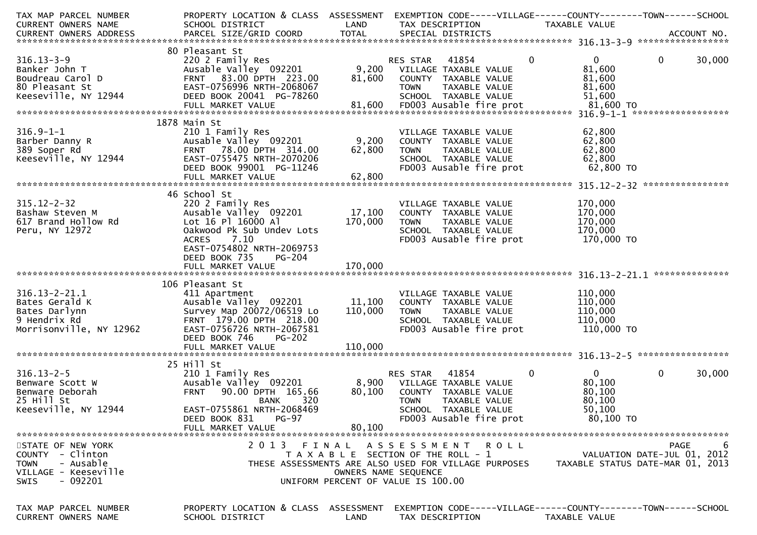| TAX MAP PARCEL NUMBER                        | PROPERTY LOCATION & CLASS ASSESSMENT                    |                      | EXEMPTION CODE-----VILLAGE------COUNTY--------TOWN------SCHOOL                    |                                  |                             |
|----------------------------------------------|---------------------------------------------------------|----------------------|-----------------------------------------------------------------------------------|----------------------------------|-----------------------------|
| CURRENT OWNERS NAME                          | SCHOOL DISTRICT                                         | LAND                 | TAX DESCRIPTION                                                                   | TAXABLE VALUE                    |                             |
|                                              |                                                         |                      |                                                                                   |                                  |                             |
|                                              |                                                         |                      |                                                                                   |                                  |                             |
|                                              | 80 Pleasant St                                          |                      |                                                                                   |                                  |                             |
| $316.13 - 3 - 9$                             | 220 2 Family Res                                        |                      | $\mathbf 0$<br>RES STAR<br>41854                                                  | $\mathbf{0}$                     | 30,000<br>$\mathbf 0$       |
| Banker John T                                | Ausable Valley 092201                                   |                      | 9,200 VILLAGE TAXABLE VALUE                                                       | 81,600                           |                             |
| Boudreau Carol D                             | FRNT 83.00 DPTH 223.00                                  | 81,600               | COUNTY TAXABLE VALUE                                                              | 81,600                           |                             |
| 80 Pleasant St                               | EAST-0756996 NRTH-2068067                               |                      | <b>TOWN</b><br>TAXABLE VALUE                                                      | 81,600                           |                             |
|                                              | DEED BOOK 20041 PG-78260                                |                      |                                                                                   | 51,600                           |                             |
| Keeseville, NY 12944                         |                                                         |                      | SCHOOL TAXABLE VALUE                                                              |                                  |                             |
|                                              |                                                         |                      |                                                                                   |                                  |                             |
|                                              |                                                         |                      |                                                                                   |                                  |                             |
|                                              | 1878 Main St                                            |                      |                                                                                   |                                  |                             |
| $316.9 - 1 - 1$                              | 210 1 Family Res                                        |                      | VILLAGE TAXABLE VALUE                                                             | 62,800                           |                             |
| Barber Danny R                               | Ausable Valley 092201                                   | 9,200                | COUNTY TAXABLE VALUE                                                              | 62,800                           |                             |
| 389 Soper Rd                                 | FRNT 78.00 DPTH 314.00                                  | 62,800               | <b>TOWN</b><br>TAXABLE VALUE                                                      | 62,800                           |                             |
| Keeseville, NY 12944                         | EAST-0755475 NRTH-2070206                               |                      | SCHOOL TAXABLE VALUE                                                              | 62,800                           |                             |
|                                              | DEED BOOK 99001 PG-11246                                |                      | FD003 Ausable fire prot                                                           | 62,800 TO                        |                             |
|                                              | FULL MARKET VALUE                                       | 62,800               |                                                                                   |                                  |                             |
|                                              |                                                         |                      |                                                                                   |                                  |                             |
|                                              | 46 School St                                            |                      |                                                                                   |                                  |                             |
| $315.12 - 2 - 32$                            |                                                         |                      |                                                                                   |                                  |                             |
|                                              | 220 2 Family Res                                        |                      | VILLAGE TAXABLE VALUE                                                             | 170,000                          |                             |
| Bashaw Steven M                              | Ausable Valley 092201                                   | 17,100               | COUNTY TAXABLE VALUE                                                              | 170,000                          |                             |
| 617 Brand Hollow Rd                          | Lot 16 Pl 16000 Al                                      | 170,000              | <b>TOWN</b><br>TAXABLE VALUE                                                      | 170,000                          |                             |
| Peru, NY 12972                               | Oakwood Pk Sub Undev Lots                               |                      | SCHOOL TAXABLE VALUE                                                              | 170,000                          |                             |
|                                              | 7.10<br><b>ACRES</b>                                    |                      | FD003 Ausable fire prot                                                           | 170,000 TO                       |                             |
|                                              | EAST-0754802 NRTH-2069753                               |                      |                                                                                   |                                  |                             |
|                                              | DEED BOOK 735<br><b>PG-204</b>                          |                      |                                                                                   |                                  |                             |
|                                              | FULL MARKET VALUE                                       | 170,000              |                                                                                   |                                  |                             |
|                                              |                                                         |                      |                                                                                   |                                  |                             |
|                                              | 106 Pleasant St                                         |                      |                                                                                   |                                  |                             |
| $316.13 - 2 - 21.1$                          | 411 Apartment                                           |                      | VILLAGE TAXABLE VALUE                                                             | 110,000                          |                             |
| Bates Gerald K                               | Ausable Valley 092201                                   | 11,100               | COUNTY TAXABLE VALUE                                                              | 110,000                          |                             |
|                                              |                                                         |                      |                                                                                   |                                  |                             |
| Bates Darlynn                                | Survey Map 20072/06519 Lo                               | 110,000              | TAXABLE VALUE<br><b>TOWN</b>                                                      | 110,000                          |                             |
|                                              |                                                         |                      |                                                                                   |                                  |                             |
| 9 Hendrix Rd                                 | FRNT 179.00 DPTH 218.00                                 |                      | SCHOOL TAXABLE VALUE                                                              | 110,000                          |                             |
| Morrisonville, NY 12962                      | EAST-0756726 NRTH-2067581                               |                      | FD003 Ausable fire prot                                                           | 110,000 TO                       |                             |
|                                              | DEED BOOK 746<br><b>PG-202</b>                          |                      |                                                                                   |                                  |                             |
|                                              | FULL MARKET VALUE                                       | 110,000              |                                                                                   |                                  |                             |
|                                              |                                                         |                      |                                                                                   |                                  |                             |
|                                              |                                                         |                      |                                                                                   |                                  |                             |
|                                              | 25 Hill St                                              |                      |                                                                                   |                                  |                             |
| $316.13 - 2 - 5$                             | 210 1 Family Res                                        |                      | 0<br>RES STAR<br>41854                                                            | $\overline{0}$                   | $\mathbf 0$<br>30,000       |
| Benware Scott W                              | Ausable Valley 092201                                   |                      | 8,900 VILLAGE TAXABLE VALUE                                                       | 80,100                           |                             |
| Benware Deborah                              | 90.00 DPTH 165.66<br><b>FRNT</b>                        | 80,100               | COUNTY TAXABLE VALUE                                                              | 80,100                           |                             |
| 25 Hill St                                   | 320<br><b>BANK</b>                                      |                      | TAXABLE VALUE<br><b>TOWN</b>                                                      | 80,100                           |                             |
| Keeseville, NY 12944                         | EAST-0755861 NRTH-2068469                               |                      | SCHOOL TAXABLE VALUE                                                              | 50,100                           |                             |
|                                              | DEED BOOK 831<br><b>PG-97</b>                           |                      | FD003 Ausable fire prot                                                           | 80,100 TO                        |                             |
|                                              | FULL MARKET VALUE                                       | 80,100               |                                                                                   |                                  |                             |
|                                              |                                                         |                      |                                                                                   |                                  |                             |
| STATE OF NEW YORK                            | 2013                                                    | FINAL                | A S S E S S M E N T R O L L                                                       |                                  | 6<br>PAGE                   |
| COUNTY - Clinton                             |                                                         |                      | T A X A B L E SECTION OF THE ROLL - 1                                             |                                  | VALUATION DATE-JUL 01, 2012 |
| - Ausable<br><b>TOWN</b>                     |                                                         |                      | THESE ASSESSMENTS ARE ALSO USED FOR VILLAGE PURPOSES                              | TAXABLE STATUS DATE-MAR 01, 2013 |                             |
| VILLAGE - Keeseville                         |                                                         | OWNERS NAME SEQUENCE |                                                                                   |                                  |                             |
|                                              |                                                         |                      |                                                                                   |                                  |                             |
| $-092201$<br>SWIS                            |                                                         |                      | UNIFORM PERCENT OF VALUE IS 100.00                                                |                                  |                             |
|                                              |                                                         |                      |                                                                                   |                                  |                             |
|                                              |                                                         |                      |                                                                                   |                                  |                             |
| TAX MAP PARCEL NUMBER<br>CURRENT OWNERS NAME | PROPERTY LOCATION & CLASS ASSESSMENT<br>SCHOOL DISTRICT | LAND                 | EXEMPTION CODE-----VILLAGE------COUNTY--------TOWN------SCHOOL<br>TAX DESCRIPTION | <b>TAXABLE VALUE</b>             |                             |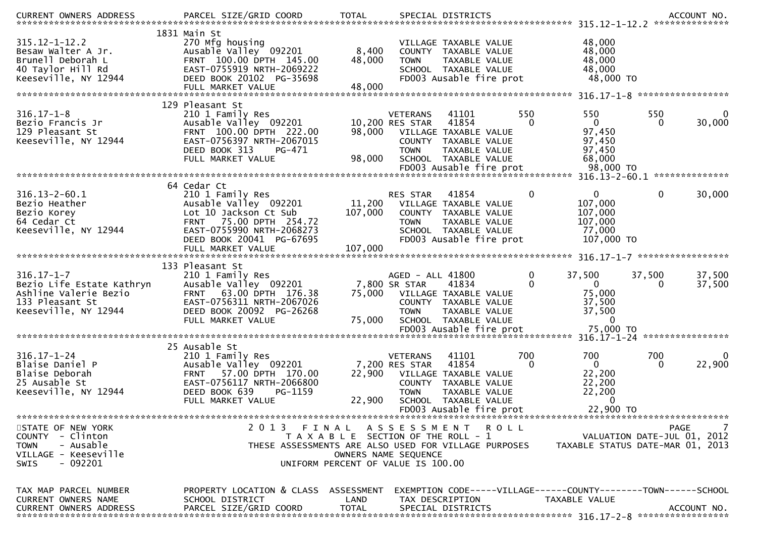| $315.12 - 1 - 12.2$<br>Besaw Walter A Jr.<br>Brunell Deborah L<br>40 Taylor Hill Rd<br>Keeseville, NY 12944       | 1831 Main St<br>270 Mfg housing<br>Ausable Valley 092201<br>FRNT 100.00 DPTH 145.00<br>EAST-0755919 NRTH-2069222<br>DEED BOOK 20102 PG-35698<br>FULL MARKET VALUE                         | 8,400<br>48,000<br>48,000    | VILLAGE TAXABLE VALUE<br>COUNTY TAXABLE VALUE<br>TAXABLE VALUE<br><b>TOWN</b><br>SCHOOL TAXABLE VALUE<br>FD003 Ausable fire prot                                                           |                 | 48,000<br>48,000<br>48,000<br>48,000<br>48,000 TO                 |                                                                               |
|-------------------------------------------------------------------------------------------------------------------|-------------------------------------------------------------------------------------------------------------------------------------------------------------------------------------------|------------------------------|--------------------------------------------------------------------------------------------------------------------------------------------------------------------------------------------|-----------------|-------------------------------------------------------------------|-------------------------------------------------------------------------------|
|                                                                                                                   | 129 Pleasant St                                                                                                                                                                           |                              |                                                                                                                                                                                            |                 |                                                                   |                                                                               |
| $316.17 - 1 - 8$<br>Bezio Francis Jr<br>129 Pleasant St<br>Keeseville, NY 12944                                   | 210 1 Family Res<br>Ausable Valley 092201<br>FRNT 100.00 DPTH 222.00<br>EAST-0756397 NRTH-2067015<br>DEED BOOK 313<br>PG-471                                                              | 98,000                       | <b>VETERANS</b><br>41101<br>41854<br>10,200 RES STAR<br>VILLAGE TAXABLE VALUE<br>COUNTY TAXABLE VALUE<br><b>TOWN</b><br>TAXABLE VALUE                                                      | 550<br>$\Omega$ | 550<br>$\Omega$<br>97,450<br>97,450<br>97,450                     | 550<br>30,000<br>0                                                            |
|                                                                                                                   | FULL MARKET VALUE                                                                                                                                                                         | 98,000                       | SCHOOL TAXABLE VALUE<br>FD003 Ausable fire prot                                                                                                                                            |                 | 68,000<br>98,000 TO                                               |                                                                               |
|                                                                                                                   |                                                                                                                                                                                           |                              |                                                                                                                                                                                            |                 |                                                                   |                                                                               |
| $316.13 - 2 - 60.1$<br>Bezio Heather<br>Bezio Korey<br>64 Cedar Ct<br>Keeseville, NY 12944                        | 64 Cedar Ct<br>210 1 Family Res<br>Ausable Valley 092201<br>Lot 10 Jackson Ct Sub<br>FRNT 75.00 DPTH 254.72<br>EAST-0755990 NRTH-2068273<br>DEED BOOK 20041 PG-67695<br>FULL MARKET VALUE | 11,200<br>107,000<br>107,000 | RES STAR<br>41854<br>VILLAGE TAXABLE VALUE<br>COUNTY TAXABLE VALUE<br><b>TOWN</b><br>TAXABLE VALUE<br>SCHOOL TAXABLE VALUE<br>FD003 Ausable fire prot                                      | $\mathbf 0$     | $\Omega$<br>107,000<br>107,000<br>107,000<br>77,000<br>107,000 TO | 0<br>30,000                                                                   |
|                                                                                                                   |                                                                                                                                                                                           |                              |                                                                                                                                                                                            |                 |                                                                   | *****************                                                             |
| $316.17 - 1 - 7$<br>Bezio Life Estate Kathryn<br>Ashline Valerie Bezio<br>133 Pleasant St<br>Keeseville, NY 12944 | 133 Pleasant St<br>210 1 Family Res<br>Ausable Valley 092201<br>63.00 DPTH 176.38<br><b>FRNT</b><br>EAST-0756311 NRTH-2067026<br>DEED BOOK 20092 PG-26268<br>FULL MARKET VALUE            | 75,000<br>75,000             | AGED - ALL 41800<br>41834<br>7,800 SR STAR<br>VILLAGE TAXABLE VALUE<br>COUNTY TAXABLE VALUE<br><b>TOWN</b><br>TAXABLE VALUE<br>SCHOOL TAXABLE VALUE                                        | 0<br>0          | 37,500<br>$\Omega$<br>75,000<br>37,500<br>37,500<br>0             | 37,500<br>37,500<br>37,500<br>$\Omega$                                        |
|                                                                                                                   |                                                                                                                                                                                           |                              |                                                                                                                                                                                            |                 |                                                                   |                                                                               |
| $316.17 - 1 - 24$<br>Blaise Daniel P<br>Blaise Deborah<br>25 Ausable St<br>Keeseville, NY 12944                   | 25 Ausable St<br>210 1 Family Res<br>Ausable Valley 092201<br>57.00 DPTH 170.00<br><b>FRNT</b><br>EAST-0756117 NRTH-2066800<br>DEED BOOK 639<br>PG-1159<br>FULL MARKET VALUE              | 22,900<br>22,900             | 41101<br><b>VETERANS</b><br>7,200 RES STAR<br>41854<br>VILLAGE TAXABLE VALUE<br>COUNTY TAXABLE VALUE<br><b>TOWN</b><br>TAXABLE VALUE<br>SCHOOL TAXABLE VALUE                               | 700<br>$\Omega$ | 700<br>$\Omega$<br>22,200<br>22,200<br>22,200<br>0                | 700<br>$\Omega$<br>22,900<br>0                                                |
|                                                                                                                   |                                                                                                                                                                                           |                              | FD003 Ausable fire prot                                                                                                                                                                    |                 | 22,900 TO                                                         |                                                                               |
| STATE OF NEW YORK<br>COUNTY - Clinton<br><b>TOWN</b><br>- Ausable<br>VILLAGE - Keeseville<br>$-092201$<br>SWIS    | 2013<br>FINAL                                                                                                                                                                             |                              | A S S E S S M E N T R O L L<br>T A X A B L E SECTION OF THE ROLL - 1<br>THESE ASSESSMENTS ARE ALSO USED FOR VILLAGE PURPOSES<br>OWNERS NAME SEQUENCE<br>UNIFORM PERCENT OF VALUE IS 100.00 |                 |                                                                   | PAGE<br>VALUATION DATE-JUL 01, 2012<br>TAXABLE STATUS DATE-MAR 01, 2013       |
| TAX MAP PARCEL NUMBER<br>CURRENT OWNERS NAME<br><b>CURRENT OWNERS ADDRESS</b>                                     | PROPERTY LOCATION & CLASS ASSESSMENT<br>SCHOOL DISTRICT<br>PARCEL SIZE/GRID COORD                                                                                                         | LAND<br><b>TOTAL</b>         | TAX DESCRIPTION<br>SPECIAL DISTRICTS                                                                                                                                                       |                 | TAXABLE VALUE                                                     | EXEMPTION CODE-----VILLAGE------COUNTY--------TOWN------SCHOOL<br>ACCOUNT NO. |
|                                                                                                                   |                                                                                                                                                                                           |                              |                                                                                                                                                                                            |                 |                                                                   |                                                                               |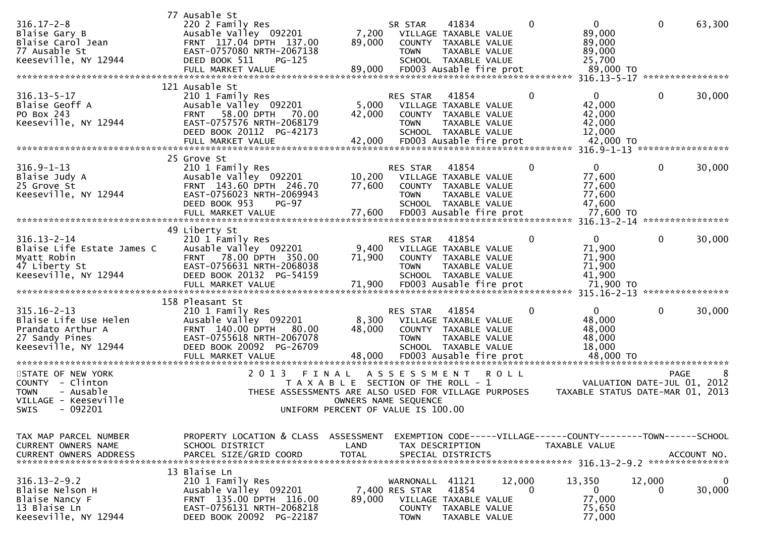|                                                                                                           | 77 Ausable St                                                                                                                                               |                                                                             |                                                             |                                                                                                                            |             |             |                                                                                                     |              |                  |
|-----------------------------------------------------------------------------------------------------------|-------------------------------------------------------------------------------------------------------------------------------------------------------------|-----------------------------------------------------------------------------|-------------------------------------------------------------|----------------------------------------------------------------------------------------------------------------------------|-------------|-------------|-----------------------------------------------------------------------------------------------------|--------------|------------------|
| $316.17 - 2 - 8$<br>Blaise Gary B<br>Blaise Carol Jean<br>77 Ausable St<br>Keeseville, NY 12944           | 220 2 Family Res<br>Ausable Valley 092201<br>FRNT 117.04 DPTH 137.00<br>EAST-0757080 NRTH-2067138<br>DEED BOOK 511<br>$PG-125$                              | 7,200<br>89,000                                                             | SR STAR<br><b>TOWN</b>                                      | 41834<br>VILLAGE TAXABLE VALUE<br>COUNTY TAXABLE VALUE<br>TAXABLE VALUE<br>SCHOOL TAXABLE VALUE                            |             | $\mathbf 0$ | $\overline{0}$<br>89,000<br>89,000<br>89,000<br>25,700                                              | $\mathbf 0$  | 63,300           |
|                                                                                                           |                                                                                                                                                             |                                                                             |                                                             |                                                                                                                            |             |             |                                                                                                     |              |                  |
|                                                                                                           | 121 Ausable St                                                                                                                                              |                                                                             |                                                             |                                                                                                                            |             |             |                                                                                                     |              | **************** |
| $316.13 - 5 - 17$<br>Blaise Geoff A<br>PO Box 243<br>Keeseville, NY 12944                                 | 210 1 Family Res<br>Ausable Valley 092201<br>58.00 DPTH<br>70.00<br><b>FRNT</b><br>EAST-0757576 NRTH-2068179<br>DEED BOOK 20112 PG-42173                    | 5,000<br>42,000                                                             | <b>RES STAR</b><br><b>TOWN</b>                              | 41854<br>VILLAGE TAXABLE VALUE<br>COUNTY TAXABLE VALUE<br>TAXABLE VALUE<br>SCHOOL TAXABLE VALUE                            |             | $\bf{0}$    | $\mathbf{0}$<br>42,000<br>42,000<br>42,000<br>12,000                                                | $\mathbf 0$  | 30,000           |
|                                                                                                           |                                                                                                                                                             |                                                                             |                                                             |                                                                                                                            |             |             | 42,000 TO<br>316.9-1-13 ******************                                                          |              |                  |
|                                                                                                           | 25 Grove St                                                                                                                                                 |                                                                             |                                                             |                                                                                                                            |             |             |                                                                                                     |              |                  |
| $316.9 - 1 - 13$<br>Blaise Judy A<br>25 Grove St<br>Keeseville, NY 12944                                  | 210 1 Family Res<br>Ausable Valley 092201<br>FRNT 143.60 DPTH 246.70<br>EAST-0756023 NRTH-2069943<br>DEED BOOK 953<br>$PG-97$<br>FULL MARKET VALUE          | 10,200<br>77,600<br>77,600                                                  | <b>RES STAR</b><br><b>TOWN</b>                              | 41854<br>VILLAGE TAXABLE VALUE<br>COUNTY TAXABLE VALUE<br>TAXABLE VALUE<br>SCHOOL TAXABLE VALUE<br>FD003 Ausable fire prot |             | 0           | 0<br>77,600<br>77,600<br>77,600<br>47,600<br>77,600 TO                                              | $\mathbf{0}$ | 30,000           |
|                                                                                                           |                                                                                                                                                             |                                                                             |                                                             |                                                                                                                            |             |             | $316.13 - 2 - 14$                                                                                   |              | **************** |
| $316.13 - 2 - 14$<br>Blaise Life Estate James C<br>Myatt Robin<br>47 Liberty St<br>Keeseville, NY 12944   | 49 Liberty St<br>210 1 Family Res<br>Ausable Valley 092201<br>FRNT 78.00 DPTH 350.00<br>EAST-0756631 NRTH-2068038<br>DEED BOOK 20132 PG-54159               | 9,400<br>71,900<br>71,900                                                   | RES STAR<br><b>TOWN</b>                                     | 41854<br>VILLAGE TAXABLE VALUE<br>COUNTY TAXABLE VALUE<br>TAXABLE VALUE<br>SCHOOL TAXABLE VALUE<br>FD003 Ausable fire prot |             | 0           | 0<br>71,900<br>71,900<br>71,900<br>41,900<br>71,900 TO                                              | $\mathbf{0}$ | 30,000           |
|                                                                                                           | 158 Pleasant St                                                                                                                                             |                                                                             |                                                             |                                                                                                                            |             |             |                                                                                                     |              |                  |
| $315.16 - 2 - 13$<br>Blaise Life Use Helen<br>Prandato Arthur A<br>27 Sandy Pines<br>Keeseville, NY 12944 | 210 1 Family Res<br>Ausable Valley 092201<br><b>FRNT 140.00 DPTH</b><br>80.00<br>EAST-0755618 NRTH-2067078<br>DEED BOOK 20092 PG-26709<br>FULL MARKET VALUE | 8,300<br>48,000<br>48,000                                                   | <b>RES STAR</b><br><b>TOWN</b>                              | 41854<br>VILLAGE TAXABLE VALUE<br>COUNTY TAXABLE VALUE<br>TAXABLE VALUE<br>SCHOOL TAXABLE VALUE<br>FD003 Ausable fire prot |             | 0           | $\mathbf{0}$<br>48,000<br>48,000<br>48,000<br>18,000<br>48,000 TO<br>****************************** | $\mathbf 0$  | 30,000           |
| STATE OF NEW YORK                                                                                         | 2 0 1 3<br>FINAL                                                                                                                                            |                                                                             | A S S E S S M E N T                                         |                                                                                                                            | <b>ROLL</b> |             |                                                                                                     |              | <b>PAGE</b><br>8 |
| COUNTY - Clinton<br><b>TOWN</b><br>- Ausable<br>VILLAGE - Keeseville<br>SWIS<br>$-092201$                 | THESE ASSESSMENTS ARE ALSO USED FOR VILLAGE PURPOSES                                                                                                        | T A X A B L E SECTION OF THE ROLL - 1<br>UNIFORM PERCENT OF VALUE IS 100.00 | OWNERS NAME SEQUENCE                                        |                                                                                                                            |             |             | VALUATION DATE-JUL 01,<br>TAXABLE STATUS DATE-MAR 01, 2013                                          |              | 2012             |
| TAX MAP PARCEL NUMBER                                                                                     | PROPERTY LOCATION & CLASS                                                                                                                                   | ASSESSMENT                                                                  |                                                             |                                                                                                                            |             |             | EXEMPTION CODE-----VILLAGE------COUNTY-------TOWN------SCHOOL                                       |              |                  |
| CURRENT OWNERS NAME<br>CURRENT OWNERS ADDRESS                                                             | SCHOOL DISTRICT<br>PARCEL SIZE/GRID COORD                                                                                                                   | LAND<br><b>TOTAL</b>                                                        |                                                             | TAX DESCRIPTION<br>SPECIAL DISTRICTS                                                                                       |             |             | <b>TAXABLE VALUE</b>                                                                                |              | ACCOUNT NO.      |
| $316.13 - 2 - 9.2$<br>Blaise Nelson H<br>Blaise Nancy F<br>13 Blaise Ln<br>Keeseville, NY 12944           | 13 Blaise Ln<br>210 1 Family Res<br>Ausable Valley 092201<br>FRNT 135.00 DPTH 116.00<br>EAST-0756131 NRTH-2068218<br>DEED BOOK 20092 PG-22187               | 89,000                                                                      | WARNONALL<br>7,400 RES STAR<br><b>COUNTY</b><br><b>TOWN</b> | 41121<br>41854<br>VILLAGE TAXABLE VALUE<br>TAXABLE VALUE<br>TAXABLE VALUE                                                  | 12,000      | $\Omega$    | 13,350<br>$\mathbf{0}$<br>77,000<br>75,650<br>77,000                                                | 12,000<br>0  | 0<br>30,000      |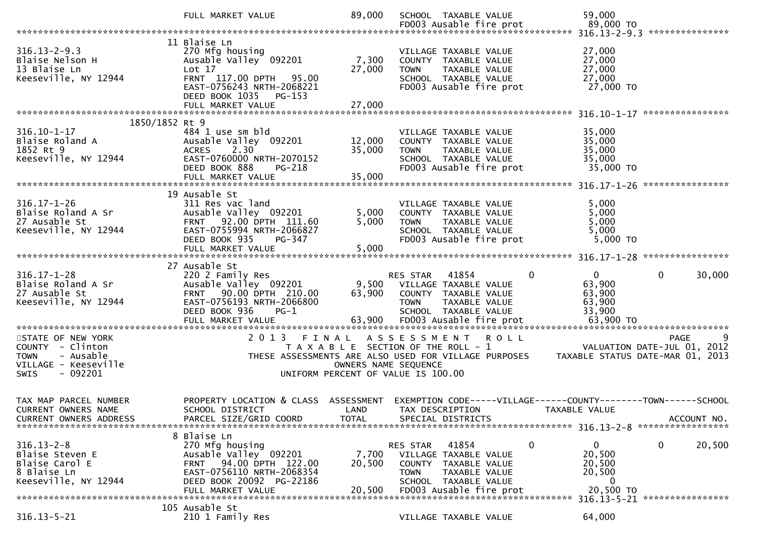|                                                                                                                       | FULL MARKET VALUE                                                                                                                                                          | 89,000                    | SCHOOL TAXABLE VALUE                                                                                                                                                        | 59,000                                                                                          |
|-----------------------------------------------------------------------------------------------------------------------|----------------------------------------------------------------------------------------------------------------------------------------------------------------------------|---------------------------|-----------------------------------------------------------------------------------------------------------------------------------------------------------------------------|-------------------------------------------------------------------------------------------------|
|                                                                                                                       |                                                                                                                                                                            |                           |                                                                                                                                                                             |                                                                                                 |
| $316.13 - 2 - 9.3$<br>Blaise Nelson H<br>13 Blaise Ln<br>Keeseville, NY 12944                                         | 11 Blaise Ln<br>270 Mfg housing<br>Ausable Valley 092201<br>Lot 17<br>FRNT 117.00 DPTH 95.00<br>EAST-0756243 NRTH-2068221<br>DEED BOOK 1035<br>PG-153<br>FULL MARKET VALUE | 7,300<br>27,000<br>27,000 | VILLAGE TAXABLE VALUE<br>COUNTY TAXABLE VALUE<br>TAXABLE VALUE<br><b>TOWN</b><br>SCHOOL TAXABLE VALUE<br>FD003 Ausable fire prot                                            | 27,000<br>27,000<br>27,000<br>27,000<br>27,000 TO                                               |
|                                                                                                                       |                                                                                                                                                                            |                           |                                                                                                                                                                             |                                                                                                 |
| 1850/1852 Rt 9                                                                                                        |                                                                                                                                                                            |                           |                                                                                                                                                                             |                                                                                                 |
| $316.10 - 1 - 17$<br>Blaise Roland A<br>1852 Rt 9<br>Keeseville, NY 12944                                             | 484 1 use sm bld<br>Ausable Valley 092201<br><b>ACRES</b><br>2.30<br>EAST-0760000 NRTH-2070152<br>DEED BOOK 888<br><b>PG-218</b>                                           | 12,000<br>35,000          | VILLAGE TAXABLE VALUE<br>COUNTY TAXABLE VALUE<br><b>TOWN</b><br>TAXABLE VALUE<br>SCHOOL TAXABLE VALUE<br>FD003 Ausable fire prot                                            | 35,000<br>35,000<br>35,000<br>35,000<br>35,000 TO                                               |
|                                                                                                                       | 19 Ausable St                                                                                                                                                              |                           |                                                                                                                                                                             |                                                                                                 |
| $316.17 - 1 - 26$<br>Blaise Roland A Sr<br>27 Ausable St<br>Keeseville, NY 12944                                      | 311 Res vac land<br>Ausable Valley 092201<br>FRNT 92.00 DPTH 111.60<br>EAST-0755994 NRTH-2066827<br>DEED BOOK 935<br>PG-347<br>FULL MARKET VALUE                           | 5,000<br>5,000<br>5,000   | VILLAGE TAXABLE VALUE<br>COUNTY TAXABLE VALUE<br>TAXABLE VALUE<br><b>TOWN</b><br>SCHOOL TAXABLE VALUE<br>FD003 Ausable fire prot                                            | 5,000<br>5,000<br>5,000<br>5,000<br>$5,000$ TO                                                  |
|                                                                                                                       |                                                                                                                                                                            |                           |                                                                                                                                                                             |                                                                                                 |
| $316.17 - 1 - 28$<br>Blaise Roland A Sr<br>27 Ausable St<br>Keeseville, NY 12944                                      | 27 Ausable St<br>220 2 Family Res<br>Ausable Valley 092201<br>FRNT 90.00 DPTH 210.00<br>EAST-0756193 NRTH-2066800<br>DEED BOOK 936<br>$PG-1$<br>FULL MARKET VALUE          | 63,900<br>63,900          | $\Omega$<br>41854<br>RES STAR<br>9,500 VILLAGE TAXABLE VALUE<br>COUNTY TAXABLE VALUE<br><b>TOWN</b><br>TAXABLE VALUE<br>SCHOOL TAXABLE VALUE<br>FD003 Ausable fire prot     | $\overline{0}$<br>30,000<br>$\overline{0}$<br>63,900<br>63,900<br>63,900<br>33,900<br>63,900 TO |
|                                                                                                                       |                                                                                                                                                                            |                           |                                                                                                                                                                             |                                                                                                 |
|                                                                                                                       |                                                                                                                                                                            |                           |                                                                                                                                                                             |                                                                                                 |
| STATE OF NEW YORK<br>COUNTY - Clinton<br>- Ausable<br><b>TOWN</b><br>VILLAGE - Keeseville<br>$-092201$<br><b>SWIS</b> | 2 0 1 3<br>FINAL                                                                                                                                                           | OWNERS NAME SEQUENCE      | ASSESSMENT ROLL<br>T A X A B L E SECTION OF THE ROLL - 1<br>THESE ASSESSMENTS ARE ALSO USED FOR VILLAGE PURPOSES<br>UNIFORM PERCENT OF VALUE IS 100.00                      | PAGE<br>VALUATION DATE-JUL 01, 2012<br>TAXABLE STATUS DATE-MAR 01, 2013                         |
| TAX MAP PARCEL NUMBER<br>CURRENT OWNERS NAME                                                                          | SCHOOL DISTRICT                                                                                                                                                            | LAND                      | PROPERTY LOCATION & CLASS ASSESSMENT EXEMPTION CODE-----VILLAGE------COUNTY--------TOWN------SCHOOL<br>TAX DESCRIPTION                                                      | TAXABLE VALUE                                                                                   |
| $316.13 - 2 - 8$<br>Blaise Steven E<br>Blaise Carol E<br>8 Blaise Ln<br>Keeseville, NY 12944                          | 8 Blaise Ln<br>270 Mfg housing<br>Ausable Valley 092201<br>94.00 DPTH 122.00<br><b>FRNT</b><br>EAST-0756110 NRTH-2068354<br>DEED BOOK 20092 PG-22186<br>FULL MARKET VALUE  | 7,700<br>20,500<br>20,500 | 0<br>41854<br>RES STAR<br>VILLAGE TAXABLE VALUE<br><b>COUNTY</b><br>TAXABLE VALUE<br><b>TOWN</b><br><b>TAXABLE VALUE</b><br>SCHOOL TAXABLE VALUE<br>FD003 Ausable fire prot | 0<br>0<br>20,500<br>20,500<br>20,500<br>20,500<br>0<br>20,500 TO                                |
|                                                                                                                       | 105 Ausable St                                                                                                                                                             |                           |                                                                                                                                                                             | 316.13-5-21 *****************                                                                   |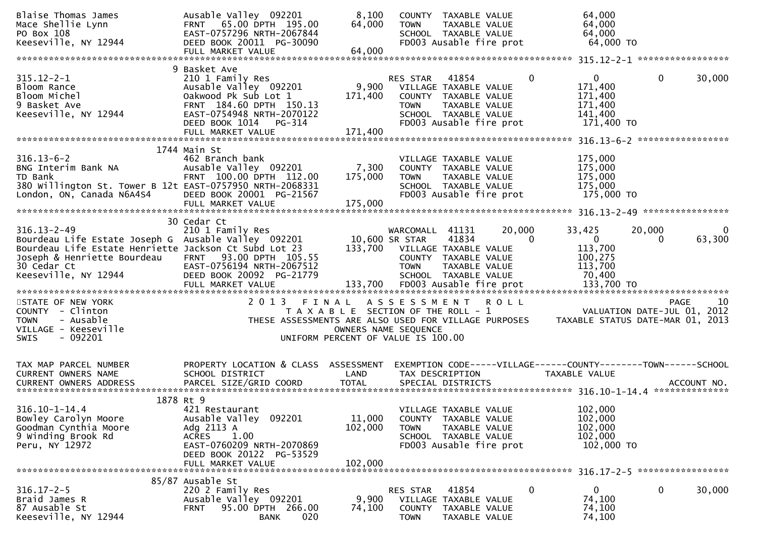| Blaise Thomas James<br>Mace Shellie Lynn<br>PO Box 108<br>Keeseville, NY 12944                                                                                                                                                 | Ausable Valley 092201<br>FRNT 65.00 DPTH 195.00<br>EAST-0757296 NRTH-2067844<br>DEED BOOK 20011 PG-30090<br>FULL MARKET VALUE                                                           | 8,100<br>64,000<br>64,000    | COUNTY TAXABLE VALUE<br>TAXABLE VALUE<br><b>TOWN</b><br>SCHOOL TAXABLE VALUE<br>FD003 Ausable fire prot                                                                                 | 64,000<br>64,000<br>64,000<br>64,000 TO                                            |                        |
|--------------------------------------------------------------------------------------------------------------------------------------------------------------------------------------------------------------------------------|-----------------------------------------------------------------------------------------------------------------------------------------------------------------------------------------|------------------------------|-----------------------------------------------------------------------------------------------------------------------------------------------------------------------------------------|------------------------------------------------------------------------------------|------------------------|
|                                                                                                                                                                                                                                |                                                                                                                                                                                         |                              |                                                                                                                                                                                         |                                                                                    |                        |
| $315.12 - 2 - 1$<br>Bloom Rance<br>Bloom Michel<br>9 Basket Ave<br>Keeseville, NY 12944                                                                                                                                        | 9 Basket Ave<br>210 1 Family Res<br>Ausable Valley 092201<br>Oakwood Pk Sub Lot 1<br>FRNT 184.60 DPTH 150.13<br>EAST-0754948 NRTH-2070122<br>DEED BOOK 1014 PG-314<br>FULL MARKET VALUE | 9,900<br>171,400<br>171,400  | RES STAR<br>41854<br>$\bf{0}$<br>VILLAGE TAXABLE VALUE<br>COUNTY TAXABLE VALUE<br>TAXABLE VALUE<br><b>TOWN</b><br>SCHOOL TAXABLE VALUE<br>FD003 Ausable fire prot                       | $\mathbf{0}$<br>$\bf{0}$<br>171,400<br>171,400<br>171,400<br>141,400<br>171,400 TO | 30,000                 |
|                                                                                                                                                                                                                                |                                                                                                                                                                                         |                              |                                                                                                                                                                                         |                                                                                    |                        |
| $316.13 - 6 - 2$<br>BNG Interim Bank NA<br>TD Bank<br>380 Willington St. Tower B 12t EAST-0757950 NRTH-2068331<br>London, ON, Canada N6A4S4                                                                                    | 1744 Main St<br>462 Branch bank<br>Ausable Valley 092201<br>FRNT 100.00 DPTH 112.00<br>DEED BOOK 20001 PG-21567<br>FULL MARKET VALUE                                                    | 7,300<br>175,000<br>175,000  | VILLAGE TAXABLE VALUE<br>COUNTY TAXABLE VALUE<br><b>TOWN</b><br>TAXABLE VALUE<br>SCHOOL TAXABLE VALUE<br>FD003 Ausable fire prot                                                        | 175,000<br>175,000<br>175,000<br>175,000<br>175,000 TO                             |                        |
|                                                                                                                                                                                                                                | 30 Cedar Ct                                                                                                                                                                             |                              |                                                                                                                                                                                         |                                                                                    |                        |
| $316.13 - 2 - 49$<br>Bourdeau Life Estate Joseph G Ausable Valley 092201<br>Bourdeau Life Estate Henriette Jackson Ct Subd Lot 23<br>Joseph & Henriette Bourdeau FRNT 93.00 DPTH 105.55<br>30 Cedar Ct<br>Keeseville, NY 12944 | 210 1 Family Res<br>EAST-0756194 NRTH-2067512<br>DEED BOOK 20092 PG-21779                                                                                                               | 10,600 SR STAR               | 20,000<br>WARCOMALL 41131<br>41834<br>$\mathbf{0}$<br>133,700 VILLAGE TAXABLE VALUE<br>COUNTY TAXABLE VALUE<br><b>TOWN</b><br>TAXABLE VALUE<br>SCHOOL TAXABLE VALUE                     | 33,425<br>20,000<br>$\overline{0}$<br>0<br>113,700<br>100,275<br>113,700<br>70,400 | $\mathbf{0}$<br>63,300 |
| STATE OF NEW YORK<br>COUNTY - Clinton<br><b>TOWN</b><br>- Ausable<br>VILLAGE - Keeseville<br>$-092201$<br>SWIS                                                                                                                 | 2013 FINAL                                                                                                                                                                              | OWNERS NAME SEQUENCE         | ASSESSMENT ROLL<br>T A X A B L E SECTION OF THE ROLL - 1<br>THESE ASSESSMENTS ARE ALSO USED FOR VILLAGE PURPOSES TAXABLE STATUS DATE-MAR 01, 2013<br>UNIFORM PERCENT OF VALUE IS 100.00 | VALUATION DATE-JUL 01, 2012                                                        | 10<br><b>PAGE</b>      |
| TAX MAP PARCEL NUMBER<br><b>CURRENT OWNERS NAME</b>                                                                                                                                                                            | PROPERTY LOCATION & CLASS ASSESSMENT<br>SCHOOL DISTRICT                                                                                                                                 | LAND                         | EXEMPTION CODE-----VILLAGE------COUNTY--------TOWN------SCHOOL<br>TAX DESCRIPTION                                                                                                       | TAXABLE VALUE                                                                      |                        |
| 1878 Rt 9<br>$316.10 - 1 - 14.4$<br>Bowley Carolyn Moore<br>Goodman Cynthia Moore<br>9 Winding Brook Rd<br>Peru, NY 12972                                                                                                      | 421 Restaurant<br>Ausable Valley 092201<br>Adg 2113 A<br>1.00<br><b>ACRES</b><br>EAST-0760209 NRTH-2070869<br>DEED BOOK 20122 PG-53529<br>FULL MARKET VALUE                             | 11,000<br>102,000<br>102,000 | VILLAGE TAXABLE VALUE<br>COUNTY TAXABLE VALUE<br>TAXABLE VALUE<br><b>TOWN</b><br>SCHOOL TAXABLE VALUE<br>FD003 Ausable fire prot                                                        | 102,000<br>102,000<br>102,000<br>102,000<br>102,000 TO                             |                        |
| $316.17 - 2 - 5$<br>Braid James R<br>87 Ausable St<br>Keeseville, NY 12944                                                                                                                                                     | 85/87 Ausable St<br>220 2 Family Res<br>Ausable Valley 092201<br>95.00 DPTH 266.00<br><b>FRNT</b><br>020<br><b>BANK</b>                                                                 | 9,900<br>74,100              | 41854<br>0<br>RES STAR<br>VILLAGE TAXABLE VALUE<br>COUNTY TAXABLE VALUE<br><b>TOWN</b><br>TAXABLE VALUE                                                                                 | 0<br>$\mathbf{0}$<br>74,100<br>74,100<br>74,100                                    | 30,000                 |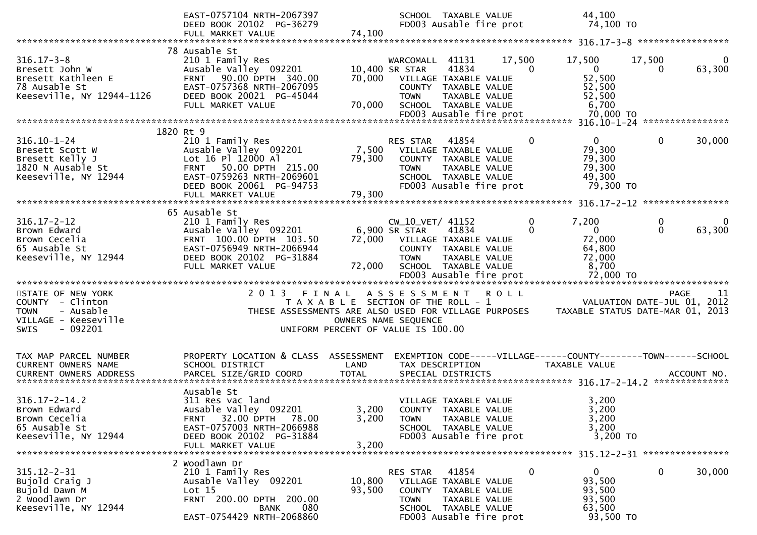|                                                                                                        | EAST-0757104 NRTH-2067397<br>DEED BOOK 20102 PG-36279<br>FULL MARKET VALUE                                                                                                           | 74,100                                                                      |                                                                            | SCHOOL TAXABLE VALUE                                                                     | FD003 Ausable fire prot | 44,100<br>74,100 TO                                                            |                    |                    |
|--------------------------------------------------------------------------------------------------------|--------------------------------------------------------------------------------------------------------------------------------------------------------------------------------------|-----------------------------------------------------------------------------|----------------------------------------------------------------------------|------------------------------------------------------------------------------------------|-------------------------|--------------------------------------------------------------------------------|--------------------|--------------------|
|                                                                                                        |                                                                                                                                                                                      |                                                                             |                                                                            |                                                                                          |                         |                                                                                |                    |                    |
| $316.17 - 3 - 8$<br>Bresett John W<br>Bresett Kathleen E<br>78 Ausable St<br>Keeseville, NY 12944-1126 | 78 Ausable St<br>210 1 Family Res<br>Ausable Valley 092201<br>FRNT 90.00 DPTH 340.00<br>EAST-0757368 NRTH-2067095<br>DEED BOOK 20021 PG-45044<br>FULL MARKET VALUE                   | 70,000<br>70,000                                                            | WARCOMALL 41131<br>10,400 SR STAR<br>VILLAGE TAXABLE VALUE<br><b>TOWN</b>  | 41834<br>COUNTY TAXABLE VALUE<br>TAXABLE VALUE<br>SCHOOL TAXABLE VALUE                   | 17,500                  | 17,500<br>$\Omega$<br>$\overline{0}$<br>52,500<br>52,500<br>52,500<br>6,700    | 17,500<br>$\Omega$ | $\Omega$<br>63,300 |
|                                                                                                        |                                                                                                                                                                                      |                                                                             |                                                                            |                                                                                          |                         |                                                                                |                    |                    |
| $316.10 - 1 - 24$<br>Bresett Scott W<br>Bresett Kelly J<br>1820 N Ausable St<br>Keeseville, NY 12944   | 1820 Rt 9<br>210 1 Family Res<br>Ausable Valley 092201<br>Lot 16 Pl 12000 Al<br>FRNT 50.00 DPTH 215.00<br>EAST-0759263 NRTH-2069601<br>DEED BOOK 20061 PG-94753<br>FULL MARKET VALUE | 7,500<br>79,300<br>79,300                                                   | RES STAR<br>VILLAGE TAXABLE VALUE<br><b>TOWN</b>                           | 41854<br>COUNTY TAXABLE VALUE<br>TAXABLE VALUE<br>SCHOOL TAXABLE VALUE                   | FD003 Ausable fire prot | $\overline{0}$<br>0<br>79,300<br>79,300<br>79,300<br>49,300<br>79,300 TO       | $\mathbf{0}$       | 30,000             |
|                                                                                                        |                                                                                                                                                                                      |                                                                             |                                                                            |                                                                                          |                         |                                                                                |                    |                    |
| $316.17 - 2 - 12$<br>Brown Edward<br>Brown Cecelia<br>65 Ausable St<br>Keeseville, NY 12944            | 65 Ausable St<br>210 1 Family Res<br>Ausable Valley 092201<br>FRNT 100.00 DPTH 103.50<br>EAST-0756949 NRTH-2066944<br>DEED BOOK 20102 PG-31884<br>FULL MARKET VALUE                  | 72,000<br>72,000                                                            | $CW_10_VET/41152$<br>6,900 SR STAR<br>VILLAGE TAXABLE VALUE<br><b>TOWN</b> | 41834<br>COUNTY TAXABLE VALUE<br>TAXABLE VALUE<br>SCHOOL TAXABLE VALUE                   |                         | 0<br>7,200<br>0<br>$\mathbf{0}$<br>72,000<br>64,800<br>72,000<br>8,700         | 0<br>$\mathbf 0$   | 0<br>63,300        |
| STATE OF NEW YORK                                                                                      | 2013 FINAL ASSESSMENT ROLL                                                                                                                                                           |                                                                             |                                                                            |                                                                                          |                         |                                                                                |                    | PAGE<br>-11        |
| COUNTY - Clinton<br>- Ausable<br><b>TOWN</b><br>VILLAGE - Keeseville<br>- 092201<br><b>SWIS</b>        | THESE ASSESSMENTS ARE ALSO USED FOR VILLAGE PURPOSES                                                                                                                                 | T A X A B L E SECTION OF THE ROLL - 1<br>UNIFORM PERCENT OF VALUE IS 100.00 | OWNERS NAME SEQUENCE                                                       |                                                                                          |                         | VALUATION DATE-JUL 01, 2012<br>TAXABLE STATUS DATE-MAR 01, 2013                |                    |                    |
| TAX MAP PARCEL NUMBER<br>CURRENT OWNERS NAME<br><b>CURRENT OWNERS ADDRESS</b>                          | PROPERTY LOCATION & CLASS ASSESSMENT<br>SCHOOL DISTRICT<br>PARCEL SIZE/GRID COORD                                                                                                    | LAND<br><b>TOTAL</b>                                                        |                                                                            | TAX DESCRIPTION<br>SPECIAL DISTRICTS                                                     |                         | EXEMPTION CODE-----VILLAGE------COUNTY-------TOWN------SCHOOL<br>TAXABLE VALUE |                    | ACCOUNT NO.        |
| $316.17 - 2 - 14.2$<br>Brown Edward<br>Brown Cecelia<br>65 Ausable St<br>Keeseville, NY 12944          | Ausable St<br>311 Res vac land<br>Ausable Valley 092201<br>32.00 DPTH<br>78.00<br><b>FRNT</b><br>EAST-0757003 NRTH-2066988<br>DEED BOOK 20102 PG-31884<br>FULL MARKET VALUE          | 3,200<br>3,200<br>3,200                                                     | <b>TOWN</b>                                                                | VILLAGE TAXABLE VALUE<br>COUNTY TAXABLE VALUE<br>TAXABLE VALUE<br>SCHOOL TAXABLE VALUE   | FD003 Ausable fire prot | 3,200<br>3,200<br>3,200<br>3,200<br>3,200 TO                                   |                    |                    |
| $315.12 - 2 - 31$<br>Bujold Craig J<br>Bujold Dawn M<br>2 Woodlawn Dr<br>Keeseville, NY 12944          | 2 Woodlawn Dr<br>210 1 Family Res<br>Ausable Valley 092201<br>Lot $15$<br>FRNT 200.00 DPTH 200.00<br>080<br>BANK<br>EAST-0754429 NRTH-2068860                                        | 10,800<br>93,500                                                            | RES STAR<br><b>COUNTY</b><br><b>TOWN</b>                                   | 41854<br>VILLAGE TAXABLE VALUE<br>TAXABLE VALUE<br>TAXABLE VALUE<br>SCHOOL TAXABLE VALUE | FD003 Ausable fire prot | 0<br>$\mathbf{0}$<br>93,500<br>93,500<br>93,500<br>63,500<br>93,500 TO         | 0                  | 30,000             |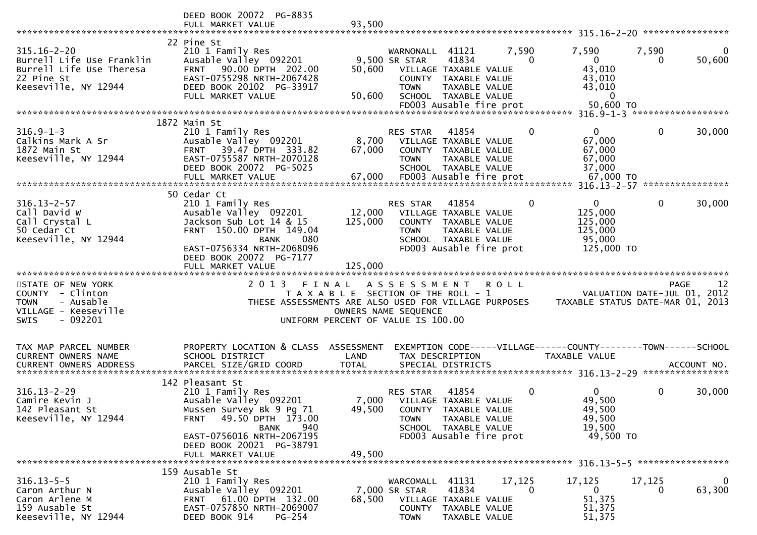|                                                                                                                       | DEED BOOK 20072 PG-8835<br>FULL MARKET VALUE                                                                                                                                  | 93,500                                                                                              |                                                        |                                                                                                                            |                   |                                                                                  |              |                                           |
|-----------------------------------------------------------------------------------------------------------------------|-------------------------------------------------------------------------------------------------------------------------------------------------------------------------------|-----------------------------------------------------------------------------------------------------|--------------------------------------------------------|----------------------------------------------------------------------------------------------------------------------------|-------------------|----------------------------------------------------------------------------------|--------------|-------------------------------------------|
| $315.16 - 2 - 20$<br>Burrell Life Use Franklin<br>Burrell Life Use Theresa<br>22 Pine St<br>Keeseville, NY 12944      | 22 Pine St<br>210 1 Family Res<br>Ausable Valley 092201<br>90.00 DPTH 202.00<br><b>FRNT</b><br>EAST-0755298 NRTH-2067428<br>DEED BOOK 20102 PG-33917<br>FULL MARKET VALUE     | 50,600<br>50,600                                                                                    | WARNONALL 41121<br>9,500 SR STAR<br><b>TOWN</b>        | 41834<br>VILLAGE TAXABLE VALUE<br>COUNTY TAXABLE VALUE<br>TAXABLE VALUE<br>SCHOOL TAXABLE VALUE<br>FD003 Ausable fire prot | 7,590<br>$\Omega$ | 7,590<br>$\mathbf{0}$<br>43,010<br>43,010<br>43,010<br>$\mathbf{0}$<br>50,600 TO | 7,590<br>0   | $\Omega$<br>50,600                        |
|                                                                                                                       |                                                                                                                                                                               |                                                                                                     |                                                        |                                                                                                                            |                   |                                                                                  |              |                                           |
| $316.9 - 1 - 3$<br>Calkins Mark A Sr<br>1872 Main St<br>Keeseville, NY 12944                                          | 1872 Main St<br>210 1 Family Res<br>Ausable Valley 092201<br>39.47 DPTH 333.82<br><b>FRNT</b><br>EAST-0755587 NRTH-2070128<br>DEED BOOK 20072 PG-5025                         | 8,700<br>67,000                                                                                     | RES STAR<br><b>TOWN</b>                                | 41854<br>VILLAGE TAXABLE VALUE<br>COUNTY TAXABLE VALUE<br>TAXABLE VALUE<br>SCHOOL TAXABLE VALUE                            | 0                 | $\mathbf{0}$<br>67,000<br>67,000<br>67,000<br>37,000                             | $\mathbf 0$  | 30,000                                    |
|                                                                                                                       | 50 Cedar Ct                                                                                                                                                                   |                                                                                                     |                                                        |                                                                                                                            |                   |                                                                                  |              |                                           |
| $316.13 - 2 - 57$<br>Call David W<br>Call Crystal L<br>50 Cedar Ct<br>Keeseville, NY 12944                            | 210 1 Family Res<br>Ausable Valley 092201<br>Jackson Sub Lot 14 & 15<br>FRNT 150.00 DPTH 149.04<br><b>BANK</b><br>080<br>EAST-0756334 NRTH-2068096<br>DEED BOOK 20072 PG-7177 | 12,000<br>125,000                                                                                   | RES STAR<br><b>TOWN</b>                                | 41854<br>VILLAGE TAXABLE VALUE<br>COUNTY TAXABLE VALUE<br>TAXABLE VALUE<br>SCHOOL TAXABLE VALUE<br>FD003 Ausable fire prot | $\mathbf 0$       | $\mathbf 0$<br>125,000<br>125,000<br>125,000<br>95,000<br>125,000 TO             | $\mathbf 0$  | 30,000                                    |
|                                                                                                                       | FULL MARKET VALUE                                                                                                                                                             | 125,000                                                                                             |                                                        |                                                                                                                            |                   |                                                                                  |              |                                           |
| STATE OF NEW YORK<br>COUNTY - Clinton<br><b>TOWN</b><br>- Ausable<br>VILLAGE - Keeseville<br>$-092201$<br><b>SWIS</b> | 2013 FINAL<br>THESE ASSESSMENTS ARE ALSO USED FOR VILLAGE PURPOSES                                                                                                            | T A X A B L E SECTION OF THE ROLL - 1<br>OWNERS NAME SEQUENCE<br>UNIFORM PERCENT OF VALUE IS 100.00 | A S S E S S M E N T                                    |                                                                                                                            | <b>ROLL</b>       | TAXABLE STATUS DATE-MAR 01, 2013                                                 |              | 12<br>PAGE<br>VALUATION DATE-JUL 01, 2012 |
| TAX MAP PARCEL NUMBER<br>CURRENT OWNERS NAME                                                                          | PROPERTY LOCATION & CLASS ASSESSMENT<br>SCHOOL DISTRICT                                                                                                                       | LAND                                                                                                |                                                        | TAX DESCRIPTION                                                                                                            |                   | EXEMPTION CODE-----VILLAGE------COUNTY--------TOWN------SCHOOL<br>TAXABLE VALUE  |              |                                           |
| <b>CURRENT OWNERS ADDRESS</b>                                                                                         | PARCEL SIZE/GRID COORD                                                                                                                                                        | <b>TOTAL</b>                                                                                        |                                                        | SPECIAL DISTRICTS                                                                                                          |                   |                                                                                  |              | ACCOUNT NO.                               |
| $316.13 - 2 - 29$<br>Camire Kevin J<br>142 Pleasant St<br>Keeseville, NY 12944                                        | 142 Pleasant St<br>210 1 Family Res<br>Ausable Valley 092201<br>Mussen Survey Bk 9 Pg 71<br>49.50 DPTH 173.00<br><b>FRNT</b><br>940<br><b>BANK</b>                            | 49,500                                                                                              | RES STAR<br>7,000 VILLAGE TAXABLE VALUE<br><b>TOWN</b> | 41854<br>COUNTY TAXABLE VALUE<br>TAXABLE VALUE<br>SCHOOL TAXABLE VALUE                                                     | $\Omega$          | $\Omega$<br>49,500<br>49,500<br>49,500<br>19,500                                 | $\mathbf{0}$ | 30,000                                    |
|                                                                                                                       | EAST-0756016 NRTH-2067195<br>DEED BOOK 20021 PG-38791<br>FULL MARKET VALUE                                                                                                    | 49,500                                                                                              |                                                        | FD003 Ausable fire prot                                                                                                    |                   | 49,500 TO                                                                        |              |                                           |
| $316.13 - 5 - 5$<br>Caron Arthur N<br>Caron Arlene M<br>159 Ausable St<br>Keeseville, NY 12944                        | 159 Ausable St<br>210 1 Family Res<br>Ausable Valley 092201<br>FRNT 61.00 DPTH 132.00<br>EAST-0757850 NRTH-2069007<br>DEED BOOK 914<br>PG-254                                 | 68,500                                                                                              | WARCOMALL<br>7,000 SR STAR<br><b>TOWN</b>              | 41131<br>41834<br>VILLAGE TAXABLE VALUE<br>COUNTY TAXABLE VALUE<br>TAXABLE VALUE                                           | 17,125<br>0       | 17,125<br>$\mathbf{0}$<br>51,375<br>51,375<br>51,375                             | 17,125<br>0  | 0<br>63,300                               |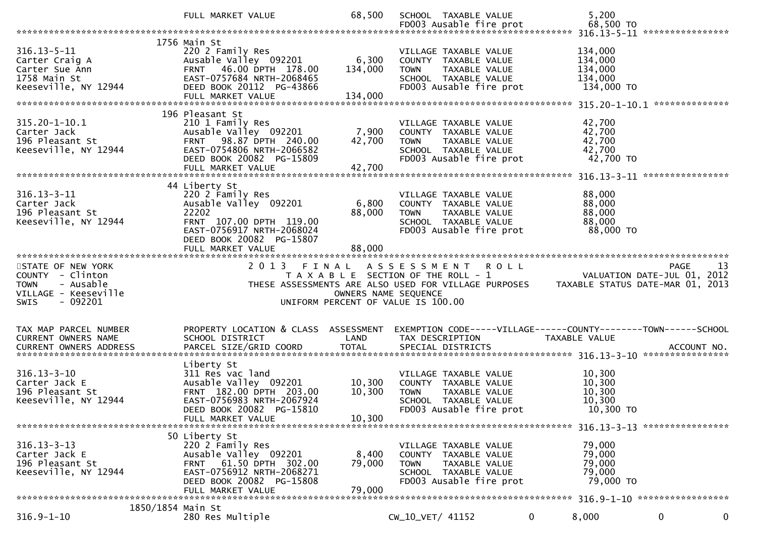|                                                                                                  | FULL MARKET VALUE                                                                                                                                                            | 68,500                      | SCHOOL TAXABLE VALUE<br>FD003 Ausable fire prot                                                                                     | 5,200<br>68,500 TO                                                              |
|--------------------------------------------------------------------------------------------------|------------------------------------------------------------------------------------------------------------------------------------------------------------------------------|-----------------------------|-------------------------------------------------------------------------------------------------------------------------------------|---------------------------------------------------------------------------------|
|                                                                                                  |                                                                                                                                                                              |                             |                                                                                                                                     |                                                                                 |
| $316.13 - 5 - 11$<br>Carter Craig A<br>Carter Sue Ann<br>1758 Main St<br>Keeseville, NY 12944    | 1756 Main St<br>220 2 Family Res<br>Ausable Valley 092201<br>FRNT 46.00 DPTH 178.00<br>EAST-0757684 NRTH-2068465<br>DEED BOOK 20112 PG-43866<br>FULL MARKET VALUE            | 6,300<br>134,000<br>134,000 | VILLAGE TAXABLE VALUE<br>COUNTY TAXABLE VALUE<br><b>TOWN</b><br>TAXABLE VALUE<br>SCHOOL TAXABLE VALUE<br>FD003 Ausable fire prot    | 134,000<br>134,000<br>134,000<br>134,000<br>134,000 TO                          |
|                                                                                                  | 196 Pleasant St                                                                                                                                                              |                             |                                                                                                                                     |                                                                                 |
| 315.20-1-10.1<br>Carter Jack<br>196 Pleasant St<br>Keeseville, NY 12944                          | 210 1 Family Res<br>Ausable Valley 092201<br>FRNT 98.87 DPTH 240.00<br>EAST-0754806 NRTH-2066582<br>DEED BOOK 20082 PG-15809<br>FULL MARKET VALUE                            | 7,900<br>42,700<br>42,700   | VILLAGE TAXABLE VALUE<br>COUNTY TAXABLE VALUE<br><b>TOWN</b><br>TAXABLE VALUE<br>SCHOOL TAXABLE VALUE<br>FD003 Ausable fire prot    | 42,700<br>42,700<br>42,700<br>42,700<br>42,700 TO                               |
|                                                                                                  |                                                                                                                                                                              |                             |                                                                                                                                     |                                                                                 |
| $316.13 - 3 - 11$<br>Carter Jack<br>196 Pleasant St<br>Keeseville, NY 12944                      | 44 Liberty St<br>220 2 Family Res<br>Ausable Valley 092201<br>22202<br>FRNT 107.00 DPTH 119.00<br>EAST-0756917 NRTH-2068024<br>DEED BOOK 20082 PG-15807<br>FULL MARKET VALUE | 6,800<br>88,000<br>88,000   | VILLAGE TAXABLE VALUE<br>COUNTY TAXABLE VALUE<br><b>TOWN</b><br>TAXABLE VALUE<br>SCHOOL TAXABLE VALUE<br>FD003 Ausable fire prot    | 88,000<br>88,000<br>88,000<br>88,000<br>88,000 TO                               |
|                                                                                                  |                                                                                                                                                                              |                             |                                                                                                                                     |                                                                                 |
| STATE OF NEW YORK                                                                                | 2 0 1 3<br>FINAL                                                                                                                                                             |                             | A S S E S S M E N T<br><b>ROLL</b>                                                                                                  | 13<br>PAGE                                                                      |
| COUNTY - Clinton<br>- Ausable<br><b>TOWN</b><br>VILLAGE - Keeseville<br>$-092201$<br><b>SWIS</b> |                                                                                                                                                                              | OWNERS NAME SEQUENCE        | T A X A B L E SECTION OF THE ROLL - 1<br>THESE ASSESSMENTS ARE ALSO USED FOR VILLAGE PURPOSES<br>UNIFORM PERCENT OF VALUE IS 100.00 | VALUATION DATE-JUL 01, 2012<br>TAXABLE STATUS DATE-MAR 01, 2013                 |
| TAX MAP PARCEL NUMBER<br><b>CURRENT OWNERS NAME</b>                                              | PROPERTY LOCATION & CLASS ASSESSMENT<br>SCHOOL DISTRICT                                                                                                                      | LAND                        | TAX DESCRIPTION                                                                                                                     | EXEMPTION CODE-----VILLAGE------COUNTY--------TOWN------SCHOOL<br>TAXABLE VALUE |
| $316.13 - 3 - 10$<br>Carter Jack E<br>196 Pleasant St<br>Keeseville, NY 12944                    | Liberty St<br>311 Res vac land<br>Ausable Valley 092201<br>FRNT 182.00 DPTH 203.00<br>EAST-0756983 NRTH-2067924<br>DEED BOOK 20082 PG-15810<br>FULL MARKET VALUE             | 10,300<br>10,300<br>10,300  | VILLAGE TAXABLE VALUE<br>COUNTY TAXABLE VALUE<br><b>TOWN</b><br>TAXABLE VALUE<br>SCHOOL TAXABLE VALUE<br>FD003 Ausable fire prot    | 10,300<br>10,300<br>10,300<br>10,300<br>10,300 TO                               |
|                                                                                                  |                                                                                                                                                                              |                             |                                                                                                                                     |                                                                                 |
| $316.13 - 3 - 13$<br>Carter Jack E<br>196 Pleasant St<br>Keeseville, NY 12944                    | 50 Liberty St<br>220 2 Family Res<br>Ausable Valley 092201<br>FRNT 61.50 DPTH 302.00<br>EAST-0756912 NRTH-2068271<br>DEED BOOK 20082 PG-15808<br>FULL MARKET VALUE           | 8,400<br>79,000<br>79,000   | VILLAGE TAXABLE VALUE<br>COUNTY TAXABLE VALUE<br><b>TOWN</b><br>TAXABLE VALUE<br>SCHOOL TAXABLE VALUE<br>FD003 Ausable fire prot    | 79,000<br>79,000<br>79,000<br>79,000<br>79,000 TO                               |
| 1850/1854 Main St                                                                                |                                                                                                                                                                              |                             |                                                                                                                                     |                                                                                 |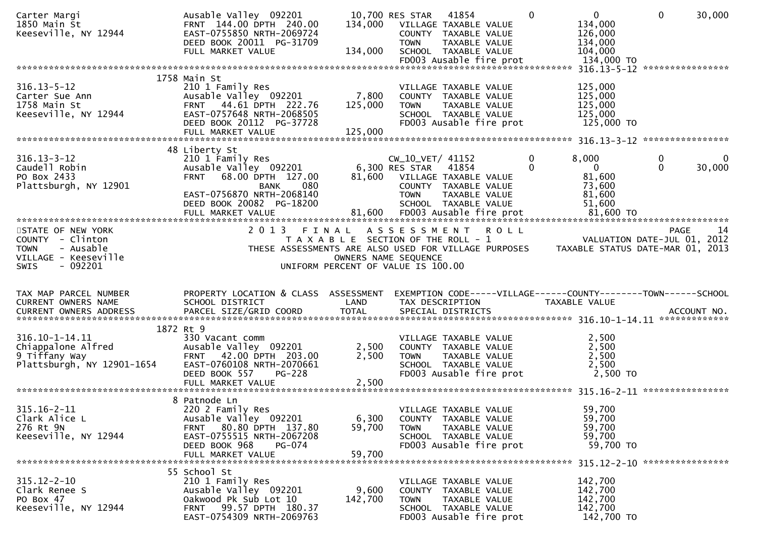| Carter Margi                                     | Ausable Valley 092201                                         |                                       | 10,700 RES STAR 41854              |                                                 | $\Omega$ | $\mathbf{0}$                                                   | $\mathbf 0$  | 30,000           |
|--------------------------------------------------|---------------------------------------------------------------|---------------------------------------|------------------------------------|-------------------------------------------------|----------|----------------------------------------------------------------|--------------|------------------|
| 1850 Main St                                     | FRNT 144.00 DPTH 240.00<br>EAST-0755850 NRTH-2069724          | 134,000                               | VILLAGE TAXABLE VALUE              | COUNTY TAXABLE VALUE                            |          | 134,000                                                        |              |                  |
| Keeseville, NY 12944                             | DEED BOOK 20011 PG-31709                                      |                                       | <b>TOWN</b>                        | TAXABLE VALUE                                   |          | 126,000<br>134,000                                             |              |                  |
|                                                  | FULL MARKET VALUE                                             | 134,000                               |                                    | SCHOOL TAXABLE VALUE                            |          | 104,000                                                        |              |                  |
|                                                  |                                                               |                                       |                                    | FD003 Ausable fire prot                         |          | 134,000 TO                                                     |              |                  |
|                                                  |                                                               |                                       |                                    |                                                 |          |                                                                |              | **************** |
| $316.13 - 5 - 12$                                | 1758 Main St                                                  |                                       |                                    |                                                 |          |                                                                |              |                  |
| Carter Sue Ann                                   | 210 1 Family Res<br>Ausable Valley 092201                     | 7,800                                 |                                    | VILLAGE TAXABLE VALUE<br>COUNTY TAXABLE VALUE   |          | 125,000<br>125,000                                             |              |                  |
| 1758 Main St                                     | FRNT 44.61 DPTH 222.76                                        | 125,000                               | <b>TOWN</b>                        | TAXABLE VALUE                                   |          | 125,000                                                        |              |                  |
| Keeseville, NY 12944                             | EAST-0757648 NRTH-2068505                                     |                                       |                                    | SCHOOL TAXABLE VALUE                            |          | 125,000                                                        |              |                  |
|                                                  | DEED BOOK 20112 PG-37728                                      |                                       |                                    | FD003 Ausable fire prot                         |          | 125,000 TO                                                     |              |                  |
|                                                  | FULL MARKET VALUE                                             | 125,000                               |                                    |                                                 |          |                                                                |              |                  |
|                                                  | 48 Liberty St                                                 |                                       |                                    |                                                 |          |                                                                |              |                  |
| $316.13 - 3 - 12$                                | 210 1 Family Res                                              |                                       | $CW_10_VET/41152$                  |                                                 | 0        | 8,000                                                          | 0            | 0                |
| Caudell Robin                                    | Ausable Valley 092201                                         |                                       | 6,300 RES STAR                     | 41854                                           | 0        | $\overline{0}$                                                 | $\mathbf{0}$ | 30,000           |
| PO Box 2433                                      | 68.00 DPTH 127.00<br><b>FRNT</b>                              | 81,600                                | VILLAGE TAXABLE VALUE              |                                                 |          | 81,600                                                         |              |                  |
| Plattsburgh, NY 12901                            | 080<br>BANK                                                   |                                       |                                    | COUNTY TAXABLE VALUE                            |          | 73,600                                                         |              |                  |
|                                                  | EAST-0756870 NRTH-2068140                                     |                                       | <b>TOWN</b>                        | TAXABLE VALUE                                   |          | 81,600                                                         |              |                  |
|                                                  | DEED BOOK 20082 PG-18200                                      |                                       |                                    | SCHOOL TAXABLE VALUE                            |          | 51,600                                                         |              |                  |
|                                                  |                                                               |                                       |                                    |                                                 |          |                                                                |              |                  |
| STATE OF NEW YORK                                | 2013 FINAL                                                    |                                       | ASSESSMENT ROLL                    |                                                 |          |                                                                |              | -14<br>PAGE      |
| COUNTY - Clinton                                 |                                                               | T A X A B L E SECTION OF THE ROLL - 1 |                                    |                                                 |          | VALUATION DATE-JUL 01, 2012                                    |              |                  |
| - Ausable<br><b>TOWN</b>                         | THESE ASSESSMENTS ARE ALSO USED FOR VILLAGE PURPOSES          |                                       |                                    |                                                 |          | TAXABLE STATUS DATE-MAR 01, 2013                               |              |                  |
| VILLAGE - Keeseville<br><b>SWIS</b><br>$-092201$ |                                                               | OWNERS NAME SEQUENCE                  |                                    |                                                 |          |                                                                |              |                  |
|                                                  |                                                               |                                       |                                    |                                                 |          |                                                                |              |                  |
|                                                  |                                                               |                                       | UNIFORM PERCENT OF VALUE IS 100.00 |                                                 |          |                                                                |              |                  |
|                                                  |                                                               |                                       |                                    |                                                 |          |                                                                |              |                  |
| TAX MAP PARCEL NUMBER                            | PROPERTY LOCATION & CLASS ASSESSMENT                          |                                       |                                    |                                                 |          | EXEMPTION CODE-----VILLAGE------COUNTY--------TOWN------SCHOOL |              |                  |
| CURRENT OWNERS NAME                              | SCHOOL DISTRICT                                               | LAND                                  | TAX DESCRIPTION                    |                                                 |          | <b>TAXABLE VALUE</b>                                           |              |                  |
| <b>CURRENT OWNERS ADDRESS</b>                    | PARCEL SIZE/GRID COORD                                        | <b>TOTAL</b>                          |                                    | SPECIAL DISTRICTS                               |          |                                                                |              | ACCOUNT NO.      |
|                                                  |                                                               |                                       |                                    |                                                 |          |                                                                |              |                  |
|                                                  | 1872 Rt 9                                                     |                                       |                                    |                                                 |          |                                                                |              |                  |
| 316.10-1-14.11<br>Chiappalone Alfred             | 330 Vacant comm<br>Ausable Valley 092201                      | 2,500                                 |                                    | VILLAGE TAXABLE VALUE<br>COUNTY TAXABLE VALUE   |          | 2,500<br>2,500                                                 |              |                  |
| 9 Tiffany Way                                    | FRNT 42.00 DPTH 203.00                                        | 2,500                                 | <b>TOWN</b>                        | TAXABLE VALUE                                   |          | 2,500                                                          |              |                  |
| Plattsburgh, NY 12901-1654                       | EAST-0760108 NRTH-2070661                                     |                                       |                                    | SCHOOL TAXABLE VALUE                            |          | 2,500                                                          |              |                  |
|                                                  | DEED BOOK 557<br><b>PG-228</b>                                |                                       |                                    | FD003 Ausable fire prot                         |          | 2,500 TO                                                       |              |                  |
|                                                  |                                                               |                                       |                                    |                                                 |          |                                                                |              |                  |
|                                                  |                                                               |                                       |                                    |                                                 |          |                                                                |              |                  |
| $315.16 - 2 - 11$                                | 8 Patnode Ln<br>220 2 Family Res                              |                                       |                                    | VILLAGE TAXABLE VALUE                           |          | 59,700                                                         |              |                  |
| Clark Alice L                                    | Ausable Valley 092201                                         | 6,300                                 |                                    | COUNTY TAXABLE VALUE                            |          | 59,700                                                         |              |                  |
| 276 Rt 9N                                        | 80.80 DPTH 137.80<br>FRNT                                     | 59,700                                | <b>TOWN</b>                        | TAXABLE VALUE                                   |          | 59,700                                                         |              |                  |
| Keeseville, NY 12944                             | EAST-0755515 NRTH-2067208                                     |                                       |                                    | SCHOOL TAXABLE VALUE                            |          | 59,700                                                         |              |                  |
|                                                  | DEED BOOK 968<br>PG-074                                       |                                       |                                    | FD003 Ausable fire prot                         |          | 59,700 TO                                                      |              |                  |
|                                                  | FULL MARKET VALUE                                             | 59,700                                |                                    |                                                 |          |                                                                |              |                  |
|                                                  | 55 School St                                                  |                                       |                                    |                                                 |          |                                                                |              |                  |
| $315.12 - 2 - 10$                                | 210 1 Family Res                                              |                                       |                                    | VILLAGE TAXABLE VALUE                           |          | 142,700                                                        |              |                  |
| Clark Renee S                                    | Ausable Valley 092201                                         | 9,600                                 |                                    | COUNTY TAXABLE VALUE                            |          | 142,700                                                        |              |                  |
| PO Box 47                                        | Oakwood Pk Sub Lot 10                                         | 142,700                               | <b>TOWN</b>                        | <b>TAXABLE VALUE</b>                            |          | 142,700                                                        |              |                  |
| Keeseville, NY 12944                             | 99.57 DPTH 180.37<br><b>FRNT</b><br>EAST-0754309 NRTH-2069763 |                                       |                                    | SCHOOL TAXABLE VALUE<br>FD003 Ausable fire prot |          | 142,700<br>142,700 TO                                          |              |                  |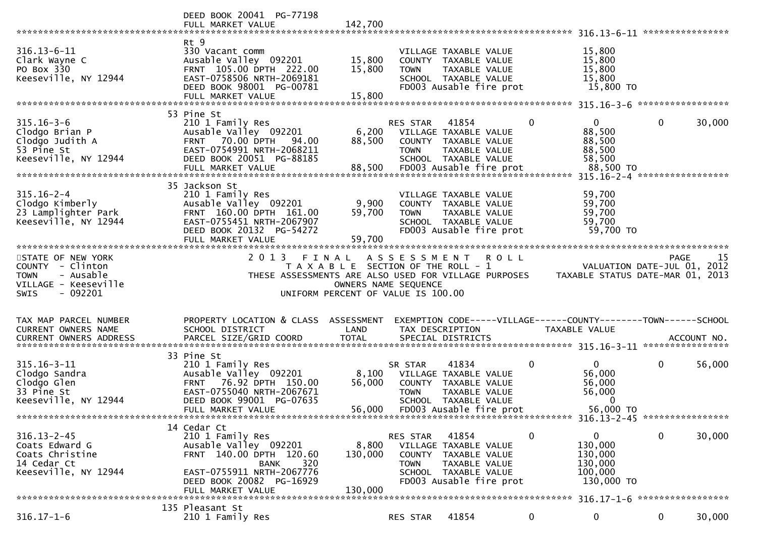|                                                                                                  | DEED BOOK 20041 PG-77198<br>FULL MARKET VALUE                                                                                                                                           | 142,700                     |                                                                                                     |                                                                                                   |                                                                                   |             | ****************            |
|--------------------------------------------------------------------------------------------------|-----------------------------------------------------------------------------------------------------------------------------------------------------------------------------------------|-----------------------------|-----------------------------------------------------------------------------------------------------|---------------------------------------------------------------------------------------------------|-----------------------------------------------------------------------------------|-------------|-----------------------------|
| $316.13 - 6 - 11$<br>Clark Wayne C<br>PO Box 330<br>Keeseville, NY 12944                         | Rt 9<br>330 Vacant comm<br>Ausable Valley 092201<br>FRNT 105.00 DPTH 222.00<br>EAST-0758506 NRTH-2069181<br>DEED BOOK 98001 PG-00781<br>FULL MARKET VALUE                               | 15,800<br>15,800<br>15,800  | VILLAGE TAXABLE VALUE<br>COUNTY TAXABLE VALUE<br><b>TOWN</b>                                        | TAXABLE VALUE<br>SCHOOL TAXABLE VALUE<br>FD003 Ausable fire prot                                  | 15,800<br>15,800<br>15,800<br>15,800<br>15,800 TO                                 |             |                             |
|                                                                                                  | 53 Pine St                                                                                                                                                                              |                             |                                                                                                     |                                                                                                   |                                                                                   |             |                             |
| $315.16 - 3 - 6$<br>Clodgo Brian P<br>Clodgo Judith A<br>53 Pine St<br>Keeseville, NY 12944      | 210 1 Family Res<br>Ausable Valley 092201<br>70.00 DPTH<br>94.00<br><b>FRNT</b><br>EAST-0754991 NRTH-2068211<br>DEED BOOK 20051 PG-88185<br>FULL MARKET VALUE                           | 6,200<br>88,500<br>88,500   | RES STAR<br>VILLAGE TAXABLE VALUE<br><b>TOWN</b>                                                    | 41854<br>COUNTY TAXABLE VALUE<br>TAXABLE VALUE<br>SCHOOL TAXABLE VALUE<br>FD003 Ausable fire prot | $\mathbf{0}$<br>$\mathbf{0}$<br>88,500<br>88,500<br>88,500<br>58,500<br>88,500 TO | 0           | 30,000                      |
|                                                                                                  | 35 Jackson St                                                                                                                                                                           |                             |                                                                                                     |                                                                                                   |                                                                                   |             |                             |
| $315.16 - 2 - 4$<br>Clodgo Kimberly<br>23 Lamplighter Park<br>Keeseville, NY 12944               | 210 1 Family Res<br>Ausable Valley 092201<br>FRNT 160.00 DPTH 161.00<br>EAST-0755451 NRTH-2067907<br>DEED BOOK 20132 PG-54272                                                           | 9,900<br>59,700             | VILLAGE TAXABLE VALUE<br>COUNTY TAXABLE VALUE<br><b>TOWN</b>                                        | TAXABLE VALUE<br>SCHOOL TAXABLE VALUE<br>FD003 Ausable fire prot                                  | 59,700<br>59,700<br>59,700<br>59,700<br>59,700 TO                                 |             |                             |
|                                                                                                  | FULL MARKET VALUE<br>**********************                                                                                                                                             | 59,700                      |                                                                                                     |                                                                                                   |                                                                                   |             |                             |
| STATE OF NEW YORK                                                                                | 2 0 1 3                                                                                                                                                                                 | FINAL                       | A S S E S S M E N T                                                                                 | <b>ROLL</b>                                                                                       |                                                                                   |             | -15<br><b>PAGE</b>          |
| COUNTY - Clinton<br>- Ausable<br><b>TOWN</b><br>VILLAGE - Keeseville<br>$-092201$<br><b>SWIS</b> | THESE ASSESSMENTS ARE ALSO USED FOR VILLAGE PURPOSES                                                                                                                                    |                             | T A X A B L E SECTION OF THE ROLL - 1<br>OWNERS NAME SEQUENCE<br>UNIFORM PERCENT OF VALUE IS 100.00 |                                                                                                   | TAXABLE STATUS DATE-MAR 01, 2013                                                  |             | VALUATION DATE-JUL 01, 2012 |
| TAX MAP PARCEL NUMBER<br>CURRENT OWNERS NAME                                                     | PROPERTY LOCATION & CLASS ASSESSMENT<br>SCHOOL DISTRICT                                                                                                                                 | LAND                        | TAX DESCRIPTION                                                                                     |                                                                                                   | EXEMPTION CODE-----VILLAGE------COUNTY-------TOWN------SCHOOL<br>TAXABLE VALUE    |             |                             |
|                                                                                                  |                                                                                                                                                                                         |                             |                                                                                                     |                                                                                                   |                                                                                   |             |                             |
| $315.16 - 3 - 11$<br>Clodgo Sandra<br>Clodgo Glen<br>33 Pine St<br>Keeseville, NY 12944          | 33 Pine St<br>210 1 Family Res<br>Ausable Valley 092201<br>76.92 DPTH 150.00<br><b>FRNT</b><br>EAST-0755040 NRTH-2067671<br>DEED BOOK 99001 PG-07635<br>FULL MARKET VALUE               | 8,100<br>56,000<br>56,000   | SR STAR<br>VILLAGE TAXABLE VALUE<br><b>TOWN</b>                                                     | 41834<br>COUNTY TAXABLE VALUE<br>TAXABLE VALUE<br>SCHOOL TAXABLE VALUE<br>FD003 Ausable fire prot | 0<br>$\overline{0}$<br>56,000<br>56,000<br>56,000<br>$\Omega$<br>56,000 TO        | $\mathbf 0$ | 56,000                      |
|                                                                                                  |                                                                                                                                                                                         |                             |                                                                                                     |                                                                                                   |                                                                                   |             |                             |
| $316.13 - 2 - 45$<br>Coats Edward G<br>Coats Christine<br>14 Cedar Ct<br>Keeseville, NY 12944    | 14 Cedar Ct<br>210 1 Family Res<br>Ausable Valley 092201<br>FRNT 140.00 DPTH 120.60<br>320<br><b>BANK</b><br>EAST-0755911 NRTH-2067776<br>DEED BOOK 20082 PG-16929<br>FULL MARKET VALUE | 8,800<br>130,000<br>130,000 | RES STAR<br>VILLAGE TAXABLE VALUE<br><b>TOWN</b>                                                    | 41854<br>COUNTY TAXABLE VALUE<br>TAXABLE VALUE<br>SCHOOL TAXABLE VALUE<br>FD003 Ausable fire prot | 0<br>0<br>130,000<br>130,000<br>130,000<br>100,000<br>130,000 TO                  | $\mathbf 0$ | 30,000                      |
|                                                                                                  | 135 Pleasant St                                                                                                                                                                         |                             |                                                                                                     |                                                                                                   |                                                                                   |             | *****************           |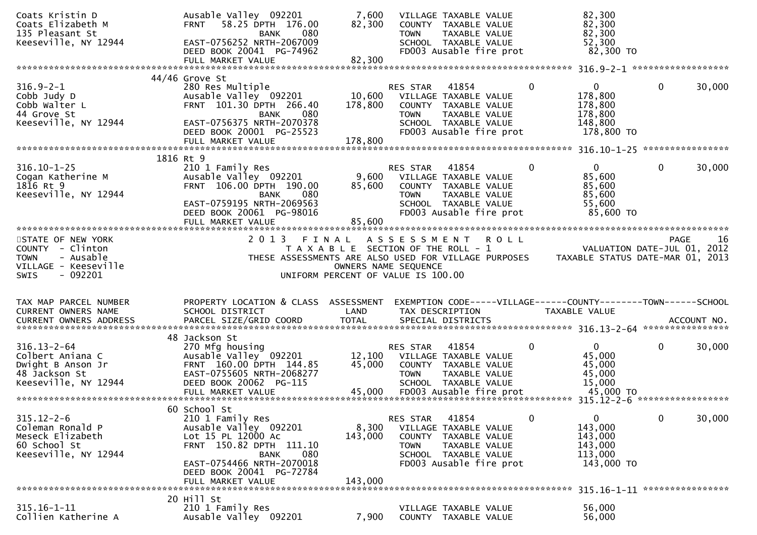| Coats Kristin D<br>Coats Elizabeth M<br>135 Pleasant St<br>Keeseville, NY 12944                               | Ausable Valley 092201<br>58.25 DPTH 176.00<br><b>FRNT</b><br>080<br><b>BANK</b><br>EAST-0756252 NRTH-2067009<br>DEED BOOK 20041 PG-74962                                                                       | 7,600<br>82,300                                                                      | <b>TOWN</b>                                 | VILLAGE TAXABLE VALUE<br>COUNTY TAXABLE VALUE<br>TAXABLE VALUE<br>SCHOOL TAXABLE VALUE<br>FD003 Ausable fire prot          |             |   | 82,300<br>82,300<br>82,300<br>52,300<br>82,300 TO                                     |              |        |
|---------------------------------------------------------------------------------------------------------------|----------------------------------------------------------------------------------------------------------------------------------------------------------------------------------------------------------------|--------------------------------------------------------------------------------------|---------------------------------------------|----------------------------------------------------------------------------------------------------------------------------|-------------|---|---------------------------------------------------------------------------------------|--------------|--------|
|                                                                                                               | FULL MARKET VALUE                                                                                                                                                                                              | 82,300                                                                               |                                             |                                                                                                                            |             |   |                                                                                       |              |        |
| $316.9 - 2 - 1$<br>Cobb Judy D<br>Cobb Walter L<br>44 Grove St<br>Keeseville, NY 12944                        | $44/46$ Grove St<br>280 Res Multiple<br>Ausable Valley 092201<br>FRNT 101.30 DPTH 266.40<br><b>BANK</b><br>080<br>EAST-0756375 NRTH-2070378<br>DEED BOOK 20001 PG-25523<br>FULL MARKET VALUE                   | 10,600<br>178,800<br>178,800                                                         | RES STAR<br><b>TOWN</b>                     | 41854<br>VILLAGE TAXABLE VALUE<br>COUNTY TAXABLE VALUE<br>TAXABLE VALUE<br>SCHOOL TAXABLE VALUE<br>FD003 Ausable fire prot |             | 0 | $\mathbf{0}$<br>178,800<br>178,800<br>178,800<br>148,800<br>178,800 TO                | $\mathbf{0}$ | 30,000 |
|                                                                                                               | 1816 Rt 9                                                                                                                                                                                                      |                                                                                      |                                             |                                                                                                                            |             |   |                                                                                       |              |        |
| $316.10 - 1 - 25$<br>Cogan Katherine M<br>1816 Rt 9<br>Keeseville, NY 12944                                   | 210 1 Family Res<br>Ausable Valley 092201<br>FRNT 106.00 DPTH 190.00<br>080<br>BANK<br>EAST-0759195 NRTH-2069563<br>DEED BOOK 20061 PG-98016<br>FULL MARKET VALUE                                              | 9,600<br>85,600<br>85,600                                                            | <b>RES STAR</b><br><b>TOWN</b>              | 41854<br>VILLAGE TAXABLE VALUE<br>COUNTY TAXABLE VALUE<br>TAXABLE VALUE<br>SCHOOL TAXABLE VALUE<br>FD003 Ausable fire prot |             | 0 | $\overline{0}$<br>85,600<br>85,600<br>85,600<br>55,600<br>85,600 TO                   | 0            | 30,000 |
| STATE OF NEW YORK<br>COUNTY - Clinton<br>- Ausable<br><b>TOWN</b><br>VILLAGE - Keeseville<br>SWIS<br>- 092201 | 2 0 1 3<br>THESE ASSESSMENTS ARE ALSO USED FOR VILLAGE PURPOSES                                                                                                                                                | FINAL<br>T A X A B L E SECTION OF THE ROLL - 1<br>UNIFORM PERCENT OF VALUE IS 100.00 | A S S E S S M E N T<br>OWNERS NAME SEQUENCE |                                                                                                                            | <b>ROLL</b> |   | VALUATION DATE-JUL 01, 2012<br>TAXABLE STATUS DATE-MAR 01, 2013                       | <b>PAGE</b>  | -16    |
| TAX MAP PARCEL NUMBER<br>CURRENT OWNERS NAME                                                                  | PROPERTY LOCATION & CLASS ASSESSMENT<br>SCHOOL DISTRICT                                                                                                                                                        | LAND                                                                                 |                                             | TAX DESCRIPTION                                                                                                            |             |   | EXEMPTION CODE-----VILLAGE------COUNTY-------TOWN------SCHOOL<br><b>TAXABLE VALUE</b> |              |        |
| $316.13 - 2 - 64$<br>Colbert Aniana C<br>Dwight B Anson Jr<br>48 Jackson St<br>Keeseville, NY 12944           | 48 Jackson St<br>270 Mfg housing<br>Ausable Valley 092201<br>FRNT 160.00 DPTH 144.85<br>EAST-0755605 NRTH-2068277<br>DEED BOOK 20062 PG-115<br>FULL MARKET VALUE                                               | 12,100<br>45,000<br>45,000                                                           | RES STAR<br><b>TOWN</b>                     | 41854<br>VILLAGE TAXABLE VALUE<br>COUNTY TAXABLE VALUE<br>TAXABLE VALUE<br>SCHOOL TAXABLE VALUE<br>FD003 Ausable fire prot |             | 0 | $\overline{0}$<br>45,000<br>45,000<br>45,000<br>15,000<br>45,000 TO                   | $\mathbf{0}$ | 30,000 |
| $315.12 - 2 - 6$<br>Coleman Ronald P<br>Meseck Elizabeth<br>60 School St<br>Keeseville, NY 12944              | 60 School St<br>210 1 Family Res<br>Ausable Valley 092201<br>Lot 15 PL 12000 Ac<br>FRNT 150.82 DPTH 111.10<br>080<br><b>BANK</b><br>EAST-0754466 NRTH-2070018<br>DEED BOOK 20041 PG-72784<br>FULL MARKET VALUE | 8,300<br>143,000<br>143,000                                                          | RES STAR<br><b>COUNTY</b><br><b>TOWN</b>    | 41854<br>VILLAGE TAXABLE VALUE<br>TAXABLE VALUE<br>TAXABLE VALUE<br>SCHOOL TAXABLE VALUE<br>FD003 Ausable fire prot        |             | 0 | $\mathbf{0}$<br>143,000<br>143,000<br>143,000<br>113,000<br>143,000 TO                | $\mathbf{0}$ | 30,000 |
|                                                                                                               |                                                                                                                                                                                                                |                                                                                      |                                             |                                                                                                                            |             |   |                                                                                       |              |        |
| $315.16 - 1 - 11$<br>Collien Katherine A                                                                      | 20 Hill St<br>210 1 Family Res<br>Ausable Valley 092201                                                                                                                                                        | 7,900                                                                                |                                             | VILLAGE TAXABLE VALUE<br>COUNTY TAXABLE VALUE                                                                              |             |   | 56,000<br>56,000                                                                      |              |        |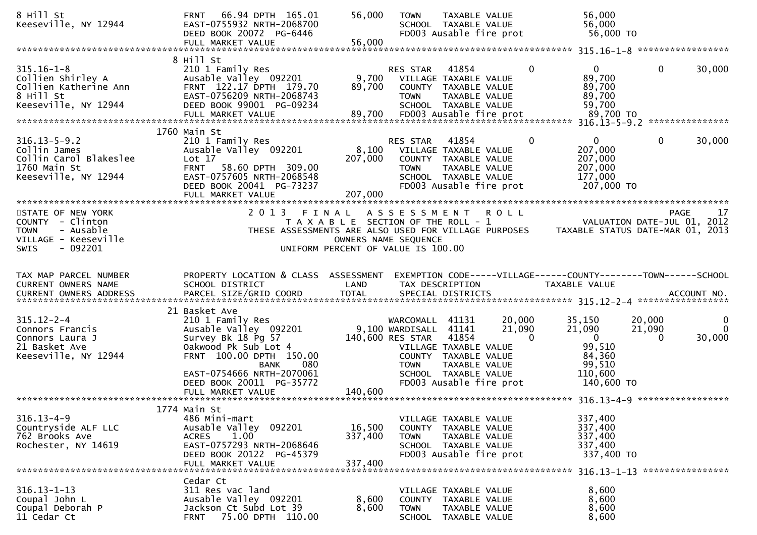| 8 Hill St<br>Keeseville, NY 12944                                                                    | FRNT 66.94 DPTH 165.01<br>EAST-0755932 NRTH-2068700<br>DEED BOOK 20072 PG-6446<br>FULL MARKET VALUE                                                                     | 56,000<br>56,000                               | <b>TOWN</b>                                                           | TAXABLE VALUE<br>SCHOOL TAXABLE VALUE<br>FD003 Ausable fire prot                                                           |                              | 56,000<br>56,000<br>56,000 TO                                                   |                              |                         |
|------------------------------------------------------------------------------------------------------|-------------------------------------------------------------------------------------------------------------------------------------------------------------------------|------------------------------------------------|-----------------------------------------------------------------------|----------------------------------------------------------------------------------------------------------------------------|------------------------------|---------------------------------------------------------------------------------|------------------------------|-------------------------|
|                                                                                                      |                                                                                                                                                                         |                                                |                                                                       |                                                                                                                            |                              |                                                                                 |                              |                         |
| $315.16 - 1 - 8$<br>Collien Shirley A<br>Collien Katherine Ann<br>8 Hill St<br>Keeseville, NY 12944  | 8 Hill St<br>210 1 Family Res<br>Ausable Valley 092201<br>FRNT 122.17 DPTH 179.70<br>EAST-0756209 NRTH-2068743<br>DEED BOOK 99001 PG-09234                              | 9,700<br>89,700                                | RES STAR<br><b>TOWN</b>                                               | 41854<br>VILLAGE TAXABLE VALUE<br>COUNTY TAXABLE VALUE<br>TAXABLE VALUE<br>SCHOOL TAXABLE VALUE                            | $\Omega$                     | $\overline{0}$<br>89,700<br>89,700<br>89,700<br>59,700                          | $\mathbf 0$                  | 30,000                  |
|                                                                                                      | 1760 Main St                                                                                                                                                            |                                                |                                                                       |                                                                                                                            |                              |                                                                                 |                              |                         |
| $316.13 - 5 - 9.2$<br>Collin James<br>Collin Carol Blakeslee<br>1760 Main St<br>Keeseville, NY 12944 | 210 1 Family Res<br>Ausable Valley 092201<br>Lot $17$<br><b>FRNT</b><br>58.60 DPTH 309.00<br>EAST-0757605 NRTH-2068548<br>DEED BOOK 20041 PG-73237<br>FULL MARKET VALUE | 8,100<br>207,000<br>207,000                    | RES STAR<br><b>TOWN</b>                                               | 41854<br>VILLAGE TAXABLE VALUE<br>COUNTY TAXABLE VALUE<br>TAXABLE VALUE<br>SCHOOL TAXABLE VALUE<br>FD003 Ausable fire prot | 0                            | $\mathbf{0}$<br>207,000<br>207,000<br>207,000<br>177,000<br>207,000 TO          | $\mathbf{0}$                 | 30,000                  |
|                                                                                                      |                                                                                                                                                                         |                                                |                                                                       |                                                                                                                            |                              |                                                                                 |                              |                         |
| STATE OF NEW YORK<br>COUNTY - Clinton                                                                | 2 0 1 3                                                                                                                                                                 | FINAL<br>T A X A B L E SECTION OF THE ROLL - 1 | A S S E S S M E N T                                                   |                                                                                                                            | <b>ROLL</b>                  | VALUATION DATE-JUL 01, 2012                                                     |                              | <b>PAGE</b><br>17       |
| <b>TOWN</b><br>- Ausable<br>VILLAGE - Keeseville<br>$-092201$<br><b>SWIS</b>                         | THESE ASSESSMENTS ARE ALSO USED FOR VILLAGE PURPOSES                                                                                                                    | UNIFORM PERCENT OF VALUE IS 100.00             | OWNERS NAME SEQUENCE                                                  |                                                                                                                            |                              | TAXABLE STATUS DATE-MAR 01, 2013                                                |                              |                         |
| TAX MAP PARCEL NUMBER<br>CURRENT OWNERS NAME<br><b>CURRENT OWNERS ADDRESS</b>                        | PROPERTY LOCATION & CLASS ASSESSMENT<br>SCHOOL DISTRICT                                                                                                                 | LAND                                           |                                                                       | TAX DESCRIPTION                                                                                                            |                              | EXEMPTION CODE-----VILLAGE------COUNTY--------TOWN------SCHOOL<br>TAXABLE VALUE |                              |                         |
|                                                                                                      | 21 Basket Ave                                                                                                                                                           |                                                |                                                                       |                                                                                                                            |                              |                                                                                 |                              |                         |
| $315.12 - 2 - 4$<br>Connors Francis<br>Connors Laura J<br>21 Basket Ave<br>Keeseville, NY 12944      | 210 1 Family Res<br>Ausable Valley 092201<br>Survey Bk 18 Pg 57<br>Oakwood Pk Sub Lot 4<br>FRNT 100.00 DPTH 150.00<br>080<br><b>BANK</b>                                |                                                | WARCOMALL 41131<br>9,100 WARDISALL<br>140,600 RES STAR<br><b>TOWN</b> | 41141<br>41854<br>VILLAGE TAXABLE VALUE<br>COUNTY TAXABLE VALUE<br>TAXABLE VALUE                                           | 20,000<br>21,090<br>$\Omega$ | 35,150<br>21,090<br>$\overline{0}$<br>99,510<br>84,360<br>99,510                | 20,000<br>21,090<br>$\Omega$ | 0<br>$\Omega$<br>30,000 |
|                                                                                                      | EAST-0754666 NRTH-2070061<br>DEED BOOK 20011 PG-35772<br>FULL MARKET VALUE                                                                                              | 140,600                                        |                                                                       | SCHOOL TAXABLE VALUE<br>FD003 Ausable fire prot                                                                            |                              | 110,600<br>140,600 TO                                                           |                              |                         |
|                                                                                                      | 1774 Main St                                                                                                                                                            |                                                |                                                                       |                                                                                                                            |                              |                                                                                 |                              |                         |
| $316.13 - 4 - 9$<br>Countryside ALF LLC<br>762 Brooks Ave<br>Rochester, NY 14619                     | 486 Mini-mart<br>Ausable Valley 092201<br>1.00<br><b>ACRES</b><br>EAST-0757293 NRTH-2068646<br>DEED BOOK 20122 PG-45379<br>FULL MARKET VALUE                            | 16,500<br>337,400<br>337,400                   | <b>TOWN</b>                                                           | VILLAGE TAXABLE VALUE<br>COUNTY TAXABLE VALUE<br>TAXABLE VALUE<br>SCHOOL TAXABLE VALUE<br>FD003 Ausable fire prot          |                              | 337,400<br>337,400<br>337,400<br>337,400<br>337,400 TO                          |                              |                         |
|                                                                                                      |                                                                                                                                                                         |                                                |                                                                       |                                                                                                                            |                              |                                                                                 |                              |                         |
| $316.13 - 1 - 13$<br>Coupal John L<br>Coupal Deborah P<br>11 Cedar Ct                                | Cedar Ct<br>311 Res vac land<br>Ausable Valley 092201<br>Jackson Ct Subd Lot 39<br>75.00 DPTH 110.00<br><b>FRNT</b>                                                     | 8,600<br>8,600                                 | <b>TOWN</b><br><b>SCHOOL</b>                                          | VILLAGE TAXABLE VALUE<br>COUNTY TAXABLE VALUE<br>TAXABLE VALUE<br>TAXABLE VALUE                                            |                              | 8,600<br>8,600<br>8,600<br>8,600                                                |                              |                         |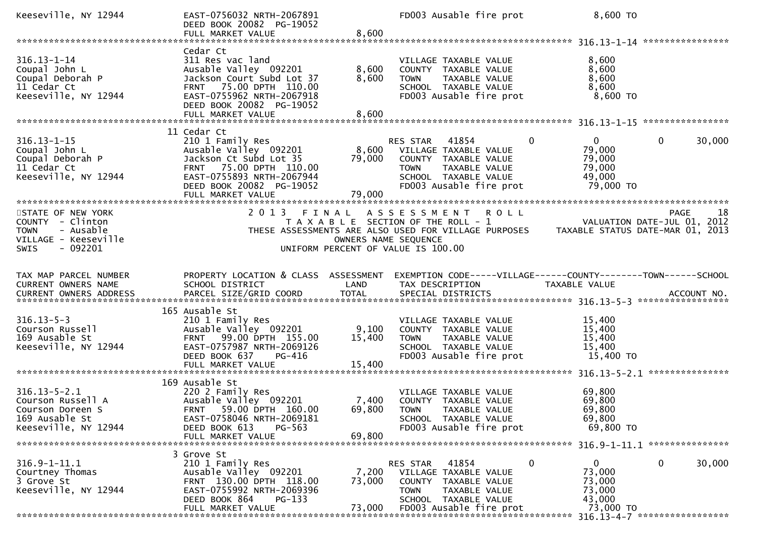| Keeseville, NY 12944                                                                                                 | EAST-0756032 NRTH-2067891<br>DEED BOOK 20082 PG-19052                                                                                                                                      |                               | FD003 Ausable fire prot                                                                                                                                                   | 8,600 TO                                                                      |                        |
|----------------------------------------------------------------------------------------------------------------------|--------------------------------------------------------------------------------------------------------------------------------------------------------------------------------------------|-------------------------------|---------------------------------------------------------------------------------------------------------------------------------------------------------------------------|-------------------------------------------------------------------------------|------------------------|
| $316.13 - 1 - 14$<br>Coupal John L<br>Coupal Deborah P<br>11 Cedar Ct<br>Keeseville, NY 12944                        | Cedar Ct<br>311 Res vac land<br>Ausable Valley 092201<br>Jackson Court Subd Lot 37<br>FRNT 75.00 DPTH 110.00<br>EAST-0755962 NRTH-2067918<br>DEED BOOK 20082 PG-19052                      | 8,600<br>8,600                | VILLAGE TAXABLE VALUE<br>COUNTY TAXABLE VALUE<br><b>TOWN</b><br>TAXABLE VALUE<br>SCHOOL TAXABLE VALUE<br>FD003 Ausable fire prot                                          | 8,600<br>8,600<br>8,600<br>8,600<br>8,600 TO                                  |                        |
|                                                                                                                      | FULL MARKET VALUE                                                                                                                                                                          | 8,600                         |                                                                                                                                                                           |                                                                               |                        |
| $316.13 - 1 - 15$<br>Coupal John L<br>Coupal Deborah P<br>11 Cedar Ct<br>Keeseville, NY 12944                        | 11 Cedar Ct<br>210 1 Family Res<br>Ausable Valley 092201<br>Jackson Ct Subd Lot 35<br>FRNT 75.00 DPTH 110.00<br>EAST-0755893 NRTH-2067944<br>DEED BOOK 20082 PG-19052<br>FULL MARKET VALUE | 79,000<br>79,000              | RES STAR 41854<br>8,600 VILLAGE TAXABLE VALUE<br>COUNTY TAXABLE VALUE<br>TAXABLE VALUE<br><b>TOWN</b><br>SCHOOL TAXABLE VALUE<br>FD003 Ausable fire prot                  | $\mathbf{0}$<br>$\Omega$<br>79,000<br>79,000<br>79,000<br>49,000<br>79,000 TO | $\mathbf{0}$<br>30,000 |
| STATE OF NEW YORK<br>COUNTY - Clinton<br><b>TOWN</b><br>- Ausable<br>VILLAGE - Keeseville<br>- 092201<br><b>SWIS</b> | 2 0 1 3                                                                                                                                                                                    | FINAL<br>OWNERS NAME SEQUENCE | A S S E S S M E N T<br><b>ROLL</b><br>T A X A B L E SECTION OF THE ROLL - 1<br>THESE ASSESSMENTS ARE ALSO USED FOR VILLAGE PURPOSES<br>UNIFORM PERCENT OF VALUE IS 100.00 | VALUATION DATE-JUL 01, 2012<br>POSES     TAXABLE STATUS DATE-MAR 01, 2013     | 18<br>PAGE             |
| TAX MAP PARCEL NUMBER<br>CURRENT OWNERS NAME                                                                         | PROPERTY LOCATION & CLASS ASSESSMENT<br>SCHOOL DISTRICT                                                                                                                                    | LAND                          | EXEMPTION CODE-----VILLAGE------COUNTY--------TOWN------SCHOOL<br>TAX DESCRIPTION                                                                                         | TAXABLE VALUE                                                                 |                        |
| $316.13 - 5 - 3$<br>Courson Russell<br>169 Ausable St<br>Keeseville, NY 12944                                        | 165 Ausable St<br>210 1 Family Res<br>Ausable Valley 092201<br>99.00 DPTH 155.00<br>FRNT<br>EAST-0757987 NRTH-2069126<br>DEED BOOK 637<br><b>PG-416</b><br>FULL MARKET VALUE               | 9,100<br>15,400<br>15,400     | VILLAGE TAXABLE VALUE<br>COUNTY TAXABLE VALUE<br>TAXABLE VALUE<br><b>TOWN</b><br>SCHOOL TAXABLE VALUE<br>FD003 Ausable fire prot                                          | 15,400<br>15,400<br>15,400<br>15,400<br>15,400 TO                             |                        |
| $316.13 - 5 - 2.1$<br>Courson Russell A<br>Courson Doreen S<br>169 Ausable St<br>Keeseville, NY 12944                | 169 Ausable St<br>220 2 Family Res<br>Ausable Valley 092201<br>FRNT 59.00 DPTH 160.00<br>EAST-0758046 NRTH-2069181<br>DEED BOOK 613<br>$PG-563$<br>FULL MARKET VALUE                       | 69,800                        | VILLAGE TAXABLE VALUE<br>7,400 COUNTY TAXABLE VALUE<br>69,800 TOWN TAXABLE VALUE<br>SCHOOL TAXABLE VALUE<br>FD003 Ausable fire prot                                       | 69,800<br>69,800<br>69,800<br>69,800<br>69,800 TO                             |                        |
| $316.9 - 1 - 11.1$<br>Courtney Thomas<br>3 Grove St<br>Keeseville, NY 12944                                          | 3 Grove St<br>210 1 Family Res<br>Ausable Valley 092201<br>FRNT 130.00 DPTH 118.00<br>EAST-0755992 NRTH-2069396<br>DEED BOOK 864<br>$PG-133$<br>FULL MARKET VALUE                          | 7,200<br>73,000<br>73,000     | 41854<br>RES STAR<br>VILLAGE TAXABLE VALUE<br>COUNTY TAXABLE VALUE<br><b>TOWN</b><br>TAXABLE VALUE<br>SCHOOL TAXABLE VALUE<br>FD003 Ausable fire prot                     | 0<br>$\overline{0}$<br>73,000<br>73,000<br>73,000<br>43,000<br>73,000 TO      | 0<br>30,000            |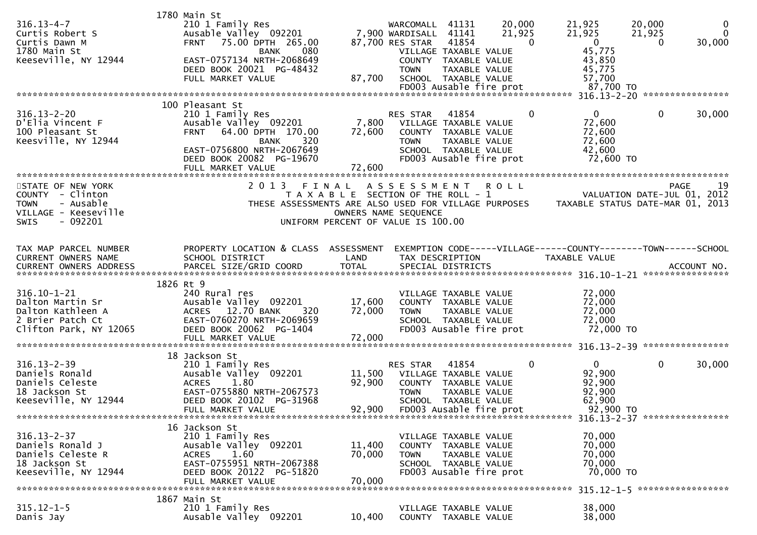| $316.13 - 4 - 7$<br>Curtis Robert S<br>Curtis Dawn M<br>1780 Main St<br>Keeseville, NY 12944                          | 1780 Main St<br>210 1 Family Res<br>Ausable Valley 092201<br>75.00 DPTH 265.00<br><b>FRNT</b><br>080<br><b>BANK</b><br>EAST-0757134 NRTH-2068649<br>DEED BOOK 20021 PG-48432<br>FULL MARKET VALUE | 87,700                        | WARCOMALL 41131<br>7,900 WARDISALL<br>41141<br>41854<br>87,700 RES STAR<br>VILLAGE TAXABLE VALUE<br>COUNTY TAXABLE VALUE<br><b>TOWN</b><br>SCHOOL TAXABLE VALUE | 20,000<br>21,925<br>$\Omega$<br>TAXABLE VALUE | 21,925<br>21,925<br>$\overline{0}$<br>45,775<br>43,850<br>45,775<br>57,700 | 20,000<br>$\bf{0}$<br>$\Omega$<br>21,925<br>30,000<br>$\Omega$ |
|-----------------------------------------------------------------------------------------------------------------------|---------------------------------------------------------------------------------------------------------------------------------------------------------------------------------------------------|-------------------------------|-----------------------------------------------------------------------------------------------------------------------------------------------------------------|-----------------------------------------------|----------------------------------------------------------------------------|----------------------------------------------------------------|
|                                                                                                                       | 100 Pleasant St                                                                                                                                                                                   |                               |                                                                                                                                                                 |                                               |                                                                            |                                                                |
| $316.13 - 2 - 20$<br>D'Elia Vincent F<br>100 Pleasant St<br>Keesville, NY 12944                                       | 210 1 Family Res<br>Ausable Valley 092201<br>64.00 DPTH 170.00<br><b>FRNT</b><br>320<br><b>BANK</b><br>EAST-0756800 NRTH-2067649<br>DEED BOOK 20082 PG-19670<br>FULL MARKET VALUE                 | 7,800<br>72,600<br>72,600     | RES STAR<br>41854<br>VILLAGE TAXABLE VALUE<br>COUNTY TAXABLE VALUE<br><b>TOWN</b><br>SCHOOL TAXABLE VALUE<br>FD003 Ausable fire prot                            | 0<br>TAXABLE VALUE                            | $\Omega$<br>72,600<br>72,600<br>72,600<br>42,600<br>72,600 TO              | 0<br>30,000                                                    |
|                                                                                                                       | 2 0 1 3                                                                                                                                                                                           |                               |                                                                                                                                                                 |                                               |                                                                            |                                                                |
| STATE OF NEW YORK<br>COUNTY - Clinton<br><b>TOWN</b><br>- Ausable<br>VILLAGE - Keeseville<br>$-092201$<br><b>SWIS</b> | THESE ASSESSMENTS ARE ALSO USED FOR VILLAGE PURPOSES                                                                                                                                              | FINAL<br>OWNERS NAME SEQUENCE | ASSESSMENT<br>T A X A B L E SECTION OF THE ROLL - 1<br>UNIFORM PERCENT OF VALUE IS 100.00                                                                       | <b>ROLL</b>                                   | TAXABLE STATUS DATE-MAR 01, 2013                                           | 19<br><b>PAGE</b><br>VALUATION DATE-JUL 01, 2012               |
| TAX MAP PARCEL NUMBER                                                                                                 | PROPERTY LOCATION & CLASS ASSESSMENT                                                                                                                                                              |                               |                                                                                                                                                                 |                                               | EXEMPTION CODE-----VILLAGE------COUNTY--------TOWN------SCHOOL             |                                                                |
| CURRENT OWNERS NAME<br>CURRENT OWNERS ADDRESS                                                                         | SCHOOL DISTRICT<br>PARCEL SIZE/GRID COORD                                                                                                                                                         | LAND<br><b>TOTAL</b>          | TAX DESCRIPTION<br>SPECIAL DISTRICTS                                                                                                                            |                                               | <b>TAXABLE VALUE</b>                                                       | ACCOUNT NO.                                                    |
|                                                                                                                       |                                                                                                                                                                                                   |                               |                                                                                                                                                                 |                                               |                                                                            |                                                                |
| $316.10 - 1 - 21$                                                                                                     | 1826 Rt 9<br>240 Rural res                                                                                                                                                                        |                               | VILLAGE TAXABLE VALUE                                                                                                                                           |                                               | 72,000                                                                     |                                                                |
| Dalton Martin Sr                                                                                                      | Ausable Valley 092201                                                                                                                                                                             | 17,600                        | COUNTY TAXABLE VALUE                                                                                                                                            |                                               | 72,000                                                                     |                                                                |
| Dalton Kathleen A<br>2 Brier Patch Ct                                                                                 | ACRES 12.70 BANK<br>320<br>EAST-0760270 NRTH-2069659                                                                                                                                              | 72,000                        | <b>TOWN</b><br>SCHOOL TAXABLE VALUE                                                                                                                             | TAXABLE VALUE                                 | 72,000<br>72,000                                                           |                                                                |
| Clifton Park, NY 12065                                                                                                | DEED BOOK 20062 PG-1404                                                                                                                                                                           |                               | FD003 Ausable fire prot                                                                                                                                         |                                               | 72,000 TO                                                                  |                                                                |
|                                                                                                                       | FULL MARKET VALUE                                                                                                                                                                                 | 72,000                        |                                                                                                                                                                 |                                               |                                                                            |                                                                |
|                                                                                                                       | 18 Jackson St                                                                                                                                                                                     |                               |                                                                                                                                                                 |                                               |                                                                            |                                                                |
| $316.13 - 2 - 39$                                                                                                     | 210 1 Family Res                                                                                                                                                                                  |                               |                                                                                                                                                                 | 0                                             | $\mathbf{0}$                                                               | 0<br>30,000                                                    |
|                                                                                                                       |                                                                                                                                                                                                   |                               | RES STAR<br>41854                                                                                                                                               |                                               |                                                                            |                                                                |
| Daniels Ronald                                                                                                        | Ausable Valley 092201                                                                                                                                                                             | 11,500                        | VILLAGE TAXABLE VALUE                                                                                                                                           |                                               | 92,900                                                                     |                                                                |
| Daniels Celeste<br>18 Jackson St                                                                                      | 1.80<br><b>ACRES</b><br>EAST-0755880 NRTH-2067573                                                                                                                                                 | 92,900                        | COUNTY TAXABLE VALUE<br><b>TOWN</b>                                                                                                                             | TAXABLE VALUE                                 | 92,900<br>92,900                                                           |                                                                |
| Keeseville, NY 12944                                                                                                  | DEED BOOK 20102 PG-31968                                                                                                                                                                          |                               | SCHOOL TAXABLE VALUE                                                                                                                                            |                                               | 62,900                                                                     |                                                                |
|                                                                                                                       | FULL MARKET VALUE                                                                                                                                                                                 |                               | 92,900 FD003 Ausable fire prot                                                                                                                                  |                                               | 92,900 TO                                                                  |                                                                |
|                                                                                                                       | 16 Jackson St                                                                                                                                                                                     |                               |                                                                                                                                                                 |                                               |                                                                            |                                                                |
| $316.13 - 2 - 37$                                                                                                     | 210 1 Family Res                                                                                                                                                                                  |                               | VILLAGE TAXABLE VALUE                                                                                                                                           |                                               | 70,000                                                                     |                                                                |
| Daniels Ronald J<br>Daniels Celeste R                                                                                 | Ausable Valley 092201                                                                                                                                                                             | 11,400<br>70,000              | COUNTY TAXABLE VALUE<br><b>TOWN</b>                                                                                                                             |                                               | 70,000                                                                     |                                                                |
| 18 Jackson St                                                                                                         | ACRES 1.60<br>EAST-0755951 NRTH-2067388                                                                                                                                                           |                               | SCHOOL TAXABLE VALUE                                                                                                                                            | TAXABLE VALUE                                 | 70,000<br>70,000                                                           |                                                                |
| Keeseville, NY 12944                                                                                                  | DEED BOOK 20122 PG-51820                                                                                                                                                                          |                               | FD003 Ausable fire prot                                                                                                                                         |                                               | 70,000 TO                                                                  |                                                                |
|                                                                                                                       | FULL MARKET VALUE                                                                                                                                                                                 | 70,000                        |                                                                                                                                                                 |                                               |                                                                            |                                                                |
| $315.12 - 1 - 5$                                                                                                      | 1867 Main St<br>210 1 Family Res                                                                                                                                                                  |                               | VILLAGE TAXABLE VALUE                                                                                                                                           |                                               | 38,000                                                                     |                                                                |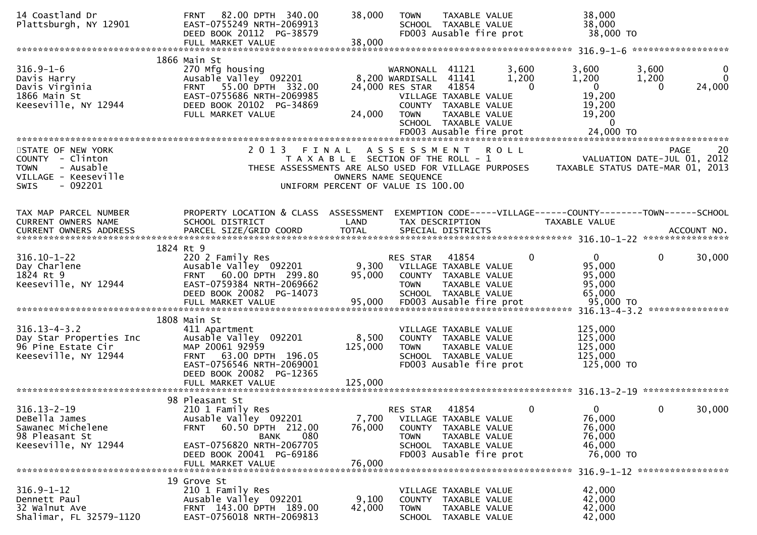| 14 Coastland Dr<br>Plattsburgh, NY 12901                                                          | 82.00 DPTH 340.00<br><b>FRNT</b><br>EAST-0755249 NRTH-2069913<br>DEED BOOK 20112 PG-38579<br>FULL MARKET VALUE                                                             | 38,000<br>38,000                                                            | <b>TOWN</b>                                                          | TAXABLE VALUE<br>SCHOOL TAXABLE VALUE<br>FD003 Ausable fire prot                                                                    |                            | 38,000<br>38,000<br>38,000 TO                                                             |                               |                                        |
|---------------------------------------------------------------------------------------------------|----------------------------------------------------------------------------------------------------------------------------------------------------------------------------|-----------------------------------------------------------------------------|----------------------------------------------------------------------|-------------------------------------------------------------------------------------------------------------------------------------|----------------------------|-------------------------------------------------------------------------------------------|-------------------------------|----------------------------------------|
|                                                                                                   |                                                                                                                                                                            |                                                                             |                                                                      |                                                                                                                                     |                            |                                                                                           | ******************            |                                        |
| $316.9 - 1 - 6$<br>Davis Harry<br>Davis Virginia<br>1866 Main St<br>Keeseville, NY 12944          | 1866 Main St<br>270 Mfg housing<br>Ausable Valley 092201<br>FRNT 55.00 DPTH 332.00<br>EAST-0755686 NRTH-2069985<br>DEED BOOK 20102 PG-34869<br>FULL MARKET VALUE           | 24,000                                                                      | WARNONALL<br>8,200 WARDISALL 41141<br>24,000 RES STAR<br><b>TOWN</b> | 41121<br>41854<br>VILLAGE TAXABLE VALUE<br>COUNTY TAXABLE VALUE<br>TAXABLE VALUE<br>SCHOOL TAXABLE VALUE<br>FD003 Ausable fire prot | 3,600<br>1,200<br>$\Omega$ | 3,600<br>1,200<br>$\mathbf{0}$<br>19,200<br>19,200<br>19,200<br>$\mathbf{0}$<br>24,000 TO | 3,600<br>1,200<br>$\Omega$    | $\mathbf{0}$<br>$\mathbf{0}$<br>24,000 |
| STATE OF NEW YORK                                                                                 | 2 0 1 3                                                                                                                                                                    | FINAL                                                                       | ASSESSMENT                                                           |                                                                                                                                     | <b>ROLL</b>                |                                                                                           | <b>PAGE</b>                   | 20                                     |
| COUNTY - Clinton<br>- Ausable<br><b>TOWN</b><br>VILLAGE - Keeseville<br>- 092201<br>SWIS          | THESE ASSESSMENTS ARE ALSO USED FOR VILLAGE PURPOSES                                                                                                                       | T A X A B L E SECTION OF THE ROLL - 1<br>UNIFORM PERCENT OF VALUE IS 100.00 | OWNERS NAME SEQUENCE                                                 |                                                                                                                                     |                            | TAXABLE STATUS DATE-MAR 01, 2013                                                          | VALUATION DATE-JUL 01, 2012   |                                        |
| TAX MAP PARCEL NUMBER<br>CURRENT OWNERS NAME                                                      | PROPERTY LOCATION & CLASS ASSESSMENT<br>SCHOOL DISTRICT                                                                                                                    | LAND                                                                        |                                                                      | TAX DESCRIPTION                                                                                                                     |                            | EXEMPTION CODE-----VILLAGE------COUNTY--------TOWN------SCHOOL<br>TAXABLE VALUE           |                               |                                        |
|                                                                                                   |                                                                                                                                                                            |                                                                             |                                                                      |                                                                                                                                     |                            |                                                                                           |                               |                                        |
|                                                                                                   | 1824 Rt 9                                                                                                                                                                  |                                                                             |                                                                      |                                                                                                                                     |                            |                                                                                           |                               |                                        |
| $316.10 - 1 - 22$<br>Day Charlene<br>1824 Rt 9<br>Keeseville, NY 12944                            | 220 2 Family Res<br>Ausable Valley 092201<br>60.00 DPTH 299.80<br><b>FRNT</b><br>EAST-0759384 NRTH-2069662<br>DEED BOOK 20082 PG-14073                                     | 9,300<br>95,000                                                             | RES STAR<br><b>TOWN</b>                                              | 41854<br>VILLAGE TAXABLE VALUE<br>COUNTY TAXABLE VALUE<br>TAXABLE VALUE<br>SCHOOL TAXABLE VALUE                                     | 0                          | $\mathbf{0}$<br>95,000<br>95,000<br>95,000<br>65,000                                      | $\mathbf 0$                   | 30,000                                 |
|                                                                                                   | FULL MARKET VALUE                                                                                                                                                          | 95,000                                                                      |                                                                      | FD003 Ausable fire prot                                                                                                             |                            | 95,000 TO                                                                                 | 316.13-4-3.2 **************** |                                        |
| $316.13 - 4 - 3.2$<br>Day Star Properties Inc<br>96 Pine Estate Cir<br>Keeseville, NY 12944       | 1808 Main St<br>411 Apartment<br>Ausable Valley 092201<br>MAP 20061 92959<br>FRNT 63.00 DPTH 196.05<br>EAST-0756546 NRTH-2069001<br>DEED BOOK 20082 PG-12365               | 8,500<br>125,000                                                            | <b>TOWN</b>                                                          | VILLAGE TAXABLE VALUE<br>COUNTY TAXABLE VALUE<br>TAXABLE VALUE<br>SCHOOL TAXABLE VALUE<br>FD003 Ausable fire prot                   |                            | 125,000<br>125,000<br>125,000<br>125,000<br>125,000 TO                                    |                               |                                        |
|                                                                                                   | 98 Pleasant St                                                                                                                                                             |                                                                             |                                                                      |                                                                                                                                     |                            |                                                                                           |                               |                                        |
| $316.13 - 2 - 19$<br>DeBella James<br>Sawanec Michelene<br>98 Pleasant St<br>Keeseville, NY 12944 | 210 1 Family Res<br>Ausable Valley 092201<br>60.50 DPTH 212.00<br><b>FRNT</b><br>080<br>BANK<br>EAST-0756820 NRTH-2067705<br>DEED BOOK 20041 PG-69186<br>FULL MARKET VALUE | 7,700<br>76,000<br>76,000                                                   | RES STAR<br><b>TOWN</b>                                              | 41854<br>VILLAGE TAXABLE VALUE<br>COUNTY TAXABLE VALUE<br>TAXABLE VALUE<br>SCHOOL TAXABLE VALUE<br>FD003 Ausable fire prot          | $\mathbf{0}$               | $\Omega$<br>76,000<br>76,000<br>76,000<br>46,000<br>76,000 TO                             | $\mathbf 0$                   | 30,000                                 |
|                                                                                                   |                                                                                                                                                                            |                                                                             |                                                                      |                                                                                                                                     |                            |                                                                                           | 316.9-1-12 ****************** |                                        |
| $316.9 - 1 - 12$<br>Dennett Paul<br>32 Walnut Ave<br>Shalimar, FL 32579-1120                      | 19 Grove St<br>210 1 Family Res<br>Ausable Valley 092201<br>FRNT 143.00 DPTH 189.00<br>EAST-0756018 NRTH-2069813                                                           | 9,100<br>42,000                                                             | <b>TOWN</b><br>SCHOOL                                                | VILLAGE TAXABLE VALUE<br>COUNTY TAXABLE VALUE<br>TAXABLE VALUE<br>TAXABLE VALUE                                                     |                            | 42,000<br>42,000<br>42,000<br>42,000                                                      |                               |                                        |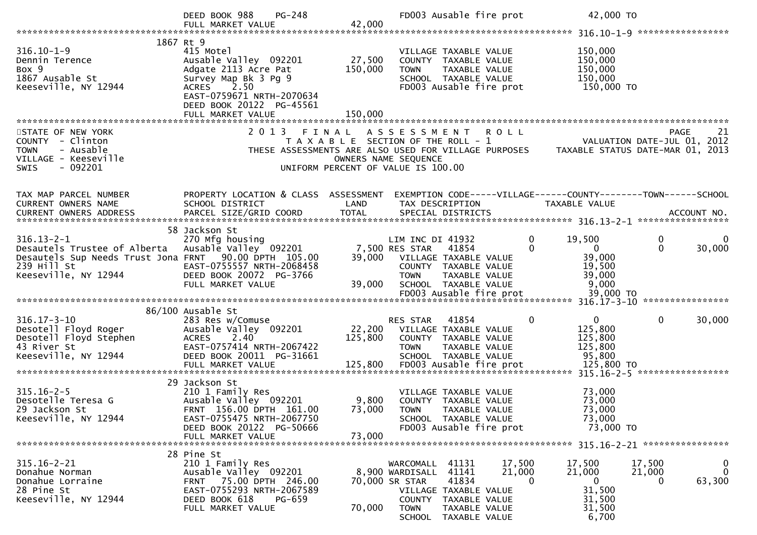|                                                                                                                                                                        | $PG-248$<br>DEED BOOK 988<br>FULL MARKET VALUE                                                                                                                      | 42,000                   | FD003 Ausable fire prot                                                                                                                                |                              | 42,000 TO                                                        |                                                                                      |
|------------------------------------------------------------------------------------------------------------------------------------------------------------------------|---------------------------------------------------------------------------------------------------------------------------------------------------------------------|--------------------------|--------------------------------------------------------------------------------------------------------------------------------------------------------|------------------------------|------------------------------------------------------------------|--------------------------------------------------------------------------------------|
|                                                                                                                                                                        | 1867 Rt 9                                                                                                                                                           |                          |                                                                                                                                                        |                              |                                                                  |                                                                                      |
| $316.10 - 1 - 9$<br>Dennin Terence<br>Box 9<br>1867 Ausable St<br>Keeseville, NY 12944                                                                                 | 415 Motel<br>Ausable Valley 092201<br>Adgate 2113 Acre Pat<br>Survey Map Bk 3 Pg 9<br>2.50<br><b>ACRES</b><br>EAST-0759671 NRTH-2070634<br>DEED BOOK 20122 PG-45561 | 27,500<br>150,000        | VILLAGE TAXABLE VALUE<br>COUNTY TAXABLE VALUE<br>TAXABLE VALUE<br><b>TOWN</b><br>SCHOOL TAXABLE VALUE<br>FD003 Ausable fire prot                       |                              | 150,000<br>150,000<br>150,000<br>150,000<br>150,000 TO           |                                                                                      |
|                                                                                                                                                                        | FULL MARKET VALUE                                                                                                                                                   | 150,000                  |                                                                                                                                                        |                              |                                                                  |                                                                                      |
|                                                                                                                                                                        |                                                                                                                                                                     |                          |                                                                                                                                                        |                              |                                                                  |                                                                                      |
| STATE OF NEW YORK<br>COUNTY - Clinton<br><b>TOWN</b><br>- Ausable<br>VILLAGE - Keeseville<br>$-092201$<br><b>SWIS</b>                                                  | 2013 FINAL                                                                                                                                                          | OWNERS NAME SEQUENCE     | ASSESSMENT ROLL<br>T A X A B L E SECTION OF THE ROLL - 1<br>THESE ASSESSMENTS ARE ALSO USED FOR VILLAGE PURPOSES<br>UNIFORM PERCENT OF VALUE IS 100.00 |                              |                                                                  | <b>PAGE</b><br>21<br>VALUATION DATE-JUL 01, 2012<br>TAXABLE STATUS DATE-MAR 01, 2013 |
|                                                                                                                                                                        |                                                                                                                                                                     |                          |                                                                                                                                                        |                              |                                                                  |                                                                                      |
| TAX MAP PARCEL NUMBER<br>CURRENT OWNERS NAME                                                                                                                           | PROPERTY LOCATION & CLASS ASSESSMENT<br>SCHOOL DISTRICT                                                                                                             | LAND                     | TAX DESCRIPTION                                                                                                                                        |                              | TAXABLE VALUE                                                    | EXEMPTION CODE-----VILLAGE------COUNTY--------TOWN------SCHOOL                       |
|                                                                                                                                                                        |                                                                                                                                                                     |                          |                                                                                                                                                        |                              |                                                                  |                                                                                      |
| $316.13 - 2 - 1$<br>Desautels Trustee of Alberta Ausable Valley 092201<br>Desautels Sup Needs Trust Jona FRNT 90.00 DPTH 105.00<br>239 Hill St<br>Keeseville, NY 12944 | 58 Jackson St<br>270 Mfg housing<br>EAST-0755557 NRTH-2068458<br>DEED BOOK 20072 PG-3766<br>FULL MARKET VALUE                                                       | 39,000<br>39,000         | LIM INC DI 41932<br>7,500 RES STAR 41854<br>VILLAGE TAXABLE VALUE<br>COUNTY TAXABLE VALUE<br><b>TOWN</b><br>TAXABLE VALUE<br>SCHOOL TAXABLE VALUE      | 0<br>$\Omega$                | 19,500<br>$\overline{0}$<br>39,000<br>19,500<br>39,000<br>9,000  | 0<br>$\bf{0}$<br>$\Omega$<br>30,000                                                  |
|                                                                                                                                                                        |                                                                                                                                                                     |                          |                                                                                                                                                        |                              |                                                                  |                                                                                      |
| $316.17 - 3 - 10$<br>Desotell Floyd Roger<br>Desotell Floyd Stephen<br>43 River St<br>Keeseville, NY 12944                                                             | 86/100 Ausable St<br>283 Res w/Comuse<br>Ausable Valley 092201<br>2.40<br><b>ACRES</b><br>EAST-0757414 NRTH-2067422<br>DEED BOOK 20011 PG-31661                     | 22,200<br>125,800        | RES STAR<br>41854<br>VILLAGE TAXABLE VALUE<br>COUNTY TAXABLE VALUE<br><b>TOWN</b><br>TAXABLE VALUE<br>SCHOOL TAXABLE VALUE                             | 0                            | $\mathbf{0}$<br>125,800<br>125,800<br>125,800<br>95,800          | 0<br>30,000                                                                          |
|                                                                                                                                                                        | 29 Jackson St                                                                                                                                                       |                          |                                                                                                                                                        |                              |                                                                  |                                                                                      |
| $315.16 - 2 - 5$<br>Desotelle Teresa G<br>29 Jackson St<br>Keeseville, NY 12944                                                                                        | 210 1 Family Res<br>Ausable Valley 092201<br>FRNT 156.00 DPTH 161.00<br>EAST-0755475 NRTH-2067750<br>DEED BOOK 20122 PG-50666                                       |                          | VILLAGE TAXABLE VALUE<br>9,800 COUNTY TAXABLE VALUE<br>73,000 TOWN TAXABLE VALUE<br>SCHOOL TAXABLE VALUE<br>FD003 Ausable fire prot                    |                              | 73,000<br>73,000<br>73,000<br>73,000<br>73,000 TO                |                                                                                      |
|                                                                                                                                                                        | FULL MARKET VALUE                                                                                                                                                   | 73,000                   |                                                                                                                                                        |                              |                                                                  |                                                                                      |
| $315.16 - 2 - 21$<br>Donahue Norman<br>Donahue Lorraine<br>28 Pine St<br>Keeseville, NY 12944                                                                          | 28 Pine St<br>210 1 Family Res<br>Ausable Valley 092201<br>FRNT 75.00 DPTH 246.00<br>EAST-0755293 NRTH-2067589<br>DEED BOOK 618<br>PG-659<br>FULL MARKET VALUE      | 70,000 SR STAR<br>70,000 | WARCOMALL<br>41131<br>41141<br>8,900 WARDISALL<br>41834<br>VILLAGE TAXABLE VALUE<br>COUNTY TAXABLE VALUE<br>TAXABLE VALUE<br><b>TOWN</b>               | 17,500<br>21,000<br>$\Omega$ | 17,500<br>21,000<br>$\overline{0}$<br>31,500<br>31,500<br>31,500 | 17,500<br>$\mathbf{0}$<br>$\mathbf{0}$<br>21,000<br>63,300<br>0                      |
|                                                                                                                                                                        |                                                                                                                                                                     |                          | SCHOOL TAXABLE VALUE                                                                                                                                   |                              | 6,700                                                            |                                                                                      |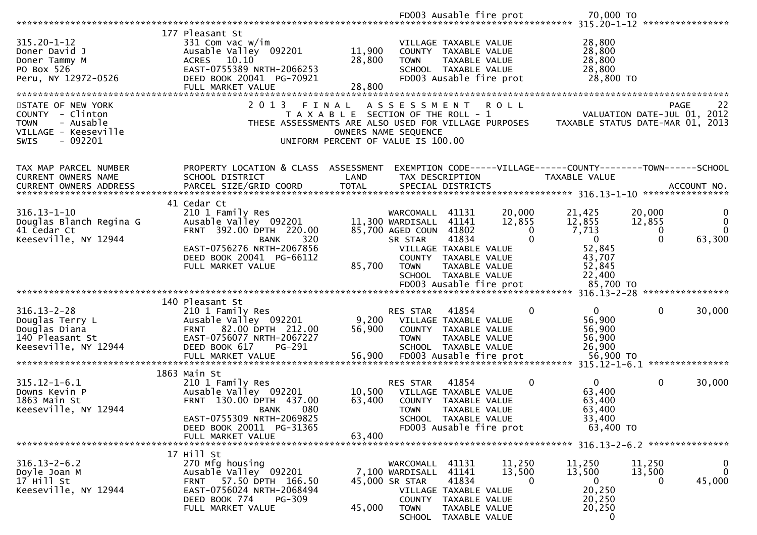|                                                                                                  |                                                                                                                                                                  |                            |                                                                                      | FD003 Ausable fire prot                                                                                                    |                                          | 70,000 TO                                                                                          |                                   |                                     |
|--------------------------------------------------------------------------------------------------|------------------------------------------------------------------------------------------------------------------------------------------------------------------|----------------------------|--------------------------------------------------------------------------------------|----------------------------------------------------------------------------------------------------------------------------|------------------------------------------|----------------------------------------------------------------------------------------------------|-----------------------------------|-------------------------------------|
|                                                                                                  |                                                                                                                                                                  |                            |                                                                                      |                                                                                                                            |                                          |                                                                                                    |                                   | ****************                    |
| $315.20 - 1 - 12$<br>Doner David J<br>Doner Tammy M<br>PO Box 526<br>Peru, NY 12972-0526         | 177 Pleasant St<br>331 Com vac w/im<br>Ausable Valley 092201<br>ACRES 10.10<br>EAST-0755389 NRTH-2066253<br>DEED BOOK 20041 PG-70921<br>FULL MARKET VALUE        | 11,900<br>28,800<br>28,800 | <b>TOWN</b>                                                                          | VILLAGE TAXABLE VALUE<br>COUNTY TAXABLE VALUE<br>TAXABLE VALUE<br>SCHOOL TAXABLE VALUE<br>FD003 Ausable fire prot          |                                          | 28,800<br>28,800<br>28,800<br>28,800<br>28,800 TO                                                  |                                   |                                     |
| STATE OF NEW YORK                                                                                | 2013<br>FINAL                                                                                                                                                    |                            | A S S E S S M E N T                                                                  |                                                                                                                            | ROLL                                     |                                                                                                    |                                   | 22<br>PAGE                          |
| COUNTY - Clinton<br>- Ausable<br><b>TOWN</b><br>VILLAGE - Keeseville<br>SWIS<br>- 092201         | T A X A B L E SECTION OF THE ROLL - 1<br>THESE ASSESSMENTS ARE ALSO USED FOR VILLAGE PURPOSES<br>UNIFORM PERCENT OF VALUE IS 100.00                              |                            | OWNERS NAME SEQUENCE                                                                 |                                                                                                                            |                                          | TAXABLE STATUS DATE-MAR 01, 2013                                                                   |                                   | VALUATION DATE-JUL 01, 2012         |
| TAX MAP PARCEL NUMBER                                                                            | PROPERTY LOCATION & CLASS ASSESSMENT                                                                                                                             |                            |                                                                                      |                                                                                                                            |                                          | EXEMPTION CODE-----VILLAGE------COUNTY--------TOWN------SCHOOL                                     |                                   |                                     |
| CURRENT OWNERS NAME                                                                              | SCHOOL DISTRICT                                                                                                                                                  | LAND                       |                                                                                      | TAX DESCRIPTION                                                                                                            |                                          | TAXABLE VALUE                                                                                      |                                   |                                     |
| <b>CURRENT OWNERS ADDRESS</b>                                                                    | PARCEL SIZE/GRID COORD                                                                                                                                           | <b>TOTAL</b>               |                                                                                      | SPECIAL DISTRICTS                                                                                                          |                                          |                                                                                                    |                                   | ACCOUNT NO.                         |
|                                                                                                  | 41 Cedar Ct                                                                                                                                                      |                            |                                                                                      |                                                                                                                            |                                          |                                                                                                    |                                   |                                     |
| $316.13 - 1 - 10$<br>Douglas Blanch Regina G<br>41 Cedar Ct<br>Keeseville, NY 12944              | 210 1 Family Res<br>Ausable Valley 092201<br>FRNT 392.00 DPTH 220.00<br>320<br><b>BANK</b><br>EAST-0756276 NRTH-2067856                                          |                            | WARCOMALL<br>11,300 WARDISALL<br>85,700 AGED COUN 41802<br>SR STAR                   | 41131<br>41141<br>41834<br>VILLAGE TAXABLE VALUE                                                                           | 20,000<br>12,855<br>$\Omega$<br>$\Omega$ | 21,425<br>12,855<br>7,713<br>0<br>52,845                                                           | 20,000<br>12,855<br>0<br>$\Omega$ | 0<br>$\Omega$<br>$\Omega$<br>63,300 |
|                                                                                                  | DEED BOOK 20041 PG-66112<br>FULL MARKET VALUE                                                                                                                    | 85,700                     | <b>TOWN</b>                                                                          | COUNTY TAXABLE VALUE<br>TAXABLE VALUE<br>SCHOOL TAXABLE VALUE<br>FD003 Ausable fire prot                                   |                                          | 43,707<br>52,845<br>22,400<br>85,700 TO<br>$316.13 - 2 - 28$                                       |                                   | ****************                    |
|                                                                                                  | 140 Pleasant St                                                                                                                                                  |                            |                                                                                      |                                                                                                                            |                                          |                                                                                                    |                                   |                                     |
| $316.13 - 2 - 28$<br>Douglas Terry L<br>Douglas Diana<br>140 Pleasant St<br>Keeseville, NY 12944 | 210 1 Family Res<br>Ausable Valley 092201<br>FRNT 82.00 DPTH 212.00<br>EAST-0756077 NRTH-2067227<br>DEED BOOK 617<br>PG-291<br>FULL MARKET VALUE                 | 9,200<br>56,900<br>56,900  | RES STAR<br><b>TOWN</b>                                                              | 41854<br>VILLAGE TAXABLE VALUE<br>COUNTY TAXABLE VALUE<br>TAXABLE VALUE<br>SCHOOL TAXABLE VALUE<br>FD003 Ausable fire prot | 0                                        | $\mathbf{0}$<br>56,900<br>56,900<br>56,900<br>26,900<br>56,900 TO<br>315.12-1-6.1 **************** | 0                                 | 30,000                              |
|                                                                                                  | 1863 Main St                                                                                                                                                     |                            |                                                                                      |                                                                                                                            |                                          |                                                                                                    |                                   |                                     |
| $315.12 - 1 - 6.1$<br>Downs Kevin P<br>1863 Main St<br>Keeseville, NY 12944                      | 210 1 Family Res<br>Ausable Valley 092201<br>FRNT 130.00 DPTH 437.00<br>080<br><b>BANK</b><br>EAST-0755309 NRTH-2069825<br>DEED BOOK 20011 PG-31365              | 10,500<br>63,400           | RES STAR<br><b>COUNTY</b><br><b>TOWN</b>                                             | 41854<br>VILLAGE TAXABLE VALUE<br><b>TAXABLE VALUE</b><br>TAXABLE VALUE<br>SCHOOL TAXABLE VALUE<br>FD003 Ausable fire prot | 0                                        | $\mathbf{0}$<br>63,400<br>63,400<br>63,400<br>33,400<br>63,400 TO                                  | 0                                 | 30,000                              |
|                                                                                                  | FULL MARKET VALUE                                                                                                                                                | 63,400                     |                                                                                      |                                                                                                                            |                                          |                                                                                                    |                                   |                                     |
|                                                                                                  | 17 Hill St                                                                                                                                                       |                            |                                                                                      |                                                                                                                            |                                          |                                                                                                    |                                   |                                     |
| $316.13 - 2 - 6.2$<br>Doyle Joan M<br>17 Hill St<br>Keeseville, NY 12944                         | 270 Mfg housing<br>Ausable Valley 092201<br>57.50 DPTH 166.50<br><b>FRNT</b><br>EAST-0756024 NRTH-2068494<br>DEED BOOK 774<br><b>PG-309</b><br>FULL MARKET VALUE | 45,000                     | WARCOMALL 41131<br>7,100 WARDISALL<br>45,000 SR STAR<br><b>TOWN</b><br><b>SCHOOL</b> | 41141<br>41834<br>VILLAGE TAXABLE VALUE<br>COUNTY TAXABLE VALUE<br>TAXABLE VALUE<br>TAXABLE VALUE                          | 11,250<br>13,500<br>0                    | 11,250<br>13,500<br>0<br>20,250<br>20,250<br>20,250<br>0                                           | 11,250<br>13,500<br>0             | 0<br>$\mathbf{0}$<br>45,000         |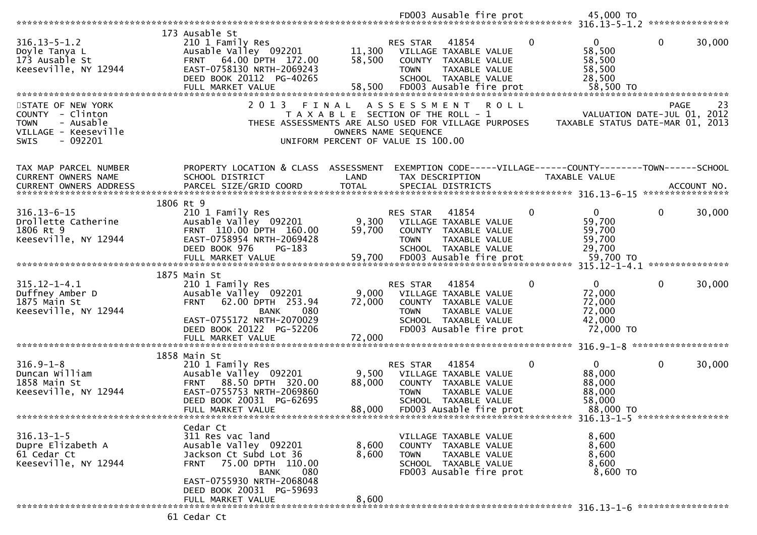|                                                                                                                       |                                                                                                                                                                              |                                                                                                     |                                | FD003 Ausable fire prot                                                                                                    |              | 45,000 TO                                                                      |              |                    |
|-----------------------------------------------------------------------------------------------------------------------|------------------------------------------------------------------------------------------------------------------------------------------------------------------------------|-----------------------------------------------------------------------------------------------------|--------------------------------|----------------------------------------------------------------------------------------------------------------------------|--------------|--------------------------------------------------------------------------------|--------------|--------------------|
|                                                                                                                       |                                                                                                                                                                              |                                                                                                     |                                |                                                                                                                            |              |                                                                                |              |                    |
| $316.13 - 5 - 1.2$<br>Doyle Tanya L<br>173 Ausable St<br>Keeseville, NY 12944                                         | 173 Ausable St<br>210 1 Family Res<br>Ausable Valley 092201<br>64.00 DPTH 172.00<br><b>FRNT</b><br>EAST-0758130 NRTH-2069243<br>DEED BOOK 20112 PG-40265                     | 11,300<br>58,500                                                                                    | <b>RES STAR</b><br><b>TOWN</b> | 41854<br>VILLAGE TAXABLE VALUE<br>COUNTY TAXABLE VALUE<br>TAXABLE VALUE<br>SCHOOL TAXABLE VALUE                            | $\mathbf{0}$ | $\Omega$<br>58,500<br>58,500<br>58,500<br>28,500                               | $\mathbf 0$  | 30,000             |
|                                                                                                                       | FULL MARKET VALUE                                                                                                                                                            | 58,500                                                                                              |                                | FD003 Ausable fire prot                                                                                                    |              | 58,500 TO                                                                      |              |                    |
| STATE OF NEW YORK<br>COUNTY - Clinton<br>- Ausable<br><b>TOWN</b><br>VILLAGE - Keeseville<br>$-092201$<br><b>SWIS</b> | 2 0 1 3<br>FINAL<br>THESE ASSESSMENTS ARE ALSO USED FOR VILLAGE PURPOSES                                                                                                     | T A X A B L E SECTION OF THE ROLL - 1<br>OWNERS NAME SEQUENCE<br>UNIFORM PERCENT OF VALUE IS 100.00 | ASSESSMENT                     |                                                                                                                            | R O L L      | VALUATION DATE-JUL 01, 2012<br>TAXABLE STATUS DATE-MAR 01, 2013                | <b>PAGE</b>  | 23                 |
| TAX MAP PARCEL NUMBER<br>CURRENT OWNERS NAME                                                                          | PROPERTY LOCATION & CLASS ASSESSMENT<br>SCHOOL DISTRICT<br>PARCEL SIZE/GRID COORD                                                                                            | LAND<br><b>TOTAL</b>                                                                                | TAX DESCRIPTION                | SPECIAL DISTRICTS                                                                                                          |              | EXEMPTION CODE-----VILLAGE------COUNTY-------TOWN------SCHOOL<br>TAXABLE VALUE |              | ACCOUNT NO.        |
| CURRENT OWNERS ADDRESS                                                                                                |                                                                                                                                                                              |                                                                                                     |                                |                                                                                                                            |              |                                                                                |              | ****************   |
| $316.13 - 6 - 15$<br>Drollette Catherine<br>1806 Rt 9<br>Keeseville, NY 12944                                         | 1806 Rt 9<br>210 1 Family Res<br>Ausable Valley 092201<br>FRNT 110.00 DPTH 160.00<br>EAST-0758954 NRTH-2069428<br>DEED BOOK 976<br>PG-183                                    | 9,300<br>59,700                                                                                     | <b>RES STAR</b><br><b>TOWN</b> | 41854<br>VILLAGE TAXABLE VALUE<br>COUNTY TAXABLE VALUE<br>TAXABLE VALUE<br>SCHOOL TAXABLE VALUE                            | $\mathbf{0}$ | $\mathbf{0}$<br>59,700<br>59,700<br>59,700<br>29,700                           | $\mathbf{0}$ | 30,000             |
|                                                                                                                       | FULL MARKET VALUE                                                                                                                                                            | 59,700                                                                                              |                                | FD003 Ausable fire prot                                                                                                    |              | 59,700 TO                                                                      |              |                    |
| $315.12 - 1 - 4.1$<br>Duffney Amber D<br>1875 Main St<br>Keeseville, NY 12944                                         | 1875 Main St<br>210 1 Family Res<br>Ausable Valley 092201<br>62.00 DPTH 253.94<br><b>FRNT</b><br><b>BANK</b><br>080<br>EAST-0755172 NRTH-2070029<br>DEED BOOK 20122 PG-52206 | 9,000<br>72,000                                                                                     | RES STAR<br><b>TOWN</b>        | 41854<br>VILLAGE TAXABLE VALUE<br>COUNTY TAXABLE VALUE<br>TAXABLE VALUE<br>SCHOOL TAXABLE VALUE<br>FD003 Ausable fire prot | 0            | $\mathbf{0}$<br>72,000<br>72,000<br>72,000<br>42,000<br>72,000 TO              | $\mathbf{0}$ | 30,000             |
| **********************                                                                                                | FULL MARKET VALUE<br>******************************                                                                                                                          | 72,000                                                                                              |                                |                                                                                                                            |              |                                                                                |              | ****************** |
| $316.9 - 1 - 8$<br>Duncan William<br>1858 Main St<br>Keeseville, NY 12944                                             | 1858 Main St<br>210 1 Family Res<br>Ausable Valley 092201<br>FRNT 88.50 DPTH 320.00<br>EAST-0755753 NRTH-2069860<br>DEED BOOK 20031 PG-62695<br>FULL MARKET VALUE            | 9,500<br>88,000<br>88,000                                                                           | RES STAR<br><b>TOWN</b>        | 41854<br>VILLAGE TAXABLE VALUE<br>COUNTY TAXABLE VALUE<br>TAXABLE VALUE<br>SCHOOL TAXABLE VALUE<br>FD003 Ausable fire prot | 0            | $\mathbf{0}$<br>88,000<br>88,000<br>88,000<br>58,000<br>88,000 TO              | $\mathbf 0$  | 30,000             |
|                                                                                                                       |                                                                                                                                                                              |                                                                                                     |                                |                                                                                                                            |              |                                                                                |              |                    |
| $316.13 - 1 - 5$<br>Dupre Elizabeth A<br>61 Cedar Ct<br>Keeseville, NY 12944                                          | Cedar Ct<br>311 Res vac land<br>Ausable Valley 092201<br>Jackson Ct Subd Lot 36<br>75.00 DPTH 110.00<br><b>FRNT</b><br>080<br>BANK                                           | 8,600<br>8,600                                                                                      | <b>TOWN</b>                    | VILLAGE TAXABLE VALUE<br>COUNTY TAXABLE VALUE<br>TAXABLE VALUE<br>SCHOOL TAXABLE VALUE<br>FD003 Ausable fire prot          |              | 8,600<br>8,600<br>8,600<br>8,600<br>$8,600$ TO                                 |              |                    |
|                                                                                                                       | EAST-0755930 NRTH-2068048<br>DEED BOOK 20031 PG-59693<br>FULL MARKET VALUE                                                                                                   | 8,600                                                                                               |                                |                                                                                                                            |              |                                                                                |              |                    |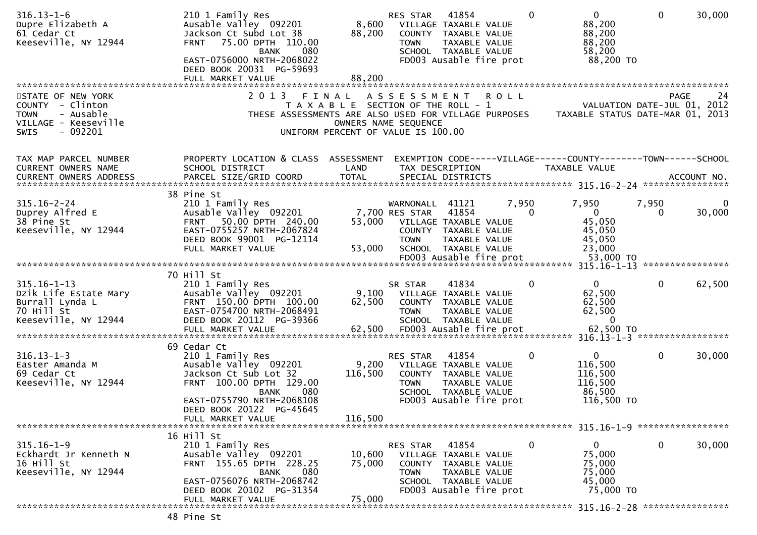| $316.13 - 1 - 6$<br>Dupre Elizabeth A<br>61 Cedar Ct<br>Keeseville, NY 12944                     | 210 1 Family Res<br>Ausable Valley 092201<br>Jackson Ct Subd Lot 38<br><b>FRNT</b><br>75.00 DPTH 110.00<br><b>BANK</b><br>080<br>EAST-0756000 NRTH-2068022<br>DEED BOOK 20031 PG-59693<br>FULL MARKET VALUE | 8,600<br>88,200<br>88,200                                                   | RES STAR<br><b>TOWN</b> | 41854<br>VILLAGE TAXABLE VALUE<br>COUNTY TAXABLE VALUE<br>TAXABLE VALUE<br>SCHOOL TAXABLE VALUE<br>FD003 Ausable fire prot |       | $\Omega$ | $\mathbf{0}$<br>88,200<br>88,200<br>88,200<br>58,200<br>88,200 TO | 0                | 30,000 |
|--------------------------------------------------------------------------------------------------|-------------------------------------------------------------------------------------------------------------------------------------------------------------------------------------------------------------|-----------------------------------------------------------------------------|-------------------------|----------------------------------------------------------------------------------------------------------------------------|-------|----------|-------------------------------------------------------------------|------------------|--------|
| STATE OF NEW YORK                                                                                | 2 0 1 3<br>FINAL                                                                                                                                                                                            |                                                                             | ASSESSMENT ROLL         |                                                                                                                            |       |          |                                                                   | <b>PAGE</b>      | 24     |
| COUNTY - Clinton<br>- Ausable<br><b>TOWN</b><br>VILLAGE - Keeseville<br>$-092201$<br><b>SWIS</b> | THESE ASSESSMENTS ARE ALSO USED FOR VILLAGE PURPOSES                                                                                                                                                        | T A X A B L E SECTION OF THE ROLL - 1<br>UNIFORM PERCENT OF VALUE IS 100.00 | OWNERS NAME SEQUENCE    |                                                                                                                            |       |          | VALUATION DATE-JUL 01, 2012<br>TAXABLE STATUS DATE-MAR 01, 2013   |                  |        |
| TAX MAP PARCEL NUMBER                                                                            | PROPERTY LOCATION & CLASS ASSESSMENT                                                                                                                                                                        |                                                                             |                         |                                                                                                                            |       |          | EXEMPTION CODE-----VILLAGE------COUNTY-------TOWN------SCHOOL     |                  |        |
| CURRENT OWNERS NAME                                                                              | SCHOOL DISTRICT                                                                                                                                                                                             | LAND                                                                        |                         | TAX DESCRIPTION                                                                                                            |       |          | TAXABLE VALUE                                                     |                  |        |
|                                                                                                  |                                                                                                                                                                                                             |                                                                             |                         |                                                                                                                            |       |          |                                                                   |                  |        |
|                                                                                                  | 38 Pine St                                                                                                                                                                                                  |                                                                             |                         |                                                                                                                            |       |          |                                                                   |                  |        |
| $315.16 - 2 - 24$                                                                                | 210 1 Family Res                                                                                                                                                                                            |                                                                             | WARNONALL               | 41121                                                                                                                      | 7,950 |          | 7,950                                                             | 7,950            | 0      |
| Duprey Alfred E                                                                                  | Ausable Valley 092201                                                                                                                                                                                       |                                                                             | 7,700 RES STAR          | 41854                                                                                                                      |       | 0        | $\mathbf{0}$                                                      | 0                | 30,000 |
| 38 Pine St                                                                                       | 50.00 DPTH 240.00<br><b>FRNT</b>                                                                                                                                                                            | 53,000                                                                      |                         | VILLAGE TAXABLE VALUE                                                                                                      |       |          | 45,050                                                            |                  |        |
| Keeseville, NY 12944                                                                             | EAST-0755257 NRTH-2067824                                                                                                                                                                                   |                                                                             |                         | COUNTY TAXABLE VALUE                                                                                                       |       |          | 45,050                                                            |                  |        |
|                                                                                                  | DEED BOOK 99001 PG-12114                                                                                                                                                                                    |                                                                             | <b>TOWN</b>             | TAXABLE VALUE<br>SCHOOL TAXABLE VALUE                                                                                      |       |          | 45,050                                                            |                  |        |
|                                                                                                  | FULL MARKET VALUE                                                                                                                                                                                           | 53,000                                                                      |                         |                                                                                                                            |       |          | 23,000                                                            |                  |        |
|                                                                                                  |                                                                                                                                                                                                             |                                                                             |                         |                                                                                                                            |       |          |                                                                   | **************** |        |
|                                                                                                  | 70 Hill St                                                                                                                                                                                                  |                                                                             |                         |                                                                                                                            |       |          |                                                                   |                  |        |
| $315.16 - 1 - 13$                                                                                | 210 1 Family Res                                                                                                                                                                                            |                                                                             | SR STAR                 | 41834                                                                                                                      |       | 0        | $\mathbf{0}$                                                      | $\mathbf{0}$     | 62,500 |
| Dzik Life Estate Mary                                                                            | Ausable Valley 092201                                                                                                                                                                                       | 9,100                                                                       |                         | VILLAGE TAXABLE VALUE                                                                                                      |       |          | 62,500                                                            |                  |        |
| Burrall Lynda L                                                                                  | FRNT 150.00 DPTH 100.00                                                                                                                                                                                     | 62,500                                                                      |                         | COUNTY TAXABLE VALUE                                                                                                       |       |          | 62,500                                                            |                  |        |
| 70 Hill St<br>Keeseville, NY 12944                                                               | EAST-0754700 NRTH-2068491<br>DEED BOOK 20112 PG-39366                                                                                                                                                       |                                                                             | <b>TOWN</b>             | TAXABLE VALUE                                                                                                              |       |          | 62,500<br>0                                                       |                  |        |
|                                                                                                  |                                                                                                                                                                                                             |                                                                             |                         | SCHOOL TAXABLE VALUE                                                                                                       |       |          |                                                                   |                  |        |
|                                                                                                  |                                                                                                                                                                                                             |                                                                             |                         |                                                                                                                            |       |          |                                                                   |                  |        |
|                                                                                                  | 69 Cedar Ct                                                                                                                                                                                                 |                                                                             |                         |                                                                                                                            |       |          |                                                                   |                  |        |
| $316.13 - 1 - 3$                                                                                 | 210 1 Family Res                                                                                                                                                                                            |                                                                             | RES STAR                | 41854                                                                                                                      |       | 0        | 0                                                                 | 0                | 30,000 |
| Easter Amanda M                                                                                  | Ausable Valley 092201                                                                                                                                                                                       | 9,200                                                                       |                         | VILLAGE TAXABLE VALUE                                                                                                      |       |          | 116,500                                                           |                  |        |
| 69 Cedar Ct<br>Keeseville, NY 12944                                                              | Jackson Ct Sub Lot 32<br>FRNT 100.00 DPTH 129.00                                                                                                                                                            | 116,500                                                                     | <b>TOWN</b>             | COUNTY TAXABLE VALUE<br>TAXABLE VALUE                                                                                      |       |          | 116,500<br>116,500                                                |                  |        |
|                                                                                                  | 080<br><b>BANK</b>                                                                                                                                                                                          |                                                                             |                         | SCHOOL TAXABLE VALUE                                                                                                       |       |          | 86,500                                                            |                  |        |
|                                                                                                  | EAST-0755790 NRTH-2068108                                                                                                                                                                                   |                                                                             |                         | FD003 Ausable fire prot                                                                                                    |       |          | 116,500 TO                                                        |                  |        |
|                                                                                                  | DEED BOOK 20122 PG-45645                                                                                                                                                                                    |                                                                             |                         |                                                                                                                            |       |          |                                                                   |                  |        |
|                                                                                                  | FULL MARKET VALUE                                                                                                                                                                                           | 116,500                                                                     |                         |                                                                                                                            |       |          |                                                                   |                  |        |
|                                                                                                  |                                                                                                                                                                                                             |                                                                             |                         |                                                                                                                            |       |          |                                                                   |                  |        |
| $315.16 - 1 - 9$                                                                                 | 16 Hill St                                                                                                                                                                                                  |                                                                             |                         |                                                                                                                            |       |          |                                                                   |                  |        |
| Eckhardt Jr Kenneth N                                                                            | 210 1 Family Res<br>Ausable Valley 092201                                                                                                                                                                   | 10,600                                                                      | RES STAR                | 41854<br>VILLAGE TAXABLE VALUE                                                                                             |       | 0        | 0<br>75,000                                                       | 0                | 30,000 |
| 16 Hill St                                                                                       | FRNT 155.65 DPTH 228.25                                                                                                                                                                                     | 75,000                                                                      |                         | COUNTY TAXABLE VALUE                                                                                                       |       |          | 75,000                                                            |                  |        |
| Keeseville, NY 12944                                                                             | 080<br><b>BANK</b>                                                                                                                                                                                          |                                                                             | <b>TOWN</b>             | TAXABLE VALUE                                                                                                              |       |          | 75,000                                                            |                  |        |
|                                                                                                  | EAST-0756076 NRTH-2068742                                                                                                                                                                                   |                                                                             |                         | SCHOOL TAXABLE VALUE                                                                                                       |       |          | 45,000                                                            |                  |        |
|                                                                                                  | DEED BOOK 20102 PG-31354                                                                                                                                                                                    |                                                                             |                         | FD003 Ausable fire prot                                                                                                    |       |          | 75,000 TO                                                         |                  |        |
|                                                                                                  | FULL MARKET VALUE                                                                                                                                                                                           | 75,000                                                                      |                         |                                                                                                                            |       |          |                                                                   |                  |        |
|                                                                                                  |                                                                                                                                                                                                             |                                                                             |                         |                                                                                                                            |       |          |                                                                   |                  |        |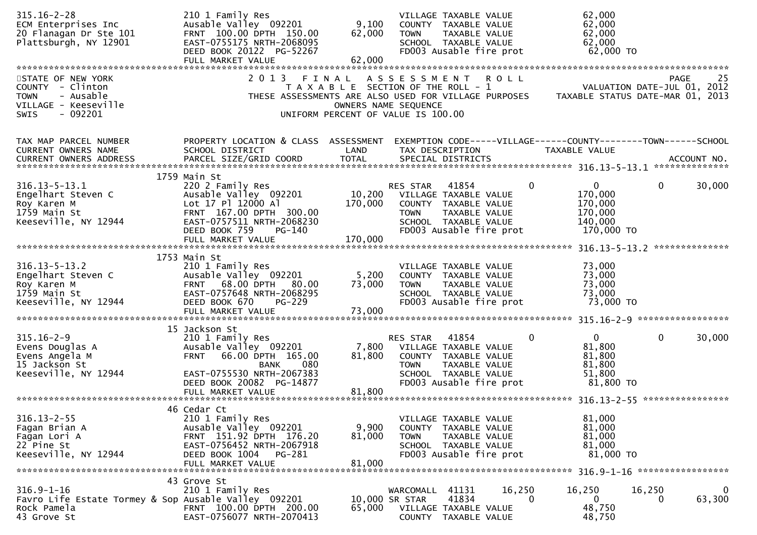| $315.16 - 2 - 28$<br>ECM Enterprises Inc<br>20 Flanagan Dr Ste 101<br>Plattsburgh, NY 12901                    | 210 1 Family Res<br>Ausable Valley 092201<br>FRNT 100.00 DPTH 150.00<br>EAST-0755175 NRTH-2068095<br>DEED BOOK 20122 PG-52267<br>FULL MARKET VALUE                  | 9,100<br>62,000<br>62,000 | VILLAGE TAXABLE VALUE<br>COUNTY TAXABLE VALUE<br><b>TOWN</b><br>TAXABLE VALUE<br>SCHOOL TAXABLE VALUE<br>FD003 Ausable fire prot                                                     | 62,000<br>62,000<br>62,000<br>62,000<br>62,000 TO                          |                                                                                      |
|----------------------------------------------------------------------------------------------------------------|---------------------------------------------------------------------------------------------------------------------------------------------------------------------|---------------------------|--------------------------------------------------------------------------------------------------------------------------------------------------------------------------------------|----------------------------------------------------------------------------|--------------------------------------------------------------------------------------|
|                                                                                                                |                                                                                                                                                                     |                           |                                                                                                                                                                                      |                                                                            |                                                                                      |
| STATE OF NEW YORK<br>COUNTY - Clinton<br><b>TOWN</b><br>- Ausable<br>VILLAGE - Keeseville<br>SWIS<br>$-092201$ | 2 0 1 3                                                                                                                                                             |                           | FINAL ASSESSMENT ROLL<br>T A X A B L E SECTION OF THE ROLL - 1<br>THESE ASSESSMENTS ARE ALSO USED FOR VILLAGE PURPOSES<br>OWNERS NAME SEQUENCE<br>UNIFORM PERCENT OF VALUE IS 100.00 |                                                                            | 25<br><b>PAGE</b><br>VALUATION DATE-JUL 01, 2012<br>TAXABLE STATUS DATE-MAR 01, 2013 |
| TAX MAP PARCEL NUMBER<br>CURRENT OWNERS NAME<br><b>CURRENT OWNERS ADDRESS</b>                                  | PROPERTY LOCATION & CLASS ASSESSMENT<br>SCHOOL DISTRICT<br>PARCEL SIZE/GRID COORD                                                                                   | LAND<br><b>TOTAL</b>      | EXEMPTION CODE-----VILLAGE------COUNTY--------TOWN------SCHOOL<br>TAX DESCRIPTION<br>SPECIAL DISTRICTS                                                                               | TAXABLE VALUE                                                              | ACCOUNT NO.                                                                          |
|                                                                                                                | 1759 Main St                                                                                                                                                        |                           |                                                                                                                                                                                      |                                                                            |                                                                                      |
| $316.13 - 5 - 13.1$<br>Engelhart Steven C<br>Roy Karen M<br>1759 Main St<br>Keeseville, NY 12944               | 220 2 Family Res<br>Ausable Valley 092201<br>Lot 17 Pl 12000 Al<br>FRNT 167.00 DPTH 300.00<br>EAST-0757511 NRTH-2068230<br>DEED BOOK 759<br>PG-140                  | 10,200<br>170,000         | 41854<br>RES STAR<br>VILLAGE TAXABLE VALUE<br>COUNTY TAXABLE VALUE<br>TAXABLE VALUE<br><b>TOWN</b><br>SCHOOL TAXABLE VALUE<br>FD003 Ausable fire prot                                | 0<br>$\mathbf 0$<br>170,000<br>170,000<br>170,000<br>140,000<br>170,000 TO | 30,000<br>$\mathbf{0}$                                                               |
|                                                                                                                | FULL MARKET VALUE                                                                                                                                                   | 170,000                   |                                                                                                                                                                                      |                                                                            |                                                                                      |
|                                                                                                                |                                                                                                                                                                     |                           |                                                                                                                                                                                      |                                                                            |                                                                                      |
| $316.13 - 5 - 13.2$<br>Engelhart Steven C<br>Roy Karen M<br>1759 Main St<br>Keeseville, NY 12944               | 1753 Main St<br>210 1 Family Res<br>Ausable Valley 092201<br>FRNT 68.00 DPTH 80.00<br>EAST-0757648 NRTH-2068295<br>DEED BOOK 670<br>$PG-229$<br>FULL MARKET VALUE   | 5,200<br>73,000<br>73,000 | VILLAGE TAXABLE VALUE<br>COUNTY TAXABLE VALUE<br><b>TOWN</b><br>TAXABLE VALUE<br>SCHOOL TAXABLE VALUE<br>FD003 Ausable fire prot                                                     | 73,000<br>73,000<br>73,000<br>73,000<br>73,000 TO                          |                                                                                      |
|                                                                                                                |                                                                                                                                                                     |                           |                                                                                                                                                                                      |                                                                            |                                                                                      |
| $315.16 - 2 - 9$<br>Evens Douglas A<br>Evens Angela M<br>15 Jackson St<br>Keeseville, NY 12944                 | 15 Jackson St<br>210 1 Family Res<br>Ausable Valley 092201<br>FRNT 66.00 DPTH 165.00<br><b>BANK</b><br>080<br>EAST-0755530 NRTH-2067383<br>DEED BOOK 20082 PG-14877 | 7,800<br>81,800           | RES STAR<br>41854<br>VILLAGE TAXABLE VALUE<br>COUNTY TAXABLE VALUE<br>TAXABLE VALUE<br><b>TOWN</b><br>SCHOOL TAXABLE VALUE<br>FD003 Ausable fire prot                                | $\mathbf{0}$<br>0<br>81,800<br>81,800<br>81,800<br>51,800<br>81,800 TO     | $\mathbf{0}$<br>30,000                                                               |
|                                                                                                                | FULL MARKET VALUE                                                                                                                                                   | 81,800                    |                                                                                                                                                                                      |                                                                            |                                                                                      |
|                                                                                                                |                                                                                                                                                                     |                           |                                                                                                                                                                                      |                                                                            |                                                                                      |
| $316.13 - 2 - 55$<br>Fagan Brian A<br>Fagan Lori A<br>22 Pine St<br>Keeseville, NY 12944                       | 46 Cedar Ct<br>210 1 Family Res<br>Ausable Valley 092201<br>FRNT 151.92 DPTH 176.20<br>EAST-0756452 NRTH-2067918<br>DEED BOOK 1004<br>PG-281<br>FULL MARKET VALUE   | 9,900<br>81,000<br>81,000 | VILLAGE TAXABLE VALUE<br>COUNTY TAXABLE VALUE<br><b>TOWN</b><br>TAXABLE VALUE<br>SCHOOL TAXABLE VALUE<br>FD003 Ausable fire prot                                                     | 81,000<br>81,000<br>81,000<br>81,000<br>81,000 TO                          |                                                                                      |
|                                                                                                                | 43 Grove St                                                                                                                                                         |                           |                                                                                                                                                                                      |                                                                            |                                                                                      |
| $316.9 - 1 - 16$<br>Favro Life Estate Tormey & Sop Ausable Valley 092201<br>Rock Pamela<br>43 Grove St         | 210 1 Family Res<br>FRNT 100.00 DPTH 200.00<br>EAST-0756077 NRTH-2070413                                                                                            | 65,000                    | 16,250<br>WARCOMALL 41131<br>41834<br>10,000 SR STAR<br>VILLAGE TAXABLE VALUE<br>COUNTY TAXABLE VALUE                                                                                | 16,250<br>0<br>$\Omega$<br>48,750<br>48,750                                | 16,250<br>$\bf{0}$<br>63,300<br>0                                                    |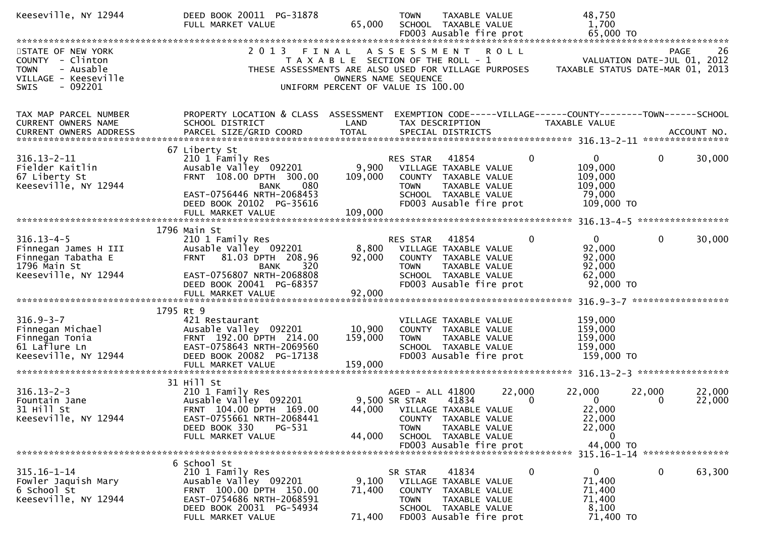| Keeseville, NY 12944                                                                                                  | DEED BOOK 20011 PG-31878<br>FULL MARKET VALUE                                                                                                                 | 65,000                       | 48,750<br><b>TOWN</b><br>TAXABLE VALUE<br>1,700<br>SCHOOL TAXABLE VALUE<br>65,000 TO<br>FD003 Ausable fire prot                                                                                                                                                 |
|-----------------------------------------------------------------------------------------------------------------------|---------------------------------------------------------------------------------------------------------------------------------------------------------------|------------------------------|-----------------------------------------------------------------------------------------------------------------------------------------------------------------------------------------------------------------------------------------------------------------|
|                                                                                                                       |                                                                                                                                                               |                              |                                                                                                                                                                                                                                                                 |
| STATE OF NEW YORK<br>COUNTY - Clinton<br>- Ausable<br><b>TOWN</b><br>VILLAGE - Keeseville<br>$-092201$<br><b>SWIS</b> | 2 0 1 3<br>FINAL                                                                                                                                              |                              | ASSESSMENT ROLL<br>26<br>PAGE<br>T A X A B L E SECTION OF THE ROLL - 1<br>VALUATION DATE-JUL 01, 2012<br>THESE ASSESSMENTS ARE ALSO USED FOR VILLAGE PURPOSES<br>TAXABLE STATUS DATE-MAR 01, 2013<br>OWNERS NAME SEQUENCE<br>UNIFORM PERCENT OF VALUE IS 100.00 |
|                                                                                                                       |                                                                                                                                                               |                              |                                                                                                                                                                                                                                                                 |
| TAX MAP PARCEL NUMBER<br><b>CURRENT OWNERS NAME</b>                                                                   | PROPERTY LOCATION & CLASS ASSESSMENT<br>SCHOOL DISTRICT                                                                                                       | LAND                         | EXEMPTION CODE-----VILLAGE------COUNTY--------TOWN------SCHOOL<br>TAX DESCRIPTION<br>TAXABLE VALUE                                                                                                                                                              |
| $316.13 - 2 - 11$<br>Fielder Kaitlin<br>67 Liberty St                                                                 | 67 Liberty St<br>210 1 Family Res<br>Ausable Valley 092201<br>FRNT 108.00 DPTH 300.00                                                                         | 9,900<br>109,000             | $\mathbf{0}$<br>0<br>$\mathbf{0}$<br>30,000<br>41854<br>RES STAR<br>109,000<br>VILLAGE TAXABLE VALUE<br>109,000<br>COUNTY TAXABLE VALUE                                                                                                                         |
| Keeseville, NY 12944                                                                                                  | <b>BANK</b><br>080<br>EAST-0756446 NRTH-2068453<br>DEED BOOK 20102 PG-35616                                                                                   |                              | <b>TOWN</b><br>TAXABLE VALUE<br>109,000<br>79,000<br>SCHOOL TAXABLE VALUE<br>FD003 Ausable fire prot<br>109,000 TO                                                                                                                                              |
|                                                                                                                       |                                                                                                                                                               |                              |                                                                                                                                                                                                                                                                 |
|                                                                                                                       | 1796 Main St                                                                                                                                                  |                              |                                                                                                                                                                                                                                                                 |
| $316.13 - 4 - 5$<br>Finnegan James H III<br>Finnegan Tabatha E<br>1796 Main St                                        | 210 1 Family Res<br>Ausable Valley 092201<br><b>FRNT</b><br>81.03 DPTH 208.96<br>320<br><b>BANK</b>                                                           | 92,000                       | $\mathbf{0}$<br>$\mathbf{0}$<br>$\mathbf{0}$<br>30,000<br>RES STAR<br>41854<br>92,000<br>8,800 VILLAGE TAXABLE VALUE<br>92,000<br>COUNTY TAXABLE VALUE<br>92,000<br>TAXABLE VALUE<br><b>TOWN</b>                                                                |
| Keeseville, NY 12944                                                                                                  | EAST-0756807 NRTH-2068808<br>DEED BOOK 20041 PG-68357<br>FULL MARKET VALUE                                                                                    | 92,000                       | 62,000<br>SCHOOL TAXABLE VALUE<br>$92,000$ TO<br>FD003 Ausable fire prot                                                                                                                                                                                        |
|                                                                                                                       |                                                                                                                                                               |                              |                                                                                                                                                                                                                                                                 |
| $316.9 - 3 - 7$<br>Finnegan Michael<br>Finnegan Tonia<br>61 Laflure Ln<br>Keeseville, NY 12944                        | 1795 Rt 9<br>421 Restaurant<br>Ausable Valley 092201<br>FRNT 192.00 DPTH 214.00<br>EAST-0758643 NRTH-2069560<br>DEED BOOK 20082 PG-17138<br>FULL MARKET VALUE | 10,900<br>159,000<br>159,000 | 159,000<br>VILLAGE TAXABLE VALUE<br>159,000<br>COUNTY TAXABLE VALUE<br>159,000<br><b>TOWN</b><br>TAXABLE VALUE<br>159,000<br>SCHOOL TAXABLE VALUE<br>FD003 Ausable fire prot<br>159,000 TO                                                                      |
|                                                                                                                       |                                                                                                                                                               |                              |                                                                                                                                                                                                                                                                 |
| $316.13 - 2 - 3$<br>Fountain Jane<br>31 Hill St<br>Keeseville, NY 12944                                               | 31 Hill St<br>210 1 Family Res<br>Ausable Valley 092201<br>FRNT 104.00 DPTH 169.00<br>EAST-0755661 NRTH-2068441<br>DEED BOOK 330<br>PG-531                    |                              | 22,000<br>AGED - ALL 41800<br>22,000<br>22,000<br>22,000<br>$\mathbf{0}$<br>9,500 SR STAR<br>$\mathbf{0}$<br>22,000<br>41834<br>$\Omega$<br>22,000<br>44,000 VILLAGE TAXABLE VALUE<br>22,000<br>COUNTY TAXABLE VALUE<br>22,000<br><b>TOWN</b><br>TAXABLE VALUE  |
|                                                                                                                       | FULL MARKET VALUE                                                                                                                                             | 44,000                       | SCHOOL TAXABLE VALUE<br>0<br>44,000 TO<br>FD003 Ausable fire prot<br>315.16-1-14 *****************                                                                                                                                                              |
|                                                                                                                       | 6 School St                                                                                                                                                   |                              |                                                                                                                                                                                                                                                                 |
| $315.16 - 1 - 14$<br>Fowler Jaquish Mary<br>6 School St<br>Keeseville, NY 12944                                       | 210 1 Family Res<br>Ausable Valley 092201<br>FRNT 100.00 DPTH 150.00<br>EAST-0754686 NRTH-2068591<br>DEED BOOK 20031 PG-54934                                 | 9,100<br>71,400              | $\mathbf 0$<br>$\mathbf 0$<br>$\mathbf{0}$<br>63,300<br>41834<br>SR STAR<br>71,400<br>VILLAGE TAXABLE VALUE<br>COUNTY TAXABLE VALUE<br>71,400<br>71,400<br><b>TOWN</b><br><b>TAXABLE VALUE</b><br>8,100<br>SCHOOL TAXABLE VALUE                                 |
|                                                                                                                       | FULL MARKET VALUE                                                                                                                                             | 71,400                       | 71,400 TO<br>FD003 Ausable fire prot                                                                                                                                                                                                                            |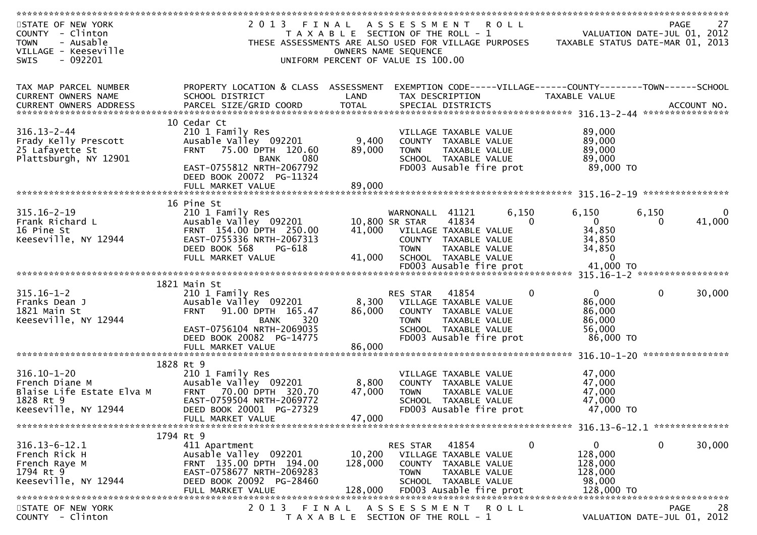| STATE OF NEW YORK         | 2 0 1 3<br>FINAL                                                                                                                                                                              |                                       | A S S E S S M E N T     |                         | <b>ROLL</b> |                                                                |                             | 27<br>PAGE |
|---------------------------|-----------------------------------------------------------------------------------------------------------------------------------------------------------------------------------------------|---------------------------------------|-------------------------|-------------------------|-------------|----------------------------------------------------------------|-----------------------------|------------|
| COUNTY - Clinton          |                                                                                                                                                                                               | T A X A B L E SECTION OF THE ROLL - 1 |                         |                         |             |                                                                | VALUATION DATE-JUL 01, 2012 |            |
| - Ausable<br><b>TOWN</b>  | THESE ASSESSMENTS ARE ALSO USED FOR VILLAGE PURPOSES                                                                                                                                          |                                       |                         |                         |             | TAXABLE STATUS DATE-MAR 01, 2013                               |                             |            |
| VILLAGE - Keeseville      |                                                                                                                                                                                               |                                       | OWNERS NAME SEQUENCE    |                         |             |                                                                |                             |            |
| <b>SWIS</b><br>- 092201   |                                                                                                                                                                                               | UNIFORM PERCENT OF VALUE IS 100.00    |                         |                         |             |                                                                |                             |            |
|                           |                                                                                                                                                                                               |                                       |                         |                         |             |                                                                |                             |            |
|                           |                                                                                                                                                                                               |                                       |                         |                         |             |                                                                |                             |            |
| TAX MAP PARCEL NUMBER     | PROPERTY LOCATION & CLASS ASSESSMENT                                                                                                                                                          |                                       |                         |                         |             | EXEMPTION CODE-----VILLAGE------COUNTY--------TOWN------SCHOOL |                             |            |
| CURRENT OWNERS NAME       | SCHOOL DISTRICT                                                                                                                                                                               | LAND                                  | TAX DESCRIPTION         |                         |             | TAXABLE VALUE                                                  |                             |            |
|                           |                                                                                                                                                                                               |                                       |                         |                         |             |                                                                |                             |            |
| CURRENT OWNERS ADDRESS    | .000 ACCOUNT NO . PARCEL SIZE/GRID COORD TOTAL SPECIAL DISTRICTS AND RESULT ACCOUNT NO . ACCOUNT NO . AND RESULT AND . AND RESULT AND . AND RESULT AND . A SERVER AND TOTAL SPECIAL DISTRICTS |                                       |                         |                         |             |                                                                |                             |            |
|                           |                                                                                                                                                                                               |                                       |                         |                         |             |                                                                |                             |            |
|                           | 10 Cedar Ct                                                                                                                                                                                   |                                       |                         |                         |             |                                                                |                             |            |
| $316.13 - 2 - 44$         | 210 1 Family Res                                                                                                                                                                              |                                       |                         | VILLAGE TAXABLE VALUE   |             | 89,000                                                         |                             |            |
| Frady Kelly Prescott      | Ausable Valley 092201                                                                                                                                                                         | 9,400                                 |                         | COUNTY TAXABLE VALUE    |             | 89,000                                                         |                             |            |
| 25 Lafayette St           | 75.00 DPTH 120.60<br><b>FRNT</b>                                                                                                                                                              | 89,000                                | <b>TOWN</b>             | TAXABLE VALUE           |             | 89,000                                                         |                             |            |
| Plattsburgh, NY 12901     | <b>BANK</b><br>080                                                                                                                                                                            |                                       |                         | SCHOOL TAXABLE VALUE    |             | 89,000                                                         |                             |            |
|                           | EAST-0755812 NRTH-2067792                                                                                                                                                                     |                                       |                         | FD003 Ausable fire prot |             | 89,000 TO                                                      |                             |            |
|                           | DEED BOOK 20072 PG-11324                                                                                                                                                                      |                                       |                         |                         |             |                                                                |                             |            |
|                           | FULL MARKET VALUE                                                                                                                                                                             | 89,000                                |                         |                         |             |                                                                |                             |            |
|                           |                                                                                                                                                                                               |                                       |                         |                         |             |                                                                |                             |            |
|                           | 16 Pine St                                                                                                                                                                                    |                                       |                         |                         |             |                                                                |                             |            |
| $315.16 - 2 - 19$         | 210 1 Family Res                                                                                                                                                                              |                                       | WARNONALL               | 41121                   | 6,150       | 6,150                                                          | 6,150                       |            |
| Frank Richard L           | Ausable Valley 092201                                                                                                                                                                         |                                       | 10,800 SR STAR          | 41834                   | 0           | $\mathbf 0$                                                    | $\mathbf{0}$                | 41,000     |
| 16 Pine St                | FRNT 154.00 DPTH 250.00                                                                                                                                                                       | 41,000                                |                         | VILLAGE TAXABLE VALUE   |             | 34,850                                                         |                             |            |
| Keeseville, NY 12944      | EAST-0755336 NRTH-2067313                                                                                                                                                                     |                                       |                         | COUNTY TAXABLE VALUE    |             | 34,850                                                         |                             |            |
|                           | DEED BOOK 568<br>PG-618                                                                                                                                                                       |                                       | <b>TOWN</b>             | TAXABLE VALUE           |             | 34,850                                                         |                             |            |
|                           |                                                                                                                                                                                               |                                       |                         |                         |             | $\Omega$                                                       |                             |            |
|                           | FULL MARKET VALUE                                                                                                                                                                             | 41,000                                |                         | SCHOOL TAXABLE VALUE    |             | 41,000 TO                                                      |                             |            |
|                           |                                                                                                                                                                                               |                                       |                         | FD003 Ausable fire prot |             |                                                                |                             |            |
|                           |                                                                                                                                                                                               |                                       |                         |                         |             |                                                                |                             |            |
|                           | 1821 Main St                                                                                                                                                                                  |                                       |                         |                         |             |                                                                |                             |            |
| $315.16 - 1 - 2$          | 210 1 Family Res                                                                                                                                                                              |                                       | RES STAR                | 41854                   | 0           | $\mathbf{0}$                                                   | $\mathbf{0}$                | 30,000     |
| Franks Dean J             | Ausable Valley 092201                                                                                                                                                                         | 8,300                                 |                         | VILLAGE TAXABLE VALUE   |             | 86,000                                                         |                             |            |
| 1821 Main St              | 91.00 DPTH 165.47<br><b>FRNT</b>                                                                                                                                                              | 86,000                                |                         | COUNTY TAXABLE VALUE    |             | 86,000                                                         |                             |            |
| Keeseville, NY 12944      | 320<br><b>BANK</b>                                                                                                                                                                            |                                       | <b>TOWN</b>             | TAXABLE VALUE           |             | 86,000                                                         |                             |            |
|                           | EAST-0756104 NRTH-2069035                                                                                                                                                                     |                                       |                         | SCHOOL TAXABLE VALUE    |             | 56,000                                                         |                             |            |
|                           | DEED BOOK 20082 PG-14775                                                                                                                                                                      |                                       |                         | FD003 Ausable fire prot |             | 86,000 TO                                                      |                             |            |
|                           | FULL MARKET VALUE                                                                                                                                                                             | 86,000                                |                         |                         |             |                                                                |                             |            |
|                           |                                                                                                                                                                                               |                                       |                         |                         |             |                                                                |                             |            |
|                           | 1828 Rt 9                                                                                                                                                                                     |                                       |                         |                         |             |                                                                |                             |            |
| $316.10 - 1 - 20$         | 210 1 Family Res                                                                                                                                                                              |                                       |                         | VILLAGE TAXABLE VALUE   |             | 47,000                                                         |                             |            |
| French Diane M            | Ausable Valley 092201                                                                                                                                                                         | 8,800                                 |                         | COUNTY TAXABLE VALUE    |             | 47,000                                                         |                             |            |
| Blaise Life Estate Elva M | 70.00 DPTH 320.70<br><b>FRNT</b>                                                                                                                                                              | 47,000                                | <b>TOWN</b>             | <b>TAXABLE VALUE</b>    |             | 47,000                                                         |                             |            |
| 1828 Rt 9                 | EAST-0759504 NRTH-2069772                                                                                                                                                                     |                                       |                         | SCHOOL TAXABLE VALUE    |             | 47,000                                                         |                             |            |
| Keeseville, NY 12944      | DEED BOOK 20001 PG-27329                                                                                                                                                                      |                                       |                         | FD003 Ausable fire prot |             | 47,000 TO                                                      |                             |            |
|                           |                                                                                                                                                                                               |                                       |                         |                         |             |                                                                |                             |            |
|                           | FULL MARKET VALUE                                                                                                                                                                             | 47,000                                |                         |                         |             |                                                                |                             |            |
|                           |                                                                                                                                                                                               |                                       |                         |                         |             |                                                                |                             |            |
|                           | 1794 Rt 9                                                                                                                                                                                     |                                       |                         |                         |             |                                                                |                             |            |
| $316.13 - 6 - 12.1$       | 411 Apartment                                                                                                                                                                                 |                                       | RES STAR                | 41854                   | 0           | 0                                                              | $\mathbf 0$                 | 30,000     |
| French Rick H             | Ausable Valley 092201                                                                                                                                                                         | 10,200                                |                         | VILLAGE TAXABLE VALUE   |             | 128,000                                                        |                             |            |
| French Raye M             | FRNT 135.00 DPTH 194.00                                                                                                                                                                       | 128,000                               |                         | COUNTY TAXABLE VALUE    |             | 128,000                                                        |                             |            |
| 1794 Rt 9                 | EAST-0758677 NRTH-2069283                                                                                                                                                                     |                                       | <b>TOWN</b>             | TAXABLE VALUE           |             | 128,000                                                        |                             |            |
| Keeseville, NY 12944      | DEED BOOK 20092 PG-28460                                                                                                                                                                      |                                       |                         | SCHOOL TAXABLE VALUE    |             | 98,000                                                         |                             |            |
|                           | FULL MARKET VALUE                                                                                                                                                                             | 128,000                               |                         | FD003 Ausable fire prot |             | 128,000 TO                                                     |                             |            |
|                           |                                                                                                                                                                                               |                                       |                         |                         |             |                                                                |                             |            |
| STATE OF NEW YORK         | 2 0 1 3<br>FINAL                                                                                                                                                                              |                                       | A S S E S S M E N T     |                         | R O L L     |                                                                |                             | 28<br>PAGE |
| COUNTY - Clinton          | T A X A B L E                                                                                                                                                                                 |                                       | SECTION OF THE ROLL - 1 |                         |             |                                                                | VALUATION DATE-JUL 01, 2012 |            |
|                           |                                                                                                                                                                                               |                                       |                         |                         |             |                                                                |                             |            |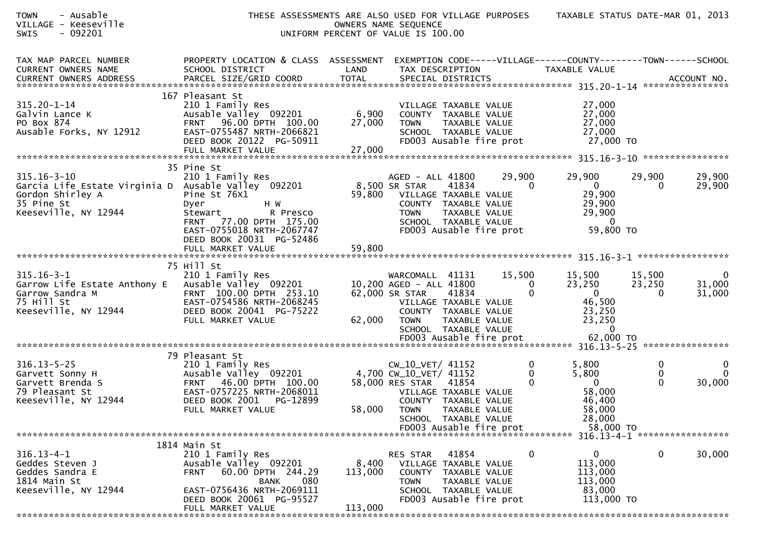| - Ausable<br><b>TOWN</b><br>VILLAGE - Keeseville<br>SWIS<br>$-092201$                                                              |                                                                                                                                                                                              |                             | THESE ASSESSMENTS ARE ALSO USED FOR VILLAGE PURPOSES TAXABLE STATUS DATE-MAR 01, 2013<br>OWNERS NAME SEQUENCE<br>UNIFORM PERCENT OF VALUE IS 100.00                                   |                                |                                                                                       |                                         |                                 |
|------------------------------------------------------------------------------------------------------------------------------------|----------------------------------------------------------------------------------------------------------------------------------------------------------------------------------------------|-----------------------------|---------------------------------------------------------------------------------------------------------------------------------------------------------------------------------------|--------------------------------|---------------------------------------------------------------------------------------|-----------------------------------------|---------------------------------|
| TAX MAP PARCEL NUMBER<br>CURRENT OWNERS NAME                                                                                       | PROPERTY LOCATION & CLASS ASSESSMENT<br>SCHOOL DISTRICT                                                                                                                                      | LAND                        | EXEMPTION CODE-----VILLAGE------COUNTY--------TOWN------SCHOOL<br>TAX DESCRIPTION                                                                                                     |                                | TAXABLE VALUE                                                                         |                                         |                                 |
| 315.20-1-14<br>Galvin Lance K<br>PO Box 874<br>Ausable Forks, NY 12912                                                             | 167 Pleasant St<br>210 1 Family Res<br>Ausable Valley 092201<br>FRNT 96.00 DPTH 100.00<br>EAST-0755487 NRTH-2066821<br>DEED BOOK 20122 PG-50911<br>FULL MARKET VALUE                         | $6,900$<br>27 000<br>27,000 | VILLAGE TAXABLE VALUE<br>COUNTY TAXABLE VALUE<br><b>TOWN</b><br>SCHOOL TAXABLE VALUE<br>FD003 Ausable fire prot $27,000$ TO                                                           | TAXABLE VALUE                  | 27,000<br>27,000<br>27,000<br>27,000                                                  |                                         |                                 |
| $315.16 - 3 - 10$<br>Garcia Life Estate Virginia D Ausable Valley 092201<br>Gordon Shirley A<br>35 Pine St<br>Keeseville, NY 12944 | 35 Pine St<br>210 1 Family Res<br>Pine St 76X1<br>H W<br>Dyer<br>Stewart<br>R Presco<br>FRNT 77.00 DPTH 175.00<br>EAST-0755018 NRTH-2067747<br>DEED BOOK 20031 PG-52486<br>FULL MARKET VALUE | 59,800                      | AGED - ALL 41800<br>8,500 SR STAR<br>41834<br>59,800 VILLAGE TAXABLE VALUE<br>COUNTY TAXABLE VALUE<br><b>TOWN</b><br>TAXABLE VALUE<br>SCHOOL TAXABLE VALUE<br>FD003 Ausable fire prot | 29,900<br>$\Omega$             | 29,900<br>$\overline{0}$<br>29,900<br>29,900<br>29,900<br>$\overline{0}$<br>59,800 TO | 29,900<br>0                             | 29,900<br>29,900                |
|                                                                                                                                    |                                                                                                                                                                                              |                             |                                                                                                                                                                                       |                                |                                                                                       |                                         |                                 |
| $315.16 - 3 - 1$<br>Garrow Life Estate Anthony E Ausable Valley 092201<br>Garrow Sandra M<br>75 Hill St<br>Keeseville, NY 12944    | 75 Hill St<br>210 1 Family Res<br>FRNT 100.00 DPTH 253.10<br>EAST-0754586 NRTH-2068245<br>DEED BOOK 20041 PG-75222<br>FULL MARKET VALUE                                                      | 62,000                      | WARCOMALL 41131<br>10,200 AGED - ALL 41800<br>62,000 SR STAR<br>41834<br>VILLAGE TAXABLE VALUE<br>COUNTY TAXABLE VALUE<br>TAXABLE VALUE<br><b>TOWN</b><br>SCHOOL TAXABLE VALUE        | 15,500<br>$\bf{0}$<br>$\Omega$ | 15,500<br>23,250<br>$\overline{0}$<br>46,500<br>23,250<br>23,250<br>$\overline{0}$    | 15,500<br>23,250<br>$\Omega$            | $\mathbf 0$<br>31,000<br>31,000 |
|                                                                                                                                    |                                                                                                                                                                                              |                             |                                                                                                                                                                                       |                                |                                                                                       |                                         |                                 |
| $316.13 - 5 - 25$<br>Garvett Sonny H<br>Garvett Brenda S<br>79 Pleasant St<br>Keeseville, NY 12944                                 | 79 Pleasant St<br>210 1 Family Res<br>Ausable Valley 092201<br>FRNT 46.00 DPTH 100.00<br>EAST-0757225 NRTH-2068011<br>DEED BOOK 2001<br>PG-12899<br>FULL MARKET VALUE                        |                             | CW_10_VET/ 41152<br>4,700 CW_10_VET/ 41152<br>58,000 RES STAR 41854<br>VILLAGE TAXABLE VALUE<br>COUNTY TAXABLE VALUE<br>58,000 TOWN TAXABLE VALUE<br>SCHOOL TAXABLE VALUE             | 0<br>0                         | 5,800<br>5,800<br>$\overline{\phantom{0}}$<br>58,000<br>46,400<br>58,000<br>28,000    | $\bf{0}$<br>$\mathbf 0$<br>$\mathbf{0}$ | 0<br>$\Omega$<br>30,000         |
|                                                                                                                                    |                                                                                                                                                                                              |                             | FD003 Ausable fire prot                                                                                                                                                               |                                | 58,000 TO                                                                             |                                         |                                 |
| $316.13 - 4 - 1$<br>Geddes Steven J<br>Geddes Sandra E<br>1814 Main St<br>Keeseville, NY 12944                                     | 1814 Main St<br>210 1 Family Res<br>Ausable Valley 092201<br>60.00 DPTH 244.29<br><b>FRNT</b><br>080<br><b>BANK</b><br>EAST-0756436 NRTH-2069111<br>DEED BOOK 20061 PG-95527                 | 8,400<br>113,000            | 41854<br>RES STAR<br>VILLAGE TAXABLE VALUE<br>COUNTY TAXABLE VALUE<br><b>TOWN</b><br>TAXABLE VALUE<br>SCHOOL TAXABLE VALUE<br>FD003 Ausable fire prot                                 | 0                              | 0<br>113,000<br>113,000<br>113,000<br>83,000<br>113,000 TO                            | $\mathbf 0$                             | 30,000                          |
| ****************                                                                                                                   | FULL MARKET VALUE<br>**********************************                                                                                                                                      | 113,000                     |                                                                                                                                                                                       |                                |                                                                                       |                                         |                                 |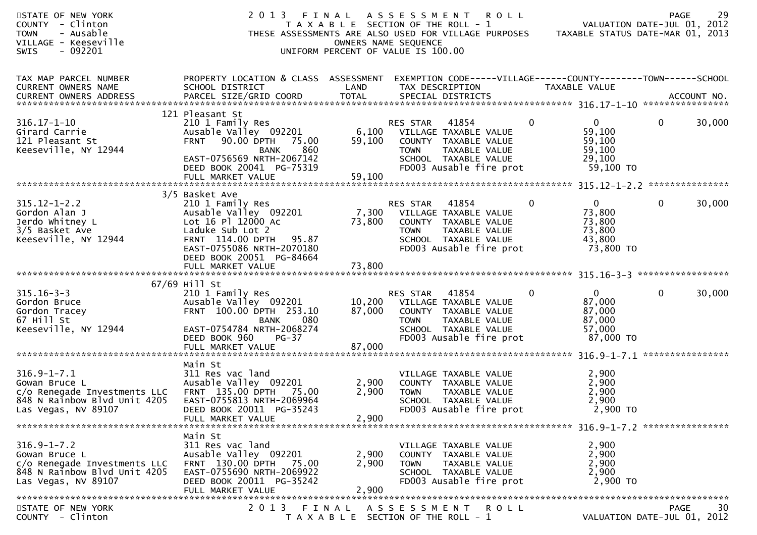| STATE OF NEW YORK<br>COUNTY - Clinton<br><b>TOWN</b><br>- Ausable<br>VILLAGE - Keeseville<br>$-092201$<br><b>SWIS</b>     | 2013 FINAL                                                                                                                                                    |                         | A S S E S S M E N T<br><b>ROLL</b><br>T A X A B L E SECTION OF THE ROLL - 1<br>THESE ASSESSMENTS ARE ALSO USED FOR VILLAGE PURPOSES<br>OWNERS NAME SEQUENCE<br>UNIFORM PERCENT OF VALUE IS 100.00 |              | VALUATION DATE-JUL 01, 2012<br>TAXABLE STATUS DATE-MAR 01, 2013   | <b>PAGE</b>                 | 29     |
|---------------------------------------------------------------------------------------------------------------------------|---------------------------------------------------------------------------------------------------------------------------------------------------------------|-------------------------|---------------------------------------------------------------------------------------------------------------------------------------------------------------------------------------------------|--------------|-------------------------------------------------------------------|-----------------------------|--------|
| TAX MAP PARCEL NUMBER<br>CURRENT OWNERS NAME                                                                              | PROPERTY LOCATION & CLASS ASSESSMENT EXEMPTION CODE-----VILLAGE------COUNTY--------TOWN------SCHOOL<br>SCHOOL DISTRICT                                        | LAND                    | TAX DESCRIPTION                                                                                                                                                                                   |              | TAXABLE VALUE                                                     |                             |        |
| $316.17 - 1 - 10$<br>Girard Carrie<br>121 Pleasant St<br>Keeseville, NY 12944                                             | 121 Pleasant St<br>210 1 Family Res<br>Ausable Valley 092201<br>FRNT 90.00 DPTH 75.00<br>860<br>BANK<br>EAST-0756569 NRTH-2067142<br>DEED BOOK 20041 PG-75319 | 59,100                  | RES STAR<br>41854<br>6,100 VILLAGE TAXABLE VALUE<br>COUNTY TAXABLE VALUE<br><b>TOWN</b><br>TAXABLE VALUE<br>SCHOOL TAXABLE VALUE<br>FD003 Ausable fire prot                                       | $\mathbf{0}$ | $\Omega$<br>59,100<br>59,100<br>59,100<br>29,100<br>59,100 TO     | $\mathbf{0}$                | 30,000 |
|                                                                                                                           |                                                                                                                                                               |                         |                                                                                                                                                                                                   |              |                                                                   |                             |        |
| $315.12 - 1 - 2.2$<br>Gordon Alan J<br>Jerdo Whitney L<br>3/5 Basket Ave<br>Keeseville, NY 12944                          | 3/5 Basket Ave<br>210 1 Family Res<br>Ausable Valley 092201<br>Lot 16 Pl 12000 Ac<br>Laduke Sub Lot 2<br>FRNT 114.00 DPTH 95.87<br>EAST-0755086 NRTH-2070180  | 73,800                  | RES STAR<br>41854<br>7,300 VILLAGE TAXABLE VALUE<br>COUNTY TAXABLE VALUE<br>TAXABLE VALUE<br><b>TOWN</b><br>SCHOOL TAXABLE VALUE<br>FD003 Ausable fire prot                                       | $\mathbf 0$  | $\mathbf{0}$<br>73,800<br>73,800<br>73,800<br>43,800<br>73,800 TO | 0                           | 30,000 |
|                                                                                                                           | DEED BOOK 20051 PG-84664<br>FULL MARKET VALUE                                                                                                                 | 73,800                  |                                                                                                                                                                                                   |              |                                                                   |                             |        |
|                                                                                                                           |                                                                                                                                                               |                         |                                                                                                                                                                                                   |              |                                                                   |                             |        |
|                                                                                                                           | 67/69 Hill St                                                                                                                                                 |                         |                                                                                                                                                                                                   |              |                                                                   |                             |        |
| $315.16 - 3 - 3$<br>Gordon Bruce<br>Gordon Tracey<br>67 Hill St<br>Keeseville, NY 12944                                   | 210 1 Family Res<br>Ausable Valley 092201<br>FRNT 100.00 DPTH 253.10<br>BANK<br>080<br>EAST-0754784 NRTH-2068274                                              | 87,000                  | RES STAR 41854<br>10,200 VILLAGE TAXABLE VALUE<br>COUNTY TAXABLE VALUE<br>TAXABLE VALUE<br><b>TOWN</b><br>SCHOOL TAXABLE VALUE                                                                    | $\Omega$     | $\mathbf{0}$<br>87,000<br>87,000<br>87,000<br>57,000              | $\mathbf{0}$                | 30,000 |
|                                                                                                                           | DEED BOOK 960<br>PG-37<br>FULL MARKET VALUE                                                                                                                   | 87,000                  | FD003 Ausable fire prot                                                                                                                                                                           |              | 87,000 TO                                                         |                             |        |
|                                                                                                                           | Main St                                                                                                                                                       |                         |                                                                                                                                                                                                   |              |                                                                   |                             |        |
| $316.9 - 1 - 7.1$<br>Gowan Bruce L<br>c/o Renegade Investments LLC<br>848 N Rainbow Blvd Unit 4205<br>Las Vegas, NV 89107 | 311 Res vac land<br>Ausable Valley 092201<br>FRNT 135.00 DPTH 75.00<br>EAST-0755813 NRTH-2069964<br>DEED BOOK 20011 PG-35243<br>FULL MARKET VALUE             | 2,900<br>2,900<br>2,900 | VILLAGE TAXABLE VALUE<br>COUNTY TAXABLE VALUE<br><b>TOWN</b><br>TAXABLE VALUE<br>SCHOOL TAXABLE VALUE<br>FD003 Ausable fire prot                                                                  |              | 2,900<br>2,900<br>2,900<br>2,900<br>2,900 TO                      |                             |        |
|                                                                                                                           |                                                                                                                                                               |                         |                                                                                                                                                                                                   |              |                                                                   |                             |        |
| $316.9 - 1 - 7.2$<br>Gowan Bruce L<br>c/o Renegade Investments LLC<br>848 N Rainbow Blvd Unit 4205<br>Las Vegas, NV 89107 | Main St<br>311 Res vac land<br>Ausable Valley 092201<br>FRNT 130.00 DPTH 75.00<br>EAST-0755690 NRTH-2069922<br>DEED BOOK 20011 PG-35242<br>FULL MARKET VALUE  | 2,900<br>2,900<br>2,900 | VILLAGE TAXABLE VALUE<br>COUNTY TAXABLE VALUE<br><b>TOWN</b><br>TAXABLE VALUE<br>SCHOOL TAXABLE VALUE<br>FD003 Ausable fire prot                                                                  |              | 2,900<br>2,900<br>2,900<br>2,900<br>2,900 TO                      |                             |        |
| STATE OF NEW YORK                                                                                                         | 2 0 1 3                                                                                                                                                       | FINAL                   | ASSESSMENT ROLL                                                                                                                                                                                   |              |                                                                   | PAGE                        | 30     |
| COUNTY - Clinton                                                                                                          |                                                                                                                                                               |                         | T A X A B L E SECTION OF THE ROLL - 1                                                                                                                                                             |              |                                                                   | VALUATION DATE-JUL 01, 2012 |        |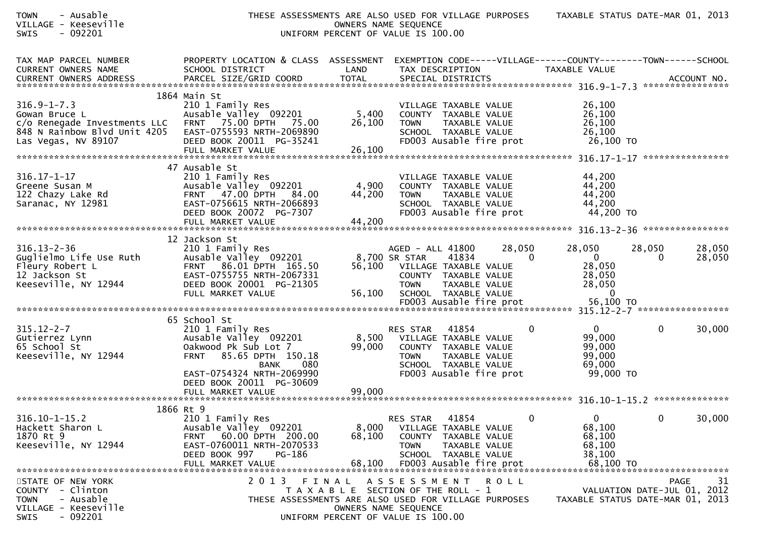| <b>FOWN</b> | Ausable |
|-------------|---------|
|             |         |

## TOWN - Ausable THESE ASSESSMENTS ARE ALSO USED FOR VILLAGE PURPOSES TAXABLE STATUS DATE-MAR 01, 2013VILLAGE - Keeseville OWNERS NAME SEQUENCESWIS - 092201 UNIFORM PERCENT OF VALUE IS 100.00

| PERCENT OF VALUE IS 100.00 |  |  |  |
|----------------------------|--|--|--|
|                            |  |  |  |

| TAX MAP PARCEL NUMBER<br>CURRENT OWNERS NAME<br><b>CURRENT OWNERS ADDRESS</b>                                                             | PROPERTY LOCATION & CLASS ASSESSMENT<br>SCHOOL DISTRICT<br>PARCEL SIZE/GRID COORD                                                                                                                                  | LAND<br><b>TOTAL</b>      | EXEMPTION CODE-----VILLAGE------COUNTY--------TOWN------SCHOOL<br>TAX DESCRIPTION<br>SPECIAL DISTRICTS                                                                               |                    | TAXABLE VALUE                                                            | ACCOUNT NO.                                                                   |
|-------------------------------------------------------------------------------------------------------------------------------------------|--------------------------------------------------------------------------------------------------------------------------------------------------------------------------------------------------------------------|---------------------------|--------------------------------------------------------------------------------------------------------------------------------------------------------------------------------------|--------------------|--------------------------------------------------------------------------|-------------------------------------------------------------------------------|
| $316.9 - 1 - 7.3$<br>Gowan Bruce L<br>c/o Renegade Investments LLC FRNT 75.00 DPTH<br>848 N Rainbow Blvd Unit 4205<br>Las Vegas, NV 89107 | 1864 Main St<br>210 1 Family Res<br>Ausable Valley 092201<br>75.00<br>EAST-0755593 NRTH-2069890<br>DEED BOOK 20011 PG-35241                                                                                        | 5,400<br>26,100           | VILLAGE TAXABLE VALUE<br>COUNTY TAXABLE VALUE<br>TAXABLE VALUE<br><b>TOWN</b><br>SCHOOL TAXABLE VALUE<br>FD003 Ausable fire prot                                                     |                    | 26,100<br>26,100<br>26,100<br>26,100<br>26,100 TO                        |                                                                               |
| $316.17 - 1 - 17$<br>Greene Susan M<br>122 Chazy Lake Rd<br>Saranac, NY 12981                                                             | 47 Ausable St<br>210 1 Family Res<br>Ausable Valley 092201<br>FRNT 47.00 DPTH 84.00<br>EAST-0756615 NRTH-2066893<br>DEED BOOK 20072 PG-7307                                                                        | 4,900<br>44,200           | VILLAGE TAXABLE VALUE<br>COUNTY TAXABLE VALUE<br>TAXABLE VALUE<br><b>TOWN</b><br>SCHOOL TAXABLE VALUE<br>FD003 Ausable fire prot                                                     |                    | 44,200<br>44,200<br>44,200<br>44,200<br>44,200 TO                        |                                                                               |
| $316.13 - 2 - 36$<br>Guglielmo Life Use Ruth<br>Fleury Robert L<br>12 Jackson St<br>Keeseville, NY 12944                                  | 12 Jackson St<br>210 1 Family Res<br>Ausable Valley 092201<br>FRNT 86.01 DPTH 165.50<br>EAST-0755755 NRTH-2067331<br>DEED BOOK 20001 PG-21305<br>FULL MARKET VALUE                                                 | 56,100                    | AGED - ALL 41800<br>8,700 SR STAR<br>41834<br>56,100 VILLAGE TAXABLE VALUE<br>COUNTY TAXABLE VALUE<br><b>TOWN</b><br>TAXABLE VALUE<br>SCHOOL TAXABLE VALUE                           | 28,050<br>$\Omega$ | 28,050<br>$\overline{0}$<br>28,050<br>28,050<br>28,050<br>$\overline{0}$ | 28,050<br>28,050<br>28,050<br>0                                               |
| $315.12 - 2 - 7$<br>Gutierrez Lynn<br>65 School St<br>Keeseville, NY 12944                                                                | 65 School St<br>210 1 Family Res<br>Ausable Valley 092201<br>Oakwood Pk Sub Lot 7<br>85.65 DPTH 150.18<br><b>FRNT</b><br>080<br>BANK<br>EAST-0754324 NRTH-2069990<br>DEED BOOK 20011 PG-30609<br>FULL MARKET VALUE | 8,500<br>99,000<br>99,000 | 41854<br>RES STAR<br>VILLAGE TAXABLE VALUE<br>COUNTY TAXABLE VALUE<br><b>TOWN</b><br>TAXABLE VALUE<br>SCHOOL TAXABLE VALUE<br>FD003 Ausable fire prot                                | $\mathbf{0}$       | $\overline{0}$<br>99,000<br>99,000<br>99,000<br>69,000<br>99,000 TO      | $\mathbf{0}$<br>30,000                                                        |
| $316.10 - 1 - 15.2$<br>Hackett Sharon L<br>1870 Rt 9<br>Keeseville, NY 12944                                                              | 1866 Rt 9<br>210 1 Family Res<br>Ausable Valley 092201<br>FRNT 60.00 DPTH 200.00<br>EAST-0760011 NRTH-2070533<br>DEED BOOK 997 PG-186<br>FULL MARKET VALUE                                                         | 8,000<br>68,100<br>68,100 | 41854<br><b>RES STAR</b><br>VILLAGE TAXABLE VALUE<br>COUNTY TAXABLE VALUE<br><b>TOWN</b><br><b>TAXABLE VALUE</b><br>SCHOOL TAXABLE VALUE<br>FD003 Ausable fire prot                  | $\mathbf{0}$       | $\mathbf{0}$<br>68,100<br>68,100<br>68,100<br>38,100<br>68,100 TO        | $\mathbf 0$<br>30,000                                                         |
| STATE OF NEW YORK<br>COUNTY - Clinton<br>- Ausable<br><b>TOWN</b><br>VILLAGE - Keeseville<br>SWIS<br>$-092201$                            | 2 0 1 3                                                                                                                                                                                                            |                           | FINAL ASSESSMENT ROLL<br>T A X A B L E SECTION OF THE ROLL - 1<br>THESE ASSESSMENTS ARE ALSO USED FOR VILLAGE PURPOSES<br>OWNERS NAME SEOUENCE<br>UNIFORM PERCENT OF VALUE IS 100.00 |                    |                                                                          | 31<br>PAGE<br>VALUATION DATE-JUL 01, 2012<br>TAXABLE STATUS DATE-MAR 01, 2013 |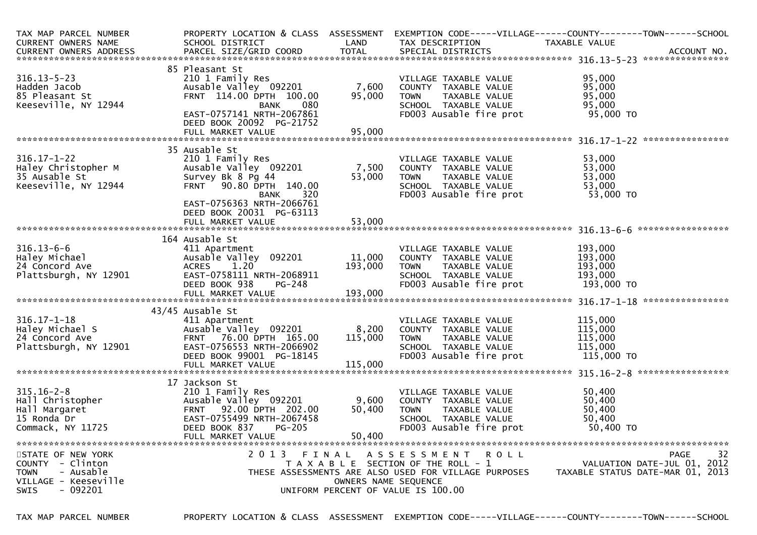| TAX MAP PARCEL NUMBER<br><b>CURRENT OWNERS NAME</b> | PROPERTY LOCATION & CLASS ASSESSMENT<br>SCHOOL DISTRICT | LAND                 | TAX DESCRIPTION                                      | EXEMPTION CODE-----VILLAGE------COUNTY--------TOWN------SCHOOL<br>TAXABLE VALUE |
|-----------------------------------------------------|---------------------------------------------------------|----------------------|------------------------------------------------------|---------------------------------------------------------------------------------|
|                                                     |                                                         |                      |                                                      |                                                                                 |
|                                                     |                                                         |                      |                                                      |                                                                                 |
|                                                     | 85 Pleasant St                                          |                      |                                                      |                                                                                 |
| $316.13 - 5 - 23$                                   | 210 1 Family Res                                        |                      | VILLAGE TAXABLE VALUE                                | 95,000                                                                          |
| Hadden Jacob                                        | Ausable Valley 092201                                   | 7,600                | COUNTY TAXABLE VALUE                                 | 95,000                                                                          |
| 85 Pleasant St                                      | FRNT 114.00 DPTH 100.00                                 | 95,000               | <b>TOWN</b><br>TAXABLE VALUE                         | 95,000                                                                          |
| Keeseville, NY 12944                                | 080<br>BANK<br>EAST-0757141 NRTH-2067861                |                      | SCHOOL TAXABLE VALUE<br>FD003 Ausable fire prot      | 95,000<br>95,000 TO                                                             |
|                                                     | DEED BOOK 20092 PG-21752                                |                      |                                                      |                                                                                 |
|                                                     |                                                         |                      |                                                      |                                                                                 |
|                                                     | 35 Ausable St                                           |                      |                                                      |                                                                                 |
| $316.17 - 1 - 22$                                   | 210 1 Family Res                                        |                      | VILLAGE TAXABLE VALUE                                | 53,000                                                                          |
| Haley Christopher M                                 | Ausable Valley 092201                                   | 7,500                | COUNTY TAXABLE VALUE                                 | 53,000                                                                          |
| 35 Ausable St                                       | Survey Bk 8 Pg 44                                       | 53,000               | TAXABLE VALUE<br>TOWN                                | 53,000                                                                          |
| Keeseville, NY 12944                                | FRNT 90.80 DPTH 140.00                                  |                      | SCHOOL TAXABLE VALUE                                 | 53,000                                                                          |
|                                                     | <b>BANK</b><br>320                                      |                      | FD003 Ausable fire prot                              | 53,000 TO                                                                       |
|                                                     | EAST-0756363 NRTH-2066761                               |                      |                                                      |                                                                                 |
|                                                     | DEED BOOK 20031 PG-63113                                |                      |                                                      |                                                                                 |
|                                                     | FULL MARKET VALUE                                       | 53,000               |                                                      |                                                                                 |
|                                                     |                                                         |                      |                                                      |                                                                                 |
|                                                     | 164 Ausable St                                          |                      |                                                      |                                                                                 |
| $316.13 - 6 - 6$                                    | 411 Apartment                                           |                      | VILLAGE TAXABLE VALUE                                | 193,000                                                                         |
| Haley Michael                                       | Ausable Valley 092201                                   | 11,000               | COUNTY TAXABLE VALUE                                 | 193,000                                                                         |
| 24 Concord Ave                                      | 1.20<br><b>ACRES</b>                                    | 193,000              | TAXABLE VALUE<br>TOWN                                | 193,000                                                                         |
| Plattsburgh, NY 12901                               | EAST-0758111 NRTH-2068911                               |                      | SCHOOL TAXABLE VALUE                                 | 193,000                                                                         |
|                                                     | DEED BOOK 938<br>PG-248                                 |                      | FD003 Ausable fire prot                              | 193,000 TO                                                                      |
|                                                     |                                                         |                      |                                                      |                                                                                 |
|                                                     | 43/45 Ausable St                                        |                      |                                                      |                                                                                 |
| $316.17 - 1 - 18$                                   | 411 Apartment                                           |                      | VILLAGE TAXABLE VALUE                                | 115,000                                                                         |
| Haley Michael S                                     | Ausable Valley 092201 8,200                             |                      | COUNTY TAXABLE VALUE                                 | 115,000                                                                         |
| 24 Concord Ave                                      | FRNT 76.00 DPTH 165.00                                  | 115,000              | TAXABLE VALUE<br><b>TOWN</b>                         | 115,000                                                                         |
| Plattsburgh, NY 12901                               | EAST-0756553 NRTH-2066902                               |                      | SCHOOL TAXABLE VALUE                                 | 115,000                                                                         |
|                                                     | DEED BOOK 99001 PG-18145                                |                      | FD003 Ausable fire prot                              | 115,000 TO                                                                      |
|                                                     | FULL MARKET VALUE                                       | 115,000              |                                                      |                                                                                 |
|                                                     |                                                         |                      |                                                      |                                                                                 |
|                                                     | 17 Jackson St                                           |                      |                                                      |                                                                                 |
| $315.16 - 2 - 8$                                    | 210 1 Family Res                                        |                      | VILLAGE TAXABLE VALUE                                | 50,400                                                                          |
| Hall Christopher                                    | Ausable Valley 092201                                   | 9,600                | COUNTY TAXABLE VALUE                                 | 50,400                                                                          |
| Hall Margaret                                       | FRNT 92.00 DPTH 202.00                                  | 50,400               | <b>TOWN</b><br>TAXABLE VALUE                         | 50,400                                                                          |
| 15 Ronda Dr                                         | EAST-0755499 NRTH-2067458                               |                      | SCHOOL TAXABLE VALUE                                 | 50,400                                                                          |
| Commack, NY 11725                                   | DEED BOOK 837<br><b>PG-205</b>                          |                      | FD003 Ausable fire prot                              | 50,400 TO                                                                       |
|                                                     | FULL MARKET VALUE                                       | 50,400               |                                                      |                                                                                 |
| STATE OF NEW YORK                                   | 2013 FINAL                                              |                      | A S S E S S M E N T R O L L                          | 32<br>PAGE                                                                      |
| COUNTY - Clinton                                    |                                                         |                      | T A X A B L E SECTION OF THE ROLL - 1                | VALUATION DATE-JUL 01, 2012                                                     |
| - Ausable<br><b>TOWN</b>                            |                                                         |                      | THESE ASSESSMENTS ARE ALSO USED FOR VILLAGE PURPOSES | TAXABLE STATUS DATE-MAR 01, 2013                                                |
| VILLAGE - Keeseville                                |                                                         | OWNERS NAME SEQUENCE |                                                      |                                                                                 |
| - 092201<br><b>SWIS</b>                             |                                                         |                      | UNIFORM PERCENT OF VALUE IS 100.00                   |                                                                                 |
|                                                     |                                                         |                      |                                                      |                                                                                 |

TAX MAP PARCEL NUMBER PROPERTY LOCATION & CLASS ASSESSMENT EXEMPTION CODE-----VILLAGE------COUNTY--------TOWN------SCHOOL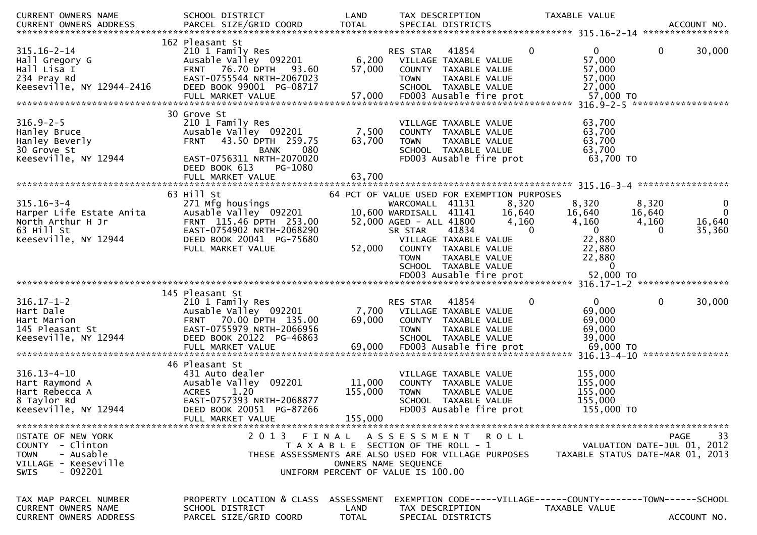| <b>TOTAL</b><br>PARCEL SIZE/GRID COORD<br>SPECIAL DISTRICTS<br>CURRENT OWNERS ADDRESS<br>ACCOUNT NO.<br>162 Pleasant St<br>$315.16 - 2 - 14$<br>41854<br>$\mathbf{0}$<br>$\mathbf{0}$<br>$\mathbf 0$<br>30,000<br>210 1 Family Res<br><b>RES STAR</b><br>Ausable Valley 092201<br>6,200<br>57,000<br>Hall Gregory G<br>VILLAGE TAXABLE VALUE<br>93.60<br>57,000<br>Hall Lisa I<br>FRNT 76.70 DPTH<br>57,000<br>COUNTY TAXABLE VALUE<br>234 Pray Rd<br>EAST-0755544 NRTH-2067023<br>57,000<br>TAXABLE VALUE<br><b>TOWN</b><br>Keeseville, NY 12944-2416<br>DEED BOOK 99001 PG-08717<br>SCHOOL TAXABLE VALUE<br>27,000<br>FD003 Ausable fire prot<br>57,000 TO<br>57,000<br>FULL MARKET VALUE<br>30 Grove St<br>$316.9 - 2 - 5$<br>63,700<br>210 1 Family Res<br>VILLAGE TAXABLE VALUE<br>7,500<br>63,700<br>Hanley Bruce<br>Ausable Valley 092201<br>COUNTY TAXABLE VALUE<br>63,700<br>43.50 DPTH 259.75<br>63,700<br>Hanley Beverly<br><b>FRNT</b><br><b>TOWN</b><br>TAXABLE VALUE<br>63,700<br>30 Grove St<br>080<br>SCHOOL TAXABLE VALUE<br><b>BANK</b><br>63,700 TO<br>Keeseville, NY 12944<br>EAST-0756311 NRTH-2070020<br>FD003 Ausable fire prot<br>DEED BOOK 613<br>PG-1080<br>63,700<br>FULL MARKET VALUE<br>315.16-3-4 *******************<br>63 Hill St<br>64 PCT OF VALUE USED FOR EXEMPTION PURPOSES<br>$315.16 - 3 - 4$<br>271 Mfg housings<br>8,320<br>8,320<br>WARCOMALL 41131<br>8,320<br>$\mathbf{0}$<br>$\mathbf{0}$<br>Harper Life Estate Anita<br>Ausable Valley 092201<br>10,600 WARDISALL<br>41141<br>16,640<br>16,640<br>16,640<br>FRNT 115.46 DPTH 253.00<br>4,160<br>16,640<br>North Arthur H Jr<br>52,000 AGED - ALL 41800<br>4,160<br>4,160<br>63 Hill St<br>EAST-0754902 NRTH-2068290<br>$\mathbf{0}$<br>35,360<br>SR STAR<br>41834<br>$\Omega$<br>$\Omega$<br>22,880<br>Keeseville, NY 12944<br>DEED BOOK 20041 PG-75680<br>VILLAGE TAXABLE VALUE<br>22,880<br>FULL MARKET VALUE<br>52,000<br>COUNTY TAXABLE VALUE<br>22,880<br><b>TOWN</b><br>TAXABLE VALUE<br>SCHOOL TAXABLE VALUE<br>$\Omega$<br>145 Pleasant St<br>$\mathbf 0$<br>0<br>30,000<br>RES STAR<br>41854<br>0<br>210 1 Family Res<br>69,000<br>Hart Dale<br>Ausable Valley 092201<br>7,700<br>VILLAGE TAXABLE VALUE<br>69,000<br>Hart Marion<br>70.00 DPTH 135.00<br>69,000<br><b>FRNT</b><br>COUNTY TAXABLE VALUE<br>EAST-0755979 NRTH-2066956<br>69,000<br>145 Pleasant St<br><b>TOWN</b><br>TAXABLE VALUE<br>Keeseville, NY 12944<br>DEED BOOK 20122 PG-46863<br>SCHOOL TAXABLE VALUE<br>39,000<br>69,000<br>FD003 Ausable fire prot<br>69,000 TO<br>FULL MARKET VALUE<br>46 Pleasant St<br>$316.13 - 4 - 10$<br>155,000<br>431 Auto dealer<br>VILLAGE TAXABLE VALUE<br>11,000<br>155,000<br>Hart Raymond A<br>Ausable Valley 092201<br>COUNTY TAXABLE VALUE<br>155,000<br>Hart Rebecca A<br><b>ACRES</b><br>1.20<br>155,000<br>TAXABLE VALUE<br><b>TOWN</b><br>EAST-0757393 NRTH-2068877<br>155,000<br>8 Taylor Rd<br>SCHOOL TAXABLE VALUE<br>Keeseville, NY 12944<br>DEED BOOK 20051 PG-87266<br>FD003 Ausable fire prot<br>155,000 TO<br>155,000<br>FULL MARKET VALUE<br>2 0 1 3<br>33<br>STATE OF NEW YORK<br>FINAL<br>A S S E S S M E N T R O L L<br>PAGE<br>COUNTY - Clinton<br>VALUATION DATE-JUL 01, 2012<br>T A X A B L E SECTION OF THE ROLL - 1<br>- Ausable<br><b>TOWN</b><br>THESE ASSESSMENTS ARE ALSO USED FOR VILLAGE PURPOSES<br>TAXABLE STATUS DATE-MAR 01, 2013<br>VILLAGE - Keeseville<br>OWNERS NAME SEQUENCE<br>- 092201<br><b>SWIS</b><br>UNIFORM PERCENT OF VALUE IS 100.00<br>PROPERTY LOCATION & CLASS<br>EXEMPTION CODE-----VILLAGE------COUNTY--------TOWN------SCHOOL<br>TAX MAP PARCEL NUMBER<br>ASSESSMENT<br>CURRENT OWNERS NAME<br>SCHOOL DISTRICT<br>LAND<br>TAX DESCRIPTION<br>TAXABLE VALUE<br><b>CURRENT OWNERS ADDRESS</b><br>PARCEL SIZE/GRID COORD<br><b>TOTAL</b><br>SPECIAL DISTRICTS<br>ACCOUNT NO. | CURRENT OWNERS NAME | SCHOOL DISTRICT | LAND | TAX DESCRIPTION | TAXABLE VALUE |  |
|----------------------------------------------------------------------------------------------------------------------------------------------------------------------------------------------------------------------------------------------------------------------------------------------------------------------------------------------------------------------------------------------------------------------------------------------------------------------------------------------------------------------------------------------------------------------------------------------------------------------------------------------------------------------------------------------------------------------------------------------------------------------------------------------------------------------------------------------------------------------------------------------------------------------------------------------------------------------------------------------------------------------------------------------------------------------------------------------------------------------------------------------------------------------------------------------------------------------------------------------------------------------------------------------------------------------------------------------------------------------------------------------------------------------------------------------------------------------------------------------------------------------------------------------------------------------------------------------------------------------------------------------------------------------------------------------------------------------------------------------------------------------------------------------------------------------------------------------------------------------------------------------------------------------------------------------------------------------------------------------------------------------------------------------------------------------------------------------------------------------------------------------------------------------------------------------------------------------------------------------------------------------------------------------------------------------------------------------------------------------------------------------------------------------------------------------------------------------------------------------------------------------------------------------------------------------------------------------------------------------------------------------------------------------------------------------------------------------------------------------------------------------------------------------------------------------------------------------------------------------------------------------------------------------------------------------------------------------------------------------------------------------------------------------------------------------------------------------------------------------------------------------------------------------------------------------------------------------------------------------------------------------------------------------------------------------------------------------------------------------------------------------------------------------------------------------------------------------------------------------------------------------------------------------------------------------------------------------------------------------------------------------------------------------------------------------------------------------------------------------------------------------------------------------------------------------------------------------|---------------------|-----------------|------|-----------------|---------------|--|
|                                                                                                                                                                                                                                                                                                                                                                                                                                                                                                                                                                                                                                                                                                                                                                                                                                                                                                                                                                                                                                                                                                                                                                                                                                                                                                                                                                                                                                                                                                                                                                                                                                                                                                                                                                                                                                                                                                                                                                                                                                                                                                                                                                                                                                                                                                                                                                                                                                                                                                                                                                                                                                                                                                                                                                                                                                                                                                                                                                                                                                                                                                                                                                                                                                                                                                                                                                                                                                                                                                                                                                                                                                                                                                                                                                                                                                              |                     |                 |      |                 |               |  |
|                                                                                                                                                                                                                                                                                                                                                                                                                                                                                                                                                                                                                                                                                                                                                                                                                                                                                                                                                                                                                                                                                                                                                                                                                                                                                                                                                                                                                                                                                                                                                                                                                                                                                                                                                                                                                                                                                                                                                                                                                                                                                                                                                                                                                                                                                                                                                                                                                                                                                                                                                                                                                                                                                                                                                                                                                                                                                                                                                                                                                                                                                                                                                                                                                                                                                                                                                                                                                                                                                                                                                                                                                                                                                                                                                                                                                                              |                     |                 |      |                 |               |  |
|                                                                                                                                                                                                                                                                                                                                                                                                                                                                                                                                                                                                                                                                                                                                                                                                                                                                                                                                                                                                                                                                                                                                                                                                                                                                                                                                                                                                                                                                                                                                                                                                                                                                                                                                                                                                                                                                                                                                                                                                                                                                                                                                                                                                                                                                                                                                                                                                                                                                                                                                                                                                                                                                                                                                                                                                                                                                                                                                                                                                                                                                                                                                                                                                                                                                                                                                                                                                                                                                                                                                                                                                                                                                                                                                                                                                                                              |                     |                 |      |                 |               |  |
|                                                                                                                                                                                                                                                                                                                                                                                                                                                                                                                                                                                                                                                                                                                                                                                                                                                                                                                                                                                                                                                                                                                                                                                                                                                                                                                                                                                                                                                                                                                                                                                                                                                                                                                                                                                                                                                                                                                                                                                                                                                                                                                                                                                                                                                                                                                                                                                                                                                                                                                                                                                                                                                                                                                                                                                                                                                                                                                                                                                                                                                                                                                                                                                                                                                                                                                                                                                                                                                                                                                                                                                                                                                                                                                                                                                                                                              |                     |                 |      |                 |               |  |
|                                                                                                                                                                                                                                                                                                                                                                                                                                                                                                                                                                                                                                                                                                                                                                                                                                                                                                                                                                                                                                                                                                                                                                                                                                                                                                                                                                                                                                                                                                                                                                                                                                                                                                                                                                                                                                                                                                                                                                                                                                                                                                                                                                                                                                                                                                                                                                                                                                                                                                                                                                                                                                                                                                                                                                                                                                                                                                                                                                                                                                                                                                                                                                                                                                                                                                                                                                                                                                                                                                                                                                                                                                                                                                                                                                                                                                              |                     |                 |      |                 |               |  |
|                                                                                                                                                                                                                                                                                                                                                                                                                                                                                                                                                                                                                                                                                                                                                                                                                                                                                                                                                                                                                                                                                                                                                                                                                                                                                                                                                                                                                                                                                                                                                                                                                                                                                                                                                                                                                                                                                                                                                                                                                                                                                                                                                                                                                                                                                                                                                                                                                                                                                                                                                                                                                                                                                                                                                                                                                                                                                                                                                                                                                                                                                                                                                                                                                                                                                                                                                                                                                                                                                                                                                                                                                                                                                                                                                                                                                                              |                     |                 |      |                 |               |  |
|                                                                                                                                                                                                                                                                                                                                                                                                                                                                                                                                                                                                                                                                                                                                                                                                                                                                                                                                                                                                                                                                                                                                                                                                                                                                                                                                                                                                                                                                                                                                                                                                                                                                                                                                                                                                                                                                                                                                                                                                                                                                                                                                                                                                                                                                                                                                                                                                                                                                                                                                                                                                                                                                                                                                                                                                                                                                                                                                                                                                                                                                                                                                                                                                                                                                                                                                                                                                                                                                                                                                                                                                                                                                                                                                                                                                                                              |                     |                 |      |                 |               |  |
|                                                                                                                                                                                                                                                                                                                                                                                                                                                                                                                                                                                                                                                                                                                                                                                                                                                                                                                                                                                                                                                                                                                                                                                                                                                                                                                                                                                                                                                                                                                                                                                                                                                                                                                                                                                                                                                                                                                                                                                                                                                                                                                                                                                                                                                                                                                                                                                                                                                                                                                                                                                                                                                                                                                                                                                                                                                                                                                                                                                                                                                                                                                                                                                                                                                                                                                                                                                                                                                                                                                                                                                                                                                                                                                                                                                                                                              |                     |                 |      |                 |               |  |
|                                                                                                                                                                                                                                                                                                                                                                                                                                                                                                                                                                                                                                                                                                                                                                                                                                                                                                                                                                                                                                                                                                                                                                                                                                                                                                                                                                                                                                                                                                                                                                                                                                                                                                                                                                                                                                                                                                                                                                                                                                                                                                                                                                                                                                                                                                                                                                                                                                                                                                                                                                                                                                                                                                                                                                                                                                                                                                                                                                                                                                                                                                                                                                                                                                                                                                                                                                                                                                                                                                                                                                                                                                                                                                                                                                                                                                              |                     |                 |      |                 |               |  |
|                                                                                                                                                                                                                                                                                                                                                                                                                                                                                                                                                                                                                                                                                                                                                                                                                                                                                                                                                                                                                                                                                                                                                                                                                                                                                                                                                                                                                                                                                                                                                                                                                                                                                                                                                                                                                                                                                                                                                                                                                                                                                                                                                                                                                                                                                                                                                                                                                                                                                                                                                                                                                                                                                                                                                                                                                                                                                                                                                                                                                                                                                                                                                                                                                                                                                                                                                                                                                                                                                                                                                                                                                                                                                                                                                                                                                                              |                     |                 |      |                 |               |  |
|                                                                                                                                                                                                                                                                                                                                                                                                                                                                                                                                                                                                                                                                                                                                                                                                                                                                                                                                                                                                                                                                                                                                                                                                                                                                                                                                                                                                                                                                                                                                                                                                                                                                                                                                                                                                                                                                                                                                                                                                                                                                                                                                                                                                                                                                                                                                                                                                                                                                                                                                                                                                                                                                                                                                                                                                                                                                                                                                                                                                                                                                                                                                                                                                                                                                                                                                                                                                                                                                                                                                                                                                                                                                                                                                                                                                                                              |                     |                 |      |                 |               |  |
|                                                                                                                                                                                                                                                                                                                                                                                                                                                                                                                                                                                                                                                                                                                                                                                                                                                                                                                                                                                                                                                                                                                                                                                                                                                                                                                                                                                                                                                                                                                                                                                                                                                                                                                                                                                                                                                                                                                                                                                                                                                                                                                                                                                                                                                                                                                                                                                                                                                                                                                                                                                                                                                                                                                                                                                                                                                                                                                                                                                                                                                                                                                                                                                                                                                                                                                                                                                                                                                                                                                                                                                                                                                                                                                                                                                                                                              |                     |                 |      |                 |               |  |
|                                                                                                                                                                                                                                                                                                                                                                                                                                                                                                                                                                                                                                                                                                                                                                                                                                                                                                                                                                                                                                                                                                                                                                                                                                                                                                                                                                                                                                                                                                                                                                                                                                                                                                                                                                                                                                                                                                                                                                                                                                                                                                                                                                                                                                                                                                                                                                                                                                                                                                                                                                                                                                                                                                                                                                                                                                                                                                                                                                                                                                                                                                                                                                                                                                                                                                                                                                                                                                                                                                                                                                                                                                                                                                                                                                                                                                              |                     |                 |      |                 |               |  |
|                                                                                                                                                                                                                                                                                                                                                                                                                                                                                                                                                                                                                                                                                                                                                                                                                                                                                                                                                                                                                                                                                                                                                                                                                                                                                                                                                                                                                                                                                                                                                                                                                                                                                                                                                                                                                                                                                                                                                                                                                                                                                                                                                                                                                                                                                                                                                                                                                                                                                                                                                                                                                                                                                                                                                                                                                                                                                                                                                                                                                                                                                                                                                                                                                                                                                                                                                                                                                                                                                                                                                                                                                                                                                                                                                                                                                                              |                     |                 |      |                 |               |  |
|                                                                                                                                                                                                                                                                                                                                                                                                                                                                                                                                                                                                                                                                                                                                                                                                                                                                                                                                                                                                                                                                                                                                                                                                                                                                                                                                                                                                                                                                                                                                                                                                                                                                                                                                                                                                                                                                                                                                                                                                                                                                                                                                                                                                                                                                                                                                                                                                                                                                                                                                                                                                                                                                                                                                                                                                                                                                                                                                                                                                                                                                                                                                                                                                                                                                                                                                                                                                                                                                                                                                                                                                                                                                                                                                                                                                                                              |                     |                 |      |                 |               |  |
|                                                                                                                                                                                                                                                                                                                                                                                                                                                                                                                                                                                                                                                                                                                                                                                                                                                                                                                                                                                                                                                                                                                                                                                                                                                                                                                                                                                                                                                                                                                                                                                                                                                                                                                                                                                                                                                                                                                                                                                                                                                                                                                                                                                                                                                                                                                                                                                                                                                                                                                                                                                                                                                                                                                                                                                                                                                                                                                                                                                                                                                                                                                                                                                                                                                                                                                                                                                                                                                                                                                                                                                                                                                                                                                                                                                                                                              |                     |                 |      |                 |               |  |
|                                                                                                                                                                                                                                                                                                                                                                                                                                                                                                                                                                                                                                                                                                                                                                                                                                                                                                                                                                                                                                                                                                                                                                                                                                                                                                                                                                                                                                                                                                                                                                                                                                                                                                                                                                                                                                                                                                                                                                                                                                                                                                                                                                                                                                                                                                                                                                                                                                                                                                                                                                                                                                                                                                                                                                                                                                                                                                                                                                                                                                                                                                                                                                                                                                                                                                                                                                                                                                                                                                                                                                                                                                                                                                                                                                                                                                              |                     |                 |      |                 |               |  |
|                                                                                                                                                                                                                                                                                                                                                                                                                                                                                                                                                                                                                                                                                                                                                                                                                                                                                                                                                                                                                                                                                                                                                                                                                                                                                                                                                                                                                                                                                                                                                                                                                                                                                                                                                                                                                                                                                                                                                                                                                                                                                                                                                                                                                                                                                                                                                                                                                                                                                                                                                                                                                                                                                                                                                                                                                                                                                                                                                                                                                                                                                                                                                                                                                                                                                                                                                                                                                                                                                                                                                                                                                                                                                                                                                                                                                                              |                     |                 |      |                 |               |  |
|                                                                                                                                                                                                                                                                                                                                                                                                                                                                                                                                                                                                                                                                                                                                                                                                                                                                                                                                                                                                                                                                                                                                                                                                                                                                                                                                                                                                                                                                                                                                                                                                                                                                                                                                                                                                                                                                                                                                                                                                                                                                                                                                                                                                                                                                                                                                                                                                                                                                                                                                                                                                                                                                                                                                                                                                                                                                                                                                                                                                                                                                                                                                                                                                                                                                                                                                                                                                                                                                                                                                                                                                                                                                                                                                                                                                                                              |                     |                 |      |                 |               |  |
|                                                                                                                                                                                                                                                                                                                                                                                                                                                                                                                                                                                                                                                                                                                                                                                                                                                                                                                                                                                                                                                                                                                                                                                                                                                                                                                                                                                                                                                                                                                                                                                                                                                                                                                                                                                                                                                                                                                                                                                                                                                                                                                                                                                                                                                                                                                                                                                                                                                                                                                                                                                                                                                                                                                                                                                                                                                                                                                                                                                                                                                                                                                                                                                                                                                                                                                                                                                                                                                                                                                                                                                                                                                                                                                                                                                                                                              |                     |                 |      |                 |               |  |
|                                                                                                                                                                                                                                                                                                                                                                                                                                                                                                                                                                                                                                                                                                                                                                                                                                                                                                                                                                                                                                                                                                                                                                                                                                                                                                                                                                                                                                                                                                                                                                                                                                                                                                                                                                                                                                                                                                                                                                                                                                                                                                                                                                                                                                                                                                                                                                                                                                                                                                                                                                                                                                                                                                                                                                                                                                                                                                                                                                                                                                                                                                                                                                                                                                                                                                                                                                                                                                                                                                                                                                                                                                                                                                                                                                                                                                              |                     |                 |      |                 |               |  |
|                                                                                                                                                                                                                                                                                                                                                                                                                                                                                                                                                                                                                                                                                                                                                                                                                                                                                                                                                                                                                                                                                                                                                                                                                                                                                                                                                                                                                                                                                                                                                                                                                                                                                                                                                                                                                                                                                                                                                                                                                                                                                                                                                                                                                                                                                                                                                                                                                                                                                                                                                                                                                                                                                                                                                                                                                                                                                                                                                                                                                                                                                                                                                                                                                                                                                                                                                                                                                                                                                                                                                                                                                                                                                                                                                                                                                                              |                     |                 |      |                 |               |  |
|                                                                                                                                                                                                                                                                                                                                                                                                                                                                                                                                                                                                                                                                                                                                                                                                                                                                                                                                                                                                                                                                                                                                                                                                                                                                                                                                                                                                                                                                                                                                                                                                                                                                                                                                                                                                                                                                                                                                                                                                                                                                                                                                                                                                                                                                                                                                                                                                                                                                                                                                                                                                                                                                                                                                                                                                                                                                                                                                                                                                                                                                                                                                                                                                                                                                                                                                                                                                                                                                                                                                                                                                                                                                                                                                                                                                                                              |                     |                 |      |                 |               |  |
|                                                                                                                                                                                                                                                                                                                                                                                                                                                                                                                                                                                                                                                                                                                                                                                                                                                                                                                                                                                                                                                                                                                                                                                                                                                                                                                                                                                                                                                                                                                                                                                                                                                                                                                                                                                                                                                                                                                                                                                                                                                                                                                                                                                                                                                                                                                                                                                                                                                                                                                                                                                                                                                                                                                                                                                                                                                                                                                                                                                                                                                                                                                                                                                                                                                                                                                                                                                                                                                                                                                                                                                                                                                                                                                                                                                                                                              |                     |                 |      |                 |               |  |
|                                                                                                                                                                                                                                                                                                                                                                                                                                                                                                                                                                                                                                                                                                                                                                                                                                                                                                                                                                                                                                                                                                                                                                                                                                                                                                                                                                                                                                                                                                                                                                                                                                                                                                                                                                                                                                                                                                                                                                                                                                                                                                                                                                                                                                                                                                                                                                                                                                                                                                                                                                                                                                                                                                                                                                                                                                                                                                                                                                                                                                                                                                                                                                                                                                                                                                                                                                                                                                                                                                                                                                                                                                                                                                                                                                                                                                              |                     |                 |      |                 |               |  |
|                                                                                                                                                                                                                                                                                                                                                                                                                                                                                                                                                                                                                                                                                                                                                                                                                                                                                                                                                                                                                                                                                                                                                                                                                                                                                                                                                                                                                                                                                                                                                                                                                                                                                                                                                                                                                                                                                                                                                                                                                                                                                                                                                                                                                                                                                                                                                                                                                                                                                                                                                                                                                                                                                                                                                                                                                                                                                                                                                                                                                                                                                                                                                                                                                                                                                                                                                                                                                                                                                                                                                                                                                                                                                                                                                                                                                                              |                     |                 |      |                 |               |  |
|                                                                                                                                                                                                                                                                                                                                                                                                                                                                                                                                                                                                                                                                                                                                                                                                                                                                                                                                                                                                                                                                                                                                                                                                                                                                                                                                                                                                                                                                                                                                                                                                                                                                                                                                                                                                                                                                                                                                                                                                                                                                                                                                                                                                                                                                                                                                                                                                                                                                                                                                                                                                                                                                                                                                                                                                                                                                                                                                                                                                                                                                                                                                                                                                                                                                                                                                                                                                                                                                                                                                                                                                                                                                                                                                                                                                                                              |                     |                 |      |                 |               |  |
|                                                                                                                                                                                                                                                                                                                                                                                                                                                                                                                                                                                                                                                                                                                                                                                                                                                                                                                                                                                                                                                                                                                                                                                                                                                                                                                                                                                                                                                                                                                                                                                                                                                                                                                                                                                                                                                                                                                                                                                                                                                                                                                                                                                                                                                                                                                                                                                                                                                                                                                                                                                                                                                                                                                                                                                                                                                                                                                                                                                                                                                                                                                                                                                                                                                                                                                                                                                                                                                                                                                                                                                                                                                                                                                                                                                                                                              |                     |                 |      |                 |               |  |
|                                                                                                                                                                                                                                                                                                                                                                                                                                                                                                                                                                                                                                                                                                                                                                                                                                                                                                                                                                                                                                                                                                                                                                                                                                                                                                                                                                                                                                                                                                                                                                                                                                                                                                                                                                                                                                                                                                                                                                                                                                                                                                                                                                                                                                                                                                                                                                                                                                                                                                                                                                                                                                                                                                                                                                                                                                                                                                                                                                                                                                                                                                                                                                                                                                                                                                                                                                                                                                                                                                                                                                                                                                                                                                                                                                                                                                              |                     |                 |      |                 |               |  |
|                                                                                                                                                                                                                                                                                                                                                                                                                                                                                                                                                                                                                                                                                                                                                                                                                                                                                                                                                                                                                                                                                                                                                                                                                                                                                                                                                                                                                                                                                                                                                                                                                                                                                                                                                                                                                                                                                                                                                                                                                                                                                                                                                                                                                                                                                                                                                                                                                                                                                                                                                                                                                                                                                                                                                                                                                                                                                                                                                                                                                                                                                                                                                                                                                                                                                                                                                                                                                                                                                                                                                                                                                                                                                                                                                                                                                                              |                     |                 |      |                 |               |  |
|                                                                                                                                                                                                                                                                                                                                                                                                                                                                                                                                                                                                                                                                                                                                                                                                                                                                                                                                                                                                                                                                                                                                                                                                                                                                                                                                                                                                                                                                                                                                                                                                                                                                                                                                                                                                                                                                                                                                                                                                                                                                                                                                                                                                                                                                                                                                                                                                                                                                                                                                                                                                                                                                                                                                                                                                                                                                                                                                                                                                                                                                                                                                                                                                                                                                                                                                                                                                                                                                                                                                                                                                                                                                                                                                                                                                                                              |                     |                 |      |                 |               |  |
|                                                                                                                                                                                                                                                                                                                                                                                                                                                                                                                                                                                                                                                                                                                                                                                                                                                                                                                                                                                                                                                                                                                                                                                                                                                                                                                                                                                                                                                                                                                                                                                                                                                                                                                                                                                                                                                                                                                                                                                                                                                                                                                                                                                                                                                                                                                                                                                                                                                                                                                                                                                                                                                                                                                                                                                                                                                                                                                                                                                                                                                                                                                                                                                                                                                                                                                                                                                                                                                                                                                                                                                                                                                                                                                                                                                                                                              |                     |                 |      |                 |               |  |
|                                                                                                                                                                                                                                                                                                                                                                                                                                                                                                                                                                                                                                                                                                                                                                                                                                                                                                                                                                                                                                                                                                                                                                                                                                                                                                                                                                                                                                                                                                                                                                                                                                                                                                                                                                                                                                                                                                                                                                                                                                                                                                                                                                                                                                                                                                                                                                                                                                                                                                                                                                                                                                                                                                                                                                                                                                                                                                                                                                                                                                                                                                                                                                                                                                                                                                                                                                                                                                                                                                                                                                                                                                                                                                                                                                                                                                              | $316.17 - 1 - 2$    |                 |      |                 |               |  |
|                                                                                                                                                                                                                                                                                                                                                                                                                                                                                                                                                                                                                                                                                                                                                                                                                                                                                                                                                                                                                                                                                                                                                                                                                                                                                                                                                                                                                                                                                                                                                                                                                                                                                                                                                                                                                                                                                                                                                                                                                                                                                                                                                                                                                                                                                                                                                                                                                                                                                                                                                                                                                                                                                                                                                                                                                                                                                                                                                                                                                                                                                                                                                                                                                                                                                                                                                                                                                                                                                                                                                                                                                                                                                                                                                                                                                                              |                     |                 |      |                 |               |  |
|                                                                                                                                                                                                                                                                                                                                                                                                                                                                                                                                                                                                                                                                                                                                                                                                                                                                                                                                                                                                                                                                                                                                                                                                                                                                                                                                                                                                                                                                                                                                                                                                                                                                                                                                                                                                                                                                                                                                                                                                                                                                                                                                                                                                                                                                                                                                                                                                                                                                                                                                                                                                                                                                                                                                                                                                                                                                                                                                                                                                                                                                                                                                                                                                                                                                                                                                                                                                                                                                                                                                                                                                                                                                                                                                                                                                                                              |                     |                 |      |                 |               |  |
|                                                                                                                                                                                                                                                                                                                                                                                                                                                                                                                                                                                                                                                                                                                                                                                                                                                                                                                                                                                                                                                                                                                                                                                                                                                                                                                                                                                                                                                                                                                                                                                                                                                                                                                                                                                                                                                                                                                                                                                                                                                                                                                                                                                                                                                                                                                                                                                                                                                                                                                                                                                                                                                                                                                                                                                                                                                                                                                                                                                                                                                                                                                                                                                                                                                                                                                                                                                                                                                                                                                                                                                                                                                                                                                                                                                                                                              |                     |                 |      |                 |               |  |
|                                                                                                                                                                                                                                                                                                                                                                                                                                                                                                                                                                                                                                                                                                                                                                                                                                                                                                                                                                                                                                                                                                                                                                                                                                                                                                                                                                                                                                                                                                                                                                                                                                                                                                                                                                                                                                                                                                                                                                                                                                                                                                                                                                                                                                                                                                                                                                                                                                                                                                                                                                                                                                                                                                                                                                                                                                                                                                                                                                                                                                                                                                                                                                                                                                                                                                                                                                                                                                                                                                                                                                                                                                                                                                                                                                                                                                              |                     |                 |      |                 |               |  |
|                                                                                                                                                                                                                                                                                                                                                                                                                                                                                                                                                                                                                                                                                                                                                                                                                                                                                                                                                                                                                                                                                                                                                                                                                                                                                                                                                                                                                                                                                                                                                                                                                                                                                                                                                                                                                                                                                                                                                                                                                                                                                                                                                                                                                                                                                                                                                                                                                                                                                                                                                                                                                                                                                                                                                                                                                                                                                                                                                                                                                                                                                                                                                                                                                                                                                                                                                                                                                                                                                                                                                                                                                                                                                                                                                                                                                                              |                     |                 |      |                 |               |  |
|                                                                                                                                                                                                                                                                                                                                                                                                                                                                                                                                                                                                                                                                                                                                                                                                                                                                                                                                                                                                                                                                                                                                                                                                                                                                                                                                                                                                                                                                                                                                                                                                                                                                                                                                                                                                                                                                                                                                                                                                                                                                                                                                                                                                                                                                                                                                                                                                                                                                                                                                                                                                                                                                                                                                                                                                                                                                                                                                                                                                                                                                                                                                                                                                                                                                                                                                                                                                                                                                                                                                                                                                                                                                                                                                                                                                                                              |                     |                 |      |                 |               |  |
|                                                                                                                                                                                                                                                                                                                                                                                                                                                                                                                                                                                                                                                                                                                                                                                                                                                                                                                                                                                                                                                                                                                                                                                                                                                                                                                                                                                                                                                                                                                                                                                                                                                                                                                                                                                                                                                                                                                                                                                                                                                                                                                                                                                                                                                                                                                                                                                                                                                                                                                                                                                                                                                                                                                                                                                                                                                                                                                                                                                                                                                                                                                                                                                                                                                                                                                                                                                                                                                                                                                                                                                                                                                                                                                                                                                                                                              |                     |                 |      |                 |               |  |
|                                                                                                                                                                                                                                                                                                                                                                                                                                                                                                                                                                                                                                                                                                                                                                                                                                                                                                                                                                                                                                                                                                                                                                                                                                                                                                                                                                                                                                                                                                                                                                                                                                                                                                                                                                                                                                                                                                                                                                                                                                                                                                                                                                                                                                                                                                                                                                                                                                                                                                                                                                                                                                                                                                                                                                                                                                                                                                                                                                                                                                                                                                                                                                                                                                                                                                                                                                                                                                                                                                                                                                                                                                                                                                                                                                                                                                              |                     |                 |      |                 |               |  |
|                                                                                                                                                                                                                                                                                                                                                                                                                                                                                                                                                                                                                                                                                                                                                                                                                                                                                                                                                                                                                                                                                                                                                                                                                                                                                                                                                                                                                                                                                                                                                                                                                                                                                                                                                                                                                                                                                                                                                                                                                                                                                                                                                                                                                                                                                                                                                                                                                                                                                                                                                                                                                                                                                                                                                                                                                                                                                                                                                                                                                                                                                                                                                                                                                                                                                                                                                                                                                                                                                                                                                                                                                                                                                                                                                                                                                                              |                     |                 |      |                 |               |  |
|                                                                                                                                                                                                                                                                                                                                                                                                                                                                                                                                                                                                                                                                                                                                                                                                                                                                                                                                                                                                                                                                                                                                                                                                                                                                                                                                                                                                                                                                                                                                                                                                                                                                                                                                                                                                                                                                                                                                                                                                                                                                                                                                                                                                                                                                                                                                                                                                                                                                                                                                                                                                                                                                                                                                                                                                                                                                                                                                                                                                                                                                                                                                                                                                                                                                                                                                                                                                                                                                                                                                                                                                                                                                                                                                                                                                                                              |                     |                 |      |                 |               |  |
|                                                                                                                                                                                                                                                                                                                                                                                                                                                                                                                                                                                                                                                                                                                                                                                                                                                                                                                                                                                                                                                                                                                                                                                                                                                                                                                                                                                                                                                                                                                                                                                                                                                                                                                                                                                                                                                                                                                                                                                                                                                                                                                                                                                                                                                                                                                                                                                                                                                                                                                                                                                                                                                                                                                                                                                                                                                                                                                                                                                                                                                                                                                                                                                                                                                                                                                                                                                                                                                                                                                                                                                                                                                                                                                                                                                                                                              |                     |                 |      |                 |               |  |
|                                                                                                                                                                                                                                                                                                                                                                                                                                                                                                                                                                                                                                                                                                                                                                                                                                                                                                                                                                                                                                                                                                                                                                                                                                                                                                                                                                                                                                                                                                                                                                                                                                                                                                                                                                                                                                                                                                                                                                                                                                                                                                                                                                                                                                                                                                                                                                                                                                                                                                                                                                                                                                                                                                                                                                                                                                                                                                                                                                                                                                                                                                                                                                                                                                                                                                                                                                                                                                                                                                                                                                                                                                                                                                                                                                                                                                              |                     |                 |      |                 |               |  |
|                                                                                                                                                                                                                                                                                                                                                                                                                                                                                                                                                                                                                                                                                                                                                                                                                                                                                                                                                                                                                                                                                                                                                                                                                                                                                                                                                                                                                                                                                                                                                                                                                                                                                                                                                                                                                                                                                                                                                                                                                                                                                                                                                                                                                                                                                                                                                                                                                                                                                                                                                                                                                                                                                                                                                                                                                                                                                                                                                                                                                                                                                                                                                                                                                                                                                                                                                                                                                                                                                                                                                                                                                                                                                                                                                                                                                                              |                     |                 |      |                 |               |  |
|                                                                                                                                                                                                                                                                                                                                                                                                                                                                                                                                                                                                                                                                                                                                                                                                                                                                                                                                                                                                                                                                                                                                                                                                                                                                                                                                                                                                                                                                                                                                                                                                                                                                                                                                                                                                                                                                                                                                                                                                                                                                                                                                                                                                                                                                                                                                                                                                                                                                                                                                                                                                                                                                                                                                                                                                                                                                                                                                                                                                                                                                                                                                                                                                                                                                                                                                                                                                                                                                                                                                                                                                                                                                                                                                                                                                                                              |                     |                 |      |                 |               |  |
|                                                                                                                                                                                                                                                                                                                                                                                                                                                                                                                                                                                                                                                                                                                                                                                                                                                                                                                                                                                                                                                                                                                                                                                                                                                                                                                                                                                                                                                                                                                                                                                                                                                                                                                                                                                                                                                                                                                                                                                                                                                                                                                                                                                                                                                                                                                                                                                                                                                                                                                                                                                                                                                                                                                                                                                                                                                                                                                                                                                                                                                                                                                                                                                                                                                                                                                                                                                                                                                                                                                                                                                                                                                                                                                                                                                                                                              |                     |                 |      |                 |               |  |
|                                                                                                                                                                                                                                                                                                                                                                                                                                                                                                                                                                                                                                                                                                                                                                                                                                                                                                                                                                                                                                                                                                                                                                                                                                                                                                                                                                                                                                                                                                                                                                                                                                                                                                                                                                                                                                                                                                                                                                                                                                                                                                                                                                                                                                                                                                                                                                                                                                                                                                                                                                                                                                                                                                                                                                                                                                                                                                                                                                                                                                                                                                                                                                                                                                                                                                                                                                                                                                                                                                                                                                                                                                                                                                                                                                                                                                              |                     |                 |      |                 |               |  |
|                                                                                                                                                                                                                                                                                                                                                                                                                                                                                                                                                                                                                                                                                                                                                                                                                                                                                                                                                                                                                                                                                                                                                                                                                                                                                                                                                                                                                                                                                                                                                                                                                                                                                                                                                                                                                                                                                                                                                                                                                                                                                                                                                                                                                                                                                                                                                                                                                                                                                                                                                                                                                                                                                                                                                                                                                                                                                                                                                                                                                                                                                                                                                                                                                                                                                                                                                                                                                                                                                                                                                                                                                                                                                                                                                                                                                                              |                     |                 |      |                 |               |  |
|                                                                                                                                                                                                                                                                                                                                                                                                                                                                                                                                                                                                                                                                                                                                                                                                                                                                                                                                                                                                                                                                                                                                                                                                                                                                                                                                                                                                                                                                                                                                                                                                                                                                                                                                                                                                                                                                                                                                                                                                                                                                                                                                                                                                                                                                                                                                                                                                                                                                                                                                                                                                                                                                                                                                                                                                                                                                                                                                                                                                                                                                                                                                                                                                                                                                                                                                                                                                                                                                                                                                                                                                                                                                                                                                                                                                                                              |                     |                 |      |                 |               |  |
|                                                                                                                                                                                                                                                                                                                                                                                                                                                                                                                                                                                                                                                                                                                                                                                                                                                                                                                                                                                                                                                                                                                                                                                                                                                                                                                                                                                                                                                                                                                                                                                                                                                                                                                                                                                                                                                                                                                                                                                                                                                                                                                                                                                                                                                                                                                                                                                                                                                                                                                                                                                                                                                                                                                                                                                                                                                                                                                                                                                                                                                                                                                                                                                                                                                                                                                                                                                                                                                                                                                                                                                                                                                                                                                                                                                                                                              |                     |                 |      |                 |               |  |
|                                                                                                                                                                                                                                                                                                                                                                                                                                                                                                                                                                                                                                                                                                                                                                                                                                                                                                                                                                                                                                                                                                                                                                                                                                                                                                                                                                                                                                                                                                                                                                                                                                                                                                                                                                                                                                                                                                                                                                                                                                                                                                                                                                                                                                                                                                                                                                                                                                                                                                                                                                                                                                                                                                                                                                                                                                                                                                                                                                                                                                                                                                                                                                                                                                                                                                                                                                                                                                                                                                                                                                                                                                                                                                                                                                                                                                              |                     |                 |      |                 |               |  |
|                                                                                                                                                                                                                                                                                                                                                                                                                                                                                                                                                                                                                                                                                                                                                                                                                                                                                                                                                                                                                                                                                                                                                                                                                                                                                                                                                                                                                                                                                                                                                                                                                                                                                                                                                                                                                                                                                                                                                                                                                                                                                                                                                                                                                                                                                                                                                                                                                                                                                                                                                                                                                                                                                                                                                                                                                                                                                                                                                                                                                                                                                                                                                                                                                                                                                                                                                                                                                                                                                                                                                                                                                                                                                                                                                                                                                                              |                     |                 |      |                 |               |  |
|                                                                                                                                                                                                                                                                                                                                                                                                                                                                                                                                                                                                                                                                                                                                                                                                                                                                                                                                                                                                                                                                                                                                                                                                                                                                                                                                                                                                                                                                                                                                                                                                                                                                                                                                                                                                                                                                                                                                                                                                                                                                                                                                                                                                                                                                                                                                                                                                                                                                                                                                                                                                                                                                                                                                                                                                                                                                                                                                                                                                                                                                                                                                                                                                                                                                                                                                                                                                                                                                                                                                                                                                                                                                                                                                                                                                                                              |                     |                 |      |                 |               |  |
|                                                                                                                                                                                                                                                                                                                                                                                                                                                                                                                                                                                                                                                                                                                                                                                                                                                                                                                                                                                                                                                                                                                                                                                                                                                                                                                                                                                                                                                                                                                                                                                                                                                                                                                                                                                                                                                                                                                                                                                                                                                                                                                                                                                                                                                                                                                                                                                                                                                                                                                                                                                                                                                                                                                                                                                                                                                                                                                                                                                                                                                                                                                                                                                                                                                                                                                                                                                                                                                                                                                                                                                                                                                                                                                                                                                                                                              |                     |                 |      |                 |               |  |
|                                                                                                                                                                                                                                                                                                                                                                                                                                                                                                                                                                                                                                                                                                                                                                                                                                                                                                                                                                                                                                                                                                                                                                                                                                                                                                                                                                                                                                                                                                                                                                                                                                                                                                                                                                                                                                                                                                                                                                                                                                                                                                                                                                                                                                                                                                                                                                                                                                                                                                                                                                                                                                                                                                                                                                                                                                                                                                                                                                                                                                                                                                                                                                                                                                                                                                                                                                                                                                                                                                                                                                                                                                                                                                                                                                                                                                              |                     |                 |      |                 |               |  |
|                                                                                                                                                                                                                                                                                                                                                                                                                                                                                                                                                                                                                                                                                                                                                                                                                                                                                                                                                                                                                                                                                                                                                                                                                                                                                                                                                                                                                                                                                                                                                                                                                                                                                                                                                                                                                                                                                                                                                                                                                                                                                                                                                                                                                                                                                                                                                                                                                                                                                                                                                                                                                                                                                                                                                                                                                                                                                                                                                                                                                                                                                                                                                                                                                                                                                                                                                                                                                                                                                                                                                                                                                                                                                                                                                                                                                                              |                     |                 |      |                 |               |  |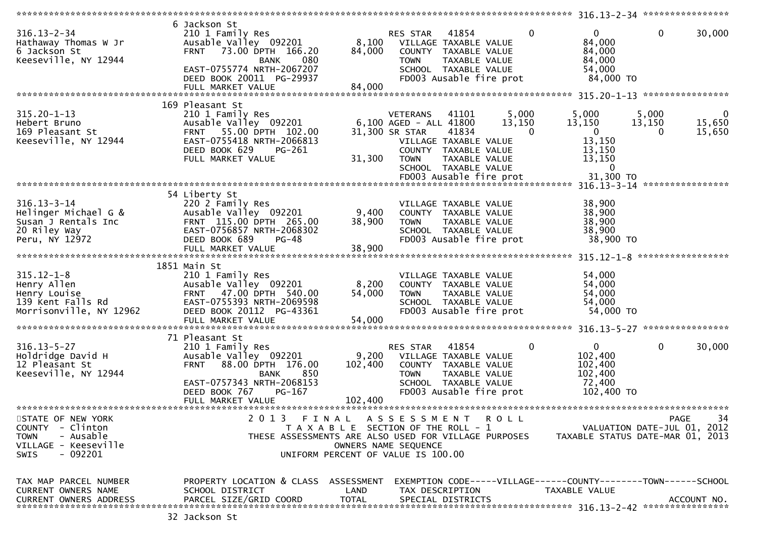|                                                                                                               |                                                                                                                                                                                                    |                             |                                                                                                                                                                                           |                      | $316.13 - 2 - 34$ *****************<br>********                               |                                     |                       |
|---------------------------------------------------------------------------------------------------------------|----------------------------------------------------------------------------------------------------------------------------------------------------------------------------------------------------|-----------------------------|-------------------------------------------------------------------------------------------------------------------------------------------------------------------------------------------|----------------------|-------------------------------------------------------------------------------|-------------------------------------|-----------------------|
| $316.13 - 2 - 34$<br>Hathaway Thomas W Jr<br>6 Jackson St<br>Keeseville, NY 12944                             | 6 Jackson St<br>210 1 Family Res<br>Ausable Valley 092201<br>73.00 DPTH 166.20<br><b>FRNT</b><br><b>BANK</b><br>080<br>EAST-0755774 NRTH-2067207<br>DEED BOOK 20011 PG-29937<br>FULL MARKET VALUE  | 8,100<br>84,000<br>84,000   | 41854<br>RES STAR<br>VILLAGE TAXABLE VALUE<br>COUNTY<br>TAXABLE VALUE<br><b>TOWN</b><br>TAXABLE VALUE<br>SCHOOL TAXABLE VALUE<br>FD003 Ausable fire prot                                  | $\mathbf{0}$         | $\mathbf{0}$<br>84,000<br>84,000<br>84,000<br>54,000<br>84,000 TO             | 0<br>****************               | 30,000                |
|                                                                                                               | 169 Pleasant St                                                                                                                                                                                    |                             |                                                                                                                                                                                           |                      |                                                                               |                                     |                       |
| $315.20 - 1 - 13$<br>Hebert Bruno<br>169 Pleasant St<br>Keeseville, NY 12944                                  | 210 1 Family Res<br>Ausable Valley 092201<br>55.00 DPTH 102.00<br><b>FRNT</b><br>EAST-0755418 NRTH-2066813<br>DEED BOOK 629<br>PG-261<br>FULL MARKET VALUE                                         | 31,300                      | <b>VETERANS</b><br>41101<br>6,100 AGED - ALL 41800<br>31,300 SR STAR<br>41834<br>VILLAGE TAXABLE VALUE<br>COUNTY TAXABLE VALUE<br>TAXABLE VALUE<br><b>TOWN</b><br>SCHOOL TAXABLE VALUE    | 5,000<br>13,150<br>0 | 5,000<br>13,150<br>$\mathbf{0}$<br>13,150<br>13,150<br>13,150<br>$\mathbf{0}$ | 5,000<br>13,150<br>0                | 0<br>15,650<br>15,650 |
|                                                                                                               |                                                                                                                                                                                                    |                             | FD003 Ausable fire prot                                                                                                                                                                   |                      | 31,300 TO                                                                     | ****************                    |                       |
| $316.13 - 3 - 14$<br>Helinger Michael G &<br>Susan J Rentals Inc<br>20 Riley Way<br>Peru, NY 12972            | 54 Liberty St<br>220 2 Family Res<br>Ausable Valley 092201<br>FRNT 115.00 DPTH 265.00<br>EAST-0756857 NRTH-2068302<br>DEED BOOK 689<br>$PG-48$<br>FULL MARKET VALUE                                | 9,400<br>38,900<br>38,900   | VILLAGE TAXABLE VALUE<br>COUNTY TAXABLE VALUE<br>TAXABLE VALUE<br><b>TOWN</b><br>SCHOOL TAXABLE VALUE<br>FD003 Ausable fire prot                                                          |                      | $316.13 - 3 - 14$<br>38,900<br>38,900<br>38,900<br>38,900<br>38,900 TO        | *****************                   |                       |
|                                                                                                               |                                                                                                                                                                                                    |                             |                                                                                                                                                                                           |                      | $315.12 - 1 - 8$                                                              |                                     |                       |
| $315.12 - 1 - 8$<br>Henry Allen<br>Henry Louise<br>139 Kent Falls Rd<br>Morrisonville, NY 12962               | 1851 Main St<br>210 1 Family Res<br>Ausable Valley 092201<br>47.00 DPTH 540.00<br><b>FRNT</b><br>EAST-0755393 NRTH-2069598<br>DEED BOOK 20112 PG-43361                                             | 8,200<br>54,000             | VILLAGE TAXABLE VALUE<br>COUNTY TAXABLE VALUE<br><b>TOWN</b><br>TAXABLE VALUE<br>SCHOOL TAXABLE VALUE<br>FD003 Ausable fire prot                                                          |                      | 54,000<br>54,000<br>54,000<br>54,000<br>54,000 TO                             |                                     |                       |
|                                                                                                               |                                                                                                                                                                                                    |                             |                                                                                                                                                                                           |                      |                                                                               |                                     |                       |
| $316.13 - 5 - 27$<br>Holdridge David H<br>12 Pleasant St<br>Keeseville, NY 12944                              | 71 Pleasant St<br>210 1 Family Res<br>Ausable Valley 092201<br>88.00 DPTH 176.00<br><b>FRNT</b><br>850<br><b>BANK</b><br>EAST-0757343 NRTH-2068153<br>PG-167<br>DEED BOOK 767<br>FULL MARKET VALUE | 9,200<br>102,400<br>102,400 | RES STAR<br>41854<br>VILLAGE TAXABLE VALUE<br>COUNTY TAXABLE VALUE<br><b>TOWN</b><br><b>TAXABLE VALUE</b><br>SCHOOL TAXABLE VALUE<br>FD003 Ausable fire prot                              | $\mathbf 0$          | $\overline{0}$<br>102,400<br>102,400<br>102,400<br>72,400<br>102,400 TO       | 0                                   | 30,000                |
|                                                                                                               |                                                                                                                                                                                                    |                             |                                                                                                                                                                                           |                      |                                                                               |                                     |                       |
| STATE OF NEW YORK<br>COUNTY - Clinton<br><b>TOWN</b><br>- Ausable<br>VILLAGE - Keeseville<br>- 092201<br>SWIS |                                                                                                                                                                                                    |                             | 2013 FINAL ASSESSMENT ROLL<br>T A X A B L E SECTION OF THE ROLL - 1<br>THESE ASSESSMENTS ARE ALSO USED FOR VILLAGE PURPOSES<br>OWNERS NAME SEQUENCE<br>UNIFORM PERCENT OF VALUE IS 100.00 |                      | TAXABLE STATUS DATE-MAR 01, 2013                                              | PAGE<br>VALUATION DATE-JUL 01, 2012 | 34                    |
| TAX MAP PARCEL NUMBER<br>CURRENT OWNERS NAME<br>CURRENT OWNERS ADDRESS                                        | PROPERTY LOCATION & CLASS ASSESSMENT<br>SCHOOL DISTRICT<br>PARCEL SIZE/GRID COORD                                                                                                                  | LAND<br><b>TOTAL</b>        | EXEMPTION CODE-----VILLAGE------COUNTY--------TOWN------SCHOOL<br>TAX DESCRIPTION<br>SPECIAL DISTRICTS                                                                                    |                      | TAXABLE VALUE                                                                 |                                     | ACCOUNT NO.           |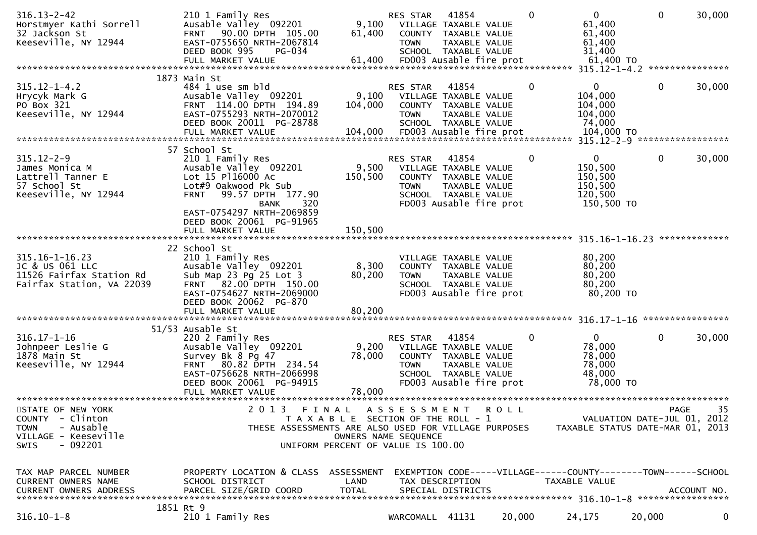| $316.13 - 2 - 42$<br>Horstmyer Kathi Sorrell<br>32 Jackson St<br>Keeseville, NY 12944                          | 210 1 Family Res<br>Ausable Valley 092201<br>90.00 DPTH 105.00<br><b>FRNT</b><br>EAST-0755650 NRTH-2067814<br>DEED BOOK 995<br><b>PG-034</b>                          | 9,100<br>61,400                                                                      | RES STAR<br><b>TOWN</b>                     | 41854<br>VILLAGE TAXABLE VALUE<br>COUNTY TAXABLE VALUE<br>TAXABLE VALUE<br>SCHOOL TAXABLE VALUE                            |             | $\Omega$ | $\overline{0}$<br>61,400<br>61,400<br>61,400<br>31,400                                                 | $\mathbf{0}$ | 30,000           |
|----------------------------------------------------------------------------------------------------------------|-----------------------------------------------------------------------------------------------------------------------------------------------------------------------|--------------------------------------------------------------------------------------|---------------------------------------------|----------------------------------------------------------------------------------------------------------------------------|-------------|----------|--------------------------------------------------------------------------------------------------------|--------------|------------------|
|                                                                                                                | FULL MARKET VALUE                                                                                                                                                     | 61,400                                                                               |                                             | FD003 Ausable fire prot                                                                                                    |             |          | 61,400 TO                                                                                              |              |                  |
|                                                                                                                | 1873 Main St                                                                                                                                                          |                                                                                      |                                             |                                                                                                                            |             |          |                                                                                                        |              |                  |
| $315.12 - 1 - 4.2$<br>Hrycyk Mark G<br>PO Box 321<br>Keeseville, NY 12944                                      | 484 1 use sm bld<br>Ausable Valley 092201<br>FRNT 114.00 DPTH 194.89<br>EAST-0755293 NRTH-2070012<br>DEED BOOK 20011 PG-28788                                         | 9,100<br>104,000                                                                     | RES STAR<br><b>TOWN</b>                     | 41854<br>VILLAGE TAXABLE VALUE<br>COUNTY TAXABLE VALUE<br>TAXABLE VALUE<br>SCHOOL TAXABLE VALUE                            |             | 0        | $\mathbf{0}$<br>104,000<br>104,000<br>104,000<br>74,000<br>104,000 TO<br>315.12-2-9 ****************** | $\mathbf 0$  | 30,000           |
|                                                                                                                |                                                                                                                                                                       |                                                                                      |                                             |                                                                                                                            |             |          |                                                                                                        |              |                  |
| $315.12 - 2 - 9$<br>James Monica M<br>Lattrell Tanner E<br>57 School St<br>Keeseville, NY 12944                | 57 School St<br>210 1 Family Res<br>Ausable Valley 092201<br>Lot 15 P116000 Ac<br>Lot#9 Oakwood Pk Sub<br>99.57 DPTH 177.90<br><b>FRNT</b><br>320<br><b>BANK</b>      | 9,500<br>150,500                                                                     | <b>RES STAR</b><br><b>TOWN</b>              | 41854<br>VILLAGE TAXABLE VALUE<br>COUNTY TAXABLE VALUE<br>TAXABLE VALUE<br>SCHOOL TAXABLE VALUE<br>FD003 Ausable fire prot |             | 0        | $\mathbf 0$<br>150,500<br>150,500<br>150,500<br>120,500<br>150,500 TO                                  | $\mathbf 0$  | 30,000           |
|                                                                                                                | EAST-0754297 NRTH-2069859<br>DEED BOOK 20061 PG-91965<br>FULL MARKET VALUE                                                                                            | 150,500                                                                              |                                             |                                                                                                                            |             |          |                                                                                                        |              | *************    |
| 315.16-1-16.23<br>JC & US 061 LLC<br>11526 Fairfax Station Rd<br>Fairfax Station, VA 22039                     | 22 School St<br>210 1 Family Res<br>Ausable Valley 092201<br>Sub Map 23 Pg 25 Lot 3<br>FRNT 82.00 DPTH 150.00<br>EAST-0754627 NRTH-2069000<br>DEED BOOK 20062 PG-870  | 8,300<br>80,200<br>80,200                                                            | <b>TOWN</b>                                 | VILLAGE TAXABLE VALUE<br>COUNTY TAXABLE VALUE<br>TAXABLE VALUE<br>SCHOOL TAXABLE VALUE<br>FD003 Ausable fire prot          |             |          | 80,200<br>80,200<br>80,200<br>80,200<br>80,200 TO                                                      |              |                  |
|                                                                                                                | FULL MARKET VALUE                                                                                                                                                     |                                                                                      |                                             |                                                                                                                            |             |          |                                                                                                        |              | **************** |
| $316.17 - 1 - 16$<br>Johnpeer Leslie G<br>1878 Main St<br>Keeseville, NY 12944                                 | 51/53 Ausable St<br>220 2 Family Res<br>Ausable Valley 092201<br>Survey Bk 8 Pg 47<br>FRNT 80.82 DPTH 234.54<br>EAST-0756628 NRTH-2066998<br>DEED BOOK 20061 PG-94915 | 9,200<br>78,000                                                                      | RES STAR<br><b>TOWN</b>                     | 41854<br>VILLAGE TAXABLE VALUE<br>COUNTY TAXABLE VALUE<br>TAXABLE VALUE<br>SCHOOL TAXABLE VALUE<br>FD003 Ausable fire prot |             | 0        | $\mathbf{0}$<br>78,000<br>78,000<br>78,000<br>48,000<br>78,000 TO                                      | $\mathbf 0$  | 30,000           |
|                                                                                                                | FULL MARKET VALUE                                                                                                                                                     | 78,000                                                                               |                                             |                                                                                                                            |             |          |                                                                                                        |              |                  |
| STATE OF NEW YORK<br>COUNTY - Clinton<br>- Ausable<br><b>TOWN</b><br>VILLAGE - Keeseville<br>$-092201$<br>SWIS | 2 0 1 3<br>THESE ASSESSMENTS ARE ALSO USED FOR VILLAGE PURPOSES                                                                                                       | FINAL<br>T A X A B L E SECTION OF THE ROLL - 1<br>UNIFORM PERCENT OF VALUE IS 100.00 | A S S E S S M E N T<br>OWNERS NAME SEQUENCE |                                                                                                                            | <b>ROLL</b> |          | VALUATION DATE-JUL 01, 2012<br>TAXABLE STATUS DATE-MAR 01, 2013                                        | PAGE         | 35               |
| TAX MAP PARCEL NUMBER<br>CURRENT OWNERS NAME<br><b>CURRENT OWNERS ADDRESS</b>                                  | PROPERTY LOCATION & CLASS ASSESSMENT<br>SCHOOL DISTRICT<br>PARCEL SIZE/GRID COORD                                                                                     | LAND<br><b>TOTAL</b>                                                                 |                                             | TAX DESCRIPTION<br>SPECIAL DISTRICTS                                                                                       |             |          | EXEMPTION CODE-----VILLAGE------COUNTY--------TOWN------SCHOOL<br>TAXABLE VALUE                        |              | ACCOUNT NO.      |
| $316.10 - 1 - 8$                                                                                               | 1851 Rt 9<br>210 1 Family Res                                                                                                                                         |                                                                                      | WARCOMALL 41131                             |                                                                                                                            | 20,000      |          | 24,175                                                                                                 | 20,000       | $\mathbf 0$      |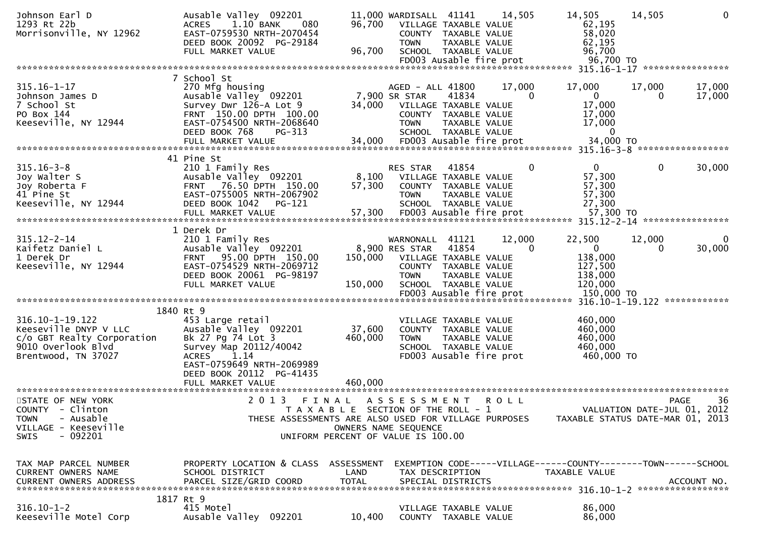| Johnson Earl D<br>1293 Rt 22b<br>Morrisonville, NY 12962                                                            | Ausable Valley 092201<br>1.10 BANK<br><b>ACRES</b><br>080<br>EAST-0759530 NRTH-2070454<br>DEED BOOK 20092 PG-29184<br>FULL MARKET VALUE                                           | 96,700<br>96,700                                                            | 11,000 WARDISALL 41141<br><b>TOWN</b>            | VILLAGE TAXABLE VALUE<br>COUNTY TAXABLE VALUE<br>TAXABLE VALUE<br>SCHOOL TAXABLE VALUE<br>FD003 Ausable fire prot          | 14,505             | 14,505<br>62,195<br>58,020<br>62,195<br>96,700<br>96,700 TO                     | 14,505             | 0                                         |
|---------------------------------------------------------------------------------------------------------------------|-----------------------------------------------------------------------------------------------------------------------------------------------------------------------------------|-----------------------------------------------------------------------------|--------------------------------------------------|----------------------------------------------------------------------------------------------------------------------------|--------------------|---------------------------------------------------------------------------------|--------------------|-------------------------------------------|
|                                                                                                                     |                                                                                                                                                                                   |                                                                             |                                                  |                                                                                                                            |                    |                                                                                 |                    |                                           |
| $315.16 - 1 - 17$<br>Johnson James D<br>7 School St<br>PO Box 144<br>Keeseville, NY 12944                           | 7 School St<br>270 Mfg housing<br>Ausable Valley <sup>-</sup> 092201<br>Survey Dwr 126-A Lot 9<br>FRNT 150.00 DPTH 100.00<br>EAST-0754500 NRTH-2068640<br>DEED BOOK 768<br>PG-313 | 34,000                                                                      | AGED - ALL 41800<br>7,900 SR STAR<br><b>TOWN</b> | 41834<br>VILLAGE TAXABLE VALUE<br>COUNTY TAXABLE VALUE<br>TAXABLE VALUE<br>SCHOOL TAXABLE VALUE                            | 17,000<br>$\Omega$ | 17,000<br>$\mathbf{0}$<br>17,000<br>17,000<br>17,000<br>$\mathbf{0}$            | 17,000<br>0        | 17,000<br>17,000                          |
|                                                                                                                     |                                                                                                                                                                                   |                                                                             |                                                  |                                                                                                                            |                    |                                                                                 |                    |                                           |
| $315.16 - 3 - 8$<br>Joy Walter S<br>Joy Roberta F<br>41 Pine St<br>Keeseville, NY 12944                             | 41 Pine St<br>210 1 Family Res<br>Ausable Valley 092201<br>FRNT 76.50 DPTH 150.00<br>EAST-0755005 NRTH-2067902<br>DEED BOOK 1042<br>PG-121<br>FULL MARKET VALUE                   | 8,100<br>57,300<br>57,300                                                   | <b>RES STAR</b><br><b>TOWN</b>                   | 41854<br>VILLAGE TAXABLE VALUE<br>COUNTY TAXABLE VALUE<br>TAXABLE VALUE<br>SCHOOL TAXABLE VALUE<br>FD003 Ausable fire prot | $\Omega$           | $\Omega$<br>57,300<br>57,300<br>57,300<br>27,300<br>57,300 TO                   | $\mathbf{0}$       | 30,000                                    |
|                                                                                                                     | 1 Derek Dr                                                                                                                                                                        |                                                                             |                                                  |                                                                                                                            |                    |                                                                                 |                    |                                           |
| $315.12 - 2 - 14$<br>Kaifetz Daniel L<br>1 Derek Dr<br>Keeseville, NY 12944                                         | 210 1 Family Res<br>Ausable Valley 092201<br>FRNT 95.00 DPTH 150.00<br>EAST-0754529 NRTH-2069712<br>DEED BOOK 20061 PG-98197<br>FULL MARKET VALUE                                 | 150,000<br>150,000                                                          | WARNONALL 41121<br>8,900 RES STAR<br><b>TOWN</b> | 41854<br>VILLAGE TAXABLE VALUE<br>COUNTY TAXABLE VALUE<br>TAXABLE VALUE<br>SCHOOL TAXABLE VALUE                            | 12,000<br>$\Omega$ | 22,500<br>$\overline{0}$<br>138,000<br>127,500<br>138,000<br>120,000            | 12,000<br>$\Omega$ | $\Omega$<br>30,000                        |
|                                                                                                                     |                                                                                                                                                                                   |                                                                             |                                                  |                                                                                                                            |                    |                                                                                 |                    |                                           |
|                                                                                                                     | 1840 Rt 9                                                                                                                                                                         |                                                                             |                                                  |                                                                                                                            |                    |                                                                                 |                    |                                           |
| 316.10-1-19.122<br>Keeseville DNYP V LLC<br>c/o GBT Realty Corporation<br>9010 Overlook Blvd<br>Brentwood, TN 37027 | 453 Large retail<br>Ausable Valley 092201<br>Bk 27 Pg 74 Lot 3<br>Survey Map 20112/40042<br><b>ACRES</b><br>1.14<br>EAST-0759649 NRTH-2069989<br>DEED BOOK 20112 PG-41435         | 37,600<br>460,000                                                           | <b>TOWN</b>                                      | VILLAGE TAXABLE VALUE<br>COUNTY TAXABLE VALUE<br>TAXABLE VALUE<br>SCHOOL TAXABLE VALUE<br>FD003 Ausable fire prot          |                    | 460,000<br>460,000<br>460,000<br>460,000<br>460,000 TO                          |                    |                                           |
|                                                                                                                     |                                                                                                                                                                                   |                                                                             |                                                  |                                                                                                                            |                    |                                                                                 |                    |                                           |
| STATE OF NEW YORK<br>COUNTY - Clinton<br>- Ausable<br><b>TOWN</b><br>VILLAGE - Keeseville<br>$-092201$<br>SWIS      | 2 0 1 3<br>FINAL<br>THESE ASSESSMENTS ARE ALSO USED FOR VILLAGE PURPOSES                                                                                                          | T A X A B L E SECTION OF THE ROLL - 1<br>UNIFORM PERCENT OF VALUE IS 100.00 | ASSESSMENT ROLL<br>OWNERS NAME SEQUENCE          |                                                                                                                            |                    | TAXABLE STATUS DATE-MAR 01, 2013                                                |                    | 36<br>PAGE<br>VALUATION DATE-JUL 01, 2012 |
| TAX MAP PARCEL NUMBER<br><b>CURRENT OWNERS NAME</b><br>CURRENT OWNERS ADDRESS                                       | PROPERTY LOCATION & CLASS ASSESSMENT<br>SCHOOL DISTRICT<br>PARCEL SIZE/GRID COORD                                                                                                 | LAND<br><b>TOTAL</b>                                                        |                                                  | TAX DESCRIPTION<br>SPECIAL DISTRICTS                                                                                       |                    | EXEMPTION CODE-----VILLAGE------COUNTY--------TOWN------SCHOOL<br>TAXABLE VALUE |                    | ACCOUNT NO.                               |
| $316.10 - 1 - 2$<br>Keeseville Motel Corp                                                                           | 1817 Rt 9<br>415 Motel<br>Ausable Valley 092201                                                                                                                                   | 10,400                                                                      |                                                  | VILLAGE TAXABLE VALUE<br>COUNTY TAXABLE VALUE                                                                              |                    | 86,000<br>86,000                                                                |                    |                                           |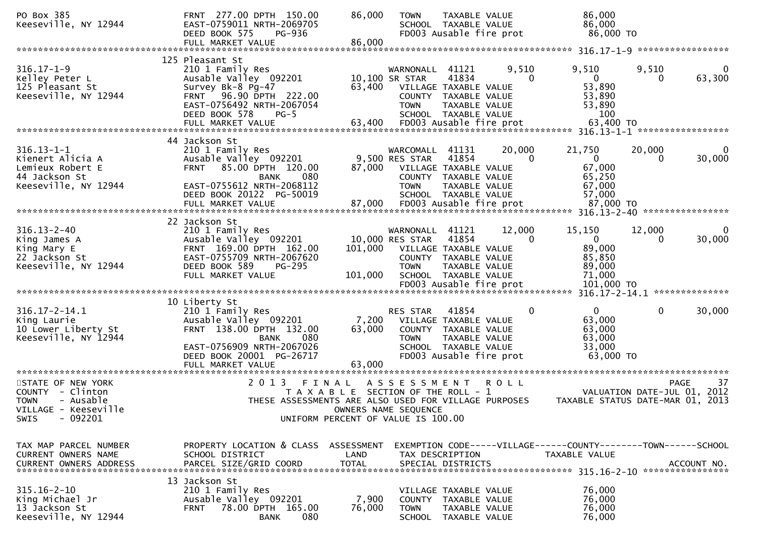| PO Box 385<br>Keeseville, NY 12944                                                                                                                                 | FRNT 277.00 DPTH 150.00<br>EAST-0759011 NRTH-2069705<br>DEED BOOK 575<br>PG-936<br>FULL MARKET VALUE                                                                                      | 86,000<br>86,000                                                                     | <b>TOWN</b>                                                                | TAXABLE VALUE<br>SCHOOL TAXABLE VALUE<br>FD003 Ausable fire prot                                                           |             | 86,000<br>86,000<br>86,000 TO                                                  |                               |                       |
|--------------------------------------------------------------------------------------------------------------------------------------------------------------------|-------------------------------------------------------------------------------------------------------------------------------------------------------------------------------------------|--------------------------------------------------------------------------------------|----------------------------------------------------------------------------|----------------------------------------------------------------------------------------------------------------------------|-------------|--------------------------------------------------------------------------------|-------------------------------|-----------------------|
|                                                                                                                                                                    |                                                                                                                                                                                           |                                                                                      |                                                                            |                                                                                                                            |             |                                                                                |                               |                       |
| $316.17 - 1 - 9$<br>Kelley Peter L<br>125 Pleasant St<br>Keeseville, NY 12944                                                                                      | 125 Pleasant St<br>210 1 Family Res<br>Ausable Valley 092201<br>Survey Bk-8 Pg-47<br>96.90 DPTH 222.00<br>FRNT<br>EAST-0756492 NRTH-2067054                                               | 63,400                                                                               | WARNONALL<br>10,100 SR STAR<br><b>TOWN</b>                                 | 41121<br>41834<br>VILLAGE TAXABLE VALUE<br>COUNTY TAXABLE VALUE<br>TAXABLE VALUE                                           | 9,510<br>0  | 9,510<br>$\mathbf 0$<br>53,890<br>53,890<br>53,890                             | 9,510<br>$\Omega$             | $\Omega$<br>63,300    |
|                                                                                                                                                                    | DEED BOOK 578<br>$PG-5$<br>FULL MARKET VALUE                                                                                                                                              | 63,400                                                                               |                                                                            | SCHOOL TAXABLE VALUE<br>FD003 Ausable fire prot                                                                            |             | 100<br>63,400 TO                                                               |                               |                       |
|                                                                                                                                                                    | 44 Jackson St                                                                                                                                                                             |                                                                                      |                                                                            |                                                                                                                            |             |                                                                                |                               |                       |
| $316.13 - 1 - 1$<br>Kienert Alicia A<br>Lemieux Robert E<br>44 Jackson St<br>Keeseville, NY 12944                                                                  | 210 1 Family Res<br>Ausable Valley 092201<br>85.00 DPTH 120.00<br><b>FRNT</b><br>080<br><b>BANK</b><br>EAST-0755612 NRTH-2068112<br>DEED BOOK 20122 PG-50019                              | 87,000                                                                               | WARCOMALL<br>9,500 RES STAR<br><b>TOWN</b>                                 | 41131<br>41854<br>VILLAGE TAXABLE VALUE<br>COUNTY TAXABLE VALUE<br>TAXABLE VALUE<br>SCHOOL TAXABLE VALUE                   | 20,000<br>0 | 21,750<br>$\Omega$<br>67,000<br>65,250<br>67,000<br>57,000                     | 20,000<br>0                   | 0<br>30,000           |
|                                                                                                                                                                    | FULL MARKET VALUE                                                                                                                                                                         | 87,000                                                                               |                                                                            | FD003 Ausable fire prot                                                                                                    |             | 87,000 TO                                                                      | 316.13-2-40 ***************** |                       |
|                                                                                                                                                                    | 22 Jackson St                                                                                                                                                                             |                                                                                      |                                                                            |                                                                                                                            |             |                                                                                |                               |                       |
| $316.13 - 2 - 40$<br>King James A<br>King Mary E<br>22 Jackson St<br>Keeseville, NY 12944                                                                          | 210 1 Family Res<br>Ausable Valley 092201<br>FRNT 169.00 DPTH 162.00<br>EAST-0755709 NRTH-2067620<br>DEED BOOK 589<br>$PG-295$<br>FULL MARKET VALUE                                       | 101,000<br>101,000                                                                   | WARNONALL 41121<br>10,000 RES STAR<br>VILLAGE TAXABLE VALUE<br><b>TOWN</b> | 41854<br>COUNTY TAXABLE VALUE<br>TAXABLE VALUE<br>SCHOOL TAXABLE VALUE<br>FD003 Ausable fire prot                          | 12,000<br>0 | 15,150<br>$\mathbf{0}$<br>89,000<br>85,850<br>89,000<br>71,000<br>101,000 TO   | 12,000<br>0                   | $\mathbf 0$<br>30,000 |
|                                                                                                                                                                    |                                                                                                                                                                                           |                                                                                      |                                                                            |                                                                                                                            |             |                                                                                |                               |                       |
| $316.17 - 2 - 14.1$<br>King Laurie<br>10 Lower Liberty St<br>Keeseville, NY 12944                                                                                  | 10 Liberty St<br>210 1 Family Res<br>Ausable Valley 092201<br>FRNT 138.00 DPTH 132.00<br>080<br><b>BANK</b><br>EAST-0756909 NRTH-2067026<br>DEED BOOK 20001 PG-26717<br>FULL MARKET VALUE | 7,200<br>63,000<br>63,000                                                            | RES STAR<br><b>TOWN</b>                                                    | 41854<br>VILLAGE TAXABLE VALUE<br>COUNTY TAXABLE VALUE<br>TAXABLE VALUE<br>SCHOOL TAXABLE VALUE<br>FD003 Ausable fire prot | 0           | $\mathbf{0}$<br>63,000<br>63,000<br>63,000<br>33,000<br>63,000 TO              | $\mathbf{0}$                  | 30,000                |
|                                                                                                                                                                    |                                                                                                                                                                                           |                                                                                      |                                                                            |                                                                                                                            |             |                                                                                |                               |                       |
| STATE OF NEW YORK<br>COUNTY - Clinton<br><b>TOWN</b><br>- Ausable<br>VILLAGE - Keeseville<br>$-092201$<br>SWIS                                                     | 2 0 1 3<br>THESE ASSESSMENTS ARE ALSO USED FOR VILLAGE PURPOSES                                                                                                                           | FINAL<br>T A X A B L E SECTION OF THE ROLL - 1<br>UNIFORM PERCENT OF VALUE IS 100.00 | A S S E S S M E N T<br>OWNERS NAME SEQUENCE                                |                                                                                                                            | <b>ROLL</b> | TAXABLE STATUS DATE-MAR 01, 2013                                               | VALUATION DATE-JUL 01, 2012   | 37<br><b>PAGE</b>     |
| TAX MAP PARCEL NUMBER<br>CURRENT OWNERS NAME<br>.CURRENT OWNERS ADDRESS PARCEL SIZE/GRID COORD TOTAL SPECIAL DISTRICTS ACCOUNT NO ACCOUNT NO ACCOUNT NO ACCOUNT NO | PROPERTY LOCATION & CLASS ASSESSMENT<br>SCHOOL DISTRICT                                                                                                                                   | LAND                                                                                 |                                                                            | TAX DESCRIPTION                                                                                                            |             | EXEMPTION CODE-----VILLAGE------COUNTY-------TOWN------SCHOOL<br>TAXABLE VALUE |                               |                       |
| $315.16 - 2 - 10$<br>King Michael Jr<br>13 Jackson St<br>Keeseville, NY 12944                                                                                      | 13 Jackson St<br>210 1 Family Res<br>Ausable Valley 092201<br>78.00 DPTH 165.00<br><b>FRNT</b><br>080<br><b>BANK</b>                                                                      | 7,900<br>76,000                                                                      | <b>TOWN</b>                                                                | VILLAGE TAXABLE VALUE<br>COUNTY TAXABLE VALUE<br>TAXABLE VALUE<br>SCHOOL TAXABLE VALUE                                     |             | 76,000<br>76,000<br>76,000<br>76,000                                           |                               |                       |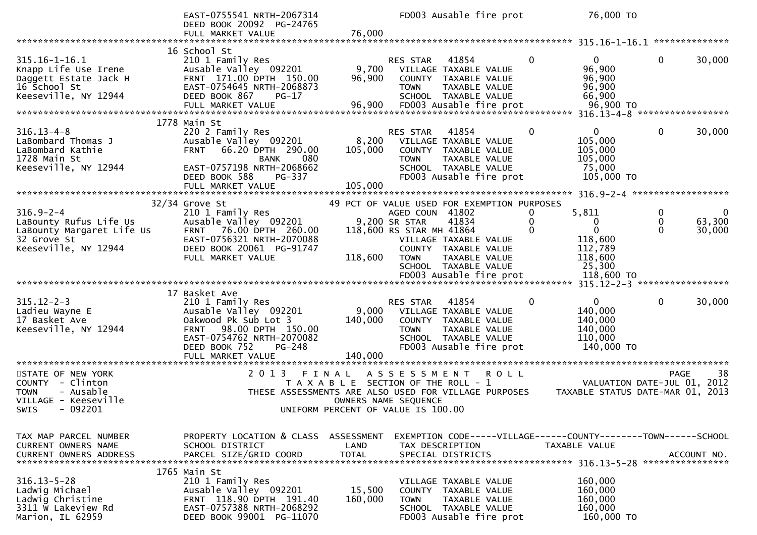|                                                                                                               | EAST-0755541 NRTH-2067314<br>DEED BOOK 20092 PG-24765                                                                                                                                               |                                                                             | FD003 Ausable fire prot                                                     |                                                                                                                                  |               | 76,000 TO                                                          |                    |                       |
|---------------------------------------------------------------------------------------------------------------|-----------------------------------------------------------------------------------------------------------------------------------------------------------------------------------------------------|-----------------------------------------------------------------------------|-----------------------------------------------------------------------------|----------------------------------------------------------------------------------------------------------------------------------|---------------|--------------------------------------------------------------------|--------------------|-----------------------|
|                                                                                                               | FULL MARKET VALUE                                                                                                                                                                                   | 76,000                                                                      |                                                                             |                                                                                                                                  |               |                                                                    |                    |                       |
| $315.16 - 1 - 16.1$<br>Knapp Life Use Irene<br>Daggett Estate Jack H<br>16 School St<br>Keeseville, NY 12944  | 16 School St<br>210 1 Family Res<br>Ausable Valley 092201<br>FRNT 171.00 DPTH 150.00<br>EAST-0754645 NRTH-2068873<br>DEED BOOK 867<br>$PG-17$<br>FULL MARKET VALUE                                  | 9,700<br>96,900<br>96,900                                                   | RES STAR<br><b>TOWN</b>                                                     | 41854<br>VILLAGE TAXABLE VALUE<br>COUNTY TAXABLE VALUE<br>TAXABLE VALUE<br>SCHOOL TAXABLE VALUE<br>FD003 Ausable fire prot       | $\Omega$      | $\mathbf{0}$<br>96,900<br>96,900<br>96,900<br>66,900<br>96,900 TO  | $\mathbf{0}$       | 30,000                |
|                                                                                                               | 1778 Main St                                                                                                                                                                                        |                                                                             |                                                                             |                                                                                                                                  |               |                                                                    |                    |                       |
| $316.13 - 4 - 8$<br>LaBombard Thomas J<br>LaBombard Kathie<br>1728 Main St<br>Keeseville, NY 12944            | 220 2 Family Res<br>Ausable Valley 092201<br>66.20 DPTH 290.00<br><b>FRNT</b><br>080<br><b>BANK</b><br>EAST-0757198 NRTH-2068662<br>DEED BOOK 588<br><b>PG-337</b><br>FULL MARKET VALUE             | 8,200<br>105,000<br>105,000                                                 | RES STAR<br><b>TOWN</b>                                                     | 41854<br>VILLAGE TAXABLE VALUE<br>COUNTY TAXABLE VALUE<br>TAXABLE VALUE<br>SCHOOL TAXABLE VALUE<br>FD003 Ausable fire prot       | $\Omega$      | $\Omega$<br>105,000<br>105,000<br>105,000<br>75,000<br>105,000 TO  | 0                  | 30,000                |
|                                                                                                               | $32/34$ Grove St                                                                                                                                                                                    |                                                                             |                                                                             | 49 PCT OF VALUE USED FOR EXEMPTION PURPOSES                                                                                      |               | 316.9-2-4 *******************                                      |                    |                       |
| $316.9 - 2 - 4$<br>LaBounty Rufus Life Us<br>LaBounty Margaret Life Us<br>32 Grove St<br>Keeseville, NY 12944 | 210 1 Family Res<br>Ausable Valley 092201<br>76.00 DPTH 260.00<br>FRNT<br>EAST-0756321 NRTH-2070088<br>DEED BOOK 20061 PG-91747<br>FULL MARKET VALUE                                                | 118,600                                                                     | AGED COUN 41802<br>9,200 SR STAR<br>118,600 RS STAR MH 41864<br><b>TOWN</b> | 41834<br>VILLAGE TAXABLE VALUE<br>COUNTY TAXABLE VALUE<br>TAXABLE VALUE                                                          | 0<br>$\Omega$ | 5,811<br>0<br>$\mathbf{0}$<br>118,600<br>112,789<br>118,600        | 0<br>0<br>$\Omega$ | 0<br>63,300<br>30,000 |
|                                                                                                               |                                                                                                                                                                                                     |                                                                             |                                                                             | SCHOOL TAXABLE VALUE                                                                                                             |               | 25,300                                                             |                    |                       |
|                                                                                                               |                                                                                                                                                                                                     |                                                                             |                                                                             |                                                                                                                                  |               |                                                                    |                    |                       |
| $315.12 - 2 - 3$<br>Ladieu Wayne E<br>17 Basket Ave<br>Keeseville, NY 12944                                   | 17 Basket Ave<br>210 1 Family Res<br>Ausable Valley 092201<br>Oakwood Pk Sub Lot 3<br>98.00 DPTH 150.00<br><b>FRNT</b><br>EAST-0754762 NRTH-2070082<br>DEED BOOK 752<br>PG-248<br>FULL MARKET VALUE | 140,000<br>140,000                                                          | RES STAR<br><b>TOWN</b>                                                     | 41854<br>9,000 VILLAGE TAXABLE VALUE<br>COUNTY TAXABLE VALUE<br>TAXABLE VALUE<br>SCHOOL TAXABLE VALUE<br>FD003 Ausable fire prot | 0             | $\Omega$<br>140,000<br>140,000<br>140,000<br>110,000<br>140,000 TO | $\mathbf{0}$       | 30,000                |
| STATE OF NEW YORK                                                                                             | 2 0 1 3                                                                                                                                                                                             | FINAL                                                                       | A S S E S S M E N T                                                         | <b>ROLL</b>                                                                                                                      |               |                                                                    | <b>PAGE</b>        | 38                    |
| COUNTY - Clinton<br><b>TOWN</b><br>- Ausable<br>VILLAGE - Keeseville<br>$-092201$<br>SWIS                     | THESE ASSESSMENTS ARE ALSO USED FOR VILLAGE PURPOSES                                                                                                                                                | T A X A B L E SECTION OF THE ROLL - 1<br>UNIFORM PERCENT OF VALUE IS 100.00 | OWNERS NAME SEQUENCE                                                        |                                                                                                                                  |               | VALUATION DATE-JUL 01, 2012<br>TAXABLE STATUS DATE-MAR 01, 2013    |                    |                       |
| TAX MAP PARCEL NUMBER<br>CURRENT OWNERS NAME<br><b>CURRENT OWNERS ADDRESS</b>                                 | PROPERTY LOCATION & CLASS ASSESSMENT<br>SCHOOL DISTRICT<br>PARCEL SIZE/GRID COORD                                                                                                                   | LAND<br><b>TOTAL</b>                                                        | TAX DESCRIPTION                                                             | EXEMPTION CODE-----VILLAGE------COUNTY--------TOWN------SCHOOL<br>SPECIAL DISTRICTS                                              |               | <b>TAXABLE VALUE</b>                                               |                    | ACCOUNT NO.           |
| $316.13 - 5 - 28$<br>Ladwig Michael<br>Ladwig Christine<br>3311 W Lakeview Rd<br>Marion, IL 62959             | 1765 Main St<br>210 1 Family Res<br>Ausable Valley 092201<br>FRNT 118.90 DPTH 191.40<br>EAST-0757388 NRTH-2068292<br>DEED BOOK 99001 PG-11070                                                       | 15,500<br>160,000                                                           | <b>TOWN</b>                                                                 | VILLAGE TAXABLE VALUE<br>COUNTY TAXABLE VALUE<br>TAXABLE VALUE<br>SCHOOL TAXABLE VALUE<br>FD003 Ausable fire prot                |               | 160,000<br>160,000<br>160,000<br>160,000<br>160,000 TO             |                    |                       |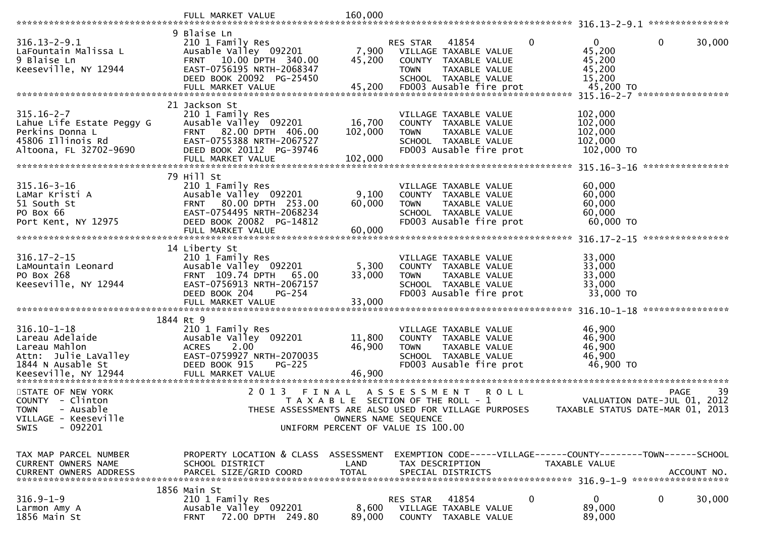|                                                                                                                   | FULL MARKET VALUE                                                                                                                                                           | 160,000                                                                                             |                         |                                                                                                                   |          |                                                                   |                                                                                |
|-------------------------------------------------------------------------------------------------------------------|-----------------------------------------------------------------------------------------------------------------------------------------------------------------------------|-----------------------------------------------------------------------------------------------------|-------------------------|-------------------------------------------------------------------------------------------------------------------|----------|-------------------------------------------------------------------|--------------------------------------------------------------------------------|
| $316.13 - 2 - 9.1$<br>LaFountain Malissa L<br>9 Blaise Ln<br>Keeseville, NY 12944                                 | 9 Blaise Ln<br>210 1 Family Res<br>Ausable Valley 092201<br>FRNT 10.00 DPTH 340.00<br>EAST-0756195 NRTH-2068347<br>DEED BOOK 20092 PG-25450                                 | 7,900<br>45,200                                                                                     | RES STAR<br><b>TOWN</b> | 41854<br>VILLAGE TAXABLE VALUE<br>COUNTY TAXABLE VALUE<br>TAXABLE VALUE<br>SCHOOL TAXABLE VALUE                   | $\Omega$ | $\mathbf{0}$<br>45,200<br>45,200<br>45,200<br>15,200<br>45,200 TO | $\mathbf{0}$<br>30,000<br>315.16-2-7 ******************                        |
| $315.16 - 2 - 7$<br>Lahue Life Estate Peggy G<br>Perkins Donna L<br>45806 Illinois Rd<br>Altoona, FL 32702-9690   | 21 Jackson St<br>210 1 Family Res<br>Ausable Valley 092201<br>FRNT 82.00 DPTH 406.00<br>EAST-0755388 NRTH-2067527<br>DEED BOOK 20112 PG-39746<br>FULL MARKET VALUE          | 16,700<br>102,000<br>102,000                                                                        | <b>TOWN</b>             | VILLAGE TAXABLE VALUE<br>COUNTY TAXABLE VALUE<br>TAXABLE VALUE<br>SCHOOL TAXABLE VALUE<br>FD003 Ausable fire prot |          | 102,000<br>102,000<br>102,000<br>102,000<br>102,000 TO            | ****************                                                               |
| $315.16 - 3 - 16$<br>LaMar Kristi A<br>51 South St<br>PO Box 66<br>Port Kent, NY 12975                            | 79 Hill St<br>210 1 Family Res<br>Ausable Valley 092201<br>FRNT 80.00 DPTH 253.00<br>EAST-0754495 NRTH-2068234<br>DEED BOOK 20082 PG-14812<br>FULL MARKET VALUE             | 9,100<br>60,000<br>60,000                                                                           | <b>TOWN</b>             | VILLAGE TAXABLE VALUE<br>COUNTY TAXABLE VALUE<br>TAXABLE VALUE<br>SCHOOL TAXABLE VALUE<br>FD003 Ausable fire prot |          | 60,000<br>60,000<br>60,000<br>60,000<br>60,000 TO                 | ****************                                                               |
| $316.17 - 2 - 15$<br>LaMountain Leonard<br>PO Box 268<br>Keeseville, NY 12944                                     | 14 Liberty St<br>210 1 Family Res<br>Ausable Valley 092201<br>FRNT 109.74 DPTH<br>65.00<br>EAST-0756913 NRTH-2067157<br>DEED BOOK 204<br><b>PG-254</b><br>FULL MARKET VALUE | 5,300<br>33,000<br>33,000                                                                           | <b>TOWN</b>             | VILLAGE TAXABLE VALUE<br>COUNTY TAXABLE VALUE<br>TAXABLE VALUE<br>SCHOOL TAXABLE VALUE<br>FD003 Ausable fire prot |          | 33,000<br>33,000<br>33,000<br>33,000<br>33,000 TO                 |                                                                                |
| $316.10 - 1 - 18$<br>Lareau Adelaide<br>Lareau Mahlon<br>Attn: Julie LaValley<br>1844 N Ausable St                | 1844 Rt 9<br>210 1 Family Res<br>Ausable Valley 092201<br>2.00<br><b>ACRES</b><br>EAST-0759927 NRTH-2070035<br>DEED BOOK 915<br>$PG-225$                                    | 11,800<br>46,900                                                                                    | <b>TOWN</b>             | VILLAGE TAXABLE VALUE<br>COUNTY TAXABLE VALUE<br>TAXABLE VALUE<br>SCHOOL TAXABLE VALUE<br>FD003 Ausable fire prot |          | 46,900<br>46,900<br>46,900<br>46,900<br>46,900 TO                 |                                                                                |
| STATE OF NEW YORK<br>COUNTY<br>- Clinton<br>- Ausable<br><b>TOWN</b><br>VILLAGE - Keeseville<br>$-092201$<br>SWIS | 2 0 1 3<br>FINAL<br>THESE ASSESSMENTS ARE ALSO USED FOR VILLAGE PURPOSES                                                                                                    | T A X A B L E SECTION OF THE ROLL - 1<br>OWNERS NAME SEQUENCE<br>UNIFORM PERCENT OF VALUE IS 100.00 | A S S E S S M E N T     | R O L L                                                                                                           |          |                                                                   | -39<br>PAGE<br>VALUATION DATE-JUL 01, 2012<br>TAXABLE STATUS DATE-MAR 01, 2013 |
| TAX MAP PARCEL NUMBER<br><b>CURRENT OWNERS NAME</b><br><b>CURRENT OWNERS ADDRESS</b>                              | PROPERTY LOCATION & CLASS ASSESSMENT<br>SCHOOL DISTRICT<br>PARCEL SIZE/GRID COORD                                                                                           | LAND<br><b>TOTAL</b>                                                                                |                         | TAX DESCRIPTION<br>SPECIAL DISTRICTS                                                                              |          | TAXABLE VALUE                                                     | EXEMPTION CODE-----VILLAGE------COUNTY--------TOWN------SCHOOL<br>ACCOUNT NO.  |
| $316.9 - 1 - 9$<br>Larmon Amy A<br>1856 Main St                                                                   | 1856 Main St<br>210 1 Family Res<br>Ausable Valley 092201<br>72.00 DPTH 249.80<br><b>FRNT</b>                                                                               | 8,600<br>89,000                                                                                     | <b>RES STAR</b>         | 41854<br>VILLAGE TAXABLE VALUE<br>COUNTY TAXABLE VALUE                                                            | 0        | 0<br>89,000<br>89,000                                             | 0<br>30,000                                                                    |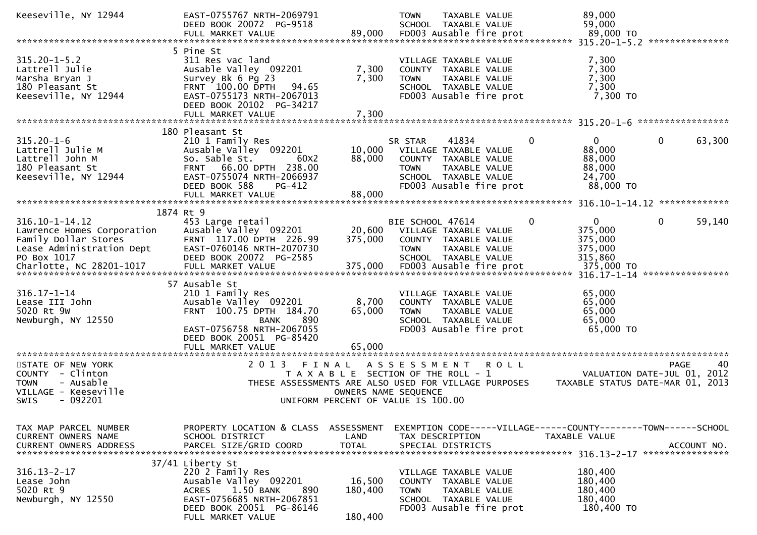| Keeseville, NY 12944                                                                                                                            | EAST-0755767 NRTH-2069791<br>DEED BOOK 20072 PG-9518                                                                                                                                                |                                                                                                              | <b>TOWN</b>                     | TAXABLE VALUE<br>SCHOOL TAXABLE VALUE                                                                                      |              | 89,000<br>59,000                                                       |                                                                                                   |
|-------------------------------------------------------------------------------------------------------------------------------------------------|-----------------------------------------------------------------------------------------------------------------------------------------------------------------------------------------------------|--------------------------------------------------------------------------------------------------------------|---------------------------------|----------------------------------------------------------------------------------------------------------------------------|--------------|------------------------------------------------------------------------|---------------------------------------------------------------------------------------------------|
|                                                                                                                                                 |                                                                                                                                                                                                     |                                                                                                              |                                 |                                                                                                                            |              |                                                                        |                                                                                                   |
| $315.20 - 1 - 5.2$<br>Lattrell Julie<br>Marsha Bryan J<br>180 Pleasant St<br>Keeseville, NY 12944                                               | 5 Pine St<br>311 Res vac land<br>Ausable Valley 092201<br>Survey Bk 6 Pg 23<br>FRNT 100.00 DPTH<br>94.65<br>EAST-0755173 NRTH-2067013<br>DEED BOOK 20102 PG-34217<br>FULL MARKET VALUE              | 7,300<br>7,300<br>7,300                                                                                      | <b>TOWN</b>                     | VILLAGE TAXABLE VALUE<br>COUNTY TAXABLE VALUE<br>TAXABLE VALUE<br>SCHOOL TAXABLE VALUE<br>FD003 Ausable fire prot          |              | 7,300<br>7,300<br>7,300<br>7,300<br>7,300 TO                           |                                                                                                   |
|                                                                                                                                                 |                                                                                                                                                                                                     |                                                                                                              |                                 |                                                                                                                            |              |                                                                        |                                                                                                   |
| $315.20 - 1 - 6$<br>Lattrell Julie M<br>Lattrell John M<br>180 Pleasant St<br>Keeseville, NY 12944                                              | 180 Pleasant St<br>210 1 Family Res<br>Ausable Valley 092201<br>So. Sable St.<br>60X2<br>FRNT 66.00 DPTH 238.00<br>EAST-0755074 NRTH-2066937<br>DEED BOOK 588<br><b>PG-412</b><br>FULL MARKET VALUE | 10,000<br>88,000<br>88,000                                                                                   | SR STAR<br><b>TOWN</b>          | 41834<br>VILLAGE TAXABLE VALUE<br>COUNTY TAXABLE VALUE<br>TAXABLE VALUE<br>SCHOOL TAXABLE VALUE<br>FD003 Ausable fire prot | 0            | 0<br>88,000<br>88,000<br>88,000<br>24,700<br>88,000 TO                 | 63,300<br>0                                                                                       |
|                                                                                                                                                 |                                                                                                                                                                                                     |                                                                                                              |                                 |                                                                                                                            |              |                                                                        |                                                                                                   |
|                                                                                                                                                 | 1874 Rt 9                                                                                                                                                                                           |                                                                                                              |                                 |                                                                                                                            |              |                                                                        |                                                                                                   |
| $316.10 - 1 - 14.12$<br>Lawrence Homes Corporation<br>Family Dollar Stores<br>Lease Administration Dept<br>PO Box 1017                          | 453 Large retail<br>Ausable Valley 092201<br>FRNT 117.00 DPTH 226.99<br>EAST-0760146 NRTH-2070730<br>DEED BOOK 20072 PG-2585                                                                        | 20,600<br>375,000                                                                                            | BIE SCHOOL 47614<br><b>TOWN</b> | VILLAGE TAXABLE VALUE<br>COUNTY TAXABLE VALUE<br>TAXABLE VALUE<br>SCHOOL TAXABLE VALUE                                     | $\mathbf{0}$ | $\mathbf{0}$<br>375,000<br>375,000<br>375,000<br>315,860<br>375,000 TO | $\mathbf{0}$<br>59,140<br>316.17-1-14 *****************                                           |
|                                                                                                                                                 | 57 Ausable St                                                                                                                                                                                       |                                                                                                              |                                 |                                                                                                                            |              |                                                                        |                                                                                                   |
| $316.17 - 1 - 14$<br>Lease III John<br>5020 Rt 9W<br>Newburgh, NY 12550                                                                         | 210 1 Family Res<br>Ausable Valley 092201<br>FRNT 100.75 DPTH 184.70<br>890<br>BANK<br>EAST-0756758 NRTH-2067055<br>DEED BOOK 20051 PG-85420                                                        | 8,700<br>65,000                                                                                              | <b>TOWN</b>                     | VILLAGE TAXABLE VALUE<br>COUNTY TAXABLE VALUE<br>TAXABLE VALUE<br>SCHOOL TAXABLE VALUE<br>FD003 Ausable fire prot          |              | 65,000<br>65,000<br>65,000<br>65,000<br>65,000 TO                      |                                                                                                   |
|                                                                                                                                                 | FULL MARKET VALUE                                                                                                                                                                                   | 65,000                                                                                                       |                                 |                                                                                                                            |              |                                                                        |                                                                                                   |
| **********************<br>STATE OF NEW YORK<br>COUNTY - Clinton<br><b>TOWN</b><br>- Ausable<br>VILLAGE - Keeseville<br>$-092201$<br><b>SWIS</b> | **************************<br>2 0 1 3                                                                                                                                                               | FINAL<br>T A X A B L E SECTION OF THE ROLL - 1<br>OWNERS NAME SEQUENCE<br>UNIFORM PERCENT OF VALUE IS 100.00 | A S S E S S M E N T             | <b>ROLL</b><br>THESE ASSESSMENTS ARE ALSO USED FOR VILLAGE PURPOSES                                                        |              |                                                                        | 40<br><b>PAGE</b><br>VALUATION DATE-JUL 01, 2012<br>TAXABLE STATUS DATE-MAR 01, 2013              |
| TAX MAP PARCEL NUMBER<br>CURRENT OWNERS NAME                                                                                                    | PROPERTY LOCATION & CLASS<br>SCHOOL DISTRICT                                                                                                                                                        | ASSESSMENT<br>LAND                                                                                           |                                 | TAX DESCRIPTION                                                                                                            |              | TAXABLE VALUE                                                          | EXEMPTION CODE-----VILLAGE------COUNTY--------TOWN------SCHOOL<br>ACCOUNT NO.<br>**************** |
| $316.13 - 2 - 17$<br>Lease John<br>5020 Rt 9<br>Newburgh, NY 12550                                                                              | 37/41 Liberty St<br>220 2 Family Res<br>Ausable Valley 092201<br>1.50 BANK<br><b>ACRES</b><br>890<br>EAST-0756685 NRTH-2067851<br>DEED BOOK 20051 PG-86146<br>FULL MARKET VALUE                     | 16,500<br>180,400<br>180,400                                                                                 | <b>COUNTY</b><br><b>TOWN</b>    | VILLAGE TAXABLE VALUE<br>TAXABLE VALUE<br>TAXABLE VALUE<br>SCHOOL TAXABLE VALUE<br>FD003 Ausable fire prot                 |              | 180,400<br>180,400<br>180,400<br>180,400<br>180,400 TO                 |                                                                                                   |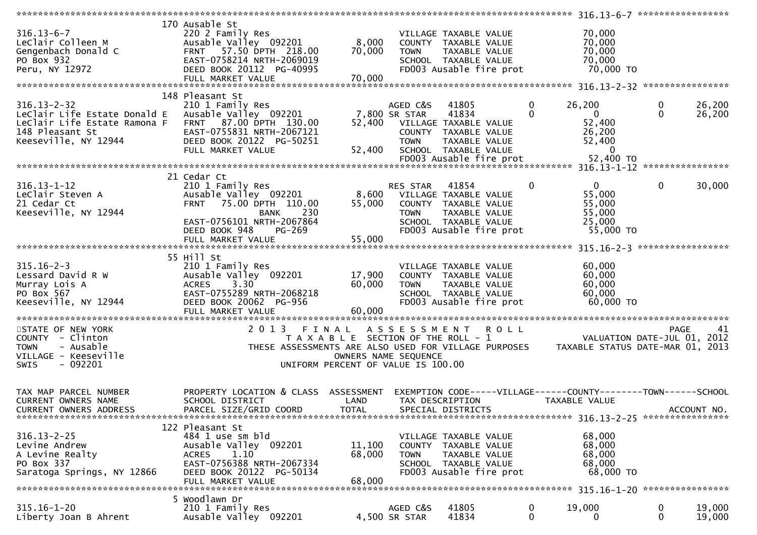|                                                                                                                              |                                                                                                                                                                      |                                                                             |                                             | ******************                                                                                                                  |                  | 316.13-6-7 ******************                                                                                    |                             |                  |
|------------------------------------------------------------------------------------------------------------------------------|----------------------------------------------------------------------------------------------------------------------------------------------------------------------|-----------------------------------------------------------------------------|---------------------------------------------|-------------------------------------------------------------------------------------------------------------------------------------|------------------|------------------------------------------------------------------------------------------------------------------|-----------------------------|------------------|
| $316.13 - 6 - 7$<br>LeClair Colleen M<br>Gengenbach Donald C<br>PO Box 932<br>Peru, NY 12972                                 | 170 Ausable St<br>220 2 Family Res<br>Ausable Valley 092201<br>FRNT 57.50 DPTH 218.00<br>EAST-0758214 NRTH-2069019<br>DEED BOOK 20112 PG-40995<br>FULL MARKET VALUE  | 8,000<br>70,000<br>70,000                                                   | <b>TOWN</b>                                 | VILLAGE TAXABLE VALUE<br>COUNTY TAXABLE VALUE<br>TAXABLE VALUE<br>SCHOOL TAXABLE VALUE<br>FD003 Ausable fire prot                   |                  | 70,000<br>70,000<br>70,000<br>70,000<br>70,000 TO                                                                |                             |                  |
|                                                                                                                              |                                                                                                                                                                      |                                                                             |                                             |                                                                                                                                     |                  |                                                                                                                  |                             |                  |
| $316.13 - 2 - 32$<br>Leclair Life Estate Donald E<br>LeClair Life Estate Ramona F<br>148 Pleasant St<br>Keeseville, NY 12944 | 148 Pleasant St<br>210 1 Family Res<br>Ausable Valley 092201<br>FRNT 87.00 DPTH 130.00<br>EAST-0755831 NRTH-2067121<br>DEED BOOK 20122 PG-50251<br>FULL MARKET VALUE | 52,400<br>52,400                                                            | AGED C&S<br>7,800 SR STAR<br><b>TOWN</b>    | 41805<br>41834<br>VILLAGE TAXABLE VALUE<br>COUNTY TAXABLE VALUE<br>TAXABLE VALUE<br>SCHOOL TAXABLE VALUE<br>FD003 Ausable fire prot | 0<br>0           | 26,200<br>$\overline{0}$<br>52,400<br>26,200<br>52,400<br>0<br>52,400 TO                                         | $\mathbf 0$<br>$\mathbf{0}$ | 26,200<br>26,200 |
|                                                                                                                              |                                                                                                                                                                      |                                                                             |                                             |                                                                                                                                     |                  |                                                                                                                  |                             |                  |
| $316.13 - 1 - 12$<br>LeClair Steven A<br>21 Cedar Ct<br>Keeseville, NY 12944                                                 | 21 Cedar Ct<br>210 1 Family Res<br>Ausable Valley 092201<br>FRNT 75.00 DPTH 110.00<br>230<br><b>BANK</b><br>EAST-0756101 NRTH-2067864<br>DEED BOOK 948<br>$PG-269$   | 8,600<br>55,000                                                             | RES STAR<br><b>TOWN</b>                     | 41854<br>VILLAGE TAXABLE VALUE<br>COUNTY TAXABLE VALUE<br>TAXABLE VALUE<br>SCHOOL TAXABLE VALUE<br>FD003 Ausable fire prot          | 0                | $\mathbf{0}$<br>55,000<br>55,000<br>55,000<br>25,000<br>55,000 TO                                                | $\mathbf 0$                 | 30,000           |
|                                                                                                                              | FULL MARKET VALUE                                                                                                                                                    | 55,000                                                                      |                                             |                                                                                                                                     |                  |                                                                                                                  |                             |                  |
|                                                                                                                              | 55 Hill St                                                                                                                                                           |                                                                             |                                             |                                                                                                                                     |                  |                                                                                                                  |                             |                  |
| $315.16 - 2 - 3$<br>Lessard David R W<br>Murray Lois A<br>PO Box 567<br>Keeseville, NY 12944                                 | 210 1 Family Res<br>Ausable Valley 092201<br>3.30<br><b>ACRES</b><br>EAST-0755289 NRTH-2068218<br>DEED BOOK 20062 PG-956<br>FULL MARKET VALUE                        | 17,900<br>60,000<br>60,000                                                  | <b>TOWN</b>                                 | VILLAGE TAXABLE VALUE<br>COUNTY TAXABLE VALUE<br>TAXABLE VALUE<br>SCHOOL TAXABLE VALUE<br>FD003 Ausable fire prot                   |                  | 60,000<br>60,000<br>60,000<br>60,000<br>60,000 TO                                                                |                             |                  |
| STATE OF NEW YORK<br>COUNTY - Clinton<br><b>TOWN</b><br>- Ausable<br>VILLAGE - Keeseville<br>$-092201$<br><b>SWIS</b>        | 2013 FINAL<br>THESE ASSESSMENTS ARE ALSO USED FOR VILLAGE PURPOSES                                                                                                   | T A X A B L E SECTION OF THE ROLL - 1<br>UNIFORM PERCENT OF VALUE IS 100.00 | A S S E S S M E N T<br>OWNERS NAME SEQUENCE | <b>ROLL</b>                                                                                                                         |                  | VALUATION DATE-JUL 01, 2012<br>TAXABLE STATUS DATE-MAR 01, 2013                                                  | PAGE                        | 41               |
| TAX MAP PARCEL NUMBER<br>CURRENT OWNERS NAME<br><b>CURRENT OWNERS ADDRESS</b>                                                | PROPERTY LOCATION & CLASS ASSESSMENT<br>SCHOOL DISTRICT<br>PARCEL SIZE/GRID COORD                                                                                    | LAND<br><b>TOTAL</b>                                                        |                                             | TAX DESCRIPTION<br>SPECIAL DISTRICTS                                                                                                |                  | EXEMPTION CODE-----VILLAGE------COUNTY--------TOWN------SCHOOL<br>TAXABLE VALUE<br>316.13-2-25 ***************** |                             | ACCOUNT NO.      |
| $316.13 - 2 - 25$<br>Levine Andrew<br>A Levine Realty<br>PO Box 337<br>Saratoga Springs, NY 12866                            | 122 Pleasant St<br>484 1 use sm bld<br>Ausable Valley 092201<br>1.10<br><b>ACRES</b><br>EAST-0756388 NRTH-2067334<br>DEED BOOK 20122 PG-50134<br>FULL MARKET VALUE   | 11,100<br>68,000<br>68,000                                                  | <b>TOWN</b>                                 | VILLAGE TAXABLE VALUE<br>COUNTY TAXABLE VALUE<br>TAXABLE VALUE<br>SCHOOL TAXABLE VALUE<br>FD003 Ausable fire prot                   |                  | 68,000<br>68,000<br>68,000<br>68,000<br>68,000 TO                                                                |                             |                  |
|                                                                                                                              | 5 Woodlawn Dr                                                                                                                                                        |                                                                             |                                             |                                                                                                                                     |                  |                                                                                                                  |                             |                  |
| $315.16 - 1 - 20$<br>Liberty Joan B Ahrent                                                                                   | 210 1 Family Res<br>Ausable Valley 092201                                                                                                                            |                                                                             | AGED C&S<br>4,500 SR STAR                   | 41805<br>41834                                                                                                                      | $\mathbf 0$<br>0 | 19,000<br>$\Omega$                                                                                               | $\bf{0}$<br>$\mathbf{0}$    | 19,000<br>19,000 |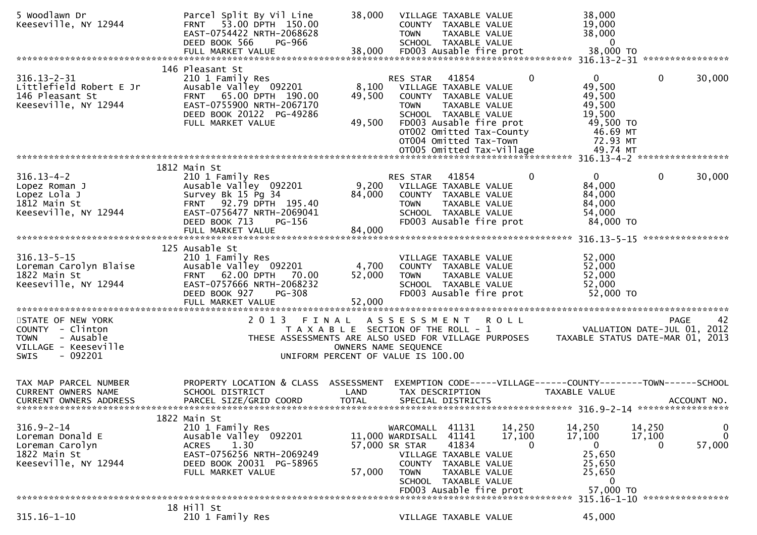| 5 Woodlawn Dr<br>Keeseville, NY 12944                                                            | Parcel Split By Vil Line<br>53.00 DPTH 150.00<br><b>FRNT</b><br>EAST-0754422 NRTH-2068628<br>DEED BOOK 566<br>PG-966                                                 | 38,000                                                        | <b>TOWN</b>                                                              | VILLAGE TAXABLE VALUE<br>COUNTY TAXABLE VALUE<br><b>TAXABLE VALUE</b><br>SCHOOL TAXABLE VALUE                                                                                    |                  |              | 38,000<br>19,000<br>38,000<br>$\bf{0}$                                                      |                        |                             |
|--------------------------------------------------------------------------------------------------|----------------------------------------------------------------------------------------------------------------------------------------------------------------------|---------------------------------------------------------------|--------------------------------------------------------------------------|----------------------------------------------------------------------------------------------------------------------------------------------------------------------------------|------------------|--------------|---------------------------------------------------------------------------------------------|------------------------|-----------------------------|
|                                                                                                  |                                                                                                                                                                      |                                                               |                                                                          |                                                                                                                                                                                  |                  |              |                                                                                             |                        |                             |
| $316.13 - 2 - 31$<br>Littlefield Robert E Jr<br>146 Pleasant St<br>Keeseville, NY 12944          | 146 Pleasant St<br>210 1 Family Res<br>Ausable Valley 092201<br>FRNT 65.00 DPTH 190.00<br>EAST-0755900 NRTH-2067170<br>DEED BOOK 20122 PG-49286<br>FULL MARKET VALUE | 8,100<br>49,500<br>49,500                                     | RES STAR<br><b>TOWN</b>                                                  | 41854<br>VILLAGE TAXABLE VALUE<br>COUNTY TAXABLE VALUE<br>TAXABLE VALUE<br>SCHOOL TAXABLE VALUE<br>FD003 Ausable fire prot<br>OT002 Omitted Tax-County<br>OT004 Omitted Tax-Town |                  | $\mathbf{0}$ | $\overline{0}$<br>49,500<br>49,500<br>49,500<br>19,500<br>49,500 TO<br>46.69 MT<br>72.93 MT | $\mathbf{0}$           | 30,000                      |
|                                                                                                  |                                                                                                                                                                      |                                                               |                                                                          |                                                                                                                                                                                  |                  |              |                                                                                             |                        |                             |
| $316.13 - 4 - 2$<br>Lopez Roman J<br>Lopez Lola J<br>1812 Main St<br>Keeseville, NY 12944        | 1812 Main St<br>210 1 Family Res<br>Ausable Valley 092201<br>Survey Bk 15 Pg 34<br>FRNT 92.79 DPTH 195.40<br>EAST-0756477 NRTH-2069041<br>DEED BOOK 713<br>$PG-156$  | 9,200<br>84,000                                               | RES STAR<br><b>TOWN</b>                                                  | 41854<br>VILLAGE TAXABLE VALUE<br>COUNTY TAXABLE VALUE<br>TAXABLE VALUE<br>SCHOOL TAXABLE VALUE<br>FD003 Ausable fire prot                                                       |                  | $\mathbf{0}$ | $\Omega$<br>84,000<br>84,000<br>84,000<br>54,000<br>84,000 TO                               | 0                      | 30,000<br>****************  |
|                                                                                                  | 125 Ausable St                                                                                                                                                       |                                                               |                                                                          |                                                                                                                                                                                  |                  |              |                                                                                             |                        |                             |
| $316.13 - 5 - 15$<br>Loreman Carolyn Blaise<br>1822 Main St<br>Keeseville, NY 12944              | 210 1 Family Res<br>Ausable Valley 092201<br>62.00 DPTH 70.00<br><b>FRNT</b><br>EAST-0757666 NRTH-2068232<br>DEED BOOK 927<br>PG-308<br>FULL MARKET VALUE            | 4,700<br>52,000<br>52,000                                     | <b>TOWN</b>                                                              | VILLAGE TAXABLE VALUE<br>COUNTY TAXABLE VALUE<br>TAXABLE VALUE<br>SCHOOL TAXABLE VALUE<br>FD003 Ausable fire prot                                                                |                  |              | 52,000<br>52,000<br>52,000<br>52,000<br>52,000 TO                                           |                        |                             |
| STATE OF NEW YORK                                                                                | 2 0 1 3<br>FINAL                                                                                                                                                     |                                                               | A S S E S S M E N T                                                      |                                                                                                                                                                                  | <b>ROLL</b>      |              |                                                                                             | <b>PAGE</b>            | 42                          |
| COUNTY - Clinton<br><b>TOWN</b><br>- Ausable<br>VILLAGE - Keeseville<br>$-092201$<br><b>SWIS</b> | THESE ASSESSMENTS ARE ALSO USED FOR VILLAGE PURPOSES<br>UNIFORM PERCENT OF VALUE IS 100.00                                                                           | T A X A B L E SECTION OF THE ROLL - 1<br>OWNERS NAME SEQUENCE |                                                                          |                                                                                                                                                                                  |                  |              | TAXABLE STATUS DATE-MAR 01, 2013                                                            | VALUATION DATE-JUL 01, | 2012                        |
| TAX MAP PARCEL NUMBER<br><b>CURRENT OWNERS NAME</b><br><b>CURRENT OWNERS ADDRESS</b>             | PROPERTY LOCATION & CLASS ASSESSMENT<br>SCHOOL DISTRICT<br>PARCEL SIZE/GRID COORD                                                                                    | LAND<br><b>TOTAL</b>                                          |                                                                          | TAX DESCRIPTION<br>SPECIAL DISTRICTS                                                                                                                                             |                  |              | EXEMPTION CODE-----VILLAGE------COUNTY--------TOWN------SCHOOL<br>TAXABLE VALUE             |                        | ACCOUNT NO.                 |
| $316.9 - 2 - 14$                                                                                 | 1822 Main St                                                                                                                                                         |                                                               |                                                                          | 41131                                                                                                                                                                            |                  |              |                                                                                             |                        |                             |
| Loreman Donald E<br>Loreman Carolyn<br>1822 Main St<br>Keeseville, NY 12944                      | 210 1 Family Res<br>Ausable Valley 092201<br>1.30<br><b>ACRES</b><br>EAST-0756256 NRTH-2069249<br>DEED BOOK 20031 PG-58965<br>FULL MARKET VALUE                      | 57,000                                                        | WARCOMALL<br>11,000 WARDISALL<br>57,000 SR STAR<br>COUNTY<br><b>TOWN</b> | 41141<br>41834<br>VILLAGE TAXABLE VALUE<br>TAXABLE VALUE<br>TAXABLE VALUE<br>SCHOOL TAXABLE VALUE<br>FD003 Ausable fire prot                                                     | 14,250<br>17,100 | $\Omega$     | 14,250<br>17,100<br>$\mathbf 0$<br>25,650<br>25,650<br>25,650<br>0<br>57,000 TO             | 14,250<br>17,100<br>0  | 0<br>$\mathbf{0}$<br>57,000 |
|                                                                                                  |                                                                                                                                                                      |                                                               |                                                                          |                                                                                                                                                                                  |                  |              | 315.16-1-10 *****************                                                               |                        |                             |
| $315.16 - 1 - 10$                                                                                | 18 Hill St<br>210 1 Family Res                                                                                                                                       |                                                               |                                                                          | VILLAGE TAXABLE VALUE                                                                                                                                                            |                  |              | 45,000                                                                                      |                        |                             |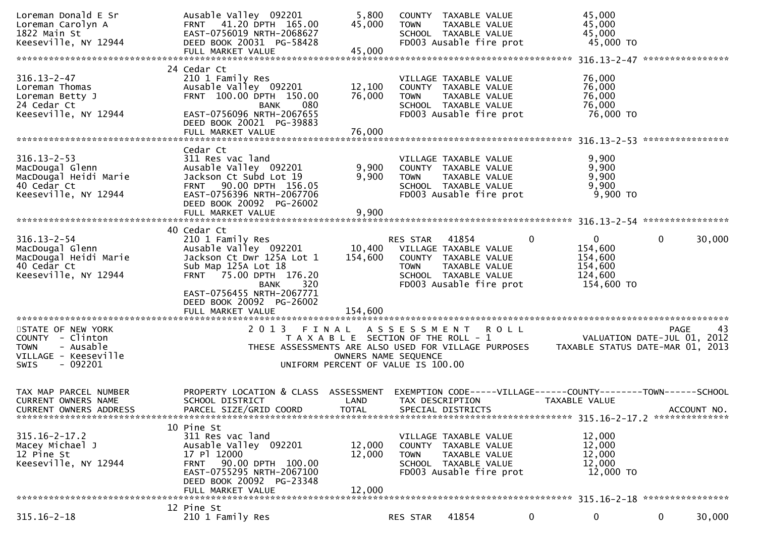| Loreman Donald E Sr<br>Loreman Carolyn A<br>1822 Main St<br>Keeseville, NY 12944                              | Ausable Valley 092201<br>FRNT 41.20 DPTH 165.00<br>EAST-0756019 NRTH-2068627<br>DEED BOOK 20031 PG-58428                                                                                                                                   | 5,800<br>45,000                                                                      | <b>TOWN</b>                                                   | COUNTY TAXABLE VALUE<br>TAXABLE VALUE<br>SCHOOL TAXABLE VALUE<br>FD003 Ausable fire prot                          |             |   | 45,000<br>45,000<br>45,000<br>45,000 TO                                         |              |             |
|---------------------------------------------------------------------------------------------------------------|--------------------------------------------------------------------------------------------------------------------------------------------------------------------------------------------------------------------------------------------|--------------------------------------------------------------------------------------|---------------------------------------------------------------|-------------------------------------------------------------------------------------------------------------------|-------------|---|---------------------------------------------------------------------------------|--------------|-------------|
|                                                                                                               |                                                                                                                                                                                                                                            |                                                                                      |                                                               |                                                                                                                   |             |   |                                                                                 |              |             |
| $316.13 - 2 - 47$<br>Loreman Thomas<br>Loreman Betty J<br>24 Cedar Ct<br>Keeseville, NY 12944                 | 24 Cedar Ct<br>210 1 Family Res<br>Ausable Valley 092201<br>FRNT 100.00 DPTH 150.00<br>080<br><b>BANK</b><br>EAST-0756096 NRTH-2067655<br>DEED BOOK 20021 PG-39883                                                                         | 12,100<br>76,000                                                                     | <b>TOWN</b>                                                   | VILLAGE TAXABLE VALUE<br>COUNTY TAXABLE VALUE<br>TAXABLE VALUE<br>SCHOOL TAXABLE VALUE<br>FD003 Ausable fire prot |             |   | 76,000<br>76,000<br>76,000<br>76,000<br>76,000 TO                               |              |             |
|                                                                                                               | FULL MARKET VALUE                                                                                                                                                                                                                          | 76,000                                                                               |                                                               |                                                                                                                   |             |   |                                                                                 |              |             |
| $316.13 - 2 - 53$<br>MacDougal Glenn<br>MacDougal Heidi Marie<br>40 Cedar Ct<br>Keeseville, NY 12944          | Cedar Ct<br>311 Res vac land<br>Ausable Valley 092201<br>Jackson Ct Subd Lot 19<br>FRNT 90.00 DPTH 156.05<br>EAST-0756396 NRTH-2067706<br>DEED BOOK 20092 PG-26002<br>FULL MARKET VALUE                                                    | 9,900<br>9,900<br>9,900                                                              | <b>TOWN</b>                                                   | VILLAGE TAXABLE VALUE<br>COUNTY TAXABLE VALUE<br>TAXABLE VALUE<br>SCHOOL TAXABLE VALUE<br>FD003 Ausable fire prot |             |   | 9,900<br>9,900<br>9,900<br>9,900<br>9,900 TO                                    |              |             |
|                                                                                                               |                                                                                                                                                                                                                                            |                                                                                      |                                                               |                                                                                                                   |             |   |                                                                                 |              |             |
| $316.13 - 2 - 54$<br>MacDougal Glenn<br>MacDougal Heidi Marie<br>40 Cedar Ct<br>Keeseville, NY 12944          | 40 Cedar Ct<br>210 1 Family Res<br>Ausable Valley 092201<br>Jackson Ct Dwr 125A Lot 1<br>Sub Map 125A Lot 18<br>FRNT 75.00 DPTH 176.20<br>320<br><b>BANK</b><br>EAST-0756455 NRTH-2067771<br>DEED BOOK 20092 PG-26002<br>FULL MARKET VALUE | 154,600<br>154.600                                                                   | RES STAR 41854<br>10,400 VILLAGE TAXABLE VALUE<br><b>TOWN</b> | COUNTY TAXABLE VALUE<br>TAXABLE VALUE<br>SCHOOL TAXABLE VALUE<br>FD003 Ausable fire prot                          | $\Omega$    |   | $\overline{0}$<br>154,600<br>154,600<br>154,600<br>124,600<br>154,600 TO        | $\mathbf{0}$ | 30,000      |
|                                                                                                               |                                                                                                                                                                                                                                            |                                                                                      |                                                               |                                                                                                                   |             |   |                                                                                 |              |             |
| STATE OF NEW YORK<br>COUNTY - Clinton<br>- Ausable<br><b>TOWN</b><br>VILLAGE - Keeseville<br>- 092201<br>SWIS | 2 0 1 3<br>THESE ASSESSMENTS ARE ALSO USED FOR VILLAGE PURPOSES                                                                                                                                                                            | FINAL<br>T A X A B L E SECTION OF THE ROLL - 1<br>UNIFORM PERCENT OF VALUE IS 100.00 | A S S E S S M E N T<br>OWNERS NAME SEQUENCE                   |                                                                                                                   | <b>ROLL</b> |   | VALUATION DATE-JUL 01, 2012<br>TAXABLE STATUS DATE-MAR 01, 2013                 | PAGE         | 43          |
| TAX MAP PARCEL NUMBER<br><b>CURRENT OWNERS NAME</b><br>CURRENT OWNERS ADDRESS                                 | PROPERTY LOCATION & CLASS ASSESSMENT<br>SCHOOL DISTRICT<br>PARCEL SIZE/GRID COORD                                                                                                                                                          | LAND<br><b>TOTAL</b>                                                                 |                                                               | TAX DESCRIPTION<br>SPECIAL DISTRICTS                                                                              |             |   | EXEMPTION CODE-----VILLAGE------COUNTY--------TOWN------SCHOOL<br>TAXABLE VALUE |              | ACCOUNT NO. |
| $315.16 - 2 - 17.2$<br>Macey Michael J<br>12 Pine St<br>Keeseville, NY 12944                                  | 10 Pine St<br>311 Res vac land<br>Ausable Valley 092201<br>17 Pl 12000<br>90.00 DPTH 100.00<br><b>FRNT</b><br>EAST-0755295 NRTH-2067100<br>DEED BOOK 20092 PG-23348<br>FULL MARKET VALUE                                                   | 12,000<br>12,000<br>12,000                                                           | TOWN                                                          | VILLAGE TAXABLE VALUE<br>COUNTY TAXABLE VALUE<br>TAXABLE VALUE<br>SCHOOL TAXABLE VALUE<br>FD003 Ausable fire prot |             |   | 12,000<br>12,000<br>12,000<br>12,000<br>12,000 TO                               |              |             |
|                                                                                                               | 12 Pine St                                                                                                                                                                                                                                 |                                                                                      |                                                               |                                                                                                                   |             |   |                                                                                 |              |             |
| $315.16 - 2 - 18$                                                                                             | 210 1 Family Res                                                                                                                                                                                                                           |                                                                                      | RES STAR                                                      | 41854                                                                                                             |             | 0 | 0                                                                               | $\mathbf{0}$ | 30,000      |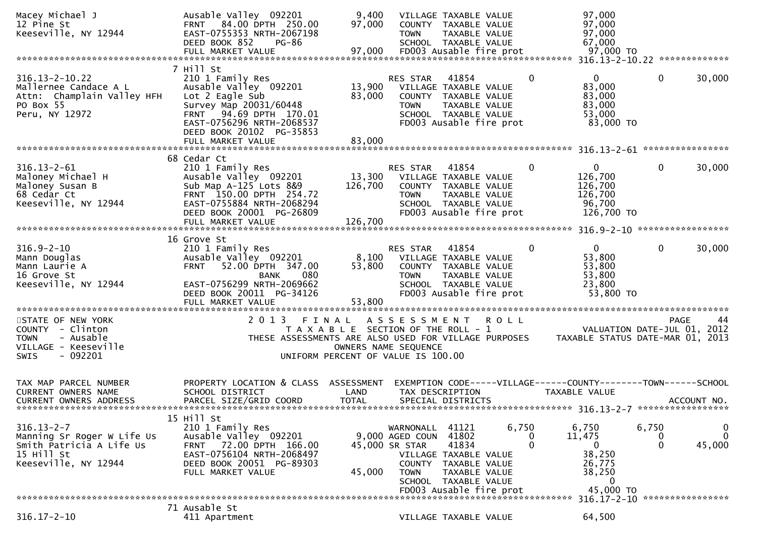| Macey Michael J<br>12 Pine St<br>Keeseville, NY 12944                                                            | Ausable Valley 092201<br>FRNT 84.00 DPTH 250.00<br>EAST-0755353 NRTH-2067198<br>DEED BOOK 852<br>PG-86<br>FULL MARKET VALUE                                                                                 | 9,400<br>97,000<br>97,000  | <b>TOWN</b>                                                   | VILLAGE TAXABLE VALUE<br>COUNTY TAXABLE VALUE<br>TAXABLE VALUE<br>SCHOOL TAXABLE VALUE<br>FD003 Ausable fire prot                            |       |                                   | 97,000<br>97,000<br>97,000<br>67,000<br>97,000 TO                                      |                                   |                         |
|------------------------------------------------------------------------------------------------------------------|-------------------------------------------------------------------------------------------------------------------------------------------------------------------------------------------------------------|----------------------------|---------------------------------------------------------------|----------------------------------------------------------------------------------------------------------------------------------------------|-------|-----------------------------------|----------------------------------------------------------------------------------------|-----------------------------------|-------------------------|
| $316.13 - 2 - 10.22$<br>Mallernee Candace A L<br>Attn: Champlain Valley HFH<br>PO Box 55<br>Peru, NY 12972       | 7 Hill St<br>210 1 Family Res<br>Ausable Valley 092201<br>Lot 2 Eagle Sub<br>Survey Map 20031/60448<br>FRNT 94.69 DPTH 170.01<br>EAST-0756296 NRTH-2068537<br>DEED BOOK 20102 PG-35853<br>FULL MARKET VALUE | 13,900<br>83,000<br>83,000 | RES STAR<br><b>TOWN</b>                                       | 41854<br>VILLAGE TAXABLE VALUE<br>COUNTY TAXABLE VALUE<br>TAXABLE VALUE<br>SCHOOL TAXABLE VALUE<br>FD003 Ausable fire prot                   |       | $\mathbf{0}$                      | 0<br>83,000<br>83,000<br>83,000<br>53,000<br>83,000 TO                                 | $\mathbf{0}$                      | 30,000                  |
|                                                                                                                  |                                                                                                                                                                                                             |                            |                                                               |                                                                                                                                              |       |                                   |                                                                                        |                                   |                         |
| $316.13 - 2 - 61$<br>Maloney Michael H<br>Maloney Susan B<br>68 Cedar Ct<br>Keeseville, NY 12944                 | 68 Cedar Ct<br>210 1 Family Res<br>Ausable Valley 092201<br>Sub Map A-125 Lots 8&9<br>FRNT 150.00 DPTH 254.72<br>EAST-0755884 NRTH-2068294<br>DEED BOOK 20001 PG-26809                                      | 13,300<br>126,700          | RES STAR<br>VILLAGE TAXABLE VALUE<br><b>TOWN</b>              | 41854<br>COUNTY TAXABLE VALUE<br>TAXABLE VALUE<br>SCHOOL TAXABLE VALUE<br>FD003 Ausable fire prot                                            |       | $\mathbf{0}$                      | $\mathbf{0}$<br>126,700<br>126,700<br>126,700<br>96,700<br>126,700 TO                  | $\mathbf{0}$                      | 30,000                  |
|                                                                                                                  | 16 Grove St                                                                                                                                                                                                 |                            |                                                               |                                                                                                                                              |       |                                   |                                                                                        |                                   |                         |
| $316.9 - 2 - 10$<br>Mann Douglas<br>Mann Laurie A<br>16 Grove St<br>Keeseville, NY 12944                         | 210 1 Family Res<br>Ausable Valley 092201<br>52.00 DPTH 347.00<br><b>FRNT</b><br>080<br><b>BANK</b><br>EAST-0756299 NRTH-2069662<br>DEED BOOK 20011 PG-34126<br>FULL MARKET VALUE                           | 53,800<br>53,800           | RES STAR<br>8,100 VILLAGE TAXABLE VALUE<br><b>TOWN</b>        | 41854<br>COUNTY TAXABLE VALUE<br>TAXABLE VALUE<br>SCHOOL TAXABLE VALUE<br>FD003 Ausable fire prot                                            |       | $\bf{0}$                          | $\mathbf{0}$<br>53,800<br>53,800<br>53,800<br>23,800<br>53,800 TO                      | $\mathbf 0$                       | 30,000                  |
| STATE OF NEW YORK                                                                                                | 2 0 1 3<br>FINAL                                                                                                                                                                                            |                            | ASSESSMENT ROLL                                               |                                                                                                                                              |       |                                   |                                                                                        |                                   | <b>PAGE</b><br>44       |
| COUNTY - Clinton<br><b>TOWN</b><br>- Ausable<br>VILLAGE - Keeseville<br>$-092201$<br><b>SWIS</b>                 | THESE ASSESSMENTS ARE ALSO USED FOR VILLAGE PURPOSES<br>UNIFORM PERCENT OF VALUE IS 100.00                                                                                                                  |                            | T A X A B L E SECTION OF THE ROLL - 1<br>OWNERS NAME SEQUENCE |                                                                                                                                              |       |                                   | VALUATION DATE-JUL 01, 2012<br>TAXABLE STATUS DATE-MAR 01, 2013                        |                                   |                         |
| TAX MAP PARCEL NUMBER<br><b>CURRENT OWNERS NAME</b><br><b>CURRENT OWNERS ADDRESS</b>                             | PROPERTY LOCATION & CLASS ASSESSMENT<br>SCHOOL DISTRICT<br>PARCEL SIZE/GRID COORD                                                                                                                           | LAND<br><b>TOTAL</b>       | TAX DESCRIPTION                                               | SPECIAL DISTRICTS                                                                                                                            |       |                                   | EXEMPTION CODE-----VILLAGE------COUNTY--------TOWN------SCHOOL<br><b>TAXABLE VALUE</b> |                                   | ACCOUNT NO.             |
| $316.13 - 2 - 7$<br>Manning Sr Roger W Life Us<br>Smith Patricia A Life Us<br>15 Hill St<br>Keeseville, NY 12944 | 15 Hill St<br>210 1 Family Res<br>Ausable Valley 092201<br>72.00 DPTH 166.00<br><b>FRNT</b><br>EAST-0756104 NRTH-2068497<br>DEED BOOK 20051 PG-89303<br>FULL MARKET VALUE                                   | 45,000                     | WARNONALL<br>9,000 AGED COUN<br>45,000 SR STAR<br><b>TOWN</b> | 41121<br>41802<br>41834<br>VILLAGE TAXABLE VALUE<br>COUNTY TAXABLE VALUE<br>TAXABLE VALUE<br>SCHOOL TAXABLE VALUE<br>FD003 Ausable fire prot | 6,750 | $\bf{0}$<br>$\Omega$              | 6,750<br>11,475<br>0<br>38,250<br>26,775<br>38,250<br>0<br>45,000 TO                   | 6,750<br>$\bf{0}$<br>$\mathbf{0}$ | 0<br>$\Omega$<br>45,000 |
|                                                                                                                  |                                                                                                                                                                                                             |                            |                                                               |                                                                                                                                              |       | ********************************* | 316.17-2-10 *****************                                                          |                                   |                         |
| $316.17 - 2 - 10$                                                                                                | 71 Ausable St<br>411 Apartment                                                                                                                                                                              |                            |                                                               | VILLAGE TAXABLE VALUE                                                                                                                        |       |                                   | 64,500                                                                                 |                                   |                         |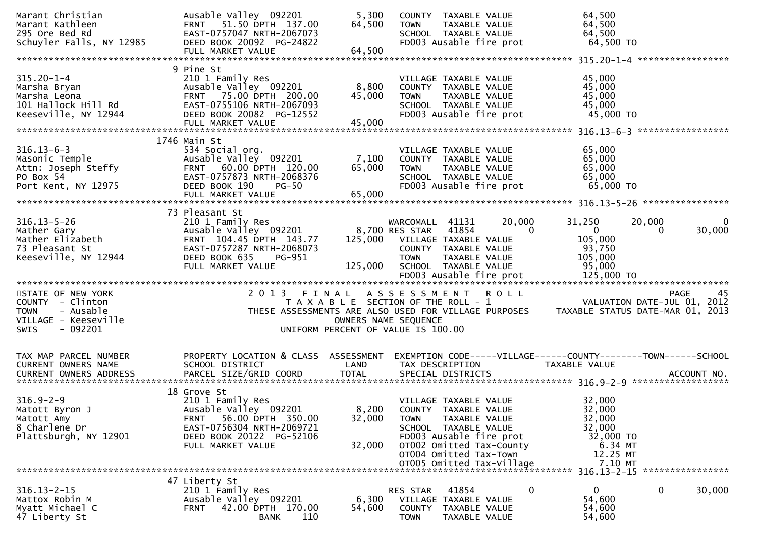| Marant Christian<br>Marant Kathleen<br>295 Ore Bed Rd<br>Schuyler Falls, NY 12985                             | Ausable Valley 092201<br>FRNT 51.50 DPTH 137.00<br>EAST-0757047 NRTH-2067073<br>DEED BOOK 20092 PG-24822                                                                   | 5,300<br>64,500                                                             | <b>TOWN</b>                                      | COUNTY TAXABLE VALUE<br>TAXABLE VALUE<br>SCHOOL TAXABLE VALUE<br>FD003 Ausable fire prot                                                                                                             | 64,500<br>64,500<br>64,500<br>64,500 TO                                               |                                                |
|---------------------------------------------------------------------------------------------------------------|----------------------------------------------------------------------------------------------------------------------------------------------------------------------------|-----------------------------------------------------------------------------|--------------------------------------------------|------------------------------------------------------------------------------------------------------------------------------------------------------------------------------------------------------|---------------------------------------------------------------------------------------|------------------------------------------------|
|                                                                                                               | 9 Pine St                                                                                                                                                                  |                                                                             |                                                  |                                                                                                                                                                                                      |                                                                                       |                                                |
| $315.20 - 1 - 4$<br>Marsha Bryan<br>Marsha Leona<br>101 Hallock Hill Rd<br>Keeseville, NY 12944               | 210 1 Family Res<br>Ausable Valley 092201<br>FRNT 75.00 DPTH 200.00<br>EAST-0755106 NRTH-2067093<br>DEED BOOK 20082 PG-12552                                               | 8,800<br>45,000                                                             | <b>TOWN</b>                                      | VILLAGE TAXABLE VALUE<br>COUNTY TAXABLE VALUE<br>TAXABLE VALUE<br>SCHOOL TAXABLE VALUE<br>FD003 Ausable fire prot                                                                                    | 45,000<br>45,000<br>45,000<br>45,000<br>45,000 TO                                     |                                                |
|                                                                                                               | 1746 Main St                                                                                                                                                               |                                                                             |                                                  |                                                                                                                                                                                                      |                                                                                       |                                                |
| $316.13 - 6 - 3$<br>Masonic Temple<br>Attn: Joseph Steffy<br>PO Box 54<br>Port Kent, NY 12975                 | 534 Social org.<br>Ausable Valley 092201<br>FRNT 60.00 DPTH 120.00<br>EAST-0757873 NRTH-2068376<br>DEED BOOK 190<br>$PG-50$<br>FULL MARKET VALUE                           | 7,100<br>65,000<br>65,000                                                   | <b>TOWN</b>                                      | VILLAGE TAXABLE VALUE<br>COUNTY TAXABLE VALUE<br>TAXABLE VALUE<br>SCHOOL TAXABLE VALUE<br>FD003 Ausable fire prot                                                                                    | 65,000<br>65,000<br>65,000<br>65,000<br>$65,000$ TO                                   |                                                |
|                                                                                                               | 73 Pleasant St                                                                                                                                                             |                                                                             |                                                  |                                                                                                                                                                                                      |                                                                                       |                                                |
| $316.13 - 5 - 26$<br>Mather Gary<br>Mather Elizabeth<br>73 Pleasant St<br>Keeseville, NY 12944                | 210 1 Family Res<br>Ausable Valley 092201<br>FRNT 104.45 DPTH 143.77<br>EAST-0757287 NRTH-2068073<br>DEED BOOK 635<br>PG-951<br>FULL MARKET VALUE                          | 125,000<br>125,000                                                          | WARCOMALL 41131<br>8,700 RES STAR<br><b>TOWN</b> | 20,000<br>41854<br>$\Omega$<br>VILLAGE TAXABLE VALUE<br>COUNTY TAXABLE VALUE<br>TAXABLE VALUE<br>SCHOOL TAXABLE VALUE                                                                                | 31,250<br>$\mathbf{0}$<br>105,000<br>93,750<br>105,000<br>95,000                      | 20,000<br>$\Omega$<br>30,000<br>$\Omega$       |
| STATE OF NEW YORK<br>COUNTY - Clinton<br><b>TOWN</b><br>- Ausable<br>VILLAGE - Keeseville<br>- 092201<br>SWIS |                                                                                                                                                                            | T A X A B L E SECTION OF THE ROLL - 1<br>UNIFORM PERCENT OF VALUE IS 100.00 | OWNERS NAME SEQUENCE                             | 2013 FINAL ASSESSMENT ROLL<br>THESE ASSESSMENTS ARE ALSO USED FOR VILLAGE PURPOSES                                                                                                                   | VALUATION DATE-JUL 01, 2012                                                           | 45<br>PAGE<br>TAXABLE STATUS DATE-MAR 01, 2013 |
| TAX MAP PARCEL NUMBER<br>CURRENT OWNERS NAME                                                                  | PROPERTY LOCATION & CLASS ASSESSMENT<br>SCHOOL DISTRICT                                                                                                                    | LAND                                                                        | TAX DESCRIPTION                                  |                                                                                                                                                                                                      | EXEMPTION CODE-----VILLAGE------COUNTY-------TOWN------SCHOOL<br><b>TAXABLE VALUE</b> |                                                |
| $316.9 - 2 - 9$<br>Matott Byron J<br>Matott Amy<br>8 Charlene Dr<br>Plattsburgh, NY 12901                     | 18 Grove St<br>210 1 Family Res<br>Ausable Valley 092201<br>56.00 DPTH 350.00<br><b>FRNT</b><br>EAST-0756304 NRTH-2069721<br>DEED BOOK 20122 PG-52106<br>FULL MARKET VALUE | 8,200<br>32,000<br>32,000                                                   | <b>TOWN</b>                                      | VILLAGE TAXABLE VALUE<br>COUNTY TAXABLE VALUE<br>TAXABLE VALUE<br>SCHOOL TAXABLE VALUE<br>FD003 Ausable fire prot<br>OT002 Omitted Tax-County<br>OT004 Omitted Tax-Town<br>OT005 Omitted Tax-Village | 32,000<br>32,000<br>32,000<br>32,000<br>32,000 TO<br>6.34 MT<br>12.25 MT<br>7.10 MT   |                                                |
|                                                                                                               | 47 Liberty St                                                                                                                                                              |                                                                             |                                                  |                                                                                                                                                                                                      |                                                                                       | 316.13-2-15 *****************                  |
| $316.13 - 2 - 15$<br>Mattox Robin M<br>Myatt Michael C<br>47 Liberty St                                       | 210 1 Family Res<br>Ausable Valley 092201<br>42.00 DPTH 170.00<br><b>FRNT</b><br>110<br><b>BANK</b>                                                                        | 6,300<br>54,600                                                             | RES STAR<br><b>TOWN</b>                          | 41854<br>0<br>VILLAGE TAXABLE VALUE<br>COUNTY TAXABLE VALUE<br>TAXABLE VALUE                                                                                                                         | $\mathbf{0}$<br>54,600<br>54,600<br>54,600                                            | 0<br>30,000                                    |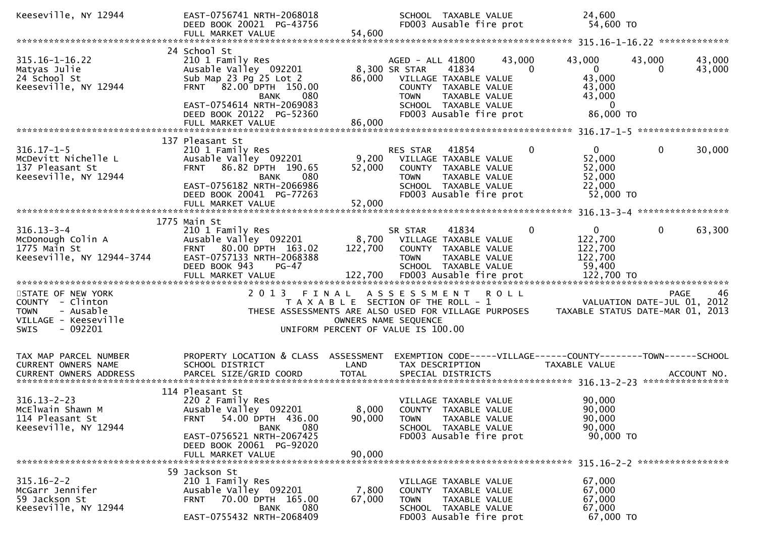| Keeseville, NY 12944                                                                                                 | EAST-0756741 NRTH-2068018<br>DEED BOOK 20021 PG-43756<br>FULL MARKET VALUE                                                                                                                           | 54,600                    | SCHOOL TAXABLE VALUE<br>FD003 Ausable fire prot                                                                                                                                                   | 24,600<br>54,600 TO                                                                                   |                                                                                      |
|----------------------------------------------------------------------------------------------------------------------|------------------------------------------------------------------------------------------------------------------------------------------------------------------------------------------------------|---------------------------|---------------------------------------------------------------------------------------------------------------------------------------------------------------------------------------------------|-------------------------------------------------------------------------------------------------------|--------------------------------------------------------------------------------------|
|                                                                                                                      |                                                                                                                                                                                                      |                           |                                                                                                                                                                                                   |                                                                                                       |                                                                                      |
| $315.16 - 1 - 16.22$<br>Matyas Julie<br>24 School St<br>Keeseville, NY 12944                                         | 24 School St<br>210 1 Family Res<br>Ausable Valley 092201<br>Sub Map 23 Pg 25 Lot 2<br>FRNT 82.00 DPTH 150.00<br>080<br>BANK<br>EAST-0754614 NRTH-2069083<br>DEED BOOK 20122 PG-52360                | 86,000                    | AGED - ALL 41800<br>8,300 SR STAR<br>41834<br>VILLAGE TAXABLE VALUE<br>COUNTY TAXABLE VALUE<br>TAXABLE VALUE<br><b>TOWN</b><br>SCHOOL TAXABLE VALUE<br>FD003 Ausable fire prot                    | 43,000<br>43,000<br>$\overline{0}$<br>$\Omega$<br>43,000<br>43,000<br>43,000<br>$\bf{0}$<br>86,000 TO | 43,000<br>43,000<br>43,000<br>$\Omega$                                               |
|                                                                                                                      | 137 Pleasant St                                                                                                                                                                                      |                           |                                                                                                                                                                                                   |                                                                                                       |                                                                                      |
| $316.17 - 1 - 5$<br>McDevitt Nichelle L<br>137 Pleasant St<br>Keeseville, NY 12944                                   | 210 1 Family Res<br>Ausable Valley 092201<br>FRNT 86.82 DPTH 190.65<br>080<br><b>BANK</b><br>EAST-0756182 NRTH-2066986<br>DEED BOOK 20041 PG-77263<br>FULL MARKET VALUE                              | 9,200<br>52,000<br>52,000 | RES STAR<br>41854<br>VILLAGE TAXABLE VALUE<br>COUNTY TAXABLE VALUE<br><b>TOWN</b><br>TAXABLE VALUE<br>SCHOOL TAXABLE VALUE<br>FD003 Ausable fire prot                                             | $\mathbf{0}$<br>0<br>52,000<br>52,000<br>52,000<br>22,000<br>52,000 TO                                | $\mathbf 0$<br>30,000                                                                |
|                                                                                                                      |                                                                                                                                                                                                      |                           |                                                                                                                                                                                                   |                                                                                                       |                                                                                      |
| $316.13 - 3 - 4$<br>McDonough Colin A<br>1775 Main St<br>Keeseville, NY 12944-3744                                   | 1775 Main St<br>210 1 Family Res<br>Ausable Valley 092201<br>FRNT 80.00 DPTH 163.02<br>EAST-0757133 NRTH-2068388<br>DEED BOOK 943<br>$PG-47$                                                         | 122,700                   | 41834<br>SR STAR<br>8,700 VILLAGE TAXABLE VALUE<br>COUNTY TAXABLE VALUE<br><b>TOWN</b><br>TAXABLE VALUE<br>SCHOOL TAXABLE VALUE                                                                   | $\overline{0}$<br>$\mathbf 0$<br>122,700<br>122,700<br>122,700<br>59,400                              | $\mathbf 0$<br>63,300                                                                |
| STATE OF NEW YORK<br>COUNTY - Clinton<br>- Ausable<br><b>TOWN</b><br>VILLAGE - Keeseville<br><b>SWIS</b><br>- 092201 | 2013 FINAL                                                                                                                                                                                           |                           | A S S E S S M E N T<br><b>ROLL</b><br>T A X A B L E SECTION OF THE ROLL - 1<br>THESE ASSESSMENTS ARE ALSO USED FOR VILLAGE PURPOSES<br>OWNERS NAME SEQUENCE<br>UNIFORM PERCENT OF VALUE IS 100.00 |                                                                                                       | <b>PAGE</b><br>46<br>VALUATION DATE-JUL 01, 2012<br>TAXABLE STATUS DATE-MAR 01, 2013 |
| TAX MAP PARCEL NUMBER<br>CURRENT OWNERS NAME<br>CURRENT OWNERS ADDRESS                                               | PROPERTY LOCATION & CLASS ASSESSMENT<br>SCHOOL DISTRICT<br>PARCEL SIZE/GRID COORD                                                                                                                    | LAND<br><b>TOTAL</b>      | EXEMPTION CODE-----VILLAGE------COUNTY--------TOWN------SCHOOL<br>TAX DESCRIPTION<br>SPECIAL DISTRICTS                                                                                            | TAXABLE VALUE                                                                                         | ACCOUNT NO.                                                                          |
| $316.13 - 2 - 23$<br>McElwain Shawn M<br>114 Pleasant St<br>Keeseville, NY 12944                                     | 114 Pleasant St<br>220 2 Family Res<br>Ausable Valley 092201<br>54.00 DPTH 436.00<br><b>FRNT</b><br>080<br><b>BANK</b><br>EAST-0756521 NRTH-2067425<br>DEED BOOK 20061 PG-92020<br>FULL MARKET VALUE | 8,000<br>90,000<br>90,000 | VILLAGE TAXABLE VALUE<br>COUNTY TAXABLE VALUE<br>TAXABLE VALUE<br><b>TOWN</b><br>SCHOOL TAXABLE VALUE<br>FD003 Ausable fire prot                                                                  | 90,000<br>90,000<br>90,000<br>90,000<br>90,000 TO                                                     |                                                                                      |
| $315.16 - 2 - 2$<br>McGarr Jennifer<br>59 Jackson St<br>Keeseville, NY 12944                                         | 59 Jackson St<br>210 1 Family Res<br>Ausable Valley 092201<br>70.00 DPTH 165.00<br><b>FRNT</b><br><b>BANK</b><br>080<br>EAST-0755432 NRTH-2068409                                                    | 7,800<br>67,000           | VILLAGE TAXABLE VALUE<br>COUNTY TAXABLE VALUE<br>TAXABLE VALUE<br><b>TOWN</b><br>SCHOOL TAXABLE VALUE<br>FD003 Ausable fire prot                                                                  | 67,000<br>67,000<br>67,000<br>67,000<br>67,000 TO                                                     | *****************                                                                    |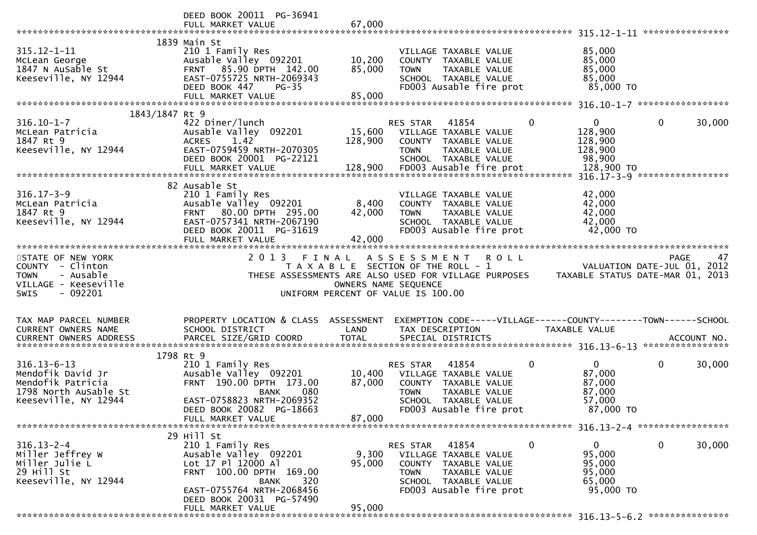|                          | DEED BOOK 20011 PG-36941                        |                      |                                                                                                                                              |             |               |              |        |
|--------------------------|-------------------------------------------------|----------------------|----------------------------------------------------------------------------------------------------------------------------------------------|-------------|---------------|--------------|--------|
|                          | FULL MARKET VALUE                               | 67,000               |                                                                                                                                              |             |               |              |        |
|                          |                                                 |                      |                                                                                                                                              |             |               |              |        |
|                          | 1839 Main St                                    |                      |                                                                                                                                              |             |               |              |        |
| $315.12 - 1 - 11$        | 210 1 Family Res                                |                      | VILLAGE TAXABLE VALUE                                                                                                                        |             | 85,000        |              |        |
| McLean George            | Ausable Valley 092201                           | 10,200               | COUNTY TAXABLE VALUE                                                                                                                         |             | 85,000        |              |        |
| 1847 N AuSable St        | FRNT 85.90 DPTH 142.00                          | 85,000               | TAXABLE VALUE<br><b>TOWN</b>                                                                                                                 |             | 85,000        |              |        |
| Keeseville, NY 12944     | EAST-0755725 NRTH-2069343                       |                      | SCHOOL TAXABLE VALUE                                                                                                                         |             | 85,000        |              |        |
|                          | DEED BOOK 447<br>$PG-35$<br>FULL MARKET VALUE   | 85,000               | FD003 Ausable fire prot                                                                                                                      |             | 85,000 TO     |              |        |
|                          |                                                 |                      |                                                                                                                                              |             |               |              |        |
| 1843/1847 Rt 9           |                                                 |                      |                                                                                                                                              |             |               |              |        |
| $316.10 - 1 - 7$         | 422 Diner/lunch                                 |                      | RES STAR<br>41854                                                                                                                            | $\Omega$    | $\mathbf{0}$  | $\mathbf{0}$ | 30,000 |
| McLean Patricia          | Ausable Valley 092201                           |                      | 15,600 VILLAGE TAXABLE VALUE                                                                                                                 |             | 128,900       |              |        |
| 1847 Rt 9                | 1.42<br><b>ACRES</b>                            | 128,900              | COUNTY TAXABLE VALUE                                                                                                                         |             | 128,900       |              |        |
| Keeseville, NY 12944     | EAST-0759459 NRTH-2070305                       |                      | TAXABLE VALUE<br><b>TOWN</b>                                                                                                                 |             | 128,900       |              |        |
|                          | DEED BOOK 20001 PG-22121                        |                      | SCHOOL TAXABLE VALUE                                                                                                                         |             | 98,900        |              |        |
|                          |                                                 |                      |                                                                                                                                              |             |               |              |        |
|                          |                                                 |                      |                                                                                                                                              |             |               |              |        |
|                          | 82 Ausable St                                   |                      |                                                                                                                                              |             |               |              |        |
| $316.17 - 3 - 9$         | 210 1 Family Res                                |                      | VILLAGE TAXABLE VALUE                                                                                                                        |             | 42,000        |              |        |
| McLean Patricia          | Ausable Valley 092201                           | 8,400                | COUNTY TAXABLE VALUE                                                                                                                         |             | 42,000        |              |        |
| 1847 Rt 9                | FRNT 80.00 DPTH 295.00                          | 42,000               | <b>TOWN</b><br>TAXABLE VALUE                                                                                                                 |             | 42,000        |              |        |
| Keeseville, NY 12944     | EAST-0757341 NRTH-2067190                       |                      | SCHOOL TAXABLE VALUE                                                                                                                         |             | 42,000        |              |        |
|                          | DEED BOOK 20011 PG-31619                        |                      | FD003 Ausable fire prot                                                                                                                      |             | 42,000 TO     |              |        |
|                          | FULL MARKET VALUE                               | 42,000               |                                                                                                                                              |             |               |              |        |
|                          |                                                 |                      |                                                                                                                                              |             |               |              |        |
| STATE OF NEW YORK        | 2 0 1 3<br>FINAL                                |                      | A S S E S S M E N T                                                                                                                          | <b>ROLL</b> |               | PAGE         | 47     |
|                          |                                                 |                      |                                                                                                                                              |             |               |              |        |
| COUNTY - Clinton         |                                                 |                      |                                                                                                                                              |             |               |              |        |
| <b>TOWN</b><br>- Ausable |                                                 |                      | 74 PAGE 47<br>T A X A B L E SECTION OF THE ROLL - 1<br>THESE ASSESSMENTS ARE ALSO USED FOR VILLAGE PURPOSES TAXABLE STATUS DATE-MAR 01, 2013 |             |               |              |        |
| VILLAGE - Keeseville     |                                                 | OWNERS NAME SEQUENCE |                                                                                                                                              |             |               |              |        |
| $-092201$<br><b>SWIS</b> |                                                 |                      | UNIFORM PERCENT OF VALUE IS 100.00                                                                                                           |             |               |              |        |
|                          |                                                 |                      |                                                                                                                                              |             |               |              |        |
|                          |                                                 |                      |                                                                                                                                              |             |               |              |        |
| TAX MAP PARCEL NUMBER    | PROPERTY LOCATION & CLASS ASSESSMENT            |                      | EXEMPTION CODE-----VILLAGE------COUNTY-------TOWN------SCHOOL<br>TAX DESCRIPTION                                                             |             | TAXABLE VALUE |              |        |
| CURRENT OWNERS NAME      | SCHOOL DISTRICT                                 | LAND                 |                                                                                                                                              |             |               |              |        |
|                          |                                                 |                      |                                                                                                                                              |             |               |              |        |
|                          | 1798 Rt 9                                       |                      |                                                                                                                                              |             |               |              |        |
| $316.13 - 6 - 13$        | 210 1 Family Res                                |                      | RES STAR<br>41854                                                                                                                            | 0           | $\mathbf{0}$  | 0            | 30,000 |
| Mendofik David Jr        | Ausable Valley 092201                           | 10,400               | VILLAGE TAXABLE VALUE                                                                                                                        |             | 87,000        |              |        |
| Mendofik Patricia        | FRNT 190.00 DPTH 173.00                         | 87,000               | COUNTY TAXABLE VALUE                                                                                                                         |             | 87,000        |              |        |
| 1798 North AuSable St    | 080<br>BANK                                     |                      | TAXABLE VALUE<br><b>TOWN</b>                                                                                                                 |             | 87,000        |              |        |
| Keeseville, NY 12944     | EAST-0758823 NRTH-2069352                       |                      | SCHOOL TAXABLE VALUE                                                                                                                         |             | 57,000        |              |        |
|                          | DEED BOOK 20082 PG-18663                        |                      | FD003 Ausable fire prot                                                                                                                      |             | 87,000 TO     |              |        |
|                          | FULL MARKET VALUE                               | 87,000               |                                                                                                                                              |             |               |              |        |
|                          |                                                 |                      |                                                                                                                                              |             |               |              |        |
|                          | 29 Hill St                                      |                      |                                                                                                                                              |             |               |              |        |
| $316.13 - 2 - 4$         | 210 1 Family Res                                |                      | RES STAR<br>41854                                                                                                                            | 0           | 0             | 0            | 30,000 |
| Miller Jeffrey W         | Ausable Valley 092201                           | 9,300                | VILLAGE TAXABLE VALUE                                                                                                                        |             | 95,000        |              |        |
| Miller Julie L           | Lot 17 Pl 12000 Al                              | 95,000               | COUNTY TAXABLE VALUE                                                                                                                         |             | 95,000        |              |        |
| 29 Hill St               | FRNT 100.00 DPTH 169.00                         |                      | <b>TOWN</b><br>TAXABLE VALUE                                                                                                                 |             | 95,000        |              |        |
| Keeseville, NY 12944     | 320<br><b>BANK</b><br>EAST-0755764 NRTH-2068456 |                      | SCHOOL TAXABLE VALUE                                                                                                                         |             | 65,000        |              |        |
|                          |                                                 |                      | FD003 Ausable fire prot                                                                                                                      |             | 95,000 TO     |              |        |
|                          | DEED BOOK 20031 PG-57490<br>FULL MARKET VALUE   | 95,000               |                                                                                                                                              |             |               |              |        |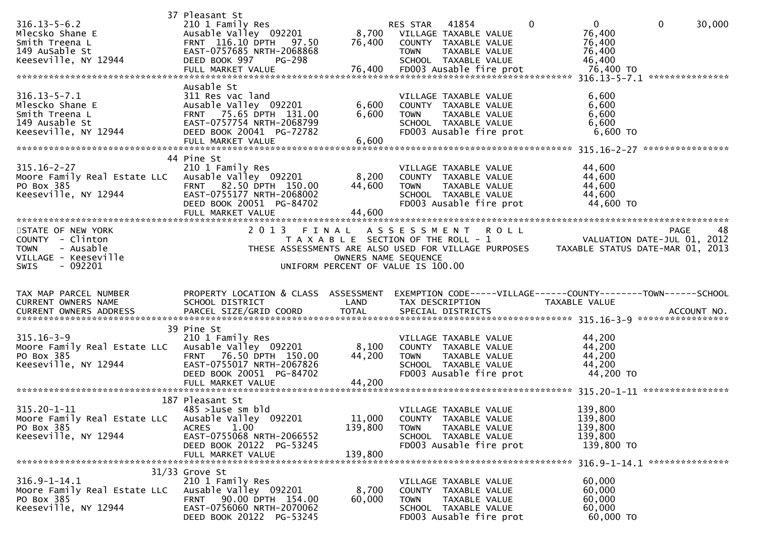| $316.13 - 5 - 6.2$<br>Mlecsko Shane E<br>Smith Treena L<br>149 AuSable St<br>Keeseville, NY 12944             | 37 Pleasant St<br>210 1 Family Res<br>Ausable Valley 092201<br>FRNT 116.10 DPTH 97.50<br>EAST-0757685 NRTH-2068868<br>DEED BOOK 997<br>PG-298                        | 76,400                                                                                              | RES STAR<br>8,700 VILLAGE TAXABLE VALUE<br><b>TOWN</b> | 41854<br>COUNTY TAXABLE VALUE<br>TAXABLE VALUE<br>SCHOOL TAXABLE VALUE                                            |             | $\Omega$ | $\mathbf{0}$<br>76,400<br>76,400<br>76,400<br>46,400                            | $\mathbf 0$ | 30,000 |
|---------------------------------------------------------------------------------------------------------------|----------------------------------------------------------------------------------------------------------------------------------------------------------------------|-----------------------------------------------------------------------------------------------------|--------------------------------------------------------|-------------------------------------------------------------------------------------------------------------------|-------------|----------|---------------------------------------------------------------------------------|-------------|--------|
| $316.13 - 5 - 7.1$<br>Mlescko Shane E<br>Smith Treena L<br>149 Ausable St<br>Keeseville, NY 12944             | Ausable St<br>311 Res vac land<br>Ausable Valley 092201<br>FRNT 75.65 DPTH 131.00<br>EAST-0757754 NRTH-2068799<br>DEED BOOK 20041 PG-72782<br>FULL MARKET VALUE      | 6,600<br>6,600<br>6,600                                                                             | <b>TOWN</b>                                            | VILLAGE TAXABLE VALUE<br>COUNTY TAXABLE VALUE<br>TAXABLE VALUE<br>SCHOOL TAXABLE VALUE<br>FD003 Ausable fire prot |             |          | 6,600<br>6,600<br>6,600<br>6,600<br>6,600 TO                                    |             |        |
| $315.16 - 2 - 27$<br>Moore Family Real Estate LLC<br>PO Box 385<br>Keeseville, NY 12944                       | 44 Pine St<br>210 1 Family Res<br>Ausable Valley 092201<br>FRNT 82.50 DPTH 150.00<br>EAST-0755177 NRTH-2068002<br>DEED BOOK 20051 PG-84702<br>FULL MARKET VALUE      | 8,200<br>44,600<br>44,600                                                                           | <b>TOWN</b>                                            | VILLAGE TAXABLE VALUE<br>COUNTY TAXABLE VALUE<br>TAXABLE VALUE<br>SCHOOL TAXABLE VALUE<br>FD003 Ausable fire prot |             |          | 44,600<br>44,600<br>44,600<br>44,600<br>44,600 TO                               |             |        |
| STATE OF NEW YORK<br>COUNTY - Clinton<br><b>TOWN</b><br>- Ausable<br>VILLAGE - Keeseville<br>- 092201<br>SWIS | 2 0 1 3<br>FINAL<br>THESE ASSESSMENTS ARE ALSO USED FOR VILLAGE PURPOSES                                                                                             | T A X A B L E SECTION OF THE ROLL - 1<br>OWNERS NAME SEQUENCE<br>UNIFORM PERCENT OF VALUE IS 100.00 | A S S E S S M E N T                                    |                                                                                                                   | <b>ROLL</b> |          | VALUATION DATE-JUL 01, 2012<br>TAXABLE STATUS DATE-MAR 01, 2013                 | <b>PAGE</b> | 48     |
| TAX MAP PARCEL NUMBER<br>CURRENT OWNERS NAME                                                                  | PROPERTY LOCATION & CLASS ASSESSMENT<br>SCHOOL DISTRICT                                                                                                              | LAND                                                                                                |                                                        | TAX DESCRIPTION                                                                                                   |             |          | EXEMPTION CODE-----VILLAGE------COUNTY--------TOWN------SCHOOL<br>TAXABLE VALUE |             |        |
| $315.16 - 3 - 9$<br>Moore Family Real Estate LLC<br>PO Box 385<br>Keeseville, NY 12944                        | 39 Pine St<br>210 1 Family Res<br>Ausable Valley 092201<br>76.50 DPTH 150.00<br><b>FRNT</b><br>EAST-0755017 NRTH-2067826<br>DEED BOOK 20051 PG-84702                 | 8,100<br>44,200                                                                                     | <b>TOWN</b>                                            | VILLAGE TAXABLE VALUE<br>COUNTY TAXABLE VALUE<br>TAXABLE VALUE<br>SCHOOL TAXABLE VALUE<br>FD003 Ausable fire prot |             |          | 44,200<br>44,200<br>44,200<br>44,200<br>44,200 TO                               |             |        |
| 315.20-1-11<br>Moore Family Real Estate LLC<br>PO Box 385<br>Keeseville, NY 12944                             | 187 Pleasant St<br>$485$ >1use sm bld<br>Ausable Valley 092201<br>1.00<br><b>ACRES</b><br>EAST-0755068 NRTH-2066552<br>DEED BOOK 20122 PG-53245<br>FULL MARKET VALUE | 11,000<br>139,800<br>139,800                                                                        | <b>TOWN</b>                                            | VILLAGE TAXABLE VALUE<br>COUNTY TAXABLE VALUE<br>TAXABLE VALUE<br>SCHOOL TAXABLE VALUE<br>FD003 Ausable fire prot |             |          | 139,800<br>139,800<br>139,800<br>139,800<br>139,800 TO                          |             |        |
| $316.9 - 1 - 14.1$<br>Moore Family Real Estate LLC<br>PO Box 385<br>Keeseville, NY 12944                      | $31/33$ Grove St<br>210 1 Family Res<br>Ausable Valley 092201<br>90.00 DPTH 154.00<br><b>FRNT</b><br>EAST-0756060 NRTH-2070062<br>DEED BOOK 20122 PG-53245           | 8,700<br>60,000                                                                                     | <b>TOWN</b>                                            | VILLAGE TAXABLE VALUE<br>COUNTY TAXABLE VALUE<br>TAXABLE VALUE<br>SCHOOL TAXABLE VALUE<br>FD003 Ausable fire prot |             |          | 60,000<br>60,000<br>60,000<br>60,000<br>60,000 TO                               |             |        |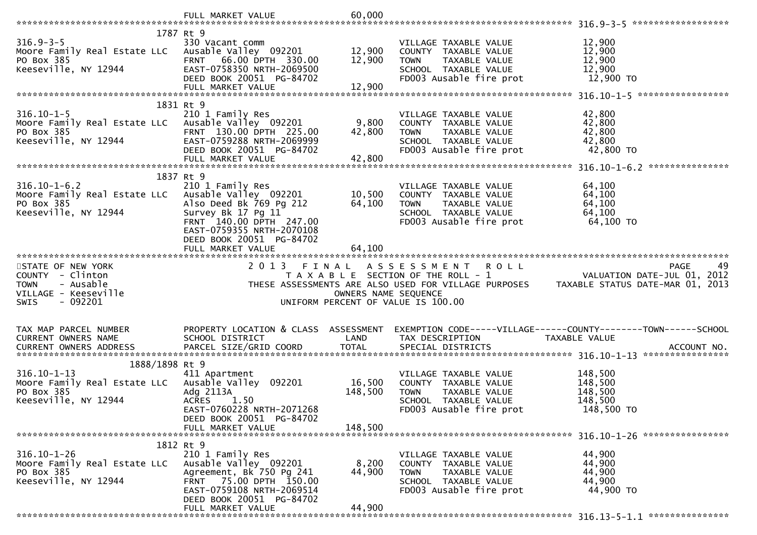|                                                    | FULL MARKET VALUE                             | 60,000               |                                    |                                                                                                                                                                         |     |
|----------------------------------------------------|-----------------------------------------------|----------------------|------------------------------------|-------------------------------------------------------------------------------------------------------------------------------------------------------------------------|-----|
|                                                    |                                               |                      |                                    |                                                                                                                                                                         |     |
|                                                    | 1787 Rt 9                                     |                      |                                    |                                                                                                                                                                         |     |
| $316.9 - 3 - 5$                                    | 330 Vacant comm                               |                      | VILLAGE TAXABLE VALUE              | 12,900                                                                                                                                                                  |     |
| Moore Family Real Estate LLC Ausable Valley 092201 |                                               | 12,900               | COUNTY TAXABLE VALUE               | 12,900                                                                                                                                                                  |     |
| PO Box 385                                         | 66.00 DPTH 330.00<br><b>FRNT</b>              | 12,900               | TAXABLE VALUE<br><b>TOWN</b>       | 12,900                                                                                                                                                                  |     |
| Keeseville, NY 12944                               | EAST-0758350 NRTH-2069500                     |                      | SCHOOL TAXABLE VALUE               | 12,900                                                                                                                                                                  |     |
|                                                    | DEED BOOK 20051 PG-84702                      |                      | FD003 Ausable fire prot            | 12,900 TO                                                                                                                                                               |     |
|                                                    | FULL MARKET VALUE                             | 12,900               |                                    |                                                                                                                                                                         |     |
|                                                    |                                               |                      |                                    |                                                                                                                                                                         |     |
|                                                    | 1831 Rt 9                                     |                      |                                    |                                                                                                                                                                         |     |
| $316.10 - 1 - 5$                                   | 210 1 Family Res                              |                      | VILLAGE TAXABLE VALUE              | 42,800                                                                                                                                                                  |     |
| Moore Family Real Estate LLC Ausable Valley 092201 |                                               | 9,800                | COUNTY TAXABLE VALUE               | 42,800                                                                                                                                                                  |     |
| PO Box 385                                         | FRNT 130.00 DPTH 225.00                       | 42,800               | <b>TOWN</b><br>TAXABLE VALUE       | 42,800                                                                                                                                                                  |     |
| Keeseville, NY 12944                               | EAST-0759288 NRTH-2069999                     |                      | SCHOOL TAXABLE VALUE               | 42,800                                                                                                                                                                  |     |
|                                                    | DEED BOOK 20051 PG-84702                      |                      | FD003 Ausable fire prot            | 42,800 TO                                                                                                                                                               |     |
|                                                    | FULL MARKET VALUE                             | 42,800               |                                    |                                                                                                                                                                         |     |
|                                                    |                                               |                      |                                    |                                                                                                                                                                         |     |
|                                                    | 1837 Rt 9                                     |                      |                                    |                                                                                                                                                                         |     |
| $316.10 - 1 - 6.2$                                 | 210 1 Family Res                              |                      | VILLAGE TAXABLE VALUE              | 64,100                                                                                                                                                                  |     |
| Moore Family Real Estate LLC                       | Ausable Valley 092201                         | 10,500               | COUNTY TAXABLE VALUE               | 64,100                                                                                                                                                                  |     |
| PO Box 385                                         | Also Deed Bk 769 Pg 212                       | 64,100               | TAXABLE VALUE<br><b>TOWN</b>       | 64,100                                                                                                                                                                  |     |
| Keeseville, NY 12944                               | Survey Bk 17 Pg 11                            |                      | SCHOOL TAXABLE VALUE               | 64,100                                                                                                                                                                  |     |
|                                                    | FRNT 140.00 DPTH 247.00                       |                      | FD003 Ausable fire prot            | 64,100 TO                                                                                                                                                               |     |
|                                                    | EAST-0759355 NRTH-2070108                     |                      |                                    |                                                                                                                                                                         |     |
|                                                    | DEED BOOK 20051 PG-84702                      |                      |                                    |                                                                                                                                                                         |     |
|                                                    | FULL MARKET VALUE                             | 64,100               |                                    |                                                                                                                                                                         |     |
|                                                    |                                               |                      |                                    |                                                                                                                                                                         |     |
|                                                    |                                               |                      |                                    |                                                                                                                                                                         |     |
| STATE OF NEW YORK                                  | 2 0 1 3                                       | FINAL                | A S S E S S M E N T R O L L        | PAGE                                                                                                                                                                    | 49. |
| COUNTY - Clinton                                   |                                               |                      |                                    |                                                                                                                                                                         |     |
| - Ausable<br><b>TOWN</b>                           |                                               |                      |                                    | T A X A B L E SECTION OF THE ROLL - 1<br>T A X A B L E SECTION OF THE ROLL - 1<br>THESE ASSESSMENTS ARE ALSO USED FOR VILLAGE PURPOSES TAXABLE STATUS DATE-MAR 01, 2013 |     |
| VILLAGE - Keeseville                               |                                               | OWNERS NAME SEQUENCE |                                    |                                                                                                                                                                         |     |
| $-092201$<br><b>SWIS</b>                           |                                               |                      | UNIFORM PERCENT OF VALUE IS 100.00 |                                                                                                                                                                         |     |
|                                                    |                                               |                      |                                    |                                                                                                                                                                         |     |
|                                                    |                                               |                      |                                    |                                                                                                                                                                         |     |
| TAX MAP PARCEL NUMBER                              |                                               |                      |                                    | PROPERTY LOCATION & CLASS ASSESSMENT EXEMPTION CODE-----VILLAGE------COUNTY-------TOWN------SCHOOL                                                                      |     |
| CURRENT OWNERS NAME                                | SCHOOL DISTRICT                               | LAND                 | TAX DESCRIPTION                    | TAXABLE VALUE                                                                                                                                                           |     |
| CURRENT OWNERS ADDRESS                             | PARCEL SIZE/GRID COORD                        | <b>TOTAL</b>         | SPECIAL DISTRICTS                  | ACCOUNT NO.                                                                                                                                                             |     |
|                                                    |                                               |                      |                                    |                                                                                                                                                                         |     |
| 1888/1898 Rt 9                                     |                                               |                      |                                    |                                                                                                                                                                         |     |
| $316.10 - 1 - 13$                                  | 411 Apartment                                 |                      | VILLAGE TAXABLE VALUE              | 148,500                                                                                                                                                                 |     |
| Moore Family Real Estate LLC Ausable Valley 092201 |                                               | 16,500               | COUNTY TAXABLE VALUE               | 148,500                                                                                                                                                                 |     |
| PO Box 385                                         | Adg 2113A                                     | 148,500              | TAXABLE VALUE<br><b>TOWN</b>       | 148,500                                                                                                                                                                 |     |
| Keeseville, NY 12944                               | <b>ACRES</b><br>1.50                          |                      | SCHOOL TAXABLE VALUE               | 148,500                                                                                                                                                                 |     |
|                                                    | EAST-0760228 NRTH-2071268                     |                      | FD003 Ausable fire prot            | 148,500 TO                                                                                                                                                              |     |
|                                                    | DEED BOOK 20051 PG-84702                      |                      |                                    |                                                                                                                                                                         |     |
|                                                    | FULL MARKET VALUE                             | 148,500              |                                    |                                                                                                                                                                         |     |
|                                                    |                                               |                      |                                    |                                                                                                                                                                         |     |
|                                                    | 1812 Rt 9                                     |                      |                                    |                                                                                                                                                                         |     |
| $316.10 - 1 - 26$                                  | 210 1 Family Res                              |                      | VILLAGE TAXABLE VALUE              | 44,900                                                                                                                                                                  |     |
| Moore Family Real Estate LLC                       | Ausable Valley 092201                         | 8,200                | COUNTY TAXABLE VALUE               | 44,900                                                                                                                                                                  |     |
| PO Box 385                                         | Agreement, Bk 750 Pg 241                      | 44,900               | <b>TOWN</b><br>TAXABLE VALUE       | 44,900                                                                                                                                                                  |     |
| Keeseville, NY 12944                               | FRNT 75.00 DPTH 150.00                        |                      | SCHOOL TAXABLE VALUE               | 44,900                                                                                                                                                                  |     |
|                                                    | EAST-0759108 NRTH-2069514                     |                      | FD003 Ausable fire prot            | 44,900 TO                                                                                                                                                               |     |
|                                                    | DEED BOOK 20051 PG-84702<br>FULL MARKET VALUE | 44,900               |                                    |                                                                                                                                                                         |     |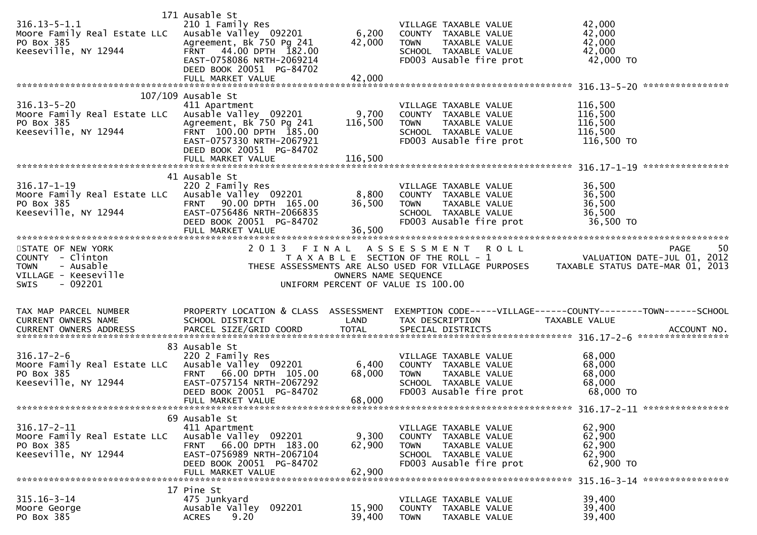| $316.13 - 5 - 1.1$<br>Moore Family Real Estate LLC<br>PO Box 385<br>Keeseville, NY 12944                           | 171 Ausable St<br>210 1 Family Res<br>Ausable Valley 092201<br>Agreement, Bk 750 Pg 241<br>FRNT 44.00 DPTH 182.00<br>EAST-0758086 NRTH-2069214<br>DEED BOOK 20051 PG-84702<br>FULL MARKET VALUE | 6,200<br>42,000<br>42,000   | VILLAGE TAXABLE VALUE<br>COUNTY TAXABLE VALUE<br><b>TOWN</b><br>TAXABLE VALUE<br>SCHOOL TAXABLE VALUE<br>FD003 Ausable fire prot | 42,000<br>42,000<br>42,000<br>42,000<br>42,000 TO                                                                                                                                  |
|--------------------------------------------------------------------------------------------------------------------|-------------------------------------------------------------------------------------------------------------------------------------------------------------------------------------------------|-----------------------------|----------------------------------------------------------------------------------------------------------------------------------|------------------------------------------------------------------------------------------------------------------------------------------------------------------------------------|
|                                                                                                                    | $107/109$ Ausable St                                                                                                                                                                            |                             |                                                                                                                                  |                                                                                                                                                                                    |
| $316.13 - 5 - 20$<br>Moore Family Real Estate LLC<br>PO Box 385<br>Keeseville, NY 12944                            | 411 Apartment<br>Ausable Valley 092201<br>Agreement, Bk 750 Pg 241<br>FRNT 100.00 DPTH 185.00<br>EAST-0757330 NRTH-2067921<br>DEED BOOK 20051 PG-84702<br>FULL MARKET VALUE                     | 9,700<br>116,500<br>116,500 | VILLAGE TAXABLE VALUE<br>COUNTY TAXABLE VALUE<br>TAXABLE VALUE<br><b>TOWN</b><br>SCHOOL TAXABLE VALUE<br>FD003 Ausable fire prot | 116,500<br>116,500<br>116,500<br>116,500<br>116,500 TO                                                                                                                             |
|                                                                                                                    | 41 Ausable St                                                                                                                                                                                   |                             |                                                                                                                                  |                                                                                                                                                                                    |
| $316.17 - 1 - 19$<br>Moore Family Real Estate LLC Ausable Valley 092201<br>PO Box 385<br>Keeseville, NY 12944      | 220 2 Family Res<br>FRNT 90.00 DPTH 165.00<br>EAST-0756486 NRTH-2066835<br>DEED BOOK 20051 PG-84702<br>FULL MARKET VALUE                                                                        | 8,800<br>36,500<br>36,500   | VILLAGE TAXABLE VALUE<br>COUNTY TAXABLE VALUE<br>TAXABLE VALUE<br><b>TOWN</b><br>SCHOOL TAXABLE VALUE<br>FD003 Ausable fire prot | 36,500<br>36,500<br>36,500<br>36,500<br>36,500 TO                                                                                                                                  |
| STATE OF NEW YORK                                                                                                  |                                                                                                                                                                                                 |                             |                                                                                                                                  |                                                                                                                                                                                    |
| COUNTY - Clinton<br><b>TOWN</b><br>- Ausable<br>VILLAGE - Keeseville                                               |                                                                                                                                                                                                 |                             |                                                                                                                                  | 2013 FINAL ASSESSMENT ROLL<br>TAXABLE SECTION OF THE ROLL - 1 VALUATION DATE-JUL 01, 2012<br>THESE ASSESSMENTS ARE ALSO USED FOR VILLAGE PURPOSES TAXABLE STATUS DATE-MAR 01, 2013 |
| $-092201$<br><b>SWIS</b>                                                                                           |                                                                                                                                                                                                 |                             | OWNERS NAME SEQUENCE<br>UNIFORM PERCENT OF VALUE IS 100.00                                                                       |                                                                                                                                                                                    |
|                                                                                                                    |                                                                                                                                                                                                 |                             |                                                                                                                                  |                                                                                                                                                                                    |
| TAX MAP PARCEL NUMBER<br>CURRENT OWNERS NAME                                                                       | PROPERTY LOCATION & CLASS ASSESSMENT<br>SCHOOL DISTRICT                                                                                                                                         | LAND                        | TAX DESCRIPTION                                                                                                                  | EXEMPTION CODE-----VILLAGE------COUNTY--------TOWN------SCHOOL<br>TAXABLE VALUE                                                                                                    |
|                                                                                                                    | 83 Ausable St                                                                                                                                                                                   |                             |                                                                                                                                  |                                                                                                                                                                                    |
| $316.17 - 2 - 6$<br>Moore Family Real Estate LLC Ausable Valley 092201 6,400<br>PO Box 385<br>Keeseville, NY 12944 | 220 2 Family Res<br>FRNT 66.00 DPTH 105.00<br>EAST-0757154 NRTH-2067292<br>DEED BOOK 20051 PG-84702<br>FULL MARKET VALUE                                                                        | 68,000<br>68,000            | VILLAGE TAXABLE VALUE<br>COUNTY TAXABLE VALUE<br><b>TOWN</b><br>TAXABLE VALUE<br>SCHOOL TAXABLE VALUE<br>FD003 Ausable fire prot | 68,000<br>68,000<br>68,000<br>68,000<br>68,000 TO                                                                                                                                  |
|                                                                                                                    |                                                                                                                                                                                                 |                             |                                                                                                                                  |                                                                                                                                                                                    |
| $316.17 - 2 - 11$<br>Moore Family Real Estate LLC<br>PO Box 385<br>Keeseville, NY 12944                            | 69 Ausable St<br>411 Apartment<br>Ausable Valley 092201<br>66.00 DPTH 183.00<br><b>FRNT</b><br>EAST-0756989 NRTH-2067104<br>DEED BOOK 20051 PG-84702<br>FULL MARKET VALUE                       | 9,300<br>62,900<br>62,900   | VILLAGE TAXABLE VALUE<br>COUNTY TAXABLE VALUE<br>TAXABLE VALUE<br><b>TOWN</b><br>SCHOOL TAXABLE VALUE<br>FD003 Ausable fire prot | 62,900<br>62,900<br>62,900<br>62,900<br>62,900 TO                                                                                                                                  |
|                                                                                                                    | 17 Pine St                                                                                                                                                                                      |                             |                                                                                                                                  |                                                                                                                                                                                    |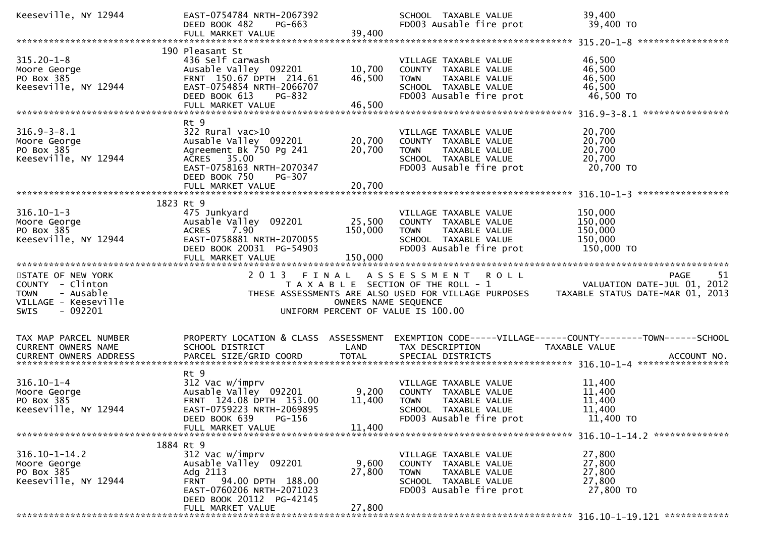| Keeseville, NY 12944                                                                                                 | EAST-0754784 NRTH-2067392<br>DEED BOOK 482<br>PG-663<br>FULL MARKET VALUE                                                                                                 | 39,400                        | SCHOOL TAXABLE VALUE<br>FD003 Ausable fire prot                                                                                  | 39,400<br>39,400 TO                                                                                                                |
|----------------------------------------------------------------------------------------------------------------------|---------------------------------------------------------------------------------------------------------------------------------------------------------------------------|-------------------------------|----------------------------------------------------------------------------------------------------------------------------------|------------------------------------------------------------------------------------------------------------------------------------|
|                                                                                                                      |                                                                                                                                                                           |                               |                                                                                                                                  |                                                                                                                                    |
| $315.20 - 1 - 8$<br>Moore George<br>PO Box 385<br>Keeseville, NY 12944                                               | 190 Pleasant St<br>436 Self carwash<br>Ausable Valley 092201<br>FRNT 150.67 DPTH 214.61<br>EAST-0754854 NRTH-2066707<br>DEED BOOK 613<br>PG-832<br>FULL MARKET VALUE      | 10,700<br>46,500<br>46,500    | VILLAGE TAXABLE VALUE<br>COUNTY TAXABLE VALUE<br><b>TOWN</b><br>TAXABLE VALUE<br>SCHOOL TAXABLE VALUE<br>FD003 Ausable fire prot | 46,500<br>46,500<br>46,500<br>46,500<br>46,500 TO                                                                                  |
|                                                                                                                      |                                                                                                                                                                           |                               |                                                                                                                                  |                                                                                                                                    |
| $316.9 - 3 - 8.1$<br>Moore George<br>PO Box 385<br>Keeseville, NY 12944                                              | Rt 9<br>$322$ Rural vac $>10$<br>Ausable Valley 092201<br>Agreement Bk 750 Pg 241<br>ACRES 35.00<br>EAST-0758163 NRTH-2070347<br>DEED BOOK 750<br><b>PG-307</b>           | 20,700<br>20,700<br>20,700    | VILLAGE TAXABLE VALUE<br>COUNTY TAXABLE VALUE<br>TAXABLE VALUE<br><b>TOWN</b><br>SCHOOL TAXABLE VALUE<br>FD003 Ausable fire prot | 20,700<br>20,700<br>20,700<br>20,700<br>20,700 TO                                                                                  |
|                                                                                                                      | FULL MARKET VALUE                                                                                                                                                         |                               |                                                                                                                                  |                                                                                                                                    |
| $316.10 - 1 - 3$<br>Moore George<br>PO Box 385<br>Keeseville, NY 12944                                               | 1823 Rt 9<br>475 Junkyard<br>Ausable Valley 092201<br><b>ACRES</b><br>7.90<br>EAST-0758881 NRTH-2070055<br>DEED BOOK 20031 PG-54903<br>FULL MARKET VALUE                  | 25,500<br>150,000<br>150,000  | VILLAGE TAXABLE VALUE<br>COUNTY TAXABLE VALUE<br>TAXABLE VALUE<br><b>TOWN</b><br>SCHOOL TAXABLE VALUE<br>FD003 Ausable fire prot | 150,000<br>150,000<br>150,000<br>150,000<br>150,000 TO                                                                             |
|                                                                                                                      |                                                                                                                                                                           |                               |                                                                                                                                  |                                                                                                                                    |
|                                                                                                                      |                                                                                                                                                                           |                               |                                                                                                                                  |                                                                                                                                    |
| STATE OF NEW YORK<br>COUNTY - Clinton<br>- Ausable<br><b>TOWN</b><br>VILLAGE - Keeseville<br>- 092201<br><b>SWIS</b> | 2013                                                                                                                                                                      | FINAL<br>OWNERS NAME SEQUENCE | ASSESSMENT ROLL<br>T A X A B L E SECTION OF THE ROLL - 1<br>UNIFORM PERCENT OF VALUE IS 100.00                                   | 51<br>PAGE<br>VALUATION DATE-JUL 01, 2012<br>THESE ASSESSMENTS ARE ALSO USED FOR VILLAGE PURPOSES TAXABLE STATUS DATE-MAR 01, 2013 |
| TAX MAP PARCEL NUMBER<br>CURRENT OWNERS NAME                                                                         | PROPERTY LOCATION & CLASS ASSESSMENT<br>SCHOOL DISTRICT                                                                                                                   | LAND                          | TAX DESCRIPTION                                                                                                                  | EXEMPTION CODE-----VILLAGE------COUNTY--------TOWN------SCHOOL<br>TAXABLE VALUE                                                    |
| CURRENT OWNERS ADDRESS                                                                                               | PARCEL SIZE/GRID COORD                                                                                                                                                    | <b>TOTAL</b>                  | SPECIAL DISTRICTS                                                                                                                | ACCOUNT NO.                                                                                                                        |
| $316.10 - 1 - 4$<br>Moore George<br>PO Box 385<br>Keeseville, NY 12944                                               | Rt 9<br>312 Vac w/imprv<br>Ausable Valley 092201<br>FRNT 124.08 DPTH 153.00<br>EAST-0759223 NRTH-2069895<br>PG-156<br>DEED BOOK 639<br>FULL MARKET VALUE                  | 9,200<br>11,400<br>11,400     | VILLAGE TAXABLE VALUE<br>COUNTY TAXABLE VALUE<br><b>TOWN</b><br>TAXABLE VALUE<br>SCHOOL TAXABLE VALUE<br>FD003 Ausable fire prot | 11,400<br>11,400<br>11,400<br>11,400<br>11,400 TO                                                                                  |
|                                                                                                                      |                                                                                                                                                                           |                               |                                                                                                                                  |                                                                                                                                    |
| $316.10 - 1 - 14.2$<br>Moore George<br>PO Box 385<br>Keeseville, NY 12944                                            | 1884 Rt 9<br>312 Vac w/imprv<br>Ausable Valley 092201<br>Adg 2113<br>FRNT 94.00 DPTH 188.00<br>EAST-0760206 NRTH-2071023<br>DEED BOOK 20112 PG-42145<br>FULL MARKET VALUE | 9,600<br>27,800<br>27,800     | VILLAGE TAXABLE VALUE<br>COUNTY TAXABLE VALUE<br><b>TOWN</b><br>TAXABLE VALUE<br>SCHOOL TAXABLE VALUE<br>FD003 Ausable fire prot | 27,800<br>27,800<br>27,800<br>27,800<br>27,800 TO                                                                                  |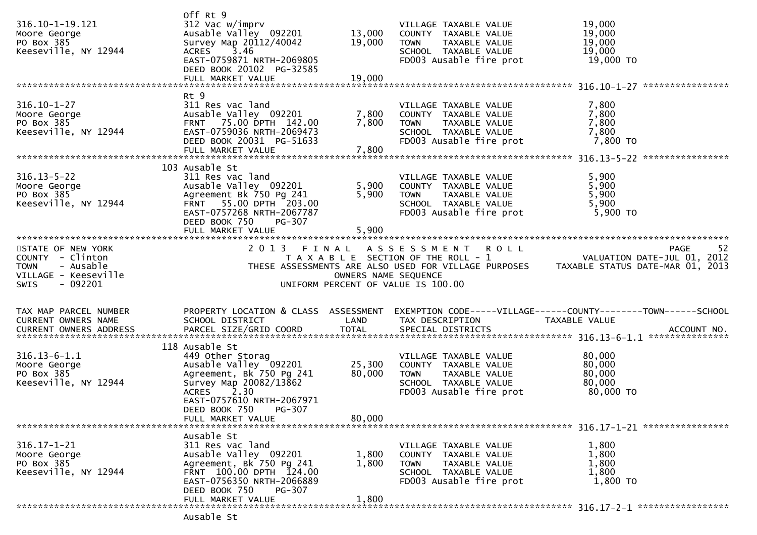| 316.10-1-19.121<br>Moore George<br>PO Box 385<br>Keeseville, NY 12944                                         | Off Rt 9<br>312 Vac w/imprv<br>Ausable Valley 092201<br>Survey Map 20112/40042<br>ACRES 3.46<br>EAST-0759871 NRTH-2069805                                                                                           | 13,000<br>19,000           | VILLAGE TAXABLE VALUE<br>COUNTY TAXABLE VALUE<br>TAXABLE VALUE<br><b>TOWN</b><br>SCHOOL TAXABLE VALUE<br>FD003 Ausable fire prot                                  | 19,000<br>19,000<br>19,000<br>19,000<br>19,000 TO                               |
|---------------------------------------------------------------------------------------------------------------|---------------------------------------------------------------------------------------------------------------------------------------------------------------------------------------------------------------------|----------------------------|-------------------------------------------------------------------------------------------------------------------------------------------------------------------|---------------------------------------------------------------------------------|
|                                                                                                               | DEED BOOK 20102 PG-32585<br>FULL MARKET VALUE                                                                                                                                                                       | 19,000                     |                                                                                                                                                                   |                                                                                 |
| $316.10 - 1 - 27$<br>Moore George<br>PO Box 385<br>Keeseville, NY 12944                                       | Rt 9<br>311 Res vac land<br>Ausable Valley 092201<br>FRNT 75.00 DPTH 142.00<br>EAST-0759036 NRTH-2069473<br>DEED BOOK 20031 PG-51633<br>FULL MARKET VALUE                                                           | 7,800<br>7,800<br>7,800    | VILLAGE TAXABLE VALUE<br>COUNTY TAXABLE VALUE<br><b>TOWN</b><br>TAXABLE VALUE<br>SCHOOL TAXABLE VALUE<br>FD003 Ausable fire prot                                  | 7,800<br>7,800<br>7,800<br>7,800<br>7,800 TO                                    |
| $316.13 - 5 - 22$<br>Moore George<br>PO Box 385<br>Keeseville, NY 12944                                       | 103 Ausable St<br>311 Res vac land<br>Ausable Valley 092201<br>Agreement Bk 750 Pg 241<br>FRNT 55.00 DPTH 203.00<br>EAST-0757268 NRTH-2067787<br>DEED BOOK 750<br>PG-307<br>FULL MARKET VALUE                       | 5,900<br>5,900<br>5,900    | VILLAGE TAXABLE VALUE<br>COUNTY TAXABLE VALUE<br>TAXABLE VALUE<br><b>TOWN</b><br>SCHOOL TAXABLE VALUE<br>FD003 Ausable fire prot                                  | 5,900<br>5,900<br>5,900<br>5,900<br>5,900 TO                                    |
| STATE OF NEW YORK<br>COUNTY - Clinton<br>- Ausable<br><b>TOWN</b><br>VILLAGE - Keeseville<br>SWIS<br>- 092201 |                                                                                                                                                                                                                     | OWNERS NAME SEQUENCE       | 2013 FINAL ASSESSMENT ROLL<br>T A X A B L E SECTION OF THE ROLL - 1<br>THESE ASSESSMENTS ARE ALSO USED FOR VILLAGE PURPOSES<br>UNIFORM PERCENT OF VALUE IS 100.00 | 52<br>PAGE<br>VALUATION DATE-JUL 01, 2012<br>TAXABLE STATUS DATE-MAR 01, 2013   |
| TAX MAP PARCEL NUMBER<br>CURRENT OWNERS NAME                                                                  | PROPERTY LOCATION & CLASS ASSESSMENT<br>SCHOOL DISTRICT                                                                                                                                                             | LAND                       | TAX DESCRIPTION                                                                                                                                                   | EXEMPTION CODE-----VILLAGE------COUNTY--------TOWN------SCHOOL<br>TAXABLE VALUE |
| $316.13 - 6 - 1.1$<br>Moore George<br>PO Box 385<br>Keeseville, NY 12944                                      | 118 Ausable St<br>449 Other Storag<br>Ausable Valley 092201<br>Agreement, Bk 750 Pg 241<br>Survey Map 20082/13862<br><b>ACRES</b><br>2.30<br>EAST-0757610 NRTH-2067971<br>DEED BOOK 750 PG-307<br>FULL MARKET VALUE | 25,300<br>80,000<br>80,000 | VILLAGE TAXABLE VALUE<br>COUNTY TAXABLE VALUE<br><b>TOWN</b><br>TAXABLE VALUE<br>SCHOOL TAXABLE VALUE<br>FD003 Ausable fire prot                                  | 80,000<br>80,000<br>80,000<br>80,000<br>80,000 TO                               |
|                                                                                                               |                                                                                                                                                                                                                     |                            |                                                                                                                                                                   |                                                                                 |
| $316.17 - 1 - 21$<br>Moore George<br>PO Box 385<br>Keeseville, NY 12944                                       | Ausable St<br>311 Res vac land<br>Ausable Valley 092201<br>Agreement, Bk 750 Pg 241<br>FRNT 100.00 DPTH 124.00<br>EAST-0756350 NRTH-2066889<br>DEED BOOK 750<br><b>PG-307</b>                                       | 1,800<br>1,800             | VILLAGE TAXABLE VALUE<br>COUNTY TAXABLE VALUE<br>TAXABLE VALUE<br><b>TOWN</b><br>SCHOOL TAXABLE VALUE<br>FD003 Ausable fire prot                                  | 1,800<br>1,800<br>1,800<br>1,800<br>1,800 TO                                    |
|                                                                                                               | FULL MARKET VALUE                                                                                                                                                                                                   | 1,800                      |                                                                                                                                                                   |                                                                                 |

Ausable St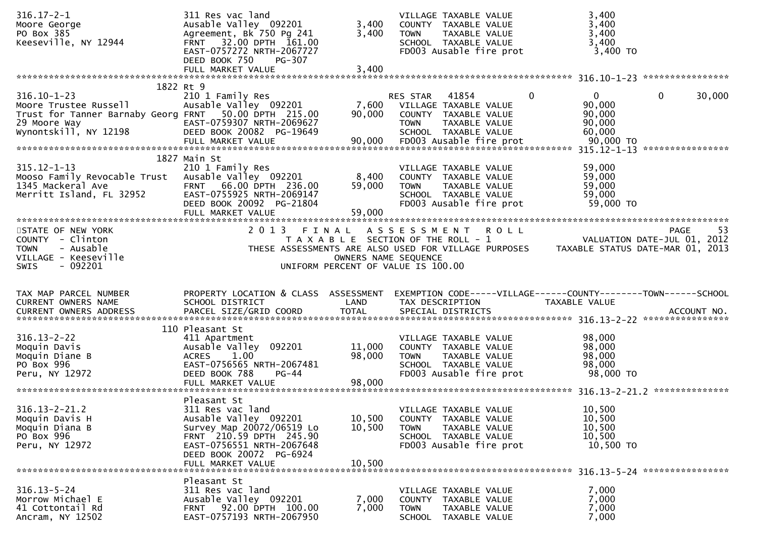| $316.17 - 2 - 1$<br>Moore George<br>PO Box 385<br>Keeseville, NY 12944                                                                       | 311 Res vac land<br>Ausable Valley 092201<br>Agreement, Bk 750 Pg 241<br>FRNT 32.00 DPTH 161.00<br>EAST-0757272 NRTH-2067727<br>DEED BOOK 750<br><b>PG-307</b>                                | 3,400<br>3,400                | VILLAGE TAXABLE VALUE<br>COUNTY TAXABLE VALUE<br>TAXABLE VALUE<br>TOWN<br>SCHOOL TAXABLE VALUE<br>FD003 Ausable fire prot                                                 | 3,400<br>3,400<br>3,400<br>3,400<br>3,400 TO                    |                   |
|----------------------------------------------------------------------------------------------------------------------------------------------|-----------------------------------------------------------------------------------------------------------------------------------------------------------------------------------------------|-------------------------------|---------------------------------------------------------------------------------------------------------------------------------------------------------------------------|-----------------------------------------------------------------|-------------------|
|                                                                                                                                              | FULL MARKET VALUE                                                                                                                                                                             | 3,400                         |                                                                                                                                                                           |                                                                 |                   |
| $316.10 - 1 - 23$<br>Moore Trustee Russell<br>Trust for Tanner Barnaby Georg FRNT 50.00 DPTH 215.00<br>29 Moore Way<br>Wynontskill, NY 12198 | 1822 Rt 9<br>210 1 Family Res<br>Ausable Valley 092201<br>EAST-0759307 NRTH-2069627<br>DEED BOOK 20082 PG-19649                                                                               | 7,600<br>90,000               | $\mathbf{0}$<br>41854<br><b>RES STAR</b><br>VILLAGE TAXABLE VALUE<br>COUNTY TAXABLE VALUE<br>TAXABLE VALUE<br><b>TOWN</b><br>SCHOOL TAXABLE VALUE                         | 0<br>90,000<br>90,000<br>90,000<br>60,000                       | 30,000<br>0       |
| $315.12 - 1 - 13$<br>Mooso Family Revocable Trust<br>1345 Mackeral Ave<br>1345 Mackeral Ave<br>Merritt Island, FL 32952                      | 1827 Main St<br>210 1 Family Res<br>Ausable Valley 092201<br>66.00 DPTH 236.00<br><b>FRNT</b><br>EAST-0755925 NRTH-2069147<br>DEED BOOK 20092 PG-21804                                        | 8,400<br>59,000               | VILLAGE TAXABLE VALUE<br>COUNTY TAXABLE VALUE<br>TAXABLE VALUE<br><b>TOWN</b><br>SCHOOL TAXABLE VALUE<br>FD003 Ausable fire prot                                          | 59,000<br>59,000<br>59,000<br>59,000<br>59,000 TO               |                   |
| STATE OF NEW YORK<br>COUNTY - Clinton<br><b>TOWN</b><br>- Ausable<br>VILLAGE - Keeseville<br><b>SWIS</b><br>- 092201                         | 2 0 1 3                                                                                                                                                                                       | FINAL<br>OWNERS NAME SEQUENCE | A S S E S S M E N T<br><b>ROLL</b><br>T A X A B L E SECTION OF THE ROLL - 1<br>THESE ASSESSMENTS ARE ALSO USED FOR VILLAGE PURPOSES<br>UNIFORM PERCENT OF VALUE IS 100.00 | VALUATION DATE-JUL 01, 2012<br>TAXABLE STATUS DATE-MAR 01, 2013 | 53<br><b>PAGE</b> |
| TAX MAP PARCEL NUMBER<br><b>CURRENT OWNERS NAME</b>                                                                                          | PROPERTY LOCATION & CLASS ASSESSMENT<br>SCHOOL DISTRICT                                                                                                                                       | LAND                          | EXEMPTION CODE-----VILLAGE------COUNTY--------TOWN------SCHOOL<br>TAX DESCRIPTION                                                                                         | TAXABLE VALUE                                                   |                   |
| $316.13 - 2 - 22$<br>Moquin Davis<br>Moquin Diane B<br>PO Box 996<br>Peru, NY 12972                                                          | 110 Pleasant St<br>411 Apartment<br>Ausable Valley 092201<br>1.00<br><b>ACRES</b><br>EAST-0756565 NRTH-2067481<br>DEED BOOK 788<br>$PG-44$                                                    | 11,000<br>98,000              | VILLAGE TAXABLE VALUE<br>COUNTY TAXABLE VALUE<br>TAXABLE VALUE<br><b>TOWN</b><br>SCHOOL TAXABLE VALUE<br>FD003 Ausable fire prot                                          | 98,000<br>98,000<br>98,000<br>98,000<br>98,000 TO               |                   |
| $316.13 - 2 - 21.2$<br>Moquin Davis H<br>Moquin Diana B<br>PO Box 996<br>Peru, NY 12972                                                      | Pleasant St<br>311 Res vac land<br>Ausable Valley 092201<br>Survey Map 20072/06519 Lo<br>FRNT 210.59 DPTH 245.90<br>EAST-0756551 NRTH-2067648<br>DEED BOOK 20072 PG-6924<br>FULL MARKET VALUE | 10,500<br>10,500<br>10.500    | VILLAGE TAXABLE VALUE<br>COUNTY TAXABLE VALUE<br><b>TOWN</b><br>TAXABLE VALUE<br>SCHOOL TAXABLE VALUE<br>FD003 Ausable fire prot                                          | 10,500<br>10,500<br>10,500<br>10,500<br>10,500 TO               |                   |
| $316.13 - 5 - 24$<br>Morrow Michael E<br>41 Cottontail Rd<br>Ancram, NY 12502                                                                | Pleasant St<br>311 Res vac land<br>Ausable Valley 092201<br>92.00 DPTH 100.00<br>FRNT<br>EAST-0757193 NRTH-2067950                                                                            | 7,000<br>7,000                | VILLAGE TAXABLE VALUE<br>COUNTY TAXABLE VALUE<br><b>TOWN</b><br>TAXABLE VALUE<br>SCHOOL TAXABLE VALUE                                                                     | 7,000<br>7,000<br>7,000<br>7,000                                |                   |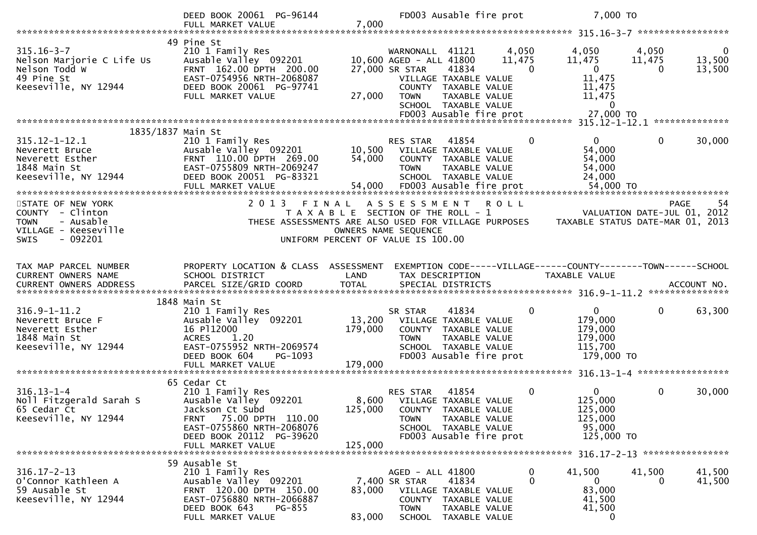|                                                                                                                       | DEED BOOK 20061 PG-96144<br>FULL MARKET VALUE                                                                                                                      | 7,000                                                                                |                                                              | FD003 Ausable fire prot                                                                                                    |                             | 7,000 TO                                                                        |                             |                                    |
|-----------------------------------------------------------------------------------------------------------------------|--------------------------------------------------------------------------------------------------------------------------------------------------------------------|--------------------------------------------------------------------------------------|--------------------------------------------------------------|----------------------------------------------------------------------------------------------------------------------------|-----------------------------|---------------------------------------------------------------------------------|-----------------------------|------------------------------------|
|                                                                                                                       |                                                                                                                                                                    |                                                                                      |                                                              |                                                                                                                            |                             |                                                                                 |                             |                                    |
| $315.16 - 3 - 7$<br>Nelson Marjorie C Life Us<br>Nelson Todd W<br>49 Pine St                                          | 49 Pine St<br>210 1 Family Res<br>Ausable Valley 092201<br>FRNT 162.00 DPTH 200.00<br>EAST-0754956 NRTH-2068087                                                    |                                                                                      | WARNONALL 41121<br>10,600 AGED - ALL 41800<br>27,000 SR STAR | 41834<br>VILLAGE TAXABLE VALUE                                                                                             | 4,050<br>11,475<br>$\Omega$ | 4,050<br>11,475<br>$\mathbf{0}$<br>11,475                                       | 4,050<br>11,475<br>$\Omega$ | $\overline{0}$<br>13,500<br>13,500 |
| Keeseville, NY 12944                                                                                                  | DEED BOOK 20061 PG-97741<br>FULL MARKET VALUE                                                                                                                      | 27,000                                                                               | <b>TOWN</b>                                                  | COUNTY TAXABLE VALUE<br>TAXABLE VALUE<br>SCHOOL TAXABLE VALUE                                                              |                             | 11,475<br>11,475<br>$\bf{0}$                                                    |                             |                                    |
|                                                                                                                       | 1835/1837 Main St                                                                                                                                                  |                                                                                      |                                                              |                                                                                                                            |                             |                                                                                 |                             |                                    |
| $315.12 - 1 - 12.1$<br>Neverett Bruce<br>Neverett Esther<br>1848 Main St<br>Keeseville, NY 12944                      | 210 1 Family Res<br>Ausable Valley 092201<br>FRNT 110.00 DPTH 269.00<br>EAST-0755809 NRTH-2069247<br>DEED BOOK 20051 PG-83321                                      | 10,500<br>54,000                                                                     | RES STAR<br><b>TOWN</b>                                      | 41854<br>VILLAGE TAXABLE VALUE<br>COUNTY TAXABLE VALUE<br>TAXABLE VALUE<br>SCHOOL TAXABLE VALUE                            | 0                           | 0<br>54,000<br>54,000<br>54,000<br>24,000                                       | $\mathbf{0}$                | 30,000                             |
| STATE OF NEW YORK<br>COUNTY - Clinton<br>- Ausable<br><b>TOWN</b><br>VILLAGE - Keeseville<br>$-092201$<br><b>SWIS</b> | 2 0 1 3<br>THESE ASSESSMENTS ARE ALSO USED FOR VILLAGE PURPOSES                                                                                                    | FINAL<br>T A X A B L E SECTION OF THE ROLL - 1<br>UNIFORM PERCENT OF VALUE IS 100.00 | A S S E S S M E N T<br>OWNERS NAME SEQUENCE                  |                                                                                                                            | R O L L                     | TAXABLE STATUS DATE-MAR 01, 2013                                                | VALUATION DATE-JUL 01, 2012 | <b>PAGE</b><br>54                  |
| TAX MAP PARCEL NUMBER<br>CURRENT OWNERS NAME                                                                          | PROPERTY LOCATION & CLASS ASSESSMENT<br>SCHOOL DISTRICT                                                                                                            | LAND                                                                                 | TAX DESCRIPTION                                              |                                                                                                                            |                             | EXEMPTION CODE-----VILLAGE------COUNTY--------TOWN------SCHOOL<br>TAXABLE VALUE |                             |                                    |
| $316.9 - 1 - 11.2$<br>Neverett Bruce F<br>Neverett Esther<br>1848 Main St<br>Keeseville, NY 12944                     | 1848 Main St<br>210 1 Family Res<br>Ausable Valley 092201<br>16 P112000<br><b>ACRES</b><br>1.20<br>EAST-0755952 NRTH-2069574<br>DEED BOOK 604<br>PG-1093           | 13,200<br>179,000<br>179,000                                                         | SR STAR<br><b>TOWN</b>                                       | 41834<br>VILLAGE TAXABLE VALUE<br>COUNTY TAXABLE VALUE<br>TAXABLE VALUE<br>SCHOOL TAXABLE VALUE<br>FD003 Ausable fire prot | 0                           | $\mathbf{0}$<br>179,000<br>179,000<br>179,000<br>115,700<br>179,000 TO          | $\mathbf 0$                 | 63,300                             |
|                                                                                                                       | FULL MARKET VALUE                                                                                                                                                  |                                                                                      |                                                              |                                                                                                                            |                             |                                                                                 |                             |                                    |
| $316.13 - 1 - 4$<br>Noll Fitzgerald Sarah S<br>65 Cedar Ct<br>Keeseville, NY 12944                                    | 65 Cedar Ct<br>210 1 Family Res<br>Ausable Valley 092201<br>Jackson Ct Subd<br>FRNT 75.00 DPTH 110.00<br>EAST-0755860 NRTH-2068076<br>DEED BOOK 20112 PG-39620     | 125,000                                                                              | RES STAR<br>8,600 VILLAGE TAXABLE VALUE<br><b>TOWN</b>       | 41854<br>COUNTY TAXABLE VALUE<br>TAXABLE VALUE<br>SCHOOL TAXABLE VALUE<br>FD003 Ausable fire prot                          | $\mathbf{0}$                | $\mathbf{0}$<br>125,000<br>125,000<br>125,000<br>95,000<br>125,000 TO           | $\mathbf 0$                 | 30,000                             |
|                                                                                                                       | FULL MARKET VALUE                                                                                                                                                  | 125,000                                                                              |                                                              |                                                                                                                            |                             |                                                                                 |                             |                                    |
| $316.17 - 2 - 13$<br>O'Connor Kathleen A<br>59 Ausable St<br>Keeseville, NY 12944                                     | 59 Ausable St<br>210 1 Family Res<br>Ausable Valley 092201<br>FRNT 120.00 DPTH 150.00<br>EAST-0756880 NRTH-2066887<br>DEED BOOK 643<br>PG-855<br>FULL MARKET VALUE | 83,000<br>83,000                                                                     | AGED - ALL 41800<br>7,400 SR STAR<br><b>TOWN</b>             | 41834<br>VILLAGE TAXABLE VALUE<br>COUNTY TAXABLE VALUE<br>TAXABLE VALUE<br>SCHOOL TAXABLE VALUE                            | $\mathbf 0$<br>0            | 41,500<br>$\mathbf{0}$<br>83,000<br>41,500<br>41,500<br>$\mathbf{0}$            | 41,500<br>$\Omega$          | 41,500<br>41,500                   |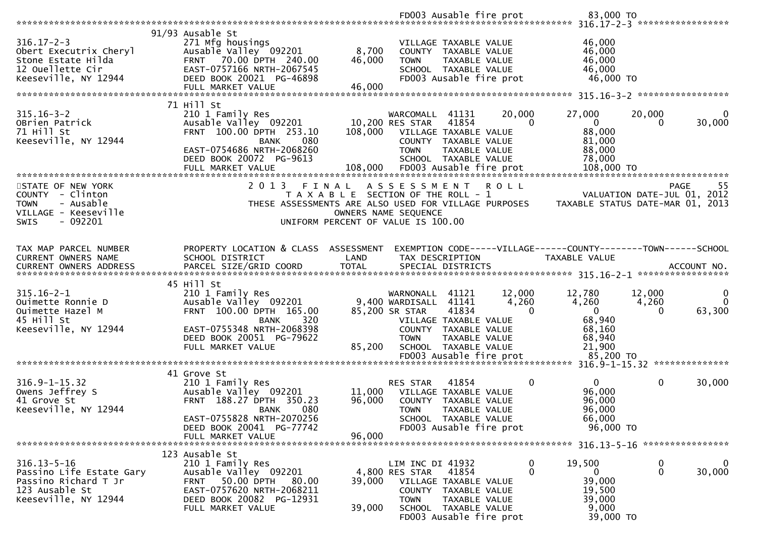| 91/93 Ausable St<br>$316.17 - 2 - 3$<br>271 Mfg housings<br>46,000<br>VILLAGE TAXABLE VALUE<br>8,700<br>46,000<br>Obert Executrix Cheryl<br>Ausable Valley 092201<br>COUNTY TAXABLE VALUE<br>46,000<br>FRNT 70.00 DPTH 240.00<br>46,000<br>Stone Estate Hilda<br><b>TOWN</b><br>TAXABLE VALUE<br>12 Ouellette Cir<br>EAST-0757166 NRTH-2067545<br>46,000<br>SCHOOL TAXABLE VALUE<br>Keeseville, NY 12944<br>FD003 Ausable fire prot<br>46,000 TO<br>DEED BOOK 20021 PG-46898<br>46,000<br>FULL MARKET VALUE<br>*****************<br>71 Hill St<br>$315.16 - 3 - 2$<br>20,000<br>27,000<br>210 1 Family Res<br>20,000<br>WARCOMALL<br>41131<br>10,200 RES STAR<br>41854<br>$\mathbf{0}$<br>OBrien Patrick<br>Ausable Valley 092201<br>$\Omega$<br>0<br>88,000<br>71 Hill St<br>FRNT 100.00 DPTH 253.10<br>108,000<br>VILLAGE TAXABLE VALUE<br>Keeseville, NY 12944<br><b>BANK</b><br>080<br>COUNTY TAXABLE VALUE<br>81,000<br>EAST-0754686 NRTH-2068260<br>88,000<br><b>TOWN</b><br>TAXABLE VALUE<br>SCHOOL TAXABLE VALUE<br>78,000<br>DEED BOOK 20072 PG-9613<br>STATE OF NEW YORK<br>2 0 1 3<br>FINAL<br>A S S E S S M E N T<br><b>ROLL</b><br><b>PAGE</b><br>COUNTY - Clinton<br>T A X A B L E SECTION OF THE ROLL - 1<br>VALUATION DATE-JUL 01, 2012<br><b>TOWN</b><br>- Ausable<br>THESE ASSESSMENTS ARE ALSO USED FOR VILLAGE PURPOSES<br>TAXABLE STATUS DATE-MAR 01, 2013<br>VILLAGE - Keeseville<br>OWNERS NAME SEQUENCE<br>$-092201$<br><b>SWIS</b><br>UNIFORM PERCENT OF VALUE IS 100.00<br>PROPERTY LOCATION & CLASS ASSESSMENT<br>EXEMPTION CODE-----VILLAGE------COUNTY--------TOWN------SCHOOL<br>TAX MAP PARCEL NUMBER<br>CURRENT OWNERS NAME<br>SCHOOL DISTRICT<br>LAND<br>TAXABLE VALUE<br>TAX DESCRIPTION<br>45 Hill St<br>$315.16 - 2 - 1$<br>210 1 Family Res<br>12,780<br>12,000<br>12,000<br>WARNONALL<br>41121<br>4,260<br>4,260<br>Ouimette Ronnie D<br>Ausable Valley 092201<br>9,400 WARDISALL 41141<br>4,260<br>FRNT 100.00 DPTH 165.00<br>85,200 SR STAR<br>41834<br>Ouimette Hazel M<br>$\Omega$<br>$\overline{0}$<br>0<br>45 Hill St<br>68,940<br>320<br><b>BANK</b><br>VILLAGE TAXABLE VALUE<br>Keeseville, NY 12944<br>EAST-0755348 NRTH-2068398<br>68,160<br>COUNTY TAXABLE VALUE<br>68,940<br>DEED BOOK 20051 PG-79622<br><b>TOWN</b><br>TAXABLE VALUE<br>21,900<br>FULL MARKET VALUE<br>85,200<br>SCHOOL TAXABLE VALUE<br>85,200 TO<br>FD003 Ausable fire prot<br>41 Grove St<br>$316.9 - 1 - 15.32$<br>$\overline{0}$<br>$\mathbf 0$<br>30,000<br>210 1 Family Res<br>RES STAR<br>41854<br>0<br>96,000<br>11,000<br>Owens Jeffrey S<br>Ausable Valley 092201<br>VILLAGE TAXABLE VALUE<br>41 Grove St<br>FRNT 188.27 DPTH 350.23<br>96,000<br>96,000<br>COUNTY<br>TAXABLE VALUE<br>Keeseville, NY 12944<br>080<br>96,000<br><b>TOWN</b><br>TAXABLE VALUE<br><b>BANK</b><br>EAST-0755828 NRTH-2070256<br>SCHOOL TAXABLE VALUE<br>66,000<br>96,000 TO<br>DEED BOOK 20041 PG-77742<br>FD003 Ausable fire prot<br>96,000<br>FULL MARKET VALUE<br>123 Ausable St<br>$316.13 - 5 - 16$<br>19,500<br>0<br>210 1 Family Res<br>LIM INC DI 41932<br>$\bf{0}$<br>$\mathbf{0}$<br>$\mathbf{0}$<br>Ausable Valley 092201<br>4,800 RES STAR<br>41854<br>0<br>Passino Life Estate Gary<br>39,000<br>Passino Richard T Jr<br>50.00 DPTH<br>39,000<br><b>FRNT</b><br>80.00<br>VILLAGE TAXABLE VALUE<br>123 Ausable St<br>EAST-0757620 NRTH-2068211<br>19,500<br>COUNTY TAXABLE VALUE<br>Keeseville, NY 12944<br>DEED BOOK 20082 PG-12931<br>39,000<br><b>TOWN</b><br>TAXABLE VALUE<br>9,000<br>39,000<br>SCHOOL TAXABLE VALUE<br>FULL MARKET VALUE<br>FD003 Ausable fire prot<br>39,000 TO |  |  | FD003 Ausable fire prot | 83,000 TO |                         |
|--------------------------------------------------------------------------------------------------------------------------------------------------------------------------------------------------------------------------------------------------------------------------------------------------------------------------------------------------------------------------------------------------------------------------------------------------------------------------------------------------------------------------------------------------------------------------------------------------------------------------------------------------------------------------------------------------------------------------------------------------------------------------------------------------------------------------------------------------------------------------------------------------------------------------------------------------------------------------------------------------------------------------------------------------------------------------------------------------------------------------------------------------------------------------------------------------------------------------------------------------------------------------------------------------------------------------------------------------------------------------------------------------------------------------------------------------------------------------------------------------------------------------------------------------------------------------------------------------------------------------------------------------------------------------------------------------------------------------------------------------------------------------------------------------------------------------------------------------------------------------------------------------------------------------------------------------------------------------------------------------------------------------------------------------------------------------------------------------------------------------------------------------------------------------------------------------------------------------------------------------------------------------------------------------------------------------------------------------------------------------------------------------------------------------------------------------------------------------------------------------------------------------------------------------------------------------------------------------------------------------------------------------------------------------------------------------------------------------------------------------------------------------------------------------------------------------------------------------------------------------------------------------------------------------------------------------------------------------------------------------------------------------------------------------------------------------------------------------------------------------------------------------------------------------------------------------------------------------------------------------------------------------------------------------------------------------------------------------------------------------------------------------------------------------------------------------------------------------------------------------------------------------------------------------------------------------------------------------------------|--|--|-------------------------|-----------|-------------------------|
|                                                                                                                                                                                                                                                                                                                                                                                                                                                                                                                                                                                                                                                                                                                                                                                                                                                                                                                                                                                                                                                                                                                                                                                                                                                                                                                                                                                                                                                                                                                                                                                                                                                                                                                                                                                                                                                                                                                                                                                                                                                                                                                                                                                                                                                                                                                                                                                                                                                                                                                                                                                                                                                                                                                                                                                                                                                                                                                                                                                                                                                                                                                                                                                                                                                                                                                                                                                                                                                                                                                                                                                                              |  |  |                         |           |                         |
|                                                                                                                                                                                                                                                                                                                                                                                                                                                                                                                                                                                                                                                                                                                                                                                                                                                                                                                                                                                                                                                                                                                                                                                                                                                                                                                                                                                                                                                                                                                                                                                                                                                                                                                                                                                                                                                                                                                                                                                                                                                                                                                                                                                                                                                                                                                                                                                                                                                                                                                                                                                                                                                                                                                                                                                                                                                                                                                                                                                                                                                                                                                                                                                                                                                                                                                                                                                                                                                                                                                                                                                                              |  |  |                         |           |                         |
|                                                                                                                                                                                                                                                                                                                                                                                                                                                                                                                                                                                                                                                                                                                                                                                                                                                                                                                                                                                                                                                                                                                                                                                                                                                                                                                                                                                                                                                                                                                                                                                                                                                                                                                                                                                                                                                                                                                                                                                                                                                                                                                                                                                                                                                                                                                                                                                                                                                                                                                                                                                                                                                                                                                                                                                                                                                                                                                                                                                                                                                                                                                                                                                                                                                                                                                                                                                                                                                                                                                                                                                                              |  |  |                         |           |                         |
|                                                                                                                                                                                                                                                                                                                                                                                                                                                                                                                                                                                                                                                                                                                                                                                                                                                                                                                                                                                                                                                                                                                                                                                                                                                                                                                                                                                                                                                                                                                                                                                                                                                                                                                                                                                                                                                                                                                                                                                                                                                                                                                                                                                                                                                                                                                                                                                                                                                                                                                                                                                                                                                                                                                                                                                                                                                                                                                                                                                                                                                                                                                                                                                                                                                                                                                                                                                                                                                                                                                                                                                                              |  |  |                         |           | 0<br>30,000             |
|                                                                                                                                                                                                                                                                                                                                                                                                                                                                                                                                                                                                                                                                                                                                                                                                                                                                                                                                                                                                                                                                                                                                                                                                                                                                                                                                                                                                                                                                                                                                                                                                                                                                                                                                                                                                                                                                                                                                                                                                                                                                                                                                                                                                                                                                                                                                                                                                                                                                                                                                                                                                                                                                                                                                                                                                                                                                                                                                                                                                                                                                                                                                                                                                                                                                                                                                                                                                                                                                                                                                                                                                              |  |  |                         |           | 55                      |
|                                                                                                                                                                                                                                                                                                                                                                                                                                                                                                                                                                                                                                                                                                                                                                                                                                                                                                                                                                                                                                                                                                                                                                                                                                                                                                                                                                                                                                                                                                                                                                                                                                                                                                                                                                                                                                                                                                                                                                                                                                                                                                                                                                                                                                                                                                                                                                                                                                                                                                                                                                                                                                                                                                                                                                                                                                                                                                                                                                                                                                                                                                                                                                                                                                                                                                                                                                                                                                                                                                                                                                                                              |  |  |                         |           |                         |
|                                                                                                                                                                                                                                                                                                                                                                                                                                                                                                                                                                                                                                                                                                                                                                                                                                                                                                                                                                                                                                                                                                                                                                                                                                                                                                                                                                                                                                                                                                                                                                                                                                                                                                                                                                                                                                                                                                                                                                                                                                                                                                                                                                                                                                                                                                                                                                                                                                                                                                                                                                                                                                                                                                                                                                                                                                                                                                                                                                                                                                                                                                                                                                                                                                                                                                                                                                                                                                                                                                                                                                                                              |  |  |                         |           |                         |
|                                                                                                                                                                                                                                                                                                                                                                                                                                                                                                                                                                                                                                                                                                                                                                                                                                                                                                                                                                                                                                                                                                                                                                                                                                                                                                                                                                                                                                                                                                                                                                                                                                                                                                                                                                                                                                                                                                                                                                                                                                                                                                                                                                                                                                                                                                                                                                                                                                                                                                                                                                                                                                                                                                                                                                                                                                                                                                                                                                                                                                                                                                                                                                                                                                                                                                                                                                                                                                                                                                                                                                                                              |  |  |                         |           |                         |
|                                                                                                                                                                                                                                                                                                                                                                                                                                                                                                                                                                                                                                                                                                                                                                                                                                                                                                                                                                                                                                                                                                                                                                                                                                                                                                                                                                                                                                                                                                                                                                                                                                                                                                                                                                                                                                                                                                                                                                                                                                                                                                                                                                                                                                                                                                                                                                                                                                                                                                                                                                                                                                                                                                                                                                                                                                                                                                                                                                                                                                                                                                                                                                                                                                                                                                                                                                                                                                                                                                                                                                                                              |  |  |                         |           |                         |
|                                                                                                                                                                                                                                                                                                                                                                                                                                                                                                                                                                                                                                                                                                                                                                                                                                                                                                                                                                                                                                                                                                                                                                                                                                                                                                                                                                                                                                                                                                                                                                                                                                                                                                                                                                                                                                                                                                                                                                                                                                                                                                                                                                                                                                                                                                                                                                                                                                                                                                                                                                                                                                                                                                                                                                                                                                                                                                                                                                                                                                                                                                                                                                                                                                                                                                                                                                                                                                                                                                                                                                                                              |  |  |                         |           | 0<br>$\Omega$<br>63,300 |
|                                                                                                                                                                                                                                                                                                                                                                                                                                                                                                                                                                                                                                                                                                                                                                                                                                                                                                                                                                                                                                                                                                                                                                                                                                                                                                                                                                                                                                                                                                                                                                                                                                                                                                                                                                                                                                                                                                                                                                                                                                                                                                                                                                                                                                                                                                                                                                                                                                                                                                                                                                                                                                                                                                                                                                                                                                                                                                                                                                                                                                                                                                                                                                                                                                                                                                                                                                                                                                                                                                                                                                                                              |  |  |                         |           |                         |
|                                                                                                                                                                                                                                                                                                                                                                                                                                                                                                                                                                                                                                                                                                                                                                                                                                                                                                                                                                                                                                                                                                                                                                                                                                                                                                                                                                                                                                                                                                                                                                                                                                                                                                                                                                                                                                                                                                                                                                                                                                                                                                                                                                                                                                                                                                                                                                                                                                                                                                                                                                                                                                                                                                                                                                                                                                                                                                                                                                                                                                                                                                                                                                                                                                                                                                                                                                                                                                                                                                                                                                                                              |  |  |                         |           |                         |
|                                                                                                                                                                                                                                                                                                                                                                                                                                                                                                                                                                                                                                                                                                                                                                                                                                                                                                                                                                                                                                                                                                                                                                                                                                                                                                                                                                                                                                                                                                                                                                                                                                                                                                                                                                                                                                                                                                                                                                                                                                                                                                                                                                                                                                                                                                                                                                                                                                                                                                                                                                                                                                                                                                                                                                                                                                                                                                                                                                                                                                                                                                                                                                                                                                                                                                                                                                                                                                                                                                                                                                                                              |  |  |                         |           |                         |
|                                                                                                                                                                                                                                                                                                                                                                                                                                                                                                                                                                                                                                                                                                                                                                                                                                                                                                                                                                                                                                                                                                                                                                                                                                                                                                                                                                                                                                                                                                                                                                                                                                                                                                                                                                                                                                                                                                                                                                                                                                                                                                                                                                                                                                                                                                                                                                                                                                                                                                                                                                                                                                                                                                                                                                                                                                                                                                                                                                                                                                                                                                                                                                                                                                                                                                                                                                                                                                                                                                                                                                                                              |  |  |                         |           |                         |
|                                                                                                                                                                                                                                                                                                                                                                                                                                                                                                                                                                                                                                                                                                                                                                                                                                                                                                                                                                                                                                                                                                                                                                                                                                                                                                                                                                                                                                                                                                                                                                                                                                                                                                                                                                                                                                                                                                                                                                                                                                                                                                                                                                                                                                                                                                                                                                                                                                                                                                                                                                                                                                                                                                                                                                                                                                                                                                                                                                                                                                                                                                                                                                                                                                                                                                                                                                                                                                                                                                                                                                                                              |  |  |                         |           |                         |
|                                                                                                                                                                                                                                                                                                                                                                                                                                                                                                                                                                                                                                                                                                                                                                                                                                                                                                                                                                                                                                                                                                                                                                                                                                                                                                                                                                                                                                                                                                                                                                                                                                                                                                                                                                                                                                                                                                                                                                                                                                                                                                                                                                                                                                                                                                                                                                                                                                                                                                                                                                                                                                                                                                                                                                                                                                                                                                                                                                                                                                                                                                                                                                                                                                                                                                                                                                                                                                                                                                                                                                                                              |  |  |                         |           |                         |
|                                                                                                                                                                                                                                                                                                                                                                                                                                                                                                                                                                                                                                                                                                                                                                                                                                                                                                                                                                                                                                                                                                                                                                                                                                                                                                                                                                                                                                                                                                                                                                                                                                                                                                                                                                                                                                                                                                                                                                                                                                                                                                                                                                                                                                                                                                                                                                                                                                                                                                                                                                                                                                                                                                                                                                                                                                                                                                                                                                                                                                                                                                                                                                                                                                                                                                                                                                                                                                                                                                                                                                                                              |  |  |                         |           | $\mathbf 0$<br>30,000   |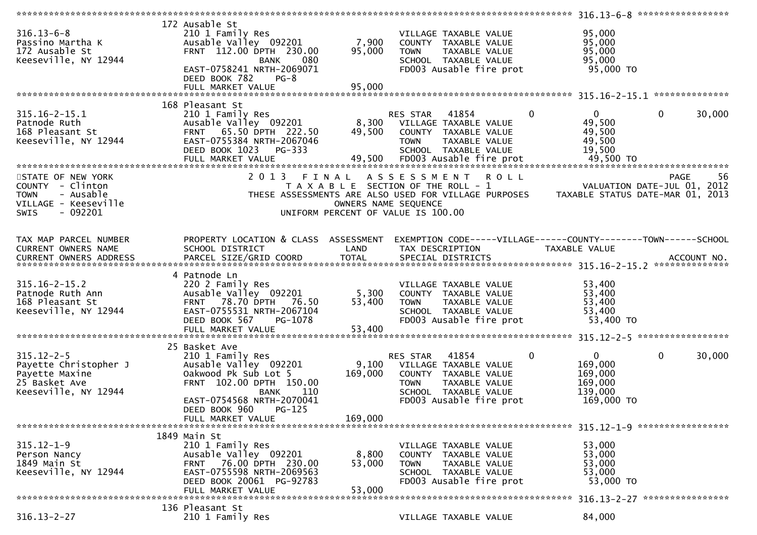|                                                                                                                       |                                                                                                                                                                                        |                           | *******************                                                                                                                                                  | 316.13-6-8 ******************                                                        |
|-----------------------------------------------------------------------------------------------------------------------|----------------------------------------------------------------------------------------------------------------------------------------------------------------------------------------|---------------------------|----------------------------------------------------------------------------------------------------------------------------------------------------------------------|--------------------------------------------------------------------------------------|
| $316.13 - 6 - 8$<br>Passino Martha K<br>172 Ausable St<br>Keeseville, NY 12944                                        | 172 Ausable St<br>210 1 Family Res<br>Ausable Valley 092201<br>FRNT 112.00 DPTH 230.00<br><b>BANK</b><br>080<br>EAST-0758241 NRTH-2069071<br>DEED BOOK 782<br>$PG-8$                   | 7,900<br>95,000           | VILLAGE TAXABLE VALUE<br>COUNTY TAXABLE VALUE<br><b>TOWN</b><br><b>TAXABLE VALUE</b><br>SCHOOL TAXABLE VALUE<br>FD003 Ausable fire prot                              | 95,000<br>95,000<br>95,000<br>95,000<br>95,000 TO                                    |
|                                                                                                                       | FULL MARKET VALUE                                                                                                                                                                      | 95,000                    |                                                                                                                                                                      | **************                                                                       |
| $315.16 - 2 - 15.1$<br>Patnode Ruth<br>168 Pleasant St<br>Keeseville, NY 12944                                        | 168 Pleasant St<br>210 1 Family Res<br>Ausable Valley 092201<br>FRNT 65.50 DPTH 222.50<br>EAST-0755384 NRTH-2067046<br>DEED BOOK 1023<br>PG-333                                        | 49,500                    | $\mathbf 0$<br>RES STAR<br>41854<br>8,300 VILLAGE TAXABLE VALUE<br>COUNTY TAXABLE VALUE<br><b>TOWN</b><br>TAXABLE VALUE<br>SCHOOL TAXABLE VALUE                      | $\overline{0}$<br>$\mathbf 0$<br>30,000<br>49,500<br>49,500<br>49,500<br>19,500      |
| STATE OF NEW YORK<br>COUNTY - Clinton<br>- Ausable<br><b>TOWN</b><br>VILLAGE - Keeseville<br><b>SWIS</b><br>$-092201$ |                                                                                                                                                                                        | OWNERS NAME SEQUENCE      | 2013 FINAL ASSESSMENT ROLL<br>T A X A B L E SECTION OF THE ROLL - 1<br>THESE ASSESSMENTS ARE ALSO USED FOR VILLAGE PURPOSES<br>UNIFORM PERCENT OF VALUE IS 100.00    | -56<br>PAGE<br>VALUATION DATE-JUL 01, 2012<br>TAXABLE STATUS DATE-MAR 01, 2013       |
| TAX MAP PARCEL NUMBER<br><b>CURRENT OWNERS NAME</b>                                                                   | PROPERTY LOCATION & CLASS ASSESSMENT<br>SCHOOL DISTRICT                                                                                                                                | LAND                      | TAX DESCRIPTION                                                                                                                                                      | EXEMPTION CODE-----VILLAGE------COUNTY--------TOWN------SCHOOL<br>TAXABLE VALUE      |
| $315.16 - 2 - 15.2$<br>Patnode Ruth Ann<br>168 Pleasant St<br>Keeseville, NY 12944                                    | 4 Patnode Ln<br>220 2 Family Res<br>Ausable Valley 092201<br>FRNT 78.70 DPTH 76.50<br>EAST-0755531 NRTH-2067104<br>DEED BOOK 567<br>PG-1078                                            | 5,300<br>53,400           | VILLAGE TAXABLE VALUE<br>COUNTY TAXABLE VALUE<br><b>TOWN</b><br>TAXABLE VALUE<br>SCHOOL TAXABLE VALUE<br>FD003 Ausable fire prot                                     | 53,400<br>53,400<br>53,400<br>53,400<br>53,400 TO                                    |
|                                                                                                                       |                                                                                                                                                                                        |                           |                                                                                                                                                                      |                                                                                      |
| $315.12 - 2 - 5$<br>Payette Christopher J<br>Payette Maxine<br>25 Basket Ave<br>Keeseville, NY 12944                  | 25 Basket Ave<br>210 1 Family Res<br>Ausable Valley 092201<br>Oakwood Pk Sub Lot 5<br>FRNT 102.00 DPTH 150.00<br>110<br>BANK<br>EAST-0754568 NRTH-2070041<br>DEED BOOK 960<br>$PG-125$ | 9,100<br>169,000          | $\mathbf 0$<br>RES STAR<br>41854<br>VILLAGE TAXABLE VALUE<br>COUNTY TAXABLE VALUE<br>TAXABLE VALUE<br><b>TOWN</b><br>SCHOOL TAXABLE VALUE<br>FD003 Ausable fire prot | $\mathbf 0$<br>0<br>30,000<br>169,000<br>169,000<br>169,000<br>139,000<br>169,000 TO |
|                                                                                                                       | FULL MARKET VALUE                                                                                                                                                                      | 169,000                   |                                                                                                                                                                      |                                                                                      |
| $315.12 - 1 - 9$<br>Person Nancy<br>1849 Main St<br>Keeseville, NY 12944                                              | 1849 Main St<br>210 1 Family Res<br>Ausable Valley 092201<br>76.00 DPTH 230.00<br><b>FRNT</b><br>EAST-0755598 NRTH-2069563<br>DEED BOOK 20061 PG-92783<br>FULL MARKET VALUE            | 8,800<br>53,000<br>53,000 | VILLAGE TAXABLE VALUE<br>COUNTY TAXABLE VALUE<br><b>TOWN</b><br><b>TAXABLE VALUE</b><br>SCHOOL TAXABLE VALUE<br>FD003 Ausable fire prot                              | 53,000<br>53,000<br>53,000<br>53,000<br>53,000 TO                                    |
|                                                                                                                       |                                                                                                                                                                                        |                           |                                                                                                                                                                      | 316.13-2-27 *****************                                                        |
| $316.13 - 2 - 27$                                                                                                     | 136 Pleasant St<br>210 1 Family Res                                                                                                                                                    |                           | VILLAGE TAXABLE VALUE                                                                                                                                                | 84,000                                                                               |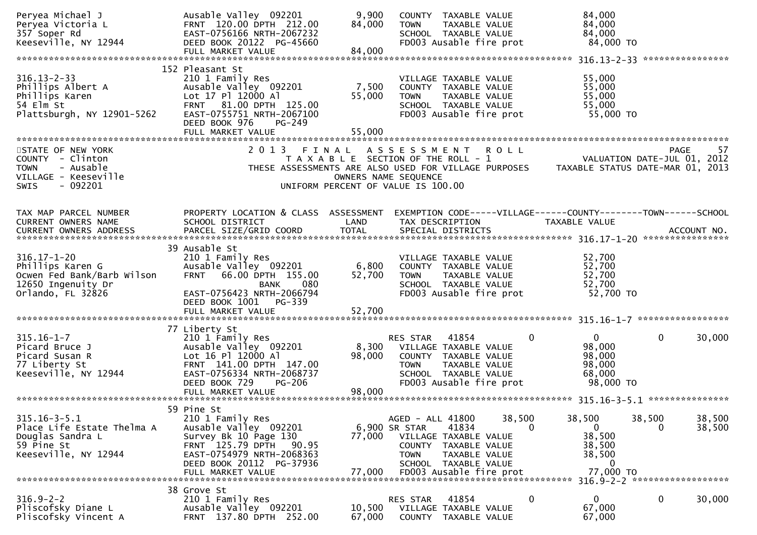| Peryea Michael J<br>Peryea Victoria L<br>357 Soper Rd<br>Keeseville, NY 12944                                        | Ausable Valley 092201<br>FRNT 120.00 DPTH 212.00<br>EAST-0756166 NRTH-2067232<br>DEED BOOK 20122 PG-45660<br>FULL MARKET VALUE                                                              | 9,900<br>84,000<br>84,000 | COUNTY TAXABLE VALUE<br>TAXABLE VALUE<br><b>TOWN</b><br>SCHOOL TAXABLE VALUE<br>FD003 Ausable fire prot                                                                        |             | 84,000<br>84,000<br>84,000<br>84,000 TO                                                                                             |                                        |    |
|----------------------------------------------------------------------------------------------------------------------|---------------------------------------------------------------------------------------------------------------------------------------------------------------------------------------------|---------------------------|--------------------------------------------------------------------------------------------------------------------------------------------------------------------------------|-------------|-------------------------------------------------------------------------------------------------------------------------------------|----------------------------------------|----|
|                                                                                                                      |                                                                                                                                                                                             |                           |                                                                                                                                                                                |             |                                                                                                                                     |                                        |    |
| $316.13 - 2 - 33$<br>Phillips Albert A<br>Phillips Karen<br>54 Elm St<br>Plattsburgh, NY 12901-5262                  | 152 Pleasant St<br>210 1 Family Res<br>Ausable Valley 092201<br>Lot 17 Pl 12000 Al<br>FRNT 81.00 DPTH 125.00<br>EAST-0755751 NRTH-2067100<br>DEED BOOK 976<br>PG-249<br>FULL MARKET VALUE   | 7,500<br>55,000<br>55,000 | VILLAGE TAXABLE VALUE<br>COUNTY TAXABLE VALUE<br>TAXABLE VALUE<br><b>TOWN</b><br>SCHOOL TAXABLE VALUE<br>FD003 Ausable fire prot                                               |             | 55,000<br>55,000<br>55,000<br>55,000<br>55,000 TO                                                                                   |                                        |    |
|                                                                                                                      |                                                                                                                                                                                             |                           |                                                                                                                                                                                |             |                                                                                                                                     |                                        |    |
| STATE OF NEW YORK<br>COUNTY - Clinton<br>- Ausable<br><b>TOWN</b><br>VILLAGE - Keeseville<br><b>SWIS</b><br>- 092201 | 2013 FINAL                                                                                                                                                                                  |                           | A S S E S S M E N T<br>T A X A B L E SECTION OF THE ROLL - 1<br>OWNERS NAME SEQUENCE<br>UNIFORM PERCENT OF VALUE IS 100.00                                                     | <b>ROLL</b> | $\overline{C}$ VALUATION DATE-JUL 01, 2012<br>THESE ASSESSMENTS ARE ALSO USED FOR VILLAGE PURPOSES TAXABLE STATUS DATE-MAR 01, 2013 | <b>PAGE</b>                            | 57 |
| TAX MAP PARCEL NUMBER<br>CURRENT OWNERS NAME                                                                         | PROPERTY LOCATION & CLASS ASSESSMENT<br>SCHOOL DISTRICT                                                                                                                                     | LAND                      | TAX DESCRIPTION                                                                                                                                                                |             | EXEMPTION CODE-----VILLAGE------COUNTY-------TOWN------SCHOOL<br>TAXABLE VALUE                                                      |                                        |    |
|                                                                                                                      | 39 Ausable St                                                                                                                                                                               |                           |                                                                                                                                                                                |             |                                                                                                                                     |                                        |    |
| $316.17 - 1 - 20$<br>Phillips Karen G<br>Ocwen Fed Bank/Barb Wilson<br>12650 Ingenuity Dr<br>Orlando, FL 32826       | 210 1 Family Res<br>Ausable Valley 092201<br>FRNT 66.00 DPTH 155.00<br>BANK<br>080<br>EAST-0756423 NRTH-2066794<br>DEED BOOK 1001<br>PG-339                                                 | 6,800<br>52,700           | VILLAGE TAXABLE VALUE<br>COUNTY TAXABLE VALUE<br>TAXABLE VALUE<br><b>TOWN</b><br>SCHOOL TAXABLE VALUE<br>FD003 Ausable fire prot                                               |             | 52,700<br>52,700<br>52,700<br>52,700<br>52,700 TO                                                                                   |                                        |    |
|                                                                                                                      | FULL MARKET VALUE                                                                                                                                                                           | 52,700                    |                                                                                                                                                                                |             |                                                                                                                                     |                                        |    |
|                                                                                                                      | 77 Liberty St                                                                                                                                                                               |                           |                                                                                                                                                                                |             |                                                                                                                                     |                                        |    |
| $315.16 - 1 - 7$<br>Picard Bruce J<br>Picard Susan R<br>77 Liberty St<br>Keeseville, NY 12944                        | 210 1 Family Res<br>Ausable Valley 092201<br>Lot 16 Pl 12000 Al<br>FRNT 141.00 DPTH 147.00<br>EAST-0756334 NRTH-2068737<br>DEED BOOK 729<br>PG-206                                          | 98,000                    | RES STAR 41854<br>8,300 VILLAGE TAXABLE VALUE<br>COUNTY TAXABLE VALUE<br>TAXABLE VALUE<br><b>TOWN</b><br>SCHOOL TAXABLE VALUE<br>FD003 Ausable fire prot                       | 0           | $\mathbf{0}$<br>98,000<br>98,000<br>98,000<br>68,000<br>98,000 TO                                                                   | 30,000<br>0                            |    |
|                                                                                                                      | FULL MARKET VALUE                                                                                                                                                                           | 98,000                    |                                                                                                                                                                                |             |                                                                                                                                     |                                        |    |
|                                                                                                                      |                                                                                                                                                                                             |                           |                                                                                                                                                                                |             |                                                                                                                                     | ***************                        |    |
| $315.16 - 3 - 5.1$<br>Place Life Estate Thelma A<br>Douglas Sandra L<br>59 Pine St<br>Keeseville, NY 12944           | 59 Pine St<br>210 1 Family Res<br>Ausable Valley 092201<br>Survey Bk 10 Page 130<br>FRNT 125.79 DPTH<br>90.95<br>EAST-0754979 NRTH-2068363<br>DEED BOOK 20112 PG-37936<br>FULL MARKET VALUE | 77,000<br>77.000          | AGED - ALL 41800<br>6,900 SR STAR<br>41834<br>VILLAGE TAXABLE VALUE<br>COUNTY TAXABLE VALUE<br><b>TOWN</b><br>TAXABLE VALUE<br>SCHOOL TAXABLE VALUE<br>FD003 Ausable fire prot | 38,500<br>0 | 38,500<br>$\mathbf{0}$<br>38,500<br>38,500<br>38,500<br>0<br>77,000 TO                                                              | 38,500<br>38,500<br>38,500<br>$\Omega$ |    |
|                                                                                                                      | 38 Grove St                                                                                                                                                                                 |                           |                                                                                                                                                                                |             |                                                                                                                                     | 316.9-2-2 ********************         |    |
| $316.9 - 2 - 2$<br>Pliscofsky Diane L<br>Pliscofsky Vincent A                                                        | 210 1 Family Res<br>Ausable Valley 092201<br>FRNT 137.80 DPTH 252.00                                                                                                                        | 10,500<br>67,000          | 41854<br>RES STAR<br>VILLAGE TAXABLE VALUE<br>COUNTY TAXABLE VALUE                                                                                                             | 0           | 0<br>67,000<br>67,000                                                                                                               | 30,000<br>0                            |    |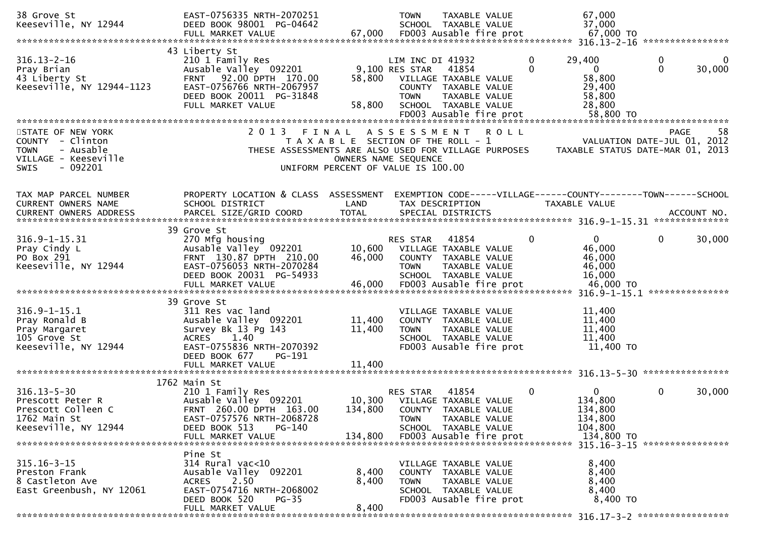| 38 Grove St<br>Keeseville, NY 12944                                                                                                                                                                                                                                      | EAST-0756335 NRTH-2070251<br>DEED BOOK 98001 PG-04642                                                                                                                                |                                                                                                     | <b>TOWN</b>                                       | TAXABLE VALUE<br>SCHOOL TAXABLE VALUE                                                                                      |          | 67,000<br>37,000                                                                |                                                                                       |
|--------------------------------------------------------------------------------------------------------------------------------------------------------------------------------------------------------------------------------------------------------------------------|--------------------------------------------------------------------------------------------------------------------------------------------------------------------------------------|-----------------------------------------------------------------------------------------------------|---------------------------------------------------|----------------------------------------------------------------------------------------------------------------------------|----------|---------------------------------------------------------------------------------|---------------------------------------------------------------------------------------|
|                                                                                                                                                                                                                                                                          |                                                                                                                                                                                      |                                                                                                     |                                                   |                                                                                                                            |          |                                                                                 |                                                                                       |
| $316.13 - 2 - 16$<br>Pray Brian<br>43 Liberty St<br>Keeseville, NY 12944-1123                                                                                                                                                                                            | 43 Liberty St<br>210 1 Family Res<br>Ausable Valley 092201<br>92.00 DPTH 170.00<br><b>FRNT</b><br>EAST-0756766 NRTH-2067957<br>DEED BOOK 20011 PG-31848<br>FULL MARKET VALUE         | 58,800<br>58,800                                                                                    | LIM INC DI 41932<br>9,100 RES STAR<br><b>TOWN</b> | 41854<br>VILLAGE TAXABLE VALUE<br>COUNTY TAXABLE VALUE<br>TAXABLE VALUE<br>SCHOOL TAXABLE VALUE                            |          | 29,400<br>0<br>0<br>$\Omega$<br>58,800<br>29,400<br>58,800<br>28,800            | 0<br>0<br>$\mathbf{0}$<br>30,000                                                      |
| STATE OF NEW YORK<br>COUNTY - Clinton<br>- Ausable<br><b>TOWN</b><br>VILLAGE - Keeseville<br>$-092201$<br><b>SWIS</b>                                                                                                                                                    | 2 0 1 3<br>F I N A L<br>THESE ASSESSMENTS ARE ALSO USED FOR VILLAGE PURPOSES                                                                                                         | T A X A B L E SECTION OF THE ROLL - 1<br>OWNERS NAME SEQUENCE<br>UNIFORM PERCENT OF VALUE IS 100.00 | ASSESSMENT ROLL                                   |                                                                                                                            |          |                                                                                 | -58<br><b>PAGE</b><br>VALUATION DATE-JUL 01, 2012<br>TAXABLE STATUS DATE-MAR 01, 2013 |
| TAX MAP PARCEL NUMBER<br>CURRENT OWNERS NAME                                                                                                                                                                                                                             | PROPERTY LOCATION & CLASS ASSESSMENT<br>SCHOOL DISTRICT                                                                                                                              | LAND                                                                                                | TAX DESCRIPTION                                   |                                                                                                                            |          | EXEMPTION CODE-----VILLAGE------COUNTY--------TOWN------SCHOOL<br>TAXABLE VALUE |                                                                                       |
| $316.9 - 1 - 15.31$<br>Pray Cindy L<br>PO Box 291<br>Keeseville, NY 12944<br>= 2001 MARKET VALUE = 16,000 FD003 Ausable fire prot = 46,000 FD = 46,000<br>11.15.1 http://www.thisian.com/ending.com/ending.com/ending.com/ending.com/ending/thisian.com/ending/text/text | 39 Grove St<br>270 Mfg housing<br>Ausable Valley 092201<br>FRNT 130.87 DPTH 210.00<br>EAST-0756053 NRTH-2070284<br>DEED BOOK 20031 PG-54933                                          | 10,600<br>46,000                                                                                    | RES STAR<br><b>TOWN</b>                           | 41854<br>VILLAGE TAXABLE VALUE<br>COUNTY TAXABLE VALUE<br>TAXABLE VALUE<br>SCHOOL TAXABLE VALUE                            | $\Omega$ | $\overline{0}$<br>46,000<br>46,000<br>46,000<br>16,000                          | 30,000<br>0<br>***************                                                        |
| $316.9 - 1 - 15.1$<br>Pray Ronald B<br>Pray Margaret<br>105 Grove St<br>Keeseville, NY 12944                                                                                                                                                                             | 39 Grove St<br>311 Res vac land<br>Ausable Valley 092201<br>Survey Bk 13 Pg 143<br>1.40<br><b>ACRES</b><br>EAST-0755836 NRTH-2070392<br>DEED BOOK 677<br>PG-191<br>FULL MARKET VALUE | 11,400<br>11,400<br>11,400                                                                          | <b>TOWN</b>                                       | VILLAGE TAXABLE VALUE<br>COUNTY TAXABLE VALUE<br>TAXABLE VALUE<br>SCHOOL TAXABLE VALUE<br>FD003 Ausable fire prot          |          | 11,400<br>11,400<br>11,400<br>11,400<br>$11,400$ TO                             |                                                                                       |
|                                                                                                                                                                                                                                                                          |                                                                                                                                                                                      |                                                                                                     |                                                   |                                                                                                                            |          |                                                                                 |                                                                                       |
| $316.13 - 5 - 30$<br>Prescott Peter R<br>Prescott Colleen C<br>1762 Main St<br>Keeseville, NY 12944                                                                                                                                                                      | 1762 Main St<br>210 1 Family Res<br>Ausable Valley 092201<br>FRNT 260.00 DPTH 163.00<br>EAST-0757576 NRTH-2068728<br>DEED BOOK 513<br>PG-140<br>FULL MARKET VALUE                    | 10,300<br>134,800<br>134,800                                                                        | RES STAR<br><b>TOWN</b>                           | 41854<br>VILLAGE TAXABLE VALUE<br>COUNTY TAXABLE VALUE<br>TAXABLE VALUE<br>SCHOOL TAXABLE VALUE<br>FD003 Ausable fire prot | $\Omega$ | $\overline{0}$<br>134,800<br>134,800<br>134,800<br>104,800<br>134,800 TO        | $\mathbf{0}$<br>30,000                                                                |
| $315.16 - 3 - 15$<br>Preston Frank<br>8 Castleton Ave<br>East Greenbush, NY 12061                                                                                                                                                                                        | Pine St<br>314 Rural vac<10<br>Ausable Valley 092201<br>2.50<br><b>ACRES</b><br>EAST-0754716 NRTH-2068002<br>DEED BOOK 520<br>$PG-35$<br>FULL MARKET VALUE                           | 8,400<br>8,400<br>8,400                                                                             | <b>TOWN</b>                                       | VILLAGE TAXABLE VALUE<br>COUNTY TAXABLE VALUE<br>TAXABLE VALUE<br>SCHOOL TAXABLE VALUE<br>FD003 Ausable fire prot          |          | 8,400<br>8,400<br>8,400<br>8,400<br>8,400 TO                                    | 315.16-3-15 *****************                                                         |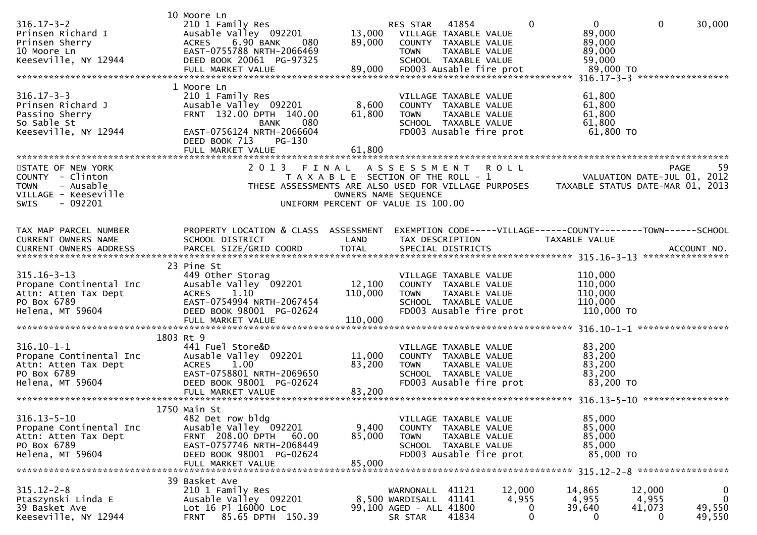| $316.17 - 3 - 2$<br>Prinsen Richard I<br>Prinsen Sherry<br>10 Moore Ln<br>Keeseville, NY 12944                 | 10 Moore Ln<br>210 1 Family Res<br>Ausable Valley 092201<br>6.90 BANK<br><b>ACRES</b><br>080<br>EAST-0755788 NRTH-2066469<br>DEED BOOK 20061 PG-97325                                   | 13,000<br>89,000             | RES STAR<br><b>TOWN</b>                                                                                                    | 41854<br>VILLAGE TAXABLE VALUE<br>COUNTY TAXABLE VALUE<br>TAXABLE VALUE<br>SCHOOL TAXABLE VALUE                   | $\Omega$                  | $\mathbf{0}$<br>89,000<br>89,000<br>89,000<br>59,000                            | $\mathbf 0$                    | 30,000                               |
|----------------------------------------------------------------------------------------------------------------|-----------------------------------------------------------------------------------------------------------------------------------------------------------------------------------------|------------------------------|----------------------------------------------------------------------------------------------------------------------------|-------------------------------------------------------------------------------------------------------------------|---------------------------|---------------------------------------------------------------------------------|--------------------------------|--------------------------------------|
| $316.17 - 3 - 3$<br>Prinsen Richard J<br>Passino Sherry<br>So Sable St<br>Keeseville, NY 12944                 | 1 Moore Ln<br>210 1 Family Res<br>Ausable Valley 092201<br>FRNT 132.00 DPTH 140.00<br><b>BANK</b><br>080<br>EAST-0756124 NRTH-2066604<br>DEED BOOK 713<br>$PG-130$<br>FULL MARKET VALUE | 8,600<br>61,800<br>61,800    | <b>TOWN</b>                                                                                                                | VILLAGE TAXABLE VALUE<br>COUNTY TAXABLE VALUE<br>TAXABLE VALUE<br>SCHOOL TAXABLE VALUE<br>FD003 Ausable fire prot |                           | 61,800<br>61,800<br>61,800<br>61,800<br>61,800 TO                               |                                |                                      |
| STATE OF NEW YORK<br>COUNTY - Clinton<br>- Ausable<br>TOWN<br>VILLAGE - Keeseville<br>$-092201$<br><b>SWIS</b> | 2 0 1 3<br>FINAL<br>THESE ASSESSMENTS ARE ALSO USED FOR VILLAGE PURPOSES                                                                                                                |                              | A S S E S S M E N T<br>T A X A B L E SECTION OF THE ROLL - 1<br>OWNERS NAME SEQUENCE<br>UNIFORM PERCENT OF VALUE IS 100.00 |                                                                                                                   | <b>ROLL</b>               | VALUATION DATE-JUL 01, 2012<br>TAXABLE STATUS DATE-MAR 01, 2013                 |                                | 59<br><b>PAGE</b>                    |
| TAX MAP PARCEL NUMBER<br>CURRENT OWNERS NAME<br><b>CURRENT OWNERS ADDRESS</b>                                  | PROPERTY LOCATION & CLASS ASSESSMENT<br>SCHOOL DISTRICT<br>PARCEL SIZE/GRID COORD                                                                                                       | LAND<br><b>TOTAL</b>         | TAX DESCRIPTION                                                                                                            | SPECIAL DISTRICTS                                                                                                 |                           | EXEMPTION CODE-----VILLAGE------COUNTY--------TOWN------SCHOOL<br>TAXABLE VALUE |                                | ACCOUNT NO.                          |
| $315.16 - 3 - 13$<br>Propane Continental Inc<br>Attn: Atten Tax Dept<br>PO Box 6789<br>Helena, MT 59604        | 23 Pine St<br>449 Other Storag<br>Ausable Valley 092201<br><b>ACRES</b><br>1.10<br>EAST-0754994 NRTH-2067454<br>DEED BOOK 98001 PG-02624<br>FULL MARKET VALUE                           | 12,100<br>110,000<br>110,000 | <b>TOWN</b>                                                                                                                | VILLAGE TAXABLE VALUE<br>COUNTY TAXABLE VALUE<br>TAXABLE VALUE<br>SCHOOL TAXABLE VALUE<br>FD003 Ausable fire prot |                           | 110,000<br>110,000<br>110,000<br>110,000<br>110,000 TO                          |                                |                                      |
| $316.10 - 1 - 1$<br>Propane Continental Inc<br>Attn: Atten Tax Dept<br>PO Box 6789<br>Helena, MT 59604         | 1803 Rt 9<br>441 Fuel Store&D<br>Ausable Valley 092201<br>1.00<br><b>ACRES</b><br>EAST-0758801 NRTH-2069650<br>DEED BOOK 98001 PG-02624<br>FULL MARKET VALUE                            | 11,000<br>83,200<br>83,200   | <b>TOWN</b>                                                                                                                | VILLAGE TAXABLE VALUE<br>COUNTY TAXABLE VALUE<br>TAXABLE VALUE<br>SCHOOL TAXABLE VALUE<br>FD003 Ausable fire prot |                           | 83,200<br>83,200<br>83,200<br>83,200<br>83,200 TO                               |                                |                                      |
| $316.13 - 5 - 10$<br>Propane Continental Inc<br>Attn: Atten Tax Dept<br>PO Box 6789<br>Helena, MT 59604        | 1750 Main St<br>482 Det row bldg<br>Ausable Valley 092201<br>FRNT 208.00 DPTH<br>60.00<br>EAST-0757746 NRTH-2068449<br>DEED BOOK 98001 PG-02624<br>FULL MARKET VALUE                    | 9,400<br>85,000<br>85,000    | <b>TOWN</b>                                                                                                                | VILLAGE TAXABLE VALUE<br>COUNTY TAXABLE VALUE<br>TAXABLE VALUE<br>SCHOOL TAXABLE VALUE<br>FD003 Ausable fire prot |                           | 85,000<br>85,000<br>85,000<br>85,000<br>85,000 TO                               |                                |                                      |
| $315.12 - 2 - 8$<br>Ptaszynski Linda E<br>39 Basket Ave<br>Keeseville, NY 12944                                | 39 Basket Ave<br>210 1 Family Res<br>Ausable Valley 092201<br>Lot 16 Pl 16000 Loc<br>85.65 DPTH 150.39<br><b>FRNT</b>                                                                   |                              | WARNONALL<br>8,500 WARDISALL<br>99,100 AGED - ALL 41800<br>SR STAR                                                         | 41121<br>41141<br>41834                                                                                           | 12,000<br>4,955<br>0<br>0 | 14,865<br>4,955<br>39,640<br>0                                                  | 12,000<br>4,955<br>41,073<br>0 | 0<br>$\mathbf 0$<br>49,550<br>49,550 |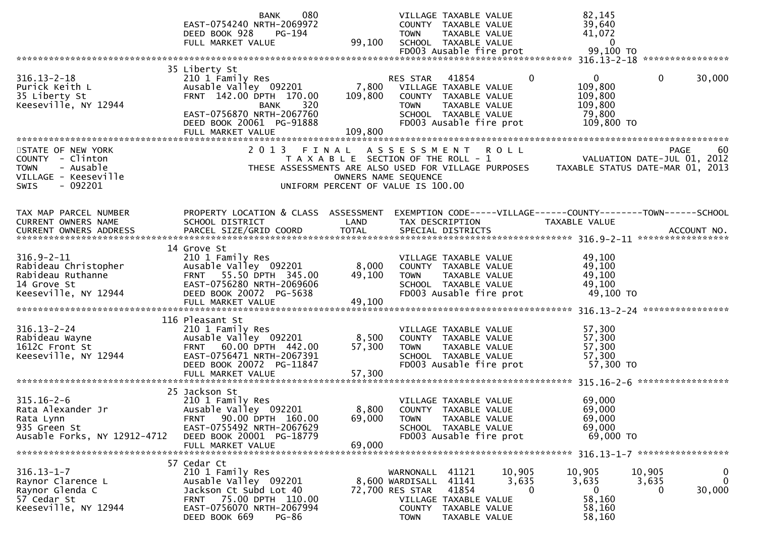|                                                                                                                                                                             | 080<br><b>BANK</b><br>EAST-0754240 NRTH-2069972<br>DEED BOOK 928<br>PG-194<br>FULL MARKET VALUE                                                                                    | 99,100                                                                      | <b>TOWN</b>                                                              | VILLAGE TAXABLE VALUE<br>COUNTY TAXABLE VALUE<br>TAXABLE VALUE<br>SCHOOL TAXABLE VALUE<br>FD003 Ausable fire prot          |                             | 82,145<br>39,640<br>41,072<br>$\mathbf{0}$<br>99,100 TO<br>$316.13 - 2 - 18$    |                                     | ****************        |
|-----------------------------------------------------------------------------------------------------------------------------------------------------------------------------|------------------------------------------------------------------------------------------------------------------------------------------------------------------------------------|-----------------------------------------------------------------------------|--------------------------------------------------------------------------|----------------------------------------------------------------------------------------------------------------------------|-----------------------------|---------------------------------------------------------------------------------|-------------------------------------|-------------------------|
| $316.13 - 2 - 18$<br>Purick Keith L<br>35 Liberty St<br>Keeseville, NY 12944                                                                                                | 35 Liberty St<br>210 1 Family Res<br>Ausable Valley 092201<br>FRNT 142.00 DPTH 170.00<br>BANK<br>320<br>EAST-0756870 NRTH-2067760<br>DEED BOOK 20061 PG-91888<br>FULL MARKET VALUE | 7,800<br>109,800<br>109,800                                                 | RES STAR<br><b>TOWN</b>                                                  | 41854<br>VILLAGE TAXABLE VALUE<br>COUNTY TAXABLE VALUE<br>TAXABLE VALUE<br>SCHOOL TAXABLE VALUE<br>FD003 Ausable fire prot | $\Omega$                    | $\Omega$<br>109,800<br>109,800<br>109,800<br>79,800<br>109,800 TO               | $\mathbf{0}$                        | 30,000                  |
| STATE OF NEW YORK<br>COUNTY - Clinton<br>- Ausable<br><b>TOWN</b><br>VILLAGE - Keeseville<br>- 092201<br><b>SWIS</b>                                                        | 2013 FINAL<br>THESE ASSESSMENTS ARE ALSO USED FOR VILLAGE PURPOSES                                                                                                                 | T A X A B L E SECTION OF THE ROLL - 1<br>UNIFORM PERCENT OF VALUE IS 100.00 | A S S E S S M E N T<br>OWNERS NAME SEQUENCE                              |                                                                                                                            | <b>ROLL</b>                 | TAXABLE STATUS DATE-MAR 01, 2013                                                | PAGE<br>VALUATION DATE-JUL 01, 2012 | 60                      |
| TAX MAP PARCEL NUMBER<br>CURRENT OWNERS NAME<br>.4CCOUNT NO . PARCEL SIZE/GRID COORD TOTAL SPECIAL DISTRICTS SPERE SIZE ACCOUNT NO . AND ANNO . AND TOTAL SPECIAL DISTRICTS | PROPERTY LOCATION & CLASS ASSESSMENT<br>SCHOOL DISTRICT                                                                                                                            | LAND                                                                        |                                                                          | TAX DESCRIPTION                                                                                                            |                             | EXEMPTION CODE-----VILLAGE------COUNTY--------TOWN------SCHOOL<br>TAXABLE VALUE |                                     |                         |
| $316.9 - 2 - 11$<br>Rabideau Christopher<br>Rabideau Ruthanne<br>14 Grove St<br>Keeseville, NY 12944                                                                        | 14 Grove St<br>210 1 Family Res<br>Ausable Valley 092201<br>FRNT 55.50 DPTH 345.00<br>EAST-0756280 NRTH-2069606<br>DEED BOOK 20072 PG-5638<br>FULL MARKET VALUE                    | 8,000<br>49,100<br>49,100                                                   | <b>TOWN</b>                                                              | VILLAGE TAXABLE VALUE<br>COUNTY TAXABLE VALUE<br>TAXABLE VALUE<br>SCHOOL TAXABLE VALUE<br>FD003 Ausable fire prot          |                             | 49,100<br>49,100<br>49,100<br>49,100<br>49,100 TO                               |                                     |                         |
| $316.13 - 2 - 24$<br>Rabideau Wayne<br>1612C Front St<br>Keeseville, NY 12944                                                                                               | 116 Pleasant St<br>210 1 Family Res<br>Ausable Valley 092201<br>FRNT 60.00 DPTH 442.00<br>EAST-0756471 NRTH-2067391<br>DEED BOOK 20072 PG-11847                                    | 8,500<br>57,300                                                             | <b>TOWN</b>                                                              | VILLAGE TAXABLE VALUE<br>COUNTY TAXABLE VALUE<br>TAXABLE VALUE<br>SCHOOL TAXABLE VALUE<br>FD003 Ausable fire prot          |                             | 57,300<br>57,300<br>57,300<br>57,300<br>57,300 TO                               |                                     | *****************       |
| $315.16 - 2 - 6$<br>Rata Alexander Jr<br>Rata Lynn<br>935 Green St<br>Ausable Forks, NY 12912-4712                                                                          | 25 Jackson St<br>210 1 Family Res<br>Ausable Valley 092201<br>90.00 DPTH 160.00<br>FRNT<br>EAST-0755492 NRTH-2067629<br>DEED BOOK 20001 PG-18779<br>FULL MARKET VALUE              | 8,800<br>69,000<br>69,000                                                   | <b>TOWN</b>                                                              | VILLAGE TAXABLE VALUE<br>COUNTY TAXABLE VALUE<br>TAXABLE VALUE<br>SCHOOL TAXABLE VALUE<br>FD003 Ausable fire prot          |                             | 69,000<br>69,000<br>69,000<br>69,000<br>69,000 TO                               |                                     |                         |
| $316.13 - 1 - 7$<br>Raynor Clarence L<br>Raynor Glenda C<br>57 Cedar St<br>Keeseville, NY 12944                                                                             | 57 Cedar Ct<br>210 1 Family Res<br>Ausable Valley 092201<br>Jackson Ct Subd Lot 40<br>75.00 DPTH 110.00<br>FRNT<br>EAST-0756070 NRTH-2067994<br>DEED BOOK 669<br><b>PG-86</b>      |                                                                             | WARNONALL<br>8,600 WARDISALL<br>72,700 RES STAR<br>COUNTY<br><b>TOWN</b> | 41121<br>41141<br>41854<br>VILLAGE TAXABLE VALUE<br>TAXABLE VALUE<br>TAXABLE VALUE                                         | 10,905<br>3,635<br>$\Omega$ | 10,905<br>3,635<br>0<br>58,160<br>58,160<br>58,160                              | 10,905<br>3,635<br>0                | 0<br>$\Omega$<br>30,000 |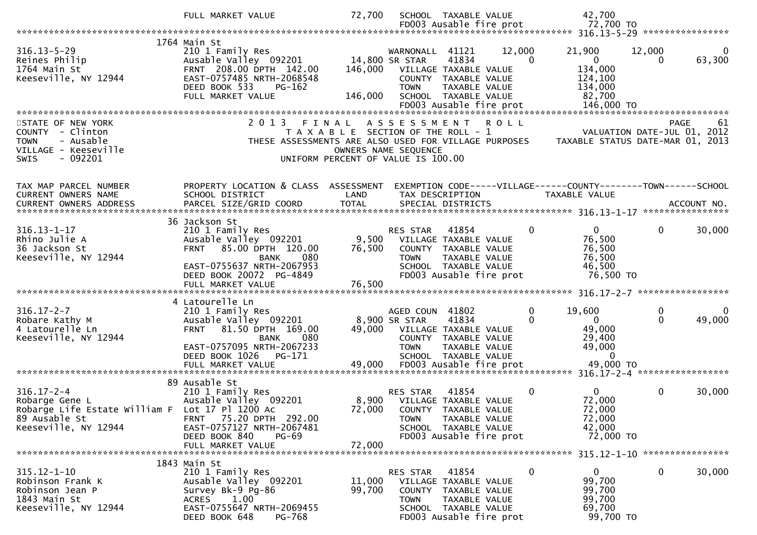|                                                  | FULL MARKET VALUE                                      | 72,700                                                     |                                   | SCHOOL TAXABLE VALUE                            |             | 42,700                                                         |             |                                 |
|--------------------------------------------------|--------------------------------------------------------|------------------------------------------------------------|-----------------------------------|-------------------------------------------------|-------------|----------------------------------------------------------------|-------------|---------------------------------|
|                                                  |                                                        |                                                            |                                   | FD003 Ausable fire prot                         |             | 72,700 TO                                                      |             |                                 |
|                                                  | 1764 Main St                                           |                                                            |                                   |                                                 |             |                                                                |             |                                 |
| $316.13 - 5 - 29$                                | 210 1 Family Res                                       |                                                            | WARNONALL 41121                   |                                                 | 12,000      | 21,900                                                         | 12,000      | 0                               |
| Reines Philip                                    | Ausable Valley 092201                                  |                                                            | 14,800 SR STAR                    | 41834                                           | $\Omega$    | $\mathbf{0}$                                                   | $\Omega$    | 63,300                          |
| 1764 Main St                                     | FRNT 208.00 DPTH 142.00                                | 146,000                                                    | VILLAGE TAXABLE VALUE             |                                                 |             | 134,000                                                        |             |                                 |
| Keeseville, NY 12944                             | EAST-0757485 NRTH-2068548                              |                                                            |                                   | COUNTY TAXABLE VALUE                            |             | 124,100                                                        |             |                                 |
|                                                  | DEED BOOK 533<br>$PG-162$<br>FULL MARKET VALUE         | 146,000                                                    | <b>TOWN</b>                       | TAXABLE VALUE<br>SCHOOL TAXABLE VALUE           |             | 134,000<br>82,700                                              |             |                                 |
|                                                  |                                                        |                                                            |                                   | FD003 Ausable fire prot                         |             | 146,000 TO                                                     |             |                                 |
|                                                  |                                                        |                                                            |                                   |                                                 |             |                                                                |             |                                 |
| STATE OF NEW YORK                                | 2013 FINAL                                             |                                                            | A S S E S S M E N T               |                                                 | <b>ROLL</b> |                                                                | <b>PAGE</b> | 61                              |
| COUNTY - Clinton                                 |                                                        | T A X A B L E SECTION OF THE ROLL - 1                      |                                   |                                                 |             | VALUATION DATE-JUL 01, 2012                                    |             |                                 |
| - Ausable<br><b>TOWN</b>                         | THESE ASSESSMENTS ARE ALSO USED FOR VILLAGE PURPOSES   |                                                            |                                   |                                                 |             | TAXABLE STATUS DATE-MAR 01, 2013                               |             |                                 |
| VILLAGE - Keeseville<br>$-092201$<br><b>SWIS</b> |                                                        | OWNERS NAME SEQUENCE<br>UNIFORM PERCENT OF VALUE IS 100.00 |                                   |                                                 |             |                                                                |             |                                 |
|                                                  |                                                        |                                                            |                                   |                                                 |             |                                                                |             |                                 |
|                                                  |                                                        |                                                            |                                   |                                                 |             |                                                                |             |                                 |
| TAX MAP PARCEL NUMBER                            | PROPERTY LOCATION & CLASS ASSESSMENT                   |                                                            |                                   |                                                 |             | EXEMPTION CODE-----VILLAGE------COUNTY--------TOWN------SCHOOL |             |                                 |
| CURRENT OWNERS NAME                              | SCHOOL DISTRICT                                        | LAND                                                       |                                   | TAX DESCRIPTION                                 |             | TAXABLE VALUE                                                  |             |                                 |
|                                                  |                                                        |                                                            |                                   |                                                 |             |                                                                |             | ACCOUNT NO.<br>**************** |
|                                                  | 36 Jackson St                                          |                                                            |                                   |                                                 |             |                                                                |             |                                 |
| $316.13 - 1 - 17$                                | 210 1 Family Res                                       |                                                            | RES STAR                          | 41854                                           | 0           | $\overline{0}$                                                 | $\mathbf 0$ | 30,000                          |
| Rhino Julie A                                    | Ausable Valley 092201                                  | 9,500                                                      |                                   | VILLAGE TAXABLE VALUE                           |             | 76,500                                                         |             |                                 |
| 36 Jackson St                                    | 85.00 DPTH 120.00<br><b>FRNT</b>                       | 76,500                                                     |                                   | COUNTY TAXABLE VALUE                            |             | 76,500                                                         |             |                                 |
| Keeseville, NY 12944                             | 080<br><b>BANK</b>                                     |                                                            | <b>TOWN</b>                       | TAXABLE VALUE                                   |             | 76,500                                                         |             |                                 |
|                                                  | EAST-0755637 NRTH-2067953<br>DEED BOOK 20072 PG-4849   |                                                            |                                   | SCHOOL TAXABLE VALUE<br>FD003 Ausable fire prot |             | 46,500<br>76,500 TO                                            |             |                                 |
|                                                  | FULL MARKET VALUE                                      | 76,500                                                     |                                   |                                                 |             |                                                                |             |                                 |
|                                                  |                                                        |                                                            |                                   |                                                 |             |                                                                |             |                                 |
|                                                  | 4 Latourelle Ln                                        |                                                            |                                   |                                                 |             |                                                                |             |                                 |
| $316.17 - 2 - 7$                                 | 210 1 Family Res                                       |                                                            | AGED COUN 41802                   |                                                 | 0           | 19,600                                                         | 0           | 0                               |
| Robare Kathy M                                   | Ausable Valley 092201                                  |                                                            | 8,900 SR STAR                     | 41834                                           | $\Omega$    | $\mathbf{0}$                                                   | $\Omega$    | 49,000                          |
| 4 Latourelle Ln<br>Keeseville, NY 12944          | 81.50 DPTH 169.00<br><b>FRNT</b><br>080<br><b>BANK</b> | 49,000                                                     |                                   | VILLAGE TAXABLE VALUE                           |             | 49,000<br>29,400                                               |             |                                 |
|                                                  | EAST-0757095 NRTH-2067233                              |                                                            | <b>TOWN</b>                       | COUNTY TAXABLE VALUE<br>TAXABLE VALUE           |             | 49,000                                                         |             |                                 |
|                                                  | DEED BOOK 1026<br>PG-171                               |                                                            |                                   | SCHOOL TAXABLE VALUE                            |             | $\overline{0}$                                                 |             |                                 |
|                                                  | FULL MARKET VALUE                                      | 49,000                                                     |                                   | FD003 Ausable fire prot                         |             | 49,000 TO                                                      |             |                                 |
|                                                  |                                                        |                                                            |                                   |                                                 |             |                                                                |             |                                 |
| $316.17 - 2 - 4$                                 | 89 Ausable St                                          |                                                            |                                   |                                                 |             | $\mathbf{0}$                                                   |             |                                 |
| Robarge Gene L                                   | 210 1 Family Res<br>Ausable Valley 092201              | 8,900                                                      | RES STAR<br>VILLAGE TAXABLE VALUE | 41854                                           | $\Omega$    | 72,000                                                         | $\mathbf 0$ | 30,000                          |
| Robarge Life Estate William F Lot 17 Pl 1200 Ac  |                                                        | 72,000                                                     |                                   | COUNTY TAXABLE VALUE                            |             | 72,000                                                         |             |                                 |
| 89 Ausable St                                    | 75.20 DPTH 292.00<br>FRNT                              |                                                            | <b>TOWN</b>                       | TAXABLE VALUE                                   |             | 72,000                                                         |             |                                 |
| Keeseville, NY 12944                             | EAST-0757127 NRTH-2067481                              |                                                            |                                   | SCHOOL TAXABLE VALUE                            |             | 42,000                                                         |             |                                 |
|                                                  | DEED BOOK 840<br><b>PG-69</b>                          |                                                            |                                   | FD003 Ausable fire prot                         |             | 72,000 TO                                                      |             |                                 |
|                                                  | FULL MARKET VALUE                                      | 72,000                                                     |                                   |                                                 |             |                                                                |             |                                 |
|                                                  | 1843 Main St                                           |                                                            |                                   |                                                 |             |                                                                |             |                                 |
| $315.12 - 1 - 10$                                | 210 1 Family Res                                       |                                                            | RES STAR                          | 41854                                           | 0           | 0                                                              | 0           | 30,000                          |
| Robinson Frank K                                 | Ausable Valley 092201                                  | 11,000                                                     |                                   | VILLAGE TAXABLE VALUE                           |             | 99,700                                                         |             |                                 |
| Robinson Jean P                                  | Survey Bk-9 Pg-86                                      | 99,700                                                     |                                   | COUNTY TAXABLE VALUE                            |             | 99,700                                                         |             |                                 |
| 1843 Main St                                     | <b>ACRES</b><br>1.00                                   |                                                            | <b>TOWN</b>                       | TAXABLE VALUE                                   |             | 99,700                                                         |             |                                 |
| Keeseville, NY 12944                             | EAST-0755647 NRTH-2069455                              |                                                            |                                   | SCHOOL TAXABLE VALUE                            |             | 69,700                                                         |             |                                 |
|                                                  | DEED BOOK 648<br>PG-768                                |                                                            |                                   | FD003 Ausable fire prot                         |             | 99,700 TO                                                      |             |                                 |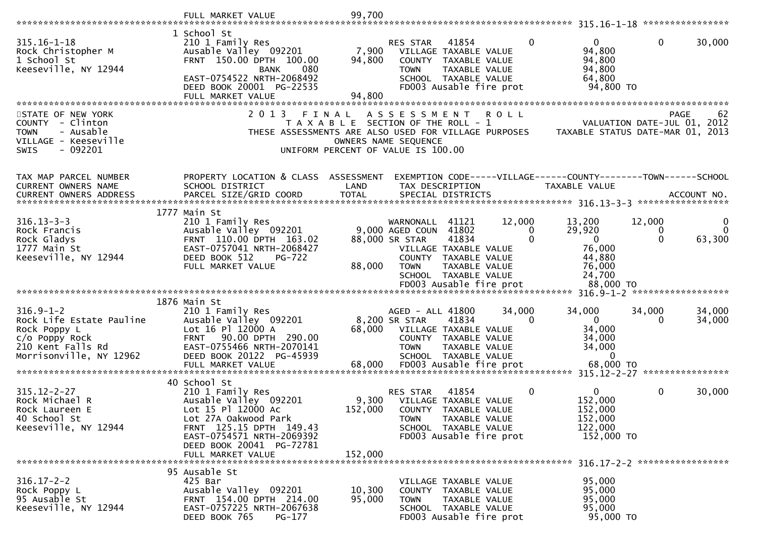|                                                                                                                               | FULL MARKET VALUE                                                                                                                                                                                   | 99,700                    |                                                                                                                                                                                    |                                |                                                                                              |                    |
|-------------------------------------------------------------------------------------------------------------------------------|-----------------------------------------------------------------------------------------------------------------------------------------------------------------------------------------------------|---------------------------|------------------------------------------------------------------------------------------------------------------------------------------------------------------------------------|--------------------------------|----------------------------------------------------------------------------------------------|--------------------|
|                                                                                                                               |                                                                                                                                                                                                     |                           |                                                                                                                                                                                    |                                |                                                                                              | ****************   |
| $315.16 - 1 - 18$<br>Rock Christopher M<br>1 School St<br>Keeseville, NY 12944                                                | 1 School St<br>210 1 Family Res<br>Ausable Valley 092201<br>FRNT 150.00 DPTH 100.00<br>080<br><b>BANK</b><br>EAST-0754522 NRTH-2068492<br>DEED BOOK 20001 PG-22535<br>FULL MARKET VALUE             | 7,900<br>94,800<br>94,800 | RES STAR<br>41854<br>VILLAGE TAXABLE VALUE<br>COUNTY TAXABLE VALUE<br>TAXABLE VALUE<br><b>TOWN</b><br>SCHOOL TAXABLE VALUE<br>FD003 Ausable fire prot                              | $\mathbf{0}$                   | $\mathbf{0}$<br>0<br>94,800<br>94,800<br>94,800<br>64,800<br>94,800 TO                       | 30,000             |
|                                                                                                                               |                                                                                                                                                                                                     |                           |                                                                                                                                                                                    |                                |                                                                                              |                    |
| STATE OF NEW YORK<br>COUNTY - Clinton<br>- Ausable<br><b>TOWN</b><br>VILLAGE - Keeseville<br>$-092201$<br><b>SWIS</b>         | 2 0 1 3                                                                                                                                                                                             | FINAL                     | A S S E S S M E N T<br>T A X A B L E SECTION OF THE ROLL - 1<br>THESE ASSESSMENTS ARE ALSO USED FOR VILLAGE PURPOSES<br>OWNERS NAME SEQUENCE<br>UNIFORM PERCENT OF VALUE IS 100.00 | R O L L                        | VALUATION DATE-JUL 01, 2012<br>TAXABLE STATUS DATE-MAR 01, 2013                              | <b>PAGE</b><br>62  |
| TAX MAP PARCEL NUMBER<br><b>CURRENT OWNERS NAME</b>                                                                           | PROPERTY LOCATION & CLASS ASSESSMENT<br>SCHOOL DISTRICT                                                                                                                                             | LAND                      | EXEMPTION CODE-----VILLAGE------COUNTY--------TOWN------SCHOOL<br>TAX DESCRIPTION                                                                                                  |                                | TAXABLE VALUE                                                                                |                    |
| <b>CURRENT OWNERS ADDRESS</b>                                                                                                 | PARCEL SIZE/GRID COORD                                                                                                                                                                              | <b>TOTAL</b>              | SPECIAL DISTRICTS                                                                                                                                                                  |                                |                                                                                              | ACCOUNT NO.        |
|                                                                                                                               | 1777 Main St                                                                                                                                                                                        |                           |                                                                                                                                                                                    |                                |                                                                                              | *****************  |
| $316.13 - 3 - 3$<br>Rock Francis<br>Rock Gladys<br>1777 Main St<br>Keeseville, NY 12944                                       | 210 1 Family Res<br>Ausable Valley 092201<br>FRNT 110.00 DPTH 163.02<br>EAST-0757041 NRTH-2068427<br>DEED BOOK 512<br>$PG-722$<br>FULL MARKET VALUE                                                 | 88,000                    | 41121<br>WARNONALL<br>9,000 AGED COUN 41802<br>41834<br>88,000 SR STAR<br>VILLAGE TAXABLE VALUE<br>COUNTY TAXABLE VALUE<br>TAXABLE VALUE<br><b>TOWN</b><br>SCHOOL TAXABLE VALUE    | 12,000<br>$\Omega$<br>$\Omega$ | 13,200<br>12,000<br>29,920<br>0<br>$\mathbf{0}$<br>0<br>76,000<br>44,880<br>76,000<br>24,700 | $\Omega$<br>63,300 |
|                                                                                                                               |                                                                                                                                                                                                     |                           |                                                                                                                                                                                    |                                |                                                                                              |                    |
| $316.9 - 1 - 2$<br>Rock Life Estate Pauline<br>Rock Poppy L<br>c/o Poppy Rock<br>210 Kent Falls Rd<br>Morrisonville, NY 12962 | 1876 Main St<br>210 1 Family Res<br>Ausable Valley 092201<br>Lot 16 Pl 12000 A<br>90.00 DPTH 290.00<br><b>FRNT</b><br>EAST-0755466 NRTH-2070141<br>DEED BOOK 20122<br>PG-45939<br>FULL MARKET VALUE | 68,000<br>68,000          | AGED - ALL 41800<br>8,200 SR STAR<br>41834<br>VILLAGE TAXABLE VALUE<br>COUNTY TAXABLE VALUE<br><b>TOWN</b><br>TAXABLE VALUE<br>SCHOOL TAXABLE VALUE<br>FD003 Ausable fire prot     | 34,000<br>0                    | 34,000<br>34,000<br>$\mathbf{0}$<br>34,000<br>34,000<br>34,000<br>$\mathbf{0}$<br>68,000 TO  | 34,000<br>34,000   |
|                                                                                                                               |                                                                                                                                                                                                     |                           |                                                                                                                                                                                    |                                |                                                                                              | ****************   |
| $315.12 - 2 - 27$<br>Rock Michael R<br>Rock Laureen E<br>40 School St<br>Keeseville, NY 12944                                 | 40 School St<br>210 1 Family Res<br>Ausable Valley 092201<br>Lot 15 Pl 12000 Ac<br>Lot 27A Oakwood Park<br>FRNT 125.15 DPTH 149.43<br>EAST-0754571 NRTH-2069392<br>DEED BOOK 20041 PG-72781         | 9,300<br>152,000          | RES STAR<br>41854<br>VILLAGE TAXABLE VALUE<br>COUNTY TAXABLE VALUE<br>TAXABLE VALUE<br>TOWN<br>SCHOOL TAXABLE VALUE<br>FD003 Ausable fire prot                                     | $\Omega$                       | $\Omega$<br>0<br>152,000<br>152,000<br>152,000<br>122,000<br>152,000 TO                      | 30,000             |
|                                                                                                                               | FULL MARKET VALUE                                                                                                                                                                                   | 152,000                   |                                                                                                                                                                                    |                                |                                                                                              |                    |
|                                                                                                                               | 95 Ausable St                                                                                                                                                                                       |                           |                                                                                                                                                                                    |                                |                                                                                              |                    |
| $316.17 - 2 - 2$<br>Rock Poppy L<br>95 Ausable St<br>Keeseville, NY 12944                                                     | 425 Bar<br>Ausable Valley 092201<br>FRNT 154.00 DPTH 214.00<br>EAST-0757225 NRTH-2067638<br>DEED BOOK 765<br>PG-177                                                                                 | 10,300<br>95,000          | VILLAGE TAXABLE VALUE<br>COUNTY TAXABLE VALUE<br><b>TOWN</b><br>TAXABLE VALUE<br>SCHOOL TAXABLE VALUE<br>FD003 Ausable fire prot                                                   |                                | 95,000<br>95,000<br>95,000<br>95,000<br>95,000 TO                                            |                    |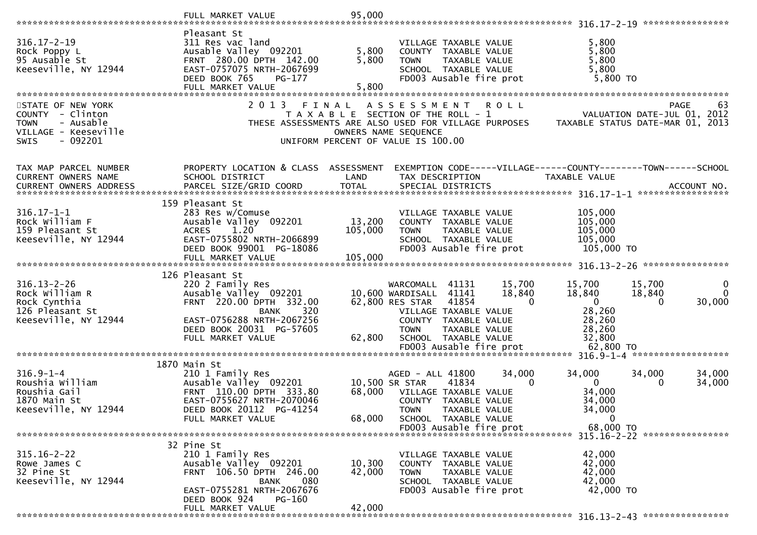|                               | FULL MARKET VALUE                                     | 95,000                                |                              |                                                 |              |                                                                                       |        |                               |
|-------------------------------|-------------------------------------------------------|---------------------------------------|------------------------------|-------------------------------------------------|--------------|---------------------------------------------------------------------------------------|--------|-------------------------------|
|                               |                                                       |                                       |                              |                                                 |              |                                                                                       |        |                               |
|                               | Pleasant St                                           |                                       |                              |                                                 |              |                                                                                       |        |                               |
| $316.17 - 2 - 19$             | 311 Res vac land                                      |                                       |                              | VILLAGE TAXABLE VALUE                           |              | 5,800                                                                                 |        |                               |
| Rock Poppy L<br>95 Ausable St | Ausable Valley 092201<br>FRNT 280.00 DPTH 142.00      | 5,800<br>5,800                        |                              | COUNTY TAXABLE VALUE                            |              | 5,800<br>5,800                                                                        |        |                               |
| Keeseville, NY 12944          | EAST-0757075 NRTH-2067699                             |                                       | <b>TOWN</b>                  | TAXABLE VALUE<br>SCHOOL TAXABLE VALUE           |              | 5,800                                                                                 |        |                               |
|                               | DEED BOOK 765<br>PG-177                               |                                       |                              | FD003 Ausable fire prot                         |              | 5,800 TO                                                                              |        |                               |
|                               | FULL MARKET VALUE                                     | 5,800                                 |                              |                                                 |              |                                                                                       |        |                               |
|                               |                                                       |                                       |                              |                                                 |              |                                                                                       |        |                               |
| STATE OF NEW YORK             | 2 0 1 3                                               | FINAL                                 | A S S E S S M E N T          |                                                 | <b>ROLL</b>  |                                                                                       |        | PAGE<br>63                    |
| COUNTY - Clinton              |                                                       | T A X A B L E SECTION OF THE ROLL - 1 |                              |                                                 |              | VALUATION DATE-JUL 01, 2012                                                           |        |                               |
| <b>TOWN</b><br>- Ausable      |                                                       |                                       |                              |                                                 |              | THESE ASSESSMENTS ARE ALSO USED FOR VILLAGE PURPOSES TAXABLE STATUS DATE-MAR 01, 2013 |        |                               |
| VILLAGE - Keeseville          |                                                       |                                       | OWNERS NAME SEQUENCE         |                                                 |              |                                                                                       |        |                               |
| $-092201$<br><b>SWIS</b>      |                                                       | UNIFORM PERCENT OF VALUE IS 100.00    |                              |                                                 |              |                                                                                       |        |                               |
|                               |                                                       |                                       |                              |                                                 |              |                                                                                       |        |                               |
| TAX MAP PARCEL NUMBER         | PROPERTY LOCATION & CLASS ASSESSMENT                  |                                       |                              |                                                 |              | EXEMPTION CODE-----VILLAGE------COUNTY--------TOWN------SCHOOL                        |        |                               |
| CURRENT OWNERS NAME           | SCHOOL DISTRICT                                       | LAND                                  | TAX DESCRIPTION              |                                                 |              | TAXABLE VALUE                                                                         |        |                               |
| <b>CURRENT OWNERS ADDRESS</b> | PARCEL SIZE/GRID COORD                                | <b>TOTAL</b>                          |                              | SPECIAL DISTRICTS                               |              |                                                                                       |        | ACCOUNT NO.                   |
|                               |                                                       |                                       |                              |                                                 |              |                                                                                       |        |                               |
|                               | 159 Pleasant St                                       |                                       |                              |                                                 |              |                                                                                       |        |                               |
| $316.17 - 1 - 1$              | 283 Res w/Comuse                                      |                                       |                              | VILLAGE TAXABLE VALUE                           |              | 105,000                                                                               |        |                               |
| Rock William F                | Ausable Valley 092201                                 | 13,200                                |                              | COUNTY TAXABLE VALUE                            |              | 105,000                                                                               |        |                               |
| 159 Pleasant St               | 1.20<br><b>ACRES</b>                                  | 105,000                               | <b>TOWN</b>                  | TAXABLE VALUE                                   |              | 105,000                                                                               |        |                               |
| Keeseville, NY 12944          | EAST-0755802 NRTH-2066899<br>DEED BOOK 99001 PG-18086 |                                       |                              | SCHOOL TAXABLE VALUE<br>FD003 Ausable fire prot |              | 105,000                                                                               |        |                               |
|                               |                                                       |                                       |                              |                                                 |              | 105,000 TO                                                                            |        |                               |
|                               |                                                       |                                       |                              |                                                 |              |                                                                                       |        |                               |
|                               | 126 Pleasant St                                       |                                       |                              |                                                 |              |                                                                                       |        |                               |
| $316.13 - 2 - 26$             | 220 2 Family Res                                      |                                       | WARCOMALL 41131              |                                                 | 15,700       | 15,700                                                                                | 15,700 | $\mathbf 0$                   |
| Rock William R                | Ausable Valley 092201                                 |                                       | 10,600 WARDISALL             | 41141                                           | 18,840       | 18,840                                                                                | 18,840 | $\mathbf{0}$                  |
| Rock Cynthia                  | FRNT 220.00 DPTH 332.00                               |                                       | 62,800 RES STAR              | 41854                                           | $\mathbf{0}$ | $\mathbf{0}$                                                                          | 0      | 30,000                        |
| 126 Pleasant St               | 320<br>BANK                                           |                                       | VILLAGE TAXABLE VALUE        |                                                 |              | 28,260                                                                                |        |                               |
| Keeseville, NY 12944          | EAST-0756288 NRTH-2067256                             |                                       |                              | COUNTY TAXABLE VALUE                            |              | 28,260                                                                                |        |                               |
|                               | DEED BOOK 20031 PG-57605                              |                                       | <b>TOWN</b>                  | TAXABLE VALUE                                   |              | 28,260                                                                                |        |                               |
|                               | FULL MARKET VALUE                                     | 62,800                                |                              | SCHOOL TAXABLE VALUE                            |              | 32,800                                                                                |        |                               |
|                               |                                                       |                                       |                              | FD003 Ausable fire prot                         |              | 62,800 TO                                                                             |        |                               |
|                               | 1870 Main St                                          |                                       |                              |                                                 |              |                                                                                       |        |                               |
| $316.9 - 1 - 4$               | 210 1 Family Res                                      |                                       | AGED - ALL 41800             |                                                 | 34,000       | 34,000                                                                                | 34,000 | 34,000                        |
| Roushia William               | Ausable Valley 092201                                 |                                       | 10,500 SR STAR               | 41834                                           | $\mathbf{0}$ | $\overline{0}$                                                                        | 0      | 34,000                        |
| Roushia Gail                  | FRNT 110.00 DPTH 333.80                               |                                       | 68,000 VILLAGE TAXABLE VALUE |                                                 |              | 34,000                                                                                |        |                               |
| 1870 Main St                  | EAST-0755627 NRTH-2070046                             |                                       |                              | COUNTY TAXABLE VALUE                            |              | 34,000                                                                                |        |                               |
| Keeseville, NY 12944          | DEED BOOK 20112 PG-41254                              |                                       | <b>TOWN</b>                  | TAXABLE VALUE                                   |              | 34,000                                                                                |        |                               |
|                               | FULL MARKET VALUE                                     | 68,000                                |                              | SCHOOL TAXABLE VALUE                            |              | 0                                                                                     |        |                               |
|                               |                                                       |                                       |                              | FD003 Ausable fire prot                         |              | 68,000 TO                                                                             |        |                               |
|                               |                                                       |                                       |                              |                                                 |              |                                                                                       |        | 315.16-2-22 ***************** |
| $315.16 - 2 - 22$             | 32 Pine St<br>210 1 Family Res                        |                                       |                              | VILLAGE TAXABLE VALUE                           |              | 42,000                                                                                |        |                               |
| Rowe James C                  | Ausable Valley 092201                                 | 10,300                                |                              | COUNTY TAXABLE VALUE                            |              | 42,000                                                                                |        |                               |
| 32 Pine St                    | FRNT 106.50 DPTH 246.00                               | 42,000                                | <b>TOWN</b>                  | TAXABLE VALUE                                   |              | 42,000                                                                                |        |                               |
| Keeseville, NY 12944          | 080<br>BANK                                           |                                       |                              | SCHOOL TAXABLE VALUE                            |              | 42,000                                                                                |        |                               |
|                               | EAST-0755281 NRTH-2067676                             |                                       |                              | FD003 Ausable fire prot                         |              | 42,000 TO                                                                             |        |                               |
|                               | DEED BOOK 924<br>PG-160                               |                                       |                              |                                                 |              |                                                                                       |        |                               |
|                               | FULL MARKET VALUE                                     | 42,000                                |                              |                                                 |              |                                                                                       |        |                               |
|                               |                                                       |                                       |                              |                                                 |              |                                                                                       |        |                               |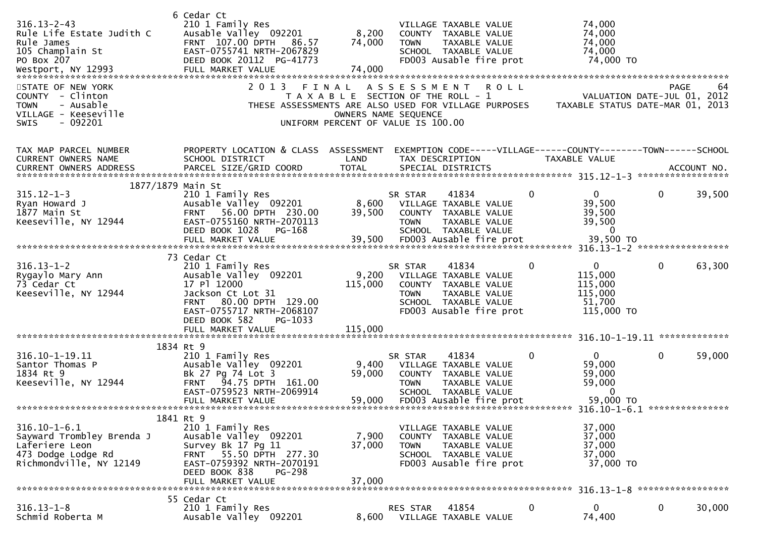| $316.13 - 2 - 43$<br>Rule Life Estate Judith C<br>Rule James<br>105 Champlain St<br>PO Box 207                        | 6 Cedar Ct<br>210 1 Family Res<br>Ausable Valley 092201<br>FRNT 107.00 DPTH 86.57<br>EAST-0755741 NRTH-2067829<br>DEED BOOK 20112 PG-41773                                                    | 8,200<br>74,000                                                                                     | <b>TOWN</b>            | VILLAGE TAXABLE VALUE<br>COUNTY TAXABLE VALUE<br>TAXABLE VALUE<br>SCHOOL TAXABLE VALUE<br>FD003 Ausable fire prot          |              | 74,000<br>74,000<br>74,000<br>74,000<br>74,000 TO                               |              |        |
|-----------------------------------------------------------------------------------------------------------------------|-----------------------------------------------------------------------------------------------------------------------------------------------------------------------------------------------|-----------------------------------------------------------------------------------------------------|------------------------|----------------------------------------------------------------------------------------------------------------------------|--------------|---------------------------------------------------------------------------------|--------------|--------|
| STATE OF NEW YORK<br>COUNTY - Clinton<br>- Ausable<br><b>TOWN</b><br>VILLAGE - Keeseville<br><b>SWIS</b><br>$-092201$ | 2 0 1 3<br>THESE ASSESSMENTS ARE ALSO USED FOR VILLAGE PURPOSES                                                                                                                               | T A X A B L E SECTION OF THE ROLL - 1<br>OWNERS NAME SEQUENCE<br>UNIFORM PERCENT OF VALUE IS 100.00 |                        | FINAL ASSESSMENT ROLL                                                                                                      |              | VALUATION DATE-JUL 01, 2012<br>TAXABLE STATUS DATE-MAR 01, 2013                 | PAGE         | 64     |
| TAX MAP PARCEL NUMBER<br><b>CURRENT OWNERS NAME</b>                                                                   | PROPERTY LOCATION & CLASS ASSESSMENT<br>SCHOOL DISTRICT                                                                                                                                       | LAND                                                                                                | TAX DESCRIPTION        |                                                                                                                            |              | EXEMPTION CODE-----VILLAGE------COUNTY--------TOWN------SCHOOL<br>TAXABLE VALUE |              |        |
| 1877/1879 Main St<br>$315.12 - 1 - 3$<br>Ryan Howard J<br>1877 Main St<br>Keeseville, NY 12944                        | 210 1 Family Res<br>Ausable Valley 092201<br>FRNT 56.00 DPTH 230.00<br>EAST-0755160 NRTH-2070113<br>DEED BOOK 1028<br><b>PG-168</b>                                                           | 8,600<br>39,500                                                                                     | SR STAR<br><b>TOWN</b> | 41834<br>VILLAGE TAXABLE VALUE<br>COUNTY TAXABLE VALUE<br>TAXABLE VALUE<br>SCHOOL TAXABLE VALUE                            | $\mathbf{0}$ | $\mathbf{0}$<br>39,500<br>39,500<br>39,500<br>$\Omega$                          | $\mathbf{0}$ | 39,500 |
|                                                                                                                       |                                                                                                                                                                                               |                                                                                                     |                        |                                                                                                                            |              |                                                                                 |              |        |
| $316.13 - 1 - 2$<br>Rygaylo Mary Ann<br>73 Cedar Ct<br>Keeseville, NY 12944                                           | 73 Cedar Ct<br>210 1 Family Res<br>Ausable Valley 092201<br>17 Pl 12000<br>Jackson Ct Lot 31<br>80.00 DPTH 129.00<br><b>FRNT</b><br>EAST-0755717 NRTH-2068107<br>DEED BOOK 582<br>PG-1033     | 9,200<br>115,000                                                                                    | SR STAR<br><b>TOWN</b> | 41834<br>VILLAGE TAXABLE VALUE<br>COUNTY TAXABLE VALUE<br>TAXABLE VALUE<br>SCHOOL TAXABLE VALUE<br>FD003 Ausable fire prot | $\mathbf 0$  | $\mathbf{0}$<br>115,000<br>115,000<br>115,000<br>51,700<br>115,000 TO           | $\mathbf{0}$ | 63,300 |
|                                                                                                                       | FULL MARKET VALUE                                                                                                                                                                             | 115,000                                                                                             |                        |                                                                                                                            |              |                                                                                 |              |        |
|                                                                                                                       |                                                                                                                                                                                               |                                                                                                     |                        |                                                                                                                            |              |                                                                                 |              |        |
| 316.10-1-19.11<br>Santor Thomas P<br>1834 Rt 9<br>Keeseville, NY 12944                                                | 1834 Rt 9<br>210 1 Family Res<br>Ausable Valley 092201<br>Bk 27 Pg 74 Lot 3<br>FRNT 94.75 DPTH 161.00<br>EAST-0759523 NRTH-2069914                                                            | 9,400<br>59,000                                                                                     | SR STAR<br><b>TOWN</b> | 41834<br>VILLAGE TAXABLE VALUE<br>COUNTY TAXABLE VALUE<br>TAXABLE VALUE<br>SCHOOL TAXABLE VALUE                            | $\Omega$     | $\overline{0}$<br>59,000<br>59,000<br>59,000<br>$\Omega$                        | $\mathbf{0}$ | 59,000 |
|                                                                                                                       | FULL MARKET VALUE                                                                                                                                                                             | 59,000                                                                                              |                        | FD003 Ausable fire prot                                                                                                    |              | 59,000 TO                                                                       |              |        |
| $316.10 - 1 - 6.1$<br>Sayward Trombley Brenda J<br>Laferiere Leon<br>473 Dodge Lodge Rd<br>Richmondville, NY 12149    | 1841 Rt 9<br>210 1 Family Res<br>Ausable Valley 092201<br>Survey Bk 17 Pg 11<br>55.50 DPTH 277.30<br><b>FRNT</b><br>EAST-0759392 NRTH-2070191<br>DEED BOOK 838<br>PG-298<br>FULL MARKET VALUE | 7,900<br>37,000<br>37,000                                                                           | <b>TOWN</b>            | VILLAGE TAXABLE VALUE<br>COUNTY TAXABLE VALUE<br>TAXABLE VALUE<br>SCHOOL TAXABLE VALUE<br>FD003 Ausable fire prot          |              | 37,000<br>37,000<br>37,000<br>37,000<br>37,000 TO                               |              |        |
|                                                                                                                       | 55 Cedar Ct                                                                                                                                                                                   |                                                                                                     |                        |                                                                                                                            |              |                                                                                 |              |        |
| $316.13 - 1 - 8$<br>Schmid Roberta M                                                                                  | 210 1 Family Res<br>Ausable Valley 092201                                                                                                                                                     | 8,600                                                                                               | RES STAR               | 41854<br>VILLAGE TAXABLE VALUE                                                                                             | $\mathbf 0$  | 0<br>74,400                                                                     | $\mathbf 0$  | 30,000 |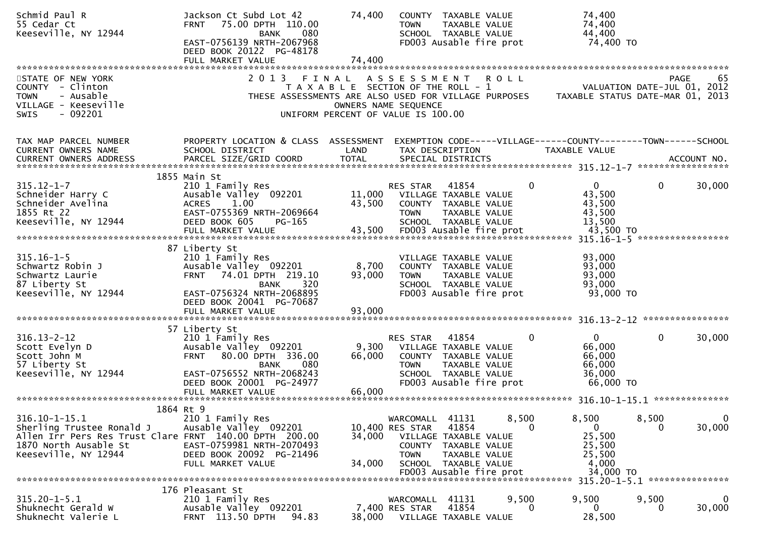| Schmid Paul R<br>55 Cedar Ct<br>Keeseville, NY 12944                                                                                                        | Jackson Ct Subd Lot 42<br>75.00 DPTH 110.00<br><b>FRNT</b><br>080<br>BANK<br>EAST-0756139 NRTH-2067968<br>DEED BOOK 20122 PG-48178<br>FULL MARKET VALUE                                            | 74,400<br>74,400          | COUNTY TAXABLE VALUE<br><b>TAXABLE VALUE</b><br><b>TOWN</b><br>SCHOOL TAXABLE VALUE<br>FD003 Ausable fire prot                                                                     |                   | 74,400<br>74,400<br>44,400<br>74,400 TO                                   |                   |                |
|-------------------------------------------------------------------------------------------------------------------------------------------------------------|----------------------------------------------------------------------------------------------------------------------------------------------------------------------------------------------------|---------------------------|------------------------------------------------------------------------------------------------------------------------------------------------------------------------------------|-------------------|---------------------------------------------------------------------------|-------------------|----------------|
|                                                                                                                                                             |                                                                                                                                                                                                    |                           |                                                                                                                                                                                    |                   |                                                                           |                   |                |
| STATE OF NEW YORK<br>COUNTY - Clinton<br>- Ausable<br><b>TOWN</b><br>VILLAGE - Keeseville<br>$-092201$<br><b>SWIS</b>                                       | 2 0 1 3<br>FINAL                                                                                                                                                                                   |                           | ASSESSMENT ROLL<br>T A X A B L E SECTION OF THE ROLL - 1<br>THESE ASSESSMENTS ARE ALSO USED FOR VILLAGE PURPOSES<br>OWNERS NAME SEQUENCE<br>UNIFORM PERCENT OF VALUE IS 100.00     |                   | VALUATION DATE-JUL 01, 2012<br>TAXABLE STATUS DATE-MAR 01, 2013           | PAGE              | 65             |
| TAX MAP PARCEL NUMBER<br>CURRENT OWNERS NAME                                                                                                                | PROPERTY LOCATION & CLASS ASSESSMENT<br>SCHOOL DISTRICT                                                                                                                                            | LAND                      | EXEMPTION CODE-----VILLAGE------COUNTY--------TOWN------SCHOOL<br>TAX DESCRIPTION                                                                                                  |                   | TAXABLE VALUE                                                             |                   |                |
|                                                                                                                                                             |                                                                                                                                                                                                    |                           |                                                                                                                                                                                    |                   |                                                                           |                   |                |
| $315.12 - 1 - 7$<br>Schneider Harry C<br>Schneider Avelina<br>1855 Rt 22<br>Keeseville, NY 12944                                                            | 1855 Main St<br>210 1 Family Res<br>Ausable Valley 092201<br>1.00<br><b>ACRES</b><br>EAST-0755369 NRTH-2069664<br>DEED BOOK 605<br>PG-165<br>FULL MARKET VALUE                                     | 43,500<br>43,500          | RES STAR<br>41854<br>11,000 VILLAGE TAXABLE VALUE<br>COUNTY TAXABLE VALUE<br>TAXABLE VALUE<br><b>TOWN</b><br>SCHOOL TAXABLE VALUE<br>FD003 Ausable fire prot                       | $\Omega$          | $\Omega$<br>43,500<br>43,500<br>43,500<br>13,500<br>43,500 TO             | $\mathbf{0}$      | 30,000         |
|                                                                                                                                                             |                                                                                                                                                                                                    |                           |                                                                                                                                                                                    |                   |                                                                           |                   |                |
| $315.16 - 1 - 5$<br>Schwartz Robin J<br>Schwartz Laurie<br>87 Liberty St<br>Keeseville, NY 12944                                                            | 87 Liberty St<br>210 1 Family Res<br>Ausable Valley 092201<br>74.01 DPTH 219.10<br><b>FRNT</b><br><b>BANK</b><br>320<br>EAST-0756324 NRTH-2068895<br>DEED BOOK 20041 PG-70687<br>FULL MARKET VALUE | 8,700<br>93,000<br>93,000 | VILLAGE TAXABLE VALUE<br>COUNTY TAXABLE VALUE<br>TAXABLE VALUE<br><b>TOWN</b><br>SCHOOL TAXABLE VALUE<br>FD003 Ausable fire prot                                                   |                   | 93,000<br>93,000<br>93,000<br>93,000<br>93,000 TO                         |                   |                |
|                                                                                                                                                             |                                                                                                                                                                                                    |                           |                                                                                                                                                                                    |                   |                                                                           |                   |                |
| $316.13 - 2 - 12$<br>Scott Evelyn D<br>Scott John M<br>57 Liberty St<br>Keeseville, NY 12944                                                                | 57 Liberty St<br>210 1 Family Res<br>Ausable Valley 092201<br>FRNT 80.00 DPTH 336.00<br>080<br>BANK<br>EAST-0756552 NRTH-2068243                                                                   | 66,000                    | RES STAR<br>41854<br>9,300 VILLAGE TAXABLE VALUE<br>COUNTY TAXABLE VALUE<br>TAXABLE VALUE<br><b>TOWN</b><br>SCHOOL TAXABLE VALUE                                                   | $\Omega$          | 0<br>66,000<br>66,000<br>66,000<br>36,000                                 | $\mathbf{0}$      | 30,000         |
|                                                                                                                                                             | DEED BOOK 20001 PG-24977                                                                                                                                                                           |                           | FD003 Ausable fire prot                                                                                                                                                            |                   | 66,000 TO                                                                 |                   |                |
|                                                                                                                                                             | FULL MARKET VALUE                                                                                                                                                                                  | 66,000                    |                                                                                                                                                                                    |                   |                                                                           |                   | ************** |
|                                                                                                                                                             | 1864 Rt 9                                                                                                                                                                                          |                           |                                                                                                                                                                                    |                   |                                                                           |                   |                |
| $316.10 - 1 - 15.1$<br>Sherling Trustee Ronald J<br>Allen Irr Pers Res Trust Clare FRNT 140.00 DPTH 200.00<br>1870 North Ausable St<br>Keeseville, NY 12944 | 210 1 Family Res<br>Ausable Valley 092201<br>EAST-0759981 NRTH-2070493<br>DEED BOOK 20092 PG-21496<br>FULL MARKET VALUE                                                                            | 34,000<br>34,000          | 41131<br>WARCOMALL<br>10,400 RES STAR<br>41854<br>VILLAGE TAXABLE VALUE<br>COUNTY TAXABLE VALUE<br><b>TOWN</b><br>TAXABLE VALUE<br>SCHOOL TAXABLE VALUE<br>FD003 Ausable fire prot | 8,500<br>$\Omega$ | 8,500<br>$\mathbf{0}$<br>25,500<br>25,500<br>25,500<br>4,000<br>34,000 TO | 8,500<br>0        | 0<br>30,000    |
|                                                                                                                                                             |                                                                                                                                                                                                    |                           |                                                                                                                                                                                    |                   | 315.20-1-5.1 ****************                                             |                   |                |
| $315.20 - 1 - 5.1$<br>Shuknecht Gerald W<br>Shuknecht Valerie L                                                                                             | 176 Pleasant St<br>210 1 Family Res<br>Ausable Valley 092201<br>FRNT 113.50 DPTH<br>94.83                                                                                                          | 38,000                    | 41131<br>WARCOMALL<br>41854<br>7,400 RES STAR<br>VILLAGE TAXABLE VALUE                                                                                                             | 9,500<br>$\Omega$ | 9,500<br>$\Omega$<br>28,500                                               | 9,500<br>$\Omega$ | 0<br>30,000    |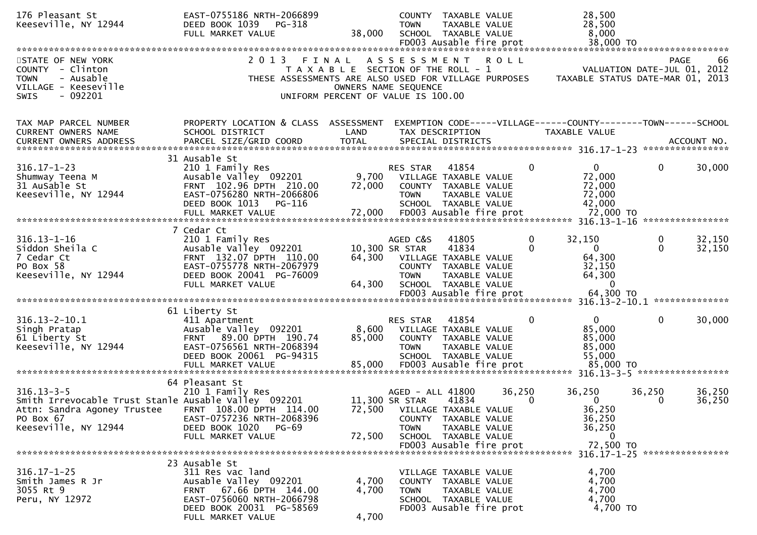| 176 Pleasant St<br>Keeseville, NY 12944              | EAST-0755186 NRTH-2066899<br>DEED BOOK 1039<br>PG-318<br>FULL MARKET VALUE | 38,000                                         | <b>TOWN</b>         | COUNTY TAXABLE VALUE<br>TAXABLE VALUE<br>SCHOOL TAXABLE VALUE<br>FD003 Ausable fire prot |          | 28,500<br>28,500<br>8,000<br>38,000 TO                                         |                             |             |
|------------------------------------------------------|----------------------------------------------------------------------------|------------------------------------------------|---------------------|------------------------------------------------------------------------------------------|----------|--------------------------------------------------------------------------------|-----------------------------|-------------|
|                                                      |                                                                            |                                                |                     |                                                                                          |          |                                                                                |                             |             |
| STATE OF NEW YORK<br>COUNTY - Clinton                | 2 0 1 3                                                                    | FINAL<br>T A X A B L E SECTION OF THE ROLL - 1 | A S S E S S M E N T |                                                                                          | ROLL     |                                                                                | VALUATION DATE-JUL 01, 2012 | 66<br>PAGE  |
| <b>TOWN</b><br>- Ausable<br>VILLAGE - Keeseville     | THESE ASSESSMENTS ARE ALSO USED FOR VILLAGE PURPOSES                       | OWNERS NAME SEQUENCE                           |                     |                                                                                          |          | TAXABLE STATUS DATE-MAR 01, 2013                                               |                             |             |
| $-092201$<br><b>SWIS</b>                             |                                                                            | UNIFORM PERCENT OF VALUE IS 100.00             |                     |                                                                                          |          |                                                                                |                             |             |
|                                                      |                                                                            |                                                |                     |                                                                                          |          |                                                                                |                             |             |
| TAX MAP PARCEL NUMBER<br>CURRENT OWNERS NAME         | PROPERTY LOCATION & CLASS ASSESSMENT<br>SCHOOL DISTRICT                    | LAND                                           |                     | TAX DESCRIPTION                                                                          |          | EXEMPTION CODE-----VILLAGE------COUNTY-------TOWN------SCHOOL<br>TAXABLE VALUE |                             |             |
| <b>CURRENT OWNERS ADDRESS</b>                        | PARCEL SIZE/GRID COORD                                                     | <b>TOTAL</b>                                   |                     | SPECIAL DISTRICTS                                                                        |          |                                                                                |                             | ACCOUNT NO. |
|                                                      | 31 Ausable St                                                              |                                                |                     |                                                                                          |          |                                                                                |                             |             |
| $316.17 - 1 - 23$                                    | 210 1 Family Res                                                           |                                                | RES STAR            | 41854                                                                                    | $\Omega$ | $\overline{0}$                                                                 | $\mathbf{0}$                | 30,000      |
| Shumway Teena M<br>31 AuSable St                     | Ausable Valley 092201<br>FRNT 102.96 DPTH 210.00                           | 9,700<br>72,000                                |                     | VILLAGE TAXABLE VALUE<br>COUNTY TAXABLE VALUE                                            |          | 72,000<br>72,000                                                               |                             |             |
| Keeseville, NY 12944                                 | EAST-0756280 NRTH-2066806                                                  |                                                | <b>TOWN</b>         | TAXABLE VALUE                                                                            |          | 72,000                                                                         |                             |             |
|                                                      | DEED BOOK 1013<br>PG-116                                                   |                                                |                     | SCHOOL TAXABLE VALUE                                                                     |          | 42,000                                                                         |                             |             |
|                                                      |                                                                            |                                                |                     |                                                                                          |          |                                                                                |                             |             |
| $316.13 - 1 - 16$                                    | 7 Cedar Ct<br>210 1 Family Res                                             |                                                | AGED C&S            | 41805                                                                                    | 0        | 32,150                                                                         |                             | 32,150      |
| Siddon Sheila C                                      | Ausable Valley 092201                                                      |                                                | 10,300 SR STAR      | 41834                                                                                    | $\Omega$ | $\mathbf{0}$                                                                   | $\mathbf{0}$                | 32,150      |
| 7 Cedar Ct                                           | FRNT 132.07 DPTH 110.00                                                    |                                                |                     | 64,300 VILLAGE TAXABLE VALUE                                                             |          | 64,300                                                                         |                             |             |
| PO Box 58<br>Keeseville, NY 12944                    | EAST-0755778 NRTH-2067979<br>DEED BOOK 20041 PG-76009                      |                                                | <b>TOWN</b>         | COUNTY TAXABLE VALUE<br>TAXABLE VALUE                                                    |          | 32,150<br>64,300                                                               |                             |             |
|                                                      | FULL MARKET VALUE                                                          | 64,300                                         |                     | SCHOOL TAXABLE VALUE                                                                     |          | $\Omega$                                                                       |                             |             |
|                                                      |                                                                            |                                                |                     | FD003 Ausable fire prot                                                                  |          | 64,300 ТО                                                                      |                             |             |
|                                                      | 61 Liberty St                                                              |                                                |                     |                                                                                          |          |                                                                                |                             |             |
| $316.13 - 2 - 10.1$                                  | 411 Apartment                                                              | 8,600                                          | RES STAR            | 41854                                                                                    | 0        | $\mathbf 0$<br>85,000                                                          | 0                           | 30,000      |
| Singh Pratap<br>61 Liberty St                        | Ausable Valley 092201<br>FRNT 89.00 DPTH 190.74                            | 85,000                                         |                     | VILLAGE TAXABLE VALUE<br>COUNTY TAXABLE VALUE                                            |          | 85,000                                                                         |                             |             |
| Keeseville, NY 12944                                 | EAST-0756561 NRTH-2068394                                                  |                                                | <b>TOWN</b>         | TAXABLE VALUE                                                                            |          | 85,000                                                                         |                             |             |
|                                                      | DEED BOOK 20061 PG-94315<br>FULL MARKET VALUE                              | 85,000                                         |                     | SCHOOL TAXABLE VALUE<br>FD003 Ausable fire prot                                          |          | 55,000<br>85,000 TO                                                            |                             |             |
|                                                      |                                                                            |                                                |                     |                                                                                          |          | 316.13-3-5 ******************                                                  |                             |             |
| $316.13 - 3 - 5$                                     | 64 Pleasant St<br>210 1 Family Res                                         |                                                | AGED - ALL 41800    |                                                                                          | 36,250   | 36,250                                                                         | 36,250                      | 36,250      |
| Smith Irrevocable Trust Stanle Ausable Valley 092201 |                                                                            |                                                | 11,300 SR STAR      | 41834                                                                                    | $\Omega$ | $\mathbf{0}$                                                                   | 0                           | 36,250      |
| Attn: Sandra Agoney Trustee                          | FRNT 108.00 DPTH 114.00                                                    | 72,500                                         |                     | VILLAGE TAXABLE VALUE                                                                    |          | 36,250                                                                         |                             |             |
| PO Box 67<br>Keeseville, NY 12944                    | EAST-0757236 NRTH-2068396<br>DEED BOOK 1020<br>PG-69                       |                                                | <b>TOWN</b>         | COUNTY TAXABLE VALUE<br>TAXABLE VALUE                                                    |          | 36,250<br>36,250                                                               |                             |             |
|                                                      | FULL MARKET VALUE                                                          | 72,500                                         |                     | SCHOOL TAXABLE VALUE                                                                     |          | 0                                                                              |                             |             |
|                                                      |                                                                            |                                                |                     | FD003 Ausable fire prot                                                                  |          | 72,500 TO<br>316.17-1-25 *****************                                     |                             |             |
|                                                      | 23 Ausable St                                                              |                                                |                     |                                                                                          |          |                                                                                |                             |             |
| $316.17 - 1 - 25$                                    | 311 Res vac land                                                           |                                                |                     | VILLAGE TAXABLE VALUE                                                                    |          | 4,700                                                                          |                             |             |
| Smith James R Jr<br>3055 Rt 9                        | Ausable Valley 092201<br>FRNT 67.66 DPTH 144.00                            | 4,700<br>4,700                                 | <b>TOWN</b>         | COUNTY TAXABLE VALUE<br>TAXABLE VALUE                                                    |          | 4,700<br>4,700                                                                 |                             |             |
| Peru, NY 12972                                       | EAST-0756060 NRTH-2066798                                                  |                                                |                     | SCHOOL TAXABLE VALUE                                                                     |          | 4,700                                                                          |                             |             |
|                                                      | DEED BOOK 20031 PG-58569<br>FULL MARKET VALUE                              | 4,700                                          |                     | FD003 Ausable fire prot                                                                  |          | 4,700 TO                                                                       |                             |             |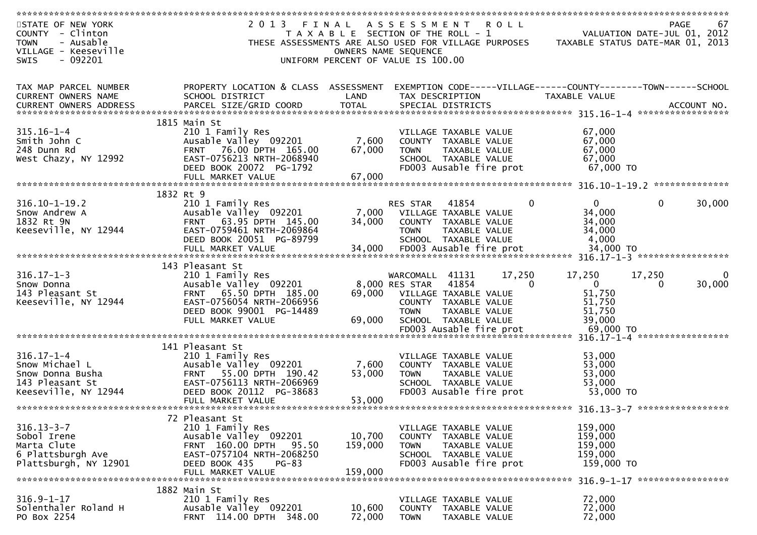| STATE OF NEW YORK                   | 2 0 1 3<br>FINAL                                 |                      | A S S E S S M E N T                                               | ROLL   |                                  |              | PAGE<br>67        |
|-------------------------------------|--------------------------------------------------|----------------------|-------------------------------------------------------------------|--------|----------------------------------|--------------|-------------------|
| COUNTY - Clinton                    |                                                  |                      | T A X A B L E SECTION OF THE ROLL - 1                             |        | VALUATION DATE-JUL 01, 2012      |              |                   |
| - Ausable<br><b>TOWN</b>            |                                                  |                      | THESE ASSESSMENTS ARE ALSO USED FOR VILLAGE PURPOSES              |        | TAXABLE STATUS DATE-MAR 01, 2013 |              |                   |
| VILLAGE - Keeseville                |                                                  | OWNERS NAME SEQUENCE |                                                                   |        |                                  |              |                   |
| <b>SWIS</b><br>- 092201             |                                                  |                      | UNIFORM PERCENT OF VALUE IS 100.00                                |        |                                  |              |                   |
|                                     |                                                  |                      |                                                                   |        |                                  |              |                   |
|                                     |                                                  |                      |                                                                   |        |                                  |              |                   |
| TAX MAP PARCEL NUMBER               | PROPERTY LOCATION & CLASS ASSESSMENT             |                      | EXEMPTION CODE-----VILLAGE------COUNTY--------TOWN------SCHOOL    |        |                                  |              |                   |
|                                     |                                                  |                      |                                                                   |        |                                  |              |                   |
| CURRENT OWNERS NAME                 | SCHOOL DISTRICT                                  | LAND                 | TAX DESCRIPTION                                                   |        | TAXABLE VALUE                    |              |                   |
|                                     |                                                  |                      |                                                                   |        |                                  |              |                   |
|                                     |                                                  |                      |                                                                   |        |                                  |              |                   |
|                                     | 1815 Main St                                     |                      |                                                                   |        |                                  |              |                   |
| $315.16 - 1 - 4$                    | 210 1 Family Res                                 |                      | VILLAGE TAXABLE VALUE                                             |        | 67,000                           |              |                   |
| Smith John C                        | Ausable Valley 092201                            | 7,600                | COUNTY TAXABLE VALUE                                              |        | 67,000                           |              |                   |
| 248 Dunn Rd                         | FRNT 76.00 DPTH 165.00                           | 67,000               | <b>TOWN</b><br>TAXABLE VALUE                                      |        | 67,000                           |              |                   |
| West Chazy, NY 12992                | EAST-0756213 NRTH-2068940                        |                      | SCHOOL TAXABLE VALUE                                              |        | 67,000                           |              |                   |
|                                     | DEED BOOK 20072 PG-1792                          |                      | FD003 Ausable fire prot                                           |        | 67,000 TO                        |              |                   |
|                                     | FULL MARKET VALUE                                | 67,000               |                                                                   |        |                                  |              |                   |
|                                     |                                                  |                      |                                                                   |        |                                  |              |                   |
|                                     | 1832 Rt 9                                        |                      |                                                                   |        |                                  |              |                   |
| $316.10 - 1 - 19.2$                 | 210 1 Family Res                                 |                      | RES STAR<br>41854                                                 | 0      | $\Omega$                         | $\mathbf{0}$ | 30,000            |
| Snow Andrew A                       | Ausable Valley 092201                            | 7,000                | VILLAGE TAXABLE VALUE                                             |        | 34,000                           |              |                   |
| 1832 Rt 9N                          | FRNT 63.95 DPTH 145.00                           | 34,000               | COUNTY TAXABLE VALUE                                              |        | 34,000                           |              |                   |
|                                     |                                                  |                      |                                                                   |        |                                  |              |                   |
| Keeseville, NY 12944                | EAST-0759461 NRTH-2069864                        |                      | <b>TOWN</b><br>TAXABLE VALUE                                      |        | 34,000                           |              |                   |
|                                     | DEED BOOK 20051 PG-89799                         |                      | SCHOOL TAXABLE VALUE                                              |        | 4,000                            |              |                   |
|                                     | FULL MARKET VALUE                                | 34,000               | FD003 Ausable fire prot                                           |        | 34,000 TO                        |              |                   |
|                                     |                                                  |                      |                                                                   |        | $316.17 - 1 - 3$                 |              | ***************** |
|                                     |                                                  |                      |                                                                   |        |                                  |              |                   |
|                                     | 143 Pleasant St                                  |                      |                                                                   |        |                                  |              |                   |
| $316.17 - 1 - 3$                    | 210 1 Family Res                                 |                      | WARCOMALL 41131                                                   | 17,250 | 17,250                           | 17,250       |                   |
| Snow Donna                          | Ausable Valley 092201                            |                      | 8,000 RES STAR<br>41854                                           | 0      | $\overline{0}$                   | $\Omega$     | 30,000            |
| 143 Pleasant St                     | 65.50 DPTH 185.00<br><b>FRNT</b>                 | 69,000               | VILLAGE TAXABLE VALUE                                             |        | 51,750                           |              |                   |
|                                     | EAST-0756054 NRTH-2066956                        |                      | COUNTY TAXABLE VALUE                                              |        |                                  |              |                   |
| Keeseville, NY 12944                |                                                  |                      |                                                                   |        | 51,750                           |              |                   |
|                                     | DEED BOOK 99001 PG-14489                         |                      | TAXABLE VALUE<br><b>TOWN</b>                                      |        | 51,750                           |              |                   |
|                                     | FULL MARKET VALUE                                | 69,000               | SCHOOL TAXABLE VALUE                                              |        | 39,000                           |              |                   |
|                                     |                                                  |                      | FD003 Ausable fire prot                                           |        | 69,000 TO                        |              |                   |
|                                     |                                                  |                      | ************************************ 316.17-1-4 ***************** |        |                                  |              |                   |
|                                     | 141 Pleasant St                                  |                      |                                                                   |        |                                  |              |                   |
| $316.17 - 1 - 4$                    | 210 1 Family Res                                 |                      | VILLAGE TAXABLE VALUE                                             |        | 53,000                           |              |                   |
| Snow Michael L                      | Ausable Valley 092201                            | 7,600                | COUNTY TAXABLE VALUE                                              |        | 53,000                           |              |                   |
| Snow Donna Busha                    | 55.00 DPTH 190.42<br><b>FRNT</b>                 | 53,000               | <b>TOWN</b><br>TAXABLE VALUE                                      |        | 53,000                           |              |                   |
| 143 Pleasant St                     | EAST-0756113 NRTH-2066969                        |                      | SCHOOL TAXABLE VALUE                                              |        | 53,000                           |              |                   |
| Keeseville, NY 12944                | DEED BOOK 20112 PG-38683                         |                      | FD003 Ausable fire prot                                           |        | 53,000 TO                        |              |                   |
|                                     | FULL MARKET VALUE                                | 53,000               |                                                                   |        |                                  |              |                   |
|                                     |                                                  |                      |                                                                   |        |                                  |              |                   |
|                                     | 72 Pleasant St                                   |                      |                                                                   |        |                                  |              |                   |
| $316.13 - 3 - 7$                    | 210 1 Family Res                                 |                      | VILLAGE TAXABLE VALUE                                             |        | 159,000                          |              |                   |
| Sobol Irene                         | Ausable Valley 092201                            | 10,700               | COUNTY TAXABLE VALUE                                              |        | 159,000                          |              |                   |
| Marta Clute                         | FRNT 160.00 DPTH<br>95.50                        | 159,000              | <b>TOWN</b><br><b>TAXABLE VALUE</b>                               |        | 159,000                          |              |                   |
| 6 Plattsburgh Ave                   | EAST-0757104 NRTH-2068250                        |                      | SCHOOL TAXABLE VALUE                                              |        | 159,000                          |              |                   |
|                                     |                                                  |                      |                                                                   |        |                                  |              |                   |
| Plattsburgh, NY 12901               | DEED BOOK 435<br>$PG-83$                         |                      | FD003 Ausable fire prot                                           |        | 159,000 TO                       |              |                   |
|                                     | FULL MARKET VALUE                                | 159,000              |                                                                   |        |                                  |              |                   |
|                                     |                                                  |                      |                                                                   |        |                                  |              |                   |
|                                     | 1882 Main St                                     |                      |                                                                   |        |                                  |              |                   |
| $316.9 - 1 - 17$                    | 210 1 Family Res                                 |                      | VILLAGE TAXABLE VALUE                                             |        | 72,000                           |              |                   |
| Solenthaler Roland H<br>PO Box 2254 | Ausable Valley 092201<br>FRNT 114.00 DPTH 348.00 | 10,600<br>72,000     | COUNTY TAXABLE VALUE<br><b>TOWN</b><br>TAXABLE VALUE              |        | 72,000<br>72,000                 |              |                   |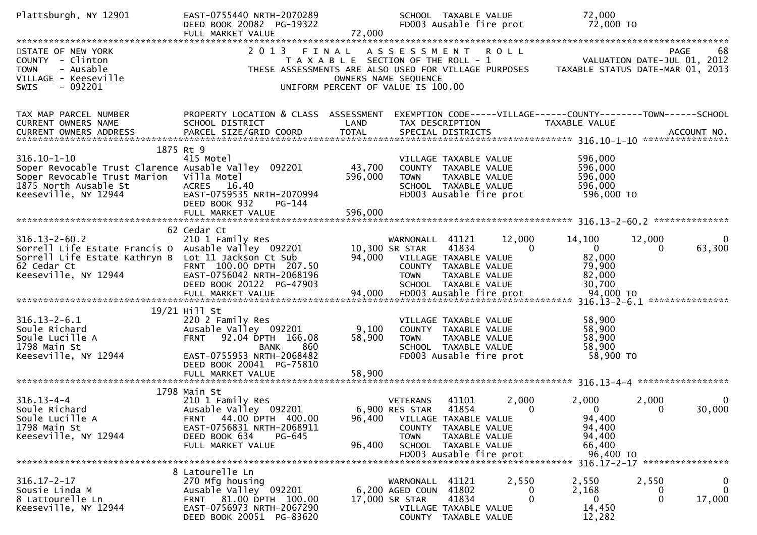| Plattsburgh, NY 12901                                                                                                                     | EAST-0755440 NRTH-2070289<br>DEED BOOK 20082 PG-19322<br>FULL MARKET VALUE | 72,000                             |                              | SCHOOL TAXABLE VALUE<br>FD003 Ausable fire prot |             | 72,000<br>72,000 TO                                                                                                            |          |                               |
|-------------------------------------------------------------------------------------------------------------------------------------------|----------------------------------------------------------------------------|------------------------------------|------------------------------|-------------------------------------------------|-------------|--------------------------------------------------------------------------------------------------------------------------------|----------|-------------------------------|
|                                                                                                                                           |                                                                            |                                    |                              |                                                 |             |                                                                                                                                |          |                               |
| STATE OF NEW YORK<br>COUNTY - Clinton<br>- Ausable<br><b>TOWN</b>                                                                         | 2 0 1 3                                                                    | FINAL                              | ASSESSMENT                   |                                                 | <b>ROLL</b> | T A X A B L E SECTION OF THE ROLL - 1<br>THESE ASSESSMENTS ARE ALSO USED FOR VILLAGE PURPOSES TAXABLE STATUS DATE-MAR 01, 2013 |          | 68<br>PAGE                    |
| VILLAGE - Keeseville<br>$-092201$<br>SWIS                                                                                                 |                                                                            | UNIFORM PERCENT OF VALUE IS 100.00 | OWNERS NAME SEQUENCE         |                                                 |             |                                                                                                                                |          |                               |
| TAX MAP PARCEL NUMBER                                                                                                                     | PROPERTY LOCATION & CLASS ASSESSMENT                                       |                                    |                              |                                                 |             | EXEMPTION CODE-----VILLAGE------COUNTY-------TOWN------SCHOOL                                                                  |          |                               |
| CURRENT OWNERS NAME<br>.CURRENT OWNERS ADDRESS PARCEL SIZE/GRID COORD TOTAL SPECIAL DISTRICTS ACCOUNT NO ACCOUNT NO ACCOUNT NO ACCOUNT NO | SCHOOL DISTRICT                                                            | LAND                               |                              | TAX DESCRIPTION                                 |             | TAXABLE VALUE                                                                                                                  |          |                               |
|                                                                                                                                           |                                                                            |                                    |                              |                                                 |             |                                                                                                                                |          |                               |
| $316.10 - 1 - 10$                                                                                                                         | 1875 Rt 9<br>415 Motel                                                     |                                    |                              |                                                 |             |                                                                                                                                |          |                               |
| Soper Revocable Trust Clarence Ausable Valley 092201                                                                                      |                                                                            | 43,700                             |                              | VILLAGE TAXABLE VALUE<br>COUNTY TAXABLE VALUE   |             | 596,000<br>596,000                                                                                                             |          |                               |
| Soper Revocable Trust Marion                                                                                                              | Villa Motel                                                                | 596,000                            | <b>TOWN</b>                  | TAXABLE VALUE                                   |             | 596,000                                                                                                                        |          |                               |
| 1875 North Ausable St                                                                                                                     | ACRES 16.40                                                                |                                    |                              | SCHOOL TAXABLE VALUE                            |             | 596,000                                                                                                                        |          |                               |
| Keeseville, NY 12944                                                                                                                      | EAST-0759535 NRTH-2070994                                                  |                                    |                              | FD003 Ausable fire prot                         |             | 596,000 TO                                                                                                                     |          |                               |
|                                                                                                                                           | DEED BOOK 932<br>PG-144                                                    |                                    |                              |                                                 |             |                                                                                                                                |          |                               |
|                                                                                                                                           |                                                                            |                                    |                              |                                                 |             |                                                                                                                                |          |                               |
|                                                                                                                                           |                                                                            |                                    |                              |                                                 |             |                                                                                                                                |          |                               |
|                                                                                                                                           | 62 Cedar Ct                                                                |                                    |                              |                                                 |             |                                                                                                                                |          |                               |
| $316.13 - 2 - 60.2$                                                                                                                       | 210 1 Family Res                                                           |                                    | WARNONALL 41121              |                                                 | 12,000      | 14,100                                                                                                                         | 12,000   | 0                             |
| Sorrell Life Estate Francis O                                                                                                             | Ausable Valley 092201                                                      |                                    | 10,300 SR STAR               | 41834                                           | $\Omega$    | $\mathbf 0$                                                                                                                    | 0        | 63,300                        |
| Sorrell Life Estate Kathryn B Lot 11 Jackson Ct Sub                                                                                       |                                                                            |                                    | 94,000 VILLAGE TAXABLE VALUE |                                                 |             | 82,000                                                                                                                         |          |                               |
| 62 Cedar Ct                                                                                                                               | FRNT 100.00 DPTH 207.50                                                    |                                    |                              | COUNTY TAXABLE VALUE                            |             | 79,900                                                                                                                         |          |                               |
| Keeseville, NY 12944                                                                                                                      | EAST-0756042 NRTH-2068196<br>DEED BOOK 20122 PG-47903                      |                                    | <b>TOWN</b>                  | TAXABLE VALUE<br>SCHOOL TAXABLE VALUE           |             | 82,000<br>30,700                                                                                                               |          |                               |
|                                                                                                                                           |                                                                            |                                    |                              |                                                 |             |                                                                                                                                |          |                               |
|                                                                                                                                           |                                                                            |                                    |                              |                                                 |             |                                                                                                                                |          |                               |
|                                                                                                                                           | 19/21 Hill St                                                              |                                    |                              |                                                 |             |                                                                                                                                |          |                               |
| $316.13 - 2 - 6.1$                                                                                                                        | 220 2 Family Res                                                           |                                    |                              | VILLAGE TAXABLE VALUE                           |             | 58,900                                                                                                                         |          |                               |
| Soule Richard                                                                                                                             | Ausable Valley 092201                                                      | 9,100                              |                              | COUNTY TAXABLE VALUE                            |             | 58,900                                                                                                                         |          |                               |
| Soule Lucille A                                                                                                                           | 92.04 DPTH 166.08<br><b>FRNT</b>                                           | 58,900                             | <b>TOWN</b>                  | TAXABLE VALUE                                   |             | 58,900                                                                                                                         |          |                               |
| 1798 Main St                                                                                                                              | <b>BANK</b><br>860                                                         |                                    |                              | SCHOOL TAXABLE VALUE                            |             | 58,900                                                                                                                         |          |                               |
| Keeseville, NY 12944                                                                                                                      | EAST-0755953 NRTH-2068482                                                  |                                    |                              | FD003 Ausable fire prot                         |             | 58,900 TO                                                                                                                      |          |                               |
|                                                                                                                                           | DEED BOOK 20041 PG-75810                                                   |                                    |                              |                                                 |             |                                                                                                                                |          |                               |
|                                                                                                                                           | FULL MARKET VALUE                                                          | 58,900                             |                              |                                                 |             |                                                                                                                                |          | *****************             |
|                                                                                                                                           |                                                                            |                                    |                              |                                                 |             |                                                                                                                                |          |                               |
| $316.13 - 4 - 4$                                                                                                                          | 1798 Main St<br>210 1 Family Res                                           |                                    | <b>VETERANS</b>              | 41101                                           | 2,000       | 2,000                                                                                                                          | 2,000    | 0                             |
| Soule Richard                                                                                                                             | Ausable Valley 092201                                                      |                                    | 6,900 RES STAR               | 41854                                           | $\Omega$    | $\Omega$                                                                                                                       | $\Omega$ | 30,000                        |
| Soule Lucille A                                                                                                                           | 44.00 DPTH 400.00<br><b>FRNT</b>                                           | 96,400                             |                              | VILLAGE TAXABLE VALUE                           |             | 94,400                                                                                                                         |          |                               |
| 1798 Main St                                                                                                                              | EAST-0756831 NRTH-2068911                                                  |                                    | <b>COUNTY</b>                | TAXABLE VALUE                                   |             | 94,400                                                                                                                         |          |                               |
| Keeseville, NY 12944                                                                                                                      | DEED BOOK 634<br>PG-645                                                    |                                    | <b>TOWN</b>                  | TAXABLE VALUE                                   |             | 94,400                                                                                                                         |          |                               |
|                                                                                                                                           | FULL MARKET VALUE                                                          | 96,400                             |                              | SCHOOL TAXABLE VALUE                            |             | 66,400                                                                                                                         |          |                               |
|                                                                                                                                           |                                                                            |                                    |                              | FD003 Ausable fire prot                         |             | 96,400 TO                                                                                                                      |          |                               |
|                                                                                                                                           |                                                                            |                                    |                              |                                                 |             |                                                                                                                                |          | 316.17-2-17 ***************** |
|                                                                                                                                           | 8 Latourelle Ln                                                            |                                    |                              |                                                 |             |                                                                                                                                |          |                               |
| $316.17 - 2 - 17$                                                                                                                         | 270 Mfg housing                                                            |                                    | WARNONALL                    | 41121                                           | 2,550       | 2,550                                                                                                                          | 2,550    | 0                             |
| Sousie Linda M                                                                                                                            | Ausable Valley 092201                                                      |                                    | 6,200 AGED COUN              | 41802                                           | 0           | 2,168                                                                                                                          | 0        | $\mathbf{0}$                  |
| 8 Lattourelle Ln<br>Keeseville, NY 12944                                                                                                  | FRNT 81.00 DPTH 100.00<br>EAST-0756973 NRTH-2067290                        |                                    | 17,000 SR STAR               | 41834                                           | 0           | $\mathbf 0$<br>14,450                                                                                                          | 0        | 17,000                        |
|                                                                                                                                           | DEED BOOK 20051 PG-83620                                                   |                                    |                              | VILLAGE TAXABLE VALUE<br>COUNTY TAXABLE VALUE   |             | 12,282                                                                                                                         |          |                               |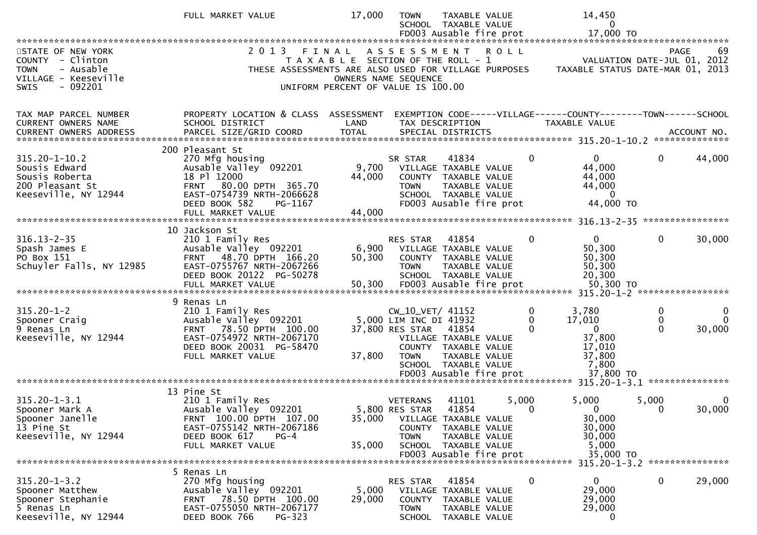|                                                                                                                       | FULL MARKET VALUE                                                                                                                                                         | 17,000                                                                                                       | TOWN                                                                         | TAXABLE VALUE<br>SCHOOL TAXABLE VALUE<br>FD003 Ausable fire prot                                                                    |                   | 14,450<br>0<br>17,000 TO                                                               |              |                         |
|-----------------------------------------------------------------------------------------------------------------------|---------------------------------------------------------------------------------------------------------------------------------------------------------------------------|--------------------------------------------------------------------------------------------------------------|------------------------------------------------------------------------------|-------------------------------------------------------------------------------------------------------------------------------------|-------------------|----------------------------------------------------------------------------------------|--------------|-------------------------|
| STATE OF NEW YORK<br>COUNTY - Clinton<br>- Ausable<br><b>TOWN</b><br>VILLAGE - Keeseville<br>$-092201$<br><b>SWIS</b> | 2 0 1 3<br>THESE ASSESSMENTS ARE ALSO USED FOR VILLAGE PURPOSES                                                                                                           | FINAL<br>T A X A B L E SECTION OF THE ROLL - 1<br>OWNERS NAME SEQUENCE<br>UNIFORM PERCENT OF VALUE IS 100.00 |                                                                              | ASSESSMENT ROLL                                                                                                                     |                   | VALUATION DATE-JUL 01, 2012<br>TAXABLE STATUS DATE-MAR 01, 2013                        |              | 69<br>PAGE              |
| TAX MAP PARCEL NUMBER<br><b>CURRENT OWNERS NAME</b>                                                                   | PROPERTY LOCATION & CLASS ASSESSMENT<br>SCHOOL DISTRICT                                                                                                                   | LAND                                                                                                         |                                                                              | TAX DESCRIPTION                                                                                                                     |                   | EXEMPTION CODE-----VILLAGE------COUNTY--------TOWN------SCHOOL<br><b>TAXABLE VALUE</b> |              |                         |
| $315.20 - 1 - 10.2$<br>Sousis Edward<br>Sousis Roberta<br>200 Pleasant St<br>Keeseville, NY 12944                     | 200 Pleasant St<br>270 Mfg housing<br>Ausable Valley 092201<br>18 Pl 12000<br>FRNT 80.00 DPTH 365.70<br>EAST-0754739 NRTH-2066628<br>DEED BOOK 582<br>PG-1167             | 9,700<br>44,000                                                                                              | SR STAR<br><b>TOWN</b>                                                       | 41834<br>VILLAGE TAXABLE VALUE<br>COUNTY TAXABLE VALUE<br>TAXABLE VALUE<br>SCHOOL TAXABLE VALUE<br>FD003 Ausable fire prot          | $\Omega$          | 0<br>44,000<br>44,000<br>44,000<br>$\overline{0}$<br>44,000 TO                         | $\mathbf{0}$ | 44,000                  |
|                                                                                                                       |                                                                                                                                                                           |                                                                                                              |                                                                              |                                                                                                                                     |                   |                                                                                        |              |                         |
| $316.13 - 2 - 35$<br>Spash James E<br>PO Box 151<br>Schuyler Falls, NY 12985                                          | 10 Jackson St<br>210 1 Family Res<br>Ausable Valley 092201<br>48.70 DPTH 166.20<br><b>FRNT</b><br>EAST-0755767 NRTH-2067266<br>DEED BOOK 20122 PG-50278                   | 6,900<br>50,300                                                                                              | RES STAR<br><b>TOWN</b>                                                      | 41854<br>VILLAGE TAXABLE VALUE<br>COUNTY TAXABLE VALUE<br>TAXABLE VALUE<br>SCHOOL TAXABLE VALUE                                     | $\Omega$          | $\mathbf{0}$<br>50,300<br>50,300<br>50,300<br>20,300                                   | $\mathbf{0}$ | 30,000                  |
| $315.20 - 1 - 2$<br>Spooner Craig<br>9 Renas Ln<br>Keeseville, NY 12944                                               | 9 Renas Ln<br>210 1 Family Res<br>Ausable Valley 092201<br>78.50 DPTH 100.00<br><b>FRNT</b><br>EAST-0754972 NRTH-2067170<br>DEED BOOK 20031 PG-58470<br>FULL MARKET VALUE | 37,800                                                                                                       | CW_10_VET/ 41152<br>5,000 LIM INC DI 41932<br>37,800 RES STAR<br><b>TOWN</b> | 41854<br>VILLAGE TAXABLE VALUE<br>COUNTY TAXABLE VALUE<br>TAXABLE VALUE<br>SCHOOL TAXABLE VALUE<br>FD003 Ausable fire prot          | 0                 | 3,780<br>17,010<br>$\mathbf{0}$<br>37,800<br>17,010<br>37,800<br>7,800<br>37,800 TO    | 0<br>0       | 0<br>$\Omega$<br>30,000 |
|                                                                                                                       |                                                                                                                                                                           |                                                                                                              |                                                                              |                                                                                                                                     |                   | 315.20-1-3.1 ****************                                                          |              |                         |
| $315.20 - 1 - 3.1$<br>Spooner Mark A<br>Spooner Janelle<br>13 Pine St<br>Keeseville, NY 12944                         | 13 Pine St<br>210 1 Family Res<br>Ausable Valley 092201<br>FRNT 100.00 DPTH 107.00<br>EAST-0755142 NRTH-2067186<br>DEED BOOK 617<br>$PG-4$<br>FULL MARKET VALUE           | 35,000<br>35,000                                                                                             | <b>VETERANS</b><br>5,800 RES STAR<br>TOWN                                    | 41101<br>41854<br>VILLAGE TAXABLE VALUE<br>COUNTY TAXABLE VALUE<br>TAXABLE VALUE<br>SCHOOL TAXABLE VALUE<br>FD003 Ausable fire prot | 5,000<br>$\Omega$ | 5,000<br>$\Omega$<br>30,000<br>30,000<br>30,000<br>5,000<br>35,000 TO                  | 5,000<br>0   | 0<br>30,000             |
|                                                                                                                       |                                                                                                                                                                           |                                                                                                              |                                                                              |                                                                                                                                     |                   | 315.20-1-3.2 ****************                                                          |              |                         |
| $315.20 - 1 - 3.2$<br>Spooner Matthew<br>Spooner Stephanie<br>5 Renas Ln<br>Keeseville, NY 12944                      | kenas Ln נ<br>270 Mfg housing<br>Ausable Valley 092201<br>FRNT 78.50 DPTH 100.00<br>EAST-0755050 NRTH-2067177<br>DEED BOOK 766<br>PG-323                                  | 5,000<br>29,000                                                                                              | RES STAR<br><b>TOWN</b><br><b>SCHOOL</b>                                     | 41854<br>VILLAGE TAXABLE VALUE<br>COUNTY TAXABLE VALUE<br>TAXABLE VALUE<br>TAXABLE VALUE                                            | 0                 | $\mathbf{0}$<br>29,000<br>29,000<br>29,000<br>0                                        | $\mathbf{0}$ | 29,000                  |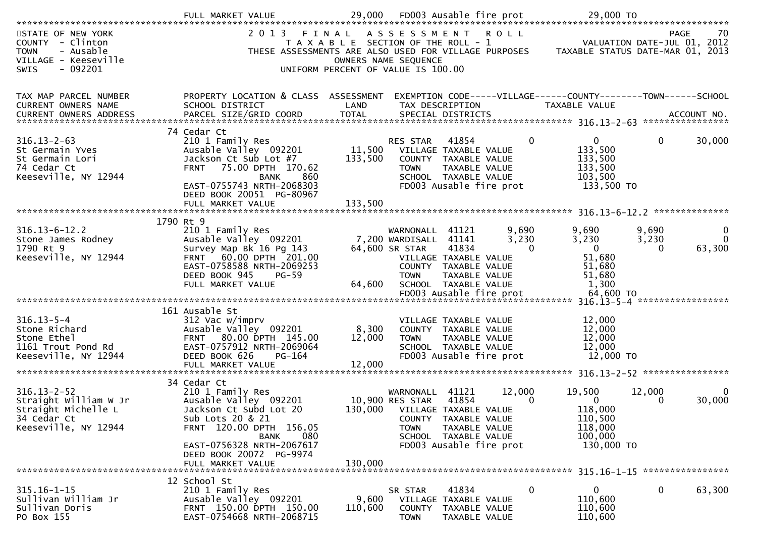| STATE OF NEW YORK<br>COUNTY - Clinton<br>- Ausable<br><b>TOWN</b><br>VILLAGE - Keeseville<br>$-092201$<br><b>SWIS</b> | 2 0 1 3                                                                                                                                                                                    | FINAL                     | ASSESSMENT ROLL<br>T A X A B L E SECTION OF THE ROLL - 1<br>THESE ASSESSMENTS ARE ALSO USED FOR VILLAGE PURPOSES<br>OWNERS NAME SEQUENCE<br>UNIFORM PERCENT OF VALUE IS 100.00                             |                                                                                  | PAGE<br>70<br>VALUATION DATE-JUL 01, 2012<br>TAXABLE STATUS DATE-MAR 01, 2013 |
|-----------------------------------------------------------------------------------------------------------------------|--------------------------------------------------------------------------------------------------------------------------------------------------------------------------------------------|---------------------------|------------------------------------------------------------------------------------------------------------------------------------------------------------------------------------------------------------|----------------------------------------------------------------------------------|-------------------------------------------------------------------------------|
| TAX MAP PARCEL NUMBER<br>CURRENT OWNERS NAME                                                                          | PROPERTY LOCATION & CLASS ASSESSMENT<br>SCHOOL DISTRICT                                                                                                                                    | LAND                      | EXEMPTION CODE-----VILLAGE------COUNTY--------TOWN------SCHOOL<br>TAX DESCRIPTION                                                                                                                          | TAXABLE VALUE                                                                    |                                                                               |
| $316.13 - 2 - 63$<br>St Germain Yves<br>St Germain Lori<br>74 Cedar Ct<br>Keeseville, NY 12944                        | 74 Cedar Ct<br>210 1 Family Res<br>Ausable Valley 092201<br>Jackson Ct Sub Lot #7<br>FRNT 75.00 DPTH 170.62<br>860<br><b>BANK</b><br>EAST-0755743 NRTH-2068303<br>DEED BOOK 20051 PG-80967 | 133,500                   | $\mathbf{0}$<br>41854<br>RES STAR<br>11,500 VILLAGE TAXABLE VALUE<br>COUNTY TAXABLE VALUE<br>TAXABLE VALUE<br><b>TOWN</b><br>SCHOOL TAXABLE VALUE<br>FD003 Ausable fire prot                               | 0<br>133,500<br>133,500<br>133,500<br>103,500<br>133,500 TO                      | 30,000<br>0                                                                   |
|                                                                                                                       | FULL MARKET VALUE                                                                                                                                                                          | 133,500                   |                                                                                                                                                                                                            |                                                                                  |                                                                               |
| $316.13 - 6 - 12.2$<br>Stone James Rodney<br>1790 Rt 9<br>Keeseville, NY 12944                                        | 1790 Rt 9<br>210 1 Family Res<br>Ausable Valley 092201<br>Survey Map Bk 16 Pg 143<br>FRNT 60.00 DPTH 201.00<br>EAST-0758588 NRTH-2069253<br>DEED BOOK 945<br>$PG-59$<br>FULL MARKET VALUE  | 64,600                    | 9,690<br>WARNONALL 41121<br>7,200 WARDISALL 41141<br>3,230<br>64,600 SR STAR<br>41834<br>$\Omega$<br>VILLAGE TAXABLE VALUE<br>COUNTY TAXABLE VALUE<br>TAXABLE VALUE<br><b>TOWN</b><br>SCHOOL TAXABLE VALUE | 9,690<br>3,230<br>$\Omega$<br>51,680<br>51,680<br>51,680<br>1,300                | 9.690<br>0<br>3,230<br>$\Omega$<br>63,300<br>$\Omega$                         |
|                                                                                                                       |                                                                                                                                                                                            |                           |                                                                                                                                                                                                            |                                                                                  |                                                                               |
| $316.13 - 5 - 4$<br>Stone Richard<br>Stone Ethel<br>1161 Trout Pond Rd<br>Keeseville, NY 12944                        | 161 Ausable St<br>312 Vac w/imprv<br>Ausable Valley 092201<br>FRNT 80.00 DPTH 145.00<br>EAST-0757912 NRTH-2069064<br>DEED BOOK 626<br>$PG-164$<br>FULL MARKET VALUE                        | 8,300<br>12,000<br>12,000 | VILLAGE TAXABLE VALUE<br>COUNTY TAXABLE VALUE<br>TAXABLE VALUE<br><b>TOWN</b><br>SCHOOL TAXABLE VALUE<br>FD003 Ausable fire prot                                                                           | 12,000<br>12,000<br>12,000<br>12,000<br>12,000 TO                                |                                                                               |
|                                                                                                                       | 34 Cedar Ct                                                                                                                                                                                |                           |                                                                                                                                                                                                            |                                                                                  |                                                                               |
| $316.13 - 2 - 52$<br>Straight William W Jr<br>Straight Michelle L<br>34 Cedar Ct<br>Keeseville, NY 12944              | 210 1 Family Res<br>Ausable Valley 092201<br>Jackson Ct Subd Lot 20<br>Sub Lots 20 & 21<br>FRNT 120.00 DPTH 156.05<br>080<br>BANK<br>EAST-0756328 NRTH-2067617                             |                           | 41121<br>12,000<br>WARNONALL<br>41854<br>10,900 RES STAR<br>0<br>130,000 VILLAGE TAXABLE VALUE<br>COUNTY TAXABLE VALUE<br>TAXABLE VALUE<br><b>TOWN</b><br>SCHOOL TAXABLE VALUE<br>FD003 Ausable fire prot  | 19,500<br>$\mathbf{0}$<br>118,000<br>110,500<br>118,000<br>100,000<br>130,000 TO | 12,000<br>$\Omega$<br>30,000<br>$\Omega$                                      |
|                                                                                                                       | DEED BOOK 20072 PG-9974<br>FULL MARKET VALUE                                                                                                                                               | 130,000                   |                                                                                                                                                                                                            |                                                                                  |                                                                               |
| $315.16 - 1 - 15$<br>Sullivan William Jr<br>Sullivan Doris<br>PO Box 155                                              | 12 School St<br>210 1 Family Res<br>Ausable Valley 092201<br>FRNT 150.00 DPTH 150.00<br>EAST-0754668 NRTH-2068715                                                                          | 9,600<br>110,600          | 41834<br>0<br>SR STAR<br>VILLAGE TAXABLE VALUE<br>COUNTY<br>TAXABLE VALUE<br><b>TOWN</b><br>TAXABLE VALUE                                                                                                  | 0<br>110,600<br>110,600<br>110,600                                               | 0<br>63,300                                                                   |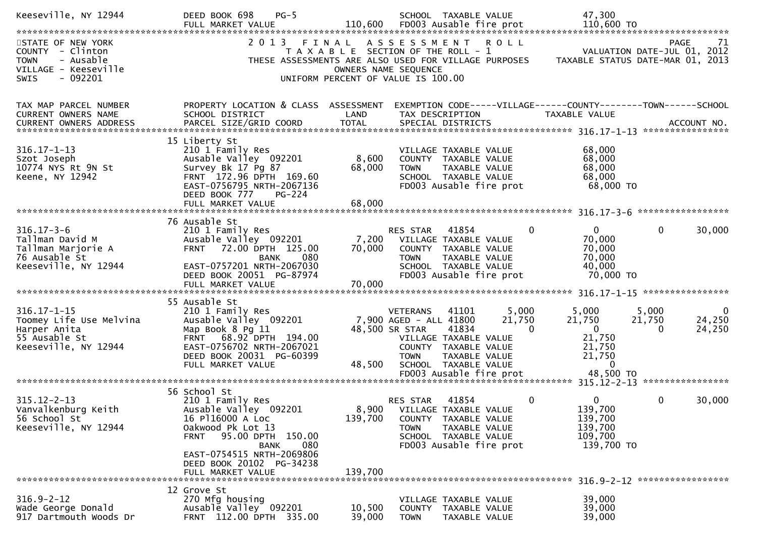| Keeseville, NY 12944                                                                                           | DEED BOOK 698<br>$PG-5$                                                                                                                                                                                                                    |                                                                                                              |                                                                            | SCHOOL TAXABLE VALUE                                                                                                                |                             | 47,300                                                                                     |                                            |                              |
|----------------------------------------------------------------------------------------------------------------|--------------------------------------------------------------------------------------------------------------------------------------------------------------------------------------------------------------------------------------------|--------------------------------------------------------------------------------------------------------------|----------------------------------------------------------------------------|-------------------------------------------------------------------------------------------------------------------------------------|-----------------------------|--------------------------------------------------------------------------------------------|--------------------------------------------|------------------------------|
| STATE OF NEW YORK<br>COUNTY - Clinton<br>- Ausable<br><b>TOWN</b><br>VILLAGE - Keeseville<br>$-092201$<br>SWIS | 2 0 1 3<br>THESE ASSESSMENTS ARE ALSO USED FOR VILLAGE PURPOSES                                                                                                                                                                            | FINAL<br>T A X A B L E SECTION OF THE ROLL - 1<br>OWNERS NAME SEQUENCE<br>UNIFORM PERCENT OF VALUE IS 100.00 |                                                                            | ASSESSMENT ROLL                                                                                                                     |                             | TAXABLE STATUS DATE-MAR 01, 2013                                                           | <b>PAGE</b><br>VALUATION DATE-JUL 01, 2012 | 71                           |
| TAX MAP PARCEL NUMBER<br>CURRENT OWNERS NAME                                                                   | PROPERTY LOCATION & CLASS ASSESSMENT<br>SCHOOL DISTRICT                                                                                                                                                                                    | LAND                                                                                                         |                                                                            | TAX DESCRIPTION                                                                                                                     |                             | EXEMPTION CODE-----VILLAGE------COUNTY--------TOWN------SCHOOL<br>TAXABLE VALUE            |                                            |                              |
| $316.17 - 1 - 13$<br>Szot Joseph<br>10774 NYS Rt 9N St<br>Keene, NY 12942                                      | 15 Liberty St<br>210 1 Family Res<br>Ausable Valley 092201<br>Survey Bk 17 Pg 87<br>FRNT 172.96 DPTH 169.60<br>EAST-0756795 NRTH-2067136<br>DEED BOOK 777<br><b>PG-224</b><br>FULL MARKET VALUE                                            | 8,600<br>68,000<br>68,000                                                                                    | <b>TOWN</b>                                                                | VILLAGE TAXABLE VALUE<br>COUNTY TAXABLE VALUE<br>TAXABLE VALUE<br>SCHOOL TAXABLE VALUE<br>FD003 Ausable fire prot                   |                             | 68,000<br>68,000<br>68,000<br>68,000<br>68,000 TO                                          |                                            |                              |
|                                                                                                                |                                                                                                                                                                                                                                            |                                                                                                              |                                                                            |                                                                                                                                     |                             |                                                                                            |                                            |                              |
| $316.17 - 3 - 6$<br>Tallman David M<br>Tallman Marjorie A<br>76 Ausable St<br>Keeseville, NY 12944             | 76 Ausable St<br>210 1 Family Res<br>Ausable Valley 092201<br>FRNT 72.00 DPTH 125.00<br>080<br><b>BANK</b><br>EAST-0757201 NRTH-2067030                                                                                                    | 7,200<br>70,000                                                                                              | RES STAR<br><b>TOWN</b>                                                    | 41854<br>VILLAGE TAXABLE VALUE<br>COUNTY TAXABLE VALUE<br>TAXABLE VALUE<br>SCHOOL TAXABLE VALUE                                     | $\Omega$                    | $\Omega$<br>70,000<br>70,000<br>70,000<br>40,000                                           | $\mathbf{0}$                               | 30,000                       |
|                                                                                                                | DEED BOOK 20051 PG-87974                                                                                                                                                                                                                   |                                                                                                              |                                                                            | FD003 Ausable fire prot                                                                                                             |                             | 70,000 TO                                                                                  |                                            |                              |
| $316.17 - 1 - 15$<br>Toomey Life Use Melvina<br>Harper Anita<br>55 Ausable St<br>Keeseville, NY 12944          | 55 Ausable St<br>210 1 Family Res<br>Ausable Valley 092201<br>Map Book 8 Pg 11<br>FRNT 68.92 DPTH 194.00<br>EAST-0756702 NRTH-2067021<br>DEED BOOK 20031 PG-60399<br>FULL MARKET VALUE                                                     | 48,500                                                                                                       | <b>VETERANS</b><br>7,900 AGED - ALL 41800<br>48,500 SR STAR<br><b>TOWN</b> | 41101<br>41834<br>VILLAGE TAXABLE VALUE<br>COUNTY TAXABLE VALUE<br>TAXABLE VALUE<br>SCHOOL TAXABLE VALUE<br>FD003 Ausable fire prot | 5,000<br>21,750<br>$\Omega$ | 5,000<br>21,750<br>$\mathbf{0}$<br>21,750<br>21,750<br>21,750<br>$\mathbf{0}$<br>48,500 TO | 5,000<br>21,750<br>0                       | $\bf{0}$<br>24,250<br>24,250 |
|                                                                                                                |                                                                                                                                                                                                                                            |                                                                                                              |                                                                            |                                                                                                                                     |                             |                                                                                            |                                            | ****************             |
| $315.12 - 2 - 13$<br>Vanvalkenburg Keith<br>56 School St<br>Keeseville, NY 12944                               | 56 School St<br>210 1 Family Res<br>Ausable Valley 092201<br>16 P116000 A Loc<br>Oakwood Pk Lot 13<br>95.00 DPTH 150.00<br><b>FRNT</b><br>080<br><b>BANK</b><br>EAST-0754515 NRTH-2069806<br>DEED BOOK 20102 PG-34238<br>FULL MARKET VALUE | 139,700<br>139,700                                                                                           | RES STAR<br>TOWN                                                           | 41854<br>8,900 VILLAGE TAXABLE VALUE<br>COUNTY TAXABLE VALUE<br>TAXABLE VALUE<br>SCHOOL TAXABLE VALUE<br>FD003 Ausable fire prot    | 0                           | $\Omega$<br>139,700<br>139,700<br>139,700<br>109,700<br>139,700 TO                         | 0                                          | 30,000                       |
|                                                                                                                |                                                                                                                                                                                                                                            |                                                                                                              |                                                                            |                                                                                                                                     |                             |                                                                                            |                                            |                              |
| $316.9 - 2 - 12$<br>Wade George Donald<br>917 Dartmouth Woods Dr                                               | 12 Grove St<br>270 Mfg housing<br>Ausable Valley 092201<br>FRNT 112.00 DPTH 335.00                                                                                                                                                         | 10,500<br>39,000                                                                                             | <b>TOWN</b>                                                                | VILLAGE TAXABLE VALUE<br>COUNTY TAXABLE VALUE<br>TAXABLE VALUE                                                                      |                             | 39,000<br>39,000<br>39,000                                                                 |                                            |                              |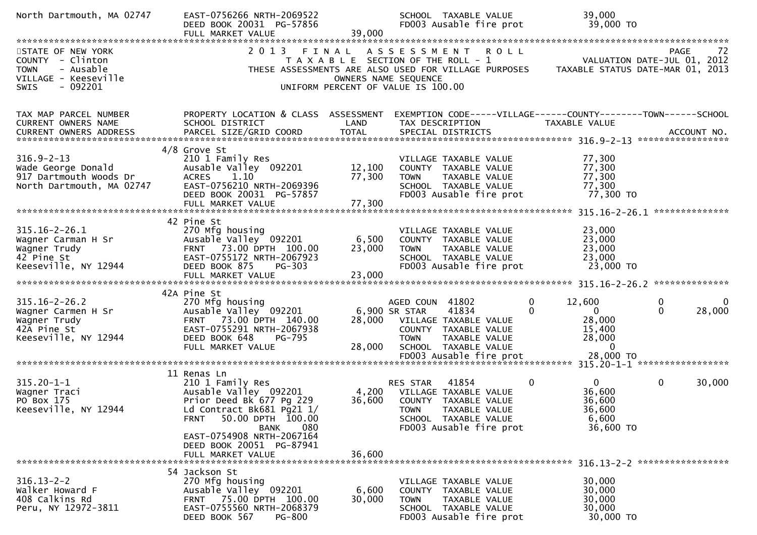| North Dartmouth, MA 02747                                                                                            | EAST-0756266 NRTH-2069522<br>DEED BOOK 20031 PG-57856<br>FULL MARKET VALUE                                                                                                  | 39,000                     | SCHOOL TAXABLE VALUE<br>FD003 Ausable fire prot                                                                                                                                            | 39,000<br>39,000 TO                                                                     |                                                                               |
|----------------------------------------------------------------------------------------------------------------------|-----------------------------------------------------------------------------------------------------------------------------------------------------------------------------|----------------------------|--------------------------------------------------------------------------------------------------------------------------------------------------------------------------------------------|-----------------------------------------------------------------------------------------|-------------------------------------------------------------------------------|
|                                                                                                                      |                                                                                                                                                                             |                            |                                                                                                                                                                                            |                                                                                         |                                                                               |
| STATE OF NEW YORK<br>COUNTY - Clinton<br>- Ausable<br><b>TOWN</b><br>VILLAGE - Keeseville<br>- 092201<br><b>SWIS</b> | 2 0 1 3                                                                                                                                                                     | FINAL                      | A S S E S S M E N T R O L L<br>T A X A B L E SECTION OF THE ROLL - 1<br>THESE ASSESSMENTS ARE ALSO USED FOR VILLAGE PURPOSES<br>OWNERS NAME SEQUENCE<br>UNIFORM PERCENT OF VALUE IS 100.00 |                                                                                         | PAGE<br>72<br>VALUATION DATE-JUL 01, 2012<br>TAXABLE STATUS DATE-MAR 01, 2013 |
| TAX MAP PARCEL NUMBER<br>CURRENT OWNERS NAME                                                                         | PROPERTY LOCATION & CLASS ASSESSMENT<br>SCHOOL DISTRICT                                                                                                                     | LAND                       | EXEMPTION CODE-----VILLAGE------COUNTY--------TOWN------SCHOOL<br>TAX DESCRIPTION                                                                                                          | TAXABLE VALUE                                                                           |                                                                               |
|                                                                                                                      | $4/8$ Grove St                                                                                                                                                              |                            |                                                                                                                                                                                            |                                                                                         |                                                                               |
| $316.9 - 2 - 13$<br>Wade George Donald<br>917 Dartmouth Woods Dr<br>North Dartmouth, MA 02747                        | 210 1 Family Res<br>Ausable Valley 092201<br><b>ACRES</b><br>1.10<br>EAST-0756210 NRTH-2069396<br>DEED BOOK 20031 PG-57857<br>FULL MARKET VALUE                             | 12,100<br>77,300<br>77,300 | VILLAGE TAXABLE VALUE<br>COUNTY TAXABLE VALUE<br>TAXABLE VALUE<br><b>TOWN</b><br>SCHOOL TAXABLE VALUE<br>FD003 Ausable fire prot                                                           | 77,300<br>77,300<br>77,300<br>77,300<br>77,300 TO                                       |                                                                               |
|                                                                                                                      |                                                                                                                                                                             |                            |                                                                                                                                                                                            |                                                                                         |                                                                               |
| 315.16-2-26.1<br>Wagner Carman H Sr<br>Wagner Trudy<br>42 Pine St<br>Keeseville, NY 12944                            | 42 Pine St<br>270 Mfg housing<br>Ausable Valley 092201<br>FRNT 73.00 DPTH 100.00<br>EAST-0755172 NRTH-2067923<br>DEED BOOK 875<br>$PG-303$                                  | 6,500<br>23,000            | VILLAGE TAXABLE VALUE<br>COUNTY TAXABLE VALUE<br>TAXABLE VALUE<br><b>TOWN</b><br>SCHOOL TAXABLE VALUE<br>FD003 Ausable fire prot                                                           | 23,000<br>23,000<br>23,000<br>23,000<br>23,000 TO                                       |                                                                               |
|                                                                                                                      |                                                                                                                                                                             |                            |                                                                                                                                                                                            |                                                                                         |                                                                               |
| $315.16 - 2 - 26.2$<br>Wagner Carmen H Sr<br>Wagner Trudy<br>42A Pine St<br>Keeseville, NY 12944                     | 42A Pine St<br>270 Mfg housing<br>Ausable Valley 092201<br>FRNT 73.00 DPTH 140.00<br>EAST-0755291 NRTH-2067938<br>DEED BOOK 648<br><b>PG-795</b><br>FULL MARKET VALUE       | 28,000                     | AGED COUN 41802<br>6,900 SR STAR<br>41834<br>28,000 VILLAGE TAXABLE VALUE<br>COUNTY TAXABLE VALUE<br><b>TOWN</b><br>TAXABLE VALUE<br>SCHOOL TAXABLE VALUE                                  | 12,600<br>0<br>$\mathbf{0}$<br>0<br>28,000<br>15,400<br>28,000<br>$\Omega$<br>28,000 TO | 0<br>28,000<br>$\mathbf{0}$                                                   |
|                                                                                                                      |                                                                                                                                                                             |                            | FD003 Ausable fire prot                                                                                                                                                                    |                                                                                         |                                                                               |
| $315.20 - 1 - 1$<br>Wagner Traci<br>PO Box 175<br>Keeseville, NY 12944                                               | 11 Renas Ln<br>210 1 Family Res<br>Ausable Valley 092201<br>Prior Deed Bk 677 Pg 229<br>Ld Contract Bk681 Pg21 1/<br>50.00 DPTH 100.00<br><b>FRNT</b><br><b>BANK</b><br>080 | 4,200<br>36,600            | 41854<br>RES STAR<br>VILLAGE TAXABLE VALUE<br>COUNTY TAXABLE VALUE<br><b>TOWN</b><br>TAXABLE VALUE<br>SCHOOL TAXABLE VALUE<br>FD003 Ausable fire prot                                      | 0<br>0<br>36,600<br>36,600<br>36,600<br>6,600<br>36,600 TO                              | 0<br>30,000                                                                   |
|                                                                                                                      | EAST-0754908 NRTH-2067164<br>DEED BOOK 20051 PG-87941<br>FULL MARKET VALUE                                                                                                  | 36,600                     |                                                                                                                                                                                            |                                                                                         |                                                                               |
| $316.13 - 2 - 2$<br>Walker Howard F<br>408 Calkins Rd<br>Peru, NY 12972-3811                                         | 54 Jackson St<br>270 Mfg housing<br>Ausable Valley 092201<br>FRNT 75.00 DPTH 100.00<br>EAST-0755560 NRTH-2068379<br>DEED BOOK 567<br><b>PG-800</b>                          | 6,600<br>30,000            | VILLAGE TAXABLE VALUE<br>COUNTY TAXABLE VALUE<br>TAXABLE VALUE<br><b>TOWN</b><br>SCHOOL TAXABLE VALUE<br>FD003 Ausable fire prot                                                           | 30,000<br>30,000<br>30,000<br>30,000<br>30,000 TO                                       |                                                                               |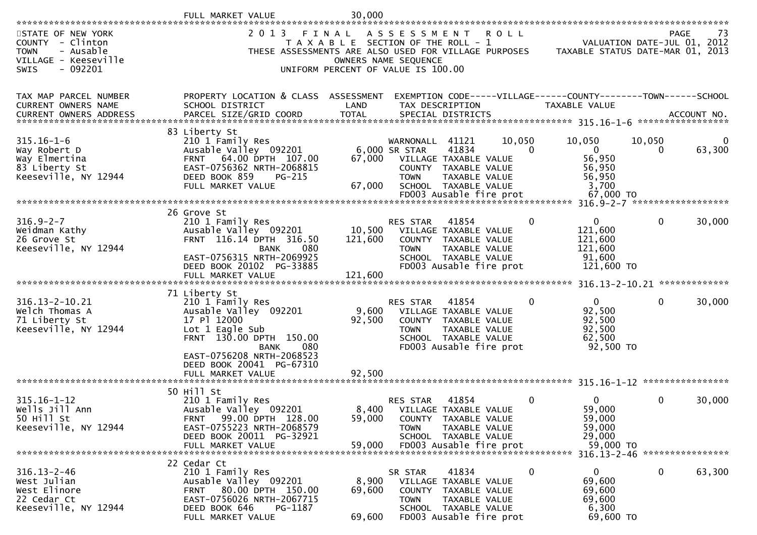|                                                                                                                       | FULL MARKET<br>VALUE                                                                                                                                                          | 30.000                                                                               |                                                                                                                                               |                                         |                    |                                                                                        |              |                                           |
|-----------------------------------------------------------------------------------------------------------------------|-------------------------------------------------------------------------------------------------------------------------------------------------------------------------------|--------------------------------------------------------------------------------------|-----------------------------------------------------------------------------------------------------------------------------------------------|-----------------------------------------|--------------------|----------------------------------------------------------------------------------------|--------------|-------------------------------------------|
| STATE OF NEW YORK<br>COUNTY - Clinton<br>- Ausable<br><b>TOWN</b><br>VILLAGE - Keeseville<br>$-092201$<br><b>SWIS</b> | 2 0 1 3<br>THESE ASSESSMENTS ARE ALSO USED FOR VILLAGE PURPOSES                                                                                                               | FINAL<br>T A X A B L E SECTION OF THE ROLL - 1<br>UNIFORM PERCENT OF VALUE IS 100.00 | A S S E S S M E N T<br>OWNERS NAME SEQUENCE                                                                                                   |                                         | <b>ROLL</b>        | TAXABLE STATUS DATE-MAR 01, 2013                                                       |              | PAGE<br>73<br>VALUATION DATE-JUL 01, 2012 |
| TAX MAP PARCEL NUMBER<br>CURRENT OWNERS NAME                                                                          | PROPERTY LOCATION & CLASS ASSESSMENT<br>SCHOOL DISTRICT                                                                                                                       | LAND                                                                                 | TAX DESCRIPTION                                                                                                                               |                                         |                    | EXEMPTION CODE-----VILLAGE------COUNTY--------TOWN------SCHOOL<br><b>TAXABLE VALUE</b> |              |                                           |
| $315.16 - 1 - 6$<br>Way Robert D<br>Way Elmertina<br>83 Liberty St<br>Keeseville, NY 12944                            | 83 Liberty St<br>210 1 Family Res<br>Ausable Valley 092201<br>64.00 DPTH 107.00<br><b>FRNT</b><br>EAST-0756362 NRTH-2068815<br>DEED BOOK 859<br>$PG-215$<br>FULL MARKET VALUE | 67,000<br>67,000                                                                     | WARNONALL<br>6,000 SR STAR<br>VILLAGE TAXABLE VALUE<br>COUNTY TAXABLE VALUE<br><b>TOWN</b><br>SCHOOL TAXABLE VALUE<br>FD003 Ausable fire prot | 41121<br>41834<br>TAXABLE VALUE         | 10,050<br>$\Omega$ | 10,050<br>$\mathbf{0}$<br>56,950<br>56,950<br>56,950<br>3,700<br>67,000 TO             | 10,050<br>0  | 0<br>63,300                               |
|                                                                                                                       |                                                                                                                                                                               |                                                                                      |                                                                                                                                               |                                         |                    | $316.9 - 2 - 7$ *******************                                                    |              |                                           |
| $316.9 - 2 - 7$<br>Weidman Kathy<br>26 Grove St<br>Keeseville, NY 12944                                               | 26 Grove St<br>210 1 Family Res<br>Ausable Valley 092201<br>FRNT 116.14 DPTH 316.50<br>080<br>BANK<br>EAST-0756315 NRTH-2069925<br>DEED BOOK 20102 PG-33885                   | 10,500<br>121,600                                                                    | RES STAR<br>VILLAGE TAXABLE VALUE<br>COUNTY TAXABLE VALUE<br><b>TOWN</b><br>SCHOOL TAXABLE VALUE<br>FD003 Ausable fire prot                   | 41854<br>TAXABLE VALUE                  | 0                  | $\overline{0}$<br>121,600<br>121,600<br>121,600<br>91,600<br>121,600 TO                | $\mathbf{0}$ | 30,000                                    |
|                                                                                                                       | FULL MARKET VALUE                                                                                                                                                             | 121,600                                                                              |                                                                                                                                               |                                         |                    |                                                                                        |              |                                           |
|                                                                                                                       | 71 Liberty St                                                                                                                                                                 |                                                                                      |                                                                                                                                               |                                         |                    | 316.13-2-10.21                                                                         |              | *************                             |
| 316.13-2-10.21<br>Welch Thomas A<br>71 Liberty St<br>Keeseville, NY 12944                                             | 210 1 Family Res<br>Ausable Valley 092201<br>17 Pl 12000<br>Lot 1 Eagle Sub<br>FRNT 130.00 DPTH 150.00<br><b>BANK</b><br>080<br>EAST-0756208 NRTH-2068523                     | 9,600<br>92,500                                                                      | RES STAR<br>VILLAGE TAXABLE VALUE<br>COUNTY TAXABLE VALUE<br><b>TOWN</b><br>SCHOOL TAXABLE VALUE<br>FD003 Ausable fire prot                   | 41854<br>TAXABLE VALUE                  | 0                  | $\mathbf{0}$<br>92,500<br>92,500<br>92,500<br>62,500<br>92,500 TO                      | $\mathbf{0}$ | 30,000                                    |
|                                                                                                                       | DEED BOOK 20041 PG-67310<br>FULL MARKET VALUE                                                                                                                                 | 92,500                                                                               |                                                                                                                                               |                                         |                    |                                                                                        |              |                                           |
|                                                                                                                       |                                                                                                                                                                               |                                                                                      |                                                                                                                                               |                                         |                    |                                                                                        |              | ****************                          |
| $315.16 - 1 - 12$<br>Wells Jill Ann<br>50 Hill St<br>Keeseville, NY 12944                                             | 50 Hill St<br>210 1 Family Res<br>Ausable Valley 092201<br>99.00 DPTH 128.00<br>FRNI<br>EAST-0755223 NRTH-2068579<br>DEED BOOK 20011 PG-32921<br>FULL MARKET VALUE            | 59,000<br>59,000                                                                     | <b>RES STAR</b><br>8,400 VILLAGE TAXABLE VALUE<br>COUNTY<br><b>TOWN</b><br>SCHOOL TAXABLE VALUE<br>FD003 Ausable fire prot                    | 41854<br>TAXABLE VALUE<br>TAXABLE VALUE | 0                  | 0<br>59,000<br>59,000<br>59,000<br>29,000<br>59,000 TO                                 | $\mathbf 0$  | 30,000                                    |
|                                                                                                                       | 22 Cedar Ct                                                                                                                                                                   |                                                                                      |                                                                                                                                               |                                         |                    |                                                                                        |              |                                           |
| $316.13 - 2 - 46$<br>West Julian<br>West Elinore<br>22 Cedar Ct<br>Keeseville, NY 12944                               | 210 1 Family Res<br>Ausable Valley 092201<br>80.00 DPTH 150.00<br><b>FRNT</b><br>EAST-0756026 NRTH-2067715<br>DEED BOOK 646<br>PG-1187<br>FULL MARKET VALUE                   | 8,900<br>69,600<br>69,600                                                            | SR STAR<br>VILLAGE TAXABLE VALUE<br>COUNTY TAXABLE VALUE<br>TOWN<br>SCHOOL TAXABLE VALUE<br>FD003 Ausable fire prot                           | 41834<br>TAXABLE VALUE                  | 0                  | $\mathbf{0}$<br>69,600<br>69,600<br>69,600<br>6,300<br>69,600 TO                       | $\mathbf 0$  | 63,300                                    |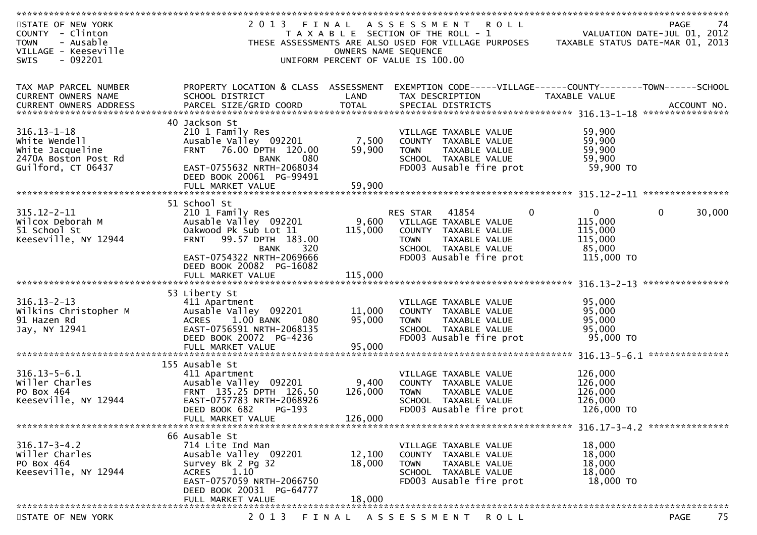| STATE OF NEW YORK<br>COUNTY - Clinton<br><b>TOWN</b><br>- Ausable<br>VILLAGE - Keeseville<br>- 092201<br><b>SWIS</b> | 2 0 1 3<br>FINAL                                                                                                                                                                  | OWNERS NAME SEQUENCE        | A S S E S S M E N T<br><b>ROLL</b><br>T A X A B L E SECTION OF THE ROLL - 1<br>THESE ASSESSMENTS ARE ALSO USED FOR VILLAGE PURPOSES<br>UNIFORM PERCENT OF VALUE IS 100.00 |                                                                         | 74<br><b>PAGE</b><br>VALUATION DATE-JUL 01, 2012<br>TAXABLE STATUS DATE-MAR 01, 2013 |
|----------------------------------------------------------------------------------------------------------------------|-----------------------------------------------------------------------------------------------------------------------------------------------------------------------------------|-----------------------------|---------------------------------------------------------------------------------------------------------------------------------------------------------------------------|-------------------------------------------------------------------------|--------------------------------------------------------------------------------------|
| TAX MAP PARCEL NUMBER<br>CURRENT OWNERS NAME<br><b>CURRENT OWNERS ADDRESS</b>                                        | PROPERTY LOCATION & CLASS ASSESSMENT EXEMPTION CODE-----VILLAGE------COUNTY-------TOWN------SCHOOL<br>SCHOOL DISTRICT                                                             | LAND                        | TAX DESCRIPTION                                                                                                                                                           | TAXABLE VALUE                                                           |                                                                                      |
| $316.13 - 1 - 18$<br>White Wendell<br>White Jacqueline<br>2470A Boston Post Rd<br>Guilford, CT 06437                 | 40 Jackson St<br>210 1 Family Res<br>Ausable Valley 092201<br>FRNT 76.00 DPTH 120.00<br>080<br>BANK<br>EAST-0755632 NRTH-2068034<br>DEED BOOK 20061 PG-99491<br>FULL MARKET VALUE | 7,500<br>59,900<br>59,900   | VILLAGE TAXABLE VALUE<br>COUNTY TAXABLE VALUE<br><b>TOWN</b><br>TAXABLE VALUE<br>SCHOOL TAXABLE VALUE<br>FD003 Ausable fire prot                                          | 59,900<br>59,900<br>59,900<br>59,900<br>59,900 TO                       |                                                                                      |
| $315.12 - 2 - 11$<br>Wilcox Deborah M<br>51 School St<br>Keeseville, NY 12944                                        | 51 School St<br>210 1 Family Res<br>Ausable Valley 092201<br>Oakwood Pk Sub Lot 11<br>99.57 DPTH 183.00<br><b>FRNT</b><br>BANK<br>320<br>EAST-0754322 NRTH-2069666                | 9,600<br>115,000            | $\Omega$<br>41854<br><b>RES STAR</b><br>VILLAGE TAXABLE VALUE<br>COUNTY TAXABLE VALUE<br><b>TOWN</b><br>TAXABLE VALUE<br>SCHOOL TAXABLE VALUE<br>FD003 Ausable fire prot  | $\overline{0}$<br>115,000<br>115,000<br>115,000<br>85,000<br>115,000 TO | $\mathbf{0}$<br>30,000                                                               |
|                                                                                                                      | DEED BOOK 20082 PG-16082                                                                                                                                                          |                             |                                                                                                                                                                           |                                                                         | ****************                                                                     |
| $316.13 - 2 - 13$<br>Wilkins Christopher M<br>91 Hazen Rd<br>Jay, NY 12941                                           | 53 Liberty St<br>411 Apartment<br>Ausable Valley 092201<br>1.00 BANK<br>080<br><b>ACRES</b><br>EAST-0756591 NRTH-2068135<br>DEED BOOK 20072 PG-4236<br>FULL MARKET VALUE          | 11,000<br>95,000<br>95,000  | VILLAGE TAXABLE VALUE<br>COUNTY TAXABLE VALUE<br><b>TOWN</b><br>TAXABLE VALUE<br>SCHOOL TAXABLE VALUE<br>FD003 Ausable fire prot                                          | 95,000<br>95,000<br>95,000<br>95,000<br>95,000 TO                       |                                                                                      |
| $316.13 - 5 - 6.1$<br>willer Charles<br>PO Box 464<br>Keeseville, NY 12944                                           | 155 Ausable St<br>411 Apartment<br>Ausable Valley 092201<br>FRNT 135.25 DPTH 126.50<br>EAST-0757783 NRTH-2068926<br>DEED BOOK 682<br>$PG-193$<br>FULL MARKET VALUE                | 9,400<br>126,000<br>126,000 | VILLAGE TAXABLE VALUE<br>COUNTY TAXABLE VALUE<br><b>TOWN</b><br><b>TAXABLE VALUE</b><br>SCHOOL TAXABLE VALUE<br>FD003 Ausable fire prot                                   | 126,000<br>126,000<br>126,000<br>126,000<br>126,000 TO                  |                                                                                      |
| $316.17 - 3 - 4.2$<br>Willer Charles<br>PO Box 464<br>Keeseville, NY 12944                                           | 66 Ausable St<br>714 Lite Ind Man<br>Ausable Valley 092201<br>Survey Bk 2 Pg 32<br>1.10<br><b>ACRES</b><br>EAST-0757059 NRTH-2066750<br>DEED BOOK 20031 PG-64777                  | 12,100<br>18,000            | VILLAGE TAXABLE VALUE<br>COUNTY TAXABLE VALUE<br>TAXABLE VALUE<br><b>TOWN</b><br>SCHOOL TAXABLE VALUE<br>FD003 Ausable fire prot                                          | 18,000<br>18,000<br>18,000<br>18,000<br>18,000 TO                       |                                                                                      |
| STATE OF NEW YORK                                                                                                    | FULL MARKET VALUE<br>2 0 1 3                                                                                                                                                      | 18,000                      | FINAL ASSESSMENT<br>ROLL                                                                                                                                                  |                                                                         | 75<br>PAGE                                                                           |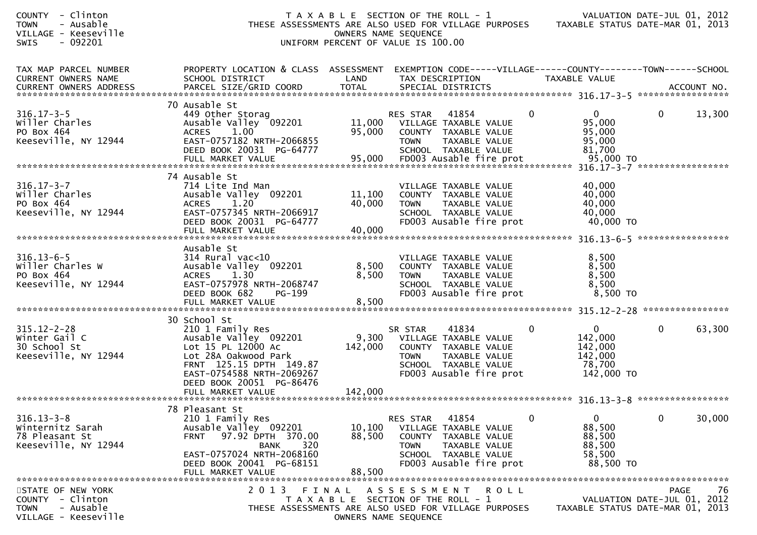| - Clinton<br><b>COUNTY</b><br>- Ausable<br><b>TOWN</b><br>VILLAGE - Keeseville<br>$-092201$<br><b>SWIS</b> |                                                                                                                                                                                                     | T A X A B L E SECTION OF THE ROLL - 1<br>UNIFORM PERCENT OF VALUE IS 100.00 | OWNERS NAME SEQUENCE                     |                                                                                                                            |              | VALUATION DATE-JUL 01, 2012<br>THESE ASSESSMENTS ARE ALSO USED FOR VILLAGE PURPOSES TAXABLE STATUS DATE-MAR 01, 2013 |              |        |
|------------------------------------------------------------------------------------------------------------|-----------------------------------------------------------------------------------------------------------------------------------------------------------------------------------------------------|-----------------------------------------------------------------------------|------------------------------------------|----------------------------------------------------------------------------------------------------------------------------|--------------|----------------------------------------------------------------------------------------------------------------------|--------------|--------|
| TAX MAP PARCEL NUMBER<br>CURRENT OWNERS NAME                                                               | PROPERTY LOCATION & CLASS ASSESSMENT<br>SCHOOL DISTRICT                                                                                                                                             | LAND                                                                        | TAX DESCRIPTION                          |                                                                                                                            |              | EXEMPTION CODE-----VILLAGE------COUNTY--------TOWN------SCHOOL<br>TAXABLE VALUE                                      |              |        |
| $316.17 - 3 - 5$<br>Willer Charles<br>PO Box 464<br>Keeseville, NY 12944                                   | 70 Ausable St<br>449 Other Storag<br>Ausable Valley 092201<br>1.00<br><b>ACRES</b><br>EAST-0757182 NRTH-2066855<br>DEED BOOK 20031 PG-64777                                                         | 11,000<br>95,000                                                            | RES STAR<br><b>TOWN</b>                  | 41854<br>VILLAGE TAXABLE VALUE<br>COUNTY TAXABLE VALUE<br>TAXABLE VALUE<br>SCHOOL TAXABLE VALUE                            | 0            | $\mathbf{0}$<br>95,000<br>95,000<br>95,000<br>81,700                                                                 | $\mathbf{0}$ | 13,300 |
| $316.17 - 3 - 7$<br>Willer Charles<br>PO Box 464<br>Keeseville, NY 12944                                   | 74 Ausable St<br>714 Lite Ind Man<br>Ausable Valley 092201<br><b>ACRES</b><br>1.20<br>EAST-0757345 NRTH-2066917<br>DEED BOOK 20031 PG-64777<br>FULL MARKET VALUE                                    | 11,100<br>40,000<br>40,000                                                  | <b>TOWN</b>                              | VILLAGE TAXABLE VALUE<br>COUNTY TAXABLE VALUE<br>TAXABLE VALUE<br>SCHOOL TAXABLE VALUE<br>FD003 Ausable fire prot          |              | 40,000<br>40,000<br>40,000<br>40,000<br>40,000 TO                                                                    |              |        |
| $316.13 - 6 - 5$<br>Willer Charles W<br>PO Box 464<br>Keeseville, NY 12944                                 | Ausable St<br>$314$ Rural vac<10<br>Ausable Valley 092201<br><b>ACRES</b><br>1.30<br>EAST-0757978 NRTH-2068747<br>DEED BOOK 682<br>PG-199<br>FULL MARKET VALUE                                      | 8,500<br>8,500<br>8,500                                                     | <b>TOWN</b>                              | VILLAGE TAXABLE VALUE<br>COUNTY TAXABLE VALUE<br>TAXABLE VALUE<br>SCHOOL TAXABLE VALUE<br>FD003 Ausable fire prot          |              | 8,500<br>8,500<br>8,500<br>8,500<br>8,500 TO                                                                         |              |        |
| $315.12 - 2 - 28$<br>Winter Gail C<br>30 School St<br>Keeseville, NY 12944                                 | 30 School St<br>210 1 Family Res<br>Ausable Valley 092201<br>Lot 15 PL 12000 Ac<br>Lot 28A Oakwood Park<br>FRNT 125.15 DPTH 149.87<br>EAST-0754588 NRTH-2069267<br>DEED BOOK 20051 PG-86476         | 9,300<br>142,000                                                            | SR STAR<br><b>TOWN</b>                   | 41834<br>VILLAGE TAXABLE VALUE<br>COUNTY TAXABLE VALUE<br>TAXABLE VALUE<br>SCHOOL TAXABLE VALUE<br>FD003 Ausable fire prot | $\mathbf{0}$ | $\mathbf{0}$<br>142,000<br>142,000<br>142,000<br>78,700<br>142,000 TO                                                | $\mathbf 0$  | 63,300 |
| $316.13 - 3 - 8$<br>Winternitz Sarah<br>78 Pleasant St<br>Keeseville, NY 12944                             | 78 Pleasant St<br>210 1 Family Res<br>Ausable Valley 092201<br>97.92 DPTH 370.00<br><b>FRNT</b><br><b>BANK</b><br>320<br>EAST-0757024 NRTH-2068160<br>DEED BOOK 20041 PG-68151<br>FULL MARKET VALUE | 10, 100<br>88,500<br>88,500                                                 | RES STAR<br><b>COUNTY</b><br><b>TOWN</b> | 41854<br>VILLAGE TAXABLE VALUE<br>TAXABLE VALUE<br>TAXABLE VALUE<br>SCHOOL TAXABLE VALUE<br>FD003 Ausable fire prot        | 0            | $\mathbf 0$<br>88,500<br>88,500<br>88,500<br>58,500<br>88,500 TO                                                     | $\mathbf 0$  | 30,000 |
| STATE OF NEW YORK<br>COUNTY - Clinton<br><b>TOWN</b><br>- Ausable<br>VILLAGE - Keeseville                  | 2 0 1 3<br>THESE ASSESSMENTS ARE ALSO USED FOR VILLAGE PURPOSES                                                                                                                                     | FINAL<br>T A X A B L E SECTION OF THE ROLL - 1                              | ASSESSMENT<br>OWNERS NAME SEQUENCE       |                                                                                                                            | <b>ROLL</b>  | VALUATION DATE-JUL 01, 2012<br>TAXABLE STATUS DATE-MAR 01, 2013                                                      | <b>PAGE</b>  | 76     |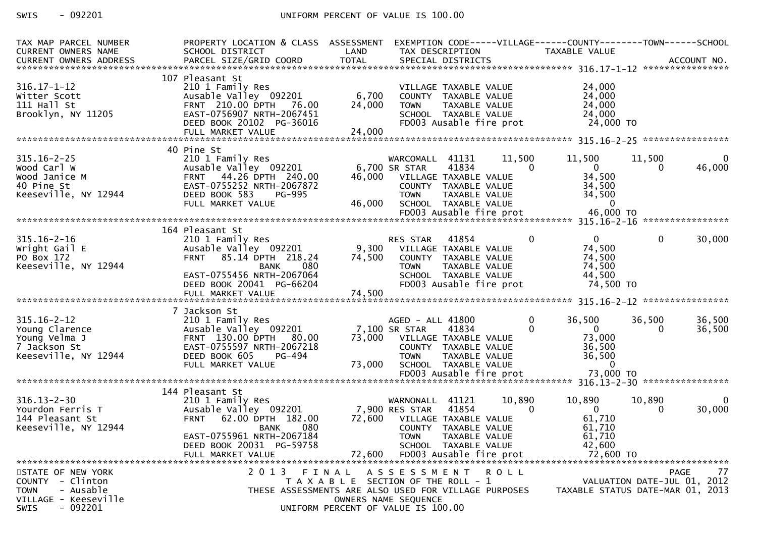# SWIS - 092201 CONTROLLER UNIFORM PERCENT OF VALUE IS 100.00

| TAX MAP PARCEL NUMBER<br>CURRENT OWNERS NAME<br><b>CURRENT OWNERS ADDRESS</b>                                         | PROPERTY LOCATION & CLASS ASSESSMENT<br>SCHOOL DISTRICT<br>PARCEL SIZE/GRID COORD                                                                                                                    | LAND<br><b>TOTAL</b>      | TAX DESCRIPTION<br>SPECIAL DISTRICTS                                                                                                                                                  |                    | EXEMPTION CODE-----VILLAGE------COUNTY--------TOWN------SCHOOL<br>TAXABLE VALUE       |                             | ACCOUNT NO.        |
|-----------------------------------------------------------------------------------------------------------------------|------------------------------------------------------------------------------------------------------------------------------------------------------------------------------------------------------|---------------------------|---------------------------------------------------------------------------------------------------------------------------------------------------------------------------------------|--------------------|---------------------------------------------------------------------------------------|-----------------------------|--------------------|
| $316.17 - 1 - 12$<br>Witter Scott<br>$111$ Hall St<br>Brooklyn, NY 11205                                              | 107 Pleasant St<br>210 1 Family Res<br>Ausable Valley 092201<br>FRNT 210.00 DPTH<br>76.00<br>EAST-0756907 NRTH-2067451<br>DEED BOOK 20102 PG-36016<br>FULL MARKET VALUE                              | 6,700<br>24,000<br>24,000 | VILLAGE TAXABLE VALUE<br>COUNTY TAXABLE VALUE<br><b>TOWN</b><br>TAXABLE VALUE<br>SCHOOL TAXABLE VALUE<br>FD003 Ausable fire prot                                                      |                    | 24,000<br>24,000<br>24,000<br>24,000<br>24,000 TO                                     |                             |                    |
| $315.16 - 2 - 25$<br>Wood Carl W<br>Wood Janice M<br>40 Pine St<br>Keeseville, NY 12944                               | 40 Pine St<br>210 1 Family Res<br>Ausable Valley 092201<br>44.26 DPTH 240.00<br><b>FRNT</b><br>EAST-0755252 NRTH-2067872<br>DEED BOOK 583<br>PG-995<br>FULL MARKET VALUE                             | 46,000<br>46,000          | WARCOMALL<br>41131<br>6,700 SR STAR<br>41834<br>VILLAGE TAXABLE VALUE<br>COUNTY TAXABLE VALUE<br><b>TOWN</b><br>TAXABLE VALUE<br>SCHOOL TAXABLE VALUE<br>FD003 Ausable fire prot      | 11,500<br>$\Omega$ | 11,500<br>$\overline{0}$<br>34,500<br>34,500<br>34,500<br>$\overline{0}$<br>46,000 TO | 11,500<br>0                 | $\Omega$<br>46,000 |
| $315.16 - 2 - 16$<br>Wright Gail E<br>PO Box 172<br>Keeseville, NY 12944                                              | 164 Pleasant St<br>210 1 Family Res<br>Ausable Valley 092201<br>85.14 DPTH 218.24<br><b>FRNT</b><br>080<br><b>BANK</b><br>EAST-0755456 NRTH-2067064<br>DEED BOOK 20041 PG-66204<br>FULL MARKET VALUE | 9,300<br>74,500<br>74,500 | 41854<br>RES STAR<br>VILLAGE TAXABLE VALUE<br>COUNTY TAXABLE VALUE<br><b>TOWN</b><br>TAXABLE VALUE<br>SCHOOL TAXABLE VALUE<br>FD003 Ausable fire prot                                 | 0                  | $\overline{0}$<br>74,500<br>74,500<br>74,500<br>44,500<br>74,500 TO                   | $\mathbf{0}$                | 30,000             |
| $315.16 - 2 - 12$<br>Young Clarence<br>Young Velma J<br>7 Jackson St<br>Keeseville, NY 12944                          | 7 Jackson St<br>210 1 Family Res<br>Ausable Valley 092201<br>FRNT 130.00 DPTH 80.00<br>EAST-0755597 NRTH-2067218<br>DEED BOOK 605<br>PG-494<br>FULL MARKET VALUE                                     | 73,000                    | AGED - ALL 41800<br>7,100 SR STAR<br>41834<br>73,000 VILLAGE TAXABLE VALUE<br>COUNTY TAXABLE VALUE<br>TAXABLE VALUE<br><b>TOWN</b><br>SCHOOL TAXABLE VALUE<br>FD003 Ausable fire prot | 0<br>$\Omega$      | 36,500<br>$\overline{0}$<br>73,000<br>36,500<br>36,500<br>$\mathbf{0}$<br>73,000 TO   | 36,500<br>$\Omega$          | 36,500<br>36,500   |
| $316.13 - 2 - 30$<br>Yourdon Ferris T<br>144 Pleasant St<br>Keeseville, NY 12944                                      | 144 Pleasant St<br>210 1 Family Res<br>Ausable Valley 092201<br>62.00 DPTH 182.00<br><b>FRNT</b><br>080<br><b>BANK</b><br>EAST-0755961 NRTH-2067184<br>DEED BOOK 20031 PG-59758<br>FULL MARKET VALUE | 72,600<br>72,600          | 41121<br>WARNONALL<br>7,900 RES STAR<br>41854<br>VILLAGE TAXABLE VALUE<br>COUNTY TAXABLE VALUE<br><b>TOWN</b><br>TAXABLE VALUE<br>SCHOOL TAXABLE VALUE<br>FD003 Ausable fire prot     | 10,890<br>0        | 10,890<br>$\overline{0}$<br>61,710<br>61,710<br>61,710<br>42,600<br>72,600 TO         | 10,890<br>$\Omega$          | 0<br>30,000        |
| STATE OF NEW YORK<br>COUNTY - Clinton<br><b>TOWN</b><br>- Ausable<br>VILLAGE - Keeseville<br>$-092201$<br><b>SWIS</b> | 2013 FINAL                                                                                                                                                                                           |                           | ASSESSMENT ROLL<br>T A X A B L E SECTION OF THE ROLL - 1<br>THESE ASSESSMENTS ARE ALSO USED FOR VILLAGE PURPOSES<br>OWNERS NAME SEQUENCE<br>UNIFORM PERCENT OF VALUE IS 100.00        |                    | TAXABLE STATUS DATE-MAR 01, 2013                                                      | VALUATION DATE-JUL 01, 2012 | 77<br>PAGE         |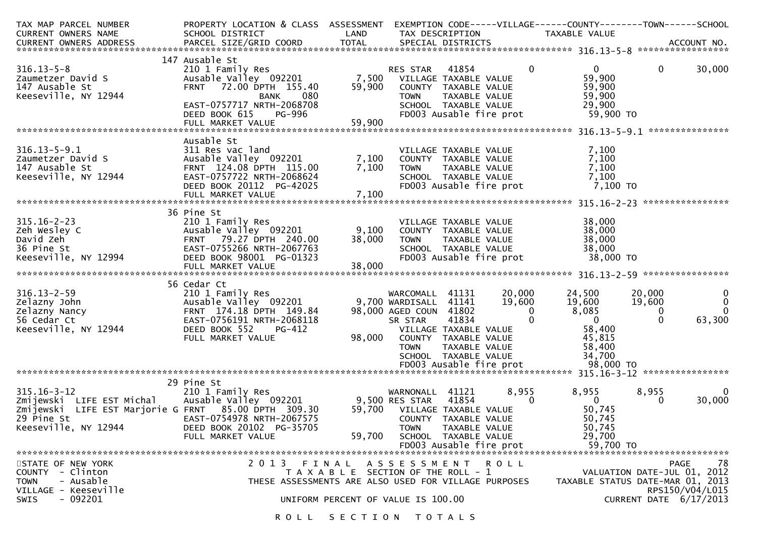| TAX MAP PARCEL NUMBER<br>CURRENT OWNERS NAME                                                                                                 | PROPERTY LOCATION & CLASS ASSESSMENT<br>SCHOOL DISTRICT                                                                                                                                  | LAND                                                                        | TAX DESCRIPTION                                                                                                                                                                                  |                        |                                                   | EXEMPTION CODE-----VILLAGE------COUNTY--------TOWN------SCHOOL<br>TAXABLE VALUE                           |                                              |                                                                                        |
|----------------------------------------------------------------------------------------------------------------------------------------------|------------------------------------------------------------------------------------------------------------------------------------------------------------------------------------------|-----------------------------------------------------------------------------|--------------------------------------------------------------------------------------------------------------------------------------------------------------------------------------------------|------------------------|---------------------------------------------------|-----------------------------------------------------------------------------------------------------------|----------------------------------------------|----------------------------------------------------------------------------------------|
|                                                                                                                                              |                                                                                                                                                                                          |                                                                             |                                                                                                                                                                                                  |                        |                                                   |                                                                                                           |                                              |                                                                                        |
| $316.13 - 5 - 8$<br>Zaumetzer David S<br>147 Ausable St<br>Keeseville, NY 12944                                                              | 147 Ausable St<br>210 1 Family Res<br>Ausable Valley 092201<br>FRNT 72.00 DPTH 155.40<br>080<br><b>BANK</b><br>EAST-0757717 NRTH-2068708<br>DEED BOOK 615<br>PG-996<br>FULL MARKET VALUE | 59,900<br>59,900                                                            | RES STAR<br>7,500 VILLAGE TAXABLE VALUE<br>COUNTY TAXABLE VALUE<br><b>TOWN</b><br>FD003 Ausable fire prot                                                                                        | 41854<br>TAXABLE VALUE | $\mathbf{0}$<br>SCHOOL TAXABLE VALUE              | $\mathbf{0}$<br>59,900<br>59,900<br>59,900<br>29,900<br>59,900 TO                                         | $\mathbf{0}$                                 | 30,000<br>***************                                                              |
| $316.13 - 5 - 9.1$<br>Zaumetzer David S<br>147 Ausable St<br>Keeseville, NY 12944                                                            | Ausable St<br>311 Res vac land<br>Ausable Valley 092201<br>FRNT 124.08 DPTH 115.00<br>EAST-0757722 NRTH-2068624<br>DEED BOOK 20112 PG-42025<br>FULL MARKET VALUE                         | 7,100<br>7,100<br>7,100                                                     | VILLAGE TAXABLE VALUE<br>COUNTY TAXABLE VALUE<br><b>TOWN</b><br>SCHOOL TAXABLE VALUE<br>FD003 Ausable fire prot                                                                                  | TAXABLE VALUE          |                                                   | 7,100<br>7,100<br>7,100<br>7,100<br>7,100 то                                                              |                                              |                                                                                        |
|                                                                                                                                              | 36 Pine St                                                                                                                                                                               |                                                                             |                                                                                                                                                                                                  |                        |                                                   |                                                                                                           |                                              |                                                                                        |
| $315.16 - 2 - 23$<br>Zeh Wesley C<br>David Zeh<br>36 Pine St<br>Keeseville, NY 12994                                                         | 210 1 Family Res<br>Ausable Valley 092201<br>FRNT 79.27 DPTH 240.00<br>EAST-0755266 NRTH-2067763<br>DEED BOOK 98001 PG-01323                                                             | 9,100<br>38,000                                                             | VILLAGE TAXABLE VALUE<br>COUNTY TAXABLE VALUE<br><b>TOWN</b><br>SCHOOL TAXABLE VALUE<br>FD003 Ausable fire prot                                                                                  | TAXABLE VALUE          |                                                   | 38,000<br>38,000<br>38,000<br>38,000<br>38,000 TO                                                         |                                              |                                                                                        |
|                                                                                                                                              | FULL MARKET VALUE                                                                                                                                                                        | 38,000                                                                      |                                                                                                                                                                                                  |                        |                                                   |                                                                                                           |                                              |                                                                                        |
| $316.13 - 2 - 59$<br>Zelazny John<br>Zelazny Nancy<br>56 Cedar Ct<br>Keeseville, NY 12944                                                    | 56 Cedar Ct<br>210 1 Family Res<br>Ausable Valley 092201<br>FRNT 174.18 DPTH 149.84<br>EAST-0756191 NRTH-2068118<br>DEED BOOK 552<br>PG-412<br>FULL MARKET VALUE                         | 98,000                                                                      | WARCOMALL 41131<br>9,700 WARDISALL 41141<br>98,000 AGED COUN 41802<br>SR STAR<br>VILLAGE TAXABLE VALUE<br>COUNTY TAXABLE VALUE<br><b>TOWN</b><br>SCHOOL TAXABLE VALUE<br>FD003 Ausable fire prot | 41834<br>TAXABLE VALUE | 20,000<br>19,600<br>$\overline{0}$<br>$\mathbf 0$ | 24,500<br>19,600<br>8,085<br>$\overline{\mathbf{0}}$<br>58,400<br>45,815<br>58,400<br>34,700<br>98,000 TO | 20,000<br>19,600<br>$\mathbf{0}$<br>$\Omega$ | 0<br>$\mathbf{0}$<br>$\Omega$<br>63,300                                                |
|                                                                                                                                              |                                                                                                                                                                                          |                                                                             |                                                                                                                                                                                                  |                        |                                                   |                                                                                                           |                                              |                                                                                        |
| $315.16 - 3 - 12$<br>Zmijewski LIFE EST Michal<br>Zmijewski LIFE EST Marjorie G FRNT 85.00 DPTH 309.30<br>29 Pine St<br>Keeseville, NY 12944 | 29 Pine St<br>210 1 Family Res<br>EAST-0754978 NRTH-2067575<br>DEED BOOK 20102 PG-35705<br>FULL MARKET VALUE                                                                             | 59,700                                                                      | WARNONALL 41121<br>59,700 VILLAGE TAXABLE VALUE<br>COUNTY TAXABLE VALUE<br><b>TOWN</b><br>SCHOOL TAXABLE VALUE<br>FD003 Ausable fire prot                                                        | 41854<br>TAXABLE VALUE | 8,955<br>$\mathbf{0}$                             | 8,955<br>$\overline{0}$<br>50,745<br>50,745<br>50,745<br>29,700<br>59,700 TO                              | 8,955<br>$\mathbf{0}$                        | $\mathbf 0$<br>30,000                                                                  |
| STATE OF NEW YORK<br>COUNTY - Clinton<br>- Ausable<br><b>TOWN</b><br>VILLAGE - Keeseville<br>$-092201$<br><b>SWIS</b>                        | 2013 FINAL<br>THESE ASSESSMENTS ARE ALSO USED FOR VILLAGE PURPOSES                                                                                                                       | T A X A B L E SECTION OF THE ROLL - 1<br>UNIFORM PERCENT OF VALUE IS 100.00 | A S S E S S M E N T                                                                                                                                                                              |                        | <b>ROLL</b>                                       | TAXABLE STATUS DATE-MAR 01, 2013                                                                          |                                              | 78<br>PAGE<br>VALUATION DATE-JUL 01, 2012<br>RPS150/V04/L015<br>CURRENT DATE 6/17/2013 |
|                                                                                                                                              |                                                                                                                                                                                          | ROLL SECTION TOTALS                                                         |                                                                                                                                                                                                  |                        |                                                   |                                                                                                           |                                              |                                                                                        |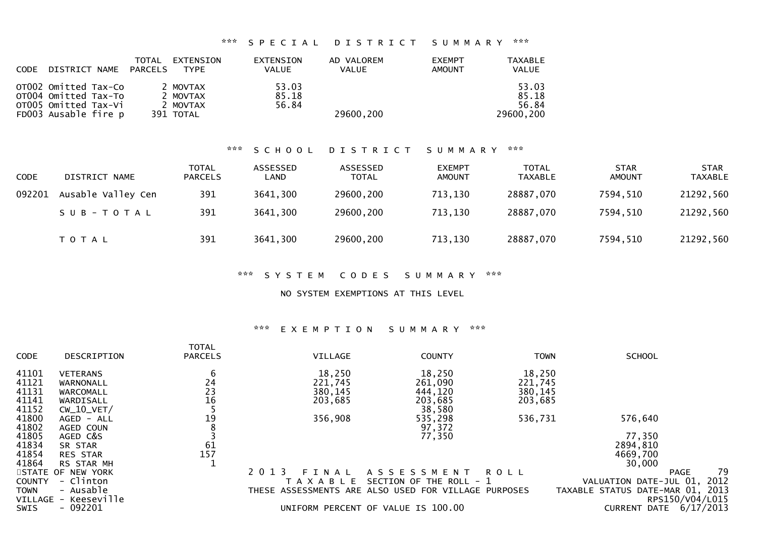## \*\*\* S P E C I A L D I S T R I C T S U M M A R Y \*\*\*

| <b>CODE</b> | DISTRICT NAME                                                                                | TOTAL<br>PARCELS | EXTENSION<br><b>TYPE</b>                      | EXTENSION<br><b>VALUE</b> | AD VALOREM<br><b>VALUE</b> | <b>EXEMPT</b><br>AMOUNT | TAXABLE<br>VALUE                     |
|-------------|----------------------------------------------------------------------------------------------|------------------|-----------------------------------------------|---------------------------|----------------------------|-------------------------|--------------------------------------|
|             | OT002 Omitted Tax-Co<br>OT004 Omitted Tax-To<br>OTOO5 Omitted Tax-Vi<br>FD003 Ausable fire p |                  | 2 MOVTAX<br>2 MOVTAX<br>2 MOVTAX<br>391 TOTAL | 53.03<br>85.18<br>56.84   | 29600,200                  |                         | 53.03<br>85.18<br>56.84<br>29600,200 |

### \*\*\* S C H O O L D I S T R I C T S U M M A R Y \*\*\*

| <b>CODE</b> | DISTRICT NAME      | <b>TOTAL</b><br><b>PARCELS</b> | ASSESSED<br>LAND | ASSESSED<br><b>TOTAL</b> | <b>EXEMPT</b><br><b>AMOUNT</b> | <b>TOTAL</b><br><b>TAXABLE</b> | <b>STAR</b><br>AMOUNT | <b>STAR</b><br><b>TAXABLE</b> |
|-------------|--------------------|--------------------------------|------------------|--------------------------|--------------------------------|--------------------------------|-----------------------|-------------------------------|
| 092201      | Ausable Valley Cen | 391                            | 3641,300         | 29600,200                | 713,130                        | 28887,070                      | 7594,510              | 21292,560                     |
|             | SUB-TOTAL          | 391                            | 3641,300         | 29600,200                | 713,130                        | 28887,070                      | 7594,510              | 21292,560                     |
|             | <b>TOTAL</b>       | 391                            | 3641,300         | 29600,200                | 713,130                        | 28887,070                      | 7594,510              | 21292,560                     |

## \*\*\* S Y S T E M C O D E S S U M M A R Y \*\*\*

### NO SYSTEM EXEMPTIONS AT THIS LEVEL

### \*\*\* E X E M P T I O N S U M M A R Y \*\*\*

|               |                      | <b>TOTAL</b>   |                  |                                                      |             |                                  |                   |
|---------------|----------------------|----------------|------------------|------------------------------------------------------|-------------|----------------------------------|-------------------|
| <b>CODE</b>   | DESCRIPTION          | <b>PARCELS</b> | VILLAGE          | <b>COUNTY</b>                                        | <b>TOWN</b> | <b>SCHOOL</b>                    |                   |
| 41101         | <b>VETERANS</b>      | 6              | 18,250           | 18,250                                               | 18,250      |                                  |                   |
| 41121         | WARNONALL            | 24             | 221,745          | 261,090                                              | 221,745     |                                  |                   |
| 41131         | WARCOMALL            | 23             | 380,145          | 444,120                                              | 380,145     |                                  |                   |
| 41141         | WARDISALL            | 16             | 203,685          | 203,685                                              | 203,685     |                                  |                   |
| 41152         | $CW_10_VET/$         |                |                  | 38,580                                               |             |                                  |                   |
| 41800         | AGED - ALL           | 19             | 356,908          | 535,298                                              | 536,731     | 576,640                          |                   |
| 41802         | AGED COUN            |                |                  | 97,372                                               |             |                                  |                   |
| 41805         | AGED C&S             |                |                  | 77,350                                               |             | 77,350                           |                   |
| 41834         | SR STAR              | 61             |                  |                                                      |             | 2894,810                         |                   |
| 41854         | <b>RES STAR</b>      | 157            |                  |                                                      |             | 4669,700                         |                   |
| 41864         | RS STAR MH           |                |                  |                                                      |             | 30,000                           |                   |
|               | STATE OF NEW YORK    |                | 2 0 1 3<br>FINAL | A S S E S S M E N T                                  | R O L L     |                                  | 79<br><b>PAGE</b> |
| <b>COUNTY</b> | - Clinton            |                | A X A B L E      | SECTION OF THE ROLL - 1                              |             | VALUATION DATE-JUL 01,           | 2012              |
| TOWN          | - Ausable            |                |                  | THESE ASSESSMENTS ARE ALSO USED FOR VILLAGE PURPOSES |             | TAXABLE STATUS DATE-MAR 01, 2013 |                   |
|               | VILLAGE - Keeseville |                |                  |                                                      |             |                                  | RPS150/V04/L015   |
| <b>SWIS</b>   | $-092201$            |                |                  | UNIFORM PERCENT OF VALUE IS 100.00                   |             | <b>CURRENT DATE</b>              | 6/17/2013         |
|               |                      |                |                  |                                                      |             |                                  |                   |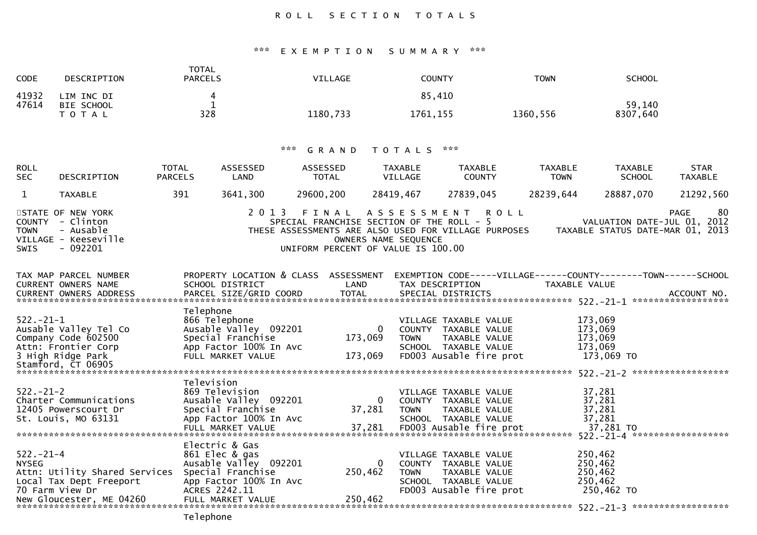# ROLL SECTION TOTALS

# \*\*\* E X E M P T I O N S U M M A R Y \*\*\*

| <b>CODE</b>                     | DESCRIPTION                                                                                                               | <b>TOTAL</b><br><b>PARCELS</b>                                                                                                                   | VILLAGE                                                                                                                                                               | <b>COUNTY</b>             |                                                                                                                   | <b>TOWN</b>                   | <b>SCHOOL</b>                                                   |                               |
|---------------------------------|---------------------------------------------------------------------------------------------------------------------------|--------------------------------------------------------------------------------------------------------------------------------------------------|-----------------------------------------------------------------------------------------------------------------------------------------------------------------------|---------------------------|-------------------------------------------------------------------------------------------------------------------|-------------------------------|-----------------------------------------------------------------|-------------------------------|
| 41932<br>47614                  | LIM INC DI<br>BIE SCHOOL<br><b>TOTAL</b>                                                                                  | 4<br>1<br>328                                                                                                                                    | 1180,733                                                                                                                                                              | 85,410<br>1761, 155       |                                                                                                                   | 1360,556                      | 59,140<br>8307,640                                              |                               |
|                                 |                                                                                                                           |                                                                                                                                                  |                                                                                                                                                                       |                           |                                                                                                                   |                               |                                                                 |                               |
|                                 |                                                                                                                           | $\mathbf{x} \times \mathbf{x}$                                                                                                                   | GRAND                                                                                                                                                                 | T O T A L S               | ***                                                                                                               |                               |                                                                 |                               |
| <b>ROLL</b><br><b>SEC</b>       | TOTAL<br>DESCRIPTION                                                                                                      | ASSESSED<br><b>PARCELS</b><br>LAND                                                                                                               | ASSESSED<br>TOTAL                                                                                                                                                     | <b>TAXABLE</b><br>VILLAGE | TAXABLE<br><b>COUNTY</b>                                                                                          | <b>TAXABLE</b><br><b>TOWN</b> | TAXABLE<br><b>SCHOOL</b>                                        | <b>STAR</b><br><b>TAXABLE</b> |
| $\mathbf{1}$                    | <b>TAXABLE</b>                                                                                                            | 391<br>3641,300                                                                                                                                  | 29600,200                                                                                                                                                             | 28419,467                 | 27839,045                                                                                                         | 28239,644                     | 28887,070                                                       | 21292,560                     |
| <b>TOWN</b><br><b>SWIS</b>      | STATE OF NEW YORK<br>COUNTY - Clinton<br>- Ausable<br>VILLAGE - Keeseville<br>- 092201                                    |                                                                                                                                                  | 2013 FINAL ASSESSMENT ROLL<br>SPECIAL FRANCHISE SECTION OF THE ROLL - 5<br>THESE ASSESSMENTS ARE ALSO USED FOR VILLAGE PURPOSES<br>UNIFORM PERCENT OF VALUE IS 100.00 | OWNERS NAME SEQUENCE      |                                                                                                                   |                               | VALUATION DATE-JUL 01, 2012<br>TAXABLE STATUS DATE-MAR 01, 2013 | 80<br><b>PAGE</b>             |
|                                 | TAX MAP PARCEL NUMBER<br><b>CURRENT OWNERS NAME</b><br>CURRENT OWNERS ADDRESS                                             | PROPERTY LOCATION & CLASS ASSESSMENT EXEMPTION CODE-----VILLAGE------COUNTY--------TOWN------SCHOOL<br>SCHOOL DISTRICT<br>PARCEL SIZE/GRID COORD | LAND<br><b>TOTAL</b>                                                                                                                                                  | TAX DESCRIPTION           | SPECIAL DISTRICTS                                                                                                 | TAXABLE VALUE                 |                                                                 | ACCOUNT NO.                   |
| $522. -21 - 1$                  | Ausable Valley Tel Co<br>Company Code 602500<br>Attn: Frontier Corp<br>3 High Ridge Park<br>Stamford, CT 06905            | Telephone<br>866 Telephone<br>Ausable Valley 092201<br>Special Franchise<br>App Factor 100% In Avc<br>FULL MARKET VALUE                          | $\Omega$<br>173,069<br>173,069                                                                                                                                        | <b>TOWN</b>               | VILLAGE TAXABLE VALUE<br>COUNTY TAXABLE VALUE<br>TAXABLE VALUE<br>SCHOOL TAXABLE VALUE<br>FD003 Ausable fire prot |                               | 173,069<br>173,069<br>173,069<br>173.069<br>173,069 TO          |                               |
| $522. -21 - 2$                  | Charter Communications<br>12405 Powerscourt Dr<br>St. Louis, MO 63131                                                     | Television<br>869 Television<br>Ausable Valley 092201<br>Special Franchise<br>App Factor 100% In Avc<br>FULL MARKET VALUE                        | $\Omega$<br>37,281<br>37,281                                                                                                                                          | <b>TOWN</b>               | VILLAGE TAXABLE VALUE<br>COUNTY TAXABLE VALUE<br>TAXABLE VALUE<br>SCHOOL TAXABLE VALUE<br>FD003 Ausable fire prot |                               | 37,281<br>37,281<br>37,281<br>37,281<br>37,281 TO               |                               |
| $522. - 21 - 4$<br><b>NYSEG</b> | Attn: Utility Shared Services Special Franchise<br>Local Tax Dept Freeport<br>70 Farm View Dr<br>New Gloucester, ME 04260 | Electric & Gas<br>861 Elec & gas<br>Ausable Valley 092201<br>App Factor 100% In Avc<br>ACRES 2242.11<br>FULL MARKET VALUE                        | $\Omega$<br>250,462<br>250,462                                                                                                                                        | <b>TOWN</b>               | VILLAGE TAXABLE VALUE<br>COUNTY TAXABLE VALUE<br>TAXABLE VALUE<br>SCHOOL TAXABLE VALUE<br>FD003 Ausable fire prot |                               | 250,462<br>250,462<br>250,462<br>250,462<br>250,462 TO          |                               |

Telephone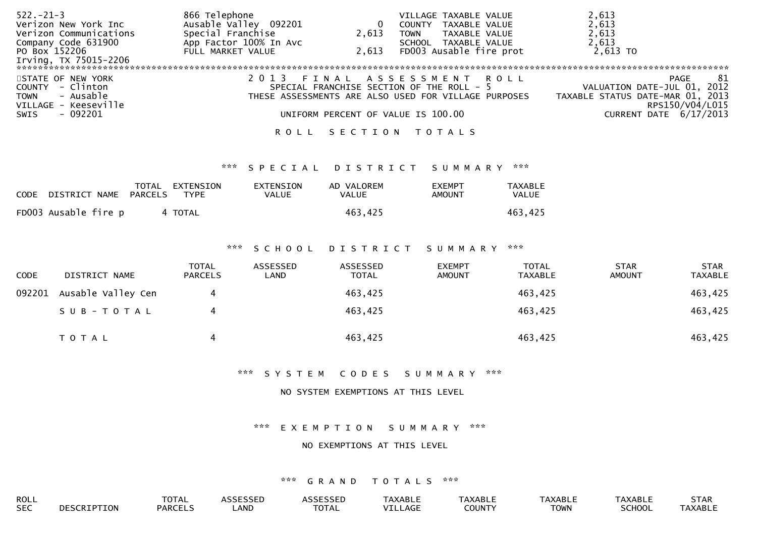| $522 - 21 - 3$             | 866 Telephone          |         | VILLAGE TAXABLE VALUE                                | 2,613                               |
|----------------------------|------------------------|---------|------------------------------------------------------|-------------------------------------|
| Verizon New York Inc       | Ausable Valley 092201  | 0       | TAXABLE VALUE<br><b>COUNTY</b>                       | 2,613                               |
| Verizon Communications     | Special Franchise      | 2,613   | TAXABLE VALUE<br>TOWN                                | 2,613                               |
| Company Code 631900        | App Factor 100% In Avc |         | SCHOOL<br>TAXABLE VALUE                              | 2,613                               |
| PO Box 152206              | FULL MARKET VALUE      | 2.613   | FD003 Ausable fire prot                              | 2,613 TO                            |
| Irving, TX 75015-2206      |                        |         |                                                      |                                     |
|                            |                        |         |                                                      |                                     |
| STATE OF NEW YORK          |                        |         | FINAL ASSESSMENT<br>ROLL                             | -81<br>PAGE                         |
| - Clinton<br><b>COUNTY</b> |                        |         | SPECIAL FRANCHISE SECTION OF THE ROLL - 5            | 2012<br>VALUATION DATE-JUL 01,      |
| - Ausable<br><b>TOWN</b>   |                        |         | THESE ASSESSMENTS ARE ALSO USED FOR VILLAGE PURPOSES | 2013<br>TAXABLE STATUS DATE-MAR 01, |
| VILLAGE - Keeseville       |                        |         |                                                      | RPS150/V04/L015                     |
| $-092201$<br>SWIS          |                        |         | UNIFORM PERCENT OF VALUE IS 100.00                   | 6/17/2013<br>CURRENT DATE           |
|                            | ROLL                   | SECTION | T O T A L S                                          |                                     |

## \*\*\* S P E C I A L D I S T R I C T S U M M A R Y \*\*\*

| CODE DISTRICT NAME   | PARCELS | TOTAL EXTENSION<br>TYPE | EXTENSION<br>VALUE | AD VALOREM<br>VALUE | <b>FXEMPT</b><br>AMOUNT | <b>TAXABLE</b><br>VALUE |
|----------------------|---------|-------------------------|--------------------|---------------------|-------------------------|-------------------------|
| FD003 Ausable fire p |         | 4 TOTAL                 |                    | 463,425             |                         | 463,425                 |

### \*\*\* S C H O O L D I S T R I C T S U M M A R Y \*\*\*

| <b>CODE</b> | DISTRICT NAME      | <b>TOTAL</b><br><b>PARCELS</b> | ASSESSED<br>LAND | ASSESSED<br><b>TOTAL</b> | <b>EXEMPT</b><br><b>AMOUNT</b> | <b>TOTAL</b><br><b>TAXABLE</b> | <b>STAR</b><br><b>AMOUNT</b> | <b>STAR</b><br><b>TAXABLE</b> |
|-------------|--------------------|--------------------------------|------------------|--------------------------|--------------------------------|--------------------------------|------------------------------|-------------------------------|
| 092201      | Ausable Valley Cen | 4                              |                  | 463,425                  |                                | 463,425                        |                              | 463,425                       |
|             | SUB-TOTAL          | 4                              |                  | 463,425                  |                                | 463,425                        |                              | 463,425                       |
|             | <b>TOTAL</b>       | 4                              |                  | 463,425                  |                                | 463,425                        |                              | 463,425                       |

## \*\*\* S Y S T E M C O D E S S U M M A R Y \*\*\*

### NO SYSTEM EXEMPTIONS AT THIS LEVEL

### \*\*\* E X E M P T I O N S U M M A R Y \*\*\*

#### NO EXEMPTIONS AT THIS LEVEL

| ROLL       |                    | <b>TOTAL</b>   | <b>ASSESSED</b> | <b>ASSESSED</b> | <b>TAXABLE</b> | TAXABLE       | <b>TAXABLE</b> | TAXABLE       | <b>STAR</b>    |
|------------|--------------------|----------------|-----------------|-----------------|----------------|---------------|----------------|---------------|----------------|
| <b>SEC</b> | <b>DESCRIPTION</b> | <b>PARCELS</b> | ∟AND            | <b>TOTAL</b>    | <b>ILLAGE</b>  | <b>COUNTY</b> | <b>TOWN</b>    | <b>SCHOOL</b> | <b>TAXABLE</b> |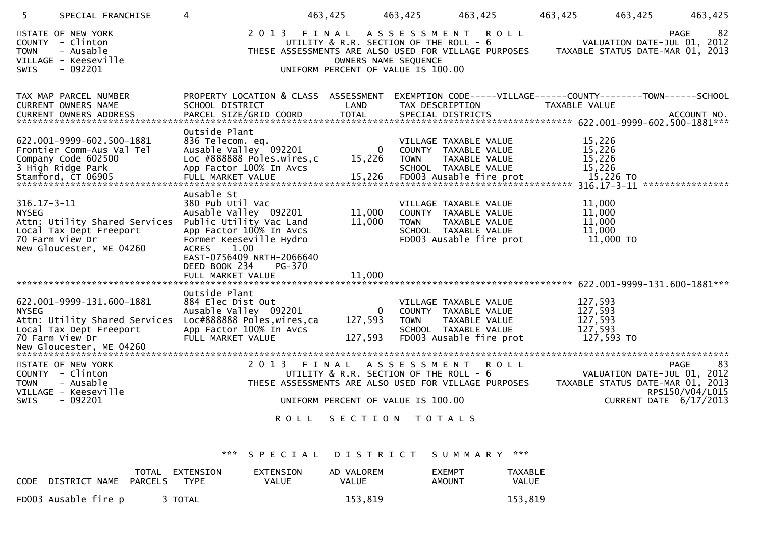| 5                                                                                           | SPECIAL FRANCHISE                                                                     |                                                                                                                                                                                                                | 463,425                                                                                     |                                | 463,425         | 463,425                                                                                                           | 463,425                                                                                | 463,425<br>463,425                                                                                                         |
|---------------------------------------------------------------------------------------------|---------------------------------------------------------------------------------------|----------------------------------------------------------------------------------------------------------------------------------------------------------------------------------------------------------------|---------------------------------------------------------------------------------------------|--------------------------------|-----------------|-------------------------------------------------------------------------------------------------------------------|----------------------------------------------------------------------------------------|----------------------------------------------------------------------------------------------------------------------------|
| STATE OF NEW YORK<br>COUNTY - Clinton<br><b>TOWN</b><br>VILLAGE - Keeseville<br><b>SWIS</b> | - Ausable<br>$-092201$                                                                | 2 0 1 3                                                                                                                                                                                                        | FINAL<br>UTILITY & R.R. SECTION OF THE ROLL - 6<br>UNIFORM PERCENT OF VALUE IS 100.00       | OWNERS NAME SEQUENCE           |                 | ASSESSMENT ROLL<br>THESE ASSESSMENTS ARE ALSO USED FOR VILLAGE PURPOSES                                           |                                                                                        | 82<br><b>PAGE</b><br>VALUATION DATE-JUL 01, 2012<br>TAXABLE STATUS DATE-MAR 01, 2013                                       |
| <b>CURRENT OWNERS NAME</b>                                                                  | TAX MAP PARCEL NUMBER                                                                 | PROPERTY LOCATION & CLASS ASSESSMENT<br>SCHOOL DISTRICT                                                                                                                                                        |                                                                                             | LAND                           | TAX DESCRIPTION |                                                                                                                   | EXEMPTION CODE-----VILLAGE------COUNTY--------TOWN------SCHOOL<br><b>TAXABLE VALUE</b> |                                                                                                                            |
| Company Code 602500<br>3 High Ridge Park                                                    | 622.001-9999-602.500-1881<br>Frontier Comm-Aus Val Tel                                | Outside Plant<br>836 Telecom. eq.<br>Ausable Valley 092201<br>Loc #888888 Poles.wires.c<br>App Factor 100% In Avcs                                                                                             |                                                                                             | $\mathbf{0}$<br>15,226         | <b>TOWN</b>     | VILLAGE TAXABLE VALUE<br>COUNTY TAXABLE VALUE<br>TAXABLE VALUE<br>SCHOOL TAXABLE VALUE                            | 15,226<br>15,226<br>15,226<br>15,226                                                   | ****************                                                                                                           |
| $316.17 - 3 - 11$<br><b>NYSEG</b><br>70 Farm View Dr                                        | Attn: Utility Shared Services<br>Local Tax Dept Freeport<br>New Gloucester, ME 04260  | Ausable St<br>380 Pub Util Vac<br>Ausable Valley 092201<br>Public Utility Vac Land<br>App Factor 100% In Avcs<br>Former Keeseville Hydro<br><b>ACRES</b><br>1.00<br>EAST-0756409 NRTH-2066640<br>DEED BOOK 234 | PG-370                                                                                      | 11,000<br>11,000               | <b>TOWN</b>     | VILLAGE TAXABLE VALUE<br>COUNTY TAXABLE VALUE<br>TAXABLE VALUE<br>SCHOOL TAXABLE VALUE<br>FD003 Ausable fire prot | 11,000<br>11,000<br>11,000<br>11,000<br>11,000 TO                                      |                                                                                                                            |
| <b>NYSEG</b><br>70 Farm View Dr                                                             | 622.001-9999-131.600-1881<br>Attn: Utility Shared Services<br>Local Tax Dept Freeport | Outside Plant<br>884 Elec Dist Out<br>Ausable Valley 092201<br>Loc#888888 Poles, wires, ca<br>App Factor 100% In Avcs<br>FULL MARKET VALUE                                                                     |                                                                                             | $\Omega$<br>127,593<br>127,593 | <b>TOWN</b>     | VILLAGE TAXABLE VALUE<br>COUNTY TAXABLE VALUE<br>TAXABLE VALUE<br>SCHOOL TAXABLE VALUE<br>FD003 Ausable fire prot | 127,593<br>127,593<br>127,593<br>127,593<br>127,593 TO                                 |                                                                                                                            |
| STATE OF NEW YORK<br>COUNTY - Clinton<br><b>TOWN</b><br>VILLAGE - Keeseville<br><b>SWIS</b> | - Ausable<br>$-092201$                                                                | 2 0 1 3                                                                                                                                                                                                        | UTILITY & R.R. SECTION OF THE ROLL - 6<br>UNIFORM PERCENT OF VALUE IS 100.00<br><b>ROLL</b> |                                | SECTION TOTALS  | FINAL ASSESSMENT ROLL<br>THESE ASSESSMENTS ARE ALSO USED FOR VILLAGE PURPOSES                                     |                                                                                        | 83<br>PAGE<br>VALUATION DATE-JUL 01, 2012<br>TAXABLE STATUS DATE-MAR 01, 2013<br>RPS150/V04/L015<br>CURRENT DATE 6/17/2013 |
|                                                                                             |                                                                                       |                                                                                                                                                                                                                |                                                                                             |                                |                 |                                                                                                                   |                                                                                        |                                                                                                                            |

## \*\*\* S P E C I A L D I S T R I C T S U M M A R Y \*\*\*

| <b>CODE</b><br>DISTRICT NAME | TOTAL<br>EXTENSION<br>PARCELS<br>TYPE | EXTENSION<br>VALUE | AD VALOREM<br>VALUE | <b>EXEMPT</b><br><b>AMOUNT</b> | <b>TAXABLE</b><br>VALUE |
|------------------------------|---------------------------------------|--------------------|---------------------|--------------------------------|-------------------------|
| FD003 Ausable fire p         | 3 TOTAL                               |                    | 153.819             |                                | 153,819                 |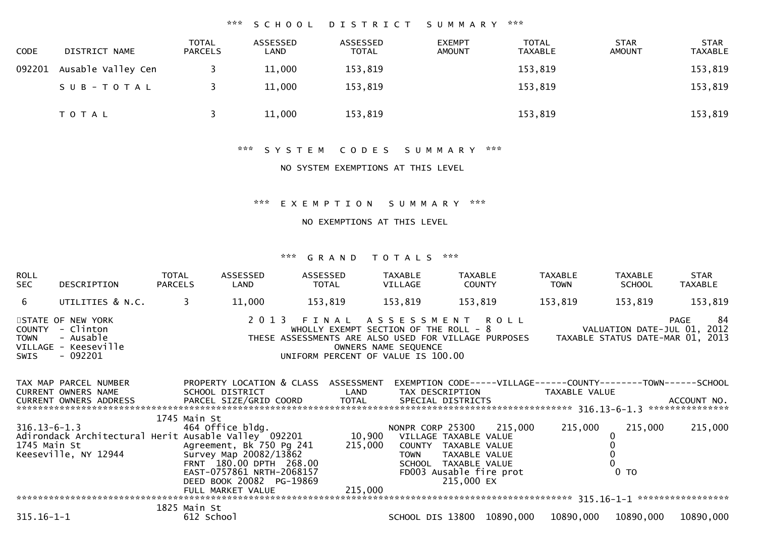## \*\*\* S C H O O L D I S T R I C T S U M M A R Y \*\*\*

| <b>CODE</b> | DISTRICT NAME      | <b>TOTAL</b><br><b>PARCELS</b> | ASSESSED<br>LAND | ASSESSED<br><b>TOTAL</b> | <b>EXEMPT</b><br><b>AMOUNT</b> | <b>TOTAL</b><br><b>TAXABLE</b> | <b>STAR</b><br><b>AMOUNT</b> | <b>STAR</b><br><b>TAXABLE</b> |
|-------------|--------------------|--------------------------------|------------------|--------------------------|--------------------------------|--------------------------------|------------------------------|-------------------------------|
| 092201      | Ausable Valley Cen |                                | 11,000           | 153,819                  |                                | 153,819                        |                              | 153,819                       |
|             | SUB-TOTAL          |                                | 11,000           | 153,819                  |                                | 153,819                        |                              | 153,819                       |
|             | <b>TOTAL</b>       |                                | 11,000           | 153,819                  |                                | 153,819                        |                              | 153,819                       |

### \*\*\* S Y S T E M C O D E S S U M M A R Y \*\*\*

### NO SYSTEM EXEMPTIONS AT THIS LEVEL

### \*\*\* E X E M P T I O N S U M M A R Y \*\*\*

### NO EXEMPTIONS AT THIS LEVEL

| ROLL<br>SEC         | DESCRIPTION                                                                                                                     | TOTAL<br><b>PARCELS</b> | ASSESSED<br>LAND                                                                                                                                       | ASSESSED<br>TOTAL                                                                                                                                                                                                              |         | TAXABLE<br>VILLAGE                  | TAXABLE<br><b>COUNTY</b>              |                                                     | TAXABLE<br><b>TOWN</b>                                                                          | <b>TAXABLE</b><br><b>SCHOOL</b> | STAR<br>TAXABLE |
|---------------------|---------------------------------------------------------------------------------------------------------------------------------|-------------------------|--------------------------------------------------------------------------------------------------------------------------------------------------------|--------------------------------------------------------------------------------------------------------------------------------------------------------------------------------------------------------------------------------|---------|-------------------------------------|---------------------------------------|-----------------------------------------------------|-------------------------------------------------------------------------------------------------|---------------------------------|-----------------|
| 6 <sup>1</sup>      | UTILITIES & N.C.                                                                                                                |                         | $\overline{3}$<br>11,000                                                                                                                               | 153,819                                                                                                                                                                                                                        |         | 153,819                             | 153,819                               |                                                     | 153,819                                                                                         | 153,819                         | 153,819         |
| <b>TOWN</b><br>SWIS | STATE OF NEW YORK<br>COUNTY - Clinton<br>- Ausable<br>VILLAGE - Keeseville<br>- 092201                                          |                         |                                                                                                                                                        | 2013 FINAL ASSESSMENT ROLL<br>WHOLLY EXEMPT SECTION OF THE ROLL - 8 VALUATION DATE-JUL 01, 2012<br>THESE ASSESSMENTS ARE ALSO USED FOR VILLAGE PURPOSES TAXABLE STATUS DATE-MAR 01, 2013<br>UNIFORM PERCENT OF VALUE IS 100.00 |         | OWNERS NAME SEQUENCE                |                                       |                                                     |                                                                                                 |                                 | 84<br>PAGE      |
|                     | TAX MAP PARCEL NUMBER<br>CURRENT OWNERS NAME                                                                                    |                         | PROPERTY LOCATION & CLASS ASSESSMENT<br>SCHOOL DISTRICT LAND                                                                                           |                                                                                                                                                                                                                                |         |                                     |                                       |                                                     | EXEMPTION CODE-----VILLAGE------COUNTY--------TOWN------SCHOOL<br>TAX DESCRIPTION TAXABLE VALUE |                                 |                 |
| 1745 Main St        | $316.13 - 6 - 1.3$<br>Adirondack Architectural Herit Ausable Valley 092201 10,900 VILLAGE TAXABLE VALUE<br>Keeseville, NY 12944 |                         | 1745 Main St<br>464 Office bldg.<br>Agreement, Bk 750 Pg 241 215,000<br>Survey Map 20082/13862<br>FRNT 180.00 DPTH 268.00<br>EAST-0757861 NRTH-2068157 |                                                                                                                                                                                                                                |         | COUNTY TAXABLE VALUE<br><b>TOWN</b> | TAXABLE VALUE<br>SCHOOL TAXABLE VALUE | NONPR CORP 25300 215,000<br>FD003 Ausable fire prot | 215,000                                                                                         | 215,000<br>0 <sub>T</sub>       | 215,000         |
| $315.16 - 1 - 1$    |                                                                                                                                 |                         | DEED BOOK 20082 PG-19869<br>FULL MARKET VALUE<br>1825 Main St                                                                                          |                                                                                                                                                                                                                                | 215,000 |                                     | 215,000 EX                            | SCHOOL DIS 13800 10890,000                          |                                                                                                 | 10890,000 10890,000             | 10890,000       |
|                     |                                                                                                                                 |                         | 612 School                                                                                                                                             |                                                                                                                                                                                                                                |         |                                     |                                       |                                                     |                                                                                                 |                                 |                 |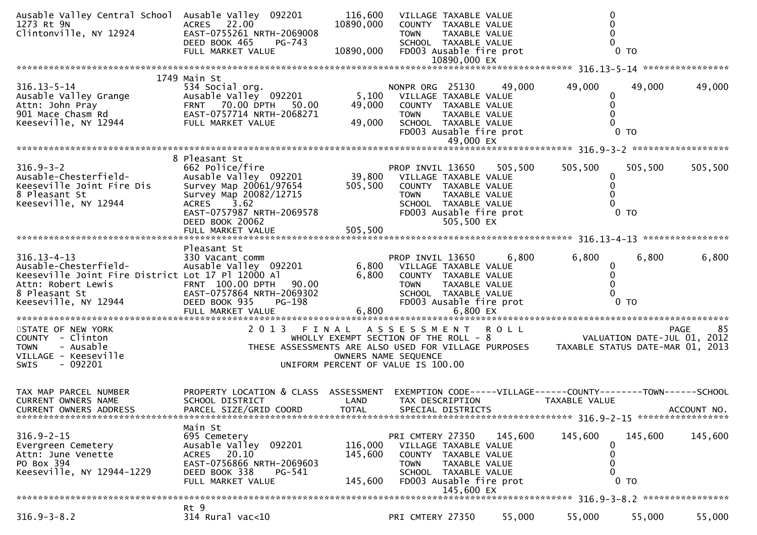| Ausable Valley Central School Ausable Valley 092201<br>1273 Rt 9N<br>Clintonville, NY 12924                                                                                                                       | ACRES 22.00<br>EAST-0755261 NRTH-2069008<br>DEED BOOK 465<br><b>PG-743</b>                                                                                                                  | 116,600<br>10890,000<br>10890,000                                                                | VILLAGE TAXABLE VALUE<br>COUNTY TAXABLE VALUE<br><b>TOWN</b><br>SCHOOL TAXABLE VALUE                                                            | TAXABLE VALUE               | FD003 Ausable fire prot | $\Omega$                                                                       | 0 <sub>T</sub>                  |             |
|-------------------------------------------------------------------------------------------------------------------------------------------------------------------------------------------------------------------|---------------------------------------------------------------------------------------------------------------------------------------------------------------------------------------------|--------------------------------------------------------------------------------------------------|-------------------------------------------------------------------------------------------------------------------------------------------------|-----------------------------|-------------------------|--------------------------------------------------------------------------------|---------------------------------|-------------|
|                                                                                                                                                                                                                   | FULL MARKET VALUE                                                                                                                                                                           |                                                                                                  |                                                                                                                                                 |                             |                         |                                                                                |                                 |             |
|                                                                                                                                                                                                                   |                                                                                                                                                                                             |                                                                                                  |                                                                                                                                                 |                             |                         |                                                                                |                                 |             |
| $316.13 - 5 - 14$<br>Ausable valley Grange<br>Attn: John Pray<br>901 Mace Chasm Rd 901 Mace Chasm Rd 801 EAST-0757714 NRTH-2068271<br>42944 FULL MARKET VALUE                                                     | 1749 Main St<br>534 Social org.<br>Ausable Valley 092201                                                                                                                                    | 49,000<br>49,000                                                                                 | NONPR ORG 25130 49,000<br>5,100 VILLAGE TAXABLE VALUE<br>COUNTY TAXABLE VALUE<br><b>TOWN</b><br>SCHOOL TAXABLE VALUE                            | TAXABLE VALUE<br>49,000 EX  | FD003 Ausable fire prot | 49,000<br>$\bf{0}$<br>$\mathbf{0}$                                             | 49,000<br>0 <sub>T</sub>        | 49,000      |
|                                                                                                                                                                                                                   |                                                                                                                                                                                             |                                                                                                  |                                                                                                                                                 |                             |                         |                                                                                |                                 |             |
| $316.9 - 3 - 2$<br>Ausable-Chesterfield-<br>Keeseville Joint Fire Dis<br>8 Pleasant St<br>Keeseville, NY 12944                                                                                                    | 8 Pleasant St<br>662 Police/fire<br>Ausable Valley 092201<br>Survey Map 20061/97654<br>Survey Map 20082/12715<br>3.62<br><b>ACRES</b><br>EAST-0757987 NRTH-2069578<br>DEED BOOK 20062       | FRUP INVIL 13650 505,<br>39,800 VILLAGE TAXABLE VALUE<br>505.500 COUNTY TAXABLE VALUE<br>505,500 | PROP INVIL 13650 505,500<br>COUNTY TAXABLE VALUE<br><b>TOWN</b><br>SCHOOL TAXABLE VALUE<br>FD003 Ausable fire prot                              | TAXABLE VALUE<br>505,500 EX |                         | 505,500<br>0<br>0                                                              | 505,500<br>$0$ TO               | 505,500     |
|                                                                                                                                                                                                                   |                                                                                                                                                                                             |                                                                                                  |                                                                                                                                                 |                             |                         |                                                                                |                                 |             |
| $316.13 - 4 - 13$<br>Ausable-Chesterfield-<br>Keeseville Joint Fire District Lot 17 Pl 12000 Al<br>Attn: Robert Lewis FRNT 100.00 DPTH 90.00<br>8 Pleasant St 6 EAST-0757864 NRTH-2069302<br>Keeseville, NY 12944 | Pleasant St<br>330 Vacant comm<br>Ausable valley 092201<br>PG-198<br>DEED BOOK 935                                                                                                          |                                                                                                  | PROP INVIL 13650<br>6,800 VILLAGE TAXABLE VALUE<br>6,800 COUNTY TAXABLE VALUE<br><b>TOWN</b><br>SCHOOL TAXABLE VALUE<br>FD003 Ausable fire prot | TAXABLE VALUE               | 6,800                   | 6,800<br>$\bf{0}$<br>$\Omega$                                                  | 6,800<br>0 <sub>T</sub>         | 6,800       |
|                                                                                                                                                                                                                   |                                                                                                                                                                                             |                                                                                                  |                                                                                                                                                 |                             |                         |                                                                                |                                 |             |
| STATE OF NEW YORK<br>COUNTY - Clinton<br>- Ausable<br><b>TOWN</b><br>VILLAGE - Keeseville<br>- 092201<br><b>SWIS</b>                                                                                              | 2 0 1 3<br>FINAL<br>WHOLLY EXEMPT SECTION OF THE ROLL - 8<br>WHOLLY EXEMPT SECTION OF THE ROLL - 8<br>THESE ASSESSMENTS ARE ALSO USED FOR VILLAGE PURPOSES TAXABLE STATUS DATE-MAR 01, 2013 | UNIFORM PERCENT OF VALUE IS 100.00                                                               | ASSESSMENT ROLL<br>OWNERS NAME SEQUENCE                                                                                                         |                             |                         |                                                                                |                                 | PAGE<br>85  |
| TAX MAP PARCEL NUMBER<br>CURRENT OWNERS NAME<br>CURRENT OWNERS ADDRESS                                                                                                                                            | PROPERTY LOCATION & CLASS ASSESSMENT<br>SCHOOL DISTRICT<br>PARCEL SIZE/GRID COORD                                                                                                           | LAND<br><b>TOTAL</b>                                                                             | TAX DESCRIPTION<br>SPECIAL DISTRICTS                                                                                                            |                             |                         | EXEMPTION CODE-----VILLAGE------COUNTY-------TOWN------SCHOOL<br>TAXABLE VALUE |                                 | ACCOUNT NO. |
| $316.9 - 2 - 15$<br>Evergreen Cemetery<br>Attn: June Venette<br>PO Box 394<br>Keeseville, NY 12944-1229                                                                                                           | Main St<br>695 Cemetery<br>Ausable Valley 092201<br>20.10<br>ACRES<br>EAST-0756866 NRTH-2069603<br>DEED BOOK 338<br>PG-541<br>FULL MARKET VALUE                                             | 116,000<br>145,600<br>145,600                                                                    | PRI CMTERY 27350<br>VILLAGE TAXABLE VALUE<br>COUNTY TAXABLE VALUE<br><b>TOWN</b><br>SCHOOL TAXABLE VALUE<br>FD003 Ausable fire prot             | TAXABLE VALUE<br>145,600 EX | 145,600                 | 145,600<br>0<br>0<br>0                                                         | 145,600<br>$\overline{0}$<br>T0 | 145,600     |
|                                                                                                                                                                                                                   |                                                                                                                                                                                             |                                                                                                  |                                                                                                                                                 |                             |                         |                                                                                |                                 |             |
| $316.9 - 3 - 8.2$                                                                                                                                                                                                 | Rt 9<br>314 Rural vac<10                                                                                                                                                                    |                                                                                                  | PRI CMTERY 27350                                                                                                                                |                             | 55,000                  | 55,000                                                                         | 55,000                          | 55,000      |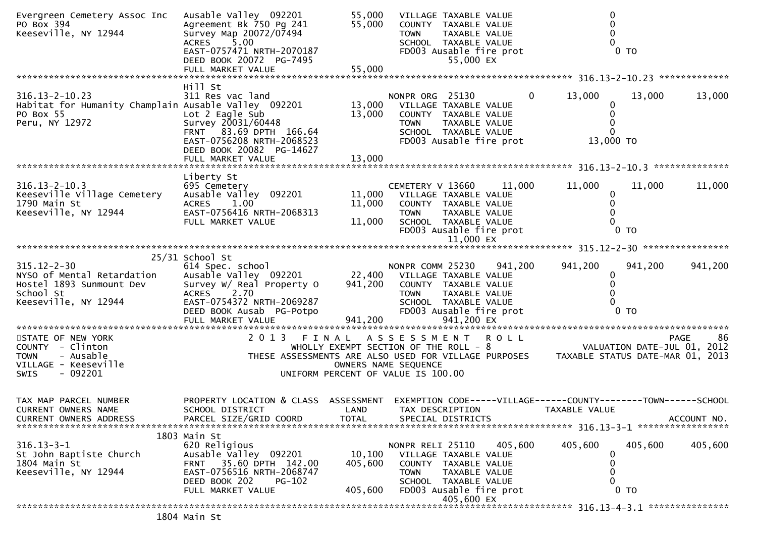| Evergreen Cemetery Assoc Inc<br>PO Box 394<br>Keeseville, NY 12944                                                   | Ausable Valley 092201<br>Agreement Bk 750 Pg 241<br>Survey Map 20072/07494<br>5.00<br><b>ACRES</b><br>EAST-0757471 NRTH-2070187<br>DEED BOOK 20072 PG-7495                           | 55,000<br>55,000             | VILLAGE TAXABLE VALUE<br>COUNTY TAXABLE VALUE<br><b>TOWN</b><br>TAXABLE VALUE<br>SCHOOL TAXABLE VALUE<br>FD003 Ausable fire prot<br>55,000 EX                                                                   |                |                                 | $0$ TO            |             |
|----------------------------------------------------------------------------------------------------------------------|--------------------------------------------------------------------------------------------------------------------------------------------------------------------------------------|------------------------------|-----------------------------------------------------------------------------------------------------------------------------------------------------------------------------------------------------------------|----------------|---------------------------------|-------------------|-------------|
|                                                                                                                      | FULL MARKET VALUE                                                                                                                                                                    | 55,000                       |                                                                                                                                                                                                                 |                |                                 |                   |             |
| $316.13 - 2 - 10.23$<br>Habitat for Humanity Champlain Ausable Valley 092201<br>PO Box 55<br>Peru, NY 12972          | Hill St<br>311 Res vac land<br>Lot 2 Eagle Sub<br>Survey 20031/60448<br>FRNT 83.69 DPTH 166.64<br>EAST-0756208 NRTH-2068523<br>DEED BOOK 20082 PG-14627                              | 13,000                       | NONPR ORG 25130<br>13,000 VILLAGE TAXABLE VALUE<br>COUNTY TAXABLE VALUE<br>TAXABLE VALUE<br><b>TOWN</b><br>SCHOOL TAXABLE VALUE<br>FD003 Ausable fire prot                                                      | $\overline{0}$ | 13,000<br>$\Omega$<br>13,000 TO | 13,000            | 13,000      |
|                                                                                                                      |                                                                                                                                                                                      |                              |                                                                                                                                                                                                                 |                |                                 |                   |             |
| $316.13 - 2 - 10.3$<br>Keeseville Village Cemetery<br>1790 Main St<br>Keeseville, NY 12944                           | Liberty St<br>695 Cemetery<br>Ausable Valley 092201<br>ACRES 1.00<br>EAST-0756416 NRTH-2068313<br>FULL MARKET VALUE                                                                  | 11,000<br>11,000             | CEMETERY V 13660<br>11,000 VILLAGE TAXABLE VALUE<br>COUNTY TAXABLE VALUE<br><b>TOWN</b><br>TAXABLE VALUE<br>SCHOOL TAXABLE VALUE<br>FD003 Ausable fire prot<br>11,000 EX                                        | 11,000         | 11,000<br>0<br>0                | 11,000<br>$0$ TO  | 11,000      |
|                                                                                                                      | 25/31 School St                                                                                                                                                                      |                              |                                                                                                                                                                                                                 |                |                                 |                   |             |
| $315.12 - 2 - 30$<br>NYSO of Mental Retardation<br>Hostel 1893 Sunmount Dev<br>School St<br>Keeseville, NY 12944     | 614 Spec. school<br>Ausable Valley 092201 22,400 VILLAGE TAXABLE VALUE<br>Survey W/ Real Property O<br>2.70<br><b>ACRES</b><br>EAST-0754372 NRTH-2069287<br>DEED BOOK Ausab PG-Potpo |                              | NONPR COMM 25230 941,200<br>941,200 COUNTY TAXABLE VALUE<br><b>TOWN</b><br>TAXABLE VALUE<br>SCHOOL TAXABLE VALUE<br>FD003 Ausable fire prot                                                                     |                | 941,200                         | 941,200<br>$0$ TO | 941,200     |
| STATE OF NEW YORK<br>COUNTY - Clinton<br>- Ausable<br><b>TOWN</b><br>VILLAGE - Keeseville<br>- 092201<br><b>SWIS</b> | 2 0 1 3<br>$\begin{aligned} \mathcal{L}_{\mathcal{A}}(\mathcal{A}) &= \mathcal{L}_{\mathcal{A}}(\mathcal{A}) \mathcal{L}_{\mathcal{A}}(\mathcal{A}) \end{aligned}$                   | FINAL                        | ASSESSMENT ROLL<br>WHOLLY EXEMPT SECTION OF THE ROLL - 8<br>THESE ASSESSMENTS ARE ALSO USED FOR VILLAGE PURPOSES TAXABLE STATUS DATE-MAR 01, 2013<br>OWNERS NAME SEQUENCE<br>UNIFORM PERCENT OF VALUE IS 100.00 |                |                                 |                   | 86<br>PAGE  |
| TAX MAP PARCEL NUMBER<br>CURRENT OWNERS NAME<br><b>CURRENT OWNERS ADDRESS</b>                                        | PROPERTY LOCATION & CLASS ASSESSMENT<br>SCHOOL DISTRICT<br>PARCEL SIZE/GRID COORD                                                                                                    | LAND<br>TOTAL                | EXEMPTION CODE-----VILLAGE------COUNTY--------TOWN------SCHOOL<br>TAX DESCRIPTION<br>SPECIAL DISTRICTS                                                                                                          |                | TAXABLE VALUE                   |                   | ACCOUNT NO. |
| $316.13 - 3 - 1$<br>St John Baptiste Church<br>1804 Main St<br>Keeseville, NY 12944                                  | 1803 Main St<br>620 Religious<br>Ausable Valley 092201<br>35.60 DPTH 142.00<br>FRNT<br>EAST-0756516 NRTH-2068747<br>DEED BOOK 202<br>PG-102<br>FULL MARKET VALUE                     | 10,100<br>405,600<br>405,600 | NONPR RELI 25110<br>VILLAGE TAXABLE VALUE<br>COUNTY TAXABLE VALUE<br>TAXABLE VALUE<br><b>TOWN</b><br>SCHOOL TAXABLE VALUE<br>FD003 Ausable fire prot<br>405,600 EX                                              | 405,600        | 405,600                         | 405,600<br>$0$ TO | 405,600     |
|                                                                                                                      |                                                                                                                                                                                      |                              |                                                                                                                                                                                                                 |                |                                 |                   |             |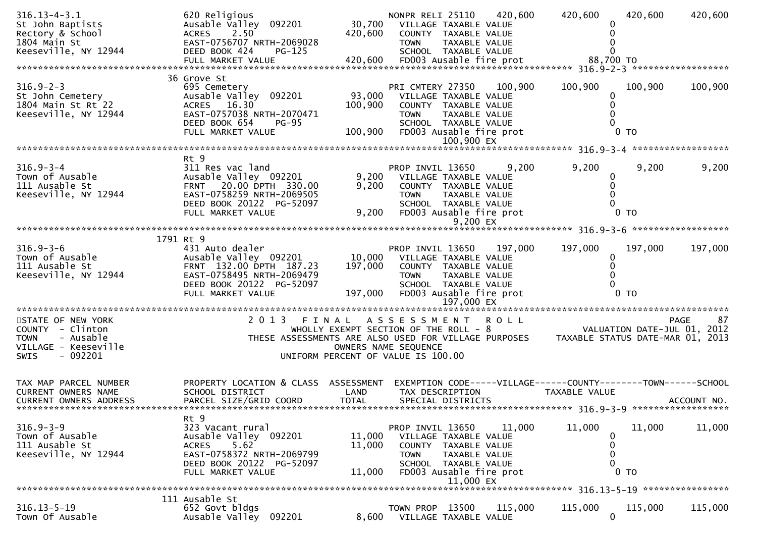| $316.13 - 4 - 3.1$<br>St John Baptists<br>Rectory & School<br>1804 Main St<br>Keeseville, NY 12944                   | 620 Religious<br>Ausable Valley 092201<br>2.50<br><b>ACRES</b><br>EAST-0756707 NRTH-2069028<br>DEED BOOK 424<br>PG-125                                                 | 420,600                                                    | 30,700 VILLAGE TAXABLE VALUE<br><b>TOWN</b>                                                        | COUNTY TAXABLE VALUE<br>TAXABLE VALUE<br>SCHOOL TAXABLE VALUE                                                                  | NONPR RELI 25110 420,600           | 420,600       | 420,600                                                        | 420,600 |
|----------------------------------------------------------------------------------------------------------------------|------------------------------------------------------------------------------------------------------------------------------------------------------------------------|------------------------------------------------------------|----------------------------------------------------------------------------------------------------|--------------------------------------------------------------------------------------------------------------------------------|------------------------------------|---------------|----------------------------------------------------------------|---------|
| $316.9 - 2 - 3$<br>St John Cemetery<br>1804 Main St Rt 22<br>Keeseville, NY 12944                                    | 36 Grove St<br>695 Cemetery<br>Ausable Valley 092201<br>ACRES 16.30<br>EAST-0757038 NRTH-2070471<br>DEED BOOK 654<br>$PG-95$<br>FULL MARKET VALUE                      | 100,900<br>100,900                                         | PRI CMTERY 27350<br>93,000 VILLAGE TAXABLE VALUE<br><b>TOWN</b>                                    | COUNTY TAXABLE VALUE<br>TAXABLE VALUE<br>SCHOOL TAXABLE VALUE<br>100,900 EX                                                    | 100,900<br>FD003 Ausable fire prot | 100,900       | 100,900<br>$0$ TO                                              | 100,900 |
|                                                                                                                      |                                                                                                                                                                        |                                                            |                                                                                                    |                                                                                                                                |                                    |               |                                                                |         |
| $316.9 - 3 - 4$<br>Town of Ausable<br>111 Ausable St<br>Keeseville, NY 12944                                         | Rt 9<br>311 Res vac land<br>Ausable Valley 092201<br>FRNT 20.00 DPTH 330.00<br>EAST-0758259 NRTH-2069505<br>DEED BOOK 20122 PG-52097<br>FULL MARKET VALUE              | 9,200<br>9,200                                             | PROP INVIL 13650<br>9,200 VILLAGE TAXABLE VALUE<br><b>TOWN</b>                                     | COUNTY TAXABLE VALUE<br>TAXABLE VALUE<br>SCHOOL TAXABLE VALUE<br>FD003 Ausable fire prot<br>9,200 EX                           | 9,200                              | 9,200         | 9,200<br>$0$ TO                                                | 9,200   |
|                                                                                                                      | 1791 Rt 9                                                                                                                                                              |                                                            |                                                                                                    |                                                                                                                                |                                    |               |                                                                |         |
| $316.9 - 3 - 6$<br>Town of Ausable<br>111 Ausable St<br>Keeseville, NY 12944                                         | 431 Auto dealer<br>Ausable Valley 092201<br>FRNT 132.00 DPTH 187.23<br>EAST-0758495 NRTH-2069479<br>DEED BOOK 20122 PG-52097<br>FULL MARKET VALUE                      | 197,000                                                    | PROP INVIL 13650<br>10,000 VILLAGE TAXABLE VALUE<br><b>TOWN</b><br>197,000 FD003 Ausable fire prot | COUNTY TAXABLE VALUE<br>TAXABLE VALUE<br>SCHOOL TAXABLE VALUE<br>197,000 EX                                                    | 197,000                            | 197,000       | 197,000<br>$0$ TO                                              | 197,000 |
|                                                                                                                      | 2 0 1 3                                                                                                                                                                |                                                            | A S S E S S M E N T                                                                                |                                                                                                                                | <b>ROLL</b>                        |               |                                                                | PAGE    |
| STATE OF NEW YORK<br>COUNTY - Clinton<br>- Ausable<br><b>TOWN</b><br>VILLAGE - Keeseville<br>- 092201<br><b>SWIS</b> | FINAL<br>VALUATION DATE-JUL 01, 2012<br>WHOLLY EXEMPT SECTION OF THE ROLL - 8<br>THESE ASSESSMENTS ARE ALSO USED FOR VILLAGE PURPOSES TAXABLE STATUS DATE-MAR 01, 2013 | OWNERS NAME SEQUENCE<br>UNIFORM PERCENT OF VALUE IS 100.00 |                                                                                                    |                                                                                                                                |                                    |               |                                                                | 87      |
| TAX MAP PARCEL NUMBER<br>CURRENT OWNERS NAME<br>CURRENT OWNERS ADDRESS                                               | PROPERTY LOCATION & CLASS ASSESSMENT<br>SCHOOL DISTRICT                                                                                                                | LAND                                                       | TAX DESCRIPTION                                                                                    |                                                                                                                                |                                    | TAXABLE VALUE | EXEMPTION CODE-----VILLAGE------COUNTY--------TOWN------SCHOOL |         |
| $316.9 - 3 - 9$<br>Town of Ausable<br>111 Ausable St<br>Keeseville, NY 12944                                         | Rt 9<br>323 Vacant rural<br>Ausable Valley 092201<br>5.62<br><b>ACRES</b><br>EAST-0758372 NRTH-2069799<br>DEED BOOK 20122 PG-52097<br>FULL MARKET VALUE                | 11,000<br>11,000<br>11,000                                 | PROP INVIL 13650<br><b>TOWN</b>                                                                    | VILLAGE TAXABLE VALUE<br>COUNTY TAXABLE VALUE<br>TAXABLE VALUE<br>SCHOOL TAXABLE VALUE<br>FD003 Ausable fire prot<br>11,000 EX | 11,000                             | 11,000        | 11,000<br>0<br>0 <sub>T</sub>                                  | 11,000  |
|                                                                                                                      |                                                                                                                                                                        |                                                            |                                                                                                    |                                                                                                                                |                                    |               |                                                                |         |
| $316.13 - 5 - 19$<br>Town Of Ausable                                                                                 | 111 Ausable St<br>652 Govt bldgs<br>Ausable Valley 092201                                                                                                              | 8,600                                                      | TOWN PROP 13500                                                                                    | VILLAGE TAXABLE VALUE                                                                                                          | 115,000                            | 115,000       | 115,000<br>$\mathbf 0$                                         | 115,000 |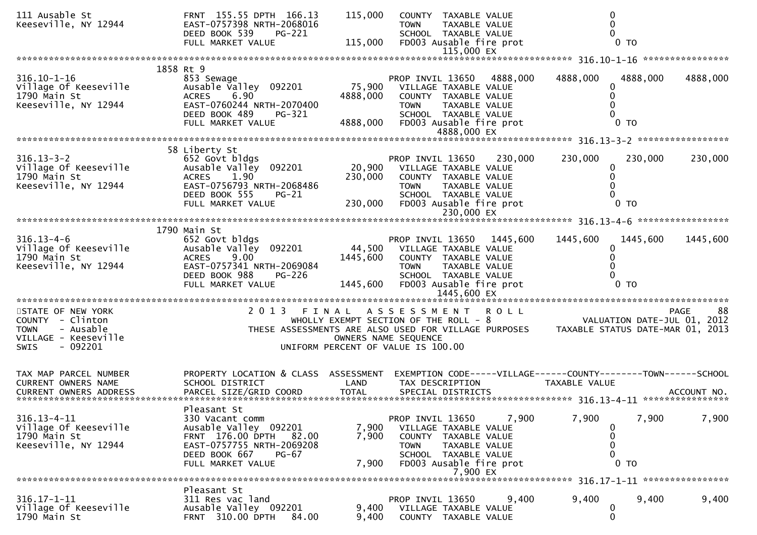| 111 Ausable St<br>Keeseville, NY 12944                                                                                | FRNT 155.55 DPTH 166.13<br>EAST-0757398 NRTH-2068016<br>DEED BOOK 539<br>PG-221<br>FULL MARKET VALUE                                                                                                                                                                                                                                                                                                                                                                                                                             | 115,000<br>115,000           | COUNTY TAXABLE VALUE<br><b>TOWN</b><br>SCHOOL TAXABLE VALUE<br>FD003 Ausable fire prot                                                                                         | TAXABLE VALUE                          | 0<br>$\mathbf{0}$                                                              | $0$ TO                     |                   |
|-----------------------------------------------------------------------------------------------------------------------|----------------------------------------------------------------------------------------------------------------------------------------------------------------------------------------------------------------------------------------------------------------------------------------------------------------------------------------------------------------------------------------------------------------------------------------------------------------------------------------------------------------------------------|------------------------------|--------------------------------------------------------------------------------------------------------------------------------------------------------------------------------|----------------------------------------|--------------------------------------------------------------------------------|----------------------------|-------------------|
|                                                                                                                       |                                                                                                                                                                                                                                                                                                                                                                                                                                                                                                                                  |                              |                                                                                                                                                                                |                                        |                                                                                |                            |                   |
| $316.10 - 1 - 16$<br>Village Of Keeseville<br>1790 Main St<br>Keeseville, NY 12944                                    | 1858 Rt 9<br>853 Sewage<br>Ausable Valley 092201<br>6.90<br><b>ACRES</b><br>EAST-0760244 NRTH-2070400<br>DEED BOOK 489<br><b>PG-321</b><br>FULL MARKET VALUE                                                                                                                                                                                                                                                                                                                                                                     | 4888,000<br>4888,000         | PROP INVIL 13650 4888,000<br>75,900 VILLAGE TAXABLE VALUE<br>COUNTY TAXABLE VALUE<br><b>TOWN</b><br>SCHOOL TAXABLE VALUE<br>FD003 Ausable fire prot                            | TAXABLE VALUE                          | 4888,000<br>0<br>$\Omega$                                                      | 4888,000<br>$0$ TO         | 4888,000          |
|                                                                                                                       |                                                                                                                                                                                                                                                                                                                                                                                                                                                                                                                                  |                              |                                                                                                                                                                                |                                        |                                                                                |                            |                   |
| $316.13 - 3 - 2$<br>Village Of Keeseville<br>1790 Main St<br>Keeseville, NY 12944                                     | 58 Liberty St<br>652 Govt bldgs<br>Ausable Valley 092201<br>1.90<br><b>ACRES</b><br>EAST-0756793 NRTH-2068486<br>DEED BOOK 555<br><b>PG-21</b><br>FULL MARKET VALUE                                                                                                                                                                                                                                                                                                                                                              | 20,900<br>230,000<br>230,000 | PROP INVIL 13650<br>VILLAGE TAXABLE VALUE<br>COUNTY TAXABLE VALUE<br><b>TOWN</b><br>SCHOOL TAXABLE VALUE<br>FD003 Ausable fire prot                                            | 230,000<br>TAXABLE VALUE<br>230,000 EX | 230,000<br>0<br>0                                                              | 230,000<br>0 <sub>T</sub>  | 230,000           |
|                                                                                                                       |                                                                                                                                                                                                                                                                                                                                                                                                                                                                                                                                  |                              |                                                                                                                                                                                |                                        |                                                                                |                            |                   |
| $316.13 - 4 - 6$<br>Village Of Keeseville<br>1790 Main St<br>Keeseville, NY 12944                                     | 1790 Main St<br>652 Govt bldgs<br>Ausable Valley 092201<br>9.00<br><b>ACRES</b><br>EAST-0757341 NRTH-2069084<br>DEED BOOK 988<br>PG-226<br>FULL MARKET VALUE                                                                                                                                                                                                                                                                                                                                                                     | 1445,600<br>1445,600         | PROP INVIL 13650 1445,600<br>44,500 VILLAGE TAXABLE VALUE<br>COUNTY TAXABLE VALUE<br><b>TOWN</b><br>SCHOOL TAXABLE VALUE<br>FD003 Ausable fire prot                            | TAXABLE VALUE                          | 1445,600<br>0                                                                  | 1445,600<br>0 <sub>T</sub> | 1445,600          |
|                                                                                                                       |                                                                                                                                                                                                                                                                                                                                                                                                                                                                                                                                  |                              |                                                                                                                                                                                |                                        |                                                                                |                            |                   |
| STATE OF NEW YORK<br>COUNTY - Clinton<br><b>TOWN</b><br>- Ausable<br>VILLAGE - Keeseville<br>$-092201$<br><b>SWIS</b> | 2 0 1 3<br>$\begin{align} \mathcal{L} \mathbf{x} \times \mathbf{y} \times \mathbf{y} \times \mathbf{y} \times \mathbf{y} \times \mathbf{y} \times \mathbf{y} \times \mathbf{y} \times \mathbf{y} \times \mathbf{y} \times \mathbf{y} \times \mathbf{y} \times \mathbf{y} \times \mathbf{y} \times \mathbf{y} \times \mathbf{y} \times \mathbf{y} \times \mathbf{y} \times \mathbf{y} \times \mathbf{y} \times \mathbf{y} \times \mathbf{y} \times \mathbf{y} \times \mathbf{y} \times \mathbf{y} \times \mathbf{y} \times \math$ | FINAL                        | ASSESSMENT ROLL<br>WHOLLY EXEMPT SECTION OF THE ROLL - 8<br>THESE ASSESSMENTS ARE ALSO USED FOR VILLAGE PURPOSES<br>OWNERS NAME SEQUENCE<br>UNIFORM PERCENT OF VALUE IS 100.00 |                                        | VALUATION DATE-JUL 01, 2012<br>TAXABLE STATUS DATE-MAR 01, 2013                |                            | 88<br><b>PAGE</b> |
| TAX MAP PARCEL NUMBER<br><b>CURRENT OWNERS NAME</b>                                                                   | PROPERTY LOCATION & CLASS ASSESSMENT<br>SCHOOL DISTRICT                                                                                                                                                                                                                                                                                                                                                                                                                                                                          | LAND                         | TAX DESCRIPTION                                                                                                                                                                |                                        | EXEMPTION CODE-----VILLAGE------COUNTY-------TOWN------SCHOOL<br>TAXABLE VALUE |                            |                   |
| $316.13 - 4 - 11$<br>Village Of Keeseville<br>1790 Main St<br>Keeseville, NY 12944                                    | Pleasant St<br>330 Vacant comm<br>Ausable Valley 092201<br>FRNT 176.00 DPTH<br>82.00<br>EAST-0757755 NRTH-2069208<br>DEED BOOK 667<br><b>PG-67</b><br>FULL MARKET VALUE                                                                                                                                                                                                                                                                                                                                                          | 7,900<br>7,900<br>7,900      | PROP INVIL 13650<br>VILLAGE TAXABLE VALUE<br>COUNTY TAXABLE VALUE<br><b>TOWN</b><br>SCHOOL TAXABLE VALUE<br>FD003 Ausable fire prot                                            | 7,900<br>TAXABLE VALUE<br>7,900 EX     | 7,900<br>0<br>0<br>0<br>0                                                      | 7,900<br>$0$ TO            | 7,900             |
|                                                                                                                       |                                                                                                                                                                                                                                                                                                                                                                                                                                                                                                                                  |                              |                                                                                                                                                                                |                                        |                                                                                |                            |                   |
| $316.17 - 1 - 11$<br>Village Of Keeseville<br>1790 Main St                                                            | Pleasant St<br>311 Res vac land<br>Ausable Valley 092201<br>FRNT 310.00 DPTH<br>84.00                                                                                                                                                                                                                                                                                                                                                                                                                                            | 9,400<br>9,400               | PROP INVIL 13650<br>VILLAGE TAXABLE VALUE<br>COUNTY TAXABLE VALUE                                                                                                              | 9,400                                  | 9,400<br>$\bf{0}$<br>0                                                         | 9,400                      | 9,400             |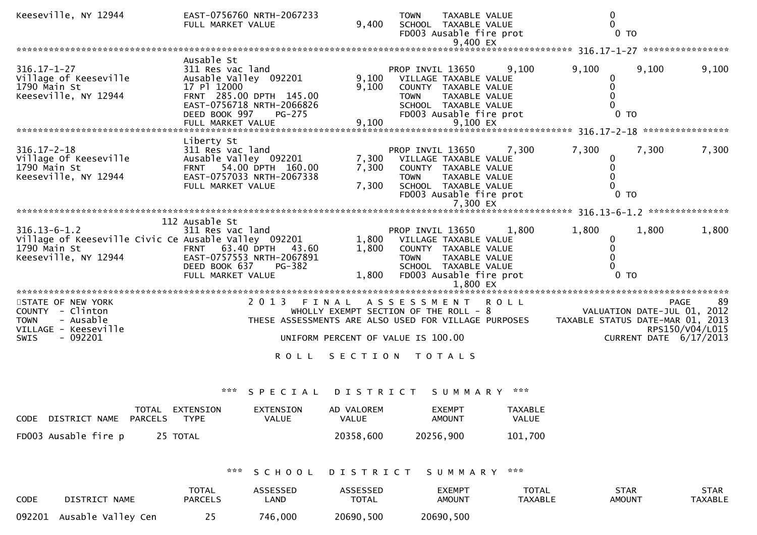| Keeseville, NY 12944                                                                                               | EAST-0756760 NRTH-2067233<br>FULL MARKET VALUE                                                                                                            | 9,400                   | <b>TOWN</b><br>TAXABLE VALUE<br>SCHOOL TAXABLE VALUE<br>FD003 Ausable fire prot<br>9,400 EX                                                                      |                | 0<br>$\mathbf{0}$                                               | $0$ TO                                     |                       |
|--------------------------------------------------------------------------------------------------------------------|-----------------------------------------------------------------------------------------------------------------------------------------------------------|-------------------------|------------------------------------------------------------------------------------------------------------------------------------------------------------------|----------------|-----------------------------------------------------------------|--------------------------------------------|-----------------------|
|                                                                                                                    |                                                                                                                                                           |                         |                                                                                                                                                                  |                |                                                                 |                                            |                       |
| $316.17 - 1 - 27$<br>Village of Keeseville<br>1790 Main St<br>Keeseville, NY 12944                                 | Ausable St<br>311 Res vac land<br>Ausable Valley 092201<br>17 Pl 12000<br>FRNT 285.00 DPTH 145.00<br>EAST-0756718 NRTH-2066826<br>DEED BOOK 997<br>PG-275 | 9,100<br>9,100          | PROP INVIL 13650<br>VILLAGE TAXABLE VALUE<br>COUNTY TAXABLE VALUE<br><b>TOWN</b><br>TAXABLE VALUE<br>SCHOOL TAXABLE VALUE<br>FD003 Ausable fire prot             | 9.100          | 9,100<br>$\mathbf{0}$<br>$\mathbf 0$<br>$\mathbf 0$<br>$\Omega$ | 9,100<br>$0$ TO                            | 9,100                 |
|                                                                                                                    |                                                                                                                                                           |                         |                                                                                                                                                                  |                |                                                                 |                                            |                       |
| $316.17 - 2 - 18$<br>Village Of Keeseville<br>1790 Main St<br>Keeseville, NY 12944                                 | Liberty St<br>311 Res vac land<br>Ausable Valley 092201<br>FRNT 54.00 DPTH 160.00<br>EAST-0757033 NRTH-2067338<br>FULL MARKET VALUE                       | 7,300<br>7,300<br>7,300 | PROP INVIL 13650<br>VILLAGE TAXABLE VALUE<br>COUNTY TAXABLE VALUE<br>TAXABLE VALUE<br><b>TOWN</b><br>SCHOOL TAXABLE VALUE<br>FD003 Ausable fire prot<br>7,300 EX | 7,300          | 7,300<br>0<br>$\mathbf 0$<br>0<br>$\Omega$                      | 7,300<br>0 <sub>T</sub>                    | 7,300                 |
|                                                                                                                    |                                                                                                                                                           |                         |                                                                                                                                                                  |                |                                                                 |                                            |                       |
|                                                                                                                    | 112 Ausable St                                                                                                                                            |                         |                                                                                                                                                                  |                |                                                                 |                                            |                       |
| $316.13 - 6 - 1.2$<br>Village of Keeseville Civic Ce Ausable Valley 092201<br>1790 Main St<br>Keeseville, NY 12944 | 311 Res vac land<br>63.40 DPTH 43.60<br><b>FRNT</b><br>EAST-0757553 NRTH-2067891<br>DEED BOOK 637<br>PG-382<br>FULL MARKET VALUE                          | 1,800<br>1,800<br>1,800 | PROP INVIL 13650<br>VILLAGE TAXABLE VALUE<br>COUNTY TAXABLE VALUE<br><b>TOWN</b><br>TAXABLE VALUE<br>SCHOOL TAXABLE VALUE<br>FD003 Ausable fire prot<br>1,800 EX | 1,800          | 1,800<br>$\mathbf{0}$<br>$\mathbf{0}$<br>$\Omega$<br>$\Omega$   | 1,800<br>0 <sub>T</sub>                    | 1,800                 |
|                                                                                                                    |                                                                                                                                                           |                         |                                                                                                                                                                  |                |                                                                 |                                            |                       |
| STATE OF NEW YORK<br>COUNTY - Clinton<br>- Ausable<br><b>TOWN</b><br>VILLAGE - Keeseville                          | 2 0 1 3<br>FINAL                                                                                                                                          |                         | A S S E S S M E N T<br>WHOLLY EXEMPT SECTION OF THE ROLL - 8<br>THESE ASSESSMENTS ARE ALSO USED FOR VILLAGE PURPOSES                                             | <b>ROLL</b>    | TAXABLE STATUS DATE-MAR 01, 2013                                | <b>PAGE</b><br>VALUATION DATE-JUL 01, 2012 | 89<br>RPS150/V04/L015 |
| $-092201$<br><b>SWIS</b>                                                                                           |                                                                                                                                                           |                         | UNIFORM PERCENT OF VALUE IS 100.00                                                                                                                               |                |                                                                 | CURRENT DATE 6/17/2013                     |                       |
|                                                                                                                    | <b>ROLL</b>                                                                                                                                               |                         | SECTION TOTALS                                                                                                                                                   |                |                                                                 |                                            |                       |
|                                                                                                                    | $\mathbf{x} \times \mathbf{x}$<br>SPECIAL                                                                                                                 | D I S T R I C T         | SUMMARY                                                                                                                                                          | ***            |                                                                 |                                            |                       |
| TOTAL EXTENSION                                                                                                    | <b>EXTENSION</b>                                                                                                                                          | AD VALOREM              | <b>EXEMPT</b>                                                                                                                                                    | <b>TAXABLE</b> |                                                                 |                                            |                       |
| DISTRICT NAME<br><b>PARCELS</b><br><b>CODE</b>                                                                     | <b>TYPE</b><br><b>VALUE</b>                                                                                                                               | <b>VALUE</b>            | <b>AMOUNT</b>                                                                                                                                                    | VALUE          |                                                                 |                                            |                       |
| FD003 Ausable fire p<br>25 TOTAL                                                                                   |                                                                                                                                                           | 20358,600               | 20256,900                                                                                                                                                        | 101,700        |                                                                 |                                            |                       |

\*\*\* S C H O O L D I S T R I C T S U M M A R Y \*\*\*

| <b>CODE</b> | DISTRICT NAME      | <b>TOTAL</b><br><b>PARCELS</b> | ASSESSED<br>_AND | ASSESSED<br><b>TOTAL</b> | EXEMPT<br><b>AMOUNT</b> | <b>TOTAL</b><br><b>TAXABLE</b> | STAR<br><b>AMOUNT</b> | STAR<br>TAXABLE |
|-------------|--------------------|--------------------------------|------------------|--------------------------|-------------------------|--------------------------------|-----------------------|-----------------|
| 092201      | Ausable Valley Cen |                                | 746,000          | 20690,500                | 20690,500               |                                |                       |                 |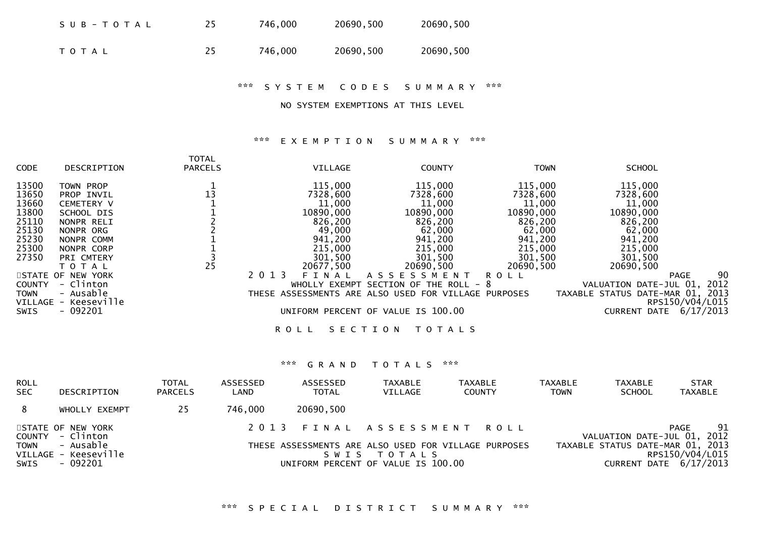| SUB-TOTAL | 25 | 746,000 | 20690,500 | 20690,500 |
|-----------|----|---------|-----------|-----------|
| T O T A L | 25 | 746.000 | 20690,500 | 20690,500 |

\*\*\* S Y S T E M C O D E S S U M M A R Y \*\*\*

### NO SYSTEM EXEMPTIONS AT THIS LEVEL

### \*\*\* E X E M P T I O N S U M M A R Y \*\*\*

| <b>CODE</b>   | DESCRIPTION          | <b>TOTAL</b><br><b>PARCELS</b> | VILLAGE                                              | <b>COUNTY</b>           | <b>TOWN</b> | <b>SCHOOL</b>                    |           |
|---------------|----------------------|--------------------------------|------------------------------------------------------|-------------------------|-------------|----------------------------------|-----------|
| 13500         | TOWN PROP            |                                | 115,000                                              | 115,000                 | 115,000     | 115,000                          |           |
| 13650         | PROP INVIL           | 13                             | 7328,600                                             | 7328,600                | 7328,600    | 7328,600                         |           |
| 13660         | <b>CEMETERY V</b>    |                                | 11,000                                               | 11,000                  | 11,000      | 11,000                           |           |
| 13800         | SCHOOL DIS           |                                | 10890,000                                            | 10890,000               | 10890,000   | 10890,000                        |           |
| 25110         | NONPR RELI           |                                | 826,200                                              | 826,200                 | 826,200     | 826,200                          |           |
| 25130         | NONPR ORG            |                                | 49,000                                               | 62,000                  | 62,000      | 62,000                           |           |
| 25230         | NONPR COMM           |                                | 941,200                                              | 941,200                 | 941,200     | 941,200                          |           |
| 25300         | NONPR CORP           |                                | 215,000                                              | 215,000                 | 215,000     | 215,000                          |           |
| 27350         | PRI CMTERY           |                                | 301,500                                              | 301,500                 | 301,500     | 301,500                          |           |
|               | ΤΟΤΑΙ                | 25                             | 20677,500                                            | 20690,500               | 20690,500   | 20690,500                        |           |
|               | STATE OF NEW YORK    |                                | 2 0 1 3<br>FINAL                                     | A S S E S S M E N T     | <b>ROLL</b> | <b>PAGE</b>                      | 90        |
| <b>COUNTY</b> | - Clinton            |                                | WHOLLY EXEMPT                                        | SECTION OF THE ROLL - 8 |             | VALUATION DATE-JUL 01,           | 2012      |
| TOWN          | - Ausable            |                                | THESE ASSESSMENTS ARE ALSO USED FOR VILLAGE PURPOSES |                         |             | TAXABLE STATUS DATE-MAR 01, 2013 |           |
|               | VILLAGE - Keeseville |                                |                                                      |                         |             | RPS150/V04/L015                  |           |
| SWIS          | $-092201$            |                                | UNIFORM PERCENT OF VALUE IS 100.00                   |                         |             | <b>CURRENT DATE</b>              | 6/17/2013 |
|               |                      |                                | SECTION<br><b>ROLL</b>                               | T O T A L S             |             |                                  |           |

| <b>ROLL</b><br><b>SEC</b> | DESCRIPTION                                        | <b>TOTAL</b><br><b>PARCELS</b> | ASSESSED<br>LAND | ASSESSED<br><b>TOTAL</b> | <b>TAXABLE</b><br><b>VILLAGE</b>                  | <b>TAXABLE</b><br><b>COUNTY</b>                      | TAXABLE<br><b>TOWN</b> | <b>TAXABLE</b><br><b>SCHOOL</b>  | <b>STAR</b><br><b>TAXABLE</b>             |
|---------------------------|----------------------------------------------------|--------------------------------|------------------|--------------------------|---------------------------------------------------|------------------------------------------------------|------------------------|----------------------------------|-------------------------------------------|
| 8                         | WHOLLY EXEMPT                                      | 25                             | 746,000          | 20690,500                |                                                   |                                                      |                        |                                  |                                           |
| <b>TOWN</b>               | STATE OF NEW YORK<br>COUNTY - Clinton<br>- Ausable |                                |                  |                          | 2013 FINAL ASSESSMENT ROLL                        |                                                      |                        | TAXABLE STATUS DATE-MAR 01, 2013 | 91<br>PAGE<br>VALUATION DATE-JUL 01, 2012 |
| SWIS                      | VILLAGE - Keeseville<br>- 092201                   |                                |                  |                          | SWIS TOTALS<br>UNIFORM PERCENT OF VALUE IS 100.00 | THESE ASSESSMENTS ARE ALSO USED FOR VILLAGE PURPOSES |                        |                                  | RPS150/V04/L015<br>CURRENT DATE 6/17/2013 |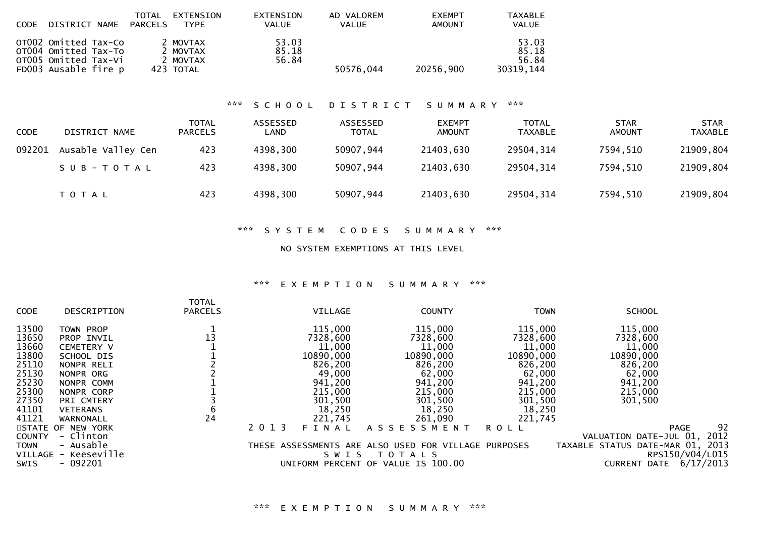| CODE   | DISTRICT NAME                                                                                | <b>TOTAL</b><br><b>PARCELS</b> | <b>EXTENSION</b><br><b>TYPE</b>               |     | <b>EXTENSION</b><br><b>VALUE</b> | AD VALOREM<br><b>VALUE</b>      | <b>EXEMPT</b><br><b>AMOUNT</b> | TAXABLE<br><b>VALUE</b>              |                              |                        |
|--------|----------------------------------------------------------------------------------------------|--------------------------------|-----------------------------------------------|-----|----------------------------------|---------------------------------|--------------------------------|--------------------------------------|------------------------------|------------------------|
|        | OTO02 Omitted Tax-Co<br>OT004 Omitted Tax-To<br>OTO05 Omitted Tax-Vi<br>FD003 Ausable fire p |                                | 2 MOVTAX<br>2 MOVTAX<br>2 MOVTAX<br>423 TOTAL |     | 53.03<br>85.18<br>56.84          | 50576,044                       | 20256,900                      | 53.03<br>85.18<br>56.84<br>30319,144 |                              |                        |
|        |                                                                                              |                                |                                               | *** | SCHOOL                           | <b>DISTRICT</b>                 | SUMMARY                        | ***                                  |                              |                        |
| CODE   | DISTRICT NAME                                                                                |                                | <b>TOTAL</b><br><b>PARCELS</b>                |     | ASSESSED<br>LAND                 | <b>ASSESSED</b><br><b>TOTAL</b> | <b>EXEMPT</b><br><b>AMOUNT</b> | <b>TOTAL</b><br><b>TAXABLE</b>       | <b>STAR</b><br><b>AMOUNT</b> | STAR<br><b>TAXABLE</b> |
| 092201 | Ausable Valley Cen                                                                           |                                | 423                                           |     | 4398,300                         | 50907,944                       | 21403,630                      | 29504,314                            | 7594,510                     | 21909,804              |
|        | $SUB - TO TAL$                                                                               |                                | 423                                           |     | 4398,300                         | 50907,944                       | 21403,630                      | 29504,314                            | 7594,510                     | 21909,804              |
|        | TOTAL                                                                                        |                                | 423                                           |     | 4398,300                         | 50907,944                       | 21403,630                      | 29504,314                            | 7594,510                     | 21909,804              |

## \*\*\* S Y S T E M C O D E S S U M M A R Y \*\*\*

## NO SYSTEM EXEMPTIONS AT THIS LEVEL

## \*\*\* E X E M P T I O N S U M M A R Y \*\*\*

| CODE          | DESCRIPTION                       | <b>TOTAL</b><br><b>PARCELS</b> |      | VILLAGE   | <b>COUNTY</b>                                                       | <b>TOWN</b> | <b>SCHOOL</b>                                       |
|---------------|-----------------------------------|--------------------------------|------|-----------|---------------------------------------------------------------------|-------------|-----------------------------------------------------|
| 13500         | TOWN PROP                         |                                |      | 115,000   | 115,000                                                             | 115,000     | 115,000                                             |
| 13650         | PROP INVIL                        | 13                             |      | 7328,600  | 7328,600                                                            | 7328,600    | 7328,600                                            |
| 13660         | <b>CEMETERY V</b>                 |                                |      | 11,000    | 11,000                                                              | 11,000      | 11,000                                              |
| 13800         | SCHOOL DIS                        |                                |      | 10890,000 | 10890,000                                                           | 10890,000   | 10890,000                                           |
| 25110         | NONPR RELI                        |                                |      | 826,200   | 826,200                                                             | 826,200     | 826,200                                             |
| 25130         | NONPR ORG                         |                                |      | 49,000    | 62,000                                                              | 62,000      | 62,000                                              |
| 25230         | NONPR COMM                        |                                |      | 941,200   | 941,200                                                             | 941,200     | 941,200                                             |
| 25300         | NONPR CORP                        |                                |      | 215,000   | 215,000                                                             | 215,000     | 215,000                                             |
| 27350         | PRI CMTERY                        |                                |      | 301,500   | 301,500                                                             | 301,500     | 301,500                                             |
| 41101         | <b>VETERANS</b>                   | b                              |      | 18,250    | 18,250                                                              | 18,250      |                                                     |
| 41121         | WARNONALL                         | 24                             |      | 221,745   | 261,090                                                             | 221,745     |                                                     |
|               | STATE OF NEW YORK                 |                                | 2013 | FINAL     | ASSESSMENT                                                          | <b>ROLL</b> | 92<br><b>PAGE</b>                                   |
| <b>COUNTY</b> | - Clinton                         |                                |      |           |                                                                     |             | 2012<br>VALUATION DATE-JUL 01,                      |
| <b>TOWN</b>   | - Ausable<br>VILLAGE - Keeseville |                                |      | SWIS      | THESE ASSESSMENTS ARE ALSO USED FOR VILLAGE PURPOSES<br>T O T A L S |             | TAXABLE STATUS DATE-MAR 01, 2013<br>RPS150/V04/L015 |
| SWIS          | $-092201$                         |                                |      |           | UNIFORM PERCENT OF VALUE IS 100.00                                  |             | 6/17/2013<br>DATE<br><b>CURRENT</b>                 |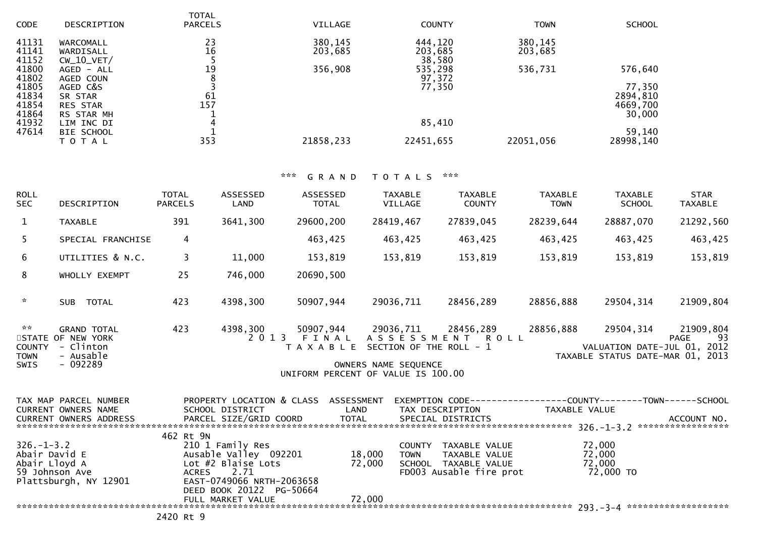| <b>CODE</b>    | DESCRIPTION                | <b>TOTAL</b><br><b>PARCELS</b> | VILLAGE   | <b>COUNTY</b>     | <b>TOWN</b> | <b>SCHOOL</b>        |
|----------------|----------------------------|--------------------------------|-----------|-------------------|-------------|----------------------|
| 41131          | WARCOMALL                  | 23                             | 380,145   | 444,120           | 380,145     |                      |
| 41141<br>41152 | WARDISALL<br>$CW_10_VET/$  | 16                             | 203,685   | 203,685<br>38,580 | 203,685     |                      |
| 41800          | $AGED - ALL$               | 19                             | 356,908   | 535,298           | 536,731     | 576,640              |
| 41802          | AGED COUN                  |                                |           | 97,372            |             |                      |
| 41805          | AGED C&S                   |                                |           | 77,350            |             | 77,350               |
| 41834<br>41854 | SR STAR<br><b>RES STAR</b> | 61<br>157                      |           |                   |             | 2894,810<br>4669,700 |
| 41864          | RS STAR MH                 |                                |           |                   |             | 30,000               |
| 41932          | LIM INC DI                 | 4                              |           | 85,410            |             |                      |
| 47614          | <b>BIE SCHOOL</b>          |                                |           |                   |             | 59,140               |
|                | T O T A L                  | 353                            | 21858,233 | 22451,655         | 22051,056   | 28998,140            |

| <b>ROLL</b><br><b>SEC</b>                                                       | DESCRIPTION                                                                    | <b>TOTAL</b><br><b>PARCELS</b>                                                     | <b>ASSESSED</b><br>LAND                                                                                                          | ASSESSED<br>TOTAL                    | <b>TAXABLE</b><br>VILLAGE                                                                                                            | <b>TAXABLE</b><br><b>COUNTY</b>                                                          | <b>TAXABLE</b><br><b>TOWN</b> | <b>TAXABLE</b><br><b>SCHOOL</b>                                              | <b>STAR</b><br><b>TAXABLE</b>   |
|---------------------------------------------------------------------------------|--------------------------------------------------------------------------------|------------------------------------------------------------------------------------|----------------------------------------------------------------------------------------------------------------------------------|--------------------------------------|--------------------------------------------------------------------------------------------------------------------------------------|------------------------------------------------------------------------------------------|-------------------------------|------------------------------------------------------------------------------|---------------------------------|
| $\mathbf{1}$                                                                    | <b>TAXABLE</b>                                                                 | 391                                                                                | 3641,300                                                                                                                         | 29600,200                            | 28419,467                                                                                                                            | 27839,045                                                                                | 28239,644                     | 28887,070                                                                    | 21292,560                       |
| 5                                                                               | SPECIAL FRANCHISE                                                              | 4                                                                                  |                                                                                                                                  | 463,425                              | 463,425                                                                                                                              | 463,425                                                                                  | 463,425                       | 463,425                                                                      | 463,425                         |
| 6                                                                               | UTILITIES & N.C.                                                               | $\overline{3}$                                                                     | 11,000                                                                                                                           | 153,819                              | 153,819                                                                                                                              | 153,819                                                                                  | 153,819                       | 153,819                                                                      | 153,819                         |
| 8                                                                               | WHOLLY EXEMPT                                                                  | 25                                                                                 | 746,000                                                                                                                          | 20690,500                            |                                                                                                                                      |                                                                                          |                               |                                                                              |                                 |
| $\mathcal{H}$                                                                   | SUB TOTAL                                                                      | 423                                                                                | 4398,300                                                                                                                         | 50907,944                            | 29036,711                                                                                                                            | 28456,289                                                                                | 28856,888                     | 29504,314                                                                    | 21909,804                       |
| $\mathcal{H} \times \mathcal{H}$<br><b>COUNTY</b><br><b>TOWN</b><br><b>SWIS</b> | <b>GRAND TOTAL</b><br>STATE OF NEW YORK<br>- Clinton<br>- Ausable<br>$-092289$ | 423                                                                                | 4398,300                                                                                                                         |                                      | 50907,944 29036,711 28456,289<br>T A X A B L E SECTION OF THE ROLL - 1<br>OWNERS NAME SEQUENCE<br>UNIFORM PERCENT OF VALUE IS 100.00 | 2013 FINAL ASSESSMENT ROLL                                                               | 28856,888                     | 29504,314<br>VALUATION DATE-JUL 01, 2012<br>TAXABLE STATUS DATE-MAR 01, 2013 | 21909,804<br><b>PAGE</b><br>-93 |
|                                                                                 | TAX MAP PARCEL NUMBER<br>CURRENT OWNERS NAME                                   |                                                                                    | SCHOOL DISTRICT                                                                                                                  | PROPERTY LOCATION & CLASS ASSESSMENT | LAND                                                                                                                                 | EXEMPTION CODE-----------------COUNTY-------TOWN------SCHOOL<br>TAX DESCRIPTION          | TAXABLE VALUE                 |                                                                              |                                 |
| $326. - 1 - 3.2$<br>Abair David E<br>Abair Lloyd A<br>59 Johnson Ave            | Plattsburgh, NY 12901                                                          | 462 Rt 9N<br><b>ACRES</b>                                                          | 210 1 Family Res<br>Ausable Valley 092201<br>Lot #2 Blaise Lots<br>2.71<br>EAST-0749066 NRTH-2063658<br>DEED BOOK 20122 PG-50664 |                                      | 18,000<br><b>TOWN</b><br>72,000                                                                                                      | COUNTY TAXABLE VALUE<br>TAXABLE VALUE<br>SCHOOL TAXABLE VALUE<br>FD003 Ausable fire prot |                               | 72,000<br>72,000<br>72,000<br>72,000 TO                                      |                                 |
|                                                                                 |                                                                                | $\begin{array}{ccc} \n\bullet & \bullet & \bullet & \bullet & \bullet \end{array}$ |                                                                                                                                  |                                      |                                                                                                                                      |                                                                                          |                               |                                                                              |                                 |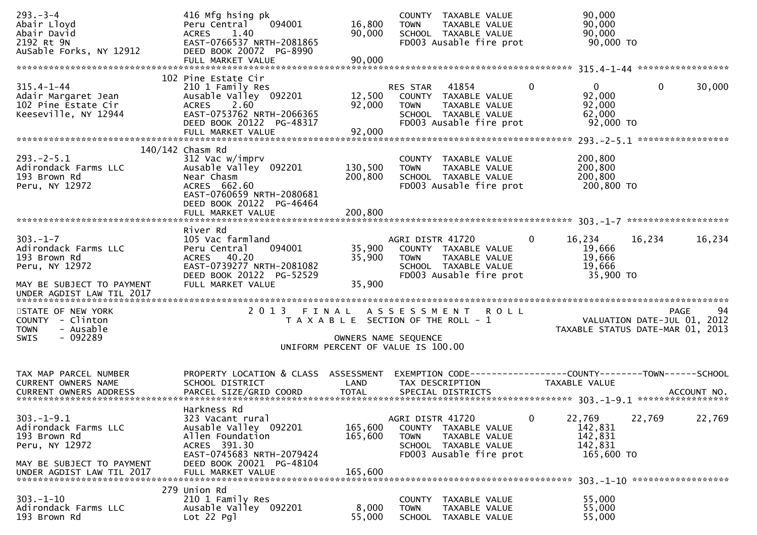| $293. - 3 - 4$<br>Abair Lloyd<br>Abair David<br>2192 Rt 9N<br>AuSable Forks, NY 12912                                               | 416 Mfg hsing pk<br>Peru Central<br>094001<br><b>ACRES</b><br>1.40<br>EAST-0766537 NRTH-2081865<br>DEED BOOK 20072 PG-8990<br>FULL MARKET VALUE                            | 16,800<br>90,000<br>90,000    | COUNTY TAXABLE VALUE<br>TAXABLE VALUE<br><b>TOWN</b><br>SCHOOL TAXABLE VALUE<br>FD003 Ausable fire prot                                   | 90,000<br>90,000<br>90,000<br>90,000 TO                                        |        |
|-------------------------------------------------------------------------------------------------------------------------------------|----------------------------------------------------------------------------------------------------------------------------------------------------------------------------|-------------------------------|-------------------------------------------------------------------------------------------------------------------------------------------|--------------------------------------------------------------------------------|--------|
|                                                                                                                                     |                                                                                                                                                                            |                               |                                                                                                                                           |                                                                                |        |
| $315.4 - 1 - 44$<br>Adair Margaret Jean<br>102 Pine Estate Cir<br>Keeseville, NY 12944                                              | 102 Pine Estate Cir<br>210 1 Family Res<br>Ausable Valley 092201<br>2.60<br><b>ACRES</b><br>EAST-0753762 NRTH-2066365<br>DEED BOOK 20122 PG-48317<br>FULL MARKET VALUE     | 12,500<br>92,000<br>92,000    | 41854<br><b>RES STAR</b><br>COUNTY TAXABLE VALUE<br>TAXABLE VALUE<br><b>TOWN</b><br>SCHOOL TAXABLE VALUE<br>FD003 Ausable fire prot       | $\Omega$<br>$\mathbf 0$<br>$\Omega$<br>92,000<br>92,000<br>62,000<br>92,000 TO | 30,000 |
|                                                                                                                                     |                                                                                                                                                                            |                               |                                                                                                                                           |                                                                                |        |
| $293. - 2 - 5.1$<br>Adirondack Farms LLC<br>193 Brown Rd<br>Peru, NY 12972                                                          | 140/142 Chasm Rd<br>312 Vac w/imprv<br>Ausable Valley 092201<br>Near Chasm<br>ACRES 662.60<br>EAST-0760659 NRTH-2080681<br>DEED BOOK 20122 PG-46464                        | 130,500<br>200,800            | COUNTY TAXABLE VALUE<br>TAXABLE VALUE<br><b>TOWN</b><br>SCHOOL TAXABLE VALUE<br>FD003 Ausable fire prot                                   | 200,800<br>200,800<br>200,800<br>200,800 TO                                    |        |
|                                                                                                                                     |                                                                                                                                                                            |                               |                                                                                                                                           |                                                                                |        |
| $303 - 1 - 7$<br>Adirondack Farms LLC<br>193 Brown Rd<br>Peru, NY 12972<br>MAY BE SUBJECT TO PAYMENT                                | River Rd<br>105 Vac farmland<br>094001<br>Peru Central<br>ACRES 40.20<br>EAST-0739277 NRTH-2081082<br>DEED BOOK 20122 PG-52529<br>FULL MARKET VALUE                        | 35,900<br>35,900<br>35,900    | AGRI DISTR 41720<br>COUNTY TAXABLE VALUE<br>TAXABLE VALUE<br><b>TOWN</b><br>SCHOOL TAXABLE VALUE<br>FD003 Ausable fire prot               | 16,234<br>16,234<br>0<br>19,666<br>19,666<br>19,666<br>35,900 TO               | 16,234 |
| UNDER AGDIST LAW TIL 2017                                                                                                           |                                                                                                                                                                            |                               |                                                                                                                                           |                                                                                |        |
| STATE OF NEW YORK<br>COUNTY - Clinton<br>- Ausable<br><b>TOWN</b><br>$-092289$<br><b>SWIS</b>                                       | 2 0 1 3                                                                                                                                                                    | FINAL                         | A S S E S S M E N T<br><b>ROLL</b><br>T A X A B L E SECTION OF THE ROLL - 1<br>OWNERS NAME SEQUENCE<br>UNIFORM PERCENT OF VALUE IS 100.00 | <b>PAGE</b><br>VALUATION DATE-JUL 01, 2012<br>TAXABLE STATUS DATE-MAR 01, 2013 | 94     |
| TAX MAP PARCEL NUMBER<br>CURRENT OWNERS NAME                                                                                        | PROPERTY LOCATION & CLASS<br>SCHOOL DISTRICT                                                                                                                               | ASSESSMENT<br>LAND            | TAX DESCRIPTION                                                                                                                           | EXEMPTION CODE-----------------COUNTY--------TOWN------SCHOOL<br>TAXABLE VALUE |        |
| $303. -1 - 9.1$<br>Adirondack Farms LLC<br>193 Brown Rd<br>Peru, NY 12972<br>MAY BE SUBJECT TO PAYMENT<br>UNDER AGDIST LAW TIL 2017 | Harkness Rd<br>323 Vacant rural<br>Ausable Valley 092201<br>Allen Foundation<br>ACRES 391.30<br>EAST-0745683 NRTH-2079424<br>DEED BOOK 20021 PG-48104<br>FULL MARKET VALUE | 165,600<br>165,600<br>165,600 | AGRI DISTR 41720<br>COUNTY TAXABLE VALUE<br><b>TOWN</b><br>TAXABLE VALUE<br>SCHOOL TAXABLE VALUE<br>FD003 Ausable fire prot               | 22,769<br>0<br>22,769<br>142,831<br>142,831<br>142,831<br>165,600 TO           | 22,769 |
| $303 - 1 - 10$<br>Adirondack Farms LLC<br>193 Brown Rd                                                                              | 279 Union Rd<br>210 1 Family Res<br>Ausable Valley 092201<br>Lot 22 Pgl                                                                                                    | 8,000<br>55,000               | <b>COUNTY</b><br>TAXABLE VALUE<br><b>TOWN</b><br>TAXABLE VALUE<br>SCHOOL<br>TAXABLE VALUE                                                 | 55,000<br>55,000<br>55,000                                                     |        |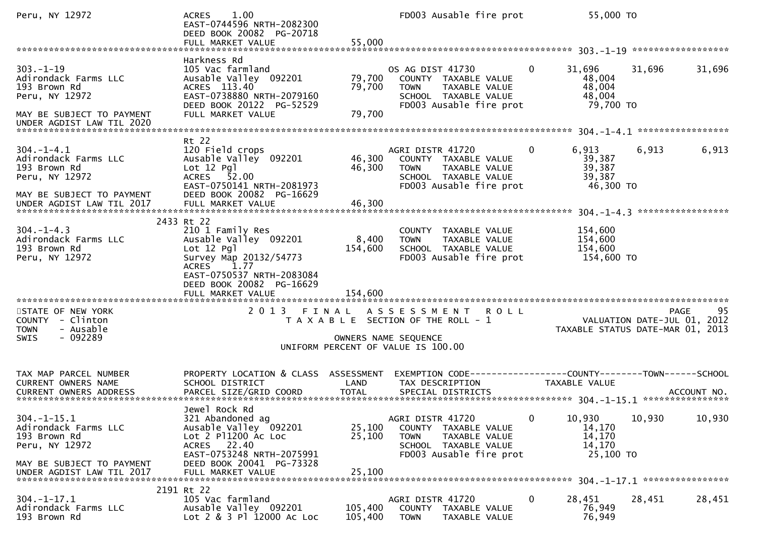| Peru, NY 12972                                                                                                                        | 1.00<br><b>ACRES</b><br>EAST-0744596 NRTH-2082300<br>DEED BOOK 20082 PG-20718<br>FULL MARKET VALUE                                                                             | 55,000                     | FD003 Ausable fire prot                                                                                                                   | 55,000 TO                                                         |                                                                               |
|---------------------------------------------------------------------------------------------------------------------------------------|--------------------------------------------------------------------------------------------------------------------------------------------------------------------------------|----------------------------|-------------------------------------------------------------------------------------------------------------------------------------------|-------------------------------------------------------------------|-------------------------------------------------------------------------------|
| $303 - 1 - 19$<br>Adirondack Farms LLC<br>193 Brown Rd<br>Peru, NY 12972<br>MAY BE SUBJECT TO PAYMENT<br>UNDER AGDIST LAW TIL 2020    | Harkness Rd<br>105 Vac farmland<br>Ausable Valley 092201<br>ACRES 113.40<br>EAST-0738880 NRTH-2079160<br>DEED BOOK 20122 PG-52529<br>FULL MARKET VALUE                         | 79,700<br>79,700<br>79,700 | OS AG DIST 41730<br>COUNTY TAXABLE VALUE<br><b>TOWN</b><br>TAXABLE VALUE<br>SCHOOL TAXABLE VALUE<br>FD003 Ausable fire prot               | $\bf{0}$<br>31,696<br>48,004<br>48,004<br>48,004<br>79,700 TO     | 31,696<br>31,696                                                              |
| $304. - 1 - 4.1$<br>Adirondack Farms LLC<br>193 Brown Rd<br>Peru, NY 12972<br>MAY BE SUBJECT TO PAYMENT<br>UNDER AGDIST LAW TIL 2017  | Rt 22<br>120 Field crops<br>Ausable Valley 092201<br>$Lot 12$ Pgl<br>ACRES 52.00<br>EAST-0750141 NRTH-2081973<br>DEED BOOK 20082 PG-16629<br>FULL MARKET VALUE                 | 46,300<br>46,300<br>46,300 | AGRI DISTR 41720<br>COUNTY TAXABLE VALUE<br>TAXABLE VALUE<br><b>TOWN</b><br>SCHOOL TAXABLE VALUE<br>FD003 Ausable fire prot               | 6,913<br>0<br>39,387<br>39,387<br>39,387<br>46,300 TO             | 6,913<br>6,913                                                                |
| $304. -1 - 4.3$<br>Adirondack Farms LLC<br>193 Brown Rd<br>Peru, NY 12972                                                             | 2433 Rt 22<br>210 1 Family Res<br>Ausable Valley 092201<br>$Lot 12$ Pgl<br>Survey Map 20132/54773<br>ACRES 1.77<br>EAST-0750537 NRTH-2083084<br>DEED BOOK 20082 PG-16629       | 8,400<br>154,600           | COUNTY TAXABLE VALUE<br><b>TOWN</b><br>TAXABLE VALUE<br>SCHOOL TAXABLE VALUE<br>FD003 Ausable fire prot                                   | 154,600<br>154,600<br>154,600<br>154,600 TO                       |                                                                               |
| STATE OF NEW YORK<br>COUNTY - Clinton<br>- Ausable<br><b>TOWN</b><br>- 092289<br><b>SWIS</b>                                          | 2 0 1 3                                                                                                                                                                        | FINAL                      | A S S E S S M E N T<br><b>ROLL</b><br>T A X A B L E SECTION OF THE ROLL - 1<br>OWNERS NAME SEQUENCE<br>UNIFORM PERCENT OF VALUE IS 100.00 |                                                                   | 95<br>PAGE<br>VALUATION DATE-JUL 01, 2012<br>TAXABLE STATUS DATE-MAR 01, 2013 |
| TAX MAP PARCEL NUMBER<br><b>CURRENT OWNERS NAME</b><br><b>CURRENT OWNERS ADDRESS</b>                                                  | PROPERTY LOCATION & CLASS ASSESSMENT<br>SCHOOL DISTRICT<br>PARCEL SIZE/GRID COORD                                                                                              | LAND<br><b>TOTAL</b>       | EXEMPTION CODE-----------------COUNTY-------TOWN------SCHOOL<br>TAX DESCRIPTION<br>SPECIAL DISTRICTS                                      | TAXABLE VALUE                                                     | ACCOUNT NO.                                                                   |
| $304. - 1 - 15.1$<br>Adirondack Farms LLC<br>193 Brown Rd<br>Peru, NY 12972<br>MAY BE SUBJECT TO PAYMENT<br>UNDER AGDIST LAW TIL 2017 | Jewel Rock Rd<br>321 Abandoned ag<br>Ausable Valley 092201<br>Lot 2 P11200 Ac Loc<br>ACRES 22.40<br>EAST-0753248 NRTH-2075991<br>DEED BOOK 20041 PG-73328<br>FULL MARKET VALUE | 25,100<br>25,100<br>25,100 | AGRI DISTR 41720<br>COUNTY TAXABLE VALUE<br><b>TOWN</b><br>TAXABLE VALUE<br>SCHOOL TAXABLE VALUE<br>FD003 Ausable fire prot               | $\mathbf{0}$<br>10,930<br>14,170<br>14,170<br>14,170<br>25,100 TO | 10,930<br>10,930                                                              |
|                                                                                                                                       | 2191 Rt 22                                                                                                                                                                     |                            |                                                                                                                                           |                                                                   |                                                                               |
| $304. -1 - 17.1$<br>Adirondack Farms LLC<br>193 Brown Rd                                                                              | 105 Vac farmland<br>Ausable Valley 092201<br>Lot 2 & 3 Pl 12000 Ac Loc                                                                                                         | 105,400<br>105,400         | AGRI DISTR 41720<br>COUNTY TAXABLE VALUE<br><b>TOWN</b><br>TAXABLE VALUE                                                                  | 0<br>28,451<br>76,949<br>76,949                                   | 28,451<br>28,451                                                              |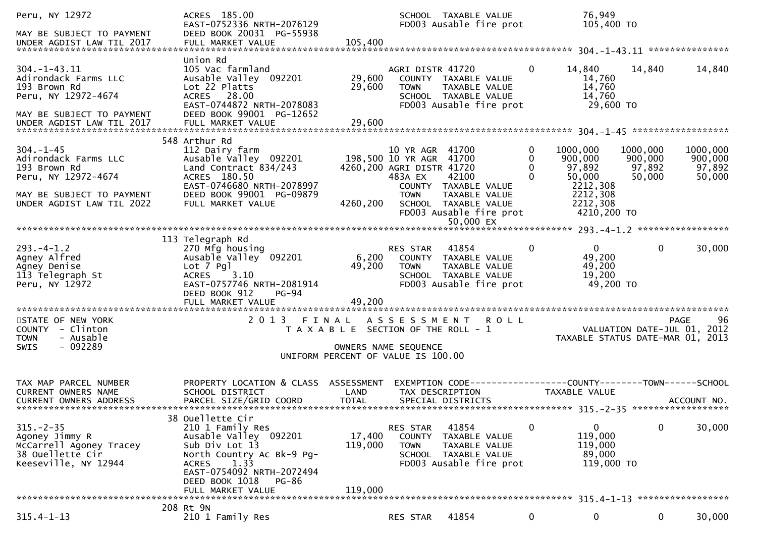| Peru, NY 12972<br>MAY BE SUBJECT TO PAYMENT<br>UNDER AGDIST LAW TIL 2017                                                                   | ACRES 185.00<br>EAST-0752336 NRTH-2076129<br>DEED BOOK 20031 PG-55938<br>FULL MARKET VALUE                                                                                                                        | 105,400                                                                     |                                                                                                   | SCHOOL TAXABLE VALUE<br>FD003 Ausable fire prot                                                                |                                                | 76,949<br>105,400 TO                                                                     |                                                                               |
|--------------------------------------------------------------------------------------------------------------------------------------------|-------------------------------------------------------------------------------------------------------------------------------------------------------------------------------------------------------------------|-----------------------------------------------------------------------------|---------------------------------------------------------------------------------------------------|----------------------------------------------------------------------------------------------------------------|------------------------------------------------|------------------------------------------------------------------------------------------|-------------------------------------------------------------------------------|
| $304. -1 - 43.11$<br>Adirondack Farms LLC<br>193 Brown Rd<br>Peru, NY 12972-4674<br>MAY BE SUBJECT TO PAYMENT<br>UNDER AGDIST LAW TIL 2017 | Union Rd<br>105 Vac farmland<br>Ausable Valley 092201<br>Lot 22 Platts<br>ACRES 28.00<br>EAST-0744872 NRTH-2078083<br>DEED BOOK 99001 PG-12652<br>FULL MARKET VALUE                                               | 29,600<br>29,600<br>29,600                                                  | AGRI DISTR 41720<br><b>TOWN</b>                                                                   | COUNTY TAXABLE VALUE<br>TAXABLE VALUE<br>SCHOOL TAXABLE VALUE<br>FD003 Ausable fire prot                       | 0                                              | 14,840<br>14,760<br>14,760<br>14,760<br>29,600 TO                                        | 14,840<br>14,840                                                              |
| $304. - 1 - 45$<br>Adirondack Farms LLC<br>193 Brown Rd<br>Peru, NY 12972-4674<br>MAY BE SUBJECT TO PAYMENT<br>UNDER AGDIST LAW TIL 2022   | 548 Arthur Rd<br>112 Dairy farm<br>Ausable valley 092201<br>Land Contract 834/243<br>ACRES 180.50<br>EAST-0746680 NRTH-2078997<br>DEED BOOK 99001 PG-09879<br>FULL MARKET VALUE                                   | 4260,200                                                                    | 10 YR AGR 41700<br>198,500 10 YR AGR 41700<br>4260,200 AGRI DISTR 41720<br>483A EX<br><b>TOWN</b> | 42100<br>COUNTY TAXABLE VALUE<br>TAXABLE VALUE<br>SCHOOL TAXABLE VALUE<br>FD003 Ausable fire prot<br>50,000 EX | 0<br>1000,000<br>0<br>$\mathbf{0}$<br>$\Omega$ | 900,000<br>97,892<br>97,892<br>50,000<br>2212,308<br>2212,308<br>2212,308<br>4210,200 TO | 1000,000<br>1000,000<br>900,000<br>900,000<br>97,892<br>50,000<br>50,000      |
| $293. -4 - 1.2$<br>Agney Alfred<br>Agney Denise<br>113 Telegraph St<br>Peru, NY 12972                                                      | 113 Telegraph Rd<br>270 Mfg housing<br>Ausable Valley 092201<br>Lot 7 Pgl<br>3.10<br><b>ACRES</b><br>EAST-0757746 NRTH-2081914<br>DEED BOOK 912<br>$PG-94$<br>FULL MARKET VALUE                                   | 6,200<br>49,200<br>49,200                                                   | RES STAR<br><b>TOWN</b>                                                                           | 41854<br>COUNTY TAXABLE VALUE<br>TAXABLE VALUE<br>SCHOOL TAXABLE VALUE<br>FD003 Ausable fire prot              | 0                                              | $\overline{0}$<br>49,200<br>49,200<br>19,200<br>49,200 TO                                | $\Omega$<br>30,000                                                            |
| STATE OF NEW YORK<br>COUNTY - Clinton<br>- Ausable<br><b>TOWN</b><br>$-092289$<br>SWIS                                                     | 2013 FINAL                                                                                                                                                                                                        | T A X A B L E SECTION OF THE ROLL - 1<br>UNIFORM PERCENT OF VALUE IS 100.00 | A S S E S S M E N T<br>OWNERS NAME SEQUENCE                                                       | <b>ROLL</b>                                                                                                    |                                                |                                                                                          | 96<br>PAGE<br>VALUATION DATE-JUL 01, 2012<br>TAXABLE STATUS DATE-MAR 01, 2013 |
| TAX MAP PARCEL NUMBER<br><b>CURRENT OWNERS NAME</b><br><b>CURRENT OWNERS ADDRESS</b>                                                       | PROPERTY LOCATION & CLASS ASSESSMENT<br>SCHOOL DISTRICT<br>PARCEL SIZE/GRID COORD                                                                                                                                 | LAND<br><b>TOTAL</b>                                                        | TAX DESCRIPTION                                                                                   | EXEMPTION CODE-----------------COUNTY-------TOWN------SCHOOL<br>SPECIAL DISTRICTS                              |                                                | TAXABLE VALUE                                                                            | ACCOUNT NO.                                                                   |
| $315. - 2 - 35$<br>Agoney Jimmy R<br>McCarrell Agoney Tracey<br>38 Ouellette Cir<br>Keeseville, NY 12944                                   | 38 Ouellette Cir<br>210 1 Family Res<br>Ausable Valley 092201<br>Sub Div Lot 13<br>North Country Ac Bk-9 Pg-<br>1.33<br><b>ACRES</b><br>EAST-0754092 NRTH-2072494<br>DEED BOOK 1018<br>PG-86<br>FULL MARKET VALUE | 17,400<br>119,000<br>119,000                                                | RES STAR<br>COUNTY<br><b>TOWN</b>                                                                 | 41854<br>TAXABLE VALUE<br>TAXABLE VALUE<br>SCHOOL TAXABLE VALUE<br>FD003 Ausable fire prot                     | 0                                              | $\mathbf{0}$<br>119,000<br>119,000<br>89,000<br>119,000 TO                               | 30,000<br>0                                                                   |
| $315.4 - 1 - 13$                                                                                                                           | 208 Rt 9N<br>210 1 Family Res                                                                                                                                                                                     |                                                                             | RES STAR                                                                                          | 41854                                                                                                          | 0                                              | 0                                                                                        | $\mathbf{0}$<br>30,000                                                        |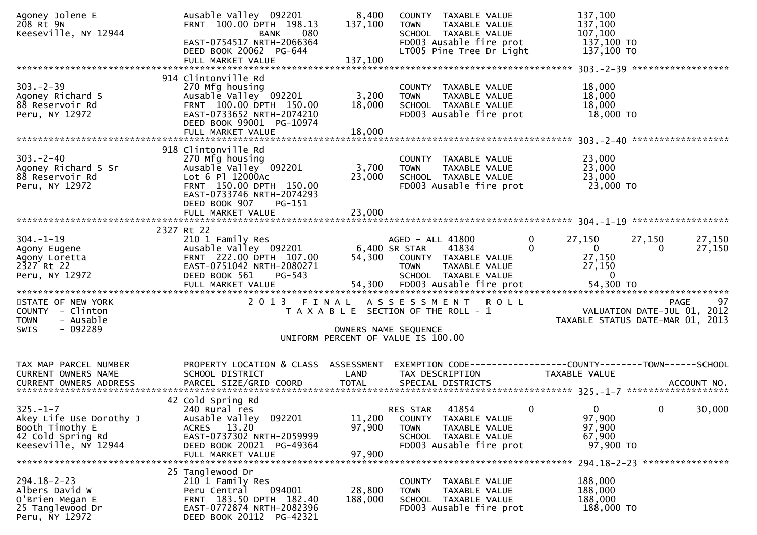| Agoney Jolene E<br>208 Rt 9N<br>Keeseville, NY 12944 | Ausable Valley 092201<br>FRNT 100.00 DPTH 198.13<br>080<br><b>BANK</b> | 8,400<br>137,100 | COUNTY TAXABLE VALUE<br><b>TOWN</b><br>TAXABLE VALUE<br>SCHOOL TAXABLE VALUE | 137,100<br>137,100<br>107,100                                                   |
|------------------------------------------------------|------------------------------------------------------------------------|------------------|------------------------------------------------------------------------------|---------------------------------------------------------------------------------|
|                                                      | EAST-0754517 NRTH-2066364<br>DEED BOOK 20062 PG-644                    |                  | FD003 Ausable fire prot<br>LT005 Pine Tree Dr Light                          | 137,100 TO<br>137,100 TO                                                        |
|                                                      | FULL MARKET VALUE                                                      | 137,100          |                                                                              |                                                                                 |
|                                                      | 914 Clintonville Rd                                                    |                  |                                                                              |                                                                                 |
| $303 - 2 - 39$                                       | 270 Mfg housing                                                        |                  | COUNTY TAXABLE VALUE                                                         | 18,000                                                                          |
| Agoney Richard S                                     | Ausable Valley 092201                                                  | 3,200            | TAXABLE VALUE<br><b>TOWN</b>                                                 | 18,000                                                                          |
| 88 Reservoir Rd<br>Peru, NY 12972                    | FRNT 100.00 DPTH 150.00<br>EAST-0733652 NRTH-2074210                   | 18,000           | SCHOOL TAXABLE VALUE<br>FD003 Ausable fire prot                              | 18,000<br>18,000 TO                                                             |
|                                                      | DEED BOOK 99001 PG-10974                                               |                  |                                                                              |                                                                                 |
|                                                      | FULL MARKET VALUE                                                      | 18,000           |                                                                              |                                                                                 |
|                                                      |                                                                        |                  |                                                                              |                                                                                 |
| $303 - 2 - 40$                                       | 918 Clintonville Rd                                                    |                  |                                                                              |                                                                                 |
| Agoney Richard S Sr                                  | 270 Mfg housing<br>Ausable Valley 092201                               | 3,700            | COUNTY TAXABLE VALUE<br>TAXABLE VALUE<br><b>TOWN</b>                         | 23,000<br>23,000                                                                |
| 88 Reservoir Rd                                      | Lot 6 Pl 12000Ac                                                       | 23,000           | SCHOOL TAXABLE VALUE                                                         | 23,000                                                                          |
| Peru, NY 12972                                       | FRNT 150.00 DPTH 150.00                                                |                  | FD003 Ausable fire prot                                                      | 23,000 TO                                                                       |
|                                                      | EAST-0733746 NRTH-2074293                                              |                  |                                                                              |                                                                                 |
|                                                      | DEED BOOK 907<br>PG-151                                                |                  |                                                                              |                                                                                 |
|                                                      |                                                                        |                  |                                                                              |                                                                                 |
|                                                      | 2327 Rt 22                                                             |                  |                                                                              |                                                                                 |
| $304. - 1 - 19$                                      | 210 1 Family Res                                                       |                  | AGED - ALL 41800<br>0                                                        | 27,150<br>27,150<br>27,150                                                      |
| Agony Eugene                                         | Ausable Valley 092201                                                  | 6,400 SR STAR    | 41834<br>$\Omega$                                                            | $\mathbf{0}$<br>27,150<br>$\bf{0}$                                              |
| Agony Loretta<br>2327 Rt 22                          | FRNT 222.00 DPTH 107.00<br>EAST-0751042 NRTH-2080271                   |                  | 54,300 COUNTY TAXABLE VALUE<br>TAXABLE VALUE<br><b>TOWN</b>                  | 27,150<br>27,150                                                                |
| Peru, NY 12972                                       | DEED BOOK 561<br>$PG-543$                                              |                  | SCHOOL TAXABLE VALUE                                                         | $\overline{0}$                                                                  |
|                                                      |                                                                        |                  |                                                                              |                                                                                 |
|                                                      |                                                                        |                  |                                                                              |                                                                                 |
| STATE OF NEW YORK                                    | 2013 FINAL                                                             |                  | ASSESSMENT ROLL                                                              | 97<br><b>PAGE</b>                                                               |
| COUNTY - Clinton<br><b>TOWN</b><br>- Ausable         |                                                                        |                  | T A X A B L E SECTION OF THE ROLL - 1                                        | VALUATION DATE-JUL 01, 2012<br>TAXABLE STATUS DATE-MAR 01, 2013                 |
| $-092289$<br>SWIS                                    |                                                                        |                  | OWNERS NAME SEQUENCE                                                         |                                                                                 |
|                                                      |                                                                        |                  | UNIFORM PERCENT OF VALUE IS 100.00                                           |                                                                                 |
|                                                      |                                                                        |                  |                                                                              |                                                                                 |
|                                                      |                                                                        |                  |                                                                              |                                                                                 |
| TAX MAP PARCEL NUMBER<br>CURRENT OWNERS NAME         | PROPERTY LOCATION & CLASS ASSESSMENT<br>SCHOOL DISTRICT                | LAND             | TAX DESCRIPTION                                                              | EXEMPTION CODE------------------COUNTY--------TOWN------SCHOOL<br>TAXABLE VALUE |
|                                                      |                                                                        |                  |                                                                              |                                                                                 |
|                                                      |                                                                        |                  |                                                                              |                                                                                 |
|                                                      | 42 Cold Spring Rd                                                      |                  |                                                                              |                                                                                 |
| $325. - 1 - 7$                                       | 240 Rural res<br>Ausable Valley 092201                                 | 11,200           | $\mathbf{0}$<br>41854<br>RES STAR<br>COUNTY TAXABLE VALUE                    | 0<br>0<br>30,000<br>97,900                                                      |
| Akey Life Use Dorothy J<br>Booth Timothy E           | ACRES 13.20                                                            | 97,900           | TAXABLE VALUE<br><b>TOWN</b>                                                 | 97,900                                                                          |
| 42 Cold Spring Rd                                    | EAST-0737302 NRTH-2059999                                              |                  | SCHOOL TAXABLE VALUE                                                         | 67,900                                                                          |
| Keeseville, NY 12944                                 | DEED BOOK 20021 PG-49364                                               |                  | FD003 Ausable fire prot                                                      | 97,900 TO                                                                       |
|                                                      | FULL MARKET VALUE                                                      | 97,900           |                                                                              |                                                                                 |
|                                                      | 25 Tanglewood Dr                                                       |                  |                                                                              |                                                                                 |
| 294.18-2-23                                          | 210 1 Family Res                                                       |                  | COUNTY TAXABLE VALUE                                                         | 188,000                                                                         |
| Albers David W                                       | 094001<br>Peru Central                                                 | 28,800           | TAXABLE VALUE<br>TOWN                                                        | 188,000                                                                         |
| O'Brien Megan E                                      | FRNT 183.50 DPTH 182.40                                                | 188,000          | SCHOOL TAXABLE VALUE                                                         | 188,000                                                                         |
| 25 Tanglewood Dr                                     | EAST-0772874 NRTH-2082396                                              |                  | FD003 Ausable fire prot                                                      | 188,000 TO                                                                      |
| Peru, NY 12972                                       | DEED BOOK 20112 PG-42321                                               |                  |                                                                              |                                                                                 |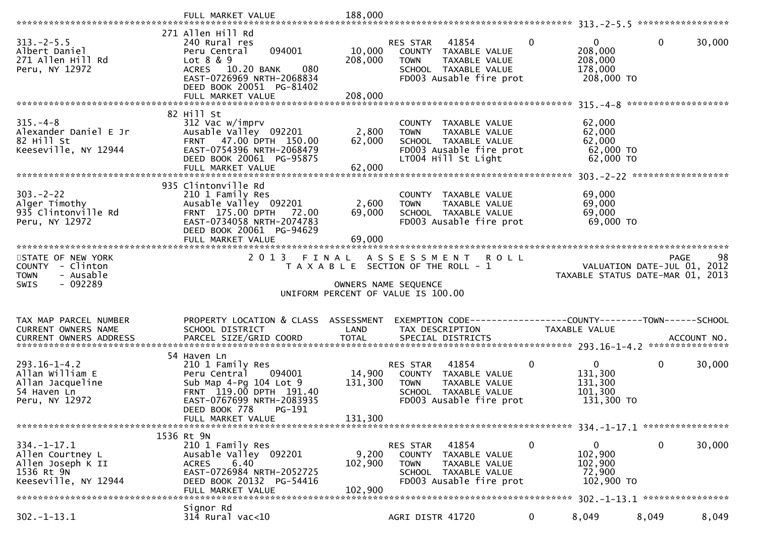|                                                                                                  | FULL MARKET VALUE                                                                                                                                                         | 188,000                     |                                                                                                                                        |              |                                                             |                                                                 |        |
|--------------------------------------------------------------------------------------------------|---------------------------------------------------------------------------------------------------------------------------------------------------------------------------|-----------------------------|----------------------------------------------------------------------------------------------------------------------------------------|--------------|-------------------------------------------------------------|-----------------------------------------------------------------|--------|
|                                                                                                  |                                                                                                                                                                           |                             |                                                                                                                                        |              |                                                             |                                                                 |        |
| $313 - 2 - 5.5$<br>Albert Daniel<br>271 Allen Hill Rd<br>Peru, NY 12972                          | 271 Allen Hill Rd<br>240 Rural res<br>094001<br>Peru Central<br>Lot $8 & 9$<br>10.20 BANK<br>080<br><b>ACRES</b><br>EAST-0726969 NRTH-2068834<br>DEED BOOK 20051 PG-81402 | 10,000<br>208,000           | 41854<br>RES STAR<br>COUNTY TAXABLE VALUE<br>TAXABLE VALUE<br><b>TOWN</b><br>SCHOOL TAXABLE VALUE<br>FD003 Ausable fire prot           | $\mathbf{0}$ | $\mathbf{0}$<br>208,000<br>208,000<br>178,000<br>208,000 TO | $\mathbf 0$                                                     | 30,000 |
|                                                                                                  | FULL MARKET VALUE                                                                                                                                                         | 208,000                     |                                                                                                                                        |              |                                                             |                                                                 |        |
| $315. - 4 - 8$<br>Alexander Daniel E Jr<br>82 Hill St<br>Keeseville, NY 12944                    | 82 Hill St<br>312 Vac w/imprv<br>Ausable Valley 092201<br>FRNT 47.00 DPTH 150.00<br>EAST-0754396 NRTH-2068479<br>DEED BOOK 20061 PG-95875<br>FULL MARKET VALUE            | 2,800<br>62,000<br>62,000   | COUNTY TAXABLE VALUE<br>TAXABLE VALUE<br><b>TOWN</b><br>SCHOOL TAXABLE VALUE<br>FD003 Ausable fire prot<br>LT004 Hill St Light         |              | 62,000<br>62,000<br>62,000<br>62,000 TO<br>62,000 TO        |                                                                 |        |
|                                                                                                  | 935 Clintonville Rd                                                                                                                                                       |                             |                                                                                                                                        |              |                                                             |                                                                 |        |
| $303 - 2 - 22$<br>Alger Timothy<br>935 Clintonville Rd<br>Peru, NY 12972                         | 210 1 Family Res<br>Ausable Valley 092201<br>FRNT 175.00 DPTH 72.00<br>EAST-0734058 NRTH-2074783<br>DEED BOOK 20061 PG-94629                                              | 2,600<br>69,000             | COUNTY TAXABLE VALUE<br><b>TOWN</b><br>TAXABLE VALUE<br>SCHOOL TAXABLE VALUE<br>FD003 Ausable fire prot                                |              | 69,000<br>69,000<br>69,000<br>69,000 TO                     |                                                                 |        |
|                                                                                                  | FULL MARKET VALUE                                                                                                                                                         | 69,000                      |                                                                                                                                        |              |                                                             |                                                                 |        |
| STATE OF NEW YORK                                                                                | 2013                                                                                                                                                                      | FINAL                       | A S S E S S M E N T<br><b>ROLL</b>                                                                                                     |              |                                                             | <b>PAGE</b>                                                     | 98     |
| COUNTY - Clinton<br>- Ausable<br><b>TOWN</b><br>- 092289<br>SWIS                                 |                                                                                                                                                                           |                             | T A X A B L E SECTION OF THE ROLL - 1<br>OWNERS NAME SEQUENCE<br>UNIFORM PERCENT OF VALUE IS 100.00                                    |              |                                                             | VALUATION DATE-JUL 01, 2012<br>TAXABLE STATUS DATE-MAR 01, 2013 |        |
| TAX MAP PARCEL NUMBER                                                                            | PROPERTY LOCATION & CLASS                                                                                                                                                 | ASSESSMENT                  | EXEMPTION CODE------------------COUNTY--------TOWN------SCHOOL                                                                         |              |                                                             |                                                                 |        |
| CURRENT OWNERS NAME<br><b>CURRENT OWNERS ADDRESS</b>                                             | SCHOOL DISTRICT                                                                                                                                                           | LAND                        | TAX DESCRIPTION                                                                                                                        |              | TAXABLE VALUE                                               |                                                                 |        |
|                                                                                                  |                                                                                                                                                                           |                             |                                                                                                                                        |              |                                                             |                                                                 |        |
| $293.16 - 1 - 4.2$<br>Allan William E<br>Allan Jacqueline<br>54 Haven Ln<br>Peru, NY 12972       | 54 Haven Ln<br>210 1 Family Res<br>Peru Central<br>094001<br>Sub Map 4-Pq 104 Lot 9<br>FRNT 119.00 DPTH 191.40<br>EAST-0767699 NRTH-2083935<br>$PG-191$                   | 14,900<br>131,300           | RES STAR<br>41854<br>COUNTY TAXABLE VALUE<br><b>TOWN</b><br>TAXABLE VALUE<br>SCHOOL TAXABLE VALUE<br>FD003 Ausable fire prot           | $\mathbf{0}$ | $\mathbf{0}$<br>131,300<br>131,300<br>101,300<br>131,300 TO | $\mathbf 0$                                                     | 30,000 |
|                                                                                                  | DEED BOOK 778<br>FULL MARKET VALUE                                                                                                                                        | 131,300                     |                                                                                                                                        |              |                                                             |                                                                 |        |
|                                                                                                  |                                                                                                                                                                           |                             |                                                                                                                                        |              |                                                             |                                                                 |        |
| $334. - 1 - 17.1$<br>Allen Courtney L<br>Allen Joseph K II<br>1536 Rt 9N<br>Keeseville, NY 12944 | 1536 Rt 9N<br>210 1 Family Res<br>Ausable Valley 092201<br>6.40<br><b>ACRES</b><br>EAST-0726984 NRTH-2052725<br>DEED BOOK 20132 PG-54416<br>FULL MARKET VALUE             | 9,200<br>102,900<br>102,900 | 41854<br>RES STAR<br><b>COUNTY</b><br>TAXABLE VALUE<br><b>TOWN</b><br>TAXABLE VALUE<br>SCHOOL TAXABLE VALUE<br>FD003 Ausable fire prot | $\mathbf{0}$ | $\mathbf{0}$<br>102,900<br>102,900<br>72,900<br>102,900 TO  | $\mathbf 0$                                                     | 30,000 |
|                                                                                                  | Signor Rd                                                                                                                                                                 |                             |                                                                                                                                        |              |                                                             |                                                                 |        |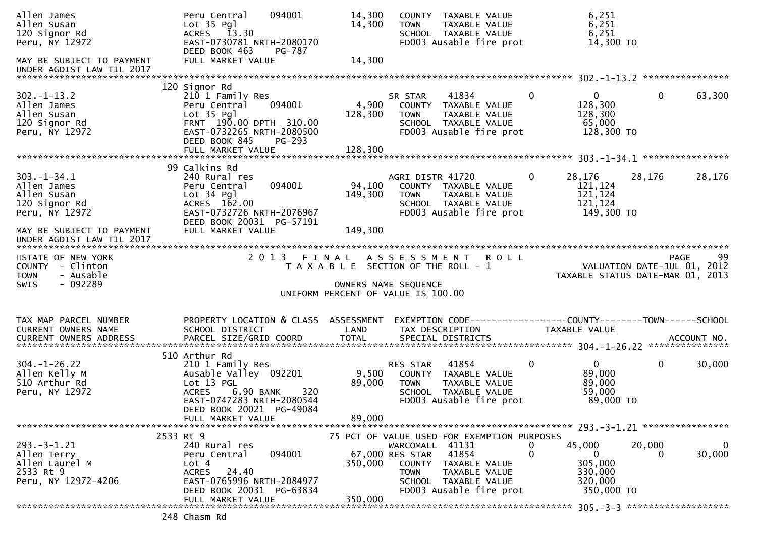| Allen James<br>Allen Susan<br>120 Signor Rd<br>Peru, NY 12972                                | 094001<br>Peru Central<br>Lot 35 Pgl<br>ACRES 13.30<br>EAST-0730781 NRTH-2080170<br>DEED BOOK 463<br>PG-787                                                                         | 14,300<br>14,300<br><b>TOWN</b>                                                                              | COUNTY TAXABLE VALUE<br>TAXABLE VALUE<br>SCHOOL TAXABLE VALUE<br>FD003 Ausable fire prot                                                                               | 6,251<br>6,251<br>6,251<br>14,300 TO                                        |              |                   |
|----------------------------------------------------------------------------------------------|-------------------------------------------------------------------------------------------------------------------------------------------------------------------------------------|--------------------------------------------------------------------------------------------------------------|------------------------------------------------------------------------------------------------------------------------------------------------------------------------|-----------------------------------------------------------------------------|--------------|-------------------|
| MAY BE SUBJECT TO PAYMENT<br>UNDER AGDIST LAW TIL 2017                                       | FULL MARKET VALUE                                                                                                                                                                   | 14,300                                                                                                       |                                                                                                                                                                        |                                                                             |              |                   |
| $302 - 1 - 13.2$<br>Allen James<br>Allen Susan<br>120 Signor Rd<br>Peru, NY 12972            | 120 Signor Rd<br>210 1 Family Res<br>094001<br>Peru Central<br>Lot 35 Pgl<br>FRNT 190.00 DPTH 310.00<br>EAST-0732265 NRTH-2080500<br>DEED BOOK 845<br>$PG-293$<br>FULL MARKET VALUE | SR STAR<br>4,900<br>128,300<br><b>TOWN</b><br>128,300                                                        | 41834<br>COUNTY TAXABLE VALUE<br>TAXABLE VALUE<br>SCHOOL TAXABLE VALUE<br>FD003 Ausable fire prot                                                                      | $\Omega$<br>$\overline{0}$<br>128,300<br>128,300<br>65,000<br>128,300 TO    | $\mathbf{0}$ | 63,300            |
|                                                                                              | 99 Calkins Rd                                                                                                                                                                       |                                                                                                              |                                                                                                                                                                        |                                                                             |              |                   |
| $303. - 1 - 34.1$<br>Allen James<br>Allen Susan<br>120 Signor Rd<br>Peru, NY 12972           | 240 Rural res<br>094001<br>Peru Central<br>$Lot 34$ $Pq$ ]<br>ACRES 162.00<br>EAST-0732726 NRTH-2076967<br>DEED BOOK 20031 PG-57191                                                 | 94,100<br>149,300<br><b>TOWN</b>                                                                             | AGRI DISTR 41720<br>COUNTY TAXABLE VALUE<br>TAXABLE VALUE<br>SCHOOL TAXABLE VALUE<br>FD003 Ausable fire prot                                                           | 28,176<br>$\bf{0}$<br>121,124<br>121,124<br>121,124<br>149,300 TO           | 28,176       | 28,176            |
| MAY BE SUBJECT TO PAYMENT<br>UNDER AGDIST LAW TIL 2017                                       | FULL MARKET VALUE                                                                                                                                                                   | 149,300                                                                                                      |                                                                                                                                                                        |                                                                             |              |                   |
| STATE OF NEW YORK<br>COUNTY - Clinton<br>- Ausable<br><b>TOWN</b><br>- 092289<br><b>SWIS</b> | 2 0 1 3                                                                                                                                                                             | FINAL<br>T A X A B L E SECTION OF THE ROLL - 1<br>OWNERS NAME SEQUENCE<br>UNIFORM PERCENT OF VALUE IS 100.00 | ASSESSMENT ROLL                                                                                                                                                        | VALUATION DATE-JUL 01, 2012<br>TAXABLE STATUS DATE-MAR 01, 2013             |              | 99<br><b>PAGE</b> |
| TAX MAP PARCEL NUMBER<br>CURRENT OWNERS NAME<br>CURRENT OWNERS ADDRESS                       | PROPERTY LOCATION & CLASS ASSESSMENT<br>SCHOOL DISTRICT                                                                                                                             | LAND                                                                                                         | TAX DESCRIPTION                                                                                                                                                        | TAXABLE VALUE                                                               |              |                   |
| $304. - 1 - 26.22$<br>Allen Kelly M<br>510 Arthur Rd                                         | 510 Arthur Rd<br>210 1 Family Res                                                                                                                                                   | RES STAR                                                                                                     | 41854<br>COUNTY TAXABLE VALUE                                                                                                                                          | $\mathbf{0}$<br>$\mathbf{0}$                                                | $\mathbf 0$  | 30,000            |
| Peru, NY 12972                                                                               | Ausable Valley 092201<br>Lot 13 PGL<br><b>ACRES</b><br>6.90 BANK<br>320<br>EAST-0747283 NRTH-2080544<br>DEED BOOK 20021 PG-49084                                                    | 9,500<br>89,000<br><b>TOWN</b>                                                                               | TAXABLE VALUE<br>SCHOOL TAXABLE VALUE<br>FD003 Ausable fire prot                                                                                                       | 89,000<br>89,000<br>59,000<br>89,000 TO                                     |              |                   |
|                                                                                              | FULL MARKET VALUE                                                                                                                                                                   | 89,000                                                                                                       |                                                                                                                                                                        |                                                                             |              |                   |
| $293 - 3 - 1.21$<br>Allen Terry<br>Allen Laurel M<br>2533 Rt 9<br>Peru, NY 12972-4206        | 2533 Rt 9<br>240 Rural res<br>094001<br>Peru Central<br>Lot 4<br>24.40<br>ACRES<br>EAST-0765996 NRTH-2084977<br>DEED BOOK 20031 PG-63834<br>FULL MARKET VALUE                       | 67,000 RES STAR<br>350,000<br><b>TOWN</b><br>350,000                                                         | 75 PCT OF VALUE USED FOR EXEMPTION PURPOSES<br>WARCOMALL 41131<br>41854<br>COUNTY<br>TAXABLE VALUE<br>TAXABLE VALUE<br>SCHOOL TAXABLE VALUE<br>FD003 Ausable fire prot | 45,000<br>0<br>0<br>$\bf{0}$<br>305,000<br>330,000<br>320,000<br>350,000 TO | 20,000<br>0  | 0<br>30,000       |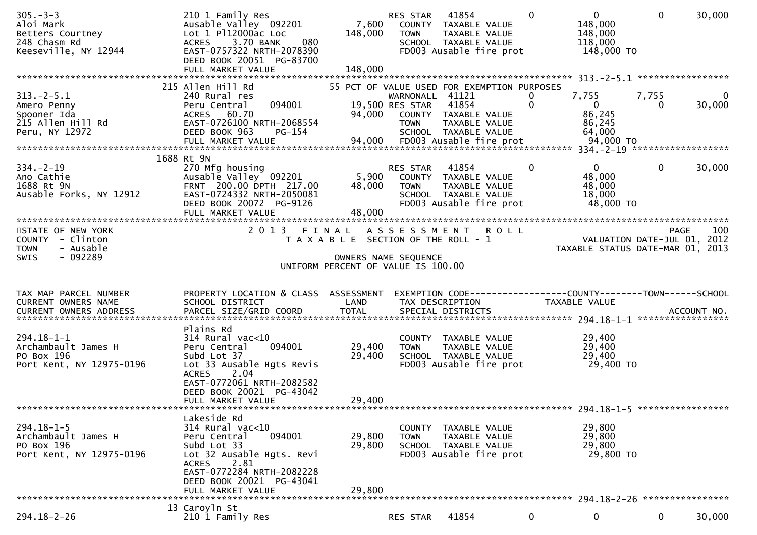| $305 - 3 - 3$<br>Aloi Mark<br>Betters Courtney<br>248 Chasm Rd<br>Keeseville, NY 12944                                                                          | 210 1 Family Res<br>Ausable Valley 092201<br>Lot 1 P112000ac Loc<br>080<br>3.70 BANK<br><b>ACRES</b><br>EAST-0757322 NRTH-2078390<br>DEED BOOK 20051 PG-83700<br>FULL MARKET VALUE                             | 7,600<br>148,000<br>148,000                                                 | RES STAR<br><b>TOWN</b>                           | 41854<br>COUNTY TAXABLE VALUE<br>TAXABLE VALUE<br>SCHOOL TAXABLE VALUE<br>FD003 Ausable fire prot | $\Omega$          | $\mathbf{0}$<br>148,000<br>148,000<br>118,000<br>148,000 TO                   | $\mathbf{0}$      | 30,000                   |
|-----------------------------------------------------------------------------------------------------------------------------------------------------------------|----------------------------------------------------------------------------------------------------------------------------------------------------------------------------------------------------------------|-----------------------------------------------------------------------------|---------------------------------------------------|---------------------------------------------------------------------------------------------------|-------------------|-------------------------------------------------------------------------------|-------------------|--------------------------|
|                                                                                                                                                                 |                                                                                                                                                                                                                |                                                                             |                                                   |                                                                                                   |                   |                                                                               |                   |                          |
| $313 - 2 - 5.1$<br>Amero Penny<br>Spooner Ida<br>215 Allen Hill Rd<br>Peru, NY 12972                                                                            | 215 Allen Hill Rd<br>240 Rural res<br>094001<br>Peru Central<br>ACRES 60.70<br>EAST-0726100 NRTH-2068554<br>DEED BOOK 963<br>PG-154<br>FULL MARKET VALUE                                                       | 55 PCT OF VALUE USED FOR EXEMPTION PURPOSES<br>94,000<br>94,000             | WARNONALL 41121<br>19,500 RES STAR<br><b>TOWN</b> | 41854<br>COUNTY TAXABLE VALUE<br>TAXABLE VALUE<br>SCHOOL TAXABLE VALUE<br>FD003 Ausable fire prot | 0<br>$\mathbf{0}$ | 7,755<br>$\overline{0}$<br>86,245<br>86,245<br>64,000<br>94,000 TO            | 7,755<br>$\Omega$ | $\overline{0}$<br>30,000 |
|                                                                                                                                                                 | 1688 Rt 9N                                                                                                                                                                                                     |                                                                             |                                                   |                                                                                                   |                   |                                                                               |                   |                          |
| $334 - 2 - 19$<br>Ano Cathie<br>1688 Rt 9N<br>Ausable Forks, NY 12912                                                                                           | 270 Mfg housing<br>Ausable Valley 092201<br>FRNT 200.00 DPTH 217.00<br>EAST-0724332 NRTH-2050081<br>DEED BOOK 20072 PG-9126                                                                                    | 5,900<br>48,000                                                             | RES STAR<br><b>TOWN</b>                           | 41854<br>COUNTY TAXABLE VALUE<br>TAXABLE VALUE<br>SCHOOL TAXABLE VALUE<br>FD003 Ausable fire prot | $\mathbf 0$       | $\mathbf{0}$<br>48,000<br>48,000<br>18,000<br>48,000 TO                       | $\mathbf 0$       | 30,000                   |
|                                                                                                                                                                 |                                                                                                                                                                                                                |                                                                             |                                                   |                                                                                                   |                   |                                                                               |                   |                          |
| STATE OF NEW YORK<br>COUNTY - Clinton<br>- Ausable<br><b>TOWN</b><br>$-092289$<br><b>SWIS</b>                                                                   | 2013 FINAL ASSESSMENT ROLL                                                                                                                                                                                     | T A X A B L E SECTION OF THE ROLL - 1<br>UNIFORM PERCENT OF VALUE IS 100.00 | OWNERS NAME SEQUENCE                              |                                                                                                   |                   | VALUATION DATE-JUL $01$ , 2012<br>TAXABLE STATUS DATE-MAR 01, 2013            |                   | 100<br>PAGE              |
| TAX MAP PARCEL NUMBER<br>CURRENT OWNERS NAME<br>.CURRENT OWNERS ADDRESS PARCEL SIZE/GRID COORD TOTAL SPECIAL DISTRICTS ACCOUNT NO ACCOUNT NO ACCOUNT NO ACCOUNT | PROPERTY LOCATION & CLASS ASSESSMENT<br>SCHOOL DISTRICT                                                                                                                                                        | LAND                                                                        |                                                   | TAX DESCRIPTION                                                                                   |                   | EXEMPTION CODE-----------------COUNTY-------TOWN------SCHOOL<br>TAXABLE VALUE |                   |                          |
| $294.18 - 1 - 1$<br>Archambault James H<br>PO Box 196<br>Port Kent, NY 12975-0196                                                                               | Plains Rd<br>$314$ Rural vac< $10$<br>094001<br>Peru Central<br>Subd Lot 37<br>Lot 33 Ausable Hgts Revis<br>2.04<br><b>ACRES</b><br>EAST-0772061 NRTH-2082582<br>DEED BOOK 20021 PG-43042<br>FULL MARKET VALUE | 29,400<br>29,400<br>29,400                                                  | <b>TOWN</b>                                       | COUNTY TAXABLE VALUE<br>TAXABLE VALUE<br>SCHOOL TAXABLE VALUE<br>FD003 Ausable fire prot          |                   | 29,400<br>29,400<br>29,400<br>29,400 TO                                       |                   |                          |
|                                                                                                                                                                 |                                                                                                                                                                                                                |                                                                             |                                                   |                                                                                                   |                   |                                                                               |                   |                          |
| $294.18 - 1 - 5$<br>Archambault James H<br>PO Box 196                                                                                                           | Lakeside Rd<br>$314$ Rural vac<10<br>094001<br>Peru Central                                                                                                                                                    | 29,800                                                                      | <b>TOWN</b>                                       | COUNTY TAXABLE VALUE<br>TAXABLE VALUE                                                             |                   | 29,800<br>29,800                                                              |                   |                          |
| Port Kent, NY 12975-0196                                                                                                                                        | Subd Lot 33<br>Lot 32 Ausable Hgts. Revi<br>2.81<br><b>ACRES</b><br>EAST-0772284 NRTH-2082228<br>DEED BOOK 20021 PG-43041<br>FULL MARKET VALUE                                                                 | 29,800<br>29,800                                                            |                                                   | SCHOOL TAXABLE VALUE<br>FD003 Ausable fire prot                                                   |                   | 29,800<br>29,800 TO                                                           |                   |                          |
|                                                                                                                                                                 | 13 Caroyln St                                                                                                                                                                                                  |                                                                             |                                                   |                                                                                                   |                   |                                                                               |                   |                          |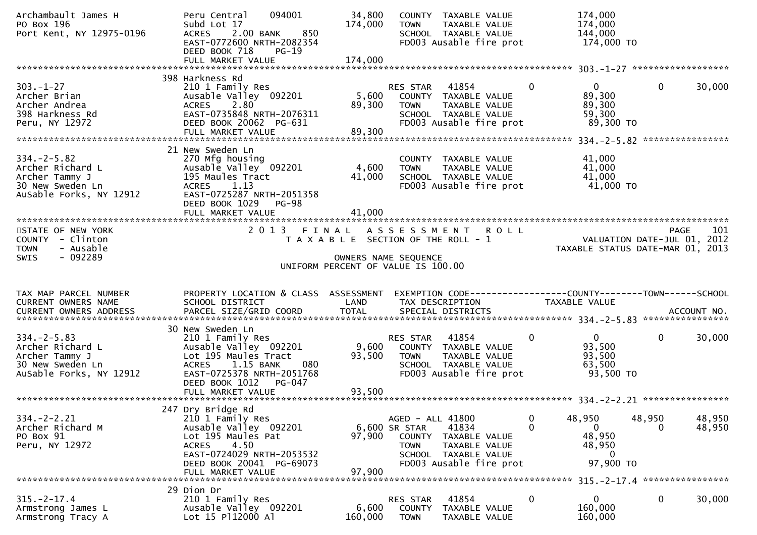| Archambault James H<br>PO Box 196<br>Port Kent, NY 12975-0196                                          | 094001<br>Peru Central<br>Subd Lot 17<br>2.00 BANK<br>850<br><b>ACRES</b><br>EAST-0772600 NRTH-2082354<br>DEED BOOK 718<br>$PG-19$                                    | 34,800<br>174,000 | COUNTY TAXABLE VALUE<br><b>TOWN</b><br>TAXABLE VALUE<br>SCHOOL TAXABLE VALUE<br>FD003 Ausable fire prot                                                  |               | 174,000<br>174,000<br>144,000<br>174,000 TO                     |                    |                  |
|--------------------------------------------------------------------------------------------------------|-----------------------------------------------------------------------------------------------------------------------------------------------------------------------|-------------------|----------------------------------------------------------------------------------------------------------------------------------------------------------|---------------|-----------------------------------------------------------------|--------------------|------------------|
|                                                                                                        |                                                                                                                                                                       |                   |                                                                                                                                                          |               |                                                                 |                    |                  |
| $303. - 1 - 27$<br>Archer Brian<br>Archer Andrea<br>398 Harkness Rd<br>Peru, NY 12972                  | 398 Harkness Rd<br>210 1 Family Res<br>Ausable Valley 092201<br>2.80<br><b>ACRES</b><br>EAST-0735848 NRTH-2076311<br>DEED BOOK 20062 PG-631<br>FULL MARKET VALUE      | 89,300<br>89,300  | RES STAR 41854<br>5,600 COUNTY TAXABLE VALUE<br>TAXABLE VALUE<br><b>TOWN</b><br>SCHOOL TAXABLE VALUE<br>FD003 Ausable fire prot                          | $\mathbf{0}$  | $\mathbf{0}$<br>89,300<br>89,300<br>59,300<br>89,300 TO         | $\mathbf{0}$       | 30,000           |
|                                                                                                        | 21 New Sweden Ln                                                                                                                                                      |                   |                                                                                                                                                          |               |                                                                 |                    |                  |
| $334. -2 - 5.82$<br>Archer Richard L<br>Archer Tammy J<br>30 New Sweden Ln<br>AuSable Forks, NY 12912  | 270 Mfg housing<br>Ausable Valley 092201<br>195 Maules Tract<br>ACRES 1.13<br>EAST-0725287 NRTH-2051358<br>DEED BOOK 1029 PG-98                                       | 4,600<br>41,000   | COUNTY TAXABLE VALUE<br>TAXABLE VALUE<br>TOWN<br>SCHOOL TAXABLE VALUE<br>FD003 Ausable fire prot                                                         |               | 41,000<br>41,000<br>41,000<br>41,000 TO                         |                    |                  |
|                                                                                                        |                                                                                                                                                                       |                   |                                                                                                                                                          |               |                                                                 |                    |                  |
| STATE OF NEW YORK<br>COUNTY - Clinton<br>- Ausable<br><b>TOWN</b>                                      |                                                                                                                                                                       |                   | 2013 FINAL ASSESSMENT ROLL<br>T A X A B L E SECTION OF THE ROLL - 1                                                                                      |               | VALUATION DATE-JUL 01, 2012<br>TAXABLE STATUS DATE-MAR 01, 2013 |                    | 101<br>PAGE      |
| $-092289$<br>SWIS                                                                                      |                                                                                                                                                                       |                   | OWNERS NAME SEQUENCE                                                                                                                                     |               |                                                                 |                    |                  |
|                                                                                                        |                                                                                                                                                                       |                   | UNIFORM PERCENT OF VALUE IS 100.00                                                                                                                       |               |                                                                 |                    |                  |
|                                                                                                        |                                                                                                                                                                       |                   |                                                                                                                                                          |               |                                                                 |                    |                  |
| TAX MAP PARCEL NUMBER<br>CURRENT OWNERS NAME                                                           | PROPERTY LOCATION & CLASS ASSESSMENT<br>SCHOOL DISTRICT                                                                                                               | LAND              | TAX DESCRIPTION                                                                                                                                          |               | TAXABLE VALUE                                                   |                    |                  |
|                                                                                                        | 30 New Sweden Ln                                                                                                                                                      |                   |                                                                                                                                                          |               |                                                                 |                    |                  |
| $334. - 2 - 5.83$<br>Archer Richard L<br>Archer Tammy J<br>30 New Sweden Ln<br>AuSable Forks, NY 12912 | 210 1 Family Res<br>Ausable Valley 092201<br>Lot 195 Maules Tract<br>ACRES 1.15 BANK<br>080<br>EAST-0725378 NRTH-2051768<br>DEED BOOK 1012 PG-047                     | 93,500            | RES STAR 41854<br>9,600 COUNTY TAXABLE VALUE<br><b>TOWN</b><br>TAXABLE VALUE<br>SCHOOL TAXABLE VALUE<br>FD003 Ausable fire prot                          | 0             | $\overline{0}$<br>93,500<br>93,500<br>63,500<br>93,500 TO       | $\mathbf{0}$       | 30,000           |
|                                                                                                        | FULL MARKET VALUE                                                                                                                                                     | 93,500            |                                                                                                                                                          |               |                                                                 |                    |                  |
|                                                                                                        |                                                                                                                                                                       |                   |                                                                                                                                                          |               |                                                                 |                    |                  |
| $334. -2 - 2.21$<br>Archer Richard M<br>PO Box 91<br>Peru, NY 12972                                    | 247 Dry Bridge Rd<br>210 1 Family Res<br>Ausable Valley 092201<br>Lot 195 Maules Pat<br>4.50<br><b>ACRES</b><br>EAST-0724029 NRTH-2053532<br>DEED BOOK 20041 PG-69073 | 97,900            | AGED - ALL 41800<br>6,600 SR STAR<br>41834<br>COUNTY<br>TAXABLE VALUE<br>TAXABLE VALUE<br><b>TOWN</b><br>SCHOOL TAXABLE VALUE<br>FD003 Ausable fire prot | 0<br>$\Omega$ | 48,950<br>$\mathbf{0}$<br>48,950<br>48,950<br>0<br>97,900 TO    | 48,950<br>$\Omega$ | 48,950<br>48,950 |
|                                                                                                        | FULL MARKET VALUE                                                                                                                                                     | 97,900            |                                                                                                                                                          |               |                                                                 |                    |                  |
|                                                                                                        | 29 Dion Dr                                                                                                                                                            |                   |                                                                                                                                                          |               |                                                                 |                    |                  |
| $315. - 2 - 17.4$<br>Armstrong James L<br>Armstrong Tracy A                                            | 210 1 Family Res<br>Ausable Valley 092201<br>Lot 15 P112000 Al                                                                                                        | 6,600<br>160,000  | 41854<br><b>RES STAR</b><br><b>COUNTY</b><br>TAXABLE VALUE<br><b>TOWN</b><br>TAXABLE VALUE                                                               | 0             | 0<br>160,000<br>160,000                                         | 0                  | 30,000           |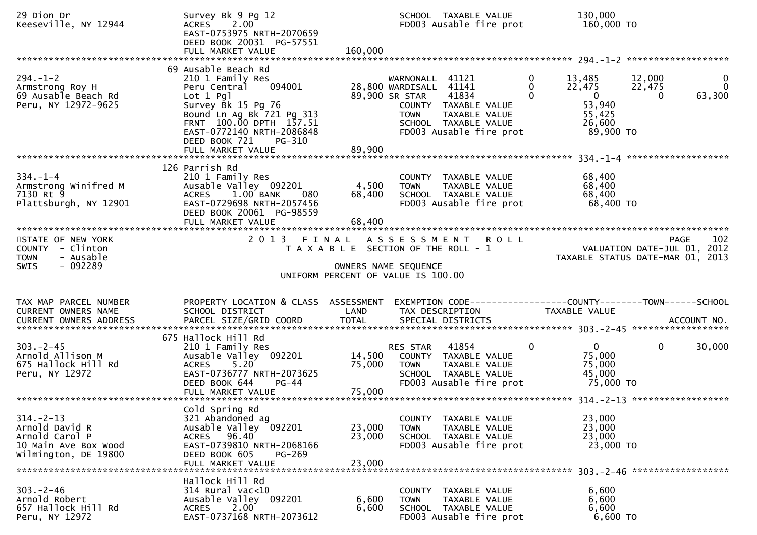| 29 Dion Dr<br>Keeseville, NY 12944                                                                  | Survey Bk 9 Pg 12<br>2.00<br><b>ACRES</b><br>EAST-0753975 NRTH-2070659<br>DEED BOOK 20031 PG-57551<br>FULL MARKET VALUE                                                                                                                        | 160,000                    | SCHOOL TAXABLE VALUE<br>FD003 Ausable fire prot                                                                                                                                 | 130,000<br>160,000 TO                                                                                          |                                                                                |
|-----------------------------------------------------------------------------------------------------|------------------------------------------------------------------------------------------------------------------------------------------------------------------------------------------------------------------------------------------------|----------------------------|---------------------------------------------------------------------------------------------------------------------------------------------------------------------------------|----------------------------------------------------------------------------------------------------------------|--------------------------------------------------------------------------------|
| $294. - 1 - 2$<br>Armstrong Roy H<br>69 Ausable Beach Rd<br>Peru, NY 12972-9625                     | 69 Ausable Beach Rd<br>210 1 Family Res<br>094001<br>Peru Central<br>$Lot 1$ $Pq$ ]<br>Survey Bk 15 Pg 76<br>Bound Ln Ag Bk 721 Pg 313<br>FRNT 100.00 DPTH 157.51<br>EAST-0772140 NRTH-2086848<br>DEED BOOK 721<br>PG-310<br>FULL MARKET VALUE | 89,900                     | WARNONALL 41121<br>28,800 WARDISALL 41141<br>89,900 SR STAR<br>41834<br>COUNTY TAXABLE VALUE<br>TAXABLE VALUE<br><b>TOWN</b><br>SCHOOL TAXABLE VALUE<br>FD003 Ausable fire prot | 0<br>13,485<br>$\Omega$<br>22,475<br>$\overline{0}$<br>$\mathbf{0}$<br>53,940<br>55,425<br>26,600<br>89,900 TO | $\mathbf 0$<br>12,000<br>$\Omega$<br>22,475<br>63,300<br>0                     |
| $334. - 1 - 4$<br>Armstrong Winifred M<br>7130 Rt 9<br>Plattsburgh, NY 12901                        | 126 Parrish Rd<br>210 1 Family Res<br>Ausable Valley 092201<br>1.00 BANK<br><b>ACRES</b><br>080<br>EAST-0729698 NRTH-2057456<br>DEED BOOK 20061 PG-98559<br>FULL MARKET VALUE                                                                  | 4,500<br>68,400<br>68,400  | COUNTY TAXABLE VALUE<br><b>TOWN</b><br>TAXABLE VALUE<br>SCHOOL TAXABLE VALUE<br>FD003 Ausable fire prot                                                                         | 68,400<br>68,400<br>68,400<br>68,400 TO                                                                        |                                                                                |
| STATE OF NEW YORK<br>COUNTY - Clinton<br>- Ausable<br><b>TOWN</b><br>$-092289$<br><b>SWIS</b>       |                                                                                                                                                                                                                                                |                            | 2013 FINAL ASSESSMENT<br><b>ROLL</b><br>T A X A B L E SECTION OF THE ROLL - 1<br>OWNERS NAME SEQUENCE<br>UNIFORM PERCENT OF VALUE IS 100.00                                     |                                                                                                                | 102<br>PAGE<br>VALUATION DATE-JUL 01, 2012<br>TAXABLE STATUS DATE-MAR 01, 2013 |
| TAX MAP PARCEL NUMBER<br>CURRENT OWNERS NAME                                                        | PROPERTY LOCATION & CLASS ASSESSMENT<br>SCHOOL DISTRICT                                                                                                                                                                                        | LAND                       | EXEMPTION CODE-----------------COUNTY-------TOWN------SCHOOL<br>TAX DESCRIPTION                                                                                                 | TAXABLE VALUE                                                                                                  |                                                                                |
| $303 - 2 - 45$<br>Arnold Allison M<br>675 Hallock Hill Rd<br>Peru, NY 12972                         | 675 Hallock Hill Rd<br>210 1 Family Res<br>Ausable Valley 092201<br><b>ACRES</b><br>5.20<br>EAST-0736777 NRTH-2073625<br>DEED BOOK 644<br><b>PG-44</b>                                                                                         | 14,500<br>75,000           | RES STAR 41854<br>COUNTY TAXABLE VALUE<br><b>TOWN</b><br>TAXABLE VALUE<br>SCHOOL TAXABLE VALUE<br>FD003 Ausable fire prot                                                       | 0<br>$\overline{0}$<br>75,000<br>75,000<br>45,000<br>75,000 TO                                                 | $\mathbf 0$<br>30,000                                                          |
| $314. - 2 - 13$<br>Arnold David R<br>Arnold Carol P<br>10 Main Ave Box Wood<br>Wilmington, DE 19800 | Cold Spring Rd<br>321 Abandoned ag<br>Ausable Valley 092201<br>ACRES 96.40<br>EAST-0739810 NRTH-2068166<br>DEED BOOK 605<br>$PG-269$<br>FULL MARKET VALUE                                                                                      | 23,000<br>23,000<br>23,000 | TAXABLE VALUE<br><b>COUNTY</b><br><b>TOWN</b><br>TAXABLE VALUE<br>SCHOOL TAXABLE VALUE<br>FD003 Ausable fire prot                                                               | 23,000<br>23,000<br>23,000<br>23,000 TO                                                                        |                                                                                |
| $303 - 2 - 46$<br>Arnold Robert<br>657 Hallock Hill Rd<br>Peru, NY 12972                            | Hallock Hill Rd<br>$314$ Rural vac<10<br>Ausable Valley 092201<br>2.00<br><b>ACRES</b><br>EAST-0737168 NRTH-2073612                                                                                                                            | 6,600<br>6,600             | COUNTY TAXABLE VALUE<br><b>TOWN</b><br>TAXABLE VALUE<br>SCHOOL TAXABLE VALUE<br>FD003 Ausable fire prot                                                                         | 6,600<br>6,600<br>6,600<br>6,600 TO                                                                            |                                                                                |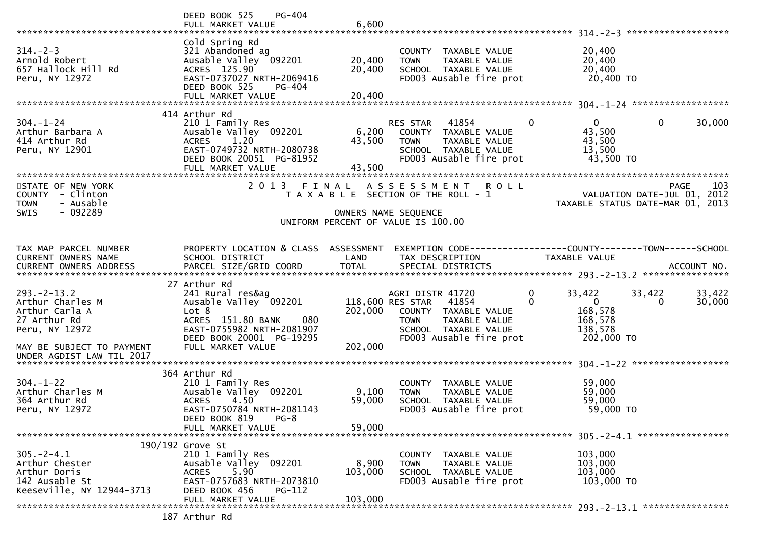|                                                                                                                                                    | DEED BOOK 525<br><b>PG-404</b><br>FULL MARKET VALUE                                                                                                                          | 6,600                       |                                                                                                                                                          |               |                                                                         |                                            |                  |
|----------------------------------------------------------------------------------------------------------------------------------------------------|------------------------------------------------------------------------------------------------------------------------------------------------------------------------------|-----------------------------|----------------------------------------------------------------------------------------------------------------------------------------------------------|---------------|-------------------------------------------------------------------------|--------------------------------------------|------------------|
|                                                                                                                                                    |                                                                                                                                                                              |                             |                                                                                                                                                          |               |                                                                         |                                            |                  |
| $314. - 2 - 3$<br>Arnold Robert<br>657 Hallock Hill Rd<br>Peru, NY 12972                                                                           | Cold Spring Rd<br>321 Abandoned ag<br>Ausable Valley 092201<br>ACRES 125.90<br>EAST-0737027 NRTH-2069416<br>DEED BOOK 525<br>PG-404                                          | 20,400<br>20,400            | COUNTY TAXABLE VALUE<br><b>TOWN</b><br>TAXABLE VALUE<br>SCHOOL TAXABLE VALUE<br>FD003 Ausable fire prot                                                  |               | 20,400<br>20,400<br>20,400<br>20,400 TO                                 |                                            |                  |
|                                                                                                                                                    | FULL MARKET VALUE                                                                                                                                                            | 20,400                      |                                                                                                                                                          |               |                                                                         |                                            |                  |
|                                                                                                                                                    | 414 Arthur Rd                                                                                                                                                                |                             |                                                                                                                                                          |               |                                                                         |                                            |                  |
| $304. - 1 - 24$<br>Arthur Barbara A<br>414 Arthur Rd<br>Peru, NY 12901                                                                             | 210 1 Family Res<br>Ausable Valley 092201<br><b>ACRES</b><br>1.20<br>EAST-0749732 NRTH-2080738<br>DEED BOOK 20051 PG-81952<br>FULL MARKET VALUE                              | 6,200<br>43,500<br>43,500   | RES STAR<br>41854<br>COUNTY TAXABLE VALUE<br><b>TOWN</b><br>TAXABLE VALUE<br>SCHOOL TAXABLE VALUE<br>FD003 Ausable fire prot                             | $\Omega$      | 0<br>43,500<br>43,500<br>13,500<br>43,500 TO                            | $\mathbf{0}$                               | 30,000           |
|                                                                                                                                                    |                                                                                                                                                                              |                             |                                                                                                                                                          |               |                                                                         |                                            |                  |
| STATE OF NEW YORK<br>COUNTY - Clinton<br><b>TOWN</b><br>- Ausable<br>- 092289<br><b>SWIS</b>                                                       | 2 0 1 3                                                                                                                                                                      | FINAL                       | A S S E S S M E N T<br>T A X A B L E SECTION OF THE ROLL - 1<br>OWNERS NAME SEQUENCE                                                                     | <b>ROLL</b>   | TAXABLE STATUS DATE-MAR 01, 2013                                        | <b>PAGE</b><br>VALUATION DATE-JUL 01, 2012 | 103              |
|                                                                                                                                                    |                                                                                                                                                                              |                             | UNIFORM PERCENT OF VALUE IS 100.00                                                                                                                       |               |                                                                         |                                            |                  |
|                                                                                                                                                    |                                                                                                                                                                              |                             |                                                                                                                                                          |               |                                                                         |                                            |                  |
| TAX MAP PARCEL NUMBER<br>CURRENT OWNERS NAME                                                                                                       | PROPERTY LOCATION & CLASS ASSESSMENT<br>SCHOOL DISTRICT                                                                                                                      | LAND                        | EXEMPTION CODE-----------------COUNTY-------TOWN------SCHOOL<br>TAX DESCRIPTION                                                                          |               | TAXABLE VALUE                                                           |                                            |                  |
|                                                                                                                                                    |                                                                                                                                                                              |                             |                                                                                                                                                          |               |                                                                         |                                            |                  |
| $293 - 2 - 13.2$<br>Arthur Charles M<br>Arthur Carla A<br>27 Arthur Rd<br>Peru, NY 12972<br>MAY BE SUBJECT TO PAYMENT<br>UNDER AGDIST LAW TIL 2017 | 27 Arthur Rd<br>241 Rural res&ag<br>Ausable Valley 092201<br>Lot 8<br>ACRES 151.80 BANK<br>080<br>EAST-0755982 NRTH-2081907<br>DEED BOOK 20001 PG-19295<br>FULL MARKET VALUE | 202,000<br>202,000          | AGRI DISTR 41720<br>118,600 RES STAR<br>41854<br>COUNTY TAXABLE VALUE<br><b>TOWN</b><br>TAXABLE VALUE<br>SCHOOL TAXABLE VALUE<br>FD003 Ausable fire prot | 0<br>$\Omega$ | 33,422<br>$\overline{0}$<br>168,578<br>168,578<br>138,578<br>202,000 TO | 33,422<br>$\Omega$                         | 33,422<br>30,000 |
|                                                                                                                                                    |                                                                                                                                                                              |                             |                                                                                                                                                          |               |                                                                         |                                            |                  |
| $304. - 1 - 22$<br>Arthur Charles M<br>364 Arthur Rd<br>Peru, NY 12972                                                                             | 364 Arthur Rd<br>210 1 Family Res<br>Ausable Valley 092201<br>4.50<br><b>ACRES</b><br>EAST-0750784 NRTH-2081143<br>DEED BOOK 819<br>$PG-8$<br>FULL MARKET VALUE              | 9,100<br>59,000<br>59,000   | COUNTY TAXABLE VALUE<br>TAXABLE VALUE<br><b>TOWN</b><br>SCHOOL TAXABLE VALUE<br>FD003 Ausable fire prot                                                  |               | 59,000<br>59,000<br>59,000<br>59,000 TO                                 |                                            |                  |
|                                                                                                                                                    |                                                                                                                                                                              |                             |                                                                                                                                                          |               |                                                                         |                                            |                  |
| $305. -2 - 4.1$<br>Arthur Chester<br>Arthur Doris<br>142 Ausable St<br>Keeseville, NY 12944-3713                                                   | $190/192$ Grove St<br>210 1 Family Res<br>Ausable Valley 092201<br>5.90<br><b>ACRES</b><br>EAST-0757683 NRTH-2073810<br>DEED BOOK 456<br>PG-112<br>FULL MARKET VALUE         | 8,900<br>103,000<br>103,000 | COUNTY TAXABLE VALUE<br>TAXABLE VALUE<br><b>TOWN</b><br>SCHOOL TAXABLE VALUE<br>FD003 Ausable fire prot                                                  |               | 103,000<br>103,000<br>103,000<br>103,000 TO                             |                                            |                  |
|                                                                                                                                                    | $107$ Anthun $R$                                                                                                                                                             |                             |                                                                                                                                                          |               |                                                                         |                                            |                  |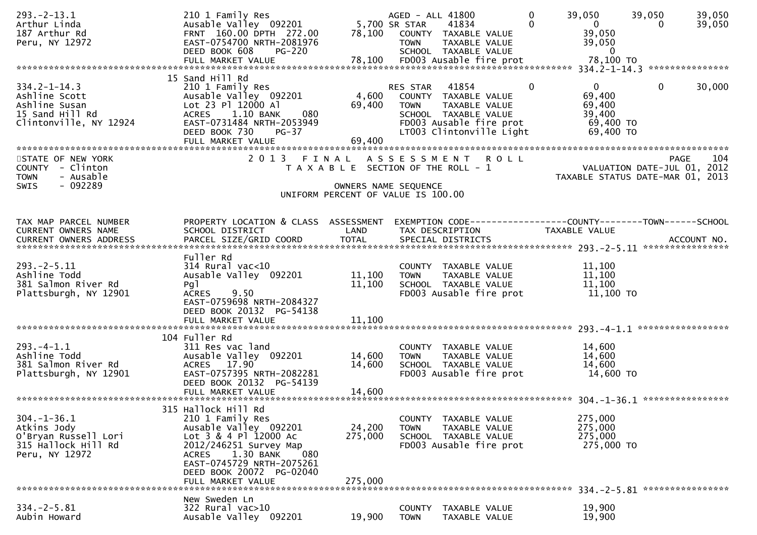| $293. -2 - 13.1$<br>Arthur Linda<br>187 Arthur Rd<br>Peru, NY 12972                               | 210 1 Family Res<br>Ausable Valley 092201<br>FRNT 160.00 DPTH 272.00<br>EAST-0754700 NRTH-2081976<br>DEED BOOK 608<br><b>PG-220</b>                                                                              | 78,100                                                                 | AGED - ALL 41800<br>5,700 SR STAR<br><b>TOWN</b> | 41834<br>COUNTY TAXABLE VALUE<br>TAXABLE VALUE<br>SCHOOL TAXABLE VALUE                                                        | $\mathbf{0}$<br>$\Omega$ | 39,050<br>$\mathbf{0}$<br>39,050<br>39,050<br>$\overline{0}$         | 39,050<br>0                         | 39,050<br>39,050 |
|---------------------------------------------------------------------------------------------------|------------------------------------------------------------------------------------------------------------------------------------------------------------------------------------------------------------------|------------------------------------------------------------------------|--------------------------------------------------|-------------------------------------------------------------------------------------------------------------------------------|--------------------------|----------------------------------------------------------------------|-------------------------------------|------------------|
|                                                                                                   | 15 Sand Hill Rd                                                                                                                                                                                                  |                                                                        |                                                  |                                                                                                                               |                          |                                                                      |                                     |                  |
| $334.2 - 1 - 14.3$<br>Ashline Scott<br>Ashline Susan<br>15 Sand Hill Rd<br>Clintonville, NY 12924 | 210 1 Family Res<br>Ausable Valley 092201<br>Lot 23 Pl 12000 Al<br>1.10 BANK<br><b>ACRES</b><br>080<br>EAST-0731484 NRTH-2053949<br>DEED BOOK 730<br>$PG-37$<br>FULL MARKET VALUE                                | 4,600<br>69,400<br>69,400                                              | RES STAR<br><b>TOWN</b>                          | 41854<br>COUNTY TAXABLE VALUE<br>TAXABLE VALUE<br>SCHOOL TAXABLE VALUE<br>FD003 Ausable fire prot<br>LT003 Clintonville Light | $\Omega$                 | $\mathbf{0}$<br>69,400<br>69,400<br>39,400<br>69,400 TO<br>69,400 TO | $\mathbf{0}$                        | 30,000           |
|                                                                                                   |                                                                                                                                                                                                                  |                                                                        |                                                  |                                                                                                                               |                          |                                                                      |                                     |                  |
| STATE OF NEW YORK<br>COUNTY - Clinton<br>- Ausable<br><b>TOWN</b><br>- 092289<br><b>SWIS</b>      | 2 0 1 3                                                                                                                                                                                                          | FINAL<br>T A X A B L E SECTION OF THE ROLL - 1<br>OWNERS NAME SEQUENCE |                                                  | ASSESSMENT ROLL                                                                                                               |                          | TAXABLE STATUS DATE-MAR 01, 2013                                     | PAGE<br>VALUATION DATE-JUL 01, 2012 | 104              |
|                                                                                                   |                                                                                                                                                                                                                  | UNIFORM PERCENT OF VALUE IS 100.00                                     |                                                  |                                                                                                                               |                          |                                                                      |                                     |                  |
|                                                                                                   |                                                                                                                                                                                                                  |                                                                        |                                                  |                                                                                                                               |                          |                                                                      |                                     |                  |
| TAX MAP PARCEL NUMBER<br>CURRENT OWNERS NAME                                                      | PROPERTY LOCATION & CLASS ASSESSMENT<br>SCHOOL DISTRICT                                                                                                                                                          | LAND                                                                   |                                                  | EXEMPTION CODE-----------------COUNTY-------TOWN------SCHOOL<br>TAX DESCRIPTION                                               |                          | <b>TAXABLE VALUE</b>                                                 |                                     |                  |
| CURRENT OWNERS ADDRESS                                                                            | PARCEL SIZE/GRID COORD                                                                                                                                                                                           | <b>TOTAL</b>                                                           |                                                  | SPECIAL DISTRICTS                                                                                                             |                          |                                                                      |                                     | ACCOUNT NO.      |
|                                                                                                   |                                                                                                                                                                                                                  |                                                                        |                                                  |                                                                                                                               |                          |                                                                      |                                     |                  |
| $293. -2 - 5.11$<br>Ashline Todd<br>381 Salmon River Rd<br>Plattsburgh, NY 12901                  | Fuller Rd<br>$314$ Rural vac<10<br>Ausable Valley 092201<br>Pg <sub>1</sub><br><b>ACRES</b><br>9.50<br>EAST-0759698 NRTH-2084327<br>DEED BOOK 20132 PG-54138                                                     | 11,100<br>11,100                                                       | <b>TOWN</b>                                      | COUNTY TAXABLE VALUE<br>TAXABLE VALUE<br>SCHOOL TAXABLE VALUE<br>FD003 Ausable fire prot                                      |                          | 11,100<br>11,100<br>11,100<br>11,100 TO                              |                                     |                  |
|                                                                                                   | 104 Fuller Rd                                                                                                                                                                                                    |                                                                        |                                                  |                                                                                                                               |                          |                                                                      |                                     |                  |
| $293. -4 - 1.1$<br>Ashline Todd<br>381 Salmon River Rd<br>Plattsburgh, NY 12901                   | 311 Res vac land<br>Ausable Valley 092201<br>ACRES 17.90<br>EAST-0757395 NRTH-2082281<br>DEED BOOK 20132 PG-54139                                                                                                | 14,600<br>14,600                                                       | <b>TOWN</b>                                      | COUNTY TAXABLE VALUE<br>TAXABLE VALUE<br>SCHOOL TAXABLE VALUE<br>FD003 Ausable fire prot                                      |                          | 14,600<br>14,600<br>14,600<br>14,600 TO                              |                                     |                  |
|                                                                                                   | FULL MARKET VALUE                                                                                                                                                                                                | 14,600                                                                 |                                                  |                                                                                                                               |                          |                                                                      |                                     |                  |
| $304. - 1 - 36.1$<br>Atkins Jody<br>O'Bryan Russell Lori<br>315 Hallock Hill Rd<br>Peru, NY 12972 | 315 Hallock Hill Rd<br>210 1 Family Res<br>Ausable Valley 092201<br>Lot 3 & 4 Pl 12000 Ac<br>2012/246251 Survey Map<br><b>ACRES</b><br>1.30 BANK<br>080<br>EAST-0745729 NRTH-2075261<br>DEED BOOK 20072 PG-02040 | 24,200<br>275,000                                                      | <b>TOWN</b>                                      | COUNTY TAXABLE VALUE<br>TAXABLE VALUE<br>SCHOOL TAXABLE VALUE<br>FD003 Ausable fire prot                                      |                          | 275,000<br>275,000<br>275,000<br>275,000 TO                          |                                     |                  |
|                                                                                                   | FULL MARKET VALUE                                                                                                                                                                                                | 275,000                                                                |                                                  |                                                                                                                               |                          |                                                                      |                                     |                  |
| $334. -2 - 5.81$<br>Aubin Howard                                                                  | New Sweden Ln<br>322 Rural vac>10<br>Ausable Valley 092201                                                                                                                                                       | 19,900                                                                 | <b>COUNTY</b><br><b>TOWN</b>                     | TAXABLE VALUE<br>TAXABLE VALUE                                                                                                |                          | 19,900<br>19,900                                                     |                                     |                  |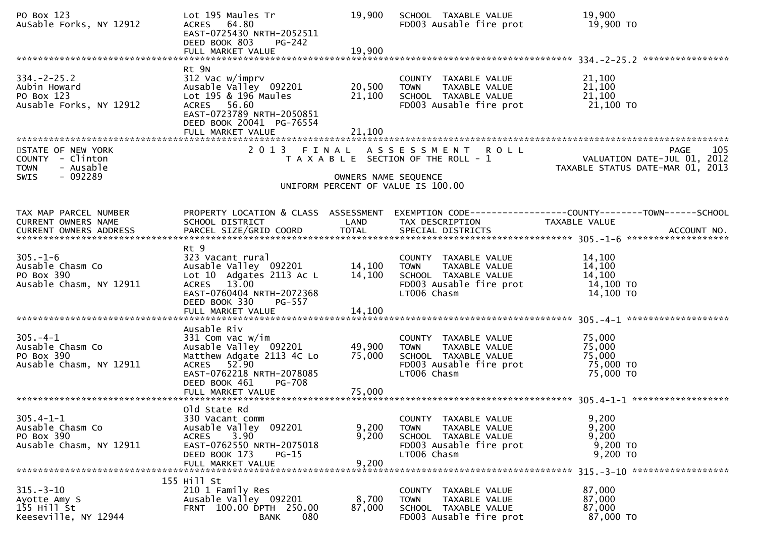| PO Box 123<br>AuSable Forks, NY 12912                                                 | Lot 195 Maules Tr<br>ACRES 64.80<br>EAST-0725430 NRTH-2052511<br>DEED BOOK 803<br>PG-242                                                                                                                        | 19,900                  | SCHOOL TAXABLE VALUE<br>FD003 Ausable fire prot                                                                                                      | 19,900<br>19,900 TO                                                                                               |
|---------------------------------------------------------------------------------------|-----------------------------------------------------------------------------------------------------------------------------------------------------------------------------------------------------------------|-------------------------|------------------------------------------------------------------------------------------------------------------------------------------------------|-------------------------------------------------------------------------------------------------------------------|
|                                                                                       | Rt 9N                                                                                                                                                                                                           |                         |                                                                                                                                                      |                                                                                                                   |
| $334. -2 - 25.2$<br>Aubin Howard<br>PO Box 123<br>Ausable Forks, NY 12912             | 312 Vac w/imprv<br>Ausable Valley 092201<br>Lot 195 & 196 Maules<br>ACRES 56.60<br>EAST-0723789 NRTH-2050851<br>DEED BOOK 20041 PG-76554                                                                        | 20,500<br>21,100        | COUNTY TAXABLE VALUE<br>TAXABLE VALUE<br><b>TOWN</b><br>SCHOOL TAXABLE VALUE<br>FD003 Ausable fire prot                                              | 21,100<br>21,100<br>21,100<br>21,100 TO                                                                           |
|                                                                                       | FULL MARKET VALUE                                                                                                                                                                                               | 21,100                  |                                                                                                                                                      |                                                                                                                   |
| STATE OF NEW YORK<br>COUNTY - Clinton<br><b>TOWN</b><br>- Ausable<br>- 092289<br>SWIS |                                                                                                                                                                                                                 | OWNERS NAME SEQUENCE    | 2013 FINAL ASSESSMENT ROLL<br>T A X A B L E SECTION OF THE ROLL - 1                                                                                  | <b>PAGE</b><br>105<br>VALUATION DATE-JUL 01, 2012<br>TAXABLE STATUS DATE-MAR 01, 2013                             |
|                                                                                       |                                                                                                                                                                                                                 |                         | UNIFORM PERCENT OF VALUE IS 100.00                                                                                                                   |                                                                                                                   |
|                                                                                       |                                                                                                                                                                                                                 |                         |                                                                                                                                                      |                                                                                                                   |
| TAX MAP PARCEL NUMBER<br>CURRENT OWNERS NAME                                          | SCHOOL DISTRICT                                                                                                                                                                                                 | LAND                    | TAX DESCRIPTION                                                                                                                                      | PROPERTY LOCATION & CLASS ASSESSMENT EXEMPTION CODE----------------COUNTY-------TOWN------SCHOOL<br>TAXABLE VALUE |
| $305. - 1 - 6$<br>Ausable Chasm Co<br>PO Box 390<br>Ausable Chasm, NY 12911           | Rt 9<br>323 Vacant rural<br>323 Vacant rural<br>Ausable Valley  092201           14,100<br>Lot 10 Adgates 2113 Ac L<br>ACRES 13.00<br>EAST-0760404 NRTH-2072368<br>DEED BOOK 330<br>PG-557<br>FULL MARKET VALUE | 14,100<br>14,100        | COUNTY TAXABLE VALUE<br>TOWN TAXABLE VALUE<br>TOWN TAXABLE VALUE<br>SCHOOL TAXABLE<br>SCHOOL TAXABLE VALUE<br>FD003 Ausable fire prot<br>LT006 Chasm | 14,100<br>14,100<br>14,100<br>14,100 TO<br>14,100 TO                                                              |
|                                                                                       |                                                                                                                                                                                                                 |                         |                                                                                                                                                      |                                                                                                                   |
| $305. -4 - 1$<br>Ausable Chasm Co<br>PO Box 390<br>Ausable Chasm, NY 12911            | Ausable Riv<br>331 Com vac w/im<br>Ausable Valley 092201<br>Matthew Adgate 2113 4C Lo<br>ACRES 52.90<br>EAST-0762218 NRTH-2078085<br>DEED BOOK 461<br><b>PG-708</b>                                             | 49,900<br>75,000        | COUNTY TAXABLE VALUE<br>TAXABLE VALUE<br><b>TOWN</b><br>SCHOOL TAXABLE VALUE<br>FD003 Ausable fire prot<br>LT006 Chasm                               | 75,000<br>75,000<br>75,000<br>75,000 TO<br>75,000 TO                                                              |
|                                                                                       |                                                                                                                                                                                                                 |                         |                                                                                                                                                      |                                                                                                                   |
|                                                                                       | old State Rd                                                                                                                                                                                                    |                         |                                                                                                                                                      |                                                                                                                   |
| $305.4 - 1 - 1$<br>Ausable Chasm Co<br>PO Box 390<br>Ausable Chasm, NY 12911          | 330 Vacant comm<br>Ausable Valley 092201<br><b>ACRES</b><br>3.90<br>EAST-0762550 NRTH-2075018<br>DEED BOOK 173<br>$PG-15$<br>FULL MARKET VALUE                                                                  | 9,200<br>9,200<br>9,200 | COUNTY TAXABLE VALUE<br>TAXABLE VALUE<br><b>TOWN</b><br>SCHOOL TAXABLE VALUE<br>FD003 Ausable fire prot<br>LT006 Chasm                               | 9,200<br>9,200<br>9,200<br>9,200 TO<br>9,200 TO                                                                   |
|                                                                                       |                                                                                                                                                                                                                 |                         |                                                                                                                                                      |                                                                                                                   |
| $315. - 3 - 10$<br>Ayotte Amy S<br>155 Hill St<br>Keeseville, NY 12944                | 155 Hill St<br>210 1 Family Res<br>Ausable Valley 092201<br>FRNT 100.00 DPTH 250.00<br>080<br><b>BANK</b>                                                                                                       | 8,700<br>87,000         | COUNTY TAXABLE VALUE<br>TAXABLE VALUE<br><b>TOWN</b><br>SCHOOL TAXABLE VALUE<br>FD003 Ausable fire prot                                              | 87,000<br>87,000<br>87,000<br>87,000 TO                                                                           |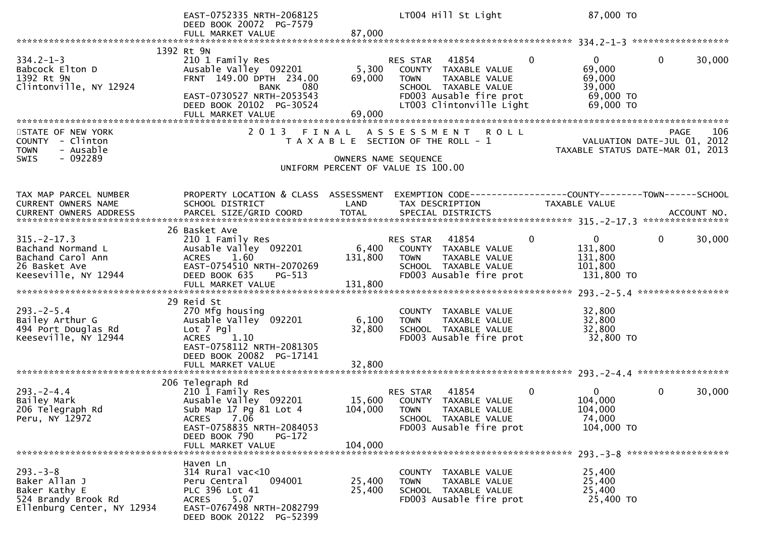|                                                                                                      | EAST-0752335 NRTH-2068125<br>DEED BOOK 20072 PG-7579                                                                                                                                   |                           | LT004 Hill St Light                                                                                                                                      | 87,000 TO                                                                          |                                                                                |
|------------------------------------------------------------------------------------------------------|----------------------------------------------------------------------------------------------------------------------------------------------------------------------------------------|---------------------------|----------------------------------------------------------------------------------------------------------------------------------------------------------|------------------------------------------------------------------------------------|--------------------------------------------------------------------------------|
|                                                                                                      |                                                                                                                                                                                        |                           |                                                                                                                                                          |                                                                                    |                                                                                |
| $334.2 - 1 - 3$<br>Babcock Elton D<br>1392 Rt 9N<br>Clintonville, NY 12924                           | 1392 Rt 9N<br>210 1 Family Res<br>Ausable Valley 092201<br>FRNT 149.00 DPTH 234.00<br><b>BANK</b><br>080<br>EAST-0730527 NRTH-2053543<br>DEED BOOK 20102 PG-30524<br>FULL MARKET VALUE | 5,300<br>69,000<br>69,000 | RES STAR<br>41854<br>COUNTY TAXABLE VALUE<br><b>TOWN</b><br>TAXABLE VALUE<br>SCHOOL TAXABLE VALUE<br>FD003 Ausable fire prot<br>LT003 Clintonville Light | $\Omega$<br>$\mathbf{0}$<br>69,000<br>69,000<br>39,000<br>$69,000$ TO<br>69,000 TO | $\mathbf{0}$<br>30,000                                                         |
| STATE OF NEW YORK<br>COUNTY - Clinton<br>- Ausable<br><b>TOWN</b><br>- 092289<br><b>SWIS</b>         |                                                                                                                                                                                        |                           | 2013 FINAL ASSESSMENT ROLL<br>T A X A B L E SECTION OF THE ROLL - 1<br>OWNERS NAME SEQUENCE<br>UNIFORM PERCENT OF VALUE IS 100.00                        |                                                                                    | PAGE<br>106<br>VALUATION DATE-JUL 01, 2012<br>TAXABLE STATUS DATE-MAR 01, 2013 |
| TAX MAP PARCEL NUMBER<br>CURRENT OWNERS NAME                                                         | PROPERTY LOCATION & CLASS ASSESSMENT<br>SCHOOL DISTRICT                                                                                                                                | LAND                      | EXEMPTION CODE-----------------COUNTY-------TOWN------SCHOOL<br>TAX DESCRIPTION                                                                          | TAXABLE VALUE                                                                      |                                                                                |
| $315. -2 - 17.3$<br>Bachand Normand L<br>Bachand Carol Ann<br>26 Basket Ave<br>Keeseville, NY 12944  | 26 Basket Ave<br>210 1 Family Res<br>Ausable Valley 092201<br>ACRES 1.60<br>EAST-0754510 NRTH-2070269<br>DEED BOOK 635<br>$PG-513$                                                     | 6,400<br>131,800          | RES STAR 41854<br>COUNTY TAXABLE VALUE<br><b>TOWN</b><br>TAXABLE VALUE<br>SCHOOL TAXABLE VALUE<br>FD003 Ausable fire prot                                | $\mathbf{0}$<br>$\mathbf 0$<br>131,800<br>131,800<br>101,800<br>131,800 TO         | 30,000<br>$\Omega$                                                             |
| $293. - 2 - 5.4$<br>Bailey Arthur G<br>494 Port Douglas Rd<br>Keeseville, NY 12944                   | 29 Reid St<br>270 Mfg housing<br>Ausable Valley 092201<br>Lot 7 Pgl<br>1.10<br><b>ACRES</b><br>EAST-0758112 NRTH-2081305<br>DEED BOOK 20082 PG-17141<br>FULL MARKET VALUE              | 6,100<br>32,800<br>32,800 | COUNTY TAXABLE VALUE<br>TAXABLE VALUE<br><b>TOWN</b><br>SCHOOL TAXABLE VALUE<br>FD003 Ausable fire prot                                                  | 32,800<br>32,800<br>32,800<br>32,800 TO                                            |                                                                                |
| $293. - 2 - 4.4$<br>Bailey Mark<br>206 Telegraph Rd<br>Peru, NY 12972                                | 206 Telegraph Rd<br>210 1 Family Res<br>Ausable Valley 092201<br>Sub Map 17 Pg 81 Lot 4<br>ACRES 7.06<br>EAST-0758835 NRTH-2084053<br>DEED BOOK 790<br>$PG-172$<br>FULL MARKET VALUE   | 104,000                   | 41854<br>RES STAR<br>15,600 COUNTY TAXABLE VALUE<br>104,000 TOWN<br>TAXABLE VALUE<br>SCHOOL TAXABLE VALUE<br>FD003 Ausable fire prot                     | $\mathbf{0}$<br>$\overline{0}$<br>104,000<br>104,000<br>74,000<br>104,000 TO       | $\mathbf 0$<br>30,000<br>$293 - 3 - 8$ *********************                   |
| $293 - 3 - 8$<br>Baker Allan J<br>Baker Kathy E<br>524 Brandy Brook Rd<br>Ellenburg Center, NY 12934 | Haven Ln<br>$314$ Rural vac<10<br>094001<br>Peru Central<br>PLC 396 Lot 41<br>5.07<br><b>ACRES</b><br>EAST-0767498 NRTH-2082799<br>DEED BOOK 20122 PG-52399                            | 25,400<br>25,400          | COUNTY TAXABLE VALUE<br>TAXABLE VALUE<br><b>TOWN</b><br>SCHOOL TAXABLE VALUE<br>FD003 Ausable fire prot                                                  | 25,400<br>25,400<br>25,400<br>25,400 TO                                            |                                                                                |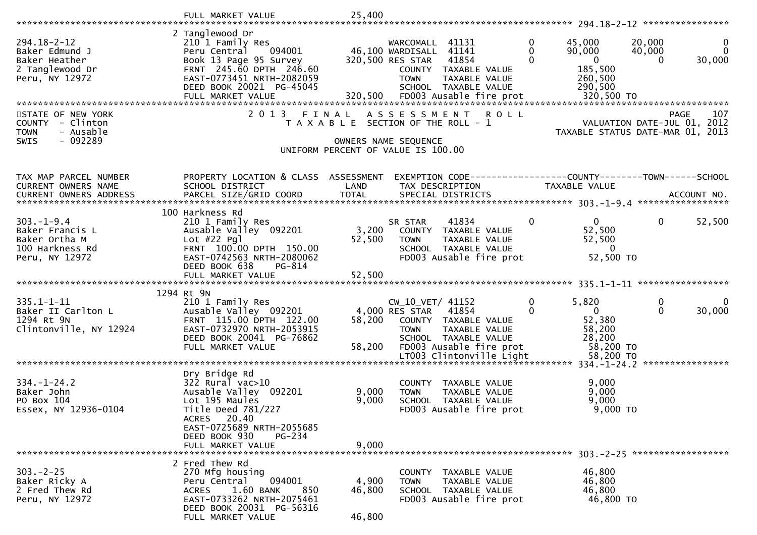|                                                                                              | FULL MARKET VALUE                                                                                                                                                           | 25,400          |                                                                                                                                                        |                          |                                                                   |                                                                                       |
|----------------------------------------------------------------------------------------------|-----------------------------------------------------------------------------------------------------------------------------------------------------------------------------|-----------------|--------------------------------------------------------------------------------------------------------------------------------------------------------|--------------------------|-------------------------------------------------------------------|---------------------------------------------------------------------------------------|
|                                                                                              |                                                                                                                                                                             |                 |                                                                                                                                                        |                          |                                                                   |                                                                                       |
| $294.18 - 2 - 12$<br>Baker Edmund J<br>Baker Heather<br>2 Tanglewood Dr<br>Peru, NY 12972    | 2 Tanglewood Dr<br>210 1 Family Res<br>094001<br>Peru Central<br>Book 13 Page 95 Survey<br>FRNT 245.60 DPTH 246.60<br>EAST-0773451 NRTH-2082059<br>DEED BOOK 20021 PG-45045 |                 | WARCOMALL 41131<br>46,100 WARDISALL 41141<br>320,500 RES STAR<br>41854<br>COUNTY TAXABLE VALUE<br><b>TOWN</b><br>TAXABLE VALUE<br>SCHOOL TAXABLE VALUE | $\mathbf{0}$<br>$\Omega$ | 45,000<br>90,000<br>$\mathbf{0}$<br>185,500<br>260,500<br>290,500 | 20,000<br>$\mathbf 0$<br>$\Omega$<br>40,000<br>30,000<br>$\Omega$                     |
|                                                                                              |                                                                                                                                                                             |                 |                                                                                                                                                        |                          |                                                                   |                                                                                       |
| STATE OF NEW YORK<br>COUNTY - Clinton<br>- Ausable<br><b>TOWN</b><br>- 092289<br><b>SWIS</b> | 2 0 1 3                                                                                                                                                                     | FINAL           | A S S E S S M E N T<br><b>ROLL</b><br>T A X A B L E SECTION OF THE ROLL - 1<br>OWNERS NAME SEQUENCE                                                    |                          |                                                                   | 107<br><b>PAGE</b><br>VALUATION DATE-JUL 01, 2012<br>TAXABLE STATUS DATE-MAR 01, 2013 |
|                                                                                              |                                                                                                                                                                             |                 | UNIFORM PERCENT OF VALUE IS 100.00                                                                                                                     |                          |                                                                   |                                                                                       |
| TAX MAP PARCEL NUMBER                                                                        | PROPERTY LOCATION & CLASS ASSESSMENT                                                                                                                                        |                 |                                                                                                                                                        |                          |                                                                   |                                                                                       |
| <b>CURRENT OWNERS NAME</b>                                                                   | SCHOOL DISTRICT                                                                                                                                                             | LAND            | TAX DESCRIPTION                                                                                                                                        |                          | TAXABLE VALUE                                                     |                                                                                       |
| CURRENT OWNERS ADDRESS                                                                       |                                                                                                                                                                             |                 |                                                                                                                                                        |                          |                                                                   |                                                                                       |
| $303. - 1 - 9.4$<br>Baker Francis L                                                          | 100 Harkness Rd<br>210 1 Family Res<br>Ausable Valley 092201                                                                                                                | 3,200           | 41834<br>SR STAR<br>COUNTY TAXABLE VALUE                                                                                                               | $\mathbf{0}$             | $\Omega$<br>52,500                                                | 52,500<br>$\mathbf{0}$                                                                |
| Baker Ortha M                                                                                | Lot $#22$ Pql                                                                                                                                                               | 52,500          | <b>TOWN</b><br>TAXABLE VALUE                                                                                                                           |                          | 52,500                                                            |                                                                                       |
| 100 Harkness Rd<br>Peru, NY 12972                                                            | FRNT 100.00 DPTH 150.00<br>EAST-0742563 NRTH-2080062<br>DEED BOOK 638<br>PG-814                                                                                             |                 | SCHOOL TAXABLE VALUE<br>FD003 Ausable fire prot                                                                                                        |                          | $\mathbf{0}$<br>52,500 TO                                         |                                                                                       |
|                                                                                              |                                                                                                                                                                             |                 |                                                                                                                                                        |                          |                                                                   |                                                                                       |
|                                                                                              | 1294 Rt 9N                                                                                                                                                                  |                 |                                                                                                                                                        |                          |                                                                   |                                                                                       |
| $335.1 - 1 - 11$<br>Baker II Carlton L<br>1294 Rt 9N<br>Clintonville, NY 12924               | 210 1 Family Res<br>Ausable Valley 092201<br>FRNT 115.00 DPTH 122.00<br>EAST-0732970 NRTH-2053915                                                                           | 58,200          | CW_10_VET/ 41152<br>4,000 RES STAR 41854<br>COUNTY TAXABLE VALUE<br>TAXABLE VALUE<br><b>TOWN</b>                                                       | $\mathbf{0}$<br>0        | 5,820<br>$\mathbf{0}$<br>52,380<br>58,200                         | 0<br>$\mathbf{0}$<br>30,000                                                           |
|                                                                                              | DEED BOOK 20041 PG-76862<br>FULL MARKET VALUE                                                                                                                               | 58,200          | SCHOOL TAXABLE VALUE<br>FD003 Ausable fire prot                                                                                                        |                          | 28,200<br>58,200 TO                                               |                                                                                       |
|                                                                                              |                                                                                                                                                                             |                 | LT003 Clintonville Light                                                                                                                               |                          | 58,200 TO                                                         |                                                                                       |
| $334. - 1 - 24.2$                                                                            | Dry Bridge Rd<br>$322$ Rural vac $>10$                                                                                                                                      |                 | TAXABLE VALUE<br><b>COUNTY</b>                                                                                                                         |                          | 9,000                                                             |                                                                                       |
| Baker John<br>PO Box 104<br>Essex, NY 12936-0104                                             | Ausable Valley 092201<br>Lot 195 Maules<br>Title Deed 781/227<br>ACRES 20.40<br>EAST-0725689 NRTH-2055685                                                                   | 9,000<br>9,000  | <b>TOWN</b><br>TAXABLE VALUE<br>SCHOOL TAXABLE VALUE<br>FD003 Ausable fire prot                                                                        |                          | 9,000<br>9,000<br>$9,000$ TO                                      |                                                                                       |
|                                                                                              | DEED BOOK 930<br>PG-234                                                                                                                                                     | 9,000           |                                                                                                                                                        |                          |                                                                   |                                                                                       |
|                                                                                              | FULL MARKET VALUE                                                                                                                                                           |                 |                                                                                                                                                        |                          |                                                                   |                                                                                       |
| $303. -2 - 25$<br>Baker Ricky A<br>2 Fred Thew Rd<br>Peru, NY 12972                          | 2 Fred Thew Rd<br>270 Mfg housing<br>094001<br>Peru Central<br><b>ACRES</b><br>1.60 BANK<br>850<br>EAST-0733262 NRTH-2075461<br>DEED BOOK 20031 PG-56316                    | 4,900<br>46,800 | COUNTY TAXABLE VALUE<br><b>TOWN</b><br><b>TAXABLE VALUE</b><br>SCHOOL TAXABLE VALUE<br>FD003 Ausable fire prot                                         |                          | 46,800<br>46,800<br>46,800<br>46,800 TO                           |                                                                                       |
|                                                                                              | FULL MARKET VALUE                                                                                                                                                           | 46,800          |                                                                                                                                                        |                          |                                                                   |                                                                                       |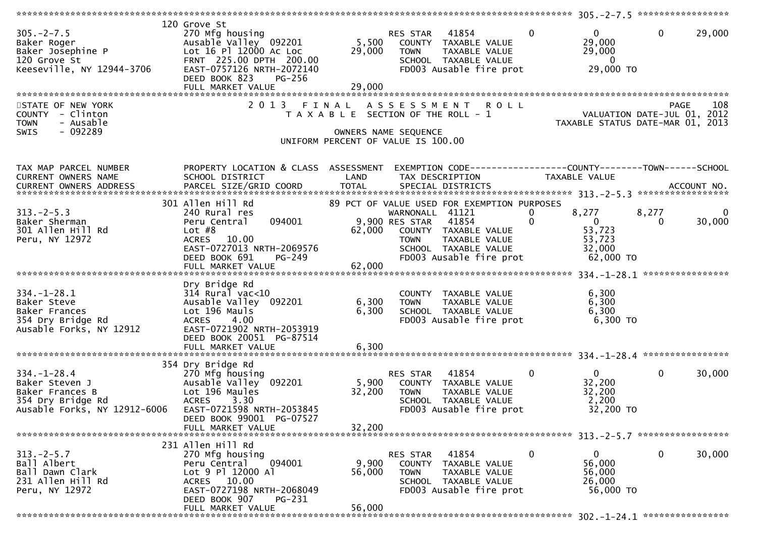| $305. -2 - 7.5$                                                                                             | 120 Grove St<br>270 Mfg housing<br>Ausable Valley 092201 5,500<br>DEED BOOK 823<br><b>PG-256</b><br>FULL MARKET VALUE                                                                                                  | 29,000                    | RES STAR 41854<br>COUNTY TAXABLE VALUE<br><b>TOWN</b><br>TAXABLE VALUE<br>SCHOOL TAXABLE VALUE<br>FD003 Ausable fire prot                                                               | $\overline{0}$<br>$\mathbf{0}$<br>29,000<br>29,000<br>$\overline{0}$<br>29,000 TO | $\mathbf 0$<br>29,000            |
|-------------------------------------------------------------------------------------------------------------|------------------------------------------------------------------------------------------------------------------------------------------------------------------------------------------------------------------------|---------------------------|-----------------------------------------------------------------------------------------------------------------------------------------------------------------------------------------|-----------------------------------------------------------------------------------|----------------------------------|
| STATE OF NEW YORK<br>COUNTY - Clinton<br><b>TOWN</b><br>- Ausable<br>$-092289$<br>SWIS                      | 2013                                                                                                                                                                                                                   |                           | FINAL ASSESSMENT ROLL<br>T A X A B L E SECTION OF THE ROLL - 1<br>OWNERS NAME SEQUENCE<br>UNIFORM PERCENT OF VALUE IS 100.00                                                            | VALUATION DATE-JUL 01, 2012<br>TAXABLE STATUS DATE-MAR 01, 2013                   | 108<br>PAGE                      |
| TAX MAP PARCEL NUMBER<br>CURRENT OWNERS NAME                                                                | PROPERTY LOCATION & CLASS ASSESSMENT<br>SCHOOL DISTRICT                                                                                                                                                                | LAND                      | EXEMPTION CODE-----------------COUNTY-------TOWN------SCHOOL<br>TAX DESCRIPTION                                                                                                         | TAXABLE VALUE                                                                     |                                  |
| $313. -2 - 5.3$<br>Baker Sherman<br>301 Allen Hill Rd<br>Peru, NY 12972                                     | 301 Allen Hill Rd<br>240 Rural res<br>094001<br>Peru Central<br>Lot $#8$<br>10.00<br><b>ACRES</b><br>EAST-0727013 NRTH-2069576<br>DEED BOOK 691<br>PG-249                                                              | 62,000                    | 89 PCT OF VALUE USED FOR EXEMPTION PURPOSES<br>WARNONALL 41121<br>9,900 RES STAR 41854<br>COUNTY TAXABLE VALUE<br>TOWN TAXABLE VALUE<br>SCHOOL TAXABLE VALUE<br>FD003 Ausable fire prot | 8,277<br>0<br>$\overline{0}$<br>53,723<br>53,723<br>32,000<br>62,000 TO           | 8,277<br>0<br>30,000<br>$\Omega$ |
|                                                                                                             |                                                                                                                                                                                                                        |                           |                                                                                                                                                                                         |                                                                                   |                                  |
| $334. - 1 - 28.1$<br>Baker Steve<br>Baker Frances<br>354 Dry Bridge Rd<br>Ausable Forks, NY 12912           | Dry Bridge Rd<br>$314$ Rural vac<10<br>Ausable Valley 092201<br>Lot 196 Mauls<br>4.00<br><b>ACRES</b><br>EAST-0721902 NRTH-2053919<br>DEED BOOK 20051 PG-87514                                                         | 6,300<br>6,300            | COUNTY TAXABLE VALUE<br><b>TOWN</b><br>TAXABLE VALUE<br>SCHOOL TAXABLE VALUE<br>FD003 Ausable fire prot                                                                                 | 6,300<br>6,300<br>6,300<br>6,300 TO                                               |                                  |
|                                                                                                             | FULL MARKET VALUE                                                                                                                                                                                                      | 6,300                     |                                                                                                                                                                                         |                                                                                   |                                  |
| $334. - 1 - 28.4$<br>Baker Steven J<br>Baker Frances B<br>354 Dry Bridge Rd<br>Ausable Forks, NY 12912-6006 | 354 Dry Bridge Rd<br>270 Mfg housing<br>270 Mfg housing<br>Ausable Valley<br>Lot 196 Maules<br>d<br>ACRES<br>Ausable Valley 092201 5,900 COUNTY TAXABLE VALUE<br>EAST-0721598 NRTH-2053845<br>DEED BOOK 99001 PG-07527 | 32,200                    | RES STAR 41854<br>TAXABLE VALUE<br><b>TOWN</b><br>SCHOOL TAXABLE VALUE<br>FD003 Ausable fire prot                                                                                       | $\mathbf 0$<br>$\overline{0}$<br>32,200<br>32,200<br>2,200<br>32,200 TO           | $\mathbf 0$<br>30,000            |
|                                                                                                             | FULL MARKET VALUE                                                                                                                                                                                                      | 32,200                    |                                                                                                                                                                                         |                                                                                   |                                  |
| $313.-2-5.7$<br>Ball Albert<br>Ball Dawn Clark<br>231 Allen Hill Rd<br>Peru, NY 12972                       | 231 Allen Hill Rd<br>270 Mfg housing<br>Peru Central<br>094001<br>Lot 9 Pl 12000 Al<br>ACRES 10.00<br>EAST-0727198 NRTH-2068049<br>DEED BOOK 907<br>PG-231<br>FULL MARKET VALUE                                        | 9,900<br>56,000<br>56,000 | RES STAR 41854<br>COUNTY TAXABLE VALUE<br>TAXABLE VALUE<br><b>TOWN</b><br>SCHOOL TAXABLE VALUE<br>FD003 Ausable fire prot                                                               | $\mathbf 0$<br>0<br>56,000<br>56,000<br>26,000<br>56,000 TO                       | $\mathbf 0$<br>30,000            |
|                                                                                                             |                                                                                                                                                                                                                        |                           |                                                                                                                                                                                         |                                                                                   |                                  |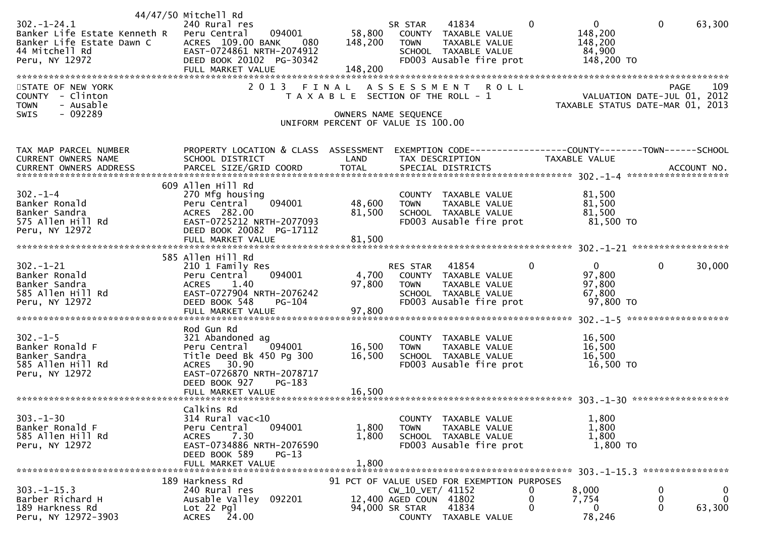|                                                                                                                   | 44/47/50 Mitchell Rd                                                                                                                                                          |                            |                                                                                                                                 |                                                                         |                                                                                |
|-------------------------------------------------------------------------------------------------------------------|-------------------------------------------------------------------------------------------------------------------------------------------------------------------------------|----------------------------|---------------------------------------------------------------------------------------------------------------------------------|-------------------------------------------------------------------------|--------------------------------------------------------------------------------|
| $302 - 1 - 24.1$<br>Banker Life Estate Kenneth R<br>Banker Life Estate Dawn C<br>44 Mitchell Rd<br>Peru, NY 12972 | 240 Rural res<br>Peru Central<br>094001<br>ACRES 109.00 BANK<br>- 080<br>EAST-0724861 NRTH-2074912<br>DEED BOOK 20102 PG-30342                                                | 58,800<br>148,200          | 41834<br>SR STAR<br>COUNTY TAXABLE VALUE<br>TAXABLE VALUE<br><b>TOWN</b><br>SCHOOL TAXABLE VALUE<br>FD003 Ausable fire prot     | $\mathbf 0$<br>$\Omega$<br>148,200<br>148,200<br>84,900<br>148,200 TO   | $\mathbf{0}$<br>63,300                                                         |
|                                                                                                                   | FULL MARKET VALUE                                                                                                                                                             | 148,200                    |                                                                                                                                 |                                                                         |                                                                                |
| STATE OF NEW YORK<br>COUNTY - Clinton<br>- Ausable<br><b>TOWN</b>                                                 | 2 0 1 3                                                                                                                                                                       | FINAL                      | A S S E S S M E N T R O L L<br>T A X A B L E SECTION OF THE ROLL - 1                                                            |                                                                         | 109<br>PAGE<br>VALUATION DATE-JUL 01, 2012<br>TAXABLE STATUS DATE-MAR 01, 2013 |
| $-092289$<br>SWIS                                                                                                 |                                                                                                                                                                               |                            | OWNERS NAME SEQUENCE<br>UNIFORM PERCENT OF VALUE IS 100.00                                                                      |                                                                         |                                                                                |
| TAX MAP PARCEL NUMBER<br>CURRENT OWNERS NAME                                                                      | PROPERTY LOCATION & CLASS ASSESSMENT<br>SCHOOL DISTRICT                                                                                                                       | LAND                       | EXEMPTION CODE-----------------COUNTY-------TOWN------SCHOOL<br>TAX DESCRIPTION                                                 | TAXABLE VALUE                                                           |                                                                                |
|                                                                                                                   |                                                                                                                                                                               |                            |                                                                                                                                 |                                                                         |                                                                                |
| $302 - 1 - 4$<br>Banker Ronald<br>Banker Sandra<br>575 Allen Hill Rd<br>Peru, NY 12972                            | 609 Allen Hill Rd<br>270 Mfg housing<br>094001<br>Peru Central<br>ACRES 282.00<br>EAST-0725212 NRTH-2077093<br>DEED BOOK 20082 PG-17112                                       | 48,600<br>81,500           | COUNTY TAXABLE VALUE<br>TAXABLE VALUE<br><b>TOWN</b><br>SCHOOL TAXABLE VALUE<br>FD003 Ausable fire prot                         | 81,500<br>81,500<br>81,500<br>81,500 TO                                 |                                                                                |
|                                                                                                                   | FULL MARKET VALUE                                                                                                                                                             | 81,500                     |                                                                                                                                 |                                                                         |                                                                                |
| $302 - 1 - 21$<br>Banker Ronald<br>Banker Sandra<br>585 Allen Hill Rd<br>Peru, NY 12972                           | 585 Allen Hill Rd<br>210 1 Family Res<br>Peru Central<br>094001<br>1.40<br><b>ACRES</b><br>EAST-0727904 NRTH-2076242<br>DEED BOOK 548<br><b>PG-104</b><br>FULL MARKET VALUE   | 97,800<br>97,800           | RES STAR 41854<br>4,700 COUNTY TAXABLE VALUE<br><b>TOWN</b><br>TAXABLE VALUE<br>SCHOOL TAXABLE VALUE<br>FD003 Ausable fire prot | $\mathbf{0}$<br>$\mathbf{0}$<br>97,800<br>97,800<br>67,800<br>97,800 TO | $\mathbf 0$<br>30,000                                                          |
| $302 - 1 - 5$<br>Banker Ronald F<br>Banker Sandra<br>585 Allen Hill Rd<br>Peru, NY 12972                          | Rod Gun Rd<br>321 Abandoned ag<br>Peru Central 094001<br>Title Deed Bk 450 Pg 300<br>ACRES 30.90<br>EAST-0726870 NRTH-2078717<br>DEED BOOK 927<br>PG-183<br>FULL MARKET VALUE | 16,500<br>16,500<br>16,500 | COUNTY TAXABLE VALUE<br>TAXABLE VALUE<br><b>TOWN</b><br>SCHOOL TAXABLE VALUE<br>FD003 Ausable fire prot                         | 16,500<br>16,500<br>16,500<br>16,500 TO                                 |                                                                                |
| $303. - 1 - 30$<br>Banker Ronald F<br>585 Allen Hill Rd<br>Peru, NY 12972                                         | Calkins Rd<br>314 Rural vac<10<br>094001<br>Peru Central<br>7.30<br><b>ACRES</b><br>EAST-0734886 NRTH-2076590<br>DEED BOOK 589<br>$PG-13$<br>FULL MARKET VALUE                | 1,800<br>1,800<br>1,800    | COUNTY TAXABLE VALUE<br>TAXABLE VALUE<br><b>TOWN</b><br>SCHOOL TAXABLE VALUE<br>FD003 Ausable fire prot                         | 1,800<br>1,800<br>1,800<br>1,800 TO                                     |                                                                                |
|                                                                                                                   | 189 Harkness Rd                                                                                                                                                               |                            | 91 PCT OF VALUE USED FOR EXEMPTION PURPOSES                                                                                     |                                                                         |                                                                                |
| $303 - 1 - 15.3$<br>Barber Richard H<br>189 Harkness Rd<br>Peru, NY 12972-3903                                    | 240 Rural res<br>Ausable Valley 092201<br>$Lot 22$ Pgl<br>24.00<br><b>ACRES</b>                                                                                               |                            | CW_10_VET/ 41152<br>12,400 AGED COUN 41802<br>94,000 SR STAR<br>41834<br>COUNTY TAXABLE VALUE                                   | 8,000<br>U<br>0<br>7,754<br>0<br>0<br>78,246                            | 0<br>0<br>0<br>$\mathbf{0}$<br>0<br>63,300                                     |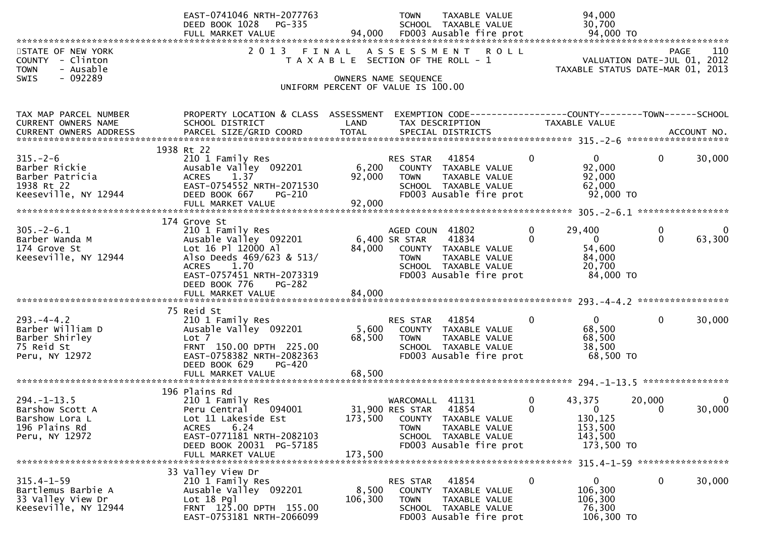|                                                                                           | EAST-0741046 NRTH-2077763<br>DEED BOOK 1028<br>PG-335                                                                                                                                    |                           | <b>TOWN</b><br>TAXABLE VALUE<br>SCHOOL TAXABLE VALUE                                                                                                      |                            | 94,000<br>30,700                                                                        |                         |
|-------------------------------------------------------------------------------------------|------------------------------------------------------------------------------------------------------------------------------------------------------------------------------------------|---------------------------|-----------------------------------------------------------------------------------------------------------------------------------------------------------|----------------------------|-----------------------------------------------------------------------------------------|-------------------------|
| STATE OF NEW YORK<br>COUNTY - Clinton<br>- Ausable<br><b>TOWN</b><br>$-092289$<br>SWIS    | 2 0 1 3                                                                                                                                                                                  | FINAL                     | ASSESSMENT ROLL<br>T A X A B L E SECTION OF THE ROLL - 1<br>OWNERS NAME SEQUENCE<br>UNIFORM PERCENT OF VALUE IS 100.00                                    |                            | VALUATION DATE-JUL 01, 2012<br>TAXABLE STATUS DATE-MAR 01, 2013                         | 110<br>PAGE             |
| TAX MAP PARCEL NUMBER<br>CURRENT OWNERS NAME                                              | PROPERTY LOCATION & CLASS ASSESSMENT<br>SCHOOL DISTRICT                                                                                                                                  | LAND                      | EXEMPTION CODE-----------------COUNTY-------TOWN------SCHOOL<br>TAX DESCRIPTION                                                                           |                            | TAXABLE VALUE                                                                           |                         |
|                                                                                           |                                                                                                                                                                                          |                           |                                                                                                                                                           |                            |                                                                                         |                         |
| $315. - 2 - 6$<br>Barber Rickie<br>Barber Patricia<br>1938 Rt 22<br>Keeseville, NY 12944  | 1938 Rt 22<br>210 1 Family Res<br>Ausable Valley 092201<br>1.37<br><b>ACRES</b><br>EAST-0754552 NRTH-2071530<br>DEED BOOK 667<br>$PG-210$<br>FULL MARKET VALUE                           | 6,200<br>92,000<br>92,000 | RES STAR<br>41854<br>COUNTY TAXABLE VALUE<br>TAXABLE VALUE<br><b>TOWN</b><br>SCHOOL TAXABLE VALUE<br>FD003 Ausable fire prot                              | $\mathbf{0}$               | $\mathbf{0}$<br>92,000<br>92,000<br>62,000<br>92,000 TO                                 | $\mathbf{0}$<br>30,000  |
|                                                                                           | 174 Grove St                                                                                                                                                                             |                           |                                                                                                                                                           |                            |                                                                                         |                         |
| $305. - 2 - 6.1$<br>Barber Wanda M<br>174 Grove St<br>Keeseville, NY 12944                | 210 1 Family Res<br>Ausable Valley 092201<br>Lot 16 Pl 12000 Al<br>Also Deeds 469/623 & 513/<br>ACRES 1.70<br>EAST-0757451 NRTH-2073319<br>DEED BOOK 776<br>PG-282<br>FULL MARKET VALUE  | 84,000<br>84,000          | AGED COUN 41802<br>41834<br>6,400 SR STAR<br>COUNTY TAXABLE VALUE<br>TAXABLE VALUE<br><b>TOWN</b><br>SCHOOL TAXABLE VALUE<br>FD003 Ausable fire prot      | $\mathbf 0$<br>$\mathbf 0$ | $\mathbf 0$<br>29,400<br>$\overline{0}$<br>54,600<br>84,000<br>20,700<br>84,000 TO      | 0<br>$\Omega$<br>63,300 |
|                                                                                           | 75 Reid St                                                                                                                                                                               |                           |                                                                                                                                                           |                            |                                                                                         |                         |
| $293. -4 - 4.2$<br>Barber William D<br>Barber Shirley<br>75 Reid St<br>Peru, NY 12972     | 210 1 Family Res<br>Ausable Valley 092201<br>Lot 7<br>FRNT 150.00 DPTH 225.00<br>EAST-0758382 NRTH-2082363<br>DEED BOOK 629<br>PG-420                                                    | 5,600<br>68,500           | 41854<br>RES STAR<br>COUNTY TAXABLE VALUE<br>TAXABLE VALUE<br><b>TOWN</b><br>SCHOOL TAXABLE VALUE<br>FD003 Ausable fire prot                              | $\mathbf{0}$               | $\mathbf{0}$<br>68,500<br>68,500<br>38,500<br>68,500 TO                                 | $\mathbf{0}$<br>30,000  |
|                                                                                           | FULL MARKET VALUE                                                                                                                                                                        | 68,500                    |                                                                                                                                                           |                            |                                                                                         |                         |
| $294. - 1 - 13.5$<br>Barshow Scott A<br>Barshow Lora L<br>196 Plains Rd<br>Peru, NY 12972 | 196 Plains Rd<br>210 1 Family Res<br>094001<br>Peru Central<br>Lot 11 Lakeside Est<br>6.24<br><b>ACRES</b><br>EAST-0771181 NRTH-2082103<br>DEED BOOK 20031 PG-57185<br>FULL MARKET VALUE | 173,500<br>173,500        | WARCOMALL<br>41131<br>31,900 RES STAR<br>41854<br>COUNTY TAXABLE VALUE<br>TAXABLE VALUE<br><b>TOWN</b><br>SCHOOL TAXABLE VALUE<br>FD003 Ausable fire prot | 0<br>$\Omega$              | 43,375<br>20,000<br>$\Omega$<br>$\Omega$<br>130,125<br>153,500<br>143,500<br>173,500 TO | 0<br>30,000             |
|                                                                                           |                                                                                                                                                                                          |                           |                                                                                                                                                           |                            |                                                                                         |                         |
| $315.4 - 1 - 59$<br>Bartlemus Barbie A<br>33 Valley View Dr<br>Keeseville, NY 12944       | 33 Valley View Dr<br>210 1 Family Res<br>Ausable Valley 092201<br>$Lot 18$ Pgl<br>FRNT 125.00 DPTH 155.00<br>EAST-0753181 NRTH-2066099                                                   | 8,500<br>106,300          | 41854<br>RES STAR<br>COUNTY<br>TAXABLE VALUE<br>TAXABLE VALUE<br><b>TOWN</b><br>SCHOOL TAXABLE VALUE<br>FD003 Ausable fire prot                           | 0                          | 0<br>106,300<br>106,300<br>76,300<br>106,300 TO                                         | 30,000<br>0             |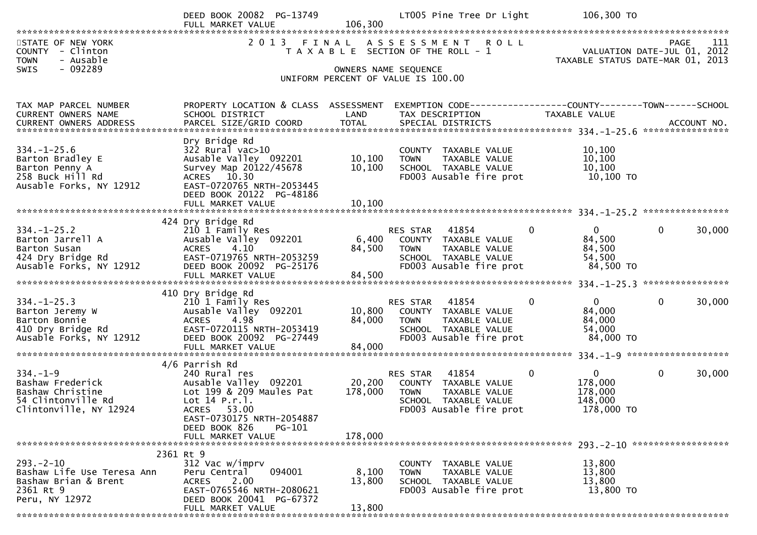|                                                      | DEED BOOK 20082 PG-13749<br>FULL MARKET VALUE         |                      | LT005 Pine Tree Dr Light                                      | 106,300 TO                  |                                                                 |
|------------------------------------------------------|-------------------------------------------------------|----------------------|---------------------------------------------------------------|-----------------------------|-----------------------------------------------------------------|
| STATE OF NEW YORK                                    | 2 0 1 3                                               | 106,300              | FINAL ASSESSMENT<br><b>ROLL</b>                               |                             | PAGE<br>111                                                     |
| COUNTY - Clinton<br>- Ausable<br><b>TOWN</b>         |                                                       |                      | T A X A B L E SECTION OF THE ROLL - 1                         |                             | VALUATION DATE-JUL 01, 2012<br>TAXABLE STATUS DATE-MAR 01, 2013 |
| $-092289$<br><b>SWIS</b>                             |                                                       |                      | OWNERS NAME SEQUENCE                                          |                             |                                                                 |
|                                                      |                                                       |                      | UNIFORM PERCENT OF VALUE IS 100.00                            |                             |                                                                 |
| TAX MAP PARCEL NUMBER                                | PROPERTY LOCATION & CLASS ASSESSMENT                  |                      | EXEMPTION CODE-----------------COUNTY--------TOWN------SCHOOL |                             |                                                                 |
| CURRENT OWNERS NAME<br><b>CURRENT OWNERS ADDRESS</b> | SCHOOL DISTRICT<br>PARCEL SIZE/GRID COORD             | LAND<br><b>TOTAL</b> | TAX DESCRIPTION<br>SPECIAL DISTRICTS                          | TAXABLE VALUE               | ACCOUNT NO.                                                     |
|                                                      | Dry Bridge Rd                                         |                      |                                                               |                             |                                                                 |
| $334. - 1 - 25.6$<br>Barton Bradley E                | $322$ Rural vac $>10$<br>Ausable Valley 092201        | 10, 100              | COUNTY TAXABLE VALUE<br>TAXABLE VALUE<br><b>TOWN</b>          | 10,100<br>10, 100           |                                                                 |
| Barton Penny A<br>258 Buck Hill Rd                   | Survey Map 20122/45678<br>ACRES 10.30                 | 10,100               | SCHOOL TAXABLE VALUE<br>FD003 Ausable fire prot               | 10,100<br>10,100 TO         |                                                                 |
| Ausable Forks, NY 12912                              | EAST-0720765 NRTH-2053445                             |                      |                                                               |                             |                                                                 |
|                                                      | DEED BOOK 20122 PG-48186<br>FULL MARKET VALUE         | 10,100               |                                                               |                             |                                                                 |
|                                                      | 424 Dry Bridge Rd                                     |                      |                                                               |                             |                                                                 |
| $334. - 1 - 25.2$<br>Barton Jarrell A                | 210 1 Family Res<br>Ausable Valley 092201             | 6,400                | 41854<br>RES STAR<br>COUNTY TAXABLE VALUE                     | 0<br>0<br>84,500            | 30,000<br>$\mathbf{0}$                                          |
| Barton Susan<br>424 Dry Bridge Rd                    | 4.10<br><b>ACRES</b><br>EAST-0719765 NRTH-2053259     | 84,500               | <b>TOWN</b><br>TAXABLE VALUE<br>SCHOOL TAXABLE VALUE          | 84,500<br>54,500            |                                                                 |
| Ausable Forks, NY 12912                              | DEED BOOK 20092 PG-25176                              |                      | FD003 Ausable fire prot                                       | 84,500 TO                   |                                                                 |
|                                                      |                                                       |                      |                                                               |                             |                                                                 |
| $334. - 1 - 25.3$                                    | 410 Dry Bridge Rd<br>210 1 Family Res                 |                      | RES STAR<br>41854                                             | $\overline{0}$<br>0         | $\mathbf{0}$<br>30,000                                          |
| Barton Jeremy W<br>Barton Bonnie                     | Ausable Valley 092201<br>4.98<br><b>ACRES</b>         | 10,800<br>84,000     | COUNTY TAXABLE VALUE<br>TAXABLE VALUE<br><b>TOWN</b>          | 84,000<br>84,000            |                                                                 |
| 410 Dry Bridge Rd<br>Ausable Forks, NY 12912         | EAST-0720115 NRTH-2053419<br>DEED BOOK 20092 PG-27449 |                      | SCHOOL TAXABLE VALUE<br>FD003 Ausable fire prot               | 54,000<br>84,000 TO         |                                                                 |
|                                                      | FULL MARKET VALUE                                     | 84,000               |                                                               |                             |                                                                 |
| $334. - 1 - 9$                                       | 4/6 Parrish Rd<br>240 Rural res                       |                      | 41854<br>RES STAR                                             | $\mathbf{0}$<br>$\mathbf 0$ | $\mathbf 0$<br>30,000                                           |
| Bashaw Frederick                                     | Ausable Valley 092201                                 | 20,200               | COUNTY TAXABLE VALUE                                          | 178,000                     |                                                                 |
| Bashaw Christine<br>54 Clintonville Rd               | Lot 199 & 209 Maules Pat<br>Lot 14 P.r.1.             | 178,000              | <b>TOWN</b><br>TAXABLE VALUE<br>SCHOOL TAXABLE VALUE          | 178,000<br>148,000          |                                                                 |
| Clintonville, NY 12924                               | ACRES 53.00<br>EAST-0730175 NRTH-2054887              |                      | FD003 Ausable fire prot                                       | 178,000 TO                  |                                                                 |
|                                                      | DEED BOOK 826<br>PG-101<br>FULL MARKET VALUE          | 178,000              |                                                               |                             |                                                                 |
|                                                      | 2361 Rt 9                                             |                      |                                                               |                             |                                                                 |
| $293 - 2 - 10$                                       | 312 Vac w/imprv<br>094001                             |                      | COUNTY TAXABLE VALUE                                          | 13,800                      |                                                                 |
| Bashaw Life Use Teresa Ann<br>Bashaw Brian & Brent   | Peru Central<br>2.00<br><b>ACRES</b>                  | 8,100<br>13,800      | <b>TOWN</b><br>TAXABLE VALUE<br>SCHOOL TAXABLE VALUE          | 13,800<br>13,800            |                                                                 |
| 2361 Rt 9<br>Peru, NY 12972                          | EAST-0765546 NRTH-2080621<br>DEED BOOK 20041 PG-67372 |                      | FD003 Ausable fire prot                                       | 13,800 TO                   |                                                                 |
|                                                      | FULL MARKET VALUE                                     | 13,800               |                                                               |                             |                                                                 |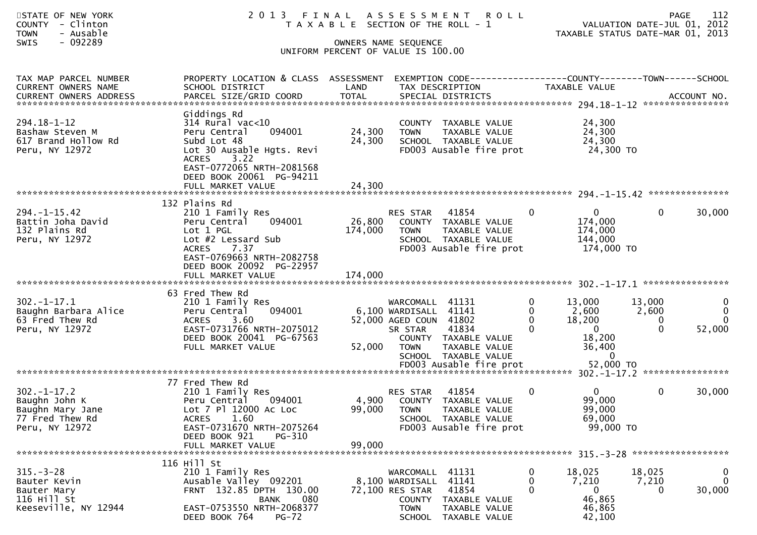| STATE OF NEW YORK<br><b>COUNTY</b><br>- Clinton<br>- Ausable<br><b>TOWN</b><br>- 092289<br><b>SWIS</b> |                                                                                                                                                                                                               |                            | 2013 FINAL ASSESSMENT<br>T A X A B L E SECTION OF THE ROLL - 1<br>OWNERS NAME SEQUENCE<br>UNIFORM PERCENT OF VALUE IS 100.00                                   | <b>ROLL</b>   | TAXABLE STATUS DATE-MAR 01, 2013                                                                                       | <b>PAGE</b><br>VALUATION DATE-JUL 01, 2012 | 112                          |
|--------------------------------------------------------------------------------------------------------|---------------------------------------------------------------------------------------------------------------------------------------------------------------------------------------------------------------|----------------------------|----------------------------------------------------------------------------------------------------------------------------------------------------------------|---------------|------------------------------------------------------------------------------------------------------------------------|--------------------------------------------|------------------------------|
| TAX MAP PARCEL NUMBER<br>CURRENT OWNERS NAME                                                           | PROPERTY LOCATION & CLASS ASSESSMENT<br>SCHOOL DISTRICT                                                                                                                                                       | LAND                       | TAX DESCRIPTION                                                                                                                                                |               | EXEMPTION CODE-----------------COUNTY--------TOWN------SCHOOL<br>TAXABLE VALUE                                         |                                            |                              |
| 294.18-1-12<br>Bashaw Steven M<br>617 Brand Hollow Rd<br>Peru, NY 12972                                | Giddings Rd<br>$314$ Rural vac<10<br>094001<br>Peru Central<br>Subd Lot 48<br>Lot 30 Ausable Hgts. Revi<br>3.22<br><b>ACRES</b><br>EAST-0772065 NRTH-2081568<br>DEED BOOK 20061 PG-94211<br>FULL MARKET VALUE | 24,300<br>24,300<br>24,300 | COUNTY TAXABLE VALUE<br><b>TOWN</b><br>SCHOOL TAXABLE VALUE<br>FD003 Ausable fire prot                                                                         | TAXABLE VALUE | 24,300<br>24,300<br>24,300<br>24,300 TO                                                                                |                                            |                              |
| $294. -1 - 15.42$<br>Battin Joha David<br>132 Plains Rd<br>Peru, NY 12972                              | 132 Plains Rd<br>210 1 Family Res<br>094001<br>Peru Central<br>Lot 1 PGL<br>Lot #2 Lessard Sub<br>7.37<br><b>ACRES</b><br>EAST-0769663 NRTH-2082758<br>DEED BOOK 20092 PG-22957                               | 26,800<br>174,000          | 41854<br>RES STAR<br>COUNTY TAXABLE VALUE<br><b>TOWN</b><br>SCHOOL TAXABLE VALUE<br>FD003 Ausable fire prot                                                    | TAXABLE VALUE | $\overline{0}$<br>0<br>174,000<br>174,000<br>144,000<br>174,000 TO                                                     | $\mathbf{0}$                               | 30,000                       |
| $302 - 1 - 17.1$<br>Baughn Barbara Alice<br>63 Fred Thew Rd<br>Peru, NY 12972                          | 63 Fred Thew Rd<br>210 1 Family Res<br>Peru Central<br>094001<br><b>ACRES</b><br>3.60<br>EAST-0731766 NRTH-2075012<br>DEED BOOK 20041 PG-67563<br>FULL MARKET VALUE                                           | 52,000                     | 41131<br>WARCOMALL<br>6,100 WARDISALL<br>41141<br>52,000 AGED COUN<br>41802<br>41834<br>SR STAR<br>COUNTY TAXABLE VALUE<br><b>TOWN</b><br>SCHOOL TAXABLE VALUE | TAXABLE VALUE | 0<br>13,000<br>2,600<br>0<br>18,200<br>$\Omega$<br>$\Omega$<br>$\overline{\mathbf{0}}$<br>18,200<br>36,400<br>$\Omega$ | 13,000<br>2,600<br>$\Omega$<br>$\Omega$    | 0<br>0<br>$\Omega$<br>52,000 |
| $302 - 1 - 17.2$<br>Baughn John K<br>Baughn Mary Jane<br>77 Fred Thew Rd<br>Peru, NY 12972             | 77 Fred Thew Rd<br>210 1 Family Res<br>094001<br>Peru Central<br>Lot 7 Pl 12000 Ac Loc<br>1.60<br><b>ACRES</b><br>EAST-0731670 NRTH-2075264<br>DEED BOOK 921<br>PG-310<br>FULL MARKET VALUE                   | 4,900<br>99,000            | 41854<br>RES STAR<br>COUNTY TAXABLE VALUE<br>99,000 TOWN TAXABLE VALUE<br>SCHOOL TAXABLE VALUE<br>FD003 Ausable fire prot                                      |               | $\mathbf{0}$<br>0<br>99,000<br>99,000<br>69,000<br>99,000 TO                                                           | 0                                          | 30,000                       |
| $315 - 3 - 28$<br>Bauter Kevin<br>Bauter Mary<br>116 Hill St<br>Keeseville, NY 12944                   | 116 Hill St<br>210 1 Family Res<br>Ausable Valley 092201<br>FRNT 132.85 DPTH 130.00<br>080<br><b>BANK</b><br>EAST-0753550 NRTH-2068377<br>DEED BOOK 764<br>$PG-72$                                            |                            | WARCOMALL<br>41131<br>41141<br>8,100 WARDISALL<br>72,100 RES STAR<br>41854<br>COUNTY TAXABLE VALUE<br><b>TOWN</b><br>SCHOOL TAXABLE VALUE                      | TAXABLE VALUE | 18,025<br>0<br>0<br>7,210<br>$\mathbf 0$<br>$\bf{0}$<br>46,865<br>46,865<br>42,100                                     | 18,025<br>7,210<br>0                       | 0<br>$\mathbf 0$<br>30,000   |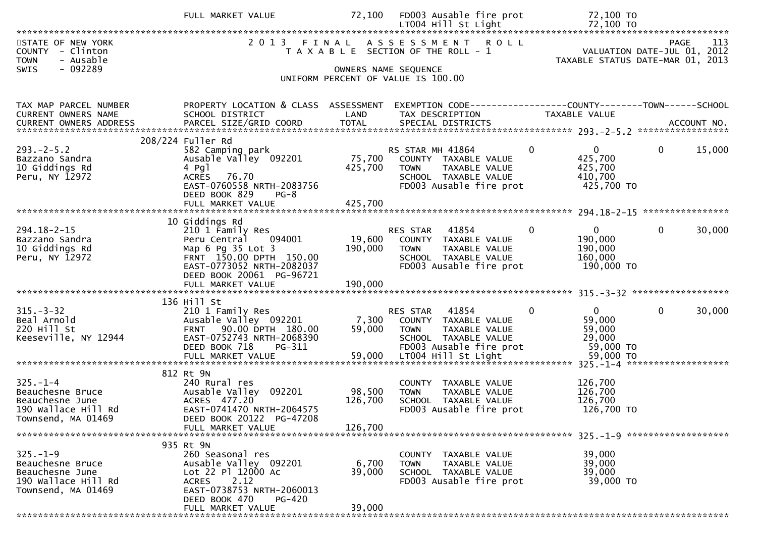|                                                                   | FULL MARKET VALUE                                    | 72,100  | FD003 Ausable fire prot                                             | 72,100 TO                    |                                                                                       |
|-------------------------------------------------------------------|------------------------------------------------------|---------|---------------------------------------------------------------------|------------------------------|---------------------------------------------------------------------------------------|
|                                                                   |                                                      |         |                                                                     |                              |                                                                                       |
| STATE OF NEW YORK<br>COUNTY - Clinton<br><b>TOWN</b><br>- Ausable |                                                      |         | 2013 FINAL ASSESSMENT ROLL<br>T A X A B L E SECTION OF THE ROLL - 1 |                              | 113<br><b>PAGE</b><br>VALUATION DATE-JUL 01, 2012<br>TAXABLE STATUS DATE-MAR 01, 2013 |
| - 092289<br><b>SWIS</b>                                           |                                                      |         | OWNERS NAME SEQUENCE                                                |                              |                                                                                       |
|                                                                   |                                                      |         | UNIFORM PERCENT OF VALUE IS 100.00                                  |                              |                                                                                       |
|                                                                   |                                                      |         |                                                                     |                              |                                                                                       |
| TAX MAP PARCEL NUMBER                                             | PROPERTY LOCATION & CLASS ASSESSMENT                 |         | EXEMPTION CODE------------------COUNTY--------TOWN------SCHOOL      |                              |                                                                                       |
| CURRENT OWNERS NAME                                               | SCHOOL DISTRICT                                      | LAND    | TAX DESCRIPTION                                                     | TAXABLE VALUE                |                                                                                       |
|                                                                   |                                                      |         |                                                                     |                              |                                                                                       |
|                                                                   |                                                      |         |                                                                     |                              |                                                                                       |
|                                                                   | 208/224 Fuller Rd                                    |         |                                                                     |                              |                                                                                       |
| $293. -2 - 5.2$                                                   | 582 Camping park                                     |         | RS STAR MH 41864                                                    | $\mathbf{0}$<br>$\Omega$     | $\mathbf 0$<br>15,000                                                                 |
| Bazzano Sandra                                                    | Ausable Valley 092201                                | 75,700  | COUNTY TAXABLE VALUE                                                | 425,700                      |                                                                                       |
| 10 Giddings Rd                                                    | 4 Pgl                                                | 425,700 | TAXABLE VALUE<br>TOWN                                               | 425,700                      |                                                                                       |
| Peru, NY 12972                                                    | <b>ACRES</b><br>76.70                                |         | SCHOOL TAXABLE VALUE                                                | 410,700                      |                                                                                       |
|                                                                   | EAST-0760558 NRTH-2083756                            |         | FD003 Ausable fire prot                                             | 425,700 TO                   |                                                                                       |
|                                                                   | DEED BOOK 829<br>$PG-8$                              |         |                                                                     |                              |                                                                                       |
|                                                                   |                                                      |         |                                                                     |                              |                                                                                       |
|                                                                   | 10 Giddings Rd                                       |         |                                                                     |                              |                                                                                       |
| $294.18 - 2 - 15$                                                 | 210 1 Family Res                                     |         | RES STAR 41854                                                      | $\mathbf{0}$<br>$\mathbf{0}$ | $\mathbf 0$<br>30,000                                                                 |
| Bazzano Sandra                                                    | Peru Central<br>094001                               |         | 19,600 COUNTY TAXABLE VALUE                                         | 190,000                      |                                                                                       |
| 10 Giddings Rd                                                    | Map 6 Pg 35 Lot 3                                    | 190,000 | <b>TOWN</b><br>TAXABLE VALUE                                        | 190,000                      |                                                                                       |
| Peru, NY 12972                                                    | FRNT 150.00 DPTH 150.00                              |         | SCHOOL TAXABLE VALUE                                                | 160,000                      |                                                                                       |
|                                                                   | EAST-0773052 NRTH-2082037                            |         | FD003 Ausable fire prot                                             | 190,000 TO                   |                                                                                       |
|                                                                   | DEED BOOK 20061 PG-96721                             |         |                                                                     |                              |                                                                                       |
|                                                                   |                                                      |         |                                                                     |                              |                                                                                       |
|                                                                   |                                                      |         |                                                                     |                              |                                                                                       |
|                                                                   | 136 Hill St                                          |         |                                                                     |                              |                                                                                       |
| $315 - 3 - 32$                                                    | 210 1 Family Res                                     |         | 41854<br>RES STAR                                                   | $\mathbf{0}$<br>$\Omega$     | $\mathbf 0$<br>30,000                                                                 |
| Beal Arnold                                                       | Ausable Valley 092201                                | 7,300   | COUNTY TAXABLE VALUE                                                | 59,000                       |                                                                                       |
| 220 Hill St                                                       | FRNT 90.00 DPTH 180.00                               | 59,000  | <b>TOWN</b><br>TAXABLE VALUE                                        | 59,000                       |                                                                                       |
| Keeseville, NY 12944                                              | EAST-0752743 NRTH-2068390<br>DEED BOOK 718<br>PG-311 |         | SCHOOL TAXABLE VALUE                                                | 29,000<br>59,000 TO          |                                                                                       |
|                                                                   |                                                      | 59,000  | FD003 Ausable fire prot<br>LT004 Hill St Light                      | 59,000 TO                    |                                                                                       |
|                                                                   | FULL MARKET VALUE                                    |         |                                                                     |                              |                                                                                       |
|                                                                   | 812 Rt 9N                                            |         |                                                                     |                              |                                                                                       |
| $325. - 1 - 4$                                                    | 240 Rural res                                        |         | COUNTY TAXABLE VALUE                                                | 126,700                      |                                                                                       |
| Beauchesne Bruce                                                  | Ausable Valley 092201                                | 98,500  | TAXABLE VALUE<br><b>TOWN</b>                                        | 126,700                      |                                                                                       |
| Beauchesne June                                                   | ACRES 477.20                                         | 126,700 | SCHOOL TAXABLE VALUE                                                | 126,700                      |                                                                                       |
| 190 Wallace Hill Rd                                               | EAST-0741470 NRTH-2064575                            |         | FD003 Ausable fire prot                                             | 126,700 TO                   |                                                                                       |
| Townsend, MA 01469                                                | DEED BOOK 20122 PG-47208                             |         |                                                                     |                              |                                                                                       |
|                                                                   | FULL MARKET VALUE                                    | 126,700 |                                                                     |                              |                                                                                       |
|                                                                   |                                                      |         |                                                                     |                              |                                                                                       |
|                                                                   | 935 Rt 9N                                            |         |                                                                     |                              |                                                                                       |
| $325. - 1 - 9$                                                    | 260 Seasonal res                                     |         | COUNTY TAXABLE VALUE                                                | 39,000                       |                                                                                       |
| Beauchesne Bruce                                                  | Ausable Valley 092201                                | 6,700   | TAXABLE VALUE<br><b>TOWN</b>                                        | 39,000                       |                                                                                       |
| Beauchesne June                                                   | Lot 22 Pl 12000 Ac                                   | 39,000  | SCHOOL TAXABLE VALUE                                                | 39,000                       |                                                                                       |
| 190 Wallace Hill Rd                                               | 2.12<br><b>ACRES</b>                                 |         | FD003 Ausable fire prot                                             | 39,000 TO                    |                                                                                       |
| Townsend, MA 01469                                                | EAST-0738753 NRTH-2060013                            |         |                                                                     |                              |                                                                                       |
|                                                                   | DEED BOOK 470<br><b>PG-420</b>                       | 39,000  |                                                                     |                              |                                                                                       |
|                                                                   | FULL MARKET VALUE                                    |         |                                                                     |                              |                                                                                       |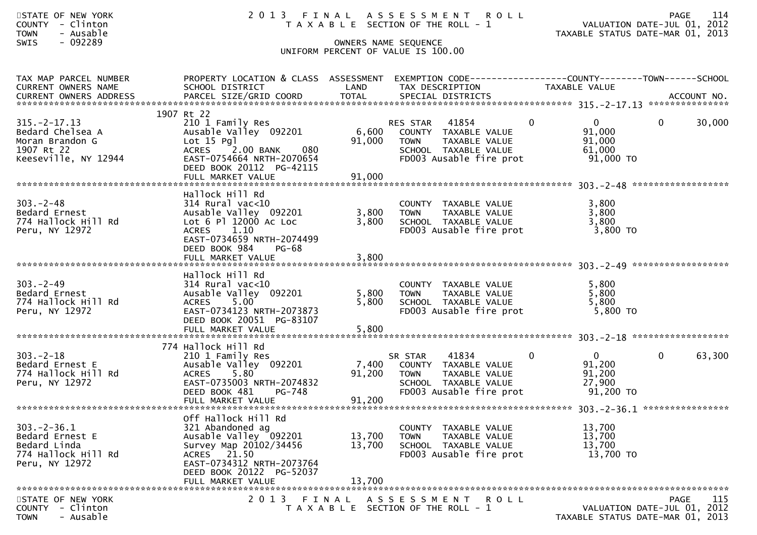| STATE OF NEW YORK<br>COUNTY - Clinton<br>- Ausable<br><b>TOWN</b><br>$-092289$<br><b>SWIS</b>  |                                                                                                                                                                                     |                           | 2013 FINAL ASSESSMENT ROLL<br>T A X A B L E SECTION OF THE ROLL - 1<br>OWNERS NAME SEQUENCE<br>UNIFORM PERCENT OF VALUE IS 100.00                 | VALUATION DATE-JUL 01, 2012<br>TAXABLE STATUS DATE-MAR 01, 2013 | PAGE         | 114    |
|------------------------------------------------------------------------------------------------|-------------------------------------------------------------------------------------------------------------------------------------------------------------------------------------|---------------------------|---------------------------------------------------------------------------------------------------------------------------------------------------|-----------------------------------------------------------------|--------------|--------|
| TAX MAP PARCEL NUMBER<br>CURRENT OWNERS NAME<br>CURRENT OWNERS ADDRESS                         | SCHOOL DISTRICT                                                                                                                                                                     | LAND                      | PROPERTY LOCATION & CLASS ASSESSMENT EXEMPTION CODE----------------COUNTY-------TOWN------SCHOOL<br>TAX DESCRIPTION                               | TAXABLE VALUE                                                   |              |        |
| $315. -2 - 17.13$<br>Bedard Chelsea A<br>Moran Brandon G<br>1907 Rt 22<br>Keeseville, NY 12944 | 1907 Rt 22<br>210 1 Family Res<br>Ausable Valley 092201<br>Lot $15$ Pgl<br>ACRES 2.00 BANK<br>080<br>EAST-0754664 NRTH-2070654<br>DEED BOOK 20112 PG-42115                          | 91,000                    | $\mathbf 0$<br>RES STAR<br>41854<br>6,600 COUNTY TAXABLE VALUE<br>TAXABLE VALUE<br><b>TOWN</b><br>SCHOOL TAXABLE VALUE<br>FD003 Ausable fire prot | $\mathbf{0}$<br>91,000<br>91,000<br>61,000<br>$91,000$ TO       | $\mathbf{0}$ | 30,000 |
| $303 - 2 - 48$<br>Bedard Ernest<br>774 Hallock Hill Rd<br>Peru, NY 12972                       | Hallock Hill Rd<br>$314$ Rural vac<10<br>Ausable Valley 092201<br>Lot 6 Pl 12000 Ac Loc<br>ACRES 1.10<br>EAST-0734659 NRTH-2074499<br>DEED BOOK 984<br>$PG-68$<br>FULL MARKET VALUE | 3,800<br>3,800<br>3,800   | COUNTY TAXABLE VALUE<br><b>TOWN</b><br>TAXABLE VALUE<br>SCHOOL TAXABLE VALUE<br>FD003 Ausable fire prot                                           | 3,800<br>3,800<br>3,800<br>3,800 TO                             |              |        |
| $303 - 2 - 49$<br>Bedard Ernest<br>774 Hallock Hill Rd<br>Peru, NY 12972                       | Hallock Hill Rd<br>$314$ Rural vac<10<br>Ausable Valley 092201<br>ACRES 5.00<br>EAST-0734123 NRTH-2073873<br>DEED BOOK 20051 PG-83107                                               | 5,800<br>5,800            | COUNTY TAXABLE VALUE<br>TAXABLE VALUE<br>TOWN<br>SCHOOL TAXABLE VALUE<br>FD003 Ausable fire prot                                                  | 5,800<br>5,800<br>5,800<br>5,800 TO                             |              |        |
| $303 - 2 - 18$<br>Bedard Ernest E<br>774 Hallock Hill Rd<br>Peru, NY 12972                     | 774 Hallock Hill Rd<br>210 1 Family Res<br>Ausable Valley 092201<br>5.80<br><b>ACRES</b><br>EAST-0735003 NRTH-2074832<br>DEED BOOK 481 PG-748<br>FULL MARKET VALUE                  | 7,400<br>91,200<br>91,200 | 41834<br>$\mathbf{0}$<br>SR STAR<br>COUNTY TAXABLE VALUE<br>TAXABLE VALUE<br><b>TOWN</b><br>SCHOOL TAXABLE VALUE<br>FD003 Ausable fire prot       | $\overline{0}$<br>91,200<br>91,200<br>27,900<br>91,200 TO       | $\mathbf{0}$ | 63,300 |
| $303 - 2 - 36.1$<br>Bedard Ernest E<br>Bedard Linda<br>774 Hallock Hill Rd<br>Peru, NY 12972   | Off Hallock Hill Rd<br>321 Abandoned ag<br>Ausable Valley 092201<br>Survey Map 20102/34456<br>ACRES 21.50<br>EAST-0734312 NRTH-2073764<br>DEED BOOK 20122 PG-52037                  | 13,700<br>13,700          | COUNTY TAXABLE VALUE<br>TAXABLE VALUE<br><b>TOWN</b><br>SCHOOL TAXABLE VALUE<br>FD003 Ausable fire prot                                           | 13,700<br>13,700<br>13,700<br>13,700 TO                         |              |        |

 DEED BOOK 20122 PG-52037 FULL MARKET VALUE 13,700 \*\*\*\*\*\*\*\*\*\*\*\*\*\*\*\*\*\*\*\*\*\*\*\*\*\*\*\*\*\*\*\*\*\*\*\*\*\*\*\*\*\*\*\*\*\*\*\*\*\*\*\*\*\*\*\*\*\*\*\*\*\*\*\*\*\*\*\*\*\*\*\*\*\*\*\*\*\*\*\*\*\*\*\*\*\*\*\*\*\*\*\*\*\*\*\*\*\*\*\*\*\*\*\*\*\*\*\*\*\*\*\*\*\*\*\*\*\*\*\*\*\*\*\*\*\*\*\*\*\*\*\*115 STATE OF NEW YORK 2 0 1 3 F I N A L A S S E S S M E N T R O L L PAGE <sup>115</sup>COUNTY - Clinton T A X A B L E SECTION OF THE ROLL - 1 VALUATION DATE-JUL 01, 2012 TOWN - Ausable TAXABLE STATUS DATE-MAR 01, 2013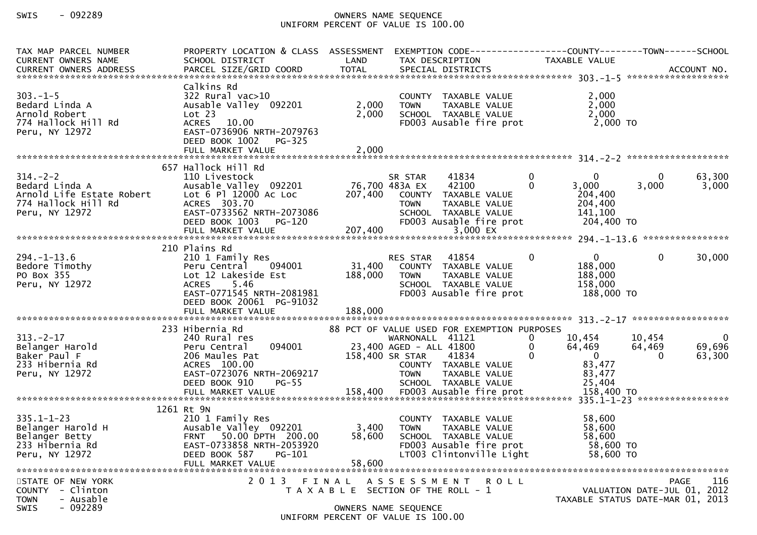## SWIS - 092289 OWNERS NAME SEQUENCE UNIFORM PERCENT OF VALUE IS 100.00

| TAX MAP PARCEL NUMBER<br><b>CURRENT OWNERS NAME</b><br><b>CURRENT OWNERS ADDRESS</b>                   | PROPERTY LOCATION & CLASS ASSESSMENT<br>SCHOOL DISTRICT                                                                                                               | LAND                      | EXEMPTION CODE------------------COUNTY--------TOWN------SCHOOL<br>TAX DESCRIPTION                                                                                                                     |                                          | TAXABLE VALUE                                                              |                              |                                                   |
|--------------------------------------------------------------------------------------------------------|-----------------------------------------------------------------------------------------------------------------------------------------------------------------------|---------------------------|-------------------------------------------------------------------------------------------------------------------------------------------------------------------------------------------------------|------------------------------------------|----------------------------------------------------------------------------|------------------------------|---------------------------------------------------|
| $303. -1 - 5$<br>Bedard Linda A<br>Arnold Robert<br>774 Hallock Hill Rd<br>Peru, NY 12972              | Calkins Rd<br>$322$ Rural vac $>10$<br>Ausable Valley 092201<br>Lot 23<br>ACRES 10.00<br>EAST-0736906 NRTH-2079763<br>DEED BOOK 1002 PG-325<br>FULL MARKET VALUE      | 2,000<br>2,000<br>2,000   | COUNTY TAXABLE VALUE<br>TAXABLE VALUE<br><b>TOWN</b><br>SCHOOL TAXABLE VALUE<br>FD003 Ausable fire prot                                                                                               |                                          | 2,000<br>2,000<br>2,000<br>2,000 TO                                        |                              |                                                   |
|                                                                                                        | 657 Hallock Hill Rd                                                                                                                                                   |                           |                                                                                                                                                                                                       |                                          |                                                                            |                              |                                                   |
| $314. - 2 - 2$<br>Bedard Linda A<br>Arnold Life Estate Robert<br>774 Hallock Hill Rd<br>Peru, NY 12972 | 110 Livestock<br>Ausable Valley 092201<br>Lot 6 Pl 12000 Ac Loc<br>ACRES 303.70<br>EAST-0733562 NRTH-2073086<br>DEED BOOK 1003 PG-120                                 | 76,700 483A EX            | SR STAR<br>41834<br>42100<br>207,400 COUNTY TAXABLE VALUE<br>TAXABLE VALUE<br>TOWN<br>SCHOOL TAXABLE VALUE<br>FD003 Ausable fire prot                                                                 | $\overline{0}$<br>$\Omega$               | $\Omega$<br>3,000<br>204,400<br>204,400<br>141,100<br>204,400 TO           | 0<br>3,000                   | 63,300<br>3,000                                   |
|                                                                                                        | 210 Plains Rd                                                                                                                                                         |                           |                                                                                                                                                                                                       |                                          |                                                                            |                              |                                                   |
| $294. - 1 - 13.6$<br>Bedore Timothy<br>PO Box 355<br>Peru, NY 12972                                    | 210 1 Family Res<br>Peru Central 094001<br>Lot 12 Lakeside Est<br>ACRES 5.46<br>EAST-0771545 NRTH-2081981<br>DEED BOOK 20061 PG-91032                                 | 31,400<br>188,000         | RES STAR 41854<br>COUNTY TAXABLE VALUE<br><b>TOWN</b><br>TAXABLE VALUE<br>SCHOOL TAXABLE VALUE<br>FD003 Ausable fire prot                                                                             | $\overline{0}$                           | $\overline{0}$<br>188,000<br>188,000<br>158,000<br>188,000 TO              | $\mathbf{0}$                 | 30,000                                            |
|                                                                                                        |                                                                                                                                                                       |                           |                                                                                                                                                                                                       |                                          |                                                                            |                              |                                                   |
| $313 - 2 - 17$<br>Belanger Harold<br>Baker Paul F<br>233 Hibernia Rd<br>Peru, NY 12972                 | 233 Hibernia Rd<br>240 Rural res<br>094001<br>Peru Central<br>206 Maules Pat<br>ACRES 100.00<br>EAST-0723076 NRTH-2069217<br>DEED BOOK 910<br>$PG-55$                 |                           | 88 PCT OF VALUE USED FOR EXEMPTION PURPOSES<br>WARNONALL 41121<br>23,400 AGED - ALL 41800<br>158,400 SR STAR<br>41834<br>COUNTY TAXABLE VALUE<br><b>TOWN</b><br>TAXABLE VALUE<br>SCHOOL TAXABLE VALUE | $\mathbf{0}$<br>$\mathbf{0}$<br>$\Omega$ | 10,454<br>64,469<br>$\overline{\phantom{0}}$<br>83,477<br>83,477<br>25,404 | 10,454<br>64,469<br>$\Omega$ | 0<br>69,696<br>63,300                             |
|                                                                                                        |                                                                                                                                                                       |                           |                                                                                                                                                                                                       |                                          |                                                                            |                              |                                                   |
| $335.1 - 1 - 23$<br>Belanger Harold H<br>Belanger Betty<br>233 Hibernia Rd<br>Peru, NY 12972           | 1261 Rt 9N<br>210 1 Family Res<br>Ausable Valley 092201<br>FRNT 50.00 DPTH 200.00<br>EAST-0733858 NRTH-2053920<br><b>PG-101</b><br>DEED BOOK 587<br>FULL MARKET VALUE | 3,400<br>58,600<br>58,600 | COUNTY TAXABLE VALUE<br>TAXABLE VALUE<br><b>TOWN</b><br>SCHOOL TAXABLE VALUE<br>FD003 Ausable fire prot<br>LT003 Clintonville Light                                                                   |                                          | 58,600<br>58,600<br>58,600<br>58,600 TO<br>58,600 TO                       |                              |                                                   |
| STATE OF NEW YORK<br><b>COUNTY</b><br>- Clinton<br><b>TOWN</b><br>- Ausable<br>$-092289$<br>SWIS       | 2013 FINAL                                                                                                                                                            |                           | A S S E S S M E N T R O L L<br>T A X A B L E SECTION OF THE ROLL - 1<br>OWNERS NAME SEQUENCE<br>UNIFORM PERCENT OF VALUE IS 100.00                                                                    |                                          | TAXABLE STATUS DATE-MAR 01, 2013                                           |                              | <b>PAGE</b><br>116<br>VALUATION DATE-JUL 01, 2012 |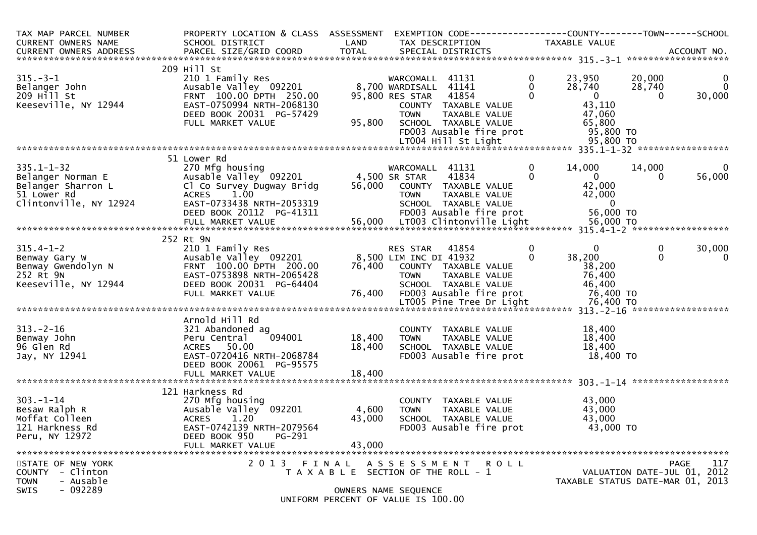| TAX MAP PARCEL NUMBER<br>CURRENT OWNERS NAME                                                         | PROPERTY LOCATION & CLASS ASSESSMENT<br>SCHOOL DISTRICT                                                                                                   | LAND                                           | TAX DESCRIPTION                                                      |                                                                                                                               |                                  | EXEMPTION CODE-----------------COUNTY-------TOWN------SCHOOL<br>TAXABLE VALUE |                         |                                            |
|------------------------------------------------------------------------------------------------------|-----------------------------------------------------------------------------------------------------------------------------------------------------------|------------------------------------------------|----------------------------------------------------------------------|-------------------------------------------------------------------------------------------------------------------------------|----------------------------------|-------------------------------------------------------------------------------|-------------------------|--------------------------------------------|
|                                                                                                      |                                                                                                                                                           |                                                |                                                                      |                                                                                                                               |                                  |                                                                               |                         |                                            |
|                                                                                                      | 209 Hill St                                                                                                                                               |                                                |                                                                      |                                                                                                                               |                                  |                                                                               |                         |                                            |
| $315. - 3 - 1$<br>Belanger John<br>$209$ $H$ <sup>11</sup> St<br>Keeseville, NY 12944                | 210 1 Family Res<br>Ausable Valley 092201<br>FRNT 100.00 DPTH 250.00<br>EAST-0750994 NRTH-2068130<br>DEED BOOK 20031 PG-57429<br>FULL MARKET VALUE        | 95,800                                         | WARCOMALL<br>8,700 WARDISALL 41141<br>95,800 RES STAR<br><b>TOWN</b> | 41131<br>41854<br>COUNTY TAXABLE VALUE<br>TAXABLE VALUE<br>SCHOOL TAXABLE VALUE                                               | $\mathbf 0$<br>$\mathbf{0}$<br>0 | 23,950<br>28,740<br>$\overline{0}$<br>43,110<br>47,060<br>65,800              | 20,000<br>28,740<br>0   | $\mathbf 0$<br>$\mathbf 0$<br>30,000       |
|                                                                                                      |                                                                                                                                                           |                                                |                                                                      | FD003 Ausable fire prot                                                                                                       |                                  | 95,800 TO                                                                     |                         |                                            |
|                                                                                                      |                                                                                                                                                           |                                                |                                                                      | LT004 Hill St Light                                                                                                           |                                  | 95,800 TO                                                                     |                         |                                            |
|                                                                                                      |                                                                                                                                                           |                                                |                                                                      |                                                                                                                               |                                  |                                                                               |                         |                                            |
| $335.1 - 1 - 32$<br>Belanger Norman E<br>Belanger Sharron L<br>51 Lower Rd<br>Clintonville, NY 12924 | 51 Lower Rd<br>270 Mfg housing<br>Ausable Valley 092201<br>Cl Co Survey Dugway Bridg<br>1.00<br><b>ACRES</b><br>EAST-0733438 NRTH-2053319                 | 56,000                                         | WARCOMALL 41131<br>4,500 SR STAR<br><b>TOWN</b>                      | 41834<br>COUNTY TAXABLE VALUE<br>TAXABLE VALUE<br>SCHOOL TAXABLE VALUE                                                        | 0<br>$\Omega$                    | 14,000<br>$\overline{0}$<br>42,000<br>42,000<br>$\Omega$                      | 14,000<br>0             | $\mathbf 0$<br>56,000                      |
|                                                                                                      | DEED BOOK 20112 PG-41311                                                                                                                                  |                                                |                                                                      | FD003 Ausable fire prot                                                                                                       |                                  | 56,000 TO                                                                     |                         |                                            |
|                                                                                                      | FULL MARKET VALUE                                                                                                                                         | 56,000                                         |                                                                      | LT003 Clintonville Light                                                                                                      |                                  | 56,000 TO                                                                     |                         |                                            |
|                                                                                                      | 252 Rt 9N                                                                                                                                                 |                                                |                                                                      |                                                                                                                               |                                  |                                                                               |                         |                                            |
| $315.4 - 1 - 2$<br>Benway Gary W<br>Benway Gwendolyn N<br>252 Rt 9N<br>Keeseville, NY 12944          | 210 1 Family Res<br>Ausable Valley 092201<br>FRNT 100.00 DPTH 200.00<br>EAST-0753898 NRTH-2065428<br>DEED BOOK 20031 PG-64404<br>FULL MARKET VALUE        | 76,400<br>76,400                               | RES STAR<br>8,500 LIM INC DI 41932<br><b>TOWN</b>                    | 41854<br>COUNTY TAXABLE VALUE<br>TAXABLE VALUE<br>SCHOOL TAXABLE VALUE<br>FD003 Ausable fire prot<br>LT005 Pine Tree Dr Light | $\mathbf{0}$<br>0                | $\Omega$<br>38,200<br>38,200<br>76,400<br>46,400<br>76,400 TO<br>76,400 TO    | $\mathbf 0$<br>$\Omega$ | 30,000<br>$\mathbf 0$                      |
|                                                                                                      |                                                                                                                                                           |                                                |                                                                      |                                                                                                                               |                                  |                                                                               |                         |                                            |
| $313 - 2 - 16$<br>Benway John<br>96 Glen Rd<br>Jay, NY 12941                                         | Arnold Hill Rd<br>321 Abandoned ag<br>094001<br>Peru Central<br>ACRES 50.00<br>EAST-0720416 NRTH-2068784<br>DEED BOOK 20061 PG-95575<br>FULL MARKET VALUE | 18,400<br>18,400<br>18,400                     | <b>TOWN</b>                                                          | COUNTY TAXABLE VALUE<br>TAXABLE VALUE<br>SCHOOL TAXABLE VALUE<br>FD003 Ausable fire prot                                      |                                  | 18,400<br>18,400<br>18,400<br>18,400 TO                                       |                         |                                            |
|                                                                                                      |                                                                                                                                                           |                                                |                                                                      |                                                                                                                               |                                  |                                                                               |                         |                                            |
| $303 - 1 - 14$<br>Besaw Ralph R<br>Moffat Colleen<br>121 Harkness Rd<br>Peru, NY 12972               | 121 Harkness Rd<br>270 Mfg housing<br>Ausable Valley 092201<br><b>ACRES</b><br>1.20<br>EAST-0742139 NRTH-2079564<br>DEED BOOK 950<br>PG-291               | 4,600<br>43,000                                | <b>TOWN</b>                                                          | COUNTY TAXABLE VALUE<br>TAXABLE VALUE<br>SCHOOL TAXABLE VALUE<br>FD003 Ausable fire prot                                      |                                  | 43,000<br>43,000<br>43,000<br>43,000 TO                                       |                         |                                            |
|                                                                                                      | FULL MARKET VALUE                                                                                                                                         | 43,000                                         |                                                                      |                                                                                                                               |                                  |                                                                               |                         |                                            |
| STATE OF NEW YORK<br>- Clinton<br><b>COUNTY</b><br>- Ausable<br><b>TOWN</b><br>$-092289$<br>SWIS     | 2 0 1 3                                                                                                                                                   | FINAL<br>T A X A B L E SECTION OF THE ROLL - 1 | OWNERS NAME SEQUENCE                                                 | A S S E S S M E N T R O L L                                                                                                   |                                  | TAXABLE STATUS DATE-MAR 01, 2013                                              |                         | 117<br>PAGE<br>VALUATION DATE-JUL 01, 2012 |
|                                                                                                      |                                                                                                                                                           | UNIFORM PERCENT OF VALUE IS 100.00             |                                                                      |                                                                                                                               |                                  |                                                                               |                         |                                            |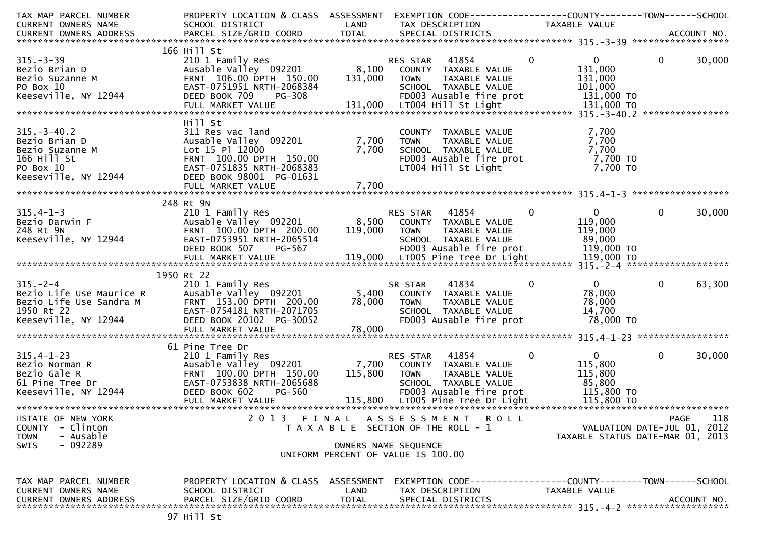| TAX MAP PARCEL NUMBER                                                                                                                                                                                             | PROPERTY LOCATION & CLASS ASSESSMENT                                 |              |                                                                                                                                                                                                                                   |                                   |                                  |
|-------------------------------------------------------------------------------------------------------------------------------------------------------------------------------------------------------------------|----------------------------------------------------------------------|--------------|-----------------------------------------------------------------------------------------------------------------------------------------------------------------------------------------------------------------------------------|-----------------------------------|----------------------------------|
| CURRENT OWNERS NAME                                                                                                                                                                                               | SCHOOL DISTRICT                                                      | LAND         | TAX DESCRIPTION                                                                                                                                                                                                                   | TAXABLE VALUE                     |                                  |
|                                                                                                                                                                                                                   |                                                                      |              |                                                                                                                                                                                                                                   |                                   |                                  |
| $x***$<br>$-15. -3-39$<br>Bezio Brian D<br>$207$<br>Suzanne M<br>$30$<br>$12944$                                                                                                                                  |                                                                      |              |                                                                                                                                                                                                                                   |                                   |                                  |
|                                                                                                                                                                                                                   | 166 Hill St                                                          |              |                                                                                                                                                                                                                                   |                                   |                                  |
|                                                                                                                                                                                                                   | 210 1 Family Res<br>Ausable Valley 092201 8,100 COUNTY TAXABLE VALUE |              | RES STAR 41854                                                                                                                                                                                                                    | $\mathbf{0}$<br>$0 \qquad \qquad$ | $\overline{0}$<br>30,000         |
|                                                                                                                                                                                                                   | FRNT 106.00 DPTH 150.00                                              | 131,000      | <b>TOWN</b><br>TAXABLE VALUE                                                                                                                                                                                                      | 131,000<br>131,000                |                                  |
|                                                                                                                                                                                                                   | EAST-0751951 NRTH-2068384                                            |              | SCHOOL TAXABLE VALUE                                                                                                                                                                                                              | 101,000                           |                                  |
|                                                                                                                                                                                                                   | DEED BOOK 709<br>PG-308                                              |              | SCHOOL TAXABLE VALUE<br>FDOO3 Ausable fire prot                                                                                                                                                                                   | 131,000 TO                        |                                  |
|                                                                                                                                                                                                                   |                                                                      |              |                                                                                                                                                                                                                                   |                                   |                                  |
|                                                                                                                                                                                                                   |                                                                      |              |                                                                                                                                                                                                                                   |                                   |                                  |
|                                                                                                                                                                                                                   | Hill St                                                              |              |                                                                                                                                                                                                                                   |                                   |                                  |
| $315. - 3 - 40.2$                                                                                                                                                                                                 | 311 Res vac land                                                     |              | COUNTY TAXABLE VALUE                                                                                                                                                                                                              | 7,700                             |                                  |
|                                                                                                                                                                                                                   | Ausable Valley 092201                                                | 7,700        | <b>TOWN</b><br>TAXABLE VALUE                                                                                                                                                                                                      | 7,700                             |                                  |
|                                                                                                                                                                                                                   | Lot 15 Pl 12000                                                      | 7,700        |                                                                                                                                                                                                                                   |                                   |                                  |
| 315.-3-40.2<br>Bezio Brian D<br>Bezio Suzanne M<br>166 Hill St<br>PO Box 10<br>Keeseville, NY 12944                                                                                                               | FRNT 100.00 DPTH 150.00                                              |              | TOWN    TAXABLE VALUE                          7,700<br>SCHOOL  TAXABLE VALUE                          7,700<br>FDOO3 Ausable fire prot                      7,700 TO<br>LTOO4 Hill St Light                             7,700 TO |                                   |                                  |
|                                                                                                                                                                                                                   | EAST-0751835 NRTH-2068383                                            |              |                                                                                                                                                                                                                                   |                                   |                                  |
|                                                                                                                                                                                                                   | DEED BOOK 98001 PG-01631                                             |              |                                                                                                                                                                                                                                   |                                   |                                  |
|                                                                                                                                                                                                                   | FULL MARKET VALUE                                                    | 7,700        |                                                                                                                                                                                                                                   |                                   |                                  |
|                                                                                                                                                                                                                   |                                                                      |              |                                                                                                                                                                                                                                   |                                   |                                  |
|                                                                                                                                                                                                                   | 248 Rt 9N                                                            |              |                                                                                                                                                                                                                                   |                                   |                                  |
| 315.4-1-3<br>Bezio Darwin F<br>Ausable Valley 092201<br>FRNT 100.00 DPTH 200.00<br>FAST-0753951 NRTH-2065514                                                                                                      | __ _ _ amily Res<br>Ausable Valley 092201<br>FRNT 100.00.00          |              | RES STAR 41854                                                                                                                                                                                                                    | $\mathbf 0$<br>$\mathbf{0}$       | $\mathbf{0}$<br>30,000           |
|                                                                                                                                                                                                                   |                                                                      |              | 8,500 COUNTY TAXABLE VALUE                                                                                                                                                                                                        | 119,000                           |                                  |
|                                                                                                                                                                                                                   |                                                                      | 119,000      | <b>TOWN</b><br>TAXABLE VALUE                                                                                                                                                                                                      | 119,000                           |                                  |
|                                                                                                                                                                                                                   |                                                                      |              | SCHOOL TAXABLE VALUE                                                                                                                                                                                                              | 89,000                            |                                  |
|                                                                                                                                                                                                                   | DEED BOOK 507<br>PG-567                                              |              | FD003 Ausable fire prot                                                                                                                                                                                                           | 119,000 TO                        |                                  |
|                                                                                                                                                                                                                   |                                                                      |              |                                                                                                                                                                                                                                   |                                   |                                  |
|                                                                                                                                                                                                                   |                                                                      |              |                                                                                                                                                                                                                                   |                                   |                                  |
|                                                                                                                                                                                                                   | 1950 Rt 22                                                           |              |                                                                                                                                                                                                                                   |                                   |                                  |
| $315. - 2 - 4$                                                                                                                                                                                                    | 210 1 Family Res                                                     |              | 41834<br>SR STAR                                                                                                                                                                                                                  | $\bf{0}$<br>$\mathbf{0}$          | 63,300<br>$\mathbf{0}$           |
|                                                                                                                                                                                                                   |                                                                      |              | 5,400 COUNTY TAXABLE VALUE                                                                                                                                                                                                        | 78,000                            |                                  |
|                                                                                                                                                                                                                   |                                                                      | 78,000       | <b>TOWN</b><br>TAXABLE VALUE                                                                                                                                                                                                      | 78,000                            |                                  |
|                                                                                                                                                                                                                   |                                                                      |              | SCHOOL TAXABLE VALUE                                                                                                                                                                                                              | 14,700                            |                                  |
| Bezio Life Use Maurice R<br>Bezio Life Use Sandra M<br>1950 Rt 22<br>Reseville, NY 12944<br>Reseville, NY 12944<br>BEED BOOK 20102 PG-30052                                                                       |                                                                      |              | FD003 Ausable fire prot                                                                                                                                                                                                           | 78,000 TO                         |                                  |
|                                                                                                                                                                                                                   |                                                                      |              |                                                                                                                                                                                                                                   |                                   |                                  |
|                                                                                                                                                                                                                   |                                                                      |              |                                                                                                                                                                                                                                   |                                   |                                  |
|                                                                                                                                                                                                                   | 61 Pine Tree Dr                                                      |              |                                                                                                                                                                                                                                   |                                   |                                  |
|                                                                                                                                                                                                                   |                                                                      |              | RES STAR 41854                                                                                                                                                                                                                    | $0 \qquad \qquad$<br>$\mathbf 0$  | $\mathbf{0}$<br>30,000           |
|                                                                                                                                                                                                                   | Ausable Valley 092201                                                | 7,700        | COUNTY TAXABLE VALUE                                                                                                                                                                                                              | 115,800                           |                                  |
|                                                                                                                                                                                                                   |                                                                      | 115,800      | <b>TOWN</b><br>TAXABLE VALUE                                                                                                                                                                                                      | 115,800                           |                                  |
| 315.4-1-23<br>Bezio Norman R<br>Bezio Gale R<br>61 Pine Tree Dr<br>Keeseville, NY 12944<br>Bezio Gale R<br>EAST-0753838 NRTH-2065688<br>CED BOOK 602<br>PGED BOOK 602<br>PGED BOOK 602<br>PGED BOOK 602<br>PG-560 |                                                                      |              | SCHOOL TAXABLE VALUE                                                                                                                                                                                                              | 85,800                            |                                  |
|                                                                                                                                                                                                                   |                                                                      |              | FD003 Ausable fire prot                                                                                                                                                                                                           | 115,800 TO                        |                                  |
|                                                                                                                                                                                                                   |                                                                      |              |                                                                                                                                                                                                                                   |                                   |                                  |
|                                                                                                                                                                                                                   |                                                                      |              |                                                                                                                                                                                                                                   |                                   |                                  |
| STATE OF NEW YORK                                                                                                                                                                                                 |                                                                      |              | 2013 FINAL ASSESSMENT ROLL<br>T A X A B L E SECTION OF THE ROLL - 1                                                                                                                                                               |                                   | 118<br>PAGE                      |
| COUNTY - Clinton                                                                                                                                                                                                  |                                                                      |              |                                                                                                                                                                                                                                   |                                   | VALUATION DATE-JUL 01, 2012      |
| <b>TOWN</b><br>- Ausable<br>$-092289$<br><b>SWIS</b>                                                                                                                                                              |                                                                      |              |                                                                                                                                                                                                                                   |                                   | TAXABLE STATUS DATE-MAR 01, 2013 |
|                                                                                                                                                                                                                   |                                                                      |              | OWNERS NAME SEQUENCE<br>UNIFORM PERCENT OF VALUE IS 100.00                                                                                                                                                                        |                                   |                                  |
|                                                                                                                                                                                                                   |                                                                      |              |                                                                                                                                                                                                                                   |                                   |                                  |
|                                                                                                                                                                                                                   |                                                                      |              |                                                                                                                                                                                                                                   |                                   |                                  |
| TAX MAP PARCEL NUMBER                                                                                                                                                                                             | PROPERTY LOCATION & CLASS ASSESSMENT                                 |              | EXEMPTION CODE-----------------COUNTY-------TOWN------SCHOOL                                                                                                                                                                      |                                   |                                  |
| CURRENT OWNERS NAME                                                                                                                                                                                               | SCHOOL DISTRICT                                                      | LAND         | TAX DESCRIPTION                                                                                                                                                                                                                   | TAXABLE VALUE                     |                                  |
| <b>CURRENT OWNERS ADDRESS</b>                                                                                                                                                                                     | PARCEL SIZE/GRID COORD                                               | <b>TOTAL</b> | SPECIAL DISTRICTS                                                                                                                                                                                                                 |                                   | ACCOUNT NO.                      |
|                                                                                                                                                                                                                   |                                                                      |              |                                                                                                                                                                                                                                   |                                   |                                  |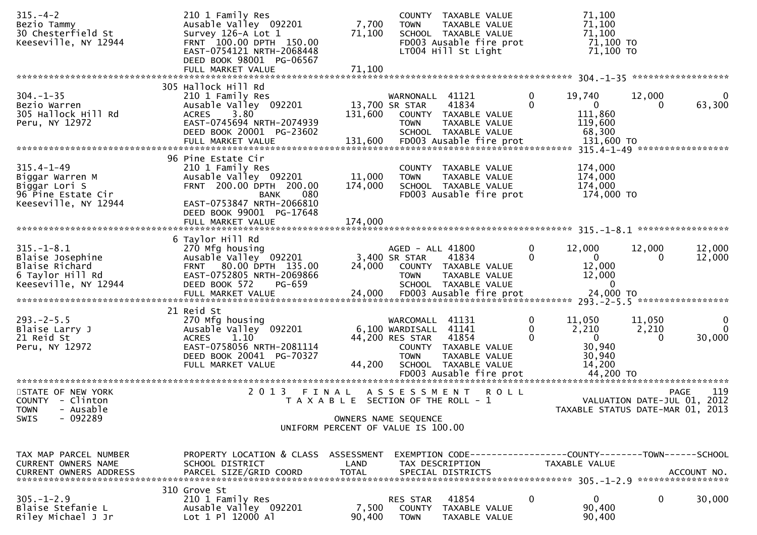| $315. - 4 - 2$<br>Bezio Tammy<br>30 Chesterfield St<br>Keeseville, NY 12944                        | 210 1 Family Res<br>Ausable Valley 092201<br>Survey 126-A Lot 1<br>FRNT 100.00 DPTH 150.00<br>EAST-0754121 NRTH-2068448<br>DEED BOOK 98001 PG-06567<br>FULL MARKET VALUE                | 7,700<br>71,100<br>71,100                                                   | <b>TOWN</b>                                                          | COUNTY TAXABLE VALUE<br>TAXABLE VALUE<br>SCHOOL TAXABLE VALUE<br>FD003 Ausable fire prot<br>LT004 Hill St Light |               | 71,100<br>71,100<br>71,100<br>71,100 TO<br>71,100 TO                            |                      |                                            |
|----------------------------------------------------------------------------------------------------|-----------------------------------------------------------------------------------------------------------------------------------------------------------------------------------------|-----------------------------------------------------------------------------|----------------------------------------------------------------------|-----------------------------------------------------------------------------------------------------------------|---------------|---------------------------------------------------------------------------------|----------------------|--------------------------------------------|
|                                                                                                    |                                                                                                                                                                                         |                                                                             |                                                                      |                                                                                                                 |               |                                                                                 |                      |                                            |
| $304. - 1 - 35$<br>Bezio Warren<br>305 Hallock Hill Rd<br>Peru, NY 12972                           | 305 Hallock Hill Rd<br>210 1 Family Res<br>Ausable Valley 092201<br>3.80<br><b>ACRES</b><br>EAST-0745694 NRTH-2074939<br>DEED BOOK 20001 PG-23602                                       | 131,600                                                                     | WARNONALL 41121<br>13,700 SR STAR<br><b>TOWN</b>                     | 41834<br>COUNTY TAXABLE VALUE<br>TAXABLE VALUE<br>SCHOOL TAXABLE VALUE                                          | 0<br>$\Omega$ | 19,740<br>$\overline{0}$<br>111,860<br>119,600<br>68,300                        | 12,000               | 0<br>63,300                                |
| $315.4 - 1 - 49$<br>Biggar Warren M<br>Biggar Lori S<br>96 Pine Estate Cir<br>Keeseville, NY 12944 | 96 Pine Estate Cir<br>210 1 Family Res<br>Ausable Valley 092201<br>FRNT 200.00 DPTH 200.00<br>080<br>BANK<br>EAST-0753847 NRTH-2066810<br>DEED BOOK 99001 PG-17648<br>FULL MARKET VALUE | 11,000<br>174,000<br>174,000                                                | <b>TOWN</b>                                                          | COUNTY TAXABLE VALUE<br>TAXABLE VALUE<br>SCHOOL TAXABLE VALUE<br>FD003 Ausable fire prot                        |               | 174,000<br>174,000<br>174,000<br>174,000 TO                                     |                      |                                            |
| $315. - 1 - 8.1$<br>Blaise Josephine<br>Blaise Richard<br>6 Taylor Hill Rd<br>Keeseville, NY 12944 | 6 Taylor Hill Rd<br>270 Mfg housing<br>Ausable Valley 092201<br>80.00 DPTH 135.00<br><b>FRNT</b><br>EAST-0752805 NRTH-2069866<br>DEED BOOK 572<br>PG-659<br>FULL MARKET VALUE           | 24,000<br>24,000                                                            | AGED - ALL 41800<br>3,400 SR STAR<br><b>TOWN</b>                     | 41834<br>COUNTY TAXABLE VALUE<br>TAXABLE VALUE<br>SCHOOL TAXABLE VALUE<br>FD003 Ausable fire prot               | $\mathbf 0$   | 12,000<br>$\mathbf{0}$<br>12,000<br>12,000<br>$\Omega$<br>24,000 TO             | 12,000<br>$\Omega$   | 12,000<br>12,000                           |
| $293. -2 - 5.5$<br>Blaise Larry J<br>21 Reid St<br>Peru, NY 12972                                  | 21 Reid St<br>270 Mfg housing<br>Ausable Valley 092201<br><b>ACRES</b><br>1.10<br>EAST-0758056 NRTH-2081114<br>DEED BOOK 20041 PG-70327<br>FULL MARKET VALUE                            | 44,200                                                                      | WARCOMALL<br>6,100 WARDISALL 41141<br>44,200 RES STAR<br><b>TOWN</b> | 41131<br>41854<br>COUNTY TAXABLE VALUE<br>TAXABLE VALUE<br>SCHOOL TAXABLE VALUE                                 | 0<br>0        | 11,050<br>2,210<br>$\overline{0}$<br>30,940<br>30,940<br>14,200                 | 11,050<br>2,210<br>0 | 0<br>$\Omega$<br>30,000                    |
| STATE OF NEW YORK<br>COUNTY - Clinton<br>- Ausable<br><b>TOWN</b><br>$-092289$<br>SWIS             | 2 0 1 3<br>FINAL                                                                                                                                                                        | T A X A B L E SECTION OF THE ROLL - 1<br>UNIFORM PERCENT OF VALUE IS 100.00 | OWNERS NAME SEQUENCE                                                 | ASSESSMENT ROLL                                                                                                 |               | TAXABLE STATUS DATE-MAR 01, 2013                                                |                      | 119<br>PAGE<br>VALUATION DATE-JUL 01, 2012 |
| TAX MAP PARCEL NUMBER<br>CURRENT OWNERS NAME<br><b>CURRENT OWNERS ADDRESS</b>                      | PROPERTY LOCATION & CLASS ASSESSMENT<br>SCHOOL DISTRICT<br>PARCEL SIZE/GRID COORD                                                                                                       | LAND<br><b>TOTAL</b>                                                        |                                                                      | TAX DESCRIPTION<br>SPECIAL DISTRICTS                                                                            |               | EXEMPTION CODE------------------COUNTY--------TOWN------SCHOOL<br>TAXABLE VALUE |                      | ACCOUNT NO.                                |
| $305. - 1 - 2.9$<br>Blaise Stefanie L<br>Riley Michael J Jr                                        | 310 Grove St<br>210 1 Family Res<br>Ausable Valley 092201<br>Lot 1 Pl 12000 Al                                                                                                          | 7,500<br>90,400                                                             | RES STAR<br>COUNTY<br><b>TOWN</b>                                    | 41854<br>TAXABLE VALUE<br>TAXABLE VALUE                                                                         | $\mathbf{0}$  | 0<br>90,400<br>90,400                                                           | 0                    | 30,000                                     |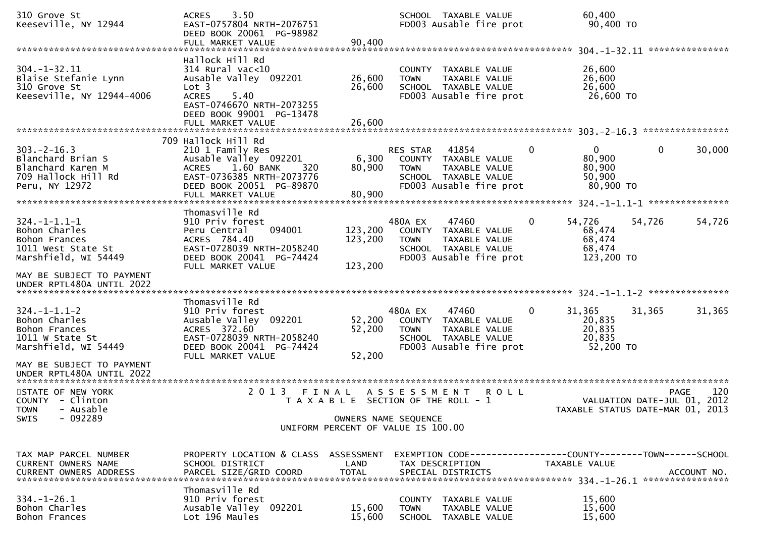| 310 Grove St<br>Keeseville, NY 12944                                                                | 3.50<br><b>ACRES</b><br>EAST-0757804 NRTH-2076751<br>DEED BOOK 20061 PG-98982<br>FULL MARKET VALUE                                                          | 90,400                     | SCHOOL TAXABLE VALUE<br>FD003 Ausable fire prot                                                                                     | 60,400<br>90,400 TO                                            |                                                           |
|-----------------------------------------------------------------------------------------------------|-------------------------------------------------------------------------------------------------------------------------------------------------------------|----------------------------|-------------------------------------------------------------------------------------------------------------------------------------|----------------------------------------------------------------|-----------------------------------------------------------|
| $304. - 1 - 32.11$<br>Blaise Stefanie Lynn<br>310 Grove St<br>Keeseville, NY 12944-4006             | Hallock Hill Rd<br>$314$ Rural vac<10<br>Ausable Valley 092201<br>Lot 3<br><b>ACRES</b><br>5.40<br>EAST-0746670 NRTH-2073255<br>DEED BOOK 99001 PG-13478    | 26,600<br>26,600           | COUNTY<br>TAXABLE VALUE<br>TAXABLE VALUE<br><b>TOWN</b><br>SCHOOL TAXABLE VALUE<br>FD003 Ausable fire prot                          | 26,600<br>26,600<br>26,600<br>26,600 TO                        |                                                           |
|                                                                                                     | 709 Hallock Hill Rd                                                                                                                                         |                            |                                                                                                                                     |                                                                |                                                           |
| $303. -2 - 16.3$<br>Blanchard Brian S<br>Blanchard Karen M<br>709 Hallock Hill Rd<br>Peru, NY 12972 | 210 1 Family Res<br>Ausable Valley 092201<br>1.60 BANK<br><b>ACRES</b><br>320<br>EAST-0736385 NRTH-2073776<br>DEED BOOK 20051 PG-89870<br>FULL MARKET VALUE | 6,300<br>80,900<br>80,900  | 41854<br><b>RES STAR</b><br>COUNTY TAXABLE VALUE<br>TAXABLE VALUE<br><b>TOWN</b><br>SCHOOL TAXABLE VALUE<br>FD003 Ausable fire prot | 0<br>$\overline{0}$<br>80,900<br>80,900<br>50,900<br>80,900 TO | 30,000<br>$\bf{0}$                                        |
|                                                                                                     |                                                                                                                                                             |                            |                                                                                                                                     |                                                                |                                                           |
| $324. -1 - 1.1 - 1$<br>Bohon Charles<br>Bohon Frances<br>1011 West State St<br>Marshfield, WI 54449 | Thomasville Rd<br>910 Priv forest<br>094001<br>Peru Central<br>ACRES 784.40<br>EAST-0728039 NRTH-2058240<br>DEED BOOK 20041 PG-74424                        | 123,200<br>123,200         | 480A EX<br>47460<br>COUNTY TAXABLE VALUE<br>TAXABLE VALUE<br><b>TOWN</b><br>SCHOOL TAXABLE VALUE<br>FD003 Ausable fire prot         | 54,726<br>0<br>68,474<br>68,474<br>68,474<br>123,200 TO        | 54,726<br>54,726                                          |
| MAY BE SUBJECT TO PAYMENT<br>UNDER RPTL480A UNTIL 2022                                              | FULL MARKET VALUE                                                                                                                                           | 123,200                    |                                                                                                                                     |                                                                |                                                           |
| $324. - 1 - 1.1 - 2$<br>Bohon Charles<br>Bohon Frances<br>1011 W State St<br>Marshfield, WI 54449   | Thomasville Rd<br>910 Priv forest<br>Ausable Valley 092201<br>ACRES 372.60<br>EAST-0728039 NRTH-2058240<br>DEED BOOK 20041 PG-74424<br>FULL MARKET VALUE    | 52,200<br>52,200<br>52,200 | 480A EX<br>47460<br>COUNTY TAXABLE VALUE<br>TAXABLE VALUE<br><b>TOWN</b><br>SCHOOL TAXABLE VALUE<br>FD003 Ausable fire prot         | 31,365<br>0<br>20,835<br>20,835<br>20,835<br>52,200 TO         | 31,365<br>31,365                                          |
| MAY BE SUBJECT TO PAYMENT<br>UNDER RPTL480A UNTIL 2022                                              |                                                                                                                                                             |                            |                                                                                                                                     |                                                                |                                                           |
| STATE OF NEW YORK<br>COUNTY - Clinton<br>TOWN - Ausable<br>$-092289$<br><b>SWIS</b>                 | 2 0 1 3<br>FINAL                                                                                                                                            | OWNERS NAME SEQUENCE       | A S S E S S M E N T<br><b>ROLL</b><br>T A X A B L E SECTION OF THE ROLL - 1<br>UNIFORM PERCENT OF VALUE IS 100.00                   | TAXABLE STATUS DATE-MAR 01,                                    | 120<br><b>PAGE</b><br>VALUATION DATE-JUL 01, 2012<br>2013 |
|                                                                                                     |                                                                                                                                                             |                            |                                                                                                                                     |                                                                |                                                           |
| TAX MAP PARCEL NUMBER<br>CURRENT OWNERS NAME<br><b>CURRENT OWNERS ADDRESS</b>                       | PROPERTY LOCATION & CLASS ASSESSMENT<br>SCHOOL DISTRICT<br>PARCEL SIZE/GRID COORD                                                                           | LAND<br><b>TOTAL</b>       | EXEMPTION CODE------------------COUNTY--------TOWN------SCHOOL<br>TAX DESCRIPTION<br>SPECIAL DISTRICTS                              | <b>TAXABLE VALUE</b>                                           | ACCOUNT NO.                                               |
| $334. - 1 - 26.1$<br>Bohon Charles<br>Bohon Frances                                                 | Thomasville Rd<br>910 Priv forest<br>Ausable Valley 092201<br>Lot 196 Maules                                                                                | 15,600<br>15,600           | COUNTY TAXABLE VALUE<br><b>TOWN</b><br>TAXABLE VALUE<br>SCHOOL TAXABLE VALUE                                                        | 15,600<br>15,600<br>15,600                                     |                                                           |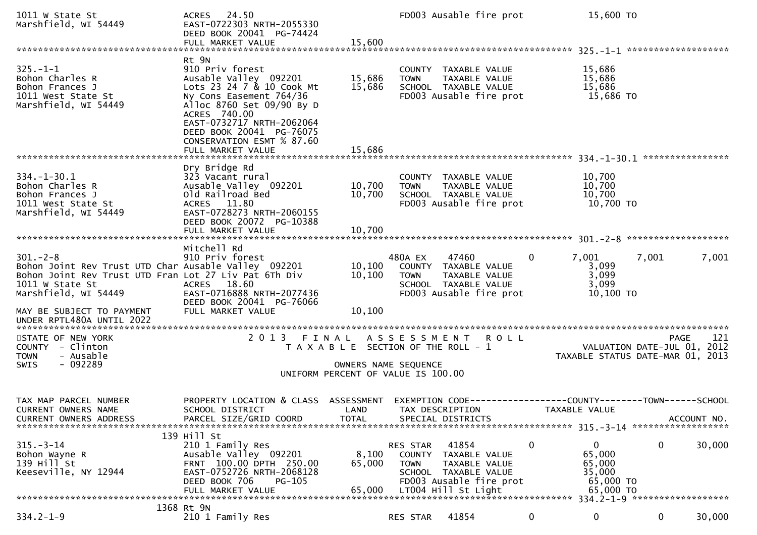| 1011 W State St<br>Marshfield, WI 54449                                                                                                                                                                | ACRES 24.50<br>EAST-0722303 NRTH-2055330<br>DEED BOOK 20041 PG-74424<br>FULL MARKET VALUE                                                                                                                                                                         | 15,600                                                                                              |                                   | FD003 Ausable fire prot                                                                                           |                | 15,600 TO                                                            |       |             |
|--------------------------------------------------------------------------------------------------------------------------------------------------------------------------------------------------------|-------------------------------------------------------------------------------------------------------------------------------------------------------------------------------------------------------------------------------------------------------------------|-----------------------------------------------------------------------------------------------------|-----------------------------------|-------------------------------------------------------------------------------------------------------------------|----------------|----------------------------------------------------------------------|-------|-------------|
|                                                                                                                                                                                                        |                                                                                                                                                                                                                                                                   |                                                                                                     |                                   |                                                                                                                   |                |                                                                      |       |             |
| $325. - 1 - 1$<br>Bohon Charles R<br>Bohon Frances J<br>1011 West State St<br>Marshfield, WI 54449                                                                                                     | Rt 9N<br>910 Priv forest<br>Ausable Valley 092201<br>Lots 23 24 7 & 10 Cook Mt<br>Ny Cons Easement 764/36<br>Alloc 8760 Set 09/90 By D<br>ACRES 740.00<br>EAST-0732717 NRTH-2062064<br>DEED BOOK 20041 PG-76075<br>CONSERVATION ESMT % 87.60<br>FULL MARKET VALUE | 15,686<br>15,686<br>15,686                                                                          | <b>TOWN</b>                       | COUNTY TAXABLE VALUE<br>TAXABLE VALUE<br>SCHOOL TAXABLE VALUE<br>FD003 Ausable fire prot                          |                | 15,686<br>15,686<br>15,686<br>15,686 TO                              |       |             |
|                                                                                                                                                                                                        |                                                                                                                                                                                                                                                                   |                                                                                                     |                                   |                                                                                                                   |                |                                                                      |       |             |
| $334. - 1 - 30.1$<br>Bohon Charles R<br>Bohon Frances J<br>1011 West State St<br>Marshfield, WI 54449                                                                                                  | Dry Bridge Rd<br>323 Vacant rural<br>Ausable Valley 092201<br>Old Railroad Bed<br>ACRES 11.80<br>EAST-0728273 NRTH-2060155<br>DEED BOOK 20072 PG-10388                                                                                                            | 10,700<br>10,700                                                                                    | <b>TOWN</b>                       | COUNTY TAXABLE VALUE<br>TAXABLE VALUE<br>SCHOOL TAXABLE VALUE<br>FD003 Ausable fire prot                          |                | 10,700<br>10,700<br>10,700<br>10,700 TO                              |       |             |
|                                                                                                                                                                                                        |                                                                                                                                                                                                                                                                   |                                                                                                     |                                   |                                                                                                                   |                |                                                                      |       |             |
| $301 - 2 - 8$<br>Bohon Joint Rev Trust UTD Char Ausable Valley 092201<br>Bohon Joint Rev Trust UTD Fran Lot 27 Liv Pat 6Th Div<br>1011 W State St<br>Marshfield, WI 54449<br>MAY BE SUBJECT TO PAYMENT | Mitchell Rd<br>910 Priv forest<br>ACRES 18.60<br>EAST-0716888 NRTH-2077436<br>DEED BOOK 20041 PG-76066<br>FULL MARKET VALUE                                                                                                                                       | 10, 100<br>10,100<br>10,100                                                                         | 480A EX<br><b>TOWN</b>            | 47460<br>COUNTY TAXABLE VALUE<br>TAXABLE VALUE<br>SCHOOL TAXABLE VALUE<br>FD003 Ausable fire prot                 | $\overline{0}$ | 7,001<br>3,099<br>3,099<br>3,099<br>10,100 TO                        | 7,001 | 7,001       |
| UNDER RPTL480A UNTIL 2022                                                                                                                                                                              |                                                                                                                                                                                                                                                                   |                                                                                                     |                                   |                                                                                                                   |                |                                                                      |       |             |
| STATE OF NEW YORK<br>COUNTY - Clinton<br>- Ausable<br><b>TOWN</b><br>$-092289$<br><b>SWIS</b>                                                                                                          | 2013 FINAL                                                                                                                                                                                                                                                        | T A X A B L E SECTION OF THE ROLL - 1<br>OWNERS NAME SEQUENCE<br>UNIFORM PERCENT OF VALUE IS 100.00 |                                   | ASSESSMENT ROLL                                                                                                   |                | VALUATION DATE-JUL 01, 2012<br>TAXABLE STATUS DATE-MAR 01, 2013      |       | PAGE<br>121 |
| TAX MAP PARCEL NUMBER<br><b>CURRENT OWNERS NAME</b><br><b>CURRENT OWNERS ADDRESS</b>                                                                                                                   | PROPERTY LOCATION & CLASS ASSESSMENT<br>SCHOOL DISTRICT<br>PARCEL SIZE/GRID COORD                                                                                                                                                                                 | LAND<br><b>TOTAL</b>                                                                                |                                   | EXEMPTION CODE--<br>TAX DESCRIPTION<br>SPECIAL DISTRICTS                                                          |                | --------------COUNTY--------TOWN------SCHOOL<br><b>TAXABLE VALUE</b> |       | ACCOUNT NO. |
| $315 - 3 - 14$<br>Bohon Wayne R<br>139 Hill St<br>Keeseville, NY 12944                                                                                                                                 | 139 Hill St<br>210 1 Family Res<br>Ausable Valley 092201<br>FRNT 100.00 DPTH 250.00<br>EAST-0752726 NRTH-2068128<br>DEED BOOK 706<br>PG-105<br>FULL MARKET VALUE                                                                                                  | 8,100<br>65,000<br>65,000                                                                           | RES STAR<br>COUNTY<br><b>TOWN</b> | 41854<br>TAXABLE VALUE<br>TAXABLE VALUE<br>SCHOOL TAXABLE VALUE<br>FD003 Ausable fire prot<br>LT004 Hill St Light | 0              | 0<br>65,000<br>65,000<br>35,000<br>65,000 TO<br>65,000 TO            | 0     | 30,000      |
|                                                                                                                                                                                                        |                                                                                                                                                                                                                                                                   |                                                                                                     |                                   |                                                                                                                   |                | 334.2-1-9 *******************                                        |       |             |
| $334.2 - 1 - 9$                                                                                                                                                                                        | 1368 Rt 9N<br>210 1 Family Res                                                                                                                                                                                                                                    |                                                                                                     | RES STAR                          | 41854                                                                                                             | 0              | 0                                                                    | 0     | 30,000      |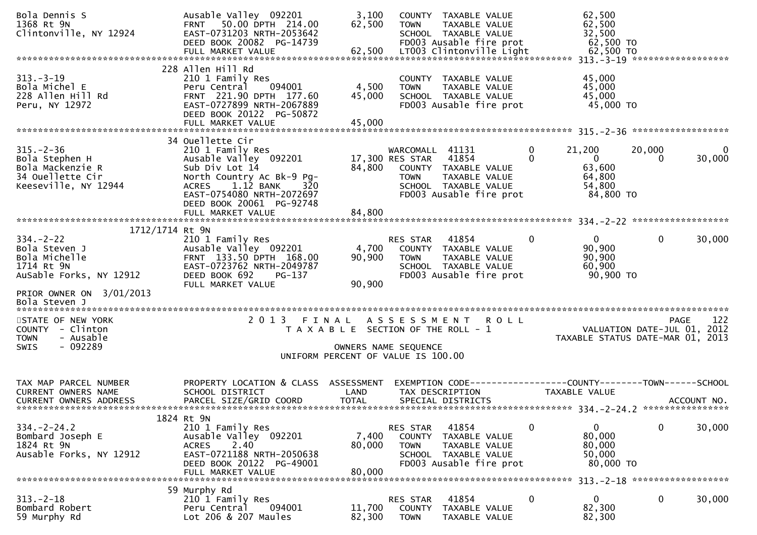| Bola Dennis S<br>1368 Rt 9N<br>Clintonville, NY 12924                                                                                     | Ausable Valley 092201<br>50.00 DPTH 214.00<br><b>FRNT</b><br>EAST-0731203 NRTH-2053642<br>DEED BOOK 20082 PG-14739<br>FULL MARKET VALUE                                                                              | 3,100<br>62,500<br>62,500                                                   | <b>TOWN</b>                                       | COUNTY TAXABLE VALUE<br>TAXABLE VALUE<br>SCHOOL TAXABLE VALUE<br>FD003 Ausable fire prot<br>LT003 Clintonville Light |   | 62,500<br>62,500<br>32,500<br>62,500 TO<br>62,500 TO              |                                            |             |
|-------------------------------------------------------------------------------------------------------------------------------------------|----------------------------------------------------------------------------------------------------------------------------------------------------------------------------------------------------------------------|-----------------------------------------------------------------------------|---------------------------------------------------|----------------------------------------------------------------------------------------------------------------------|---|-------------------------------------------------------------------|--------------------------------------------|-------------|
| $313 - 3 - 19$<br>Bola Michel E<br>228 Allen Hill Rd<br>Peru, NY 12972                                                                    | 228 Allen Hill Rd<br>210 1 Family Res<br>Peru Central<br>094001<br>FRNT 221.90 DPTH 177.60<br>EAST-0727899 NRTH-2067889<br>DEED BOOK 20122 PG-50872                                                                  | 4,500<br>45,000                                                             | <b>TOWN</b>                                       | COUNTY TAXABLE VALUE<br>TAXABLE VALUE<br>SCHOOL TAXABLE VALUE<br>FD003 Ausable fire prot                             |   | 45,000<br>45,000<br>45,000<br>45,000 TO                           |                                            |             |
| $315. - 2 - 36$<br>Bola Stephen H<br>Bola Mackenzie R<br>34 Ouellette Cir<br>Keeseville, NY 12944                                         | 34 Ouellette Cir<br>210 1 Family Res<br>Ausable Valley 092201<br>Sub Div Lot 14<br>North Country Ac Bk-9 Pg-<br>ACRES 1.12 BANK<br>320<br>EAST-0754080 NRTH-2072697<br>DEED BOOK 20061 PG-92748<br>FULL MARKET VALUE | 84,800<br>84,800                                                            | WARCOMALL 41131<br>17,300 RES STAR<br><b>TOWN</b> | 41854<br>COUNTY TAXABLE VALUE<br>TAXABLE VALUE<br>SCHOOL TAXABLE VALUE<br>FD003 Ausable fire prot                    | 0 | 21,200<br>$\mathbf{0}$<br>63,600<br>64,800<br>54,800<br>84,800 TO | 20,000<br>$\Omega$                         | 0<br>30,000 |
| 1712/1714 Rt 9N<br>$334. - 2 - 22$<br>Bola Steven J<br>Bola Michelle<br>1714 Rt 9N<br>AuSable Forks, NY 12912<br>PRIOR OWNER ON 3/01/2013 | 210 1 Family Res<br>Ausable Valley 092201<br>FRNT 133.50 DPTH 168.00<br>EAST-0723762 NRTH-2049787<br>DEED BOOK 692<br>PG-137<br>FULL MARKET VALUE                                                                    | 4,700<br>90,900<br>90,900                                                   | RES STAR<br><b>TOWN</b>                           | 41854<br>COUNTY TAXABLE VALUE<br>TAXABLE VALUE<br>SCHOOL TAXABLE VALUE<br>FD003 Ausable fire prot                    | 0 | $\mathbf{0}$<br>90,900<br>90,900<br>60,900<br>90,900 TO           | $\mathbf{0}$                               | 30,000      |
| Bola Steven J<br>STATE OF NEW YORK<br>COUNTY - Clinton<br>- Ausable<br><b>TOWN</b><br>$-092289$<br><b>SWIS</b>                            | 2 0 1 3<br>FINAL                                                                                                                                                                                                     | T A X A B L E SECTION OF THE ROLL - 1<br>UNIFORM PERCENT OF VALUE IS 100.00 | A S S E S S M E N T<br>OWNERS NAME SEQUENCE       | <b>ROLL</b>                                                                                                          |   | TAXABLE STATUS DATE-MAR 01, 2013                                  | <b>PAGE</b><br>VALUATION DATE-JUL 01, 2012 | 122         |
| TAX MAP PARCEL NUMBER<br><b>CURRENT OWNERS NAME</b><br><b>CURRENT OWNERS ADDRESS</b>                                                      | PROPERTY LOCATION & CLASS ASSESSMENT<br>SCHOOL DISTRICT<br>PARCEL SIZE/GRID COORD                                                                                                                                    | LAND<br><b>TOTAL</b>                                                        |                                                   | EXEMPTION        CODE------------------COUNTY-------TOWN------SCHOOL<br>TAX DESCRIPTION<br>SPECIAL DISTRICTS         |   | TAXABLE VALUE                                                     |                                            | ACCOUNT NO. |
| $334. - 2 - 24.2$<br>Bombard Joseph E<br>1824 Rt 9N<br>Ausable Forks, NY 12912                                                            | 1824 Rt 9N<br>210 1 Family Res<br>Ausable Valley 092201<br>2.40<br><b>ACRES</b><br>EAST-0721188 NRTH-2050638<br>DEED BOOK 20122 PG-49001<br>FULL MARKET VALUE                                                        | 7,400<br>80,000<br>80,000                                                   | RES STAR<br><b>COUNTY</b><br><b>TOWN</b>          | 41854<br>TAXABLE VALUE<br>TAXABLE VALUE<br>SCHOOL TAXABLE VALUE<br>FD003 Ausable fire prot                           | 0 | $\mathbf{0}$<br>80,000<br>80,000<br>50,000<br>80,000 TO           | $\mathbf 0$                                | 30,000      |
| $313. - 2 - 18$<br>Bombard Robert<br>59 Murphy Rd                                                                                         | 59 Murphy Rd<br>210 1 Family Res<br>094001<br>Peru Central<br>Lot 206 & 207 Maules                                                                                                                                   | 11,700<br>82,300                                                            | RES STAR<br><b>COUNTY</b><br><b>TOWN</b>          | 41854<br>TAXABLE VALUE<br>TAXABLE VALUE                                                                              | 0 | 313. - 2 - 18 *******************<br>0<br>82,300<br>82,300        | $\mathbf 0$                                | 30,000      |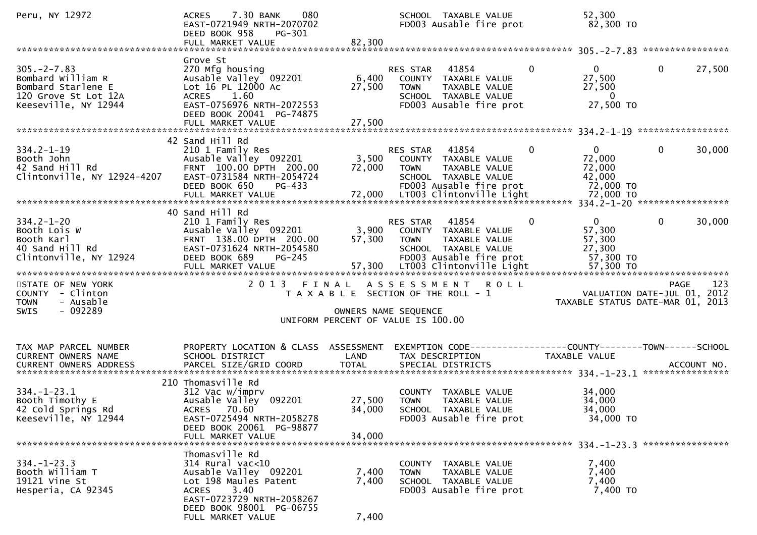| Peru, NY 12972                                                                                              | 7.30 BANK<br>080<br><b>ACRES</b><br>EAST-0721949 NRTH-2070702<br>DEED BOOK 958<br>PG-301<br>FULL MARKET VALUE                                                                              | 82,300                     | SCHOOL TAXABLE VALUE<br>FD003 Ausable fire prot                                                                                                    | 52,300<br>82,300 TO                                                |                                                 |
|-------------------------------------------------------------------------------------------------------------|--------------------------------------------------------------------------------------------------------------------------------------------------------------------------------------------|----------------------------|----------------------------------------------------------------------------------------------------------------------------------------------------|--------------------------------------------------------------------|-------------------------------------------------|
|                                                                                                             |                                                                                                                                                                                            |                            |                                                                                                                                                    |                                                                    |                                                 |
| $305. -2 - 7.83$<br>Bombard William R<br>Bombard Starlene E<br>120 Grove St Lot 12A<br>Keeseville, NY 12944 | Grove St<br>270 Mfg housing<br>Ausable Valley 092201<br>Lot 16 PL 12000 Ac<br>ACRES 1.60<br>EAST-0756976 NRTH-2072553<br>DEED BOOK 20041 PG-74875                                          | 6,400<br>27,500            | RES STAR<br>41854<br>$\Omega$<br>COUNTY TAXABLE VALUE<br>TAXABLE VALUE<br>TOWN<br>SCHOOL TAXABLE VALUE<br>FD003 Ausable fire prot                  | $0 \qquad \qquad$<br>27,500<br>27,500<br>$\mathbf{0}$<br>27,500 TO | $\mathbf{0}$<br>27,500                          |
|                                                                                                             |                                                                                                                                                                                            |                            |                                                                                                                                                    |                                                                    |                                                 |
| $334.2 - 1 - 19$<br>Booth John<br>42 Sand Hill Rd<br>Clintonville, NY 12924-4207                            | 42 Sand Hill Rd<br>210 1 Family Res<br>Ausable Valley 092201<br>FRNT 100.00 DPTH 200.00<br>EAST-0731584 NRTH-2054724<br>DEED BOOK 650<br>PG-433                                            | 72,000                     | $\mathbf{0}$<br>RES STAR<br>41854<br>3,500 COUNTY TAXABLE VALUE<br><b>TOWN</b><br>TAXABLE VALUE<br>SCHOOL TAXABLE VALUE<br>FD003 Ausable fire prot | $\mathbf{0}$<br>72,000<br>72,000<br>42,000<br>72,000 TO            | 0<br>30,000                                     |
|                                                                                                             | 40 Sand Hill Rd                                                                                                                                                                            |                            |                                                                                                                                                    |                                                                    |                                                 |
| $334.2 - 1 - 20$<br>Booth Lois W<br>Booth Karl<br>40 Sand Hill Rd<br>Clintonville, NY 12924                 | 210 1 Family Res<br>Ausable Valley 092201<br>FRNT 138.00 DPTH 200.00<br>EAST-0731624 NRTH-2054580<br>DEED BOOK 689<br>PG-245                                                               | 57,300                     | 41854<br>$\mathbf{0}$<br>RES STAR<br>3,900 COUNTY TAXABLE VALUE<br><b>TOWN</b><br>TAXABLE VALUE<br>SCHOOL TAXABLE VALUE<br>FD003 Ausable fire prot | $\overline{0}$<br>57,300<br>57,300<br>27,300<br>57,300 TO          | $\mathbf{0}$<br>30,000                          |
|                                                                                                             |                                                                                                                                                                                            |                            |                                                                                                                                                    |                                                                    |                                                 |
| STATE OF NEW YORK<br>COUNTY - Clinton<br>- Ausable<br><b>TOWN</b><br>$-092289$<br><b>SWIS</b>               |                                                                                                                                                                                            |                            | 2013 FINAL ASSESSMENT<br><b>ROLL</b><br>T A X A B L E SECTION OF THE ROLL - 1<br>OWNERS NAME SEQUENCE<br>UNIFORM PERCENT OF VALUE IS 100.00        | VALUATION DATE-JUL $01$ , 2012                                     | 123<br>PAGE<br>TAXABLE STATUS DATE-MAR 01, 2013 |
|                                                                                                             |                                                                                                                                                                                            |                            |                                                                                                                                                    |                                                                    |                                                 |
| TAX MAP PARCEL NUMBER<br>CURRENT OWNERS NAME                                                                | PROPERTY LOCATION & CLASS ASSESSMENT<br>SCHOOL DISTRICT                                                                                                                                    | LAND                       | EXEMPTION CODE-----------------COUNTY-------TOWN------SCHOOL<br>TAX DESCRIPTION                                                                    | TAXABLE VALUE                                                      |                                                 |
|                                                                                                             |                                                                                                                                                                                            |                            |                                                                                                                                                    |                                                                    |                                                 |
| $334. - 1 - 23.1$<br>Booth Timothy E<br>42 Cold Springs Rd<br>Keeseville, NY 12944                          | 210 Thomasville Rd<br>312 Vac w/imprv<br>Ausable Valley 092201<br>ACRES 70.60<br>EAST-0725494 NRTH-2058278<br>DEED BOOK 20061 PG-98877<br>FULL MARKET VALUE                                | 27,500<br>34,000<br>34,000 | COUNTY TAXABLE VALUE<br><b>TOWN</b><br>TAXABLE VALUE<br>SCHOOL TAXABLE VALUE<br>FD003 Ausable fire prot                                            | 34,000<br>34,000<br>34,000<br>34,000 TO                            |                                                 |
|                                                                                                             |                                                                                                                                                                                            |                            |                                                                                                                                                    |                                                                    |                                                 |
| $334. - 1 - 23.3$<br>Booth William T<br>19121 Vine St<br>Hesperia, CA 92345                                 | Thomasville Rd<br>314 Rural vac<10<br>Ausable Valley 092201<br>Lot 198 Maules Patent<br>3.40<br><b>ACRES</b><br>EAST-0723729 NRTH-2058267<br>DEED BOOK 98001 PG-06755<br>FULL MARKET VALUE | 7,400<br>7,400<br>7,400    | COUNTY<br>TAXABLE VALUE<br>TAXABLE VALUE<br><b>TOWN</b><br>SCHOOL TAXABLE VALUE<br>FD003 Ausable fire prot                                         | 7,400<br>7,400<br>7,400<br>7,400 TO                                |                                                 |
|                                                                                                             |                                                                                                                                                                                            |                            |                                                                                                                                                    |                                                                    |                                                 |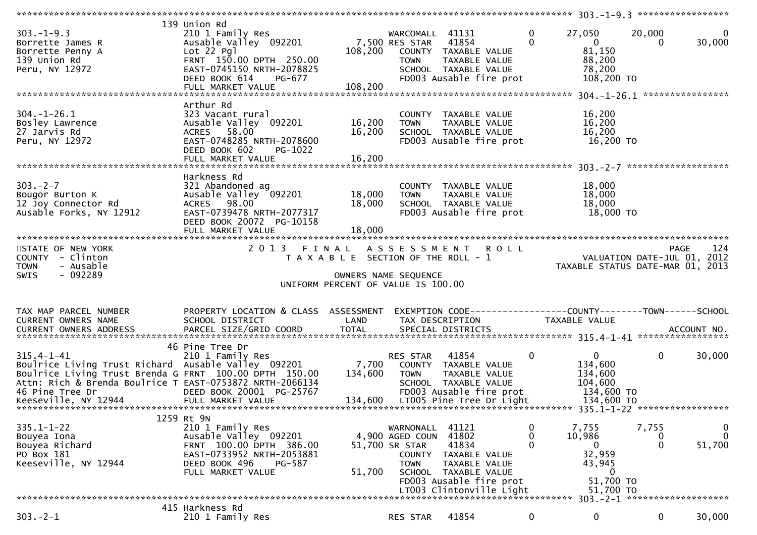| $303. -1 - 9.3$<br>Borrette James R<br>Borrette Penny A<br>139 Union Rd<br>Peru, NY 12972                                                                                                                        | 139 Union Rd<br>210 1 Family Res<br>Ausable Valley 092201<br>$Lot 22$ $Pq$ ]<br>FRNT 150.00 DPTH 250.00<br>EAST-0745150 NRTH-2078825<br>DEED BOOK 614<br>PG-677<br>FULL MARKET VALUE | 7,500 RES STAR<br>108,200<br>108,200                       | WARCOMALL 41131<br>TOWN                                                 | 41854<br>COUNTY TAXABLE VALUE<br>TAXABLE VALUE<br>SCHOOL TAXABLE VALUE<br>FD003 Ausable fire prot                                        | 0<br>$\Omega$ | 27,050<br>$\mathbf{0}$<br>81,150<br>88,200<br>78,200<br>108,200 TO                          | 20,000<br>$\Omega$         | 30,000                                            |
|------------------------------------------------------------------------------------------------------------------------------------------------------------------------------------------------------------------|--------------------------------------------------------------------------------------------------------------------------------------------------------------------------------------|------------------------------------------------------------|-------------------------------------------------------------------------|------------------------------------------------------------------------------------------------------------------------------------------|---------------|---------------------------------------------------------------------------------------------|----------------------------|---------------------------------------------------|
| $304. - 1 - 26.1$<br>Bosley Lawrence<br>27 Jarvis Rd<br>Peru, NY 12972                                                                                                                                           | Arthur Rd<br>323 Vacant rural<br>Ausable Valley 092201<br>ACRES 58.00<br>EAST-0748285 NRTH-2078600<br>DEED BOOK 602<br>PG-1022<br>FULL MARKET VALUE                                  | 16,200<br>16,200<br>16,200                                 | <b>TOWN</b>                                                             | COUNTY TAXABLE VALUE<br>TAXABLE VALUE<br>SCHOOL TAXABLE VALUE<br>FD003 Ausable fire prot                                                 |               | 16,200<br>16,200<br>16,200<br>16,200 TO                                                     |                            |                                                   |
| $303 - 2 - 7$<br>Bougor Burton K<br>12 Joy Connector Rd<br>Ausable Forks, NY 12912<br>*************************                                                                                                  | Harkness Rd<br>321 Abandoned ag<br>Ausable Valley 092201<br>ACRES 98.00<br>EAST-0739478 NRTH-2077317<br>DEED BOOK 20072 PG-10158<br>FULL MARKET VALUE                                | 18,000<br>18,000<br>18,000                                 | <b>TOWN</b>                                                             | COUNTY TAXABLE VALUE<br>TAXABLE VALUE<br>SCHOOL TAXABLE VALUE<br>FD003 Ausable fire prot                                                 |               | 18,000<br>18,000<br>18,000<br>18,000 TO                                                     |                            |                                                   |
| STATE OF NEW YORK<br>COUNTY - Clinton                                                                                                                                                                            |                                                                                                                                                                                      | T A X A B L E SECTION OF THE ROLL - 1                      |                                                                         | 2013 FINAL ASSESSMENT ROLL                                                                                                               |               |                                                                                             |                            | 124<br><b>PAGE</b><br>VALUATION DATE-JUL 01, 2012 |
| <b>TOWN</b><br>- Ausable<br>- 092289<br><b>SWIS</b>                                                                                                                                                              |                                                                                                                                                                                      | OWNERS NAME SEQUENCE<br>UNIFORM PERCENT OF VALUE IS 100.00 |                                                                         |                                                                                                                                          |               | TAXABLE STATUS DATE-MAR 01, 2013                                                            |                            |                                                   |
| TAX MAP PARCEL NUMBER<br>CURRENT OWNERS NAME                                                                                                                                                                     | PROPERTY LOCATION & CLASS ASSESSMENT<br>SCHOOL DISTRICT                                                                                                                              | LAND                                                       |                                                                         | TAX DESCRIPTION                                                                                                                          |               | TAXABLE VALUE                                                                               |                            |                                                   |
| $315.4 - 1 - 41$<br>Boulrice Living Trust Richard Ausable Valley 092201<br>Boulrice Living Trust Brenda G FRNT 100.00 DPTH 150.00<br>Attn: Rich & Brenda Boulrice T EAST-0753872 NRTH-2066134<br>46 Pine Tree Dr | 46 Pine Tree Dr<br>210 1 Family Res<br>DEED BOOK 20001 PG-25767                                                                                                                      | 7,700<br>134,600                                           | RES STAR<br><b>TOWN</b>                                                 | 41854<br>COUNTY TAXABLE VALUE<br>TAXABLE VALUE<br>SCHOOL TAXABLE VALUE<br>FD003 Ausable fire prot                                        | $\mathbf 0$   | $\mathbf{0}$<br>134,600<br>134,600<br>104,600<br>134,600 TO                                 | $\mathbf 0$                | 30,000                                            |
| $335.1 - 1 - 22$<br>Bouyea Iona<br>Bouyea Richard<br>PO Box 181<br>Keeseville, NY 12944                                                                                                                          | 1259 Rt 9N<br>210 1 Family Res<br>Ausable Valley 092201<br>FRNT 100.00 DPTH 386.00<br>EAST-0733952 NRTH-2053881<br>DEED BOOK 496<br><b>PG-587</b><br>FULL MARKET VALUE               | 51,700                                                     | WARNONALL<br>4,900 AGED COUN<br>51,700 SR STAR<br>COUNTY<br><b>TOWN</b> | 41121<br>41802<br>41834<br>TAXABLE VALUE<br>TAXABLE VALUE<br>SCHOOL TAXABLE VALUE<br>FD003 Ausable fire prot<br>LT003 Clintonville Light | 0<br>0<br>0   | 7,755<br>10,986<br>$\overline{0}$<br>32,959<br>43,945<br>$\bf{0}$<br>51,700 TO<br>51,700 TO | 7,755<br>0<br>$\mathbf{0}$ | 0<br>$\mathbf{0}$<br>51,700                       |
|                                                                                                                                                                                                                  | 415 Harkness Rd                                                                                                                                                                      |                                                            |                                                                         |                                                                                                                                          |               |                                                                                             |                            | $303. -2 - 1$ *********************               |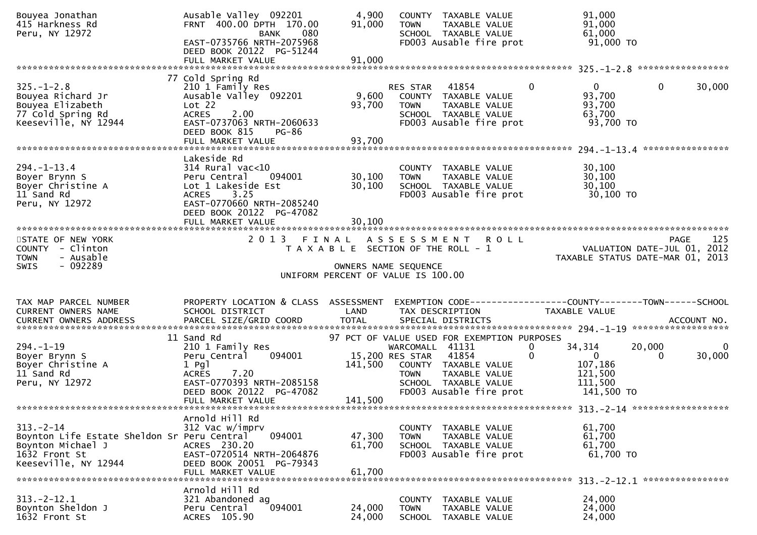| Bouyea Jonathan<br>415 Harkness Rd<br>Peru, NY 12972                                                                        | Ausable Valley 092201<br>FRNT 400.00 DPTH 170.00<br>080<br>BANK<br>EAST-0735766 NRTH-2075968<br>DEED BOOK 20122 PG-51244<br>FULL MARKET VALUE                                       | 4,900<br>91,000<br>91,000  | COUNTY TAXABLE VALUE<br><b>TOWN</b><br>TAXABLE VALUE<br>SCHOOL TAXABLE VALUE<br>FD003 Ausable fire prot                                                | 91,000<br>91,000<br>61,000<br>$91,000$ TO                                                       |                                   |
|-----------------------------------------------------------------------------------------------------------------------------|-------------------------------------------------------------------------------------------------------------------------------------------------------------------------------------|----------------------------|--------------------------------------------------------------------------------------------------------------------------------------------------------|-------------------------------------------------------------------------------------------------|-----------------------------------|
|                                                                                                                             |                                                                                                                                                                                     |                            |                                                                                                                                                        |                                                                                                 | *****************                 |
| $325. - 1 - 2.8$<br>Bouyea Richard Jr<br>Bouyea Elizabeth<br>77 Cold Spring Rd<br>Keeseville, NY 12944                      | 77 Cold Spring Rd<br>210 1 Family Res<br>Ausable Valley 092201<br>Lot 22<br><b>ACRES</b><br>2.00<br>EAST-0737063 NRTH-2060633<br>DEED BOOK 815<br><b>PG-86</b><br>FULL MARKET VALUE | 9,600<br>93,700<br>93,700  | RES STAR<br>41854<br>COUNTY TAXABLE VALUE<br><b>TOWN</b><br>TAXABLE VALUE<br>SCHOOL TAXABLE VALUE<br>FD003 Ausable fire prot                           | $\mathbf{0}$<br>$\mathbf{0}$<br>93,700<br>93,700<br>63,700<br>93,700 TO                         | 0<br>30,000                       |
|                                                                                                                             | Lakeside Rd                                                                                                                                                                         |                            |                                                                                                                                                        |                                                                                                 |                                   |
| $294. -1 - 13.4$<br>Boyer Brynn S<br>Boyer Christine A<br>11 Sand Rd<br>Peru, NY 12972                                      | 314 Rural vac<10<br>Peru Central<br>094001<br>Lot 1 Lakeside Est<br><b>ACRES</b><br>3.25<br>EAST-0770660 NRTH-2085240<br>DEED BOOK 20122 PG-47082<br>FULL MARKET VALUE              | 30,100<br>30,100<br>30,100 | COUNTY TAXABLE VALUE<br><b>TOWN</b><br>TAXABLE VALUE<br>SCHOOL TAXABLE VALUE<br>FD003 Ausable fire prot                                                | 30,100<br>30,100<br>30,100<br>30,100 TO                                                         |                                   |
| STATE OF NEW YORK                                                                                                           | 2 0 1 3                                                                                                                                                                             | FINAL                      | A S S E S S M E N T<br><b>ROLL</b>                                                                                                                     |                                                                                                 | 125<br><b>PAGE</b>                |
| COUNTY - Clinton<br><b>TOWN</b><br>- Ausable<br>$-092289$<br><b>SWIS</b>                                                    |                                                                                                                                                                                     |                            | T A X A B L E SECTION OF THE ROLL - 1<br>OWNERS NAME SEQUENCE<br>UNIFORM PERCENT OF VALUE IS 100.00                                                    | TAXABLE STATUS DATE-MAR 01, 2013                                                                | VALUATION DATE-JUL 01, 2012       |
|                                                                                                                             |                                                                                                                                                                                     |                            |                                                                                                                                                        |                                                                                                 |                                   |
| TAX MAP PARCEL NUMBER<br>CURRENT OWNERS NAME                                                                                | PROPERTY LOCATION & CLASS ASSESSMENT<br>SCHOOL DISTRICT                                                                                                                             | LAND                       | TAX DESCRIPTION                                                                                                                                        | TAXABLE VALUE                                                                                   |                                   |
|                                                                                                                             | 11 Sand Rd                                                                                                                                                                          |                            | 97 PCT OF VALUE USED FOR EXEMPTION PURPOSES                                                                                                            |                                                                                                 |                                   |
| $294. - 1 - 19$<br>Boyer Brynn S<br>Boyer Christine A<br>11 Sand Rd<br>Peru, NY 12972                                       | 210 1 Family Res<br>094001<br>Peru Central<br>$1$ Pgl<br>7.20<br><b>ACRES</b><br>EAST-0770393 NRTH-2085158<br>DEED BOOK 20122 PG-47082<br>FULL MARKET VALUE                         | 141,500<br>141,500         | WARCOMALL 41131<br>15,200 RES STAR<br>41854<br>COUNTY TAXABLE VALUE<br>TAXABLE VALUE<br><b>TOWN</b><br>SCHOOL TAXABLE VALUE<br>FD003 Ausable fire prot | 34,314<br>$\bf{0}$<br>$\Omega$<br>$\overline{0}$<br>107,186<br>121,500<br>111,500<br>141,500 TO | 20,000<br>0<br>30,000<br>$\Omega$ |
|                                                                                                                             | Arnold Hill Rd                                                                                                                                                                      |                            |                                                                                                                                                        |                                                                                                 |                                   |
| $313 - 2 - 14$<br>Boynton Life Estate Sheldon Sr Peru Central<br>Boynton Michael J<br>1632 Front St<br>Keeseville, NY 12944 | 312 Vac w/imprv<br>094001<br>ACRES 230.20<br>EAST-0720514 NRTH-2064876<br>DEED BOOK 20051 PG-79343<br>FULL MARKET VALUE                                                             | 47,300<br>61,700<br>61,700 | COUNTY<br>TAXABLE VALUE<br><b>TOWN</b><br>TAXABLE VALUE<br>SCHOOL TAXABLE VALUE<br>FD003 Ausable fire prot                                             | 61,700<br>61,700<br>61,700<br>61,700 TO                                                         |                                   |
|                                                                                                                             | Arnold Hill Rd                                                                                                                                                                      |                            |                                                                                                                                                        |                                                                                                 |                                   |
| $313 - 2 - 12.1$<br>Boynton Sheldon J<br>1632 Front St                                                                      | 321 Abandoned ag<br>094001<br>Peru Central<br>ACRES 105.90                                                                                                                          | 24,000<br>24,000           | <b>COUNTY</b><br>TAXABLE VALUE<br><b>TOWN</b><br>TAXABLE VALUE<br><b>SCHOOL</b><br>TAXABLE VALUE                                                       | 24,000<br>24,000<br>24,000                                                                      |                                   |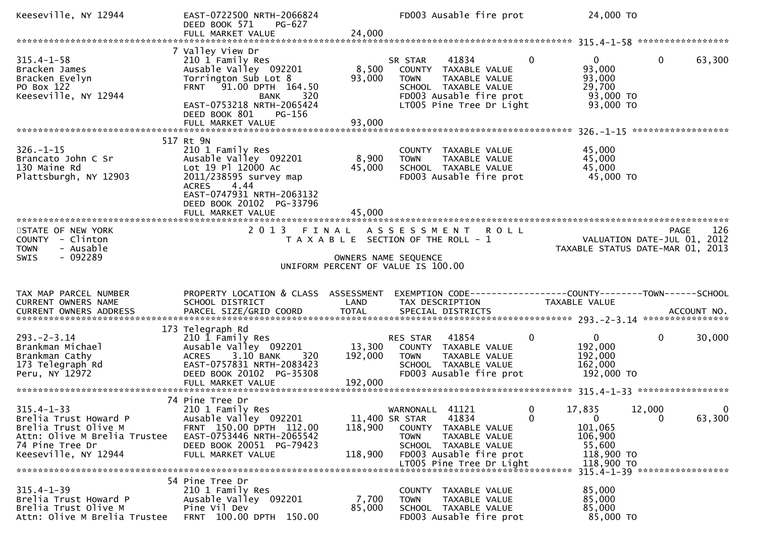| Keeseville, NY 12944                                                                                                                                                                   | EAST-0722500 NRTH-2066824<br>DEED BOOK 571<br>PG-627<br>FULL MARKET VALUE                                                                                                                                    | 24,000                    | FD003 Ausable fire prot                                                                                                                                                       | 24,000 TO                                                              |                                                   |
|----------------------------------------------------------------------------------------------------------------------------------------------------------------------------------------|--------------------------------------------------------------------------------------------------------------------------------------------------------------------------------------------------------------|---------------------------|-------------------------------------------------------------------------------------------------------------------------------------------------------------------------------|------------------------------------------------------------------------|---------------------------------------------------|
|                                                                                                                                                                                        |                                                                                                                                                                                                              |                           |                                                                                                                                                                               |                                                                        |                                                   |
| $315.4 - 1 - 58$<br>Bracken James<br>Bracken Evelyn<br>PO Box 122<br>Keeseville, NY 12944                                                                                              | 7 Valley View Dr<br>210 1 Family Res<br>Ausable Valley 092201<br>Torrington Sub Lot 8<br>FRNT 91.00 DPTH 164.50<br>320<br>BANK<br>EAST-0753218 NRTH-2065424<br>DEED BOOK 801<br>PG-156<br>FULL MARKET VALUE  | 8,500<br>93,000<br>93,000 | $\mathbf{0}$<br>41834<br>SR STAR<br>COUNTY TAXABLE VALUE<br><b>TOWN</b><br>TAXABLE VALUE<br>SCHOOL TAXABLE VALUE<br>FD003 Ausable fire prot<br>LT005 Pine Tree Dr Light       | $\overline{0}$<br>93,000<br>93,000<br>29,700<br>93,000 TO<br>93,000 TO | $\mathbf{0}$<br>63,300                            |
|                                                                                                                                                                                        |                                                                                                                                                                                                              |                           |                                                                                                                                                                               |                                                                        |                                                   |
| $326. - 1 - 15$<br>Brancato John C Sr<br>130 Maine Rd<br>Plattsburgh, NY 12903                                                                                                         | 517 Rt 9N<br>210 1 Family Res<br>Ausable Valley 092201<br>Lot 19 Pl 12000 Ac<br>2011/238595 survey map<br><b>ACRES</b><br>4.44<br>EAST-0747931 NRTH-2063132<br>DEED BOOK 20102 PG-33796<br>FULL MARKET VALUE | 8,900<br>45,000<br>45,000 | COUNTY TAXABLE VALUE<br>TAXABLE VALUE<br><b>TOWN</b><br>SCHOOL TAXABLE VALUE<br>FD003 Ausable fire prot                                                                       | 45,000<br>45,000<br>45,000<br>45,000 TO                                |                                                   |
|                                                                                                                                                                                        |                                                                                                                                                                                                              |                           |                                                                                                                                                                               |                                                                        |                                                   |
| STATE OF NEW YORK<br>COUNTY - Clinton<br>- Ausable<br><b>TOWN</b>                                                                                                                      | 2 0 1 3<br>FINAL                                                                                                                                                                                             |                           | ASSESSMENT ROLL<br>T A X A B L E SECTION OF THE ROLL - 1                                                                                                                      | TAXABLE STATUS DATE-MAR 01, 2013                                       | 126<br><b>PAGE</b><br>VALUATION DATE-JUL 01, 2012 |
| $-092289$<br><b>SWIS</b>                                                                                                                                                               |                                                                                                                                                                                                              |                           | OWNERS NAME SEQUENCE<br>UNIFORM PERCENT OF VALUE IS 100.00                                                                                                                    |                                                                        |                                                   |
| TAX MAP PARCEL NUMBER<br>CURRENT OWNERS NAME<br>CURRENT OWNERS ADDRESS<br>.4CCOUNT NO . PARCEL SIZE/GRID COORD TOTAL SPECIAL DISTRICTS SPERENT OWNERS ADDRESS . ACCOUNT NO . ANNO 2014 | PROPERTY LOCATION & CLASS ASSESSMENT<br>SCHOOL DISTRICT                                                                                                                                                      | LAND                      | EXEMPTION CODE------------------COUNTY--------TOWN------SCHOOL<br>TAX DESCRIPTION                                                                                             | TAXABLE VALUE                                                          |                                                   |
| $293 - 2 - 3.14$<br>Brankman Michael<br>Brankman Cathy<br>173 Telegraph Rd<br>Peru, NY 12972                                                                                           | 173 Telegraph Rd<br>210 1 Family Res<br>Ausable Valley 092201<br>3.10 BANK<br>320<br><b>ACRES</b><br>EAST-0757831 NRTH-2083423<br>DEED BOOK 20102 PG-35308                                                   | 13,300<br>192,000         | 41854<br>$\mathbf 0$<br>RES STAR<br>COUNTY TAXABLE VALUE<br><b>TOWN</b><br>TAXABLE VALUE<br>SCHOOL TAXABLE VALUE<br>FD003 Ausable fire prot                                   | $\overline{0}$<br>192,000<br>192,000<br>162,000<br>192,000 TO          | $\mathbf 0$<br>30,000                             |
|                                                                                                                                                                                        | 74 Pine Tree Dr                                                                                                                                                                                              |                           |                                                                                                                                                                               |                                                                        |                                                   |
| $315.4 - 1 - 33$<br>Brelia Trust Howard P<br>Brelia Trust Olive M<br>Attn: Olive M Brelia Trustee<br>74 Pine Tree Dr<br>Keeseville, NY 12944                                           | 210 1 Family Res<br>Ausable Valley 092201<br>FRNT 150.00 DPTH 112.00<br>EAST-0753446 NRTH-2065542<br>DEED BOOK 20051 PG-79423<br>FULL MARKET VALUE                                                           | 118,900<br>118,900        | 41121<br>WARNONALL<br>0<br>11,400 SR STAR<br>41834<br>$\mathbf{0}$<br>COUNTY TAXABLE VALUE<br>TAXABLE VALUE<br><b>TOWN</b><br>SCHOOL TAXABLE VALUE<br>FD003 Ausable fire prot | 17,835<br>$\mathbf{0}$<br>101,065<br>106,900<br>55,600<br>118,900 TO   | 12,000<br>0<br>63,300<br>$\mathbf 0$              |
|                                                                                                                                                                                        |                                                                                                                                                                                                              |                           | LT005 Pine Tree Dr Light                                                                                                                                                      | 118,900 TO                                                             | 315.4-1-39 ******************                     |
| $315.4 - 1 - 39$<br>Brelia Trust Howard P<br>Brelia Trust Olive M<br>Attn: Olive M Brelia Trustee                                                                                      | 54 Pine Tree Dr<br>210 1 Family Res<br>Ausable Valley 092201<br>Pine Vil Dev                                                                                                                                 | 7,700<br>85,000           | TAXABLE VALUE<br>COUNTY<br>TAXABLE VALUE<br><b>TOWN</b><br>SCHOOL TAXABLE VALUE                                                                                               | 85,000<br>85,000<br>85,000                                             |                                                   |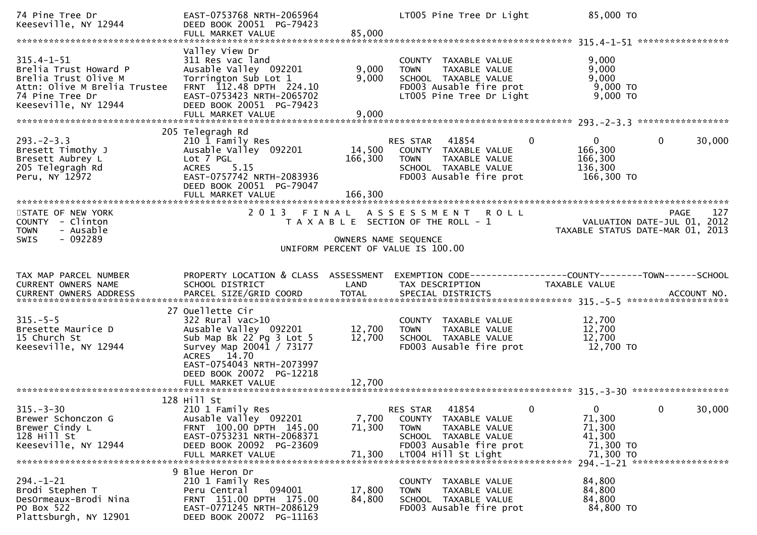| 74 Pine Tree Dr<br>Keeseville, NY 12944                                                                                                      | EAST-0753768 NRTH-2065964<br>DEED BOOK 20051 PG-79423<br>FULL MARKET VALUE                                                                                                                         | 85,000                       | LT005 Pine Tree Dr Light                                                                                                                                   | 85,000 TO                                                                            |                                                          |
|----------------------------------------------------------------------------------------------------------------------------------------------|----------------------------------------------------------------------------------------------------------------------------------------------------------------------------------------------------|------------------------------|------------------------------------------------------------------------------------------------------------------------------------------------------------|--------------------------------------------------------------------------------------|----------------------------------------------------------|
|                                                                                                                                              |                                                                                                                                                                                                    |                              |                                                                                                                                                            |                                                                                      |                                                          |
| $315.4 - 1 - 51$<br>Brelia Trust Howard P<br>Brelia Trust Olive M<br>Attn: Olive M Brelia Trustee<br>74 Pine Tree Dr<br>Keeseville, NY 12944 | Valley View Dr<br>311 Res vac land<br>Ausable Valley 092201<br>Torrington Sub Lot 1<br>FRNT 112.48 DPTH 224.10<br>EAST-0753423 NRTH-2065702<br>DEED BOOK 20051 PG-79423<br>FULL MARKET VALUE       | 9,000<br>9,000<br>9,000      | COUNTY TAXABLE VALUE<br>TAXABLE VALUE<br><b>TOWN</b><br>SCHOOL TAXABLE VALUE<br>FD003 Ausable fire prot<br>LT005 Pine Tree Dr Light                        | 9,000<br>9,000<br>9,000<br>9,000 TO<br>$9,000$ TO                                    |                                                          |
|                                                                                                                                              | 205 Telegragh Rd                                                                                                                                                                                   |                              |                                                                                                                                                            |                                                                                      |                                                          |
| $293 - 2 - 3.3$<br>Bresett Timothy J<br>Bresett Aubrey L<br>205 Telegragh Rd<br>Peru, NY 12972                                               | 210 1 Family Res<br>Ausable Valley 092201<br>Lot 7 PGL<br>5.15<br><b>ACRES</b><br>EAST-0757742 NRTH-2083936<br>DEED BOOK 20051 PG-79047<br>FULL MARKET VALUE                                       | 14,500<br>166,300<br>166,300 | RES STAR<br>41854<br>COUNTY TAXABLE VALUE<br>TAXABLE VALUE<br><b>TOWN</b><br>SCHOOL TAXABLE VALUE<br>FD003 Ausable fire prot                               | $\mathbf{0}$<br>$\Omega$<br>166,300<br>166,300<br>136,300<br>166,300 TO              | 30,000<br>$\mathbf{0}$                                   |
|                                                                                                                                              |                                                                                                                                                                                                    |                              |                                                                                                                                                            |                                                                                      |                                                          |
| STATE OF NEW YORK<br>COUNTY - Clinton<br>- Ausable<br><b>TOWN</b>                                                                            | 2013 FINAL                                                                                                                                                                                         |                              | ASSESSMENT ROLL<br>T A X A B L E SECTION OF THE ROLL - 1                                                                                                   | TAXABLE STATUS DATE-MAR 01, 2013                                                     | <b>PAGE</b><br>127<br>VALUATION DATE-JUL 01, 2012        |
| $-092289$<br>SWIS                                                                                                                            |                                                                                                                                                                                                    | OWNERS NAME SEQUENCE         | UNIFORM PERCENT OF VALUE IS 100.00                                                                                                                         |                                                                                      |                                                          |
|                                                                                                                                              |                                                                                                                                                                                                    |                              |                                                                                                                                                            |                                                                                      |                                                          |
|                                                                                                                                              |                                                                                                                                                                                                    |                              |                                                                                                                                                            |                                                                                      |                                                          |
|                                                                                                                                              |                                                                                                                                                                                                    |                              |                                                                                                                                                            |                                                                                      |                                                          |
| TAX MAP PARCEL NUMBER<br>CURRENT OWNERS NAME                                                                                                 | PROPERTY LOCATION & CLASS ASSESSMENT<br>SCHOOL DISTRICT                                                                                                                                            | LAND                         | EXEMPTION        CODE-----------------COUNTY-------TOWN------SCHOOL<br>TAX DESCRIPTION                                                                     | TAXABLE VALUE                                                                        |                                                          |
|                                                                                                                                              |                                                                                                                                                                                                    |                              |                                                                                                                                                            |                                                                                      |                                                          |
| $315. - 5 - 5$<br>Bresette Maurice D<br>15 Church St<br>Keeseville, NY 12944                                                                 | 27 Ouellette Cir<br>$322$ Rural vac $>10$<br>Ausable Valley 092201<br>Sub Map Bk 22 Pg 3 Lot 5<br>Survey Map 20041 / 73177<br>ACRES 14.70<br>EAST-0754043 NRTH-2073997<br>DEED BOOK 20072 PG-12218 | 12,700<br>12,700             | COUNTY TAXABLE VALUE<br>TAXABLE VALUE<br><b>TOWN</b><br>SCHOOL TAXABLE VALUE<br>FD003 Ausable fire prot                                                    | 12,700<br>12,700<br>12,700<br>12,700 TO                                              |                                                          |
|                                                                                                                                              | FULL MARKET VALUE                                                                                                                                                                                  | 12,700                       |                                                                                                                                                            |                                                                                      |                                                          |
| $315. - 3 - 30$<br>Brewer Schonczon G<br>Brewer Cindy L<br>128 Hill St<br>Keeseville, NY 12944                                               | 128 Hill St<br>210 1 Family Res<br>Ausable Valley 092201<br>FRNT 100.00 DPTH 145.00<br>EAST-0753231 NRTH-2068371<br>DEED BOOK 20092 PG-23609<br>FULL MARKET VALUE                                  | 7,700<br>71,300<br>71,300    | 41854<br><b>RES STAR</b><br>COUNTY TAXABLE VALUE<br><b>TOWN</b><br>TAXABLE VALUE<br>SCHOOL TAXABLE VALUE<br>FD003 Ausable fire prot<br>LT004 Hill St Light | $\mathbf{0}$<br>$\mathbf{0}$<br>71,300<br>71,300<br>41,300<br>71,300 TO<br>71,300 TO | 30,000<br>$\mathbf{0}$<br>294. -1-21 ******************* |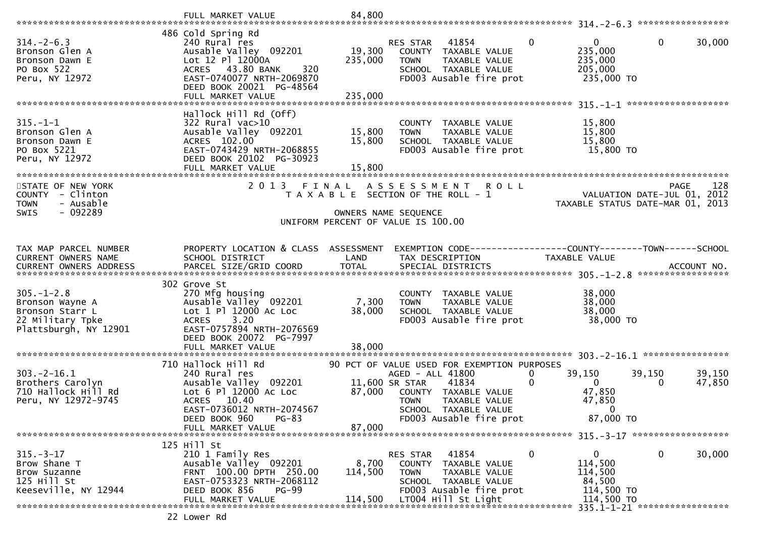|                                                                                                     | FULL MARKET VALUE                                                                                                                                                     | 84,800                      |                                                                                                                                                        |               |                                                                        |                                          |
|-----------------------------------------------------------------------------------------------------|-----------------------------------------------------------------------------------------------------------------------------------------------------------------------|-----------------------------|--------------------------------------------------------------------------------------------------------------------------------------------------------|---------------|------------------------------------------------------------------------|------------------------------------------|
| $314. - 2 - 6.3$<br>Bronson Glen A<br>Bronson Dawn E                                                | 486 Cold Spring Rd<br>240 Rural res<br>Ausable Valley 092201<br>Lot 12 Pl 12000A                                                                                      | 19,300<br>235,000           | 41854<br><b>RES STAR</b><br>COUNTY TAXABLE VALUE<br><b>TOWN</b><br>TAXABLE VALUE                                                                       | $\Omega$      | $\mathbf{0}$<br>235,000<br>235,000                                     | 0<br>30,000                              |
| PO Box 522<br>Peru, NY 12972                                                                        | ACRES 43.80 BANK<br>320<br>EAST-0740077 NRTH-2069870<br>DEED BOOK 20021 PG-48564<br>FULL MARKET VALUE                                                                 | 235,000                     | SCHOOL TAXABLE VALUE<br>FD003 Ausable fire prot                                                                                                        |               | 205,000<br>235,000 TO                                                  |                                          |
|                                                                                                     |                                                                                                                                                                       |                             |                                                                                                                                                        |               |                                                                        |                                          |
| $315. - 1 - 1$<br>Bronson Glen A<br>Bronson Dawn E<br>PO Box 5221<br>Peru, NY 12972                 | Hallock Hill Rd (Off)<br>$322$ Rural vac $>10$<br>Ausable Valley 092201<br>ACRES 102.00<br>EAST-0743429 NRTH-2068855<br>DEED BOOK 20102 PG-30923<br>FULL MARKET VALUE | 15,800<br>15,800<br>15,800  | COUNTY TAXABLE VALUE<br>TAXABLE VALUE<br><b>TOWN</b><br>SCHOOL TAXABLE VALUE<br>FD003 Ausable fire prot                                                |               | 15,800<br>15,800<br>15,800<br>15,800 TO                                |                                          |
| STATE OF NEW YORK                                                                                   | 2 0 1 3                                                                                                                                                               | FINAL                       | A S S E S S M E N T<br><b>ROLL</b>                                                                                                                     |               |                                                                        | 128<br><b>PAGE</b>                       |
| COUNTY - Clinton<br><b>TOWN</b><br>- Ausable                                                        |                                                                                                                                                                       |                             | T A X A B L E SECTION OF THE ROLL - 1                                                                                                                  |               | VALUATION DATE-JUL 01,                                                 | 2012<br>TAXABLE STATUS DATE-MAR 01, 2013 |
| SWIS<br>- 092289                                                                                    |                                                                                                                                                                       | OWNERS NAME SEQUENCE        | UNIFORM PERCENT OF VALUE IS 100.00                                                                                                                     |               |                                                                        |                                          |
|                                                                                                     |                                                                                                                                                                       |                             |                                                                                                                                                        |               |                                                                        |                                          |
| TAX MAP PARCEL NUMBER<br>CURRENT OWNERS NAME                                                        | PROPERTY LOCATION & CLASS ASSESSMENT<br>SCHOOL DISTRICT                                                                                                               | LAND                        | EXEMPTION CODE------------------COUNTY--------TOWN------SCHOOL<br>TAX DESCRIPTION                                                                      | TAXABLE VALUE |                                                                        |                                          |
|                                                                                                     | 302 Grove St                                                                                                                                                          |                             |                                                                                                                                                        |               |                                                                        |                                          |
| $305. - 1 - 2.8$<br>Bronson Wayne A<br>Bronson Starr L<br>22 Military Tpke<br>Plattsburgh, NY 12901 | 270 Mfg housing<br>Ausable Valley 092201<br>Lot 1 Pl 12000 Ac Loc<br>3.20<br><b>ACRES</b><br>EAST-0757894 NRTH-2076569<br>DEED BOOK 20072 PG-7997                     | 7,300<br>38,000             | COUNTY TAXABLE VALUE<br>TAXABLE VALUE<br><b>TOWN</b><br>SCHOOL TAXABLE VALUE<br>FD003 Ausable fire prot                                                |               | 38,000<br>38,000<br>38,000<br>38,000 TO                                |                                          |
|                                                                                                     | FULL MARKET VALUE                                                                                                                                                     | 38,000                      |                                                                                                                                                        |               |                                                                        |                                          |
|                                                                                                     | 710 Hallock Hill Rd                                                                                                                                                   |                             | 90 PCT OF VALUE USED FOR EXEMPTION PURPOSES                                                                                                            |               |                                                                        |                                          |
| $303 - 2 - 16.1$<br>Brothers Carolyn<br>710 Hallock Hill Rd<br>Peru, NY 12972-9745                  | 240 Rural res<br>Ausable Valley 092201<br>Lot 6 Pl 12000 Ac Loc<br>ACRES 10.40<br>EAST-0736012 NRTH-2074567<br>$PG-83$<br>DEED BOOK 960<br>FULL MARKET VALUE          | 87,000<br>87,000            | AGED - ALL 41800<br>41834<br>11,600 SR STAR<br>COUNTY TAXABLE VALUE<br>TAXABLE VALUE<br>TOWN<br>SCHOOL TAXABLE VALUE<br>FD003 Ausable fire prot        | 0<br>0        | 39,150<br>39,150<br>$\mathbf{0}$<br>47,850<br>47,850<br>0<br>87,000 TO | 39,150<br>47,850<br>$\bf{0}$             |
|                                                                                                     | 125 Hill St                                                                                                                                                           |                             |                                                                                                                                                        |               |                                                                        |                                          |
| $315. - 3 - 17$<br>Brow Shane T<br>Brow Suzanne<br>125 Hill St<br>Keeseville, NY 12944              | 210 1 Family Res<br>Ausable Valley 092201<br>FRNT 100.00 DPTH 250.00<br>EAST-0753323 NRTH-2068112<br>DEED BOOK 856<br>PG-99<br>FULL MARKET VALUE                      | 8,700<br>114,500<br>114,500 | 41854<br>RES STAR<br>TAXABLE VALUE<br>COUNTY<br><b>TOWN</b><br>TAXABLE VALUE<br>SCHOOL TAXABLE VALUE<br>FD003 Ausable fire prot<br>LT004 Hill St Light | 0             | 0<br>114,500<br>114,500<br>84,500<br>114,500 TO<br>114,500 TO          | 0<br>30,000                              |
|                                                                                                     | 22 Lower Rd                                                                                                                                                           |                             |                                                                                                                                                        |               |                                                                        |                                          |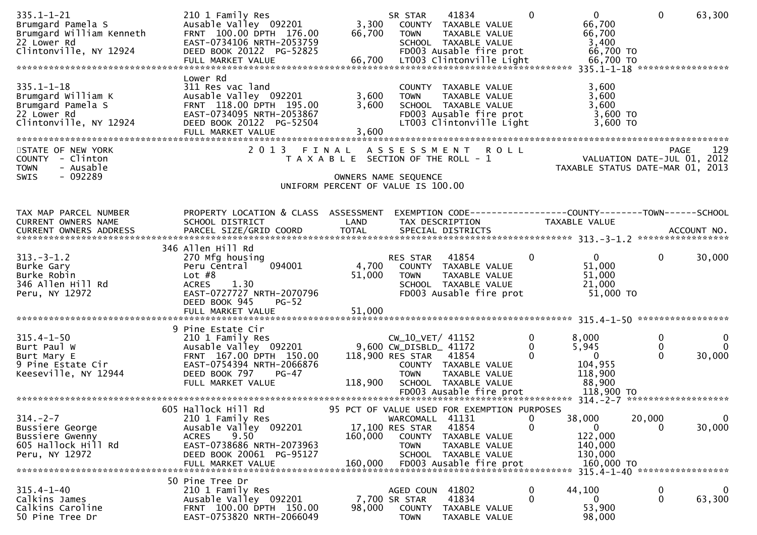| $335.1 - 1 - 21$<br>Brumgard Pamela S<br>Brumgard William Kenneth<br>22 Lower Rd<br>Clintonville, NY 12924<br>06,700 LT003 Clintonville Light 66,700 TO در سال FULL MARKET VALUE 66,700 LT003 Clintonville Light 66,700 TO و FULL MARKET VALUE | 210 1 Family Res<br>Ausable Valley 092201<br>FRNT 100.00 DPTH 176.00<br>EAST-0734106 NRTH-2053759<br>DEED BOOK 20122 PG-52825                                                                | 3,300<br>66,700                                                             | SR STAR<br><b>TOWN</b>                                       | 41834<br>COUNTY TAXABLE VALUE<br>TAXABLE VALUE<br>SCHOOL TAXABLE VALUE<br>FD003 Ausable fire prot                    | $\bf{0}$                            | $0 \qquad \qquad$<br>66,700<br>66,700<br>3,400<br>66,700 TO                    | $\mathbf{0}$                  | 63,300                                                    |
|------------------------------------------------------------------------------------------------------------------------------------------------------------------------------------------------------------------------------------------------|----------------------------------------------------------------------------------------------------------------------------------------------------------------------------------------------|-----------------------------------------------------------------------------|--------------------------------------------------------------|----------------------------------------------------------------------------------------------------------------------|-------------------------------------|--------------------------------------------------------------------------------|-------------------------------|-----------------------------------------------------------|
| $335.1 - 1 - 18$<br>Brumgard William K<br>Brumgard Pamela S<br>22 Lower Rd<br>Clintonville, NY 12924                                                                                                                                           | Lower Rd<br>311 Res vac land<br>Ausable Valley 092201<br>FRNT 118.00 DPTH 195.00<br>EAST-0734095 NRTH-2053867<br>DEED BOOK 20122 PG-52504<br>FULL MARKET VALUE                               | 3,600<br>3,600<br>3,600                                                     | <b>TOWN</b>                                                  | COUNTY TAXABLE VALUE<br>TAXABLE VALUE<br>SCHOOL TAXABLE VALUE<br>FD003 Ausable fire prot<br>LT003 Clintonville Light |                                     | 3,600<br>3,600<br>3,600<br>3,600 TO<br>$3,600$ TO                              |                               |                                                           |
| STATE OF NEW YORK<br>COUNTY - Clinton<br>- Ausable<br><b>TOWN</b><br>$-092289$<br><b>SWIS</b>                                                                                                                                                  | 2 0 1 3<br>FINAL                                                                                                                                                                             | T A X A B L E SECTION OF THE ROLL - 1<br>UNIFORM PERCENT OF VALUE IS 100.00 | A S S E S S M E N T<br>OWNERS NAME SEQUENCE                  |                                                                                                                      | <b>ROLL</b>                         | 0 L L<br>2012 VALUATION DATE-JUL 01, 2012<br>TAXABLE STATUS DATE-MAR 01, 2013  |                               | 129<br><b>PAGE</b>                                        |
| TAX MAP PARCEL NUMBER<br>CURRENT OWNERS NAME                                                                                                                                                                                                   | PROPERTY LOCATION & CLASS ASSESSMENT<br>SCHOOL DISTRICT                                                                                                                                      | LAND                                                                        |                                                              | TAX DESCRIPTION                                                                                                      |                                     | EXEMPTION CODE-----------------COUNTY--------TOWN------SCHOOL<br>TAXABLE VALUE |                               |                                                           |
| $313 - 3 - 1.2$<br>Burke Gary<br>Burke Robin<br>346 Allen Hill Rd<br>Peru, NY 12972                                                                                                                                                            | 346 Allen Hill Rd<br>270 Mfg housing<br>094001<br>Peru Central<br>Lot $#8$<br>1.30<br><b>ACRES</b><br>EAST-0727727 NRTH-2070796<br>DEED BOOK 945<br>$PG-52$<br>FULL MARKET VALUE             | 51,000<br>51,000                                                            | RES STAR 41854<br><b>TOWN</b>                                | 4,700 COUNTY TAXABLE VALUE<br>TAXABLE VALUE<br>SCHOOL TAXABLE VALUE<br>FD003 Ausable fire prot                       | $\overline{0}$                      | $\mathbf{0}$<br>51,000<br>51,000<br>21,000<br>51,000 TO                        | $\mathbf{0}$                  | 30,000                                                    |
|                                                                                                                                                                                                                                                |                                                                                                                                                                                              |                                                                             |                                                              |                                                                                                                      |                                     |                                                                                |                               |                                                           |
| $315.4 - 1 - 50$<br>Burt Paul W<br>Burt Paul W<br>Burt Mary E<br>9 Pine Estate Cir<br>Keeseville, NY 12944                                                                                                                                     | 9 Pine Estate Cir<br>210 1 Family Res<br>Ausable Valley 092201 9,600 CW_DISBLD_ 41172<br>FRNT 167.00 DPTH 150.00<br>EAST-0754394 NRTH-2066876<br>DEED BOOK 797<br>PG-47<br>FULL MARKET VALUE | 118,900                                                                     | CW_10_VET/ 41152<br>118,900 RES STAR 41854<br><b>TOWN</b>    | COUNTY TAXABLE VALUE<br>TAXABLE VALUE<br>SCHOOL TAXABLE VALUE<br>FD003 Ausable fire prot                             | $\mathbf 0$<br>$\bf{0}$<br>$\Omega$ | 8,000<br>5,945<br>$\overline{0}$<br>104,955<br>118,900<br>88,900<br>118,900 TO | 0<br>$\mathbf{0}$<br>$\Omega$ | $\bf{0}$<br>$\overline{0}$<br>30,000                      |
|                                                                                                                                                                                                                                                | 605 Hallock Hill Rd                                                                                                                                                                          | 95 PCT OF VALUE USED FOR EXEMPTION PURPOSES                                 |                                                              |                                                                                                                      |                                     |                                                                                |                               |                                                           |
| $314. -2 - 7$<br>Bussiere George<br>Bussiere Gwenny<br>605 Hallock Hill Rd<br>Peru, NY 12972                                                                                                                                                   | 210 1 Family Res<br>Ausable Valley 092201<br>9.50<br><b>ACRES</b><br>EAST-0738686 NRTH-2073963<br>DEED BOOK 20061 PG-95127<br>FULL MARKET VALUE                                              | 160,000<br>160,000                                                          | WARCOMALL<br>17,100 RES STAR<br><b>COUNTY</b><br><b>TOWN</b> | 41131<br>41854<br>TAXABLE VALUE<br>TAXABLE VALUE<br>SCHOOL TAXABLE VALUE<br>FD003 Ausable fire prot                  | 0<br>$\mathbf{0}$                   | 38,000<br>$\mathbf{0}$<br>122,000<br>140,000<br>130,000<br>160,000 TO          | 20,000<br>$\Omega$            | $\overline{0}$<br>30,000<br>315.4-1-40 ****************** |
|                                                                                                                                                                                                                                                | 50 Pine Tree Dr                                                                                                                                                                              |                                                                             |                                                              |                                                                                                                      |                                     |                                                                                |                               |                                                           |
| $315.4 - 1 - 40$<br>Calkins James<br>Calkins Caroline<br>50 Pine Tree Dr                                                                                                                                                                       | 210 1 Family Res<br>Ausable Valley 092201<br>FRNT 100.00 DPTH 150.00<br>EAST-0753820 NRTH-2066049                                                                                            | 98,000                                                                      | AGED COUN<br>7,700 SR STAR<br><b>COUNTY</b><br><b>TOWN</b>   | 41802<br>41834<br>TAXABLE VALUE<br>TAXABLE VALUE                                                                     | 0<br>$\mathbf{0}$                   | 44,100<br>$\Omega$<br>53,900<br>98,000                                         | $\bf{0}$<br>$\mathbf{0}$      | $\mathbf{0}$<br>63,300                                    |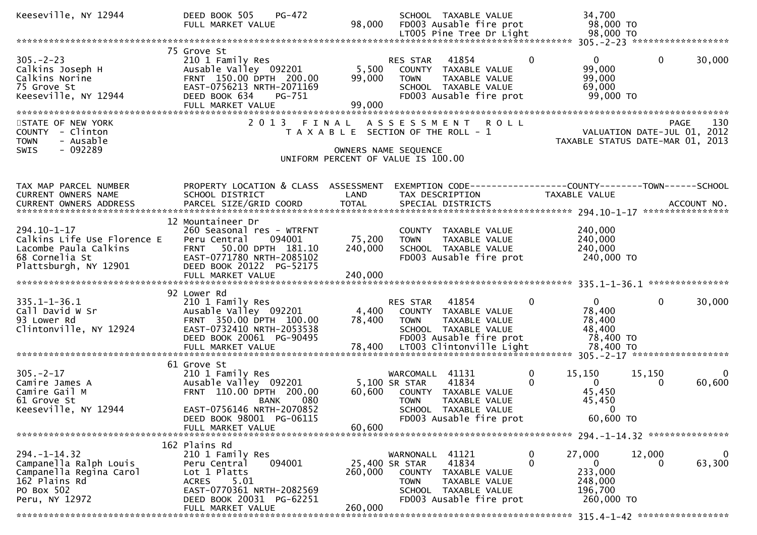| Keeseville, NY 12944                                                                                                     | DEED BOOK 505<br>PG-472<br>FULL MARKET VALUE                                                                                                                                            | 98,000                    | SCHOOL TAXABLE VALUE<br>FD003 Ausable fire prot<br>LT005 Pine Tree Dr Light                                                                                     | 34,700<br>98,000 TO<br>98,000 TO                                                           |                                                                                |
|--------------------------------------------------------------------------------------------------------------------------|-----------------------------------------------------------------------------------------------------------------------------------------------------------------------------------------|---------------------------|-----------------------------------------------------------------------------------------------------------------------------------------------------------------|--------------------------------------------------------------------------------------------|--------------------------------------------------------------------------------|
|                                                                                                                          |                                                                                                                                                                                         |                           |                                                                                                                                                                 |                                                                                            |                                                                                |
| $305. - 2 - 23$<br>Calkins Joseph H<br>Calkins Norine<br>75 Grove St<br>Keeseville, NY 12944                             | 75 Grove St<br>210 1 Family Res<br>Ausable Valley 092201<br>FRNT 150.00 DPTH 200.00<br>EAST-0756213 NRTH-2071169<br>DEED BOOK 634<br>PG-751<br>FULL MARKET VALUE                        | 5,500<br>99,000<br>99,000 | 41854<br><b>RES STAR</b><br>COUNTY TAXABLE VALUE<br><b>TOWN</b><br>TAXABLE VALUE<br>SCHOOL TAXABLE VALUE<br>FD003 Ausable fire prot                             | $\mathbf{0}$<br>$\overline{0}$<br>99,000<br>99,000<br>69,000<br>99,000 TO                  | $\mathbf{0}$<br>30,000                                                         |
| STATE OF NEW YORK<br>COUNTY - Clinton<br>- Ausable<br><b>TOWN</b><br>$-092289$<br><b>SWIS</b>                            |                                                                                                                                                                                         |                           | 2013 FINAL ASSESSMENT<br><b>ROLL</b><br>T A X A B L E SECTION OF THE ROLL - 1<br>OWNERS NAME SEQUENCE<br>UNIFORM PERCENT OF VALUE IS 100.00                     |                                                                                            | 130<br>PAGE<br>VALUATION DATE-JUL 01, 2012<br>TAXABLE STATUS DATE-MAR 01, 2013 |
| TAX MAP PARCEL NUMBER<br>CURRENT OWNERS NAME                                                                             | PROPERTY LOCATION & CLASS ASSESSMENT<br>SCHOOL DISTRICT                                                                                                                                 | LAND                      | EXEMPTION CODE------------------COUNTY--------TOWN------SCHOOL<br>TAX DESCRIPTION                                                                               | <b>TAXABLE VALUE</b>                                                                       |                                                                                |
| 294.10-1-17<br>Calkins Life Use Florence E<br>Lacombe Paula Calkins<br>68 Cornelia St<br>Plattsburgh, NY 12901           | 12 Mountaineer Dr<br>260 Seasonal res - WTRFNT<br>094001<br>Peru Central<br>50.00 DPTH 181.10<br><b>FRNT</b><br>EAST-0771780 NRTH-2085102<br>DEED BOOK 20122 PG-52175                   | 75,200<br>240,000         | COUNTY TAXABLE VALUE<br><b>TAXABLE VALUE</b><br>TOWN<br>SCHOOL TAXABLE VALUE<br>FD003 Ausable fire prot                                                         | 240,000<br>240,000<br>240,000<br>240,000 TO                                                |                                                                                |
| $335.1 - 1 - 36.1$<br>Call David W Sr<br>93 Lower Rd<br>Clintonville, NY 12924                                           | 92 Lower Rd<br>210 1 Family Res<br>Ausable Valley 092201<br>FRNT 350.00 DPTH 100.00<br>EAST-0732410 NRTH-2053538<br>DEED BOOK 20061 PG-90495<br>FULL MARKET VALUE                       | 4,400<br>78,400           | 41854<br>RES STAR<br>COUNTY TAXABLE VALUE<br><b>TOWN</b><br>TAXABLE VALUE<br>SCHOOL TAXABLE VALUE<br>FD003 Ausable fire prot<br>78,400 LT003 Clintonville Light | $\mathbf{0}$<br>$\bf{0}$<br>78,400<br>78,400<br>48,400<br>78,400 TO<br>78,400 TO           | $\mathbf 0$<br>30,000                                                          |
| $305. - 2 - 17$<br>Camire James A<br>Camire Gail M<br>61 Grove St<br>Keeseville, NY 12944                                | 61 Grove St<br>210 1 Family Res<br>Ausable Valley 092201<br>FRNT 110.00 DPTH 200.00<br>080<br><b>BANK</b><br>EAST-0756146 NRTH-2070852<br>DEED BOOK 98001 PG-06115<br>FULL MARKET VALUE | 60,600<br>60,600          | WARCOMALL 41131<br>41834<br>5,100 SR STAR<br>COUNTY TAXABLE VALUE<br>TAXABLE VALUE<br><b>TOWN</b><br>SCHOOL TAXABLE VALUE<br>FD003 Ausable fire prot            | 15,150<br>0<br>$\mathbf{0}$<br>$\overline{0}$<br>45,450<br>45,450<br>$\Omega$<br>60,600 TO | 15,150<br>0<br>60,600<br>0                                                     |
| $294. - 1 - 14.32$<br>Campanella Ralph Louis<br>Campanella Regina Carol<br>162 Plains Rd<br>PO Box 502<br>Peru, NY 12972 | 162 Plains Rd<br>210 1 Family Res<br>094001<br>Peru Central<br>Lot 1 Platts<br><b>ACRES</b><br>5.01<br>EAST-0770361 NRTH-2082569<br>DEED BOOK 20031 PG-62251<br>FULL MARKET VALUE       | 260,000<br>260,000        | 41121<br>WARNONALL<br>41834<br>25,400 SR STAR<br>COUNTY TAXABLE VALUE<br>TAXABLE VALUE<br><b>TOWN</b><br>SCHOOL TAXABLE VALUE<br>FD003 Ausable fire prot        | 27,000<br>0<br>$\Omega$<br>$\overline{0}$<br>233,000<br>248,000<br>196,700<br>260,000 TO   | 12,000<br>$\mathbf 0$<br>63,300<br>0                                           |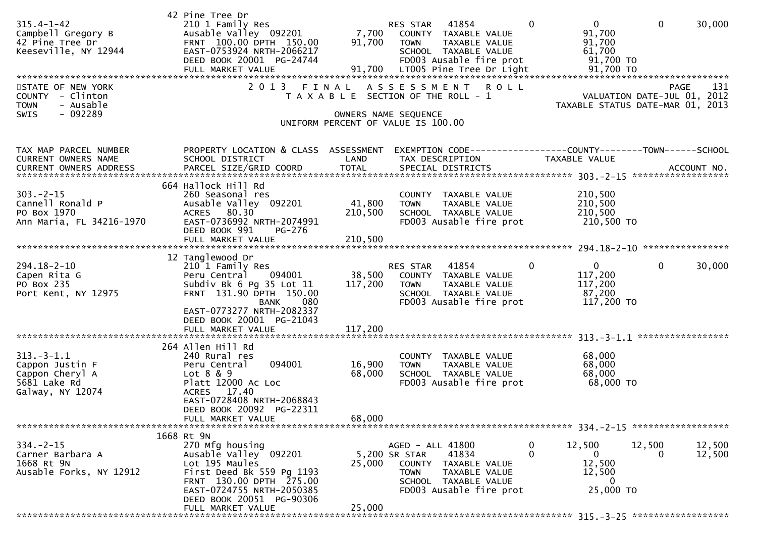| $315.4 - 1 - 42$<br>Campbell Gregory B<br>42 Pine Tree Dr<br>Keeseville, NY 12944             | 42 Pine Tree Dr<br>210 1 Family Res<br>Ausable Valley 092201<br>FRNT 100.00 DPTH 150.00<br>EAST-0753924 NRTH-2066217<br>DEED BOOK 20001 PG-24744                                                               | 7,700<br>91,700   | RES STAR 41854<br>COUNTY TAXABLE VALUE<br>TAXABLE VALUE<br><b>TOWN</b><br>SCHOOL TAXABLE VALUE<br>FD003 Ausable fire prot                                | $\overline{0}$<br>$\mathbf{0}$<br>91,700<br>91,700<br>61,700<br>91,700 TO    | $\mathbf 0$<br>30,000                                                                 |
|-----------------------------------------------------------------------------------------------|----------------------------------------------------------------------------------------------------------------------------------------------------------------------------------------------------------------|-------------------|----------------------------------------------------------------------------------------------------------------------------------------------------------|------------------------------------------------------------------------------|---------------------------------------------------------------------------------------|
| STATE OF NEW YORK<br>COUNTY - Clinton<br>- Ausable<br><b>TOWN</b><br>$-092289$<br><b>SWIS</b> |                                                                                                                                                                                                                |                   | 2013 FINAL ASSESSMENT<br><b>ROLL</b><br>T A X A B L E SECTION OF THE ROLL - 1<br>OWNERS NAME SEQUENCE<br>UNIFORM PERCENT OF VALUE IS 100.00              |                                                                              | 131<br><b>PAGE</b><br>VALUATION DATE-JUL 01, 2012<br>TAXABLE STATUS DATE-MAR 01, 2013 |
| TAX MAP PARCEL NUMBER<br>CURRENT OWNERS NAME                                                  | PROPERTY LOCATION & CLASS ASSESSMENT<br>SCHOOL DISTRICT<br>664 Hallock Hill Rd                                                                                                                                 | LAND              | EXEMPTION CODE-----------------COUNTY-------TOWN------SCHOOL<br>TAX DESCRIPTION                                                                          | <b>TAXABLE VALUE</b>                                                         |                                                                                       |
| $303 - 2 - 15$<br>Cannell Ronald P<br>PO Box 1970<br>Ann Maria, FL 34216-1970                 | 260 Seasonal res<br>Ausable Valley 092201<br>ACRES 80.30<br>EAST-0736992 NRTH-2074991<br>DEED BOOK 991<br>PG-276                                                                                               | 41,800<br>210,500 | COUNTY TAXABLE VALUE<br><b>TOWN</b><br>TAXABLE VALUE<br>SCHOOL TAXABLE VALUE<br>FD003 Ausable fire prot                                                  | 210,500<br>210,500<br>210,500<br>210,500 TO                                  |                                                                                       |
|                                                                                               |                                                                                                                                                                                                                |                   |                                                                                                                                                          |                                                                              |                                                                                       |
| $294.18 - 2 - 10$<br>Capen Rita G<br>PO Box 235<br>Port Kent, NY 12975                        | 12 Tanglewood Dr<br>210 1 Family Res<br>094001<br>Peru Central<br>Subdiv Bk 6 Pg 35 Lot 11<br>FRNT 131.90 DPTH 150.00<br>080<br>BANK<br>EAST-0773277 NRTH-2082337                                              | 38,500<br>117,200 | 41854<br>RES STAR<br>COUNTY TAXABLE VALUE<br><b>TOWN</b><br>TAXABLE VALUE<br>SCHOOL TAXABLE VALUE<br>FD003 Ausable fire prot                             | $\mathbf 0$<br>$\Omega$<br>117,200<br>117,200<br>87,200<br>117,200 TO        | 0<br>30,000                                                                           |
|                                                                                               | DEED BOOK 20001 PG-21043                                                                                                                                                                                       |                   |                                                                                                                                                          |                                                                              |                                                                                       |
| $313.-3-1.1$<br>Cappon Justin F<br>Cappon Cheryl A<br>5681 Lake Rd<br>Galway, NY 12074        | 264 Allen Hill Rd<br>240 Rural res<br>094001<br>Peru Central<br>Lot 8 & 9<br>Platt 12000 Ac Loc<br>ACRES 17.40<br>EAST-0728408 NRTH-2068843                                                                    | 16,900<br>68,000  | COUNTY TAXABLE VALUE<br>TAXABLE VALUE<br><b>TOWN</b><br>SCHOOL TAXABLE VALUE<br>FD003 Ausable fire prot                                                  | 68,000<br>68,000<br>68,000<br>68,000 TO                                      |                                                                                       |
|                                                                                               | DEED BOOK 20092 PG-22311<br>FULL MARKET VALUE                                                                                                                                                                  | 68,000            |                                                                                                                                                          |                                                                              |                                                                                       |
| $334 - 2 - 15$<br>Carner Barbara A<br>1668 Rt 9N<br>Ausable Forks, NY 12912                   | 1668 Rt 9N<br>270 Mfg housing<br>Ausable Valley 092201<br>Lot 195 Maules<br>First Deed Bk 559 Pg 1193<br>FRNT 130.00 DPTH 275.00<br>EAST-0724755 NRTH-2050385<br>DEED BOOK 20051 PG-90306<br>FULL MARKET VALUE | 25,000<br>25,000  | AGED - ALL 41800<br>41834<br>5,200 SR STAR<br>COUNTY<br>TAXABLE VALUE<br><b>TOWN</b><br>TAXABLE VALUE<br>SCHOOL TAXABLE VALUE<br>FD003 Ausable fire prot | 12,500<br>0<br>$\Omega$<br>0<br>12,500<br>12,500<br>$\mathbf 0$<br>25,000 TO | 12,500<br>12,500<br>12,500<br>0                                                       |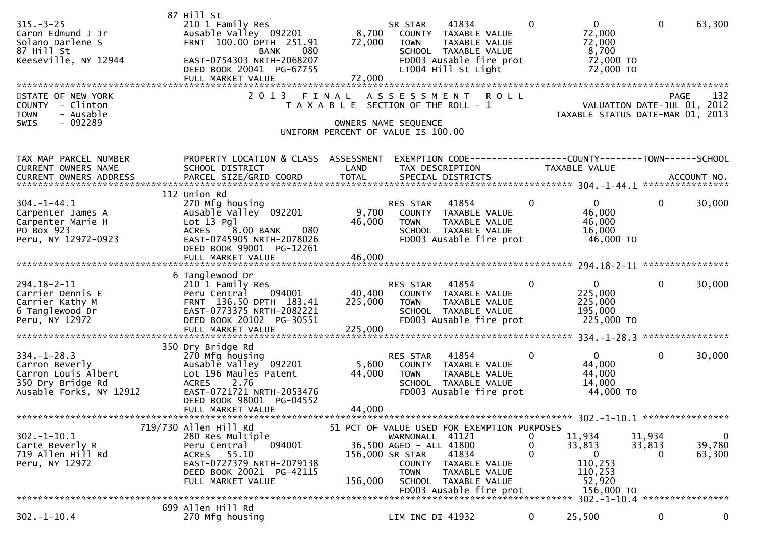| $315. - 3 - 25$<br>Caron Edmund J Jr<br>Solano Darlene S<br>87 Hill St<br>Keeseville, NY 12944<br>********************<br>STATE OF NEW YORK<br><b>COUNTY</b><br>- Clinton<br>- Ausable<br><b>TOWN</b> | 87 Hill St<br>210 1 Family Res<br>Ausable Valley 092201<br>FRNT 100.00 DPTH 251.91<br>080<br><b>BANK</b><br>EAST-0754303 NRTH-2068207<br>DEED BOOK 20041 PG-67755<br>FULL MARKET VALUE<br>*******************************<br>2 0 1 3 | 8,700<br>72,000<br>72,000<br>FINAL | 41834<br>SR STAR<br>COUNTY TAXABLE VALUE<br>TAXABLE VALUE<br>TOWN<br>SCHOOL TAXABLE VALUE<br>FD003 Ausable fire prot<br>LT004 Hill St Light<br>A S S E S S M E N T<br><b>ROLL</b><br>T A X A B L E SECTION OF THE ROLL - 1 | 0                      | $\mathbf{0}$<br>72,000<br>72,000<br>8,700<br>72,000 TO<br>72,000 TO<br>VALUATION DATE-JUL 01, 2012<br>TAXABLE STATUS DATE-MAR 01, 2013 | $\mathbf{0}$          | 63,300<br>132<br>PAGE           |
|-------------------------------------------------------------------------------------------------------------------------------------------------------------------------------------------------------|--------------------------------------------------------------------------------------------------------------------------------------------------------------------------------------------------------------------------------------|------------------------------------|----------------------------------------------------------------------------------------------------------------------------------------------------------------------------------------------------------------------------|------------------------|----------------------------------------------------------------------------------------------------------------------------------------|-----------------------|---------------------------------|
| $-092289$<br>SWIS                                                                                                                                                                                     |                                                                                                                                                                                                                                      |                                    | OWNERS NAME SEQUENCE<br>UNIFORM PERCENT OF VALUE IS 100.00                                                                                                                                                                 |                        |                                                                                                                                        |                       |                                 |
| TAX MAP PARCEL NUMBER<br>CURRENT OWNERS NAME                                                                                                                                                          | PROPERTY LOCATION & CLASS ASSESSMENT<br>SCHOOL DISTRICT                                                                                                                                                                              | LAND                               | EXEMPTION CODE-----------------COUNTY-------TOWN------SCHOOL<br>TAX DESCRIPTION                                                                                                                                            |                        | TAXABLE VALUE                                                                                                                          |                       |                                 |
| $304. -1 - 44.1$<br>Carpenter James A<br>Carpenter Marie H<br>PO Box 923<br>Peru, NY 12972-0923                                                                                                       | 112 Union Rd<br>270 Mfg housing<br>Ausable Valley 092201<br>$Lot 13$ Pgl<br><b>ACRES</b><br>8.00 BANK<br>080<br>EAST-0745905 NRTH-2078026<br>DEED BOOK 99001 PG-12261<br>FULL MARKET VALUE                                           | 9,700<br>46,000<br>46,000          | RES STAR<br>41854<br>COUNTY<br>TAXABLE VALUE<br><b>TOWN</b><br>TAXABLE VALUE<br>SCHOOL TAXABLE VALUE<br>FD003 Ausable fire prot                                                                                            | 0                      | $\Omega$<br>46,000<br>46,000<br>16,000<br>46,000 TO                                                                                    | $\mathbf{0}$          | 30,000                          |
|                                                                                                                                                                                                       |                                                                                                                                                                                                                                      |                                    |                                                                                                                                                                                                                            |                        |                                                                                                                                        |                       |                                 |
| 294.18-2-11<br>Carrier Dennis E<br>Carrier Kathy M<br>6 Tanglewood Dr<br>Peru, NY 12972                                                                                                               | 6 Tanglewood Dr<br>210 1 Family Res<br>094001<br>Peru Central<br>FRNT 136.50 DPTH 183.41<br>EAST-0773375 NRTH-2082221<br>DEED BOOK 20102 PG-30551                                                                                    | 40,400<br>225,000                  | 41854<br>RES STAR<br>COUNTY TAXABLE VALUE<br>TAXABLE VALUE<br><b>TOWN</b><br>SCHOOL TAXABLE VALUE<br>FD003 Ausable fire prot                                                                                               | 0                      | $\mathbf{0}$<br>225,000<br>225,000<br>195,000<br>225,000 TO                                                                            | $\Omega$              | 30,000                          |
|                                                                                                                                                                                                       | FULL MARKET VALUE                                                                                                                                                                                                                    | 225,000                            |                                                                                                                                                                                                                            |                        |                                                                                                                                        |                       | ****************                |
| $334. - 1 - 28.3$<br>Carron Beverly<br>Carron Louis Albert<br>350 Dry Bridge Rd<br>Ausable Forks, NY 12912                                                                                            | 350 Dry Bridge Rd<br>270 Mfg housing<br>Ausable Valley 092201<br>Lot 196 Maules Patent<br><b>ACRES</b><br>2.76<br>EAST-0721721 NRTH-2053476<br>DEED BOOK 98001 PG-04552                                                              | 5,600<br>44,000                    | RES STAR<br>41854<br>COUNTY TAXABLE VALUE<br><b>TOWN</b><br>TAXABLE VALUE<br>SCHOOL TAXABLE VALUE<br>FD003 Ausable fire prot                                                                                               | 0                      | $\Omega$<br>44,000<br>44,000<br>14,000<br>44,000 TO                                                                                    | $\mathbf 0$           | 30,000                          |
|                                                                                                                                                                                                       | FULL MARKET VALUE                                                                                                                                                                                                                    | 44,000                             |                                                                                                                                                                                                                            |                        |                                                                                                                                        |                       |                                 |
|                                                                                                                                                                                                       | 719/730 Allen Hill Rd                                                                                                                                                                                                                |                                    | 51 PCT OF VALUE USED FOR EXEMPTION PURPOSES                                                                                                                                                                                |                        |                                                                                                                                        |                       |                                 |
| $302 - 1 - 10.1$<br>Carte Beverly R<br>719 Allen Hill Rd<br>Peru, NY 12972                                                                                                                            | 280 Res Multiple<br>094001<br>Peru Central<br>ACRES 55.10<br>EAST-0727379 NRTH-2079138<br>DEED BOOK 20021 PG-42115<br>FULL MARKET VALUE                                                                                              | 156,000                            | WARNONALL 41121<br>36,500 AGED - ALL 41800<br>156,000 SR STAR<br>41834<br>TAXABLE VALUE<br>COUNTY<br>TAXABLE VALUE<br><b>TOWN</b><br>SCHOOL TAXABLE VALUE                                                                  | 0<br>0<br>$\mathbf{0}$ | 11,934<br>33,813<br>$\mathbf{0}$<br>110,253<br>110,253<br>52,920                                                                       | 11,934<br>33,813<br>0 | $\mathbf 0$<br>39,780<br>63,300 |
|                                                                                                                                                                                                       |                                                                                                                                                                                                                                      |                                    | FD003 Ausable fire prot                                                                                                                                                                                                    |                        | 156,000 TO                                                                                                                             |                       | ****************                |
| $302 - 1 - 10.4$                                                                                                                                                                                      | 699 Allen Hill Rd<br>270 Mfg housing                                                                                                                                                                                                 |                                    | LIM INC DI 41932                                                                                                                                                                                                           | 0                      | 25,500                                                                                                                                 | $\mathbf 0$           | 0                               |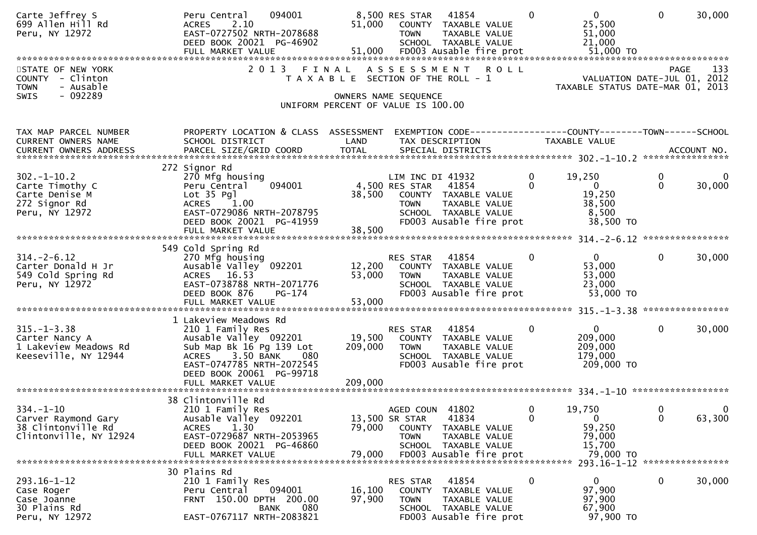| Carte Jeffrey S<br>699 Allen Hill Rd<br>Peru, NY 12972                                                  | 094001<br>Peru Central<br>2.10<br><b>ACRES</b><br>EAST-0727502 NRTH-2078688<br>DEED BOOK 20021 PG-46902<br>FULL MARKET VALUE                                                                | 51,000<br>51,000           | 8,500 RES STAR<br>41854<br>COUNTY TAXABLE VALUE<br><b>TOWN</b><br>SCHOOL TAXABLE VALUE<br>FD003 Ausable fire prot                     | $\mathbf{0}$<br>TAXABLE VALUE                       | $\mathbf{0}$<br>25,500<br>51,000<br>21,000<br>51,000 TO                                              | $\mathbf 0$             | 30,000      |
|---------------------------------------------------------------------------------------------------------|---------------------------------------------------------------------------------------------------------------------------------------------------------------------------------------------|----------------------------|---------------------------------------------------------------------------------------------------------------------------------------|-----------------------------------------------------|------------------------------------------------------------------------------------------------------|-------------------------|-------------|
| STATE OF NEW YORK<br>- Clinton<br><b>COUNTY</b><br><b>TOWN</b><br>- Ausable<br>$-092289$<br><b>SWIS</b> | 2 0 1 3                                                                                                                                                                                     | FINAL                      | ASSESSMENT<br>T A X A B L E SECTION OF THE ROLL - 1<br>OWNERS NAME SEQUENCE                                                           | <b>ROLL</b>                                         | VALUATION DATE-JUL 01, 2012<br>TAXABLE STATUS DATE-MAR 01, 2013                                      | PAGE                    | 133         |
|                                                                                                         |                                                                                                                                                                                             |                            | UNIFORM PERCENT OF VALUE IS 100.00                                                                                                    |                                                     |                                                                                                      |                         |             |
| TAX MAP PARCEL NUMBER<br>CURRENT OWNERS NAME<br>CURRENT OWNERS ADDRESS                                  | PROPERTY LOCATION & CLASS ASSESSMENT<br>SCHOOL DISTRICT                                                                                                                                     | LAND                       | TAX DESCRIPTION                                                                                                                       |                                                     | EXEMPTION CODE-----------------COUNTY-------TOWN------SCHOOL<br>TAXABLE VALUE                        |                         |             |
| $302 - 1 - 10.2$<br>Carte Timothy C<br>Carte Denise M<br>272 Signor Rd<br>Peru, NY 12972                | 272 Signor Rd<br>270 Mfg housing<br>094001<br>Peru Central<br>Lot 35 Pgl<br><b>ACRES</b><br>1.00<br>EAST-0729086 NRTH-2078795<br>DEED BOOK 20021 PG-41959<br>FULL MARKET VALUE              | 38,500<br>38,500           | LIM INC DI 41932<br>4,500 RES STAR<br>41854<br>COUNTY TAXABLE VALUE<br><b>TOWN</b><br>SCHOOL TAXABLE VALUE<br>FD003 Ausable fire prot | $\mathbf 0$<br>$\Omega$<br>TAXABLE VALUE            | 19,250<br>$\mathbf{0}$<br>19,250<br>38,500<br>8,500<br>38,500 TO                                     | $\mathbf 0$<br>$\Omega$ | 0<br>30,000 |
| $314. - 2 - 6.12$<br>Carter Donald H Jr<br>549 Cold Spring Rd<br>Peru, NY 12972                         | 549 Cold Spring Rd<br>270 Mfg housing<br>Ausable Valley 092201<br>ACRES 16.53<br>EAST-0738788 NRTH-2071776<br>DEED BOOK 876<br>PG-174<br>FULL MARKET VALUE                                  | 12,200<br>53,000<br>53,000 | 41854<br>RES STAR<br>COUNTY TAXABLE VALUE<br><b>TOWN</b><br>SCHOOL TAXABLE VALUE<br>FD003 Ausable fire prot                           | $\mathbf 0$<br>TAXABLE VALUE                        | $\overline{0}$<br>53,000<br>53,000<br>23,000<br>53,000 TO                                            | $\mathbf 0$             | 30,000      |
| $315. - 1 - 3.38$<br>Carter Nancy A<br>1 Lakeview Meadows Rd<br>Keeseville, NY 12944                    | 1 Lakeview Meadows Rd<br>210 1 Family Res<br>Ausable Valley 092201<br>Sub Map Bk 16 Pg 139 Lot<br>3.50 BANK<br><b>ACRES</b><br>080<br>EAST-0747785 NRTH-2072545<br>DEED BOOK 20061 PG-99718 | 19,500<br>209,000          | 41854<br>RES STAR<br>COUNTY TAXABLE VALUE<br><b>TOWN</b><br>SCHOOL TAXABLE VALUE<br>FD003 Ausable fire prot                           | 0<br>TAXABLE VALUE                                  | $\overline{0}$<br>209,000<br>209,000<br>179,000<br>209,000 TO                                        | $\mathbf{0}$            | 30,000      |
| $334. - 1 - 10$<br>Carver Raymond Gary<br>38 Clintonville Rd<br>Clintonville, NY 12924                  | 38 Clintonville Rd<br>210 1 Family Res<br>Ausable Valley 092201<br>1.30<br><b>ACRES</b><br>EAST-0729687 NRTH-2053965<br>DEED BOOK 20021 PG-46860<br>FULL MARKET VALUE                       | 79,000<br>79,000           | 41802<br>AGED COUN<br>41834<br>13,500 SR STAR<br><b>COUNTY</b><br><b>TOWN</b><br>SCHOOL TAXABLE VALUE<br>FD003 Ausable fire prot      | 0<br>$\mathbf{0}$<br>TAXABLE VALUE<br>TAXABLE VALUE | 19,750<br>$\overline{0}$<br>59,250<br>79,000<br>15,700<br>79,000 TO<br>293.16-1-12 ***************** | 0<br>$\mathbf{0}$       | 0<br>63,300 |
| $293.16 - 1 - 12$<br>Case Roger<br>Case Joanne<br>30 Plains Rd<br>Peru, NY 12972                        | 30 Plains Rd<br>210 1 Family Res<br>094001<br>Peru Central<br>FRNT 150.00 DPTH 200.00<br>080<br>BANK<br>EAST-0767117 NRTH-2083821                                                           | 16,100<br>97,900           | 41854<br>RES STAR<br>COUNTY TAXABLE VALUE<br><b>TOWN</b><br>SCHOOL TAXABLE VALUE<br>FD003 Ausable fire prot                           | $\bf{0}$<br>TAXABLE VALUE                           | 0<br>97,900<br>97,900<br>67,900<br>97,900 TO                                                         | 0                       | 30,000      |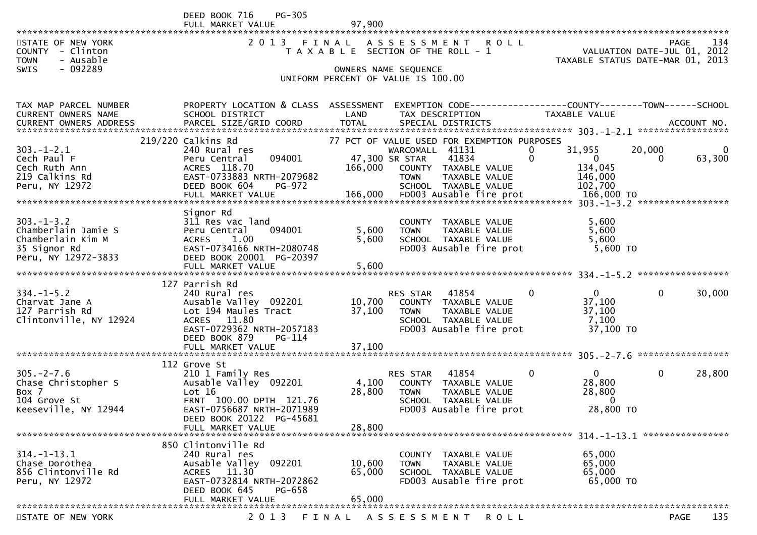|                                                                                                         | DEED BOOK 716<br>$PG-305$<br>FULL MARKET VALUE                                                                                                                                      | 97.900                     |                                                                                                                                                                           |                                                                                 |                                                                                                                         |
|---------------------------------------------------------------------------------------------------------|-------------------------------------------------------------------------------------------------------------------------------------------------------------------------------------|----------------------------|---------------------------------------------------------------------------------------------------------------------------------------------------------------------------|---------------------------------------------------------------------------------|-------------------------------------------------------------------------------------------------------------------------|
| STATE OF NEW YORK<br><b>COUNTY</b><br>- Clinton<br><b>TOWN</b><br>- Ausable<br>$-092289$<br><b>SWIS</b> | 2 0 1 3                                                                                                                                                                             | FINAL                      | ASSESSMENT ROLL<br>T A X A B L E SECTION OF THE ROLL - 1<br>OWNERS NAME SEQUENCE<br>UNIFORM PERCENT OF VALUE IS 100.00                                                    |                                                                                 | 134<br>PAGE 134<br>VALUATION DATE-JUL 01, 2012<br>TAXARLE STATUS DATE :::- 21, 2012<br>TAXABLE STATUS DATE-MAR 01, 2013 |
| TAX MAP PARCEL NUMBER<br>CURRENT OWNERS NAME<br><b>CURRENT OWNERS ADDRESS</b>                           | PROPERTY LOCATION & CLASS ASSESSMENT<br>SCHOOL DISTRICT<br>PARCEL SIZE/GRID COORD                                                                                                   | LAND<br><b>TOTAL</b>       | EXEMPTION CODE------------------COUNTY--------TOWN------SCHOOL<br>TAX DESCRIPTION<br>SPECIAL DISTRICTS                                                                    | TAXABLE VALUE                                                                   | ACCOUNT NO.                                                                                                             |
| $303 - 1 - 2.1$<br>Cech Paul F<br>Cech Ruth Ann<br>219 Calkins Rd<br>Peru, NY 12972                     | 219/220 Calkins Rd<br>240 Rural res<br>094001<br>Peru Central<br>ACRES 118.70<br>EAST-0733883 NRTH-2079682<br>DEED BOOK 604<br>PG-972                                               | 166,000                    | 77 PCT OF VALUE USED FOR EXEMPTION PURPOSES<br>WARCOMALL 41131<br>47,300 SR STAR<br>41834<br>COUNTY TAXABLE VALUE<br>TAXABLE VALUE<br><b>TOWN</b><br>SCHOOL TAXABLE VALUE | 31,955<br>0<br>$\mathbf{0}$<br>$\overline{0}$<br>134,045<br>146,000<br>102,700  | 20,000<br>0<br>63,300<br>0                                                                                              |
| $303. -1 - 3.2$<br>Chamberlain Jamie S<br>Chamberlain Kim M<br>35 Signor Rd<br>Peru, NY 12972-3833      | Signor Rd<br>311 Res vac land<br>094001<br>Peru Central<br>1.00<br><b>ACRES</b><br>EAST-0734166 NRTH-2080748<br>DEED BOOK 20001 PG-20397                                            | 5,600<br>5,600             | COUNTY TAXABLE VALUE<br><b>TOWN</b><br>TAXABLE VALUE<br>SCHOOL TAXABLE VALUE<br>FD003 Ausable fire prot                                                                   | 5,600<br>5,600<br>5,600<br>$5,600$ TO                                           |                                                                                                                         |
| $334. - 1 - 5.2$<br>Charvat Jane A<br>127 Parrish Rd<br>Clintonville, NY 12924                          | 127 Parrish Rd<br>240 Rural res<br>Ausable Valley 092201<br>Lot 194 Maules Tract<br>ACRES 11.80<br>EAST-0729362 NRTH-2057183<br>DEED BOOK 879<br><b>PG-114</b><br>FULL MARKET VALUE | 10,700<br>37,100<br>37,100 | 41854<br><b>RES STAR</b><br>COUNTY TAXABLE VALUE<br>TAXABLE VALUE<br><b>TOWN</b><br>SCHOOL TAXABLE VALUE<br>FD003 Ausable fire prot                                       | $\mathbf{0}$<br>0<br>37,100<br>37,100<br>7,100<br>37,100 TO                     | $\mathbf 0$<br>30,000                                                                                                   |
| $305. -2 - 7.6$<br>Chase Christopher S<br>Box 7<br>104 Grove St<br>Keeseville, NY 12944                 | 112 Grove St<br>210 1 Family Res<br>Ausable Valley 092201<br>Lot 16<br>FRNT 100.00 DPTH 121.76<br>EAST-0756687 NRTH-2071989<br>DEED BOOK 20122 PG-45681<br>FULL MARKET VALUE        | 4,100<br>28,800<br>28,800  | 41854<br>RES STAR<br>COUNTY TAXABLE VALUE<br>TAXABLE VALUE<br><b>TOWN</b><br>SCHOOL TAXABLE VALUE<br>FD003 Ausable fire prot                                              | $\mathbf{0}$<br>$\overline{0}$<br>28,800<br>28,800<br>$\mathbf{0}$<br>28,800 TO | $\mathbf 0$<br>28,800                                                                                                   |
| $314. - 1 - 13.1$<br>Chase Dorothea<br>856 Clintonville Rd<br>Peru, NY 12972                            | 850 Clintonville Rd<br>240 Rural res<br>Ausable Valley<br>092201<br>ACRES 11.30<br>EAST-0732814 NRTH-2072862<br>DEED BOOK 645<br>PG-658<br>FULL MARKET VALUE                        | 10,600<br>65,000<br>65,000 | COUNTY TAXABLE VALUE<br>TAXABLE VALUE<br><b>TOWN</b><br>SCHOOL TAXABLE VALUE<br>FD003 Ausable fire prot                                                                   | 65,000<br>65,000<br>65,000<br>65,000 TO                                         |                                                                                                                         |

STATE OF NEW YORK 2013 FINAL ASSESSMENT ROLL PAGE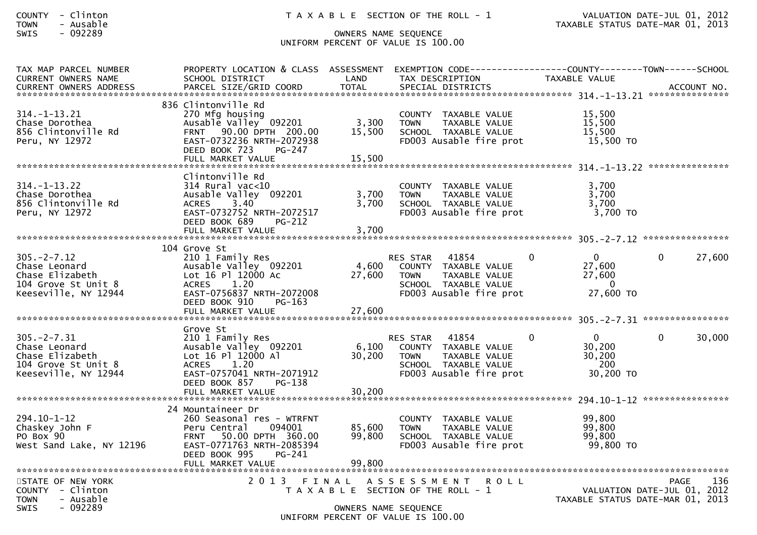| <b>COUNTY</b> | - | Clinton |
|---------------|---|---------|
| <b>TOWN</b>   | - | Ausable |

## SWIS - 092289 OWNERS NAME SEQUENCE UNIFORM PERCENT OF VALUE IS 100.00

| TAX MAP PARCEL NUMBER<br><b>CURRENT OWNERS NAME</b>                                                 | PROPERTY LOCATION & CLASS ASSESSMENT<br>SCHOOL DISTRICT                                                                                                                  | LAND                      | TAX DESCRIPTION                                                                                                                     | EXEMPTION        CODE-----------------COUNTY-------TOWN------SCHOOL<br>TAXABLE VALUE |                                                                                |
|-----------------------------------------------------------------------------------------------------|--------------------------------------------------------------------------------------------------------------------------------------------------------------------------|---------------------------|-------------------------------------------------------------------------------------------------------------------------------------|--------------------------------------------------------------------------------------|--------------------------------------------------------------------------------|
|                                                                                                     |                                                                                                                                                                          |                           |                                                                                                                                     |                                                                                      |                                                                                |
| $314. - 1 - 13.21$<br>Chase Dorothea<br>856 Clintonville Rd<br>Peru, NY 12972                       | 836 Clintonville Rd<br>270 Mfg housing<br>Ausable Valley 092201<br>FRNT 90.00 DPTH 200.00<br>EAST-0732236 NRTH-2072938<br>DEED BOOK 723<br>$PG-247$<br>FULL MARKET VALUE | 3,300<br>15,500<br>15,500 | COUNTY TAXABLE VALUE<br><b>TOWN</b><br>TAXABLE VALUE<br>SCHOOL TAXABLE VALUE<br>FD003 Ausable fire prot                             | 15,500<br>15,500<br>15,500<br>15,500 TO                                              |                                                                                |
|                                                                                                     | Clintonville Rd                                                                                                                                                          |                           |                                                                                                                                     |                                                                                      |                                                                                |
| $314. - 1 - 13.22$<br>Chase Dorothea<br>856 Clintonville Rd<br>Peru, NY 12972                       | 314 Rural vac<10<br>Ausable Valley 092201<br>ACRES 3.40<br>EAST-0732752 NRTH-2072517<br>DEED BOOK 689<br><b>PG-212</b>                                                   | 3,700<br>3,700            | COUNTY TAXABLE VALUE<br>TAXABLE VALUE<br><b>TOWN</b><br>SCHOOL TAXABLE VALUE<br>FD003 Ausable fire prot                             | 3.700<br>3,700<br>3,700<br>3,700 TO                                                  |                                                                                |
|                                                                                                     |                                                                                                                                                                          |                           |                                                                                                                                     |                                                                                      |                                                                                |
|                                                                                                     | 104 Grove St                                                                                                                                                             |                           |                                                                                                                                     |                                                                                      |                                                                                |
| $305. -2 - 7.12$<br>Chase Leonard<br>Chase Elizabeth<br>104 Grove St Unit 8<br>Keeseville, NY 12944 | 210 1 Family Res<br>Ausable Valley 092201<br>Lot 16 Pl 12000 Ac<br>1.20<br><b>ACRES</b><br>EAST-0756837 NRTH-2072008<br>DEED BOOK 910<br>PG-163                          | 4,600<br>27,600           | 41854<br>RES STAR<br>COUNTY TAXABLE VALUE<br><b>TOWN</b><br>TAXABLE VALUE<br>SCHOOL TAXABLE VALUE<br>FD003 Ausable fire prot        | $\Omega$<br>$\mathbf{0}$<br>27,600<br>27,600<br>$\mathbf{0}$<br>27,600 TO            | 27,600<br>0                                                                    |
|                                                                                                     | FULL MARKET VALUE                                                                                                                                                        | 27,600                    |                                                                                                                                     |                                                                                      |                                                                                |
| $305. -2 - 7.31$<br>Chase Leonard<br>Chase Elizabeth<br>104 Grove St Unit 8<br>Keeseville, NY 12944 | Grove St<br>210 1 Family Res<br>Ausable Valley 092201<br>Lot 16 Pl 12000 Al<br>1.20<br><b>ACRES</b><br>EAST-0757041 NRTH-2071912<br>DEED BOOK 857<br>PG-138              | 6,100<br>30,200           | <b>RES STAR</b><br>41854<br>COUNTY TAXABLE VALUE<br><b>TOWN</b><br>TAXABLE VALUE<br>SCHOOL TAXABLE VALUE<br>FD003 Ausable fire prot | $\Omega$<br>$\Omega$<br>30,200<br>30,200<br>- 200<br>30,200 TO                       | $\Omega$<br>30,000                                                             |
|                                                                                                     | FULL MARKET VALUE                                                                                                                                                        | 30,200                    |                                                                                                                                     |                                                                                      |                                                                                |
| $294.10 - 1 - 12$<br>Chaskey John F<br>PO Box 90<br>West Sand Lake, NY 12196                        | 24 Mountaineer Dr<br>260 Seasonal res - WTRFNT<br>094001<br>Peru Central<br>50.00 DPTH 360.00<br><b>FRNT</b><br>EAST-0771763 NRTH-2085394<br>DEED BOOK 995<br>$PG-241$   | 85,600<br>99,800          | COUNTY TAXABLE VALUE<br><b>TOWN</b><br>TAXABLE VALUE<br>SCHOOL TAXABLE VALUE<br>FD003 Ausable fire prot                             | 99,800<br>99,800<br>99,800<br>99,800 TO                                              |                                                                                |
|                                                                                                     | FULL MARKET VALUE                                                                                                                                                        | 99,800                    |                                                                                                                                     |                                                                                      |                                                                                |
| STATE OF NEW YORK<br>COUNTY - Clinton<br><b>TOWN</b><br>- Ausable<br><b>SWIS</b><br>- 092289        |                                                                                                                                                                          |                           | 2013 FINAL ASSESSMENT ROLL<br>T A X A B L E SECTION OF THE ROLL - 1<br>OWNERS NAME SEQUENCE                                         |                                                                                      | 136<br>PAGE<br>VALUATION DATE-JUL 01, 2012<br>TAXABLE STATUS DATE-MAR 01, 2013 |
|                                                                                                     |                                                                                                                                                                          |                           | UNIFORM PERCENT OF VALUE IS 100.00                                                                                                  |                                                                                      |                                                                                |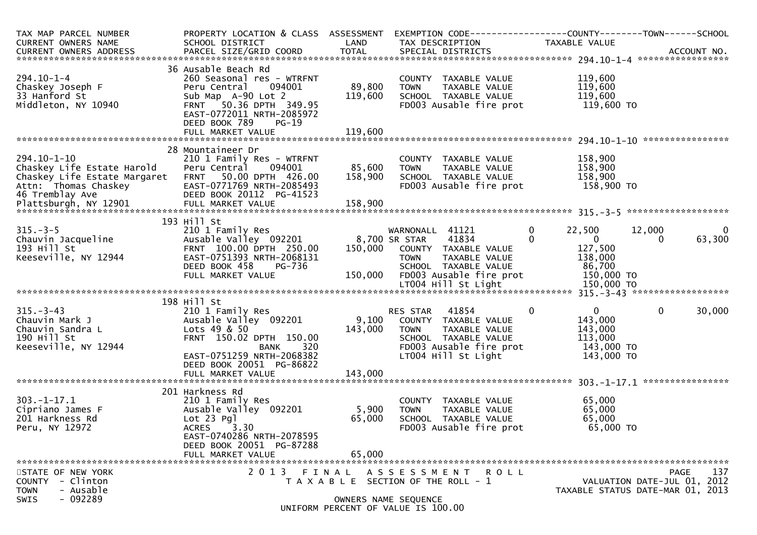| TAX MAP PARCEL NUMBER<br><b>CURRENT OWNERS NAME</b>                                                    | PROPERTY LOCATION & CLASS ASSESSMENT EXEMPTION CODE----------------COUNTY-------TOWN------SCHOOL<br>SCHOOL DISTRICT                                                                 | LAND                                | TAX DESCRIPTION                                                                                                                          |                                              | TAXABLE VALUE                                                             |                                                                                |
|--------------------------------------------------------------------------------------------------------|-------------------------------------------------------------------------------------------------------------------------------------------------------------------------------------|-------------------------------------|------------------------------------------------------------------------------------------------------------------------------------------|----------------------------------------------|---------------------------------------------------------------------------|--------------------------------------------------------------------------------|
|                                                                                                        |                                                                                                                                                                                     |                                     |                                                                                                                                          |                                              |                                                                           |                                                                                |
| $294.10 - 1 - 4$<br>Chaskey Joseph F<br>33 Hanford St<br>Middleton, NY 10940                           | 36 Ausable Beach Rd<br>260 Seasonal res - WTRFNT<br>094001<br>Peru Central<br>Sub Map A-90 Lot 2<br>FRNT 50.36 DPTH 349.95<br>EAST-0772011 NRTH-2085972<br>DEED BOOK 789<br>$PG-19$ | 89,800<br>119,600                   | COUNTY TAXABLE VALUE<br><b>TOWN</b><br>SCHOOL TAXABLE VALUE<br>FD003 Ausable fire prot                                                   | TAXABLE VALUE                                | 119,600<br>119,600<br>119,600<br>119,600 TO                               |                                                                                |
|                                                                                                        |                                                                                                                                                                                     |                                     |                                                                                                                                          |                                              |                                                                           |                                                                                |
| $294.10 - 1 - 10$<br>Chaskey Life Estate Harold<br>Chaskey Life Estate Margaret FRNT 50.00 DPTH 426.00 | 28 Mountaineer Dr<br>210 1 Family Res - WTRFNT<br>Peru Central 094001                                                                                                               | 85,600<br>158,900                   | COUNTY TAXABLE VALUE<br><b>TOWN</b><br>SCHOOL TAXABLE VALUE                                                                              | TAXABLE VALUE                                | 158,900<br>158,900<br>158,900                                             |                                                                                |
|                                                                                                        |                                                                                                                                                                                     |                                     |                                                                                                                                          |                                              |                                                                           |                                                                                |
|                                                                                                        |                                                                                                                                                                                     |                                     |                                                                                                                                          |                                              |                                                                           |                                                                                |
| $315. - 3 - 5$<br>зть.-з-э<br>Chauvin Jacqueline<br>193 Hill St<br>193 Hill St<br>Keeseville, NY 12944 | 193 Hill St<br>210 1 Family Res<br>Ausable Valley 092201<br>FRNT 100.00 DPTH 250.00<br>EAST-0751393 NRTH-2068131<br>DEED BOOK 458<br>PG-736<br>FULL MARKET VALUE                    | 8,700 SR STAR<br>150,000<br>150,000 | WARNONALL 41121<br>41834<br>COUNTY TAXABLE VALUE<br><b>TOWN</b><br>SCHOOL TAXABLE VALUE<br>FD003 Ausable fire prot                       | $\mathbf 0$<br>$\mathbf{0}$<br>TAXABLE VALUE | 22,500<br>$\overline{0}$<br>127,500<br>138,000<br>86,700<br>150,000 TO    | 12,000<br>$\bf{0}$<br>63,300<br>$\Omega$                                       |
|                                                                                                        |                                                                                                                                                                                     |                                     |                                                                                                                                          |                                              |                                                                           |                                                                                |
|                                                                                                        |                                                                                                                                                                                     |                                     |                                                                                                                                          |                                              |                                                                           |                                                                                |
| 315.-3-43<br>Chauvin Mark J<br>Andra L<br>190 Hill St<br>Keeseville, NY 12944                          | 198 Hill St<br>210 1 Family Res<br>Ausable Valley 092201<br>Lots 49 & 50<br>FRNT 150.02 DPTH 150.00<br>320<br>BANK<br>EAST-0751259 NRTH-2068382                                     | 143,000                             | 41854<br>RES STAR<br>9,100 COUNTY TAXABLE VALUE<br><b>TOWN</b><br>SCHOOL TAXABLE VALUE<br>FD003 Ausable fire prot<br>LT004 Hill St Light | $\mathbf 0$<br>TAXABLE VALUE                 | $\mathbf{0}$<br>143,000<br>143,000<br>113,000<br>143,000 TO<br>143,000 TO | $\Omega$<br>30,000                                                             |
|                                                                                                        | DEED BOOK 20051 PG-86822<br>FULL MARKET VALUE                                                                                                                                       | 143,000                             |                                                                                                                                          |                                              |                                                                           |                                                                                |
|                                                                                                        |                                                                                                                                                                                     |                                     |                                                                                                                                          |                                              |                                                                           |                                                                                |
| $303. - 1 - 17.1$<br>Cipriano James F<br>201 Harkness Rd<br>Peru, NY 12972                             | 201 Harkness Rd<br>210 1 Family Res<br>Ausable Valley 092201<br>Lot 23 Pgl<br>ACRES<br>3.30<br>EAST-0740286 NRTH-2078595<br>DEED BOOK 20051 PG-87288                                | 5,900<br>65,000                     | COUNTY TAXABLE VALUE<br><b>TOWN</b><br>SCHOOL TAXABLE VALUE<br>FD003 Ausable fire prot                                                   | TAXABLE VALUE                                | 65,000<br>65,000<br>65,000<br>65,000 TO                                   |                                                                                |
|                                                                                                        | FULL MARKET VALUE                                                                                                                                                                   | 65,000                              |                                                                                                                                          |                                              |                                                                           |                                                                                |
|                                                                                                        |                                                                                                                                                                                     |                                     |                                                                                                                                          |                                              |                                                                           |                                                                                |
| STATE OF NEW YORK<br>COUNTY - Clinton<br>- Ausable<br><b>TOWN</b><br>$-092289$<br><b>SWIS</b>          | 2 0 1 3<br>FINAL                                                                                                                                                                    |                                     | A S S E S S M E N T R O L L<br>T A X A B L E SECTION OF THE ROLL - 1<br>OWNERS NAME SEQUENCE                                             |                                              |                                                                           | 137<br>PAGE<br>VALUATION DATE-JUL 01, 2012<br>TAXABLE STATUS DATE-MAR 01, 2013 |
|                                                                                                        |                                                                                                                                                                                     |                                     | UNIFORM PERCENT OF VALUE IS 100.00                                                                                                       |                                              |                                                                           |                                                                                |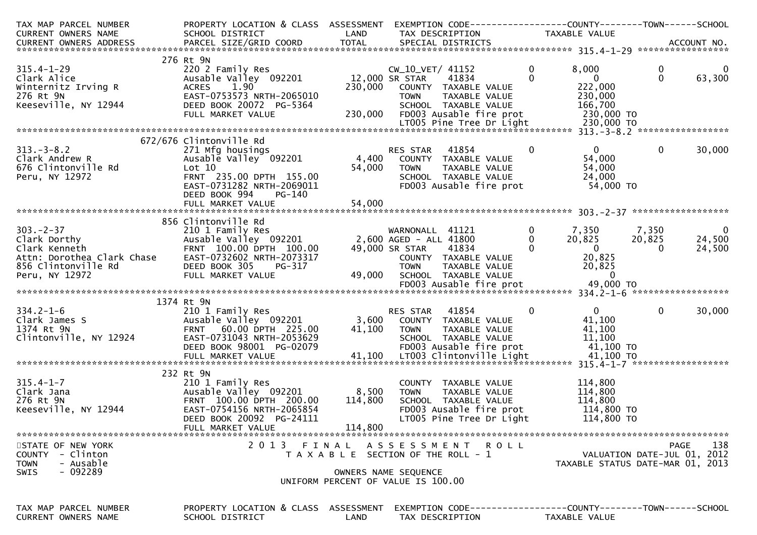| TAX MAP PARCEL NUMBER                 | PROPERTY LOCATION & CLASS ASSESSMENT                 |                |                                                      |                                                              |                                  |
|---------------------------------------|------------------------------------------------------|----------------|------------------------------------------------------|--------------------------------------------------------------|----------------------------------|
| CURRENT OWNERS NAME                   | SCHOOL DISTRICT                                      | LAND           | TAX DESCRIPTION                                      | TAXABLE VALUE                                                |                                  |
|                                       |                                                      |                |                                                      |                                                              |                                  |
|                                       | 276 Rt 9N                                            |                |                                                      |                                                              |                                  |
| $315.4 - 1 - 29$                      | 220 2 Family Res                                     |                | CW_10_VET/ 41152                                     | $\mathbf 0$<br>8,000                                         | $\mathbf 0$<br>0                 |
| Clark Alice                           | Ausable Valley 092201                                | 12,000 SR STAR | 41834                                                | $\Omega$<br>$\overline{0}$                                   | $\Omega$<br>63,300               |
| Winternitz Irving R                   | ACRES 1.90                                           | 230,000        | COUNTY TAXABLE VALUE                                 | 222,000                                                      |                                  |
| 276 Rt 9N                             | EAST-0753573 NRTH-2065010                            |                | <b>TOWN</b><br>TAXABLE VALUE                         | 230,000                                                      |                                  |
| Keeseville, NY 12944                  | DEED BOOK 20072 PG-5364<br>FULL MARKET VALUE         | 230,000        | SCHOOL TAXABLE VALUE<br>FD003 Ausable fire prot      | 166,700<br>230,000 TO                                        |                                  |
|                                       |                                                      |                |                                                      |                                                              |                                  |
|                                       |                                                      |                |                                                      |                                                              |                                  |
|                                       | 672/676 Clintonville Rd                              |                |                                                      |                                                              |                                  |
| $313 - 3 - 8.2$                       | 271 Mfg housings                                     |                | 41854<br>RES STAR                                    | $\mathbf{0}$<br>$\mathbf{0}$                                 | $\mathbf{0}$<br>30,000           |
| Clark Andrew R                        | Ausable Valley 092201                                |                | 4,400 COUNTY TAXABLE VALUE                           | 54,000                                                       |                                  |
| 676 Clintonville Rd                   | Lot 10                                               | 54,000         | <b>TOWN</b><br>TAXABLE VALUE                         | 54,000                                                       |                                  |
| Peru, NY 12972                        | FRNT 235.00 DPTH 155.00                              |                | SCHOOL TAXABLE VALUE                                 | 24,000                                                       |                                  |
|                                       | EAST-0731282 NRTH-2069011<br>DEED BOOK 994<br>PG-140 |                | FD003 Ausable fire prot                              | 54,000 TO                                                    |                                  |
|                                       | FULL MARKET VALUE                                    | 54,000         |                                                      |                                                              |                                  |
|                                       |                                                      |                |                                                      |                                                              |                                  |
|                                       | 856 Clintonville Rd                                  |                |                                                      |                                                              |                                  |
| $303 - 2 - 37$                        | 210 1 Family Res                                     |                | WARNONALL 41121                                      | $\mathbf 0$<br>7,350                                         | 7,350<br>$\overline{0}$          |
| Clark Dorthy                          | Ausable valley 092201                                |                | 2,600 AGED - ALL 41800                               | $\mathbf{0}$<br>20,825                                       | 24,500<br>20,825                 |
| Clark Kenneth                         | FRNT 100.00 DPTH 100.00                              |                | 49,000 SR STAR<br>41834                              | $\overline{0}$<br>$\Omega$                                   | 24,500<br>$\Omega$               |
| Attn: Dorothea Clark Chase            | EAST-0732602 NRTH-2073317                            |                | COUNTY TAXABLE VALUE                                 | 20,825                                                       |                                  |
| 856 Clintonville Rd<br>Peru, NY 12972 | DEED BOOK 305<br>PG-317<br>FULL MARKET VALUE         | 49,000         | <b>TOWN</b><br>TAXABLE VALUE<br>SCHOOL TAXABLE VALUE | 20,825<br>$\overline{0}$                                     |                                  |
|                                       |                                                      |                |                                                      |                                                              |                                  |
|                                       |                                                      |                |                                                      |                                                              |                                  |
|                                       | 1374 Rt 9N                                           |                |                                                      |                                                              |                                  |
| $334.2 - 1 - 6$                       | 210 1 Family Res                                     |                | 41854<br>RES STAR                                    | $\mathbf{0}$<br>$\bf{0}$                                     | $\mathbf 0$<br>30,000            |
| Clark James S                         | Ausable Valley 092201                                |                | 3,600 COUNTY TAXABLE VALUE                           | 41,100                                                       |                                  |
| 1374 Rt 9N                            | FRNT 60.00 DPTH 225.00                               | 41,100         | TAXABLE VALUE<br><b>TOWN</b>                         | 41,100                                                       |                                  |
| Clintonville, NY 12924                | EAST-0731043 NRTH-2053629                            |                | SCHOOL TAXABLE VALUE                                 | 11,100                                                       |                                  |
|                                       | DEED BOOK 98001 PG-02079                             |                | FD003 Ausable fire prot                              | 41,100 TO                                                    |                                  |
|                                       |                                                      |                |                                                      |                                                              |                                  |
|                                       | 232 Rt 9N                                            |                |                                                      |                                                              |                                  |
| $315.4 - 1 - 7$                       | 210 1 Family Res                                     |                | COUNTY TAXABLE VALUE                                 | 114,800                                                      |                                  |
| Clark Jana                            | Ausable Valley 092201                                | 8,500          | <b>TOWN</b><br>TAXABLE VALUE                         | 114,800                                                      |                                  |
| 276 Rt 9N                             | FRNT 100.00 DPTH 200.00                              | 114,800        | SCHOOL TAXABLE VALUE                                 | 114,800                                                      |                                  |
| Keeseville, NY 12944                  | EAST-0754156 NRTH-2065854                            |                | FD003 Ausable fire prot                              | 114,800 TO                                                   |                                  |
|                                       | DEED BOOK 20092 PG-24111                             |                | LT005 Pine Tree Dr Light                             | 114,800 TO                                                   |                                  |
|                                       | FULL MARKET VALUE                                    | 114,800        |                                                      |                                                              |                                  |
| STATE OF NEW YORK                     | 2013 FINAL                                           |                | ASSESSMENT ROLL                                      |                                                              | 138<br>PAGE                      |
| COUNTY - Clinton                      |                                                      |                | T A X A B L E SECTION OF THE ROLL - 1                |                                                              | VALUATION DATE-JUL 01, 2012      |
| - Ausable<br><b>TOWN</b>              |                                                      |                |                                                      |                                                              | TAXABLE STATUS DATE-MAR 01, 2013 |
| - 092289<br><b>SWIS</b>               |                                                      |                | OWNERS NAME SEQUENCE                                 |                                                              |                                  |
|                                       |                                                      |                | UNIFORM PERCENT OF VALUE IS 100.00                   |                                                              |                                  |
|                                       |                                                      |                |                                                      |                                                              |                                  |
| TAX MAP PARCEL NUMBER                 | PROPERTY LOCATION & CLASS ASSESSMENT                 |                |                                                      | EXEMPTION CODE-----------------COUNTY-------TOWN------SCHOOL |                                  |
| CURRENT OWNERS NAME                   | SCHOOL DISTRICT                                      | LAND           | TAX DESCRIPTION                                      | <b>TAXABLE VALUE</b>                                         |                                  |
|                                       |                                                      |                |                                                      |                                                              |                                  |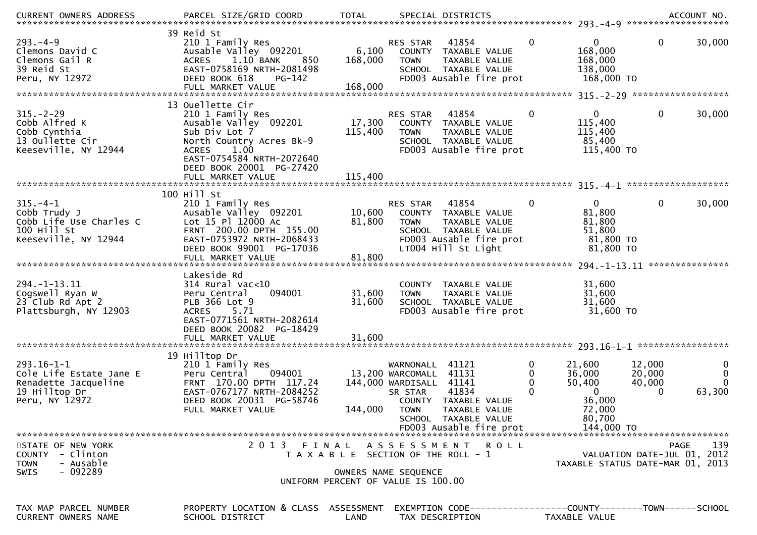| .CURRENT OWNERS ADDRESS PARCEL SIZE/GRID COORD TOTAL SPECIAL DISTRICTS ACCOUNT NO ACCOUNT NO ACCOUNT NO AND ARCEL SIZE/GRID COORD TOTAL SPECIAL DISTRICTS |                                                                                                                                                                                             |                             |                                                                                                                                                                                                              |                  |                                                                                        |                                 |                              |
|-----------------------------------------------------------------------------------------------------------------------------------------------------------|---------------------------------------------------------------------------------------------------------------------------------------------------------------------------------------------|-----------------------------|--------------------------------------------------------------------------------------------------------------------------------------------------------------------------------------------------------------|------------------|----------------------------------------------------------------------------------------|---------------------------------|------------------------------|
| $293. -4 - 9$<br>Clemons David C<br>Clemons Gail R<br>39 Reid St<br>Peru, NY 12972                                                                        | 39 Reid St<br>210 1 Family Res<br>Ausable Valley 092201<br>1.10 BANK<br>850<br><b>ACRES</b><br>EAST-0758169 NRTH-2081498<br>DEED BOOK 618<br>$PG-142$<br>FULL MARKET VALUE                  | 6,100<br>168,000<br>168,000 | 41854<br><b>RES STAR</b><br>COUNTY TAXABLE VALUE<br>TAXABLE VALUE<br><b>TOWN</b><br>SCHOOL TAXABLE VALUE<br>FD003 Ausable fire prot                                                                          | 0                | 0<br>168,000<br>168,000<br>138,000<br>168,000 TO                                       | 0                               | 30,000                       |
|                                                                                                                                                           |                                                                                                                                                                                             |                             |                                                                                                                                                                                                              |                  |                                                                                        |                                 |                              |
| $315. - 2 - 29$<br>Cobb Alfred K<br>Cobb Cynthia<br>13 Oullette Cir<br>Keeseville, NY 12944                                                               | 13 Ouellette Cir<br>210 1 Family Res<br>Ausable Valley 092201<br>Sub Div Lot 7<br>North Country Acres Bk-9<br>1.00<br><b>ACRES</b><br>EAST-0754584 NRTH-2072640<br>DEED BOOK 20001 PG-27420 | 17,300<br>115,400           | 41854<br>RES STAR<br>COUNTY TAXABLE VALUE<br><b>TOWN</b><br>TAXABLE VALUE<br>SCHOOL TAXABLE VALUE<br>FD003 Ausable fire prot                                                                                 | $\mathbf{0}$     | $\mathbf{0}$<br>115,400<br>115,400<br>85,400<br>115,400 TO                             | $\mathbf{0}$                    | 30,000                       |
|                                                                                                                                                           |                                                                                                                                                                                             |                             |                                                                                                                                                                                                              |                  |                                                                                        |                                 |                              |
| $315. -4-1$<br>Cobb Trudy J<br>Cobb Life Use Charles C<br>100 Hill St<br>Keeseville, NY 12944                                                             | 100 Hill St<br>210 1 Family Res<br>Ausable Valley 092201<br>Lot 15 Pl 12000 Ac<br>FRNT 200.00 DPTH 155.00<br>EAST-0753972 NRTH-2068433<br>DEED BOOK 99001 PG-17036                          | 10,600<br>81,800            | 41854<br><b>RES STAR</b><br>COUNTY TAXABLE VALUE<br><b>TOWN</b><br>TAXABLE VALUE<br>SCHOOL TAXABLE VALUE<br>FD003 Ausable fire prot<br>LT004 Hill St Light                                                   | 0                | $\mathbf{0}$<br>81,800<br>81,800<br>51,800<br>81,800 TO<br>81,800 TO                   | 0                               | 30,000                       |
|                                                                                                                                                           | Lakeside Rd                                                                                                                                                                                 |                             |                                                                                                                                                                                                              |                  |                                                                                        |                                 |                              |
| 294. -1-13. 11<br>Cogswell Ryan W<br>23 Club Rd Apt 2<br>Plattsburgh, NY 12903                                                                            | $314$ Rural vac<10<br>Peru Central<br>094001<br>PLB 366 Lot 9<br>5.71<br><b>ACRES</b><br>EAST-0771561 NRTH-2082614<br>DEED BOOK 20082 PG-18429                                              | 31,600<br>31,600            | COUNTY TAXABLE VALUE<br>TAXABLE VALUE<br><b>TOWN</b><br>SCHOOL TAXABLE VALUE<br>FD003 Ausable fire prot                                                                                                      |                  | 31,600<br>31,600<br>31,600<br>31,600 TO                                                |                                 |                              |
|                                                                                                                                                           | 19 Hilltop Dr                                                                                                                                                                               |                             |                                                                                                                                                                                                              |                  |                                                                                        |                                 |                              |
| $293.16 - 1 - 1$<br>Cole Life Estate Jane E<br>Renadette Jacqueline<br>19 Hilltop Dr<br>Peru, NY 12972                                                    | 210 1 Family Res<br>094001<br>Peru Central<br>FRNT 170.00 DPTH 117.24<br>EAST-0767177 NRTH-2084252<br>DEED BOOK 20031 PG-58746<br>FULL MARKET VALUE                                         | 144,000                     | 41121<br>WARNONALL<br>41131<br>13,200 WARCOMALL<br>144,000 WARDISALL<br>41141<br>41834<br>SR STAR<br>COUNTY TAXABLE VALUE<br><b>TOWN</b><br>TAXABLE VALUE<br>SCHOOL TAXABLE VALUE<br>FD003 Ausable fire prot | 0<br>0<br>0<br>0 | 21,600<br>36,000<br>50,400<br>$\mathbf{0}$<br>36,000<br>72,000<br>80,700<br>144,000 TO | 12,000<br>20,000<br>40,000<br>0 | 0<br>0<br>$\Omega$<br>63,300 |
| STATE OF NEW YORK                                                                                                                                         | 2013 FINAL                                                                                                                                                                                  |                             | ASSESSMENT ROLL                                                                                                                                                                                              |                  |                                                                                        | PAGE                            | 139                          |
| - Clinton<br><b>COUNTY</b><br>- Ausable<br><b>TOWN</b>                                                                                                    |                                                                                                                                                                                             |                             | T A X A B L E SECTION OF THE ROLL - 1                                                                                                                                                                        |                  | TAXABLE STATUS DATE-MAR 01, 2013                                                       | VALUATION DATE-JUL 01, 2012     |                              |
| $-092289$<br>SWIS                                                                                                                                         |                                                                                                                                                                                             |                             | OWNERS NAME SEQUENCE<br>UNIFORM PERCENT OF VALUE IS 100.00                                                                                                                                                   |                  |                                                                                        |                                 |                              |
| TAX MAP PARCEL NUMBER<br><b>CURRENT OWNERS NAME</b>                                                                                                       | PROPERTY LOCATION & CLASS ASSESSMENT<br>SCHOOL DISTRICT                                                                                                                                     | LAND                        | TAX DESCRIPTION                                                                                                                                                                                              |                  | TAXABLE VALUE                                                                          |                                 |                              |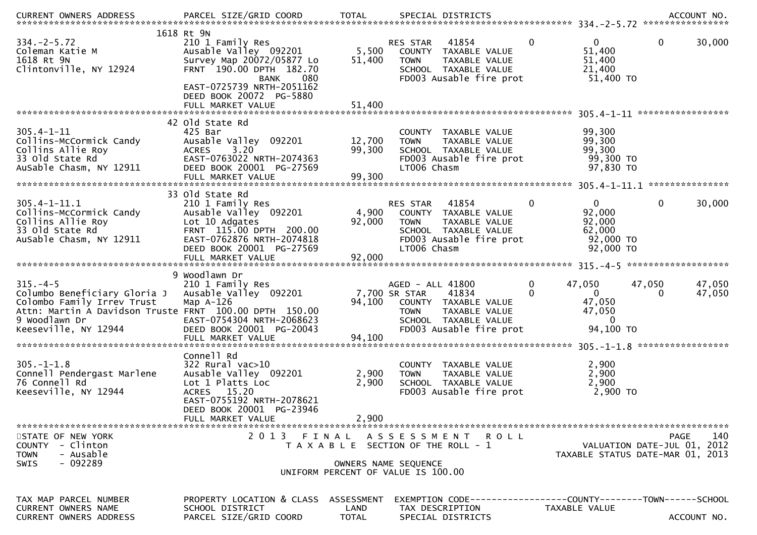| $334. -2 - 5.72$<br>Coleman Katie M<br>1618 Rt 9N<br>Clintonville, NY 12924                                                                                                  | 1618 Rt 9N<br>210 1 Family Res<br>Ausable Valley 092201<br>Survey Map 20072/05877 Lo<br>FRNT 190.00 DPTH 182.70<br><b>BANK</b><br>080<br>EAST-0725739 NRTH-2051162            | 5,500<br>51,400                    | 41854<br>RES STAR<br>COUNTY TAXABLE VALUE<br>TAXABLE VALUE<br><b>TOWN</b><br>SCHOOL TAXABLE VALUE<br>FD003 Ausable fire prot                          | $\mathbf{0}$                       | $\Omega$<br>0<br>30,000<br>51,400<br>51,400<br>21,400<br>51,400 TO                                                    |     |
|------------------------------------------------------------------------------------------------------------------------------------------------------------------------------|-------------------------------------------------------------------------------------------------------------------------------------------------------------------------------|------------------------------------|-------------------------------------------------------------------------------------------------------------------------------------------------------|------------------------------------|-----------------------------------------------------------------------------------------------------------------------|-----|
|                                                                                                                                                                              | DEED BOOK 20072 PG-5880<br>FULL MARKET VALUE                                                                                                                                  | 51,400                             |                                                                                                                                                       |                                    |                                                                                                                       |     |
| $305.4 - 1 - 11$<br>Collins-McCormick Candy<br>Collins Allie Roy<br>33 Old State Rd<br>AuSable Chasm, NY 12911                                                               | 42 Old State Rd<br>425 Bar<br>Ausable Valley 092201<br>3.20<br><b>ACRES</b><br>EAST-0763022 NRTH-2074363<br>DEED BOOK 20001 PG-27569                                          | 12,700<br>99,300                   | COUNTY TAXABLE VALUE<br><b>TOWN</b><br>TAXABLE VALUE<br>SCHOOL TAXABLE VALUE<br>FD003 Ausable fire prot<br>LT006 Chasm                                |                                    | 99,300<br>99,300<br>99,300<br>99,300 TO<br>97,830 TO                                                                  |     |
| $305.4 - 1 - 11.1$<br>Collins-McCormick Candy<br>Collins Allie Roy<br>33 Old State Rd<br>AuSable Chasm, NY 12911                                                             | 33 old State Rd<br>210 1 Family Res<br>Ausable Valley 092201<br>Lot 10 Adgates<br>FRNT 115.00 DPTH 200.00<br>EAST-0762876 NRTH-2074818<br>DEED BOOK 20001 PG-27569            | 4,900<br>92,000                    | 41854<br>RES STAR<br>COUNTY TAXABLE VALUE<br><b>TOWN</b><br>TAXABLE VALUE<br>SCHOOL TAXABLE VALUE<br>FD003 Ausable fire prot<br>LT006 Chasm           | $\Omega$                           | $\Omega$<br>0<br>30,000<br>92,000<br>92,000<br>62,000<br>92,000 TO<br>92,000 TO                                       |     |
|                                                                                                                                                                              | 9 Woodlawn Dr                                                                                                                                                                 |                                    |                                                                                                                                                       |                                    |                                                                                                                       |     |
| $315. -4-5$<br>Columbo Beneficiary Gloria J<br>Colombo Family Irrev Trust<br>Attn: Martin A Davidson Truste FRNT 100.00 DPTH 150.00<br>9 Woodlawn Dr<br>Keeseville, NY 12944 | 210 1 Family Res<br>Ausable Valley 092201<br>Map $A-126$<br>EAST-0754304 NRTH-2068623<br>DEED BOOK 20001 PG-20043                                                             | 94,100                             | AGED - ALL 41800<br>41834<br>7,700 SR STAR<br>COUNTY TAXABLE VALUE<br>TAXABLE VALUE<br><b>TOWN</b><br>SCHOOL TAXABLE VALUE<br>FD003 Ausable fire prot | $\mathbf{0}$<br>47,050<br>$\Omega$ | 47,050<br>47,050<br>$\mathbf{0}$<br>47,050<br>0<br>47,050<br>47,050<br>$\mathbf{0}$<br>94,100 TO<br>***************** |     |
| $305 - 1 - 1.8$<br>Connell Pendergast Marlene<br>76 Connell Rd<br>Keeseville, NY 12944                                                                                       | Connell Rd<br>$322$ Rural vac $>10$<br>Ausable Valley 092201<br>Lot 1 Platts Loc<br>ACRES 15.20<br>EAST-0755192 NRTH-2078621<br>DEED BOOK 20001 PG-23946<br>FULL MARKET VALUE | 2,900<br>2,900<br>2,900            | COUNTY TAXABLE VALUE<br>TAXABLE VALUE<br><b>TOWN</b><br>SCHOOL TAXABLE VALUE<br>FD003 Ausable fire prot                                               |                                    | 2,900<br>2,900<br>2,900<br>2,900 TO                                                                                   |     |
| STATE OF NEW YORK<br>COUNTY - Clinton<br><b>TOWN</b><br>- Ausable<br>$-092289$<br><b>SWIS</b>                                                                                | 2 0 1 3                                                                                                                                                                       | FINAL                              | ASSESSMENT ROLL<br>T A X A B L E SECTION OF THE ROLL - 1<br>OWNERS NAME SEQUENCE<br>UNIFORM PERCENT OF VALUE IS 100.00                                |                                    | <b>PAGE</b><br>VALUATION DATE-JUL 01, 2012<br>TAXABLE STATUS DATE-MAR 01, 2013                                        | 140 |
| TAX MAP PARCEL NUMBER<br><b>CURRENT OWNERS NAME</b><br><b>CURRENT OWNERS ADDRESS</b>                                                                                         | PROPERTY LOCATION & CLASS<br>SCHOOL DISTRICT<br>PARCEL SIZE/GRID COORD                                                                                                        | ASSESSMENT<br>LAND<br><b>TOTAL</b> | EXEMPTION        CODE------------------COUNTY-------TOWN------SCHOOL<br>TAX DESCRIPTION<br>SPECIAL DISTRICTS                                          | TAXABLE VALUE                      | ACCOUNT NO.                                                                                                           |     |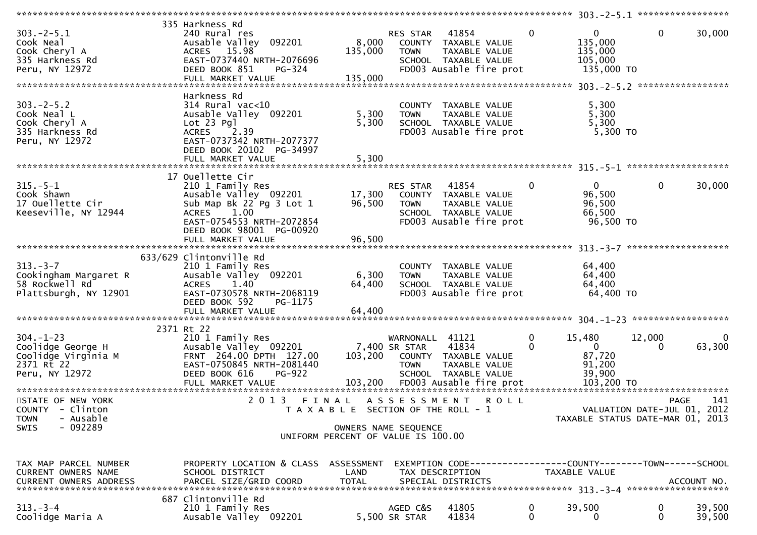| $303 - 2 - 5.1$<br>Cook Neal<br>Cook Cheryl A<br>335 Harkness Rd<br>Peru, NY 12972          | 335 Harkness Rd<br>240 Rural res<br>Ausable Valley 092201<br>ACRES 15.98<br>EAST-0737440 NRTH-2076696<br>DEED BOOK 851<br>PG-324<br>FULL MARKET VALUE                      | 8,000<br>135,000<br>135,000                                                                                  | <b>RES STAR 41854</b><br><b>TOWN</b>            | COUNTY TAXABLE VALUE<br>TAXABLE VALUE<br>SCHOOL TAXABLE VALUE<br>FD003 Ausable fire prot                                | $\mathbf{0}$                 | $\mathbf 0$<br>135,000<br>135,000<br>105,000<br>135,000 TO                                           | 0           | 30,000             |
|---------------------------------------------------------------------------------------------|----------------------------------------------------------------------------------------------------------------------------------------------------------------------------|--------------------------------------------------------------------------------------------------------------|-------------------------------------------------|-------------------------------------------------------------------------------------------------------------------------|------------------------------|------------------------------------------------------------------------------------------------------|-------------|--------------------|
| $303 - 2 - 5.2$<br>Cook Neal L<br>Cook Cheryl A<br>335 Harkness Rd<br>Peru, NY 12972        | Harkness Rd<br>314 Rural vac<10<br>Ausable Valley 092201<br>Lot 23 Pgl<br><b>ACRES</b><br>2.39<br>EAST-0737342 NRTH-2077377<br>DEED BOOK 20102 PG-34997                    | 5,300<br>5,300                                                                                               | <b>TOWN</b>                                     | COUNTY TAXABLE VALUE<br>TAXABLE VALUE<br>SCHOOL TAXABLE VALUE<br>FD003 Ausable fire prot                                |                              | 5,300<br>5,300<br>5,300<br>5,300 TO                                                                  |             |                    |
| $315. - 5 - 1$<br>Cook Shawn<br>17 Ouellette Cir<br>Keeseville, NY 12944                    | 17 Ouellette Cir<br>210 1 Family Res<br>Ausable Valley 092201<br>Sub Map Bk 22 Pg 3 Lot 1<br>1.00<br><b>ACRES</b><br>EAST-0754553 NRTH-2072854<br>DEED BOOK 98001 PG-00920 | 17,300<br>96,500                                                                                             | RES STAR<br><b>TOWN</b>                         | 41854<br>COUNTY TAXABLE VALUE<br>TAXABLE VALUE<br>SCHOOL TAXABLE VALUE<br>FD003 Ausable fire prot                       | $\mathbf 0$                  | $\overline{0}$<br>96,500<br>96,500<br>66,500<br>96,500 TO                                            | 0           | 30,000             |
| $313 - 3 - 7$<br>Cookingham Margaret R<br>58 Rockwell Rd<br>Plattsburgh, NY 12901           | 633/629 Clintonville Rd<br>210 1 Family Res<br>Ausable Valley 092201<br><b>ACRES</b><br>1.40<br>EAST-0730578 NRTH-2068119<br>DEED BOOK 592<br>PG-1175                      | 6,300<br>64,400                                                                                              | <b>TOWN</b>                                     | COUNTY TAXABLE VALUE<br>TAXABLE VALUE<br>SCHOOL TAXABLE VALUE<br>FD003 Ausable fire prot                                |                              | 64,400<br>64,400<br>64,400<br>64,400 TO                                                              |             |                    |
| $304. - 1 - 23$<br>Coolidge George H<br>Coolidge Virginia M<br>2371 Rt 22<br>Peru, NY 12972 | 2371 Rt 22<br>210 1 Family Res<br>Ausable Valley 092201<br>FRNT 264.00 DPTH 127.00<br>EAST-0750845 NRTH-2081440<br>DEED BOOK 616<br><b>PG-922</b><br>FULL MARKET VALUE     |                                                                                                              | WARNONALL 41121<br>7,400 SR STAR<br><b>TOWN</b> | 41834<br>103,200 COUNTY TAXABLE VALUE<br>TAXABLE VALUE<br>SCHOOL TAXABLE VALUE<br>103,200    FD003    Ausable fire prot | $\mathbf{0}$<br>$\mathbf{0}$ | 15,480<br>$\mathbf{0}$<br>87,720<br>91,200<br>39,900<br>.103,200 TO<br>***************************** | 12,000<br>0 | $\Omega$<br>63,300 |
| STATE OF NEW YORK<br>COUNTY - Clinton<br>TOWN<br>- Ausable<br>$-092289$<br><b>SWIS</b>      | 2 0 1 3                                                                                                                                                                    | FINAL<br>T A X A B L E SECTION OF THE ROLL - 1<br>OWNERS NAME SEQUENCE<br>UNIFORM PERCENT OF VALUE IS 100.00 | ASSESSMENT                                      | <b>ROLL</b>                                                                                                             |                              | VALUATION DATE-JUL 01, 2012<br>TAXABLE STATUS DATE-MAR 01, 2013                                      |             | 141<br>PAGE        |
| TAX MAP PARCEL NUMBER<br>CURRENT OWNERS NAME                                                | PROPERTY LOCATION & CLASS<br>SCHOOL DISTRICT                                                                                                                               | ASSESSMENT<br>LAND                                                                                           |                                                 | EXEMPTION CODE------<br>TAX DESCRIPTION                                                                                 |                              | ----------COUNTY--------TOWN------SCHOOL<br>TAXABLE VALUE                                            |             |                    |
| $313 - 3 - 4$<br>Coolidge Maria A                                                           | 687 Clintonville Rd<br>210 1 Family Res<br>Ausable Valley 092201                                                                                                           |                                                                                                              | AGED C&S<br>5,500 SR STAR                       | 41805<br>41834                                                                                                          | 0<br>0                       | 39,500<br>0                                                                                          | 0<br>0      | 39,500<br>39,500   |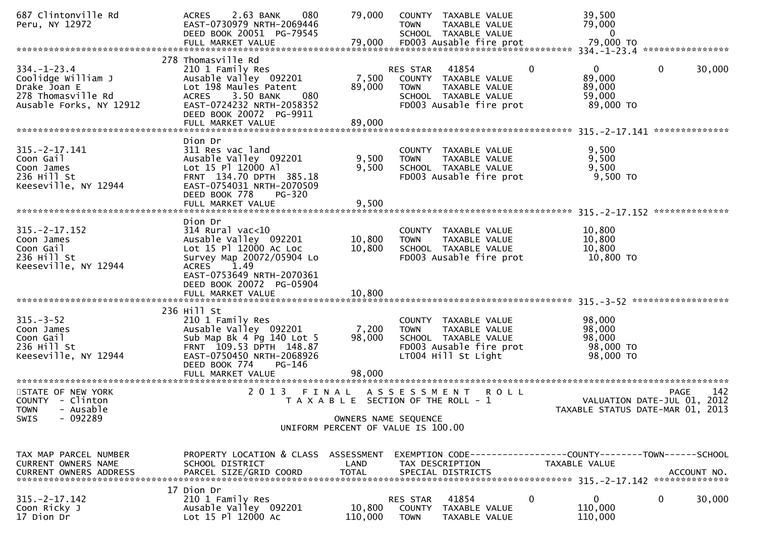| 687 Clintonville Rd<br>Peru, NY 12972                                                                    | 080<br>2.63 BANK<br><b>ACRES</b><br>EAST-0730979 NRTH-2069446<br>DEED BOOK 20051 PG-79545                                                                                                                 | 79,000                                                     | <b>TOWN</b>                       | COUNTY TAXABLE VALUE<br>TAXABLE VALUE<br>SCHOOL TAXABLE VALUE                                                   |              | 39,500<br>79,000<br>$\mathbf{0}$                                               |              |        |
|----------------------------------------------------------------------------------------------------------|-----------------------------------------------------------------------------------------------------------------------------------------------------------------------------------------------------------|------------------------------------------------------------|-----------------------------------|-----------------------------------------------------------------------------------------------------------------|--------------|--------------------------------------------------------------------------------|--------------|--------|
|                                                                                                          |                                                                                                                                                                                                           |                                                            |                                   |                                                                                                                 |              |                                                                                |              |        |
| $334. - 1 - 23.4$<br>Coolidge William J<br>Drake Joan E<br>278 Thomasville Rd<br>Ausable Forks, NY 12912 | 278 Thomasville Rd<br>210 1 Family Res<br>Ausable Valley 092201<br>Lot 198 Maules Patent<br>080<br>3.50 BANK<br><b>ACRES</b><br>EAST-0724232 NRTH-2058352<br>DEED BOOK 20072 PG-9911<br>FULL MARKET VALUE | 7,500<br>89,000<br>89,000                                  | RES STAR<br><b>TOWN</b>           | 41854<br>COUNTY TAXABLE VALUE<br>TAXABLE VALUE<br>SCHOOL TAXABLE VALUE<br>FD003 Ausable fire prot               | $\mathbf{0}$ | $\mathbf{0}$<br>89,000<br>89,000<br>59,000<br>89,000 TO                        | $\mathbf{0}$ | 30,000 |
|                                                                                                          |                                                                                                                                                                                                           |                                                            |                                   |                                                                                                                 |              |                                                                                |              |        |
| $315. -2 - 17.141$<br>Coon Gail<br>Coon James<br>236 Hill St<br>Keeseville, NY 12944                     | Dion Dr<br>311 Res vac land<br>Ausable Valley 092201<br>Lot 15 Pl 12000 Al<br>FRNT 134.70 DPTH 385.18<br>EAST-0754031 NRTH-2070509<br>DEED BOOK 778<br>PG-320                                             | 9,500<br>9,500                                             | <b>TOWN</b>                       | COUNTY TAXABLE VALUE<br>TAXABLE VALUE<br>SCHOOL TAXABLE VALUE<br>FD003 Ausable fire prot                        |              | 9,500<br>9,500<br>9,500<br>9,500 TO                                            |              |        |
|                                                                                                          | FULL MARKET VALUE                                                                                                                                                                                         | 9,500                                                      |                                   |                                                                                                                 |              |                                                                                |              |        |
| $315. -2 - 17.152$                                                                                       | Dion Dr<br>$314$ Rural vac<10                                                                                                                                                                             |                                                            |                                   | COUNTY TAXABLE VALUE                                                                                            |              | 10,800                                                                         |              |        |
| Coon James<br>Coon Gail<br>236 Hill St<br>Keeseville, NY 12944                                           | Ausable Valley 092201<br>Lot 15 Pl 12000 Ac Loc<br>Survey Map 20072/05904 Lo<br>1.49<br><b>ACRES</b><br>EAST-0753649 NRTH-2070361<br>DEED BOOK 20072 PG-05904                                             | 10,800<br>10,800                                           | <b>TOWN</b>                       | TAXABLE VALUE<br>SCHOOL TAXABLE VALUE<br>FD003 Ausable fire prot                                                |              | 10,800<br>10,800<br>10,800 TO                                                  |              |        |
|                                                                                                          |                                                                                                                                                                                                           |                                                            |                                   |                                                                                                                 |              |                                                                                |              |        |
| $315. - 3 - 52$<br>Coon James<br>Coon Gail<br>236 Hill St<br>Keeseville, NY 12944                        | 236 Hill St<br>210 1 Family Res<br>Ausable Valley 092201<br>Sub Map Bk 4 Pg 140 Lot 5<br>FRNT 109.53 DPTH 148.87<br>EAST-0750450 NRTH-2068926<br>DEED BOOK 774<br>PG-146                                  | 7,200<br>98,000                                            | <b>TOWN</b>                       | COUNTY TAXABLE VALUE<br>TAXABLE VALUE<br>SCHOOL TAXABLE VALUE<br>FD003 Ausable fire prot<br>LT004 Hill St Light |              | 98,000<br>98,000<br>98,000<br>98,000 TO<br>98,000 TO                           |              |        |
|                                                                                                          | FULL MARKET VALUE                                                                                                                                                                                         | 98,000                                                     |                                   |                                                                                                                 |              |                                                                                |              |        |
| STATE OF NEW YORK<br>COUNTY - Clinton<br>TOWN - Ausable                                                  | 2013 FINAL                                                                                                                                                                                                | T A X A B L E SECTION OF THE ROLL - 1                      | ASSESSMENT                        | R O L L                                                                                                         |              | VALUATION DATE-JUL 01, 2012<br>TAXABLE STATUS DATE-MAR 01, 2013                | <b>PAGE</b>  | 142    |
| $-092289$<br><b>SWIS</b>                                                                                 |                                                                                                                                                                                                           | OWNERS NAME SEQUENCE<br>UNIFORM PERCENT OF VALUE IS 100.00 |                                   |                                                                                                                 |              |                                                                                |              |        |
|                                                                                                          |                                                                                                                                                                                                           |                                                            |                                   |                                                                                                                 |              |                                                                                |              |        |
| TAX MAP PARCEL NUMBER<br><b>CURRENT OWNERS NAME</b>                                                      | PROPERTY LOCATION & CLASS ASSESSMENT<br>SCHOOL DISTRICT                                                                                                                                                   | LAND                                                       |                                   | TAX DESCRIPTION                                                                                                 |              | EXEMPTION CODE-----------------COUNTY--------TOWN------SCHOOL<br>TAXABLE VALUE |              |        |
|                                                                                                          |                                                                                                                                                                                                           |                                                            |                                   |                                                                                                                 |              |                                                                                |              |        |
| $315. -2 - 17.142$<br>Coon Ricky J<br>17 Dion Dr                                                         | 17 Dion Dr<br>210 1 Family Res<br>Ausable Valley 092201<br>Lot 15 Pl 12000 Ac                                                                                                                             | 10,800<br>110,000                                          | RES STAR<br>COUNTY<br><b>TOWN</b> | 41854<br>TAXABLE VALUE<br>TAXABLE VALUE                                                                         | 0            | 0<br>110,000<br>110,000                                                        | 0            | 30,000 |
|                                                                                                          |                                                                                                                                                                                                           |                                                            |                                   |                                                                                                                 |              |                                                                                |              |        |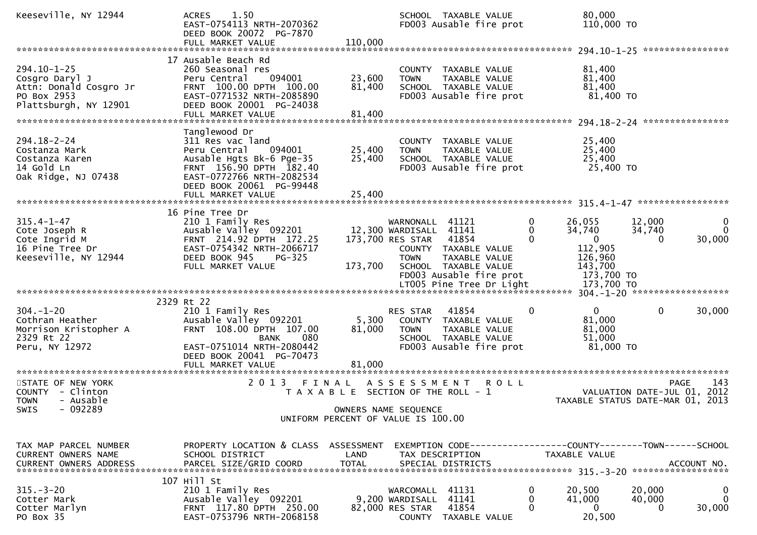| Keeseville, NY 12944                                                                                  | 1.50<br><b>ACRES</b><br>EAST-0754113 NRTH-2070362<br>DEED BOOK 20072 PG-7870<br>FULL MARKET VALUE                                                                                                | 110,000                    | SCHOOL TAXABLE VALUE                                                                                                       | FD003 Ausable fire prot                                                                               | 80,000<br>110,000 TO                                                                          |                                                                                          |
|-------------------------------------------------------------------------------------------------------|--------------------------------------------------------------------------------------------------------------------------------------------------------------------------------------------------|----------------------------|----------------------------------------------------------------------------------------------------------------------------|-------------------------------------------------------------------------------------------------------|-----------------------------------------------------------------------------------------------|------------------------------------------------------------------------------------------|
| $294.10 - 1 - 25$<br>Cosgro Daryl J<br>Attn: Donald Cosgro Jr<br>PO Box 2953<br>Plattsburgh, NY 12901 | 17 Ausable Beach Rd<br>260 Seasonal res<br>Peru Central<br>094001<br>FRNT 100.00 DPTH 100.00<br>EAST-0771532 NRTH-2085890<br>DEED BOOK 20001 PG-24038                                            | 23,600<br>81,400           | COUNTY TAXABLE VALUE<br><b>TOWN</b><br>SCHOOL TAXABLE VALUE                                                                | TAXABLE VALUE<br>FD003 Ausable fire prot                                                              | 81,400<br>81,400<br>81,400<br>81,400 TO                                                       | ****************                                                                         |
| $294.18 - 2 - 24$<br>Costanza Mark<br>Costanza Karen<br>14 Gold Ln<br>Oak Ridge, NJ 07438             | Tanglewood Dr<br>311 Res vac land<br>Peru Central<br>094001<br>Ausable Hgts Bk-6 Pge-35<br>FRNT 156.90 DPTH 182.40<br>EAST-0772766 NRTH-2082534<br>DEED BOOK 20061 PG-99448<br>FULL MARKET VALUE | 25,400<br>25,400<br>25,400 | COUNTY TAXABLE VALUE<br><b>TOWN</b><br>SCHOOL TAXABLE VALUE                                                                | TAXABLE VALUE<br>FD003 Ausable fire prot                                                              | 25,400<br>25,400<br>25,400<br>25,400 TO                                                       |                                                                                          |
| $315.4 - 1 - 47$<br>Cote Joseph R<br>Cote Ingrid M<br>16 Pine Tree Dr<br>Keeseville, NY 12944         | 16 Pine Tree Dr<br>210 1 Family Res<br>Ausable Valley 092201<br>FRNT 214.92 DPTH 172.25<br>EAST-0754342 NRTH-2066717<br>DEED BOOK 945<br>$PG-325$<br>FULL MARKET VALUE                           | 173,700                    | WARNONALL 41121<br>12,300 WARDISALL<br>173,700 RES STAR<br>COUNTY TAXABLE VALUE<br><b>TOWN</b><br>SCHOOL TAXABLE VALUE     | 0<br>41141<br>0<br>41854<br>0<br>TAXABLE VALUE<br>FD003 Ausable fire prot<br>LT005 Pine Tree Dr Light | 26,055<br>34,740<br>$\mathbf{0}$<br>112,905<br>126,960<br>143,700<br>173,700 TO<br>173,700 TO | 12,000<br>$\bf{0}$<br>$\Omega$<br>34,740<br>30,000<br>$\Omega$                           |
| $304. - 1 - 20$<br>Cothran Heather<br>Morrison Kristopher A<br>2329 Rt 22<br>Peru, NY 12972           | 2329 Rt 22<br>210 1 Family Res<br>Ausable Valley 092201<br>FRNT 108.00 DPTH 107.00<br>080<br><b>BANK</b><br>EAST-0751014 NRTH-2080442<br>DEED BOOK 20041 PG-70473<br>FULL MARKET VALUE           | 5,300<br>81,000<br>81,000  | RES STAR<br>COUNTY TAXABLE VALUE<br><b>TOWN</b><br>SCHOOL TAXABLE VALUE                                                    | 41854<br>$\Omega$<br>TAXABLE VALUE<br>FD003 Ausable fire prot                                         | $\mathbf{0}$<br>81,000<br>81,000<br>51,000<br>81,000 TO                                       | $\mathbf{0}$<br>30,000                                                                   |
| STATE OF NEW YORK<br>COUNTY - Clinton<br><b>TOWN</b><br>- Ausable<br>- 092289<br>SWIS                 | 2 0 1 3                                                                                                                                                                                          | FINAL                      | A S S E S S M E N T<br>T A X A B L E SECTION OF THE ROLL - 1<br>OWNERS NAME SEQUENCE<br>UNIFORM PERCENT OF VALUE IS 100.00 | <b>ROLL</b>                                                                                           |                                                                                               | 143<br><b>PAGE</b><br>2012<br>VALUATION DATE-JUL 01,<br>TAXABLE STATUS DATE-MAR 01, 2013 |
| TAX MAP PARCEL NUMBER<br>CURRENT OWNERS NAME<br>CURRENT OWNERS ADDRESS                                | PROPERTY LOCATION & CLASS ASSESSMENT<br>SCHOOL DISTRICT                                                                                                                                          | LAND                       | TAX DESCRIPTION                                                                                                            |                                                                                                       | TAXABLE VALUE                                                                                 | EXEMPTION CODE-----------------COUNTY-------TOWN------SCHOOL                             |
| $315. - 3 - 20$<br>Cotter Mark<br>Cotter Marlyn<br>PO Box 35                                          | 107 Hill St<br>210 1 Family Res<br>Ausable Valley 092201<br>FRNT 117.80 DPTH 250.00<br>EAST-0753796 NRTH-2068158                                                                                 |                            | WARCOMALL 41131<br>9,200 WARDISALL 41141<br>82,000 RES STAR<br>COUNTY TAXABLE VALUE                                        | 0<br>0<br>41854<br>$\Omega$                                                                           | 20,500<br>41,000<br>$\overline{0}$<br>20,500                                                  | 20,000<br>$\bf{0}$<br>$\mathbf{0}$<br>40,000<br>30,000<br>$\Omega$                       |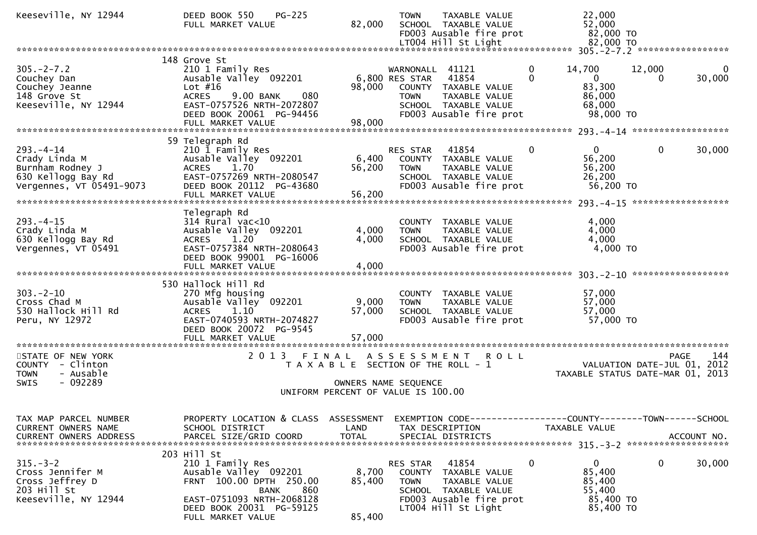| Keeseville, NY 12944                                                                                  | $PG-225$<br>DEED BOOK 550<br>FULL MARKET VALUE                                                                                                                                           | 82,000                    | <b>TOWN</b><br>LT004 Hill St Light                            | <b>TAXABLE VALUE</b><br>SCHOOL TAXABLE VALUE<br>FD003 Ausable fire prot                           | 22,000<br>52,000                                                                | 82,000 TO<br>82,000 TO                                          |                    |
|-------------------------------------------------------------------------------------------------------|------------------------------------------------------------------------------------------------------------------------------------------------------------------------------------------|---------------------------|---------------------------------------------------------------|---------------------------------------------------------------------------------------------------|---------------------------------------------------------------------------------|-----------------------------------------------------------------|--------------------|
|                                                                                                       |                                                                                                                                                                                          |                           |                                                               |                                                                                                   |                                                                                 |                                                                 |                    |
| $305. -2 - 7.2$<br>Couchey Dan<br>Couchey Jeanne<br>148 Grove St<br>Keeseville, NY 12944              | 148 Grove St<br>210 1 Family Res<br>Ausable Valley 092201<br>Lot $#16$<br><b>ACRES</b><br>9.00 BANK<br>080<br>EAST-0757526 NRTH-2072807<br>DEED BOOK 20061 PG-94456<br>FULL MARKET VALUE | 98,000<br>98,000          | WARNONALL 41121<br>6,800 RES STAR<br><b>TOWN</b>              | 41854<br>COUNTY TAXABLE VALUE<br>TAXABLE VALUE<br>SCHOOL TAXABLE VALUE<br>FD003 Ausable fire prot | $\mathbf{0}$<br>14,700<br>$\Omega$<br>$\mathbf 0$<br>83,300<br>86,000<br>68,000 | 12,000<br>$\Omega$<br>98,000 TO                                 | 0<br>30,000        |
|                                                                                                       |                                                                                                                                                                                          |                           |                                                               |                                                                                                   |                                                                                 |                                                                 |                    |
| $293. -4 - 14$<br>Crady Linda M<br>Burnham Rodney J<br>630 Kellogg Bay Rd<br>Vergennes, VT 05491-9073 | 59 Telegraph Rd<br>210 1 Family Res<br>Ausable Valley 092201<br>1.70<br><b>ACRES</b><br>EAST-0757269 NRTH-2080547<br>DEED BOOK 20112 PG-43680<br>FULL MARKET VALUE                       | 6,400<br>56,200<br>56,200 | RES STAR<br><b>TOWN</b>                                       | 41854<br>COUNTY TAXABLE VALUE<br>TAXABLE VALUE<br>SCHOOL TAXABLE VALUE<br>FD003 Ausable fire prot | $\mathbf{0}$<br>$\mathbf 0$<br>56,200<br>56,200<br>26,200                       | $\mathbf{0}$<br>56,200 TO                                       | 30,000             |
|                                                                                                       |                                                                                                                                                                                          |                           |                                                               |                                                                                                   |                                                                                 |                                                                 |                    |
| $293. -4 - 15$<br>Crady Linda M<br>630 Kellogg Bay Rd<br>Vergennes, VT 05491                          | Telegraph Rd<br>$314$ Rural vac< $10$<br>Ausable Valley 092201<br>1.20<br><b>ACRES</b><br>EAST-0757384 NRTH-2080643<br>DEED BOOK 99001 PG-16006<br>FULL MARKET VALUE                     | 4,000<br>4,000<br>4,000   | <b>TOWN</b>                                                   | COUNTY TAXABLE VALUE<br>TAXABLE VALUE<br>SCHOOL TAXABLE VALUE<br>FD003 Ausable fire prot          | 4,000<br>4,000<br>4,000                                                         | 4,000 TO                                                        |                    |
|                                                                                                       |                                                                                                                                                                                          |                           |                                                               |                                                                                                   |                                                                                 |                                                                 |                    |
| $303 - 2 - 10$<br>Cross Chad M<br>530 Hallock Hill Rd<br>Peru, NY 12972                               | 530 Hallock Hill Rd<br>270 Mfg housing<br>Ausable Valley <sup>-</sup> 092201<br><b>ACRES</b><br>1.10<br>EAST-0740593 NRTH-2074827<br>DEED BOOK 20072 PG-9545                             | 9,000<br>57,000           | <b>TOWN</b>                                                   | COUNTY TAXABLE VALUE<br>TAXABLE VALUE<br>SCHOOL TAXABLE VALUE<br>FD003 Ausable fire prot          | 57,000<br>57,000<br>57,000                                                      | 57,000 TO                                                       |                    |
| STATE OF NEW YORK                                                                                     | 2 0 1 3                                                                                                                                                                                  | FINAL                     |                                                               | ASSESSMENT ROLL                                                                                   |                                                                                 |                                                                 | 144<br><b>PAGE</b> |
| COUNTY - Clinton<br>- Ausable<br><b>TOWN</b><br>$-092289$<br><b>SWIS</b>                              |                                                                                                                                                                                          |                           | T A X A B L E SECTION OF THE ROLL - 1<br>OWNERS NAME SEQUENCE |                                                                                                   |                                                                                 | VALUATION DATE-JUL 01, 2012<br>TAXABLE STATUS DATE-MAR 01, 2013 |                    |
|                                                                                                       |                                                                                                                                                                                          |                           | UNIFORM PERCENT OF VALUE IS 100.00                            |                                                                                                   |                                                                                 |                                                                 |                    |
| TAX MAP PARCEL NUMBER<br>CURRENT OWNERS NAME<br><b>CURRENT OWNERS ADDRESS</b>                         | PROPERTY LOCATION & CLASS ASSESSMENT<br>SCHOOL DISTRICT<br>PARCEL SIZE/GRID COORD                                                                                                        | LAND<br><b>TOTAL</b>      | TAX DESCRIPTION<br>SPECIAL DISTRICTS                          |                                                                                                   | TAXABLE VALUE                                                                   | EXEMPTION CODE-----------------COUNTY-------TOWN------SCHOOL    | ACCOUNT NO.        |
| $315. - 3 - 2$<br>Cross Jennifer M<br>Cross Jeffrey D<br>203 Hill St<br>Keeseville, NY 12944          | 203 Hill St<br>210 1 Family Res<br>Ausable Valley 092201<br>FRNT 100.00 DPTH 250.00<br>860<br>BANK<br>EAST-0751093 NRTH-2068128<br>DEED BOOK 20031 PG-59125<br>FULL MARKET VALUE         | 8,700<br>85,400<br>85,400 | RES STAR<br><b>TOWN</b><br>LT004 Hill St Light                | 41854<br>COUNTY TAXABLE VALUE<br>TAXABLE VALUE<br>SCHOOL TAXABLE VALUE<br>FD003 Ausable fire prot | $\mathbf{0}$<br>0<br>85,400<br>85,400<br>55,400                                 | 0<br>85,400 TO<br>85,400 TO                                     | 30,000             |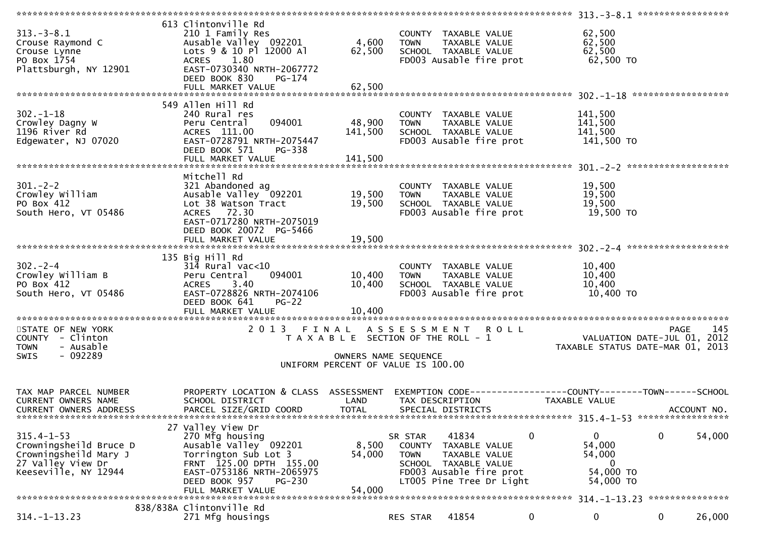| $313 - 3 - 8.1$<br>Crouse Raymond C<br>Crouse Lynne<br>PO Box 1754<br>Plattsburgh, NY 12901                      | 613 Clintonville Rd<br>210 1 Family Res<br>Ausable Valley 092201<br>Lots 9 & 10 Pl 12000 Al<br><b>ACRES</b><br>1.80<br>EAST-0730340 NRTH-2067772<br>DEED BOOK 830<br>$PG-174$<br>FULL MARKET VALUE | 4,600<br>62,500<br>62,500                                                                           | <b>TOWN</b>            | COUNTY TAXABLE VALUE<br>TAXABLE VALUE<br>SCHOOL TAXABLE VALUE<br>FD003 Ausable fire prot                                      |             | 62,500<br>62,500<br>62,500<br>62,500 TO                            |      |             |
|------------------------------------------------------------------------------------------------------------------|----------------------------------------------------------------------------------------------------------------------------------------------------------------------------------------------------|-----------------------------------------------------------------------------------------------------|------------------------|-------------------------------------------------------------------------------------------------------------------------------|-------------|--------------------------------------------------------------------|------|-------------|
|                                                                                                                  |                                                                                                                                                                                                    |                                                                                                     |                        |                                                                                                                               |             |                                                                    |      |             |
| $302 - 1 - 18$<br>Crowley Dagny W<br>1196 River Rd<br>Edgewater, NJ 07020                                        | 549 Allen Hill Rd<br>240 Rural res<br>Peru Central<br>094001<br>ACRES 111.00<br>EAST-0728791 NRTH-2075447<br>DEED BOOK 571<br>PG-338<br>FULL MARKET VALUE                                          | 48,900<br>141,500<br>141,500                                                                        | <b>TOWN</b>            | COUNTY TAXABLE VALUE<br>TAXABLE VALUE<br>SCHOOL TAXABLE VALUE<br>FD003 Ausable fire prot                                      |             | 141,500<br>141,500<br>141,500<br>141,500 TO                        |      |             |
| $301 - 2 - 2$<br>Crowley William<br>PO Box 412<br>South Hero, VT 05486                                           | Mitchell Rd<br>321 Abandoned ag<br>Ausable Valley 092201<br>Lot 38 Watson Tract<br>ACRES 72.30<br>EAST-0717280 NRTH-2075019<br>DEED BOOK 20072 PG-5466<br>FULL MARKET VALUE                        | 19,500<br>19,500<br>19,500                                                                          | <b>TOWN</b>            | COUNTY TAXABLE VALUE<br>TAXABLE VALUE<br>SCHOOL TAXABLE VALUE<br>FD003 Ausable fire prot                                      |             | 19,500<br>19,500<br>19,500<br>19,500 TO                            |      |             |
|                                                                                                                  | 135 Big Hill Rd                                                                                                                                                                                    |                                                                                                     |                        |                                                                                                                               |             |                                                                    |      |             |
| $302 - 2 - 4$<br>Crowley William B<br>PO Box 412<br>South Hero, VT 05486                                         | $314$ Rural vac< $10$<br>094001<br>Peru Central<br>ACRES 3.40<br>EAST-0728826 NRTH-2074106<br>DEED BOOK 641<br>$PG-22$<br>FULL MARKET VALUE                                                        | 10,400<br>10,400<br>10,400                                                                          | <b>TOWN</b>            | COUNTY TAXABLE VALUE<br>TAXABLE VALUE<br>SCHOOL TAXABLE VALUE<br>FD003 Ausable fire prot                                      |             | 10,400<br>10,400<br>10,400<br>10,400 TO                            |      |             |
|                                                                                                                  |                                                                                                                                                                                                    |                                                                                                     |                        |                                                                                                                               |             |                                                                    |      |             |
| STATE OF NEW YORK<br>COUNTY - Clinton<br><b>TOWN</b><br>- Ausable<br>- 092289<br><b>SWIS</b>                     | 2013 FINAL                                                                                                                                                                                         | T A X A B L E SECTION OF THE ROLL - 1<br>OWNERS NAME SEQUENCE<br>UNIFORM PERCENT OF VALUE IS 100.00 |                        | ASSESSMENT ROLL                                                                                                               |             | VALUATION DATE-JUL $01$ , 2012<br>TAXABLE STATUS DATE-MAR 01, 2013 | PAGE | 145         |
|                                                                                                                  |                                                                                                                                                                                                    |                                                                                                     |                        |                                                                                                                               |             |                                                                    |      |             |
| TAX MAP PARCEL NUMBER<br>CURRENT OWNERS NAME<br><b>CURRENT OWNERS ADDRESS</b>                                    | PROPERTY LOCATION & CLASS ASSESSMENT<br>SCHOOL DISTRICT<br>PARCEL SIZE/GRID COORD                                                                                                                  | LAND<br><b>TOTAL</b>                                                                                |                        | EXEMPTION        CODE-----------------COUNTY-------TOWN------SCHOOL<br>TAX DESCRIPTION<br>SPECIAL DISTRICTS                   |             | TAXABLE VALUE                                                      |      | ACCOUNT NO. |
|                                                                                                                  | 27 Valley View Dr                                                                                                                                                                                  |                                                                                                     |                        |                                                                                                                               |             |                                                                    |      |             |
| $315.4 - 1 - 53$<br>Crowningsheild Bruce D<br>Crowningsheild Mary J<br>27 Valley View Dr<br>Keeseville, NY 12944 | 270 Mfg housing<br>Ausable Valley 092201<br>Torrington Sub Lot 3<br>FRNT 125.00 DPTH 155.00<br>EAST-0753186 NRTH-2065975<br>DEED BOOK 957<br>PG-230<br>FULL MARKET VALUE                           | 8,500<br>54,000<br>54,000                                                                           | SR STAR<br><b>TOWN</b> | 41834<br>COUNTY TAXABLE VALUE<br>TAXABLE VALUE<br>SCHOOL TAXABLE VALUE<br>FD003 Ausable fire prot<br>LT005 Pine Tree Dr Light | $\bf{0}$    | 0<br>54,000<br>54,000<br>$\overline{0}$<br>54,000 TO<br>54,000 TO  | 0    | 54,000      |
|                                                                                                                  | 838/838A Clintonville Rd                                                                                                                                                                           |                                                                                                     |                        |                                                                                                                               |             |                                                                    |      |             |
| $314. - 1 - 13.23$                                                                                               | 271 Mfg housings                                                                                                                                                                                   |                                                                                                     | RES STAR               | 41854                                                                                                                         | $\mathbf 0$ | 0                                                                  | 0    | 26,000      |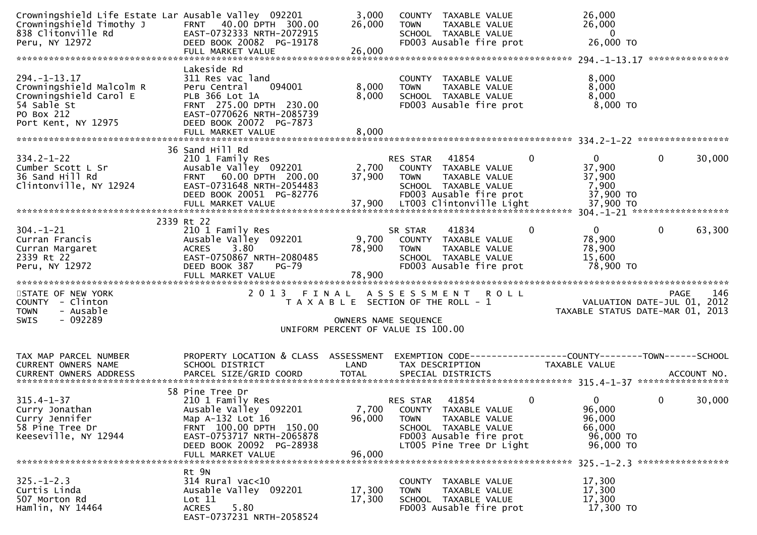| Crowningshield Life Estate Lar Ausable Valley 092201<br>Crowningshield Timothy J<br>838 Clitonville Rd<br>Peru, NY 12972    | FRNT 40.00 DPTH 300.00<br>EAST-0732333 NRTH-2072915<br>DEED BOOK 20082 PG-19178<br>FULL MARKET VALUE                                                                                      | 3,000<br>26,000<br>26,000                                  | <b>TOWN</b>                    | COUNTY TAXABLE VALUE<br>TAXABLE VALUE<br>SCHOOL TAXABLE VALUE<br>FD003 Ausable fire prot                                      |             | 26,000<br>26,000<br>$\mathbf{0}$<br>26,000 TO                                                         |             |        |
|-----------------------------------------------------------------------------------------------------------------------------|-------------------------------------------------------------------------------------------------------------------------------------------------------------------------------------------|------------------------------------------------------------|--------------------------------|-------------------------------------------------------------------------------------------------------------------------------|-------------|-------------------------------------------------------------------------------------------------------|-------------|--------|
| $294. -1 - 13.17$<br>Crowningshield Malcolm R<br>Crowningshield Carol E<br>54 Sable St<br>PO Box 212<br>Port Kent, NY 12975 | Lakeside Rd<br>311 Res vac land<br>Peru Central<br>094001<br>PLB 366 Lot 1A<br>FRNT 275.00 DPTH 230.00<br>EAST-0770626 NRTH-2085739<br>DEED BOOK 20072 PG-7873                            | 8,000<br>8,000                                             | <b>TOWN</b>                    | COUNTY TAXABLE VALUE<br>TAXABLE VALUE<br>SCHOOL TAXABLE VALUE<br>FD003 Ausable fire prot                                      |             | 8,000<br>8,000<br>8,000<br>8,000 TO                                                                   |             |        |
|                                                                                                                             | FULL MARKET VALUE                                                                                                                                                                         | 8,000                                                      |                                |                                                                                                                               |             |                                                                                                       |             |        |
| $334.2 - 1 - 22$<br>Cumber Scott L Sr<br>36 Sand Hill Rd<br>Clintonville, NY 12924                                          | 36 Sand Hill Rd<br>210 1 Family Res<br>Ausable Valley 092201<br>FRNT 60.00 DPTH 200.00<br>EAST-0731648 NRTH-2054483<br>DEED BOOK 20051 PG-82776                                           | 2,700<br>37,900                                            | RES STAR<br><b>TOWN</b>        | 41854<br>COUNTY TAXABLE VALUE<br>TAXABLE VALUE<br>SCHOOL TAXABLE VALUE<br>FD003 Ausable fire prot                             | $\Omega$    | 0<br>37,900<br>37,900<br>7,900<br>37,900 TO                                                           | $\Omega$    | 30,000 |
|                                                                                                                             | 2339 Rt 22                                                                                                                                                                                |                                                            |                                |                                                                                                                               |             |                                                                                                       |             |        |
| $304. - 1 - 21$<br>Curran Francis<br>Curran Margaret<br>2339 Rt 22<br>Peru, NY 12972                                        | 210 1 Family Res<br>Ausable Valley 092201<br>3.80<br><b>ACRES</b><br>EAST-0750867 NRTH-2080485<br>DEED BOOK 387<br>$PG-79$                                                                | 9,700<br>78,900<br>78,900                                  | SR STAR<br><b>TOWN</b>         | 41834<br>COUNTY TAXABLE VALUE<br>TAXABLE VALUE<br>SCHOOL TAXABLE VALUE<br>FD003 Ausable fire prot                             | $\mathbf 0$ | $\mathbf 0$<br>78,900<br>78,900<br>15,600<br>78,900 TO                                                | $\mathbf 0$ | 63,300 |
| STATE OF NEW YORK<br>COUNTY - Clinton<br>- Ausable<br><b>TOWN</b>                                                           | 2013 FINAL ASSESSMENT ROLL                                                                                                                                                                | T A X A B L E SECTION OF THE ROLL - 1                      |                                |                                                                                                                               |             | VALUATION DATE-JUL 01, 2012<br>TAXABLE STATUS DATE-MAR 01, 2013                                       | PAGE        | 146    |
| $-092289$<br><b>SWIS</b>                                                                                                    |                                                                                                                                                                                           | OWNERS NAME SEQUENCE<br>UNIFORM PERCENT OF VALUE IS 100.00 |                                |                                                                                                                               |             |                                                                                                       |             |        |
| TAX MAP PARCEL NUMBER<br><b>CURRENT OWNERS NAME</b>                                                                         | PROPERTY LOCATION & CLASS ASSESSMENT<br>SCHOOL DISTRICT                                                                                                                                   | LAND                                                       |                                | TAX DESCRIPTION                                                                                                               |             | EXEMPTION CODE-----------------COUNTY-------TOWN------SCHOOL<br>TAXABLE VALUE                         |             |        |
| $315.4 - 1 - 37$<br>Curry Jonathan<br>Curry Jennifer<br>58 Pine Tree Dr<br>Keeseville, NY 12944                             | 58 Pine Tree Dr<br>210 1 Family Res<br>Ausable Valley 092201<br>Map A-132 Lot 16<br>FRNT 100.00 DPTH 150.00<br>EAST-0753717 NRTH-2065878<br>DEED BOOK 20092 PG-28938<br>FULL MARKET VALUE | 7,700<br>96,000<br>96,000                                  | <b>RES STAR</b><br><b>TOWN</b> | 41854<br>COUNTY TAXABLE VALUE<br>TAXABLE VALUE<br>SCHOOL TAXABLE VALUE<br>FD003 Ausable fire prot<br>LT005 Pine Tree Dr Light | $\mathbf 0$ | $\mathbf 0$<br>96,000<br>96,000<br>66,000<br>96,000 TO<br>96,000 TO<br>325. -1-2.3 ****************** | 0           | 30,000 |
| $325. - 1 - 2.3$<br>Curtis Linda<br>507 Morton Rd<br>Hamlin, NY 14464                                                       | Rt 9N<br>314 Rural vac<10<br>Ausable Valley 092201<br>Lot 11<br>5.80<br><b>ACRES</b><br>EAST-0737231 NRTH-2058524                                                                         | 17,300<br>17,300                                           | <b>TOWN</b>                    | COUNTY TAXABLE VALUE<br>TAXABLE VALUE<br>SCHOOL TAXABLE VALUE<br>FD003 Ausable fire prot                                      |             | 17,300<br>17,300<br>17,300<br>17,300 TO                                                               |             |        |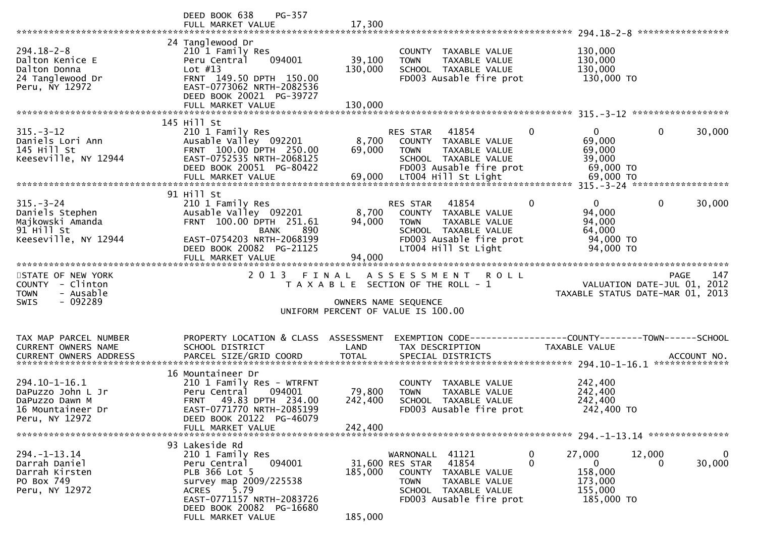|                                                                                                                                                                                                                                   | PG-357<br>DEED BOOK 638<br>FULL MARKET VALUE                                                                                                                                                | 17,300                       |                                                                                                                                                        |                  |                                                                         | *****************                                                              |
|-----------------------------------------------------------------------------------------------------------------------------------------------------------------------------------------------------------------------------------|---------------------------------------------------------------------------------------------------------------------------------------------------------------------------------------------|------------------------------|--------------------------------------------------------------------------------------------------------------------------------------------------------|------------------|-------------------------------------------------------------------------|--------------------------------------------------------------------------------|
| $294.18 - 2 - 8$<br>Dalton Kenice E<br>Dalton Donna<br>24 Tanglewood Dr<br>Peru, NY 12972                                                                                                                                         | 24 Tanglewood Dr<br>210 1 Family Res<br>094001<br>Peru Central<br>Lot $#13$<br>FRNT 149.50 DPTH 150.00<br>EAST-0773062 NRTH-2082536<br>DEED BOOK 20021 PG-39727<br>FULL MARKET VALUE        | 39,100<br>130,000<br>130,000 | COUNTY TAXABLE VALUE<br>TAXABLE VALUE<br><b>TOWN</b><br>SCHOOL TAXABLE VALUE<br>FD003 Ausable fire prot                                                |                  | 130,000<br>130,000<br>130,000<br>130,000 TO                             |                                                                                |
|                                                                                                                                                                                                                                   | 145 Hill St                                                                                                                                                                                 |                              |                                                                                                                                                        |                  |                                                                         |                                                                                |
| $315. - 3 - 12$<br>Daniels Lori Ann<br>145 Hill St<br>Keeseville, NY 12944                                                                                                                                                        | 210 1 Family Res<br>Ausable Valley 092201<br>FRNT 100.00 DPTH 250.00<br>EAST-0752535 NRTH-2068125<br>DEED BOOK 20051 PG-80422                                                               | 8,700<br>69,000              | RES STAR<br>41854<br>COUNTY TAXABLE VALUE<br><b>TOWN</b><br>TAXABLE VALUE<br>SCHOOL TAXABLE VALUE<br>FD003 Ausable fire prot                           | 0                | $\overline{0}$<br>69,000<br>69,000<br>39,000<br>69,000 TO               | $\mathbf 0$<br>30,000                                                          |
|                                                                                                                                                                                                                                   |                                                                                                                                                                                             |                              |                                                                                                                                                        |                  |                                                                         |                                                                                |
| $315 - 3 - 24$<br>Daniels Stephen<br>Majkowski Amanda<br>91 Hill St<br>Keeseville, NY 12944                                                                                                                                       | 91 Hill St<br>210 1 Family Res<br>Ausable Valley 092201<br>FRNT 100.00 DPTH 251.61<br>890<br><b>BANK</b><br>EAST-0754203 NRTH-2068199<br>DEED BOOK 20082 PG-21125                           | 8,700<br>94,000              | 41854<br>RES STAR<br>COUNTY TAXABLE VALUE<br><b>TOWN</b><br>TAXABLE VALUE<br>SCHOOL TAXABLE VALUE<br>FD003 Ausable fire prot<br>LT004 Hill St Light    | $\mathbf{0}$     | $\mathbf{0}$<br>94,000<br>94,000<br>64,000<br>94,000 TO<br>94,000 TO    | $\mathbf 0$<br>30,000                                                          |
|                                                                                                                                                                                                                                   | FULL MARKET VALUE                                                                                                                                                                           | 94,000                       |                                                                                                                                                        |                  |                                                                         |                                                                                |
| STATE OF NEW YORK<br>COUNTY - Clinton<br>- Ausable<br><b>TOWN</b><br>- 092289<br><b>SWIS</b>                                                                                                                                      | 2 0 1 3                                                                                                                                                                                     | FINAL                        | ASSESSMENT ROLL<br>T A X A B L E SECTION OF THE ROLL - 1<br>OWNERS NAME SEQUENCE<br>UNIFORM PERCENT OF VALUE IS 100.00                                 |                  |                                                                         | 147<br>PAGE<br>VALUATION DATE-JUL 01, 2012<br>TAXABLE STATUS DATE-MAR 01, 2013 |
|                                                                                                                                                                                                                                   |                                                                                                                                                                                             |                              |                                                                                                                                                        |                  |                                                                         |                                                                                |
| TAX MAP PARCEL NUMBER<br>CURRENT OWNERS NAME<br>.CURRENT OWNERS ADDRESS PARCEL SIZE/GRID COORD TOTAL SPECIAL DISTRICTS (ACCOUNT NO ACCOUNT NO ACCOUNT NO AND TOTAL SPECIAL DISTRICTS 4.10-1-16.1<br><b>CURRENT OWNERS ADDRESS</b> | PROPERTY LOCATION & CLASS<br>SCHOOL DISTRICT                                                                                                                                                | ASSESSMENT<br>LAND           | TAX DESCRIPTION                                                                                                                                        |                  | TAXABLE VALUE                                                           |                                                                                |
|                                                                                                                                                                                                                                   | 16 Mountaineer Dr                                                                                                                                                                           |                              |                                                                                                                                                        |                  |                                                                         |                                                                                |
| 294.10-1-16.1<br>DaPuzzo John L Jr<br>DaPuzzo Dawn M<br>16 Mountaineer Dr<br>Peru, NY 12972                                                                                                                                       | 210 1 Family Res - WTRFNT<br>094001<br>Peru Central<br>49.83 DPTH 234.00<br><b>FRNT</b><br>EAST-0771770 NRTH-2085199<br>DEED BOOK 20122 PG-46079<br>FULL MARKET VALUE                       | 79,800<br>242,400<br>242,400 | COUNTY TAXABLE VALUE<br>TAXABLE VALUE<br><b>TOWN</b><br>SCHOOL TAXABLE VALUE<br>FD003 Ausable fire prot                                                |                  | 242,400<br>242,400<br>242,400<br>242,400 TO                             |                                                                                |
|                                                                                                                                                                                                                                   | 93 Lakeside Rd                                                                                                                                                                              |                              |                                                                                                                                                        |                  |                                                                         |                                                                                |
| $294. -1 - 13.14$<br>Darrah Daniel<br>Darrah Kirsten<br>PO Box 749<br>Peru, NY 12972                                                                                                                                              | 210 1 Family Res<br>094001<br>Peru Central<br>PLB 366 Lot 5<br>survey map 2009/225538<br><b>ACRES</b><br>5.79<br>EAST-0771157 NRTH-2083726<br>DEED BOOK 20082 PG-16680<br>FULL MARKET VALUE | 185,000<br>185,000           | WARNONALL 41121<br>41854<br>31,600 RES STAR<br>COUNTY TAXABLE VALUE<br><b>TOWN</b><br>TAXABLE VALUE<br>SCHOOL TAXABLE VALUE<br>FD003 Ausable fire prot | 0<br>$\mathbf 0$ | 27,000<br>$\overline{0}$<br>158,000<br>173,000<br>155,000<br>185,000 TO | 0<br>12,000<br>30,000<br>$\Omega$                                              |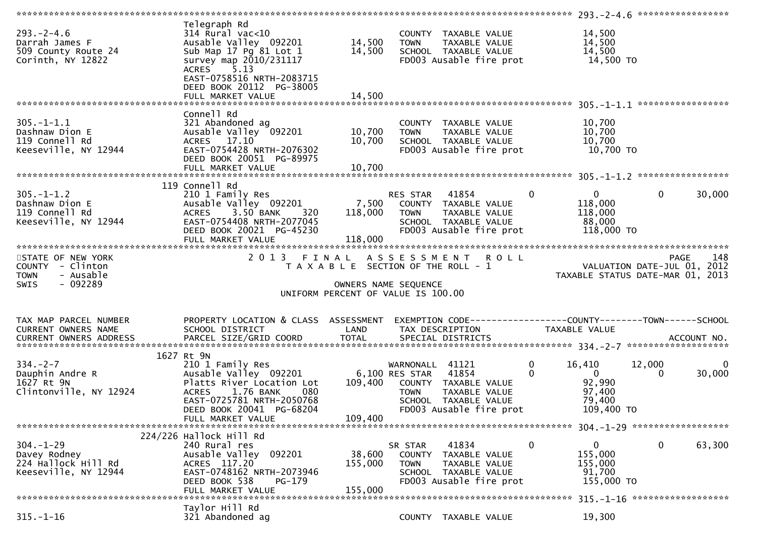| $293. - 2 - 4.6$<br>Darrah James F<br>509 County Route 24<br>Corinth, NY 12822 | Telegraph Rd<br>$314$ Rural vac<10<br>Ausable Valley 092201<br>Sub Map 17 Pg 81 Lot 1<br>survey map 2010/231117<br>ACRES 5.13<br>EAST-0758516 NRTH-2083715<br>DEED BOOK 20112 PG-38005<br>FULL MARKET VALUE | 14,500<br>14,500<br>14,500   | <b>TOWN</b>                                                                                         | COUNTY TAXABLE VALUE<br>TAXABLE VALUE<br>SCHOOL TAXABLE VALUE<br>FD003 Ausable fire prot   | 14,500<br>14,500<br>14,500<br>$14,500$ TO                                       |              |                                |
|--------------------------------------------------------------------------------|-------------------------------------------------------------------------------------------------------------------------------------------------------------------------------------------------------------|------------------------------|-----------------------------------------------------------------------------------------------------|--------------------------------------------------------------------------------------------|---------------------------------------------------------------------------------|--------------|--------------------------------|
|                                                                                |                                                                                                                                                                                                             |                              |                                                                                                     |                                                                                            |                                                                                 |              |                                |
| $305. - 1 - 1.1$<br>Dashnaw Dion E<br>119 Connell Rd<br>Keeseville, NY 12944   | Connell Rd<br>321 Abandoned ag<br>Ausable Valley 092201<br>ACRES 17.10<br>EAST-0754428 NRTH-2076302<br>DEED BOOK 20051 PG-89975                                                                             | 10,700<br>10,700             | <b>TOWN</b><br>SCHOOL TAXABLE VALUE                                                                 | COUNTY TAXABLE VALUE<br>TAXABLE VALUE<br>FD003 Ausable fire prot                           | 10,700<br>10,700<br>10,700<br>10,700 TO                                         |              |                                |
|                                                                                | 119 Connell Rd                                                                                                                                                                                              |                              |                                                                                                     |                                                                                            |                                                                                 |              |                                |
| $305. - 1 - 1.2$<br>Dashnaw Dion E<br>119 Connell Rd<br>Keeseville, NY 12944   | 210 1 Family Res<br>Ausable Valley 092201 7,500 COUNTY TAXABLE VALUE<br>ACRES 3.50 BANK<br>320<br>EAST-0754408 NRTH-2077045<br>DEED BOOK 20021 PG-45230                                                     | 118,000                      | RES STAR 41854<br><b>TOWN</b>                                                                       | TAXABLE VALUE<br>SCHOOL TAXABLE VALUE<br>FD003 Ausable fire prot                           | $\mathbf{0}$<br>$\overline{0}$<br>118,000<br>118,000<br>88,000<br>118,000 TO    | $\mathbf{0}$ | 30,000                         |
|                                                                                | FULL MARKET VALUE                                                                                                                                                                                           | 118,000                      |                                                                                                     |                                                                                            |                                                                                 |              |                                |
| STATE OF NEW YORK                                                              | 2013 FINAL ASSESSMENT ROLL                                                                                                                                                                                  |                              |                                                                                                     |                                                                                            |                                                                                 |              |                                |
| COUNTY - Clinton<br>- Ausable<br><b>TOWN</b><br>$-092289$<br>SWIS              |                                                                                                                                                                                                             |                              | T A X A B L E SECTION OF THE ROLL - 1<br>OWNERS NAME SEQUENCE<br>UNIFORM PERCENT OF VALUE IS 100.00 |                                                                                            | O L L<br>VALUATION DATE-JUL 01, 2012<br>TAXABLE STATUS DATE-MAR 01, 2013        |              |                                |
|                                                                                |                                                                                                                                                                                                             |                              |                                                                                                     |                                                                                            |                                                                                 |              |                                |
| TAX MAP PARCEL NUMBER<br>CURRENT OWNERS NAME                                   | PROPERTY LOCATION & CLASS ASSESSMENT<br>SCHOOL DISTRICT                                                                                                                                                     | LAND                         | TAX DESCRIPTION                                                                                     |                                                                                            | EXEMPTION CODE------------------COUNTY--------TOWN------SCHOOL<br>TAXABLE VALUE |              |                                |
| <b>CURRENT OWNERS ADDRESS</b>                                                  |                                                                                                                                                                                                             |                              |                                                                                                     |                                                                                            |                                                                                 |              |                                |
|                                                                                |                                                                                                                                                                                                             |                              |                                                                                                     |                                                                                            |                                                                                 |              |                                |
| $334. - 2 - 7$<br>Dauphin Andre R<br>1627 Rt 9N<br>Clintonville, NY 12924      | 1627 Rt 9N<br>210 1 Family Res<br>1.76 BANK<br>ACRES<br>080<br>EAST-0725781 NRTH-2050768                                                                                                                    |                              | WARNONALL 41121<br>TOWN                                                                             | TAXABLE VALUE<br>SCHOOL TAXABLE VALUE                                                      | 16,410<br>0<br>$\Omega$<br>$\overline{0}$<br>92,990<br>97,400<br>79,400         | 12,000<br>0  | $\bf{0}$<br>30,000             |
|                                                                                | DEED BOOK 20041 PG-68204<br>FULL MARKET VALUE                                                                                                                                                               | 109,400                      |                                                                                                     | FD003 Ausable fire prot                                                                    | 109,400 TO                                                                      |              |                                |
|                                                                                |                                                                                                                                                                                                             |                              |                                                                                                     |                                                                                            |                                                                                 |              |                                |
| $304. - 1 - 29$<br>Davey Rodney<br>224 Hallock Hill Rd<br>Keeseville, NY 12944 | $224/226$ Hallock Hill Rd<br>240 Rural res<br>Ausable Valley 092201<br>ACRES 117.20<br>EAST-0748162 NRTH-2073946<br>DEED BOOK 538<br>PG-179<br>FULL MARKET VALUE                                            | 38,600<br>155,000<br>155,000 | SR STAR<br><b>COUNTY</b><br><b>TOWN</b>                                                             | 41834<br>TAXABLE VALUE<br>TAXABLE VALUE<br>SCHOOL TAXABLE VALUE<br>FD003 Ausable fire prot | 0<br>$\mathbf{0}$<br>155,000<br>155,000<br>91,700<br>155,000 TO                 | 0            | 63,300                         |
|                                                                                | Taylor Hill Rd                                                                                                                                                                                              |                              |                                                                                                     |                                                                                            |                                                                                 |              | 315. -1-16 ******************* |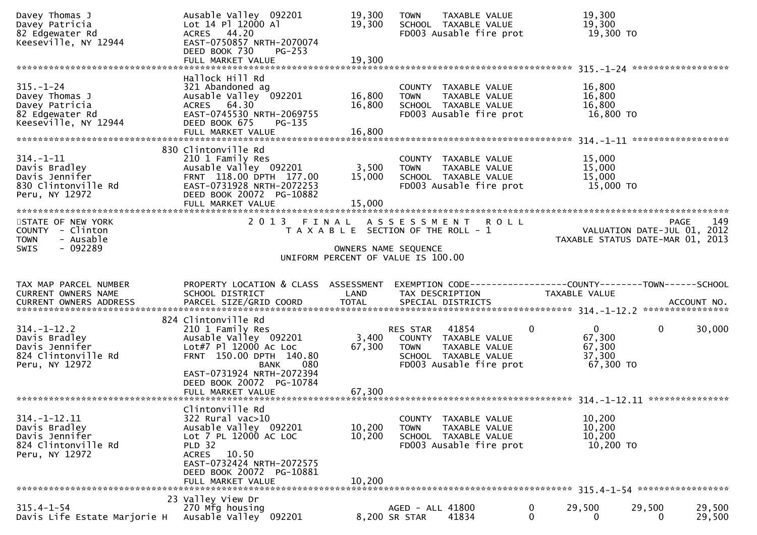| Davey Thomas J<br>Davey Patricia<br>82 Edgewater Rd<br>Keeseville, NY 12944                    | Ausable Valley 092201<br>Lot 14 Pl 12000 Al<br>ACRES 44.20<br>EAST-0750857 NRTH-2070074<br>DEED BOOK 730<br>PG-253<br>FULL MARKET VALUE                                                             | 19,300<br>19,300<br>19,300 | TAXABLE VALUE<br><b>TOWN</b><br>SCHOOL TAXABLE VALUE<br>FD003 Ausable fire prot                                              | 19,300<br>19,300<br>19,300 TO                                             |                    |
|------------------------------------------------------------------------------------------------|-----------------------------------------------------------------------------------------------------------------------------------------------------------------------------------------------------|----------------------------|------------------------------------------------------------------------------------------------------------------------------|---------------------------------------------------------------------------|--------------------|
|                                                                                                |                                                                                                                                                                                                     |                            |                                                                                                                              |                                                                           |                    |
| $315. - 1 - 24$<br>Davey Thomas J<br>Davey Patricia<br>82 Edgewater Rd<br>Keeseville, NY 12944 | Hallock Hill Rd<br>321 Abandoned ag<br>Ausable Valley 092201<br>ACRES 64.30<br>EAST-0745530 NRTH-2069755<br>DEED BOOK 675<br>PG-135<br>FULL MARKET VALUE                                            | 16,800<br>16,800<br>16,800 | COUNTY TAXABLE VALUE<br>TAXABLE VALUE<br><b>TOWN</b><br>SCHOOL TAXABLE VALUE<br>FD003 Ausable fire prot                      | 16,800<br>16,800<br>16,800<br>16,800 TO                                   |                    |
|                                                                                                |                                                                                                                                                                                                     |                            |                                                                                                                              |                                                                           |                    |
| $314. - 1 - 11$<br>Davis Bradley<br>Davis Jennifer<br>830 Clintonville Rd<br>Peru, NY 12972    | 830 Clintonville Rd<br>210 1 Family Res<br>Ausable Valley 092201<br>FRNT 118.00 DPTH 177.00<br>EAST-0731928 NRTH-2072253<br>DEED BOOK 20072 PG-10882<br>FULL MARKET VALUE                           | 3,500<br>15,000<br>15,000  | COUNTY TAXABLE VALUE<br>TAXABLE VALUE<br><b>TOWN</b><br>SCHOOL TAXABLE VALUE<br>FD003 Ausable fire prot                      | 15,000<br>15,000<br>15,000<br>15,000 TO                                   |                    |
| STATE OF NEW YORK<br>COUNTY - Clinton<br>- Ausable<br><b>TOWN</b><br>$-092289$<br><b>SWIS</b>  | 2 0 1 3<br>FINAL                                                                                                                                                                                    | OWNERS NAME SEQUENCE       | ASSESSMENT ROLL<br>T A X A B L E SECTION OF THE ROLL - 1                                                                     | VALUATION DATE-JUL 01, 2012<br>TAXABLE STATUS DATE-MAR 01, 2013           | 149<br><b>PAGE</b> |
|                                                                                                |                                                                                                                                                                                                     |                            | UNIFORM PERCENT OF VALUE IS 100.00                                                                                           |                                                                           |                    |
|                                                                                                |                                                                                                                                                                                                     |                            |                                                                                                                              |                                                                           |                    |
| TAX MAP PARCEL NUMBER<br>CURRENT OWNERS NAME<br>CURRENT OWNERS ADDRESS                         | PROPERTY LOCATION & CLASS ASSESSMENT<br>SCHOOL DISTRICT<br>PARCEL SIZE/GRID COORD                                                                                                                   | LAND<br><b>TOTAL</b>       | TAX DESCRIPTION<br>SPECIAL DISTRICTS                                                                                         | TAXABLE VALUE                                                             | ACCOUNT NO.        |
|                                                                                                |                                                                                                                                                                                                     |                            |                                                                                                                              |                                                                           |                    |
| $314. - 1 - 12.2$<br>Davis Bradley<br>Davis Jennifer<br>824 Clintonville Rd<br>Peru, NY 12972  | 824 Clintonville Rd<br>210 1 Family Res<br>Ausable Valley 092201<br>Lot#7 Pl 12000 Ac Loc<br>FRNT 150.00 DPTH 140.80<br><b>BANK</b><br>080<br>EAST-0731924 NRTH-2072394                             | 3,400<br>67,300            | 41854<br>RES STAR<br>COUNTY TAXABLE VALUE<br>TAXABLE VALUE<br><b>TOWN</b><br>SCHOOL TAXABLE VALUE<br>FD003 Ausable fire prot | $\overline{0}$<br>$\mathbf{0}$<br>67,300<br>67,300<br>37,300<br>67,300 TO | 30,000<br>0        |
|                                                                                                | DEED BOOK 20072 PG-10784<br>FULL MARKET VALUE                                                                                                                                                       | 67,300                     |                                                                                                                              |                                                                           |                    |
| $314. - 1 - 12.11$<br>Davis Bradley<br>Davis Jennifer<br>824 Clintonville Rd<br>Peru, NY 12972 | Clintonville Rd<br>322 Rural vac>10<br>Ausable Valley 092201<br>Lot 7 PL 12000 AC LOC<br><b>PLD 32</b><br>ACRES 10.50<br>EAST-0732424 NRTH-2072575<br>DEED BOOK 20072 PG-10881<br>FULL MARKET VALUE | 10,200<br>10,200<br>10.200 | COUNTY TAXABLE VALUE<br>TAXABLE VALUE<br>TOWN<br>SCHOOL TAXABLE VALUE<br>FD003 Ausable fire prot                             | 10,200<br>10,200<br>10,200<br>10,200 TO                                   |                    |
|                                                                                                | 23 Valley View Dr<br>270 Mfg housing                                                                                                                                                                |                            |                                                                                                                              |                                                                           | 29,500             |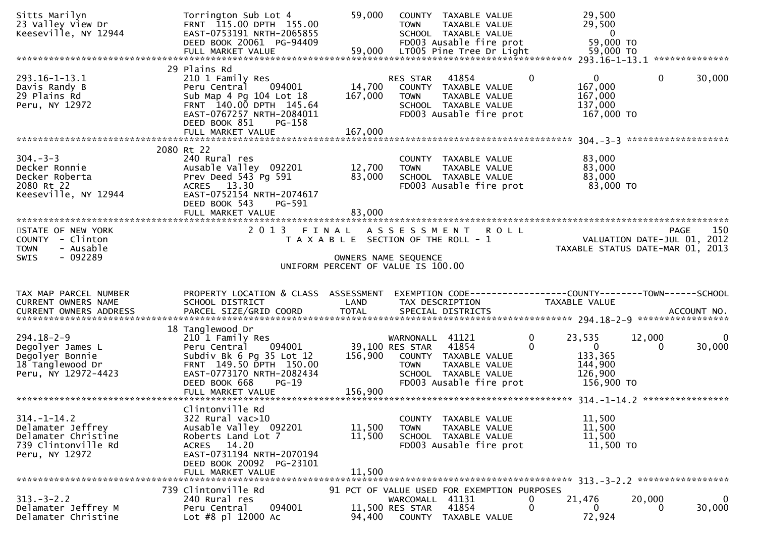| Sitts Marilyn<br>23 Valley View Dr<br>Keeseville, NY 12944                                             | Torrington Sub Lot 4<br>FRNT 115.00 DPTH 155.00<br>EAST-0753191 NRTH-2065855<br>DEED BOOK 20061 PG-94409<br>FULL MARKET VALUE                                                                       | 59,000<br>59,000             | COUNTY TAXABLE VALUE<br><b>TOWN</b><br>TAXABLE VALUE<br>SCHOOL TAXABLE VALUE<br>FD003 Ausable fire prot<br>LT005 Pine Tree Dr Light                    | 29,500<br>29,500<br>$\overline{0}$<br>59,000 TO<br>59,000 TO                           |                    |                    |
|--------------------------------------------------------------------------------------------------------|-----------------------------------------------------------------------------------------------------------------------------------------------------------------------------------------------------|------------------------------|--------------------------------------------------------------------------------------------------------------------------------------------------------|----------------------------------------------------------------------------------------|--------------------|--------------------|
| 293.16-1-13.1<br>Davis Randy B<br>29 Plains Rd<br>Peru, NY 12972                                       | 29 Plains Rd<br>210 1 Family Res<br>Peru Central<br>094001<br>Sub Map 4 Pg 104 Lot 18<br>FRNT 140.00 DPTH 145.64<br>EAST-0767257 NRTH-2084011<br>DEED BOOK 851<br>PG-158<br>FULL MARKET VALUE       | 14,700<br>167,000<br>167,000 | 41854<br>RES STAR<br>COUNTY TAXABLE VALUE<br><b>TOWN</b><br>TAXABLE VALUE<br>SCHOOL TAXABLE VALUE<br>FD003 Ausable fire prot                           | $\mathbf{0}$<br>$\mathbf{0}$<br>167,000<br>167,000<br>137,000<br>167,000 TO            | $\mathbf{0}$       | 30,000             |
| $304 - 3 - 3$<br>Decker Ronnie<br>Decker Roberta<br>2080 Rt 22<br>Keeseville, NY 12944                 | 2080 Rt 22<br>240 Rural res<br>Ausable Valley 092201<br>Prev Deed 543 Pg 591<br>ACRES 13.30<br>EAST-0752154 NRTH-2074617<br>DEED BOOK 543<br>PG-591<br>FULL MARKET VALUE                            | 12,700<br>83,000<br>83,000   | COUNTY TAXABLE VALUE<br>TAXABLE VALUE<br><b>TOWN</b><br>SCHOOL TAXABLE VALUE<br>FD003 Ausable fire prot                                                | 83,000<br>83,000<br>83,000<br>83,000 TO                                                |                    |                    |
| STATE OF NEW YORK<br>COUNTY - Clinton<br>- Ausable<br><b>TOWN</b><br>$-092289$<br><b>SWIS</b>          |                                                                                                                                                                                                     |                              | 2013 FINAL ASSESSMENT ROLL<br>T A X A B L E SECTION OF THE ROLL - 1<br>OWNERS NAME SEQUENCE<br>UNIFORM PERCENT OF VALUE IS 100.00                      | VALUATION DATE-JUL 01, 2012<br>TAXABLE STATUS DATE-MAR 01, 2013                        | PAGE               | 150                |
| TAX MAP PARCEL NUMBER<br>CURRENT OWNERS NAME                                                           | PROPERTY LOCATION & CLASS ASSESSMENT<br>SCHOOL DISTRICT                                                                                                                                             | LAND                         | TAX DESCRIPTION                                                                                                                                        | TAXABLE VALUE                                                                          |                    |                    |
|                                                                                                        |                                                                                                                                                                                                     |                              |                                                                                                                                                        |                                                                                        |                    |                    |
| $294.18 - 2 - 9$<br>Degolyer James L<br>Degolyer Bonnie<br>18 Tanglewood Dr<br>Peru, NY 12972-4423     | 18 Tanglewood Dr<br>210 1 Family Res<br>Peru Central<br>094001<br>Subdiv Bk 6 Pg 35 Lot 12<br>FRNT 149.50 DPTH 150.00<br>EAST-0773170 NRTH-2082434<br>DEED BOOK 668<br>$PG-19$<br>FULL MARKET VALUE | 156,900<br>156,900           | WARNONALL 41121<br>41854<br>39,100 RES STAR<br>COUNTY TAXABLE VALUE<br><b>TOWN</b><br>TAXABLE VALUE<br>SCHOOL TAXABLE VALUE<br>FD003 Ausable fire prot | 0<br>23,535<br>$\Omega$<br>$\mathbf{0}$<br>133,365<br>144,900<br>126,900<br>156,900 TO | 12,000<br>$\Omega$ | $\bf{0}$<br>30,000 |
| $314. - 1 - 14.2$<br>Delamater Jeffrey<br>Delamater Christine<br>739 Clintonville Rd<br>Peru, NY 12972 | Clintonville Rd<br>322 Rural vac>10<br>Ausable Valley 092201<br>Roberts Land Lot 7<br>ACRES 14.20<br>EAST-0731194 NRTH-2070194<br>DEED BOOK 20092 PG-23101<br>FULL MARKET VALUE                     | 11,500<br>11,500<br>11.500   | COUNTY TAXABLE VALUE<br>TAXABLE VALUE<br><b>TOWN</b><br>SCHOOL TAXABLE VALUE<br>FD003 Ausable fire prot                                                | 11,500<br>11,500<br>11,500<br>11,500 TO                                                |                    |                    |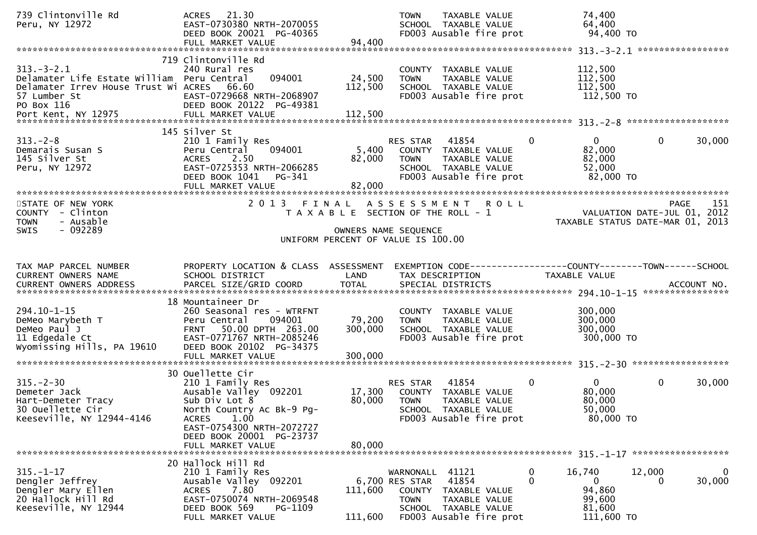| 94,400<br>FULL MARKET VALUE<br>719 Clintonville Rd<br>$313.-3-2.1$<br>112,500<br>240 Rural res<br>COUNTY TAXABLE VALUE<br>24,500<br>112,500<br>Delamater Life Estate William Peru Central<br>094001<br>TAXABLE VALUE<br><b>TOWN</b><br>66.60<br>112,500<br>112,500<br>Delamater Irrev House Trust Wi ACRES<br>SCHOOL TAXABLE VALUE<br>EAST-0729668 NRTH-2068907<br>FD003 Ausable fire prot<br>112,500 TO<br>57 Lumber St<br>PO Box 116<br>DEED BOOK 20122 PG-49381<br>145 Silver St<br>$313 - 2 - 8$<br>41854<br>210 1 Family Res<br>RES STAR<br>0<br>$\mathbf{0}$<br>Demarais Susan S<br>094001<br>5,400<br>82,000<br>Peru Central<br>COUNTY TAXABLE VALUE<br>145 Silver St<br>2.50<br>82,000<br><b>ACRES</b><br>82,000<br>TAXABLE VALUE<br><b>TOWN</b><br>Peru, NY 12972<br>EAST-0725353 NRTH-2066285<br>52,000<br>SCHOOL TAXABLE VALUE |                                                   |
|-------------------------------------------------------------------------------------------------------------------------------------------------------------------------------------------------------------------------------------------------------------------------------------------------------------------------------------------------------------------------------------------------------------------------------------------------------------------------------------------------------------------------------------------------------------------------------------------------------------------------------------------------------------------------------------------------------------------------------------------------------------------------------------------------------------------------------------------|---------------------------------------------------|
|                                                                                                                                                                                                                                                                                                                                                                                                                                                                                                                                                                                                                                                                                                                                                                                                                                           |                                                   |
|                                                                                                                                                                                                                                                                                                                                                                                                                                                                                                                                                                                                                                                                                                                                                                                                                                           |                                                   |
|                                                                                                                                                                                                                                                                                                                                                                                                                                                                                                                                                                                                                                                                                                                                                                                                                                           |                                                   |
| 82,000 TO<br>DEED BOOK 1041<br>FD003 Ausable fire prot<br>PG-341<br>82,000<br>FULL MARKET VALUE                                                                                                                                                                                                                                                                                                                                                                                                                                                                                                                                                                                                                                                                                                                                           | $\mathbf{0}$<br>30,000                            |
|                                                                                                                                                                                                                                                                                                                                                                                                                                                                                                                                                                                                                                                                                                                                                                                                                                           |                                                   |
| STATE OF NEW YORK<br>2 0 1 3<br>FINAL<br>A S S E S S M E N T<br><b>ROLL</b><br>COUNTY - Clinton<br>T A X A B L E SECTION OF THE ROLL - 1<br><b>TOWN</b><br>- Ausable<br>TAXABLE STATUS DATE-MAR 01, 2013                                                                                                                                                                                                                                                                                                                                                                                                                                                                                                                                                                                                                                  | 151<br><b>PAGE</b><br>VALUATION DATE-JUL 01, 2012 |
| - 092289<br><b>SWIS</b><br>OWNERS NAME SEQUENCE                                                                                                                                                                                                                                                                                                                                                                                                                                                                                                                                                                                                                                                                                                                                                                                           |                                                   |
| UNIFORM PERCENT OF VALUE IS 100.00                                                                                                                                                                                                                                                                                                                                                                                                                                                                                                                                                                                                                                                                                                                                                                                                        |                                                   |
| TAX MAP PARCEL NUMBER<br>PROPERTY LOCATION & CLASS ASSESSMENT<br>EXEMPTION CODE------------------COUNTY--------TOWN------SCHOOL<br>CURRENT OWNERS NAME<br>SCHOOL DISTRICT<br>LAND<br>TAX DESCRIPTION<br>TAXABLE VALUE                                                                                                                                                                                                                                                                                                                                                                                                                                                                                                                                                                                                                     |                                                   |
|                                                                                                                                                                                                                                                                                                                                                                                                                                                                                                                                                                                                                                                                                                                                                                                                                                           |                                                   |
| 18 Mountaineer Dr<br>294.10-1-15<br>300,000<br>260 Seasonal res - WTRFNT<br>COUNTY TAXABLE VALUE<br>Peru Central<br>094001<br>79,200<br>300,000<br>DeMeo Marybeth T<br><b>TOWN</b><br>TAXABLE VALUE<br>50.00 DPTH 263.00<br>300,000<br>300,000<br>DeMeo Paul J<br>SCHOOL TAXABLE VALUE<br>FRNT<br>11 Edgedale Ct<br>EAST-0771767 NRTH-2085246<br>FD003 Ausable fire prot<br>300,000 TO<br>Wyomissing Hills, PA 19610<br>DEED BOOK 20102 PG-34375<br>300,000<br>FULL MARKET VALUE                                                                                                                                                                                                                                                                                                                                                          |                                                   |
| 30 Ouellette Cir                                                                                                                                                                                                                                                                                                                                                                                                                                                                                                                                                                                                                                                                                                                                                                                                                          |                                                   |
| $315. - 2 - 30$<br>41854<br>$\mathbf{0}$<br>$\overline{0}$<br>210 1 Family Res<br>RES STAR<br>80,000<br>17,300<br>Demeter Jack<br>Ausable Valley 092201<br>COUNTY TAXABLE VALUE<br>Sub Div Lot 8<br>80,000<br>80,000<br>Hart-Demeter Tracy<br><b>TOWN</b><br>TAXABLE VALUE<br>50,000<br>30 Ouellette Cir<br>North Country Ac Bk-9 Pg-<br>SCHOOL TAXABLE VALUE<br>1.00<br>Keeseville, NY 12944-4146<br>FD003 Ausable fire prot<br>80,000 TO<br><b>ACRES</b>                                                                                                                                                                                                                                                                                                                                                                                | $\mathbf 0$<br>30,000                             |
| EAST-0754300 NRTH-2072727<br>DEED BOOK 20001 PG-23737<br>80,000<br>FULL MARKET VALUE                                                                                                                                                                                                                                                                                                                                                                                                                                                                                                                                                                                                                                                                                                                                                      |                                                   |
| 20 Hallock Hill Rd                                                                                                                                                                                                                                                                                                                                                                                                                                                                                                                                                                                                                                                                                                                                                                                                                        |                                                   |
| $315. - 1 - 17$<br>210 1 Family Res<br>WARNONALL 41121<br>$\bf{0}$<br>16,740<br>41854<br>0<br>Dengler Jeffrey<br>Ausable Valley 092201<br>$\mathbf{0}$<br>6,700 RES STAR<br>94,860<br>Dengler Mary Ellen<br><b>ACRES</b><br>7.80<br>111,600<br>COUNTY<br>TAXABLE VALUE<br>20 Hallock Hill Rd<br>EAST-0750074 NRTH-2069548<br>TAXABLE VALUE<br>99,600<br><b>TOWN</b><br>Keeseville, NY 12944<br>81,600<br>DEED BOOK 569<br>PG-1109<br>SCHOOL TAXABLE VALUE<br>FD003 Ausable fire prot<br>FULL MARKET VALUE<br>111,600 TO<br>111,600                                                                                                                                                                                                                                                                                                        | 12,000<br>$\boldsymbol{0}$<br>30,000<br>0         |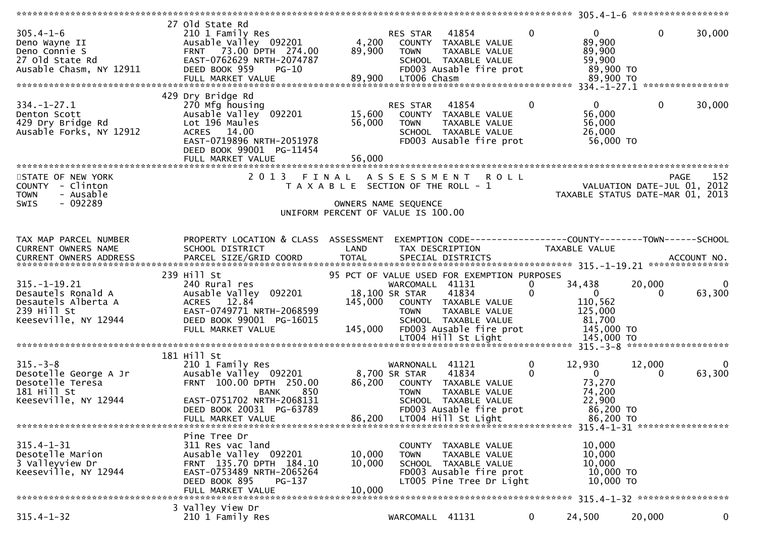| $305.4 - 1 - 6$<br>Deno Wayne II<br>Deno Connie S<br>27 old State Rd<br>Ausable Chasm, NY 12911        | 27 old State Rd<br>210 1 Family Res<br>Ausable Valley 092201<br>FRNT 73.00 DPTH 274.00<br>EAST-0762629 NRTH-2074787<br>DEED BOOK 959<br>$PG-10$<br>FULL MARKET VALUE             | 4,200<br>89,900                                                             | RES STAR<br><b>TOWN</b><br>89,900 LT006 Chasm    | 41854<br>COUNTY TAXABLE VALUE<br>TAXABLE VALUE<br>SCHOOL TAXABLE VALUE<br>FD003 Ausable fire prot                                                | $\mathbf{0}$             | $\overline{0}$<br>89,900<br>89,900<br>59,900<br>89,900 TO<br>89,900 TO         | $\mathbf{0}$       | 30,000      |
|--------------------------------------------------------------------------------------------------------|----------------------------------------------------------------------------------------------------------------------------------------------------------------------------------|-----------------------------------------------------------------------------|--------------------------------------------------|--------------------------------------------------------------------------------------------------------------------------------------------------|--------------------------|--------------------------------------------------------------------------------|--------------------|-------------|
|                                                                                                        | 429 Dry Bridge Rd                                                                                                                                                                |                                                                             |                                                  |                                                                                                                                                  |                          |                                                                                |                    |             |
| $334. - 1 - 27.1$<br>Denton Scott<br>429 Dry Bridge Rd<br>Ausable Forks, NY 12912                      | 270 Mfg housing<br>Ausable Valley 092201<br>Lot 196 Maules<br>ACRES 14.00<br>EAST-0719896 NRTH-2051978<br>DEED BOOK 99001 PG-11454<br>FULL MARKET VALUE                          | 15,600<br>56,000<br>56,000                                                  | RES STAR<br><b>TOWN</b>                          | 41854<br>COUNTY TAXABLE VALUE<br>TAXABLE VALUE<br>SCHOOL TAXABLE VALUE<br>FD003 Ausable fire prot                                                | $\Omega$                 | $\overline{0}$<br>56,000<br>56,000<br>26,000<br>56,000 TO                      | $\mathbf{0}$       | 30,000      |
|                                                                                                        |                                                                                                                                                                                  |                                                                             |                                                  |                                                                                                                                                  |                          |                                                                                |                    |             |
| STATE OF NEW YORK<br>COUNTY - Clinton<br>- Ausable<br><b>TOWN</b><br>$-092289$<br>SWIS                 | 2013 FINAL ASSESSMENT                                                                                                                                                            | T A X A B L E SECTION OF THE ROLL - 1<br>UNIFORM PERCENT OF VALUE IS 100.00 | OWNERS NAME SEQUENCE                             | <b>ROLL</b>                                                                                                                                      |                          | VALUATION DATE-JUL $01$ , 2012<br>TAXABLE STATUS DATE-MAR 01, 2013             | <b>PAGE</b>        | 152         |
| TAX MAP PARCEL NUMBER<br>CURRENT OWNERS NAME<br>CURRENT OWNERS ADDRESS                                 | PROPERTY LOCATION & CLASS ASSESSMENT<br>SCHOOL DISTRICT                                                                                                                          | LAND                                                                        | TAX DESCRIPTION                                  | EXEMPTION CODE-----------------COUNTY-------TOWN------SCHOOL                                                                                     |                          | TAXABLE VALUE                                                                  |                    |             |
|                                                                                                        | 239 Hill St                                                                                                                                                                      |                                                                             |                                                  |                                                                                                                                                  |                          |                                                                                |                    |             |
| $315. - 1 - 19.21$<br>Desautels Ronald A<br>Desautels Alberta A<br>239 Hill St<br>Keeseville, NY 12944 | 240 Rural res<br>Ausable Valley 092201<br>ACRES 12.84<br>EAST-0749771 NRTH-2068599<br>DEED BOOK 99001 PG-16015<br>FULL MARKET VALUE                                              | 145,000<br>145,000                                                          | WARCOMALL 41131<br>18,100 SR STAR<br><b>TOWN</b> | 95 PCT OF VALUE USED FOR EXEMPTION PURPOSES<br>41834<br>COUNTY TAXABLE VALUE<br>TAXABLE VALUE<br>SCHOOL TAXABLE VALUE<br>FD003 Ausable fire prot | $\bf{0}$<br>$\mathbf{0}$ | 34,438<br>$\overline{0}$<br>110,562<br>125,000<br>81,700<br>145,000 TO         | 20,000<br>$\Omega$ | 0<br>63,300 |
|                                                                                                        |                                                                                                                                                                                  |                                                                             |                                                  |                                                                                                                                                  |                          |                                                                                |                    |             |
| $315. - 3 - 8$<br>Desotelle George A Jr<br>Desotelle Teresa<br>181 Hill St<br>Keeseville, NY 12944     | 181 Hill St<br>210 1 Family Res<br>Ausable Valley 092201<br>FRNT 100.00 DPTH 250.00<br>850<br>BANK<br>EAST-0751702 NRTH-2068131<br>DEED BOOK 20031 PG-63789<br>FULL MARKET VALUE | 86,200<br>86,200                                                            | WARNONALL 41121<br>8,700 SR STAR<br><b>TOWN</b>  | 41834<br>COUNTY TAXABLE VALUE<br><b>TAXABLE VALUE</b><br>SCHOOL TAXABLE VALUE<br>FD003 Ausable fire prot<br>LT004 Hill St Light                  | $\bf{0}$<br>$\Omega$     | 12,930<br>$\mathbf{0}$<br>73,270<br>74,200<br>22,900<br>86,200 TO<br>86,200 TO | 12,000<br>$\Omega$ | 0<br>63,300 |
|                                                                                                        |                                                                                                                                                                                  |                                                                             |                                                  |                                                                                                                                                  |                          |                                                                                |                    |             |
| $315.4 - 1 - 31$<br>Desotelle Marion<br>3 Valleyview Dr<br>Keeseville, NY 12944                        | Pine Tree Dr<br>311 Res vac land<br>Ausable Valley 092201<br>FRNT 135.70 DPTH 184.10<br>EAST-0753489 NRTH-2065264<br>DEED BOOK 895<br>PG-137<br>FULL MARKET VALUE                | 10,000<br>10,000<br>10,000                                                  | <b>COUNTY</b><br><b>TOWN</b>                     | TAXABLE VALUE<br>TAXABLE VALUE<br>SCHOOL TAXABLE VALUE<br>FD003 Ausable fire prot<br>LT005 Pine Tree Dr Light                                    |                          | 10,000<br>10,000<br>10,000<br>10,000 TO<br>10,000 TO                           |                    |             |
|                                                                                                        | 3 Valley View Dr                                                                                                                                                                 |                                                                             |                                                  |                                                                                                                                                  |                          |                                                                                |                    |             |
| $315.4 - 1 - 32$                                                                                       | 210 1 Family Res                                                                                                                                                                 |                                                                             | WARCOMALL 41131                                  |                                                                                                                                                  | $\mathbf{0}$             | 24,500                                                                         | 20,000             | $\mathbf 0$ |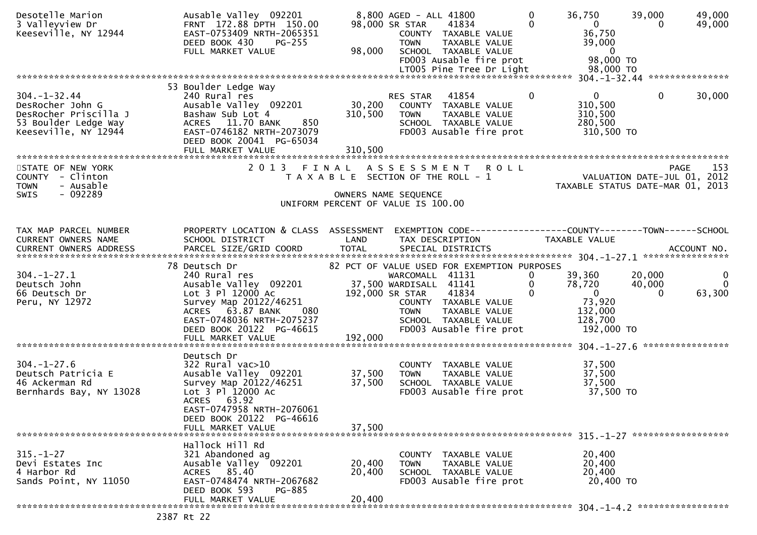| Desotelle Marion<br>3 Valleyview Dr<br>Keeseville, NY 12944                                                     | Ausable Valley 092201<br>FRNT 172.88 DPTH 150.00<br>EAST-0753409 NRTH-2065351<br>DEED BOOK 430<br><b>PG-255</b><br>FULL MARKET VALUE                                                                                  | 98,000                                               | 8,800 AGED - ALL 41800<br>98,000 SR STAR<br><b>TOWN</b> | 41834<br>COUNTY TAXABLE VALUE<br>TAXABLE VALUE<br>SCHOOL TAXABLE VALUE<br>FD003 Ausable fire prot | $\Omega$<br>$\Omega$            | 36,750<br>$\overline{0}$<br>36,750<br>39,000<br>$\overline{\mathbf{0}}$<br>98,000 TO | 39,000<br>$\Omega$           | 49,000<br>49,000                     |
|-----------------------------------------------------------------------------------------------------------------|-----------------------------------------------------------------------------------------------------------------------------------------------------------------------------------------------------------------------|------------------------------------------------------|---------------------------------------------------------|---------------------------------------------------------------------------------------------------|---------------------------------|--------------------------------------------------------------------------------------|------------------------------|--------------------------------------|
|                                                                                                                 | 53 Boulder Ledge Way                                                                                                                                                                                                  |                                                      |                                                         |                                                                                                   |                                 |                                                                                      |                              |                                      |
| $304. - 1 - 32.44$<br>DesRocher John G<br>DesRocher Priscilla J<br>53 Boulder Ledge Way<br>Keeseville, NY 12944 | 240 Rural res<br>Ausable Valley 092201<br>Bashaw Sub Lot 4<br>ACRES 11.70 BANK<br>850<br>EAST-0746182 NRTH-2073079<br>DEED BOOK 20041 PG-65034<br>FULL MARKET VALUE                                                   | 30,200<br>310,500<br>310,500                         | RES STAR 41854<br><b>TOWN</b>                           | COUNTY TAXABLE VALUE<br>TAXABLE VALUE<br>SCHOOL TAXABLE VALUE<br>FD003 Ausable fire prot          | $\Omega$                        | $\mathbf{0}$<br>310,500<br>310,500<br>280,500<br>310,500 TO                          | $\Omega$                     | 30,000                               |
|                                                                                                                 |                                                                                                                                                                                                                       |                                                      |                                                         |                                                                                                   |                                 |                                                                                      |                              |                                      |
| STATE OF NEW YORK<br>COUNTY - Clinton<br><b>TOWN</b><br>- Ausable<br>$-092289$<br><b>SWIS</b>                   | 2013 FINAL ASSESSMENT ROLL                                                                                                                                                                                            | T A X A B L E SECTION OF THE ROLL - 1                | OWNERS NAME SEQUENCE                                    |                                                                                                   |                                 | VALUATION DATE-JUL $01, 2012$<br>TAXABLE STATUS DATE-MAR 01, 2013                    |                              | 153<br>PAGE                          |
|                                                                                                                 |                                                                                                                                                                                                                       | UNIFORM PERCENT OF VALUE IS 100.00                   |                                                         |                                                                                                   |                                 |                                                                                      |                              |                                      |
|                                                                                                                 |                                                                                                                                                                                                                       |                                                      |                                                         |                                                                                                   |                                 |                                                                                      |                              |                                      |
| TAX MAP PARCEL NUMBER<br>CURRENT OWNERS NAME                                                                    | PROPERTY LOCATION & CLASS ASSESSMENT<br>SCHOOL DISTRICT<br><b>Example 18 The LAND</b>                                                                                                                                 |                                                      |                                                         | TAX DESCRIPTION                                                                                   |                                 | EXEMPTION CODE------------------COUNTY--------TOWN------SCHOOL<br>TAXABLE VALUE      |                              |                                      |
|                                                                                                                 | 78 Deutsch Dr                                                                                                                                                                                                         |                                                      |                                                         | 82 PCT OF VALUE USED FOR EXEMPTION PURPOSES                                                       |                                 |                                                                                      |                              |                                      |
| $304. - 1 - 27.1$<br>Deutsch John<br>66 Deutsch Dr<br>Peru, NY 12972                                            | couson pr<br>240 Rural res<br>Aussil<br>Ausable Valley 092201<br>Lot 3 Pl 12000 Ac<br>Survey Map 20122/46251<br>ACRES 63.87 BANK<br>080<br>EAST-0748036 NRTH-2075237<br>DEED BOOK 20122 PG-46615<br>FULL MARKET VALUE | 37,500 WARDISALL 41141<br>192,000 SR STAR<br>192,000 | WARCOMALL 41131<br><b>TOWN</b>                          | 41834<br>COUNTY TAXABLE VALUE<br>TAXABLE VALUE<br>SCHOOL TAXABLE VALUE<br>FD003 Ausable fire prot | $\overline{0}$<br>0<br>$\Omega$ | 39,360<br>78,720<br>$\overline{0}$<br>73,920<br>132,000<br>128,700<br>192,000 TO     | 20,000<br>40,000<br>$\Omega$ | $\mathbf 0$<br>$\mathbf 0$<br>63,300 |
|                                                                                                                 |                                                                                                                                                                                                                       |                                                      |                                                         |                                                                                                   |                                 |                                                                                      |                              |                                      |
| $304. - 1 - 27.6$<br>Deutsch Patricia E<br>46 Ackerman Rd<br>Bernhards Bay, NY 13028                            | Deutsch Dr<br>$322$ Rural vac $>10$<br>Ausable Valley 092201<br>Survey Map 20122/46251<br>Lot 3 Pl 12000 Ac<br>ACRES 63.92<br>EAST-0747958 NRTH-2076061                                                               | 37,500<br>37,500                                     | <b>TOWN</b>                                             | COUNTY TAXABLE VALUE<br>TAXABLE VALUE<br>SCHOOL TAXABLE VALUE<br>FD003 Ausable fire prot          |                                 | 37,500<br>37,500<br>37,500<br>37,500 TO                                              |                              |                                      |
|                                                                                                                 | DEED BOOK 20122 PG-46616<br>FULL MARKET VALUE                                                                                                                                                                         | 37,500                                               |                                                         |                                                                                                   |                                 |                                                                                      |                              |                                      |
|                                                                                                                 |                                                                                                                                                                                                                       |                                                      |                                                         |                                                                                                   |                                 |                                                                                      |                              |                                      |
| $315. - 1 - 27$<br>Devi Estates Inc<br>4 Harbor Rd<br>Sands Point, NY 11050                                     | Hallock Hill Rd<br>321 Abandoned ag<br>Ausable Valley 092201<br>ACRES 85.40<br>EAST-0748474 NRTH-2067682<br>DEED BOOK 593<br><b>PG-885</b>                                                                            | 20,400<br>20,400                                     | <b>TOWN</b>                                             | COUNTY TAXABLE VALUE<br>TAXABLE VALUE<br>SCHOOL TAXABLE VALUE<br>FD003 Ausable fire prot          |                                 | 20,400<br>20,400<br>20,400<br>20,400 TO                                              |                              |                                      |
| ר הר ה                                                                                                          | FULL MARKET VALUE                                                                                                                                                                                                     | 20,400                                               |                                                         |                                                                                                   |                                 |                                                                                      |                              |                                      |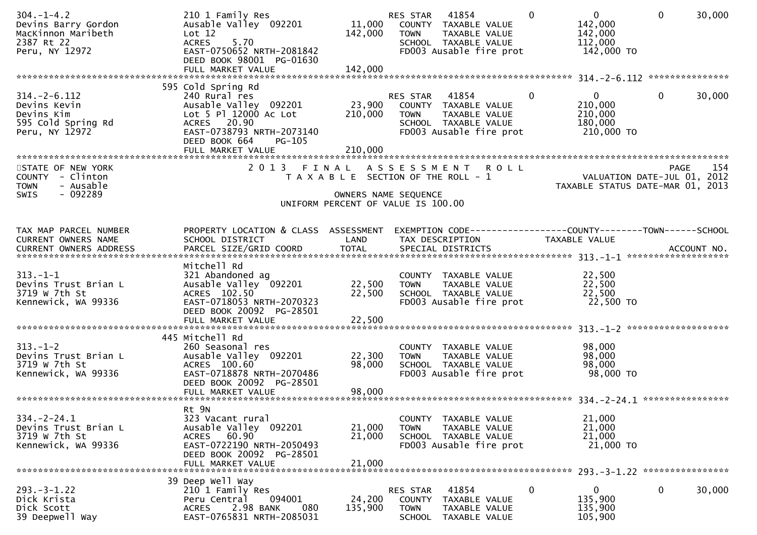| $304. - 1 - 4.2$<br>Devins Barry Gordon<br>MacKinnon Maribeth<br>2387 Rt 22<br>Peru, NY 12972 | 210 1 Family Res<br>Ausable Valley 092201<br>Lot 12<br><b>ACRES</b><br>5.70<br>EAST-0750652 NRTH-2081842<br>DEED BOOK 98001 PG-01630                                              | 11,000<br>142,000                                                                                   | RES STAR<br><b>TOWN</b>           | 41854<br>COUNTY TAXABLE VALUE<br>TAXABLE VALUE<br>SCHOOL TAXABLE VALUE<br>FD003 Ausable fire prot | $\Omega$       | $\mathbf{0}$<br>142,000<br>142,000<br>112,000<br>142,000 TO     | $\Omega$ | 30,000 |
|-----------------------------------------------------------------------------------------------|-----------------------------------------------------------------------------------------------------------------------------------------------------------------------------------|-----------------------------------------------------------------------------------------------------|-----------------------------------|---------------------------------------------------------------------------------------------------|----------------|-----------------------------------------------------------------|----------|--------|
|                                                                                               | FULL MARKET VALUE                                                                                                                                                                 | 142,000                                                                                             |                                   |                                                                                                   |                |                                                                 |          |        |
| $314. - 2 - 6.112$<br>Devins Kevin<br>Devins Kim<br>595 Cold Spring Rd<br>Peru, NY 12972      | 595 Cold Spring Rd<br>240 Rural res<br>Ausable Valley 092201<br>Lot 5 Pl 12000 Ac Lot<br>ACRES 20.90<br>EAST-0738793 NRTH-2073140<br>DEED BOOK 664<br>PG-105<br>FULL MARKET VALUE | 23,900<br>210,000<br>210,000                                                                        | RES STAR<br><b>TOWN</b>           | 41854<br>COUNTY TAXABLE VALUE<br>TAXABLE VALUE<br>SCHOOL TAXABLE VALUE<br>FD003 Ausable fire prot | $\overline{0}$ | $\mathbf{0}$<br>210,000<br>210,000<br>180,000<br>210,000 TO     | $\Omega$ | 30,000 |
| STATE OF NEW YORK<br>COUNTY - Clinton<br>- Ausable<br><b>TOWN</b><br>$-092289$<br><b>SWIS</b> |                                                                                                                                                                                   | T A X A B L E SECTION OF THE ROLL - 1<br>OWNERS NAME SEQUENCE<br>UNIFORM PERCENT OF VALUE IS 100.00 |                                   | 2013 FINAL ASSESSMENT ROLL                                                                        |                | VALUATION DATE-JUL 01, 2012<br>TAXABLE STATUS DATE-MAR 01, 2013 | PAGE     | 154    |
| TAX MAP PARCEL NUMBER<br>CURRENT OWNERS NAME                                                  | PROPERTY LOCATION & CLASS ASSESSMENT<br>SCHOOL DISTRICT                                                                                                                           | LAND                                                                                                |                                   | EXEMPTION CODE-----------------COUNTY-------TOWN------SCHOOL<br>TAX DESCRIPTION                   |                | <b>TAXABLE VALUE</b>                                            |          |        |
| $313. - 1 - 1$<br>Devins Trust Brian L<br>3719 W 7th St<br>Kennewick, WA 99336                | Mitchell Rd<br>321 Abandoned ag<br>Ausable Valley 092201<br>ACRES 102.50<br>EAST-0718053 NRTH-2070323<br>DEED BOOK 20092 PG-28501                                                 | 22,500<br>22,500                                                                                    | <b>TOWN</b>                       | COUNTY TAXABLE VALUE<br>TAXABLE VALUE<br>SCHOOL TAXABLE VALUE<br>FD003 Ausable fire prot          |                | 22,500<br>22,500<br>22,500<br>22,500 TO                         |          |        |
| $313. - 1 - 2$<br>Devins Trust Brian L<br>3719 w 7th St<br>Kennewick, WA 99336                | 445 Mitchell Rd<br>260 Seasonal res<br>Ausable Valley 092201<br>ACRES 100.60<br>EAST-0718878 NRTH-2070486<br>DEED BOOK 20092 PG-28501<br>FULL MARKET VALUE                        | 22,300<br>98,000<br>98,000                                                                          | <b>TOWN</b>                       | COUNTY TAXABLE VALUE<br>TAXABLE VALUE<br>SCHOOL TAXABLE VALUE<br>FD003 Ausable fire prot          |                | 98,000<br>98,000<br>98,000<br>98,000 TO                         |          |        |
| $334. -2 - 24.1$<br>Devins Trust Brian L<br>3719 w 7th St<br>Kennewick, WA 99336              | Rt 9N<br>323 Vacant rural<br>Ausable Valley 092201<br>ACRES 60.90<br>EAST-0722190 NRTH-2050493<br>DEED BOOK 20092 PG-28501<br>FULL MARKET VALUE                                   | 21,000<br>21,000<br>21,000                                                                          | <b>TOWN</b>                       | COUNTY TAXABLE VALUE<br>TAXABLE VALUE<br>SCHOOL TAXABLE VALUE<br>FD003 Ausable fire prot          |                | 21,000<br>21,000<br>21,000<br>21,000 TO                         |          |        |
| $293. -3 - 1.22$<br>Dick Krista<br>Dick Scott<br>39 Deepwell Way                              | 39 Deep Well Way<br>210 1 Family Res<br>094001<br>Peru Central<br>2.98 BANK<br><b>ACRES</b><br>080<br>EAST-0765831 NRTH-2085031                                                   | 24,200<br>135,900                                                                                   | RES STAR<br>COUNTY<br><b>TOWN</b> | 41854<br>TAXABLE VALUE<br>TAXABLE VALUE<br>SCHOOL TAXABLE VALUE                                   | 0              | $\mathbf{0}$<br>135,900<br>135,900<br>105,900                   | 0        | 30,000 |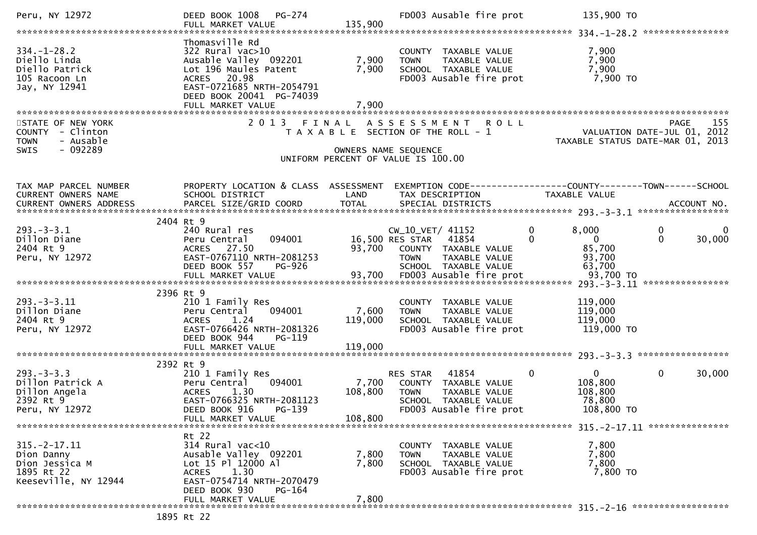| Peru, NY 12972                                                                           | PG-274<br>DEED BOOK 1008<br>FULL MARKET VALUE                                                                                                                                     | 135,900                     | FD003 Ausable fire prot                                                                                                      | 135,900 TO                                                                  |                                  |
|------------------------------------------------------------------------------------------|-----------------------------------------------------------------------------------------------------------------------------------------------------------------------------------|-----------------------------|------------------------------------------------------------------------------------------------------------------------------|-----------------------------------------------------------------------------|----------------------------------|
| $334. - 1 - 28.2$<br>Diello Linda<br>Diello Patrick<br>105 Racoon Ln<br>Jay, NY 12941    | Thomasville Rd<br>322 Rural vac>10<br>Ausable Valley 092201<br>Lot 196 Maules Patent<br>ACRES 20.98<br>EAST-0721685 NRTH-2054791<br>DEED BOOK 20041 PG-74039<br>FULL MARKET VALUE | 7,900<br>7,900<br>7,900     | COUNTY TAXABLE VALUE<br><b>TOWN</b><br>TAXABLE VALUE<br>SCHOOL TAXABLE VALUE<br>FD003 Ausable fire prot                      | 7,900<br>7,900<br>7,900<br>7,900 TO                                         |                                  |
| STATE OF NEW YORK<br>COUNTY - Clinton<br>- Ausable<br><b>TOWN</b><br>$-092289$<br>SWIS   | 2 0 1 3                                                                                                                                                                           | FINAL                       | ASSESSMENT ROLL<br>T A X A B L E SECTION OF THE ROLL - 1<br>OWNERS NAME SEQUENCE<br>UNIFORM PERCENT OF VALUE IS 100.00       | VALUATION DATE-JUL 01, 2012<br>TAXABLE STATUS DATE-MAR 01, 2013             | 155<br><b>PAGE</b>               |
| TAX MAP PARCEL NUMBER<br>CURRENT OWNERS NAME<br>CURRENT OWNERS ADDRESS                   | PROPERTY LOCATION & CLASS ASSESSMENT<br>SCHOOL DISTRICT<br>PARCEL SIZE/GRID COORD                                                                                                 | LAND<br><b>TOTAL</b>        | EXEMPTION CODE-----------------COUNTY-------TOWN------SCHOOL<br>TAX DESCRIPTION<br>SPECIAL DISTRICTS                         | <b>TAXABLE VALUE</b>                                                        | ACCOUNT NO.                      |
| $293 - 3 - 3.1$<br>Dillon Diane<br>2404 Rt 9<br>Peru, NY 12972                           | 2404 Rt 9<br>240 Rural res<br>Peru Central<br>094001<br>ACRES 27.50<br>EAST-0767110 NRTH-2081253<br>DEED BOOK 557<br><b>PG-926</b>                                                | 93,700                      | CW_10_VET/ 41152<br>16,500 RES STAR<br>41854<br>COUNTY TAXABLE VALUE<br>TAXABLE VALUE<br><b>TOWN</b><br>SCHOOL TAXABLE VALUE | 8,000<br>0<br>$\Omega$<br>$\Omega$<br>85,700<br>93,700<br>63,700            | 0<br>0<br>$\mathbf{0}$<br>30,000 |
| $293. - 3 - 3.11$<br>Dillon Diane<br>2404 Rt 9<br>Peru, NY 12972                         | 2396 Rt 9<br>210 1 Family Res<br>094001<br>Peru Central<br>1.24<br><b>ACRES</b><br>EAST-0766426 NRTH-2081326<br>DEED BOOK 944<br>PG-119                                           | 7,600<br>119,000            | COUNTY TAXABLE VALUE<br><b>TOWN</b><br>TAXABLE VALUE<br>SCHOOL TAXABLE VALUE<br>FD003 Ausable fire prot                      | 119,000<br>119,000<br>119,000<br>119,000 TO                                 | ****************                 |
| $293 - 3 - 3.3$<br>Dillon Patrick A<br>Dillon Angela<br>2392 Rt 9<br>Peru, NY 12972      | 2392 Rt 9<br>210 1 Family Res<br>094001<br>Peru Central<br>1.30<br><b>ACRES</b><br>EAST-0766325 NRTH-2081123<br>DEED BOOK 916 PG-139<br>FULL MARKET VALUE                         | 7,700<br>108,800<br>108,800 | RES STAR<br>41854<br>COUNTY TAXABLE VALUE<br><b>TOWN</b><br>TAXABLE VALUE<br>SCHOOL TAXABLE VALUE<br>FD003 Ausable fire prot | $\mathbf 0$<br>$\overline{0}$<br>108,800<br>108,800<br>78,800<br>108,800 TO | $\mathbf{0}$<br>30,000           |
| $315. - 2 - 17.11$<br>Dion Danny<br>Dion Jessica M<br>1895 Rt 22<br>Keeseville, NY 12944 | Rt 22<br>$314$ Rural vac<10<br>Ausable Valley 092201<br>Lot 15 Pl 12000 Al<br>1.30<br><b>ACRES</b><br>EAST-0754714 NRTH-2070479<br>DEED BOOK 930<br>PG-164<br>FULL MARKET VALUE   | 7,800<br>7,800<br>7,800     | COUNTY TAXABLE VALUE<br>TAXABLE VALUE<br>TOWN<br>SCHOOL TAXABLE VALUE<br>FD003 Ausable fire prot                             | 7,800<br>7,800<br>7,800<br>7,800 TO                                         |                                  |
|                                                                                          | 1895 Rt 22                                                                                                                                                                        |                             |                                                                                                                              |                                                                             |                                  |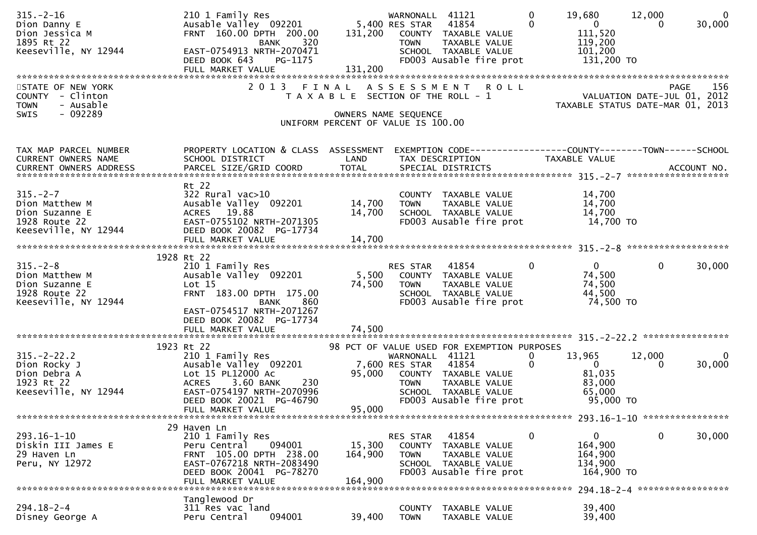| $315. - 2 - 16$<br>Dion Danny E<br>Dion Jessica M<br>1895 Rt 22<br>Keeseville, NY 12944       | 210 1 Family Res<br>Ausable Valley 092201<br>FRNT 160.00 DPTH 200.00<br>320<br>BANK<br>EAST-0754913 NRTH-2070471<br>DEED BOOK 643<br>PG-1175                                     |                                                                             | WARNONALL 41121<br>5,400 RES STAR 41854<br><b>TOWN</b> | 131,200 COUNTY TAXABLE VALUE<br>TAXABLE VALUE<br>SCHOOL TAXABLE VALUE<br>FD003 Ausable fire prot  | $\mathbf 0$<br>$\Omega$      | 19,680<br>$\overline{0}$<br>111,520<br>119,200<br>101,200<br>131,200 TO                                          | 12,000<br>$\Omega$ | $\overline{0}$<br>30,000 |
|-----------------------------------------------------------------------------------------------|----------------------------------------------------------------------------------------------------------------------------------------------------------------------------------|-----------------------------------------------------------------------------|--------------------------------------------------------|---------------------------------------------------------------------------------------------------|------------------------------|------------------------------------------------------------------------------------------------------------------|--------------------|--------------------------|
| STATE OF NEW YORK<br>COUNTY - Clinton<br>- Ausable<br><b>TOWN</b><br>$-092289$<br><b>SWIS</b> |                                                                                                                                                                                  | T A X A B L E SECTION OF THE ROLL - 1<br>UNIFORM PERCENT OF VALUE IS 100.00 | OWNERS NAME SEQUENCE                                   | 2013 FINAL ASSESSMENT ROLL                                                                        |                              | PAGE 156<br>VALUATION DATE-JUL 01, 2012<br>TAXARLE STATUS DATE WILL 01, 2012<br>TAXABLE STATUS DATE-MAR 01, 2013 |                    |                          |
| TAX MAP PARCEL NUMBER<br>CURRENT OWNERS NAME                                                  | PROPERTY LOCATION & CLASS ASSESSMENT<br>SCHOOL DISTRICT<br>Rt 22                                                                                                                 | LAND                                                                        | TAX DESCRIPTION                                        | EXEMPTION CODE------------------COUNTY--------TOWN------SCHOOL                                    | TAXABLE VALUE                |                                                                                                                  |                    |                          |
| $315. - 2 - 7$<br>Dion Matthew M<br>Dion Suzanne E<br>1928 Route 22<br>Keeseville, NY 12944   | 322 Rural vac>10<br>Ausable Valley 092201<br>ACRES 19.88<br>EAST-0755102 NRTH-2071305<br>DEED BOOK 20082 PG-17734<br>FULL MARKET VALUE                                           | 14,700<br>14,700<br>14,700                                                  | <b>TOWN</b>                                            | COUNTY TAXABLE VALUE<br>TAXABLE VALUE<br>SCHOOL TAXABLE VALUE<br>FD003 Ausable fire prot          |                              | 14,700<br>14,700<br>14,700<br>14,700 TO                                                                          |                    |                          |
| $315. - 2 - 8$<br>Dion Matthew M<br>Dion Suzanne E<br>1928 Route 22<br>Keeseville, NY 12944   | 1928 Rt 22<br>210 1 Family Res<br>Ausable Valley 092201<br>Lot 15<br>FRNT 183.00 DPTH 175.00<br>860<br>BANK<br>EAST-0754517 NRTH-2071267<br>DEED BOOK 20082 PG-17734             | 5,500<br>74,500                                                             | RES STAR<br><b>TOWN</b>                                | 41854<br>COUNTY TAXABLE VALUE<br>TAXABLE VALUE<br>SCHOOL TAXABLE VALUE<br>FD003 Ausable fire prot | $\mathbf{0}$                 | $\mathbf{0}$<br>74,500<br>74,500<br>44,500<br>74,500 TO                                                          | $\mathbf{0}$       | 30,000                   |
|                                                                                               | 1923 Rt 22                                                                                                                                                                       |                                                                             |                                                        | 98 PCT OF VALUE USED FOR EXEMPTION PURPOSES                                                       |                              |                                                                                                                  |                    |                          |
| $315. -2 - 22.2$<br>Dion Rocky J<br>Dion Debra A<br>1923 Rt 22<br>Keeseville, NY 12944        | 210 1 Family Res<br>Ausable Valley 092201<br>Lot 15 PL12000 Ac<br>3.60 BANK<br>230<br><b>ACRES</b><br>EAST-0754197 NRTH-2070996<br>DEED BOOK 20021 PG-46790<br>FULL MARKET VALUE | 95,000<br>95,000                                                            | WARNONALL 41121<br>7,600 RES STAR<br><b>TOWN</b>       | 41854<br>COUNTY TAXABLE VALUE<br>TAXABLE VALUE<br>SCHOOL TAXABLE VALUE<br>FD003 Ausable fire prot | $\mathbf{0}$<br>$\mathbf{0}$ | 13,965<br>$\overline{\mathbf{0}}$<br>81,035<br>83,000<br>65,000<br>95,000 TO                                     | 12,000<br>0        | $\Omega$<br>30,000       |
|                                                                                               |                                                                                                                                                                                  |                                                                             |                                                        |                                                                                                   |                              |                                                                                                                  |                    |                          |
| $293.16 - 1 - 10$<br>Diskin III James E<br>29 Haven Ln<br>Peru, NY 12972                      | 29 Haven Ln<br>210 1 Family Res<br>094001<br>Peru Central<br>FRNT 105.00 DPTH 238.00<br>EAST-0767218 NRTH-2083490<br>DEED BOOK 20041 PG-78270<br>FULL MARKET VALUE               | 15,300<br>164,900<br>164,900                                                | RES STAR<br>COUNTY<br><b>TOWN</b>                      | 41854<br>TAXABLE VALUE<br>TAXABLE VALUE<br>SCHOOL TAXABLE VALUE<br>FD003 Ausable fire prot        | $\mathbf{0}$                 | $\mathbf 0$<br>164,900<br>164,900<br>134,900<br>164,900 TO                                                       | 0                  | 30,000                   |
| $294.18 - 2 - 4$<br>Disney George A                                                           | Tanglewood Dr<br>311 Res vac land<br>094001<br>Peru Central                                                                                                                      | 39,400                                                                      | <b>COUNTY</b><br><b>TOWN</b>                           | TAXABLE VALUE<br>TAXABLE VALUE                                                                    |                              | 39,400<br>39,400                                                                                                 |                    |                          |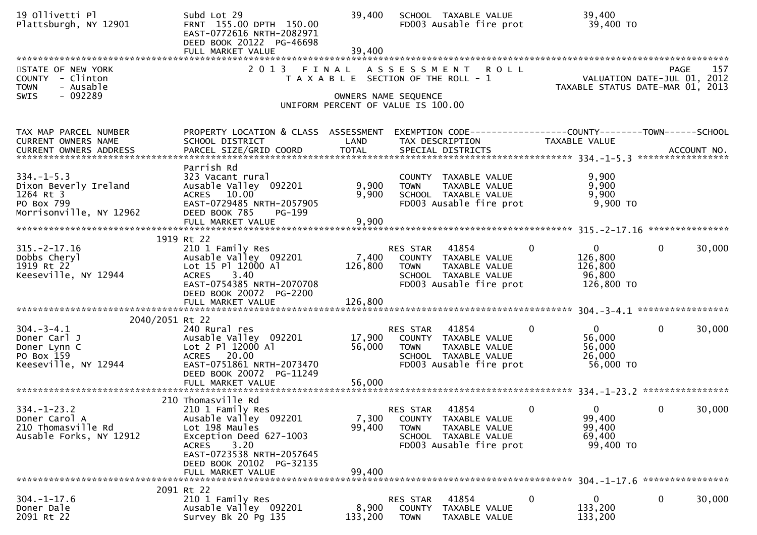| 19 Ollivetti Pl<br>Plattsburgh, NY 12901                                                        | Subd Lot 29<br>FRNT 155.00 DPTH 150.00<br>EAST-0772616 NRTH-2082971<br>DEED BOOK 20122 PG-46698                                                                                                                    | 39,400<br>39,400                                                                                    |                                   | SCHOOL TAXABLE VALUE<br>FD003 Ausable fire prot                                                   |              | 39,400<br>39,400 TO                                             |              |        |
|-------------------------------------------------------------------------------------------------|--------------------------------------------------------------------------------------------------------------------------------------------------------------------------------------------------------------------|-----------------------------------------------------------------------------------------------------|-----------------------------------|---------------------------------------------------------------------------------------------------|--------------|-----------------------------------------------------------------|--------------|--------|
| STATE OF NEW YORK<br>COUNTY - Clinton<br>- Ausable<br><b>TOWN</b><br>$-092289$<br>SWIS          | 2 0 1 3<br>FINAL                                                                                                                                                                                                   | T A X A B L E SECTION OF THE ROLL - 1<br>OWNERS NAME SEQUENCE<br>UNIFORM PERCENT OF VALUE IS 100.00 |                                   | ASSESSMENT ROLL                                                                                   |              | VALUATION DATE-JUL 01, 2012<br>TAXABLE STATUS DATE-MAR 01, 2013 | <b>PAGE</b>  | 157    |
| TAX MAP PARCEL NUMBER<br>CURRENT OWNERS NAME                                                    | PROPERTY LOCATION & CLASS ASSESSMENT<br>SCHOOL DISTRICT                                                                                                                                                            | LAND                                                                                                |                                   | EXEMPTION CODE------------------COUNTY--------TOWN------SCHOOL<br>TAX DESCRIPTION                 |              | TAXABLE VALUE                                                   |              |        |
| $334. - 1 - 5.3$<br>Dixon Beverly Ireland<br>1264 Rt 3<br>PO Box 799<br>Morrisonville, NY 12962 | Parrish Rd<br>323 Vacant rural<br>Ausable Valley 092201<br>ACRES 10.00<br>EAST-0729485 NRTH-2057905<br>DEED BOOK 785<br>$PG-199$                                                                                   | 9,900<br>9,900                                                                                      | <b>TOWN</b>                       | COUNTY TAXABLE VALUE<br>TAXABLE VALUE<br>SCHOOL TAXABLE VALUE<br>FD003 Ausable fire prot          |              | 9,900<br>9,900<br>9,900<br>$9,900$ TO                           |              |        |
|                                                                                                 |                                                                                                                                                                                                                    |                                                                                                     |                                   |                                                                                                   |              |                                                                 |              |        |
| $315. -2 - 17.16$<br>Dobbs Cheryl<br>1919 Rt 22<br>Keeseville, NY 12944                         | 1919 Rt 22<br>210 1 Family Res<br>Ausable Valley 092201<br>Lot 15 Pl 12000 Al<br>3.40<br><b>ACRES</b><br>EAST-0754385 NRTH-2070708<br>DEED BOOK 20072 PG-2200                                                      | 7,400<br>126,800                                                                                    | RES STAR<br><b>TOWN</b>           | 41854<br>COUNTY TAXABLE VALUE<br>TAXABLE VALUE<br>SCHOOL TAXABLE VALUE<br>FD003 Ausable fire prot | $\mathbf 0$  | $\mathbf 0$<br>126,800<br>126,800<br>96,800<br>126,800 TO       | $\mathbf{0}$ | 30,000 |
|                                                                                                 | FULL MARKET VALUE                                                                                                                                                                                                  | 126,800                                                                                             |                                   |                                                                                                   |              |                                                                 |              |        |
| 2040/2051 Rt 22                                                                                 |                                                                                                                                                                                                                    |                                                                                                     |                                   |                                                                                                   |              |                                                                 |              |        |
| $304. - 3 - 4.1$<br>Doner Carl J<br>Doner Lynn C<br>PO Box 159<br>Keeseville, NY 12944          | 240 Rural res<br>Ausable Valley 092201<br>Lot 2 Pl 12000 Al<br>ACRES 20.00<br>EAST-0751861 NRTH-2073470<br>DEED BOOK 20072 PG-11249                                                                                | 17,900<br>56,000                                                                                    | RES STAR<br><b>TOWN</b>           | 41854<br>COUNTY TAXABLE VALUE<br>TAXABLE VALUE<br>SCHOOL TAXABLE VALUE<br>FD003 Ausable fire prot | $\mathbf{0}$ | $\mathbf{0}$<br>56,000<br>56,000<br>26,000<br>56,000 TO         | $\mathbf{0}$ | 30,000 |
|                                                                                                 |                                                                                                                                                                                                                    |                                                                                                     |                                   |                                                                                                   |              |                                                                 |              |        |
| $334. - 1 - 23.2$<br>Doner Carol A<br>210 Thomasville Rd<br>Ausable Forks, NY 12912             | 210 Thomasville Rd<br>210 1 Family Res<br>Ausable Valley 092201<br>Lot 198 Maules<br>Exception Deed 627-1003<br>3.20<br><b>ACRES</b><br>EAST-0723538 NRTH-2057645<br>DEED BOOK 20102 PG-32135<br>FULL MARKET VALUE | 7,300<br>99,400<br>99,400                                                                           | <b>RES STAR</b><br><b>TOWN</b>    | 41854<br>COUNTY TAXABLE VALUE<br>TAXABLE VALUE<br>SCHOOL TAXABLE VALUE<br>FD003 Ausable fire prot | $\mathbf 0$  | $\mathbf 0$<br>99,400<br>99,400<br>69,400<br>99,400 TO          | 0            | 30,000 |
|                                                                                                 | 2091 Rt 22                                                                                                                                                                                                         |                                                                                                     |                                   |                                                                                                   |              |                                                                 |              |        |
| $304. - 1 - 17.6$<br>Doner Dale<br>2091 Rt 22                                                   | 210 1 Family Res<br>Ausable Valley 092201<br>Survey Bk 20 Pg 135                                                                                                                                                   | 8,900<br>133,200                                                                                    | RES STAR<br>COUNTY<br><b>TOWN</b> | 41854<br>TAXABLE VALUE<br>TAXABLE VALUE                                                           | 0            | 0<br>133,200<br>133,200                                         | 0            | 30,000 |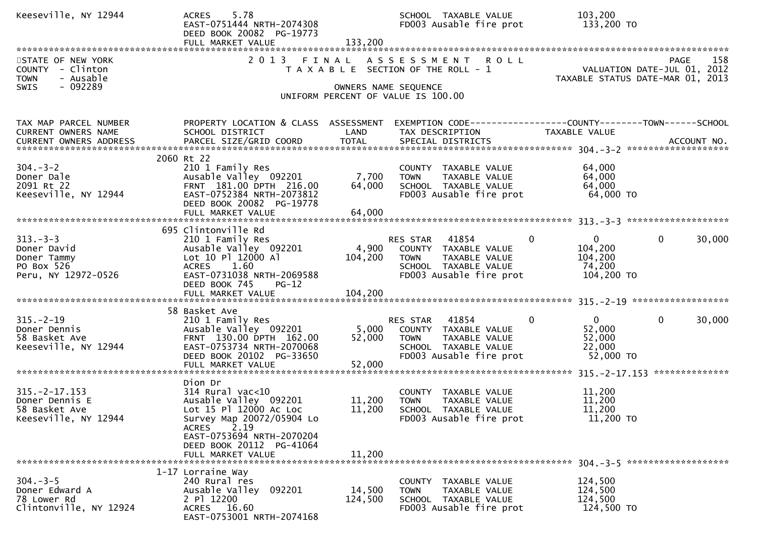| Keeseville, NY 12944                                                             | 5.78<br><b>ACRES</b><br>EAST-0751444 NRTH-2074308<br>DEED BOOK 20082 PG-19773<br>FULL MARKET VALUE                                                                                                                  | 133,200                    | SCHOOL TAXABLE VALUE<br>FD003 Ausable fire prot                                                                                        | 103,200<br>133,200 TO                                                                                            |
|----------------------------------------------------------------------------------|---------------------------------------------------------------------------------------------------------------------------------------------------------------------------------------------------------------------|----------------------------|----------------------------------------------------------------------------------------------------------------------------------------|------------------------------------------------------------------------------------------------------------------|
| STATE OF NEW YORK<br>COUNTY - Clinton<br><b>TOWN</b><br>- Ausable                | 2 0 1 3                                                                                                                                                                                                             |                            | FINAL ASSESSMENT ROLL<br>T A X A B L E SECTION OF THE ROLL - 1                                                                         | PAGE 158<br>VALUATION DATE-JUL 01, 2012<br>TAXABLE STATUS DATE 11:0 2:1 2:12<br>TAXABLE STATUS DATE-MAR 01, 2013 |
| $-092289$<br><b>SWIS</b>                                                         |                                                                                                                                                                                                                     | OWNERS NAME SEQUENCE       | UNIFORM PERCENT OF VALUE IS 100.00                                                                                                     |                                                                                                                  |
| TAX MAP PARCEL NUMBER<br>CURRENT OWNERS NAME<br><b>CURRENT OWNERS ADDRESS</b>    | PROPERTY LOCATION & CLASS ASSESSMENT<br>SCHOOL DISTRICT                                                                                                                                                             | LAND                       | TAX DESCRIPTION                                                                                                                        | EXEMPTION CODE------------------COUNTY--------TOWN------SCHOOL<br>TAXABLE VALUE                                  |
| $304. - 3 - 2$<br>Doner Dale<br>2091 Rt 22<br>Keeseville, NY 12944               | 2060 Rt 22<br>210 1 Family Res<br>Ausable Valley 092201<br>FRNT 181.00 DPTH 216.00<br>EAST-0752384 NRTH-2073812<br>DEED BOOK 20082 PG-19778<br>FULL MARKET VALUE                                                    | 7,700<br>64,000<br>64,000  | COUNTY TAXABLE VALUE<br><b>TOWN</b><br>TAXABLE VALUE<br>SCHOOL TAXABLE VALUE<br>FD003 Ausable fire prot                                | 64,000<br>64,000<br>64,000<br>64,000 TO                                                                          |
| $313 - 3 - 3$<br>Doner David<br>Doner Tammy<br>PO Box 526<br>Peru, NY 12972-0526 | 695 Clintonville Rd<br>210 1 Family Res<br>Ausable Valley 092201<br>Lot 10 Pl 12000 Al<br>ACRES 1.60<br>EAST-0731038 NRTH-2069588<br>DEED BOOK 745<br><b>PG-12</b>                                                  | 104,200                    | <b>RES STAR 41854</b><br>4,900 COUNTY TAXABLE VALUE<br>TAXABLE VALUE<br><b>TOWN</b><br>SCHOOL TAXABLE VALUE<br>FD003 Ausable fire prot | $\Omega$<br>$\mathbf{0}$<br>$\mathbf{0}$<br>30,000<br>104,200<br>104,200<br>74,200<br>104,200 TO                 |
| $315. - 2 - 19$<br>Doner Dennis<br>58 Basket Ave<br>Keeseville, NY 12944         | 58 Basket Ave<br>210 1 Family Res<br>Ausable Valley 092201<br>FRNT 130.00 DPTH 162.00<br>EAST-0753734 NRTH-2070068<br>DEED BOOK 20102 PG-33650<br>FULL MARKET VALUE                                                 | 5,000<br>52,000<br>52,000  | RES STAR 41854<br>COUNTY TAXABLE VALUE<br><b>TOWN</b><br>TAXABLE VALUE<br>SCHOOL TAXABLE VALUE<br>FD003 Ausable fire prot              | $\mathbf{0}$<br>$\Omega$<br>$\mathbf{0}$<br>30,000<br>52,000<br>52,000<br>22,000<br>52,000 TO                    |
| $315. -2 - 17.153$<br>Doner Dennis E<br>58 Basket Ave<br>Keeseville, NY 12944    | Dion Dr<br>$314$ Rural vac<10<br>Ausable Valley 092201<br>Lot 15 Pl 12000 Ac Loc<br>Survey Map 20072/05904 Lo<br>2.19<br><b>ACRES</b><br>EAST-0753694 NRTH-2070204<br>DEED BOOK 20112 PG-41064<br>FULL MARKET VALUE | 11,200<br>11,200<br>11,200 | COUNTY TAXABLE VALUE<br><b>TOWN</b><br>TAXABLE VALUE<br>SCHOOL TAXABLE VALUE<br>FD003 Ausable fire prot                                | 11,200<br>11,200<br>11,200<br>11,200 TO                                                                          |
| $304 - 3 - 5$<br>Doner Edward A<br>78 Lower Rd<br>Clintonville, NY 12924         | 1-17 Lorraine Way<br>240 Rural res<br>Ausable Valley 092201<br>2 PT 12200<br>ACRES 16.60<br>EAST-0753001 NRTH-2074168                                                                                               | 14,500<br>124,500          | COUNTY TAXABLE VALUE<br>TAXABLE VALUE<br><b>TOWN</b><br>SCHOOL TAXABLE VALUE<br>FD003 Ausable fire prot                                | 124,500<br>124,500<br>124,500<br>124,500 TO                                                                      |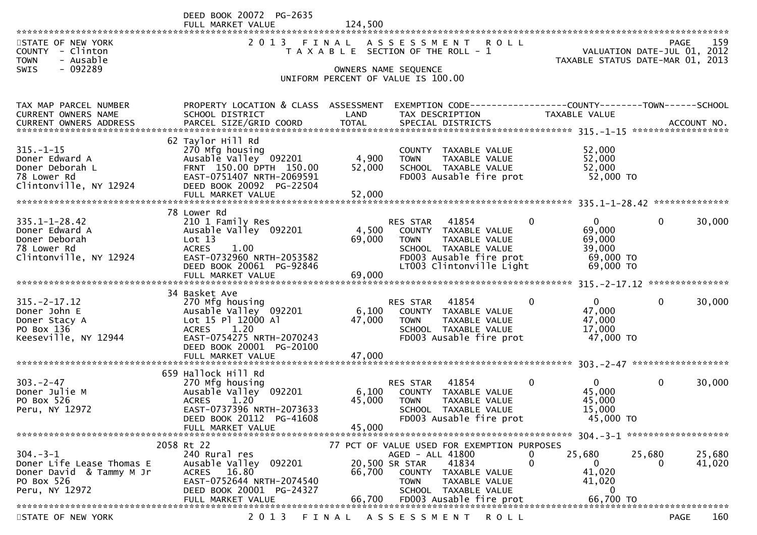DEED BOOK 20072 PG-2635 FULL MARKET VALUE 124,500

|                                | MARREI<br><b>VALUE</b>                           | 144, JUU                              |                      |                                                 |              |                                  |              |        |
|--------------------------------|--------------------------------------------------|---------------------------------------|----------------------|-------------------------------------------------|--------------|----------------------------------|--------------|--------|
| STATE OF NEW YORK              | 2 0 1 3                                          | FINAL                                 | A S S E S S M E N T  | <b>ROLL</b>                                     |              |                                  | <b>PAGE</b>  | 159    |
| COUNTY - Clinton               |                                                  | T A X A B L E SECTION OF THE ROLL - 1 |                      |                                                 |              | VALUATION DATE-JUL 01, 2012      |              |        |
| <b>TOWN</b><br>- Ausable       |                                                  |                                       |                      |                                                 |              | TAXABLE STATUS DATE-MAR 01, 2013 |              |        |
| - 092289<br><b>SWIS</b>        |                                                  |                                       | OWNERS NAME SEQUENCE |                                                 |              |                                  |              |        |
|                                |                                                  | UNIFORM PERCENT OF VALUE IS 100.00    |                      |                                                 |              |                                  |              |        |
|                                |                                                  |                                       |                      |                                                 |              |                                  |              |        |
|                                |                                                  |                                       |                      |                                                 |              |                                  |              |        |
| TAX MAP PARCEL NUMBER          | PROPERTY LOCATION & CLASS ASSESSMENT             |                                       |                      |                                                 |              |                                  |              |        |
| CURRENT OWNERS NAME            | SCHOOL DISTRICT                                  | LAND                                  | TAX DESCRIPTION      |                                                 |              | TAXABLE VALUE                    |              |        |
| CURRENT OWNERS ADDRESS         |                                                  |                                       |                      |                                                 |              |                                  |              |        |
|                                |                                                  |                                       |                      |                                                 |              |                                  |              |        |
|                                | 62 Taylor Hill Rd                                |                                       |                      |                                                 |              |                                  |              |        |
| $315. - 1 - 15$                | 270 Mfg housing                                  |                                       |                      | COUNTY TAXABLE VALUE                            |              | 52,000<br>52,000                 |              |        |
| Doner Edward A                 | Ausable Valley 092201<br>FRNT 150.00 DPTH 150.00 | 4,900                                 | <b>TOWN</b>          | TAXABLE VALUE                                   |              | 52,000                           |              |        |
| Doner Deborah L<br>78 Lower Rd | EAST-0751407 NRTH-2069591                        | 52,000                                |                      | SCHOOL TAXABLE VALUE<br>FD003 Ausable fire prot |              | 52,000 TO                        |              |        |
| Clintonville, NY 12924         |                                                  |                                       |                      |                                                 |              |                                  |              |        |
|                                | DEED BOOK 20092 PG-22504                         |                                       |                      |                                                 |              |                                  |              |        |
|                                |                                                  |                                       |                      |                                                 |              |                                  |              |        |
|                                | 78 Lower Rd                                      |                                       |                      |                                                 |              |                                  |              |        |
| $335.1 - 1 - 28.42$            | 210 1 Family Res                                 |                                       | RES STAR             | 41854                                           | 0            | 0                                | $\mathbf{0}$ | 30,000 |
| Doner Edward A                 | Ausable Valley 092201                            | 4,500                                 |                      | COUNTY TAXABLE VALUE                            |              | 69,000                           |              |        |
| Doner Deborah                  | Lot 13                                           | 69,000                                | <b>TOWN</b>          | TAXABLE VALUE                                   |              | 69,000                           |              |        |
| 78 Lower Rd                    | <b>ACRES</b><br>1.00                             |                                       |                      | SCHOOL TAXABLE VALUE                            |              | 39,000                           |              |        |
| Clintonville, NY 12924         | EAST-0732960 NRTH-2053582                        |                                       |                      | FD003 Ausable fire prot                         |              | 69,000 TO                        |              |        |
|                                | DEED BOOK 20061 PG-92846                         |                                       |                      | LT003 Clintonville Light                        |              | 69,000 TO                        |              |        |
|                                | FULL MARKET VALUE                                | 69,000                                |                      |                                                 |              |                                  |              |        |
|                                |                                                  |                                       |                      |                                                 |              |                                  |              |        |
|                                | 34 Basket Ave                                    |                                       |                      |                                                 |              |                                  |              |        |
| $315. -2 - 17.12$              | 270 Mfg housing                                  |                                       | RES STAR             | 41854                                           | 0            | $\overline{0}$                   | $\mathbf{0}$ | 30,000 |
| Doner John E                   | Ausable Valley 092201                            | 6,100                                 |                      | COUNTY TAXABLE VALUE                            |              | 47,000                           |              |        |
| Doner Stacy A                  | Lot 15 Pl 12000 Al                               | 47,000                                | <b>TOWN</b>          | TAXABLE VALUE                                   |              | 47,000                           |              |        |
| PO Box 136                     | 1.20<br><b>ACRES</b>                             |                                       |                      | SCHOOL TAXABLE VALUE                            |              | 17,000                           |              |        |
| Keeseville, NY 12944           | EAST-0754275 NRTH-2070243                        |                                       |                      | FD003 Ausable fire prot                         |              | 47,000 TO                        |              |        |
|                                | DEED BOOK 20001 PG-20100                         |                                       |                      |                                                 |              |                                  |              |        |
|                                |                                                  |                                       |                      |                                                 |              |                                  |              |        |
|                                |                                                  |                                       |                      |                                                 |              |                                  |              |        |
|                                | 659 Hallock Hill Rd                              |                                       |                      |                                                 |              |                                  |              |        |
| $303 - 2 - 47$                 | 270 Mfg housing                                  |                                       | RES STAR             | 41854                                           | $\mathbf{0}$ | $\overline{0}$                   | $\mathbf{0}$ | 30,000 |
| Doner Julie M                  | Ausable Valley <sup>-</sup> 092201               | 6,100                                 |                      | COUNTY TAXABLE VALUE                            |              | 45,000                           |              |        |
| PO Box 526                     | 1.20<br><b>ACRES</b>                             | 45,000                                | <b>TOWN</b>          | TAXABLE VALUE                                   |              | 45,000                           |              |        |
| Peru, NY 12972                 | EAST-0737396 NRTH-2073633                        |                                       |                      | SCHOOL TAXABLE VALUE                            |              | 15,000                           |              |        |
|                                | DEED BOOK 20112 PG-41608<br>FULL MARKET VALUE    | 45,000                                |                      | FD003 Ausable fire prot                         |              | 45,000 TO                        |              |        |
|                                |                                                  |                                       |                      |                                                 |              |                                  |              |        |
|                                | 2058 Rt 22                                       |                                       |                      | 77 PCT OF VALUE USED FOR EXEMPTION PURPOSES     |              |                                  |              |        |
| $304. - 3 - 1$                 | 240 Rural res                                    |                                       | AGED - ALL 41800     |                                                 | 0            | 25,680                           | 25,680       | 25,680 |
| Doner Life Lease Thomas E      | Ausable Valley 092201                            |                                       | 20,500 SR STAR 41834 |                                                 | $\Omega$     | $\overline{0}$                   | 0            | 41,020 |
| Doner David & Tammy M Jr       | ACRES 16.80                                      |                                       |                      | 66,700 COUNTY TAXABLE VALUE                     |              | 41,020                           |              |        |
| PO Box 526                     | EAST-0752644 NRTH-2074540                        |                                       | TOWN                 | TAXABLE VALUE                                   |              | 41,020                           |              |        |
| Peru, NY 12972                 | DEED BOOK 20001 PG-24327                         |                                       |                      | SCHOOL TAXABLE VALUE                            |              | $\Omega$                         |              |        |
|                                |                                                  |                                       |                      |                                                 |              |                                  |              |        |
|                                |                                                  |                                       |                      |                                                 |              |                                  |              |        |

STATE OF NEW YORK 2013 FINAL ASSESSMENT ROLL PAGE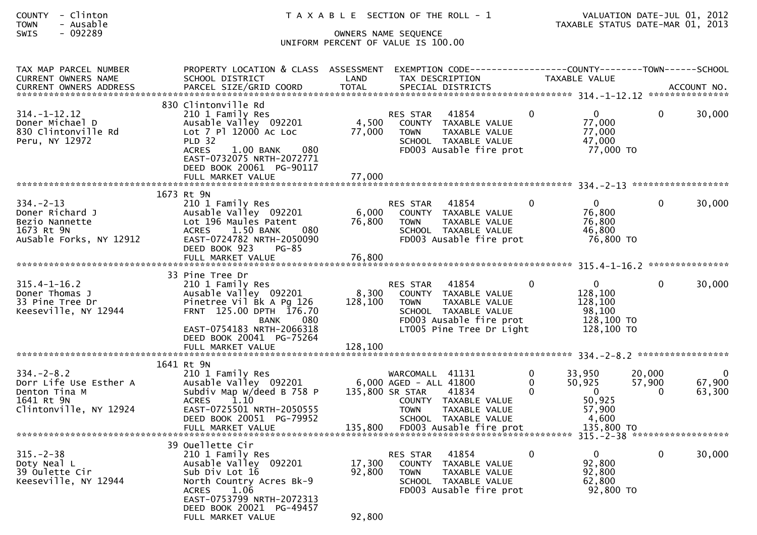| <b>COUNTY</b><br>- Clinton<br><b>TOWN</b><br>- Ausable<br>$-092289$<br>SWIS                         |                                                                                                                                                                                                                              | T A X A B L E SECTION OF THE ROLL - 1<br>OWNERS NAME SEQUENCE<br>UNIFORM PERCENT OF VALUE IS 100.00                                                                |                                                                                            | VALUATION DATE-JUL 01, 2012<br>TAXABLE STATUS DATE-MAR 01, 2013 |
|-----------------------------------------------------------------------------------------------------|------------------------------------------------------------------------------------------------------------------------------------------------------------------------------------------------------------------------------|--------------------------------------------------------------------------------------------------------------------------------------------------------------------|--------------------------------------------------------------------------------------------|-----------------------------------------------------------------|
| TAX MAP PARCEL NUMBER<br><b>CURRENT OWNERS NAME</b>                                                 | PROPERTY LOCATION & CLASS ASSESSMENT<br>SCHOOL DISTRICT<br>-OURRENT OWNERS ADDRESS PARCEL SIZE/GRID COORD TOTAL SPECIAL DISTRICTS (2000 MERS ADDRESS PARCEL SIZE/GRID COORD TOTAL SPECIAL DISTRICTS AND MANUSISM ACCOUNT NO. | LAND<br>TAX DESCRIPTION                                                                                                                                            | EXEMPTION CODE-----------------COUNTY-------TOWN------SCHOOL<br>TAXABLE VALUE              |                                                                 |
| $314. - 1 - 12.12$<br>Doner Michael D<br>830 Clintonville Rd<br>Peru, NY 12972                      | 830 Clintonville Rd<br>210 1 Family Res<br>Ausable Valley 092201<br>Lot 7 Pl 12000 Ac Loc<br><b>PLD 32</b><br><b>ACRES</b><br>080<br>$1.00$ BANK<br>EAST-0732075 NRTH-2072771<br>DEED BOOK 20061 PG-90117                    | 41854<br>RES STAR<br>4,500<br>COUNTY TAXABLE VALUE<br>77,000<br>TAXABLE VALUE<br>TOWN<br>SCHOOL TAXABLE VALUE<br>FD003 Ausable fire prot                           | $\mathbf 0$<br>$\overline{0}$<br>77,000<br>77,000<br>47,000<br>77,000 TO                   | 30,000<br>$\overline{0}$                                        |
|                                                                                                     | FULL MARKET VALUE                                                                                                                                                                                                            | 77,000                                                                                                                                                             |                                                                                            |                                                                 |
| $334. - 2 - 13$<br>Doner Richard J<br>Bezio Nannette<br>1673 Rt 9N<br>AuSable Forks, NY 12912       | 1673 Rt 9N<br>210 1 Family Res<br>Ausable Valley 092201<br>Lot 196 Maules Patent<br>ACRES 1.50 BANK<br>080<br>EAST-0724782 NRTH-2050090<br>DEED BOOK 923<br>PG-85                                                            | RES STAR<br>41854<br>6,000<br>COUNTY TAXABLE VALUE<br>76,800<br><b>TOWN</b><br>TAXABLE VALUE<br>SCHOOL TAXABLE VALUE<br>FD003 Ausable fire prot                    | $\mathbf{0}$<br>$\overline{0}$<br>76,800<br>76,800<br>46,800<br>76,800 TO                  | 30,000<br>$\overline{0}$                                        |
|                                                                                                     |                                                                                                                                                                                                                              |                                                                                                                                                                    |                                                                                            |                                                                 |
|                                                                                                     | 33 Pine Tree Dr                                                                                                                                                                                                              |                                                                                                                                                                    |                                                                                            |                                                                 |
| $315.4 - 1 - 16.2$<br>Doner Thomas J<br>33 Pine Tree Dr<br>Keeseville, NY 12944                     | 210 1 Family Res<br>Ausable Valley 092201<br>Pinetree Vil Bk A Pg 126<br>FRNT 125.00 DPTH 176.70<br>080<br><b>BANK</b><br>EAST-0754183 NRTH-2066318                                                                          | 41854<br>RES STAR<br>8,300<br>COUNTY TAXABLE VALUE<br>128,100 TOWN<br>TAXABLE VALUE<br>SCHOOL TAXABLE VALUE<br>FD003 Ausable fire prot<br>LT005 Pine Tree Dr Light | $\overline{0}$<br>$\mathbf{0}$<br>128,100<br>128,100<br>98,100<br>128,100 TO<br>128,100 TO | 30,000<br>$\overline{0}$                                        |
|                                                                                                     | DEED BOOK 20041 PG-75264<br>FULL MARKET VALUE                                                                                                                                                                                | 128,100                                                                                                                                                            |                                                                                            |                                                                 |
|                                                                                                     |                                                                                                                                                                                                                              |                                                                                                                                                                    |                                                                                            |                                                                 |
| $334. - 2 - 8.2$<br>Dorr Life Use Esther A<br>Denton Tina M<br>1641 Rt 9N<br>Clintonville, NY 12924 | 1641 Rt 9N<br>210 1 Family Res<br>Ausable Valley 092201 6,000 AGED - ALL 41800<br>Subdiv Map W/deed B 758 P<br><b>ACRES</b><br>1.10<br>EAST-0725501 NRTH-2050555<br>DEED BOOK 20051 PG-79952                                 | WARCOMALL 41131<br>135,800 SR STAR<br>41834<br>COUNTY TAXABLE VALUE<br><b>TOWN</b><br>TAXABLE VALUE                                                                | 0<br>33,950<br>50,925<br>0<br>$\mathbf{0}$<br>$\Omega$<br>50,925<br>57,900<br>4,600        | $\boldsymbol{0}$<br>20,000<br>67,900<br>57,900<br>63,300<br>0   |
|                                                                                                     | FULL MARKET VALUE                                                                                                                                                                                                            | SCHOOL TAXABLE VALUE<br>FD003 Ausable fire prot<br>135,800                                                                                                         | 135,800 TO                                                                                 |                                                                 |
|                                                                                                     | 39 Ouellette Cir                                                                                                                                                                                                             |                                                                                                                                                                    |                                                                                            | 315. - 2 - 38 *******************                               |
| $315. - 2 - 38$<br>Doty Neal L<br>39 Oulette Cir<br>Keeseville, NY 12944                            | 210 1 Family Res<br>Ausable Valley 092201<br>Sub Div Lot 16<br>North Country Acres Bk-9<br>1.06<br><b>ACRES</b><br>EAST-0753799 NRTH-2072313                                                                                 | 41854<br>RES STAR<br>17,300<br>TAXABLE VALUE<br><b>COUNTY</b><br>92,800<br><b>TOWN</b><br>TAXABLE VALUE<br>SCHOOL TAXABLE VALUE<br>FD003 Ausable fire prot         | 0<br>$\overline{0}$<br>92,800<br>92,800<br>62,800<br>92,800 TO                             | $\mathbf{0}$<br>30,000                                          |
|                                                                                                     | DEED BOOK 20021 PG-49457                                                                                                                                                                                                     | na pon                                                                                                                                                             |                                                                                            |                                                                 |

FULL MARKET VALUE 92,800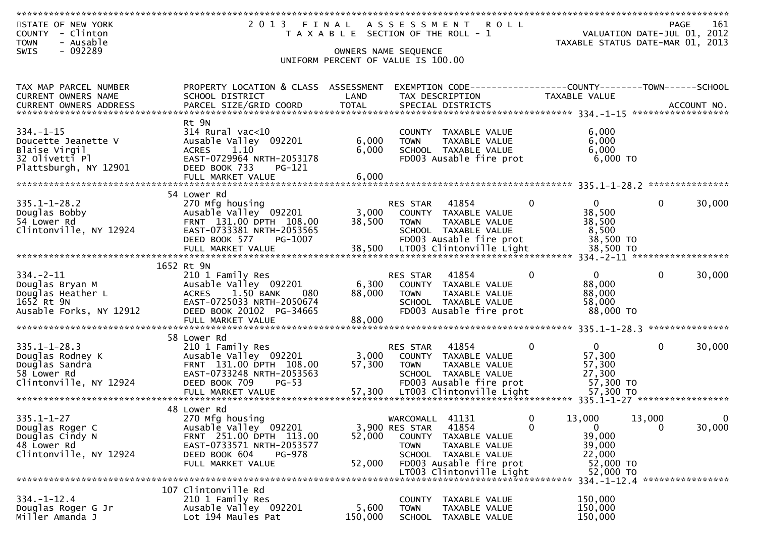| STATE OF NEW YORK             | 2 0 1 3<br>FINAL                     |                                    | A S S E S S M E N T | ROLL                                                         |              |                                                  | <b>PAGE</b>  | 161         |
|-------------------------------|--------------------------------------|------------------------------------|---------------------|--------------------------------------------------------------|--------------|--------------------------------------------------|--------------|-------------|
| - Clinton<br><b>COUNTY</b>    |                                      |                                    |                     | T A X A B L E SECTION OF THE ROLL - 1                        |              | VALUATION DATE-JUL 01, 2012                      |              |             |
| <b>TOWN</b><br>- Ausable      |                                      |                                    |                     |                                                              |              | TAXABLE STATUS DATE-MAR 01, 2013                 |              |             |
| $-092289$<br><b>SWIS</b>      |                                      | OWNERS NAME SEQUENCE               |                     |                                                              |              |                                                  |              |             |
|                               |                                      | UNIFORM PERCENT OF VALUE IS 100.00 |                     |                                                              |              |                                                  |              |             |
|                               |                                      |                                    |                     |                                                              |              |                                                  |              |             |
|                               |                                      |                                    |                     |                                                              |              |                                                  |              |             |
| TAX MAP PARCEL NUMBER         | PROPERTY LOCATION & CLASS ASSESSMENT |                                    |                     | EXEMPTION CODE-----------------COUNTY-------TOWN------SCHOOL |              |                                                  |              |             |
| <b>CURRENT OWNERS NAME</b>    | SCHOOL DISTRICT                      | LAND                               |                     | TAX DESCRIPTION                                              |              | TAXABLE VALUE                                    |              |             |
| <b>CURRENT OWNERS ADDRESS</b> | PARCEL SIZE/GRID COORD               | <b>TOTAL</b>                       |                     | SPECIAL DISTRICTS                                            |              |                                                  |              | ACCOUNT NO. |
|                               |                                      |                                    |                     |                                                              |              |                                                  |              |             |
|                               | Rt 9N                                |                                    |                     |                                                              |              |                                                  |              |             |
| $334. - 1 - 15$               | 314 Rural vac<10                     |                                    |                     | COUNTY TAXABLE VALUE                                         |              | 6,000                                            |              |             |
| Doucette Jeanette V           | Ausable Valley 092201                | 6,000                              | <b>TOWN</b>         | TAXABLE VALUE                                                |              | 6,000                                            |              |             |
| Blaise Virgil                 | 1.10<br><b>ACRES</b>                 | 6,000                              |                     | SCHOOL TAXABLE VALUE                                         |              | 6,000                                            |              |             |
| 32 Olivetti Pl                | EAST-0729964 NRTH-2053178            |                                    |                     | FD003 Ausable fire prot                                      |              | 6,000 TO                                         |              |             |
| Plattsburgh, NY 12901         | DEED BOOK 733<br>PG-121              |                                    |                     |                                                              |              |                                                  |              |             |
|                               | FULL MARKET VALUE                    | 6,000                              |                     |                                                              |              |                                                  |              |             |
|                               |                                      |                                    |                     |                                                              |              |                                                  |              |             |
|                               | 54 Lower Rd                          |                                    |                     |                                                              |              |                                                  |              |             |
| $335.1 - 1 - 28.2$            | 270 Mfg housing                      |                                    | <b>RES STAR</b>     | 41854                                                        | $\Omega$     | 0                                                | 0            | 30,000      |
| Douglas Bobby                 | Ausable Valley 092201                | 3,000                              |                     |                                                              |              | 38,500                                           |              |             |
|                               | FRNT 131.00 DPTH 108.00              |                                    |                     | COUNTY TAXABLE VALUE                                         |              |                                                  |              |             |
| 54 Lower Rd                   |                                      | 38,500                             | <b>TOWN</b>         | TAXABLE VALUE                                                |              | 38,500                                           |              |             |
| Clintonville, NY 12924        | EAST-0733381 NRTH-2053565            |                                    |                     | SCHOOL TAXABLE VALUE                                         |              | 8,500                                            |              |             |
|                               | DEED BOOK 577<br>PG-1007             |                                    |                     | FD003 Ausable fire prot                                      |              | 38,500 TO                                        |              |             |
|                               | FULL MARKET VALUE                    | 38,500                             |                     | LT003 Clintonville Light                                     |              | 38,500 TO                                        |              |             |
|                               |                                      |                                    |                     |                                                              |              | $334 - 2 - 11$ *******************               |              |             |
|                               | 1652 Rt 9N                           |                                    |                     |                                                              |              |                                                  |              |             |
| $334. -2 - 11$                | 210 1 Family Res                     |                                    | RES STAR            | 41854                                                        | $\mathbf{0}$ | $\mathbf{0}$                                     | $\mathbf{0}$ | 30,000      |
| Douglas Bryan M               | Ausable Valley 092201                | 6,300                              |                     | COUNTY TAXABLE VALUE                                         |              | 88,000                                           |              |             |
| Douglas Heather L             | 1.50 BANK<br><b>ACRES</b><br>080     | 88,000                             | <b>TOWN</b>         | TAXABLE VALUE                                                |              | 88,000                                           |              |             |
| 1652 Rt 9N                    | EAST-0725033 NRTH-2050674            |                                    |                     | SCHOOL TAXABLE VALUE                                         |              | 58,000                                           |              |             |
| Ausable Forks, NY 12912       | DEED BOOK 20102 PG-34665             |                                    |                     | FD003 Ausable fire prot                                      |              | 88,000 TO                                        |              |             |
|                               |                                      |                                    |                     |                                                              |              |                                                  |              |             |
|                               |                                      |                                    |                     |                                                              |              |                                                  |              |             |
|                               | 58 Lower Rd                          |                                    |                     |                                                              |              |                                                  |              |             |
| $335.1 - 1 - 28.3$            | 210 1 Family Res                     |                                    | RES STAR            | 41854                                                        | $\mathbf{0}$ | $\mathbf{0}$                                     | 0            | 30,000      |
| Douglas Rodney K              | Ausable Valley 092201                | 3,000                              |                     | COUNTY TAXABLE VALUE                                         |              | 57,300                                           |              |             |
| Douglas Sandra                | FRNT 131.00 DPTH 108.00              | 57,300                             | <b>TOWN</b>         | TAXABLE VALUE                                                |              | 57,300                                           |              |             |
| 58 Lower Rd                   | EAST-0733248 NRTH-2053563            |                                    |                     | SCHOOL TAXABLE VALUE                                         |              | 27,300                                           |              |             |
| Clintonville, NY 12924        | DEED BOOK 709<br>$PG-53$             |                                    |                     | FD003 Ausable fire prot                                      |              | 57,300 TO                                        |              |             |
|                               | FULL MARKET VALUE                    | 57,300                             |                     | LT003 Clintonville Light                                     |              | 57,300 TO                                        |              |             |
|                               |                                      |                                    |                     |                                                              |              | ****************** 335.1-1-27 ****************** |              |             |
|                               | 48 Lower Rd                          |                                    |                     |                                                              |              |                                                  |              |             |
| $335.1 - 1 - 27$              | 270 Mfg housing                      |                                    | WARCOMALL 41131     |                                                              | 0            | 13,000                                           | 13,000       | $\bf{0}$    |
| Douglas Roger C               | Ausable Valley 092201                |                                    | 3,900 RES STAR      | 41854                                                        | $\mathbf{0}$ | 0                                                | $\Omega$     | 30,000      |
| Douglas Cindy N               | FRNT 251.00 DPTH 113.00              | 52,000                             | COUNTY              | TAXABLE VALUE                                                |              | 39,000                                           |              |             |
| 48 Lower Rd                   | EAST-0733571 NRTH-2053577            |                                    | <b>TOWN</b>         | TAXABLE VALUE                                                |              | 39,000                                           |              |             |
| Clintonville, NY 12924        | DEED BOOK 604<br>PG-978              |                                    |                     | SCHOOL TAXABLE VALUE                                         |              | 22,000                                           |              |             |
|                               | FULL MARKET VALUE                    | 52,000                             |                     | FD003 Ausable fire prot                                      |              | 52,000 TO                                        |              |             |
|                               |                                      |                                    |                     | LT003 Clintonville Light                                     |              | 52,000 TO                                        |              |             |
|                               |                                      |                                    |                     |                                                              |              | 334. -1-12. 4 *****************                  |              |             |
|                               | 107 Clintonville Rd                  |                                    |                     |                                                              |              |                                                  |              |             |
| $334. - 1 - 12.4$             | 210 1 Family Res                     |                                    | COUNTY              | TAXABLE VALUE                                                |              | 150,000                                          |              |             |
| Douglas Roger G Jr            | Ausable Valley 092201                | 5,600                              | <b>TOWN</b>         | TAXABLE VALUE                                                |              | 150,000                                          |              |             |
| Miller Amanda J               | Lot 194 Maules Pat                   | 150,000                            | <b>SCHOOL</b>       | TAXABLE VALUE                                                |              | 150,000                                          |              |             |
|                               |                                      |                                    |                     |                                                              |              |                                                  |              |             |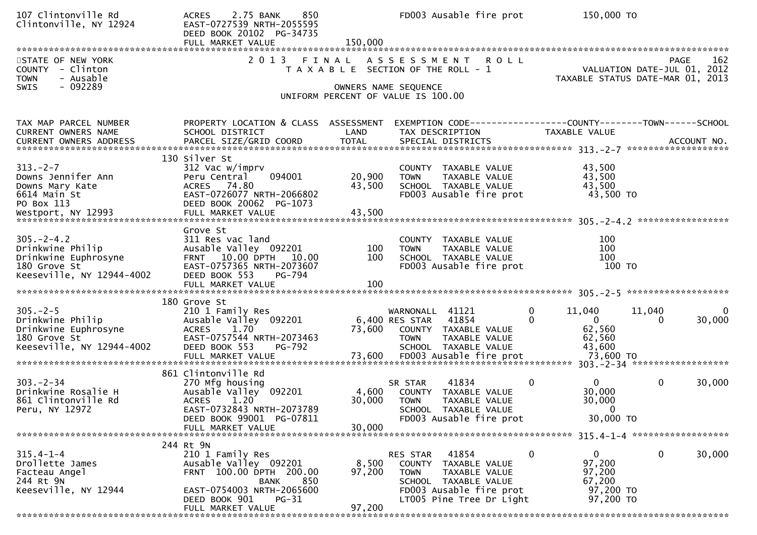| 107 Clintonville Rd<br>Clintonville, NY 12924                                                            | 2.75 BANK<br>850<br><b>ACRES</b><br>EAST-0727539 NRTH-2055595<br>DEED BOOK 20102 PG-34735<br>FULL MARKET VALUE                                                                        | 150,000                   | FD003 Ausable fire prot                                                                                                                                  | 150,000 TO                                                                    |                                                    |
|----------------------------------------------------------------------------------------------------------|---------------------------------------------------------------------------------------------------------------------------------------------------------------------------------------|---------------------------|----------------------------------------------------------------------------------------------------------------------------------------------------------|-------------------------------------------------------------------------------|----------------------------------------------------|
| STATE OF NEW YORK<br>COUNTY - Clinton<br>- Ausable<br>TOWN                                               | 2 0 1 3                                                                                                                                                                               | FINAL                     | ASSESSMENT ROLL<br>T A X A B L E SECTION OF THE ROLL - 1                                                                                                 | TAXABLE STATUS DATE-MAR 01,                                                   | 162<br>PAGE<br>VALUATION DATE-JUL 01, 2012<br>2013 |
| - 092289<br><b>SWIS</b>                                                                                  |                                                                                                                                                                                       |                           | OWNERS NAME SEQUENCE<br>UNIFORM PERCENT OF VALUE IS 100.00                                                                                               |                                                                               |                                                    |
| TAX MAP PARCEL NUMBER<br>CURRENT OWNERS NAME<br>CURRENT OWNERS ADDRESS                                   | PROPERTY LOCATION & CLASS ASSESSMENT<br>SCHOOL DISTRICT<br>PARCEL SIZE/GRID COORD                                                                                                     | LAND<br><b>TOTAL</b>      | EXEMPTION CODE-----------------COUNTY--------TOWN------SCHOOL<br>TAX DESCRIPTION<br>SPECIAL DISTRICTS                                                    | TAXABLE VALUE                                                                 | ACCOUNT NO.                                        |
| $313 - 2 - 7$<br>Downs Jennifer Ann<br>Downs Mary Kate<br>6614 Main St<br>PO Box 113                     | 130 Silver St<br>312 Vac w/imprv<br>094001<br>Peru Central<br>ACRES 74.80<br>EAST-0726077 NRTH-2066802<br>DEED BOOK 20062 PG-1073                                                     | 20,900<br>43,500          | COUNTY TAXABLE VALUE<br><b>TOWN</b><br>TAXABLE VALUE<br>SCHOOL TAXABLE VALUE<br>FD003 Ausable fire prot                                                  | 43,500<br>43,500<br>43,500<br>43,500 TO                                       |                                                    |
| $305. -2 - 4.2$<br>Drinkwine Philip<br>Drinkwine Euphrosyne<br>180 Grove St<br>Keeseville, NY 12944-4002 | Grove St<br>311 Res vac land<br>Ausable Valley 092201<br>FRNT 10.00 DPTH 10.00<br>EAST-0757365 NRTH-2073607<br>DEED BOOK 553<br>PG-794                                                | 100<br>100                | COUNTY TAXABLE VALUE<br><b>TOWN</b><br>TAXABLE VALUE<br>SCHOOL TAXABLE VALUE<br>FD003 Ausable fire prot                                                  | 100<br>100<br>100<br>100 то                                                   |                                                    |
| $305. -2 - 5$<br>Drinkwine Philip<br>Drinkwine Euphrosyne<br>180 Grove St<br>Keeseville, NY 12944-4002   | 180 Grove St<br>210 1 Family Res<br>Ausable Valley 092201<br><b>ACRES</b><br>1.70<br>EAST-0757544 NRTH-2073463<br>DEED BOOK 553<br>PG-792                                             | 73,600                    | WARNONALL 41121<br>6,400 RES STAR 41854<br>COUNTY TAXABLE VALUE<br><b>TOWN</b><br>TAXABLE VALUE<br>SCHOOL TAXABLE VALUE                                  | $\mathbf 0$<br>11,040<br>$\overline{0}$<br>62,560<br>62,560<br>43,600         | 11,040<br>0<br>30,000<br>0                         |
| $303 - 2 - 34$<br>Drinkwine Rosalie H<br>861 Clintonville Rd<br>Peru, NY 12972                           | 861 Clintonville Rd<br>270 Mfg housing<br>Ausable Valley 092201<br><b>ACRES</b><br>1.20<br>EAST-0732843 NRTH-2073789<br>DEED BOOK 99001 PG-07811<br>FULL MARKET VALUE                 | 4,600<br>30,000<br>30,000 | 41834<br>SR STAR<br>COUNTY TAXABLE VALUE<br>TAXABLE VALUE<br><b>TOWN</b><br>SCHOOL<br>TAXABLE VALUE<br>FD003 Ausable fire prot                           | $\mathbf{0}$<br>$\mathbf{0}$<br>30,000<br>30,000<br>$\mathbf{0}$<br>30,000 TO | 0<br>30,000                                        |
| $315.4 - 1 - 4$<br>Drollette James<br>Facteau Angel<br>244 Rt 9N<br>Keeseville, NY 12944                 | 244 Rt 9N<br>210 1 Family Res<br>Ausable Valley 092201<br>FRNT 100.00 DPTH 200.00<br>850<br><b>BANK</b><br>EAST-0754003 NRTH-2065600<br>DEED BOOK 901<br>$PG-31$<br>FULL MARKET VALUE | 8,500<br>97,200<br>97,200 | 41854<br>RES STAR<br>COUNTY TAXABLE VALUE<br><b>TOWN</b><br>TAXABLE VALUE<br>SCHOOL TAXABLE VALUE<br>FD003 Ausable fire prot<br>LT005 Pine Tree Dr Light | 0<br>$\mathbf{0}$<br>97,200<br>97,200<br>67,200<br>97,200 TO<br>97,200 TO     | 30,000<br>0                                        |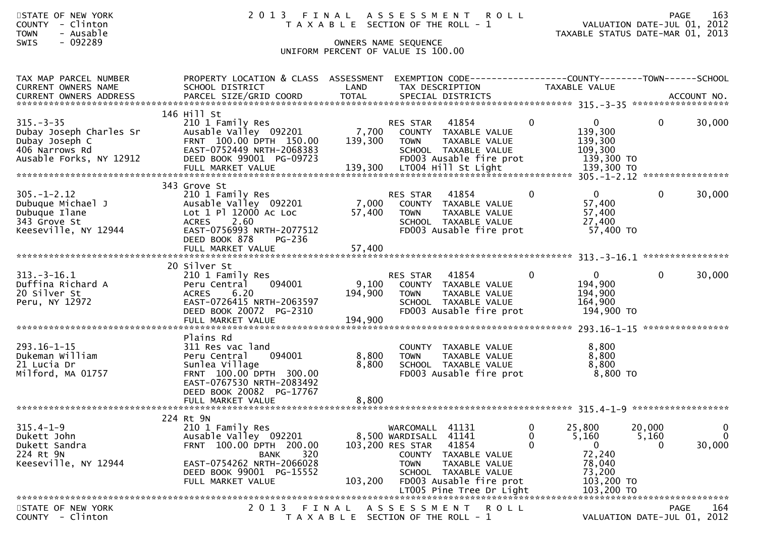|             | STATE OF NEW YORK | 2013 FINAL ASSESSMENT ROLL            | PAGE                        | 163 |
|-------------|-------------------|---------------------------------------|-----------------------------|-----|
|             | COUNTY - Clinton  | T A X A B L E SECTION OF THE ROLL - 1 | VALUATION DATE-JUL 01, 2012 |     |
| <b>TOWN</b> | - Ausable         | TAXABLE STATUS DATE-MAR 01, 2013      |                             |     |
| SWIS        | - 092289          | OWNERS NAME SEOUENCE                  |                             |     |
|             |                   | UNIFORM PERCENT OF VALUE IS 100.00    |                             |     |

| TAX MAP PARCEL NUMBER                     | PROPERTY LOCATION & CLASS ASSESSMENT             |                                       |                        | EXEMPTION CODE------------------COUNTY--------TOWN------SCHOOL |                      |                    |                             |              |
|-------------------------------------------|--------------------------------------------------|---------------------------------------|------------------------|----------------------------------------------------------------|----------------------|--------------------|-----------------------------|--------------|
| <b>CURRENT OWNERS NAME</b>                | SCHOOL DISTRICT                                  | LAND                                  | TAX DESCRIPTION        |                                                                | <b>TAXABLE VALUE</b> |                    |                             |              |
|                                           |                                                  |                                       |                        |                                                                |                      |                    |                             |              |
|                                           | 146 Hill St                                      |                                       |                        |                                                                |                      |                    |                             |              |
| $315. - 3 - 35$                           | 210 1 Family Res                                 |                                       | <b>RES STAR</b>        | 41854                                                          | $\Omega$             | $\Omega$           | $\Omega$                    | 30,000       |
| Dubay Joseph Charles Sr<br>Dubay Joseph C | Ausable Valley 092201<br>FRNT 100.00 DPTH 150.00 | 7,700<br>139,300                      | <b>TOWN</b>            | COUNTY TAXABLE VALUE<br>TAXABLE VALUE                          |                      | 139,300<br>139,300 |                             |              |
| 406 Narrows Rd                            | EAST-0752449 NRTH-2068383                        |                                       |                        | SCHOOL TAXABLE VALUE                                           |                      | 109,300            |                             |              |
| Ausable Forks, NY 12912                   | DEED BOOK 99001 PG-09723                         |                                       |                        | FD003 Ausable fire prot                                        |                      | 139,300 TO         |                             |              |
|                                           |                                                  |                                       |                        |                                                                |                      |                    |                             |              |
|                                           |                                                  |                                       |                        |                                                                |                      |                    |                             |              |
| $305. - 1 - 2.12$                         | 343 Grove St                                     |                                       |                        |                                                                | $\Omega$             | $\Omega$           | $\Omega$                    | 30,000       |
| Dubuque Michael J                         | 210 1 Family Res<br>Ausable Valley 092201        | 7,000                                 | RES STAR               | 41854<br>COUNTY TAXABLE VALUE                                  |                      | 57,400             |                             |              |
| Dubuque Ilane                             | Lot 1 Pl 12000 Ac Loc                            | 57,400                                | <b>TOWN</b>            | TAXABLE VALUE                                                  |                      | 57,400             |                             |              |
| 343 Grove St                              | <b>ACRES</b><br>2.60                             |                                       |                        | SCHOOL TAXABLE VALUE                                           |                      | 27,400             |                             |              |
| Keeseville, NY 12944                      | EAST-0756993 NRTH-2077512                        |                                       |                        | FD003 Ausable fire prot                                        |                      | 57,400 TO          |                             |              |
|                                           | DEED BOOK 878<br>PG-236                          |                                       |                        |                                                                |                      |                    |                             |              |
|                                           |                                                  |                                       |                        |                                                                |                      |                    |                             |              |
|                                           | 20 Silver St                                     |                                       |                        |                                                                |                      |                    |                             |              |
| $313.-3-16.1$                             | 210 1 Family Res                                 |                                       | <b>RES STAR</b>        | 41854                                                          | $\Omega$             | $\Omega$           | $\Omega$                    | 30,000       |
| Duffina Richard A                         | 094001<br>Peru Central                           | 9,100                                 |                        | COUNTY TAXABLE VALUE                                           |                      | 194,900            |                             |              |
| 20 Silver St                              | 6.20<br><b>ACRES</b>                             | 194,900                               | <b>TOWN</b>            | TAXABLE VALUE                                                  |                      | 194,900            |                             |              |
| Peru, NY 12972                            | EAST-0726415 NRTH-2063597                        |                                       |                        | SCHOOL TAXABLE VALUE                                           |                      | 164,900            |                             |              |
|                                           | DEED BOOK 20072 PG-2310<br>FULL MARKET VALUE     | 194,900                               |                        | FD003 Ausable fire prot                                        |                      | 194,900 TO         |                             |              |
|                                           |                                                  |                                       |                        |                                                                |                      |                    |                             |              |
|                                           | Plains Rd                                        |                                       |                        |                                                                |                      |                    |                             |              |
| $293.16 - 1 - 15$                         | 311 Res vac land                                 |                                       |                        | COUNTY TAXABLE VALUE                                           |                      | 8,800              |                             |              |
| Dukeman William                           | 094001<br>Peru Central                           | 8,800                                 | <b>TOWN</b>            | TAXABLE VALUE                                                  |                      | 8,800              |                             |              |
| 21 Lucia Dr<br>Milford, MA 01757          | Sunlea Village<br>FRNT 100.00 DPTH 300.00        | 8,800                                 |                        | SCHOOL TAXABLE VALUE<br>FD003 Ausable fire prot                |                      | 8,800<br>8,800 TO  |                             |              |
|                                           | EAST-0767530 NRTH-2083492                        |                                       |                        |                                                                |                      |                    |                             |              |
|                                           | DEED BOOK 20082 PG-17767                         |                                       |                        |                                                                |                      |                    |                             |              |
|                                           |                                                  |                                       |                        |                                                                |                      |                    |                             |              |
|                                           |                                                  |                                       |                        |                                                                |                      |                    |                             |              |
| $315.4 - 1 - 9$                           | 224 Rt 9N<br>210 1 Family Res                    |                                       | WARCOMALL 41131        |                                                                | $\Omega$             | 25,800             | 20,000                      | $\mathbf{0}$ |
| Dukett John                               | Ausable Valley 092201                            |                                       | 8,500 WARDISALL 41141  |                                                                | $\Omega$             | 5,160              | 5,160                       | $\Omega$     |
| Dukett Sandra                             | FRNT 100.00 DPTH 200.00                          |                                       | 103,200 RES STAR 41854 |                                                                | $\Omega$             | $\overline{0}$     | $\Omega$                    | 30,000       |
| 224 Rt 9N                                 | <b>BANK</b><br>320                               |                                       |                        | COUNTY TAXABLE VALUE                                           |                      | 72,240             |                             |              |
| Keeseville, NY 12944                      | EAST-0754262 NRTH-2066028                        |                                       | <b>TOWN</b>            | TAXABLE VALUE                                                  |                      | 78,040             |                             |              |
|                                           | DEED BOOK 99001 PG-15552                         |                                       |                        | SCHOOL TAXABLE VALUE                                           |                      | 73,200             |                             |              |
|                                           |                                                  |                                       |                        |                                                                |                      |                    |                             |              |
|                                           |                                                  |                                       |                        |                                                                |                      |                    |                             |              |
| STATE OF NEW YORK                         |                                                  |                                       |                        | 2013 FINAL ASSESSMENT ROLL                                     |                      |                    | <b>PAGE</b>                 | 164          |
| COUNTY - Clinton                          |                                                  | T A X A B L E SECTION OF THE ROLL - 1 |                        |                                                                |                      |                    | VALUATION DATE-JUL 01, 2012 |              |
|                                           |                                                  |                                       |                        |                                                                |                      |                    |                             |              |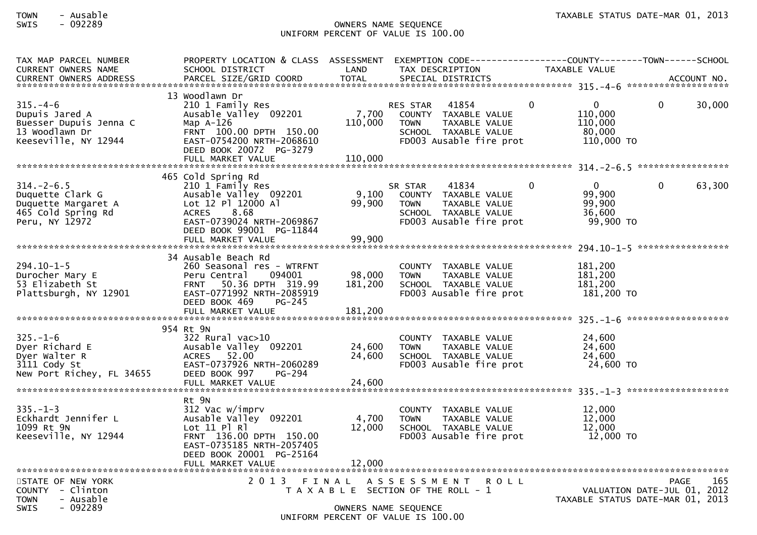## SWIS - 092289 OWNERS NAME SEQUENCE UNIFORM PERCENT OF VALUE IS 100.00

| TAX MAP PARCEL NUMBER<br>CURRENT OWNERS NAME<br><b>CURRENT OWNERS ADDRESS</b>                       | PROPERTY LOCATION & CLASS ASSESSMENT<br>SCHOOL DISTRICT<br>PARCEL SIZE/GRID COORD                                                                                                           | LAND<br><b>TOTAL</b>        | TAX DESCRIPTION<br>SPECIAL DISTRICTS                                                                                        | TAXABLE VALUE                                                                | ACCOUNT NO.                                                                    |
|-----------------------------------------------------------------------------------------------------|---------------------------------------------------------------------------------------------------------------------------------------------------------------------------------------------|-----------------------------|-----------------------------------------------------------------------------------------------------------------------------|------------------------------------------------------------------------------|--------------------------------------------------------------------------------|
|                                                                                                     |                                                                                                                                                                                             |                             |                                                                                                                             |                                                                              |                                                                                |
| $315. -4-6$<br>Dupuis Jared A<br>Buesser Dupuis Jenna C<br>13 Woodlawn Dr<br>Keeseville, NY 12944   | 13 Woodlawn Dr<br>210 1 Family Res<br>Ausable Valley 092201<br>Map $A-126$<br>FRNT 100.00 DPTH 150.00<br>EAST-0754200 NRTH-2068610<br>DEED BOOK 20072 PG-3279<br>FULL MARKET VALUE          | 7,700<br>110,000<br>110,000 | RES STAR 41854<br>COUNTY TAXABLE VALUE<br>TAXABLE VALUE<br><b>TOWN</b><br>SCHOOL TAXABLE VALUE<br>FD003 Ausable fire prot   | $\mathbf{0}$<br>$\overline{0}$<br>110,000<br>110,000<br>80,000<br>110,000 TO | 30,000<br>$\mathbf{0}$                                                         |
|                                                                                                     |                                                                                                                                                                                             |                             |                                                                                                                             |                                                                              |                                                                                |
| $314. - 2 - 6.5$<br>Duquette Clark G<br>Duquette Margaret A<br>465 Cold Spring Rd<br>Peru, NY 12972 | 465 Cold Spring Rd<br>210 1 Family Res<br>Ausable Valley 092201<br>Lot 12 Pl 12000 Al<br>8.68<br><b>ACRES</b><br>EAST-0739024 NRTH-2069867<br>DEED BOOK 99001 PG-11844<br>FULL MARKET VALUE | 9,100<br>99,900<br>99,900   | 41834<br>SR STAR<br>COUNTY TAXABLE VALUE<br>TAXABLE VALUE<br><b>TOWN</b><br>SCHOOL TAXABLE VALUE<br>FD003 Ausable fire prot | $\overline{0}$<br>$\mathbf{0}$<br>99,900<br>99,900<br>36,600<br>99,900 TO    | $\overline{0}$<br>63,300                                                       |
|                                                                                                     |                                                                                                                                                                                             |                             |                                                                                                                             |                                                                              |                                                                                |
| $294.10 - 1 - 5$<br>Durocher Mary E<br>53 Elizabeth St<br>Plattsburgh, NY 12901                     | 34 Ausable Beach Rd<br>260 Seasonal res - WTRFNT<br>Peru Central<br>094001<br>FRNT 50.36 DPTH 319.99<br>EAST-0771992 NRTH-2085919<br>DEED BOOK 469<br>PG-245                                | 98,000<br>181,200           | COUNTY TAXABLE VALUE<br>TAXABLE VALUE<br><b>TOWN</b><br>SCHOOL TAXABLE VALUE<br>FD003 Ausable fire prot                     | 181,200<br>181,200<br>181,200<br>181,200 TO                                  |                                                                                |
|                                                                                                     | 954 Rt 9N                                                                                                                                                                                   |                             |                                                                                                                             |                                                                              |                                                                                |
| $325. - 1 - 6$<br>Dyer Richard E<br>Dyer Walter R<br>3111 Cody St<br>New Port Richey, FL 34655      | 322 Rural vac>10<br>Ausable Valley 092201<br>52.00<br><b>ACRES</b><br>EAST-0737926 NRTH-2060289<br>DEED BOOK 997<br>PG-294                                                                  | 24,600<br>24,600            | COUNTY TAXABLE VALUE<br><b>TOWN</b><br>TAXABLE VALUE<br>SCHOOL TAXABLE VALUE<br>FD003 Ausable fire prot                     | 24,600<br>24,600<br>24,600<br>24,600 TO                                      |                                                                                |
|                                                                                                     |                                                                                                                                                                                             |                             |                                                                                                                             |                                                                              |                                                                                |
| $335. - 1 - 3$<br>Eckhardt Jennifer L<br>1099 Rt 9N<br>Keeseville, NY 12944                         | Rt 9N<br>312 Vac w/imprv<br>Ausable Valley 092201<br>Lot 11 Pl Rl<br>FRNT 136.00 DPTH 150.00<br>EAST-0735185 NRTH-2057405<br>DEED BOOK 20001 PG-25164<br>FULL MARKET VALUE                  | 4,700<br>12,000<br>12,000   | COUNTY TAXABLE VALUE<br><b>TAXABLE VALUE</b><br><b>TOWN</b><br>SCHOOL TAXABLE VALUE<br>FD003 Ausable fire prot              | 12,000<br>12,000<br>12,000<br>12,000 TO                                      |                                                                                |
| STATE OF NEW YORK<br>$COUNTY - Clinton$<br><b>TOWN</b><br>- Ausable                                 |                                                                                                                                                                                             |                             | 2013 FINAL ASSESSMENT<br><b>ROLL</b><br>T A X A B L E SECTION OF THE ROLL - 1                                               |                                                                              | 165<br>PAGE<br>VALUATION DATE-JUL 01, 2012<br>TAXABLE STATUS DATE-MAR 01, 2013 |
| - 092289<br><b>SWIS</b>                                                                             |                                                                                                                                                                                             |                             | OWNERS NAME SEQUENCE<br>UNIFORM PERCENT OF VALUE IS 100.00                                                                  |                                                                              |                                                                                |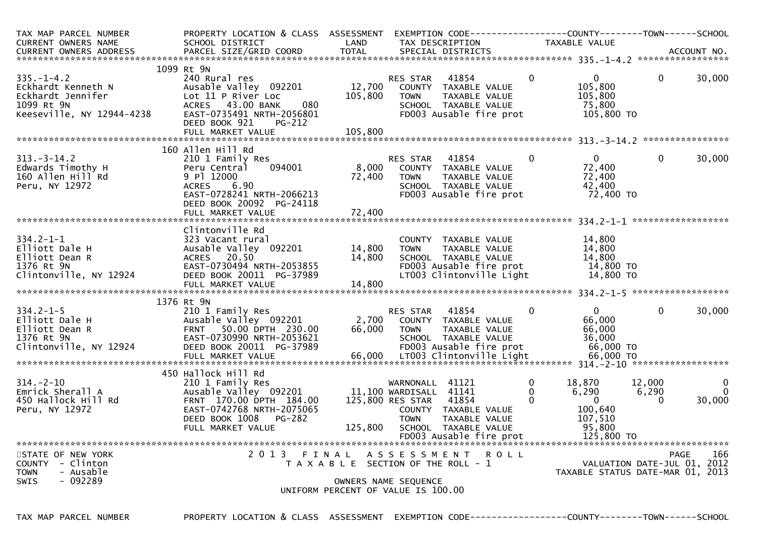| TAX MAP PARCEL NUMBER<br>CURRENT OWNERS NAME<br>CURRENT OWNERS ADDRESS                                 | PROPERTY LOCATION & CLASS ASSESSMENT<br>SCHOOL DISTRICT                                                                                                   | LAND                                  | TAX DESCRIPTION                                                                    | EXEMPTION CODE------------------COUNTY--------TOWN------SCHOOL                                                       |                               | TAXABLE VALUE                                                                   |                             |                         |
|--------------------------------------------------------------------------------------------------------|-----------------------------------------------------------------------------------------------------------------------------------------------------------|---------------------------------------|------------------------------------------------------------------------------------|----------------------------------------------------------------------------------------------------------------------|-------------------------------|---------------------------------------------------------------------------------|-----------------------------|-------------------------|
|                                                                                                        |                                                                                                                                                           |                                       |                                                                                    |                                                                                                                      |                               |                                                                                 |                             |                         |
|                                                                                                        | 1099 Rt 9N                                                                                                                                                |                                       |                                                                                    |                                                                                                                      |                               |                                                                                 |                             |                         |
| $335. - 1 - 4.2$<br>Eckhardt Kenneth N<br>Eckhardt Jennifer<br>1099 Rt 9N<br>Keeseville, NY 12944-4238 | 240 Rural res<br>Ausable Valley 092201<br>Lot 11 P River Loc<br>ACRES 43.00 BANK<br>080<br>EAST-0735491 NRTH-2056801                                      | 12,700<br>105,800                     | RES STAR<br><b>TOWN</b>                                                            | 41854<br>COUNTY TAXABLE VALUE<br>TAXABLE VALUE<br>SCHOOL TAXABLE VALUE<br>FD003 Ausable fire prot                    | $\overline{0}$                | $\mathbf{0}$<br>105,800<br>105,800<br>75,800<br>105,800 TO                      | $\overline{0}$              | 30,000                  |
|                                                                                                        | DEED BOOK 921<br>$PG-212$                                                                                                                                 |                                       |                                                                                    |                                                                                                                      |                               |                                                                                 |                             |                         |
|                                                                                                        |                                                                                                                                                           |                                       |                                                                                    |                                                                                                                      |                               |                                                                                 |                             |                         |
| $313 - 3 - 14.2$<br>Edwards Timothy H<br>160 Allen Hill Rd<br>Peru, NY 12972                           | 160 Allen Hill Rd<br>210 1 Family Res<br>094001<br>Peru Central<br>9 Pl 12000<br>ACRES 6.90<br>EAST-0728241 NRTH-2066213<br>DEED BOOK 20092 PG-24118      | 8,000<br>72,400                       | RES STAR<br>TOWN                                                                   | 41854<br>COUNTY TAXABLE VALUE<br>TAXABLE VALUE<br>SCHOOL TAXABLE VALUE<br>FD003 Ausable fire prot                    | $\overline{0}$                | $\overline{0}$<br>72,400<br>72,400<br>42,400<br>72,400 TO                       | $\mathbf 0$                 | 30,000                  |
|                                                                                                        |                                                                                                                                                           |                                       |                                                                                    |                                                                                                                      |                               |                                                                                 |                             |                         |
| $334.2 - 1 - 1$<br>Elliott Dale H<br>Elliott Dean R<br>1376 Rt 9N<br>Clintonville, NY 12924            | Clintonville Rd<br>323 Vacant rural<br>Ausable Valley 092201<br>ACRES 20.50<br>EAST-0730494 NRTH-2053855<br>DEED BOOK 20011 PG-37989<br>FULL MARKET VALUE | 14,800<br>14,800<br>14,800            | TOWN                                                                               | COUNTY TAXABLE VALUE<br>TAXABLE VALUE<br>SCHOOL TAXABLE VALUE<br>FD003 Ausable fire prot<br>LT003 Clintonville Light |                               | 14,800<br>14,800<br>14,800<br>14,800 TO<br>14,800 TO                            |                             |                         |
|                                                                                                        | 1376 Rt 9N                                                                                                                                                |                                       |                                                                                    |                                                                                                                      |                               |                                                                                 |                             |                         |
| $334.2 - 1 - 5$<br>Elliott Dale H<br>Elliott Dean R<br>1376 Rt 9N<br>Clintonville, NY 12924            | 210 1 Family Res<br>Ausable Valley 092201<br>FRNT 50.00 DPTH 230.00<br>EAST-0730990 NRTH-2053621<br>DEED BOOK 20011 PG-37989                              | 66,000                                | RES STAR<br><b>TOWN</b>                                                            | 41854<br>2,700 COUNTY TAXABLE VALUE<br>TAXABLE VALUE<br>SCHOOL TAXABLE VALUE<br>FD003 Ausable fire prot              | $\Omega$                      | $\mathbf{0}$<br>66,000<br>66,000<br>36,000<br>66,000 TO                         | $\Omega$                    | 30,000                  |
|                                                                                                        | 450 Hallock Hill Rd                                                                                                                                       |                                       |                                                                                    |                                                                                                                      |                               |                                                                                 |                             |                         |
| $314. - 2 - 10$<br>Emrick Sherall A<br>450 Hallock Hill Rd<br>Peru, NY 12972                           | 210 1 Family Res<br>Ausable Valley 092201<br>FRNT 170.00 DPTH 184.00<br>EAST-0742768 NRTH-2075065<br>DEED BOOK 1008<br><b>PG-282</b><br>FULL MARKET VALUE |                                       | WARNONALL 41121<br>11,100 WARDISALL 41141<br>125,800 RES STAR 41854<br><b>TOWN</b> | COUNTY TAXABLE VALUE<br>TAXABLE VALUE<br>125,800 SCHOOL TAXABLE VALUE<br>FD003 Ausable fire prot                     | 0<br>$\Omega$<br>$\mathbf{0}$ | 18,870<br>6,290<br>$\overline{0}$<br>100,640<br>107,510<br>95,800<br>125,800 TO | 12,000<br>6,290<br>$\Omega$ | 0<br>$\Omega$<br>30,000 |
|                                                                                                        |                                                                                                                                                           |                                       |                                                                                    |                                                                                                                      |                               |                                                                                 |                             |                         |
| STATE OF NEW YORK<br>COUNTY - Clinton<br>- Ausable<br><b>TOWN</b><br>$-092289$<br>SWIS                 | 2013 FINAL ASSESSMENT ROLL                                                                                                                                | T A X A B L E SECTION OF THE ROLL - 1 | OWNERS NAME SEQUENCE                                                               |                                                                                                                      |                               | VALUATION DATE-JUL 01, 2012<br>TAXABLE STATUS DATE-MAR 01, 2013                 | <b>PAGE</b>                 | 166                     |
|                                                                                                        |                                                                                                                                                           | UNIFORM PERCENT OF VALUE IS 100.00    |                                                                                    |                                                                                                                      |                               |                                                                                 |                             |                         |
|                                                                                                        |                                                                                                                                                           |                                       |                                                                                    |                                                                                                                      |                               |                                                                                 |                             |                         |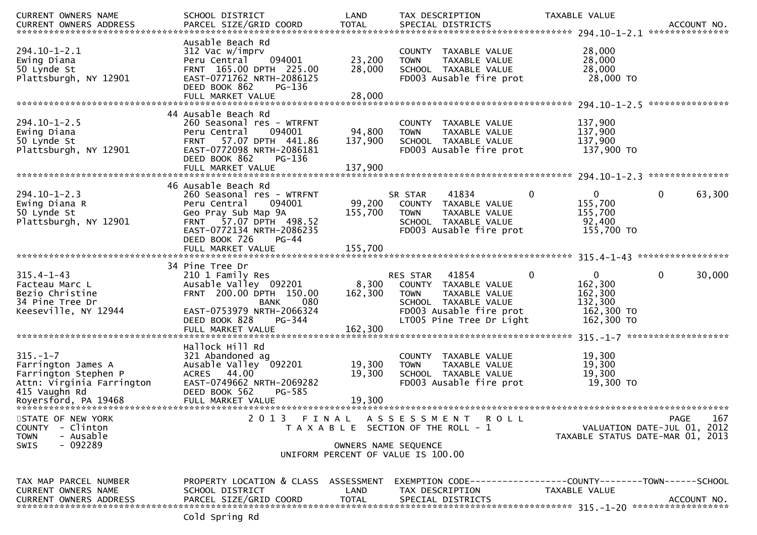| <b>CURRENT OWNERS NAME</b>                                                                                 | SCHOOL DISTRICT                                                                                                                                                                              | LAND                       | TAX DESCRIPTION                                                                                                                                                         | TAXABLE VALUE                                                                                        |
|------------------------------------------------------------------------------------------------------------|----------------------------------------------------------------------------------------------------------------------------------------------------------------------------------------------|----------------------------|-------------------------------------------------------------------------------------------------------------------------------------------------------------------------|------------------------------------------------------------------------------------------------------|
|                                                                                                            |                                                                                                                                                                                              |                            |                                                                                                                                                                         |                                                                                                      |
| $294.10 - 1 - 2.1$<br>Ewing Diana<br>50 Lynde St<br>Plattsburgh, NY 12901                                  | Ausable Beach Rd<br>312 Vac w/imprv<br>094001<br>Peru Central<br>FRNT 165.00 DPTH 225.00<br>EAST-0771762 NRTH-2086125<br>DEED BOOK 862<br>PG-136                                             | 23,200<br>28,000<br>28,000 | COUNTY TAXABLE VALUE<br>TAXABLE VALUE<br><b>TOWN</b><br>SCHOOL TAXABLE VALUE<br>FD003 Ausable fire prot                                                                 | 28,000<br>28,000<br>28,000<br>28,000 TO                                                              |
|                                                                                                            | FULL MARKET VALUE                                                                                                                                                                            |                            |                                                                                                                                                                         |                                                                                                      |
| $294.10 - 1 - 2.5$<br>Ewing Diana<br>50 Lynde St<br>Plattsburgh, NY 12901                                  | 44 Ausable Beach Rd<br>260 Seasonal res - WTRFNT<br>094001<br>Peru Central<br>57.07 DPTH 441.86<br><b>FRNT</b><br>EAST-0772098 NRTH-2086181<br>DEED BOOK 862<br>PG-136                       | 94,800<br>137,900          | COUNTY TAXABLE VALUE<br><b>TOWN</b><br>TAXABLE VALUE<br>SCHOOL TAXABLE VALUE<br>FD003 Ausable fire prot                                                                 | 137,900<br>137,900<br>137,900<br>137,900 TO                                                          |
|                                                                                                            |                                                                                                                                                                                              |                            |                                                                                                                                                                         |                                                                                                      |
| $294.10 - 1 - 2.3$<br>Ewing Diana R<br>50 Lynde St<br>Plattsburgh, NY 12901                                | 46 Ausable Beach Rd<br>260 Seasonal res - WTRFNT<br>094001<br>Peru Central<br>Geo Pray Sub Map 9A<br>57.07 DPTH 498.52<br><b>FRNT</b><br>EAST-0772134 NRTH-2086235<br>DEED BOOK 726<br>PG-44 | 99,200<br>155,700          | 41834<br>0<br>SR STAR<br>COUNTY TAXABLE VALUE<br>TAXABLE VALUE<br><b>TOWN</b><br>SCHOOL TAXABLE VALUE<br>FD003 Ausable fire prot                                        | 63,300<br>$\overline{0}$<br>0<br>155,700<br>155,700<br>92,400<br>155,700 TO                          |
|                                                                                                            | FULL MARKET VALUE                                                                                                                                                                            | 155,700                    |                                                                                                                                                                         |                                                                                                      |
| $315.4 - 1 - 43$<br>Facteau Marc L<br>Bezio Christine<br>34 Pine Tree Dr<br>Keeseville, NY 12944           | 34 Pine Tree Dr<br>210 1 Family Res<br>Ausable Valley 092201<br>FRNT 200.00 DPTH 150.00<br>080<br><b>BANK</b><br>EAST-0753979 NRTH-2066324<br>DEED BOOK 828<br>PG-344                        | 8,300<br>162,300           | $\mathbf 0$<br>RES STAR<br>41854<br>COUNTY TAXABLE VALUE<br>TAXABLE VALUE<br><b>TOWN</b><br>SCHOOL TAXABLE VALUE<br>FD003 Ausable fire prot<br>LT005 Pine Tree Dr Light | $\mathbf{0}$<br>0<br>30,000<br>162,300<br>162,300<br>132,300<br>162,300 TO<br>162,300 TO             |
|                                                                                                            | Hallock Hill Rd                                                                                                                                                                              |                            |                                                                                                                                                                         |                                                                                                      |
| $315. - 1 - 7$<br>Farrington James A<br>Farrington Stephen P<br>Attn: Virginia Farrington<br>415 Vaughn Rd | 321 Abandoned ag<br>Ausable Valley 092201<br>ACRES 44.00<br>EAST-0749662 NRTH-2069282<br>DEED BOOK 562<br>PG-585                                                                             | 19,300<br>19,300           | COUNTY TAXABLE VALUE<br><b>TOWN</b><br>TAXABLE VALUE<br>SCHOOL TAXABLE VALUE<br>FD003 Ausable fire prot                                                                 | 19,300<br>19,300<br>19,300<br>19,300 TO                                                              |
| Royersford, PA 19468                                                                                       | FULL MARKET VALUE                                                                                                                                                                            | 19,300                     |                                                                                                                                                                         |                                                                                                      |
| STATE OF NEW YORK<br><b>COUNTY</b><br>- Clinton<br>- Ausable<br><b>TOWN</b><br>$-092289$<br><b>SWIS</b>    | 2013 FINAL                                                                                                                                                                                   |                            | ASSESSMENT ROLL<br>T A X A B L E SECTION OF THE ROLL - 1<br>OWNERS NAME SEQUENCE<br>UNIFORM PERCENT OF VALUE IS 100.00                                                  | 167<br><b>PAGE</b><br>VALUATION DATE-JUL 01, 2012<br>TAXABLE STATUS DATE-MAR 01, 2013                |
|                                                                                                            |                                                                                                                                                                                              |                            |                                                                                                                                                                         |                                                                                                      |
| TAX MAP PARCEL NUMBER<br>CURRENT OWNERS NAME<br><b>CURRENT OWNERS ADDRESS</b>                              | PROPERTY LOCATION & CLASS ASSESSMENT<br>SCHOOL DISTRICT<br>PARCEL SIZE/GRID COORD                                                                                                            | LAND<br><b>TOTAL</b>       | TAX DESCRIPTION<br>SPECIAL DISTRICTS                                                                                                                                    | EXEMPTION        CODE------------------COUNTY-------TOWN------SCHOOL<br>TAXABLE VALUE<br>ACCOUNT NO. |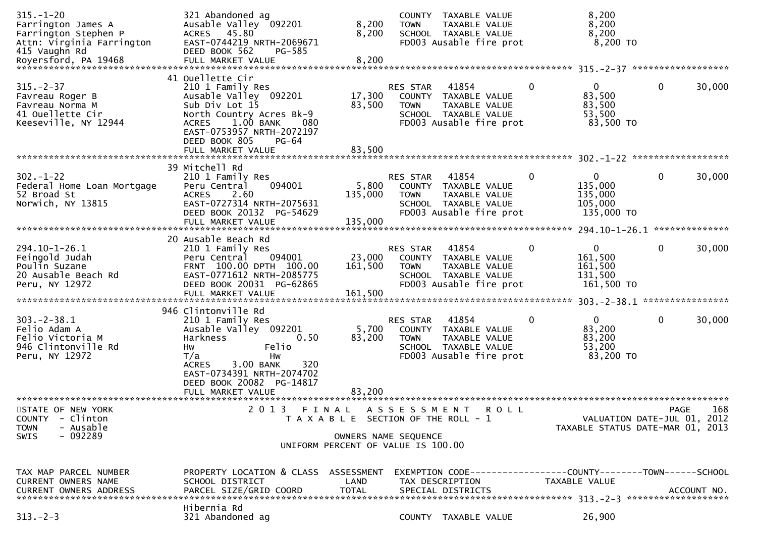| $315. - 1 - 20$<br>Farrington James A<br>Farrington Stephen P<br>Attn: Virginia Farrington<br>415 Vaughn Rd | 321 Abandoned ag<br>Ausable Valley 092201<br>ACRES 45.80<br>EAST-0744219 NRTH-2069671<br>DEED BOOK 562<br>PG-585                                                                                                                   | 8,200<br>8,200                                                                                      | <b>TOWN</b>                    | COUNTY TAXABLE VALUE<br>TAXABLE VALUE<br>SCHOOL TAXABLE VALUE<br>FD003 Ausable fire prot                                       |             | 8,200<br>8,200<br>8,200<br>$8,200$ TO                           |             |             |
|-------------------------------------------------------------------------------------------------------------|------------------------------------------------------------------------------------------------------------------------------------------------------------------------------------------------------------------------------------|-----------------------------------------------------------------------------------------------------|--------------------------------|--------------------------------------------------------------------------------------------------------------------------------|-------------|-----------------------------------------------------------------|-------------|-------------|
| $315. - 2 - 37$<br>Favreau Roger B<br>Favreau Norma M<br>41 Ouellette Cir<br>Keeseville, NY 12944           | 41 Ouellette Cir<br>210 1 Family Res<br>Ausable Valley 092201<br>Sub Div Lot 15<br>North Country Acres Bk-9<br><b>ACRES</b><br>$1.00$ BANK<br>080<br>EAST-0753957 NRTH-2072197<br>DEED BOOK 805<br>$PG-64$                         | 17,300<br>83,500                                                                                    | RES STAR<br><b>TOWN</b>        | 41854<br>COUNTY TAXABLE VALUE<br>TAXABLE VALUE<br>SCHOOL TAXABLE VALUE<br>FD003 Ausable fire prot                              | 0           | 0<br>83,500<br>83,500<br>53,500<br>83,500 TO                    | $\mathbf 0$ | 30,000      |
| $302 - 1 - 22$<br>Federal Home Loan Mortgage<br>52 Broad St<br>Norwich, NY 13815                            | 39 Mitchell Rd<br>210 1 Family Res<br>094001<br>Peru Central<br>2.60<br><b>ACRES</b><br>EAST-0727314 NRTH-2075631<br>DEED BOOK 20132 PG-54629                                                                                      | 5,800<br>135,000                                                                                    | RES STAR<br><b>TOWN</b>        | 41854<br>COUNTY TAXABLE VALUE<br>TAXABLE VALUE<br>SCHOOL TAXABLE VALUE<br>FD003 Ausable fire prot                              | $\mathbf 0$ | $\mathbf{0}$<br>135,000<br>135,000<br>105,000<br>135,000 TO     | $\mathbf 0$ | 30,000      |
| 294.10-1-26.1<br>Feingold Judah<br>Poulin Suzane<br>20 Ausable Beach Rd<br>Peru, NY 12972                   | 20 Ausable Beach Rd<br>210 1 Family Res<br>094001<br>Peru Central<br>FRNT 100.00 DPTH 100.00<br>EAST-0771612 NRTH-2085775<br>DEED BOOK 20031 PG-62865<br>FULL MARKET VALUE                                                         | 23,000<br>161,500<br>161,500                                                                        | RES STAR<br><b>TOWN</b>        | 41854<br>COUNTY TAXABLE VALUE<br>TAXABLE VALUE<br>SCHOOL TAXABLE VALUE<br>FD003 Ausable fire prot                              | $\mathbf 0$ | $\mathbf{0}$<br>161,500<br>161,500<br>131,500<br>161,500 TO     | $\mathbf 0$ | 30,000      |
| $303 - 2 - 38.1$<br>Felio Adam A<br>Felio Victoria M<br>946 Clintonville Rd<br>Peru, NY 12972               | 946 Clintonville Rd<br>210 1 Family Res<br>Ausable Valley 092201<br>Harkness<br>0.50<br>Felio<br>Hw<br>T/a<br>Hw<br>320<br>3.00 BANK<br><b>ACRES</b><br>EAST-0734391 NRTH-2074702<br>DEED BOOK 20082 PG-14817<br>FULL MARKET VALUE | 5,700<br>83,200<br>83,200                                                                           | <b>RES STAR</b><br><b>TOWN</b> | 41854<br>COUNTY TAXABLE VALUE<br>TAXABLE VALUE<br>SCHOOL TAXABLE VALUE<br>FD003 Ausable fire prot                              | 0           | $\mathbf{0}$<br>83,200<br>83,200<br>53,200<br>83,200 TO         | $\mathbf 0$ | 30,000      |
| STATE OF NEW YORK<br>- Clinton<br>COUNTY<br>- Ausable<br><b>TOWN</b><br>$-092289$<br><b>SWIS</b>            | 2 0 1 3<br>FINAL                                                                                                                                                                                                                   | T A X A B L E SECTION OF THE ROLL - 1<br>OWNERS NAME SEQUENCE<br>UNIFORM PERCENT OF VALUE IS 100.00 | A S S E S S M E N T            | <b>ROLL</b>                                                                                                                    |             | VALUATION DATE-JUL 01, 2012<br>TAXABLE STATUS DATE-MAR 01, 2013 | <b>PAGE</b> | 168         |
| TAX MAP PARCEL NUMBER<br>CURRENT OWNERS NAME<br><b>CURRENT OWNERS ADDRESS</b><br>$313 - 2 - 3$              | PROPERTY LOCATION & CLASS ASSESSMENT<br>SCHOOL DISTRICT<br>PARCEL SIZE/GRID COORD<br>Hibernia Rd<br>321 Abandoned ag                                                                                                               | LAND<br><b>TOTAL</b>                                                                                |                                | EXEMPTION CODE------------------COUNTY--------TOWN------SCHOOL<br>TAX DESCRIPTION<br>SPECIAL DISTRICTS<br>COUNTY TAXABLE VALUE |             | TAXABLE VALUE<br>26,900                                         |             | ACCOUNT NO. |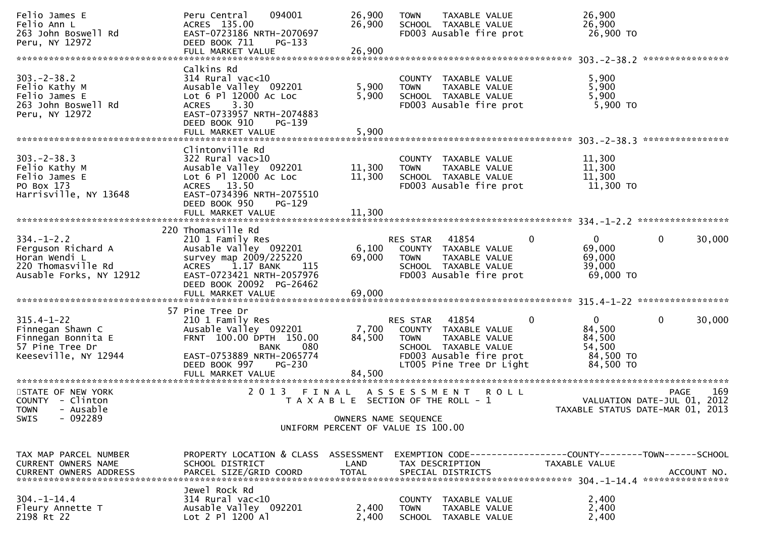| Felio James E<br>Felio Ann L<br>263 John Boswell Rd<br>Peru, NY 12972                                    | Peru Central<br>094001<br>ACRES 135.00<br>EAST-0723186 NRTH-2070697<br>DEED BOOK 711<br>$PG-133$<br>FULL MARKET VALUE                                                                      | 26,900<br>26,900<br>26,900 | <b>TAXABLE VALUE</b><br><b>TOWN</b><br>SCHOOL TAXABLE VALUE<br>FD003 Ausable fire prot                                                                        | 26,900<br>26,900<br>26,900 TO                                        |                                                                 |
|----------------------------------------------------------------------------------------------------------|--------------------------------------------------------------------------------------------------------------------------------------------------------------------------------------------|----------------------------|---------------------------------------------------------------------------------------------------------------------------------------------------------------|----------------------------------------------------------------------|-----------------------------------------------------------------|
|                                                                                                          |                                                                                                                                                                                            |                            |                                                                                                                                                               |                                                                      | ****************                                                |
| $303 - 2 - 38.2$<br>Felio Kathy M<br>Felio James E<br>263 John Boswell Rd<br>Peru, NY 12972              | Calkins Rd<br>$314$ Rural vac<10<br>Ausable Valley 092201<br>Lot 6 Pl 12000 Ac Loc<br>3.30<br><b>ACRES</b><br>EAST-0733957 NRTH-2074883<br>DEED BOOK 910<br>PG-139<br>FULL MARKET VALUE    | 5,900<br>5,900<br>5,900    | COUNTY TAXABLE VALUE<br>TAXABLE VALUE<br><b>TOWN</b><br>SCHOOL TAXABLE VALUE<br>FD003 Ausable fire prot                                                       | 5,900<br>5,900<br>5,900<br>5,900 TO                                  |                                                                 |
|                                                                                                          |                                                                                                                                                                                            |                            |                                                                                                                                                               |                                                                      | *****************                                               |
| $303 - 2 - 38.3$<br>Felio Kathy M<br>Felio James E<br>PO Box 173<br>Harrisville, NY 13648                | Clintonville Rd<br>322 Rural vac>10<br>Ausable Valley 092201<br>Lot $6$ Pl 12000 Ac Loc<br>ACRES 13.50<br>EAST-0734396 NRTH-2075510<br>DEED BOOK 950<br><b>PG-129</b><br>FULL MARKET VALUE | 11,300<br>11,300<br>11,300 | COUNTY TAXABLE VALUE<br>TAXABLE VALUE<br><b>TOWN</b><br>SCHOOL TAXABLE VALUE<br>FD003 Ausable fire prot                                                       | 11,300<br>11,300<br>11,300<br>11,300 TO                              |                                                                 |
|                                                                                                          | 220 Thomasville Rd                                                                                                                                                                         |                            |                                                                                                                                                               |                                                                      |                                                                 |
| $334. - 1 - 2.2$<br>Ferguson Richard A<br>Horan Wendi L<br>220 Thomasville Rd<br>Ausable Forks, NY 12912 | 210 1 Family Res<br>Ausable Valley 092201<br>survey map 2009/225220<br>1.17 BANK<br>115<br>ACRES<br>EAST-0723421 NRTH-2057976<br>DEED BOOK 20092 PG-26462<br>FULL MARKET VALUE             | 6,100<br>69,000<br>69,000  | 41854<br>RES STAR<br>0<br>COUNTY TAXABLE VALUE<br><b>TOWN</b><br>TAXABLE VALUE<br>SCHOOL TAXABLE VALUE<br>FD003 Ausable fire prot                             | $\Omega$<br>69,000<br>69,000<br>39,000<br>69,000 TO                  | 30,000<br>$\mathbf{0}$                                          |
|                                                                                                          |                                                                                                                                                                                            |                            |                                                                                                                                                               |                                                                      |                                                                 |
| $315.4 - 1 - 22$<br>Finnegan Shawn C<br>Finnegan Bonnita E<br>57 Pine Tree Dr<br>Keeseville, NY 12944    | 57 Pine Tree Dr<br>210 1 Family Res<br>Ausable Valley 092201<br>FRNT 100.00 DPTH 150.00<br>080<br>BANK<br>EAST-0753889 NRTH-2065774<br>DEED BOOK 997<br>PG-230<br>FULL MARKET VALUE        | 7,700<br>84,500<br>84,500  | RES STAR<br>41854<br>0<br>COUNTY TAXABLE VALUE<br><b>TOWN</b><br>TAXABLE VALUE<br>SCHOOL TAXABLE VALUE<br>FD003 Ausable fire prot<br>LT005 Pine Tree Dr Light | $\mathbf{0}$<br>84,500<br>84,500<br>54,500<br>84,500 TO<br>84,500 TO | 30,000<br>$\mathbf{0}$                                          |
| STATE OF NEW YORK                                                                                        | 2013 FINAL                                                                                                                                                                                 |                            | A S S E S S M E N T<br><b>ROLL</b>                                                                                                                            |                                                                      | 169<br>PAGE                                                     |
| COUNTY - Clinton<br>- Ausable<br><b>TOWN</b><br>$-092289$<br>SWIS                                        |                                                                                                                                                                                            |                            | T A X A B L E SECTION OF THE ROLL - 1<br>OWNERS NAME SEQUENCE<br>UNIFORM PERCENT OF VALUE IS 100.00                                                           |                                                                      | VALUATION DATE-JUL 01, 2012<br>TAXABLE STATUS DATE-MAR 01, 2013 |
| TAX MAP PARCEL NUMBER<br>CURRENT OWNERS NAME<br><b>CURRENT OWNERS ADDRESS</b>                            | PROPERTY LOCATION & CLASS ASSESSMENT<br>SCHOOL DISTRICT<br>PARCEL SIZE/GRID COORD                                                                                                          | LAND<br><b>TOTAL</b>       | EXEMPTION CODE------------------COUNTY--------TOWN------SCHOOL<br>TAX DESCRIPTION<br>SPECIAL DISTRICTS                                                        | TAXABLE VALUE                                                        | ACCOUNT NO.                                                     |
| $304. - 1 - 14.4$<br>Fleury Annette T<br>2198 Rt 22                                                      | Jewel Rock Rd<br>314 Rural vac<10<br>Ausable Valley 092201<br>Lot 2 Pl 1200 Al                                                                                                             | 2,400<br>2,400             | COUNTY TAXABLE VALUE<br>TAXABLE VALUE<br><b>TOWN</b><br>SCHOOL<br>TAXABLE VALUE                                                                               | 2,400<br>2,400<br>2,400                                              |                                                                 |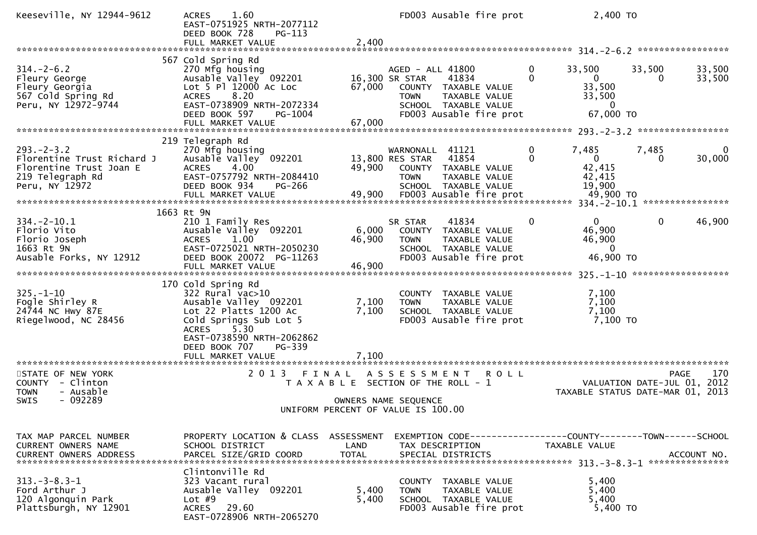| Keeseville, NY 12944-9612                                                                                       | 1.60<br><b>ACRES</b><br>EAST-0751925 NRTH-2077112<br>DEED BOOK 728<br>$PG-113$<br>FULL MARKET VALUE                                                                                           | 2,400                     | FD003 Ausable fire prot                                                                                                                                |                            | 2,400 TO                                                                          |                  |
|-----------------------------------------------------------------------------------------------------------------|-----------------------------------------------------------------------------------------------------------------------------------------------------------------------------------------------|---------------------------|--------------------------------------------------------------------------------------------------------------------------------------------------------|----------------------------|-----------------------------------------------------------------------------------|------------------|
|                                                                                                                 |                                                                                                                                                                                               |                           |                                                                                                                                                        |                            |                                                                                   |                  |
| $314. - 2 - 6.2$<br>Fleury George<br>Fleury Georgia<br>567 Cold Spring Rd<br>Peru, NY 12972-9744                | 567 Cold Spring Rd<br>270 Mfg housing<br>Ausable Valley 092201<br>Lot 5 Pl 12000 Ac Loc<br>8.20<br><b>ACRES</b><br>EAST-0738909 NRTH-2072334<br>DEED BOOK 597<br>PG-1004<br>FULL MARKET VALUE | 67,000<br>67,000          | AGED - ALL 41800<br>16,300 SR STAR<br>41834<br>COUNTY TAXABLE VALUE<br><b>TOWN</b><br>TAXABLE VALUE<br>SCHOOL TAXABLE VALUE<br>FD003 Ausable fire prot | $\mathbf 0$<br>33,500<br>0 | 33,500<br>$\overline{0}$<br>0<br>33,500<br>33,500<br>$\overline{0}$<br>67,000 TO  | 33,500<br>33,500 |
|                                                                                                                 |                                                                                                                                                                                               |                           |                                                                                                                                                        |                            |                                                                                   |                  |
| $293. - 2 - 3.2$<br>Florentine Trust Richard J<br>Florentine Trust Joan E<br>219 Telegraph Rd<br>Peru, NY 12972 | 219 Telegraph Rd<br>270 Mfg housing<br>Ausable Valley 092201<br><b>ACRES</b><br>4.00<br>EAST-0757792 NRTH-2084410<br>DEED BOOK 934<br>PG-266                                                  | 49,900                    | WARNONALL 41121<br>41854<br>13,800 RES STAR<br>COUNTY TAXABLE VALUE<br><b>TOWN</b><br>TAXABLE VALUE<br>SCHOOL TAXABLE VALUE                            | 7,485<br>0<br>$\Omega$     | 7,485<br>$\overline{0}$<br>0<br>42,415<br>42,415<br>19,900                        | 0<br>30,000      |
|                                                                                                                 | 1663 Rt 9N                                                                                                                                                                                    |                           |                                                                                                                                                        |                            |                                                                                   |                  |
| $334. - 2 - 10.1$<br>Florio Vito<br>Florio Joseph<br>1663 Rt 9N<br>Ausable Forks, NY 12912                      | 210 1 Family Res<br>Ausable Valley 092201<br>ACRES 1.00<br>EAST-0725021 NRTH-2050230<br>DEED BOOK 20072 PG-11263<br>FULL MARKET VALUE                                                         | 6,000<br>46,900<br>46,900 | 41834<br>SR STAR<br>COUNTY TAXABLE VALUE<br><b>TOWN</b><br>TAXABLE VALUE<br>SCHOOL TAXABLE VALUE<br>FD003 Ausable fire prot                            | $\mathbf{0}$               | $\mathbf{0}$<br>$\overline{0}$<br>46,900<br>46,900<br>$\overline{0}$<br>46,900 TO | 46,900           |
|                                                                                                                 | 170 Cold Spring Rd                                                                                                                                                                            |                           |                                                                                                                                                        |                            |                                                                                   |                  |
| $325. - 1 - 10$<br>Fogle Shirley R<br>24744 NC Hwy 87E<br>Riegelwood, NC 28456                                  | $322$ Rural vac $>10$<br>Ausable Valley 092201<br>Lot 22 Platts 1200 Ac<br>Cold Springs Sub Lot 5<br>5.30<br><b>ACRES</b>                                                                     | 7,100<br>7,100            | COUNTY TAXABLE VALUE<br><b>TOWN</b><br>TAXABLE VALUE<br>SCHOOL TAXABLE VALUE<br>FD003 Ausable fire prot                                                |                            | 7,100<br>7,100<br>7,100<br>7,100 TO                                               |                  |
|                                                                                                                 | EAST-0738590 NRTH-2062862<br>DEED BOOK 707<br>PG-339<br>FULL MARKET VALUE                                                                                                                     | 7.100                     |                                                                                                                                                        |                            |                                                                                   |                  |
| STATE OF NEW YORK<br>COUNTY - Clinton<br>- Ausable<br><b>TOWN</b>                                               | 2 0 1 3<br>FINAL                                                                                                                                                                              |                           | A S S E S S M E N T<br><b>ROLL</b><br>T A X A B L E SECTION OF THE ROLL - 1                                                                            |                            | VALUATION DATE-JUL 01, 2012<br>TAXABLE STATUS DATE-MAR 01, 2013                   | 170<br>PAGE      |
| $-092289$<br><b>SWIS</b>                                                                                        |                                                                                                                                                                                               |                           | OWNERS NAME SEQUENCE<br>UNIFORM PERCENT OF VALUE IS 100.00                                                                                             |                            |                                                                                   |                  |
|                                                                                                                 |                                                                                                                                                                                               |                           |                                                                                                                                                        |                            |                                                                                   |                  |
| TAX MAP PARCEL NUMBER<br>CURRENT OWNERS NAME<br><b>CURRENT OWNERS ADDRESS</b>                                   | PROPERTY LOCATION & CLASS ASSESSMENT<br>SCHOOL DISTRICT<br>PARCEL SIZE/GRID COORD                                                                                                             | LAND<br><b>TOTAL</b>      | EXEMPTION CODE------------------COUNTY--------TOWN------SCHOOL<br>TAX DESCRIPTION<br>SPECIAL DISTRICTS                                                 | TAXABLE VALUE              |                                                                                   | ACCOUNT NO.      |
| $313. - 3 - 8.3 - 1$<br>Ford Arthur J<br>120 Algonquin Park<br>Plattsburgh, NY 12901                            | Clintonville Rd<br>323 Vacant rural<br>Ausable Valley 092201<br>Lot $#9$<br><b>ACRES</b><br>29.60<br>EAST-0728906 NRTH-2065270                                                                | 5,400<br>5,400            | COUNTY TAXABLE VALUE<br><b>TOWN</b><br>TAXABLE VALUE<br>SCHOOL TAXABLE VALUE<br>FD003 Ausable fire prot                                                |                            | 5,400<br>5,400<br>5,400<br>5,400 TO                                               |                  |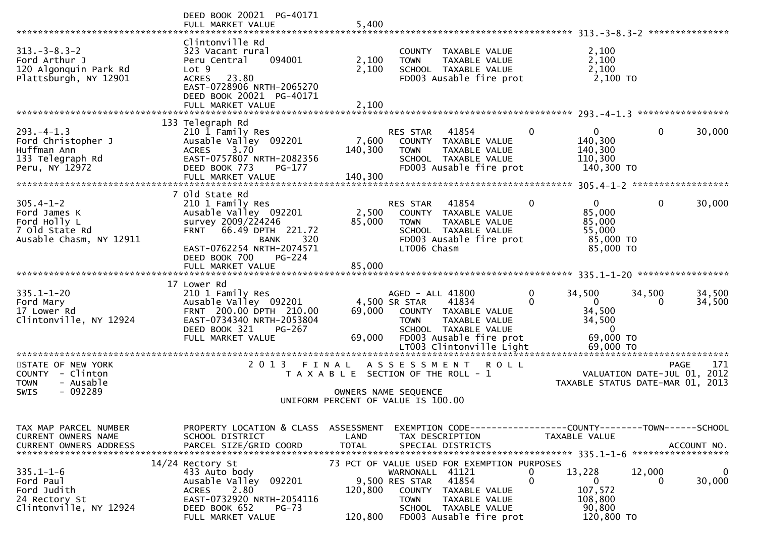|                                                                                              | DEED BOOK 20021 PG-40171<br>FULL MARKET VALUE                                                                                                                                 | 5,400                                                                  |                                                  |                                                                                                                                                  |                   |                                                                                        |                                            |                    |
|----------------------------------------------------------------------------------------------|-------------------------------------------------------------------------------------------------------------------------------------------------------------------------------|------------------------------------------------------------------------|--------------------------------------------------|--------------------------------------------------------------------------------------------------------------------------------------------------|-------------------|----------------------------------------------------------------------------------------|--------------------------------------------|--------------------|
| $313 - 3 - 8.3 - 2$<br>Ford Arthur J<br>120 Algonquin Park Rd<br>Plattsburgh, NY 12901       | Clintonville Rd<br>323 Vacant rural<br>Peru Central<br>094001<br>Lot 9<br>23.80<br><b>ACRES</b><br>EAST-0728906 NRTH-2065270<br>DEED BOOK 20021 PG-40171<br>FULL MARKET VALUE | 2,100<br>2,100<br>2,100                                                | <b>TOWN</b>                                      | COUNTY TAXABLE VALUE<br>TAXABLE VALUE<br>SCHOOL TAXABLE VALUE<br>FD003 Ausable fire prot                                                         |                   | 2,100<br>2,100<br>2,100<br>2,100 TO                                                    |                                            |                    |
|                                                                                              |                                                                                                                                                                               |                                                                        |                                                  |                                                                                                                                                  |                   |                                                                                        |                                            |                    |
| $293. -4 - 1.3$<br>Ford Christopher J<br>Huffman Ann<br>133 Telegraph Rd<br>Peru, NY 12972   | 133 Telegraph Rd<br>210 1 Family Res<br>Ausable Valley 092201<br>3.70<br><b>ACRES</b><br>EAST-0757807 NRTH-2082356<br>DEED BOOK 773<br>PG-177                                 | 7,600<br>140,300                                                       | RES STAR<br><b>TOWN</b>                          | 41854<br>COUNTY TAXABLE VALUE<br>TAXABLE VALUE<br>SCHOOL TAXABLE VALUE<br>FD003 Ausable fire prot                                                | 0                 | $\overline{0}$<br>140,300<br>140,300<br>110,300<br>140,300 TO                          | 0                                          | 30,000             |
|                                                                                              |                                                                                                                                                                               |                                                                        |                                                  |                                                                                                                                                  |                   |                                                                                        |                                            |                    |
| $305.4 - 1 - 2$<br>Ford James K<br>Ford Holly L<br>7 Old State Rd<br>Ausable Chasm, NY 12911 | 7 Old State Rd<br>210 1 Family Res<br>Ausable Valley 092201<br>survey 2009/224246<br>66.49 DPTH 221.72<br><b>FRNT</b><br>320<br><b>BANK</b><br>EAST-0762254 NRTH-2074571      | 2,500<br>85,000                                                        | <b>RES STAR</b><br><b>TOWN</b><br>LT006 Chasm    | 41854<br>COUNTY TAXABLE VALUE<br>TAXABLE VALUE<br>SCHOOL TAXABLE VALUE<br>FD003 Ausable fire prot                                                | $\Omega$          | $\mathbf{0}$<br>85,000<br>85,000<br>55,000<br>85,000 TO<br>85,000 TO                   | 0                                          | 30,000             |
|                                                                                              | DEED BOOK 700<br>$PG-224$<br>FULL MARKET VALUE                                                                                                                                | 85,000                                                                 |                                                  |                                                                                                                                                  |                   |                                                                                        |                                            |                    |
|                                                                                              |                                                                                                                                                                               |                                                                        |                                                  |                                                                                                                                                  |                   |                                                                                        |                                            |                    |
| $335.1 - 1 - 20$<br>Ford Mary<br>17 Lower Rd<br>Clintonville, NY 12924                       | 17 Lower Rd<br>210 1 Family Res<br>Ausable Valley 092201<br>FRNT 200.00 DPTH 210.00<br>EAST-0734340 NRTH-2053804<br>DEED BOOK 321<br><b>PG-267</b><br>FULL MARKET VALUE       | 69,000<br>69,000                                                       | AGED - ALL 41800<br>4,500 SR STAR<br><b>TOWN</b> | 41834<br>COUNTY TAXABLE VALUE<br><b>TAXABLE VALUE</b><br>SCHOOL TAXABLE VALUE<br>FD003 Ausable fire prot<br>LT003 Clintonville Light             | 0<br>0            | 34,500<br>$\mathbf{0}$<br>34,500<br>34,500<br>$\overline{0}$<br>69,000 TO<br>69,000 TO | 34,500<br>0                                | 34,500<br>34,500   |
|                                                                                              |                                                                                                                                                                               |                                                                        |                                                  |                                                                                                                                                  |                   | *******************************                                                        |                                            |                    |
| STATE OF NEW YORK<br>COUNTY - Clinton<br><b>TOWN</b><br>- Ausable<br>$-092289$<br>SWIS       | 2 0 1 3                                                                                                                                                                       | FINAL<br>T A X A B L E SECTION OF THE ROLL - 1<br>OWNERS NAME SEQUENCE | ASSESSMENT                                       | <b>ROLL</b>                                                                                                                                      |                   | TAXABLE STATUS DATE-MAR 01, 2013                                                       | <b>PAGE</b><br>VALUATION DATE-JUL 01, 2012 | 171                |
|                                                                                              |                                                                                                                                                                               | UNIFORM PERCENT OF VALUE IS 100.00                                     |                                                  |                                                                                                                                                  |                   |                                                                                        |                                            |                    |
| TAX MAP PARCEL NUMBER<br>CURRENT OWNERS NAME<br><b>CURRENT OWNERS ADDRESS</b>                | PROPERTY LOCATION & CLASS<br>SCHOOL DISTRICT<br>PARCEL SIZE/GRID COORD                                                                                                        | ASSESSMENT<br>LAND<br><b>TOTAL</b>                                     |                                                  | EXEMPTION        CODE-----------------COUNTY-------TOWN------SCHOOL<br>TAX DESCRIPTION<br>SPECIAL DISTRICTS                                      |                   | TAXABLE VALUE                                                                          |                                            | ACCOUNT NO.        |
| $335.1 - 1 - 6$<br>Ford Paul<br>Ford Judith<br>24 Rectory St<br>Clintonville, NY 12924       | 14/24 Rectory St<br>433 Auto body<br>092201<br>Ausable Valley<br>2.80<br><b>ACRES</b><br>EAST-0732920 NRTH-2054116<br>DEED BOOK 652<br>$PG-73$<br>FULL MARKET VALUE           | 120,800<br>120,800                                                     | WARNONALL 41121<br>9,500 RES STAR<br><b>TOWN</b> | 73 PCT OF VALUE USED FOR EXEMPTION PURPOSES<br>41854<br>COUNTY TAXABLE VALUE<br>TAXABLE VALUE<br>SCHOOL TAXABLE VALUE<br>FD003 Ausable fire prot | 0<br>$\mathbf{0}$ | 13,228<br>$\mathbf{0}$<br>107,572<br>108,800<br>90,800<br>120,800 TO                   | 12,000<br>0                                | $\Omega$<br>30,000 |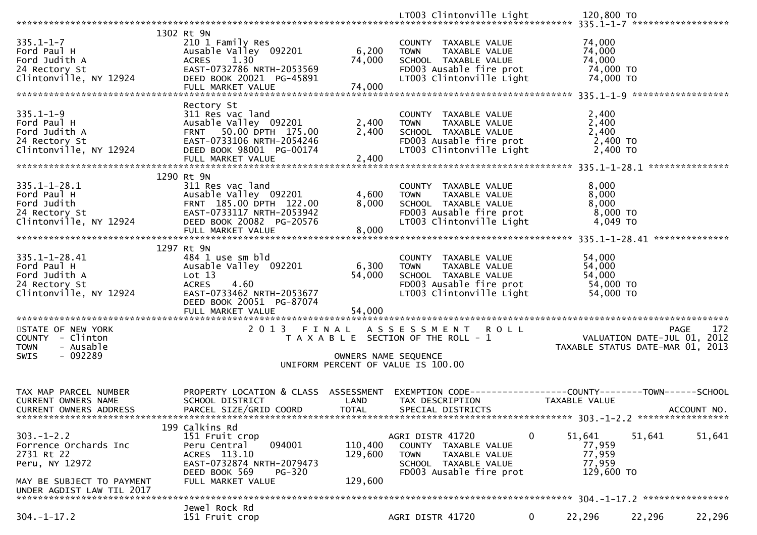|                                                                                                                                                                                                                          | 1302 Rt 9N                                                                                       |                      |                                                                             |              |                                     |                                  |
|--------------------------------------------------------------------------------------------------------------------------------------------------------------------------------------------------------------------------|--------------------------------------------------------------------------------------------------|----------------------|-----------------------------------------------------------------------------|--------------|-------------------------------------|----------------------------------|
| $335.1 - 1 - 7$                                                                                                                                                                                                          | 210 1 Family Res                                                                                 |                      | COUNTY TAXABLE VALUE                                                        |              | 74,000                              |                                  |
| ssp.1-1-7<br>Ford Paul H<br>Ford Judith A<br>24 Rectory St<br>Clintonville, NY 12924                                                                                                                                     | Ausable Valley 092201                                                                            | 6,200                | <b>TOWN</b><br>TAXABLE VALUE                                                |              | 74,000                              |                                  |
|                                                                                                                                                                                                                          | ACRES<br>1.30                                                                                    | 74,000               | SCHOOL TAXABLE VALUE                                                        |              | 74,000                              |                                  |
|                                                                                                                                                                                                                          | EAST-0732786 NRTH-2053569                                                                        |                      | FD003 Ausable fire prot                                                     |              | 74,000 TO                           |                                  |
|                                                                                                                                                                                                                          | DEED BOOK 20021 PG-45891                                                                         |                      | LT003 Clintonville Light                                                    |              | 74,000 TO                           |                                  |
|                                                                                                                                                                                                                          | FULL MARKET VALUE                                                                                | 74,000               |                                                                             |              |                                     |                                  |
|                                                                                                                                                                                                                          |                                                                                                  |                      |                                                                             |              |                                     |                                  |
|                                                                                                                                                                                                                          | Rectory St                                                                                       |                      |                                                                             |              |                                     |                                  |
| $335.1 - 1 - 9$                                                                                                                                                                                                          | 311 Res vac land                                                                                 |                      | COUNTY TAXABLE VALUE                                                        |              | 2,400                               |                                  |
| Ford Paul H                                                                                                                                                                                                              | Ausable Valley 092201                                                                            | 2,400                | TAXABLE VALUE<br>TOWN                                                       |              | 2,400                               |                                  |
| Ford Judith A                                                                                                                                                                                                            | FRNT 50.00 DPTH 175.00                                                                           | 2,400                | SCHOOL TAXABLE VALUE                                                        |              | 2,400                               |                                  |
|                                                                                                                                                                                                                          | EAST-0733106 NRTH-2054246                                                                        |                      |                                                                             |              |                                     |                                  |
| 24 Rectory St                                                                                                                                                                                                            |                                                                                                  |                      | FD003 Ausable fire prot                                                     |              | 2,400 TO                            |                                  |
| $NY$ 12924 $\frac{1}{D}$<br>Clintonville, NY 12924                                                                                                                                                                       | DEED BOOK 98001 PG-00174                                                                         |                      | LT003 Clintonville Light                                                    |              | 2,400 TO                            |                                  |
|                                                                                                                                                                                                                          | FULL MARKET VALUE                                                                                | 2,400                |                                                                             |              |                                     |                                  |
|                                                                                                                                                                                                                          |                                                                                                  |                      |                                                                             |              |                                     |                                  |
|                                                                                                                                                                                                                          | 1290 Rt 9N                                                                                       |                      |                                                                             |              |                                     |                                  |
|                                                                                                                                                                                                                          |                                                                                                  |                      | COUNTY TAXABLE VALUE                                                        |              | 8,000                               |                                  |
|                                                                                                                                                                                                                          |                                                                                                  | 4,600                | TAXABLE VALUE<br><b>TOWN</b>                                                |              | 8,000                               |                                  |
|                                                                                                                                                                                                                          |                                                                                                  | 8,000                |                                                                             |              | 8,000                               |                                  |
| 335.1-1-28.1<br>Ford Paul H<br>Ford Judith<br>Ford Judith<br>24 Rectory St<br>Clintonville, NY 12924<br>FOR DEED BOOK 20082 PG-20576<br>FRNT 185.00 DPTH 122.00<br>EAST-0733117 NRTH-2053942<br>DEED BOOK 20082 PG-20576 |                                                                                                  |                      | SCHOOL TAXABLE VALUE<br>FDOO3 Ausable fire prot<br>LTOO3 Clintonville Light |              | $8,000$ TO                          |                                  |
|                                                                                                                                                                                                                          |                                                                                                  |                      |                                                                             |              | 4,049 TO                            |                                  |
|                                                                                                                                                                                                                          |                                                                                                  |                      |                                                                             |              |                                     |                                  |
|                                                                                                                                                                                                                          |                                                                                                  |                      |                                                                             |              |                                     |                                  |
|                                                                                                                                                                                                                          | 1297 Rt 9N                                                                                       |                      |                                                                             |              |                                     |                                  |
| $335.1 - 1 - 28.41$<br>Ausable<br>Lot 13<br>ACRES<br>FAST-0                                                                                                                                                              | 484 1 use sm bld                                                                                 |                      | COUNTY TAXABLE VALUE                                                        |              | 54,000                              |                                  |
| Ford Paul H                                                                                                                                                                                                              | Ausable Valley 092201 6,300                                                                      |                      | TAXABLE VALUE<br><b>TOWN</b>                                                |              | 54,000                              |                                  |
| Ford Judith A                                                                                                                                                                                                            |                                                                                                  | 54,000               | SCHOOL TAXABLE VALUE                                                        |              | 54,000 TO<br>54,000 TO<br>51,000 TO |                                  |
| ∠→ nectory St<br>Clintonville, NY 12924                                                                                                                                                                                  | 4.60                                                                                             |                      | FD003 Ausable fire prot                                                     |              |                                     |                                  |
|                                                                                                                                                                                                                          | EAST-0733462 NRTH-2053677                                                                        |                      | LT003 Clintonville Light                                                    |              | 54,000 TO                           |                                  |
|                                                                                                                                                                                                                          | DEED BOOK 20051 PG-87074                                                                         |                      |                                                                             |              |                                     |                                  |
|                                                                                                                                                                                                                          | FULL MARKET VALUE                                                                                | 54,000               |                                                                             |              |                                     |                                  |
|                                                                                                                                                                                                                          |                                                                                                  |                      |                                                                             |              |                                     |                                  |
| STATE OF NEW YORK                                                                                                                                                                                                        | 2 0 1 3<br>FINAL                                                                                 |                      | ASSESSMENT ROLL                                                             |              |                                     | <b>PAGE</b><br>172               |
| COUNTY - Clinton                                                                                                                                                                                                         |                                                                                                  |                      | T A X A B L E SECTION OF THE ROLL - 1                                       |              |                                     | VALUATION DATE-JUL 01, 2012      |
| - Ausable<br><b>TOWN</b>                                                                                                                                                                                                 |                                                                                                  |                      |                                                                             |              |                                     | TAXABLE STATUS DATE-MAR 01, 2013 |
| $-092289$<br>SWIS                                                                                                                                                                                                        |                                                                                                  | OWNERS NAME SEQUENCE |                                                                             |              |                                     |                                  |
|                                                                                                                                                                                                                          |                                                                                                  |                      | UNIFORM PERCENT OF VALUE IS 100.00                                          |              |                                     |                                  |
|                                                                                                                                                                                                                          |                                                                                                  |                      |                                                                             |              |                                     |                                  |
|                                                                                                                                                                                                                          |                                                                                                  |                      |                                                                             |              |                                     |                                  |
| TAX MAP PARCEL NUMBER                                                                                                                                                                                                    | PROPERTY LOCATION & CLASS ASSESSMENT EXEMPTION CODE----------------COUNTY-------TOWN------SCHOOL |                      |                                                                             |              |                                     |                                  |
| CURRENT OWNERS NAME                                                                                                                                                                                                      | SCHOOL DISTRICT                                                                                  | LAND                 | TAX DESCRIPTION                                                             |              | TAXABLE VALUE                       |                                  |
| CURRENT OWNERS ADDRESS                                                                                                                                                                                                   | PARCEL SIZE/GRID COORD                                                                           | <b>TOTAL</b>         | SPECIAL DISTRICTS                                                           |              |                                     | ACCOUNT NO.                      |
|                                                                                                                                                                                                                          |                                                                                                  |                      |                                                                             |              |                                     |                                  |
|                                                                                                                                                                                                                          | 199 Calkins Rd                                                                                   |                      |                                                                             |              |                                     |                                  |
| $303 - 1 - 2.2$                                                                                                                                                                                                          |                                                                                                  |                      |                                                                             | $\mathbf 0$  |                                     | 51,641                           |
|                                                                                                                                                                                                                          | 151 Fruit crop                                                                                   |                      | AGRI DISTR 41720                                                            |              | 51,641                              | 51,641                           |
| Forrence Orchards Inc<br>2731 Rt 22                                                                                                                                                                                      | 094001<br>Peru Central                                                                           | 110,400              | COUNTY TAXABLE VALUE                                                        |              | 77,959                              |                                  |
|                                                                                                                                                                                                                          | ACRES 113.10                                                                                     | 129,600              | TAXABLE VALUE<br><b>TOWN</b>                                                |              | 77,959                              |                                  |
| Peru, NY 12972                                                                                                                                                                                                           | EAST-0732874 NRTH-2079473                                                                        |                      | SCHOOL TAXABLE VALUE                                                        |              | 77,959                              |                                  |
|                                                                                                                                                                                                                          | DEED BOOK 569<br><b>PG-320</b>                                                                   |                      | FD003 Ausable fire prot                                                     |              | 129,600 TO                          |                                  |
| MAY BE SUBJECT TO PAYMENT                                                                                                                                                                                                | FULL MARKET VALUE                                                                                | 129,600              |                                                                             |              |                                     |                                  |
| UNDER AGDIST LAW TIL 2017                                                                                                                                                                                                |                                                                                                  |                      |                                                                             |              |                                     |                                  |
|                                                                                                                                                                                                                          |                                                                                                  |                      |                                                                             |              |                                     |                                  |
|                                                                                                                                                                                                                          | Jewel Rock Rd                                                                                    |                      |                                                                             |              |                                     |                                  |
| $304. - 1 - 17.2$                                                                                                                                                                                                        | 151 Fruit crop                                                                                   |                      | AGRI DISTR 41720                                                            | $\mathbf{0}$ | 22,296                              | 22,296<br>22,296                 |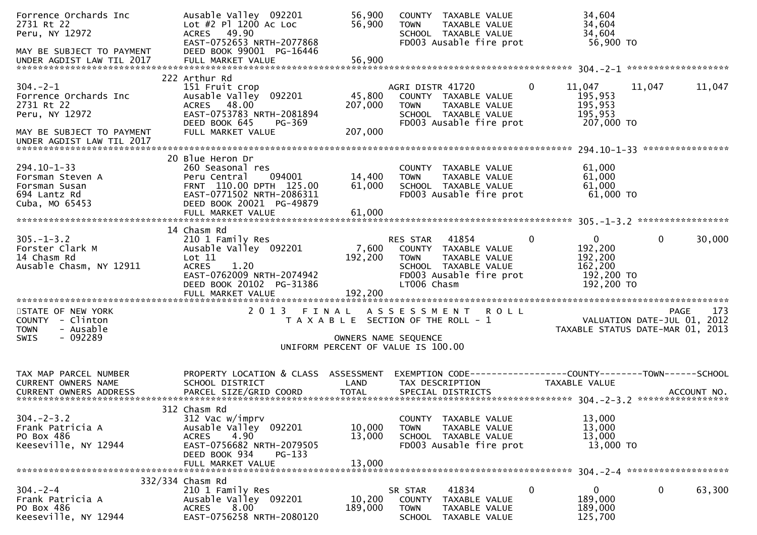| Forrence Orchards Inc<br>2731 Rt 22<br>Peru, NY 12972<br>MAY BE SUBJECT TO PAYMENT<br>UNDER AGDIST LAW TIL 2017                  | Ausable Valley 092201<br>Lot #2 Pl 1200 Ac Loc<br>ACRES 49.90<br>EAST-0752653 NRTH-2077868<br>DEED BOOK 99001 PG-16446                                                   | 56,900<br>56,900                                                                                    | <b>TOWN</b>                            | COUNTY TAXABLE VALUE<br>TAXABLE VALUE<br>SCHOOL TAXABLE VALUE<br>FD003 Ausable fire prot          |              | 34,604<br>34,604<br>34,604<br>56,900 TO                                   |                                     |        |
|----------------------------------------------------------------------------------------------------------------------------------|--------------------------------------------------------------------------------------------------------------------------------------------------------------------------|-----------------------------------------------------------------------------------------------------|----------------------------------------|---------------------------------------------------------------------------------------------------|--------------|---------------------------------------------------------------------------|-------------------------------------|--------|
|                                                                                                                                  |                                                                                                                                                                          |                                                                                                     |                                        |                                                                                                   |              |                                                                           |                                     |        |
| $304. -2 - 1$<br>Forrence Orchards Inc<br>2731 Rt 22<br>Peru, NY 12972<br>MAY BE SUBJECT TO PAYMENT<br>UNDER AGDIST LAW TIL 2017 | 222 Arthur Rd<br>151 Fruit crop<br>Ausable Valley 092201<br>ACRES 48.00<br>EAST-0753783 NRTH-2081894<br>DEED BOOK 645<br>PG-369<br>FULL MARKET VALUE                     | 45,800<br>207,000<br>207,000                                                                        | AGRI DISTR 41720<br><b>TOWN</b>        | COUNTY TAXABLE VALUE<br>TAXABLE VALUE<br>SCHOOL TAXABLE VALUE<br>FD003 Ausable fire prot          | $\mathbf{0}$ | 11,047<br>195,953<br>195,953<br>195,953<br>207,000 TO                     | 11,047                              | 11,047 |
|                                                                                                                                  |                                                                                                                                                                          |                                                                                                     |                                        |                                                                                                   |              |                                                                           |                                     |        |
| 294.10-1-33<br>Forsman Steven A<br>Forsman Susan<br>694 Lantz Rd<br>Cuba, MO 65453                                               | 20 Blue Heron Dr<br>260 Seasonal res<br>094001<br>Peru Central<br>FRNT 110.00 DPTH 125.00<br>EAST-0771502 NRTH-2086311<br>DEED BOOK 20021 PG-49879                       | 14,400<br>61,000                                                                                    | <b>TOWN</b>                            | COUNTY TAXABLE VALUE<br>TAXABLE VALUE<br>SCHOOL TAXABLE VALUE<br>FD003 Ausable fire prot          |              | 61,000<br>61,000<br>61,000<br>61,000 TO                                   |                                     |        |
|                                                                                                                                  |                                                                                                                                                                          |                                                                                                     |                                        |                                                                                                   |              |                                                                           |                                     |        |
| $305. - 1 - 3.2$<br>Forster Clark M<br>14 Chasm Rd<br>Ausable Chasm, NY 12911                                                    | 14 Chasm Rd<br>210 1 Family Res<br>Ausable Valley 092201<br>Lot 11<br><b>ACRES</b><br>1.20<br>EAST-0762009 NRTH-2074942<br>DEED BOOK 20102 PG-31386<br>FULL MARKET VALUE | 7,600<br>192,200<br>192,200                                                                         | RES STAR<br><b>TOWN</b><br>LT006 Chasm | 41854<br>COUNTY TAXABLE VALUE<br>TAXABLE VALUE<br>SCHOOL TAXABLE VALUE<br>FD003 Ausable fire prot | $\Omega$     | $\mathbf{0}$<br>192,200<br>192,200<br>162,200<br>192,200 TO<br>192,200 TO | 0                                   | 30,000 |
| STATE OF NEW YORK<br>COUNTY - Clinton<br>- Ausable<br><b>TOWN</b><br>$-092289$<br><b>SWIS</b>                                    | 2013 FINAL                                                                                                                                                               | T A X A B L E SECTION OF THE ROLL - 1<br>OWNERS NAME SEQUENCE<br>UNIFORM PERCENT OF VALUE IS 100.00 |                                        | ASSESSMENT ROLL                                                                                   |              | TAXABLE STATUS DATE-MAR 01, 2013                                          | PAGE<br>VALUATION DATE-JUL 01, 2012 | 173    |
| TAX MAP PARCEL NUMBER<br>CURRENT OWNERS NAME                                                                                     | PROPERTY LOCATION & CLASS ASSESSMENT<br>SCHOOL DISTRICT                                                                                                                  | LAND                                                                                                |                                        | EXEMPTION CODE-----------------COUNTY--------TOWN------SCHOOL<br>TAX DESCRIPTION                  |              | TAXABLE VALUE                                                             |                                     |        |
| $304. -2 - 3.2$<br>Frank Patricia A<br>PO Box 486<br>Keeseville, NY 12944                                                        | 312 Chasm Rd<br>312 Vac w/imprv<br>Ausable Valley 092201<br>4.90<br><b>ACRES</b><br>EAST-0756682 NRTH-2079505<br>DEED BOOK 934<br>$PG-133$<br>FULL MARKET VALUE          | 10,000<br>13,000<br>13,000                                                                          | <b>TOWN</b>                            | COUNTY TAXABLE VALUE<br>TAXABLE VALUE<br>SCHOOL TAXABLE VALUE<br>FD003 Ausable fire prot          |              | 13,000<br>13,000<br>13,000<br>13,000 TO                                   |                                     |        |
|                                                                                                                                  |                                                                                                                                                                          |                                                                                                     |                                        |                                                                                                   |              |                                                                           |                                     |        |
| $304. - 2 - 4$<br>Frank Patricia A<br>PO Box 486<br>Keeseville, NY 12944                                                         | 332/334 Chasm Rd<br>210 1 Family Res<br>Ausable Valley 092201<br><b>ACRES</b><br>8.00<br>EAST-0756258 NRTH-2080120                                                       | 10,200<br>189,000                                                                                   | SR STAR<br><b>TOWN</b>                 | 41834<br>COUNTY TAXABLE VALUE<br>TAXABLE VALUE<br>SCHOOL TAXABLE VALUE                            | 0            | 0<br>189,000<br>189,000<br>125,700                                        | 0                                   | 63,300 |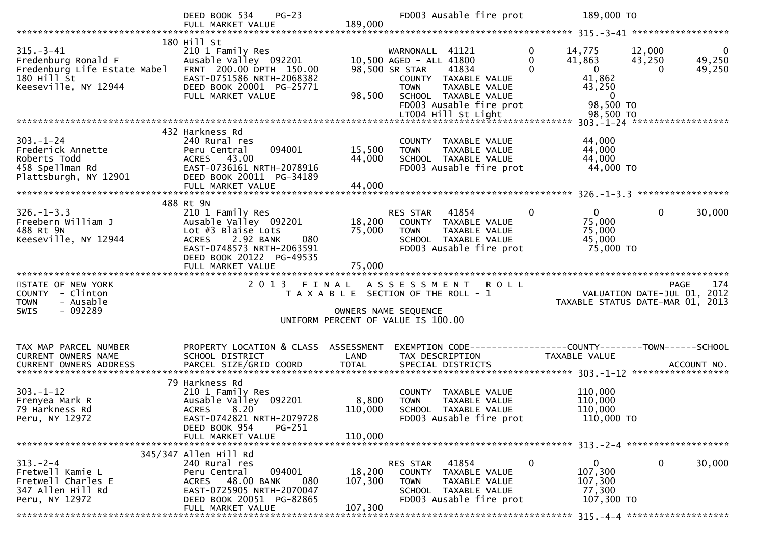| 180 Hill St<br>$315. - 3 - 41$<br>$\mathbf{0}$<br>12,000<br>210 1 Family Res<br>WARNONALL 41121<br>14,775<br>Fredenburg Ronald F<br>Ausable Valley 092201<br>10,500 AGED - ALL 41800<br>$\mathbf{0}$<br>41,863<br>43,250<br>FRNT 200.00 DPTH 150.00<br>$\overline{\mathbf{0}}$<br>Fredenburg Life Estate Mabel<br>98,500 SR STAR<br>41834<br>$\Omega$<br>180 Hill St<br>41,862<br>EAST-0751586 NRTH-2068382<br>COUNTY TAXABLE VALUE<br>Keeseville, NY 12944<br>DEED BOOK 20001 PG-25771<br>TAXABLE VALUE<br>43,250<br><b>TOWN</b><br>98,500<br>FULL MARKET VALUE<br>SCHOOL TAXABLE VALUE<br>$\overline{0}$<br>98,500 TO<br>FD003 Ausable fire prot<br>432 Harkness Rd<br>$303. - 1 - 24$<br>240 Rural res<br>44,000<br>COUNTY TAXABLE VALUE<br>44,000<br>094001<br>15,500<br>Frederick Annette<br>Peru Central<br>TAXABLE VALUE<br><b>TOWN</b><br>44,000<br>Roberts Todd<br>44,000<br>ACRES 43.00<br>SCHOOL TAXABLE VALUE<br>44,000 TO<br>458 Spellman Rd<br>EAST-0736161 NRTH-2078916<br>FD003 Ausable fire prot<br>DEED BOOK 20011 PG-34189<br>Plattsburgh, NY 12901<br>44,000<br>FULL MARKET VALUE<br>488 Rt 9N<br>$326. - 1 - 3.3$<br>210 1 Family Res<br>41854<br>$\Omega$<br>$\mathbf{0}$<br>$\mathbf{0}$<br>RES STAR<br>18,200<br>75,000<br>Freebern William J<br>Ausable Valley 092201<br>COUNTY TAXABLE VALUE<br>Lot #3 Blaise Lots<br>75,000<br>488 Rt 9N<br>75,000<br>TAXABLE VALUE<br><b>TOWN</b><br>45,000<br>Keeseville, NY 12944<br>2.92 BANK<br>080<br>SCHOOL TAXABLE VALUE<br><b>ACRES</b> |                                    |
|-------------------------------------------------------------------------------------------------------------------------------------------------------------------------------------------------------------------------------------------------------------------------------------------------------------------------------------------------------------------------------------------------------------------------------------------------------------------------------------------------------------------------------------------------------------------------------------------------------------------------------------------------------------------------------------------------------------------------------------------------------------------------------------------------------------------------------------------------------------------------------------------------------------------------------------------------------------------------------------------------------------------------------------------------------------------------------------------------------------------------------------------------------------------------------------------------------------------------------------------------------------------------------------------------------------------------------------------------------------------------------------------------------------------------------------------------------------------------------------------------------------|------------------------------------|
|                                                                                                                                                                                                                                                                                                                                                                                                                                                                                                                                                                                                                                                                                                                                                                                                                                                                                                                                                                                                                                                                                                                                                                                                                                                                                                                                                                                                                                                                                                             | $\overline{0}$<br>49,250<br>49,250 |
|                                                                                                                                                                                                                                                                                                                                                                                                                                                                                                                                                                                                                                                                                                                                                                                                                                                                                                                                                                                                                                                                                                                                                                                                                                                                                                                                                                                                                                                                                                             |                                    |
|                                                                                                                                                                                                                                                                                                                                                                                                                                                                                                                                                                                                                                                                                                                                                                                                                                                                                                                                                                                                                                                                                                                                                                                                                                                                                                                                                                                                                                                                                                             |                                    |
|                                                                                                                                                                                                                                                                                                                                                                                                                                                                                                                                                                                                                                                                                                                                                                                                                                                                                                                                                                                                                                                                                                                                                                                                                                                                                                                                                                                                                                                                                                             |                                    |
| EAST-0748573 NRTH-2063591<br>FD003 Ausable fire prot<br>75,000 TO<br>DEED BOOK 20122 PG-49535                                                                                                                                                                                                                                                                                                                                                                                                                                                                                                                                                                                                                                                                                                                                                                                                                                                                                                                                                                                                                                                                                                                                                                                                                                                                                                                                                                                                               | 30,000                             |
| 75,000<br>FULL MARKET VALUE                                                                                                                                                                                                                                                                                                                                                                                                                                                                                                                                                                                                                                                                                                                                                                                                                                                                                                                                                                                                                                                                                                                                                                                                                                                                                                                                                                                                                                                                                 |                                    |
| 2 0 1 3<br>STATE OF NEW YORK<br>FINAL<br>ASSESSMENT ROLL<br>PAGE<br>VALUATION DATE-JUL 01, 2012<br>COUNTY - Clinton<br>T A X A B L E SECTION OF THE ROLL - 1<br>- Ausable<br><b>TOWN</b><br>TAXABLE STATUS DATE-MAR 01, 2013<br>$-092289$<br><b>SWIS</b><br>OWNERS NAME SEQUENCE<br>UNIFORM PERCENT OF VALUE IS 100.00                                                                                                                                                                                                                                                                                                                                                                                                                                                                                                                                                                                                                                                                                                                                                                                                                                                                                                                                                                                                                                                                                                                                                                                      | 174                                |
|                                                                                                                                                                                                                                                                                                                                                                                                                                                                                                                                                                                                                                                                                                                                                                                                                                                                                                                                                                                                                                                                                                                                                                                                                                                                                                                                                                                                                                                                                                             |                                    |
| PROPERTY LOCATION & CLASS ASSESSMENT<br>TAX MAP PARCEL NUMBER<br><b>CURRENT OWNERS NAME</b><br>SCHOOL DISTRICT<br>LAND<br>TAX DESCRIPTION<br>TAXABLE VALUE                                                                                                                                                                                                                                                                                                                                                                                                                                                                                                                                                                                                                                                                                                                                                                                                                                                                                                                                                                                                                                                                                                                                                                                                                                                                                                                                                  |                                    |
| 79 Harkness Rd<br>$303. -1 - 12$<br>110,000<br>210 1 Family Res<br>COUNTY TAXABLE VALUE<br>Ausable Valley 092201<br>8,800<br>Frenyea Mark R<br><b>TOWN</b><br>TAXABLE VALUE<br>110,000<br>79 Harkness Rd<br>ACRES 8.20<br>110,000 SCHOOL TAXABLE VALUE<br>110,000<br>FD003 Ausable fire prot<br>110,000 TO<br>Peru, NY 12972<br>EAST-0742821 NRTH-2079728<br>DEED BOOK 954<br>PG-251<br>110,000<br>FULL MARKET VALUE                                                                                                                                                                                                                                                                                                                                                                                                                                                                                                                                                                                                                                                                                                                                                                                                                                                                                                                                                                                                                                                                                        |                                    |
| 345/347 Allen Hill Rd                                                                                                                                                                                                                                                                                                                                                                                                                                                                                                                                                                                                                                                                                                                                                                                                                                                                                                                                                                                                                                                                                                                                                                                                                                                                                                                                                                                                                                                                                       |                                    |
| $\mathbf{0}$<br>$313 - 2 - 4$<br>41854<br>$\mathbf{0}$<br>0<br>240 Rural res<br><b>RES STAR</b><br>Fretwell Kamie L<br>094001<br>18,200<br>107,300<br>Peru Central<br>COUNTY<br>TAXABLE VALUE<br>Fretwell Charles E<br>ACRES 48.00 BANK<br>107,300<br>080<br>107,300<br><b>TOWN</b><br><b>TAXABLE VALUE</b><br>347 Allen Hill Rd<br>EAST-0725905 NRTH-2070047<br>77,300<br>SCHOOL TAXABLE VALUE<br>FD003 Ausable fire prot<br>DEED BOOK 20051 PG-82865<br>107,300 TO<br>Peru, NY 12972<br>107,300<br>FULL MARKET VALUE                                                                                                                                                                                                                                                                                                                                                                                                                                                                                                                                                                                                                                                                                                                                                                                                                                                                                                                                                                                      | 30,000                             |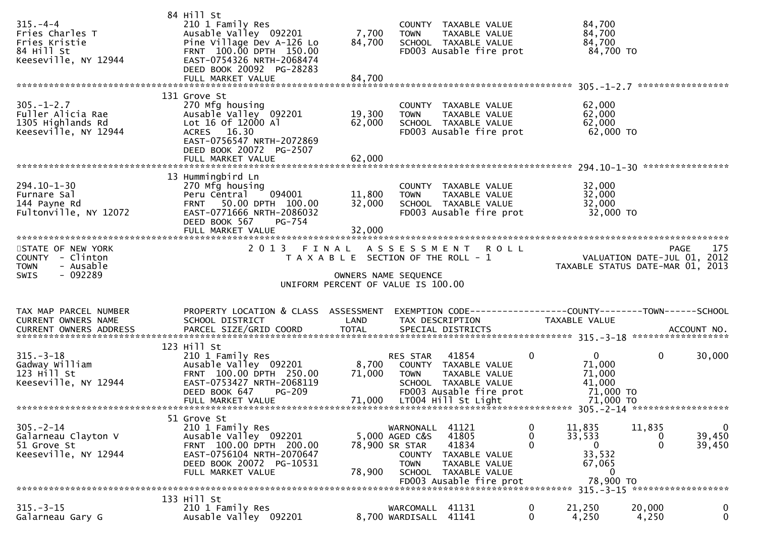| $315. - 4 - 4$<br>Fries Charles T<br>Fries Kristie<br>84 Hill St<br>Keeseville, NY 12944 | 84 Hill St<br>210 1 Family Res<br>Ausable Valley 092201<br>Pine Village Dev A-126 Lo<br>FRNT 100.00 DPTH 150.00<br>EAST-0754326 NRTH-2068474<br>DEED BOOK 20092 PG-28283<br>FULL MARKET VALUE                       | 7,700<br>84,700<br>84,700     | COUNTY TAXABLE VALUE<br><b>TOWN</b><br>TAXABLE VALUE<br>SCHOOL TAXABLE VALUE<br>FD003 Ausable fire prot                                                              | 84,700<br>84,700<br>84,700<br>84,700 TO                                                      |                                   |                                 |
|------------------------------------------------------------------------------------------|---------------------------------------------------------------------------------------------------------------------------------------------------------------------------------------------------------------------|-------------------------------|----------------------------------------------------------------------------------------------------------------------------------------------------------------------|----------------------------------------------------------------------------------------------|-----------------------------------|---------------------------------|
|                                                                                          | 131 Grove St                                                                                                                                                                                                        |                               |                                                                                                                                                                      |                                                                                              |                                   |                                 |
| $305. - 1 - 2.7$<br>Fuller Alicia Rae<br>1305 Highlands Rd<br>Keeseville, NY 12944       | 270 Mfg housing<br>Ausable Valley 092201<br>Lot 16 of 12000 Al<br>ACRES 16.30<br>EAST-0756547 NRTH-2072869<br>DEED BOOK 20072 PG-2507<br>FULL MARKET VALUE                                                          | 19,300<br>62,000<br>62,000    | COUNTY TAXABLE VALUE<br>TAXABLE VALUE<br><b>TOWN</b><br>SCHOOL TAXABLE VALUE<br>FD003 Ausable fire prot                                                              | 62,000<br>62,000<br>62,000<br>62,000 TO                                                      |                                   |                                 |
| $294.10 - 1 - 30$<br>Furnare Sal<br>144 Payne Rd<br>Fultonville, NY 12072                | 13 Hummingbird Ln<br>270 Mfg housing<br>094001<br>Peru Central<br><b>FRNT</b><br>50.00 DPTH 100.00<br>EAST-0771666 NRTH-2086032<br>DEED BOOK 567<br><b>PG-754</b><br>FULL MARKET VALUE<br>************************* | 11,800<br>32,000<br>32,000    | COUNTY TAXABLE VALUE<br><b>TOWN</b><br>TAXABLE VALUE<br>SCHOOL TAXABLE VALUE<br>FD003 Ausable fire prot                                                              | 32,000<br>32,000<br>32,000<br>32,000 TO                                                      |                                   |                                 |
| STATE OF NEW YORK<br>COUNTY - Clinton<br><b>TOWN</b><br>- Ausable<br>- 092289<br>SWIS    | 2013                                                                                                                                                                                                                | FINAL<br>OWNERS NAME SEQUENCE | A S S E S S M E N T<br><b>ROLL</b><br>T A X A B L E SECTION OF THE ROLL - 1                                                                                          | TAXABLE STATUS DATE-MAR 01, 2013                                                             | VALUATION DATE-JUL 01, 2012       | 175<br><b>PAGE</b>              |
|                                                                                          |                                                                                                                                                                                                                     |                               | UNIFORM PERCENT OF VALUE IS 100.00                                                                                                                                   |                                                                                              |                                   |                                 |
| TAX MAP PARCEL NUMBER<br>CURRENT OWNERS NAME                                             | PROPERTY LOCATION & CLASS ASSESSMENT<br>SCHOOL DISTRICT                                                                                                                                                             | LAND                          | EXEMPTION CODE-----------------COUNTY--------TOWN------SCHOOL<br>TAX DESCRIPTION                                                                                     | TAXABLE VALUE                                                                                |                                   |                                 |
| $315. - 3 - 18$<br>Gadway William<br>$123$ $H11$ St<br>Keeseville, NY 12944              | 123 Hill St<br>210 1 Family Res<br>Ausable Valley 092201<br>FRNT 100.00 DPTH 250.00<br>EAST-0753427 NRTH-2068119<br>DEED BOOK 647<br>PG-209<br>FULL MARKET VALUE                                                    | 8,700<br>71,000<br>71,000     | 41854<br>RES STAR<br>COUNTY TAXABLE VALUE<br><b>TOWN</b><br>TAXABLE VALUE<br>SCHOOL TAXABLE VALUE<br>FD003 Ausable fire prot<br>LT004 Hill St Light                  | 0<br>$\overline{0}$<br>71,000<br>71,000<br>41,000<br>71,000 TO<br>71,000 TO                  | $\mathbf 0$                       | 30,000                          |
|                                                                                          |                                                                                                                                                                                                                     |                               |                                                                                                                                                                      |                                                                                              | 305. - 2 - 14 ******************* |                                 |
| $305. - 2 - 14$<br>Galarneau Clayton V<br>51 Grove St<br>Keeseville, NY 12944            | 51 Grove St<br>210 1 Family Res<br>Ausable Valley 092201<br>FRNT 100.00 DPTH 200.00<br>EAST-0756104 NRTH-2070647<br>DEED BOOK 20072 PG-10531<br>FULL MARKET VALUE                                                   | 78,900 SR STAR<br>78,900      | 41121<br>WARNONALL<br>41805<br>5,000 AGED C&S<br>41834<br>COUNTY<br>TAXABLE VALUE<br>TAXABLE VALUE<br><b>TOWN</b><br>SCHOOL TAXABLE VALUE<br>FD003 Ausable fire prot | 0<br>11,835<br>0<br>33,533<br>$\Omega$<br>$\mathbf{0}$<br>33,532<br>67,065<br>0<br>78,900 TO | 11,835<br>0<br>$\mathbf{0}$       | $\mathbf 0$<br>39,450<br>39,450 |
|                                                                                          | 133 Hill St                                                                                                                                                                                                         |                               |                                                                                                                                                                      |                                                                                              |                                   |                                 |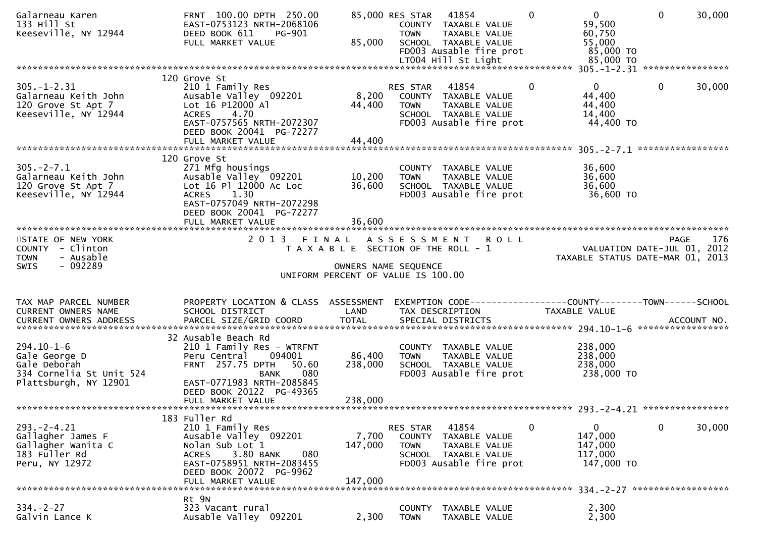| Galarneau Karen<br>133 Hill St<br>Keeseville, NY 12944                                                 | FRNT 100.00 DPTH 250.00<br>EAST-0753123 NRTH-2068106<br>DEED BOOK 611<br>PG-901<br>FULL MARKET VALUE                                                                      | 85,000                    | 85,000 RES STAR<br>COUNTY TAXABLE VALUE<br><b>TOWN</b><br>SCHOOL TAXABLE VALUE<br>LT004 Hill St Light                      | 41854<br>TAXABLE VALUE<br>FD003 Ausable fire prot                  | $\Omega$ | $\overline{0}$<br>59,500<br>60,750<br>55,000<br>85,000 TO<br>85,000 TO | $\mathbf{0}$ | 30,000 |
|--------------------------------------------------------------------------------------------------------|---------------------------------------------------------------------------------------------------------------------------------------------------------------------------|---------------------------|----------------------------------------------------------------------------------------------------------------------------|--------------------------------------------------------------------|----------|------------------------------------------------------------------------|--------------|--------|
|                                                                                                        | 120 Grove St                                                                                                                                                              |                           |                                                                                                                            |                                                                    |          |                                                                        |              |        |
| $305. - 1 - 2.31$<br>Galarneau Keith John<br>120 Grove St Apt 7<br>Keeseville, NY 12944                | 210 1 Family Res<br>Ausable Valley 092201<br>Lot 16 P12000 Al<br>4.70<br><b>ACRES</b><br>EAST-0757565 NRTH-2072307<br>DEED BOOK 20041 PG-72277<br>FULL MARKET VALUE       | 8,200<br>44,400<br>44,400 | <b>RES STAR</b><br>COUNTY TAXABLE VALUE<br><b>TOWN</b><br>SCHOOL TAXABLE VALUE                                             | 41854<br>TAXABLE VALUE<br>FD003 Ausable fire prot                  | 0        | $\mathbf{0}$<br>44,400<br>44,400<br>14,400<br>44,400 TO                | $\mathbf{0}$ | 30,000 |
|                                                                                                        |                                                                                                                                                                           |                           |                                                                                                                            |                                                                    |          |                                                                        |              |        |
| $305. -2 - 7.1$<br>Galarneau Keith John<br>120 Grove St Apt 7<br>Keeseville, NY 12944                  | 120 Grove St<br>271 Mfg housings<br>Ausable Valley 092201<br>Lot 16 Pl 12000 Ac Loc<br>1.30<br><b>ACRES</b><br>EAST-0757049 NRTH-2072298<br>DEED BOOK 20041 PG-72277      | 10,200<br>36,600          | COUNTY TAXABLE VALUE<br><b>TOWN</b><br>SCHOOL TAXABLE VALUE                                                                | TAXABLE VALUE<br>FD003 Ausable fire prot                           |          | 36,600<br>36,600<br>36,600<br>36,600 TO                                |              |        |
|                                                                                                        |                                                                                                                                                                           |                           |                                                                                                                            |                                                                    |          |                                                                        |              |        |
| STATE OF NEW YORK<br><b>COUNTY</b><br>- Clinton<br>- Ausable<br><b>TOWN</b><br>- 092289<br><b>SWIS</b> | 2 0 1 3                                                                                                                                                                   | FINAL                     | A S S E S S M E N T<br>T A X A B L E SECTION OF THE ROLL - 1<br>OWNERS NAME SEQUENCE<br>UNIFORM PERCENT OF VALUE IS 100.00 | <b>ROLL</b>                                                        |          | VALUATION DATE-JUL 01, 2012<br>TAXABLE STATUS DATE-MAR 01, 2013        | <b>PAGE</b>  | 176    |
| TAX MAP PARCEL NUMBER                                                                                  | PROPERTY LOCATION & CLASS ASSESSMENT                                                                                                                                      |                           | EXEMPTION CODE------------------COUNTY--------TOWN------SCHOOL                                                             |                                                                    |          |                                                                        |              |        |
| CURRENT OWNERS NAME                                                                                    | SCHOOL DISTRICT                                                                                                                                                           | LAND                      | TAX DESCRIPTION                                                                                                            |                                                                    |          | <b>TAXABLE VALUE</b>                                                   |              |        |
|                                                                                                        | 32 Ausable Beach Rd                                                                                                                                                       |                           |                                                                                                                            |                                                                    |          |                                                                        |              |        |
| $294.10 - 1 - 6$<br>Gale George D<br>Gale Deborah<br>334 Cornelia St Unit 524<br>Plattsburgh, NY 12901 | 210 1 Family Res - WTRFNT<br>094001<br>Peru Central<br>FRNT 257.75 DPTH<br>50.60<br>080<br>BANK<br>EAST-0771983 NRTH-2085845                                              | 86,400<br>238,000         | COUNTY TAXABLE VALUE<br><b>TOWN</b><br>SCHOOL TAXABLE VALUE                                                                | TAXABLE VALUE<br>FD003 Ausable fire prot                           |          | 238,000<br>238,000<br>238,000<br>238,000 TO                            |              |        |
|                                                                                                        | DEED BOOK 20122 PG-49365<br>FULL MARKET VALUE                                                                                                                             | 238,000                   |                                                                                                                            |                                                                    |          |                                                                        |              |        |
|                                                                                                        |                                                                                                                                                                           |                           |                                                                                                                            |                                                                    |          |                                                                        |              |        |
| $293. -2 - 4.21$<br>Gallagher James F<br>Gallagher Wanita C<br>183 Fuller Rd<br>Peru, NY 12972         | 183 Fuller Rd<br>210 1 Family Res<br>Ausable Valley 092201<br>Nolan Sub Lot 1<br>3.80 BANK<br>080<br><b>ACRES</b><br>EAST-0758951 NRTH-2083455<br>DEED BOOK 20072 PG-9962 | 7,700<br>147,000          | RES STAR<br>COUNTY<br><b>TOWN</b><br>SCHOOL TAXABLE VALUE                                                                  | 41854<br>TAXABLE VALUE<br>TAXABLE VALUE<br>FD003 Ausable fire prot | 0        | 0<br>147,000<br>147,000<br>117,000<br>147,000 TO                       | 0            | 30,000 |
|                                                                                                        |                                                                                                                                                                           |                           |                                                                                                                            |                                                                    |          |                                                                        |              |        |
|                                                                                                        | FULL MARKET VALUE                                                                                                                                                         | 147,000                   |                                                                                                                            |                                                                    |          |                                                                        |              |        |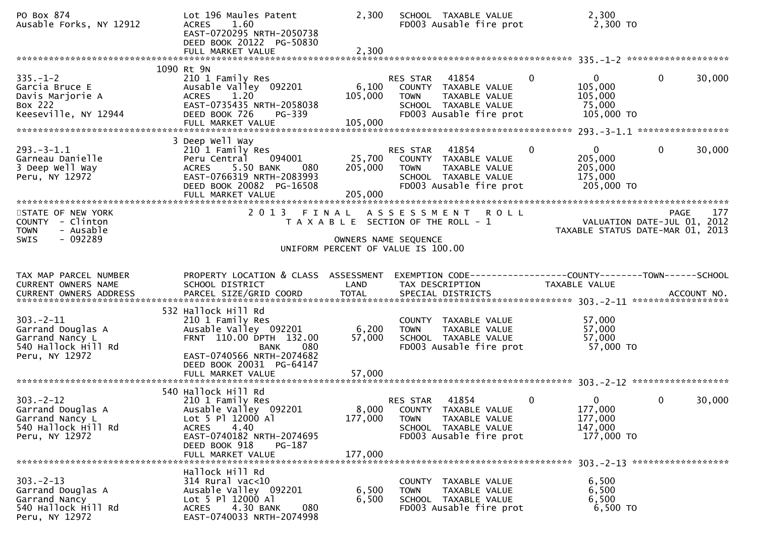| PO Box 874<br>Ausable Forks, NY 12912                                                           | Lot 196 Maules Patent<br>1.60<br><b>ACRES</b><br>EAST-0720295 NRTH-2050738<br>DEED BOOK 20122 PG-50830                                                       | 2,300              | SCHOOL TAXABLE VALUE<br>FD003 Ausable fire prot                                                                                    | 2,300<br>2,300 TO                                                            |                        |
|-------------------------------------------------------------------------------------------------|--------------------------------------------------------------------------------------------------------------------------------------------------------------|--------------------|------------------------------------------------------------------------------------------------------------------------------------|------------------------------------------------------------------------------|------------------------|
|                                                                                                 | 1090 Rt 9N                                                                                                                                                   |                    |                                                                                                                                    |                                                                              |                        |
| $335. - 1 - 2$<br>Garcia Bruce E<br>Davis Marjorie A<br>Box 222<br>Keeseville, NY 12944         | 210 1 Family Res<br>Ausable Valley 092201<br>ACRES 1.20<br>EAST-0735435 NRTH-2058038<br>DEED BOOK 726<br>PG-339                                              | 105,000            | RES STAR 41854<br>6,100 COUNTY TAXABLE VALUE<br><b>TOWN</b><br>TAXABLE VALUE<br>SCHOOL TAXABLE VALUE<br>FD003 Ausable fire prot    | $\overline{0}$<br>$\mathbf{0}$<br>105,000<br>105,000<br>75,000<br>105,000 TO | $\mathbf{0}$<br>30,000 |
|                                                                                                 | 3 Deep Well Way                                                                                                                                              |                    |                                                                                                                                    |                                                                              |                        |
| $293. -3 - 1.1$<br>Garneau Danielle<br>3 Deep Well Way<br>Peru, NY 12972                        | 210 1 Family Res<br>094001<br>Peru Central<br>5.50 BANK<br><b>ACRES</b><br>080<br>EAST-0766319 NRTH-2083993<br>DEED BOOK 20082 PG-16508<br>FULL MARKET VALUE | 205,000<br>205,000 | RES STAR 41854<br>25,700 COUNTY TAXABLE VALUE<br><b>TOWN</b><br>TAXABLE VALUE<br>SCHOOL TAXABLE VALUE<br>FD003 Ausable fire prot   | $\mathbf{0}$<br>$\mathbf{0}$<br>205,000<br>205,000<br>175,000<br>205,000 TO  | $\mathbf{0}$<br>30,000 |
| STATE OF NEW YORK<br>COUNTY - Clinton<br>- Ausable<br><b>TOWN</b>                               |                                                                                                                                                              |                    | 2013 FINAL ASSESSMENT ROLL<br>T A X A B L E SECTION OF THE ROLL - 1                                                                | ) L L<br>VALUATION DATE-JUL 01, 2012<br>TAXABLE STATUS DATE-MAR 01, 2013     | <b>PAGE</b>            |
| $-092289$<br>SWIS                                                                               |                                                                                                                                                              |                    | OWNERS NAME SEQUENCE<br>UNIFORM PERCENT OF VALUE IS 100.00                                                                         |                                                                              |                        |
| TAX MAP PARCEL NUMBER<br>CURRENT OWNERS NAME                                                    | PROPERTY LOCATION & CLASS ASSESSMENT<br>SCHOOL DISTRICT                                                                                                      | LAND               | EXEMPTION CODE-----------------COUNTY--------TOWN------SCHOOL<br>TAX DESCRIPTION                                                   | TAXABLE VALUE                                                                |                        |
|                                                                                                 | 532 Hallock Hill Rd                                                                                                                                          |                    |                                                                                                                                    |                                                                              |                        |
| $303 - 2 - 11$<br>Garrand Douglas A<br>Garrand Nancy L<br>540 Hallock Hill Rd<br>Peru, NY 12972 | 210 1 Family Res<br>Ausable Valley 092201<br>FRNT 110.00 DPTH 132.00<br>BANK<br>080<br>EAST-0740566 NRTH-2074682<br>DEED BOOK 20031 PG-64147                 | 6,200<br>57,000    | COUNTY TAXABLE VALUE<br><b>TOWN</b><br>TAXABLE VALUE<br>SCHOOL TAXABLE VALUE<br>FD003 Ausable fire prot                            | 57,000<br>57,000<br>57,000<br>57,000 TO                                      |                        |
|                                                                                                 | FULL MARKET VALUE                                                                                                                                            | 57,000             |                                                                                                                                    |                                                                              |                        |
| $303 - 2 - 12$<br>Garrand Douglas A<br>Garrand Nancy L<br>540 Hallock Hill Rd<br>Peru, NY 12972 | 540 Hallock Hill Rd<br>210 1 Family Res<br>Ausable Valley 092201<br>Lot 5 Pl 12000 Al<br>4.40<br><b>ACRES</b><br>EAST-0740182 NRTH-2074695                   | 177,000            | 41854<br>RES STAR<br>8,000 COUNTY TAXABLE VALUE<br>TAXABLE VALUE<br><b>TOWN</b><br>SCHOOL TAXABLE VALUE<br>FD003 Ausable fire prot | $\mathbf 0$<br>$\overline{0}$<br>177,000<br>177,000<br>147,000<br>177,000 TO | 30,000<br>$\Omega$     |
|                                                                                                 | DEED BOOK 918<br>PG-187<br>FULL MARKET VALUE                                                                                                                 | 177,000            |                                                                                                                                    |                                                                              |                        |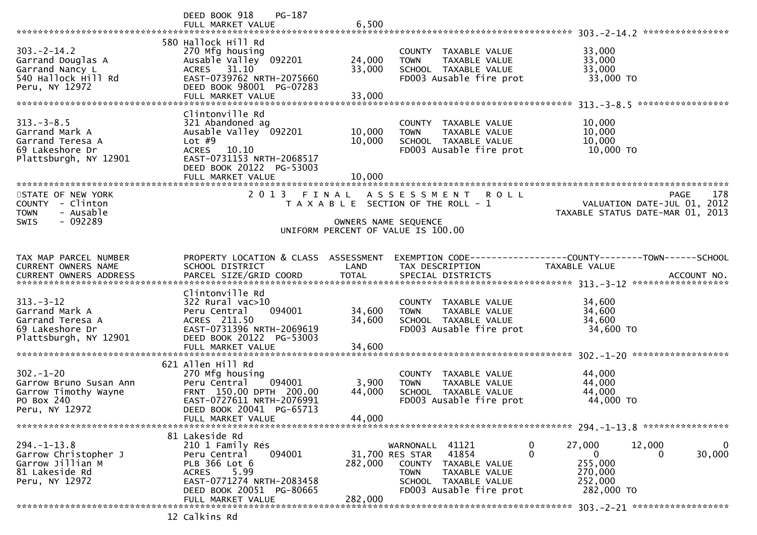|                                       | PG-187<br>DEED BOOK 918                               |         |                                                                             |                                                              |        |
|---------------------------------------|-------------------------------------------------------|---------|-----------------------------------------------------------------------------|--------------------------------------------------------------|--------|
|                                       | FULL MARKET VALUE                                     | 6,500   |                                                                             |                                                              |        |
|                                       |                                                       |         |                                                                             |                                                              |        |
|                                       | 580 Hallock Hill Rd                                   |         |                                                                             |                                                              |        |
| $303. -2 - 14.2$                      | 270 Mfg housing                                       |         | COUNTY TAXABLE VALUE                                                        | 33,000                                                       |        |
| Garrand Douglas A                     | Ausable Valley 092201                                 | 24,000  | TAXABLE VALUE<br><b>TOWN</b>                                                | 33,000                                                       |        |
| Garrand Nancy L                       | ACRES 31.10                                           | 33,000  | SCHOOL TAXABLE VALUE                                                        | 33,000                                                       |        |
| 540 Hallock Hill Rd                   | EAST-0739762 NRTH-2075660                             |         | FD003 Ausable fire prot                                                     | 33,000 TO                                                    |        |
| Peru, NY 12972                        | DEED BOOK 98001 PG-07283                              |         |                                                                             |                                                              |        |
|                                       | FULL MARKET VALUE                                     | 33,000  |                                                                             |                                                              |        |
|                                       |                                                       |         |                                                                             |                                                              |        |
|                                       | Clintonville Rd                                       |         |                                                                             |                                                              |        |
| $313. - 3 - 8.5$                      | 321 Abandoned ag                                      |         | COUNTY TAXABLE VALUE                                                        | 10,000                                                       |        |
| Garrand Mark A                        | Ausable Valley 092201                                 | 10,000  | TAXABLE VALUE<br><b>TOWN</b>                                                | 10,000                                                       |        |
| Garrand Teresa A                      | Lot $#9$                                              | 10,000  | SCHOOL TAXABLE VALUE                                                        | 10,000                                                       |        |
| 69 Lakeshore Dr                       | ACRES 10.10                                           |         | FD003 Ausable fire prot                                                     | 10,000 TO                                                    |        |
| Plattsburgh, NY 12901                 | EAST-0731153 NRTH-2068517<br>DEED BOOK 20122 PG-53003 |         |                                                                             |                                                              |        |
|                                       |                                                       |         |                                                                             |                                                              |        |
|                                       | FULL MARKET VALUE                                     | 10,000  |                                                                             |                                                              |        |
|                                       | 2013 FINAL                                            |         |                                                                             |                                                              |        |
| STATE OF NEW YORK<br>COUNTY - Clinton |                                                       |         | A S S E S S M E N T<br><b>ROLL</b><br>T A X A B L E SECTION OF THE ROLL - 1 | PAGE<br>VALUATION DATE-JUL 01, 2012                          | 178    |
| - Ausable<br><b>TOWN</b>              |                                                       |         |                                                                             | TAXABLE STATUS DATE-MAR 01, 2013                             |        |
| - 092289<br><b>SWIS</b>               |                                                       |         | OWNERS NAME SEQUENCE                                                        |                                                              |        |
|                                       |                                                       |         | UNIFORM PERCENT OF VALUE IS 100.00                                          |                                                              |        |
|                                       |                                                       |         |                                                                             |                                                              |        |
|                                       |                                                       |         |                                                                             |                                                              |        |
| TAX MAP PARCEL NUMBER                 | PROPERTY LOCATION & CLASS ASSESSMENT                  |         |                                                                             | EXEMPTION CODE-----------------COUNTY-------TOWN------SCHOOL |        |
| <b>CURRENT OWNERS NAME</b>            | SCHOOL DISTRICT                                       | LAND    | TAX DESCRIPTION                                                             | TAXABLE VALUE                                                |        |
|                                       |                                                       |         |                                                                             |                                                              |        |
|                                       |                                                       |         |                                                                             |                                                              |        |
|                                       | Clintonville Rd                                       |         |                                                                             |                                                              |        |
| $313 - 3 - 12$                        | $322$ Rural vac $>10$                                 |         | COUNTY TAXABLE VALUE                                                        | 34,600                                                       |        |
| Garrand Mark A                        | Peru Central<br>094001                                | 34,600  | TAXABLE VALUE<br><b>TOWN</b>                                                | 34,600                                                       |        |
| Garrand Teresa A                      | ACRES 211.50                                          | 34,600  | SCHOOL TAXABLE VALUE                                                        | 34,600                                                       |        |
| 69 Lakeshore Dr                       | EAST-0731396 NRTH-2069619                             |         | FD003 Ausable fire prot                                                     | 34,600 TO                                                    |        |
| Plattsburgh, NY 12901                 | DEED BOOK 20122 PG-53003                              |         |                                                                             |                                                              |        |
|                                       | FULL MARKET VALUE                                     | 34,600  |                                                                             |                                                              |        |
|                                       |                                                       |         |                                                                             |                                                              |        |
|                                       | 621 Allen Hill Rd                                     |         |                                                                             |                                                              |        |
| $302 - 1 - 20$                        | 270 Mfg housing                                       |         | COUNTY<br>TAXABLE VALUE                                                     | 44,000                                                       |        |
| Garrow Bruno Susan Ann                | 094001<br>Peru Central                                | 3,900   | TAXABLE VALUE<br><b>TOWN</b>                                                | 44,000                                                       |        |
| Garrow Timothy Wayne                  | FRNT 150.00 DPTH 200.00                               | 44,000  | SCHOOL TAXABLE VALUE                                                        | 44,000                                                       |        |
| PO Box 240                            | EAST-0727611 NRTH-2076991                             |         | FD003 Ausable fire prot                                                     | 44,000 TO                                                    |        |
| Peru, NY 12972                        | DEED BOOK 20041 PG-65713                              |         |                                                                             |                                                              |        |
|                                       | FULL MARKET VALUE                                     | 44,000  |                                                                             |                                                              |        |
|                                       |                                                       |         |                                                                             |                                                              |        |
|                                       | 81 Lakeside Rd                                        |         |                                                                             |                                                              |        |
| $294. - 1 - 13.8$                     | 210 1 Family Res                                      |         | 41121<br>WARNONALL                                                          | 27,000<br>12,000<br>0                                        | 0      |
| Garrow Christopher J                  | 094001<br>Peru Central                                |         | 41854<br>31,700 RES STAR                                                    | $\Omega$<br>$\Omega$<br>$\Omega$                             | 30,000 |
| Garrow Jillian M                      | PLB 366 Lot 6                                         | 282,000 | <b>COUNTY</b><br>TAXABLE VALUE                                              | 255,000                                                      |        |
| 81 Lakeside Rd                        | 5.99<br><b>ACRES</b>                                  |         | <b>TOWN</b><br>TAXABLE VALUE                                                | 270,000                                                      |        |
|                                       |                                                       |         |                                                                             |                                                              |        |
| Peru, NY 12972                        | EAST-0771274 NRTH-2083458                             |         | SCHOOL TAXABLE VALUE                                                        | 252,000                                                      |        |
|                                       | DEED BOOK 20051 PG-80665                              |         | FD003 Ausable fire prot                                                     | 282,000 TO                                                   |        |
|                                       | FULL MARKET VALUE                                     | 282,000 |                                                                             |                                                              |        |
|                                       | 12 Calkins Rd                                         |         |                                                                             |                                                              |        |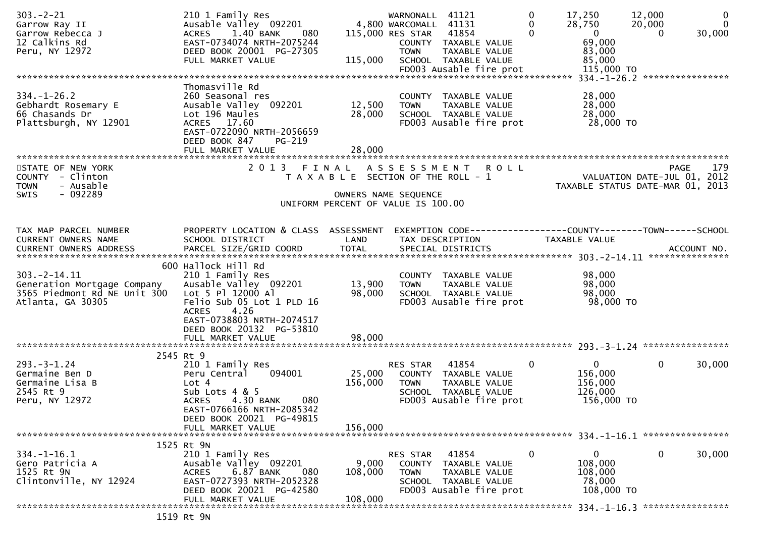| $303 - 2 - 21$<br>Garrow Ray II<br>Garrow Rebecca J<br>12 Calkins Rd                                  | 210 1 Family Res<br>Ausable Valley 092201<br>1.40 BANK<br><b>ACRES</b><br>-- 080<br>EAST-0734074 NRTH-2075244                                                                                       |                                       | WARNONALL 41121<br>4,800 WARCOMALL 41131<br>115,000 RES STAR | 41854<br>COUNTY TAXABLE VALUE                                                                     | 0<br>$\Omega$<br>$\Omega$ | 17,250<br>28,750<br>$\mathbf{0}$<br>69,000                  | 12,000<br>20,000<br>$\Omega$                                            | $\mathbf 0$<br>$\Omega$<br>30,000 |
|-------------------------------------------------------------------------------------------------------|-----------------------------------------------------------------------------------------------------------------------------------------------------------------------------------------------------|---------------------------------------|--------------------------------------------------------------|---------------------------------------------------------------------------------------------------|---------------------------|-------------------------------------------------------------|-------------------------------------------------------------------------|-----------------------------------|
| Peru, NY 12972                                                                                        | DEED BOOK 20001 PG-27305<br>FULL MARKET VALUE                                                                                                                                                       | 115,000                               | <b>TOWN</b>                                                  | TAXABLE VALUE<br>SCHOOL TAXABLE VALUE                                                             |                           | 83,000<br>85,000                                            |                                                                         |                                   |
|                                                                                                       |                                                                                                                                                                                                     |                                       |                                                              |                                                                                                   |                           |                                                             |                                                                         |                                   |
| $334. - 1 - 26.2$<br>Gebhardt Rosemary E<br>66 Chasands Dr<br>Plattsburgh, NY 12901                   | Thomasville Rd<br>260 Seasonal res<br>Ausable Valley 092201<br>Lot 196 Maules<br>ACRES 17.60<br>EAST-0722090 NRTH-2056659<br>DEED BOOK 847<br>PG-219                                                | 12,500<br>28,000                      | <b>TOWN</b>                                                  | COUNTY TAXABLE VALUE<br>TAXABLE VALUE<br>SCHOOL TAXABLE VALUE<br>FD003 Ausable fire prot          |                           | 28,000<br>28,000<br>28,000<br>28,000 TO                     |                                                                         |                                   |
|                                                                                                       |                                                                                                                                                                                                     |                                       |                                                              |                                                                                                   |                           |                                                             |                                                                         |                                   |
| STATE OF NEW YORK<br>COUNTY - Clinton<br>- Ausable<br><b>TOWN</b><br>- 092289<br><b>SWIS</b>          | 2013 FINAL ASSESSMENT                                                                                                                                                                               | T A X A B L E SECTION OF THE ROLL - 1 | OWNERS NAME SEQUENCE                                         | <b>ROLL</b>                                                                                       |                           |                                                             | PAGE<br>VALUATION DATE-JUL 01, 2012<br>TAXABLE STATUS DATE-MAR 01, 2013 | 179                               |
|                                                                                                       |                                                                                                                                                                                                     | UNIFORM PERCENT OF VALUE IS 100.00    |                                                              |                                                                                                   |                           |                                                             |                                                                         |                                   |
|                                                                                                       |                                                                                                                                                                                                     |                                       |                                                              |                                                                                                   |                           |                                                             |                                                                         |                                   |
| TAX MAP PARCEL NUMBER<br>CURRENT OWNERS NAME                                                          | PROPERTY LOCATION & CLASS ASSESSMENT<br>SCHOOL DISTRICT                                                                                                                                             | LAND                                  | TAX DESCRIPTION                                              | EXEMPTION CODE-----------------COUNTY-------TOWN------SCHOOL                                      |                           | TAXABLE VALUE                                               |                                                                         |                                   |
|                                                                                                       |                                                                                                                                                                                                     |                                       |                                                              |                                                                                                   |                           |                                                             |                                                                         |                                   |
|                                                                                                       |                                                                                                                                                                                                     |                                       |                                                              |                                                                                                   |                           |                                                             |                                                                         |                                   |
| $303. -2 - 14.11$<br>Generation Mortgage Company<br>3565 Piedmont Rd NE Unit 300<br>Atlanta, GA 30305 | 600 Hallock Hill Rd<br>210 1 Family Res<br>Ausable Valley 092201<br>Lot 5 Pl 12000 Al<br>Felio Sub 05 Lot 1 PLD 16<br>4.26<br><b>ACRES</b><br>EAST-0738803 NRTH-2074517<br>DEED BOOK 20132 PG-53810 | 13,900<br>98,000                      | <b>TOWN</b>                                                  | COUNTY TAXABLE VALUE<br>TAXABLE VALUE<br>SCHOOL TAXABLE VALUE<br>FD003 Ausable fire prot          |                           | 98,000<br>98,000<br>98,000<br>98,000 TO                     |                                                                         |                                   |
|                                                                                                       | FULL MARKET VALUE                                                                                                                                                                                   | 98,000                                |                                                              |                                                                                                   |                           |                                                             |                                                                         |                                   |
|                                                                                                       | 2545 Rt 9                                                                                                                                                                                           |                                       |                                                              |                                                                                                   |                           |                                                             |                                                                         |                                   |
| $293. - 3 - 1.24$<br>Germaine Ben D<br>Germaine Lisa B<br>2545 Rt 9<br>Peru, NY 12972                 | 210 1 Family Res<br>094001<br>Peru Central<br>Lot 4<br>Sub Lots 4 & 5<br>4.30 BANK<br><b>ACRES</b><br>080<br>EAST-0766166 NRTH-2085342<br>DEED BOOK 20021 PG-49815                                  | 25,000<br>156,000                     | RES STAR<br><b>TOWN</b>                                      | 41854<br>COUNTY TAXABLE VALUE<br>TAXABLE VALUE<br>SCHOOL TAXABLE VALUE<br>FD003 Ausable fire prot | $\mathbf{0}$              | $\mathbf{0}$<br>156,000<br>156,000<br>126,000<br>156,000 TO | $\mathbf{0}$                                                            | 30,000                            |
|                                                                                                       | FULL MARKET VALUE                                                                                                                                                                                   | 156,000                               |                                                              |                                                                                                   |                           |                                                             |                                                                         |                                   |
|                                                                                                       |                                                                                                                                                                                                     |                                       |                                                              |                                                                                                   |                           |                                                             |                                                                         |                                   |
| $334. - 1 - 16.1$<br>Gero Patricia A<br>1525 Rt 9N<br>Clintonville, NY 12924                          | 1525 Rt 9N<br>210 1 Family Res<br>Ausable Valley 092201<br><b>ACRES</b><br>6.87 BANK<br>080<br>EAST-0727393 NRTH-2052328<br>DEED BOOK 20021 PG-42580                                                | 9,000<br>108,000                      | RES STAR<br><b>TOWN</b>                                      | 41854<br>COUNTY TAXABLE VALUE<br>TAXABLE VALUE<br>SCHOOL TAXABLE VALUE<br>FD003 Ausable fire prot | $\mathbf 0$               | $\mathbf{0}$<br>108,000<br>108,000<br>78,000<br>108,000 TO  | 0                                                                       | 30,000                            |
|                                                                                                       | FULL MARKET VALUE                                                                                                                                                                                   | 108,000                               |                                                              |                                                                                                   |                           |                                                             |                                                                         |                                   |
|                                                                                                       | $1E10DE$ $0M1$                                                                                                                                                                                      |                                       |                                                              |                                                                                                   |                           |                                                             |                                                                         |                                   |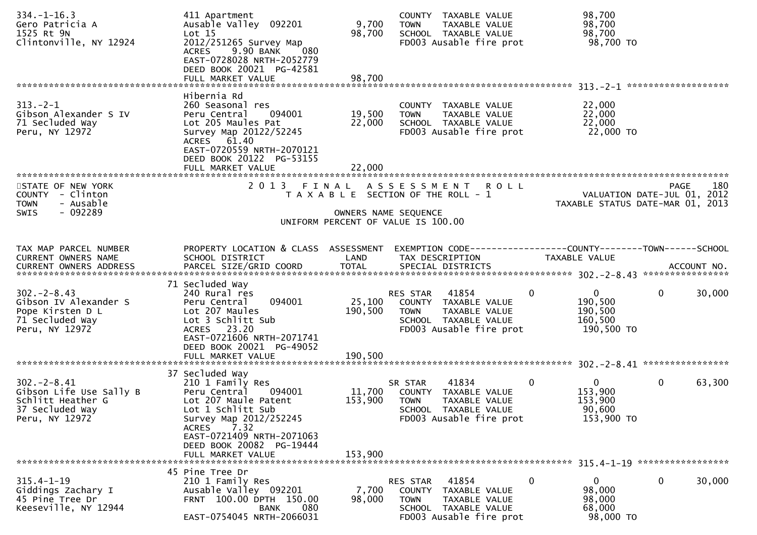| $334. - 1 - 16.3$<br>Gero Patricia A<br>1525 Rt 9N<br>Clintonville, NY 12924                          | 411 Apartment<br>Ausable Valley 092201<br>Lot 15<br>2012/251265 Survey Map                                                                                                        | 9,700<br>98,700      | COUNTY TAXABLE VALUE<br>TAXABLE VALUE<br><b>TOWN</b><br>SCHOOL TAXABLE VALUE<br>FD003 Ausable fire prot                             | 98,700<br>98,700<br>98,700<br>98,700 TO                                      |                                                                                |
|-------------------------------------------------------------------------------------------------------|-----------------------------------------------------------------------------------------------------------------------------------------------------------------------------------|----------------------|-------------------------------------------------------------------------------------------------------------------------------------|------------------------------------------------------------------------------|--------------------------------------------------------------------------------|
|                                                                                                       | 9.90 BANK<br>080<br>ACRES<br>EAST-0728028 NRTH-2052779<br>DEED BOOK 20021 PG-42581<br>FULL MARKET VALUE                                                                           | 98.700               |                                                                                                                                     |                                                                              |                                                                                |
|                                                                                                       |                                                                                                                                                                                   |                      |                                                                                                                                     |                                                                              |                                                                                |
| $313 - 2 - 1$<br>Gibson Alexander S IV<br>71 Secluded Way<br>Peru, NY 12972                           | Hibernia Rd<br>260 Seasonal res<br>Peru Central<br>094001<br>Lot 205 Maules Pat<br>Survey Map 20122/52245<br>ACRES 61.40<br>EAST-0720559 NRTH-2070121<br>DEED BOOK 20122 PG-53155 | 19,500<br>22,000     | COUNTY TAXABLE VALUE<br><b>TOWN</b><br>TAXABLE VALUE<br>SCHOOL TAXABLE VALUE<br>FD003 Ausable fire prot                             | 22,000<br>22,000<br>22,000<br>22,000 TO                                      |                                                                                |
|                                                                                                       |                                                                                                                                                                                   |                      |                                                                                                                                     |                                                                              |                                                                                |
|                                                                                                       |                                                                                                                                                                                   |                      |                                                                                                                                     |                                                                              |                                                                                |
| STATE OF NEW YORK<br>COUNTY - Clinton<br>- Ausable<br><b>TOWN</b>                                     | 2 0 1 3                                                                                                                                                                           |                      | FINAL ASSESSMENT ROLL<br>T A X A B L E SECTION OF THE ROLL - 1                                                                      |                                                                              | 180<br>PAGE<br>VALUATION DATE-JUL 01, 2012<br>TAXABLE STATUS DATE-MAR 01, 2013 |
| $-092289$<br><b>SWIS</b>                                                                              |                                                                                                                                                                                   | OWNERS NAME SEQUENCE | UNIFORM PERCENT OF VALUE IS 100.00                                                                                                  |                                                                              |                                                                                |
| TAX MAP PARCEL NUMBER                                                                                 | PROPERTY LOCATION & CLASS ASSESSMENT                                                                                                                                              |                      |                                                                                                                                     |                                                                              |                                                                                |
| CURRENT OWNERS NAME                                                                                   | SCHOOL DISTRICT                                                                                                                                                                   | LAND                 | TAX DESCRIPTION                                                                                                                     | <b>TAXABLE VALUE</b>                                                         |                                                                                |
|                                                                                                       | 71 Secluded Way                                                                                                                                                                   |                      |                                                                                                                                     |                                                                              |                                                                                |
| $302 - 2 - 8.43$<br>Gibson IV Alexander S<br>Pope Kirsten D L<br>71 Secluded Way<br>Peru, NY 12972    | 240 Rural res<br>094001<br>Peru Central<br>Lot 207 Maules<br>Lot 3 Schlitt Sub<br>ACRES 23.20<br>EAST-0721606 NRTH-2071741<br>DEED BOOK 20021 PG-49052                            | 190,500              | 41854<br>RES STAR<br>25,100 COUNTY TAXABLE VALUE<br><b>TOWN</b><br>TAXABLE VALUE<br>SCHOOL TAXABLE VALUE<br>FD003 Ausable fire prot | $\mathbf 0$<br>$\mathbf{0}$<br>190,500<br>190,500<br>160,500<br>190,500 TO   | 30,000<br>0                                                                    |
|                                                                                                       |                                                                                                                                                                                   |                      |                                                                                                                                     |                                                                              |                                                                                |
|                                                                                                       | 37 Secluded Way                                                                                                                                                                   |                      |                                                                                                                                     |                                                                              |                                                                                |
| $302 - 2 - 8.41$<br>Gibson Life Use Sally B<br>Schlitt Heather G<br>37 Secluded Way<br>Peru, NY 12972 | 210 1 Family Res<br>Peru Central<br>094001<br>Lot 207 Maule Patent<br>Lot 1 Schlitt Sub<br>Survey Map 2012/252245<br>7.32                                                         | 11,700<br>153,900    | 41834<br>SR STAR<br>COUNTY TAXABLE VALUE<br>TAXABLE VALUE<br><b>TOWN</b><br>SCHOOL TAXABLE VALUE<br>FD003 Ausable fire prot         | $\overline{0}$<br>$\mathbf{0}$<br>153,900<br>153,900<br>90,600<br>153,900 TO | 0<br>63,300                                                                    |
|                                                                                                       | <b>ACRES</b><br>EAST-0721409 NRTH-2071063<br>DEED BOOK 20082 PG-19444<br>FULL MARKET VALUE                                                                                        | 153,900              |                                                                                                                                     |                                                                              |                                                                                |
| $315.4 - 1 - 19$                                                                                      | 45 Pine Tree Dr<br>210 1 Family Res                                                                                                                                               |                      | RES STAR<br>41854                                                                                                                   | 0<br>0                                                                       | 0<br>30,000                                                                    |
| Giddings Zachary I<br>45 Pine Tree Dr<br>Keeseville, NY 12944                                         | Ausable Valley 092201<br>FRNT 100.00 DPTH 150.00<br>080<br><b>BANK</b><br>EAST-0754045 NRTH-2066031                                                                               | 7,700<br>98,000      | COUNTY TAXABLE VALUE<br>TAXABLE VALUE<br><b>TOWN</b><br>SCHOOL TAXABLE VALUE<br>FD003 Ausable fire prot                             | 98,000<br>98,000<br>68,000<br>98,000 TO                                      |                                                                                |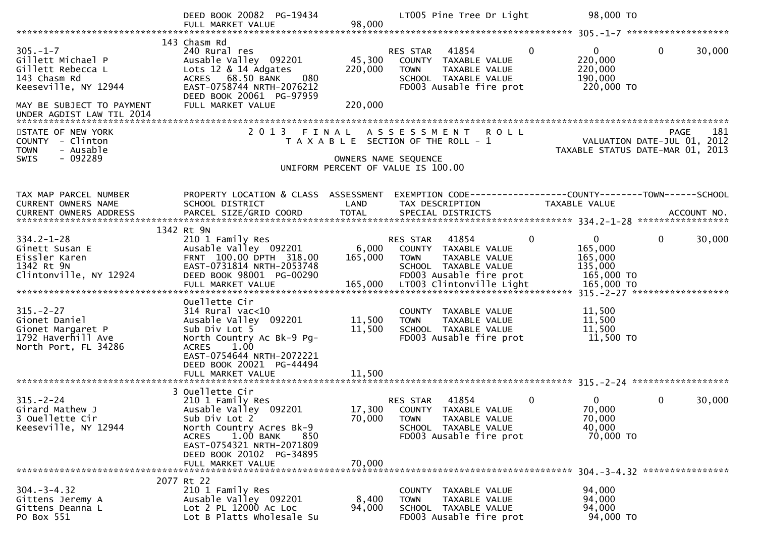|                                                                                                                                                            | DEED BOOK 20082 PG-19434                                                                                                                                                                                         |                              | LT005 Pine Tree Dr Light                                                                                                                                   | 98,000 TO                                                                              |        |
|------------------------------------------------------------------------------------------------------------------------------------------------------------|------------------------------------------------------------------------------------------------------------------------------------------------------------------------------------------------------------------|------------------------------|------------------------------------------------------------------------------------------------------------------------------------------------------------|----------------------------------------------------------------------------------------|--------|
| $305. - 1 - 7$<br>Gillett Michael P<br>Gillett Rebecca L<br>143 Chasm Rd<br>Keeseville, NY 12944<br>MAY BE SUBJECT TO PAYMENT<br>UNDER AGDIST LAW TIL 2014 | 143 Chasm Rd<br>240 Rural res<br>Ausable Valley 092201<br>Lots 12 & 14 Adgates<br>ACRES 68.50 BANK<br>080<br>EAST-0758744 NRTH-2076212<br>DEED BOOK 20061 PG-97959<br>FULL MARKET VALUE                          | 45,300<br>220,000<br>220,000 | $\mathbf{0}$<br>RES STAR<br>41854<br>COUNTY TAXABLE VALUE<br>TAXABLE VALUE<br><b>TOWN</b><br>SCHOOL TAXABLE VALUE<br>FD003 Ausable fire prot               | $\mathbf{0}$<br>$\mathbf 0$<br>220,000<br>220,000<br>190,000<br>220,000 TO             | 30,000 |
| STATE OF NEW YORK<br>COUNTY - Clinton<br><b>TOWN</b><br>- Ausable<br>$-092289$<br><b>SWIS</b>                                                              |                                                                                                                                                                                                                  | OWNERS NAME SEQUENCE         | 2013 FINAL ASSESSMENT<br><b>ROLL</b><br>T A X A B L E SECTION OF THE ROLL - 1<br>UNIFORM PERCENT OF VALUE IS 100.00                                        | PAGE<br>VALUATION DATE-JUL 01, 2012<br>TAXABLE STATUS DATE-MAR 01, 2013                | 181    |
| TAX MAP PARCEL NUMBER<br>CURRENT OWNERS NAME                                                                                                               | PROPERTY LOCATION & CLASS ASSESSMENT<br>SCHOOL DISTRICT                                                                                                                                                          | LAND                         | TAX DESCRIPTION                                                                                                                                            | EXEMPTION CODE------------------COUNTY--------TOWN------SCHOOL<br><b>TAXABLE VALUE</b> |        |
| $334.2 - 1 - 28$<br>Ginett Susan E<br>Eissler Karen<br>1342 Rt 9N                                                                                          | 1342 Rt 9N<br>210 1 Family Res<br>Ausable Valley 092201<br>FRNT 100.00 DPTH 318.00<br>EAST-0731814 NRTH-2053748                                                                                                  | 6,000<br>165,000             | $\mathbf 0$<br>RES STAR<br>41854<br>COUNTY TAXABLE VALUE<br><b>TOWN</b><br>TAXABLE VALUE<br>SCHOOL TAXABLE VALUE                                           | $\mathbf{0}$<br>$\mathbf{0}$<br>165,000<br>165,000<br>135,000                          | 30,000 |
| $315. - 2 - 27$<br>Gionet Daniel<br>Gionet Margaret P<br>1792 Haverhill Ave<br>North Port, FL 34286                                                        | Ouellette Cir<br>$314$ Rural vac<10<br>Ausable Valley 092201<br>Sub Div Lot 5<br>North Country Ac Bk-9 Pg-<br><b>ACRES</b><br>1.00<br>EAST-0754644 NRTH-2072221<br>DEED BOOK 20021 PG-44494<br>FULL MARKET VALUE | 11,500<br>11,500<br>11,500   | COUNTY TAXABLE VALUE<br>TAXABLE VALUE<br><b>TOWN</b><br>SCHOOL TAXABLE VALUE<br>FD003 Ausable fire prot                                                    | 11,500<br>11,500<br>11,500<br>11,500 TO                                                |        |
|                                                                                                                                                            |                                                                                                                                                                                                                  |                              |                                                                                                                                                            |                                                                                        |        |
| $315. - 2 - 24$<br>Girard Mathew J<br>3 Ouellette Cir<br>Keeseville, NY 12944                                                                              | 3 Ouellette Cir<br>210 1 Family Res<br>Ausable Valley 092201<br>Sub Div Lot 2<br>North Country Acres Bk-9<br>1.00 BANK<br><b>ACRES</b><br>850<br>EAST-0754321 NRTH-2071809<br>DEED BOOK 20102 PG-34895           | 70,000                       | 41854<br>$\mathbf{0}$<br>RES STAR<br>17,300 COUNTY TAXABLE VALUE<br><b>TOWN</b><br><b>TAXABLE VALUE</b><br>SCHOOL TAXABLE VALUE<br>FD003 Ausable fire prot | 0<br>0<br>70,000<br>70,000<br>40,000<br>70,000 TO                                      | 30,000 |
|                                                                                                                                                            | FULL MARKET VALUE                                                                                                                                                                                                | 70,000                       |                                                                                                                                                            |                                                                                        |        |
| $304. - 3 - 4.32$<br>Gittens Jeremy A<br>Gittens Deanna L<br>PO Box 551                                                                                    | 2077 Rt 22<br>210 1 Family Res<br>Ausable Valley 092201<br>Lot 2 PL 12000 AC Loc<br>Lot B Platts Wholesale Su                                                                                                    | 8,400<br>94,000              | COUNTY TAXABLE VALUE<br>TAXABLE VALUE<br><b>TOWN</b><br>SCHOOL TAXABLE VALUE<br>FD003 Ausable fire prot                                                    | 94,000<br>94,000<br>94,000<br>94,000 TO                                                |        |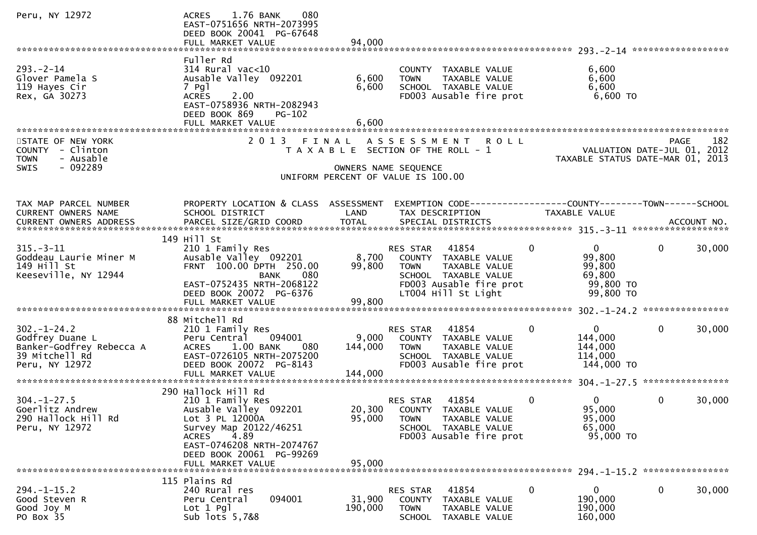| Peru, NY 12972                                                                                      | 1.76 BANK<br>080<br><b>ACRES</b><br>EAST-0751656 NRTH-2073995<br>DEED BOOK 20041 PG-67648<br>FULL MARKET VALUE                                                                                                      | 94,000                                                     |                                                           |                                                                                                                          |              |                                                                      |              |        |
|-----------------------------------------------------------------------------------------------------|---------------------------------------------------------------------------------------------------------------------------------------------------------------------------------------------------------------------|------------------------------------------------------------|-----------------------------------------------------------|--------------------------------------------------------------------------------------------------------------------------|--------------|----------------------------------------------------------------------|--------------|--------|
|                                                                                                     |                                                                                                                                                                                                                     |                                                            |                                                           |                                                                                                                          |              |                                                                      |              |        |
| $293 - 2 - 14$<br>Glover Pamela S<br>119 Hayes Cir<br>Rex, GA 30273                                 | Fuller Rd<br>314 Rural vac<10<br>Ausable Valley 092201<br>7 Pgl<br><b>ACRES</b><br>2.00<br>EAST-0758936 NRTH-2082943<br>DEED BOOK 869<br>PG-102<br>FULL MARKET VALUE                                                | 6,600<br>6,600<br>6,600                                    | <b>TOWN</b>                                               | COUNTY TAXABLE VALUE<br>TAXABLE VALUE<br>SCHOOL TAXABLE VALUE<br>FD003 Ausable fire prot                                 |              | 6,600<br>6,600<br>6,600<br>$6,600$ TO                                |              |        |
| STATE OF NEW YORK<br>COUNTY - Clinton<br>- Ausable<br><b>TOWN</b>                                   | 2 0 1 3                                                                                                                                                                                                             | FINAL<br>T A X A B L E SECTION OF THE ROLL - 1             |                                                           | ASSESSMENT ROLL                                                                                                          |              | VALUATION DATE-JUL 01, 2012<br>TAXABLE STATUS DATE-MAR 01, 2013      | <b>PAGE</b>  | 182    |
| SWIS<br>- 092289                                                                                    |                                                                                                                                                                                                                     | OWNERS NAME SEQUENCE<br>UNIFORM PERCENT OF VALUE IS 100.00 |                                                           |                                                                                                                          |              |                                                                      |              |        |
| TAX MAP PARCEL NUMBER<br>CURRENT OWNERS NAME                                                        | PROPERTY LOCATION & CLASS ASSESSMENT<br>SCHOOL DISTRICT                                                                                                                                                             | LAND                                                       | TAX DESCRIPTION                                           | EXEMPTION CODE------------------COUNTY--------TOWN------SCHOOL                                                           |              | <b>TAXABLE VALUE</b>                                                 |              |        |
| $315. - 3 - 11$<br>Goddeau Laurie Miner M<br>149 Hill St<br>Keeseville, NY 12944                    | 149 Hill St<br>210 1 Family Res<br>Ausable Valley 092201<br>FRNT 100.00 DPTH 250.00<br>080<br>BANK<br>EAST-0752435 NRTH-2068122<br>DEED BOOK 20072 PG-6376<br>FULL MARKET VALUE                                     | 8,700<br>99,800<br>99,800                                  | RES STAR<br><b>TOWN</b>                                   | 41854<br>COUNTY TAXABLE VALUE<br>TAXABLE VALUE<br>SCHOOL TAXABLE VALUE<br>FD003 Ausable fire prot<br>LT004 Hill St Light | $\mathbf{0}$ | $\mathbf{0}$<br>99,800<br>99,800<br>69,800<br>99,800 TO<br>99,800 TO | $\Omega$     | 30,000 |
|                                                                                                     |                                                                                                                                                                                                                     |                                                            |                                                           |                                                                                                                          |              |                                                                      |              |        |
| $302 - 1 - 24.2$<br>Godfrey Duane L<br>Banker-Godfrey Rebecca A<br>39 Mitchell Rd<br>Peru, NY 12972 | 88 Mitchell Rd<br>210 1 Family Res<br>094001<br>Peru Central<br>1.00 BANK<br><b>ACRES</b><br>080<br>EAST-0726105 NRTH-2075200<br>DEED BOOK 20072 PG-8143<br>FULL MARKET VALUE                                       | 9,000<br>144,000<br>144,000                                | RES STAR<br><b>TOWN</b>                                   | 41854<br>COUNTY TAXABLE VALUE<br>TAXABLE VALUE<br>SCHOOL TAXABLE VALUE<br>FD003 Ausable fire prot                        | $\mathbf{0}$ | $\mathbf{0}$<br>144,000<br>144,000<br>114,000<br>144,000 TO          | $\mathbf{0}$ | 30,000 |
|                                                                                                     |                                                                                                                                                                                                                     |                                                            |                                                           |                                                                                                                          |              |                                                                      |              |        |
| $304. - 1 - 27.5$<br>Goerlitz Andrew<br>290 Hallock Hill Rd<br>Peru, NY 12972                       | 290 Hallock Hill Rd<br>210 1 Family Res<br>Ausable Valley 092201<br>Lot 3 PL 12000A<br>Survey Map 20122/46251<br>4.89<br><b>ACRES</b><br>EAST-0746208 NRTH-2074767<br>DEED BOOK 20061 PG-99269<br>FULL MARKET VALUE | 20,300<br>95,000<br>95,000                                 | RES STAR<br><b>TOWN</b>                                   | 41854<br>COUNTY TAXABLE VALUE<br>TAXABLE VALUE<br>SCHOOL TAXABLE VALUE<br>FD003 Ausable fire prot                        | 0            | $\mathbf{0}$<br>95,000<br>95,000<br>65,000<br>95,000 TO              | $\Omega$     | 30,000 |
|                                                                                                     |                                                                                                                                                                                                                     |                                                            |                                                           |                                                                                                                          |              |                                                                      |              |        |
| $294. -1 - 15.2$<br>Good Steven R<br>Good Joy M<br>PO Box 35                                        | 115 Plains Rd<br>240 Rural res<br>094001<br>Peru Central<br>Lot 1 Pgl<br>Sub lots 5,7&8                                                                                                                             | 31,900<br>190,000                                          | <b>RES STAR</b><br><b>COUNTY</b><br><b>TOWN</b><br>SCHOOL | 41854<br>TAXABLE VALUE<br>TAXABLE VALUE<br>TAXABLE VALUE                                                                 | 0            | 0<br>190,000<br>190,000<br>160,000                                   | 0            | 30,000 |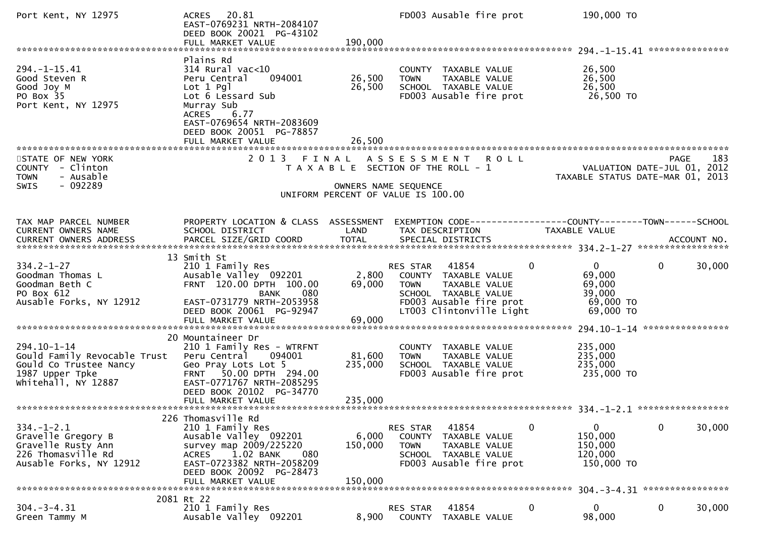| Port Kent, NY 12975                                                                                             | ACRES 20.81<br>EAST-0769231 NRTH-2084107<br>DEED BOOK 20021 PG-43102<br>FULL MARKET VALUE                                                                                                    | 190,000                      | FD003 Ausable fire prot                                                                                                                                       | 190,000 TO                                                             |                                                   |
|-----------------------------------------------------------------------------------------------------------------|----------------------------------------------------------------------------------------------------------------------------------------------------------------------------------------------|------------------------------|---------------------------------------------------------------------------------------------------------------------------------------------------------------|------------------------------------------------------------------------|---------------------------------------------------|
|                                                                                                                 |                                                                                                                                                                                              |                              |                                                                                                                                                               |                                                                        |                                                   |
| $294. -1 - 15.41$<br>Good Steven R<br>Good Joy M<br>PO Box 35<br>Port Kent, NY 12975                            | Plains Rd<br>$314$ Rural vac<10<br>094001<br>Peru Central<br>$Lot 1$ Pgl<br>Lot 6 Lessard Sub<br>Murray Sub<br>6.77<br><b>ACRES</b><br>EAST-0769654 NRTH-2083609<br>DEED BOOK 20051 PG-78857 | 26,500<br>26,500             | COUNTY TAXABLE VALUE<br>TAXABLE VALUE<br><b>TOWN</b><br>SCHOOL TAXABLE VALUE<br>FD003 Ausable fire prot                                                       | 26,500<br>26,500<br>26,500<br>26,500 TO                                |                                                   |
| ***********************                                                                                         | FULL MARKET VALUE                                                                                                                                                                            | 26,500                       |                                                                                                                                                               |                                                                        |                                                   |
| STATE OF NEW YORK<br>COUNTY - Clinton<br><b>TOWN</b><br>- Ausable<br>$-092289$<br><b>SWIS</b>                   | 2 0 1 3                                                                                                                                                                                      | FINAL                        | <b>ROLL</b><br>A S S E S S M E N T<br>T A X A B L E SECTION OF THE ROLL - 1<br>OWNERS NAME SEQUENCE                                                           | TAXABLE STATUS DATE-MAR 01, 2013                                       | <b>PAGE</b><br>183<br>VALUATION DATE-JUL 01, 2012 |
|                                                                                                                 |                                                                                                                                                                                              |                              | UNIFORM PERCENT OF VALUE IS 100.00                                                                                                                            |                                                                        |                                                   |
| TAX MAP PARCEL NUMBER<br>CURRENT OWNERS NAME                                                                    | PROPERTY LOCATION & CLASS ASSESSMENT<br>SCHOOL DISTRICT                                                                                                                                      | LAND                         | EXEMPTION CODE-----------------COUNTY--------TOWN------SCHOOL<br>TAX DESCRIPTION                                                                              | TAXABLE VALUE                                                          |                                                   |
|                                                                                                                 | 13 Smith St                                                                                                                                                                                  |                              |                                                                                                                                                               |                                                                        |                                                   |
| $334.2 - 1 - 27$<br>Goodman Thomas L<br>Goodman Beth C<br>PO Box 612<br>Ausable Forks, NY 12912                 | 210 1 Family Res<br>Ausable Valley 092201<br>FRNT 120.00 DPTH 100.00<br>080<br><b>BANK</b><br>EAST-0731779 NRTH-2053958<br>DEED BOOK 20061 PG-92947<br>FULL MARKET VALUE                     | 2,800<br>69,000<br>69,000    | 41854<br>RES STAR<br>0<br>COUNTY TAXABLE VALUE<br>TAXABLE VALUE<br><b>TOWN</b><br>SCHOOL TAXABLE VALUE<br>FD003 Ausable fire prot<br>LT003 Clintonville Light | $\overline{0}$<br>69,000<br>69,000<br>39,000<br>69,000 TO<br>69,000 TO | $\mathbf 0$<br>30,000                             |
|                                                                                                                 | 20 Mountaineer Dr                                                                                                                                                                            |                              |                                                                                                                                                               |                                                                        |                                                   |
| 294.10-1-14<br>Gould Family Revocable Trust<br>Gould Co Trustee Nancy<br>1987 Upper Tpke<br>Whitehall, NY 12887 | 210 1 Family Res - WTRFNT<br>Peru Central<br>094001<br>Geo Pray Lots Lot 5<br>FRNT 50.00 DPTH 294.00<br>EAST-0771767 NRTH-2085295<br>DEED BOOK 20102 PG-34770<br>FULL MARKET VALUE           | 81,600<br>235,000<br>235,000 | COUNTY TAXABLE VALUE<br>TAXABLE VALUE<br><b>TOWN</b><br>SCHOOL TAXABLE VALUE<br>FD003 Ausable fire prot                                                       | 235,000<br>235,000<br>235,000<br>235,000 TO                            |                                                   |
|                                                                                                                 |                                                                                                                                                                                              |                              |                                                                                                                                                               |                                                                        |                                                   |
| $334. - 1 - 2.1$<br>Gravelle Gregory B<br>Gravelle Rusty Ann<br>226 Thomasville Rd<br>Ausable Forks, NY 12912   | 226 Thomasville Rd<br>210 1 Family Res<br>Ausable Valley 092201<br>survey map 2009/225220<br>1.02 BANK<br>080<br><b>ACRES</b><br>EAST-0723382 NRTH-2058209<br>DEED BOOK 20092 PG-28473       | 6,000<br>150,000             | 41854<br>RES STAR<br>0<br><b>COUNTY</b><br>TAXABLE VALUE<br>TAXABLE VALUE<br><b>TOWN</b><br>SCHOOL TAXABLE VALUE<br>FD003 Ausable fire prot                   | $\bf{0}$<br>150,000<br>150,000<br>120,000<br>150,000 TO                | $\mathbf 0$<br>30,000                             |
|                                                                                                                 | FULL MARKET VALUE                                                                                                                                                                            | 150,000                      |                                                                                                                                                               |                                                                        | 304. - 3 - 4.31 *****************                 |
| $304. - 3 - 4.31$<br>Green Tammy M                                                                              | 2081 Rt 22<br>210 1 Family Res<br>Ausable Valley 092201                                                                                                                                      | 8,900                        | 41854<br>0<br><b>RES STAR</b><br>COUNTY<br>TAXABLE VALUE                                                                                                      | 0<br>98,000                                                            | $\bf{0}$<br>30,000                                |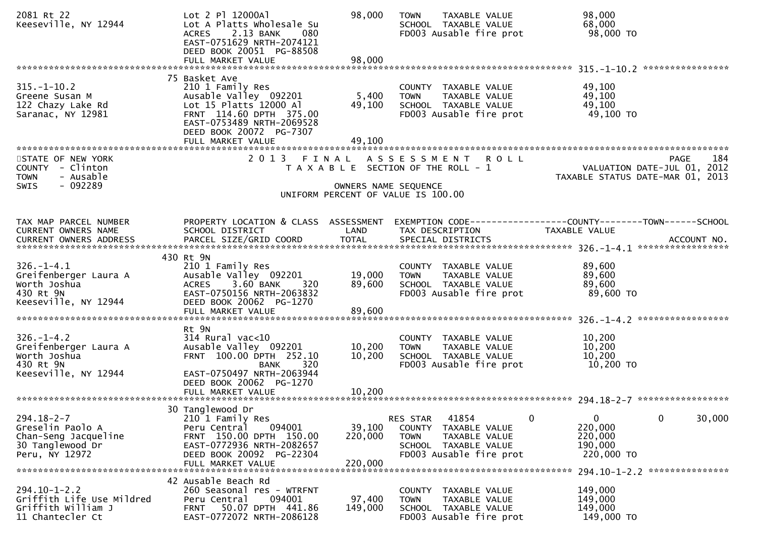| 2081 Rt 22<br>Keeseville, NY 12944                                                                 | Lot 2 Pl 12000Al<br>Lot A Platts Wholesale Su<br>2.13 BANK<br><b>ACRES</b><br>080<br>EAST-0751629 NRTH-2074121<br>DEED BOOK 20051 PG-88508<br>FULL MARKET VALUE                              | 98,000<br>98,000             | <b>TOWN</b><br>TAXABLE VALUE<br>SCHOOL TAXABLE VALUE<br>FD003 Ausable fire prot                                                                 | 98,000<br>68,000<br>98,000 TO                                                                              |
|----------------------------------------------------------------------------------------------------|----------------------------------------------------------------------------------------------------------------------------------------------------------------------------------------------|------------------------------|-------------------------------------------------------------------------------------------------------------------------------------------------|------------------------------------------------------------------------------------------------------------|
|                                                                                                    |                                                                                                                                                                                              |                              |                                                                                                                                                 |                                                                                                            |
| $315. - 1 - 10.2$<br>Greene Susan M<br>122 Chazy Lake Rd<br>Saranac, NY 12981                      | 75 Basket Ave<br>210 1 Family Res<br>Ausable Valley 092201<br>Lot 15 Platts 12000 Al<br>FRNT 114.60 DPTH 375.00<br>EAST-0753489 NRTH-2069528<br>DEED BOOK 20072 PG-7307<br>FULL MARKET VALUE | 5,400<br>49,100<br>49,100    | COUNTY TAXABLE VALUE<br>TAXABLE VALUE<br><b>TOWN</b><br>SCHOOL TAXABLE VALUE<br>FD003 Ausable fire prot                                         | 49,100<br>49,100<br>49,100<br>49,100 TO                                                                    |
|                                                                                                    |                                                                                                                                                                                              |                              |                                                                                                                                                 |                                                                                                            |
| STATE OF NEW YORK<br>COUNTY - Clinton<br>- Ausable<br><b>TOWN</b><br>$-092289$<br>SWIS             | 2 0 1 3                                                                                                                                                                                      | OWNERS NAME SEQUENCE         | FINAL ASSESSMENT ROLL<br>T A X A B L E SECTION OF THE ROLL - 1                                                                                  | PAGE<br>184<br>VALUATION DATE-JUL 01, 2012<br>TAXABLE STATUS DATE-MAR 01, 2013                             |
|                                                                                                    |                                                                                                                                                                                              |                              | UNIFORM PERCENT OF VALUE IS 100.00                                                                                                              |                                                                                                            |
|                                                                                                    |                                                                                                                                                                                              |                              |                                                                                                                                                 |                                                                                                            |
| TAX MAP PARCEL NUMBER<br>CURRENT OWNERS NAME                                                       | PROPERTY LOCATION & CLASS ASSESSMENT<br>SCHOOL DISTRICT                                                                                                                                      | LAND                         | TAX DESCRIPTION                                                                                                                                 | EXEMPTION CODE-----------------COUNTY--------TOWN------SCHOOL<br>TAXABLE VALUE                             |
|                                                                                                    | 430 Rt 9N                                                                                                                                                                                    |                              |                                                                                                                                                 |                                                                                                            |
| $326. - 1 - 4.1$<br>Greifenberger Laura A<br>Worth Joshua<br>430 Rt 9N<br>Keeseville, NY 12944     | 210 1 Family Res<br>Ausable Valley 092201<br>$3.60$ BANK<br>320<br><b>ACRES</b><br>EAST-0750156 NRTH-2063832<br>DEED BOOK 20062 PG-1270                                                      | 19,000<br>89,600             | COUNTY TAXABLE VALUE<br><b>TOWN</b><br>TAXABLE VALUE<br>SCHOOL TAXABLE VALUE<br>FD003 Ausable fire prot                                         | 89,600<br>89,600<br>89,600<br>89,600 TO                                                                    |
|                                                                                                    | FULL MARKET VALUE                                                                                                                                                                            | 89,600                       |                                                                                                                                                 |                                                                                                            |
| $326. - 1 - 4.2$<br>Greifenberger Laura A<br>Worth Joshua<br>430 Rt 9N<br>Keeseville, NY 12944     | Rt 9N<br>$314$ Rural vac<10<br>Ausable Valley 092201<br>FRNT 100.00 DPTH 252.10<br><b>BANK</b><br>320<br>EAST-0750497 NRTH-2063944<br>DEED BOOK 20062 PG-1270                                | 10,200<br>10,200             | COUNTY TAXABLE VALUE<br>TAXABLE VALUE<br><b>TOWN</b><br>SCHOOL TAXABLE VALUE<br>FD003 Ausable fire prot                                         | 10,200<br>10,200<br>10,200<br>10,200 TO                                                                    |
|                                                                                                    |                                                                                                                                                                                              |                              |                                                                                                                                                 |                                                                                                            |
|                                                                                                    |                                                                                                                                                                                              |                              |                                                                                                                                                 |                                                                                                            |
| $294.18 - 2 - 7$<br>Greselin Paolo A<br>Chan-Seng Jacqueline<br>30 Tanglewood Dr<br>Peru, NY 12972 | 30 Tanglewood Dr<br>210 1 Family Res<br>094001<br>Peru Central<br>FRNT 150.00 DPTH 150.00<br>EAST-0772936 NRTH-2082657<br>DEED BOOK 20092 PG-22304<br>FULL MARKET VALUE                      | 39,100<br>220,000<br>220,000 | $\mathbf{0}$<br>RES STAR<br>41854<br>COUNTY<br>TAXABLE VALUE<br><b>TOWN</b><br>TAXABLE VALUE<br>SCHOOL TAXABLE VALUE<br>FD003 Ausable fire prot | $\mathbf 0$<br>0<br>30,000<br>220,000<br>220,000<br>190,000<br>220,000 TO<br>294.10-1-2.2 **************** |
|                                                                                                    | 42 Ausable Beach Rd                                                                                                                                                                          |                              |                                                                                                                                                 |                                                                                                            |
| $294.10 - 1 - 2.2$<br>Griffith Life Use Mildred<br>Griffith William J<br>11 Chantecler Ct          | 260 Seasonal res - WTRFNT<br>094001<br>Peru Central<br>50.07 DPTH 441.86<br><b>FRNT</b><br>EAST-0772072 NRTH-2086128                                                                         | 97,400<br>149,000            | COUNTY TAXABLE VALUE<br>TAXABLE VALUE<br><b>TOWN</b><br>SCHOOL TAXABLE VALUE<br>FD003 Ausable fire prot                                         | 149,000<br>149,000<br>149,000<br>149,000 TO                                                                |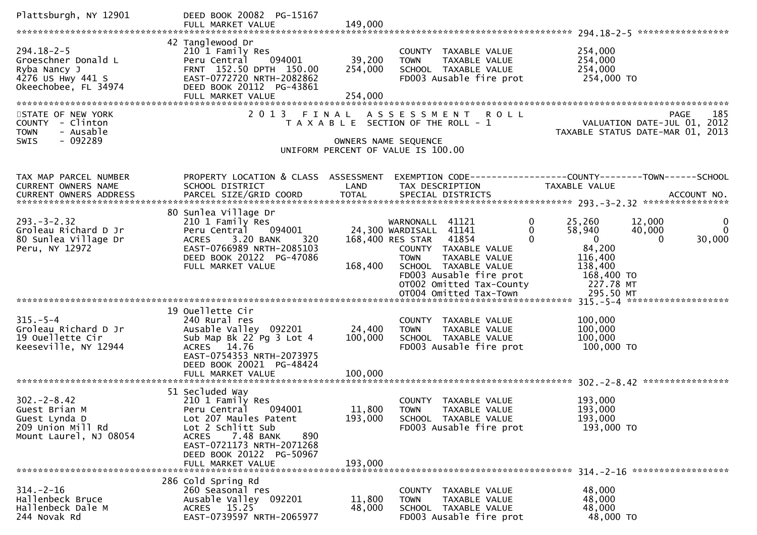| Plattsburgh, NY 12901                                                                                | DEED BOOK 20082 PG-15167<br>FULL MARKET VALUE                                                                                                                                                                                 | 149,000                      |                                                                                                                                                                                                                                                            |                                                                                                                                                                     |
|------------------------------------------------------------------------------------------------------|-------------------------------------------------------------------------------------------------------------------------------------------------------------------------------------------------------------------------------|------------------------------|------------------------------------------------------------------------------------------------------------------------------------------------------------------------------------------------------------------------------------------------------------|---------------------------------------------------------------------------------------------------------------------------------------------------------------------|
| $294.18 - 2 - 5$<br>Groeschner Donald L<br>Ryba Nancy J<br>4276 US Hwy 441 S<br>Okeechobee, FL 34974 | 42 Tanglewood Dr<br>210 1 Family Res<br>094001<br>Peru Central<br>FRNT 152.50 DPTH 150.00<br>EAST-0772720 NRTH-2082862<br>DEED BOOK 20112 PG-43861<br>FULL MARKET VALUE                                                       | 39,200<br>254,000<br>254,000 | COUNTY TAXABLE VALUE<br>TAXABLE VALUE<br><b>TOWN</b><br>SCHOOL TAXABLE VALUE<br>FD003 Ausable fire prot                                                                                                                                                    | 254,000<br>254,000<br>254,000<br>254,000 TO                                                                                                                         |
| STATE OF NEW YORK<br>COUNTY - Clinton<br>- Ausable<br><b>TOWN</b><br>- 092289<br><b>SWIS</b>         | 2 0 1 3                                                                                                                                                                                                                       | FINAL                        | ASSESSMENT ROLL<br>T A X A B L E SECTION OF THE ROLL - 1<br>OWNERS NAME SEQUENCE<br>UNIFORM PERCENT OF VALUE IS 100.00                                                                                                                                     | 185<br>PAGE<br>VALUATION DATE-JUL 01, 2012<br>TAXABLE STATUS DATE-MAR 01, 2013                                                                                      |
| TAX MAP PARCEL NUMBER<br>CURRENT OWNERS NAME<br>CURRENT OWNERS ADDRESS                               | PROPERTY LOCATION & CLASS ASSESSMENT<br>SCHOOL DISTRICT<br>PARCEL SIZE/GRID COORD                                                                                                                                             | LAND<br><b>TOTAL</b>         | TAX DESCRIPTION<br>SPECIAL DISTRICTS                                                                                                                                                                                                                       | EXEMPTION CODE-----------------COUNTY-------TOWN------SCHOOL<br>TAXABLE VALUE<br>ACCOUNT NO.                                                                        |
| $293 - 3 - 2.32$<br>Groleau Richard D Jr<br>80 Sunlea Village Dr<br>Peru, NY 12972                   | 80 Sunlea Village Dr<br>210 1 Family Res<br>094001<br>Peru Central<br>ACRES 3.20 BANK<br>320<br>EAST-0766989 NRTH-2085103<br>DEED BOOK 20122 PG-47086<br>FULL MARKET VALUE                                                    | 168,400                      | WARNONALL 41121<br>0<br>24,300 WARDISALL 41141<br>0<br>168,400 RES STAR 41854<br>$\Omega$<br>COUNTY TAXABLE VALUE<br><b>TOWN</b><br>TAXABLE VALUE<br>SCHOOL TAXABLE VALUE<br>FD003 Ausable fire prot<br>OT002 Omitted Tax-County<br>OT004 Omitted Tax-Town | 25,260<br>12,000<br>0<br>$\Omega$<br>58,940<br>40,000<br>$\mathbf{0}$<br>30,000<br>$\Omega$<br>84,200<br>116,400<br>138,400<br>168,400 TO<br>227.78 MT<br>295.50 MT |
| $315. - 5 - 4$<br>Groleau Richard D Jr<br>19 Ouellette Cir<br>Keeseville, NY 12944                   | 19 Ouellette Cir<br>240 Rural res<br>Ausable Valley 092201<br>Sub Map Bk 22 Pg 3 Lot 4<br>ACRES 14.76<br>EAST-0754353 NRTH-2073975<br>DEED BOOK 20021 PG-48424<br>FULL MARKET VALUE                                           | 24,400<br>100,000<br>100,000 | COUNTY TAXABLE VALUE<br>TAXABLE VALUE<br><b>TOWN</b><br>SCHOOL TAXABLE VALUE<br>FD003 Ausable fire prot                                                                                                                                                    | 100,000<br>100,000<br>100,000<br>100,000 TO                                                                                                                         |
| $302 - 2 - 8.42$<br>Guest Brian M<br>Guest Lynda D<br>209 Union Mill Rd<br>Mount Laurel, NJ 08054    | 51 Secluded Way<br>210 1 Family Res<br>094001<br>Peru Central<br>Lot 207 Maules Patent<br>Lot 2 Schlitt Sub<br>7.48 BANK<br><b>ACRES</b><br>890<br>EAST-0721173 NRTH-2071268<br>DEED BOOK 20122 PG-50967<br>FULL MARKET VALUE | 11,800<br>193,000<br>193,000 | <b>COUNTY</b><br>TAXABLE VALUE<br><b>TOWN</b><br>TAXABLE VALUE<br>SCHOOL TAXABLE VALUE<br>FD003 Ausable fire prot                                                                                                                                          | 193,000<br>193,000<br>193,000<br>193,000 TO                                                                                                                         |
| $314. - 2 - 16$<br>Hallenbeck Bruce<br>Hallenbeck Dale M<br>244 Novak Rd                             | 286 Cold Spring Rd<br>260 Seasonal res<br>Ausable Valley 092201<br>ACRES 15.25<br>EAST-0739597 NRTH-2065977                                                                                                                   | 11,800<br>48,000             | COUNTY TAXABLE VALUE<br><b>TOWN</b><br>TAXABLE VALUE<br>SCHOOL TAXABLE VALUE<br>FD003 Ausable fire prot                                                                                                                                                    | 48,000<br>48,000<br>48,000<br>48,000 TO                                                                                                                             |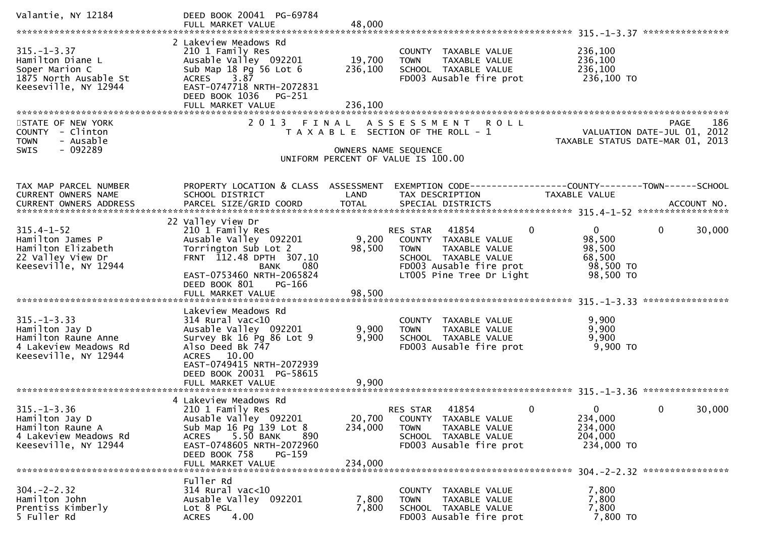| Valantie, NY 12184                                                                                          | DEED BOOK 20041 PG-69784<br>FULL MARKET VALUE                                                                                                                                                                        | 48,000                       |                                                                                                                                                                         |                                                                        |                                           |
|-------------------------------------------------------------------------------------------------------------|----------------------------------------------------------------------------------------------------------------------------------------------------------------------------------------------------------------------|------------------------------|-------------------------------------------------------------------------------------------------------------------------------------------------------------------------|------------------------------------------------------------------------|-------------------------------------------|
| $315. - 1 - 3.37$<br>Hamilton Diane L<br>Soper Marion C<br>1875 North Ausable St<br>Keeseville, NY 12944    | 2 Lakeview Meadows Rd<br>210 1 Family Res<br>Ausable Valley 092201<br>Sub Map 18 Pg 56 Lot 6<br>ACRES 3.87<br>EAST-0747718 NRTH-2072831<br>DEED BOOK 1036<br>PG-251<br>FULL MARKET VALUE                             | 19,700<br>236,100<br>236,100 | COUNTY TAXABLE VALUE<br>TAXABLE VALUE<br><b>TOWN</b><br>SCHOOL TAXABLE VALUE<br>FD003 Ausable fire prot                                                                 | 236,100<br>236,100<br>236,100<br>236,100 TO                            |                                           |
| STATE OF NEW YORK<br>COUNTY - Clinton<br><b>TOWN</b><br>- Ausable<br>$-092289$<br><b>SWIS</b>               | 2 0 1 3                                                                                                                                                                                                              | FINAL                        | <b>ROLL</b><br>A S S E S S M E N T<br>T A X A B L E SECTION OF THE ROLL - 1<br>OWNERS NAME SEQUENCE<br>UNIFORM PERCENT OF VALUE IS 100.00                               | VALUATION DATE-JUL 01, 2012<br>TAXABLE STATUS DATE-MAR 01,             | 186<br><b>PAGE</b><br>2013                |
| TAX MAP PARCEL NUMBER<br>CURRENT OWNERS NAME<br>CURRENT OWNERS ADDRESS                                      | PROPERTY LOCATION & CLASS ASSESSMENT<br>SCHOOL DISTRICT<br>PARCEL SIZE/GRID COORD                                                                                                                                    | LAND<br><b>TOTAL</b>         | EXEMPTION CODE-----------------COUNTY--------TOWN------SCHOOL<br>TAX DESCRIPTION<br>SPECIAL DISTRICTS                                                                   | <b>TAXABLE VALUE</b>                                                   | ACCOUNT NO.                               |
| $315.4 - 1 - 52$<br>Hamilton James P<br>Hamilton Elizabeth<br>22 Valley View Dr<br>Keeseville, NY 12944     | 22 Valley View Dr<br>210 1 Family Res<br>Ausable Valley 092201<br>Torrington Sub Lot 2<br>FRNT 112.48 DPTH 307.10<br>080<br><b>BANK</b><br>EAST-0753460 NRTH-2065824<br>DEED BOOK 801<br>PG-166<br>FULL MARKET VALUE | 9,200<br>98,500<br>98,500    | $\mathbf 0$<br>RES STAR<br>41854<br>COUNTY TAXABLE VALUE<br><b>TOWN</b><br>TAXABLE VALUE<br>SCHOOL TAXABLE VALUE<br>FD003 Ausable fire prot<br>LT005 Pine Tree Dr Light | $\overline{0}$<br>98,500<br>98,500<br>68,500<br>98,500 TO<br>98,500 TO | $\mathbf 0$<br>30,000<br>**************** |
| $315. - 1 - 3.33$<br>Hamilton Jay D<br>Hamilton Raune Anne<br>4 Lakeview Meadows Rd<br>Keeseville, NY 12944 | Lakeview Meadows Rd<br>$314$ Rural vac<10<br>Ausable Valley 092201<br>Survey Bk 16 Pg 86 Lot 9<br>Also Deed Bk 747<br>ACRES 10.00<br>EAST-0749415 NRTH-2072939<br>DEED BOOK 20031 PG-58615<br>FULL MARKET VALUE      | 9,900<br>9,900<br>9,900      | COUNTY TAXABLE VALUE<br>TAXABLE VALUE<br><b>TOWN</b><br>SCHOOL TAXABLE VALUE<br>FD003 Ausable fire prot                                                                 | 9,900<br>9,900<br>9,900<br>9,900 TO                                    |                                           |
| $315. - 1 - 3.36$<br>Hamilton Jay D<br>Hamilton Raune A<br>4 Lakeview Meadows Rd<br>Keeseville, NY 12944    | 4 Lakeview Meadows Rd<br>210 1 Family Res<br>Ausable Valley 092201<br>Sub Map 16 Pg 139 Lot 8<br>5.50 BANK<br><b>ACRES</b><br>890<br>EAST-0748605 NRTH-2072960<br>DEED BOOK 758<br>PG-159<br>FULL MARKET VALUE       | 20,700<br>234,000<br>234,000 | 41854<br>0<br><b>RES STAR</b><br>COUNTY TAXABLE VALUE<br>TAXABLE VALUE<br><b>TOWN</b><br>SCHOOL TAXABLE VALUE<br>FD003 Ausable fire prot                                | 0<br>234,000<br>234,000<br>204,000<br>234,000 TO                       | 30,000<br>$\mathbf{0}$                    |
| $304. -2 - 2.32$<br>Hamilton John<br>Prentiss Kimberly<br>5 Fuller Rd                                       | Fuller Rd<br>314 Rural vac<10<br>Ausable Valley 092201<br>Lot 8 PGL<br>4.00<br><b>ACRES</b>                                                                                                                          | 7,800<br>7,800               | COUNTY TAXABLE VALUE<br>TAXABLE VALUE<br><b>TOWN</b><br>SCHOOL TAXABLE VALUE<br>FD003 Ausable fire prot                                                                 | 7,800<br>7,800<br>7,800<br>7,800 TO                                    |                                           |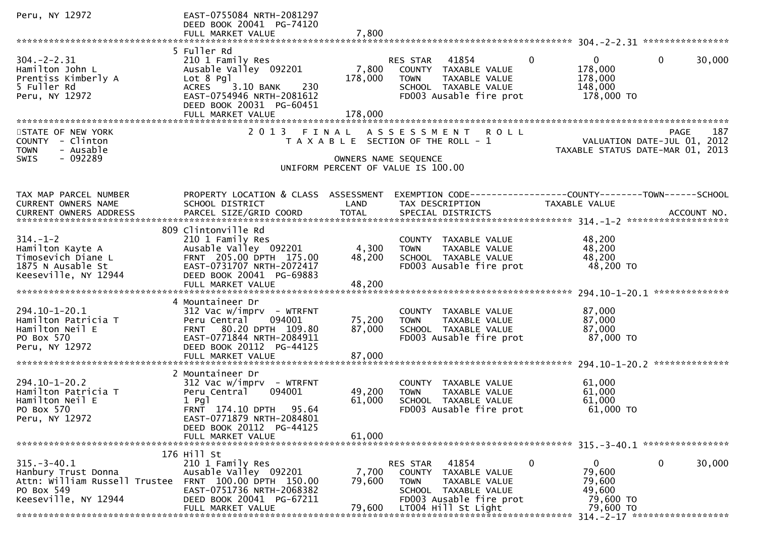| Peru, NY 12972                                                                                                  | EAST-0755084 NRTH-2081297<br>DEED BOOK 20041 PG-74120                                                                                                                     |                  |                                                                                                                                   |             |                                                             |                                                                                |
|-----------------------------------------------------------------------------------------------------------------|---------------------------------------------------------------------------------------------------------------------------------------------------------------------------|------------------|-----------------------------------------------------------------------------------------------------------------------------------|-------------|-------------------------------------------------------------|--------------------------------------------------------------------------------|
|                                                                                                                 | FULL MARKET VALUE                                                                                                                                                         | 7,800            |                                                                                                                                   |             |                                                             |                                                                                |
|                                                                                                                 | 5 Fuller Rd                                                                                                                                                               |                  |                                                                                                                                   |             |                                                             |                                                                                |
| $304. -2 - 2.31$<br>Hamilton John L<br>Prentiss Kimberly A<br>5 Fuller Rd<br>Peru, NY 12972                     | 210 1 Family Res<br>Ausable Valley 092201<br>Lot 8 Pgl<br>3.10 BANK<br>230<br><b>ACRES</b><br>EAST-0754946 NRTH-2081612<br>DEED BOOK 20031 PG-60451                       | 7,800<br>178,000 | 41854<br>RES STAR<br>COUNTY TAXABLE VALUE<br><b>TOWN</b><br>TAXABLE VALUE<br>SCHOOL TAXABLE VALUE<br>FD003 Ausable fire prot      | $\Omega$    | $\mathbf{0}$<br>178,000<br>178,000<br>148,000<br>178,000 TO | $\mathbf{0}$<br>30,000                                                         |
|                                                                                                                 |                                                                                                                                                                           |                  |                                                                                                                                   |             |                                                             |                                                                                |
| STATE OF NEW YORK<br>COUNTY - Clinton<br>- Ausable<br><b>TOWN</b><br>$-092289$<br><b>SWIS</b>                   |                                                                                                                                                                           |                  | 2013 FINAL ASSESSMENT ROLL<br>T A X A B L E SECTION OF THE ROLL - 1<br>OWNERS NAME SEQUENCE<br>UNIFORM PERCENT OF VALUE IS 100.00 |             |                                                             | 187<br>PAGE<br>VALUATION DATE-JUL 01, 2012<br>TAXABLE STATUS DATE-MAR 01, 2013 |
|                                                                                                                 |                                                                                                                                                                           |                  |                                                                                                                                   |             |                                                             |                                                                                |
| TAX MAP PARCEL NUMBER<br>CURRENT OWNERS NAME                                                                    | PROPERTY LOCATION & CLASS ASSESSMENT<br>SCHOOL DISTRICT                                                                                                                   | LAND             | TAX DESCRIPTION                                                                                                                   |             | TAXABLE VALUE                                               | EXEMPTION CODE-----------------COUNTY--------TOWN------SCHOOL                  |
|                                                                                                                 | 809 Clintonville Rd                                                                                                                                                       |                  |                                                                                                                                   |             |                                                             |                                                                                |
| $314. - 1 - 2$<br>Hamilton Kayte A<br>Timosevich Diane L<br>1875 N Ausable St<br>Keeseville, NY 12944           | 210 1 Family Res<br>Ausable Valley 092201<br>FRNT 205.00 DPTH 175.00<br>EAST-0731707 NRTH-2072417<br>DEED BOOK 20041 PG-69883                                             | 4,300<br>48,200  | COUNTY TAXABLE VALUE<br><b>TOWN</b><br>TAXABLE VALUE<br>SCHOOL TAXABLE VALUE<br>FD003 Ausable fire prot                           |             | 48,200<br>48,200<br>48,200<br>48,200 TO                     |                                                                                |
|                                                                                                                 |                                                                                                                                                                           |                  |                                                                                                                                   |             |                                                             | **************                                                                 |
| 294.10-1-20.1<br>Hamilton Patricia T<br>Hamilton Neil E<br>PO Box 570<br>Peru, NY 12972                         | 4 Mountaineer Dr<br>$312$ Vac w/imprv - WTRFNT<br>Peru Central<br>094001<br>FRNT 80.20 DPTH 109.80<br>EAST-0771844 NRTH-2084911<br>DEED BOOK 20112 PG-44125               | 75,200<br>87,000 | COUNTY TAXABLE VALUE<br>TAXABLE VALUE<br><b>TOWN</b><br>SCHOOL TAXABLE VALUE<br>FD003 Ausable fire prot                           |             | 87,000<br>87,000<br>87,000<br>87,000 TO                     |                                                                                |
|                                                                                                                 |                                                                                                                                                                           |                  |                                                                                                                                   |             |                                                             |                                                                                |
| $294.10 - 1 - 20.2$<br>Hamilton Patricia T<br>Hamilton Neil E<br>PO Box 570<br>Peru, NY 12972                   | 2 Mountaineer Dr<br>$312$ Vac w/imprv - WTRFNT<br>Peru Central<br>094001<br>$1$ Pgl<br>FRNT 174.10 DPTH<br>95.64<br>EAST-0771879 NRTH-2084801<br>DEED BOOK 20112 PG-44125 | 49,200<br>61,000 | COUNTY TAXABLE VALUE<br>TAXABLE VALUE<br><b>TOWN</b><br>SCHOOL TAXABLE VALUE<br>FD003 Ausable fire prot                           |             | 61,000<br>61,000<br>61,000<br>61,000 TO                     |                                                                                |
|                                                                                                                 | FULL MARKET VALUE                                                                                                                                                         | 61,000           |                                                                                                                                   |             |                                                             |                                                                                |
|                                                                                                                 | 176 Hill St                                                                                                                                                               |                  |                                                                                                                                   |             |                                                             |                                                                                |
| $315. - 3 - 40.1$<br>Hanbury Trust Donna<br>Attn: William Russell Trustee<br>PO Box 549<br>Keeseville, NY 12944 | 210 1 Family Res<br>Ausable Valley 092201<br>FRNT 100.00 DPTH 150.00<br>EAST-0751736 NRTH-2068382<br>DEED BOOK 20041 PG-67211                                             | 7,700<br>79,600  | 41854<br>RES STAR<br>COUNTY TAXABLE VALUE<br><b>TOWN</b><br>TAXABLE VALUE<br>SCHOOL TAXABLE VALUE<br>FD003 Ausable fire prot      | $\mathbf 0$ | $\mathbf{0}$<br>79,600<br>79,600<br>49,600<br>79,600 TO     | $\mathbf 0$<br>30,000                                                          |
|                                                                                                                 | FULL MARKET VALUE                                                                                                                                                         | 79,600           | LT004 Hill St Light                                                                                                               |             | 79,600 TO                                                   |                                                                                |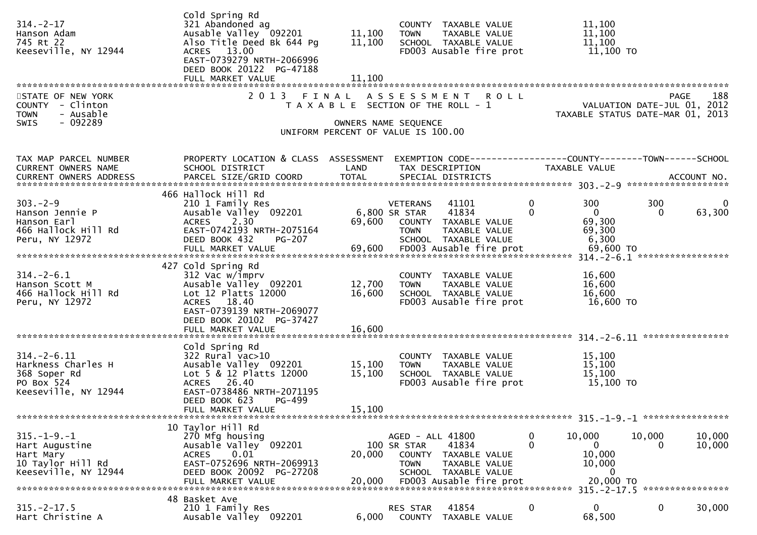| $314. - 2 - 17$<br>Hanson Adam<br>745 Rt 22<br>Keeseville, NY 12944                             | Cold Spring Rd<br>321 Abandoned ag<br>Ausable Valley 092201<br>Also Title Deed Bk 644 Pg<br>ACRES 13.00<br>EAST-0739279 NRTH-2066996<br>DEED BOOK 20122 PG-47188<br>FULL MARKET VALUE | 11,100<br>11,100<br>11,100                                                                          | <b>TOWN</b>                                    | COUNTY TAXABLE VALUE<br>TAXABLE VALUE<br>SCHOOL TAXABLE VALUE<br>FD003 Ausable fire prot          | 11,100<br>11,100<br>11,100                                          | 11,100 TO                                                               |                  |
|-------------------------------------------------------------------------------------------------|---------------------------------------------------------------------------------------------------------------------------------------------------------------------------------------|-----------------------------------------------------------------------------------------------------|------------------------------------------------|---------------------------------------------------------------------------------------------------|---------------------------------------------------------------------|-------------------------------------------------------------------------|------------------|
| STATE OF NEW YORK<br>COUNTY - Clinton<br>- Ausable<br><b>TOWN</b><br>$-092289$<br><b>SWIS</b>   |                                                                                                                                                                                       | T A X A B L E SECTION OF THE ROLL - 1<br>OWNERS NAME SEQUENCE<br>UNIFORM PERCENT OF VALUE IS 100.00 |                                                | 2013 FINAL ASSESSMENT ROLL                                                                        |                                                                     | PAGE<br>VALUATION DATE-JUL 01, 2012<br>TAXABLE STATUS DATE-MAR 01, 2013 | 188              |
| TAX MAP PARCEL NUMBER<br>CURRENT OWNERS NAME                                                    | PROPERTY LOCATION & CLASS ASSESSMENT<br>SCHOOL DISTRICT                                                                                                                               | LAND                                                                                                |                                                | EXEMPTION CODE-----------------COUNTY-------TOWN------SCHOOL<br>TAX DESCRIPTION                   | <b>TAXABLE VALUE</b>                                                |                                                                         |                  |
| $303 - 2 - 9$<br>Hanson Jennie P<br>Hanson Earl<br>466 Hallock Hill Rd<br>Peru, NY 12972        | 466 Hallock Hill Rd<br>210 1 Family Res<br>Ausable Valley 092201<br>2.30<br><b>ACRES</b><br>EAST-0742193 NRTH-2075164<br>DEED BOOK 432<br><b>PG-207</b>                               |                                                                                                     | VETERANS<br>6,800 SR STAR<br><b>TOWN</b>       | 41101<br>41834<br>69,600 COUNTY TAXABLE VALUE<br>TAXABLE VALUE<br>SCHOOL TAXABLE VALUE            | $\mathbf{0}$<br>300<br>$\Omega$<br>$\mathbf{0}$<br>69,300<br>69,300 | 300<br>$\Omega$<br>6,300                                                | 0<br>63,300      |
| $314. - 2 - 6.1$<br>Hanson Scott M<br>466 Hallock Hill Rd<br>Peru, NY 12972                     | 427 Cold Spring Rd<br>$312$ Vac w/imprv<br>Ausable Valley 092201<br>Lot 12 Platts 12000<br>ACRES 18.40<br>EAST-0739139 NRTH-2069077<br>DEED BOOK 20102 PG-37427<br>FULL MARKET VALUE  | 12,700<br>16,600<br>16,600                                                                          | <b>TOWN</b>                                    | COUNTY TAXABLE VALUE<br>TAXABLE VALUE<br>SCHOOL TAXABLE VALUE<br>FD003 Ausable fire prot          | 16,600                                                              | 16,600<br>16,600<br>16,600 TO                                           |                  |
| $314. - 2 - 6.11$<br>Harkness Charles H<br>368 Soper Rd<br>PO Box 524<br>Keeseville, NY 12944   | Cold Spring Rd<br>322 Rural vac>10<br>Ausable Valley 092201<br>Lot 5 & 12 Platts 12000<br>ACRES 26.40<br>EAST-0738486 NRTH-2071195<br>DEED BOOK 623<br>PG-499<br>FULL MARKET VALUE    | 15,100<br>15,100<br>15,100                                                                          | <b>TOWN</b>                                    | COUNTY TAXABLE VALUE<br>TAXABLE VALUE<br>SCHOOL TAXABLE VALUE<br>FD003 Ausable fire prot          | 15,100                                                              | 15,100<br>15,100<br>15,100 TO                                           |                  |
| $315. - 1 - 9. - 1$<br>Hart Augustine<br>Hart Mary<br>10 Taylor Hill Rd<br>Keeseville, NY 12944 | 10 Taylor Hill Rd<br>270 Mfg housing<br>Ausable Valley 092201<br>0.01<br><b>ACRES</b><br>EAST-0752696 NRTH-2069913<br>DEED BOOK 20092 PG-27208<br>FULL MARKET VALUE                   | 20,000<br>20,000                                                                                    | AGED - ALL 41800<br>100 SR STAR<br><b>TOWN</b> | 41834<br>COUNTY TAXABLE VALUE<br>TAXABLE VALUE<br>SCHOOL TAXABLE VALUE<br>FD003 Ausable fire prot | $\mathbf 0$<br>10,000<br>0<br>$\mathbf{0}$<br>10,000<br>10,000      | 10,000<br>0<br>$\Omega$<br>20,000 TO                                    | 10,000<br>10,000 |
| $315. -2 - 17.5$<br>Hart Christine A                                                            | 48 Basket Ave<br>210 1 Family Res<br>Ausable Valley 092201                                                                                                                            | 6,000                                                                                               | RES STAR                                       | 41854<br>COUNTY TAXABLE VALUE                                                                     | $\mathbf{0}$<br>$\mathbf 0$                                         | 0<br>68,500                                                             | 30,000           |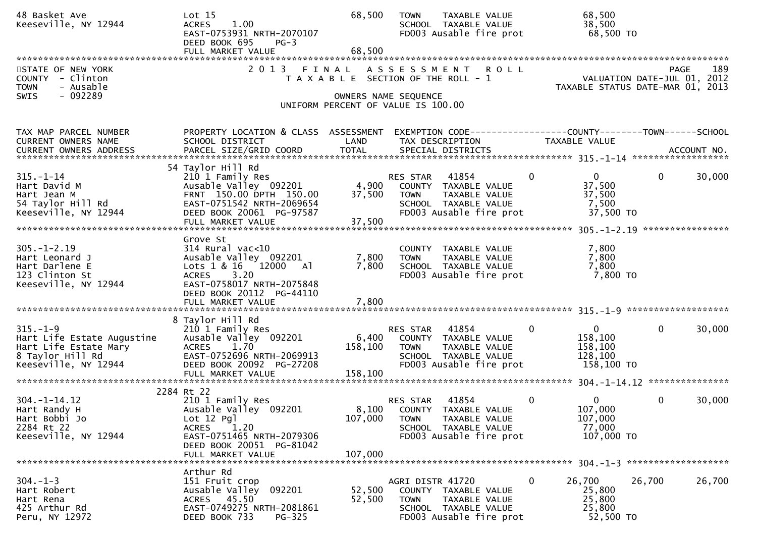| 48 Basket Ave<br>Keeseville, NY 12944                                                                             | Lot <sub>15</sub><br><b>ACRES</b><br>1.00<br>EAST-0753931 NRTH-2070107<br>DEED BOOK 695<br>$PG-3$                                                                                     | 68,500<br>68,500            | <b>TOWN</b><br>TAXABLE VALUE<br>SCHOOL TAXABLE VALUE<br>FD003 Ausable fire prot                                                           | 68,500<br>38,500<br>68,500 TO                                                                        |
|-------------------------------------------------------------------------------------------------------------------|---------------------------------------------------------------------------------------------------------------------------------------------------------------------------------------|-----------------------------|-------------------------------------------------------------------------------------------------------------------------------------------|------------------------------------------------------------------------------------------------------|
| STATE OF NEW YORK<br>COUNTY - Clinton<br>- Ausable<br><b>TOWN</b><br>$-092289$<br><b>SWIS</b>                     | FULL MARKET VALUE<br>2 0 1 3                                                                                                                                                          | FINAL                       | <b>ROLL</b><br>A S S E S S M E N T<br>T A X A B L E SECTION OF THE ROLL - 1<br>OWNERS NAME SEQUENCE<br>UNIFORM PERCENT OF VALUE IS 100.00 | 189<br>PAGE<br>VALUATION DATE-JUL 01, 2012<br>TAXABLE STATUS DATE-MAR 01, 2013                       |
| TAX MAP PARCEL NUMBER<br>CURRENT OWNERS NAME                                                                      | PROPERTY LOCATION & CLASS ASSESSMENT<br>SCHOOL DISTRICT                                                                                                                               | LAND                        | TAX DESCRIPTION                                                                                                                           | EXEMPTION CODE-----------------COUNTY-------TOWN------SCHOOL<br>TAXABLE VALUE                        |
| $315. - 1 - 14$<br>Hart David M<br>Hart Jean M<br>54 Taylor Hill Rd<br>Keeseville, NY 12944                       | 54 Taylor Hill Rd<br>210 1 Family Res<br>Ausable Valley 092201<br>FRNT 150.00 DPTH 150.00<br>EAST-0751542 NRTH-2069654<br>DEED BOOK 20061 PG-97587<br>FULL MARKET VALUE               | 4,900<br>37,500<br>37,500   | 41854<br>RES STAR<br>COUNTY TAXABLE VALUE<br><b>TOWN</b><br>TAXABLE VALUE<br>SCHOOL TAXABLE VALUE<br>FD003 Ausable fire prot              | $\mathbf{0}$<br>30,000<br>$\Omega$<br>$\mathbf{0}$<br>37,500<br>37,500<br>7,500<br>37,500 TO         |
| $305. - 1 - 2.19$<br>Hart Leonard J<br>Hart Darlene E<br>123 Clinton St<br>Keeseville, NY 12944                   | Grove St<br>$314$ Rural vac<10<br>Ausable Valley 092201<br>Lots 1 & 16 12000 Al<br>3.20<br><b>ACRES</b><br>EAST-0758017 NRTH-2075848<br>DEED BOOK 20112 PG-44110<br>FULL MARKET VALUE | 7,800<br>7,800<br>7,800     | COUNTY TAXABLE VALUE<br><b>TOWN</b><br>TAXABLE VALUE<br>SCHOOL TAXABLE VALUE<br>FD003 Ausable fire prot                                   | 7,800<br>7,800<br>7,800<br>7,800 TO                                                                  |
| $315. - 1 - 9$<br>Hart Life Estate Augustine<br>Hart Life Estate Mary<br>8 Taylor Hill Rd<br>Keeseville, NY 12944 | 8 Taylor Hill Rd<br>210 1 Family Res<br>Ausable Valley 092201<br><b>ACRES</b><br>1.70<br>EAST-0752696 NRTH-2069913<br>DEED BOOK 20092 PG-27208<br>FULL MARKET VALUE                   | 6,400<br>158,100<br>158,100 | 41854<br>RES STAR<br>COUNTY TAXABLE VALUE<br>TAXABLE VALUE<br><b>TOWN</b><br>SCHOOL TAXABLE VALUE<br>FD003 Ausable fire prot              | $\mathbf{0}$<br>30,000<br>$\mathbf 0$<br>$\mathbf{0}$<br>158,100<br>158,100<br>128,100<br>158,100 TO |
| $304. - 1 - 14.12$<br>Hart Randy H<br>Hart Bobbi Jo<br>2284 Rt 22<br>Keeseville, NY 12944                         | 2284 Rt 22<br>210 1 Family Res<br>Ausable Valley 092201<br>Lot 12 Pgl<br>1.20<br><b>ACRES</b><br>EAST-0751465 NRTH-2079306<br>DEED BOOK 20051 PG-81042<br>FULL MARKET VALUE           | 107,000<br>107,000          | 41854<br>RES STAR<br>8,100 COUNTY TAXABLE VALUE<br><b>TOWN</b><br>TAXABLE VALUE<br>SCHOOL TAXABLE VALUE<br>FD003 Ausable fire prot        | $\mathbf 0$<br>$\mathbf{0}$<br>$\mathbf{0}$<br>30,000<br>107,000<br>107,000<br>77,000<br>107,000 TO  |
| $304. - 1 - 3$<br>Hart Robert<br>Hart Rena<br>425 Arthur Rd<br>Peru, NY 12972                                     | Arthur Rd<br>151 Fruit crop<br>092201<br>Ausable Valley<br>ACRES 45.50<br>EAST-0749275 NRTH-2081861<br>DEED BOOK 733<br>$PG-325$                                                      | 52,500<br>52,500            | AGRI DISTR 41720<br>COUNTY TAXABLE VALUE<br><b>TOWN</b><br>TAXABLE VALUE<br>SCHOOL TAXABLE VALUE<br>FD003 Ausable fire prot               | $\bf{0}$<br>26,700<br>26,700<br>26,700<br>25,800<br>25,800<br>25,800<br>52,500 TO                    |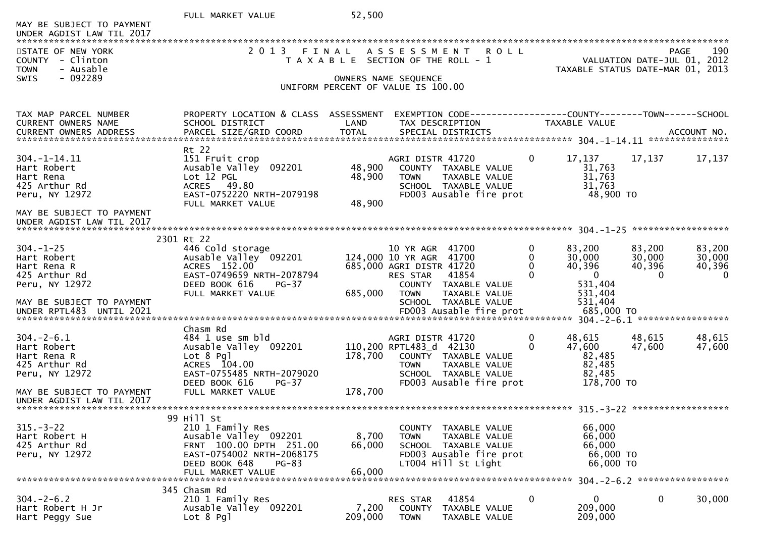|                                                        | FULL MARKET VALUE                                       | 52,500           |                                               |                                                                  |               |                                    |                  |                                                   |
|--------------------------------------------------------|---------------------------------------------------------|------------------|-----------------------------------------------|------------------------------------------------------------------|---------------|------------------------------------|------------------|---------------------------------------------------|
| MAY BE SUBJECT TO PAYMENT<br>UNDER AGDIST LAW TIL 2017 |                                                         |                  |                                               |                                                                  |               |                                    |                  |                                                   |
| STATE OF NEW YORK<br><b>COUNTY</b><br>- Clinton        | 2 0 1 3                                                 | FINAL            | T A X A B L E SECTION OF THE ROLL - 1         | A S S E S S M E N T R O L L                                      |               |                                    |                  | 190<br><b>PAGE</b><br>VALUATION DATE-JUL 01, 2012 |
| <b>TOWN</b><br>- Ausable<br>$-092289$<br><b>SWIS</b>   |                                                         |                  | OWNERS NAME SEQUENCE                          |                                                                  |               |                                    |                  | TAXABLE STATUS DATE-MAR 01, 2013                  |
|                                                        |                                                         |                  | UNIFORM PERCENT OF VALUE IS 100.00            |                                                                  |               |                                    |                  |                                                   |
| TAX MAP PARCEL NUMBER<br>CURRENT OWNERS NAME           | PROPERTY LOCATION & CLASS ASSESSMENT<br>SCHOOL DISTRICT | LAND             | TAX DESCRIPTION                               | EXEMPTION CODE-----------------COUNTY-------TOWN------SCHOOL     |               | TAXABLE VALUE                      |                  |                                                   |
|                                                        |                                                         |                  |                                               |                                                                  |               |                                    |                  |                                                   |
| $304. - 1 - 14.11$                                     | Rt 22<br>151 Fruit crop                                 |                  | AGRI DISTR 41720                              |                                                                  | 0             | 17,137                             | 17,137           | 17,137                                            |
| Hart Robert<br>Hart Rena                               | Ausable Valley<br>092201<br>Lot 12 PGL                  | 48,900<br>48,900 | <b>TOWN</b>                                   | COUNTY TAXABLE VALUE<br>TAXABLE VALUE                            |               | 31,763<br>31,763                   |                  |                                                   |
| 425 Arthur Rd<br>Peru, NY 12972                        | ACRES 49.80<br>EAST-0752220 NRTH-2079198                |                  |                                               | SCHOOL TAXABLE VALUE<br>FD003 Ausable fire prot                  |               | 31,763<br>48,900 TO                |                  |                                                   |
| MAY BE SUBJECT TO PAYMENT                              | FULL MARKET VALUE                                       | 48,900           |                                               |                                                                  |               |                                    |                  |                                                   |
| UNDER AGDIST LAW TIL 2017                              |                                                         |                  |                                               |                                                                  |               |                                    |                  |                                                   |
| $304. - 1 - 25$                                        | 2301 Rt 22<br>446 Cold storage                          |                  | 10 YR AGR                                     | 41700                                                            | 0             | 83,200                             | 83,200           | 83,200                                            |
| Hart Robert<br>Hart Rena R                             | Ausable Valley 092201<br>ACRES 152.00                   |                  | 124,000 10 YR AGR<br>685,000 AGRI DISTR 41720 | 41700                                                            | 0<br>$\Omega$ | 30,000<br>40,396                   | 30,000<br>40,396 | 30,000<br>40,396                                  |
| 425 Arthur Rd<br>Peru, NY 12972                        | EAST-0749659 NRTH-2078794<br>DEED BOOK 616<br>$PG-37$   |                  | <b>RES STAR</b><br>COUNTY                     | 41854<br>TAXABLE VALUE                                           | $\Omega$      | $\overline{0}$<br>531,404          | $\Omega$         | $\mathbf{0}$                                      |
| MAY BE SUBJECT TO PAYMENT<br>UNDER RPTL483 UNTIL 2021  | FULL MARKET VALUE                                       | 685,000          | <b>TOWN</b>                                   | TAXABLE VALUE<br>SCHOOL TAXABLE VALUE<br>FD003 Ausable fire prot |               | 531,404<br>531,404<br>685,000 TO   |                  |                                                   |
|                                                        | Chasm Rd                                                |                  |                                               |                                                                  |               |                                    |                  |                                                   |
| $304. - 2 - 6.1$<br>Hart Robert                        | 484 1 use sm bld<br>Ausable Valley 092201               |                  | AGRI DISTR 41720<br>110,200 RPTL483_d 42130   |                                                                  | 0<br>$\Omega$ | 48,615<br>47,600                   | 48,615<br>47,600 | 48,615<br>47,600                                  |
| Hart Rena R<br>425 Arthur Rd                           | Lot 8 Pgl<br>ACRES 104.00                               | 178,700          | <b>TOWN</b>                                   | COUNTY TAXABLE VALUE<br>TAXABLE VALUE                            |               | 82,485<br>82,485                   |                  |                                                   |
| Peru, NY 12972                                         | EAST-0755485 NRTH-2079020<br>DEED BOOK 616<br>$PG-37$   |                  |                                               | SCHOOL TAXABLE VALUE<br>FD003 Ausable fire prot                  |               | 82,485<br>178,700 TO               |                  |                                                   |
| MAY BE SUBJECT TO PAYMENT<br>UNDER AGDIST LAW TIL 2017 | FULL MARKET VALUE                                       | 178,700          |                                               |                                                                  |               |                                    |                  |                                                   |
|                                                        | 99 Hill St                                              |                  |                                               |                                                                  |               |                                    |                  |                                                   |
| $315 - 3 - 22$<br>Hart Robert H                        | 210 1 Family Res<br>Ausable Valley 092201               | 8,700            | <b>TOWN</b>                                   | COUNTY TAXABLE VALUE<br>TAXABLE VALUE                            |               | 66,000<br>66,000                   |                  |                                                   |
| 425 Arthur Rd<br>Peru, NY 12972                        | FRNT 100.00 DPTH 251.00<br>EAST-0754002 NRTH-2068175    | 66,000           |                                               | SCHOOL TAXABLE VALUE<br>FD003 Ausable fire prot                  |               | 66,000<br>66,000 TO                |                  |                                                   |
|                                                        | DEED BOOK 648<br><b>PG-83</b><br>FULL MARKET VALUE      | 66,000           |                                               | LT004 Hill St Light                                              |               | 66,000 TO                          |                  | 304. - 2 - 6. 2 *******************               |
|                                                        | 345 Chasm Rd                                            |                  |                                               |                                                                  |               |                                    |                  |                                                   |
| $304 - 2 - 6.2$<br>Hart Robert H Jr<br>Hart Peggy Sue  | 210 1 Family Res<br>Ausable Valley 092201<br>Lot 8 Pgl  | 7,200<br>209,000 | RES STAR<br><b>COUNTY</b><br><b>TOWN</b>      | 41854<br>TAXABLE VALUE<br>TAXABLE VALUE                          | 0             | $\mathbf{0}$<br>209,000<br>209,000 | 0                | 30,000                                            |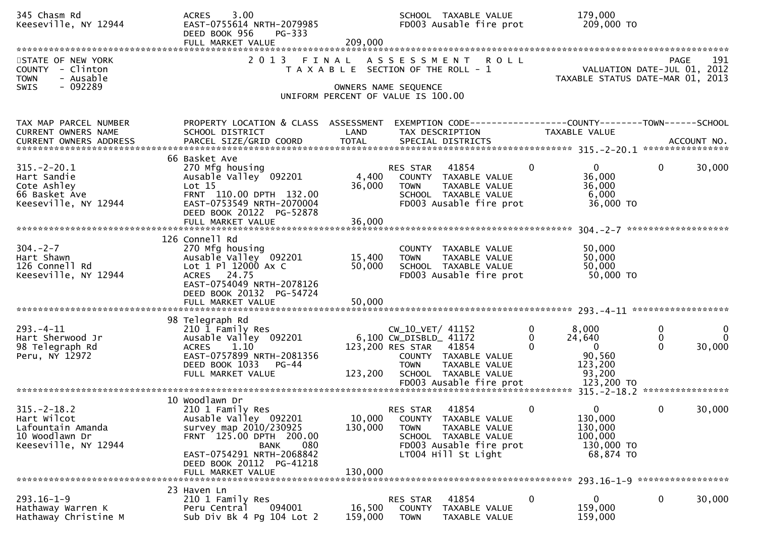| 345 Chasm Rd<br>Keeseville, NY 12944                                                             | 3.00<br><b>ACRES</b><br>EAST-0755614 NRTH-2079985<br>DEED BOOK 956<br>PG-333<br>FULL MARKET VALUE                                                                                                                    | 209,000                      |                                                                                                                            | SCHOOL TAXABLE VALUE<br>FD003 Ausable fire prot                                                   | 179,000<br>209,000 TO                                                           |                                                      |
|--------------------------------------------------------------------------------------------------|----------------------------------------------------------------------------------------------------------------------------------------------------------------------------------------------------------------------|------------------------------|----------------------------------------------------------------------------------------------------------------------------|---------------------------------------------------------------------------------------------------|---------------------------------------------------------------------------------|------------------------------------------------------|
| STATE OF NEW YORK<br>- Clinton<br><b>COUNTY</b><br><b>TOWN</b><br>- Ausable<br>$-092289$<br>SWIS | 2 0 1 3                                                                                                                                                                                                              | FINAL                        | A S S E S S M E N T<br>T A X A B L E SECTION OF THE ROLL - 1<br>OWNERS NAME SEQUENCE<br>UNIFORM PERCENT OF VALUE IS 100.00 | <b>ROLL</b>                                                                                       | PAGE 191<br>VALUATION DATE-JUL 01, 2012<br>TAXARLE STATUS DATE ULL 01, 2012     | 191<br>TAXABLE STATUS DATE-MAR 01, 2013              |
|                                                                                                  |                                                                                                                                                                                                                      |                              |                                                                                                                            |                                                                                                   |                                                                                 |                                                      |
| TAX MAP PARCEL NUMBER<br>CURRENT OWNERS NAME<br>CURRENT OWNERS ADDRESS                           | PROPERTY LOCATION & CLASS ASSESSMENT<br>SCHOOL DISTRICT<br>PARCEL SIZE/GRID COORD                                                                                                                                    | LAND<br><b>TOTAL</b>         | TAX DESCRIPTION<br>SPECIAL DISTRICTS                                                                                       |                                                                                                   | EXEMPTION CODE------------------COUNTY--------TOWN------SCHOOL<br>TAXABLE VALUE | ACCOUNT NO.                                          |
| $315. - 2 - 20.1$<br>Hart Sandie<br>Cote Ashley<br>66 Basket Ave<br>Keeseville, NY 12944         | 66 Basket Ave<br>270 Mfg housing<br>Ausable Valley 092201<br>Lot 15<br>FRNT 110.00 DPTH 132.00<br>EAST-0753549 NRTH-2070004<br>DEED BOOK 20122 PG-52878<br>FULL MARKET VALUE                                         | 4,400<br>36,000<br>36,000    | RES STAR<br><b>TOWN</b>                                                                                                    | 41854<br>COUNTY TAXABLE VALUE<br>TAXABLE VALUE<br>SCHOOL TAXABLE VALUE<br>FD003 Ausable fire prot | $\Omega$<br>$\Omega$<br>36,000<br>36,000<br>6,000<br>36,000 TO                  | $\mathbf{0}$<br>30,000                               |
| $304. -2 - 7$<br>Hart Shawn<br>126 Connell Rd<br>Keeseville, NY 12944                            | 126 Connell Rd<br>270 Mfg housing<br>Ausable Valley 092201<br>Lot 1 Pl 12000 Ax C<br>ACRES 24.75<br>EAST-0754049 NRTH-2078126<br>DEED BOOK 20132 PG-54724<br>FULL MARKET VALUE                                       | 15,400<br>50,000<br>50,000   | <b>TOWN</b>                                                                                                                | COUNTY TAXABLE VALUE<br>TAXABLE VALUE<br>SCHOOL TAXABLE VALUE<br>FD003 Ausable fire prot          | 50,000<br>50,000<br>50,000<br>50,000 TO                                         |                                                      |
| $293. -4 - 11$<br>Hart Sherwood Jr<br>98 Telegraph Rd<br>Peru, NY 12972                          | 98 Telegraph Rd<br>210 1 Family Res<br>Ausable Valley 092201<br><b>ACRES</b><br>1.10<br>EAST-0757899 NRTH-2081356<br>DEED BOOK 1033<br>PG-44<br>FULL MARKET VALUE                                                    | 123,200                      | CW_10_VET/ 41152<br>6,100 CW_DISBLD_ 41172<br>123,200 RES STAR 41854<br><b>TOWN</b>                                        | COUNTY TAXABLE VALUE<br>TAXABLE VALUE<br>SCHOOL TAXABLE VALUE                                     | 8,000<br>0<br>24,640<br>0<br>$\Omega$<br>90,560<br>123,200<br>93,200            | 0<br>0<br>$\Omega$<br>$\bf{0}$<br>$\Omega$<br>30,000 |
| $315. - 2 - 18.2$<br>Hart Wilcot<br>Lafountain Amanda<br>10 Woodlawn Dr<br>Keeseville, NY 12944  | 10 Woodlawn Dr<br>210 1 Family Res<br>Ausable Valley 092201<br>survey map 2010/230925<br>FRNT 125.00 DPTH 200.00<br>080<br><b>BANK</b><br>EAST-0754291 NRTH-2068842<br>DEED BOOK 20112 PG-41218<br>FULL MARKET VALUE | 10,000<br>130,000<br>130,000 | RES STAR<br><b>TOWN</b><br>LT004 Hill St Light                                                                             | 41854<br>COUNTY TAXABLE VALUE<br>TAXABLE VALUE<br>SCHOOL TAXABLE VALUE<br>FD003 Ausable fire prot | 0<br>$\Omega$<br>130,000<br>130,000<br>100,000<br>130,000 TO<br>68,874 TO       | 30,000<br>0                                          |
| $293.16 - 1 - 9$<br>Hathaway Warren K<br>Hathaway Christine M                                    | 23 Haven Ln<br>210 1 Family Res<br>094001<br>Peru Central<br>Sub Div Bk 4 Pg 104 Lot 2                                                                                                                               | 16,500<br>159,000            | RES STAR<br>COUNTY<br><b>TOWN</b>                                                                                          | 41854<br>TAXABLE VALUE<br>TAXABLE VALUE                                                           | 0<br>0<br>159,000<br>159,000                                                    | 0<br>30,000                                          |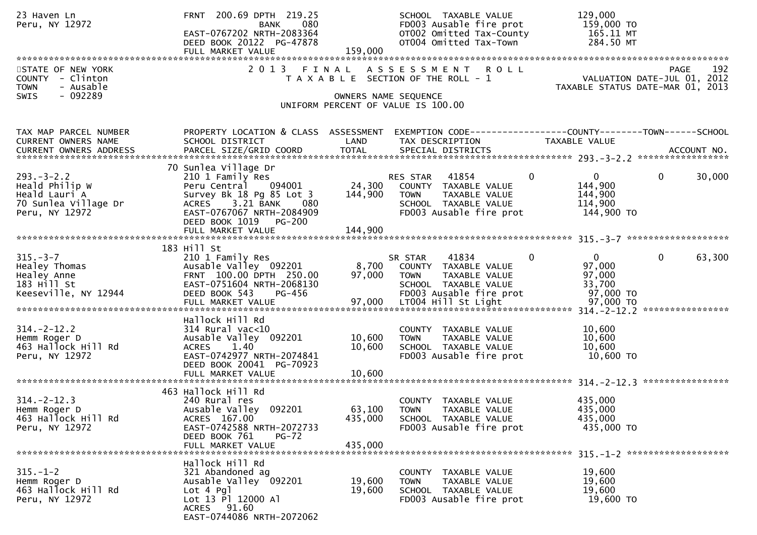| 23 Haven Ln<br>Peru, NY 12972                                                                 | FRNT 200.69 DPTH 219.25<br>080<br><b>BANK</b><br>EAST-0767202 NRTH-2083364<br>DEED BOOK 20122 PG-47878<br>FULL MARKET VALUE                                                    | 159,000                      | SCHOOL TAXABLE VALUE<br>FD003 Ausable fire prot<br>OT002 Omitted Tax-County<br>OT004 Omitted Tax-Town                                              | 129,000<br>159,000 TO<br>165.11 MT<br>284.50 MT                                                             |  |  |  |  |  |
|-----------------------------------------------------------------------------------------------|--------------------------------------------------------------------------------------------------------------------------------------------------------------------------------|------------------------------|----------------------------------------------------------------------------------------------------------------------------------------------------|-------------------------------------------------------------------------------------------------------------|--|--|--|--|--|
| STATE OF NEW YORK<br>COUNTY - Clinton<br><b>TOWN</b><br>- Ausable<br>- 092289<br><b>SWIS</b>  |                                                                                                                                                                                |                              | 2013 FINAL ASSESSMENT ROLL<br>T A X A B L E SECTION OF THE ROLL - 1<br>OWNERS NAME SEQUENCE                                                        | 192<br>PAGE<br>VALUATION DATE-JUL 01, 2012<br>TAXABLE STATUS DATE-MAR 01, 2013                              |  |  |  |  |  |
|                                                                                               |                                                                                                                                                                                |                              | UNIFORM PERCENT OF VALUE IS 100.00                                                                                                                 |                                                                                                             |  |  |  |  |  |
| TAX MAP PARCEL NUMBER<br>CURRENT OWNERS NAME                                                  | PROPERTY LOCATION & CLASS ASSESSMENT<br>SCHOOL DISTRICT                                                                                                                        | LAND                         | TAX DESCRIPTION                                                                                                                                    | EXEMPTION CODE-----------------COUNTY-------TOWN------SCHOOL<br>TAXABLE VALUE                               |  |  |  |  |  |
| $293. - 3 - 2.2$<br>Heald Philip W<br>Heald Lauri A<br>70 Sunlea Village Dr<br>Peru, NY 12972 | 70 Sunlea Village Dr<br>210 1 Family Res<br>094001<br>Peru Central<br>Survey Bk 18 Pg 85 Lot 3<br>ACRES 3.21 BANK<br>080<br>EAST-0767067 NRTH-2084909<br>DEED BOOK 1019 PG-200 | 24,300<br>144,900            | RES STAR 41854<br>COUNTY TAXABLE VALUE<br><b>TOWN</b><br>TAXABLE VALUE<br>SCHOOL TAXABLE VALUE<br>FD003 Ausable fire prot                          | $\mathbf{0}$<br>$\overline{0}$<br>$\mathbf{0}$<br>30,000<br>144,900<br>144,900<br>114,900<br>144,900 TO     |  |  |  |  |  |
|                                                                                               | 144,900<br>FULL MARKET VALUE                                                                                                                                                   |                              |                                                                                                                                                    |                                                                                                             |  |  |  |  |  |
| $315. - 3 - 7$<br>Healey Thomas<br>Healey Anne<br>$183$ Hill St<br>Keeseville, NY 12944       | 183 Hill St<br>210 1 Family Res<br>Ausable Valley 092201<br>FRNT 100.00 DPTH 250.00<br>EAST-0751604 NRTH-2068130<br>DEED BOOK 543<br>PG-456<br>FULL MARKET VALUE               | 8,700<br>97,000<br>97,000    | 41834<br>SR STAR<br>COUNTY TAXABLE VALUE<br><b>TOWN</b><br>TAXABLE VALUE<br>SCHOOL TAXABLE VALUE<br>FD003 Ausable fire prot<br>LT004 Hill St Light | $\overline{0}$<br>$\Omega$<br>$\mathbf 0$<br>63,300<br>97,000<br>97,000<br>33,700<br>97,000 TO<br>97,000 TO |  |  |  |  |  |
| $314. - 2 - 12.2$<br>Hemm Roger D<br>463 Hallock Hill Rd<br>Peru, NY 12972                    | Hallock Hill Rd<br>$314$ Rural vac<10<br>Ausable Valley 092201<br><b>ACRES</b><br>1.40<br>EAST-0742977 NRTH-2074841<br>DEED BOOK 20041 PG-70923                                | 10,600<br>10,600             | COUNTY TAXABLE VALUE<br>TAXABLE VALUE<br><b>TOWN</b><br>SCHOOL TAXABLE VALUE<br>FD003 Ausable fire prot                                            | 10,600<br>10,600<br>10,600<br>10,600 TO                                                                     |  |  |  |  |  |
| $314. - 2 - 12.3$<br>Hemm Roger D<br>463 Hallock Hill Rd<br>Peru, NY 12972                    | 463 Hallock Hill Rd<br>240 Rural res<br>Ausable Valley 092201<br>ACRES 167.00<br>EAST-0742588 NRTH-2072733<br>DEED BOOK 761<br>$PG-72$<br>FULL MARKET VALUE                    | 63,100<br>435,000<br>435,000 | TAXABLE VALUE<br><b>COUNTY</b><br><b>TOWN</b><br>TAXABLE VALUE<br>SCHOOL TAXABLE VALUE<br>FD003 Ausable fire prot                                  | 435,000<br>435,000<br>435,000<br>435,000 TO                                                                 |  |  |  |  |  |
| $315. - 1 - 2$<br>Hemm Roger D<br>463 Hallock Hill Rd<br>Peru, NY 12972                       | Hallock Hill Rd<br>321 Abandoned ag<br>Ausable Valley 092201<br>Lot 4 Pgl<br>Lot 13 Pl 12000 Al<br>ACRES 91.60<br>EAST-0744086 NRTH-2072062                                    | 19,600<br>19,600             | COUNTY TAXABLE VALUE<br>TAXABLE VALUE<br><b>TOWN</b><br>SCHOOL TAXABLE VALUE<br>FD003 Ausable fire prot                                            | 19,600<br>19,600<br>19,600<br>19,600 TO                                                                     |  |  |  |  |  |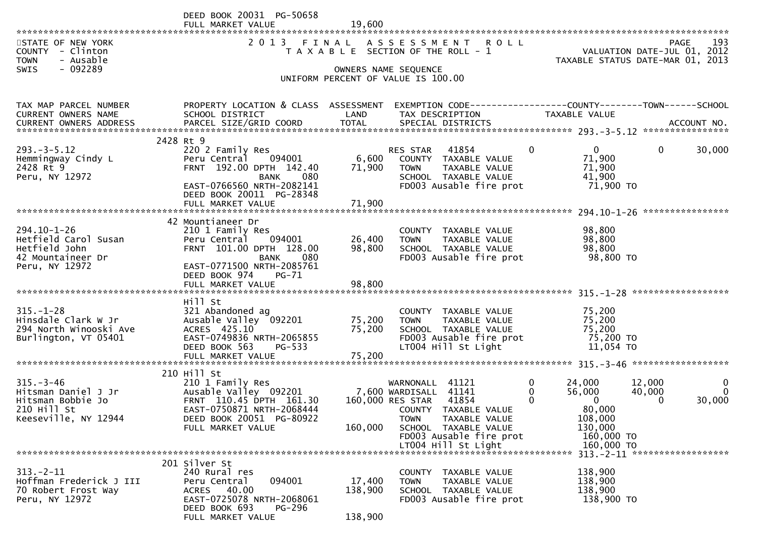|                                                                                              | DEED BOOK 20031 PG-50658<br>FULL MARKET VALUE                                                                                                                             | 19,600                                                          |                                                                                                                                                     |                                                                            |                       |
|----------------------------------------------------------------------------------------------|---------------------------------------------------------------------------------------------------------------------------------------------------------------------------|-----------------------------------------------------------------|-----------------------------------------------------------------------------------------------------------------------------------------------------|----------------------------------------------------------------------------|-----------------------|
| STATE OF NEW YORK<br>COUNTY - Clinton<br><b>TOWN</b><br>- Ausable<br>- 092289<br><b>SWIS</b> | 2013 FINAL ASSESSMENT ROLL<br>T A X A B L E SECTION OF THE ROLL - 1                                                                                                       | VALUATION DATE-JUL 01, 2012<br>TAXABLE STATUS DATE-MAR 01, 2013 | 193<br>PAGE                                                                                                                                         |                                                                            |                       |
|                                                                                              |                                                                                                                                                                           |                                                                 | OWNERS NAME SEQUENCE<br>UNIFORM PERCENT OF VALUE IS 100.00                                                                                          |                                                                            |                       |
| TAX MAP PARCEL NUMBER<br>CURRENT OWNERS NAME                                                 | PROPERTY LOCATION & CLASS ASSESSMENT<br>SCHOOL DISTRICT                                                                                                                   | LAND                                                            | EXEMPTION CODE-----------------COUNTY-------TOWN------SCHOOL<br>TAX DESCRIPTION                                                                     | TAXABLE VALUE                                                              |                       |
|                                                                                              | 2428 Rt 9                                                                                                                                                                 |                                                                 |                                                                                                                                                     |                                                                            |                       |
| $293 - 3 - 5.12$<br>Hemmingway Cindy L<br>2428 Rt 9<br>Peru, NY 12972                        | 220 2 Family Res<br>094001<br>Peru Central<br>FRNT 192.00 DPTH 142.40<br><b>BANK</b><br>080<br>EAST-0766560 NRTH-2082141<br>DEED BOOK 20011 PG-28348                      | 6,600<br>71,900                                                 | $\mathbf{0}$<br>41854<br><b>RES STAR</b><br>COUNTY TAXABLE VALUE<br><b>TOWN</b><br>TAXABLE VALUE<br>SCHOOL TAXABLE VALUE<br>FD003 Ausable fire prot | $\overline{0}$<br>$\mathbf{0}$<br>71,900<br>71,900<br>41,900<br>71,900 TO  | 30,000                |
|                                                                                              | FULL MARKET VALUE                                                                                                                                                         | 71,900                                                          |                                                                                                                                                     |                                                                            |                       |
| 294.10-1-26<br>Hetfield Carol Susan<br>Hetfield John<br>42 Mountaineer Dr<br>Peru, NY 12972  | 42 Mountianeer Dr<br>210 1 Family Res<br>Peru Central<br>094001<br>FRNT 101.00 DPTH 128.00<br>080<br><b>BANK</b><br>EAST-0771500 NRTH-2085761<br>DEED BOOK 974<br>$PG-71$ | 26,400<br>98,800                                                | COUNTY TAXABLE VALUE<br>TAXABLE VALUE<br><b>TOWN</b><br>SCHOOL TAXABLE VALUE<br>FD003 Ausable fire prot                                             | 98,800<br>98,800<br>98,800<br>98,800 TO                                    |                       |
|                                                                                              | FULL MARKET VALUE                                                                                                                                                         | 98,800                                                          |                                                                                                                                                     |                                                                            |                       |
| $315. - 1 - 28$<br>Hinsdale Clark W Jr<br>294 North Winooski Ave<br>Burlington, VT 05401     | Hill St<br>321 Abandoned ag<br>Ausable Valley 092201<br>ACRES 425.10<br>EAST-0749836 NRTH-2065855<br>DEED BOOK 563<br>PG-533                                              | 75,200<br>75,200                                                | COUNTY TAXABLE VALUE<br><b>TOWN</b><br>TAXABLE VALUE<br>SCHOOL TAXABLE VALUE<br>FD003 Ausable fire prot<br>LT004 Hill St Light                      | 75,200<br>75,200<br>75,200<br>75,200 TO<br>11,054 TO                       |                       |
|                                                                                              | FULL MARKET VALUE                                                                                                                                                         | 75,200                                                          |                                                                                                                                                     |                                                                            |                       |
| $315. - 3 - 46$<br>Hitsman Daniel J Jr<br>Hitsman Bobbie Jo<br>210 Hill St                   | 210 Hill St<br>210 1 Family Res<br>Ausable Valley 092201<br>FRNT 110.45 DPTH 161.30<br>EAST-0750871 NRTH-2068444                                                          |                                                                 | 0<br>WARNONALL<br>41121<br>7,600 WARDISALL 41141<br>0<br>41854<br>$\Omega$<br>160,000 RES STAR<br>COUNTY TAXABLE VALUE                              | 24,000<br>12,000<br>56,000<br>40,000<br>$\mathbf{0}$<br>$\Omega$<br>80,000 | $\mathbf 0$<br>30,000 |
| Keeseville, NY 12944                                                                         | DEED BOOK 20051 PG-80922<br>FULL MARKET VALUE                                                                                                                             | 160,000                                                         | <b>TOWN</b><br><b>TAXABLE VALUE</b><br>SCHOOL TAXABLE VALUE<br>FD003 Ausable fire prot<br>LT004 Hill St Light                                       | 108,000<br>130,000<br>160,000 TO<br>160,000 TO                             |                       |
|                                                                                              | 201 Silver St                                                                                                                                                             |                                                                 |                                                                                                                                                     | 313. - 2 - 11 *******************                                          |                       |
| $313 - 2 - 11$<br>Hoffman Frederick J III<br>70 Robert Frost Way<br>Peru, NY 12972           | 240 Rural res<br>094001<br>Peru Central<br>ACRES 40.00<br>EAST-0725078 NRTH-2068061<br>DEED BOOK COJ<br>$DC^{\circ}$                                                      | 17,400<br>138,900                                               | <b>COUNTY</b><br>TAXABLE VALUE<br><b>TOWN</b><br>TAXABLE VALUE<br>SCHOOL TAXABLE VALUE<br>FD003 Ausable fire prot                                   | 138,900<br>138,900<br>138,900<br>138,900 TO                                |                       |

FULL MARKET VALUE 138,900

DEED BOOK 693 PG-296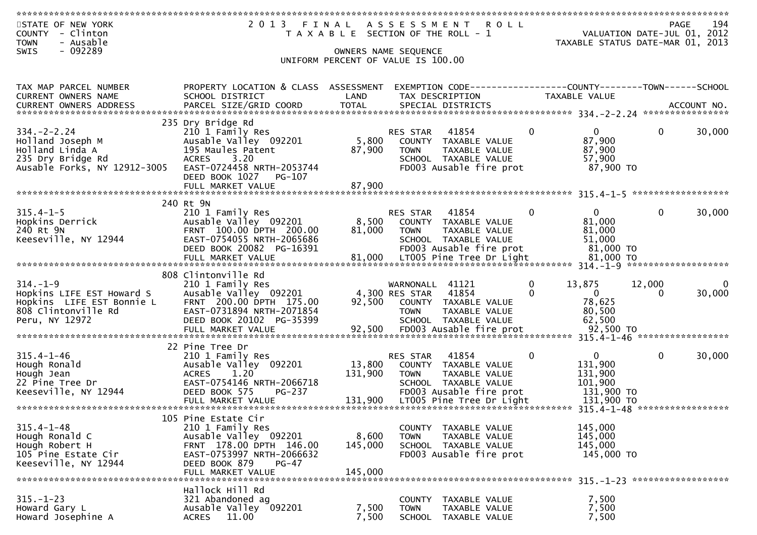| STATE OF NEW YORK<br>COUNTY<br>- Clinton<br>- Ausable<br><b>TOWN</b>                                                                                  | 2013 FINAL                                                 | T A X A B L E SECTION OF THE ROLL - 1 | A S S E S S M E N T               | <b>ROLL</b>                                                                     |                          | VALUATION DATE-JUL 01, 2012<br>TAXABLE STATUS DATE-MAR 01, 2013 | PAGE         | 194                |
|-------------------------------------------------------------------------------------------------------------------------------------------------------|------------------------------------------------------------|---------------------------------------|-----------------------------------|---------------------------------------------------------------------------------|--------------------------|-----------------------------------------------------------------|--------------|--------------------|
| - 092289<br>SWIS                                                                                                                                      |                                                            |                                       | OWNERS NAME SEQUENCE              |                                                                                 |                          |                                                                 |              |                    |
|                                                                                                                                                       |                                                            | UNIFORM PERCENT OF VALUE IS 100.00    |                                   |                                                                                 |                          |                                                                 |              |                    |
|                                                                                                                                                       |                                                            |                                       |                                   |                                                                                 |                          |                                                                 |              |                    |
| TAX MAP PARCEL NUMBER<br>CURRENT OWNERS NAME                                                                                                          | PROPERTY LOCATION & CLASS ASSESSMENT<br>SCHOOL DISTRICT    | LAND                                  |                                   | EXEMPTION CODE-----------------COUNTY-------TOWN------SCHOOL<br>TAX DESCRIPTION |                          | TAXABLE VALUE                                                   |              |                    |
|                                                                                                                                                       |                                                            |                                       |                                   |                                                                                 |                          |                                                                 |              |                    |
| .CURRENT OWNERS ADDRESS PARCEL SIZE/GRID COORD TOTAL SPECIAL DISTRICTS MOTHER ACCOUNT NO ACCOUNT NO AND ARCEL SIZE/GRID COORD TOTAL SPECIAL DISTRICTS |                                                            |                                       |                                   |                                                                                 |                          |                                                                 |              |                    |
| $334. - 2 - 2.24$                                                                                                                                     | 235 Dry Bridge Rd<br>210 1 Family Res                      |                                       | RES STAR                          | 41854                                                                           | $\Omega$                 | $\overline{0}$                                                  | $\mathbf{0}$ | 30,000             |
| Holland Joseph M                                                                                                                                      | Ausable Valley 092201                                      | 5,800                                 |                                   | COUNTY TAXABLE VALUE                                                            |                          | 87,900                                                          |              |                    |
| Holland Linda A                                                                                                                                       | 195 Maules Patent                                          | 87,900                                | <b>TOWN</b>                       | TAXABLE VALUE                                                                   |                          | 87,900                                                          |              |                    |
| 235 Dry Bridge Rd<br>Ausable Forks, NY 12912-3005                                                                                                     | 3.20<br><b>ACRES</b><br>EAST-0724458 NRTH-2053744          |                                       |                                   | SCHOOL TAXABLE VALUE<br>FD003 Ausable fire prot                                 |                          | 57,900<br>87,900 TO                                             |              |                    |
|                                                                                                                                                       | DEED BOOK 1027 PG-107                                      |                                       |                                   |                                                                                 |                          |                                                                 |              |                    |
|                                                                                                                                                       | FULL MARKET VALUE                                          | 87,900                                |                                   |                                                                                 |                          |                                                                 |              |                    |
|                                                                                                                                                       | 240 Rt 9N                                                  |                                       |                                   |                                                                                 |                          |                                                                 |              |                    |
| $315.4 - 1 - 5$                                                                                                                                       | 210 1 Family Res                                           |                                       | RES STAR                          | 41854                                                                           | $\Omega$                 | $\Omega$                                                        | $\mathbf{0}$ | 30,000             |
| Hopkins Derrick<br>240 Rt 9N                                                                                                                          | Ausable Valley 092201<br>FRNT 100.00 DPTH 200.00           | 8,500<br>81,000                       | <b>TOWN</b>                       | COUNTY TAXABLE VALUE<br>TAXABLE VALUE                                           |                          | 81,000<br>81,000                                                |              |                    |
| Keeseville, NY 12944                                                                                                                                  | EAST-0754055 NRTH-2065686                                  |                                       |                                   | SCHOOL TAXABLE VALUE                                                            |                          | 51,000                                                          |              |                    |
|                                                                                                                                                       | DEED BOOK 20082 PG-16391                                   |                                       |                                   | FD003 Ausable fire prot                                                         |                          | 81,000 TO                                                       |              |                    |
|                                                                                                                                                       | FULL MARKET VALUE                                          | 81,000                                |                                   | LT005 Pine Tree Dr Light                                                        |                          | 81,000 TO                                                       |              |                    |
|                                                                                                                                                       | 808 Clintonville Rd                                        |                                       |                                   |                                                                                 |                          |                                                                 |              |                    |
| $314. - 1 - 9$<br>Hopkins LIFE EST Howard S                                                                                                           | 210 1 Family Res<br>Ausable Valley 092201                  |                                       | WARNONALL 41121<br>4,300 RES STAR | 41854                                                                           | $\mathbf{0}$<br>$\Omega$ | 13,875<br>$\mathbf{0}$                                          | 12,000<br>0  | $\Omega$<br>30,000 |
| Hopkins LIFE EST Bonnie L                                                                                                                             | FRNT 200.00 DPTH 175.00                                    | 92,500                                |                                   | COUNTY TAXABLE VALUE                                                            |                          | 78,625                                                          |              |                    |
| 808 Clintonville Rd                                                                                                                                   | EAST-0731894 NRTH-2071854                                  |                                       | <b>TOWN</b>                       | TAXABLE VALUE                                                                   |                          | 80,500                                                          |              |                    |
| Peru, NY 12972                                                                                                                                        | DEED BOOK 20102 PG-35399                                   |                                       |                                   | SCHOOL TAXABLE VALUE                                                            |                          | 62,500                                                          |              |                    |
|                                                                                                                                                       |                                                            |                                       |                                   |                                                                                 |                          |                                                                 |              |                    |
|                                                                                                                                                       | 22 Pine Tree Dr                                            |                                       |                                   |                                                                                 |                          |                                                                 |              |                    |
| $315.4 - 1 - 46$<br>Hough Ronald                                                                                                                      | 210 1 Family Res<br>Ausable Valley 092201                  | 13,800                                | RES STAR                          | 41854<br>COUNTY TAXABLE VALUE                                                   | 0                        | $\mathbf{0}$<br>131,900                                         | $\mathbf 0$  | 30,000             |
| Hough Jean                                                                                                                                            | <b>ACRES</b><br>1.20                                       | 131,900                               | <b>TOWN</b>                       | TAXABLE VALUE                                                                   |                          | 131,900                                                         |              |                    |
| 22 Pine Tree Dr<br>Keeseville, NY 12944                                                                                                               | EAST-0754146 NRTH-2066718<br>DEED BOOK 575<br>PG-237       |                                       |                                   | SCHOOL TAXABLE VALUE<br>FD003 Ausable fire prot                                 |                          | 101,900<br>131,900 TO                                           |              |                    |
|                                                                                                                                                       | FULL MARKET VALUE                                          | 131,900                               |                                   | LT005 Pine Tree Dr Light                                                        |                          | 131,900 TO                                                      |              |                    |
|                                                                                                                                                       |                                                            |                                       |                                   |                                                                                 |                          |                                                                 |              |                    |
| $315.4 - 1 - 48$                                                                                                                                      | 105 Pine Estate Cir<br>210 1 Family Res                    |                                       |                                   | COUNTY TAXABLE VALUE                                                            |                          | 145,000                                                         |              |                    |
| Hough Ronald C                                                                                                                                        | Ausable Valley 092201                                      | 8,600                                 | <b>TOWN</b>                       | TAXABLE VALUE                                                                   |                          | 145,000                                                         |              |                    |
| Hough Robert H                                                                                                                                        | FRNT 178.00 DPTH 146.00                                    | 145,000                               |                                   | SCHOOL TAXABLE VALUE                                                            |                          | 145,000                                                         |              |                    |
| 105 Pine Estate Cir<br>Keeseville, NY 12944                                                                                                           | EAST-0753997 NRTH-2066632<br>DEED BOOK 879<br><b>PG-47</b> |                                       |                                   | FD003 Ausable fire prot                                                         |                          | 145,000 TO                                                      |              |                    |
|                                                                                                                                                       | FULL MARKET VALUE                                          | 145,000                               |                                   |                                                                                 |                          |                                                                 |              |                    |
|                                                                                                                                                       | Hallock Hill Rd                                            |                                       |                                   |                                                                                 |                          |                                                                 |              |                    |
| $315. - 1 - 23$                                                                                                                                       | 321 Abandoned ag                                           |                                       | <b>COUNTY</b>                     | TAXABLE VALUE                                                                   |                          | 7,500                                                           |              |                    |
| Howard Gary L                                                                                                                                         | Ausable Valley 092201                                      | 7,500                                 | <b>TOWN</b>                       | TAXABLE VALUE                                                                   |                          | 7,500                                                           |              |                    |
| Howard Josephine A                                                                                                                                    | 11.00<br>ACRES                                             | 7,500                                 |                                   | SCHOOL TAXABLE VALUE                                                            |                          | 7,500                                                           |              |                    |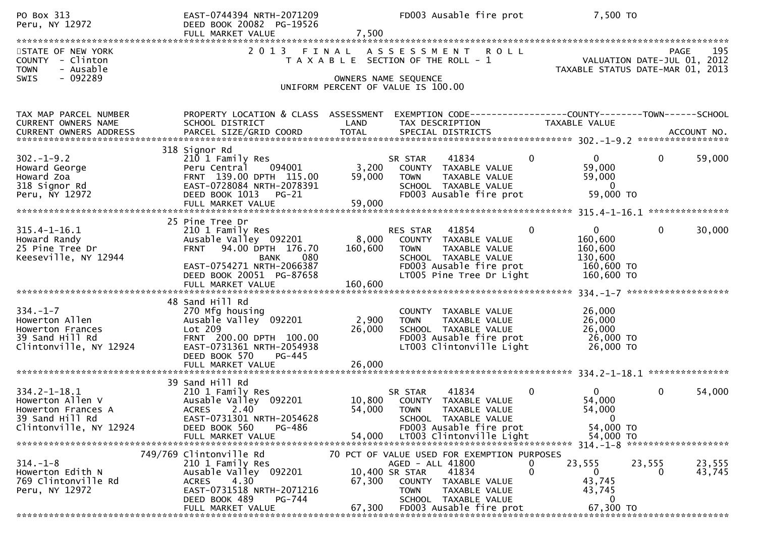| PO Box 313<br>Peru, NY 12972                                                                              | EAST-0744394 NRTH-2071209<br>DEED BOOK 20082 PG-19526<br>FULL MARKET VALUE                                                                                       | 7,500                     | FD003 Ausable fire prot                                                                                                                                  |              | 7,500 TO                                                                                  |                    |  |
|-----------------------------------------------------------------------------------------------------------|------------------------------------------------------------------------------------------------------------------------------------------------------------------|---------------------------|----------------------------------------------------------------------------------------------------------------------------------------------------------|--------------|-------------------------------------------------------------------------------------------|--------------------|--|
| STATE OF NEW YORK<br>COUNTY - Clinton<br><b>TOWN</b><br>- Ausable<br>- 092289<br><b>SWIS</b>              | 2013 FINAL                                                                                                                                                       |                           | A S S E S S M E N T R O L L<br>T A X A B L E SECTION OF THE ROLL - 1<br>OWNERS NAME SEQUENCE                                                             |              | VALUATION DATE-JUL 01, 2012<br>TAXABLE STATUS DATE-MAR 01, 2013                           | 195<br><b>PAGE</b> |  |
|                                                                                                           |                                                                                                                                                                  |                           | UNIFORM PERCENT OF VALUE IS 100.00                                                                                                                       |              |                                                                                           |                    |  |
| TAX MAP PARCEL NUMBER<br>CURRENT OWNERS NAME                                                              | PROPERTY LOCATION & CLASS ASSESSMENT<br>SCHOOL DISTRICT                                                                                                          | LAND                      | EXEMPTION CODE-----------------COUNTY-------TOWN------SCHOOL<br>TAX DESCRIPTION                                                                          |              | TAXABLE VALUE                                                                             |                    |  |
| $302 - 1 - 9.2$<br>Howard George<br>Howard Zoa<br>318 Signor Rd<br>Peru, NY 12972                         | 318 Signor Rd<br>210 1 Family Res<br>Peru Central<br>094001<br>FRNT 139.00 DPTH 115.00<br>EAST-0728084 NRTH-2078391<br>DEED BOOK 1013 PG-21<br>FULL MARKET VALUE | 3,200<br>59,000<br>59,000 | 41834<br>SR STAR<br>COUNTY TAXABLE VALUE<br><b>TOWN</b><br>TAXABLE VALUE<br>SCHOOL TAXABLE VALUE<br>FD003 Ausable fire prot                              | $\mathbf{0}$ | $\mathbf 0$<br>$\mathbf 0$<br>59,000<br>59,000<br>$\mathbf 0$<br>59,000 TO                | 59,000             |  |
| 25 Pine Tree Dr                                                                                           |                                                                                                                                                                  |                           |                                                                                                                                                          |              |                                                                                           |                    |  |
| $315.4 - 1 - 16.1$<br>Howard Randy<br>25 Pine Tree Dr<br>Keeseville, NY 12944                             | 210 1 Family Res<br>Ausable Valley 092201<br>FRNT 94.00 DPTH 176.70<br>080<br>BANK<br>EAST-0754271 NRTH-2066387<br>DEED BOOK 20051 PG-87658                      | 8,000<br>160,600          | RES STAR<br>41854<br>COUNTY TAXABLE VALUE<br>TAXABLE VALUE<br><b>TOWN</b><br>SCHOOL TAXABLE VALUE<br>FD003 Ausable fire prot<br>LT005 Pine Tree Dr Light | $\Omega$     | $\mathbf{0}$<br>$\mathbf{0}$<br>160,600<br>160,600<br>130,600<br>160,600 TO<br>160,600 TO | 30,000             |  |
|                                                                                                           |                                                                                                                                                                  |                           |                                                                                                                                                          |              |                                                                                           |                    |  |
| $334. - 1 - 7$<br>Howerton Allen<br>Howerton Frances<br>39 Sand Hill Rd<br>Clintonville, NY 12924         | 48 Sand Hill Rd<br>270 Mfg housing<br>Ausable Valley 092201<br>Lot 209<br>FRNT 200.00 DPTH 100.00<br>EAST-0731361 NRTH-2054938<br>DEED BOOK 570<br>PG-445        | 2,900<br>26,000           | COUNTY TAXABLE VALUE<br><b>TOWN</b><br>TAXABLE VALUE<br>SCHOOL TAXABLE VALUE<br>FD003 Ausable fire prot<br>LT003 Clintonville Light                      |              | 26,000<br>26,000<br>26,000<br>26,000 TO<br>26,000 TO                                      |                    |  |
|                                                                                                           | FULL MARKET VALUE                                                                                                                                                | 26,000                    |                                                                                                                                                          |              |                                                                                           |                    |  |
| $334.2 - 1 - 18.1$<br>Howerton Allen V<br>Howerton Frances A<br>39 Sand Hill Rd<br>Clintonville, NY 12924 | 39 Sand Hill Rd<br>210 1 Family Res<br>Ausable Valley 092201<br>ACRES 2.40<br>EAST-0731301 NRTH-2054628<br>DEED BOOK 560<br>PG-486                               |                           | 41834<br>SR STAR<br>10,800 COUNTY TAXABLE VALUE<br>54,000 TOWN<br>TAXABLE VALUE<br>SCHOOL TAXABLE VALUE<br>FD003 Ausable fire prot                       | $\mathbf{0}$ | $\overline{0}$<br>$\mathbf{0}$<br>54,000<br>54,000<br>$\mathbf{0}$<br>54,000 TO           | 54,000             |  |
|                                                                                                           | FULL MARKET VALUE                                                                                                                                                | 54,000                    | LT003 Clintonville Light                                                                                                                                 |              | 54,000 TO                                                                                 |                    |  |
| $314. - 1 - 8$                                                                                            | 749/769 Clintonville Rd<br>210 1 Family Res                                                                                                                      |                           | 70 PCT OF VALUE USED FOR EXEMPTION PURPOSES<br>AGED - ALL 41800                                                                                          |              | 23,555<br>23,555                                                                          | 23,555             |  |
| Howerton Edith N<br>769 Clintonville Rd<br>Peru, NY 12972                                                 | Ausable Valley 092201<br>ACRES 4.30<br>EAST-0731518 NRTH-2071216<br>DEED BOOK 489<br>PG-744<br>FULL MARKET VALUE                                                 | 67,300<br>67,300          | 41834<br>10,400 SR STAR<br>COUNTY TAXABLE VALUE<br>TAXABLE VALUE<br><b>TOWN</b><br>SCHOOL TAXABLE VALUE<br>FD003 Ausable fire prot                       | 0            | $\mathbf{0}$<br>0<br>43,745<br>43,745<br>0<br>67,300 TO                                   | 43,745             |  |
|                                                                                                           |                                                                                                                                                                  |                           |                                                                                                                                                          |              |                                                                                           |                    |  |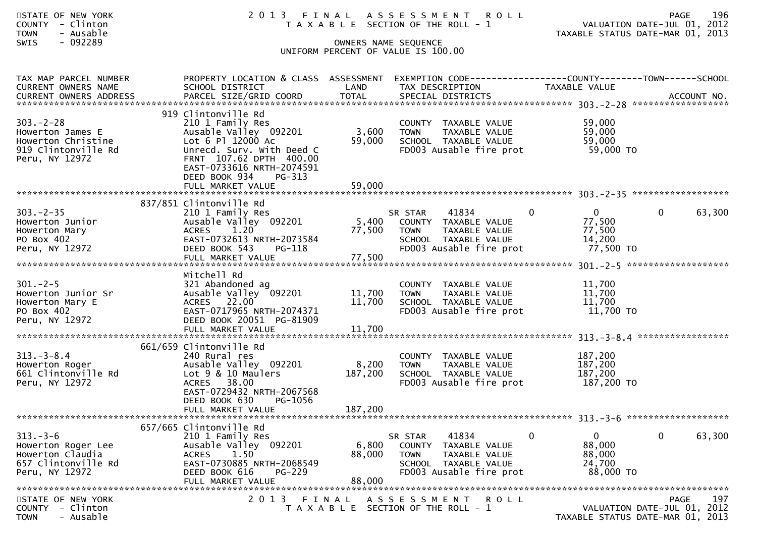| STATE OF NEW YORK<br>- Clinton<br><b>COUNTY</b><br>- Ausable<br><b>TOWN</b><br>$-092289$<br><b>SWIS</b> | 2 0 1 3                                                                                                                                                                                               |                             | FINAL ASSESSMENT ROLL<br>T A X A B L E SECTION OF THE ROLL - 1<br>OWNERS NAME SEQUENCE<br>UNIFORM PERCENT OF VALUE IS 100.00 |                                                                           | 196<br><b>PAGE</b><br>VALUATION DATE-JUL 01, 2012<br>TAXABLE STATUS DATE-MAR 01, 2013 |
|---------------------------------------------------------------------------------------------------------|-------------------------------------------------------------------------------------------------------------------------------------------------------------------------------------------------------|-----------------------------|------------------------------------------------------------------------------------------------------------------------------|---------------------------------------------------------------------------|---------------------------------------------------------------------------------------|
| TAX MAP PARCEL NUMBER<br>CURRENT OWNERS NAME<br>CURRENT OWNERS ADDRESS                                  | PROPERTY LOCATION & CLASS ASSESSMENT EXEMPTION CODE----------------COUNTY-------TOWN------SCHOOL<br>SCHOOL DISTRICT<br>PARCEL SIZE/GRID COORD                                                         | LAND<br><b>TOTAL</b>        | TAX DESCRIPTION<br>SPECIAL DISTRICTS                                                                                         | TAXABLE VALUE                                                             | ACCOUNT NO.                                                                           |
| $303 - 2 - 28$<br>Howerton James E<br>Howerton Christine<br>919 Clintonville Rd<br>Peru, NY 12972       | 919 Clintonville Rd<br>210 1 Family Res<br>Ausable Valley 092201<br>Lot 6 Pl 12000 Ac<br>Unrecd. Surv. With Deed C<br>FRNT 107.62 DPTH 400.00<br>EAST-0733616 NRTH-2074591<br>DEED BOOK 934<br>PG-313 | 3,600<br>59,000             | COUNTY TAXABLE VALUE<br><b>TOWN</b><br>TAXABLE VALUE<br>SCHOOL TAXABLE VALUE<br>FD003 Ausable fire prot                      | 59,000<br>59,000<br>59,000<br>59,000 TO                                   |                                                                                       |
|                                                                                                         |                                                                                                                                                                                                       |                             |                                                                                                                              |                                                                           |                                                                                       |
| $303 - 2 - 35$<br>Howerton Junior<br>Howerton Mary<br>PO Box 402<br>Peru, NY 12972                      | 837/851 Clintonville Rd<br>210 1 Family Res<br>Ausable Valley 092201<br><b>ACRES</b><br>1.20<br>EAST-0732613 NRTH-2073584<br>DEED BOOK 543<br>PG-118                                                  | 5,400<br>77,500             | 41834<br>SR STAR<br>COUNTY TAXABLE VALUE<br>TAXABLE VALUE<br><b>TOWN</b><br>SCHOOL TAXABLE VALUE<br>FD003 Ausable fire prot  | $\overline{0}$<br>$\mathbf{0}$<br>77,500<br>77,500<br>14,200<br>77,500 TO | $\mathbf{0}$<br>63,300                                                                |
| $301 - 2 - 5$<br>Howerton Junior Sr<br>Howerton Mary E<br>PO Box 402<br>Peru, NY 12972                  | Mitchell Rd<br>321 Abandoned ag<br>Ausable Valley 092201<br>ACRES 22.00<br>EAST-0717965 NRTH-2074371<br>DEED BOOK 20051 PG-81909<br>FULL MARKET VALUE                                                 | 11,700<br>11,700<br>11,700  | COUNTY TAXABLE VALUE<br>TAXABLE VALUE<br>TOWN<br>SCHOOL TAXABLE VALUE<br>FD003 Ausable fire prot                             | 11,700<br>11,700<br>11,700<br>11,700 TO                                   |                                                                                       |
| $313 - 3 - 8.4$<br>Howerton Roger<br>661 Clintonville Rd<br>Peru, NY 12972                              | 661/659 Clintonville Rd<br>240 Rural res<br>Ausable Valley 092201<br>Lot 9 & 10 Maulers<br>ACRES 38.00<br>EAST-0729432 NRTH-2067568<br>DEED BOOK 630<br>PG-1056<br>FULL MARKET VALUE                  | 8,200<br>187,200<br>187,200 | COUNTY TAXABLE VALUE<br><b>TOWN</b><br>TAXABLE VALUE<br>SCHOOL TAXABLE VALUE<br>FD003 Ausable fire prot                      | 187,200<br>187,200<br>187,200<br>187,200 TO                               |                                                                                       |
| $313 - 3 - 6$<br>Howerton Roger Lee<br>Howerton Claudia<br>657 Clintonville Rd<br>Peru, NY 12972        | 657/665 Clintonville Rd<br>210 1 Family Res<br>Ausable Valley 092201<br>1.50<br><b>ACRES</b><br>EAST-0730885 NRTH-2068549<br>DEED BOOK 616<br><b>PG-229</b><br>FULL MARKET VALUE                      | 6,800<br>88,000<br>88,000   | 41834<br>SR STAR<br>COUNTY TAXABLE VALUE<br><b>TOWN</b><br>TAXABLE VALUE<br>SCHOOL TAXABLE VALUE<br>FD003 Ausable fire prot  | $\bf{0}$<br>$\mathbf{0}$<br>88,000<br>88,000<br>24,700<br>88,000 TO       | 63,300<br>$\mathbf{0}$                                                                |
| STATE OF NEW YORK<br>COUNTY - Clinton<br><b>TOWN</b><br>- Ausable                                       | 2 0 1 3<br>FINAL                                                                                                                                                                                      |                             | ASSESSMENT ROLL<br>T A X A B L E SECTION OF THE ROLL - 1                                                                     |                                                                           | 197<br><b>PAGE</b><br>VALUATION DATE-JUL 01, 2012<br>TAXABLE STATUS DATE-MAR 01, 2013 |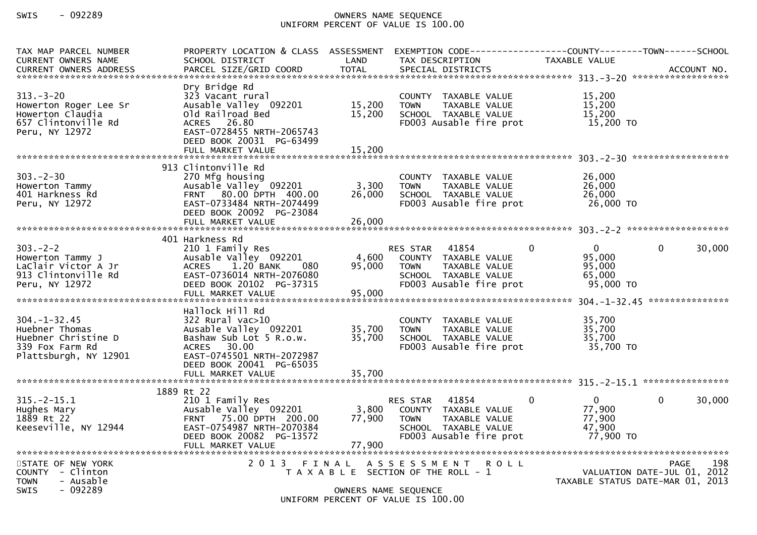## SWIS - 092289 OWNERS NAME SEQUENCE UNIFORM PERCENT OF VALUE IS 100.00

| TAX MAP PARCEL NUMBER<br><b>CURRENT OWNERS NAME</b>                                                     | PROPERTY LOCATION & CLASS ASSESSMENT<br>SCHOOL DISTRICT                                                                                                         | LAND                      | EXEMPTION CODE-----<br>TAX DESCRIPTION                                                                                    | TAXABLE VALUE                                                         | -------------COUNTY--------TOWN------SCHOOL                                           |
|---------------------------------------------------------------------------------------------------------|-----------------------------------------------------------------------------------------------------------------------------------------------------------------|---------------------------|---------------------------------------------------------------------------------------------------------------------------|-----------------------------------------------------------------------|---------------------------------------------------------------------------------------|
|                                                                                                         |                                                                                                                                                                 |                           |                                                                                                                           |                                                                       |                                                                                       |
| $313 - 3 - 20$<br>Howerton Roger Lee Sr<br>Howerton Claudia<br>657 Clintonville Rd<br>Peru, NY 12972    | Dry Bridge Rd<br>323 Vacant rural<br>Ausable Valley 092201<br>Old Railroad Bed<br>ACRES 26.80<br>EAST-0728455 NRTH-2065743<br>DEED BOOK 20031 PG-63499          | 15,200<br>15,200          | COUNTY TAXABLE VALUE<br><b>TOWN</b><br>TAXABLE VALUE<br>SCHOOL TAXABLE VALUE<br>FD003 Ausable fire prot                   | 15,200<br>15,200<br>15,200<br>15,200 TO                               |                                                                                       |
|                                                                                                         |                                                                                                                                                                 |                           |                                                                                                                           |                                                                       |                                                                                       |
| $303 - 2 - 30$<br>Howerton Tammy<br>401 Harkness Rd<br>Peru, NY 12972                                   | 913 Clintonville Rd<br>270 Mfg housing<br>Ausable Valley 092201<br>FRNT 80.00 DPTH 400.00<br>EAST-0733484 NRTH-2074499<br>DEED BOOK 20092 PG-23084              | 3,300<br>26,000           | COUNTY TAXABLE VALUE<br><b>TOWN</b><br>TAXABLE VALUE<br>SCHOOL TAXABLE VALUE<br>FD003 Ausable fire prot                   | 26,000<br>26,000<br>26,000<br>26,000 TO                               |                                                                                       |
|                                                                                                         |                                                                                                                                                                 |                           |                                                                                                                           |                                                                       |                                                                                       |
| $303 - 2 - 2$<br>Howerton Tammy J                                                                       | 401 Harkness Rd<br>210 1 Family Res<br>Ausable Valley 092201                                                                                                    | 4,600                     | 41854<br>RES STAR<br>COUNTY TAXABLE VALUE                                                                                 | $\overline{0}$<br>$\Omega$<br>95,000                                  | 30,000<br>$\Omega$                                                                    |
| LaClair Victor A Jr<br>913 Clintonville Rd<br>Peru, NY 12972                                            | $1.20$ BANK<br><b>ACRES</b><br>080<br>EAST-0736014 NRTH-2076080<br>DEED BOOK 20102 PG-37315                                                                     | 95,000                    | <b>TOWN</b><br>TAXABLE VALUE<br>SCHOOL TAXABLE VALUE<br>FD003 Ausable fire prot                                           | 95,000<br>65,000<br>95,000 TO                                         |                                                                                       |
|                                                                                                         |                                                                                                                                                                 |                           |                                                                                                                           |                                                                       | ****************                                                                      |
| $304. - 1 - 32.45$<br>Huebner Thomas<br>Huebner Christine D<br>339 Fox Farm Rd<br>Plattsburgh, NY 12901 | Hallock Hill Rd<br>322 Rural vac>10<br>Ausable Valley 092201<br>Bashaw Sub Lot 5 R.o.w.<br>ACRES 30.00<br>EAST-0745501 NRTH-2072987<br>DEED BOOK 20041 PG-65035 | 35,700<br>35,700          | COUNTY TAXABLE VALUE<br><b>TOWN</b><br>TAXABLE VALUE<br>SCHOOL TAXABLE VALUE<br>FD003 Ausable fire prot                   | 35,700<br>35,700<br>35,700<br>35,700 TO                               |                                                                                       |
|                                                                                                         | FULL MARKET VALUE                                                                                                                                               | 35,700                    |                                                                                                                           |                                                                       |                                                                                       |
|                                                                                                         | 1889 Rt 22                                                                                                                                                      |                           |                                                                                                                           |                                                                       |                                                                                       |
| $315. - 2 - 15.1$<br>Hughes Mary<br>1889 Rt 22<br>Keeseville, NY 12944                                  | 210 1 Family Res<br>Ausable Valley 092201<br>FRNT 75.00 DPTH 200.00<br>EAST-0754987 NRTH-2070384<br>DEED BOOK 20082 PG-13572<br>FULL MARKET VALUE               | 3,800<br>77,900<br>77,900 | RES STAR 41854<br>COUNTY TAXABLE VALUE<br><b>TOWN</b><br>TAXABLE VALUE<br>SCHOOL TAXABLE VALUE<br>FD003 Ausable fire prot | $\Omega$<br>$\overline{0}$<br>77,900<br>77,900<br>47,900<br>77,900 TO | $\Omega$<br>30,000                                                                    |
|                                                                                                         |                                                                                                                                                                 |                           |                                                                                                                           |                                                                       |                                                                                       |
| STATE OF NEW YORK<br>COUNTY - Clinton<br><b>TOWN</b><br>- Ausable<br><b>SWIS</b><br>- 092289            | 2013 FINAL                                                                                                                                                      |                           | ASSESSMENT ROLL<br>T A X A B L E SECTION OF THE ROLL - 1<br>OWNERS NAME SEQUENCE                                          |                                                                       | 198<br><b>PAGE</b><br>VALUATION DATE-JUL 01, 2012<br>TAXABLE STATUS DATE-MAR 01, 2013 |
|                                                                                                         |                                                                                                                                                                 |                           | $11175001$ $0.55651$ $0.5$ $1111$ $0.5$ $0.0$ $0.0$                                                                       |                                                                       |                                                                                       |

UNIFORM PERCENT OF VALUE IS 100.00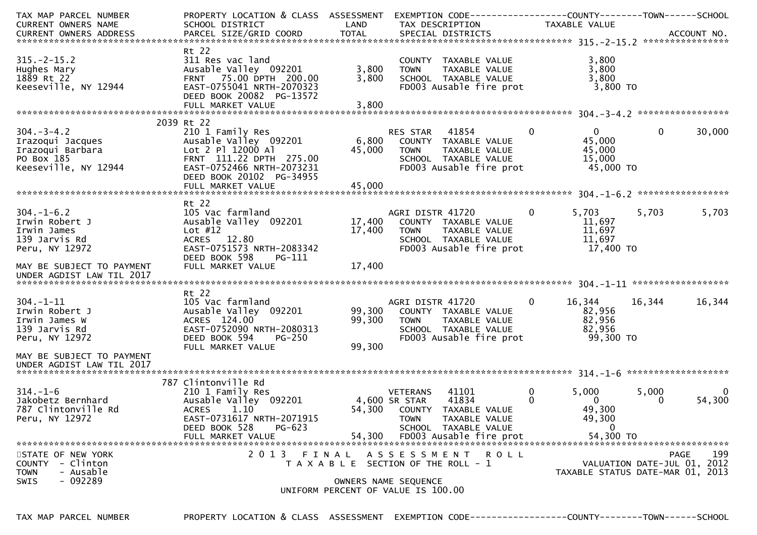| TAX MAP PARCEL NUMBER               | PROPERTY LOCATION & CLASS ASSESSMENT          |                                       |                                  |                             |          | EXEMPTION CODE-----------------COUNTY-------TOWN------SCHOOL |              |             |
|-------------------------------------|-----------------------------------------------|---------------------------------------|----------------------------------|-----------------------------|----------|--------------------------------------------------------------|--------------|-------------|
| CURRENT OWNERS NAME                 | SCHOOL DISTRICT                               | LAND                                  |                                  | TAX DESCRIPTION             |          | TAXABLE VALUE                                                |              |             |
|                                     |                                               |                                       |                                  |                             |          |                                                              |              |             |
|                                     | Rt 22                                         |                                       |                                  |                             |          |                                                              |              |             |
| $315. - 2 - 15.2$                   | 311 Res vac land                              |                                       |                                  | COUNTY TAXABLE VALUE        |          | 3,800                                                        |              |             |
| Hughes Mary                         | Ausable Valley 092201                         | 3,800                                 | <b>TOWN</b>                      | TAXABLE VALUE               |          | 3,800                                                        |              |             |
| 1889 Rt 22                          | FRNT 75.00 DPTH 200.00                        | 3,800                                 |                                  | SCHOOL TAXABLE VALUE        |          | 3,800                                                        |              |             |
| Keeseville, NY 12944                | EAST-0755041 NRTH-2070323                     |                                       |                                  | FD003 Ausable fire prot     |          | 3,800 TO                                                     |              |             |
|                                     | DEED BOOK 20082 PG-13572                      |                                       |                                  |                             |          |                                                              |              |             |
|                                     | FULL MARKET VALUE                             | 3,800                                 |                                  |                             |          |                                                              |              |             |
|                                     |                                               |                                       |                                  |                             |          |                                                              |              |             |
|                                     | 2039 Rt 22                                    |                                       |                                  |                             |          |                                                              |              |             |
| $304. - 3 - 4.2$                    | 210 1 Family Res                              |                                       | RES STAR                         | 41854                       | 0        | $\Omega$                                                     | $\mathbf{0}$ | 30,000      |
| Irazoqui Jacques                    | Ausable Valley 092201                         | 6,800                                 |                                  | COUNTY TAXABLE VALUE        |          | 45,000                                                       |              |             |
| Irazoqui Barbara                    | Lot 2 Pl 12000 Al                             | 45,000                                | <b>TOWN</b>                      | TAXABLE VALUE               |          | 45,000                                                       |              |             |
| PO Box 185                          | FRNT 111.22 DPTH 275.00                       |                                       |                                  | SCHOOL TAXABLE VALUE        |          | 15,000                                                       |              |             |
| Keeseville, NY 12944                | EAST-0752466 NRTH-2073231                     |                                       |                                  | FD003 Ausable fire prot     |          | 45,000 TO                                                    |              |             |
|                                     | DEED BOOK 20102 PG-34955                      |                                       |                                  |                             |          |                                                              |              |             |
|                                     | FULL MARKET VALUE                             | 45,000                                |                                  |                             |          |                                                              |              |             |
|                                     | Rt 22                                         |                                       |                                  |                             |          |                                                              |              |             |
| $304. - 1 - 6.2$                    | 105 Vac farmland                              |                                       | AGRI DISTR 41720                 |                             | $\Omega$ | 5,703                                                        | 5,703        | 5,703       |
| Irwin Robert J                      | Ausable Valley 092201                         | 17,400                                |                                  | COUNTY TAXABLE VALUE        |          | 11,697                                                       |              |             |
| Irwin James                         | Lot $#12$                                     | 17,400                                | <b>TOWN</b>                      | TAXABLE VALUE               |          | 11,697                                                       |              |             |
| 139 Jarvis Rd                       | ACRES 12.80                                   |                                       |                                  | SCHOOL TAXABLE VALUE        |          | 11,697                                                       |              |             |
| Peru, NY 12972                      | EAST-0751573 NRTH-2083342                     |                                       |                                  | FD003 Ausable fire prot     |          | 17,400 TO                                                    |              |             |
|                                     | DEED BOOK 598<br><b>PG-111</b>                |                                       |                                  |                             |          |                                                              |              |             |
| MAY BE SUBJECT TO PAYMENT           | FULL MARKET VALUE                             | 17,400                                |                                  |                             |          |                                                              |              |             |
| UNDER AGDIST LAW TIL 2017           |                                               |                                       |                                  |                             |          |                                                              |              |             |
|                                     |                                               |                                       |                                  |                             |          |                                                              |              |             |
|                                     | Rt 22                                         |                                       |                                  |                             |          |                                                              |              |             |
| $304. - 1 - 11$                     | 105 Vac farmland                              |                                       | AGRI DISTR 41720                 |                             | 0        | 16,344                                                       | 16,344       | 16,344      |
| Irwin Robert J                      | Ausable Valley 092201                         | 99,300                                |                                  | COUNTY TAXABLE VALUE        |          | 82,956                                                       |              |             |
| Irwin James W                       | ACRES 124.00                                  | 99,300                                | <b>TOWN</b>                      | TAXABLE VALUE               |          | 82,956                                                       |              |             |
| 139 Jarvis Rd                       | EAST-0752090 NRTH-2080313                     |                                       |                                  | SCHOOL TAXABLE VALUE        |          | 82,956                                                       |              |             |
| Peru, NY 12972                      | DEED BOOK 594<br>$PG-250$                     |                                       |                                  | FD003 Ausable fire prot     |          | 99,300 TO                                                    |              |             |
|                                     | FULL MARKET VALUE                             | 99,300                                |                                  |                             |          |                                                              |              |             |
| MAY BE SUBJECT TO PAYMENT           |                                               |                                       |                                  |                             |          |                                                              |              |             |
| UNDER AGDIST LAW TIL 2017           |                                               |                                       |                                  |                             |          |                                                              |              |             |
|                                     |                                               |                                       |                                  |                             |          |                                                              |              |             |
|                                     | 787 Clintonville Rd                           |                                       |                                  |                             | 0        |                                                              |              |             |
| $314. - 1 - 6$<br>Jakobetz Bernhard | 210 1 Family Res                              |                                       | <b>VETERANS</b><br>4,600 SR STAR | 41101<br>41834              | 0        | 5,000<br>$\overline{0}$                                      | 5,000<br>0   | 54,300      |
| 787 Clintonville Rd                 | Ausable Valley 092201<br><b>ACRES</b><br>1.10 |                                       |                                  | 54,300 COUNTY TAXABLE VALUE |          | 49,300                                                       |              |             |
|                                     | EAST-0731617 NRTH-2071915                     |                                       |                                  | TAXABLE VALUE               |          |                                                              |              |             |
| Peru, NY 12972                      | DEED BOOK 528<br>$PG-623$                     |                                       | <b>TOWN</b>                      | SCHOOL TAXABLE VALUE        |          | 49,300<br>$\mathbf 0$                                        |              |             |
|                                     | FULL MARKET VALUE                             | 54,300                                |                                  | FD003 Ausable fire prot     |          | 54,300 TO                                                    |              |             |
|                                     |                                               |                                       |                                  |                             |          |                                                              |              |             |
| STATE OF NEW YORK                   | 2013 FINAL                                    |                                       | A S S E S S M E N T              | R O L L                     |          |                                                              |              | 199<br>PAGE |
| - Clinton<br><b>COUNTY</b>          |                                               | T A X A B L E SECTION OF THE ROLL - 1 |                                  |                             |          | VALUATION DATE-JUL 01, 2012                                  |              |             |
| - Ausable<br><b>TOWN</b>            |                                               |                                       |                                  |                             |          | TAXABLE STATUS DATE-MAR 01, 2013                             |              |             |
| $-092289$<br><b>SWIS</b>            |                                               | OWNERS NAME SEQUENCE                  |                                  |                             |          |                                                              |              |             |
|                                     |                                               | UNIFORM PERCENT OF VALUE IS 100.00    |                                  |                             |          |                                                              |              |             |
|                                     |                                               |                                       |                                  |                             |          |                                                              |              |             |

TAX MAP PARCEL NUMBER PROPERTY LOCATION & CLASS ASSESSMENT EXEMPTION CODE------------------COUNTY--------TOWN------SCHOOL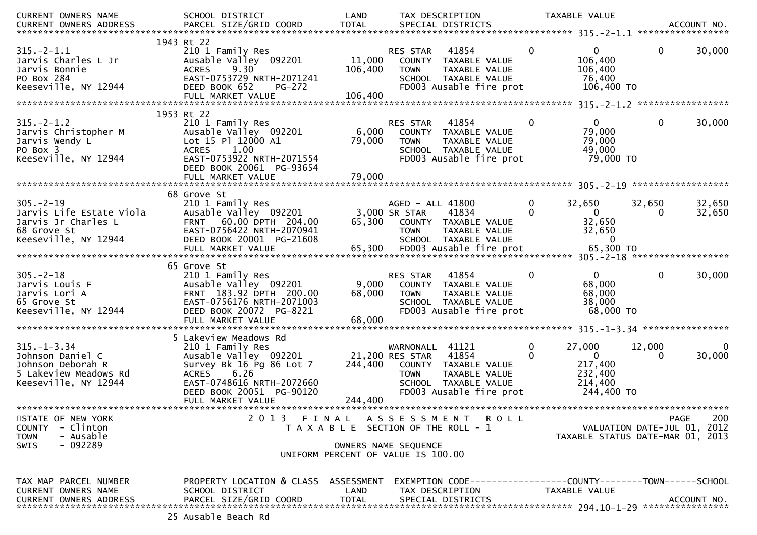| <b>CURRENT OWNERS NAME</b>                                                                                  | SCHOOL DISTRICT                                                                                                                                                                 | LAND                         | TAX DESCRIPTION                                                                                                                                        |                  | TAXABLE VALUE                                                         |                                            |                  |
|-------------------------------------------------------------------------------------------------------------|---------------------------------------------------------------------------------------------------------------------------------------------------------------------------------|------------------------------|--------------------------------------------------------------------------------------------------------------------------------------------------------|------------------|-----------------------------------------------------------------------|--------------------------------------------|------------------|
| CURRENT OWNERS ADDRESS                                                                                      | PARCEL SIZE/GRID COORD                                                                                                                                                          | <b>TOTAL</b>                 | SPECIAL DISTRICTS                                                                                                                                      |                  |                                                                       |                                            | ACCOUNT NO.      |
| $315. - 2 - 1.1$<br>Jarvis Charles L Jr<br>Jarvis Bonnie<br>PO Box 284<br>Keeseville, NY 12944              | 1943 Rt 22<br>210 1 Family Res<br>Ausable Valley 092201<br>9.30<br><b>ACRES</b><br>EAST-0753729 NRTH-2071241<br>DEED BOOK 652<br><b>PG-272</b><br>FULL MARKET VALUE             | 11,000<br>106,400<br>106,400 | RES STAR<br>41854<br>COUNTY TAXABLE VALUE<br><b>TOWN</b><br>TAXABLE VALUE<br>SCHOOL TAXABLE VALUE<br>FD003 Ausable fire prot                           | $\mathbf{0}$     | $\mathbf{0}$<br>106,400<br>106,400<br>76,400<br>106,400 TO            | $\mathbf{0}$                               | 30,000           |
|                                                                                                             | 1953 Rt 22                                                                                                                                                                      |                              |                                                                                                                                                        |                  |                                                                       |                                            |                  |
| $315. - 2 - 1.2$<br>Jarvis Christopher M<br>Jarvis Wendy L<br>PO Box 3<br>Keeseville, NY 12944              | 210 1 Family Res<br>Ausable Valley 092201<br>Lot 15 Pl 12000 A1<br>1.00<br><b>ACRES</b><br>EAST-0753922 NRTH-2071554<br>DEED BOOK 20061 PG-93654<br>FULL MARKET VALUE           | 6,000<br>79,000<br>79,000    | <b>RES STAR</b><br>41854<br>COUNTY TAXABLE VALUE<br><b>TOWN</b><br>TAXABLE VALUE<br>SCHOOL TAXABLE VALUE<br>FD003 Ausable fire prot                    | $\mathbf{0}$     | $\overline{0}$<br>79,000<br>79,000<br>49,000<br>79,000 TO             | $\mathbf 0$                                | 30,000           |
|                                                                                                             |                                                                                                                                                                                 |                              |                                                                                                                                                        |                  |                                                                       |                                            |                  |
| $305. -2 - 19$<br>Jarvis Life Estate Viola<br>Jarvis Jr Charles L<br>68 Grove St<br>Keeseville, NY 12944    | 68 Grove St<br>210 1 Family Res<br>Ausable Valley 092201<br>FRNT 60.00 DPTH 204.00<br>EAST-0756422 NRTH-2070941<br>DEED BOOK 20001 PG-21608<br>FULL MARKET VALUE                | 65,300<br>65,300             | AGED - ALL 41800<br>3,000 SR STAR<br>41834<br>COUNTY TAXABLE VALUE<br>TAXABLE VALUE<br><b>TOWN</b><br>SCHOOL TAXABLE VALUE<br>FD003 Ausable fire prot  | 0<br>$\Omega$    | 32,650<br>$\Omega$<br>32,650<br>32,650<br>$\mathbf 0$<br>65,300 TO    | 32,650                                     | 32,650<br>32,650 |
|                                                                                                             | 65 Grove St                                                                                                                                                                     |                              |                                                                                                                                                        |                  |                                                                       |                                            |                  |
| $305 - 2 - 18$<br>Jarvis Louis F<br>Jarvis Lori A<br>65 Grove St<br>Keeseville, NY 12944                    | 210 1 Family Res<br>Ausable Valley 092201<br>FRNT 183.92 DPTH 200.00<br>EAST-0756176 NRTH-2071003<br>DEED BOOK 20072 PG-8221<br>FULL MARKET VALUE                               | 9,000<br>68,000<br>68,000    | 41854<br>RES STAR<br>COUNTY TAXABLE VALUE<br><b>TOWN</b><br>TAXABLE VALUE<br>SCHOOL TAXABLE VALUE<br>FD003 Ausable fire prot                           | $\mathbf{0}$     | $\mathbf{0}$<br>68,000<br>68,000<br>38,000<br>68,000 TO               | $\mathbf 0$                                | 30,000           |
|                                                                                                             |                                                                                                                                                                                 |                              |                                                                                                                                                        |                  |                                                                       |                                            |                  |
| $315. - 1 - 3.34$<br>Johnson Daniel C<br>Johnson Deborah R<br>5 Lakeview Meadows Rd<br>Keeseville, NY 12944 | 5 Lakeview Meadows Rd<br>210 1 Family Res<br>Ausable Valley 092201<br>Survey Bk 16 Pg 86 Lot 7<br><b>ACRES</b><br>6.26<br>EAST-0748616 NRTH-2072660<br>DEED BOOK 20051 PG-90120 | 244,400                      | WARNONALL 41121<br>21,200 RES STAR<br>41854<br>COUNTY TAXABLE VALUE<br>TAXABLE VALUE<br><b>TOWN</b><br>SCHOOL TAXABLE VALUE<br>FD003 Ausable fire prot | $\mathbf 0$<br>0 | 27,000<br>$\mathbf{0}$<br>217,400<br>232,400<br>214,400<br>244,400 TO | 12,000<br>0                                | 30,000           |
|                                                                                                             | FULL MARKET VALUE                                                                                                                                                               | 244,400                      |                                                                                                                                                        |                  |                                                                       |                                            |                  |
| STATE OF NEW YORK<br>COUNTY<br>- Clinton<br><b>TOWN</b><br>- Ausable<br>$-092289$<br>SWIS                   |                                                                                                                                                                                 |                              | 2013 FINAL ASSESSMENT ROLL<br>T A X A B L E SECTION OF THE ROLL - 1<br>OWNERS NAME SEQUENCE<br>UNIFORM PERCENT OF VALUE IS 100.00                      |                  | TAXABLE STATUS DATE-MAR 01, 2013                                      | <b>PAGE</b><br>VALUATION DATE-JUL 01, 2012 | 200              |
| TAX MAP PARCEL NUMBER<br>CURRENT OWNERS NAME<br><b>CURRENT OWNERS ADDRESS</b>                               | PROPERTY LOCATION & CLASS ASSESSMENT<br>SCHOOL DISTRICT<br>PARCEL SIZE/GRID COORD                                                                                               | LAND<br><b>TOTAL</b>         | EXEMPTION CODE-----------------COUNTY-------TOWN------SCHOOL<br>TAX DESCRIPTION<br>SPECIAL DISTRICTS                                                   |                  | TAXABLE VALUE                                                         |                                            | ACCOUNT NO.      |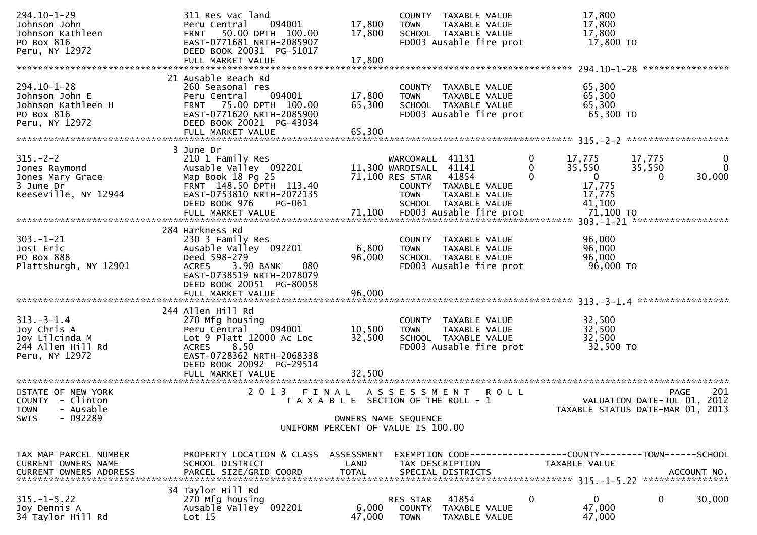| 294.10-1-29<br>Johnson John<br>Johnson Kathleen<br>PO Box 816<br>Peru, NY 12972          | 311 Res vac land<br>094001<br>Peru Central<br>50.00 DPTH 100.00<br><b>FRNT</b><br>EAST-0771681 NRTH-2085907<br>DEED BOOK 20031 PG-51017                                     | 17,800<br>17,800           | COUNTY TAXABLE VALUE<br>TAXABLE VALUE<br><b>TOWN</b><br>SCHOOL TAXABLE VALUE<br>FD003 Ausable fire prot                                               |             | 17,800<br>17,800<br>17,800<br>17,800 TO                        |                                                                                     |
|------------------------------------------------------------------------------------------|-----------------------------------------------------------------------------------------------------------------------------------------------------------------------------|----------------------------|-------------------------------------------------------------------------------------------------------------------------------------------------------|-------------|----------------------------------------------------------------|-------------------------------------------------------------------------------------|
|                                                                                          | FULL MARKET VALUE                                                                                                                                                           | 17,800                     |                                                                                                                                                       |             |                                                                |                                                                                     |
| 294.10-1-28<br>Johnson John E<br>Johnson Kathleen H<br>PO Box 816<br>Peru, NY 12972      | 21 Ausable Beach Rd<br>260 Seasonal res<br>094001<br>Peru Central<br>FRNT 75.00 DPTH 100.00<br>EAST-0771620 NRTH-2085900<br>DEED BOOK 20021 PG-43034<br>FULL MARKET VALUE   | 17,800<br>65,300<br>65,300 | COUNTY TAXABLE VALUE<br>TAXABLE VALUE<br><b>TOWN</b><br>SCHOOL TAXABLE VALUE<br>FD003 Ausable fire prot                                               |             | 65,300<br>65,300<br>65,300<br>65,300 TO                        |                                                                                     |
|                                                                                          |                                                                                                                                                                             |                            |                                                                                                                                                       |             |                                                                |                                                                                     |
| $315. - 2 - 2$<br>Jones Raymond<br>Jones Mary Grace<br>3 June Dr<br>Keeseville, NY 12944 | 3 June Dr<br>210 1 Family Res<br>Ausable Valley 092201<br>Map Book 18 Pg 25<br>FRNT 148.50 DPTH 113.40<br>EAST-0753810 NRTH-2072135<br>DEED BOOK 976<br>PG-061              |                            | WARCOMALL 41131<br>11,300 WARDISALL 41141<br>71,100 RES STAR<br>41854<br>COUNTY TAXABLE VALUE<br><b>TOWN</b><br>TAXABLE VALUE<br>SCHOOL TAXABLE VALUE | 0<br>0<br>0 | 17,775<br>35,550<br>$\mathbf{0}$<br>17,775<br>17,775<br>41,100 | 17,775<br>$\bf{0}$<br>35,550<br>$\Omega$<br>30,000<br>0                             |
|                                                                                          | 284 Harkness Rd                                                                                                                                                             |                            |                                                                                                                                                       |             |                                                                |                                                                                     |
| $303. - 1 - 21$<br>Jost Eric<br>PO Box 888<br>Plattsburgh, NY 12901                      | 230 3 Family Res<br>Ausable Valley 092201<br>Deed 598-279<br>3.90 BANK<br><b>ACRES</b><br>080<br>EAST-0738519 NRTH-2078079<br>DEED BOOK 20051 PG-80058                      | 6,800<br>96,000            | COUNTY TAXABLE VALUE<br><b>TOWN</b><br>TAXABLE VALUE<br>SCHOOL TAXABLE VALUE<br>FD003 Ausable fire prot                                               |             | 96,000<br>96,000<br>96,000<br>96,000 TO                        |                                                                                     |
|                                                                                          | FULL MARKET VALUE                                                                                                                                                           | 96,000                     |                                                                                                                                                       |             |                                                                |                                                                                     |
| $313 - 3 - 1.4$<br>Joy Chris A<br>Joy Lilcinda M<br>244 Allen Hill Rd<br>Peru, NY 12972  | 244 Allen Hill Rd<br>270 Mfg housing<br>094001<br>Peru Central<br>Lot 9 Platt 12000 Ac Loc<br>8.50<br><b>ACRES</b><br>EAST-0728362 NRTH-2068338<br>DEED BOOK 20092 PG-29514 | 10,500<br>32,500           | COUNTY TAXABLE VALUE<br>TAXABLE VALUE<br><b>TOWN</b><br>SCHOOL TAXABLE VALUE<br>FD003 Ausable fire prot                                               |             | 32,500<br>32,500<br>32,500<br>32,500 TO                        |                                                                                     |
| STATE OF NEW YORK                                                                        | 2013 FINAL                                                                                                                                                                  |                            |                                                                                                                                                       | <b>ROLL</b> |                                                                | 201<br><b>PAGE</b>                                                                  |
| COUNTY - Clinton<br><b>TOWN</b><br>- Ausable<br>$-092289$<br>SWIS                        |                                                                                                                                                                             |                            | A S S E S S M E N T<br>T A X A B L E SECTION OF THE ROLL - 1<br>OWNERS NAME SEQUENCE<br>UNIFORM PERCENT OF VALUE IS 100.00                            |             |                                                                | VALUATION DATE-JUL 01, 2012<br>TAXABLE STATUS DATE-MAR 01, 2013                     |
|                                                                                          |                                                                                                                                                                             |                            |                                                                                                                                                       |             |                                                                |                                                                                     |
| TAX MAP PARCEL NUMBER<br>CURRENT OWNERS NAME<br>CURRENT OWNERS ADDRESS                   | PROPERTY LOCATION & CLASS ASSESSMENT<br>SCHOOL DISTRICT<br>PARCEL SIZE/GRID COORD                                                                                           | LAND<br><b>TOTAL</b>       | TAX DESCRIPTION<br>SPECIAL DISTRICTS                                                                                                                  |             | TAXABLE VALUE                                                  | EXEMPTION        CODE------------------COUNTY-------TOWN------SCHOOL<br>ACCOUNT NO. |
|                                                                                          | 34 Taylor Hill Rd                                                                                                                                                           |                            |                                                                                                                                                       |             |                                                                |                                                                                     |
| $315. - 1 - 5.22$<br>Joy Dennis A<br>34 Taylor Hill Rd                                   | 270 Mfg housing<br>Ausable Valley 092201<br>Lot 15                                                                                                                          | 6,000<br>47,000            | 41854<br>RES STAR<br><b>COUNTY</b><br>TAXABLE VALUE<br><b>TOWN</b><br>TAXABLE VALUE                                                                   | 0           | 0<br>47,000<br>47,000                                          | 30,000<br>0                                                                         |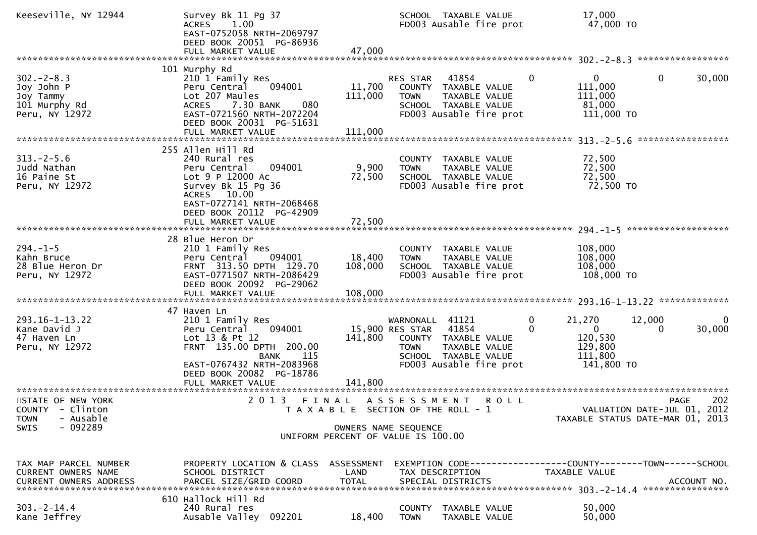| Keeseville, NY 12944                                                                          | Survey Bk 11 Pg 37<br>ACRES 1.00<br>EAST-0752058 NRTH-2069797<br>DEED BOOK 20051 PG-86936                                                                                                                  |                                    |                                                   | SCHOOL TAXABLE VALUE<br>FD003 Ausable fire prot                                                        |                            | 17,000<br>47,000 TO                                                   |                                            |                    |
|-----------------------------------------------------------------------------------------------|------------------------------------------------------------------------------------------------------------------------------------------------------------------------------------------------------------|------------------------------------|---------------------------------------------------|--------------------------------------------------------------------------------------------------------|----------------------------|-----------------------------------------------------------------------|--------------------------------------------|--------------------|
|                                                                                               | 101 Murphy Rd                                                                                                                                                                                              |                                    |                                                   |                                                                                                        |                            |                                                                       |                                            |                    |
| $302 - 2 - 8.3$<br>Joy John P<br>Joy Tammy<br>101 Murphy Rd<br>Peru, NY 12972                 | 210 1 Family Res<br>094001<br>Peru Central<br>Lot 207 Maules<br>7.30 BANK<br>080<br>ACRES<br>EAST-0721560 NRTH-2072204<br>DEED BOOK 20031 PG-51631                                                         | 11,700<br>111,000                  | RES STAR 41854<br><b>TOWN</b>                     | COUNTY TAXABLE VALUE<br>TAXABLE VALUE<br>SCHOOL TAXABLE VALUE<br>FD003 Ausable fire prot               | $\mathbf{0}$               | $\overline{0}$<br>111,000<br>111,000<br>81,000<br>111,000 TO          | $\mathbf 0$                                | 30,000             |
|                                                                                               |                                                                                                                                                                                                            |                                    |                                                   |                                                                                                        |                            |                                                                       |                                            |                    |
| $313. -2 - 5.6$<br>Judd Nathan<br>16 Paine St<br>Peru, NY 12972                               | 255 Allen Hill Rd<br>240 Rural res<br>094001<br>Peru Central<br>Lot 9 P 12000 Ac<br>Survey Bk 15 Pg 36<br>ACRES 10.00<br>EAST-0727141 NRTH-2068468                                                         | 9,900<br>72,500                    | <b>TOWN</b>                                       | COUNTY TAXABLE VALUE<br>TAXABLE VALUE<br>SCHOOL TAXABLE VALUE<br>FD003 Ausable fire prot               |                            | 72,500<br>72,500<br>72,500<br>72,500 TO                               | *****************                          |                    |
|                                                                                               | DEED BOOK 20112 PG-42909<br>FULL MARKET VALUE                                                                                                                                                              | 72,500                             |                                                   |                                                                                                        |                            |                                                                       |                                            |                    |
|                                                                                               |                                                                                                                                                                                                            |                                    |                                                   |                                                                                                        |                            |                                                                       |                                            |                    |
| $294. - 1 - 5$<br>Kahn Bruce<br>28 Blue Heron Dr<br>Peru, NY 12972                            | 28 Blue Heron Dr<br>210 1 Family Res<br>094001<br>Peru Central<br>FRNT 313.50 DPTH 129.70<br>EAST-0771507 NRTH-2086429<br>DEED BOOK 20092 PG-29062                                                         | 18,400<br>108,000                  | <b>TOWN</b>                                       | COUNTY TAXABLE VALUE<br>TAXABLE VALUE<br>SCHOOL TAXABLE VALUE<br>FD003 Ausable fire prot               |                            | 108,000<br>108,000<br>108,000<br>108,000 TO                           |                                            |                    |
|                                                                                               |                                                                                                                                                                                                            |                                    |                                                   |                                                                                                        |                            |                                                                       |                                            |                    |
| $293.16 - 1 - 13.22$<br>Kane David J<br>47 Haven Ln<br>Peru, NY 12972                         | 47 Haven Ln<br>210 1 Family Res<br>094001<br>Peru Central<br>Lot 13 & Pt 12<br>FRNT 135.00 DPTH 200.00<br><b>BANK</b><br>115<br>EAST-0767432 NRTH-2083968<br>DEED BOOK 20082 PG-18786<br>FULL MARKET VALUE | 141,800<br>141,800                 | WARNONALL 41121<br>15,900 RES STAR<br><b>TOWN</b> | 41854<br>COUNTY TAXABLE VALUE<br>TAXABLE VALUE<br>SCHOOL TAXABLE VALUE<br>FD003 Ausable fire prot      | $\mathbf 0$<br>$\mathbf 0$ | 21,270<br>$\mathbf{0}$<br>120,530<br>129,800<br>111,800<br>141,800 TO | 12,000                                     | $\Omega$<br>30,000 |
|                                                                                               |                                                                                                                                                                                                            |                                    |                                                   |                                                                                                        |                            |                                                                       |                                            |                    |
| STATE OF NEW YORK<br>COUNTY - Clinton<br>- Ausable<br><b>TOWN</b><br>$-092289$<br><b>SWIS</b> | 2013 FINAL ASSESSMENT                                                                                                                                                                                      | OWNERS NAME SEQUENCE               |                                                   | <b>ROLL</b><br>T A X A B L E SECTION OF THE ROLL - 1                                                   |                            | TAXABLE STATUS DATE-MAR 01, 2013                                      | <b>PAGE</b><br>VALUATION DATE-JUL 01, 2012 | 202                |
|                                                                                               |                                                                                                                                                                                                            | UNIFORM PERCENT OF VALUE IS 100.00 |                                                   |                                                                                                        |                            |                                                                       |                                            |                    |
| TAX MAP PARCEL NUMBER<br>CURRENT OWNERS NAME<br><b>CURRENT OWNERS ADDRESS</b>                 | PROPERTY LOCATION & CLASS ASSESSMENT<br>SCHOOL DISTRICT<br>PARCEL SIZE/GRID COORD                                                                                                                          | LAND<br><b>TOTAL</b>               |                                                   | EXEMPTION CODE------------------COUNTY--------TOWN------SCHOOL<br>TAX DESCRIPTION<br>SPECIAL DISTRICTS |                            | TAXABLE VALUE                                                         |                                            | ACCOUNT NO.        |
| $303. -2 - 14.4$<br>Kane Jeffrey                                                              | 610 Hallock Hill Rd<br>240 Rural res<br>Ausable Valley 092201                                                                                                                                              | 18,400                             | <b>TOWN</b>                                       | COUNTY TAXABLE VALUE<br>TAXABLE VALUE                                                                  |                            | 50,000<br>50,000                                                      |                                            |                    |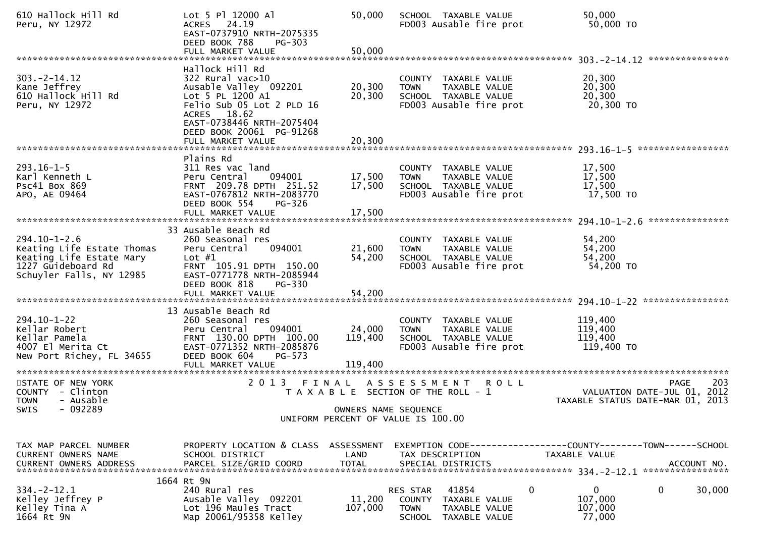| 610 Hallock Hill Rd<br>Peru, NY 12972                                                                                          | Lot 5 Pl 12000 Al<br>24.19<br><b>ACRES</b><br>EAST-0737910 NRTH-2075335<br>DEED BOOK 788<br>PG-303                                                                                    | 50,000                       | SCHOOL TAXABLE VALUE<br>FD003 Ausable fire prot                                                             | 50,000<br>50,000 TO                                   |
|--------------------------------------------------------------------------------------------------------------------------------|---------------------------------------------------------------------------------------------------------------------------------------------------------------------------------------|------------------------------|-------------------------------------------------------------------------------------------------------------|-------------------------------------------------------|
|                                                                                                                                |                                                                                                                                                                                       |                              |                                                                                                             |                                                       |
| $303. -2 - 14.12$<br>Kane Jeffrey<br>610 Hallock Hill Rd<br>Peru, NY 12972                                                     | Hallock Hill Rd<br>322 Rural vac>10<br>Ausable Valley 092201<br>Lot 5 PL 1200 A1<br>Felio Sub 05 Lot 2 PLD 16<br>ACRES 18.62<br>EAST-0738446 NRTH-2075404                             | 20,300<br>20,300             | COUNTY TAXABLE VALUE<br><b>TOWN</b><br>TAXABLE VALUE<br>SCHOOL TAXABLE VALUE<br>FD003 Ausable fire prot     | 20,300<br>20,300<br>20,300<br>20,300 TO               |
|                                                                                                                                | DEED BOOK 20061 PG-91268                                                                                                                                                              |                              |                                                                                                             |                                                       |
|                                                                                                                                | FULL MARKET VALUE                                                                                                                                                                     | 20,300                       |                                                                                                             |                                                       |
| $293.16 - 1 - 5$<br>Karl Kenneth L<br><b>PSC41 BOX 869</b><br>APO, AE 09464                                                    | Plains Rd<br>311 Res vac land<br>Peru Central<br>094001<br>FRNT 209.78 DPTH 251.52<br>EAST-0767812 NRTH-2083770<br>DEED BOOK 554<br><b>PG-326</b><br>FULL MARKET VALUE                | 17,500<br>17,500<br>17,500   | COUNTY TAXABLE VALUE<br>TAXABLE VALUE<br><b>TOWN</b><br>SCHOOL TAXABLE VALUE<br>FD003 Ausable fire prot     | 17,500<br>17,500<br>17,500<br>17,500 TO               |
|                                                                                                                                |                                                                                                                                                                                       |                              |                                                                                                             | ***************                                       |
| $294.10 - 1 - 2.6$<br>Keating Life Estate Thomas<br>Keating Life Estate Mary<br>1227 Guideboard Rd<br>Schuyler Falls, NY 12985 | 33 Ausable Beach Rd<br>260 Seasonal res<br>094001<br>Peru Central<br>Lot $#1$<br>FRNT 105.91 DPTH 150.00<br>EAST-0771778 NRTH-2085944<br>DEED BOOK 818<br>PG-330<br>FULL MARKET VALUE | 21,600<br>54,200<br>54,200   | COUNTY TAXABLE VALUE<br>TAXABLE VALUE<br><b>TOWN</b><br>SCHOOL TAXABLE VALUE<br>FD003 Ausable fire prot     | 54,200<br>54,200<br>54,200<br>54,200 TO               |
|                                                                                                                                | 13 Ausable Beach Rd                                                                                                                                                                   |                              |                                                                                                             |                                                       |
| 294.10-1-22<br>Kellar Robert<br>Kellar Pamela<br>4007 El Merita Ct<br>New Port Richey, FL 34655                                | 260 Seasonal res<br>Peru Central<br>094001<br>FRNT 130.00 DPTH 100.00<br>EAST-0771352 NRTH-2085876<br>DEED BOOK 604<br>$PG-573$<br>FULL MARKET VALUE                                  | 24,000<br>119,400<br>119,400 | COUNTY TAXABLE VALUE<br>TAXABLE VALUE<br><b>TOWN</b><br>SCHOOL TAXABLE VALUE<br>FD003 Ausable fire prot     | 119,400<br>119,400<br>119,400<br>119,400 TO           |
| STATE OF NEW YORK                                                                                                              | 2 0 1 3                                                                                                                                                                               | FINAL                        | A S S E S S M E N T<br><b>ROLL</b>                                                                          | 203<br>PAGE                                           |
| COUNTY - Clinton                                                                                                               |                                                                                                                                                                                       |                              | T A X A B L E SECTION OF THE ROLL - 1                                                                       | VALUATION DATE-JUL 01,<br>2012                        |
| - Ausable<br><b>TOWN</b>                                                                                                       |                                                                                                                                                                                       |                              |                                                                                                             | TAXABLE STATUS DATE-MAR 01, 2013                      |
| $-092289$<br>SWIS                                                                                                              |                                                                                                                                                                                       | OWNERS NAME SEQUENCE         | UNIFORM PERCENT OF VALUE IS 100.00                                                                          |                                                       |
|                                                                                                                                |                                                                                                                                                                                       |                              |                                                                                                             |                                                       |
| TAX MAP PARCEL NUMBER<br>CURRENT OWNERS NAME<br><b>CURRENT OWNERS ADDRESS</b>                                                  | PROPERTY LOCATION & CLASS ASSESSMENT<br>SCHOOL DISTRICT<br>PARCEL SIZE/GRID COORD                                                                                                     | LAND<br><b>TOTAL</b>         | TAX DESCRIPTION<br>SPECIAL DISTRICTS                                                                        | TAXABLE VALUE<br>ACCOUNT NO.                          |
|                                                                                                                                | 1664 Rt 9N                                                                                                                                                                            |                              |                                                                                                             |                                                       |
| $334. -2 - 12.1$<br>Kelley Jeffrey P<br>Kelley Tina A<br>1664 Rt 9N                                                            | 240 Rural res<br>Ausable Valley 092201<br>Lot 196 Maules Tract<br>Map 20061/95358 Kelley                                                                                              | 11,200<br>107,000            | 41854<br>RES STAR<br>COUNTY TAXABLE VALUE<br><b>TOWN</b><br>TAXABLE VALUE<br><b>SCHOOL</b><br>TAXABLE VALUE | 0<br>0<br>0<br>30,000<br>107,000<br>107,000<br>77,000 |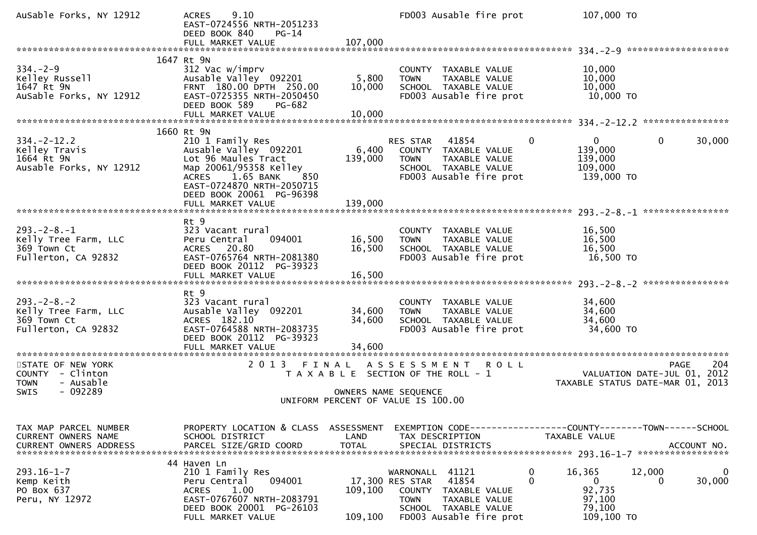| AuSable Forks, NY 12912                                                                | 9.10<br><b>ACRES</b><br>EAST-0724556 NRTH-2051233<br>DEED BOOK 840<br>$PG-14$                                                                                                 | 107,000                       | FD003 Ausable fire prot                                                                                                                                      | 107,000 TO                                                                              |                                                   |
|----------------------------------------------------------------------------------------|-------------------------------------------------------------------------------------------------------------------------------------------------------------------------------|-------------------------------|--------------------------------------------------------------------------------------------------------------------------------------------------------------|-----------------------------------------------------------------------------------------|---------------------------------------------------|
|                                                                                        | FULL MARKET VALUE<br>1647 Rt 9N                                                                                                                                               |                               |                                                                                                                                                              |                                                                                         |                                                   |
| $334. - 2 - 9$<br>Kelley Russell<br>1647 Rt 9N<br>AuSable Forks, NY 12912              | 312 Vac w/imprv<br>Ausable Valley 092201<br>FRNT 180.00 DPTH 250.00<br>EAST-0725355 NRTH-2050450<br>DEED BOOK 589<br>PG-682                                                   | 5,800<br>10,000               | COUNTY TAXABLE VALUE<br>TAXABLE VALUE<br><b>TOWN</b><br>SCHOOL TAXABLE VALUE<br>FD003 Ausable fire prot                                                      | 10,000<br>10,000<br>10,000<br>10,000 TO                                                 |                                                   |
|                                                                                        | 1660 Rt 9N                                                                                                                                                                    |                               |                                                                                                                                                              |                                                                                         |                                                   |
| $334. -2 - 12.2$<br>Kelley Travis<br>1664 Rt 9N<br>Ausable Forks, NY 12912             | 210 1 Family Res<br>Ausable Valley 092201<br>Lot 96 Maules Tract<br>Map 20061/95358 Kelley<br>ACRES 1.65 BANK<br>850<br>EAST-0724870 NRTH-2050715<br>DEED BOOK 20061 PG-96398 | 6,400<br>139,000              | 41854<br>RES STAR<br>COUNTY TAXABLE VALUE<br>TAXABLE VALUE<br><b>TOWN</b><br>SCHOOL TAXABLE VALUE<br>FD003 Ausable fire prot                                 | $\Omega$<br>0<br>139,000<br>139,000<br>109,000<br>139,000 TO                            | 0<br>30,000                                       |
|                                                                                        | FULL MARKET VALUE                                                                                                                                                             | 139,000                       |                                                                                                                                                              |                                                                                         |                                                   |
| $293. - 2 - 8. - 1$<br>Kelly Tree Farm, LLC<br>369 Town Ct<br>Fullerton, CA 92832      | Rt 9<br>323 Vacant rural<br>Peru Central<br>094001<br>ACRES 20.80<br>EAST-0765764 NRTH-2081380<br>DEED BOOK 20112 PG-39323                                                    | 16,500<br>16,500              | COUNTY TAXABLE VALUE<br>TAXABLE VALUE<br><b>TOWN</b><br>SCHOOL TAXABLE VALUE<br>FD003 Ausable fire prot                                                      | 16,500<br>16,500<br>16,500<br>16,500 TO                                                 |                                                   |
|                                                                                        | Rt 9                                                                                                                                                                          |                               |                                                                                                                                                              |                                                                                         |                                                   |
| $293. -2 - 8. - 2$<br>Kelly Tree Farm, LLC<br>369 Town Ct<br>Fullerton, CA 92832       | 323 Vacant rural<br>Ausable Valley 092201<br>ACRES 182.10<br>EAST-0764588 NRTH-2083735<br>DEED BOOK 20112 PG-39323                                                            | 34,600<br>34,600              | COUNTY TAXABLE VALUE<br><b>TOWN</b><br>TAXABLE VALUE<br>SCHOOL TAXABLE VALUE<br>FD003 Ausable fire prot                                                      | 34,600<br>34,600<br>34,600<br>34,600 TO                                                 |                                                   |
| ***********************                                                                | FULL MARKET VALUE<br>***********************                                                                                                                                  | 34,600                        |                                                                                                                                                              |                                                                                         |                                                   |
| STATE OF NEW YORK<br>COUNTY - Clinton<br><b>TOWN</b><br>- Ausable<br>$-092289$<br>SWIS | 2 0 1 3                                                                                                                                                                       | FINAL<br>OWNERS NAME SEQUENCE | A S S E S S M E N T<br><b>ROLL</b><br>T A X A B L E SECTION OF THE ROLL - 1<br>UNIFORM PERCENT OF VALUE IS 100.00                                            | TAXABLE STATUS DATE-MAR 01, 2013                                                        | 204<br><b>PAGE</b><br>VALUATION DATE-JUL 01, 2012 |
|                                                                                        |                                                                                                                                                                               |                               |                                                                                                                                                              |                                                                                         |                                                   |
| TAX MAP PARCEL NUMBER<br>CURRENT OWNERS NAME                                           | PROPERTY LOCATION & CLASS<br>SCHOOL DISTRICT                                                                                                                                  | ASSESSMENT<br>LAND            | EXEMPTION        CODE-----------------COUNTY-------TOWN------SCHOOL<br>TAX DESCRIPTION                                                                       | TAXABLE VALUE                                                                           |                                                   |
| $293.16 - 1 - 7$<br>Kemp Keith<br>PO Box 637<br>Peru, NY 12972                         | 44 Haven Ln<br>210 1 Family Res<br>094001<br>Peru Central<br><b>ACRES</b><br>1.00<br>EAST-0767607 NRTH-2083791<br>DEED BOOK 20001 PG-26103<br>FULL MARKET VALUE               | 109,100<br>109,100            | 41121<br>WARNONALL<br>41854<br>17,300 RES STAR<br>COUNTY<br>TAXABLE VALUE<br><b>TOWN</b><br>TAXABLE VALUE<br>SCHOOL TAXABLE VALUE<br>FD003 Ausable fire prot | 0<br>16,365<br>$\mathbf{0}$<br>$\mathbf{0}$<br>92,735<br>97,100<br>79,100<br>109,100 TO | 12,000<br>$\bf{0}$<br>30,000<br>0                 |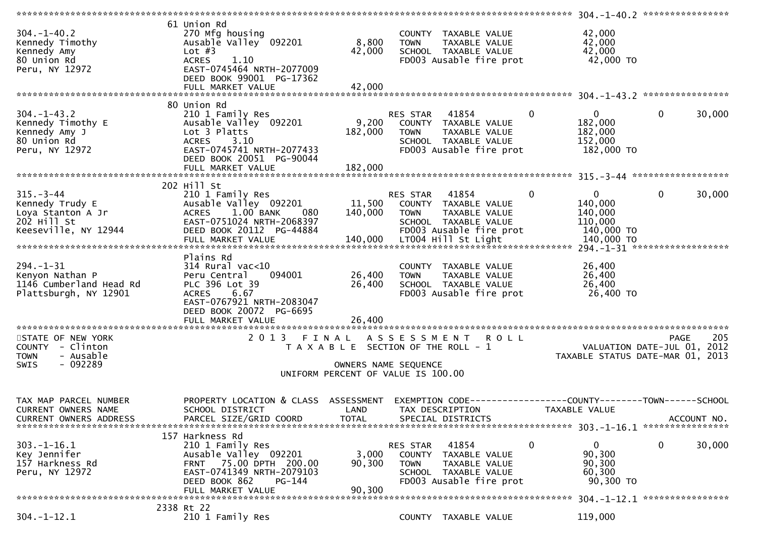|                                                                                                |                                                                                                                                                                                |                                                                                                                         |                                   |                                                                                                                          | **************** | 304. -1-40. 2 *****************                                                 |              |             |
|------------------------------------------------------------------------------------------------|--------------------------------------------------------------------------------------------------------------------------------------------------------------------------------|-------------------------------------------------------------------------------------------------------------------------|-----------------------------------|--------------------------------------------------------------------------------------------------------------------------|------------------|---------------------------------------------------------------------------------|--------------|-------------|
| $304 - 1 - 40.2$<br>Kennedy Timothy<br>Kennedy Amy<br>80 Union Rd<br>Peru, NY 12972            | 61 Union Rd<br>270 Mfg housing<br>Ausable Valley 092201<br>Lot $#3$<br>1.10<br><b>ACRES</b><br>EAST-0745464 NRTH-2077009<br>DEED BOOK 99001 PG-17362                           | 8,800<br>42,000                                                                                                         | <b>TOWN</b>                       | COUNTY TAXABLE VALUE<br>TAXABLE VALUE<br>SCHOOL TAXABLE VALUE<br>FD003 Ausable fire prot                                 |                  | 42,000<br>42,000<br>42,000<br>42,000 TO                                         |              |             |
|                                                                                                |                                                                                                                                                                                |                                                                                                                         |                                   |                                                                                                                          |                  |                                                                                 |              |             |
| $304. -1 - 43.2$<br>Kennedy Timothy E<br>Kennedy Amy J<br>80 Union Rd<br>Peru, NY 12972        | 80 Union Rd<br>210 1 Family Res<br>Ausable Valley 092201<br>Lot 3 Platts<br>3.10<br><b>ACRES</b><br>EAST-0745741 NRTH-2077433<br>DEED BOOK 20051 PG-90044<br>FULL MARKET VALUE | 9,200<br>182,000<br>182,000                                                                                             | RES STAR<br><b>TOWN</b>           | 41854<br>COUNTY TAXABLE VALUE<br>TAXABLE VALUE<br>SCHOOL TAXABLE VALUE<br>FD003 Ausable fire prot                        | $\mathbf 0$      | $\mathbf 0$<br>182,000<br>182,000<br>152,000<br>182,000 TO                      | $\mathbf 0$  | 30,000      |
|                                                                                                | 202 Hill St                                                                                                                                                                    |                                                                                                                         |                                   |                                                                                                                          |                  |                                                                                 |              |             |
| $315. - 3 - 44$<br>Kennedy Trudy E<br>Loya Stanton A Jr<br>202 Hill St<br>Keeseville, NY 12944 | 210 1 Family Res<br>Ausable Valley 092201<br>$1.00$ BANK<br><b>ACRES</b><br>080<br>EAST-0751024 NRTH-2068397<br>DEED BOOK 20112 PG-44884<br>FULL MARKET VALUE                  | 11,500<br>140,000<br>140,000                                                                                            | RES STAR<br><b>TOWN</b>           | 41854<br>COUNTY TAXABLE VALUE<br>TAXABLE VALUE<br>SCHOOL TAXABLE VALUE<br>FD003 Ausable fire prot<br>LT004 Hill St Light | $\mathbf 0$      | 0<br>140,000<br>140,000<br>110,000<br>140,000 TO<br>140,000 TO                  | $\mathbf{0}$ | 30,000      |
|                                                                                                |                                                                                                                                                                                |                                                                                                                         |                                   |                                                                                                                          |                  | 294. -1-31 *******************                                                  |              |             |
| $294. - 1 - 31$<br>Kenyon Nathan P<br>1146 Cumberland Head Rd<br>Plattsburgh, NY 12901         | Plains Rd<br>$314$ Rural vac<10<br>Peru Central<br>094001<br>PLC 396 Lot 39<br>6.67<br><b>ACRES</b><br>EAST-0767921 NRTH-2083047<br>DEED BOOK 20072<br>PG-6695                 | 26,400<br>26,400                                                                                                        | <b>TOWN</b>                       | COUNTY TAXABLE VALUE<br>TAXABLE VALUE<br>SCHOOL TAXABLE VALUE<br>FD003 Ausable fire prot                                 |                  | 26,400<br>26,400<br>26,400<br>26,400 TO                                         |              |             |
|                                                                                                |                                                                                                                                                                                |                                                                                                                         |                                   |                                                                                                                          |                  |                                                                                 |              |             |
| STATE OF NEW YORK<br>COUNTY - Clinton<br>- Ausable<br><b>TOWN</b><br>- 092289<br><b>SWIS</b>   | 2013                                                                                                                                                                           | FINAL ASSESSMENT<br>T A X A B L E SECTION OF THE ROLL - 1<br>OWNERS NAME SEQUENCE<br>UNIFORM PERCENT OF VALUE IS 100.00 |                                   | <b>ROLL</b>                                                                                                              |                  | VALUATION DATE-JUL 01, 2012<br>TAXABLE STATUS DATE-MAR 01, 2013                 | <b>PAGE</b>  | 205         |
| TAX MAP PARCEL NUMBER<br><b>CURRENT OWNERS NAME</b><br>CURRENT OWNERS ADDRESS                  | PROPERTY LOCATION & CLASS<br>SCHOOL DISTRICT<br>PARCEL SIZE/GRID COORD                                                                                                         | ASSESSMENT<br>LAND<br><b>TOTAL</b>                                                                                      | <b>EXEMPTION CODE-</b>            | TAX DESCRIPTION<br>SPECIAL DISTRICTS                                                                                     |                  | ------------COUNTY--------TOWN------SCHOOL<br>TAXABLE VALUE                     |              | ACCOUNT NO. |
| $303. - 1 - 16.1$<br>Key Jennifer<br>157 Harkness Rd<br>Peru, NY 12972                         | 157 Harkness Rd<br>210 1 Family Res<br>Ausable Valley 092201<br>75.00 DPTH 200.00<br><b>FRNT</b><br>EAST-0741349 NRTH-2079103<br>DEED BOOK 862<br>PG-144<br>FULL MARKET VALUE  | 3,000<br>90,300<br>90,300                                                                                               | RES STAR<br>COUNTY<br><b>TOWN</b> | 41854<br>TAXABLE VALUE<br>TAXABLE VALUE<br>SCHOOL TAXABLE VALUE<br>FD003 Ausable fire prot                               | $\mathbf 0$      | 0<br>90,300<br>90,300<br>60,300<br>90,300 TO<br>304. -1-12. 1 ***************** | 0            | 30,000      |
|                                                                                                | 2338 Rt 22                                                                                                                                                                     |                                                                                                                         |                                   |                                                                                                                          |                  |                                                                                 |              |             |
| $304. - 1 - 12.1$                                                                              | 210 1 Family Res                                                                                                                                                               |                                                                                                                         |                                   | COUNTY TAXABLE VALUE                                                                                                     |                  | 119,000                                                                         |              |             |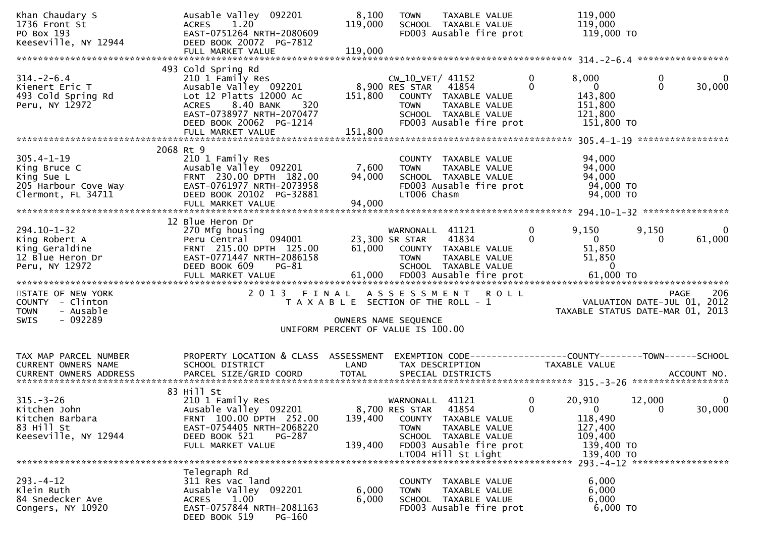| Khan Chaudary S<br>1736 Front St<br>PO Box 193<br>Keeseville, NY 12944                                                                                                                                                                                                         | Ausable Valley 092201<br>ACRES 1.20<br>EAST-0751264 NRTH-2080609<br>DEED BOOK 20072 PG-7812<br>FULL MARKET VALUE                                                                                           | 8,100<br>119,000<br>119,000 | TAXABLE VALUE<br><b>TOWN</b><br>SCHOOL TAXABLE VALUE<br>FD003 Ausable fire prot                                                                                                 |                             | 119,000<br>119,000<br>119,000 TO                                                    |                   |                          |
|--------------------------------------------------------------------------------------------------------------------------------------------------------------------------------------------------------------------------------------------------------------------------------|------------------------------------------------------------------------------------------------------------------------------------------------------------------------------------------------------------|-----------------------------|---------------------------------------------------------------------------------------------------------------------------------------------------------------------------------|-----------------------------|-------------------------------------------------------------------------------------|-------------------|--------------------------|
|                                                                                                                                                                                                                                                                                |                                                                                                                                                                                                            |                             |                                                                                                                                                                                 |                             |                                                                                     |                   |                          |
| $314. - 2 - 6.4$<br>Kienert Eric T<br>493 Cold Spring Rd<br>Peru, NY 12972                                                                                                                                                                                                     | 493 Cold Spring Rd<br>210 1 Family Res<br>Ausable Valley 092201<br>Lot 12 Platts 12000 Ac<br>8.40 BANK<br>320<br><b>ACRES</b><br>EAST-0738977 NRTH-2070477<br>DEED BOOK 20062 PG-1214<br>FULL MARKET VALUE | 151,800<br>151,800          | CW_10_VET/ 41152<br>8,900 RES STAR<br>41854<br>COUNTY TAXABLE VALUE<br>TAXABLE VALUE<br><b>TOWN</b><br>SCHOOL TAXABLE VALUE<br>FD003 Ausable fire prot                          | 0<br>$\mathbf{0}$           | 8,000<br>$\overline{0}$<br>143,800<br>151,800<br>121,800<br>151,800 TO              | 0<br>$\Omega$     | 0<br>30,000              |
|                                                                                                                                                                                                                                                                                |                                                                                                                                                                                                            |                             |                                                                                                                                                                                 |                             |                                                                                     |                   |                          |
| $305.4 - 1 - 19$<br>King Bruce C<br>King Sue L<br>205 Harbour Cove Way<br>Clermont, FL 34711                                                                                                                                                                                   | 2068 Rt 9<br>210 1 Family Res<br>Ausable Valley 092201<br>FRNT 230.00 DPTH 182.00<br>EAST-0761977 NRTH-2073958<br>DEED BOOK 20102 PG-32881<br>FULL MARKET VALUE                                            | 7,600<br>94,000<br>94,000   | COUNTY TAXABLE VALUE<br>TAXABLE VALUE<br><b>TOWN</b><br>SCHOOL TAXABLE VALUE<br>FD003 Ausable fire prot<br>LT006 Chasm                                                          |                             | 94,000<br>94,000<br>94,000<br>94,000 TO<br>94,000 TO                                |                   |                          |
|                                                                                                                                                                                                                                                                                | 12 Blue Heron Dr                                                                                                                                                                                           |                             |                                                                                                                                                                                 |                             |                                                                                     |                   |                          |
| $294.10 - 1 - 32$<br>King Robert A<br>King Geraldine<br>12 Blue Heron Dr<br>Peru, NY 12972                                                                                                                                                                                     | 270 Mfg housing<br>094001<br>Peru Central<br>FRNT 215.00 DPTH 125.00<br>EAST-0771447 NRTH-2086158<br>DEED BOOK 609<br>$PG-81$                                                                              |                             | WARNONALL 41121<br>41834<br>23,300 SR STAR<br>61,000 COUNTY TAXABLE VALUE<br><b>TOWN</b><br>TAXABLE VALUE<br>SCHOOL TAXABLE VALUE                                               | $\mathbf{0}$<br>$\mathbf 0$ | 9,150<br>$\mathbf{0}$<br>51,850<br>51,850                                           | 9,150<br>$\Omega$ | $\overline{0}$<br>61,000 |
| STATE OF NEW YORK<br>COUNTY - Clinton<br>- Ausable<br><b>TOWN</b><br>$-092289$<br>SWIS                                                                                                                                                                                         | 2 0 1 3                                                                                                                                                                                                    | FINAL                       | ASSESSMENT ROLL<br>T A X A B L E SECTION OF THE ROLL - 1<br>OWNERS NAME SEQUENCE<br>UNIFORM PERCENT OF VALUE IS 100.00                                                          |                             | VALUATION DATE-JUL 01, 2012<br>TAXABLE STATUS DATE-MAR 01, 2013                     | <b>PAGE</b>       | 206                      |
| TAX MAP PARCEL NUMBER<br>CURRENT OWNERS NAME<br>.4CCOUNT NO . PARCEL SIZE/GRID COORD TOTAL SPECIAL DISTRICTS SPERE BISLARE ACCOUNT NO . ACCOUNT NO . في المكتبة المستوى المستوى المستوى المستوى المستوى المستوى المستوى المستوى المستوى المستوى المستوى المستوى المستوى المستو | PROPERTY LOCATION & CLASS ASSESSMENT<br>SCHOOL DISTRICT                                                                                                                                                    | LAND                        | EXEMPTION CODE-----------------COUNTY-------TOWN------SCHOOL<br>TAX DESCRIPTION                                                                                                 |                             | TAXABLE VALUE                                                                       |                   |                          |
| $315. - 3 - 26$<br>Kitchen John<br>Kitchen Barbara<br>83 Hill St<br>Keeseville, NY 12944                                                                                                                                                                                       | 83 Hill St<br>210 1 Family Res<br>Ausable Valley 092201<br>FRNT 100.00 DPTH 252.00<br>EAST-0754405 NRTH-2068220<br>DEED BOOK 521<br>PG-287<br>FULL MARKET VALUE                                            | 139,400<br>139,400          | 41121<br>WARNONALL<br>8,700 RES STAR<br>41854<br>COUNTY TAXABLE VALUE<br><b>TOWN</b><br>TAXABLE VALUE<br>SCHOOL TAXABLE VALUE<br>FD003 Ausable fire prot<br>LT004 Hill St Light | 0<br>$\mathbf{0}$           | 20,910<br>$\mathbf{0}$<br>118,490<br>127,400<br>109,400<br>139,400 TO<br>139,400 TO | 12,000<br>0       | 0<br>30,000              |
| $293. -4 - 12$<br>Klein Ruth<br>84 Snedecker Ave<br>Congers, NY 10920                                                                                                                                                                                                          | Telegraph Rd<br>311 Res vac land<br>Ausable Valley 092201<br>1.00<br><b>ACRES</b><br>EAST-0757844 NRTH-2081163<br>DEED BOOK 519<br>PG-160                                                                  | 6,000<br>6,000              | COUNTY TAXABLE VALUE<br>TAXABLE VALUE<br>TOWN<br>SCHOOL TAXABLE VALUE<br>FD003 Ausable fire prot                                                                                |                             | 6,000<br>6,000<br>6,000<br>$6,000$ TO                                               |                   |                          |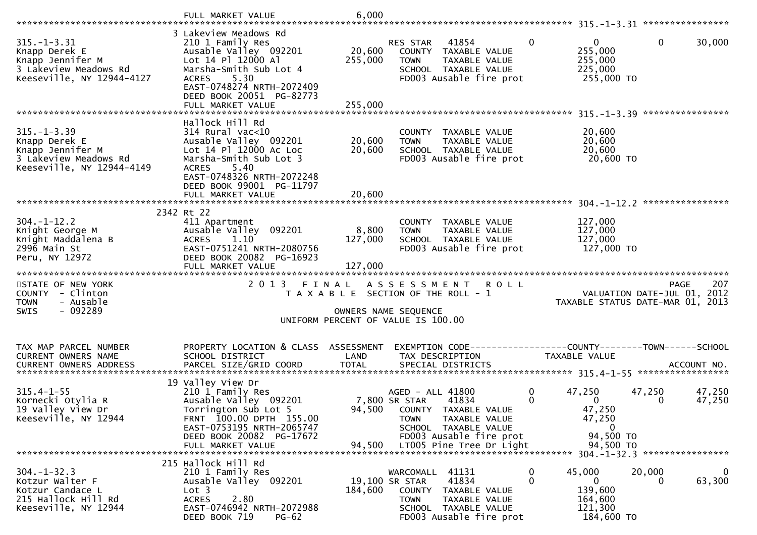|                                                                                                              | FULL MARKET VALUE                                                                                                                                                          | 6,000             |                                                                                                                                                       |                                                         |                                            |
|--------------------------------------------------------------------------------------------------------------|----------------------------------------------------------------------------------------------------------------------------------------------------------------------------|-------------------|-------------------------------------------------------------------------------------------------------------------------------------------------------|---------------------------------------------------------|--------------------------------------------|
|                                                                                                              |                                                                                                                                                                            |                   |                                                                                                                                                       |                                                         |                                            |
| $315. - 1 - 3.31$<br>Knapp Derek E<br>Knapp Jennifer M<br>3 Lakeview Meadows Rd<br>Keeseville, NY 12944-4127 | 3 Lakeview Meadows Rd<br>210 1 Family Res<br>Ausable Valley 092201<br>Lot 14 Pl 12000 Al<br>Marsha-Smith Sub Lot 4<br>5.30<br><b>ACRES</b><br>EAST-0748274 NRTH-2072409    | 20,600<br>255,000 | $\mathbf{0}$<br>RES STAR<br>41854<br>COUNTY TAXABLE VALUE<br>TAXABLE VALUE<br><b>TOWN</b><br>SCHOOL TAXABLE VALUE<br>FD003 Ausable fire prot          | $\Omega$<br>255,000<br>255,000<br>225,000<br>255,000 TO | $\mathbf 0$<br>30,000                      |
|                                                                                                              | DEED BOOK 20051 PG-82773<br>FULL MARKET VALUE                                                                                                                              | 255,000           |                                                                                                                                                       |                                                         |                                            |
|                                                                                                              |                                                                                                                                                                            |                   |                                                                                                                                                       |                                                         |                                            |
| $315. - 1 - 3.39$<br>Knapp Derek E<br>Knapp Jennifer M<br>3 Lakeview Meadows Rd<br>Keeseville, NY 12944-4149 | Hallock Hill Rd<br>$314$ Rural vac< $10$<br>Ausable Valley 092201<br>Lot 14 Pl 12000 Ac Loc<br>Marsha-Smith Sub Lot 3<br><b>ACRES</b><br>5.40<br>EAST-0748326 NRTH-2072248 | 20,600<br>20,600  | COUNTY TAXABLE VALUE<br><b>TOWN</b><br>TAXABLE VALUE<br>SCHOOL TAXABLE VALUE<br>FD003 Ausable fire prot                                               | 20,600<br>20,600<br>20,600<br>20,600 TO                 |                                            |
|                                                                                                              | DEED BOOK 99001 PG-11797                                                                                                                                                   |                   |                                                                                                                                                       |                                                         |                                            |
|                                                                                                              | FULL MARKET VALUE                                                                                                                                                          | 20,600            |                                                                                                                                                       |                                                         |                                            |
|                                                                                                              | 2342 Rt 22                                                                                                                                                                 |                   |                                                                                                                                                       |                                                         |                                            |
| $304. - 1 - 12.2$<br>Knight George M<br>Knight Maddalena B<br>2996 Main St                                   | 411 Apartment<br>Ausable Valley 092201<br>1.10<br><b>ACRES</b><br>EAST-0751241 NRTH-2080756                                                                                | 8,800<br>127,000  | COUNTY TAXABLE VALUE<br>TAXABLE VALUE<br><b>TOWN</b><br>SCHOOL TAXABLE VALUE<br>FD003 Ausable fire prot                                               | 127,000<br>127,000<br>127,000<br>127,000 TO             |                                            |
| Peru, NY 12972                                                                                               | DEED BOOK 20082 PG-16923<br>FULL MARKET VALUE                                                                                                                              | 127,000           |                                                                                                                                                       |                                                         |                                            |
|                                                                                                              |                                                                                                                                                                            |                   |                                                                                                                                                       |                                                         |                                            |
| STATE OF NEW YORK<br>COUNTY - Clinton                                                                        |                                                                                                                                                                            |                   | 2013 FINAL ASSESSMENT ROLL<br>T A X A B L E SECTION OF THE ROLL - 1                                                                                   |                                                         | 207<br>PAGE<br>VALUATION DATE-JUL 01, 2012 |
| - Ausable<br><b>TOWN</b>                                                                                     |                                                                                                                                                                            |                   |                                                                                                                                                       |                                                         | TAXABLE STATUS DATE-MAR 01, 2013           |
| $-092289$<br><b>SWIS</b>                                                                                     |                                                                                                                                                                            |                   | OWNERS NAME SEQUENCE<br>UNIFORM PERCENT OF VALUE IS 100.00                                                                                            |                                                         |                                            |
|                                                                                                              |                                                                                                                                                                            |                   |                                                                                                                                                       |                                                         |                                            |
| TAX MAP PARCEL NUMBER<br>CURRENT OWNERS NAME                                                                 | PROPERTY LOCATION & CLASS ASSESSMENT<br>SCHOOL DISTRICT                                                                                                                    | LAND              | EXEMPTION CODE-----------------COUNTY-------TOWN------SCHOOL<br>TAX DESCRIPTION                                                                       | <b>TAXABLE VALUE</b>                                    |                                            |
|                                                                                                              |                                                                                                                                                                            |                   |                                                                                                                                                       |                                                         |                                            |
|                                                                                                              | 19 Valley View Dr                                                                                                                                                          |                   |                                                                                                                                                       |                                                         |                                            |
| $315.4 - 1 - 55$<br>Kornecki Otylia R<br>19 Valley View Dr<br>Keeseville, NY 12944                           | 210 1 Family Res<br>Ausable Valley 092201<br>Torrington Sub Lot 5<br>FRNT 100.00 DPTH 155.00<br>EAST-0753195 NRTH-2065747                                                  |                   | AGED - ALL 41800<br>0<br>$\mathbf 0$<br>7,800 SR STAR<br>41834<br>94,500 COUNTY TAXABLE VALUE<br>TAXABLE VALUE<br><b>TOWN</b><br>SCHOOL TAXABLE VALUE | 47,250<br>$\mathbf{0}$<br>47,250<br>47,250<br>0         | 47,250<br>47,250<br>47,250<br>0            |
|                                                                                                              | DEED BOOK 20082 PG-17672<br>FULL MARKET VALUE                                                                                                                              | 94,500            | FD003 Ausable fire prot<br>LT005 Pine Tree Dr Light                                                                                                   | 94,500 TO<br>94,500 TO                                  |                                            |
|                                                                                                              |                                                                                                                                                                            |                   |                                                                                                                                                       |                                                         | 304. -1-32.3 *****************             |
| $304. - 1 - 32.3$<br>Kotzur Walter F<br>Kotzur Candace L<br>215 Hallock Hill Rd<br>Keeseville, NY 12944      | 215 Hallock Hill Rd<br>210 1 Family Res<br>Ausable Valley 092201<br>Lot <sub>3</sub><br><b>ACRES</b><br>2.80<br>EAST-0746942 NRTH-2072988                                  | 184,600           | 41131<br>WARCOMALL<br>$\bf{0}$<br>0<br>19,100 SR STAR<br>41834<br>TAXABLE VALUE<br>COUNTY<br><b>TOWN</b><br>TAXABLE VALUE<br>SCHOOL TAXABLE VALUE     | 45,000<br>0<br>139,600<br>164,600<br>121,300            | 20,000<br>0<br>63,300<br>$\Omega$          |
|                                                                                                              | DEED BOOK 719<br>$PG-62$                                                                                                                                                   |                   | FD003 Ausable fire prot                                                                                                                               | 184,600 TO                                              |                                            |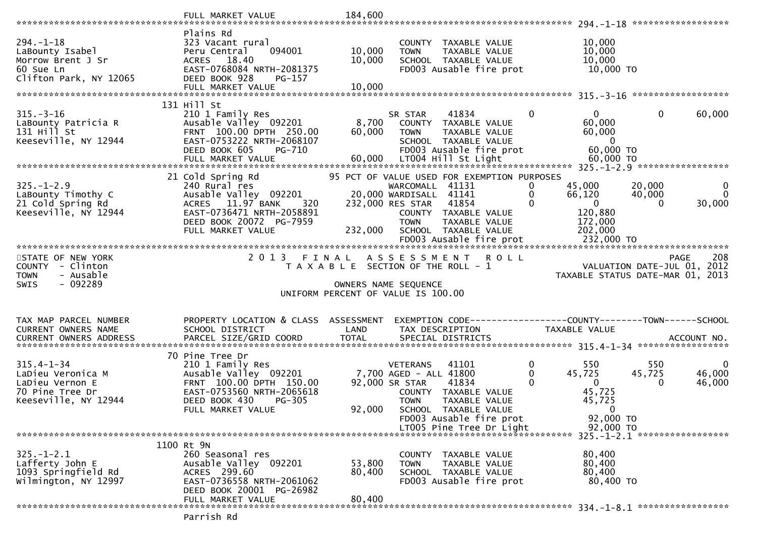|                                                                                                     | FULL MARKET VALUE                                                                                                                                                      | 184,600                                                                              |                                                                              |                                                                                                                                        |             |                               |                                                                                     |                       |                                                                                       |
|-----------------------------------------------------------------------------------------------------|------------------------------------------------------------------------------------------------------------------------------------------------------------------------|--------------------------------------------------------------------------------------|------------------------------------------------------------------------------|----------------------------------------------------------------------------------------------------------------------------------------|-------------|-------------------------------|-------------------------------------------------------------------------------------|-----------------------|---------------------------------------------------------------------------------------|
| $294. - 1 - 18$<br>LaBounty Isabel<br>Morrow Brent J Sr<br>60 Sue Ln<br>Clifton Park, NY 12065      | Plains Rd<br>323 Vacant rural<br>094001<br>Peru Central<br>ACRES 18.40<br>EAST-0768084 NRTH-2081375<br>DEED BOOK 928<br>$PG-157$<br>FULL MARKET VALUE                  | 10,000<br>10,000<br>10,000                                                           | <b>TOWN</b>                                                                  | COUNTY TAXABLE VALUE<br>TAXABLE VALUE<br>SCHOOL TAXABLE VALUE<br>FD003 Ausable fire prot                                               |             |                               | 10,000<br>10,000<br>10,000<br>10,000 TO                                             |                       |                                                                                       |
|                                                                                                     |                                                                                                                                                                        |                                                                                      |                                                                              |                                                                                                                                        |             |                               |                                                                                     |                       |                                                                                       |
| $315. - 3 - 16$<br>LaBounty Patricia R<br>$131$ Hill St<br>Keeseville, NY 12944                     | 131 Hill St<br>210 1 Family Res<br>Ausable Valley 092201<br>FRNT 100.00 DPTH 250.00<br>EAST-0753222 NRTH-2068107<br>DEED BOOK 605<br><b>PG-710</b>                     | 8,700<br>60,000                                                                      | SR STAR<br>TOWN                                                              | 41834<br>COUNTY TAXABLE VALUE<br>TAXABLE VALUE<br>SCHOOL TAXABLE VALUE<br>FD003 Ausable fire prot                                      |             | $\Omega$                      | $\overline{0}$<br>60,000<br>60,000<br>$\overline{\mathbf{0}}$<br>60,000 TO          | $\mathbf 0$           | 60,000                                                                                |
| $325. - 1 - 2.9$<br>LaBounty Timothy C<br>21 Cold Spring Rd<br>Keeseville, NY 12944                 | 21 Cold Spring Rd<br>240 Rural res<br>Ausable Valley 092201<br>ACRES 11.97 BANK<br>320<br>EAST-0736471 NRTH-2058891<br>DEED BOOK 20072 PG-7959<br>FULL MARKET VALUE    | 95 PCT OF VALUE USED FOR EXEMPTION PURPOSES<br>232,000                               | WARCOMALL 41131<br>20,000 WARDISALL 41141<br>232,000 RES STAR<br><b>TOWN</b> | 41854<br>COUNTY TAXABLE VALUE<br>TAXABLE VALUE<br>SCHOOL TAXABLE VALUE<br>FD003 Ausable fire prot                                      |             | 0<br>0<br>$\Omega$            | 45,000<br>66,120<br>$\mathbf{0}$<br>120,880<br>172,000<br>202,000<br>232,000 TO     | 20,000<br>40,000<br>0 | $\mathbf{0}$<br>$\mathbf{0}$<br>30,000                                                |
| STATE OF NEW YORK<br>COUNTY - Clinton<br>- Ausable<br><b>TOWN</b><br>$-092289$<br><b>SWIS</b>       | 2 0 1 3                                                                                                                                                                | FINAL<br>T A X A B L E SECTION OF THE ROLL - 1<br>UNIFORM PERCENT OF VALUE IS 100.00 | ASSESSMENT<br>OWNERS NAME SEQUENCE                                           |                                                                                                                                        | <b>ROLL</b> |                               |                                                                                     |                       | 208<br><b>PAGE</b><br>VALUATION DATE-JUL 01, 2012<br>TAXABLE STATUS DATE-MAR 01, 2013 |
| TAX MAP PARCEL NUMBER<br>CURRENT OWNERS NAME<br>CURRENT OWNERS ADDRESS                              | PROPERTY LOCATION & CLASS ASSESSMENT<br>SCHOOL DISTRICT                                                                                                                | LAND                                                                                 | TAX DESCRIPTION                                                              |                                                                                                                                        |             |                               | TAXABLE VALUE                                                                       |                       | EXEMPTION CODE-----------------COUNTY-------TOWN------SCHOOL                          |
| $315.4 - 1 - 34$<br>LaDieu Veronica M<br>LaDieu Vernon E<br>70 Pine Tree Dr<br>Keeseville, NY 12944 | 70 Pine Tree Dr<br>210 1 Family Res<br>Ausable Valley 092201<br>FRNT 100.00 DPTH 150.00<br>EAST-0753560 NRTH-2065618<br>DEED BOOK 430<br>$PG-305$<br>FULL MARKET VALUE | 92,000                                                                               | <b>VETERANS</b><br>7,700 AGED - ALL 41800<br>92,000 SR STAR<br><b>TOWN</b>   | 41101<br>41834<br>COUNTY TAXABLE VALUE<br>TAXABLE VALUE<br>SCHOOL TAXABLE VALUE<br>FD003 Ausable fire prot<br>LT005 Pine Tree Dr Light |             | 0<br>$\mathbf{0}$<br>$\Omega$ | 550<br>45,725<br>$\Omega$<br>45,725<br>45,725<br>$\Omega$<br>92,000 TO<br>92,000 TO | 550<br>45,725<br>0    | 0<br>46,000<br>46,000                                                                 |
|                                                                                                     |                                                                                                                                                                        |                                                                                      |                                                                              |                                                                                                                                        |             |                               |                                                                                     |                       | 325. -1-2.1 ******************                                                        |
| $325. - 1 - 2.1$<br>Lafferty John E<br>1093 Springfield Rd<br>Wilmington, NY 12997                  | 1100 Rt 9N<br>260 Seasonal res<br>Ausable Valley 092201<br>ACRES 299.60<br>EAST-0736558 NRTH-2061062<br>DEED BOOK 20001 PG-26982<br>FULL MARKET VALUE                  | 53,800<br>80,400<br>80,400                                                           | <b>TOWN</b>                                                                  | COUNTY TAXABLE VALUE<br><b>TAXABLE VALUE</b><br>SCHOOL TAXABLE VALUE<br>FD003 Ausable fire prot                                        |             |                               | 80,400<br>80,400<br>80,400<br>80,400 TO                                             |                       |                                                                                       |
|                                                                                                     | Parrish Rd                                                                                                                                                             |                                                                                      |                                                                              |                                                                                                                                        |             |                               |                                                                                     |                       |                                                                                       |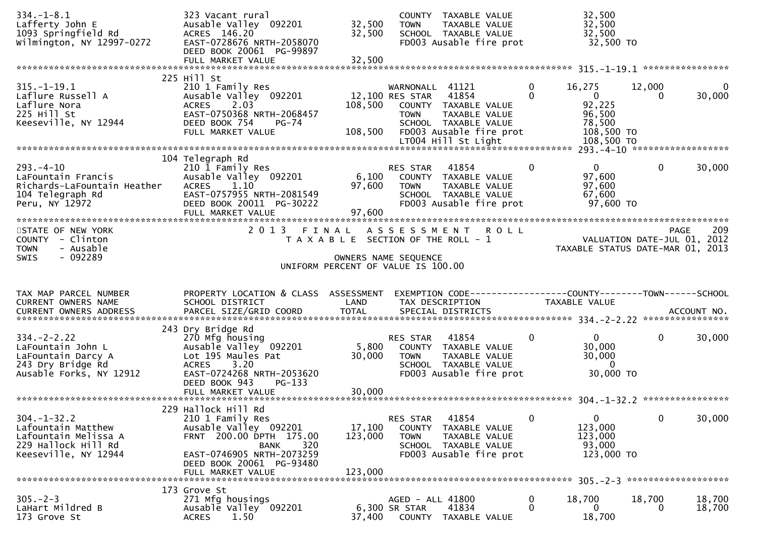| $334. - 1 - 8.1$<br>Lafferty John E<br>1093 Springfield Rd<br>Wilmington, NY 12997-0272                     | 323 Vacant rural<br>Ausable Valley 092201<br>ACRES 146.20<br>EAST-0728676 NRTH-2058070<br>DEED BOOK 20061 PG-99897                                                                         | 32,500<br>32,500                      | <b>TOWN</b>                                       | COUNTY TAXABLE VALUE<br>TAXABLE VALUE<br>SCHOOL TAXABLE VALUE<br>FD003 Ausable fire prot                                 |               | 32,500<br>32,500<br>32,500<br>32,500 TO                                          |              |             |
|-------------------------------------------------------------------------------------------------------------|--------------------------------------------------------------------------------------------------------------------------------------------------------------------------------------------|---------------------------------------|---------------------------------------------------|--------------------------------------------------------------------------------------------------------------------------|---------------|----------------------------------------------------------------------------------|--------------|-------------|
|                                                                                                             | FULL MARKET VALUE                                                                                                                                                                          | 32,500                                |                                                   |                                                                                                                          |               |                                                                                  |              |             |
| $315. - 1 - 19.1$<br>Laflure Russell A<br>Laflure Nora<br>225 Hill St<br>Keeseville, NY 12944               | 225 Hill St<br>210 1 Family Res<br>Ausable Valley 092201<br>2.03<br><b>ACRES</b><br>EAST-0750368 NRTH-2068457<br>DEED BOOK 754<br>$PG-74$<br>FULL MARKET VALUE                             | 108,500<br>108,500                    | WARNONALL 41121<br>12,100 RES STAR<br><b>TOWN</b> | 41854<br>COUNTY TAXABLE VALUE<br>TAXABLE VALUE<br>SCHOOL TAXABLE VALUE<br>FD003 Ausable fire prot<br>LT004 Hill St Light | 0<br>$\Omega$ | 16,275<br>$\mathbf{0}$<br>92,225<br>96,500<br>78,500<br>108,500 TO<br>108,500 TO | 12,000<br>0  | 0<br>30,000 |
|                                                                                                             | 104 Telegraph Rd                                                                                                                                                                           |                                       |                                                   |                                                                                                                          |               |                                                                                  |              |             |
| $293. -4 - 10$<br>LaFountain Francis<br>Richards-LaFountain Heather<br>104 Telegraph Rd<br>Peru, NY 12972   | 210 1 Family Res<br>Ausable Valley 092201<br>1.10<br><b>ACRES</b><br>EAST-0757955 NRTH-2081549<br>DEED BOOK 20011 PG-30222                                                                 | 6,100<br>97,600<br>97,600             | RES STAR<br><b>TOWN</b>                           | 41854<br>COUNTY TAXABLE VALUE<br>TAXABLE VALUE<br>SCHOOL TAXABLE VALUE<br>FD003 Ausable fire prot                        | $\mathbf{0}$  | $\mathbf{0}$<br>97,600<br>97,600<br>67,600<br>97,600 TO                          | $\mathbf{0}$ | 30,000      |
| STATE OF NEW YORK<br>COUNTY - Clinton<br>- Ausable<br><b>TOWN</b>                                           | 2013 FINAL ASSESSMENT ROLL                                                                                                                                                                 | T A X A B L E SECTION OF THE ROLL - 1 |                                                   |                                                                                                                          |               | VALUATION DATE-JUL 01, 2012<br>TAXABLE STATUS DATE-MAR 01, 2013                  |              | 209<br>PAGE |
| $-092289$<br><b>SWIS</b>                                                                                    |                                                                                                                                                                                            | UNIFORM PERCENT OF VALUE IS 100.00    | OWNERS NAME SEQUENCE                              |                                                                                                                          |               |                                                                                  |              |             |
| TAX MAP PARCEL NUMBER<br>CURRENT OWNERS NAME<br><b>CURRENT OWNERS ADDRESS</b>                               | PROPERTY LOCATION & CLASS ASSESSMENT<br>SCHOOL DISTRICT<br>PARCEL SIZE/GRID COORD                                                                                                          | LAND<br><b>TOTAL</b>                  |                                                   | TAX DESCRIPTION<br>SPECIAL DISTRICTS                                                                                     |               | TAXABLE VALUE                                                                    |              | ACCOUNT NO. |
| $334. -2 - 2.22$<br>LaFountain John L<br>LaFountain Darcy A<br>243 Dry Bridge Rd<br>Ausable Forks, NY 12912 | 243 Dry Bridge Rd<br>270 Mfg housing<br>Ausable Valley 092201<br>Lot 195 Maules Pat<br>3.20<br><b>ACRES</b><br>EAST-0724268 NRTH-2053620<br>DEED BOOK 943<br>$PG-133$<br>FULL MARKET VALUE | 5,800<br>30,000<br>30,000             | RES STAR<br><b>TOWN</b>                           | 41854<br>COUNTY TAXABLE VALUE<br>TAXABLE VALUE<br>SCHOOL TAXABLE VALUE<br>FD003 Ausable fire prot                        | 0             | $\Omega$<br>30,000<br>30,000<br>$\mathbf 0$<br>30,000 TO                         | $\mathbf{0}$ | 30,000      |
|                                                                                                             | 229 Hallock Hill Rd                                                                                                                                                                        |                                       |                                                   |                                                                                                                          |               |                                                                                  |              |             |
| $304. - 1 - 32.2$<br>Lafountain Matthew<br>Lafountain Melissa A                                             | 210 1 Family Res                                                                                                                                                                           |                                       | RES STAR                                          | 41854                                                                                                                    | 0             | $\overline{0}$                                                                   | $\mathbf{0}$ | 30,000      |
| 229 Hallock Hill Rd<br>Keeseville, NY 12944                                                                 | Ausable Valley 092201<br>FRNT 200.00 DPTH 175.00<br>320<br><b>BANK</b><br>EAST-0746905 NRTH-2073259<br>DEED BOOK 20061 PG-93480<br>FULL MARKET VALUE                                       | 17,100<br>123,000<br>123,000          | <b>COUNTY</b><br><b>TOWN</b>                      | TAXABLE VALUE<br>TAXABLE VALUE<br>SCHOOL TAXABLE VALUE<br>FD003 Ausable fire prot                                        |               | 123,000<br>123,000<br>93,000<br>123,000 TO                                       |              |             |
|                                                                                                             | 173 Grove St                                                                                                                                                                               |                                       |                                                   |                                                                                                                          |               |                                                                                  |              |             |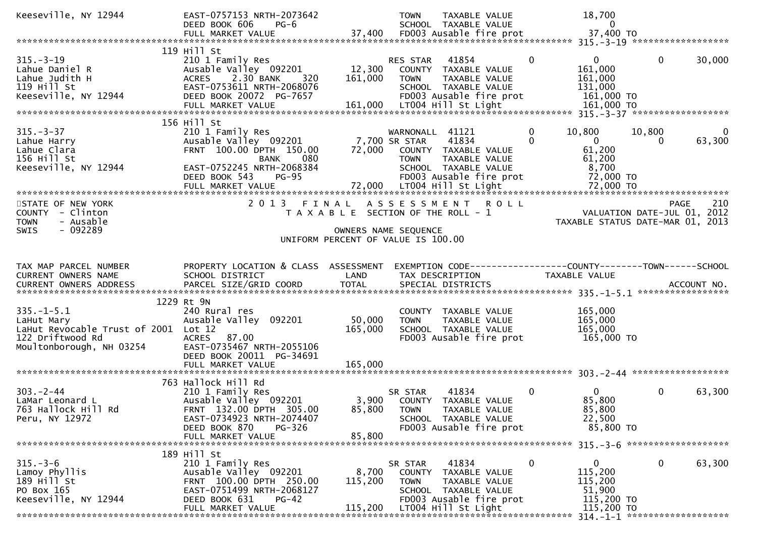| Keeseville, NY 12944                                                                                                                                          | EAST-0757153 NRTH-2073642                                                                                                         |              | TAXABLE VALUE<br><b>TOWN</b>                                                    |                                                                 | 18,700                 |              |              |
|---------------------------------------------------------------------------------------------------------------------------------------------------------------|-----------------------------------------------------------------------------------------------------------------------------------|--------------|---------------------------------------------------------------------------------|-----------------------------------------------------------------|------------------------|--------------|--------------|
| 0 1112347<br>DEED BOOK 606 PG-6 57,400 SCHOOL TAXABLE VALUE<br>FULL MARKET VALUE 37,400 FD003 Ausable fire prot 37,400 TO Franche 37,400 TO FULL MARKET VALUE |                                                                                                                                   |              |                                                                                 |                                                                 |                        |              |              |
|                                                                                                                                                               |                                                                                                                                   |              |                                                                                 |                                                                 |                        |              |              |
|                                                                                                                                                               | 119 Hill St                                                                                                                       |              |                                                                                 |                                                                 |                        |              |              |
| $315. - 3 - 19$                                                                                                                                               | י בושט Res<br>Ausable Valley 092201<br>ACRES 2 אם מצאת ה                                                                          | RE<br>12,300 | 41854<br>RES STAR                                                               | $\mathbf{0}$                                                    | $\overline{0}$         | $\mathbf{0}$ | 30,000       |
| R<br>H<br>IV 17944<br>Lahue Daniel R                                                                                                                          |                                                                                                                                   |              | COUNTY TAXABLE VALUE                                                            |                                                                 | 161,000                |              |              |
| Lahue Judith H<br>119 Hill St                                                                                                                                 | EAST-0753611 NRTH-2068076                                                                                                         | 161,000      | <b>TOWN</b><br>TAXABLE VALUE<br>SCHOOL TAXABLE VALUE                            |                                                                 | 161,000<br>131,000     |              |              |
| Keeseville, NY 12944                                                                                                                                          | DEED BOOK 20072 PG-7657                                                                                                           |              | FD003 Ausable fire prot                                                         |                                                                 | 161,000 TO             |              |              |
|                                                                                                                                                               |                                                                                                                                   |              |                                                                                 |                                                                 |                        |              |              |
|                                                                                                                                                               |                                                                                                                                   |              |                                                                                 |                                                                 |                        |              |              |
|                                                                                                                                                               | 156 Hill St<br>Hill St<br>210 1 Family Res WARNUNAL<br>Ausable Valley 092201 7,700 SR STAR<br>Ausable Valley 092201 72,000 COUNTY |              |                                                                                 |                                                                 |                        |              |              |
| $315. - 3 - 37$                                                                                                                                               |                                                                                                                                   |              | WARNONALL 41121                                                                 | 0                                                               | 10,800                 | 10,800       | $\mathbf{0}$ |
| Lahue Harry                                                                                                                                                   |                                                                                                                                   |              | 41834<br>72,000 COUNTY TAXABLE VALUE                                            | $\Omega$                                                        | $\mathbf{0}$<br>61,200 | $\Omega$     | 63,300       |
| Lahue Clara<br>156 Hill St                                                                                                                                    | BANK                                                                                                                              |              | TAXABLE VALUE<br><b>TOWN</b>                                                    |                                                                 | 61,200                 |              |              |
| Keeseville, NY 12944                                                                                                                                          | EAST-0752245 NRTH-2068384                                                                                                         |              | SCHOOL TAXABLE VALUE                                                            |                                                                 | 8,700                  |              |              |
|                                                                                                                                                               | $PG-95$<br>DEED BOOK 543                                                                                                          |              | FD003 Ausable fire prot                                                         |                                                                 | 72,000 TO              |              |              |
|                                                                                                                                                               |                                                                                                                                   |              |                                                                                 |                                                                 |                        |              |              |
|                                                                                                                                                               |                                                                                                                                   |              |                                                                                 |                                                                 |                        |              |              |
| STATE OF NEW YORK                                                                                                                                             |                                                                                                                                   |              | 2013 FINAL ASSESSMENT ROLL                                                      |                                                                 |                        | <b>PAGE</b>  | 210          |
| COUNTY - Clinton<br><b>TOWN</b><br>- Ausable                                                                                                                  |                                                                                                                                   |              | T A X A B L E SECTION OF THE ROLL - 1                                           | VALUATION DATE-JUL 01, 2012<br>TAXABLE STATUS DATE-MAR 01, 2013 |                        |              |              |
| - 092289<br><b>SWIS</b>                                                                                                                                       |                                                                                                                                   |              | OWNERS NAME SEQUENCE                                                            |                                                                 |                        |              |              |
|                                                                                                                                                               |                                                                                                                                   |              | UNIFORM PERCENT OF VALUE IS 100.00                                              |                                                                 |                        |              |              |
|                                                                                                                                                               |                                                                                                                                   |              |                                                                                 |                                                                 |                        |              |              |
|                                                                                                                                                               |                                                                                                                                   |              |                                                                                 |                                                                 |                        |              |              |
| TAX MAP PARCEL NUMBER<br>CURRENT OWNERS NAME                                                                                                                  | PROPERTY LOCATION & CLASS ASSESSMENT<br>SCHOOL DISTRICT                                                                           | LAND         | EXEMPTION CODE-----------------COUNTY-------TOWN------SCHOOL<br>TAX DESCRIPTION |                                                                 | TAXABLE VALUE          |              |              |
|                                                                                                                                                               |                                                                                                                                   |              |                                                                                 |                                                                 |                        |              |              |
|                                                                                                                                                               |                                                                                                                                   |              |                                                                                 |                                                                 |                        |              |              |
|                                                                                                                                                               | 1229 Rt 9N                                                                                                                        |              |                                                                                 |                                                                 |                        |              |              |
| $335. - 1 - 5.1$                                                                                                                                              | 240 Rural res                                                                                                                     |              | COUNTY TAXABLE VALUE                                                            |                                                                 | 165,000                |              |              |
| LaHut Mary                                                                                                                                                    | Ausable Valley 092201                                                                                                             | 50,000       | TAXABLE VALUE<br><b>TOWN</b>                                                    |                                                                 | 165,000                |              |              |
| LaHut Revocable Trust of 2001 Lot 12<br>122 Driftwood Rd                                                                                                      | ACRES 87.00                                                                                                                       | 165,000      | SCHOOL TAXABLE VALUE<br>FD003 Ausable fire prot                                 |                                                                 | 165,000<br>165,000 TO  |              |              |
| Moultonborough, NH 03254                                                                                                                                      | EAST-0735467 NRTH-2055106                                                                                                         |              |                                                                                 |                                                                 |                        |              |              |
|                                                                                                                                                               | DEED BOOK 20011 PG-34691                                                                                                          |              |                                                                                 |                                                                 |                        |              |              |
|                                                                                                                                                               | FULL MARKET VALUE                                                                                                                 | 165,000      |                                                                                 |                                                                 |                        |              |              |
|                                                                                                                                                               |                                                                                                                                   |              |                                                                                 |                                                                 |                        |              |              |
|                                                                                                                                                               | 763 Hallock Hill Rd                                                                                                               |              |                                                                                 | $\mathbf{0}$                                                    |                        |              | 63,300       |
| $303 - 2 - 44$<br>LaMar Leonard L                                                                                                                             | 210 1 Family Res<br>Ausable Valley 092201                                                                                         |              | 41834<br>SR STAR<br>3,900 COUNTY TAXABLE VALUE                                  |                                                                 | 0<br>85,800            | $\mathbf{0}$ |              |
| 763 Hallock Hill Rd                                                                                                                                           | FRNT 132.00 DPTH 305.00                                                                                                           | 85,800       | <b>TOWN</b><br>TAXABLE VALUE                                                    |                                                                 | 85,800                 |              |              |
| Peru, NY 12972                                                                                                                                                | EAST-0734923 NRTH-2074407                                                                                                         |              | SCHOOL TAXABLE VALUE                                                            |                                                                 | 22,500                 |              |              |
|                                                                                                                                                               | DEED BOOK 870<br>PG-326                                                                                                           |              | FD003 Ausable fire prot                                                         |                                                                 | 85,800 TO              |              |              |
|                                                                                                                                                               | FULL MARKET VALUE                                                                                                                 | 85,800       |                                                                                 |                                                                 |                        |              |              |
|                                                                                                                                                               |                                                                                                                                   |              |                                                                                 |                                                                 |                        |              |              |
| $315. - 3 - 6$                                                                                                                                                | 189 Hill St<br>210 1 Family Res                                                                                                   |              | 41834<br>SR STAR                                                                | 0                                                               | $\overline{0}$         | $\bf{0}$     | 63,300       |
| Lamoy Phyllis                                                                                                                                                 | Ausable Valley 092201                                                                                                             | 8,700        | COUNTY TAXABLE VALUE                                                            |                                                                 | 115,200                |              |              |
| 189 Hill St                                                                                                                                                   | FRNT 100.00 DPTH 250.00                                                                                                           | 115,200      | TAXABLE VALUE<br><b>TOWN</b>                                                    |                                                                 | 115,200                |              |              |
| PO Box 165                                                                                                                                                    | EAST-0751499 NRTH-2068127                                                                                                         |              | SCHOOL TAXABLE VALUE                                                            |                                                                 | 51,900                 |              |              |
| Keeseville, NY 12944                                                                                                                                          |                                                                                                                                   |              |                                                                                 |                                                                 |                        |              |              |
|                                                                                                                                                               | DEED BOOK 631<br><b>PG-42</b>                                                                                                     |              | FD003 Ausable fire prot                                                         |                                                                 | 115,200 TO             |              |              |
|                                                                                                                                                               | FULL MARKET VALUE                                                                                                                 | 115,200      | LT004 Hill St Light                                                             |                                                                 | 115,200 TO             |              |              |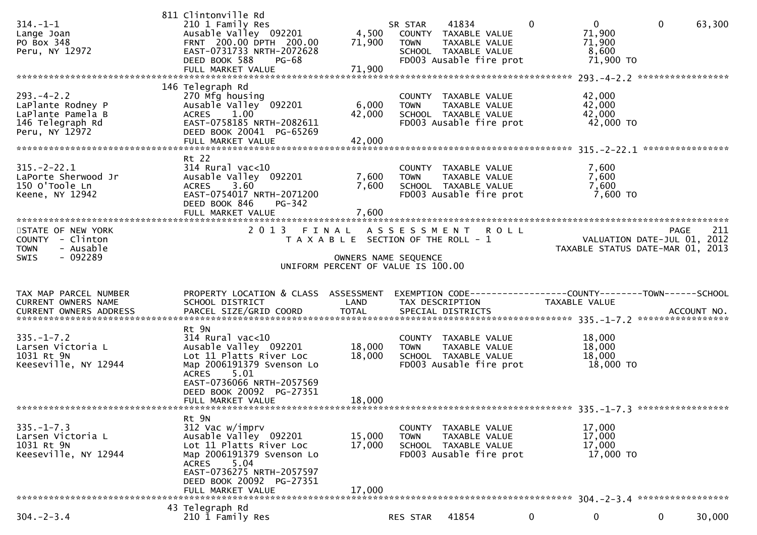| $314. - 1 - 1$<br>Lange Joan<br>PO Box 348<br>Peru, NY 12972                                    | 811 Clintonville Rd<br>210 1 Family Res<br>Ausable Valley 092201<br>FRNT 200.00 DPTH 200.00<br>EAST-0731733 NRTH-2072628<br>DEED BOOK 588<br><b>PG-68</b><br>FULL MARKET VALUE                                     | 4,500<br>71,900<br>71,900                                                                                    | SR STAR<br><b>TOWN</b> | 41834<br>COUNTY TAXABLE VALUE<br>TAXABLE VALUE<br>SCHOOL TAXABLE VALUE<br>FD003 Ausable fire prot | $\mathbf{0}$                                                                    | $\overline{0}$<br>71,900<br>71,900<br>8,600<br>71,900 TO | $\mathbf{0}$                                                                   | 63,300 |
|-------------------------------------------------------------------------------------------------|--------------------------------------------------------------------------------------------------------------------------------------------------------------------------------------------------------------------|--------------------------------------------------------------------------------------------------------------|------------------------|---------------------------------------------------------------------------------------------------|---------------------------------------------------------------------------------|----------------------------------------------------------|--------------------------------------------------------------------------------|--------|
| $293. -4 - 2.2$<br>LaPlante Rodney P<br>LaPlante Pamela B<br>146 Telegraph Rd<br>Peru, NY 12972 | 146 Telegraph Rd<br>270 Mfg housing<br>Ausable Valley 092201<br>1.00<br><b>ACRES</b><br>EAST-0758185 NRTH-2082611<br>DEED BOOK 20041 PG-65269<br>FULL MARKET VALUE                                                 | 6,000<br>42,000<br>42,000                                                                                    | <b>TOWN</b>            | COUNTY TAXABLE VALUE<br>TAXABLE VALUE<br>SCHOOL TAXABLE VALUE<br>FD003 Ausable fire prot          |                                                                                 | 42,000<br>42,000<br>42,000<br>42,000 TO                  | ****************                                                               |        |
| $315. - 2 - 22.1$<br>LaPorte Sherwood Jr<br>150 O'Toole Ln<br>Keene, NY 12942                   | Rt 22<br>$314$ Rural vac<10<br>Ausable Valley 092201<br><b>ACRES</b><br>3.60<br>EAST-0754017 NRTH-2071200<br>DEED BOOK 846<br>PG-342<br>FULL MARKET VALUE                                                          | 7,600<br>7,600<br>7,600                                                                                      | <b>TOWN</b>            | COUNTY TAXABLE VALUE<br>TAXABLE VALUE<br>SCHOOL TAXABLE VALUE<br>FD003 Ausable fire prot          |                                                                                 | 7,600<br>7,600<br>7,600<br>7,600 TO                      |                                                                                |        |
| STATE OF NEW YORK<br>COUNTY - Clinton<br>- Ausable<br><b>TOWN</b><br>- 092289<br><b>SWIS</b>    | 2 0 1 3                                                                                                                                                                                                            | FINAL<br>T A X A B L E SECTION OF THE ROLL - 1<br>OWNERS NAME SEQUENCE<br>UNIFORM PERCENT OF VALUE IS 100.00 | ASSESSMENT ROLL        |                                                                                                   |                                                                                 |                                                          | <b>PAGE</b><br>VALUATION DATE-JUL 01, 2012<br>TAXABLE STATUS DATE-MAR 01, 2013 | 211    |
| TAX MAP PARCEL NUMBER<br>CURRENT OWNERS NAME<br>CURRENT OWNERS ADDRESS                          | PROPERTY LOCATION & CLASS ASSESSMENT<br>SCHOOL DISTRICT<br>PARCEL SIZE/GRID COORD                                                                                                                                  | LAND<br><b>TOTAL</b>                                                                                         |                        | TAX DESCRIPTION<br>SPECIAL DISTRICTS                                                              | EXEMPTION CODE------------------COUNTY--------TOWN------SCHOOL<br>TAXABLE VALUE |                                                          | ACCOUNT NO.                                                                    |        |
| $335. - 1 - 7.2$<br>Larsen Victoria L<br>1031 Rt 9N<br>Keeseville, NY 12944                     | Rt 9N<br>$314$ Rural vac<10<br>Ausable Valley 092201<br>Lot 11 Platts River Loc<br>Map 2006191379 Svenson Lo<br><b>ACRES</b><br>5.01<br>EAST-0736066 NRTH-2057569<br>DEED BOOK 20092 PG-27351<br>FULL MARKET VALUE | 18,000<br>18,000<br>18,000                                                                                   | <b>TOWN</b>            | COUNTY TAXABLE VALUE<br>TAXABLE VALUE<br>SCHOOL TAXABLE VALUE<br>FD003 Ausable fire prot          |                                                                                 | 18,000<br>18,000<br>18,000<br>18,000 TO                  |                                                                                |        |
|                                                                                                 |                                                                                                                                                                                                                    |                                                                                                              |                        |                                                                                                   |                                                                                 |                                                          |                                                                                |        |
| $335. - 1 - 7.3$<br>Larsen Victoria L<br>1031 Rt 9N                                             | Rt 9N<br>312 Vac w/imprv                                                                                                                                                                                           | 15,000                                                                                                       | <b>TOWN</b>            | COUNTY TAXABLE VALUE<br>TAXABLE VALUE                                                             |                                                                                 | 17,000<br>17,000                                         |                                                                                |        |
| Keeseville, NY 12944                                                                            | Ausable Valley 092201<br>Lot 11 Platts River Loc<br>Map 2006191379 Svenson Lo<br>5.04<br><b>ACRES</b><br>EAST-0736275 NRTH-2057597<br>DEED BOOK 20092 PG-27351<br>FULL MARKET VALUE                                | 17,000<br>17,000                                                                                             |                        | SCHOOL TAXABLE VALUE<br>FD003 Ausable fire prot                                                   |                                                                                 | 17,000<br>17,000 TO                                      |                                                                                |        |
| $304. -2 - 3.4$                                                                                 | 43 Telegraph Rd<br>210 1 Family Res                                                                                                                                                                                |                                                                                                              | RES STAR               | 41854                                                                                             | $\mathbf 0$                                                                     | $\overline{0}$                                           | $\mathbf{0}$                                                                   | 30,000 |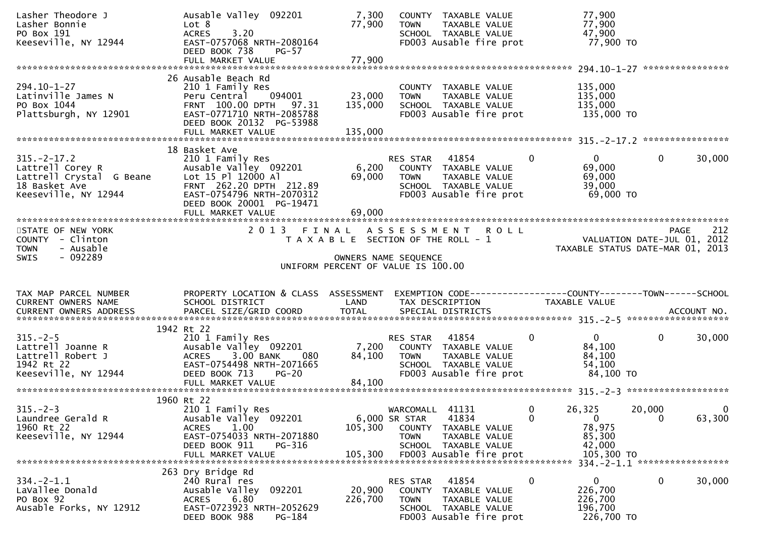| Lasher Theodore J<br>Lasher Bonnie<br>PO Box 191<br>Keeseville, NY 12944                                                                 | Ausable Valley 092201<br>Lot 8<br><b>ACRES</b><br>3.20<br>EAST-0757068 NRTH-2080164<br>DEED BOOK 738<br>$PG-57$                                                        | 7,300<br>77,900                       | <b>TOWN</b>                                     | COUNTY TAXABLE VALUE<br>TAXABLE VALUE<br>SCHOOL TAXABLE VALUE<br>FD003 Ausable fire prot               |          | 77,900<br>77,900<br>47,900<br>77,900 TO                                        |                       |                       |
|------------------------------------------------------------------------------------------------------------------------------------------|------------------------------------------------------------------------------------------------------------------------------------------------------------------------|---------------------------------------|-------------------------------------------------|--------------------------------------------------------------------------------------------------------|----------|--------------------------------------------------------------------------------|-----------------------|-----------------------|
|                                                                                                                                          |                                                                                                                                                                        |                                       |                                                 |                                                                                                        |          |                                                                                |                       |                       |
| 294.10-1-27<br>Latinville James N<br>PO Box 1044<br>Plattsburgh, NY 12901                                                                | 26 Ausable Beach Rd<br>210 1 Family Res<br>Peru Central 094001<br>FRNT 100.00 DPTH 97.31<br>EAST-0771710 NRTH-2085788<br>DEED BOOK 20132 PG-53988<br>FULL MARKET VALUE | 23,000<br>135,000<br>135,000          | <b>TOWN</b>                                     | COUNTY TAXABLE VALUE<br>TAXABLE VALUE<br>SCHOOL TAXABLE VALUE<br>FD003 Ausable fire prot               |          | 135,000<br>135,000<br>135,000<br>135,000 TO                                    |                       |                       |
|                                                                                                                                          |                                                                                                                                                                        |                                       |                                                 |                                                                                                        |          |                                                                                |                       |                       |
| $315. -2 - 17.2$                                                                                                                         | 18 Basket Ave<br>210 1 Family Res<br>Ausable Valley 092201<br>FRNT 262.20 DPTH 212.89<br>EAST-0754796 NRTH-2070312<br>DEED BOOK 20001 PG-19471                         | 6,200<br>69,000                       | RES STAR 41854<br><b>TOWN</b>                   | COUNTY TAXABLE VALUE<br>TAXABLE VALUE<br>SCHOOL TAXABLE VALUE<br>FD003 Ausable fire prot               | $\Omega$ | $\mathbf{0}$<br>69,000<br>69,000<br>39,000<br>69,000 TO                        | $\mathbf{0}$          | 30,000                |
|                                                                                                                                          |                                                                                                                                                                        |                                       |                                                 |                                                                                                        |          |                                                                                |                       |                       |
| STATE OF NEW YORK<br>COUNTY - Clinton<br><b>TOWN</b><br>- Ausable                                                                        | 2013 FINAL ASSESSMENT ROLL                                                                                                                                             | T A X A B L E SECTION OF THE ROLL - 1 |                                                 |                                                                                                        |          | VALUATION DATE-JUL 01, 2012<br>TAXABLE STATUS DATE-MAR 01, 2013                |                       | 212<br>PAGE           |
| - 092289<br><b>SWIS</b>                                                                                                                  |                                                                                                                                                                        | UNIFORM PERCENT OF VALUE IS 100.00    | OWNERS NAME SEQUENCE                            |                                                                                                        |          |                                                                                |                       |                       |
| TAX MAP PARCEL NUMBER<br>CURRENT OWNERS NAME<br>CURRENT OWNERS ADDRESS PARCEL SIZE/GRID COORD TOTAL SPECIAL DISTRICTS (2015) ACCOUNT NO. | PROPERTY LOCATION & CLASS ASSESSMENT<br>SCHOOL DISTRICT                                                                                                                | <b>Example 18 The LAND</b>            |                                                 | TAX DESCRIPTION                                                                                        |          | EXEMPTION CODE------------------COUNTY-------TOWN------SCHOOL<br>TAXABLE VALUE |                       |                       |
|                                                                                                                                          | 1942 Rt 22                                                                                                                                                             |                                       |                                                 |                                                                                                        |          |                                                                                |                       |                       |
| $315. - 2 - 5$<br>Lattrell Joanne R<br>Lattrell Robert J<br>1942 Rt 22<br>Keeseville, NY 12944                                           | 210 1 Family Res<br>Ausable Valley 092201<br>3.00 BANK<br><b>ACRES</b><br>EAST-0754498 NRTH-2071665<br>DEED BOOK 713<br><b>PG-20</b>                                   | 7,200<br>84,100                       | RES STAR                                        | 41854<br>COUNTY TAXABLE VALUE<br>TOWN TAXABLE VALUE<br>SCHOOL TAXABLE VALUE<br>FD003 Ausable fire prot | 0        | $\mathbf{0}$<br>84,100<br>84,100<br>54,100<br>84,100 TO                        | $\overline{0}$        | 30,000                |
|                                                                                                                                          |                                                                                                                                                                        |                                       |                                                 |                                                                                                        |          |                                                                                |                       |                       |
| $315. -2 - 3$<br>Laundree Gerald R<br>1960 Rt 22<br>Keeseville, NY 12944                                                                 | 1960 Rt 22<br>210 1 Family Res<br>Ausable Valley 092201<br>1.00<br><b>ACRES</b><br>EAST-0754033 NRTH-2071880<br>DEED BOOK 911<br>PG-316<br>FULL MARKET VALUE           | 105,300<br>105,300                    | WARCOMALL 41131<br>6,000 SR STAR<br><b>TOWN</b> | 41834<br>COUNTY TAXABLE VALUE<br>TAXABLE VALUE<br>SCHOOL TAXABLE VALUE<br>FD003 Ausable fire prot      | 0<br>0   | 26,325<br>$\mathbf{0}$<br>78,975<br>85,300<br>42,000<br>105,300 TO             | 20,000<br>$\mathbf 0$ | $\mathbf 0$<br>63,300 |
| $334. -2 - 1.1$<br>LaVallee Donald<br>PO Box 92<br>Ausable Forks, NY 12912                                                               | 263 Dry Bridge Rd<br>240 Rural res<br>Ausable Valley 092201<br>6.80<br><b>ACRES</b><br>EAST-0723923 NRTH-2052629<br>DEED BOOK 988<br>PG-184                            | 20,900<br>226,700                     | RES STAR<br>COUNTY<br><b>TOWN</b>               | 41854<br>TAXABLE VALUE<br>TAXABLE VALUE<br>SCHOOL TAXABLE VALUE<br>FD003 Ausable fire prot             | 0        | 0<br>226,700<br>226,700<br>196,700<br>226,700 TO                               | $\mathbf 0$           | 30,000                |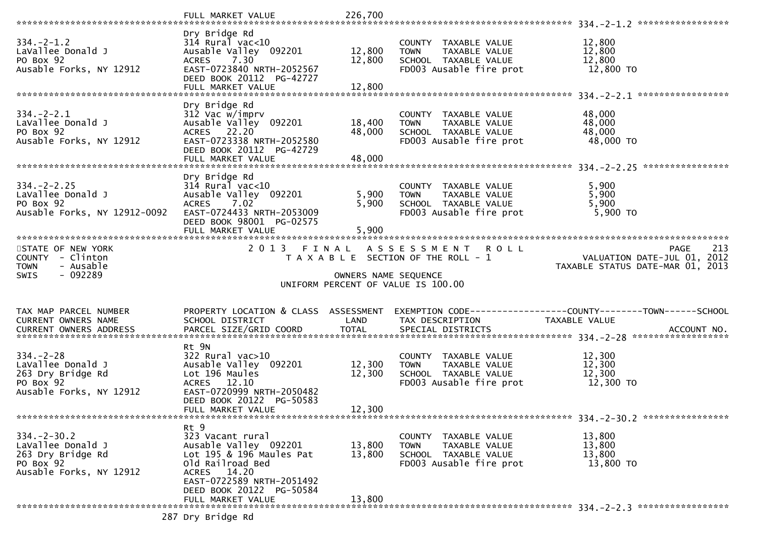| $334. - 2 - 1.2$<br>LaVallee Donald J<br>PO Box 92<br>Ausable Forks, NY 12912                      | Dry Bridge Rd<br>$314$ Rural vac<10<br>Ausable Valley 092201<br>7.30<br><b>ACRES</b><br>EAST-0723840 NRTH-2052567<br>DEED BOOK 20112 PG-42727<br>FULL MARKET VALUE                     | 12,800<br>12,800<br>12,800 | COUNTY TAXABLE VALUE<br>TAXABLE VALUE<br><b>TOWN</b><br>SCHOOL TAXABLE VALUE<br>FD003 Ausable fire prot | 12,800<br>12,800<br>12,800<br>12,800 TO                                       |
|----------------------------------------------------------------------------------------------------|----------------------------------------------------------------------------------------------------------------------------------------------------------------------------------------|----------------------------|---------------------------------------------------------------------------------------------------------|-------------------------------------------------------------------------------|
|                                                                                                    |                                                                                                                                                                                        |                            |                                                                                                         |                                                                               |
| $334. - 2 - 2.1$<br>LaVallee Donald J<br>PO Box 92<br>Ausable Forks, NY 12912                      | Dry Bridge Rd<br>312 Vac w/imprv<br>Ausable Valley 092201<br>ACRES 22.20<br>EAST-0723338 NRTH-2052580<br>DEED BOOK 20112 PG-42729<br>FULL MARKET VALUE                                 | 18,400<br>48,000<br>48,000 | COUNTY TAXABLE VALUE<br>TAXABLE VALUE<br><b>TOWN</b><br>SCHOOL TAXABLE VALUE<br>FD003 Ausable fire prot | 48,000<br>48,000<br>48,000<br>48,000 TO                                       |
|                                                                                                    | Dry Bridge Rd                                                                                                                                                                          |                            |                                                                                                         |                                                                               |
| $334. - 2 - 2.25$<br>LaVallee Donald J<br>PO Box 92<br>Ausable Forks, NY 12912-0092                | $314$ Rural vac<10<br>Ausable Valley 092201<br>7.02<br><b>ACRES</b><br>EAST-0724433 NRTH-2053009<br>DEED BOOK 98001 PG-02575<br>FULL MARKET VALUE                                      | 5,900<br>5,900<br>5,900    | COUNTY TAXABLE VALUE<br><b>TOWN</b><br>TAXABLE VALUE<br>SCHOOL TAXABLE VALUE<br>FD003 Ausable fire prot | 5,900<br>5,900<br>5,900<br>5,900 TO                                           |
|                                                                                                    |                                                                                                                                                                                        |                            |                                                                                                         |                                                                               |
| STATE OF NEW YORK<br>COUNTY - Clinton                                                              | 2 0 1 3<br>FINAL                                                                                                                                                                       |                            | ASSESSMENT ROLL<br>T A X A B L E SECTION OF THE ROLL - 1                                                | 213<br><b>PAGE</b><br>2012<br>VALUATION DATE-JUL 01,                          |
| <b>TOWN</b><br>- Ausable<br>$-092289$<br><b>SWIS</b>                                               |                                                                                                                                                                                        | OWNERS NAME SEQUENCE       |                                                                                                         | TAXABLE STATUS DATE-MAR 01, 2013                                              |
|                                                                                                    |                                                                                                                                                                                        |                            | UNIFORM PERCENT OF VALUE IS 100.00                                                                      |                                                                               |
| TAX MAP PARCEL NUMBER<br>CURRENT OWNERS NAME                                                       | PROPERTY LOCATION & CLASS ASSESSMENT<br>SCHOOL DISTRICT                                                                                                                                | LAND                       | TAX DESCRIPTION                                                                                         | EXEMPTION CODE-----------------COUNTY-------TOWN------SCHOOL<br>TAXABLE VALUE |
|                                                                                                    |                                                                                                                                                                                        |                            |                                                                                                         |                                                                               |
| $334. - 2 - 28$<br>LaVallee Donald J<br>263 Dry Bridge Rd<br>PO Box 92<br>Ausable Forks, NY 12912  | Rt 9N<br>$322$ Rural vac $>10$<br>Ausable Valley 092201<br>Lot 196 Maules<br>ACRES 12.10<br>EAST-0720999 NRTH-2050482<br>DEED BOOK 20122 PG-50583                                      | 12,300<br>12,300           | COUNTY TAXABLE VALUE<br><b>TOWN</b><br>TAXABLE VALUE<br>SCHOOL TAXABLE VALUE<br>FD003 Ausable fire prot | 12,300<br>12,300<br>12,300<br>12,300 TO                                       |
|                                                                                                    | FULL MARKET VALUE                                                                                                                                                                      | 12,300                     |                                                                                                         |                                                                               |
|                                                                                                    | Rt 9                                                                                                                                                                                   |                            |                                                                                                         |                                                                               |
| $334 - 2 - 30.2$<br>LaVallee Donald J<br>263 Dry Bridge Rd<br>PO Box 92<br>Ausable Forks, NY 12912 | 323 Vacant rural<br>Ausable Valley 092201<br>Lot 195 & 196 Maules Pat<br>Old Railroad Bed<br>ACRES 14.20<br>EAST-0722589 NRTH-2051492<br>DEED BOOK 20122 PG-50584<br>FULL MARKET VALUE | 13,800<br>13,800<br>13,800 | COUNTY TAXABLE VALUE<br><b>TOWN</b><br>TAXABLE VALUE<br>SCHOOL TAXABLE VALUE<br>FD003 Ausable fire prot | 13,800<br>13,800<br>13,800<br>13,800 TO                                       |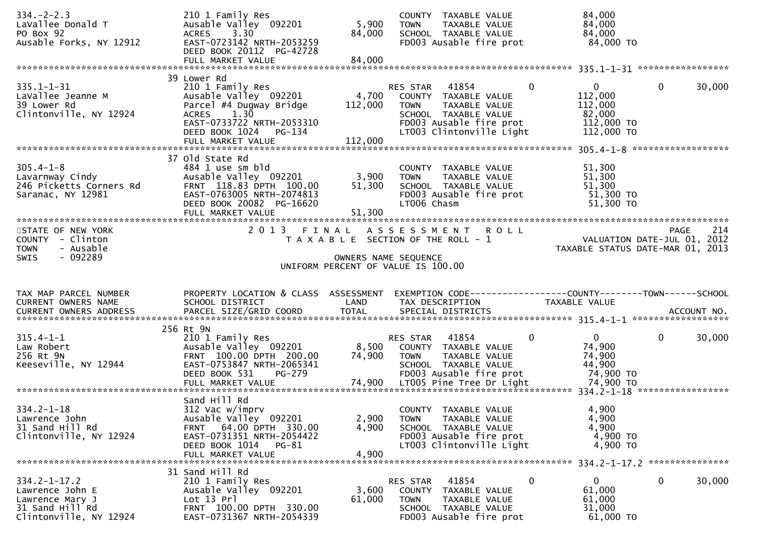| $334. -2 - 2.3$<br>LaVallee Donald T<br>PO Box 92<br>Ausable Forks, NY 12912       | 210 1 Family Res<br>Ausable Valley 092201<br>3.30<br><b>ACRES</b><br>EAST-0723142 NRTH-2053259<br>DEED BOOK 20112 PG-42728                                                   | 5,900<br>84,000             | COUNTY TAXABLE VALUE<br>TAXABLE VALUE<br><b>TOWN</b><br>SCHOOL TAXABLE VALUE<br>FD003 Ausable fire prot                                                       | 84,000<br>84,000<br>84,000<br>84,000 TO                                    |                        |
|------------------------------------------------------------------------------------|------------------------------------------------------------------------------------------------------------------------------------------------------------------------------|-----------------------------|---------------------------------------------------------------------------------------------------------------------------------------------------------------|----------------------------------------------------------------------------|------------------------|
|                                                                                    |                                                                                                                                                                              |                             |                                                                                                                                                               |                                                                            |                        |
| $335.1 - 1 - 31$<br>LaVallee Jeanne M<br>39 Lower Rd<br>Clintonville, NY 12924     | 39 Lower Rd<br>210 1 Family Res<br>Ausable Valley 092201<br>Parcel #4 Dugway Bridge<br>ACRES 1.30<br>EAST-0733722 NRTH-2053310<br>DEED BOOK 1024 PG-134<br>FULL MARKET VALUE | 4,700<br>112,000<br>112,000 | $\mathbf 0$<br>RES STAR 41854<br>COUNTY TAXABLE VALUE<br>TAXABLE VALUE<br>TOWN<br>SCHOOL TAXABLE VALUE<br>FD003 Ausable fire prot<br>LT003 Clintonville Light | $\overline{0}$<br>112,000<br>112,000<br>82,000<br>112,000 TO<br>112,000 TO | $\mathbf 0$<br>30,000  |
|                                                                                    |                                                                                                                                                                              |                             |                                                                                                                                                               |                                                                            |                        |
| $305.4 - 1 - 8$<br>Lavarnway Cindy<br>246 Picketts Corners Rd<br>Saranac, NY 12981 | 37 Old State Rd<br>484 1 use sm bld<br>Ausable Valley 092201<br>FRNT 118.83 DPTH 100.00<br>EAST-0763005 NRTH-2074813<br>DEED BOOK 20082 PG-16620<br>FULL MARKET VALUE        | 3,900<br>51,300<br>51,300   | COUNTY TAXABLE VALUE<br>TAXABLE VALUE<br><b>TOWN</b><br>SCHOOL TAXABLE VALUE<br>FD003 Ausable fire prot<br>LT006 Chasm                                        | 51,300<br>51,300<br>51,300<br>51,300 TO<br>51,300 TO                       |                        |
| STATE OF NEW YORK                                                                  |                                                                                                                                                                              |                             | 2013 FINAL ASSESSMENT ROLL                                                                                                                                    |                                                                            | 214<br>PAGE            |
| COUNTY - Clinton<br>- Ausable<br><b>TOWN</b>                                       |                                                                                                                                                                              |                             | T A X A B L E SECTION OF THE ROLL - 1                                                                                                                         | VALUATION DATE-JUL $01$ , 2012<br>TAXABLE STATUS DATE-MAR 01, 2013         |                        |
| $-092289$<br><b>SWIS</b>                                                           |                                                                                                                                                                              |                             | OWNERS NAME SEQUENCE                                                                                                                                          |                                                                            |                        |
|                                                                                    |                                                                                                                                                                              |                             | UNIFORM PERCENT OF VALUE IS 100.00                                                                                                                            |                                                                            |                        |
|                                                                                    |                                                                                                                                                                              |                             |                                                                                                                                                               |                                                                            |                        |
| TAX MAP PARCEL NUMBER<br>CURRENT OWNERS NAME<br><b>CURRENT OWNERS ADDRESS</b>      | PROPERTY LOCATION & CLASS ASSESSMENT<br>SCHOOL DISTRICT<br>PARCEL SIZE/GRID COORD                                                                                            | LAND<br><b>TOTAL</b>        | TAX DESCRIPTION<br>SPECIAL DISTRICTS                                                                                                                          | <b>TAXABLE VALUE</b>                                                       | ACCOUNT NO.            |
|                                                                                    | 256 Rt 9N                                                                                                                                                                    |                             |                                                                                                                                                               |                                                                            |                        |
| $315.4 - 1 - 1$<br>Law Robert<br>256 Rt 9N<br>Keeseville, NY 12944                 | 210 1 Family Res<br>Ausable Valley 092201<br>FRNT 100.00 DPTH 200.00<br>EAST-0753847 NRTH-2065341<br>PG-279<br>DEED BOOK 531                                                 | 8,500<br>74,900             | RES STAR 41854<br>0<br>COUNTY TAXABLE VALUE<br>TAXABLE VALUE<br><b>TOWN</b><br>SCHOOL TAXABLE VALUE<br>FD003 Ausable fire prot                                | $\overline{0}$<br>74,900<br>74,900<br>44,900<br>74,900 TO                  | $\mathbf{0}$<br>30,000 |
|                                                                                    |                                                                                                                                                                              |                             |                                                                                                                                                               |                                                                            |                        |
| $334.2 - 1 - 18$<br>Lawrence John                                                  | Sand Hill Rd<br>312 Vac w/imprv<br>Ausable Valley 092201                                                                                                                     | 2,900                       | COUNTY TAXABLE VALUE<br><b>TOWN</b><br>TAXABLE VALUE                                                                                                          | 4,900<br>4,900                                                             |                        |
| 31 Sand Hill Rd<br>Clintonville, NY 12924                                          | FRNT 64.00 DPTH 330.00<br>EAST-0731351 NRTH-2054422<br>DEED BOOK 1014 PG-81<br>FULL MARKET VALUE                                                                             | 4,900<br>4,900              | SCHOOL TAXABLE VALUE<br>FD003 Ausable fire prot<br>LT003 Clintonville Light                                                                                   | 4,900<br>4,900 TO<br>4,900 TO                                              |                        |
|                                                                                    | 31 Sand Hill Rd                                                                                                                                                              |                             |                                                                                                                                                               |                                                                            |                        |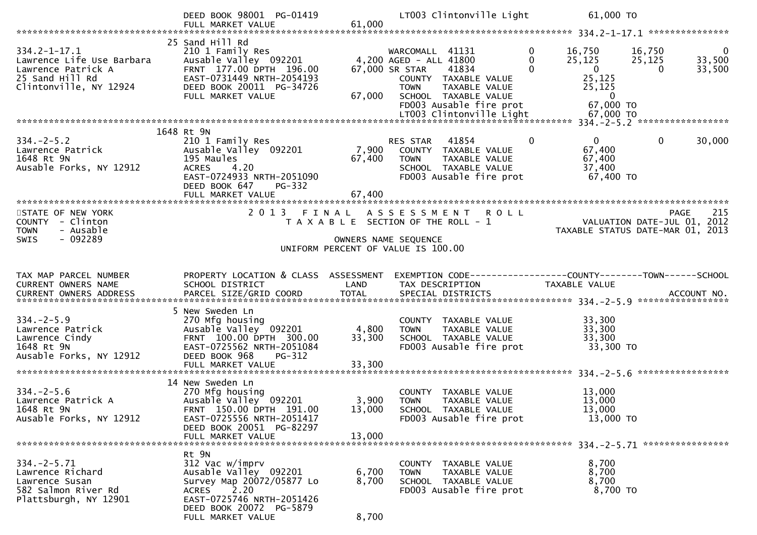|                                                                                                                      | DEED BOOK 98001 PG-01419<br>FULL MARKET VALUE                                                                                                                         | 61,000               | LT003 Clintonville Light                                                                                                                                                        | 61,000 TO                                                                                                                                                 |                |
|----------------------------------------------------------------------------------------------------------------------|-----------------------------------------------------------------------------------------------------------------------------------------------------------------------|----------------------|---------------------------------------------------------------------------------------------------------------------------------------------------------------------------------|-----------------------------------------------------------------------------------------------------------------------------------------------------------|----------------|
|                                                                                                                      |                                                                                                                                                                       |                      |                                                                                                                                                                                 |                                                                                                                                                           |                |
| $334.2 - 1 - 17.1$<br>Lawrence Life Use Barbara<br>Lawrence Patrick A<br>25 Sand Hill Rd<br>Clintonville, NY 12924 l | 25 Sand Hill Rd<br>210 1 Family Res<br>Ausable Valley 092201<br>FRNT 177.00 DPTH 196.00<br>EAST-0731449 NRTH-2054193<br>DEED BOOK 20011 PG-34726<br>FULL MARKET VALUE | 67,000               | WARCOMALL 41131<br>4,200 AGED - ALL 41800<br>41834<br>67,000 SR STAR<br>COUNTY TAXABLE VALUE<br><b>TOWN</b><br>TAXABLE VALUE<br>SCHOOL TAXABLE VALUE<br>FD003 Ausable fire prot | $\mathbf{0}$<br>16,750<br>16,750<br>25, 125<br>25,125<br>33,500<br>$\overline{0}$<br>33,500<br>$\Omega$<br>0<br>25,125<br>25,125<br>$\bf{0}$<br>67,000 TO | $\overline{0}$ |
|                                                                                                                      |                                                                                                                                                                       |                      |                                                                                                                                                                                 |                                                                                                                                                           |                |
| $334. - 2 - 5.2$<br>Lawrence Patrick<br>1648 Rt 9N<br>Ausable Forks, NY 12912                                        | 1648 Rt 9N<br>210 1 Family Res<br>Ausable Valley 092201<br>195 Maules<br><b>ACRES</b><br>4.20<br>EAST-0724933 NRTH-2051090<br>DEED BOOK 647<br>PG-332                 | 67,400               | RES STAR<br>41854<br>7,900 COUNTY TAXABLE VALUE<br><b>TOWN</b><br>TAXABLE VALUE<br>SCHOOL TAXABLE VALUE<br>FD003 Ausable fire prot                                              | $\mathbf{0}$<br>$\mathbf{0}$<br>$\mathbf{0}$<br>30,000<br>67,400<br>67,400<br>37,400<br>$67,400$ TO                                                       |                |
|                                                                                                                      | FULL MARKET VALUE                                                                                                                                                     | 67,400               |                                                                                                                                                                                 |                                                                                                                                                           |                |
| STATE OF NEW YORK<br>COUNTY - Clinton<br>- Ausable<br><b>TOWN</b><br>- 092289<br><b>SWIS</b>                         | 2013 FINAL                                                                                                                                                            | OWNERS NAME SEQUENCE | ASSESSMENT ROLL<br>T A X A B L E SECTION OF THE ROLL - 1<br>UNIFORM PERCENT OF VALUE IS 100.00                                                                                  | PAGE<br>VALUATION DATE-JUL 01, 2012<br>TAXABLE STATUS DATE-MAR 01, 2013                                                                                   | 215            |
|                                                                                                                      |                                                                                                                                                                       |                      |                                                                                                                                                                                 |                                                                                                                                                           |                |
|                                                                                                                      |                                                                                                                                                                       |                      |                                                                                                                                                                                 |                                                                                                                                                           |                |
| TAX MAP PARCEL NUMBER<br>CURRENT OWNERS NAME                                                                         | PROPERTY LOCATION & CLASS ASSESSMENT<br>SCHOOL DISTRICT                                                                                                               | LAND                 | TAX DESCRIPTION                                                                                                                                                                 | EXEMPTION CODE------------------COUNTY--------TOWN------SCHOOL<br>TAXABLE VALUE                                                                           |                |
|                                                                                                                      |                                                                                                                                                                       |                      |                                                                                                                                                                                 |                                                                                                                                                           |                |
| $334. -2 - 5.9$<br>Lawrence Patrick<br>Lawrence Cindy<br>1648 Rt 9N<br>Ausable Forks, NY 12912                       | 5 New Sweden Ln<br>270 Mfg housing<br>Ausable Valley 092201<br>FRNT 100.00 DPTH 300.00<br>EAST-0725562 NRTH-2051084<br>DEED BOOK 968<br>PG-312                        | 4,800<br>33,300      | COUNTY TAXABLE VALUE<br><b>TOWN</b><br>TAXABLE VALUE<br>SCHOOL TAXABLE VALUE<br>FD003 Ausable fire prot                                                                         | 33,300<br>33,300<br>33,300<br>33,300 TO                                                                                                                   |                |
|                                                                                                                      |                                                                                                                                                                       |                      |                                                                                                                                                                                 |                                                                                                                                                           |                |
| $334. -2 - 5.6$<br>Lawrence Patrick A<br>1648 Rt 9N<br>Ausable Forks, NY 12912                                       | 14 New Sweden Ln<br>270 Mfg housing<br>Ausable Valley 092201<br>FRNT 150.00 DPTH 191.00<br>EAST-0725556 NRTH-2051417<br>DEED BOOK 20051 PG-82297                      | 3,900<br>13,000      | COUNTY TAXABLE VALUE<br>TAXABLE VALUE<br><b>TOWN</b><br>SCHOOL TAXABLE VALUE<br>FD003 Ausable fire prot                                                                         | 13,000<br>13,000<br>13,000<br>13,000 TO                                                                                                                   |                |
|                                                                                                                      | FULL MARKET VALUE                                                                                                                                                     | 13,000               |                                                                                                                                                                                 |                                                                                                                                                           |                |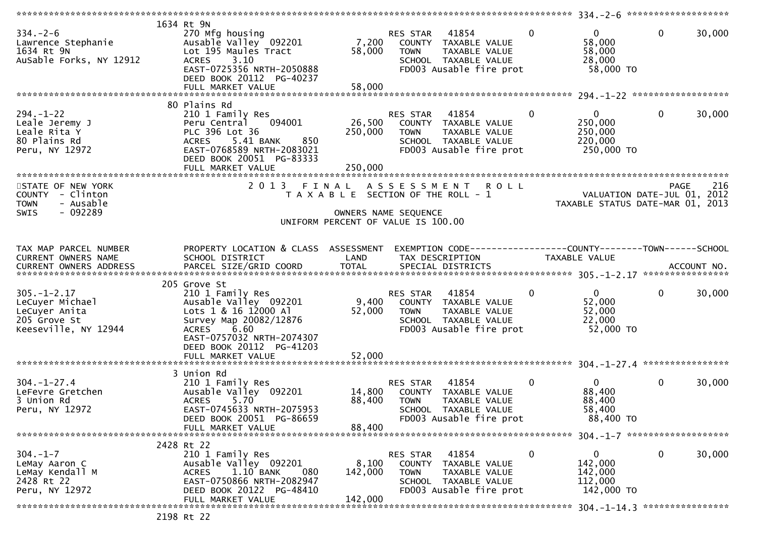| $334. - 2 - 6$<br>Lawrence Stephanie<br>1634 Rt 9N<br>AuSable Forks, NY 12912                 | 1634 Rt 9N<br>270 Mfg housing<br>Ausable Valley 092201<br>Lot 195 Maules Tract<br>3.10<br><b>ACRES</b><br>EAST-0725356 NRTH-2050888<br>DEED BOOK 20112 PG-40237                                                   | 7,200<br>58,000              | 41854<br>RES STAR<br>COUNTY TAXABLE VALUE<br>TAXABLE VALUE<br><b>TOWN</b><br>SCHOOL TAXABLE VALUE<br>FD003 Ausable fire prot                  | $\mathbf{0}$  | $\mathbf{0}$<br>$\mathbf{0}$<br>58,000<br>58,000<br>28,000<br>58,000 TO    | 30,000             |
|-----------------------------------------------------------------------------------------------|-------------------------------------------------------------------------------------------------------------------------------------------------------------------------------------------------------------------|------------------------------|-----------------------------------------------------------------------------------------------------------------------------------------------|---------------|----------------------------------------------------------------------------|--------------------|
|                                                                                               | 80 Plains Rd                                                                                                                                                                                                      |                              |                                                                                                                                               |               |                                                                            |                    |
| $294. - 1 - 22$<br>Leale Jeremy J<br>Leale Rita Y<br>80 Plains Rd<br>Peru, NY 12972           | 210 1 Family Res<br>Peru Central<br>094001<br>PLC 396 Lot 36<br>5.41 BANK<br>850<br><b>ACRES</b><br>EAST-0768589 NRTH-2083021<br>DEED BOOK 20051 PG-83333<br>FULL MARKET VALUE                                    | 26,500<br>250,000<br>250,000 | 41854<br>RES STAR<br>COUNTY TAXABLE VALUE<br>TAXABLE VALUE<br><b>TOWN</b><br>SCHOOL TAXABLE VALUE<br>FD003 Ausable fire prot                  | $\mathbf{0}$  | $\mathbf 0$<br>$\mathbf{0}$<br>250,000<br>250,000<br>220,000<br>250,000 TO | 30,000             |
|                                                                                               |                                                                                                                                                                                                                   |                              |                                                                                                                                               |               |                                                                            |                    |
| STATE OF NEW YORK<br>COUNTY - Clinton<br>- Ausable<br><b>TOWN</b><br>$-092289$<br>SWIS        | 2 0 1 3                                                                                                                                                                                                           | FINAL                        | ASSESSMENT ROLL<br>T A X A B L E SECTION OF THE ROLL - 1<br>OWNERS NAME SEQUENCE<br>UNIFORM PERCENT OF VALUE IS 100.00                        |               | VALUATION DATE-JUL 01, 2012<br>TAXABLE STATUS DATE-MAR 01, 2013            | 216<br><b>PAGE</b> |
|                                                                                               |                                                                                                                                                                                                                   |                              |                                                                                                                                               |               |                                                                            |                    |
| TAX MAP PARCEL NUMBER<br>CURRENT OWNERS NAME                                                  | PROPERTY LOCATION & CLASS ASSESSMENT<br>SCHOOL DISTRICT                                                                                                                                                           | LAND                         | EXEMPTION CODE-----------------COUNTY-------TOWN------SCHOOL<br>TAX DESCRIPTION                                                               | TAXABLE VALUE |                                                                            |                    |
|                                                                                               |                                                                                                                                                                                                                   |                              |                                                                                                                                               |               |                                                                            |                    |
| $305. - 1 - 2.17$<br>LeCuyer Michael<br>LeCuyer Anita<br>205 Grove St<br>Keeseville, NY 12944 | 205 Grove St<br>210 1 Family Res<br>Ausable Valley 092201<br>Lots 1 & 16 12000 Al<br>Survey Map 20082/12876<br>6.60<br><b>ACRES</b><br>EAST-0757032 NRTH-2074307<br>DEED BOOK 20112 PG-41203<br>FULL MARKET VALUE | 9,400<br>52,000<br>52,000    | 41854<br>RES STAR<br>COUNTY TAXABLE VALUE<br><b>TOWN</b><br>TAXABLE VALUE<br>SCHOOL TAXABLE VALUE<br>FD003 Ausable fire prot                  | $\mathbf 0$   | $\mathbf{0}$<br>$\mathbf 0$<br>52,000<br>52,000<br>22,000<br>52,000 TO     | 30,000             |
|                                                                                               |                                                                                                                                                                                                                   |                              |                                                                                                                                               |               |                                                                            |                    |
| $304. - 1 - 27.4$<br>LeFevre Gretchen<br>3 Union Rd<br>Peru, NY 12972                         | 3 Union Rd<br>210 1 Family Res<br>Ausable Valley 092201<br>5.70<br><b>ACRES</b><br>EAST-0745633 NRTH-2075953<br>DEED BOOK 20051 PG-86659<br>FULL MARKET VALUE                                                     | 14,800<br>88,400<br>88,400   | 41854<br>RES STAR<br>COUNTY TAXABLE VALUE<br><b>TOWN</b><br><b>TAXABLE VALUE</b><br><b>SCHOOL</b><br>TAXABLE VALUE<br>FD003 Ausable fire prot | 0             | $\mathbf{0}$<br>0<br>88,400<br>88,400<br>58,400<br>88,400 TO               | 30,000             |
|                                                                                               | 2428 Rt 22                                                                                                                                                                                                        |                              |                                                                                                                                               |               |                                                                            |                    |
| $304. - 1 - 7$<br>LeMay Aaron C<br>LeMay Kendall M<br>2428 Rt 22<br>Peru, NY 12972            | 210 1 Family Res<br>Ausable Valley 092201<br>1.10 BANK<br>ACRES<br>080<br>EAST-0750866 NRTH-2082947<br>DEED BOOK 20122 PG-48410<br>FULL MARKET VALUE                                                              | 8,100<br>142,000<br>142,000  | 41854<br>RES STAR<br>COUNTY TAXABLE VALUE<br><b>TOWN</b><br>TAXABLE VALUE<br>SCHOOL TAXABLE VALUE<br>FD003 Ausable fire prot                  | $\mathbf 0$   | 0<br>$\mathbf{0}$<br>142,000<br>142,000<br>112,000<br>142,000 TO           | 30,000             |
|                                                                                               | $2100 - + 22$                                                                                                                                                                                                     |                              |                                                                                                                                               |               |                                                                            |                    |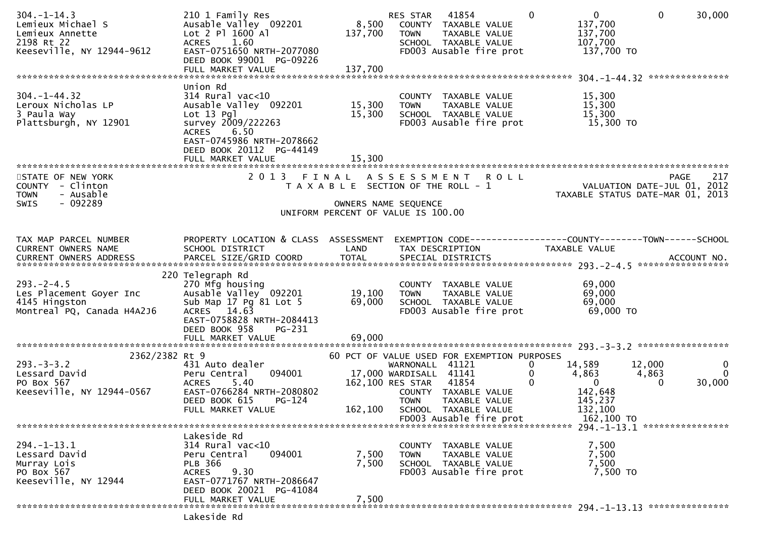| $304. - 1 - 14.3$<br>Lemieux Michael S     | 210 1 Family Res<br>Ausable Valley 092201            | 8,500                                       | RES STAR                                         | 41854<br>COUNTY TAXABLE VALUE                   | $\Omega$         | $\mathbf{0}$<br>137,700                                       | $\mathbf{0}$ | 30,000             |
|--------------------------------------------|------------------------------------------------------|---------------------------------------------|--------------------------------------------------|-------------------------------------------------|------------------|---------------------------------------------------------------|--------------|--------------------|
| Lemieux Annette                            | Lot 2 Pl 1600 Al                                     | 137,700                                     | <b>TOWN</b>                                      | TAXABLE VALUE                                   |                  | 137,700                                                       |              |                    |
| 2198 Rt 22<br>Keeseville, NY 12944-9612    | 1.60<br><b>ACRES</b><br>EAST-0751650 NRTH-2077080    |                                             |                                                  | SCHOOL TAXABLE VALUE<br>FD003 Ausable fire prot |                  | 107,700<br>137,700 TO                                         |              |                    |
|                                            | DEED BOOK 99001 PG-09226                             |                                             |                                                  |                                                 |                  |                                                               |              |                    |
|                                            | FULL MARKET VALUE                                    | 137,700                                     |                                                  |                                                 |                  |                                                               |              |                    |
| $304. - 1 - 44.32$                         | Union Rd                                             |                                             |                                                  |                                                 |                  |                                                               |              |                    |
| Leroux Nicholas LP                         | $314$ Rural vac<10<br>Ausable Valley 092201          | 15,300                                      | <b>TOWN</b>                                      | COUNTY TAXABLE VALUE<br>TAXABLE VALUE           |                  | 15,300<br>15,300                                              |              |                    |
| 3 Paula Way                                | Lot $13$ Pgl                                         | 15,300                                      |                                                  | SCHOOL TAXABLE VALUE                            |                  | 15,300                                                        |              |                    |
| Plattsburgh, NY 12901                      | survey 2009/222263<br>6.50<br><b>ACRES</b>           |                                             |                                                  | FD003 Ausable fire prot                         |                  | 15,300 TO                                                     |              |                    |
|                                            | EAST-0745986 NRTH-2078662                            |                                             |                                                  |                                                 |                  |                                                               |              |                    |
|                                            | DEED BOOK 20112 PG-44149<br>FULL MARKET VALUE        | 15,300                                      |                                                  |                                                 |                  |                                                               |              |                    |
|                                            |                                                      |                                             |                                                  |                                                 |                  |                                                               |              |                    |
| STATE OF NEW YORK<br>COUNTY - Clinton      | 2013 FINAL ASSESSMENT                                | T A X A B L E SECTION OF THE ROLL - 1       |                                                  |                                                 | <b>ROLL</b>      | VALUATION DATE-JUL $01$ , $2012$                              | PAGE         | 217                |
| - Ausable<br><b>TOWN</b>                   |                                                      |                                             |                                                  |                                                 |                  | TAXABLE STATUS DATE-MAR 01, 2013                              |              |                    |
| $-092289$<br>SWIS                          |                                                      | UNIFORM PERCENT OF VALUE IS 100.00          | OWNERS NAME SEQUENCE                             |                                                 |                  |                                                               |              |                    |
|                                            |                                                      |                                             |                                                  |                                                 |                  |                                                               |              |                    |
| TAX MAP PARCEL NUMBER                      | PROPERTY LOCATION & CLASS ASSESSMENT                 |                                             |                                                  |                                                 |                  | EXEMPTION CODE-----------------COUNTY--------TOWN------SCHOOL |              |                    |
| CURRENT OWNERS NAME                        | SCHOOL DISTRICT                                      | LAND                                        |                                                  | TAX DESCRIPTION                                 |                  | <b>TAXABLE VALUE</b>                                          |              |                    |
|                                            |                                                      |                                             |                                                  |                                                 |                  |                                                               |              |                    |
|                                            | 220 Telegraph Rd                                     |                                             |                                                  |                                                 |                  |                                                               |              |                    |
| $293 - 2 - 4.5$<br>Les Placement Goyer Inc | 270 Mfg housing<br>Ausable Valley 092201             | 19,100                                      | <b>TOWN</b>                                      | COUNTY TAXABLE VALUE<br>TAXABLE VALUE           |                  | 69,000<br>69,000                                              |              |                    |
| 4145 Hingston                              | Sub Map 17 Pg 81 Lot 5                               | 69,000                                      |                                                  | SCHOOL TAXABLE VALUE                            |                  | 69,000                                                        |              |                    |
| Montreal PQ, Canada H4A2J6                 | ACRES 14.63                                          |                                             |                                                  | FD003 Ausable fire prot                         |                  | 69,000 TO                                                     |              |                    |
|                                            | EAST-0758828 NRTH-2084413<br>DEED BOOK 958<br>PG-231 |                                             |                                                  |                                                 |                  |                                                               |              |                    |
|                                            | FULL MARKET VALUE                                    | 69,000                                      |                                                  |                                                 |                  |                                                               |              |                    |
| 2362/2382 Rt 9                             |                                                      | 60 PCT OF VALUE USED FOR EXEMPTION PURPOSES |                                                  |                                                 |                  |                                                               |              |                    |
| $293. -3 -3.2$                             | 431 Auto dealer                                      |                                             | WARNONALL 41121                                  |                                                 | 0                | 14,589                                                        | 12,000       | $\mathbf{0}$       |
| Lessard David<br>PO Box 567                | 094001<br>Peru Central<br>5.40<br><b>ACRES</b>       |                                             | 17,000 WARDISALL 41141<br>162,100 RES STAR 41854 |                                                 | $\mathbf 0$<br>0 | 4,863<br>$\mathbf{0}$                                         | 4,863<br>0   | $\Omega$<br>30,000 |
| Keeseville, NY 12944-0567                  | EAST-0766284 NRTH-2080802                            |                                             |                                                  | COUNTY TAXABLE VALUE                            |                  | 142,648                                                       |              |                    |
|                                            | DEED BOOK 615<br>$PG-124$<br>FULL MARKET VALUE       | 162,100                                     | <b>TOWN</b>                                      | <b>TAXABLE VALUE</b><br>SCHOOL TAXABLE VALUE    |                  | 145,237<br>132,100                                            |              |                    |
|                                            |                                                      |                                             |                                                  | FD003 Ausable fire prot                         |                  | 162,100 TO                                                    |              |                    |
|                                            | Lakeside Rd                                          |                                             |                                                  |                                                 |                  |                                                               |              |                    |
| $294. - 1 - 13.1$                          | 314 Rural vac<10                                     |                                             | COUNTY                                           | TAXABLE VALUE                                   |                  | 7,500                                                         |              |                    |
| Lessard David<br>Murray Lois               | 094001<br>Peru Central<br><b>PLB 366</b>             | 7,500<br>7,500                              | <b>TOWN</b>                                      | TAXABLE VALUE<br>SCHOOL TAXABLE VALUE           |                  | 7,500<br>7,500                                                |              |                    |
| PO Box 567                                 | 9.30<br><b>ACRES</b>                                 |                                             |                                                  | FD003 Ausable fire prot                         |                  | 7,500 TO                                                      |              |                    |
| Keeseville, NY 12944                       | EAST-0771767 NRTH-2086647                            |                                             |                                                  |                                                 |                  |                                                               |              |                    |
|                                            | DEED BOOK 20021 PG-41084<br>FULL MARKET VALUE        | 7,500                                       |                                                  |                                                 |                  |                                                               |              |                    |
|                                            |                                                      |                                             |                                                  |                                                 |                  |                                                               |              |                    |
|                                            | Lakeside Rd                                          |                                             |                                                  |                                                 |                  |                                                               |              |                    |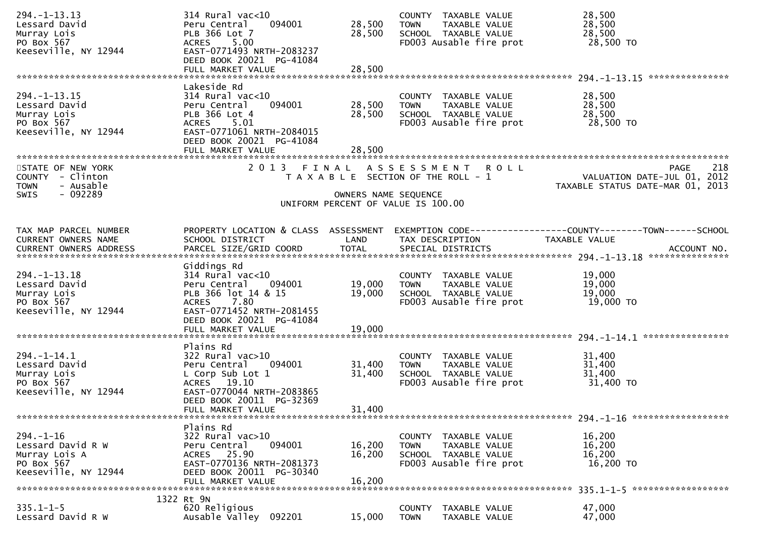| $294. -1 - 13.13$<br>Lessard David<br>Murray Lois<br>PO Box 567<br>Keeseville, NY 12944       | $314$ Rural vac<10<br>094001<br>Peru Central<br>PLB 366 Lot 7<br>5.00<br><b>ACRES</b><br>EAST-0771493 NRTH-2083237                                                       | 28,500<br>28,500           | COUNTY TAXABLE VALUE<br>TAXABLE VALUE<br><b>TOWN</b><br>SCHOOL TAXABLE VALUE<br>FD003 Ausable fire prot   | 28,500<br>28,500<br>28,500<br>28,500 TO                                        |
|-----------------------------------------------------------------------------------------------|--------------------------------------------------------------------------------------------------------------------------------------------------------------------------|----------------------------|-----------------------------------------------------------------------------------------------------------|--------------------------------------------------------------------------------|
|                                                                                               | DEED BOOK 20021 PG-41084<br>FULL MARKET VALUE                                                                                                                            | 28,500                     |                                                                                                           | ****************                                                               |
| $294. -1 - 13.15$<br>Lessard David<br>Murray Lois<br>PO Box 567<br>Keeseville, NY 12944       | Lakeside Rd<br>$314$ Rural vac<10<br>094001<br>Peru Central<br>PLB 366 Lot 4<br>ACRES 5.01<br>EAST-0771061 NRTH-2084015<br>DEED BOOK 20021 PG-41084<br>FULL MARKET VALUE | 28,500<br>28,500<br>28,500 | COUNTY TAXABLE VALUE<br><b>TOWN</b><br>TAXABLE VALUE<br>SCHOOL TAXABLE VALUE<br>FD003 Ausable fire prot   | 28,500<br>28,500<br>28,500<br>28,500 TO                                        |
| STATE OF NEW YORK<br>COUNTY - Clinton<br><b>TOWN</b><br>- Ausable<br>$-092289$<br><b>SWIS</b> |                                                                                                                                                                          | OWNERS NAME SEQUENCE       | 2013 FINAL ASSESSMENT ROLL<br>T A X A B L E SECTION OF THE ROLL - 1<br>UNIFORM PERCENT OF VALUE IS 100.00 | 218<br>PAGE<br>VALUATION DATE-JUL 01, 2012<br>TAXABLE STATUS DATE-MAR 01, 2013 |
| TAX MAP PARCEL NUMBER<br>CURRENT OWNERS NAME                                                  | PROPERTY LOCATION & CLASS ASSESSMENT<br>SCHOOL DISTRICT                                                                                                                  | LAND                       | TAX DESCRIPTION                                                                                           | EXEMPTION CODE-----------------COUNTY-------TOWN------SCHOOL<br>TAXABLE VALUE  |
| $294. -1 - 13.18$<br>Lessard David<br>Murray Lois<br>PO Box 567<br>Keeseville, NY 12944       | Giddings Rd<br>$314$ Rural vac<10<br>Peru Central<br>094001<br>PLB 366 lot 14 & 15<br>7.80<br><b>ACRES</b><br>EAST-0771452 NRTH-2081455<br>DEED BOOK 20021 PG-41084      | 19,000<br>19,000           | COUNTY TAXABLE VALUE<br><b>TOWN</b><br>TAXABLE VALUE<br>SCHOOL TAXABLE VALUE<br>FD003 Ausable fire prot   | 19,000<br>19,000<br>19,000<br>19,000 TO                                        |
|                                                                                               |                                                                                                                                                                          |                            |                                                                                                           | ****************                                                               |
| $294. - 1 - 14.1$<br>Lessard David<br>Murray Lois<br>PO Box 567<br>Keeseville, NY 12944       | Plains Rd<br>322 Rural vac>10<br>Peru Central<br>094001<br>L Corp Sub Lot 1<br>ACRES 19.10<br>EAST-0770044 NRTH-2083865<br>DEED BOOK 20011 PG-32369<br>FULL MARKET VALUE | 31,400<br>31,400<br>31,400 | COUNTY TAXABLE VALUE<br>TAXABLE VALUE<br><b>TOWN</b><br>SCHOOL TAXABLE VALUE<br>FD003 Ausable fire prot   | 31,400<br>31,400<br>31,400<br>31,400 TO                                        |
|                                                                                               | Plains Rd                                                                                                                                                                |                            |                                                                                                           | 294. -1-16 *******************                                                 |
| $294. - 1 - 16$<br>Lessard David R W<br>Murray Lois A<br>PO Box 567<br>Keeseville, NY 12944   | $322$ Rural vac $>10$<br>094001<br>Peru Central<br>ACRES 25.90<br>EAST-0770136 NRTH-2081373<br>DEED BOOK 20011 PG-30340<br>FULL MARKET VALUE                             | 16,200<br>16,200<br>16,200 | COUNTY TAXABLE VALUE<br><b>TOWN</b><br>TAXABLE VALUE<br>SCHOOL TAXABLE VALUE<br>FD003 Ausable fire prot   | 16,200<br>16,200<br>16,200<br>16,200 TO                                        |
|                                                                                               | 1322 Rt 9N                                                                                                                                                               |                            |                                                                                                           |                                                                                |
| $335.1 - 1 - 5$<br>Lessard David R W                                                          | 620 Religious<br>Ausable Valley 092201                                                                                                                                   | 15,000                     | COUNTY TAXABLE VALUE<br><b>TOWN</b><br>TAXABLE VALUE                                                      | 47,000<br>47,000                                                               |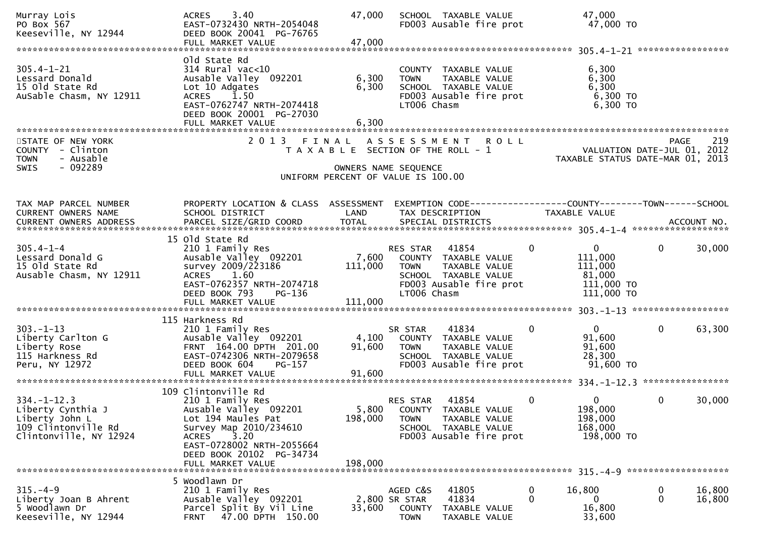| Murray Lois<br>PO Box 567<br>Keeseville, NY 12944                                                         | 3.40<br><b>ACRES</b><br>EAST-0732430 NRTH-2054048<br>DEED BOOK 20041 PG-76765<br>FULL MARKET VALUE                                                                                                                     | 47,000<br>47,000            | SCHOOL TAXABLE VALUE<br>FD003 Ausable fire prot                                                                                             | 47,000<br>47,000 TO                                                                  |                                                                                       |
|-----------------------------------------------------------------------------------------------------------|------------------------------------------------------------------------------------------------------------------------------------------------------------------------------------------------------------------------|-----------------------------|---------------------------------------------------------------------------------------------------------------------------------------------|--------------------------------------------------------------------------------------|---------------------------------------------------------------------------------------|
| $305.4 - 1 - 21$<br>Lessard Donald<br>15 old State Rd<br>AuSable Chasm, NY 12911                          | old State Rd<br>$314$ Rural vac<10<br>Ausable Valley 092201<br>Lot 10 Adgates<br><b>ACRES</b><br>1.50<br>EAST-0762747 NRTH-2074418<br>DEED BOOK 20001 PG-27030<br>FULL MARKET VALUE                                    | 6,300<br>6,300<br>6,300     | COUNTY TAXABLE VALUE<br>TAXABLE VALUE<br><b>TOWN</b><br>SCHOOL TAXABLE VALUE<br>FD003 Ausable fire prot<br>LT006 Chasm                      | 6,300<br>6,300<br>6,300<br>6,300 ТО<br>6,300 TO                                      |                                                                                       |
| STATE OF NEW YORK<br>COUNTY - Clinton<br>- Ausable<br><b>TOWN</b><br>SWIS<br>- 092289                     | 2 0 1 3                                                                                                                                                                                                                |                             | FINAL ASSESSMENT ROLL<br>T A X A B L E SECTION OF THE ROLL - 1<br>OWNERS NAME SEQUENCE<br>UNIFORM PERCENT OF VALUE IS 100.00                |                                                                                      | 219<br><b>PAGE</b><br>VALUATION DATE-JUL 01, 2012<br>TAXABLE STATUS DATE-MAR 01, 2013 |
| TAX MAP PARCEL NUMBER<br>CURRENT OWNERS NAME<br>CURRENT OWNERS ADDRESS                                    | PROPERTY LOCATION & CLASS ASSESSMENT<br>SCHOOL DISTRICT                                                                                                                                                                | LAND                        | EXEMPTION CODE-----------------COUNTY-------TOWN------SCHOOL<br>TAX DESCRIPTION                                                             | <b>TAXABLE VALUE</b>                                                                 |                                                                                       |
| $305.4 - 1 - 4$<br>Lessard Donald G<br>15 old State Rd<br>Ausable Chasm, NY 12911                         | 15 old State Rd<br>210 1 Family Res<br>Ausable Valley 092201<br>survey 2009/223186<br>1.60<br><b>ACRES</b><br>EAST-0762357 NRTH-2074718<br>DEED BOOK 793<br>PG-136<br>FULL MARKET VALUE                                | 7,600<br>111,000<br>111,000 | 41854<br>RES STAR<br>COUNTY TAXABLE VALUE<br>TAXABLE VALUE<br><b>TOWN</b><br>SCHOOL TAXABLE VALUE<br>FD003 Ausable fire prot<br>LT006 Chasm | $\Omega$<br>$\mathbf{0}$<br>111,000<br>111,000<br>81,000<br>111,000 TO<br>111,000 TO | 30,000<br>0                                                                           |
| $303. -1 - 13$<br>Liberty Carlton G<br>Liberty Rose<br>115 Harkness Rd<br>Peru, NY 12972                  | 115 Harkness Rd<br>210 1 Family Res<br>Ausable Valley 092201<br>FRNT 164.00 DPTH 201.00<br>EAST-0742306 NRTH-2079658<br>DEED BOOK 604<br>PG-157<br>FULL MARKET VALUE                                                   | 4,100<br>91,600<br>91,600   | 41834<br>SR STAR<br>COUNTY TAXABLE VALUE<br>TAXABLE VALUE<br><b>TOWN</b><br>SCHOOL TAXABLE VALUE<br>FD003 Ausable fire prot                 | $\Omega$<br>$\mathbf{0}$<br>91,600<br>91,600<br>28,300<br>91,600 TO                  | $\mathbf{0}$<br>63,300                                                                |
| $334. - 1 - 12.3$<br>Liberty Cynthia J<br>Liberty John L<br>109 Clintonville Rd<br>Clintonville, NY 12924 | 109 Clintonville Rd<br>210 1 Family Res<br>Ausable Valley 092201<br>Lot 194 Maules Pat<br>Survey Map 2010/234610<br>3.20<br><b>ACRES</b><br>EAST-0728002 NRTH-2055664<br>DEED BOOK 20102 PG-34734<br>FULL MARKET VALUE | 198,000<br>198,000          | 41854<br>RES STAR<br>5,800 COUNTY TAXABLE VALUE<br>TAXABLE VALUE<br><b>TOWN</b><br>SCHOOL TAXABLE VALUE<br>FD003 Ausable fire prot          | $\Omega$<br>0<br>198,000<br>198,000<br>168,000<br>198,000 TO                         | 0<br>30,000                                                                           |
| $315. - 4 - 9$<br>Liberty Joan B Ahrent<br>5 Woodlawn Dr<br>Keeseville, NY 12944                          | 5 Woodlawn Dr<br>210 1 Family Res<br>Ausable Valley 092201<br>Parcel Split By Vil Line<br>47.00 DPTH 150.00<br><b>FRNT</b>                                                                                             | 33,600                      | AGED C&S<br>41805<br>41834<br>2,800 SR STAR<br><b>COUNTY</b><br>TAXABLE VALUE<br><b>TOWN</b><br>TAXABLE VALUE                               | 16,800<br>$\bf{0}$<br>$\mathbf 0$<br>0<br>16,800<br>33,600                           | 16,800<br>0<br>0<br>16,800                                                            |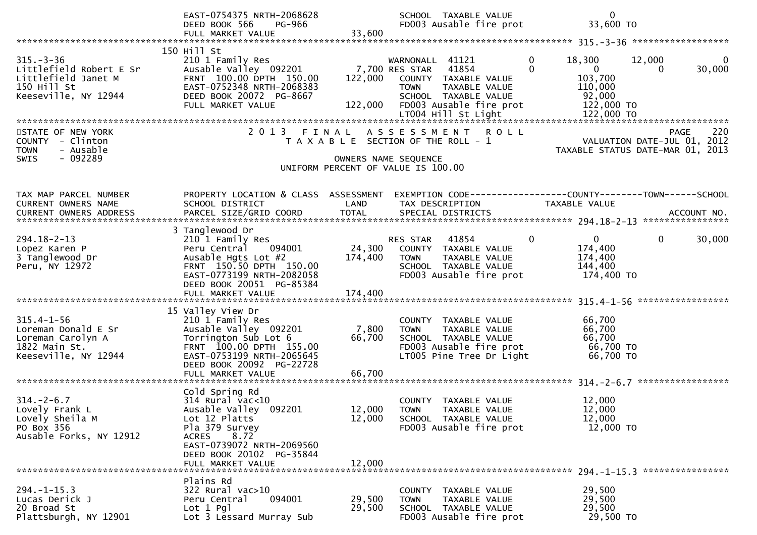|                                                                                                          | EAST-0754375 NRTH-2068628<br>DEED BOOK 566<br>PG-966<br>FULL MARKET VALUE                                                                                                                              | 33,600                     | SCHOOL TAXABLE VALUE<br>FD003 Ausable fire prot                                                                                                    | $\mathbf 0$<br>33,600 TO                                                                                        |                    |
|----------------------------------------------------------------------------------------------------------|--------------------------------------------------------------------------------------------------------------------------------------------------------------------------------------------------------|----------------------------|----------------------------------------------------------------------------------------------------------------------------------------------------|-----------------------------------------------------------------------------------------------------------------|--------------------|
|                                                                                                          |                                                                                                                                                                                                        |                            |                                                                                                                                                    |                                                                                                                 |                    |
| $315. - 3 - 36$<br>Littlefield Robert E Sr<br>Littlefield Janet M<br>150 Hill St<br>Keeseville, NY 12944 | 150 Hill St<br>210 1 Family Res<br>Ausable Valley 092201<br>FRNT 100.00 DPTH 150.00<br>EAST-0752348 NRTH-2068383<br>DEED BOOK 20072 PG-8667<br>FULL MARKET VALUE                                       | 122,000<br>122,000         | WARNONALL 41121<br>7,700 RES STAR 41854<br>COUNTY TAXABLE VALUE<br>TAXABLE VALUE<br><b>TOWN</b><br>SCHOOL TAXABLE VALUE<br>FD003 Ausable fire prot | 12,000<br>$\mathbf{0}$<br>18,300<br>$\Omega$<br>$\mathbf{0}$<br>0<br>103,700<br>110,000<br>92,000<br>122,000 TO | $\bf{0}$<br>30,000 |
| STATE OF NEW YORK<br>COUNTY - Clinton<br>- Ausable<br><b>TOWN</b><br>- 092289<br><b>SWIS</b>             |                                                                                                                                                                                                        |                            | 2013 FINAL ASSESSMENT ROLL<br>T A X A B L E SECTION OF THE ROLL - 1<br>OWNERS NAME SEQUENCE<br>UNIFORM PERCENT OF VALUE IS 100.00                  | VALUATION DATE-JUL 01, 2012<br>TAXABLE STATUS DATE-MAR 01, 2013                                                 | 220<br><b>PAGE</b> |
| TAX MAP PARCEL NUMBER<br><b>CURRENT OWNERS NAME</b>                                                      | PROPERTY LOCATION & CLASS ASSESSMENT<br>SCHOOL DISTRICT                                                                                                                                                | LAND                       | TAX DESCRIPTION                                                                                                                                    | EXEMPTION CODE------------------COUNTY-------TOWN------SCHOOL<br><b>TAXABLE VALUE</b>                           |                    |
| $294.18 - 2 - 13$<br>Lopez Karen P<br>3 Tanglewood Dr<br>Peru, NY 12972                                  | 3 Tanglewood Dr<br>210 1 Family Res<br>094001<br>Peru Central<br>Ausable Hgts Lot #2<br>FRNT 150.50 DPTH 150.00<br>EAST-0773199 NRTH-2082058<br>DEED BOOK 20051 PG-85384                               | 174,400                    | 41854<br>RES STAR<br>24,300 COUNTY TAXABLE VALUE<br><b>TOWN</b><br>TAXABLE VALUE<br>SCHOOL TAXABLE VALUE<br>FD003 Ausable fire prot                | 0<br>$\overline{0}$<br>$\bf{0}$<br>174,400<br>174,400<br>144,400<br>174,400 TO                                  | 30,000             |
| $315.4 - 1 - 56$<br>Loreman Donald E Sr<br>Loreman Carolyn A<br>1822 Main St.<br>Keeseville, NY 12944    | 15 Valley View Dr<br>210 1 Family Res<br>Ausable Valley 092201<br>Torrington Sub Lot 6<br>FRNT 100.00 DPTH 155.00<br>EAST-0753199 NRTH-2065645<br>DEED BOOK 20092 PG-22728<br>FULL MARKET VALUE        | 7,800<br>66,700<br>66,700  | COUNTY TAXABLE VALUE<br><b>TOWN</b><br>TAXABLE VALUE<br>SCHOOL TAXABLE VALUE<br>FD003 Ausable fire prot<br>LT005 Pine Tree Dr Light                | 66,700<br>66,700<br>66,700<br>66,700 TO<br>66,700 TO                                                            |                    |
| $314. - 2 - 6.7$<br>Lovely Frank L<br>Lovely Sheila M<br>PO Box 356<br>Ausable Forks, NY 12912           | Cold Spring Rd<br>$314$ Rural vac<10<br>Ausable Valley 092201<br>Lot 12 Platts<br>Pla 379 Survey<br>8.72<br><b>ACRES</b><br>EAST-0739072 NRTH-2069560<br>DEED BOOK 20102 PG-35844<br>FULL MARKET VALUE | 12,000<br>12,000<br>12,000 | COUNTY TAXABLE VALUE<br>TAXABLE VALUE<br><b>TOWN</b><br>SCHOOL TAXABLE VALUE<br>FD003 Ausable fire prot                                            | 12,000<br>12,000<br>12,000<br>12,000 TO                                                                         |                    |
| $294. -1 - 15.3$<br>Lucas Derick J<br>20 Broad St<br>Plattsburgh, NY 12901                               | Plains Rd<br>322 Rural vac>10<br>094001<br>Peru Central<br>$Lot 1$ Pgl<br>Lot 3 Lessard Murray Sub                                                                                                     | 29,500<br>29,500           | COUNTY TAXABLE VALUE<br>TAXABLE VALUE<br><b>TOWN</b><br>SCHOOL TAXABLE VALUE<br>FD003 Ausable fire prot                                            | 29,500<br>29,500<br>29,500<br>29,500 TO                                                                         |                    |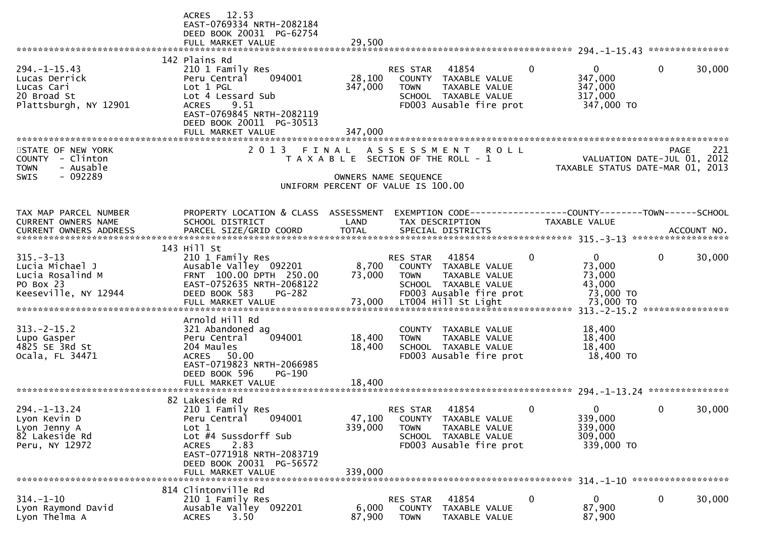|                                                                                               | ACRES 12.53<br>EAST-0769334 NRTH-2082184<br>DEED BOOK 20031 PG-62754<br>FULL MARKET VALUE                                                                                                                      | 29,500                                                                                                       |                                                 |                                                                                                   |              |                                                                 |             |        |
|-----------------------------------------------------------------------------------------------|----------------------------------------------------------------------------------------------------------------------------------------------------------------------------------------------------------------|--------------------------------------------------------------------------------------------------------------|-------------------------------------------------|---------------------------------------------------------------------------------------------------|--------------|-----------------------------------------------------------------|-------------|--------|
|                                                                                               |                                                                                                                                                                                                                |                                                                                                              |                                                 |                                                                                                   |              |                                                                 |             |        |
| $294. -1 -15.43$<br>Lucas Derrick<br>Lucas Cari<br>20 Broad St<br>Plattsburgh, NY 12901       | 142 Plains Rd<br>210 1 Family Res<br>094001<br>Peru Central<br>Lot 1 PGL<br>Lot 4 Lessard Sub<br><b>ACRES</b><br>9.51<br>EAST-0769845 NRTH-2082119<br>DEED BOOK 20011 PG-30513                                 | 28,100<br>347,000                                                                                            | RES STAR<br><b>TOWN</b>                         | 41854<br>COUNTY TAXABLE VALUE<br>TAXABLE VALUE<br>SCHOOL TAXABLE VALUE<br>FD003 Ausable fire prot | $\mathbf{0}$ | $\mathbf{0}$<br>347,000<br>347,000<br>317,000<br>347,000 TO     | 0           | 30,000 |
|                                                                                               | FULL MARKET VALUE<br>**************************                                                                                                                                                                | 347,000                                                                                                      |                                                 |                                                                                                   |              |                                                                 |             |        |
| STATE OF NEW YORK<br>COUNTY - Clinton<br><b>TOWN</b><br>- Ausable<br>$-092289$<br><b>SWIS</b> | 2013                                                                                                                                                                                                           | FINAL<br>T A X A B L E SECTION OF THE ROLL - 1<br>OWNERS NAME SEQUENCE<br>UNIFORM PERCENT OF VALUE IS 100.00 | A S S E S S M E N T                             | <b>ROLL</b>                                                                                       |              | VALUATION DATE-JUL 01, 2012<br>TAXABLE STATUS DATE-MAR 01, 2013 | <b>PAGE</b> | 221    |
| TAX MAP PARCEL NUMBER<br><b>CURRENT OWNERS NAME</b>                                           | PROPERTY LOCATION & CLASS ASSESSMENT<br>SCHOOL DISTRICT                                                                                                                                                        | LAND                                                                                                         |                                                 | EXEMPTION CODE-----------------COUNTY-------TOWN------SCHOOL<br>TAX DESCRIPTION                   |              | TAXABLE VALUE                                                   |             |        |
|                                                                                               | 143 Hill St                                                                                                                                                                                                    |                                                                                                              |                                                 |                                                                                                   |              |                                                                 |             |        |
| $315. - 3 - 13$<br>Lucia Michael J<br>Lucia Rosalind M<br>PO Box 23<br>Keeseville, NY 12944   | 210 1 Family Res<br>Ausable Valley 092201<br>FRNT 100.00 DPTH 250.00<br>EAST-0752635 NRTH-2068122<br>DEED BOOK 583<br><b>PG-282</b>                                                                            | 8,700<br>73,000                                                                                              | RES STAR<br><b>TOWN</b>                         | 41854<br>COUNTY TAXABLE VALUE<br>TAXABLE VALUE<br>SCHOOL TAXABLE VALUE<br>FD003 Ausable fire prot | 0            | $\mathbf{0}$<br>73,000<br>73,000<br>43,000<br>73,000 TO         | 0           | 30,000 |
|                                                                                               | FULL MARKET VALUE                                                                                                                                                                                              | 73,000                                                                                                       |                                                 | LT004 Hill St Light                                                                               |              | 73,000 TO                                                       |             |        |
| $313 - 2 - 15.2$<br>Lupo Gasper<br>4825 SE 3Rd St<br>Ocala, FL 34471                          | Arnold Hill Rd<br>321 Abandoned ag<br>094001<br>Peru Central<br>204 Maules<br>ACRES 50.00<br>EAST-0719823 NRTH-2066985<br>DEED BOOK 596<br>PG-190                                                              | 18,400<br>18,400                                                                                             | COUNTY<br><b>TOWN</b>                           | TAXABLE VALUE<br>TAXABLE VALUE<br>SCHOOL TAXABLE VALUE<br>FD003 Ausable fire prot                 |              | 18,400<br>18,400<br>18,400<br>18,400 TO                         |             |        |
|                                                                                               | FULL MARKET VALUE                                                                                                                                                                                              | 18,400                                                                                                       |                                                 |                                                                                                   |              |                                                                 |             |        |
| $294. - 1 - 13.24$<br>Lyon Kevin D<br>Lyon Jenny A<br>82 Lakeside Rd<br>Peru, NY 12972        | 82 Lakeside Rd<br>210 1 Family Res<br>094001<br>Peru Central<br>$\mathsf{Lot} 1$<br>Lot #4 Sussdorff Sub<br>2.83<br><b>ACRES</b><br>EAST-0771918 NRTH-2083719<br>DEED BOOK 20031 PG-56572<br>FULL MARKET VALUE | 47,100<br>339,000<br>339,000                                                                                 | <b>RES STAR</b><br><b>COUNTY</b><br><b>TOWN</b> | 41854<br>TAXABLE VALUE<br>TAXABLE VALUE<br>SCHOOL TAXABLE VALUE<br>FD003 Ausable fire prot        | 0            | 0<br>339,000<br>339,000<br>309,000<br>339,000 TO                | 0           | 30,000 |
|                                                                                               | 814 Clintonville Rd                                                                                                                                                                                            |                                                                                                              |                                                 |                                                                                                   |              |                                                                 |             |        |
| $314. - 1 - 10$<br>Lyon Raymond David<br>Lyon Thelma A                                        | 210 1 Family Res<br>Ausable Valley 092201<br>3.50<br><b>ACRES</b>                                                                                                                                              | 6,000<br>87,900                                                                                              | RES STAR<br><b>COUNTY</b><br><b>TOWN</b>        | 41854<br>TAXABLE VALUE<br>TAXABLE VALUE                                                           | 0            | 0<br>87,900<br>87,900                                           | $\mathbf 0$ | 30,000 |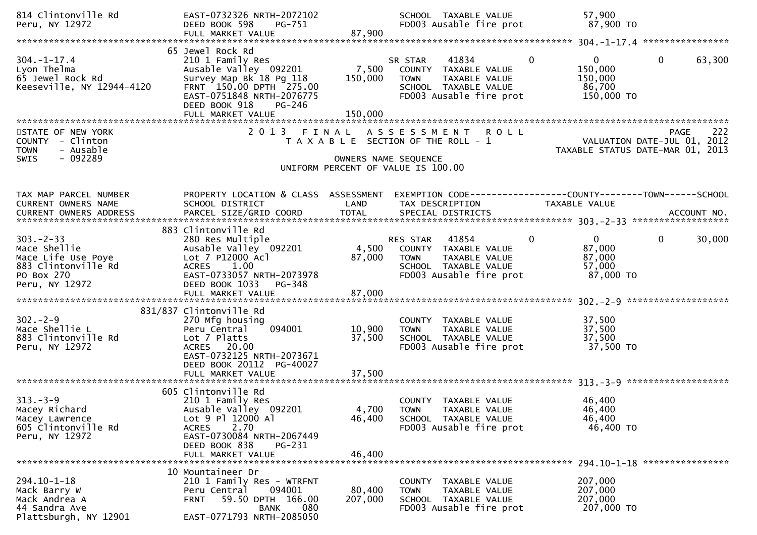| 814 Clintonville Rd<br>Peru, NY 12972                                                                       | EAST-0732326 NRTH-2072102<br>DEED BOOK 598<br>PG-751<br>FULL MARKET VALUE                                                                                                                  | 87,900                    | SCHOOL TAXABLE VALUE<br>FD003 Ausable fire prot                                                                                             | 57,900<br>87,900 TO                                                                    |
|-------------------------------------------------------------------------------------------------------------|--------------------------------------------------------------------------------------------------------------------------------------------------------------------------------------------|---------------------------|---------------------------------------------------------------------------------------------------------------------------------------------|----------------------------------------------------------------------------------------|
|                                                                                                             |                                                                                                                                                                                            |                           |                                                                                                                                             |                                                                                        |
| $304. - 1 - 17.4$<br>Lyon Thelma<br>65 Jewel Rock Rd<br>Keeseville, NY 12944-4120                           | 65 Jewel Rock Rd<br>210 1 Family Res<br>Ausable Valley 092201<br>Survey Map Bk 18 Pg 118<br>FRNT 150.00 DPTH 275.00<br>EAST-0751848 NRTH-2076775<br>DEED BOOK 918<br>PG-246                | 7,500<br>150,000          | $\mathbf{0}$<br>41834<br>SR STAR<br>COUNTY TAXABLE VALUE<br>TAXABLE VALUE<br><b>TOWN</b><br>SCHOOL TAXABLE VALUE<br>FD003 Ausable fire prot | 63,300<br>$\overline{0}$<br>$\mathbf{0}$<br>150,000<br>150,000<br>86,700<br>150,000 TO |
|                                                                                                             |                                                                                                                                                                                            |                           |                                                                                                                                             |                                                                                        |
| STATE OF NEW YORK<br>COUNTY - Clinton<br>- Ausable<br><b>TOWN</b><br>$-092289$<br><b>SWIS</b>               |                                                                                                                                                                                            | OWNERS NAME SEQUENCE      | 2013 FINAL ASSESSMENT ROLL<br>T A X A B L E SECTION OF THE ROLL - 1<br>UNIFORM PERCENT OF VALUE IS 100.00                                   | 222<br>PAGE<br>VALUATION DATE-JUL 01, 2012<br>TAXABLE STATUS DATE-MAR 01, 2013         |
|                                                                                                             |                                                                                                                                                                                            |                           |                                                                                                                                             |                                                                                        |
| TAX MAP PARCEL NUMBER<br><b>CURRENT OWNERS NAME</b>                                                         | PROPERTY LOCATION & CLASS ASSESSMENT<br>SCHOOL DISTRICT                                                                                                                                    | LAND                      | EXEMPTION CODE-----------------COUNTY-------TOWN------SCHOOL<br>TAX DESCRIPTION                                                             | <b>TAXABLE VALUE</b>                                                                   |
|                                                                                                             | 883 Clintonville Rd                                                                                                                                                                        |                           |                                                                                                                                             |                                                                                        |
| $303 - 2 - 33$<br>Mace Shellie<br>Mace Life Use Poye<br>883 Clintonville Rd<br>PO Box 270<br>Peru, NY 12972 | 280 Res Multiple<br>Ausable Valley 092201<br>Lot 7 P12000 Acl<br>ACRES 1.00<br>EAST-0733057 NRTH-2073978<br>DEED BOOK 1033<br>PG-348                                                       | 87,000                    | RES STAR 41854<br>4,500 COUNTY TAXABLE VALUE<br>TAXABLE VALUE<br><b>TOWN</b><br>SCHOOL TAXABLE VALUE<br>FD003 Ausable fire prot             | 30,000<br>$\mathbf{0}$<br>$\overline{0}$<br>87,000<br>87,000<br>57,000<br>87,000 TO    |
|                                                                                                             |                                                                                                                                                                                            |                           |                                                                                                                                             |                                                                                        |
| $302 - 2 - 9$<br>Mace Shellie L<br>883 Clintonville Rd<br>Peru, NY 12972                                    | 831/837 Clintonville Rd<br>270 Mfg housing<br>094001<br>Peru Central<br>Lot 7 Platts<br>ACRES 20.00<br>EAST-0732125 NRTH-2073671<br>DEED BOOK 20112 PG-40027                               | 10,900<br>37,500          | COUNTY TAXABLE VALUE<br>TAXABLE VALUE<br><b>TOWN</b><br>SCHOOL TAXABLE VALUE<br>FD003 Ausable fire prot                                     | 37,500<br>37,500<br>37,500<br>37,500 TO                                                |
|                                                                                                             |                                                                                                                                                                                            |                           |                                                                                                                                             |                                                                                        |
| $313 - 3 - 9$<br>Macey Richard<br>Macey Lawrence<br>605 Clintonville Rd<br>Peru, NY 12972                   | 605 Clintonville Rd<br>210 1 Family Res<br>Ausable Valley 092201<br>Lot 9 Pl 12000 Al<br>2.70<br><b>ACRES</b><br>EAST-0730084 NRTH-2067449<br>DEED BOOK 838<br>PG-231<br>FULL MARKET VALUE | 4,700<br>46,400<br>46,400 | COUNTY TAXABLE VALUE<br><b>TOWN</b><br>TAXABLE VALUE<br>SCHOOL TAXABLE VALUE<br>FD003 Ausable fire prot                                     | 46,400<br>46,400<br>46,400<br>46,400 TO                                                |
|                                                                                                             |                                                                                                                                                                                            |                           |                                                                                                                                             |                                                                                        |
| $294.10 - 1 - 18$<br>Mack Barry W<br>Mack Andrea A<br>44 Sandra Ave<br>Plattsburgh, NY 12901                | 10 Mountaineer Dr<br>210 1 Family Res - WTRFNT<br>094001<br>Peru Central<br>59.50 DPTH 166.00<br><b>FRNT</b><br>080<br><b>BANK</b><br>EAST-0771793 NRTH-2085050                            | 80,400<br>207,000         | COUNTY TAXABLE VALUE<br><b>TOWN</b><br><b>TAXABLE VALUE</b><br>SCHOOL TAXABLE VALUE<br>FD003 Ausable fire prot                              | 207,000<br>207,000<br>207,000<br>207,000 TO                                            |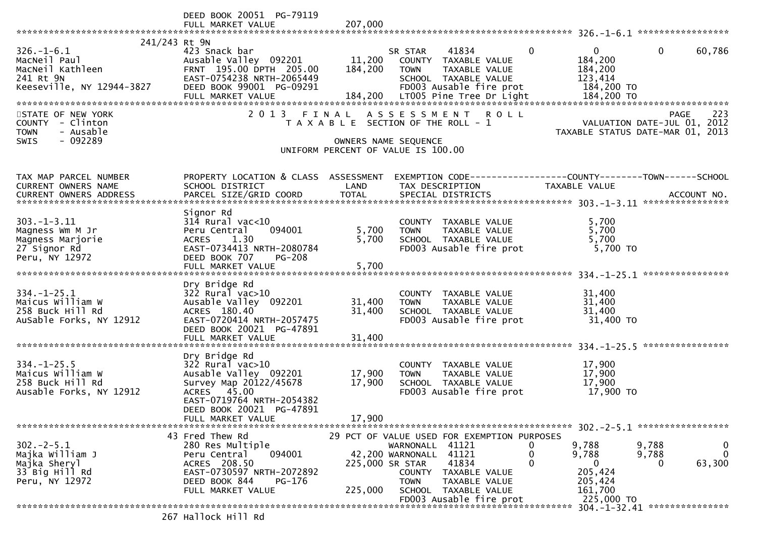|                                 | DEED BOOK 20051 PG-79119                             |                 |                                                                     |          |                       |                                  |              |
|---------------------------------|------------------------------------------------------|-----------------|---------------------------------------------------------------------|----------|-----------------------|----------------------------------|--------------|
|                                 | FULL MARKET VALUE                                    | 207,000         |                                                                     |          |                       |                                  |              |
|                                 |                                                      |                 |                                                                     |          |                       |                                  |              |
| 241/243 Rt 9N                   |                                                      |                 |                                                                     |          |                       |                                  |              |
| $326. - 1 - 6.1$                | 423 Snack bar                                        |                 | 41834<br>SR STAR                                                    | $\Omega$ | $\Omega$              | $\Omega$<br>60,786               |              |
| MacNeil Paul                    | Ausable Valley 092201                                | 11,200          | COUNTY TAXABLE VALUE                                                |          | 184,200               |                                  |              |
| MacNeil Kathleen                | FRNT 195.00 DPTH 205.00<br>EAST-0754238 NRTH-2065449 | 184,200         | TAXABLE VALUE<br><b>TOWN</b>                                        |          | 184,200               |                                  |              |
| 241 Rt 9N                       | DEED BOOK 99001 PG-09291                             |                 | SCHOOL TAXABLE VALUE<br>FD003 Ausable fire prot                     |          | 123,414<br>184,200 TO |                                  |              |
| Keeseville, NY 12944-3827       | FULL MARKET VALUE                                    | 184,200         | LT005 Pine Tree Dr Light                                            |          | 184,200 TO            |                                  |              |
|                                 |                                                      |                 |                                                                     |          |                       |                                  |              |
| STATE OF NEW YORK               | 2013 FINAL                                           |                 | ASSESSMENT ROLL                                                     |          |                       | PAGE                             | 223          |
| COUNTY - Clinton                |                                                      |                 | T A X A B L E SECTION OF THE ROLL - 1                               |          |                       | VALUATION DATE-JUL 01, 2012      |              |
| - Ausable<br><b>TOWN</b>        |                                                      |                 |                                                                     |          |                       | TAXABLE STATUS DATE-MAR 01, 2013 |              |
| - 092289<br><b>SWIS</b>         |                                                      |                 | OWNERS NAME SEQUENCE                                                |          |                       |                                  |              |
|                                 |                                                      |                 | UNIFORM PERCENT OF VALUE IS 100.00                                  |          |                       |                                  |              |
|                                 |                                                      |                 |                                                                     |          |                       |                                  |              |
|                                 |                                                      |                 |                                                                     |          |                       |                                  |              |
| TAX MAP PARCEL NUMBER           | PROPERTY LOCATION & CLASS ASSESSMENT                 |                 | EXEMPTION        CODE-----------------COUNTY-------TOWN------SCHOOL |          |                       |                                  |              |
| CURRENT OWNERS NAME             | SCHOOL DISTRICT                                      | LAND            | TAX DESCRIPTION                                                     |          | TAXABLE VALUE         |                                  |              |
|                                 |                                                      |                 |                                                                     |          |                       |                                  |              |
|                                 |                                                      |                 |                                                                     |          |                       |                                  |              |
|                                 | Signor Rd                                            |                 |                                                                     |          |                       |                                  |              |
| $303. -1 - 3.11$                | $314$ Rural vac<10                                   |                 | COUNTY TAXABLE VALUE                                                |          | 5,700                 |                                  |              |
| Magness Wm M Jr                 | Peru Central<br>094001                               | 5,700           | <b>TAXABLE VALUE</b><br><b>TOWN</b>                                 |          | 5,700                 |                                  |              |
| Magness Marjorie                | 1.30<br><b>ACRES</b>                                 | 5,700           | SCHOOL TAXABLE VALUE                                                |          | 5,700                 |                                  |              |
| 27 Signor Rd                    | EAST-0734413 NRTH-2080784                            |                 | FD003 Ausable fire prot                                             |          | 5,700 TO              |                                  |              |
| Peru, NY 12972                  | DEED BOOK 707<br><b>PG-208</b>                       |                 |                                                                     |          |                       |                                  |              |
|                                 | FULL MARKET VALUE                                    | 5,700           |                                                                     |          |                       |                                  |              |
|                                 | Dry Bridge Rd                                        |                 |                                                                     |          |                       |                                  |              |
| $334. - 1 - 25.1$               | $322$ Rural vac $>10$                                |                 | COUNTY TAXABLE VALUE                                                |          | 31,400                |                                  |              |
| Maicus William W                | Ausable Valley 092201                                | 31,400          | <b>TOWN</b><br>TAXABLE VALUE                                        |          | 31,400                |                                  |              |
| 258 Buck Hill Rd                | ACRES 180.40                                         | 31,400          | SCHOOL TAXABLE VALUE                                                |          | 31,400                |                                  |              |
| AuSable Forks, NY 12912         | EAST-0720414 NRTH-2057475                            |                 | FD003 Ausable fire prot                                             |          | 31,400 TO             |                                  |              |
|                                 | DEED BOOK 20021 PG-47891                             |                 |                                                                     |          |                       |                                  |              |
|                                 | FULL MARKET VALUE                                    | 31,400          |                                                                     |          |                       |                                  |              |
|                                 |                                                      |                 |                                                                     |          |                       |                                  |              |
|                                 | Dry Bridge Rd                                        |                 |                                                                     |          |                       |                                  |              |
| $334. - 1 - 25.5$               | $322$ Rural vac $>10$                                |                 | COUNTY TAXABLE VALUE                                                |          | 17,900                |                                  |              |
| Maicus William W                | Ausable Valley 092201                                | 17,900          | TAXABLE VALUE<br><b>TOWN</b>                                        |          | 17,900                |                                  |              |
| 258 Buck Hill Rd                | Survey Map 20122/45678                               | 17,900          | SCHOOL TAXABLE VALUE                                                |          | 17,900                |                                  |              |
| Ausable Forks, NY 12912         | ACRES 45.00                                          |                 | FD003 Ausable fire prot                                             |          | 17,900 TO             |                                  |              |
|                                 | EAST-0719764 NRTH-2054382                            |                 |                                                                     |          |                       |                                  |              |
|                                 | DEED BOOK 20021 PG-47891                             |                 |                                                                     |          |                       |                                  |              |
|                                 | FULL MARKET VALUE                                    | 17,900          |                                                                     |          |                       |                                  |              |
|                                 |                                                      |                 |                                                                     |          |                       |                                  |              |
|                                 | 43 Fred Thew Rd                                      |                 | 29 PCT OF VALUE USED FOR EXEMPTION PURPOSES                         |          |                       |                                  |              |
| $302 - 2 - 5.1$                 | 280 Res Multiple                                     |                 | WARNONALL 41121                                                     |          | 9,788                 | 9,788                            | 0            |
| Majka William J<br>Majka Sheryl | 094001<br>Peru Central                               |                 | 41121<br>42,200 WARNONALL                                           | 0<br>0   | 9,788<br>0            | 9,788                            | $\mathbf{0}$ |
| 33 Big Hill Rd                  | ACRES 208.50<br>EAST-0730597 NRTH-2072892            | 225,000 SR STAR | 41834                                                               |          | 205,424               | 63,300<br>0                      |              |
| Peru, NY 12972                  | DEED BOOK 844<br>PG-176                              |                 | COUNTY TAXABLE VALUE<br><b>TOWN</b><br>TAXABLE VALUE                |          | 205,424               |                                  |              |
|                                 | FULL MARKET VALUE                                    | 225,000         | SCHOOL TAXABLE VALUE                                                |          | 161,700               |                                  |              |
|                                 |                                                      |                 | FD003 Ausable fire prot                                             |          | 225,000 TO            |                                  |              |
|                                 |                                                      |                 |                                                                     |          |                       |                                  |              |
|                                 |                                                      |                 |                                                                     |          |                       |                                  |              |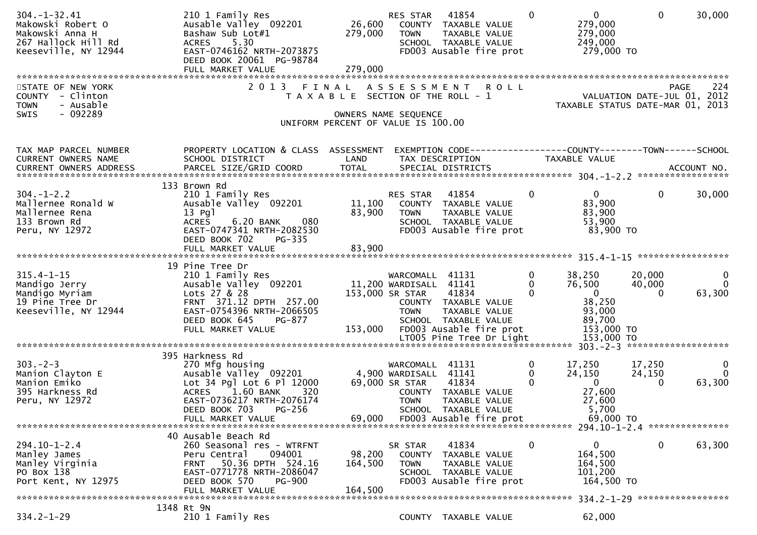| $304. - 1 - 32.41$<br>Makowski Robert O<br>Makowski Anna H<br>267 Hallock Hill Rd<br>Keeseville, NY 12944 | 210 1 Family Res<br>Ausable Valley 092201<br>Bashaw Sub Lot#1<br>5.30<br><b>ACRES</b><br>EAST-0746162 NRTH-2073875<br>DEED BOOK 20061 PG-98784 | 279,000                               | RES STAR<br><b>TOWN</b>                   | 41854<br>26,600 COUNTY TAXABLE VALUE<br>TAXABLE VALUE<br>SCHOOL TAXABLE VALUE<br>FD003 Ausable fire prot | $\Omega$             | $\mathbf{0}$<br>279,000<br>279,000<br>249,000<br>279,000 то     | $\mathbf{0}$       | 30,000                        |
|-----------------------------------------------------------------------------------------------------------|------------------------------------------------------------------------------------------------------------------------------------------------|---------------------------------------|-------------------------------------------|----------------------------------------------------------------------------------------------------------|----------------------|-----------------------------------------------------------------|--------------------|-------------------------------|
| STATE OF NEW YORK                                                                                         | 2 0 1 3                                                                                                                                        | FINAL ASSESSMENT                      |                                           | <b>ROLL</b>                                                                                              |                      |                                                                 |                    | 224<br><b>PAGE</b>            |
| COUNTY - Clinton<br>- Ausable<br><b>TOWN</b>                                                              |                                                                                                                                                | T A X A B L E SECTION OF THE ROLL - 1 |                                           |                                                                                                          |                      | VALUATION DATE-JUL 01, 2012<br>TAXABLE STATUS DATE-MAR 01, 2013 |                    |                               |
| $-092289$<br><b>SWIS</b>                                                                                  |                                                                                                                                                | UNIFORM PERCENT OF VALUE IS 100.00    | OWNERS NAME SEQUENCE                      |                                                                                                          |                      |                                                                 |                    |                               |
| TAX MAP PARCEL NUMBER<br>CURRENT OWNERS NAME                                                              | PROPERTY LOCATION & CLASS ASSESSMENT<br>SCHOOL DISTRICT                                                                                        | LAND                                  | TAX DESCRIPTION                           |                                                                                                          |                      | TAXABLE VALUE                                                   |                    |                               |
|                                                                                                           |                                                                                                                                                |                                       |                                           |                                                                                                          |                      |                                                                 |                    |                               |
|                                                                                                           | 133 Brown Rd                                                                                                                                   |                                       |                                           |                                                                                                          |                      |                                                                 |                    |                               |
| $304. - 1 - 2.2$<br>Mallernee Ronald W                                                                    | 210 1 Family Res<br>Ausable Valley 092201                                                                                                      |                                       | RES STAR                                  | 41854<br>11,100 COUNTY TAXABLE VALUE                                                                     | $\mathbf{0}$         | $\mathbf{0}$<br>83,900                                          | $\mathbf 0$        | 30,000                        |
| Mallernee Rena                                                                                            | $13$ Pgl                                                                                                                                       | 83,900                                | <b>TOWN</b>                               | TAXABLE VALUE                                                                                            |                      | 83,900                                                          |                    |                               |
| 133 Brown Rd<br>Peru, NY 12972                                                                            | 080<br><b>ACRES</b><br>6.20 BANK<br>EAST-0747341 NRTH-2082530                                                                                  |                                       |                                           | SCHOOL TAXABLE VALUE<br>FD003 Ausable fire prot                                                          |                      | 53,900<br>83,900 TO                                             |                    |                               |
|                                                                                                           | DEED BOOK 702<br>PG-335<br>FULL MARKET VALUE                                                                                                   | 83,900                                |                                           |                                                                                                          |                      |                                                                 |                    |                               |
|                                                                                                           |                                                                                                                                                |                                       |                                           |                                                                                                          |                      |                                                                 |                    |                               |
| $315.4 - 1 - 15$                                                                                          | 19 Pine Tree Dr<br>210 1 Family Res                                                                                                            |                                       | WARCOMALL 41131                           |                                                                                                          | $\mathbf 0$          | 38,250                                                          | 20,000             | $\mathbf 0$                   |
| Mandigo Jerry<br>Mandigo Myriam                                                                           | Ausable Valley 092201<br>Lots 27 & 28                                                                                                          |                                       | 11,200 WARDISALL 41141<br>153,000 SR STAR | 41834                                                                                                    | $\Omega$<br>$\Omega$ | 76,500<br>$\overline{\mathbf{0}}$                               | 40,000<br>$\Omega$ | $\mathbf{0}$<br>63,300        |
| 19 Pine Tree Dr                                                                                           | FRNT 371.12 DPTH 257.00                                                                                                                        |                                       |                                           | COUNTY TAXABLE VALUE                                                                                     |                      | 38,250                                                          |                    |                               |
| Keeseville, NY 12944                                                                                      | EAST-0754396 NRTH-2066505<br>DEED BOOK 645<br>PG-877                                                                                           |                                       | <b>TOWN</b>                               | TAXABLE VALUE<br>SCHOOL TAXABLE VALUE                                                                    |                      | 93,000<br>89,700                                                |                    |                               |
|                                                                                                           | FULL MARKET VALUE                                                                                                                              | 153,000                               |                                           | FD003 Ausable fire prot                                                                                  |                      | 153,000 TO                                                      |                    |                               |
|                                                                                                           |                                                                                                                                                |                                       |                                           |                                                                                                          |                      |                                                                 |                    |                               |
| $303 - 2 - 3$                                                                                             | 395 Harkness Rd<br>270 Mfg housing                                                                                                             |                                       | WARCOMALL 41131                           |                                                                                                          | $\mathbf{0}$         | 17,250                                                          | 17,250             | $\mathbf{0}$                  |
| Manion Clayton E<br>Manion Emiko                                                                          | Ausable Valley 092201                                                                                                                          |                                       | 4,900 WARDISALL 41141<br>69,000 SR STAR   | 41834                                                                                                    | $\Omega$<br>$\Omega$ | 24,150<br>$\mathbf{0}$                                          | 24,150<br>$\Omega$ | $\Omega$<br>63,300            |
| 395 Harkness Rd                                                                                           | Lot 34 Pgl Lot 6 Pl 12000<br>ACRES 1.60 BANK<br>320                                                                                            |                                       |                                           | COUNTY TAXABLE VALUE                                                                                     |                      | 27,600                                                          |                    |                               |
| Peru, NY 12972                                                                                            | EAST-0736217 NRTH-2076174<br><b>PG-256</b><br>DEED BOOK 703                                                                                    |                                       | <b>TOWN</b>                               | TAXABLE VALUE<br>SCHOOL TAXABLE VALUE                                                                    |                      | 27,600<br>5,700                                                 |                    |                               |
|                                                                                                           | FULL MARKET VALUE                                                                                                                              | 69,000                                |                                           | FD003 Ausable fire prot                                                                                  |                      | 69,000 TO                                                       |                    |                               |
|                                                                                                           | 40 Ausable Beach Rd                                                                                                                            |                                       |                                           |                                                                                                          |                      |                                                                 |                    |                               |
| 294.10-1-2.4<br>Manley James                                                                              | 260 Seasonal res - WTRFNT<br>Peru Central<br>094001                                                                                            | 98,200                                | SR STAR<br>COUNTY                         | 41834<br>TAXABLE VALUE                                                                                   | 0                    | 0<br>164,500                                                    | 0                  | 63,300                        |
| Manley Virginia                                                                                           | 50.36 DPTH 524.16<br><b>FRNT</b>                                                                                                               | 164,500                               | <b>TOWN</b>                               | TAXABLE VALUE                                                                                            |                      | 164,500                                                         |                    |                               |
| PO Box 138<br>Port Kent, NY 12975                                                                         | EAST-0771778 NRTH-2086047<br>DEED BOOK 570<br><b>PG-900</b>                                                                                    |                                       |                                           | SCHOOL TAXABLE VALUE<br>FD003 Ausable fire prot                                                          |                      | 101,200<br>164,500 TO                                           |                    |                               |
|                                                                                                           | FULL MARKET VALUE                                                                                                                              | 164,500                               |                                           |                                                                                                          |                      |                                                                 |                    | 334.2-1-29 ****************** |
|                                                                                                           | 1348 Rt 9N                                                                                                                                     |                                       |                                           |                                                                                                          |                      |                                                                 |                    |                               |
| $334.2 - 1 - 29$                                                                                          | 210 1 Family Res                                                                                                                               |                                       |                                           | COUNTY TAXABLE VALUE                                                                                     |                      | 62,000                                                          |                    |                               |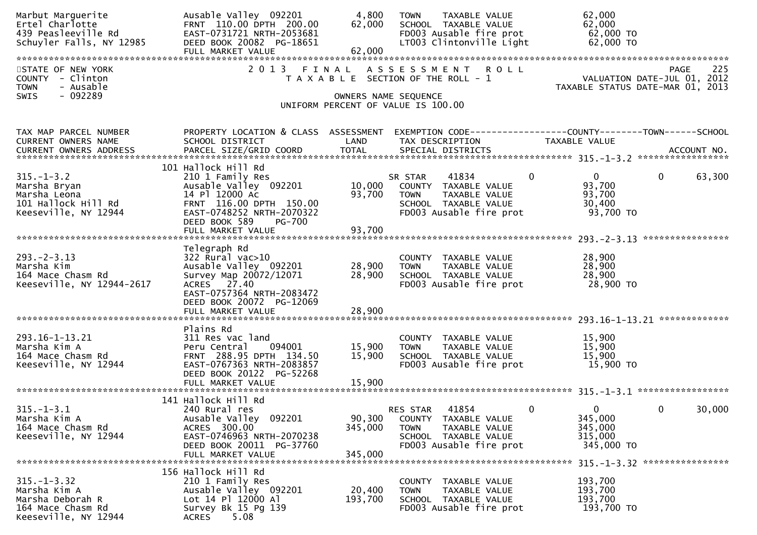| Marbut Marguerite<br>Ertel Charlotte<br>439 Peasleeville Rd<br>Schuyler Falls, NY 12985            | Ausable Valley 092201<br>FRNT 110.00 DPTH 200.00<br>EAST-0731721 NRTH-2053681<br>DEED BOOK 20082 PG-18651<br>FULL MARKET VALUE                                                   | 4,800<br>62,000<br>62,000    | TAXABLE VALUE<br><b>TOWN</b><br>SCHOOL TAXABLE VALUE<br>FD003 Ausable fire prot<br>LT003 Clintonville Light                         | 62,000<br>62,000<br>62,000 TO<br>62,000 TO                                                            |
|----------------------------------------------------------------------------------------------------|----------------------------------------------------------------------------------------------------------------------------------------------------------------------------------|------------------------------|-------------------------------------------------------------------------------------------------------------------------------------|-------------------------------------------------------------------------------------------------------|
| STATE OF NEW YORK<br>COUNTY - Clinton<br><b>TOWN</b><br>- Ausable                                  |                                                                                                                                                                                  |                              | 2013 FINAL ASSESSMENT ROLL<br>T A X A B L E SECTION OF THE ROLL - 1                                                                 | <b>PAGE</b><br>225<br>VALUATION DATE-JUL 01, 2012<br>TAXABLE STATUS DATE-MAR 01, 2013                 |
| - 092289<br>SWIS                                                                                   |                                                                                                                                                                                  |                              | OWNERS NAME SEQUENCE<br>UNIFORM PERCENT OF VALUE IS 100.00                                                                          |                                                                                                       |
| TAX MAP PARCEL NUMBER<br>CURRENT OWNERS NAME                                                       | PROPERTY LOCATION & CLASS ASSESSMENT<br>SCHOOL DISTRICT                                                                                                                          | LAND                         | TAX DESCRIPTION                                                                                                                     | EXEMPTION CODE------------------COUNTY--------TOWN------SCHOOL<br>TAXABLE VALUE                       |
| $315. - 1 - 3.2$<br>Marsha Bryan<br>Marsha Leona<br>101 Hallock Hill Rd<br>Keeseville, NY 12944    | 101 Hallock Hill Rd<br>210 1 Family Res<br>Ausable Valley 092201<br>14 Pl 12000 Ac<br>FRNT 116.00 DPTH 150.00<br>EAST-0748252 NRTH-2070322<br>DEED BOOK 589<br>PG-700            | 10,000<br>93,700             | 41834<br>SR STAR<br>COUNTY TAXABLE VALUE<br><b>TOWN</b><br>TAXABLE VALUE<br>SCHOOL TAXABLE VALUE<br>FD003 Ausable fire prot         | $\mathbf{0}$<br>$\Omega$<br>$\mathbf{0}$<br>63,300<br>93,700<br>93,700<br>30,400<br>93,700 TO         |
|                                                                                                    | FULL MARKET VALUE                                                                                                                                                                | 93,700                       |                                                                                                                                     | ****************                                                                                      |
| $293. -2 - 3.13$<br>Marsha Kim<br>164 Mace Chasm Rd<br>Keeseville, NY 12944-2617                   | Telegraph Rd<br>322 Rural vac>10<br>Ausable Valley 092201<br>Survey Map 20072/12071<br>ACRES 27.40<br>EAST-0757364 NRTH-2083472<br>DEED BOOK 20072 PG-12069<br>FULL MARKET VALUE | 28,900<br>28,900<br>28,900   | COUNTY TAXABLE VALUE<br>TAXABLE VALUE<br><b>TOWN</b><br>SCHOOL TAXABLE VALUE<br>FD003 Ausable fire prot                             | 28,900<br>28,900<br>28,900<br>28,900 TO                                                               |
|                                                                                                    |                                                                                                                                                                                  |                              |                                                                                                                                     |                                                                                                       |
| 293.16-1-13.21<br>Marsha Kim A<br>164 Mace Chasm Rd<br>Keeseville, NY 12944                        | Plains Rd<br>311 Res vac land<br>094001<br>Peru Central<br>FRNT 288.95 DPTH 134.50<br>EAST-0767363 NRTH-2083857<br>DEED BOOK 20122 PG-52268                                      | 15,900<br>15,900             | COUNTY TAXABLE VALUE<br>TAXABLE VALUE<br><b>TOWN</b><br>SCHOOL TAXABLE VALUE<br>FD003 Ausable fire prot                             | 15,900<br>15,900<br>15,900<br>15,900 TO                                                               |
|                                                                                                    |                                                                                                                                                                                  |                              |                                                                                                                                     |                                                                                                       |
| $315. - 1 - 3.1$<br>Marsha Kim A<br>164 Mace Chasm Rd<br>Keeseville, NY 12944                      | 141 Hallock Hill Rd<br>240 Rural res<br>Ausable Valley 092201<br>ACRES 300.00<br>EAST-0746963 NRTH-2070238<br>DEED BOOK 20011 PG-37760<br>FULL MARKET VALUE                      | 90,300<br>345,000<br>345,000 | 41854<br><b>RES STAR</b><br>COUNTY TAXABLE VALUE<br>TAXABLE VALUE<br><b>TOWN</b><br>SCHOOL TAXABLE VALUE<br>FD003 Ausable fire prot | $\mathbf{0}$<br>$\mathbf{0}$<br>$\mathbf{0}$<br>30,000<br>345,000<br>345,000<br>315,000<br>345,000 TO |
|                                                                                                    |                                                                                                                                                                                  |                              |                                                                                                                                     |                                                                                                       |
| $315. - 1 - 3.32$<br>Marsha Kim A<br>Marsha Deborah R<br>164 Mace Chasm Rd<br>Keeseville, NY 12944 | 156 Hallock Hill Rd<br>210 1 Family Res<br>Ausable Valley 092201<br>Lot 14 Pl 12000 Al<br>Survey Bk 15 Pg 139<br><b>ACRES</b><br>5.08                                            | 20,400<br>193,700            | COUNTY TAXABLE VALUE<br>TAXABLE VALUE<br><b>TOWN</b><br>SCHOOL TAXABLE VALUE<br>FD003 Ausable fire prot                             | 193,700<br>193,700<br>193,700<br>193,700 TO                                                           |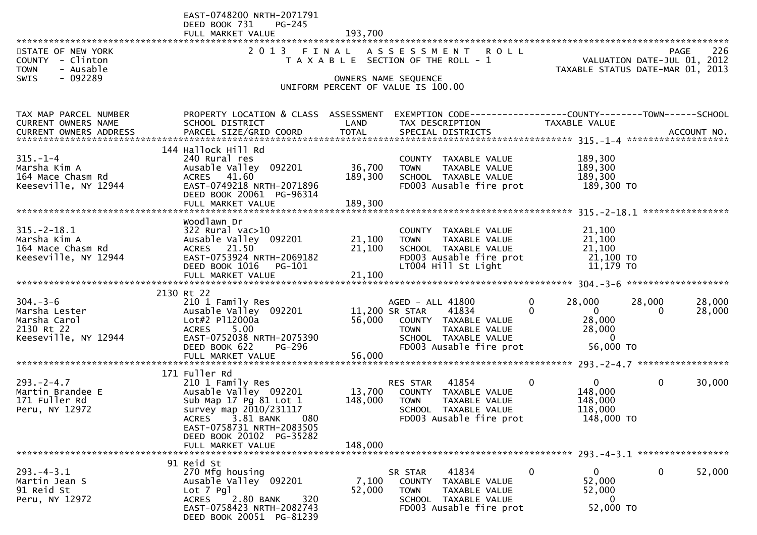|                                                      | EAST-0748200 NRTH-2071791<br><b>PG-245</b><br>DEED BOOK 731 |         |                                                                             |                                     |                                                                         |
|------------------------------------------------------|-------------------------------------------------------------|---------|-----------------------------------------------------------------------------|-------------------------------------|-------------------------------------------------------------------------|
|                                                      | FULL MARKET VALUE                                           | 193,700 |                                                                             |                                     |                                                                         |
| STATE OF NEW YORK<br>COUNTY - Clinton                | 2 0 1 3                                                     | FINAL   | A S S E S S M E N T<br><b>ROLL</b><br>T A X A B L E SECTION OF THE ROLL - 1 |                                     | PAGE 226<br>VALUATION DATE-JUL 01, 2012<br>TAXABLE STATUS DATE 111 2012 |
| - Ausable<br><b>TOWN</b><br>$-092289$<br><b>SWIS</b> |                                                             |         | OWNERS NAME SEQUENCE                                                        |                                     |                                                                         |
|                                                      |                                                             |         | UNIFORM PERCENT OF VALUE IS 100.00                                          |                                     |                                                                         |
| TAX MAP PARCEL NUMBER                                | PROPERTY LOCATION & CLASS ASSESSMENT                        |         | EXEMPTION CODE-----------------COUNTY--------TOWN------SCHOOL               |                                     |                                                                         |
| CURRENT OWNERS NAME                                  | SCHOOL DISTRICT                                             | LAND    | TAX DESCRIPTION                                                             | TAXABLE VALUE                       |                                                                         |
|                                                      | 144 Hallock Hill Rd                                         |         |                                                                             |                                     |                                                                         |
| $315. - 1 - 4$                                       | 240 Rural res                                               |         | COUNTY TAXABLE VALUE                                                        | 189,300                             |                                                                         |
| Marsha Kim A                                         | Ausable Valley 092201                                       | 36,700  | <b>TOWN</b><br>TAXABLE VALUE                                                | 189,300                             |                                                                         |
| 164 Mace Chasm Rd<br>Keeseville, NY 12944            | ACRES 41.60<br>EAST-0749218 NRTH-2071896                    | 189,300 | SCHOOL TAXABLE VALUE<br>FD003 Ausable fire prot                             | 189,300<br>189,300 TO               |                                                                         |
|                                                      | DEED BOOK 20061 PG-96314                                    |         |                                                                             |                                     |                                                                         |
|                                                      | FULL MARKET VALUE                                           | 189,300 |                                                                             |                                     |                                                                         |
|                                                      | Woodlawn Dr                                                 |         |                                                                             |                                     |                                                                         |
| $315. - 2 - 18.1$                                    | $322$ Rural vac $>10$                                       |         | COUNTY TAXABLE VALUE                                                        | 21,100                              |                                                                         |
| Marsha Kim A                                         | Ausable Valley 092201                                       | 21,100  | TAXABLE VALUE<br>TOWN                                                       | 21,100                              |                                                                         |
| 164 Mace Chasm Rd<br>Keeseville, NY 12944            | ACRES 21.50<br>EAST-0753924 NRTH-2069182                    | 21,100  | SCHOOL TAXABLE VALUE<br>FD003 Ausable fire prot                             | 21,100<br>21,100 TO                 |                                                                         |
|                                                      | DEED BOOK 1016<br>PG-101                                    |         | LT004 Hill St Light                                                         | 11,179 TO                           |                                                                         |
|                                                      |                                                             |         |                                                                             |                                     |                                                                         |
|                                                      | 2130 Rt 22                                                  |         |                                                                             |                                     |                                                                         |
| $304. - 3 - 6$                                       | 210 1 Family Res                                            |         | AGED - ALL 41800                                                            | 0<br>28,000                         | 28,000<br>28,000                                                        |
| Marsha Lester                                        | Ausable Valley 092201                                       |         | 11,200 SR STAR<br>41834                                                     | $\Omega$<br>$\overline{\mathbf{0}}$ | 28,000<br>$\Omega$                                                      |
| Marsha Carol<br>2130 Rt 22                           | Lot#2 P112000a<br><b>ACRES</b><br>5.00                      |         | 56,000 COUNTY TAXABLE VALUE<br><b>TOWN</b><br>TAXABLE VALUE                 | 28,000<br>28,000                    |                                                                         |
| Keeseville, NY 12944                                 | EAST-0752038 NRTH-2075390                                   |         | SCHOOL TAXABLE VALUE                                                        | $\overline{\phantom{0}}$            |                                                                         |
|                                                      | DEED BOOK 622<br>PG-296                                     |         | FD003 Ausable fire prot                                                     | 56,000 TO                           |                                                                         |
|                                                      | FULL MARKET VALUE                                           | 56,000  |                                                                             |                                     |                                                                         |
|                                                      | 171 Fuller Rd                                               |         |                                                                             |                                     |                                                                         |
| $293. - 2 - 4.7$                                     | 210 1 Family Res                                            |         | <b>RES STAR 41854</b>                                                       | $\mathbf{0}$<br>$\mathbf{0}$        | $\mathbf{0}$<br>30,000                                                  |
| Martin Brandee E<br>171 Fuller Rd                    | Ausable Valley 092201                                       | 13,700  | COUNTY TAXABLE VALUE                                                        | 148,000                             |                                                                         |
| Peru, NY 12972                                       | Sub Map 17 Pg 81 Lot 1<br>survey map 2010/231117            | 148,000 | <b>TOWN</b><br>TAXABLE VALUE<br>SCHOOL TAXABLE VALUE                        | 148,000<br>118,000                  |                                                                         |
|                                                      | 3.81 BANK<br><b>ACRES</b><br>080                            |         | FD003 Ausable fire prot                                                     | 148,000 TO                          |                                                                         |
|                                                      | EAST-0758731 NRTH-2083505                                   |         |                                                                             |                                     |                                                                         |
|                                                      | DEED BOOK 20102 PG-35282<br>FULL MARKET VALUE               | 148,000 |                                                                             |                                     |                                                                         |
|                                                      |                                                             |         |                                                                             |                                     |                                                                         |
|                                                      | 91 Reid St                                                  |         |                                                                             |                                     |                                                                         |
| $293. -4 - 3.1$<br>Martin Jean S                     | 270 Mfg housing<br>Ausable Valley 092201                    | 7,100   | 41834<br>SR STAR<br><b>COUNTY</b><br>TAXABLE VALUE                          | 0<br>$\mathbf{0}$<br>52,000         | $\bf{0}$<br>52,000                                                      |
| 91 Reid St                                           | $Lot$ 7 $Pg1$                                               | 52,000  | <b>TOWN</b><br>TAXABLE VALUE                                                | 52,000                              |                                                                         |
| Peru, NY 12972                                       | <b>ACRES</b><br>2.80 BANK<br>320                            |         | SCHOOL TAXABLE VALUE                                                        | 0                                   |                                                                         |
|                                                      | EAST-0758423 NRTH-2082743<br>DEED BOOK 20051 PG-81239       |         | FD003 Ausable fire prot                                                     | 52,000 TO                           |                                                                         |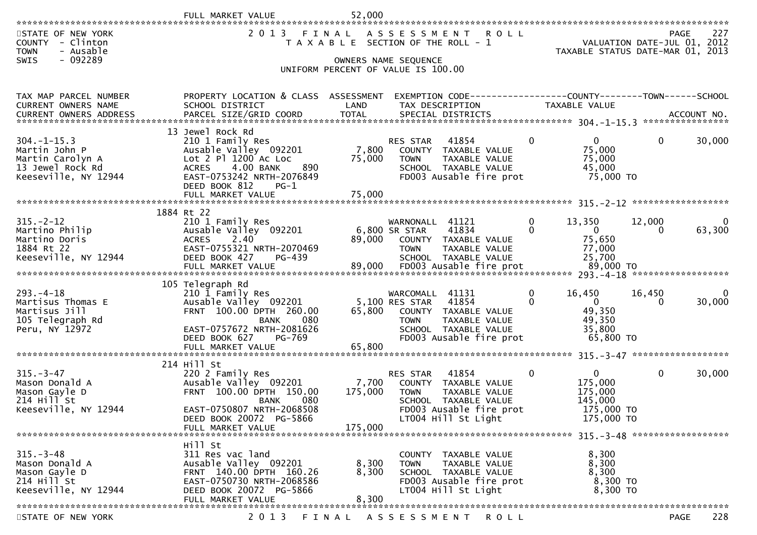|                                                                                                   | FULL MARKET VALUE                                                                                                                                                                     | 52,000                  |                                                                                                                                                                                     |                                                                              |                    |             |
|---------------------------------------------------------------------------------------------------|---------------------------------------------------------------------------------------------------------------------------------------------------------------------------------------|-------------------------|-------------------------------------------------------------------------------------------------------------------------------------------------------------------------------------|------------------------------------------------------------------------------|--------------------|-------------|
| STATE OF NEW YORK<br>COUNTY - Clinton<br>- Ausable<br><b>TOWN</b><br><b>SWIS</b><br>- 092289      |                                                                                                                                                                                       |                         | 2013 FINAL ASSESSMENT ROLL<br>T A X A B L E SECTION OF THE ROLL - 1<br>OWNERS NAME SEQUENCE<br>UNIFORM PERCENT OF VALUE IS 100.00                                                   | VALUATION DATE-JUL 01, 2012<br>TAXABLE STATUS DATE-MAR 01, 2013              | PAGE               | 227         |
|                                                                                                   |                                                                                                                                                                                       |                         |                                                                                                                                                                                     |                                                                              |                    |             |
| TAX MAP PARCEL NUMBER<br>CURRENT OWNERS NAME                                                      | PROPERTY LOCATION & CLASS ASSESSMENT<br>SCHOOL DISTRICT                                                                                                                               | LAND                    | EXEMPTION CODE------------------COUNTY-------TOWN------SCHOOL<br>TAX DESCRIPTION                                                                                                    | TAXABLE VALUE                                                                |                    |             |
|                                                                                                   | 13 Jewel Rock Rd                                                                                                                                                                      |                         |                                                                                                                                                                                     |                                                                              |                    |             |
| $304. -1 - 15.3$<br>Martin John P<br>Martin Carolyn A<br>13 Jewel Rock Rd<br>Keeseville, NY 12944 | 210 1 Family Res<br>Ausable Valley 092201<br>Lot 2 Pl 1200 Ac Loc<br>4.00 BANK<br>890<br><b>ACRES</b><br>EAST-0753242 NRTH-2076849<br>DEED BOOK 812<br>$PG-1$                         | 7,800<br>75,000         | $\mathbf{0}$<br>41854<br>RES STAR<br>COUNTY TAXABLE VALUE<br><b>TOWN</b><br>TAXABLE VALUE<br>SCHOOL TAXABLE VALUE<br>FD003 Ausable fire prot                                        | $\overline{0}$<br>75,000<br>75,000<br>45,000<br>75,000 TO                    | 0                  | 30,000      |
|                                                                                                   | FULL MARKET VALUE                                                                                                                                                                     | 75,000                  |                                                                                                                                                                                     |                                                                              |                    |             |
|                                                                                                   | 1884 Rt 22                                                                                                                                                                            |                         |                                                                                                                                                                                     |                                                                              |                    |             |
| $315. - 2 - 12$<br>Martino Philip<br>Martino Doris<br>1884 Rt 22<br>Keeseville, NY 12944          | 210 1 Family Res<br>Ausable Valley 092201<br>2.40<br><b>ACRES</b><br>EAST-0755321 NRTH-2070469<br>DEED BOOK 427<br>PG-439<br>FULL MARKET VALUE                                        | 89,000<br>89,000        | $\mathbf{0}$<br>WARNONALL<br>41121<br>6,800 SR STAR<br>41834<br>$\Omega$<br>COUNTY TAXABLE VALUE<br>TAXABLE VALUE<br><b>TOWN</b><br>SCHOOL TAXABLE VALUE<br>FD003 Ausable fire prot | 13,350<br>$\overline{\mathbf{0}}$<br>75,650<br>77,000<br>25,700<br>89,000 TO | 12,000<br>$\Omega$ | 0<br>63,300 |
|                                                                                                   |                                                                                                                                                                                       |                         |                                                                                                                                                                                     |                                                                              |                    |             |
| $293. -4 - 18$<br>Martisus Thomas E<br>Martisus Jill<br>105 Telegraph Rd<br>Peru, NY 12972        | 105 Telegraph Rd<br>210 1 Family Res<br>Ausable Valley 092201 5,100 RES STAR<br>FRNT 100.00 DPTH 260.00<br>080<br><b>BANK</b><br>EAST-0757672 NRTH-2081626<br>DEED BOOK 627<br>PG-769 | 65,800                  | $\mathbf{0}$<br>WARCOMALL 41131<br>0<br>41854<br>COUNTY TAXABLE VALUE<br>TAXABLE VALUE<br>TOWN<br>SCHOOL TAXABLE VALUE<br>FD003 Ausable fire prot                                   | 16,450<br>$\overline{0}$<br>49,350<br>49,350<br>35,800<br>65,800 TO          | 16,450<br>0        | 0<br>30,000 |
|                                                                                                   | FULL MARKET VALUE                                                                                                                                                                     | 65,800                  |                                                                                                                                                                                     |                                                                              |                    |             |
| $315. - 3 - 47$<br>Mason Donald A<br>Mason Gayle D<br>214 Hill St<br>Keeseville, NY 12944         | 214 Hill St<br>220 2 Family Res<br>Ausable Valley 092201 7,700<br>FRNT 100.00 DPTH 150.00<br>080<br>BANK<br>EAST-0750807 NRTH-2068508<br>DEED BOOK 20072 PG-5866<br>FULL MARKET VALUE | 175,000<br>175,000      | $\mathbf{0}$<br>41854<br><b>RES STAR</b><br>COUNTY TAXABLE VALUE<br><b>TOWN</b><br>TAXABLE VALUE<br>SCHOOL TAXABLE VALUE<br>FD003 Ausable fire prot<br>LT004 Hill St Light          | $\mathbf{0}$<br>175,000<br>175,000<br>145,000<br>175,000 TO<br>175,000 TO    | $\mathbf{0}$       | 30,000      |
|                                                                                                   | Hill St                                                                                                                                                                               |                         |                                                                                                                                                                                     |                                                                              |                    |             |
| $315. - 3 - 48$<br>Mason Donald A<br>Mason Gayle D<br>214 Hill St<br>Keeseville, NY 12944         | 311 Res vac land<br>Ausable Valley 092201<br>FRNT 140.00 DPTH 160.26<br>EAST-0750730 NRTH-2068586<br>DEED BOOK 20072 PG-5866<br>FULL MARKET VALUE                                     | 8,300<br>8,300<br>8,300 | COUNTY TAXABLE VALUE<br>TAXABLE VALUE<br>TOWN<br>SCHOOL TAXABLE VALUE<br>FD003 Ausable fire prot<br>LT004 Hill St Light                                                             | 8,300<br>8,300<br>8,300<br>8,300 TO<br>8,300 TO                              |                    |             |
|                                                                                                   |                                                                                                                                                                                       |                         |                                                                                                                                                                                     |                                                                              |                    |             |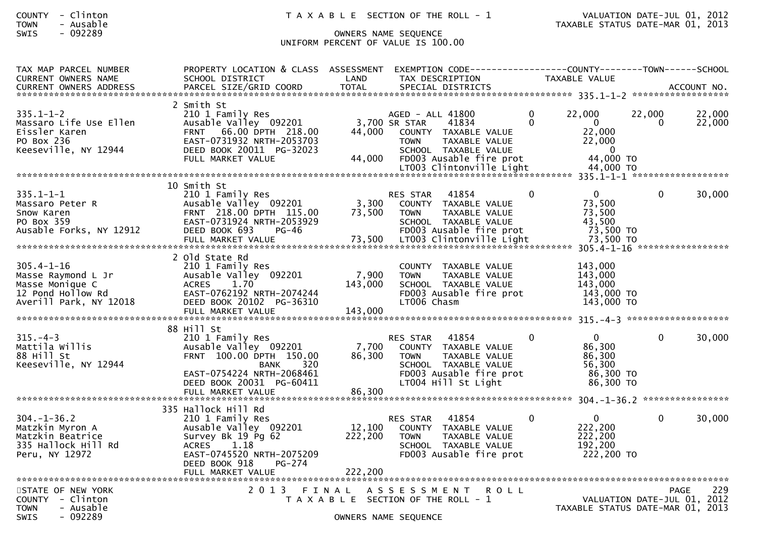## SWIS - 092289 OWNERS NAME SEQUENCE UNIFORM PERCENT OF VALUE IS 100.00

| TAX MAP PARCEL NUMBER<br><b>CURRENT OWNERS NAME</b>                                                      | PROPERTY LOCATION & CLASS ASSESSMENT<br>SCHOOL DISTRICT                                                                                                                           | LAND                         | EXEMPTION CODE-----------------COUNTY-------TOWN------SCHOOL<br>TAX DESCRIPTION                                                                                                   |                      | TAXABLE VALUE                                                                        |             |                  |
|----------------------------------------------------------------------------------------------------------|-----------------------------------------------------------------------------------------------------------------------------------------------------------------------------------|------------------------------|-----------------------------------------------------------------------------------------------------------------------------------------------------------------------------------|----------------------|--------------------------------------------------------------------------------------|-------------|------------------|
| <b>CURRENT OWNERS ADDRESS</b>                                                                            | PARCEL SIZE/GRID COORD                                                                                                                                                            | <b>TOTAL</b>                 | SPECIAL DISTRICTS                                                                                                                                                                 |                      |                                                                                      |             | ACCOUNT NO.      |
| $335.1 - 1 - 2$<br>Massaro Life Use Ellen<br>Eissler Karen<br>PO Box 236<br>Keeseville, NY 12944         | 2 Smith St<br>210 1 Family Res<br>Ausable Valley 092201<br>FRNT 66.00 DPTH 218.00<br>EAST-0731932 NRTH-2053703<br>DEED BOOK 20011 PG-32023<br>FULL MARKET VALUE                   | 44.000<br>44,000             | AGED - ALL 41800<br>3,700 SR STAR<br>41834<br>COUNTY TAXABLE VALUE<br><b>TOWN</b><br>TAXABLE VALUE<br>SCHOOL TAXABLE VALUE<br>FD003 Ausable fire prot<br>LT003 Clintonville Light | $\Omega$<br>$\Omega$ | 22,000<br>$\mathbf{0}$<br>22,000<br>22,000<br>$\mathbf{0}$<br>44,000 TO<br>44,000 TO | 22,000<br>0 | 22,000<br>22,000 |
|                                                                                                          |                                                                                                                                                                                   |                              |                                                                                                                                                                                   |                      |                                                                                      |             |                  |
| $335.1 - 1 - 1$<br>Massaro Peter R<br>Snow Karen<br>PO Box 359<br>Ausable Forks, NY 12912                | 10 Smith St<br>210 1 Family Res<br>Ausable Valley 092201<br>FRNT 218.00 DPTH 115.00<br>EAST-0731924 NRTH-2053929<br>DEED BOOK 693<br>$PG-46$<br>FULL MARKET VALUE                 | 3,300<br>73,500<br>73,500    | 41854<br>RES STAR<br>COUNTY TAXABLE VALUE<br><b>TAXABLE VALUE</b><br><b>TOWN</b><br>SCHOOL TAXABLE VALUE<br>FD003 Ausable fire prot<br>LT003 Clintonville Light                   | $\Omega$             | $\Omega$<br>73,500<br>73,500<br>43.500<br>73,500 TO<br>73,500 TO                     | $\Omega$    | 30,000           |
|                                                                                                          | 2 Old State Rd                                                                                                                                                                    |                              |                                                                                                                                                                                   |                      |                                                                                      |             |                  |
| $305.4 - 1 - 16$<br>Masse Raymond L Jr<br>Masse Monique C<br>12 Pond Hollow Rd<br>Averill Park, NY 12018 | 210 1 Family Res<br>Ausable Valley 092201<br><b>ACRES</b><br>1.70<br>EAST-0762192 NRTH-2074244<br>DEED BOOK 20102 PG-36310<br>FULL MARKET VALUE                                   | 7,900<br>143,000<br>143,000  | COUNTY TAXABLE VALUE<br><b>TAXABLE VALUE</b><br><b>TOWN</b><br>SCHOOL TAXABLE VALUE<br>FD003 Ausable fire prot<br>LT006 Chasm                                                     |                      | 143,000<br>143,000<br>143,000<br>143,000 TO<br>143,000 TO                            |             |                  |
|                                                                                                          | 88 Hill St                                                                                                                                                                        |                              |                                                                                                                                                                                   |                      |                                                                                      |             |                  |
| $315. - 4 - 3$<br>Mattila Willis<br>88 Hill St<br>Keeseville, NY 12944                                   | 210 1 Family Res<br>Ausable Valley 092201<br>FRNT 100.00 DPTH 150.00<br>320<br>BANK<br>EAST-0754224 NRTH-2068461<br>DEED BOOK 20031 PG-60411                                      | 7,700<br>86,300              | 41854<br>RES STAR<br>COUNTY TAXABLE VALUE<br>TAXABLE VALUE<br><b>TOWN</b><br>SCHOOL TAXABLE VALUE<br>FD003 Ausable fire prot<br>LT004 Hill St Light                               | $\Omega$             | $0 \quad$<br>86,300<br>86.300<br>56,300<br>86,300 TO<br>86,300 TO                    | $\Omega$    | 30,000           |
|                                                                                                          |                                                                                                                                                                                   |                              |                                                                                                                                                                                   |                      |                                                                                      |             |                  |
| $304. - 1 - 36.2$<br>Matzkin Myron A<br>Matzkin Beatrice<br>335 Hallock Hill Rd<br>Peru, NY 12972        | 335 Hallock Hill Rd<br>210 1 Family Res<br>Ausable Valley 092201<br>Survey Bk 19 Pg 62<br>ACRES 1.18<br>EAST-0745520 NRTH-2075209<br>DEED BOOK 918<br>PG-274<br>FULL MARKET VALUE | 12,100<br>222,200<br>222,200 | 41854<br><b>RES STAR</b><br>COUNTY TAXABLE VALUE<br>TAXABLE VALUE<br><b>TOWN</b><br>SCHOOL TAXABLE VALUE<br>FD003 Ausable fire prot                                               | 0                    | $\mathbf{0}$<br>222,200<br>222,200<br>192,200<br>222,200 TO                          | 0           | 30,000           |
| STATE OF NEW YORK                                                                                        | 2 0 1 3                                                                                                                                                                           | FINAL                        | A S S E S S M E N T<br><b>ROLL</b>                                                                                                                                                |                      |                                                                                      | <b>PAGE</b> | 229              |
| COUNTY - Clinton<br>- Ausable<br><b>TOWN</b><br>$-092289$<br><b>SWIS</b>                                 |                                                                                                                                                                                   |                              | T A X A B L E SECTION OF THE ROLL - 1<br>OWNERS NAME SEQUENCE                                                                                                                     |                      | VALUATION DATE-JUL 01, 2012<br>TAXABLE STATUS DATE-MAR 01, 2013                      |             |                  |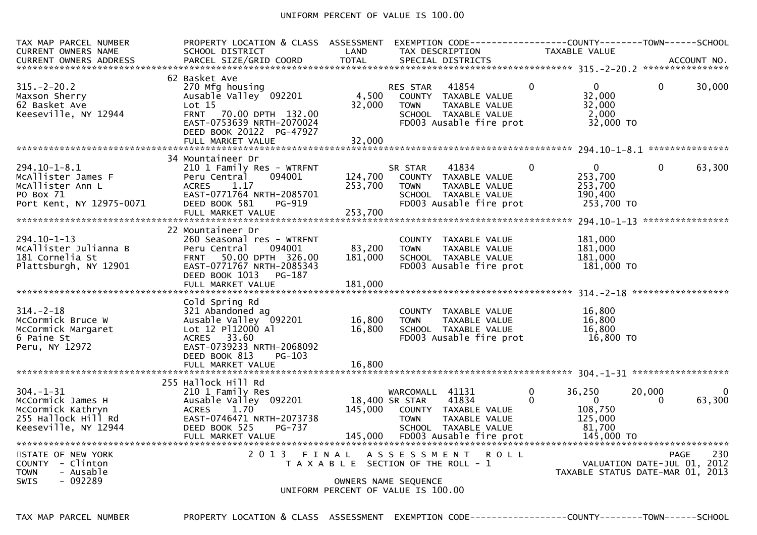## UNIFORM PERCENT OF VALUE IS 100.00

| TAX MAP PARCEL NUMBER<br>CURRENT OWNERS NAME                                                             | PROPERTY LOCATION & CLASS ASSESSMENT<br>SCHOOL DISTRICT                                                                                                                                             | LAND                       | EXEMPTION        CODE------------------COUNTY-------TOWN------SCHOOL<br>TAX DESCRIPTION                                             |               | <b>TAXABLE VALUE</b>                                                   |                    |                    |
|----------------------------------------------------------------------------------------------------------|-----------------------------------------------------------------------------------------------------------------------------------------------------------------------------------------------------|----------------------------|-------------------------------------------------------------------------------------------------------------------------------------|---------------|------------------------------------------------------------------------|--------------------|--------------------|
|                                                                                                          |                                                                                                                                                                                                     |                            |                                                                                                                                     |               |                                                                        |                    |                    |
| $315. - 2 - 20.2$<br>Maxson Sherry<br>62 Basket Ave<br>Keeseville, NY 12944                              | 62 Basket Ave<br>270 Mfg housing<br>Ausable Valley <sup>-</sup> 092201<br>Lot <sub>15</sub><br>FRNT 70.00 DPTH 132.00<br>EAST-0753639 NRTH-2070024<br>DEED BOOK 20122 PG-47927<br>FULL MARKET VALUE | 4,500<br>32,000<br>32,000  | 41854<br><b>RES STAR</b><br>COUNTY TAXABLE VALUE<br>TAXABLE VALUE<br><b>TOWN</b><br>SCHOOL TAXABLE VALUE<br>FD003 Ausable fire prot | $\Omega$      | $\Omega$<br>32.000<br>32,000<br>2,000<br>32,000 TO                     | $\Omega$           | 30,000             |
|                                                                                                          |                                                                                                                                                                                                     |                            |                                                                                                                                     |               |                                                                        |                    |                    |
| $294.10 - 1 - 8.1$<br>McAllister James F<br>MCAllister Ann L<br>PO Box 71<br>Port Kent, NY 12975-0071    | 34 Mountaineer Dr<br>210 1 Family Res - WTRFNT<br>Peru Central<br>094001<br>1.17<br><b>ACRES</b><br>EAST-0771764 NRTH-2085701<br>DEED BOOK 581<br>PG-919                                            | 124,700<br>253,700         | 41834<br>SR STAR<br>COUNTY TAXABLE VALUE<br><b>TOWN</b><br>TAXABLE VALUE<br>SCHOOL TAXABLE VALUE<br>FD003 Ausable fire prot         | $\Omega$      | $\Omega$<br>253,700<br>253,700<br>190,400<br>253,700 TO                | $\Omega$           | 63,300             |
|                                                                                                          | 22 Mountaineer Dr                                                                                                                                                                                   |                            |                                                                                                                                     |               |                                                                        |                    |                    |
| $294.10 - 1 - 13$<br>McAllister Julianna B<br>181 Cornelia St<br>Plattsburgh, NY 12901                   | 260 Seasonal res - WTRFNT<br>Peru Central<br>094001<br>50.00 DPTH 326.00<br><b>FRNT</b><br>EAST-0771767 NRTH-2085343<br>DEED BOOK 1013<br>PG-187                                                    | 83,200<br>181,000          | COUNTY TAXABLE VALUE<br><b>TOWN</b><br>TAXABLE VALUE<br>SCHOOL TAXABLE VALUE<br>FD003 Ausable fire prot                             |               | 181,000<br>181,000<br>181,000<br>181,000 TO                            |                    |                    |
|                                                                                                          | FULL MARKET VALUE                                                                                                                                                                                   | 181,000                    |                                                                                                                                     |               |                                                                        |                    |                    |
| $314. - 2 - 18$<br>McCormick Bruce W<br>McCormick Margaret<br>6 Paine St<br>Peru, NY 12972               | Cold Spring Rd<br>321 Abandoned ag<br>Ausable Valley 092201<br>Lot 12 P112000 Al<br>ACRES 33.60<br>EAST-0739233 NRTH-2068092<br>DEED BOOK 813<br>PG-103<br>FULL MARKET VALUE                        | 16,800<br>16,800<br>16.800 | COUNTY TAXABLE VALUE<br><b>TOWN</b><br>TAXABLE VALUE<br>SCHOOL TAXABLE VALUE<br>FD003 Ausable fire prot                             |               | 16,800<br>16,800<br>16,800<br>16,800 TO                                |                    |                    |
|                                                                                                          |                                                                                                                                                                                                     |                            |                                                                                                                                     |               |                                                                        |                    |                    |
| $304. - 1 - 31$<br>McCormick James H<br>McCormick Kathryn<br>255 Hallock Hill Rd<br>Keeseville, NY 12944 | 255 Hallock Hill Rd<br>210 1 Family Res<br>Ausable Valley 092201<br>1.70<br><b>ACRES</b><br>EAST-0746471 NRTH-2073738<br>DEED BOOK 525<br>PG-737                                                    |                            | WARCOMALL 41131<br>18,400 SR STAR<br>41834<br>145,000 COUNTY TAXABLE VALUE<br><b>TOWN</b><br>TAXABLE VALUE<br>SCHOOL TAXABLE VALUE  | $\Omega$<br>0 | 36,250<br>$\overline{0}$<br>108,750<br>125,000<br>81.700<br>145,000 TO | 20,000<br>$\Omega$ | $\Omega$<br>63,300 |
| STATE OF NEW YORK<br>COUNTY - Clinton<br>- Ausable<br><b>TOWN</b><br>$-092289$<br><b>SWIS</b>            |                                                                                                                                                                                                     |                            | 2013 FINAL ASSESSMENT ROLL<br>T A X A B L E SECTION OF THE ROLL - 1<br>OWNERS NAME SEQUENCE<br>UNIFORM PERCENT OF VALUE IS 100.00   |               | VALUATION DATE-JUL 01, 2012<br>TAXABLE STATUS DATE-MAR 01, 2013        | <b>PAGE</b>        | 230                |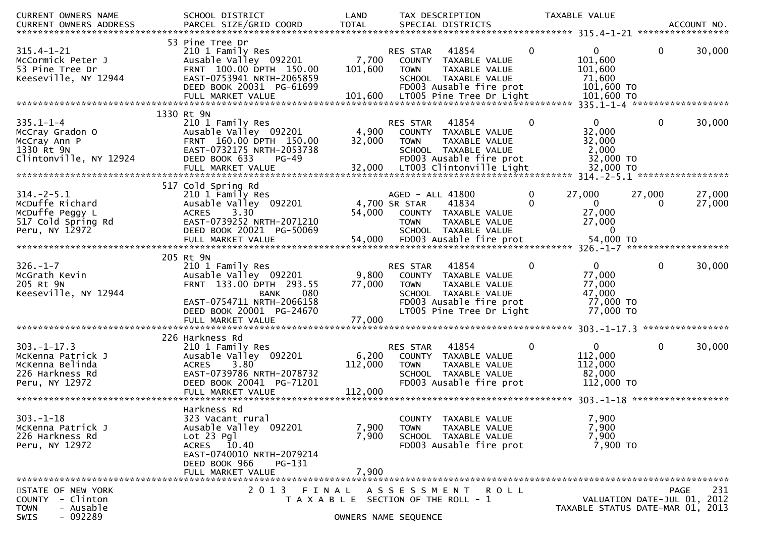| CURRENT OWNERS NAME                                                                                               | SCHOOL DISTRICT           | LAND                 |                     | TAX DESCRIPTION                       |              | TAXABLE VALUE                    |                             |        |
|-------------------------------------------------------------------------------------------------------------------|---------------------------|----------------------|---------------------|---------------------------------------|--------------|----------------------------------|-----------------------------|--------|
| CURRENT OWNERS ADDRESS                                                                                            |                           |                      |                     |                                       |              |                                  |                             |        |
|                                                                                                                   |                           |                      |                     |                                       |              |                                  |                             |        |
|                                                                                                                   | 53 Pine Tree Dr           |                      |                     |                                       |              |                                  |                             |        |
| $315.4 - 1 - 21$                                                                                                  | 210 1 Family Res          |                      | RES STAR            | 41854                                 | $\mathbf{0}$ | $\mathbf{0}$                     | $\mathbf{0}$                | 30,000 |
| McCormick Peter J                                                                                                 | Ausable Valley 092201     | 7,700                |                     | COUNTY TAXABLE VALUE                  |              | 101,600                          |                             |        |
| 53 Pine Tree Dr                                                                                                   | FRNT 100.00 DPTH 150.00   | 101,600              | <b>TOWN</b>         | TAXABLE VALUE                         |              | 101,600                          |                             |        |
| Keeseville, NY 12944                                                                                              | EAST-0753941 NRTH-2065859 |                      |                     | SCHOOL TAXABLE VALUE                  |              | 71,600                           |                             |        |
|                                                                                                                   | DEED BOOK 20031 PG-61699  |                      |                     | FD003 Ausable fire prot               |              | 101,600 TO                       |                             |        |
|                                                                                                                   | FULL MARKET VALUE         |                      |                     | 101,600 LT005 Pine Tree Dr Light      |              | 101,600 TO                       |                             |        |
|                                                                                                                   |                           |                      |                     |                                       |              |                                  |                             |        |
| $335.1 - 1 - 4$                                                                                                   | 1330 Rt 9N                |                      |                     |                                       | 0            | $\overline{0}$                   | $\mathbf{0}$                | 30,000 |
|                                                                                                                   | 210 1 Family Res          |                      | RES STAR            | 41854                                 |              |                                  |                             |        |
| McCray Gradon O                                                                                                   | Ausable Valley 092201     | 4,900                |                     | COUNTY TAXABLE VALUE                  |              | 32,000                           |                             |        |
| McCray Ann P                                                                                                      | FRNT 160.00 DPTH 150.00   | 32,000               | <b>TOWN</b>         | TAXABLE VALUE                         |              | 32,000                           |                             |        |
| 1330 Rt 9N                                                                                                        | EAST-0732175 NRTH-2053738 |                      |                     | SCHOOL TAXABLE VALUE                  |              | 2,000                            |                             |        |
| Clintonville, NY 12924                                                                                            | DEED BOOK 633<br>$PG-49$  |                      |                     | FD003 Ausable fire prot               |              | 32,000 TO                        |                             |        |
| 2000 FULL MARKET VALUE<br>FULL MARKET VALUE 32,000 LT003 Clintonville Light 32,000 TO FULL MARKET VALUE 32,000 FO |                           |                      |                     |                                       |              |                                  |                             |        |
|                                                                                                                   |                           |                      |                     |                                       |              |                                  |                             |        |
|                                                                                                                   | 517 Cold Spring Rd        |                      |                     |                                       |              |                                  |                             |        |
| $314. - 2 - 5.1$                                                                                                  | 210 1 Family Res          |                      | AGED - ALL 41800    |                                       | 0            | 27,000                           | 27,000                      | 27,000 |
| McDuffe Richard                                                                                                   | Ausable Valley 092201     |                      | 4,700 SR STAR       | 41834                                 |              | $\overline{0}$                   |                             | 27,000 |
| McDuffe Peggy L                                                                                                   | 3.30<br><b>ACRES</b>      | 54,000               |                     | COUNTY TAXABLE VALUE                  |              | 27,000                           |                             |        |
| 517 Cold Spring Rd                                                                                                | EAST-0739252 NRTH-2071210 |                      | <b>TOWN</b>         | TAXABLE VALUE                         |              | 27,000                           |                             |        |
| Peru, NY 12972                                                                                                    | DEED BOOK 20021 PG-50069  |                      |                     | SCHOOL TAXABLE VALUE                  |              | $\mathbf{0}$                     |                             |        |
|                                                                                                                   |                           |                      |                     |                                       |              |                                  |                             |        |
|                                                                                                                   |                           |                      |                     |                                       |              |                                  |                             |        |
|                                                                                                                   | 205 Rt 9N                 |                      |                     |                                       |              |                                  |                             |        |
| $326. - 1 - 7$                                                                                                    | 210 1 Family Res          |                      | RES STAR            | 41854                                 | $\Omega$     | $\mathbf{0}$                     | $\Omega$                    | 30,000 |
| McGrath Kevin                                                                                                     | Ausable Valley 092201     | 9,800                |                     | COUNTY TAXABLE VALUE                  |              | 77,000                           |                             |        |
| 205 Rt 9N                                                                                                         | FRNT 133.00 DPTH 293.55   | 77,000               | <b>TOWN</b>         | TAXABLE VALUE                         |              | 77,000                           |                             |        |
| Keeseville, NY 12944                                                                                              | 080<br><b>BANK</b>        |                      |                     | SCHOOL TAXABLE VALUE                  |              | 47,000                           |                             |        |
|                                                                                                                   | EAST-0754711 NRTH-2066158 |                      |                     | FD003 Ausable fire prot               |              | 77,000 TO                        |                             |        |
|                                                                                                                   | DEED BOOK 20001 PG-24670  |                      |                     | LT005 Pine Tree Dr Light              |              | 77,000 TO                        |                             |        |
|                                                                                                                   |                           |                      |                     |                                       |              |                                  |                             |        |
|                                                                                                                   |                           |                      |                     |                                       |              |                                  |                             |        |
|                                                                                                                   | 226 Harkness Rd           |                      |                     |                                       |              |                                  |                             |        |
| $303. -1 - 17.3$                                                                                                  | 210 1 Family Res          |                      | RES STAR            | 41854                                 | $\mathbf 0$  | $\mathbf{0}$                     | $\mathbf 0$                 | 30,000 |
| McKenna Patrick J                                                                                                 | Ausable Valley 092201     | 6,200                |                     | COUNTY TAXABLE VALUE                  |              | 112,000                          |                             |        |
| McKenna Belinda                                                                                                   | 3.80<br><b>ACRES</b>      | 112,000              | <b>TOWN</b>         | TAXABLE VALUE                         |              | 112,000                          |                             |        |
| 226 Harkness Rd                                                                                                   | EAST-0739786 NRTH-2078732 |                      |                     | SCHOOL TAXABLE VALUE                  |              | 82,000                           |                             |        |
| Peru, NY 12972                                                                                                    | DEED BOOK 20041 PG-71201  |                      |                     | FD003 Ausable fire prot               |              | 112,000 TO                       |                             |        |
|                                                                                                                   | FULL MARKET VALUE         | 112,000              |                     |                                       |              |                                  |                             |        |
|                                                                                                                   |                           |                      |                     |                                       |              |                                  |                             |        |
|                                                                                                                   | Harkness Rd               |                      |                     |                                       |              |                                  |                             |        |
| $303. - 1 - 18$                                                                                                   | 323 Vacant rural          |                      |                     | COUNTY TAXABLE VALUE                  |              | 7,900                            |                             |        |
| McKenna Patrick J                                                                                                 | Ausable Valley 092201     | 7,900                | TOWN                | TAXABLE VALUE                         |              | 7,900                            |                             |        |
| 226 Harkness Rd                                                                                                   | $Lot 23$ Pgl              | 7,900                |                     | SCHOOL TAXABLE VALUE                  |              | 7,900                            |                             |        |
| Peru, NY 12972                                                                                                    | ACRES 10.40               |                      |                     | FD003 Ausable fire prot               |              | 7,900 TO                         |                             |        |
|                                                                                                                   | EAST-0740010 NRTH-2079214 |                      |                     |                                       |              |                                  |                             |        |
|                                                                                                                   | DEED BOOK 966<br>PG-131   |                      |                     |                                       |              |                                  |                             |        |
|                                                                                                                   | FULL MARKET VALUE         | 7,900                |                     |                                       |              |                                  |                             |        |
|                                                                                                                   |                           |                      |                     |                                       |              |                                  |                             |        |
| STATE OF NEW YORK                                                                                                 | 2 0 1 3<br>FINAL          |                      | A S S E S S M E N T | R O L L                               |              |                                  | <b>PAGE</b>                 | 231    |
| - Clinton<br><b>COUNTY</b>                                                                                        |                           |                      |                     | T A X A B L E SECTION OF THE ROLL - 1 |              |                                  | VALUATION DATE-JUL 01, 2012 |        |
| - Ausable<br><b>TOWN</b>                                                                                          |                           |                      |                     |                                       |              | TAXABLE STATUS DATE-MAR 01, 2013 |                             |        |
| $-092289$<br><b>SWIS</b>                                                                                          |                           | OWNERS NAME SEQUENCE |                     |                                       |              |                                  |                             |        |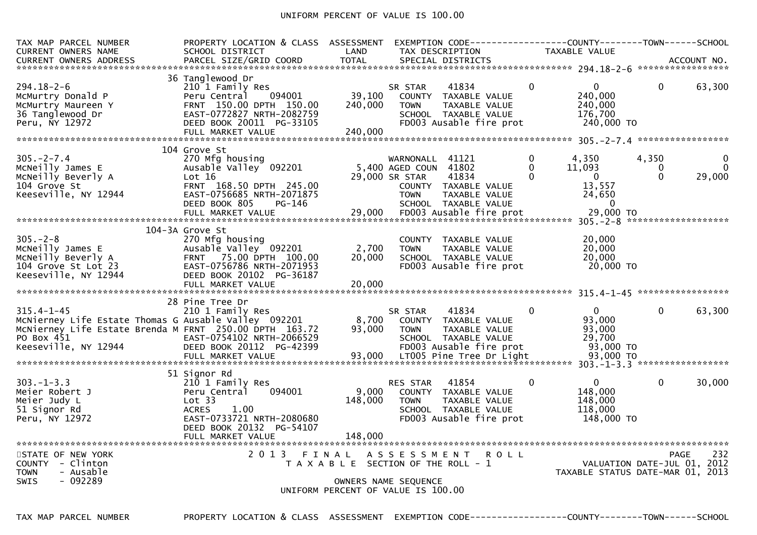## UNIFORM PERCENT OF VALUE IS 100.00

| TAX MAP PARCEL NUMBER<br><b>CURRENT OWNERS NAME</b>                                                                                                                      | PROPERTY LOCATION & CLASS ASSESSMENT<br>SCHOOL DISTRICT                                                                                                             | LAND                                                                        | TAX DESCRIPTION                                                           | EXEMPTION CODE------------------COUNTY--------TOWN------SCHOOL                                    |                           | TAXABLE VALUE                                                           |                               |                         |
|--------------------------------------------------------------------------------------------------------------------------------------------------------------------------|---------------------------------------------------------------------------------------------------------------------------------------------------------------------|-----------------------------------------------------------------------------|---------------------------------------------------------------------------|---------------------------------------------------------------------------------------------------|---------------------------|-------------------------------------------------------------------------|-------------------------------|-------------------------|
|                                                                                                                                                                          |                                                                                                                                                                     |                                                                             |                                                                           |                                                                                                   |                           |                                                                         |                               |                         |
| $294.18 - 2 - 6$<br>McMurtry Donald P<br>McMurtry Maureen Y<br>36 Tanglewood Dr<br>Peru, NY 12972                                                                        | 36 Tanglewood Dr<br>210 1 Family Res<br>094001<br>Peru Central<br>FRNT 150.00 DPTH 150.00<br>EAST-0772827 NRTH-2082759<br>DEED BOOK 20011 PG-33105                  | 39,100<br>240,000                                                           | SR STAR<br><b>TOWN</b>                                                    | 41834<br>COUNTY TAXABLE VALUE<br>TAXABLE VALUE<br>SCHOOL TAXABLE VALUE<br>FD003 Ausable fire prot | 0                         | 0<br>240,000<br>240,000<br>176,700<br>240,000 TO                        | 0                             | 63,300                  |
|                                                                                                                                                                          | 104 Grove St                                                                                                                                                        |                                                                             |                                                                           |                                                                                                   |                           |                                                                         |                               |                         |
| $305. -2 - 7.4$<br>McNeilly James E<br>MCNeilly Beverly A<br>104 Grove St<br>Keeseville, NY 12944                                                                        | 270 Mfg housing<br>Ausable Valley 092201<br>Lot 16<br>FRNT 168.50 DPTH 245.00<br>EAST-0756685 NRTH-2071875<br>DEED BOOK 805<br>PG-146                               |                                                                             | WARNONALL 41121<br>5,400 AGED COUN 41802<br>29,000 SR STAR<br><b>TOWN</b> | 41834<br>COUNTY TAXABLE VALUE<br>TAXABLE VALUE<br>SCHOOL TAXABLE VALUE                            | 0<br>$\Omega$<br>$\Omega$ | 4,350<br>11,093<br>$\mathbf{0}$<br>13,557<br>24,650<br>- 0<br>29,000 TO | 4,350<br>$\Omega$<br>$\Omega$ | 0<br>$\Omega$<br>29,000 |
|                                                                                                                                                                          |                                                                                                                                                                     |                                                                             |                                                                           |                                                                                                   |                           |                                                                         | *******************           |                         |
| $305. - 2 - 8$<br>McNeilly James E<br>McNeilly Beverly A<br>104 Grove St Lot 23<br>Keeseville, NY 12944                                                                  | 104-3A Grove St<br>270 Mfg housing<br>Ausable Valley 092201<br>FRNT 75.00 DPTH 100.00<br>EAST-0756786 NRTH-2071953<br>DEED BOOK 20102 PG-36187<br>FULL MARKET VALUE | 2,700<br>20,000<br>20,000                                                   | <b>TOWN</b>                                                               | COUNTY TAXABLE VALUE<br>TAXABLE VALUE<br>SCHOOL TAXABLE VALUE<br>FD003 Ausable fire prot          |                           | 20,000<br>20,000<br>20,000<br>20,000 TO                                 |                               |                         |
|                                                                                                                                                                          | 28 Pine Tree Dr                                                                                                                                                     |                                                                             |                                                                           |                                                                                                   |                           |                                                                         |                               |                         |
| $315.4 - 1 - 45$<br>McNierney Life Estate Thomas G Ausable Valley 092201<br>MCNierney Life Estate Brenda M FRNT 250.00 DPTH 163.72<br>PO Box 451<br>Keeseville, NY 12944 | 210 1 Family Res<br>EAST-0754102 NRTH-2066529<br>DEED BOOK 20112 PG-42399                                                                                           | 8,700<br>93,000                                                             | SR STAR<br><b>TOWN</b>                                                    | 41834<br>COUNTY TAXABLE VALUE<br>TAXABLE VALUE<br>SCHOOL TAXABLE VALUE<br>FD003 Ausable fire prot | $\Omega$                  | $\Omega$<br>93,000<br>93,000<br>29,700<br>93,000 TO                     | $\Omega$                      | 63,300                  |
|                                                                                                                                                                          | 51 Signor Rd                                                                                                                                                        |                                                                             |                                                                           |                                                                                                   |                           |                                                                         |                               |                         |
| $303 - 1 - 3.3$<br>Meier Robert J<br>Meier Judy L<br>51 Signor Rd<br>Peru, NY 12972                                                                                      | 210 1 Family Res<br>Peru Central<br>094001<br>Lot 33<br>1.00<br><b>ACRES</b><br>EAST-0733721 NRTH-2080680<br>DEED BOOK 20132 PG-54107<br>FULL MARKET VALUE          | 9,000<br>148,000<br>148,000                                                 | <b>RES STAR</b><br><b>TOWN</b>                                            | 41854<br>COUNTY TAXABLE VALUE<br>TAXABLE VALUE<br>SCHOOL TAXABLE VALUE<br>FD003 Ausable fire prot | $\Omega$                  | 0<br>148,000<br>148,000<br>118,000<br>148,000 TO                        | $\Omega$                      | 30,000                  |
| STATE OF NEW YORK<br>COUNTY - Clinton<br><b>TOWN</b><br>- Ausable<br>$-092289$<br><b>SWIS</b>                                                                            | 2013 FINAL                                                                                                                                                          | T A X A B L E SECTION OF THE ROLL - 1<br>UNIFORM PERCENT OF VALUE IS 100.00 | A S S E S S M E N T<br>OWNERS NAME SEQUENCE                               | <b>ROLL</b>                                                                                       |                           | TAXABLE STATUS DATE-MAR 01, 2013                                        | VALUATION DATE-JUL 01, 2012   | 232<br>PAGE             |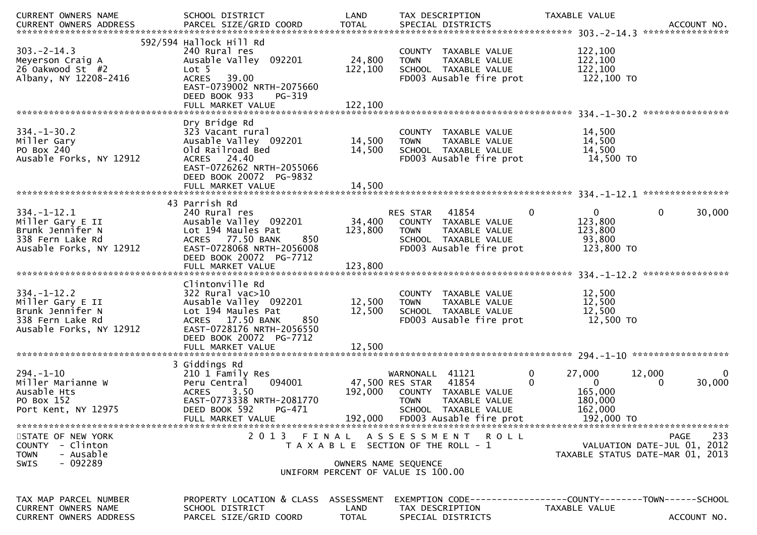| CURRENT OWNERS NAME<br>CURRENT OWNERS ADDRESS                                                            | SCHOOL DISTRICT                                                                                                                                                                                 | LAND                               | TAX DESCRIPTION                                                                                                              | TAXABLE VALUE                                                        | ACCOUNT NO.<br>****************                                                |
|----------------------------------------------------------------------------------------------------------|-------------------------------------------------------------------------------------------------------------------------------------------------------------------------------------------------|------------------------------------|------------------------------------------------------------------------------------------------------------------------------|----------------------------------------------------------------------|--------------------------------------------------------------------------------|
| $303. -2 - 14.3$<br>Meyerson Craig A<br>26 Oakwood St #2<br>Albany, NY 12208-2416                        | 592/594 Hallock Hill Rd<br>240 Rural res<br>Ausable Valley 092201<br>Lot 5<br>39.00<br><b>ACRES</b><br>EAST-0739002 NRTH-2075660<br>DEED BOOK 933<br>PG-319<br>FULL MARKET VALUE                | 24,800<br>122,100<br>122,100       | COUNTY TAXABLE VALUE<br>TAXABLE VALUE<br><b>TOWN</b><br>SCHOOL TAXABLE VALUE<br>FD003 Ausable fire prot                      | 122,100<br>122,100<br>122,100<br>122,100 TO                          |                                                                                |
|                                                                                                          |                                                                                                                                                                                                 |                                    |                                                                                                                              |                                                                      |                                                                                |
| $334. - 1 - 30.2$<br>Miller Gary<br>PO Box 240<br>Ausable Forks, NY 12912                                | Dry Bridge Rd<br>323 Vacant rural<br>Ausable Valley 092201<br>Old Railroad Bed<br>ACRES 24.40<br>EAST-0726262 NRTH-2055066                                                                      | 14,500<br>14,500                   | COUNTY TAXABLE VALUE<br>TAXABLE VALUE<br><b>TOWN</b><br>SCHOOL TAXABLE VALUE<br>FD003 Ausable fire prot                      | 14,500<br>14,500<br>14,500<br>14,500 TO                              |                                                                                |
|                                                                                                          | DEED BOOK 20072 PG-9832<br>FULL MARKET VALUE                                                                                                                                                    | 14,500                             |                                                                                                                              |                                                                      |                                                                                |
|                                                                                                          |                                                                                                                                                                                                 |                                    |                                                                                                                              |                                                                      |                                                                                |
| $334. - 1 - 12.1$<br>Miller Gary E II<br>Brunk Jennifer N<br>338 Fern Lake Rd<br>Ausable Forks, NY 12912 | 43 Parrish Rd<br>240 Rural res<br>Ausable Valley 092201<br>Lot 194 Maules Pat<br>ACRES 77.50 BANK<br>850<br>EAST-0728068 NRTH-2056008<br>DEED BOOK 20072 PG-7712                                | 34,400<br>123,800                  | 41854<br>RES STAR<br>COUNTY TAXABLE VALUE<br><b>TOWN</b><br>TAXABLE VALUE<br>SCHOOL TAXABLE VALUE<br>FD003 Ausable fire prot | $\Omega$<br>0<br>123,800<br>123,800<br>93,800<br>123,800 TO          | 0<br>30,000                                                                    |
|                                                                                                          | FULL MARKET VALUE                                                                                                                                                                               | 123,800                            |                                                                                                                              |                                                                      |                                                                                |
| $334. - 1 - 12.2$<br>Miller Gary E II<br>Brunk Jennifer N<br>338 Fern Lake Rd<br>Ausable Forks, NY 12912 | Clintonville Rd<br>$322$ Rural vac $>10$<br>Ausable Valley 092201<br>Lot 194 Maules Pat<br>ACRES 17.50 BANK<br>850<br>EAST-0728176 NRTH-2056550<br>DEED BOOK 20072 PG-7712<br>FULL MARKET VALUE | 12,500<br>12,500<br>12,500         | COUNTY TAXABLE VALUE<br>TAXABLE VALUE<br><b>TOWN</b><br>SCHOOL TAXABLE VALUE<br>FD003 Ausable fire prot                      | 12,500<br>12,500<br>12,500<br>12,500 TO                              |                                                                                |
|                                                                                                          | 3 Giddings Rd                                                                                                                                                                                   |                                    |                                                                                                                              |                                                                      |                                                                                |
| $294. - 1 - 10$<br>Miller Marianne W<br>Ausable Hts<br>PO Box 152<br>Port Kent, NY 12975                 | 210 1 Family Res<br>094001<br>Peru Central<br>3.50<br><b>ACRES</b><br>EAST-0773338 NRTH-2081770<br>DEED BOOK 592<br>PG-471                                                                      | 192,000                            | WARNONALL 41121<br>47,500 RES STAR<br>41854<br>COUNTY TAXABLE VALUE<br>TAXABLE VALUE<br><b>TOWN</b><br>SCHOOL TAXABLE VALUE  | 27,000<br>0<br>$\Omega$<br>$\Omega$<br>165,000<br>180,000<br>162,000 | 12,000<br>0<br>30,000<br>0                                                     |
| STATE OF NEW YORK<br>COUNTY - Clinton<br><b>TOWN</b><br>- Ausable<br>$-092289$<br><b>SWIS</b>            | 2 0 1 3                                                                                                                                                                                         | FINAL<br>OWNERS NAME SEQUENCE      | A S S E S S M E N T R O L L<br>T A X A B L E SECTION OF THE ROLL - 1<br>UNIFORM PERCENT OF VALUE IS 100.00                   |                                                                      | 233<br>PAGE<br>VALUATION DATE-JUL 01, 2012<br>TAXABLE STATUS DATE-MAR 01, 2013 |
| TAX MAP PARCEL NUMBER<br><b>CURRENT OWNERS NAME</b><br><b>CURRENT OWNERS ADDRESS</b>                     | PROPERTY LOCATION & CLASS<br>SCHOOL DISTRICT<br>PARCEL SIZE/GRID COORD                                                                                                                          | ASSESSMENT<br>LAND<br><b>TOTAL</b> | EXEMPTION        CODE------------------COUNTY-------TOWN------SCHOOL<br>TAX DESCRIPTION<br>SPECIAL DISTRICTS                 | TAXABLE VALUE                                                        | ACCOUNT NO.                                                                    |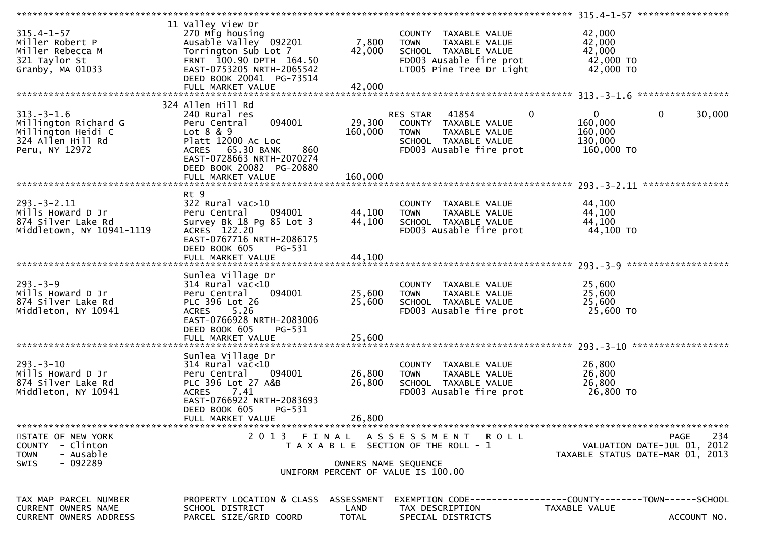|                               |                                           |                      |                                       | 315.4-1-57 ******************                                |
|-------------------------------|-------------------------------------------|----------------------|---------------------------------------|--------------------------------------------------------------|
|                               | 11 Valley View Dr                         |                      |                                       |                                                              |
| $315.4 - 1 - 57$              | 270 Mfg housing                           |                      | COUNTY TAXABLE VALUE                  | 42,000                                                       |
| Miller Robert P               | Ausable Valley 092201                     | 7,800                | TAXABLE VALUE<br><b>TOWN</b>          | 42,000                                                       |
| Miller Rebecca M              | Torrington Sub Lot 7                      | 42,000               | SCHOOL TAXABLE VALUE                  | 42,000                                                       |
| 321 Taylor St                 | FRNT 100.90 DPTH 164.50                   |                      | FD003 Ausable fire prot               | 42,000 TO                                                    |
| Granby, MA 01033              | EAST-0753205 NRTH-2065542                 |                      | LT005 Pine Tree Dr Light              | 42,000 TO                                                    |
|                               | DEED BOOK 20041 PG-73514                  |                      |                                       |                                                              |
|                               |                                           | 42,000               |                                       |                                                              |
|                               | FULL MARKET VALUE                         |                      |                                       | *****************                                            |
|                               |                                           |                      |                                       |                                                              |
|                               | 324 Allen Hill Rd                         |                      |                                       |                                                              |
| $313. - 3 - 1.6$              | 240 Rural res                             |                      | $\mathbf 0$<br>RES STAR 41854         | $\mathbf{0}$<br>$\mathbf 0$<br>30,000                        |
| Millington Richard G          | 094001<br>Peru Central                    | 29,300               | COUNTY TAXABLE VALUE                  | 160,000                                                      |
| Millington Heidi C            | Lot $8 & 9$                               | 160,000              | TAXABLE VALUE<br><b>TOWN</b>          | 160,000                                                      |
| 324 Allen Hill Rd             | Platt 12000 Ac Loc                        |                      | SCHOOL TAXABLE VALUE                  | 130,000                                                      |
| Peru, NY 12972                | ACRES 65.30 BANK<br>860                   |                      | FD003 Ausable fire prot               | 160,000 TO                                                   |
|                               | EAST-0728663 NRTH-2070274                 |                      |                                       |                                                              |
|                               | DEED BOOK 20082 PG-20880                  |                      |                                       |                                                              |
|                               | FULL MARKET VALUE                         | 160,000              |                                       |                                                              |
|                               |                                           |                      |                                       |                                                              |
|                               | Rt 9                                      |                      |                                       |                                                              |
| $293. - 3 - 2.11$             | $322$ Rural vac $>10$                     |                      | COUNTY TAXABLE VALUE                  | 44,100                                                       |
|                               | 094001                                    |                      | TAXABLE VALUE                         |                                                              |
| Mills Howard D Jr             | Peru Central                              | 44,100               | <b>TOWN</b>                           | 44,100                                                       |
| 874 Silver Lake Rd            | Survey Bk 18 Pg 85 Lot 3                  | 44,100               | SCHOOL TAXABLE VALUE                  | 44,100                                                       |
| Middletown, NY 10941-1119     | ACRES 122.20                              |                      | FD003 Ausable fire prot               | 44,100 TO                                                    |
|                               | EAST-0767716 NRTH-2086175                 |                      |                                       |                                                              |
|                               | DEED BOOK 605<br>PG-531                   |                      |                                       |                                                              |
|                               | FULL MARKET VALUE                         | 44,100               |                                       |                                                              |
|                               |                                           |                      |                                       |                                                              |
|                               | Sunlea Village Dr                         |                      |                                       |                                                              |
| $293 - 3 - 9$                 | $314$ Rural vac< $10$                     |                      | COUNTY TAXABLE VALUE                  | 25,600                                                       |
| Mills Howard D Jr             | 094001<br>Peru Central                    | 25,600               | <b>TOWN</b><br>TAXABLE VALUE          | 25,600                                                       |
| 874 Silver Lake Rd            | PLC 396 Lot 26                            | 25,600               | SCHOOL TAXABLE VALUE                  | 25,600                                                       |
| Middleton, NY 10941           | ACRES 5.26                                |                      | FD003 Ausable fire prot               | 25,600 TO                                                    |
|                               | EAST-0766928 NRTH-2083006                 |                      |                                       |                                                              |
|                               | DEED BOOK 605<br>PG-531                   |                      |                                       |                                                              |
|                               | FULL MARKET VALUE                         | 25,600               |                                       |                                                              |
| *************************     |                                           |                      |                                       |                                                              |
|                               | Sunlea Village Dr                         |                      |                                       |                                                              |
| $293 - 3 - 10$                |                                           |                      | COUNTY TAXABLE VALUE                  |                                                              |
|                               | $314$ Rural vac< $10$                     |                      |                                       | 26,800                                                       |
| Mills Howard D Jr             | Peru Central<br>094001                    | 26,800               | TAXABLE VALUE<br><b>TOWN</b>          | 26,800                                                       |
| 874 Silver Lake Rd            | PLC 396 Lot 27 A&B                        | 26,800               | SCHOOL TAXABLE VALUE                  | 26,800                                                       |
| Middleton, NY 10941           | <b>ACRES</b><br>7.41                      |                      | FD003 Ausable fire prot               | 26,800 TO                                                    |
|                               | EAST-0766922 NRTH-2083693                 |                      |                                       |                                                              |
|                               | DEED BOOK 605<br>PG-531                   |                      |                                       |                                                              |
|                               | FULL MARKET VALUE                         | 26,800               |                                       |                                                              |
|                               |                                           |                      |                                       |                                                              |
| STATE OF NEW YORK             | 2013 FINAL                                |                      | ASSESSMENT ROLL                       | 234<br>PAGE                                                  |
| COUNTY - Clinton              |                                           |                      | T A X A B L E SECTION OF THE ROLL - 1 | VALUATION DATE-JUL 01, 2012                                  |
| - Ausable<br><b>TOWN</b>      |                                           |                      |                                       | TAXABLE STATUS DATE-MAR 01, 2013                             |
| $-092289$<br><b>SWIS</b>      |                                           | OWNERS NAME SEQUENCE |                                       |                                                              |
|                               |                                           |                      | UNIFORM PERCENT OF VALUE IS 100.00    |                                                              |
|                               |                                           |                      |                                       |                                                              |
|                               |                                           |                      |                                       |                                                              |
| TAX MAP PARCEL NUMBER         | PROPERTY LOCATION & CLASS                 | ASSESSMENT           |                                       | EXEMPTION CODE-----------------COUNTY-------TOWN------SCHOOL |
| <b>CURRENT OWNERS NAME</b>    |                                           |                      |                                       | <b>TAXABLE VALUE</b>                                         |
|                               |                                           |                      |                                       |                                                              |
| <b>CURRENT OWNERS ADDRESS</b> | SCHOOL DISTRICT<br>PARCEL SIZE/GRID COORD | LAND<br><b>TOTAL</b> | TAX DESCRIPTION<br>SPECIAL DISTRICTS  | ACCOUNT NO.                                                  |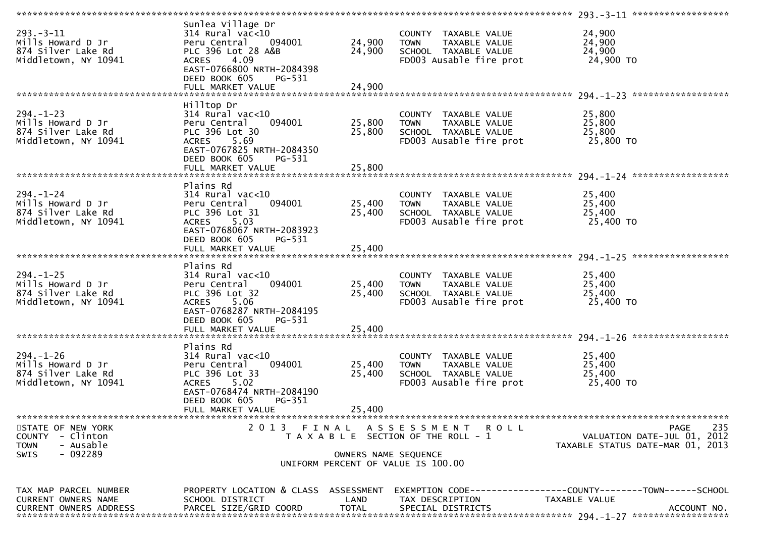|                                                                                       |                                                                                                                                                                      |                            | *******************                                                                                     | 293.-3-11 *******************                                                                                                     |
|---------------------------------------------------------------------------------------|----------------------------------------------------------------------------------------------------------------------------------------------------------------------|----------------------------|---------------------------------------------------------------------------------------------------------|-----------------------------------------------------------------------------------------------------------------------------------|
| $293. - 3 - 11$<br>Mills Howard D Jr<br>874 Silver Lake Rd<br>Middletown, NY 10941    | Sunlea Village Dr<br>$314$ Rural vac<10<br>Peru Central 094001<br>PLC 396 Lot 28 A&B<br>4.09<br><b>ACRES</b><br>EAST-0766800 NRTH-2084398<br>DEED BOOK 605<br>PG-531 | 24,900<br>24,900           | COUNTY TAXABLE VALUE<br>TOWN TAXABLE VALUE<br>SCHOOL TAXABLE VALUE<br>FD003 Ausable fire prot           | 24,900<br>24,900<br>24,900<br>24,900 TO                                                                                           |
| $294. - 1 - 23$<br>Mills Howard D Jr<br>874 Silver Lake Rd<br>Middletown, NY 10941    | Hilltop Dr<br>$314$ Rural vac<10<br>Peru Central<br>094001<br>PLC 396 Lot 30<br>ACRES 5.69<br>EAST-0767825 NRTH-2084350<br>DEED BOOK 605<br>PG-531                   | 25,800<br>25,800           | COUNTY TAXABLE VALUE<br><b>TOWN</b><br>TAXABLE VALUE<br>SCHOOL TAXABLE VALUE<br>FD003 Ausable fire prot | 25,800<br>25,800<br>25,800<br>25,800 TO                                                                                           |
| $294. - 1 - 24$<br>Mills Howard D Jr<br>874 Silver Lake Rd<br>Middletown, NY 10941    | Plains Rd<br>$314$ Rural vac<10<br>Peru Central 094001<br>PLC 396 Lot 31<br>ACRES 5.03<br>EAST-0768067 NRTH-2083923<br>DEED BOOK 605<br>PG-531<br>FULL MARKET VALUE  | 25,400<br>25,400<br>25,400 | COUNTY TAXABLE VALUE<br>TOWN TAXABLE VALUE<br>SCHOOL TAXABLE VALUE<br>FD003 Ausable fire prot           | 25,400<br>25,400<br>25,400<br>25,400 TO                                                                                           |
| $294. - 1 - 25$<br>Mills Howard D Jr<br>874 Silver Lake Rd<br>Middletown, NY 10941    | Plains Rd<br>$314$ Rural vac<10<br>094001<br>Peru Central<br>PLC 396 Lot 32<br>ACRES 5.06<br>EAST-0768287 NRTH-2084195<br>DEED BOOK 605<br>PG-531                    | 25,400<br>25,400           | COUNTY TAXABLE VALUE<br>TAXABLE VALUE<br><b>TOWN</b><br>SCHOOL TAXABLE VALUE<br>FD003 Ausable fire prot | 25,400<br>25,400<br>25,400<br>25,400 TO                                                                                           |
| $294. - 1 - 26$<br>Mills Howard D Jr<br>874 Silver Lake Rd<br>Middletown, NY 10941    | Plains Rd<br>314 Rural vac<10<br>094001<br>Peru Central<br>PLC 396 Lot 33<br>ACRES 5.02<br>EAST-0768474 NRTH-2084190<br>DEED BOOK 605<br>PG-351<br>FULL MARKET VALUE | 25,400<br>25,400<br>25,400 | COUNTY TAXABLE VALUE<br>TAXABLE VALUE<br><b>TOWN</b><br>SCHOOL TAXABLE VALUE<br>FD003 Ausable fire prot | 25,400<br>25,400<br>25,400<br>25,400 TO                                                                                           |
| STATE OF NEW YORK<br>COUNTY - Clinton<br><b>TOWN</b><br>- Ausable<br>- 092289<br>SWIS | 2013 FINAL                                                                                                                                                           | OWNERS NAME SEQUENCE       | ASSESSMENT ROLL<br>T A X A B L E SECTION OF THE ROLL - 1<br>UNIFORM PERCENT OF VALUE IS 100.00          | 235<br>PAGE<br>VALUATION DATE-JUL 01, 2012<br>TAXABLE STATUS DATE-MAR 01, 2013                                                    |
| TAX MAP PARCEL NUMBER<br>CURRENT OWNERS NAME<br><b>CURRENT OWNERS ADDRESS</b>         | SCHOOL DISTRICT<br>PARCEL SIZE/GRID COORD                                                                                                                            | LAND<br><b>TOTAL</b>       | TAX DESCRIPTION<br>SPECIAL DISTRICTS                                                                    | PROPERTY LOCATION & CLASS ASSESSMENT EXEMPTION CODE----------------COUNTY--------TOWN------SCHOOL<br>TAXABLE VALUE<br>ACCOUNT NO. |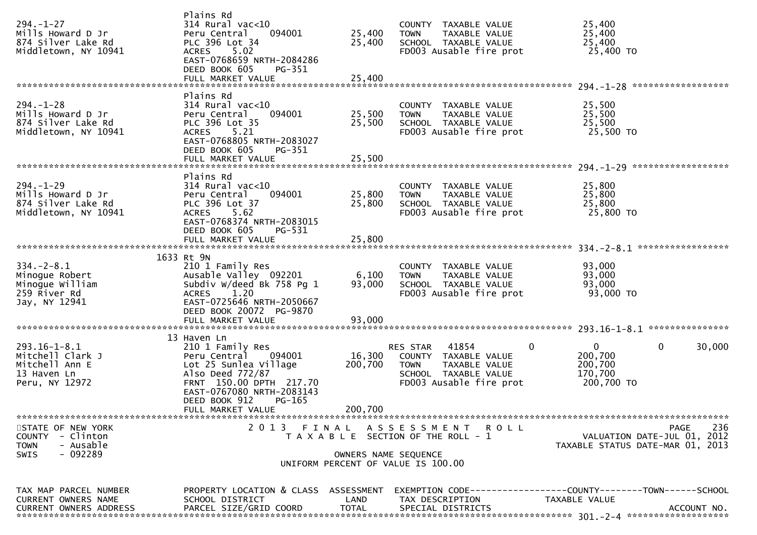| $294. - 1 - 27$<br>Mills Howard D Jr<br>874 Silver Lake Rd<br>Middletown, NY 10941            | Plains Rd<br>$314$ Rural vac<10<br>Peru Central<br>094001<br>PLC 396 Lot 34<br>ACRES 5.02<br>EAST-0768659 NRTH-2084286<br>DEED BOOK 605<br>PG-351<br>FULL MARKET VALUE                    | 25,400<br>25,400<br>25,400 | COUNTY TAXABLE VALUE<br><b>TOWN</b><br>TAXABLE VALUE<br>SCHOOL TAXABLE VALUE<br>FD003 Ausable fire prot                                      | 25,400<br>25,400<br>25,400<br>25,400 TO                                                             |
|-----------------------------------------------------------------------------------------------|-------------------------------------------------------------------------------------------------------------------------------------------------------------------------------------------|----------------------------|----------------------------------------------------------------------------------------------------------------------------------------------|-----------------------------------------------------------------------------------------------------|
| $294. - 1 - 28$<br>Mills Howard D Jr<br>874 Silver Lake Rd<br>Middletown, NY 10941            | Plains Rd<br>$314$ Rural vac<10<br>Peru Central<br>094001<br>PLC 396 Lot 35<br><b>ACRES</b><br>5.21<br>EAST-0768805 NRTH-2083027<br>DEED BOOK 605<br>PG-351<br>FULL MARKET VALUE          | 25,500<br>25,500<br>25,500 | COUNTY TAXABLE VALUE<br>TAXABLE VALUE<br><b>TOWN</b><br>SCHOOL TAXABLE VALUE<br>FD003 Ausable fire prot                                      | 25,500<br>25,500<br>25,500<br>25,500 TO                                                             |
| $294. - 1 - 29$<br>Mills Howard D Jr<br>874 Silver Lake Rd<br>Middletown, NY 10941            | Plains Rd<br>$314$ Rural vac<10<br>Peru Central<br>094001<br>PLC 396 Lot 37<br>5.62<br>ACRES<br>EAST-0768374 NRTH-2083015<br>DEED BOOK 605<br>PG-531                                      | 25,800<br>25,800           | COUNTY TAXABLE VALUE<br>TAXABLE VALUE<br><b>TOWN</b><br>SCHOOL TAXABLE VALUE<br>FD003 Ausable fire prot                                      | 25,800<br>25,800<br>25,800<br>25,800 TO                                                             |
| $334. - 2 - 8.1$<br>Minogue Robert<br>Minogue William<br>259 River Rd<br>Jay, NY 12941        | 1633 Rt 9N<br>210 1 Family Res<br>Ausable Valley 092201<br>Subdiv W/deed Bk 758 Pg 1<br>1.20<br><b>ACRES</b><br>EAST-0725646 NRTH-2050667<br>DEED BOOK 20072 PG-9870<br>FULL MARKET VALUE | 6,100<br>93,000<br>93,000  | COUNTY TAXABLE VALUE<br><b>TOWN</b><br>TAXABLE VALUE<br>SCHOOL TAXABLE VALUE<br>FD003 Ausable fire prot                                      | 93,000<br>93,000<br>93,000<br>93,000 TO                                                             |
|                                                                                               |                                                                                                                                                                                           |                            |                                                                                                                                              |                                                                                                     |
| $293.16 - 1 - 8.1$<br>Mitchell Clark J<br>Mitchell Ann E<br>13 Haven Ln<br>Peru, NY 12972     | 13 Haven Ln<br>210 1 Family Res<br>Peru Central<br>094001<br>Lot 25 Sunlea Village<br>Also Deed 772/87<br>FRNT 150.00 DPTH 217.70<br>EAST-0767080 NRTH-2083143<br>DEED BOOK 912<br>PG-165 | 16,300<br>200,700          | $\mathbf{0}$<br>41854<br>RES STAR<br>COUNTY TAXABLE VALUE<br><b>TOWN</b><br>TAXABLE VALUE<br>SCHOOL TAXABLE VALUE<br>FD003 Ausable fire prot | $\mathbf{0}$<br>0<br>30,000<br>200,700<br>200,700<br>170,700<br>200,700 TO                          |
|                                                                                               | FULL MARKET VALUE                                                                                                                                                                         | 200,700                    |                                                                                                                                              |                                                                                                     |
| STATE OF NEW YORK<br>COUNTY - Clinton<br><b>TOWN</b><br>- Ausable<br>$-092289$<br><b>SWIS</b> |                                                                                                                                                                                           | OWNERS NAME SEQUENCE       | 2013 FINAL ASSESSMENT ROLL<br>T A X A B L E SECTION OF THE ROLL - 1<br>UNIFORM PERCENT OF VALUE IS 100.00                                    | 236<br>PAGE<br>VALUATION DATE-JUL 01, 2012<br>TAXABLE STATUS DATE-MAR 01, 2013                      |
| TAX MAP PARCEL NUMBER<br>CURRENT OWNERS NAME<br><b>CURRENT OWNERS ADDRESS</b>                 | PROPERTY LOCATION & CLASS ASSESSMENT<br>SCHOOL DISTRICT<br>PARCEL SIZE/GRID COORD                                                                                                         | LAND<br><b>TOTAL</b>       | TAX DESCRIPTION<br>SPECIAL DISTRICTS                                                                                                         | EXEMPTION        CODE-----------------COUNTY-------TOWN------SCHOOL<br>TAXABLE VALUE<br>ACCOUNT NO. |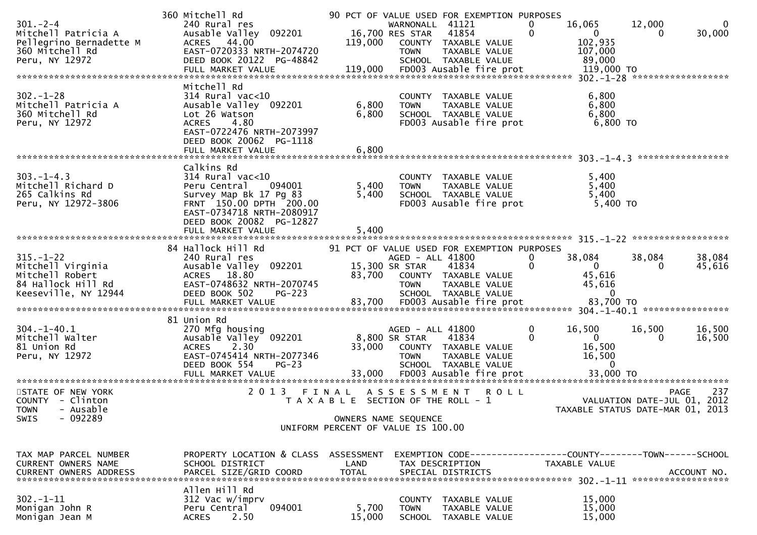| $301 - 2 - 4$<br>Mitchell Patricia A<br>Pellegrino Bernadette M<br>360 Mitchell Rd<br>Peru, NY 12972<br>$302 - 1 - 28$<br>Mitchell Patricia A | 360 Mitchell Rd<br>240 Rural res<br>Ausable Valley 092201<br>ACRES 44.00<br>EAST-0720333 NRTH-2074720<br>DEED BOOK 20122 PG-48842<br>Mitchell Rd<br>$314$ Rural vac<10<br>Ausable Valley 092201 | 119,000<br>6,800                                                                     | WARNONALL 41121<br>16,700 RES STAR<br><b>TOWN</b><br><b>TOWN</b> | 90 PCT OF VALUE USED FOR EXEMPTION PURPOSES<br>41854<br>COUNTY TAXABLE VALUE<br>TAXABLE VALUE<br>SCHOOL TAXABLE VALUE<br>COUNTY TAXABLE VALUE<br>TAXABLE VALUE | 0<br>$\mathbf{0}$ | 16,065<br>$\mathbf{0}$<br>102,935<br>107,000<br>89,000<br>6,800<br>6,800    | 12,000<br>0            | 30,000                     |
|-----------------------------------------------------------------------------------------------------------------------------------------------|-------------------------------------------------------------------------------------------------------------------------------------------------------------------------------------------------|--------------------------------------------------------------------------------------|------------------------------------------------------------------|----------------------------------------------------------------------------------------------------------------------------------------------------------------|-------------------|-----------------------------------------------------------------------------|------------------------|----------------------------|
| 360 Mitchell Rd<br>Peru, NY 12972                                                                                                             | Lot 26 Watson<br><b>ACRES</b><br>4.80<br>EAST-0722476 NRTH-2073997<br>DEED BOOK 20062 PG-1118<br>FULL MARKET VALUE                                                                              | 6,800<br>6,800                                                                       |                                                                  | SCHOOL TAXABLE VALUE<br>FD003 Ausable fire prot                                                                                                                |                   | 6,800<br>$6,800$ TO                                                         |                        |                            |
| $303 - 1 - 4.3$<br>Mitchell Richard D<br>265 Calkins Rd<br>Peru, NY 12972-3806                                                                | Calkins Rd<br>$314$ Rural vac<10<br>Peru Central<br>094001<br>Survey Map Bk 17 Pg 83<br>FRNT 150.00 DPTH 200.00<br>EAST-0734718 NRTH-2080917<br>DEED BOOK 20082 PG-12827<br>FULL MARKET VALUE   | 5,400<br>5,400<br>5,400                                                              | <b>TOWN</b>                                                      | COUNTY TAXABLE VALUE<br>TAXABLE VALUE<br>SCHOOL TAXABLE VALUE<br>FD003 Ausable fire prot                                                                       |                   | 5,400<br>5,400<br>5,400<br>$5,400$ TO                                       |                        |                            |
| $315. - 1 - 22$<br>Mitchell Virginia<br>Mitchell Robert<br>84 Hallock Hill Rd<br>Keeseville, NY 12944                                         | 84 Hallock Hill Rd<br>240 Rural res<br>Ausable Valley 092201<br>ACRES 18.80<br>EAST-0748632 NRTH-2070745<br>DEED BOOK 502<br>$PG-223$<br>FULL MARKET VALUE                                      | 83,700<br>83,700                                                                     | AGED - ALL 41800<br>15,300 SR STAR<br><b>TOWN</b>                | 91 PCT OF VALUE USED FOR EXEMPTION PURPOSES<br>41834<br>COUNTY TAXABLE VALUE<br>TAXABLE VALUE<br>SCHOOL TAXABLE VALUE<br>FD003 Ausable fire prot               | 0<br>0            | 38,084<br>$\overline{0}$<br>45,616<br>45,616<br>$\overline{0}$<br>83,700 TO | 38,084<br>$\Omega$     | 38,084<br>45,616           |
| $304. -1 - 40.1$<br>Mitchell Walter<br>81 Union Rd<br>Peru, NY 12972                                                                          | 81 Union Rd<br>270 Mfg housing<br>Ausable Valley 092201<br>2.30<br><b>ACRES</b><br>EAST-0745414 NRTH-2077346<br>DEED BOOK 554<br>$PG-23$                                                        |                                                                                      | AGED - ALL 41800<br>8,800 SR STAR<br><b>TOWN</b>                 | 41834<br>33,000 COUNTY TAXABLE VALUE<br>TAXABLE VALUE<br>SCHOOL TAXABLE VALUE                                                                                  | 0<br>$\mathbf 0$  | 16,500<br>$\mathbf{0}$<br>16,500<br>16,500                                  | 16,500<br>$\Omega$     | 16,500<br>16,500           |
| STATE OF NEW YORK<br>COUNTY - Clinton<br>- Ausable<br><b>TOWN</b><br>SWIS<br>- 092289                                                         | 2 0 1 3                                                                                                                                                                                         | FINAL<br>T A X A B L E SECTION OF THE ROLL - 1<br>UNIFORM PERCENT OF VALUE IS 100.00 | ASSESSMENT<br>OWNERS NAME SEQUENCE                               | <b>ROLL</b>                                                                                                                                                    |                   | TAXABLE STATUS DATE-MAR 01, 2013                                            | VALUATION DATE-JUL 01, | 237<br><b>PAGE</b><br>2012 |
| TAX MAP PARCEL NUMBER<br>CURRENT OWNERS NAME<br>CURRENT OWNERS ADDRESS                                                                        | PROPERTY LOCATION & CLASS<br>SCHOOL DISTRICT<br>PARCEL SIZE/GRID COORD                                                                                                                          | ASSESSMENT<br>LAND<br><b>TOTAL</b>                                                   | TAX DESCRIPTION                                                  | EXEMPTION CODE-----------------COUNTY-------TOWN------SCHOOL<br>SPECIAL DISTRICTS                                                                              |                   | TAXABLE VALUE                                                               |                        | ACCOUNT NO.                |
| $302 - 1 - 11$<br>Monigan John R<br>Monigan Jean M                                                                                            | Allen Hill Rd<br>312 Vac w/imprv<br>094001<br>Peru Central<br><b>ACRES</b><br>2.50                                                                                                              | 5,700<br>15,000                                                                      | <b>COUNTY</b><br><b>TOWN</b><br><b>SCHOOL</b>                    | TAXABLE VALUE<br>TAXABLE VALUE<br>TAXABLE VALUE                                                                                                                |                   | 15,000<br>15,000<br>15,000                                                  |                        |                            |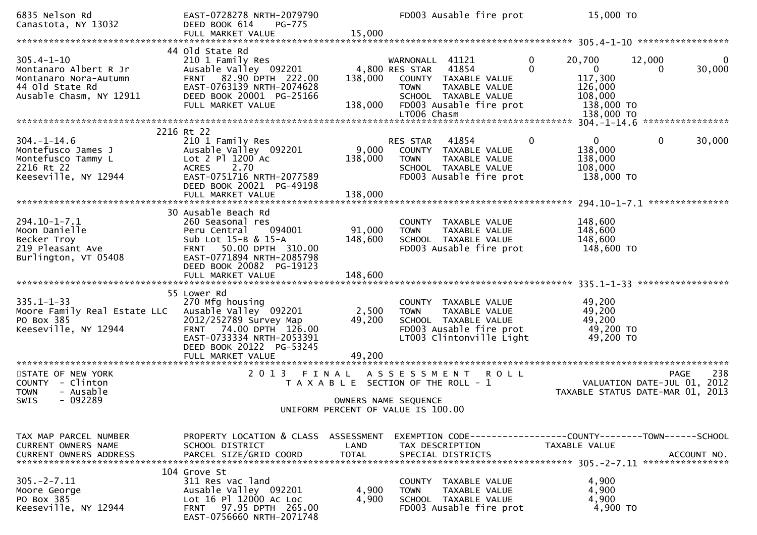| 6835 Nelson Rd<br>Canastota, NY 13032                                                                            | EAST-0728278 NRTH-2079790<br>DEED BOOK 614<br><b>PG-775</b><br>FULL MARKET VALUE                                                                                                          | 15,000                    | FD003 Ausable fire prot                                                                                                                                              |               | 15,000 TO                                                                           |                             |                    |
|------------------------------------------------------------------------------------------------------------------|-------------------------------------------------------------------------------------------------------------------------------------------------------------------------------------------|---------------------------|----------------------------------------------------------------------------------------------------------------------------------------------------------------------|---------------|-------------------------------------------------------------------------------------|-----------------------------|--------------------|
|                                                                                                                  |                                                                                                                                                                                           |                           |                                                                                                                                                                      |               |                                                                                     |                             |                    |
| $305.4 - 1 - 10$<br>Montanaro Albert R Jr<br>Montanaro Nora-Autumn<br>44 Old State Rd<br>Ausable Chasm, NY 12911 | 44 Old State Rd<br>210 1 Family Res<br>Ausable Valley 092201<br>FRNT 82.90 DPTH 222.00<br>EAST-0763139 NRTH-2074628<br>DEED BOOK 20001 PG-25166<br>FULL MARKET VALUE                      | 138,000<br>138,000        | WARNONALL 41121<br>41854<br>4,800 RES STAR<br>COUNTY TAXABLE VALUE<br><b>TOWN</b><br>TAXABLE VALUE<br>SCHOOL TAXABLE VALUE<br>FD003 Ausable fire prot<br>LT006 Chasm | 0<br>$\Omega$ | 20,700<br>$\mathbf{0}$<br>117,300<br>126,000<br>108,000<br>138,000 TO<br>138,000 TO | 12,000<br>0                 | $\Omega$<br>30,000 |
|                                                                                                                  | 2216 Rt 22                                                                                                                                                                                |                           |                                                                                                                                                                      |               | $304. -1 - 14.6$                                                                    |                             | ****************   |
| $304. - 1 - 14.6$<br>Montefusco James J<br>Montefusco Tammy L<br>2216 Rt 22<br>Keeseville, NY 12944              | 210 1 Family Res<br>Ausable Valley 092201<br>Lot 2 Pl 1200 Ac<br>2.70<br><b>ACRES</b><br>EAST-0751716 NRTH-2077589<br>DEED BOOK 20021 PG-49198                                            | 9,000<br>138,000          | RES STAR<br>41854<br>COUNTY TAXABLE VALUE<br>TAXABLE VALUE<br><b>TOWN</b><br>SCHOOL TAXABLE VALUE<br>FD003 Ausable fire prot                                         | 0             | $\Omega$<br>138,000<br>138,000<br>108,000<br>138,000 TO                             | 0                           | 30,000             |
|                                                                                                                  | FULL MARKET VALUE                                                                                                                                                                         | 138,000                   |                                                                                                                                                                      |               |                                                                                     |                             |                    |
| $294.10 - 1 - 7.1$<br>Moon Danielle<br>Becker Troy<br>219 Pleasant Ave<br>Burlington, VT 05408                   | 30 Ausable Beach Rd<br>260 Seasonal res<br>094001<br>Peru Central<br>Sub Lot 15-B & 15-A<br>FRNT 50.00 DPTH 310.00<br>EAST-0771894 NRTH-2085798<br>DEED BOOK 20082 PG-19123               | 91,000<br>148,600         | COUNTY TAXABLE VALUE<br>TAXABLE VALUE<br><b>TOWN</b><br>SCHOOL TAXABLE VALUE<br>FD003 Ausable fire prot                                                              |               | 148,600<br>148,600<br>148,600<br>148,600 TO                                         |                             |                    |
|                                                                                                                  |                                                                                                                                                                                           |                           |                                                                                                                                                                      |               |                                                                                     |                             |                    |
| $335.1 - 1 - 33$<br>Moore Family Real Estate LLC<br>PO Box 385<br>Keeseville, NY 12944                           | 55 Lower Rd<br>270 Mfg housing<br>Ausable Valley 092201<br>2012/252789 Survey Map<br>FRNT 74.00 DPTH 126.00<br>EAST-0733334 NRTH-2053391<br>DEED BOOK 20122 PG-53245<br>FULL MARKET VALUE | 2,500<br>49,200<br>49,200 | COUNTY TAXABLE VALUE<br><b>TOWN</b><br>TAXABLE VALUE<br>SCHOOL TAXABLE VALUE<br>FD003 Ausable fire prot<br>LT003 Clintonville Light                                  |               | 49,200<br>49,200<br>49,200<br>49,200 TO<br>49,200 TO                                |                             |                    |
| ***********************<br>STATE OF NEW YORK                                                                     | *****************************<br>2 0 1 3<br>FINAL                                                                                                                                         |                           | A S S E S S M E N T<br><b>ROLL</b>                                                                                                                                   |               |                                                                                     | <b>PAGE</b>                 | 238                |
| COUNTY - Clinton<br><b>TOWN</b><br>- Ausable<br>$-092289$<br><b>SWIS</b>                                         |                                                                                                                                                                                           |                           | T A X A B L E SECTION OF THE ROLL - 1<br>OWNERS NAME SEQUENCE                                                                                                        |               | TAXABLE STATUS DATE-MAR 01, 2013                                                    | VALUATION DATE-JUL 01, 2012 |                    |
|                                                                                                                  |                                                                                                                                                                                           |                           | UNIFORM PERCENT OF VALUE IS 100.00                                                                                                                                   |               |                                                                                     |                             |                    |
| TAX MAP PARCEL NUMBER<br>CURRENT OWNERS NAME<br><b>CURRENT OWNERS ADDRESS</b>                                    | PROPERTY LOCATION & CLASS ASSESSMENT<br>SCHOOL DISTRICT<br>PARCEL SIZE/GRID COORD                                                                                                         | LAND<br><b>TOTAL</b>      | TAX DESCRIPTION<br>SPECIAL DISTRICTS                                                                                                                                 |               | TAXABLE VALUE                                                                       |                             | ACCOUNT NO.        |
| $305. -2 - 7.11$<br>Moore George<br>PO Box 385<br>Keeseville, NY 12944                                           | 104 Grove St<br>311 Res vac land<br>Ausable Valley 092201<br>Lot 16 Pl 12000 Ac Loc<br>FRNT 97.95 DPTH 265.00<br>EAST-0756660 NRTH-2071748                                                | 4,900<br>4,900            | COUNTY TAXABLE VALUE<br><b>TOWN</b><br>TAXABLE VALUE<br>SCHOOL TAXABLE VALUE<br>FD003 Ausable fire prot                                                              |               | 4,900<br>4,900<br>4,900<br>4,900 TO                                                 |                             |                    |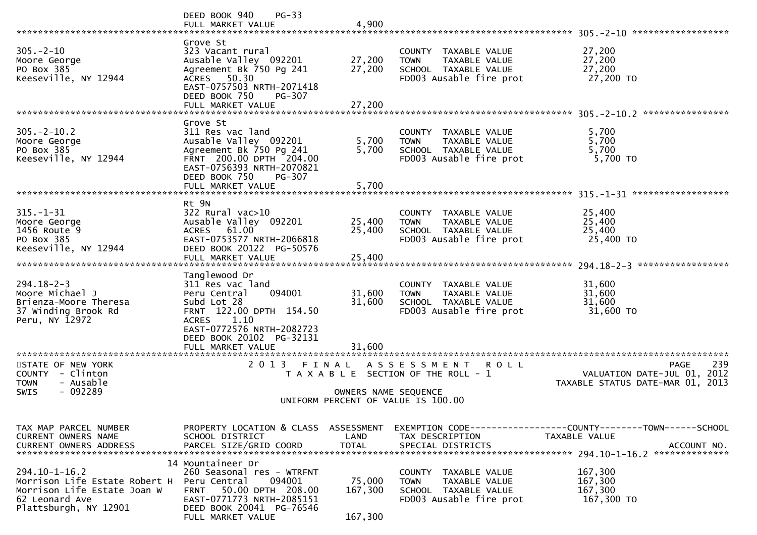|                                                                                                                                | $PG-33$<br>DEED BOOK 940                                                                                                                                                                   |                              |                                                                                                         |                                                                                          |
|--------------------------------------------------------------------------------------------------------------------------------|--------------------------------------------------------------------------------------------------------------------------------------------------------------------------------------------|------------------------------|---------------------------------------------------------------------------------------------------------|------------------------------------------------------------------------------------------|
|                                                                                                                                | FULL MARKET VALUE                                                                                                                                                                          | 4,900                        |                                                                                                         | 305. - 2 - 10 *******************                                                        |
| $305 - 2 - 10$<br>Moore George<br>PO Box 385<br>Keeseville, NY 12944                                                           | Grove St<br>323 Vacant rural<br>Ausable Valley 092201<br>Agreement Bk 750 Pg 241<br>ACRES 50.30<br>EAST-0757503 NRTH-2071418<br>DEED BOOK 750<br>PG-307<br>FULL MARKET VALUE               | 27,200<br>27,200<br>27,200   | COUNTY TAXABLE VALUE<br>TAXABLE VALUE<br><b>TOWN</b><br>SCHOOL TAXABLE VALUE<br>FD003 Ausable fire prot | 27,200<br>27,200<br>27,200<br>27,200 TO                                                  |
|                                                                                                                                |                                                                                                                                                                                            |                              |                                                                                                         |                                                                                          |
| $305. - 2 - 10.2$<br>Moore George<br>PO Box 385<br>Keeseville, NY 12944                                                        | Grove St<br>311 Res vac land<br>Ausable Valley 092201<br>Agreement Bk 750 Pg 241<br>FRNT 200.00 DPTH 204.00<br>EAST-0756393 NRTH-2070821<br>DEED BOOK 750<br>PG-307<br>FULL MARKET VALUE   | 5,700<br>5,700<br>5,700      | COUNTY TAXABLE VALUE<br><b>TOWN</b><br>TAXABLE VALUE<br>SCHOOL TAXABLE VALUE<br>FD003 Ausable fire prot | 5,700<br>5,700<br>5,700<br>5,700 TO                                                      |
|                                                                                                                                |                                                                                                                                                                                            |                              |                                                                                                         |                                                                                          |
| $315. - 1 - 31$<br>Moore George<br>1456 Route 9<br>PO Box 385<br>Keeseville, NY 12944                                          | Rt 9N<br>322 Rural vac>10<br>Ausable Valley 092201<br>ACRES 61.00<br>EAST-0753577 NRTH-2066818<br>DEED BOOK 20122 PG-50576<br>FULL MARKET VALUE                                            | 25,400<br>25,400<br>25,400   | COUNTY TAXABLE VALUE<br>TAXABLE VALUE<br><b>TOWN</b><br>SCHOOL TAXABLE VALUE<br>FD003 Ausable fire prot | 25,400<br>25,400<br>25,400<br>25,400 TO                                                  |
|                                                                                                                                |                                                                                                                                                                                            |                              |                                                                                                         | *****************                                                                        |
| $294.18 - 2 - 3$<br>Moore Michael J<br>Brienza-Moore Theresa<br>37 Winding Brook Rd<br>Peru, NY 12972                          | Tanglewood Dr<br>311 Res vac land<br>Peru Central<br>094001<br>Subd Lot 28<br>FRNT 122.00 DPTH 154.50<br><b>ACRES</b><br>1.10                                                              | 31,600<br>31,600             | COUNTY TAXABLE VALUE<br>TAXABLE VALUE<br><b>TOWN</b><br>SCHOOL TAXABLE VALUE<br>FD003 Ausable fire prot | 31,600<br>31,600<br>31,600<br>31,600 TO                                                  |
| ********************                                                                                                           | EAST-0772576 NRTH-2082723<br>DEED BOOK 20102 PG-32131<br>FULL MARKET VALUE<br>********************                                                                                         | 31,600                       |                                                                                                         |                                                                                          |
| STATE OF NEW YORK<br>COUNTY - Clinton<br>- Ausable<br>TOWN                                                                     | 2 0 1 3                                                                                                                                                                                    | FINAL                        | A S S E S S M E N T<br><b>ROLL</b><br>T A X A B L E SECTION OF THE ROLL - 1                             | 239<br><b>PAGE</b><br>2012<br>VALUATION DATE-JUL 01,<br>TAXABLE STATUS DATE-MAR 01, 2013 |
| $-092289$<br>SWIS                                                                                                              |                                                                                                                                                                                            | OWNERS NAME SEQUENCE         | UNIFORM PERCENT OF VALUE IS 100.00                                                                      |                                                                                          |
|                                                                                                                                |                                                                                                                                                                                            |                              |                                                                                                         |                                                                                          |
| TAX MAP PARCEL NUMBER<br>CURRENT OWNERS NAME                                                                                   | PROPERTY LOCATION & CLASS ASSESSMENT<br>SCHOOL DISTRICT                                                                                                                                    | LAND                         | TAX DESCRIPTION                                                                                         | EXEMPTION        CODE-----------------COUNTY-------TOWN------SCHOOL<br>TAXABLE VALUE     |
| $294.10 - 1 - 16.2$<br>Morrison Life Estate Robert H<br>Morrison Life Estate Joan W<br>62 Leonard Ave<br>Plattsburgh, NY 12901 | 14 Mountaineer Dr<br>260 Seasonal res - WTRFNT<br>Peru Central<br>094001<br>50.00 DPTH 208.00<br><b>FRNT</b><br>EAST-0771773 NRTH-2085151<br>DEED BOOK 20041 PG-76546<br>FULL MARKET VALUE | 75,000<br>167,300<br>167,300 | COUNTY TAXABLE VALUE<br>TAXABLE VALUE<br><b>TOWN</b><br>SCHOOL TAXABLE VALUE<br>FD003 Ausable fire prot | 167,300<br>167,300<br>167,300<br>167,300 TO                                              |
|                                                                                                                                |                                                                                                                                                                                            |                              |                                                                                                         |                                                                                          |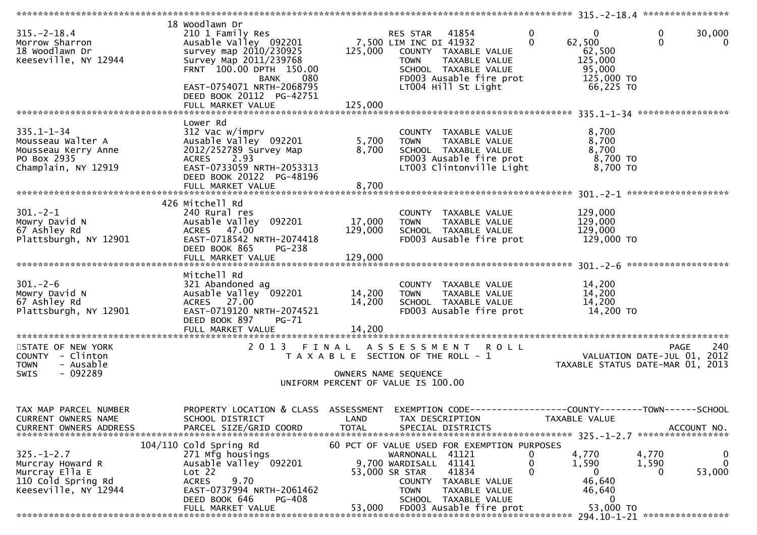| $315. - 2 - 18.4$<br>Morrow Sharron<br>18 Woodlawn Dr<br>Keeseville, NY 12944                        | 18 Woodlawn Dr<br>210 1 Family Res<br>Ausable Valley 092201<br>survey map 2010/230925<br>Survey Map 2011/239768<br>FRNT 100.00 DPTH 150.00<br><b>BANK</b><br>080<br>EAST-0754071 NRTH-2068795<br>DEED BOOK 20112 PG-42751 |                      | RES STAR<br>41854<br>7,500 LIM INC DI 41932<br>125,000 COUNTY TAXABLE VALUE<br>TAXABLE VALUE<br><b>TOWN</b><br>SCHOOL TAXABLE VALUE<br>FD003 Ausable fire prot<br>LT004 Hill St Light                                               | 0<br>0<br>0<br>$\mathbf{0}$<br>$\Omega$<br>62,500<br>62,500<br>125,000<br>95,000<br>125,000 TO<br>66,225 TO | 30,000<br>$\mathbf{0}$ |
|------------------------------------------------------------------------------------------------------|---------------------------------------------------------------------------------------------------------------------------------------------------------------------------------------------------------------------------|----------------------|-------------------------------------------------------------------------------------------------------------------------------------------------------------------------------------------------------------------------------------|-------------------------------------------------------------------------------------------------------------|------------------------|
|                                                                                                      | FULL MARKET VALUE                                                                                                                                                                                                         | 125,000              |                                                                                                                                                                                                                                     |                                                                                                             |                        |
| $335.1 - 1 - 34$<br>Mousseau Walter A<br>Mousseau Kerry Anne<br>PO Box 2935<br>Champlain, NY 12919   | Lower Rd<br>312 Vac w/imprv<br>Ausable Valley 092201<br>2012/252789 Survey Map<br>ACRES 2.93<br>EAST-0733059 NRTH-2053313<br>DEED BOOK 20122 PG-48196                                                                     | 5,700<br>8,700       | COUNTY TAXABLE VALUE<br><b>TOWN</b><br>TAXABLE VALUE<br>SCHOOL TAXABLE VALUE<br>FD003 Ausable fire prot<br>LT003 Clintonville Light                                                                                                 | 8,700<br>8,700<br>8,700<br>8,700 TO<br>8,700 TO                                                             |                        |
|                                                                                                      | FULL MARKET VALUE                                                                                                                                                                                                         | 8,700                |                                                                                                                                                                                                                                     |                                                                                                             |                        |
| $301. - 2 - 1$<br>Mowry David N<br>67 Ashley Rd<br>Plattsburgh, NY 12901                             | 426 Mitchell Rd<br>240 Rural res<br>Ausable Valley 092201<br>ACRES 47.00<br>EAST-0718542 NRTH-2074418<br>DEED BOOK 865<br><b>PG-238</b>                                                                                   | 17,000<br>129,000    | COUNTY TAXABLE VALUE<br>TAXABLE VALUE<br><b>TOWN</b><br>SCHOOL TAXABLE VALUE<br>FD003 Ausable fire prot                                                                                                                             | 129,000<br>129,000<br>129,000<br>129,000 TO                                                                 |                        |
|                                                                                                      |                                                                                                                                                                                                                           |                      |                                                                                                                                                                                                                                     |                                                                                                             |                        |
| $301. - 2 - 6$<br>Mowry David N<br>67 Ashley Rd<br>Plattsburgh, NY 12901                             | Mitchell Rd<br>321 Abandoned ag<br>Ausable Valley 092201<br>ACRES 27.00<br>EAST-0719120 NRTH-2074521<br>DEED BOOK 897<br><b>PG-71</b>                                                                                     | 14,200<br>14,200     | COUNTY TAXABLE VALUE<br><b>TOWN</b><br>TAXABLE VALUE<br>SCHOOL TAXABLE VALUE<br>FD003 Ausable fire prot                                                                                                                             | 14,200<br>14,200<br>14,200<br>14,200 TO                                                                     |                        |
|                                                                                                      |                                                                                                                                                                                                                           |                      |                                                                                                                                                                                                                                     |                                                                                                             |                        |
| STATE OF NEW YORK<br>COUNTY - Clinton<br>- Ausable<br><b>TOWN</b><br>$-092289$<br>SWIS               |                                                                                                                                                                                                                           |                      | 2013 FINAL ASSESSMENT ROLL<br>T A X A B L E SECTION OF THE ROLL - 1<br>OWNERS NAME SEQUENCE<br>UNIFORM PERCENT OF VALUE IS 100.00                                                                                                   | PAGE<br>VALUATION DATE-JUL 01, 2012<br>TAXABLE STATUS DATE-MAR 01, 2013                                     | 240                    |
| TAX MAP PARCEL NUMBER<br>CURRENT OWNERS NAME<br>CURRENT OWNERS ADDRESS                               | PROPERTY LOCATION & CLASS ASSESSMENT<br>SCHOOL DISTRICT<br>PARCEL SIZE/GRID COORD                                                                                                                                         | LAND<br><b>TOTAL</b> | TAX DESCRIPTION<br>SPECIAL DISTRICTS                                                                                                                                                                                                | EXEMPTION CODE------------------COUNTY--------TOWN------SCHOOL<br>TAXABLE VALUE                             | ACCOUNT NO.            |
| $325. - 1 - 2.7$<br>Murcray Howard R<br>Murcray Ella E<br>110 Cold Spring Rd<br>Keeseville, NY 12944 | $104/110$ Cold Spring Rd<br>271 Mtg housings<br>Ausable Valley 092201<br>Lot 22<br>9.70<br><b>ACRES</b><br>EAST-0737994 NRTH-2061462<br>PG-408<br>DEED BOOK 646<br>FULL MARKET VALUE                                      | 53,000               | 60 PCT OF VALUE USED FOR EXEMPTION PURPOSES<br>41121<br>WARNONALL<br>41141<br>9,700 WARDISALL<br>53,000 SR STAR<br>41834<br>COUNTY TAXABLE VALUE<br><b>TOWN</b><br>TAXABLE VALUE<br>SCHOOL TAXABLE VALUE<br>FD003 Ausable fire prot | 4,770<br>4,770<br>0<br>1,590<br>1,590<br>0<br>0<br>0<br>46,640<br>46,640<br>0<br>53,000 TO                  | $\mathbf{0}$<br>53,000 |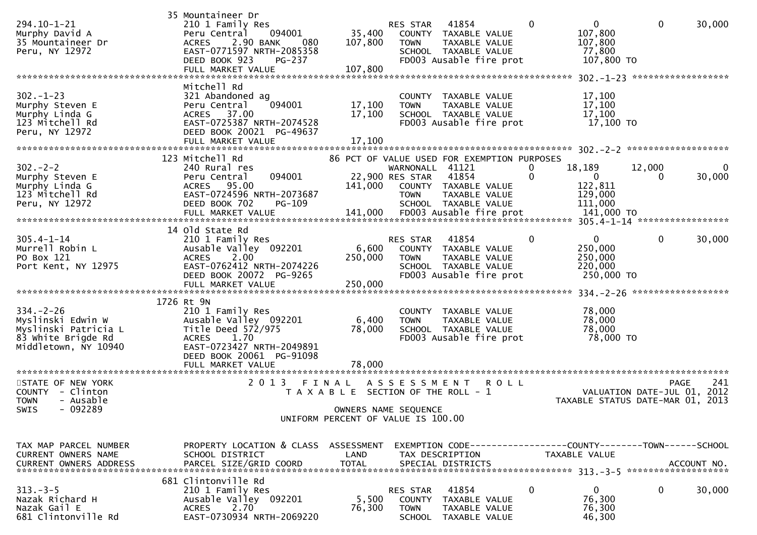| 294.10-1-21<br>Murphy David A<br>35 Mountaineer Dr<br>Peru, NY 12972                                       | 35 Mountaineer Dr<br>210 1 Family Res<br>094001<br>Peru Central<br>2.90 BANK<br>080<br><b>ACRES</b><br>EAST-0771597 NRTH-2085358<br>DEED BOOK 923<br><b>PG-237</b><br>FULL MARKET VALUE | 35,400<br>107,800<br>107,800                                                         | RES STAR<br><b>TOWN</b>                           | 41854<br>COUNTY TAXABLE VALUE<br>TAXABLE VALUE<br>SCHOOL TAXABLE VALUE<br>FD003 Ausable fire prot                     | 0                        | $\mathbf{0}$<br>107,800<br>107,800<br>77,800<br>107,800 TO<br>******************* 302.-1-23 | $\mathbf 0$ | 30,000<br>******************               |
|------------------------------------------------------------------------------------------------------------|-----------------------------------------------------------------------------------------------------------------------------------------------------------------------------------------|--------------------------------------------------------------------------------------|---------------------------------------------------|-----------------------------------------------------------------------------------------------------------------------|--------------------------|---------------------------------------------------------------------------------------------|-------------|--------------------------------------------|
| $302 - 1 - 23$<br>Murphy Steven E<br>Murphy Linda G<br>123 Mitchell Rd<br>Peru, NY 12972                   | Mitchell Rd<br>321 Abandoned ag<br>Peru Central<br>094001<br>ACRES 37.00<br>EAST-0725387 NRTH-2074528<br>DEED BOOK 20021 PG-49637<br>FULL MARKET VALUE                                  | 17,100<br>17,100<br>17,100                                                           | <b>TOWN</b>                                       | COUNTY TAXABLE VALUE<br>TAXABLE VALUE<br>SCHOOL TAXABLE VALUE<br>FD003 Ausable fire prot                              |                          | 17,100<br>17,100<br>17,100<br>17,100 TO                                                     |             |                                            |
| $302 - 2 - 2$<br>Murphy Steven E<br>Murphy Linda G<br>123 Mitchell Rd<br>Peru, NY 12972                    | 123 Mitchell Rd<br>240 Rural res<br>094001<br>Peru Central<br>ACRES 95.00<br>EAST-0724596 NRTH-2073687<br>DEED BOOK 702<br>PG-109                                                       | 141,000                                                                              | WARNONALL 41121<br>22,900 RES STAR<br><b>TOWN</b> | 86 PCT OF VALUE USED FOR EXEMPTION PURPOSES<br>41854<br>COUNTY TAXABLE VALUE<br>TAXABLE VALUE<br>SCHOOL TAXABLE VALUE | $\bf{0}$<br>$\mathbf{0}$ | 18,189<br>$\bf{0}$<br>122,811<br>129,000<br>111,000                                         | 12,000<br>0 | 0<br>30,000                                |
| $305.4 - 1 - 14$<br>Murrell Robin L<br>PO Box 121<br>Port Kent, NY 12975                                   | 14 old State Rd<br>210 1 Family Res<br>Ausable Valley 092201<br>2.00<br><b>ACRES</b><br>EAST-0762412 NRTH-2074226<br>DEED BOOK 20072 PG-9265<br>FULL MARKET VALUE                       | 6,600<br>250,000<br>250,000                                                          | RES STAR<br><b>TOWN</b>                           | 41854<br>COUNTY TAXABLE VALUE<br><b>TAXABLE VALUE</b><br>SCHOOL TAXABLE VALUE<br>FD003 Ausable fire prot              | $\mathbf{0}$             | $\overline{0}$<br>250,000<br>250,000<br>220,000<br>250,000 TO                               | $\mathbf 0$ | 30,000<br>******************               |
| $334. - 2 - 26$<br>Myslinski Edwin W<br>Myslinski Patricia L<br>83 White Brigde Rd<br>Middletown, NY 10940 | 1726 Rt 9N<br>210 1 Family Res<br>Ausable Valley 092201<br>Title Deed 572/975<br>1.70<br><b>ACRES</b><br>EAST-0723427 NRTH-2049891<br>DEED BOOK 20061 PG-91098<br>FULL MARKET VALUE     | 6,400<br>78,000<br>78.000                                                            | <b>TOWN</b>                                       | COUNTY TAXABLE VALUE<br>TAXABLE VALUE<br>SCHOOL TAXABLE VALUE<br>FD003 Ausable fire prot                              |                          | 78,000<br>78,000<br>78,000<br>78,000 TO                                                     |             |                                            |
| STATE OF NEW YORK<br>COUNTY - Clinton<br>- Ausable<br><b>TOWN</b><br>$-092289$<br>SWIS                     | 2 0 1 3                                                                                                                                                                                 | FINAL<br>T A X A B L E SECTION OF THE ROLL - 1<br>UNIFORM PERCENT OF VALUE IS 100.00 | A S S E S S M E N T<br>OWNERS NAME SEQUENCE       | <b>ROLL</b>                                                                                                           |                          | TAXABLE STATUS DATE-MAR 01, 2013                                                            |             | 241<br>PAGE<br>VALUATION DATE-JUL 01, 2012 |
| TAX MAP PARCEL NUMBER<br>CURRENT OWNERS NAME<br><b>CURRENT OWNERS ADDRESS</b>                              | PROPERTY LOCATION & CLASS ASSESSMENT<br>SCHOOL DISTRICT                                                                                                                                 | LAND                                                                                 |                                                   | TAX DESCRIPTION                                                                                                       |                          | EXEMPTION CODE------------------COUNTY--------TOWN------SCHOOL<br><b>TAXABLE VALUE</b>      |             |                                            |
| $313 - 3 - 5$<br>Nazak Richard H<br>Nazak Gail E<br>681 Clintonville Rd                                    | 681 Clintonville Rd<br>210 1 Family Res<br>Ausable Valley 092201<br>ACRES 2.70<br>EAST-0730934 NRTH-2069220                                                                             | 5,500<br>76,300                                                                      | RES STAR<br><b>TOWN</b>                           | 41854<br>COUNTY TAXABLE VALUE<br>TAXABLE VALUE<br>SCHOOL TAXABLE VALUE                                                | 0                        | $\mathbf 0$<br>76,300<br>76,300<br>46,300                                                   | 0           | 30,000                                     |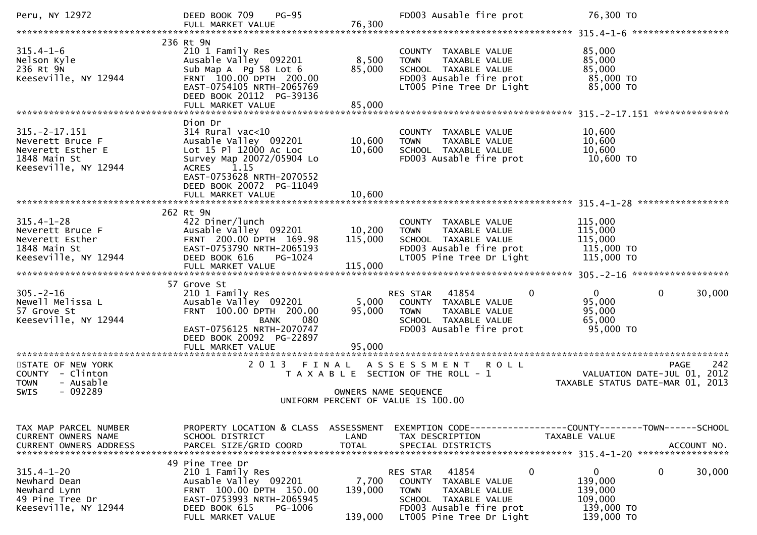| Peru, NY 12972                                                                                      | DEED BOOK 709<br>$PG-95$<br>FULL MARKET VALUE                                                                                                                                            | 76,300                        | FD003 Ausable fire prot                                                                                                                                                 | 76,300 TO                                                                          |
|-----------------------------------------------------------------------------------------------------|------------------------------------------------------------------------------------------------------------------------------------------------------------------------------------------|-------------------------------|-------------------------------------------------------------------------------------------------------------------------------------------------------------------------|------------------------------------------------------------------------------------|
|                                                                                                     |                                                                                                                                                                                          |                               |                                                                                                                                                                         |                                                                                    |
| $315.4 - 1 - 6$<br>Nelson Kyle<br>236 Rt 9N<br>Keeseville, NY 12944                                 | 236 Rt 9N<br>210 1 Family Res<br>Ausable Valley 092201<br>Sub Map A Pg 58 Lot 6<br>FRNT 100.00 DPTH 200.00<br>EAST-0754105 NRTH-2065769<br>DEED BOOK 20112 PG-39136<br>FULL MARKET VALUE | 8,500<br>85,000<br>85,000     | COUNTY TAXABLE VALUE<br><b>TOWN</b><br>TAXABLE VALUE<br>SCHOOL TAXABLE VALUE<br>FD003 Ausable fire prot<br>LT005 Pine Tree Dr Light                                     | 85,000<br>85,000<br>85,000<br>85,000 TO<br>85,000 TO                               |
|                                                                                                     | Dion Dr                                                                                                                                                                                  |                               |                                                                                                                                                                         |                                                                                    |
| $315. -2 - 17.151$<br>Neverett Bruce F<br>Neverett Esther E<br>1848 Main St<br>Keeseville, NY 12944 | $314$ Rural vac<10<br>Ausable Valley 092201<br>Lot 15 Pl 12000 Ac Loc<br>Survey Map 20072/05904 Lo<br>1.15<br><b>ACRES</b><br>EAST-0753628 NRTH-2070552                                  | 10,600<br>10,600              | COUNTY TAXABLE VALUE<br><b>TOWN</b><br>TAXABLE VALUE<br>SCHOOL TAXABLE VALUE<br>FD003 Ausable fire prot                                                                 | 10,600<br>10,600<br>10,600<br>10,600 TO                                            |
|                                                                                                     | DEED BOOK 20072 PG-11049                                                                                                                                                                 |                               |                                                                                                                                                                         |                                                                                    |
|                                                                                                     |                                                                                                                                                                                          |                               |                                                                                                                                                                         |                                                                                    |
| $315.4 - 1 - 28$<br>Neverett Bruce F<br>Neverett Esther<br>1848 Main St<br>Keeseville, NY 12944     | 262 Rt 9N<br>422 Diner/lunch<br>Ausable Valley 092201<br>FRNT 200.00 DPTH 169.98<br>EAST-0753790 NRTH-2065193<br>DEED BOOK 616<br>PG-1024<br>FULL MARKET VALUE                           | 10,200<br>115,000<br>115,000  | COUNTY TAXABLE VALUE<br>TAXABLE VALUE<br><b>TOWN</b><br>SCHOOL TAXABLE VALUE<br>FD003 Ausable fire prot<br>LT005 Pine Tree Dr Light                                     | 115,000<br>115,000<br>115,000<br>115,000 TO<br>115,000 TO                          |
|                                                                                                     |                                                                                                                                                                                          |                               |                                                                                                                                                                         |                                                                                    |
| $305. - 2 - 16$<br>Newell Melissa L<br>57 Grove St<br>Keeseville, NY 12944                          | 57 Grove St<br>210 1 Family Res<br>Ausable Valley 092201<br>FRNT 100.00 DPTH 200.00<br>080<br><b>BANK</b><br>EAST-0756125 NRTH-2070747<br>DEED BOOK 20092 PG-22897                       | 5,000<br>95,000               | $\mathbf{0}$<br>RES STAR<br>41854<br>COUNTY TAXABLE VALUE<br><b>TOWN</b><br>TAXABLE VALUE<br>SCHOOL TAXABLE VALUE<br>FD003 Ausable fire prot                            | $\mathbf 0$<br>$\overline{0}$<br>30,000<br>95,000<br>95,000<br>65,000<br>95,000 TO |
|                                                                                                     | FULL MARKET VALUE                                                                                                                                                                        | 95,000                        |                                                                                                                                                                         |                                                                                    |
| STATE OF NEW YORK<br>COUNTY - Clinton<br>- Ausable<br><b>TOWN</b><br>SWIS<br>- 092289               | 2 0 1 3                                                                                                                                                                                  | FINAL<br>OWNERS NAME SEQUENCE | ASSESSMENT ROLL<br>T A X A B L E SECTION OF THE ROLL - 1<br>UNIFORM PERCENT OF VALUE IS 100.00                                                                          | 242<br>PAGE<br>VALUATION DATE-JUL 01,<br>2012<br>TAXABLE STATUS DATE-MAR 01, 2013  |
|                                                                                                     |                                                                                                                                                                                          |                               |                                                                                                                                                                         |                                                                                    |
| TAX MAP PARCEL NUMBER<br>CURRENT OWNERS NAME                                                        | PROPERTY LOCATION & CLASS ASSESSMENT<br>SCHOOL DISTRICT                                                                                                                                  | LAND                          | TAX DESCRIPTION                                                                                                                                                         | TAXABLE VALUE                                                                      |
| $315.4 - 1 - 20$<br>Newhard Dean<br>Newhard Lynn<br>49 Pine Tree Dr<br>Keeseville, NY 12944         | 49 Pine Tree Dr<br>210 1 Family Res<br>Ausable Valley 092201<br>FRNT 100.00 DPTH 150.00<br>EAST-0753993 NRTH-2065945<br>PG-1006<br>DEED BOOK 615<br>FULL MARKET VALUE                    | 7,700<br>139,000<br>139,000   | 0<br>41854<br>RES STAR<br><b>COUNTY</b><br>TAXABLE VALUE<br><b>TOWN</b><br>TAXABLE VALUE<br>SCHOOL TAXABLE VALUE<br>FD003 Ausable fire prot<br>LT005 Pine Tree Dr Light | 0<br>0<br>30,000<br>139,000<br>139,000<br>109,000<br>139,000 TO<br>139,000 TO      |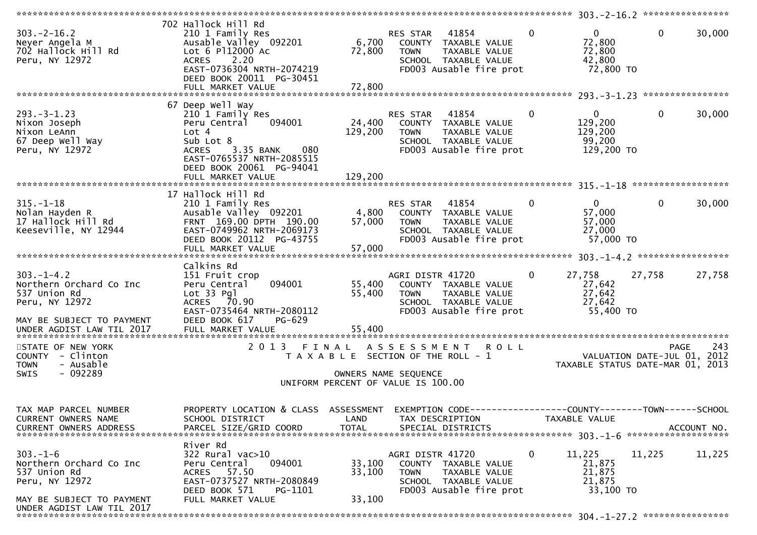| $303. -2 - 16.2$<br>Neyer Angela M<br>702 Hallock Hill Rd<br>Peru, NY 12972                                                            | 702 Hallock Hill Rd<br>210 1 Family Res<br>Ausable Valley 092201<br>Lot 6 P112000 Ac<br>2.20<br><b>ACRES</b><br>EAST-0736304 NRTH-2074219<br>DEED BOOK 20011 PG-30451<br>FULL MARKET VALUE             | 6,700<br>72,800<br>72,800    | RES STAR 41854<br>COUNTY TAXABLE VALUE<br>TAXABLE VALUE<br><b>TOWN</b><br>SCHOOL TAXABLE VALUE<br>FD003 Ausable fire prot                 | $\mathbf{0}$ | $\mathbf{0}$<br>72,800<br>72,800<br>42,800<br>72,800 TO         | $\mathbf 0$  | 30,000      |
|----------------------------------------------------------------------------------------------------------------------------------------|--------------------------------------------------------------------------------------------------------------------------------------------------------------------------------------------------------|------------------------------|-------------------------------------------------------------------------------------------------------------------------------------------|--------------|-----------------------------------------------------------------|--------------|-------------|
|                                                                                                                                        |                                                                                                                                                                                                        |                              |                                                                                                                                           |              |                                                                 |              |             |
| $293. -3 - 1.23$<br>Nixon Joseph<br>Nixon LeAnn<br>67 Deep Well Way<br>Peru, NY 12972                                                  | 67 Deep Well Way<br>210 1 Family Res<br>Peru Central<br>094001<br>Lot 4<br>Sub Lot 8<br>3.35 BANK<br>080<br><b>ACRES</b><br>EAST-0765537 NRTH-2085515<br>DEED BOOK 20061 PG-94041<br>FULL MARKET VALUE | 24,400<br>129,200<br>129,200 | RES STAR<br>41854<br>COUNTY TAXABLE VALUE<br><b>TOWN</b><br>TAXABLE VALUE<br>SCHOOL TAXABLE VALUE<br>FD003 Ausable fire prot              | $\mathbf{0}$ | $\overline{0}$<br>129,200<br>129,200<br>99,200<br>129,200 TO    | $\mathbf{0}$ | 30,000      |
|                                                                                                                                        |                                                                                                                                                                                                        |                              |                                                                                                                                           |              |                                                                 |              |             |
| $315. - 1 - 18$<br>Nolan Hayden R<br>17 Hallock Hill Rd<br>Keeseville, NY 12944                                                        | 17 Hallock Hill Rd<br>210 1 Family Res<br>Ausable Valley 092201<br>FRNT 169.00 DPTH 190.00<br>EAST-0749962 NRTH-2069173<br>DEED BOOK 20112 PG-43755<br>FULL MARKET VALUE                               | 4,800<br>57,000<br>57,000    | RES STAR<br>41854<br>COUNTY TAXABLE VALUE<br><b>TOWN</b><br>TAXABLE VALUE<br>SCHOOL TAXABLE VALUE<br>FD003 Ausable fire prot              | $\mathbf{0}$ | $\mathbf{0}$<br>57,000<br>57,000<br>27,000<br>57,000 TO         | $\mathbf{0}$ | 30,000      |
|                                                                                                                                        | Calkins Rd                                                                                                                                                                                             |                              |                                                                                                                                           |              |                                                                 |              |             |
| $303. -1 - 4.2$<br>Northern Orchard Co Inc<br>537 Union Rd<br>Peru, NY 12972<br>MAY BE SUBJECT TO PAYMENT<br>UNDER AGDIST LAW TIL 2017 | 151 Fruit crop<br>094001<br>Peru Central<br>Lot 33 Pgl<br>ACRES 70.90<br>EAST-0735464 NRTH-2080112<br>DEED BOOK 617<br>PG-629<br>FULL MARKET VALUE                                                     | 55,400<br>55,400<br>55,400   | AGRI DISTR 41720<br>COUNTY TAXABLE VALUE<br>TAXABLE VALUE<br><b>TOWN</b><br>SCHOOL TAXABLE VALUE<br>FD003 Ausable fire prot               | $\mathbf{0}$ | 27,758<br>27,642<br>27,642<br>27,642<br>55,400 TO               | 27,758       | 27,758      |
| STATE OF NEW YORK<br>COUNTY - Clinton<br><b>TOWN</b><br>- Ausable<br>$-092289$<br><b>SWIS</b>                                          | 2 0 1 3                                                                                                                                                                                                | FINAL                        | A S S E S S M E N T<br><b>ROLL</b><br>T A X A B L E SECTION OF THE ROLL - 1<br>OWNERS NAME SEQUENCE<br>UNIFORM PERCENT OF VALUE IS 100.00 |              | VALUATION DATE-JUL 01, 2012<br>TAXABLE STATUS DATE-MAR 01, 2013 | PAGE         | 243         |
| TAX MAP PARCEL NUMBER<br>CURRENT OWNERS NAME<br><b>CURRENT OWNERS ADDRESS</b>                                                          | PROPERTY LOCATION & CLASS ASSESSMENT<br>SCHOOL DISTRICT<br>PARCEL SIZE/GRID COORD                                                                                                                      | LAND<br><b>TOTAL</b>         | EXEMPTION CODE--<br>TAX DESCRIPTION<br>SPECIAL DISTRICTS                                                                                  |              | ---------------COUNTY--------TOWN------SCHOOL<br>TAXABLE VALUE  |              | ACCOUNT NO. |
| $303. - 1 - 6$<br>Northern Orchard Co Inc<br>537 Union Rd<br>Peru, NY 12972<br>MAY BE SUBJECT TO PAYMENT<br>UNDER AGDIST LAW TIL 2017  | River Rd<br>322 Rural vac>10<br>094001<br>Peru Central<br>ACRES 57.50<br>EAST-0737527 NRTH-2080849<br>DEED BOOK 571<br>PG-1101<br>FULL MARKET VALUE                                                    | 33,100<br>33,100<br>33,100   | AGRI DISTR 41720<br>COUNTY TAXABLE VALUE<br>TAXABLE VALUE<br><b>TOWN</b><br>SCHOOL TAXABLE VALUE<br>FD003 Ausable fire prot               | $\mathbf{0}$ | 11,225<br>21,875<br>21,875<br>21,875<br>33,100 TO               | 11,225       | 11,225      |

\*\*\*\*\*\*\*\*\*\*\*\*\*\*\*\*\*\*\*\*\*\*\*\*\*\*\*\*\*\*\*\*\*\*\*\*\*\*\*\*\*\*\*\*\*\*\*\*\*\*\*\*\*\*\*\*\*\*\*\*\*\*\*\*\*\*\*\*\*\*\*\*\*\*\*\*\*\*\*\*\*\*\*\*\*\*\*\*\*\*\*\*\*\*\*\*\*\*\*\*\*\*\* 304.-1-27.2 \*\*\*\*\*\*\*\*\*\*\*\*\*\*\*\*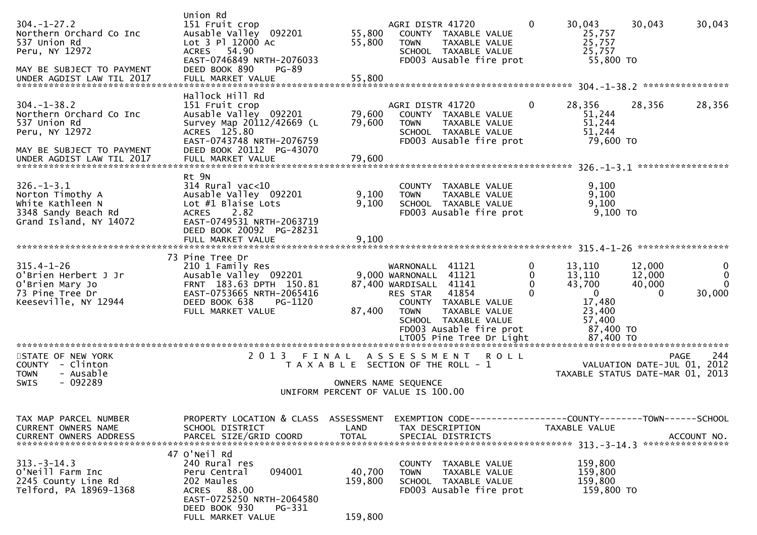| $304. - 1 - 27.2$<br>Northern Orchard Co Inc<br>537 Union Rd<br>Peru, NY 12972                            | Union Rd<br>151 Fruit crop<br>Ausable Valley 092201<br>Lot 3 Pl 12000 Ac<br>ACRES 54.90<br>EAST-0746849 NRTH-2076033<br>DEED BOOK 890<br><b>PG-89</b>             | 55,800<br>55,800             | AGRI DISTR 41720<br>COUNTY TAXABLE VALUE<br>TAXABLE VALUE<br><b>TOWN</b><br>SCHOOL TAXABLE VALUE<br>FD003 Ausable fire prot                                                                               | 0                              | 30,043<br>25,757<br>25,757<br>25,757<br>55,800 TO                                     | 30,043                                 | 30,043                                      |
|-----------------------------------------------------------------------------------------------------------|-------------------------------------------------------------------------------------------------------------------------------------------------------------------|------------------------------|-----------------------------------------------------------------------------------------------------------------------------------------------------------------------------------------------------------|--------------------------------|---------------------------------------------------------------------------------------|----------------------------------------|---------------------------------------------|
| MAY BE SUBJECT TO PAYMENT<br>UNDER AGDIST LAW TIL 2017                                                    | FULL MARKET VALUE                                                                                                                                                 | 55,800                       |                                                                                                                                                                                                           |                                |                                                                                       |                                        |                                             |
| $304. - 1 - 38.2$<br>Northern Orchard Co Inc<br>537 Union Rd<br>Peru, NY 12972                            | Hallock Hill Rd<br>151 Fruit crop<br>Ausable Valley 092201<br>Survey Map 20112/42669 (L<br>ACRES 125.80<br>EAST-0743748 NRTH-2076759                              | 79,600<br>79,600             | AGRI DISTR 41720<br>COUNTY TAXABLE VALUE<br>TAXABLE VALUE<br><b>TOWN</b><br>SCHOOL TAXABLE VALUE<br>FD003 Ausable fire prot                                                                               | $\Omega$                       | 28,356<br>51,244<br>51,244<br>51,244<br>79,600 TO                                     | 28,356                                 | 28,356                                      |
| MAY BE SUBJECT TO PAYMENT<br>UNDER AGDIST LAW TIL 2017                                                    | DEED BOOK 20112 PG-43070<br>FULL MARKET VALUE                                                                                                                     | 79,600                       |                                                                                                                                                                                                           |                                |                                                                                       |                                        |                                             |
|                                                                                                           | Rt 9N                                                                                                                                                             |                              |                                                                                                                                                                                                           |                                |                                                                                       |                                        |                                             |
| $326. - 1 - 3.1$<br>Norton Timothy A<br>White Kathleen N<br>3348 Sandy Beach Rd<br>Grand Island, NY 14072 | $314$ Rural vac<10<br>Ausable Valley 092201<br>Lot #1 Blaise Lots<br><b>ACRES</b><br>2.82<br>EAST-0749531 NRTH-2063719                                            | 9,100<br>9,100               | COUNTY TAXABLE VALUE<br>TAXABLE VALUE<br><b>TOWN</b><br>SCHOOL TAXABLE VALUE<br>FD003 Ausable fire prot                                                                                                   |                                | 9,100<br>9,100<br>9,100<br>$9,100$ TO                                                 |                                        |                                             |
|                                                                                                           | DEED BOOK 20092 PG-28231<br>FULL MARKET VALUE                                                                                                                     | 9,100                        |                                                                                                                                                                                                           |                                |                                                                                       |                                        |                                             |
|                                                                                                           | 73 Pine Tree Dr                                                                                                                                                   |                              |                                                                                                                                                                                                           |                                |                                                                                       |                                        |                                             |
| $315.4 - 1 - 26$<br>O'Brien Herbert J Jr<br>O'Brien Mary Jo<br>73 Pine Tree Dr<br>Keeseville, NY 12944    | 210 1 Family Res<br>Ausable Valley 092201<br>FRNT 183.63 DPTH 150.81<br>EAST-0753665 NRTH-2065416<br>DEED BOOK 638<br>PG-1120<br>FULL MARKET VALUE                | 87,400                       | WARNONALL 41121<br>9,000 WARNONALL 41121<br>87,400 WARDISALL 41141<br>41854<br><b>RES STAR</b><br>COUNTY TAXABLE VALUE<br>TAXABLE VALUE<br><b>TOWN</b><br>SCHOOL TAXABLE VALUE<br>FD003 Ausable fire prot | 0<br>0<br>$\Omega$<br>$\Omega$ | 13,110<br>13,110<br>43,700<br>$\mathbf{0}$<br>17,480<br>23,400<br>57,400<br>87,400 TO | 12,000<br>12,000<br>40,000<br>$\Omega$ | 0<br>$\mathbf{0}$<br>$\mathbf{0}$<br>30,000 |
| STATE OF NEW YORK                                                                                         | 2013 FINAL                                                                                                                                                        |                              | A S S E S S M E N T<br><b>ROLL</b>                                                                                                                                                                        |                                |                                                                                       |                                        | 244<br>PAGE                                 |
| COUNTY - Clinton<br>- Ausable<br><b>TOWN</b><br>$-092289$<br><b>SWIS</b>                                  |                                                                                                                                                                   |                              | T A X A B L E SECTION OF THE ROLL - 1<br>OWNERS NAME SEQUENCE                                                                                                                                             |                                | TAXABLE STATUS DATE-MAR 01, 2013                                                      | VALUATION DATE-JUL 01, 2012            |                                             |
|                                                                                                           |                                                                                                                                                                   |                              | UNIFORM PERCENT OF VALUE IS 100.00                                                                                                                                                                        |                                |                                                                                       |                                        |                                             |
| TAX MAP PARCEL NUMBER<br>CURRENT OWNERS NAME<br>CURRENT OWNERS ADDRESS                                    | PROPERTY LOCATION & CLASS ASSESSMENT<br>SCHOOL DISTRICT<br>PARCEL SIZE/GRID COORD                                                                                 | LAND<br><b>TOTAL</b>         | TAX DESCRIPTION<br>SPECIAL DISTRICTS                                                                                                                                                                      |                                | <b>TAXABLE VALUE</b>                                                                  |                                        | ACCOUNT NO.                                 |
| $313. - 3 - 14.3$<br>O'Neill Farm Inc<br>2245 County Line Rd<br>Telford, PA 18969-1368                    | 47 O'Neil Rd<br>240 Rural res<br>094001<br>Peru Central<br>202 Maules<br>ACRES 88.00<br>EAST-0725250 NRTH-2064580<br>DEED BOOK 930<br>PG-331<br>FULL MARKET VALUE | 40,700<br>159,800<br>159,800 | COUNTY TAXABLE VALUE<br>TAXABLE VALUE<br><b>TOWN</b><br>SCHOOL TAXABLE VALUE<br>FD003 Ausable fire prot                                                                                                   |                                | 159,800<br>159,800<br>159,800<br>159,800 TO                                           |                                        |                                             |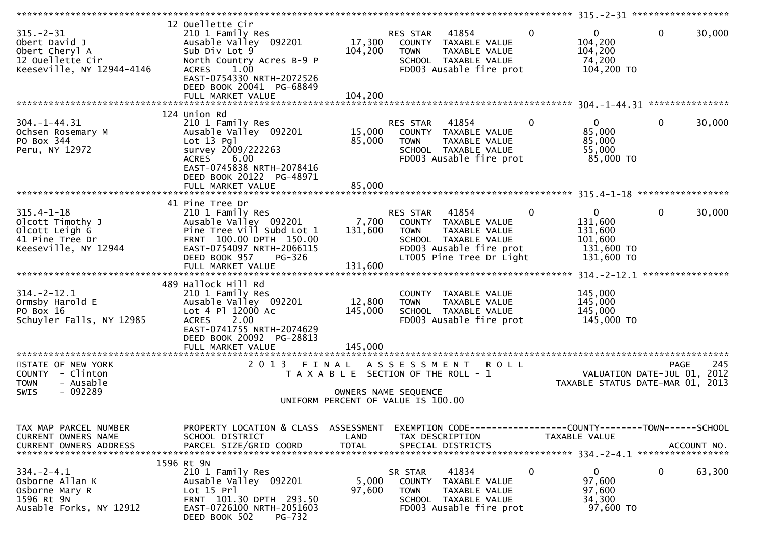| $315. - 2 - 31$<br>Obert David J<br>Obert Cheryl A<br>12 Ouellette Cir<br>Keeseville, NY 12944-4146 | 12 Ouellette Cir<br>210 1 Family Res<br>Ausable Valley 092201<br>Sub Div Lot 9<br>North Country Acres B-9 P<br>1.00<br><b>ACRES</b><br>EAST-0754330 NRTH-2072526<br>DEED BOOK 20041 PG-68849<br>FULL MARKET VALUE | 17,300<br>104,200<br>104,200       | RES STAR 41854<br>COUNTY TAXABLE VALUE<br><b>TOWN</b><br>TAXABLE VALUE<br>SCHOOL TAXABLE VALUE<br>FD003 Ausable fire prot                                | $\overline{0}$ | $\mathbf{0}$<br>104,200<br>104,200<br>74,200<br>104,200 TO                | $\mathbf{0}$<br>30,000                                  |
|-----------------------------------------------------------------------------------------------------|-------------------------------------------------------------------------------------------------------------------------------------------------------------------------------------------------------------------|------------------------------------|----------------------------------------------------------------------------------------------------------------------------------------------------------|----------------|---------------------------------------------------------------------------|---------------------------------------------------------|
|                                                                                                     |                                                                                                                                                                                                                   |                                    |                                                                                                                                                          |                |                                                                           |                                                         |
| $304. -1 - 44.31$<br>Ochsen Rosemary M<br>PO Box 344<br>Peru, NY 12972                              | 124 Union Rd<br>210 1 Family Res<br>Ausable Valley 092201<br>$Lot 13$ Pgl<br>survey 2009/222263<br>6.00<br><b>ACRES</b><br>EAST-0745838 NRTH-2078416<br>DEED BOOK 20122 PG-48971                                  | 15,000<br>85,000                   | RES STAR<br>41854<br>COUNTY TAXABLE VALUE<br><b>TOWN</b><br>TAXABLE VALUE<br>SCHOOL TAXABLE VALUE<br>FD003 Ausable fire prot                             | $\mathbf{0}$   | $\overline{0}$<br>85,000<br>85,000<br>55,000<br>85,000 TO                 | $\mathbf{0}$<br>30,000                                  |
|                                                                                                     | FULL MARKET VALUE                                                                                                                                                                                                 | 85,000                             |                                                                                                                                                          |                |                                                                           |                                                         |
|                                                                                                     |                                                                                                                                                                                                                   |                                    |                                                                                                                                                          |                |                                                                           |                                                         |
| $315.4 - 1 - 18$<br>Olcott Timothy J<br>Olcott Leigh G<br>41 Pine Tree Dr<br>Keeseville, NY 12944   | 41 Pine Tree Dr<br>210 1 Family Res<br>Ausable Valley 092201<br>Pine Tree Vill Subd Lot 1<br>FRNT 100.00 DPTH 150.00<br>EAST-0754097 NRTH-2066115<br>DEED BOOK 957<br>PG-326<br>FULL MARKET VALUE                 | 7,700<br>131,600<br>131,600        | RES STAR<br>41854<br>COUNTY TAXABLE VALUE<br><b>TOWN</b><br>TAXABLE VALUE<br>SCHOOL TAXABLE VALUE<br>FD003 Ausable fire prot<br>LT005 Pine Tree Dr Light | $\mathbf{0}$   | $\mathbf{0}$<br>131,600<br>131,600<br>101,600<br>131,600 TO<br>131,600 TO | 0<br>30,000                                             |
|                                                                                                     |                                                                                                                                                                                                                   |                                    |                                                                                                                                                          |                |                                                                           |                                                         |
| $314. -2 - 12.1$<br>Ormsby Harold E<br>PO Box 16<br>Schuyler Falls, NY 12985                        | 489 Hallock Hill Rd<br>210 1 Family Res<br>Ausable Valley 092201<br>Lot 4 Pl 12000 Ac<br>2.00<br><b>ACRES</b><br>EAST-0741755 NRTH-2074629<br>DEED BOOK 20092 PG-28813                                            | 12,800<br>145,000                  | COUNTY TAXABLE VALUE<br>TAXABLE VALUE<br><b>TOWN</b><br>SCHOOL TAXABLE VALUE<br>FD003 Ausable fire prot                                                  |                | 145,000<br>145,000<br>145,000<br>145,000 TO                               |                                                         |
|                                                                                                     | FULL MARKET VALUE<br>***********************                                                                                                                                                                      | 145,000                            |                                                                                                                                                          |                |                                                                           |                                                         |
| STATE OF NEW YORK<br>COUNTY - Clinton<br>- Ausable<br><b>TOWN</b><br>$-092289$<br>SWIS              | 2 0 1 3                                                                                                                                                                                                           | FINAL                              | ASSESSMENT ROLL<br>T A X A B L E SECTION OF THE ROLL - 1<br>OWNERS NAME SEQUENCE<br>UNIFORM PERCENT OF VALUE IS 100.00                                   |                | VALUATION DATE-JUL 01,                                                    | 245<br>PAGE<br>2012<br>TAXABLE STATUS DATE-MAR 01, 2013 |
|                                                                                                     |                                                                                                                                                                                                                   |                                    |                                                                                                                                                          |                |                                                                           |                                                         |
| TAX MAP PARCEL NUMBER<br>CURRENT OWNERS NAME<br><b>CURRENT OWNERS ADDRESS</b>                       | PROPERTY LOCATION & CLASS<br>SCHOOL DISTRICT<br>PARCEL SIZE/GRID COORD                                                                                                                                            | ASSESSMENT<br>LAND<br><b>TOTAL</b> | EXEMPTION CODE-----------------COUNTY-------TOWN------SCHOOL<br>TAX DESCRIPTION<br>SPECIAL DISTRICTS                                                     |                | <b>TAXABLE VALUE</b>                                                      | ACCOUNT NO.                                             |
|                                                                                                     | 1596 Rt 9N                                                                                                                                                                                                        |                                    |                                                                                                                                                          |                |                                                                           |                                                         |
| $334 - 2 - 4.1$<br>Osborne Allan K<br>Osborne Mary R<br>1596 Rt 9N<br>Ausable Forks, NY 12912       | 210 1 Family Res<br>Ausable Valley 092201<br>Lot 15 Pr<br>FRNT 101.30 DPTH 293.50<br>EAST-0726100 NRTH-2051603<br>DEED BOOK 502<br><b>PG-732</b>                                                                  | 5,000<br>97,600                    | 41834<br>SR STAR<br><b>COUNTY</b><br>TAXABLE VALUE<br>TAXABLE VALUE<br><b>TOWN</b><br>SCHOOL TAXABLE VALUE<br>FD003 Ausable fire prot                    | $\mathbf 0$    | $\mathbf{0}$<br>97,600<br>97,600<br>34,300<br>97,600 TO                   | 0<br>63,300                                             |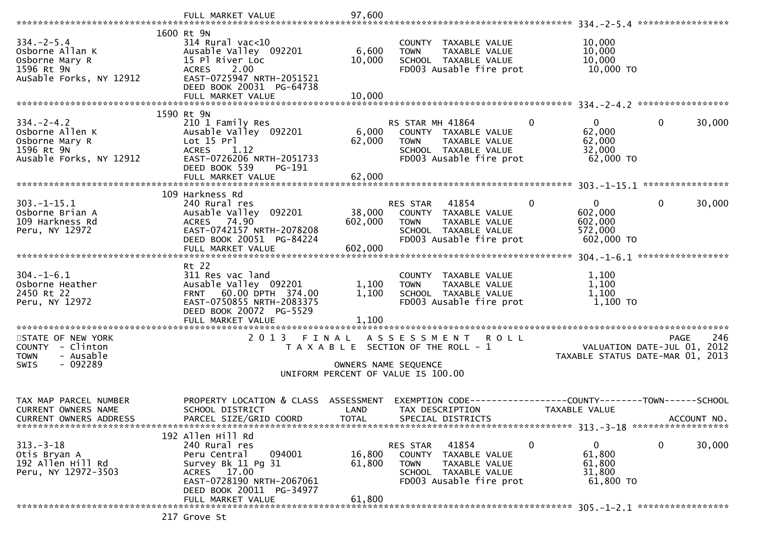|                                                                                               | FULL MARKET VALUE                                                                                                               | 97,600          |                                                                                                         |                                               |                                  |
|-----------------------------------------------------------------------------------------------|---------------------------------------------------------------------------------------------------------------------------------|-----------------|---------------------------------------------------------------------------------------------------------|-----------------------------------------------|----------------------------------|
|                                                                                               |                                                                                                                                 |                 |                                                                                                         |                                               |                                  |
| $334. -2 - 5.4$<br>Osborne Allan K<br>Osborne Mary R<br>1596 Rt 9N<br>AuSable Forks, NY 12912 | 1600 Rt 9N<br>314 Rural vac<10<br>Ausable Valley 092201<br>15 Pl River Loc<br>2.00<br><b>ACRES</b><br>EAST-0725947 NRTH-2051521 | 6,600<br>10,000 | COUNTY TAXABLE VALUE<br>TAXABLE VALUE<br><b>TOWN</b><br>SCHOOL TAXABLE VALUE<br>FD003 Ausable fire prot | 10,000<br>10,000<br>10,000<br>10,000 TO       |                                  |
|                                                                                               | DEED BOOK 20031 PG-64738                                                                                                        |                 |                                                                                                         |                                               |                                  |
|                                                                                               | FULL MARKET VALUE                                                                                                               | 10,000          |                                                                                                         |                                               |                                  |
|                                                                                               | 1590 Rt 9N                                                                                                                      |                 |                                                                                                         |                                               |                                  |
| $334. -2 - 4.2$                                                                               | 210 1 Family Res                                                                                                                |                 | RS STAR MH 41864                                                                                        | 0<br>$\mathbf{0}$                             | 30,000<br>0                      |
| Osborne Allen K                                                                               | Ausable Valley 092201                                                                                                           | 6,000           | COUNTY TAXABLE VALUE                                                                                    | 62,000                                        |                                  |
| Osborne Mary R                                                                                | Lot 15 Prl                                                                                                                      | 62,000          | TAXABLE VALUE<br><b>TOWN</b>                                                                            | 62,000                                        |                                  |
| 1596 Rt 9N                                                                                    | ACRES 1.12                                                                                                                      |                 | SCHOOL TAXABLE VALUE                                                                                    | 32,000                                        |                                  |
| Ausable Forks, NY 12912                                                                       | EAST-0726206 NRTH-2051733                                                                                                       |                 | FD003 Ausable fire prot                                                                                 | 62,000 TO                                     |                                  |
|                                                                                               | DEED BOOK 539<br>PG-191                                                                                                         |                 |                                                                                                         |                                               |                                  |
|                                                                                               | FULL MARKET VALUE                                                                                                               | 62,000          |                                                                                                         |                                               |                                  |
|                                                                                               |                                                                                                                                 |                 |                                                                                                         |                                               |                                  |
|                                                                                               | 109 Harkness Rd                                                                                                                 |                 |                                                                                                         |                                               |                                  |
| $303. -1 - 15.1$                                                                              | 240 Rural res                                                                                                                   |                 | RES STAR<br>41854                                                                                       | $\Omega$<br>0                                 | $\mathbf{0}$<br>30,000           |
| Osborne Brian A                                                                               | Ausable Valley 092201                                                                                                           | 38,000          | COUNTY TAXABLE VALUE                                                                                    | 602,000                                       |                                  |
| 109 Harkness Rd                                                                               | ACRES 74.90                                                                                                                     | 602,000         | <b>TOWN</b><br>TAXABLE VALUE                                                                            | 602,000                                       |                                  |
| Peru, NY 12972                                                                                | EAST-0742157 NRTH-2078208<br>DEED BOOK 20051 PG-84224                                                                           |                 | SCHOOL TAXABLE VALUE<br>FD003 Ausable fire prot                                                         | 572,000<br>602,000 TO                         |                                  |
|                                                                                               | FULL MARKET VALUE                                                                                                               | 602,000         |                                                                                                         |                                               |                                  |
|                                                                                               |                                                                                                                                 |                 |                                                                                                         |                                               |                                  |
|                                                                                               | Rt 22                                                                                                                           |                 |                                                                                                         |                                               |                                  |
| $304. - 1 - 6.1$                                                                              | 311 Res vac land                                                                                                                |                 | COUNTY TAXABLE VALUE                                                                                    | 1,100                                         |                                  |
| Osborne Heather                                                                               | Ausable Valley 092201                                                                                                           | 1,100           | TAXABLE VALUE<br><b>TOWN</b>                                                                            | 1,100                                         |                                  |
| 2450 Rt 22                                                                                    | 60.00 DPTH 374.00<br><b>FRNT</b>                                                                                                | 1,100           | SCHOOL TAXABLE VALUE                                                                                    | 1,100                                         |                                  |
| Peru, NY 12972                                                                                | EAST-0750855 NRTH-2083375                                                                                                       |                 | FD003 Ausable fire prot                                                                                 | 1,100 TO                                      |                                  |
|                                                                                               | DEED BOOK 20072 PG-5529                                                                                                         |                 |                                                                                                         |                                               |                                  |
|                                                                                               | FULL MARKET VALUE                                                                                                               | 1,100           |                                                                                                         |                                               |                                  |
|                                                                                               |                                                                                                                                 |                 |                                                                                                         |                                               |                                  |
| STATE OF NEW YORK                                                                             | 2 0 1 3                                                                                                                         | FINAL           | A S S E S S M E N T<br><b>ROLL</b>                                                                      |                                               | 246<br>PAGE                      |
| COUNTY - Clinton                                                                              |                                                                                                                                 |                 | T A X A B L E SECTION OF THE ROLL - 1                                                                   |                                               | VALUATION DATE-JUL 01, 2012      |
| - Ausable<br><b>TOWN</b>                                                                      |                                                                                                                                 |                 |                                                                                                         |                                               | TAXABLE STATUS DATE-MAR 01, 2013 |
| - 092289<br><b>SWIS</b>                                                                       |                                                                                                                                 |                 | OWNERS NAME SEQUENCE                                                                                    |                                               |                                  |
|                                                                                               |                                                                                                                                 |                 | UNIFORM PERCENT OF VALUE IS 100.00                                                                      |                                               |                                  |
|                                                                                               |                                                                                                                                 |                 |                                                                                                         |                                               |                                  |
| TAX MAP PARCEL NUMBER                                                                         | PROPERTY LOCATION & CLASS                                                                                                       | ASSESSMENT      | EXEMPTION CODE--                                                                                        | ---------------COUNTY--------TOWN------SCHOOL |                                  |
| <b>CURRENT OWNERS NAME</b>                                                                    | SCHOOL DISTRICT                                                                                                                 | LAND            | TAX DESCRIPTION                                                                                         | TAXABLE VALUE                                 |                                  |
| CURRENT OWNERS ADDRESS                                                                        | PARCEL SIZE/GRID COORD                                                                                                          | <b>TOTAL</b>    | SPECIAL DISTRICTS                                                                                       |                                               | ACCOUNT NO.                      |
|                                                                                               |                                                                                                                                 |                 |                                                                                                         |                                               |                                  |
|                                                                                               | 192 Allen Hill Rd                                                                                                               |                 |                                                                                                         |                                               |                                  |
| $313 - 3 - 18$                                                                                | 240 Rural res                                                                                                                   |                 | RES STAR<br>41854                                                                                       | 0<br>0                                        | 0<br>30,000                      |
| Otis Bryan A                                                                                  | Peru Central<br>094001                                                                                                          | 16,800          | COUNTY TAXABLE VALUE                                                                                    | 61,800                                        |                                  |
| 192 Allen Hill Rd                                                                             | Survey Bk 11 Pg 31                                                                                                              | 61,800          | TAXABLE VALUE<br><b>TOWN</b>                                                                            | 61,800                                        |                                  |
| Peru, NY 12972-3503                                                                           | ACRES 17.00                                                                                                                     |                 | SCHOOL TAXABLE VALUE                                                                                    | 31,800                                        |                                  |
|                                                                                               | EAST-0728190 NRTH-2067061                                                                                                       |                 | FD003 Ausable fire prot                                                                                 | 61,800 TO                                     |                                  |
|                                                                                               | DEED BOOK 20011 PG-34977                                                                                                        |                 |                                                                                                         |                                               |                                  |
|                                                                                               | FULL MARKET VALUE                                                                                                               | 61,800          |                                                                                                         |                                               |                                  |
|                                                                                               |                                                                                                                                 |                 |                                                                                                         |                                               |                                  |
|                                                                                               | 217 Grove St                                                                                                                    |                 |                                                                                                         |                                               |                                  |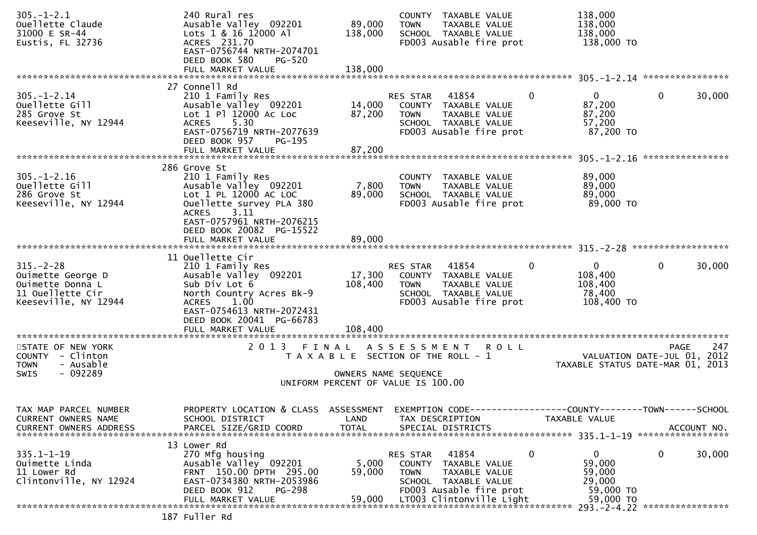| $305. - 1 - 2.1$<br>Ouellette Claude<br>31000 E SR-44<br>Eustis, FL 32736                            | 240 Rural res<br>Ausable Valley 092201<br>Lots 1 & 16 12000 Al<br>ACRES 231.70<br>EAST-0756744 NRTH-2074701<br>DEED BOOK 580<br>PG-520                                                                           | 89,000<br>138,000                                                           | <b>TOWN</b>                          | COUNTY TAXABLE VALUE<br>TAXABLE VALUE<br>SCHOOL TAXABLE VALUE<br>FD003 Ausable fire prot                                      |               | 138,000<br>138,000<br>138,000<br>138,000 TO                          |              |             |
|------------------------------------------------------------------------------------------------------|------------------------------------------------------------------------------------------------------------------------------------------------------------------------------------------------------------------|-----------------------------------------------------------------------------|--------------------------------------|-------------------------------------------------------------------------------------------------------------------------------|---------------|----------------------------------------------------------------------|--------------|-------------|
|                                                                                                      | FULL MARKET VALUE                                                                                                                                                                                                | 138,000                                                                     |                                      |                                                                                                                               |               |                                                                      |              |             |
| $305. - 1 - 2.14$<br>Ouellette Gill<br>285 Grove St<br>Keeseville, NY 12944                          | 27 Connell Rd<br>210 1 Family Res<br>Ausable Valley 092201<br>Lot 1 Pl 12000 Ac Loc<br>ACRES 5.30<br>EAST-0756719 NRTH-2077639<br>DEED BOOK 957<br>PG-195<br>FULL MARKET VALUE                                   | 14,000<br>87,200<br>87,200                                                  | RES STAR 41854<br><b>TOWN</b>        | COUNTY TAXABLE VALUE<br>TAXABLE VALUE<br>SCHOOL TAXABLE VALUE<br>FD003 Ausable fire prot                                      | $\mathbf{0}$  | $\mathbf{0}$<br>87,200<br>87,200<br>57,200<br>87,200 TO              | $\mathbf{0}$ | 30,000      |
|                                                                                                      |                                                                                                                                                                                                                  |                                                                             |                                      |                                                                                                                               |               |                                                                      |              |             |
| $305. - 1 - 2.16$<br>Ouellette Gill<br>286 Grove St<br>Keeseville, NY 12944                          | 286 Grove St<br>210 1 Family Res<br>Ausable Valley 092201<br>Lot 1 PL 12000 AC LOC<br>Ouellette survey PLA 380<br><b>ACRES</b><br>3.11<br>EAST-0757961 NRTH-2076215                                              | 7,800<br>89,000                                                             | TOWN                                 | COUNTY TAXABLE VALUE<br>TAXABLE VALUE<br>SCHOOL TAXABLE VALUE<br>FD003 Ausable fire prot                                      |               | 89,000<br>89,000<br>89,000<br>89,000 TO                              |              |             |
|                                                                                                      | DEED BOOK 20082 PG-15522<br>FULL MARKET VALUE                                                                                                                                                                    | 89,000                                                                      |                                      |                                                                                                                               |               |                                                                      |              |             |
| $315. - 2 - 28$<br>Ouimette George D<br>Ouimette Donna L<br>11 Ouellette Cir<br>Keeseville, NY 12944 | 11 Ouellette Cir<br>210 1 Family Res<br>Ausable Valley 092201<br>Sub Div Lot 6<br>North Country Acres Bk-9<br>1.00<br><b>ACRES</b><br>EAST-0754613 NRTH-2072431<br>DEED BOOK 20041 PG-66783<br>FULL MARKET VALUE | 17,300<br>108,400<br>108,400                                                | RES STAR 41854<br>TOWN               | COUNTY TAXABLE VALUE<br>TAXABLE VALUE<br>SCHOOL TAXABLE VALUE<br>FD003 Ausable fire prot                                      | $\mathbf 0$   | $\overline{0}$<br>108,400<br>108,400<br>78,400<br>108,400 TO         | $\mathbf 0$  | 30,000      |
| STATE OF NEW YORK<br>COUNTY - Clinton<br><b>TOWN</b><br>- Ausable<br>- 092289<br><b>SWIS</b>         |                                                                                                                                                                                                                  | T A X A B L E SECTION OF THE ROLL - 1<br>UNIFORM PERCENT OF VALUE IS 100.00 | OWNERS NAME SEQUENCE                 | 2013 FINAL ASSESSMENT ROLL                                                                                                    |               | VALUATION DATE-JUL 01, 2012<br>TAXABLE STATUS DATE-MAR 01, 2013      | <b>PAGE</b>  | 247         |
| TAX MAP PARCEL NUMBER<br>CURRENT OWNERS NAME<br><b>CURRENT OWNERS ADDRESS</b>                        | PROPERTY LOCATION & CLASS ASSESSMENT EXEMPTION CODE----------------COUNTY-------TOWN------SCHOOL<br>SCHOOL DISTRICT<br>PARCEL SIZE/GRID COORD                                                                    | LAND<br><b>TOTAL</b>                                                        | TAX DESCRIPTION<br>SPECIAL DISTRICTS |                                                                                                                               | TAXABLE VALUE |                                                                      |              | ACCOUNT NO. |
| $335.1 - 1 - 19$<br>Ouimette Linda<br>11 Lower Rd<br>Clintonville, NY 12924                          | 13 Lower Rd<br>270 Mfg housing<br>Ausable Valley 092201<br>FRNT 150.00 DPTH 295.00<br>EAST-0734380 NRTH-2053986<br>DEED BOOK 912<br><b>PG-298</b><br>FULL MARKET VALUE                                           | 5,000<br>59,000<br>59,000                                                   | RES STAR<br><b>TOWN</b>              | 41854<br>COUNTY TAXABLE VALUE<br>TAXABLE VALUE<br>SCHOOL TAXABLE VALUE<br>FD003 Ausable fire prot<br>LT003 Clintonville Light | 0             | $\mathbf{0}$<br>59,000<br>59,000<br>29,000<br>59,000 TO<br>59,000 TO | 0            | 30,000      |
|                                                                                                      | 187 Fuller Rd                                                                                                                                                                                                    |                                                                             |                                      |                                                                                                                               |               |                                                                      |              |             |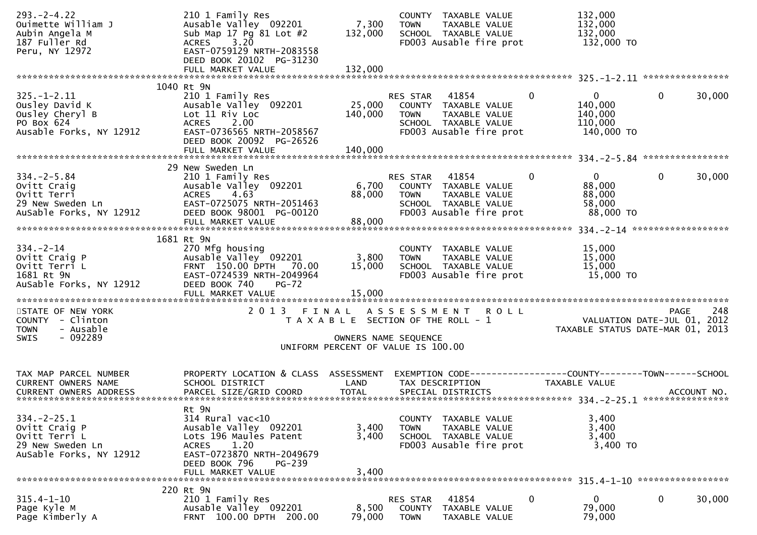| $293. -2 - 4.22$<br>Ouimette William J<br>Aubin Angela M<br>187 Fuller Rd<br>Peru, NY 12972        | 210 1 Family Res<br>Ausable Valley 092201<br>Sub Map 17 Pg 81 Lot #2<br>3.20<br><b>ACRES</b><br>EAST-0759129 NRTH-2083558<br>DEED BOOK 20102 PG-31230                      | 7,300<br>132,000                                                                                             | <b>TOWN</b>                              | COUNTY TAXABLE VALUE<br>TAXABLE VALUE<br>SCHOOL TAXABLE VALUE<br>FD003 Ausable fire prot          |              | 132,000<br>132,000<br>132,000<br>132,000 TO                     |             |        |
|----------------------------------------------------------------------------------------------------|----------------------------------------------------------------------------------------------------------------------------------------------------------------------------|--------------------------------------------------------------------------------------------------------------|------------------------------------------|---------------------------------------------------------------------------------------------------|--------------|-----------------------------------------------------------------|-------------|--------|
|                                                                                                    | 1040 Rt 9N                                                                                                                                                                 |                                                                                                              |                                          |                                                                                                   |              |                                                                 |             |        |
| $325. - 1 - 2.11$<br>Ousley David K<br>Ousley Cheryl B<br>PO Box 624<br>Ausable Forks, NY 12912    | 210 1 Family Res<br>Ausable Valley 092201<br>Lot 11 Riv Loc<br>ACRES 2.00<br>EAST-0736565 NRTH-2058567<br>DEED BOOK 20092 PG-26526                                         | 25,000<br>140,000                                                                                            | RES STAR<br><b>TOWN</b>                  | 41854<br>COUNTY TAXABLE VALUE<br>TAXABLE VALUE<br>SCHOOL TAXABLE VALUE<br>FD003 Ausable fire prot | $\mathbf{0}$ | $\mathbf{0}$<br>140,000<br>140,000<br>110,000<br>140,000 TO     | $\mathbf 0$ | 30,000 |
|                                                                                                    |                                                                                                                                                                            |                                                                                                              |                                          |                                                                                                   |              |                                                                 |             |        |
| $334. -2 - 5.84$<br>Ovitt Craig<br>Ovitt Terri<br>29 New Sweden Ln<br>AuSable Forks, NY 12912      | 29 New Sweden Ln<br>210 1 Family Res<br>Ausable Valley 092201<br>ACRES 4.63<br>EAST-0725075 NRTH-2051463<br>DEED BOOK 98001 PG-00120<br>FULL MARKET VALUE                  | 6,700<br>88,000<br>88,000                                                                                    | RES STAR 41854<br>TOWN                   | COUNTY TAXABLE VALUE<br>TAXABLE VALUE<br>SCHOOL TAXABLE VALUE<br>FD003 Ausable fire prot          | $\Omega$     | $\mathbf{0}$<br>88,000<br>88,000<br>58,000<br>88,000 TO         | $\mathbf 0$ | 30,000 |
|                                                                                                    |                                                                                                                                                                            |                                                                                                              |                                          |                                                                                                   |              |                                                                 |             |        |
| $334. - 2 - 14$<br>Ovitt Craig P<br>Ovitt Terri L<br>1681 Rt 9N<br>AuSable Forks, NY 12912         | 1681 Rt 9N<br>270 Mfg housing<br>Ausable Valley 092201<br>FRNT 150.00 DPTH 70.00<br>EAST-0724539 NRTH-2049964<br>DEED BOOK 740<br>$PG-72$<br>FULL MARKET VALUE             | 3,800<br>15,000<br>15,000                                                                                    | <b>TOWN</b>                              | COUNTY TAXABLE VALUE<br>TAXABLE VALUE<br>SCHOOL TAXABLE VALUE<br>FD003 Ausable fire prot          |              | 15,000<br>15,000<br>15,000<br>15,000 TO                         |             |        |
| STATE OF NEW YORK<br>COUNTY - Clinton<br><b>TOWN</b><br>- Ausable<br>- 092289<br>SWIS              | 2 0 1 3                                                                                                                                                                    | FINAL<br>T A X A B L E SECTION OF THE ROLL - 1<br>OWNERS NAME SEQUENCE<br>UNIFORM PERCENT OF VALUE IS 100.00 | A S S E S S M E N T                      | <b>ROLL</b>                                                                                       |              | VALUATION DATE-JUL 01, 2012<br>TAXABLE STATUS DATE-MAR 01, 2013 | <b>PAGE</b> | 248    |
|                                                                                                    |                                                                                                                                                                            |                                                                                                              |                                          |                                                                                                   |              |                                                                 |             |        |
| TAX MAP PARCEL NUMBER<br>CURRENT OWNERS NAME                                                       | PROPERTY LOCATION & CLASS ASSESSMENT<br>SCHOOL DISTRICT                                                                                                                    | LAND                                                                                                         |                                          | EXEMPTION CODE-----------------COUNTY--------TOWN------SCHOOL<br>TAX DESCRIPTION                  |              | TAXABLE VALUE                                                   |             |        |
| $334. - 2 - 25.1$<br>Ovitt Craig P<br>Ovitt Terri L<br>29 New Sweden Ln<br>AuSable Forks, NY 12912 | Rt 9N<br>314 Rural vac<10<br>Ausable Valley 092201<br>Lots 196 Maules Patent<br>1.20<br>ACRES<br>EAST-0723870 NRTH-2049679<br>DEED BOOK 796<br>PG-239<br>FULL MARKET VALUE | 3,400<br>3,400<br>3,400                                                                                      | <b>TOWN</b>                              | COUNTY TAXABLE VALUE<br>TAXABLE VALUE<br>SCHOOL TAXABLE VALUE<br>FD003 Ausable fire prot          |              | 3,400<br>3,400<br>3,400<br>3,400 TO                             |             |        |
|                                                                                                    | 220 Rt 9N                                                                                                                                                                  |                                                                                                              |                                          |                                                                                                   |              |                                                                 |             |        |
| 315.4-1-10<br>Page Kyle M<br>Page Kimberly A                                                       | 210 1 Family Res<br>Ausable Valley 092201<br>FRNT 100.00 DPTH 200.00                                                                                                       | 8,500<br>79,000                                                                                              | RES STAR<br><b>COUNTY</b><br><b>TOWN</b> | 41854<br>TAXABLE VALUE<br>TAXABLE VALUE                                                           | 0            | $\bf{0}$<br>79,000<br>79,000                                    | $\bf{0}$    | 30,000 |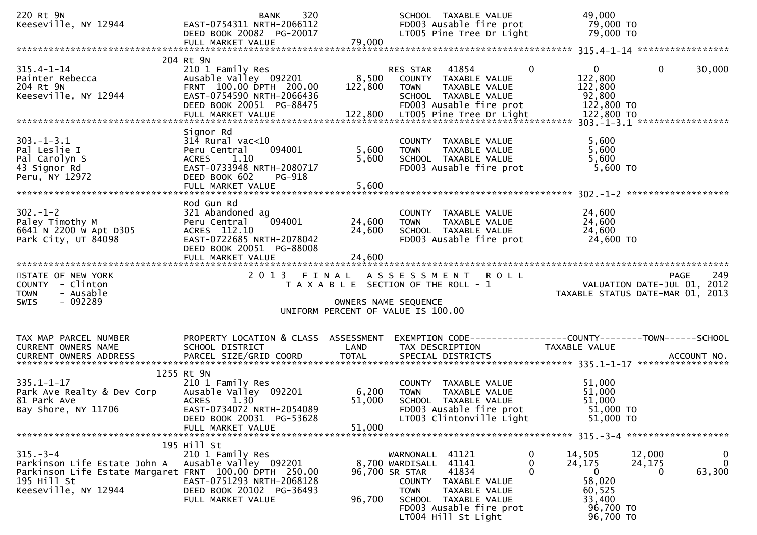| 220 Rt 9N<br>Keeseville, NY 12944                                                                                                               | 320<br><b>BANK</b><br>EAST-0754311 NRTH-2066112<br>DEED BOOK 20082 PG-20017                                                                                   |                               | SCHOOL TAXABLE VALUE<br>FD003 Ausable fire prot<br>LT005 Pine Tree Dr Light                                                                                                                   | 49,000<br>79,000 TO<br>79,000 TO                                                                                                                   |
|-------------------------------------------------------------------------------------------------------------------------------------------------|---------------------------------------------------------------------------------------------------------------------------------------------------------------|-------------------------------|-----------------------------------------------------------------------------------------------------------------------------------------------------------------------------------------------|----------------------------------------------------------------------------------------------------------------------------------------------------|
|                                                                                                                                                 |                                                                                                                                                               |                               |                                                                                                                                                                                               |                                                                                                                                                    |
| $315.4 - 1 - 14$<br>Painter Rebecca<br>204 Rt 9N<br>Keeseville, NY 12944                                                                        | 204 Rt 9N<br>210 1 Family Res<br>Ausable Valley 092201<br>FRNT 100.00 DPTH 200.00<br>EAST-0754590 NRTH-2066436<br>DEED BOOK 20051 PG-88475                    | 8,500<br>122,800              | RES STAR 41854<br>$\Omega$<br>COUNTY TAXABLE VALUE<br>TAXABLE VALUE<br><b>TOWN</b><br>SCHOOL TAXABLE VALUE<br>FD003 Ausable fire prot                                                         | $\overline{0}$<br>$\mathbf 0$<br>30,000<br>122,800<br>122,800<br>92,800<br>122,800 TO                                                              |
| $303 - 1 - 3.1$<br>Pal Leslie I<br>Pal Carolyn S<br>43 Signor Rd<br>Peru, NY 12972                                                              | Signor Rd<br>$314$ Rural vac< $10$<br>Peru Central<br>094001<br>1.10<br>ACRES<br>EAST-0733948 NRTH-2080717<br>DEED BOOK 602<br>PG-918<br>FULL MARKET VALUE    | 5,600<br>5,600<br>5,600       | COUNTY TAXABLE VALUE<br><b>TOWN</b><br>TAXABLE VALUE<br>SCHOOL TAXABLE VALUE<br>FD003 Ausable fire prot                                                                                       | 5,600<br>5,600<br>5,600<br>5,600 TO                                                                                                                |
| $302 - 1 - 2$<br>Paley Timothy M<br>6641 N 2200 W Apt D305<br>Park City, UT 84098                                                               | Rod Gun Rd<br>321 Abandoned ag<br>094001<br>Peru Central<br>ACRES 112.10<br>EAST-0722685 NRTH-2078042<br>DEED BOOK 20051 PG-88008<br>FULL MARKET VALUE        | 24,600<br>24,600<br>24,600    | COUNTY TAXABLE VALUE<br>TAXABLE VALUE<br><b>TOWN</b><br>SCHOOL TAXABLE VALUE<br>FD003 Ausable fire prot                                                                                       | 24,600<br>24,600<br>24,600<br>24,600 TO                                                                                                            |
| STATE OF NEW YORK<br>COUNTY - Clinton<br>- Ausable<br><b>TOWN</b><br>- 092289<br><b>SWIS</b>                                                    | 2 0 1 3                                                                                                                                                       | FINAL<br>OWNERS NAME SEQUENCE | ASSESSMENT ROLL<br>T A X A B L E SECTION OF THE ROLL - 1<br>UNIFORM PERCENT OF VALUE IS 100.00                                                                                                | 249<br><b>PAGE</b><br>VALUATION DATE-JUL 01, 2012<br>TAXABLE STATUS DATE-MAR 01, 2013                                                              |
| TAX MAP PARCEL NUMBER<br>CURRENT OWNERS NAME                                                                                                    | PROPERTY LOCATION & CLASS ASSESSMENT<br>SCHOOL DISTRICT                                                                                                       | LAND                          | TAX DESCRIPTION                                                                                                                                                                               | EXEMPTION CODE-----------------COUNTY-------TOWN------SCHOOL<br>TAXABLE VALUE                                                                      |
| $335.1 - 1 - 17$<br>Park Ave Realty & Dev Corp<br>81 Park Ave<br>Bay Shore, NY 11706                                                            | 1255 Rt 9N<br>210 1 Family Res<br>Ausable Valley 092201<br><b>ACRES</b><br>1.30<br>EAST-0734072 NRTH-2054089<br>DEED BOOK 20031 PG-53628<br>FULL MARKET VALUE | 6,200<br>51,000<br>51,000     | COUNTY TAXABLE VALUE<br><b>TOWN</b><br>TAXABLE VALUE<br>SCHOOL TAXABLE VALUE<br>FD003 Ausable fire prot<br>LT003 Clintonville Light                                                           | 51,000<br>51,000<br>51,000<br>51,000 TO<br>51,000 TO                                                                                               |
| $315. - 3 - 4$<br>Parkinson Life Estate John A<br>Parkinson Life Estate Margaret FRNT 100.00 DPTH 250.00<br>195 Hill St<br>Keeseville, NY 12944 | 195 Hill St<br>210 1 Family Res<br>Ausable Valley 092201<br>EAST-0751293 NRTH-2068128<br>DEED BOOK 20102 PG-36493<br>FULL MARKET VALUE                        | 96,700 SR STAR<br>96,700      | WARNONALL 41121<br>8,700 WARDISALL 41141<br>0<br>41834<br>0<br>COUNTY TAXABLE VALUE<br><b>TOWN</b><br>TAXABLE VALUE<br>SCHOOL TAXABLE VALUE<br>FD003 Ausable fire prot<br>LT004 Hill St Light | 14,505<br>12,000<br>0<br>$\overline{0}$<br>24,175<br>24,175<br>$\mathbf{0}$<br>63,300<br>0<br>58,020<br>60,525<br>33,400<br>96,700 TO<br>96,700 TO |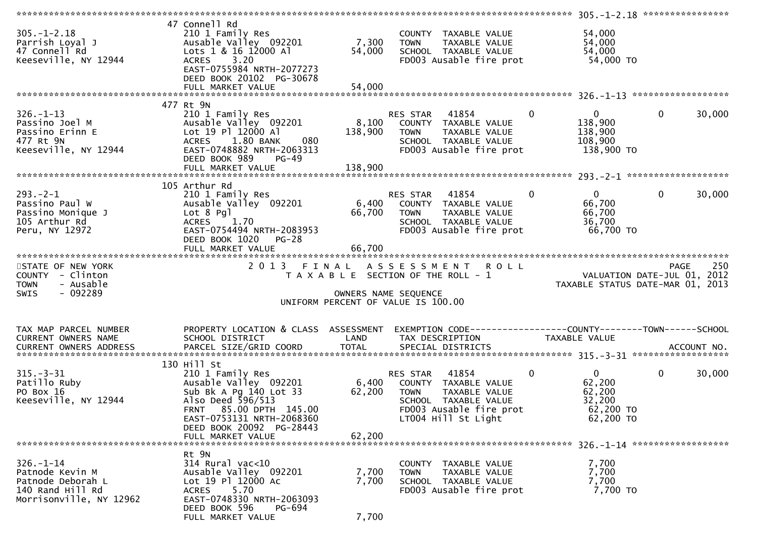|                                                                                                        |                                                                                                                                                                                                                     |                           |                                                                                                                                             | ****************** 305.-1-2.18 *****************                                      |                          |
|--------------------------------------------------------------------------------------------------------|---------------------------------------------------------------------------------------------------------------------------------------------------------------------------------------------------------------------|---------------------------|---------------------------------------------------------------------------------------------------------------------------------------------|---------------------------------------------------------------------------------------|--------------------------|
| $305. - 1 - 2.18$<br>Parrish Loyal J<br>47 Connell Rd<br>Keeseville, NY 12944                          | 47 Connell Rd<br>210 1 Family Res<br>Ausable Valley 092201<br>Lots 1 & 16 12000 Al<br>ACRES 3.20<br>EAST-0755984 NRTH-2077273<br>DEED BOOK 20102 PG-30678                                                           | 7,300<br>54,000           | COUNTY TAXABLE VALUE<br><b>TOWN</b><br>TAXABLE VALUE<br>SCHOOL TAXABLE VALUE<br>FD003 Ausable fire prot                                     | 54,000<br>54,000<br>54,000<br>54,000 TO                                               |                          |
|                                                                                                        | 477 Rt 9N                                                                                                                                                                                                           |                           |                                                                                                                                             |                                                                                       |                          |
| $326. - 1 - 13$<br>Passino Joel M<br>Passino Erinn E<br>477 Rt 9N<br>Keeseville, NY 12944              | 210 1 Family Res<br>Ausable Valley 092201<br>Lot 19 Pl 12000 Al<br>ACRES 1.80 BANK<br>080<br>EAST-0748882 NRTH-2063313<br>DEED BOOK 989<br><b>PG-49</b>                                                             | 138,900                   | $\sim$ 0<br>RES STAR 41854<br>8,100 COUNTY TAXABLE VALUE<br>TAXABLE VALUE<br><b>TOWN</b><br>SCHOOL TAXABLE VALUE<br>FD003 Ausable fire prot | $0 \qquad \qquad$<br>138,900<br>138,900<br>108,900<br>138,900 TO                      | $\mathbf 0$<br>30,000    |
|                                                                                                        |                                                                                                                                                                                                                     |                           |                                                                                                                                             |                                                                                       |                          |
| $293. - 2 - 1$<br>Passino Paul W<br>Passino Monique J<br>105 Arthur Rd<br>Peru, NY 12972               | 105 Arthur Rd<br>210 1 Family Res<br>Ausable Valley 092201<br>Lot 8 Pgl<br>ACRES 1.70<br>EAST-0754494 NRTH-2083953<br>DEED BOOK 1020 PG-28                                                                          | 66,700<br>66,700          | RES STAR 41854<br>6,400 COUNTY TAXABLE VALUE<br><b>TOWN</b><br>TAXABLE VALUE<br>SCHOOL TAXABLE VALUE<br>FD003 Ausable fire prot             | $\mathbf{0}$<br>$\mathbf{0}$<br>66,700<br>66,700<br>36,700<br>66,700 TO               | $\mathbf 0$<br>30,000    |
|                                                                                                        | FULL MARKET VALUE                                                                                                                                                                                                   |                           |                                                                                                                                             |                                                                                       |                          |
| STATE OF NEW YORK<br>COUNTY - Clinton<br>- Ausable<br><b>TOWN</b><br>$-092289$<br>SWIS                 | 2 0 1 3<br>FINAL                                                                                                                                                                                                    |                           | ASSESSMENT ROLL<br>T A X A B L E SECTION OF THE ROLL - 1<br>OWNERS NAME SEQUENCE<br>UNIFORM PERCENT OF VALUE IS 100.00                      | 749 , VALUATION DATE-JUL<br>2012 ,TAXABLE STATUS DATE-MAR 01                          | 250<br><b>PAGE</b>       |
| TAX MAP PARCEL NUMBER<br>CURRENT OWNERS NAME<br>CURRENT OWNERS ADDRESS                                 | PROPERTY LOCATION & CLASS ASSESSMENT<br>SCHOOL DISTRICT                                                                                                                                                             | LAND                      | EXEMPTION CODE-----------------COUNTY--------TOWN------SCHOOL<br>TAX DESCRIPTION                                                            | TAXABLE VALUE                                                                         |                          |
| $315. - 3 - 31$<br>Patillo Ruby<br>PO Box 16<br>Keeseville, NY 12944                                   | 130 Hill St<br>210 1 Family Res<br>Ausable Valley 092201<br>Sub Bk A Pg $140$ Lot $33$<br>Also Deed 596/513<br>FRNT 85.00 DPTH 145.00<br>EAST-0753131 NRTH-2068360<br>DEED BOOK 20092 PG-28443<br>FULL MARKET VALUE | 6,400<br>62,200<br>62,200 | RES STAR 41854<br>COUNTY TAXABLE VALUE<br>TAXABLE VALUE<br>TOWN<br>SCHOOL TAXABLE VALUE<br>FD003 Ausable fire prot<br>LT004 Hill St Light   | $\mathbf 0$<br>$\overline{0}$<br>62,200<br>62,200<br>32,200<br>62,200 TO<br>62,200 TO | $\overline{0}$<br>30,000 |
|                                                                                                        |                                                                                                                                                                                                                     |                           |                                                                                                                                             |                                                                                       |                          |
| $326. - 1 - 14$<br>Patnode Kevin M<br>Patnode Deborah L<br>140 Rand Hill Rd<br>Morrisonville, NY 12962 | Rt 9N<br>$314$ Rural vac<10<br>Ausable Valley 092201<br>Lot 19 Pl 12000 Ac<br>5.70<br><b>ACRES</b><br>EAST-0748330 NRTH-2063093<br>DEED BOOK 596<br>PG-694                                                          | 7,700<br>7,700            | COUNTY TAXABLE VALUE<br>TAXABLE VALUE<br><b>TOWN</b><br>SCHOOL TAXABLE VALUE<br>FD003 Ausable fire prot                                     | 7,700<br>7,700<br>7,700<br>7,700 TO                                                   |                          |
|                                                                                                        | FULL MARKET VALUE                                                                                                                                                                                                   | 7,700                     |                                                                                                                                             |                                                                                       |                          |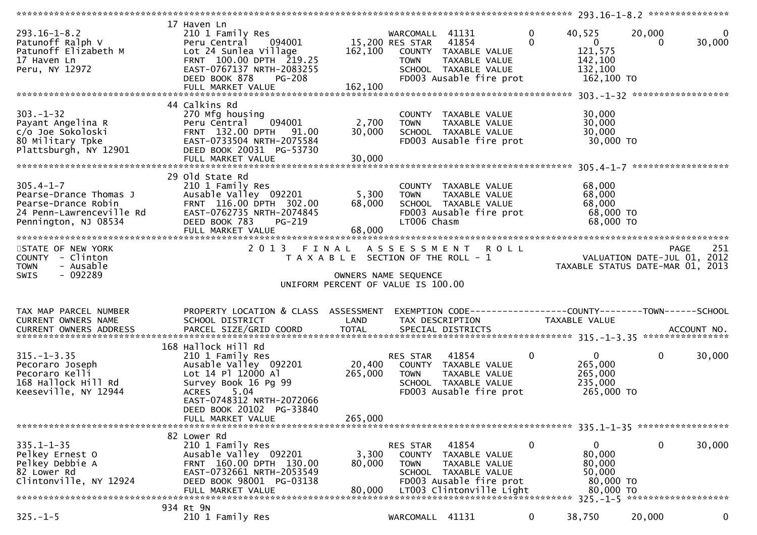| $293.16 - 1 - 8.2$<br>Patunoff Ralph V<br>Patunoff Elizabeth M<br>17 Haven Ln<br>Peru. NY 12972<br>Peru, NY 12972    | 17 Haven Ln<br>210 1 Family Res<br>Peru Central 094001<br>Lot 24 Sunlea Village<br>FRNT 100.00 DPTH 219.25<br>EAST-0767137 NRTH-2083255<br>DEED BOOK 878<br><b>PG-208</b>             | 15,200 RES STAR 41854                                      | WARCOMALL 41131<br><b>TOWN</b>    | 162,100 COUNTY TAXABLE VALUE<br>TAXABLE VALUE<br>SCHOOL TAXABLE VALUE<br>FD003 Ausable fire prot                       | $\mathbf{0}$ | 40,525<br>$\overline{0}$<br>121,575<br>142,100<br>132,100<br>162,100 TO  | 20,000      | $\Omega$<br>30,000                       |
|----------------------------------------------------------------------------------------------------------------------|---------------------------------------------------------------------------------------------------------------------------------------------------------------------------------------|------------------------------------------------------------|-----------------------------------|------------------------------------------------------------------------------------------------------------------------|--------------|--------------------------------------------------------------------------|-------------|------------------------------------------|
| $303 - 1 - 32$<br>Payant Angelina R<br>c/o Joe Sokoloski<br>80 Military Tpke<br>Plattsburgh, NY 12901                | 44 Calkins Rd<br>270 Mfg housing<br>Peru Central 094001<br>1132.00 DPTH 91.00 FRNT 132.00<br>EAST-0733504 NRTH-2075584<br>DEED BOOK 20031 PG-53730<br>DEED BOOK 20031 PG-53730        | 2,700<br>30,000                                            | <b>TOWN</b>                       | COUNTY TAXABLE VALUE<br>TAXABLE VALUE<br>SCHOOL TAXABLE VALUE<br>FD003 Ausable fire prot                               |              | 30,000<br>30,000<br>30,000<br>30,000 TO                                  |             |                                          |
| $305.4 - 1 - 7$<br>Pearse-Drance Thomas J<br>Pearse-Drance Robin<br>24 Penn-Lawrenceville Rd<br>Pennington, NJ 08534 | 29 old State Rd<br>210 1 Family Res<br>Ausable Valley 092201<br>FRNT 116.00 DPTH 302.00<br>EAST-0762735 NRTH-2074845<br>DEED BOOK 783<br>PG-219<br>FULL MARKET VALUE                  | 68,000<br>68,000                                           | 5,300 TOWN<br>LT006 Chasm         | COUNTY TAXABLE VALUE<br>TAXABLE VALUE<br>SCHOOL TAXABLE VALUE<br>FD003 Ausable fire prot                               |              | 68,000<br>68,000<br>68,000<br>68,000 TO<br>68,000 TO                     |             |                                          |
| STATE OF NEW YORK<br>COUNTY - Clinton                                                                                |                                                                                                                                                                                       | T A X A B L E SECTION OF THE ROLL - 1                      |                                   | 2013 FINAL ASSESSMENT ROLL                                                                                             |              | O L L<br>VALUATION DATE-JUL 01, 2012<br>TAXABLE STATUS DATE-MAR 01, 2013 |             | 251<br><b>PAGE</b>                       |
| - Ausable<br><b>TOWN</b><br>- 092289<br>SWIS                                                                         |                                                                                                                                                                                       | OWNERS NAME SEQUENCE<br>UNIFORM PERCENT OF VALUE IS 100.00 |                                   |                                                                                                                        |              |                                                                          |             |                                          |
| TAX MAP PARCEL NUMBER<br>CURRENT OWNERS NAME<br>CURRENT OWNERS ADDRESS                                               | PROPERTY LOCATION & CLASS ASSESSMENT<br>SCHOOL DISTRICT                                                                                                                               | LAND                                                       |                                   | EXEMPTION CODE-----------------COUNTY-------TOWN------SCHOOL<br>TAX DESCRIPTION                                        |              | TAXABLE VALUE                                                            |             |                                          |
| $315. - 1 - 3.35$<br>Pecoraro Joseph<br>Pecoraro Kelli<br>168 Hallock Hill Rd<br>Keeseville, NY 12944                | 168 Hallock Hill Rd<br>210 1 Family Res<br>Ausable Valley 092201<br>Lot 14 Pl 12000 Al<br>Survey Book 16 Pg 99<br>ACRES 5.04<br>EAST-0748312 NRTH-2072066<br>DEED BOOK 20102 PG-33840 | 20,400<br>265,000                                          | RES STAR 41854<br><b>TOWN</b>     | COUNTY TAXABLE VALUE<br>TAXABLE VALUE<br>SCHOOL TAXABLE VALUE<br>FD003 Ausable fire prot                               | $\mathbf{0}$ | $\mathbf{0}$<br>265,000<br>265,000<br>235,000<br>265,000 TO              | $\mathbf 0$ | 30,000                                   |
|                                                                                                                      | FULL MARKET VALUE                                                                                                                                                                     | 265,000                                                    |                                   |                                                                                                                        |              |                                                                          |             |                                          |
| $335.1 - 1 - 35$<br>Pelkey Ernest O<br>Pelkey Debbie A<br>82 Lower Rd<br>Clintonville, NY 12924                      | 82 Lower Rd<br>210 1 Family Res<br>Ausable Valley 092201<br>FRNT 160.00 DPTH 130.00<br>EAST-0732661 NRTH-2053549<br>DEED BOOK 98001 PG-03138<br>FULL MARKET VALUE                     | 3,300<br>80,000<br>80,000                                  | RES STAR<br>COUNTY<br><b>TOWN</b> | 41854<br>TAXABLE VALUE<br>TAXABLE VALUE<br>SCHOOL TAXABLE VALUE<br>FD003 Ausable fire prot<br>LT003 Clintonville Light | $\mathbf 0$  | 0<br>80,000<br>80,000<br>50,000<br>80,000 TO<br>80,000 TO                | 0           | 30,000                                   |
| $325. - 1 - 5$                                                                                                       | 934 Rt 9N<br>210 1 Family Res                                                                                                                                                         |                                                            | WARCOMALL 41131                   |                                                                                                                        | $\mathbf{0}$ | 38,750                                                                   | 20,000      | $325 - 1 - 5$ *********************<br>0 |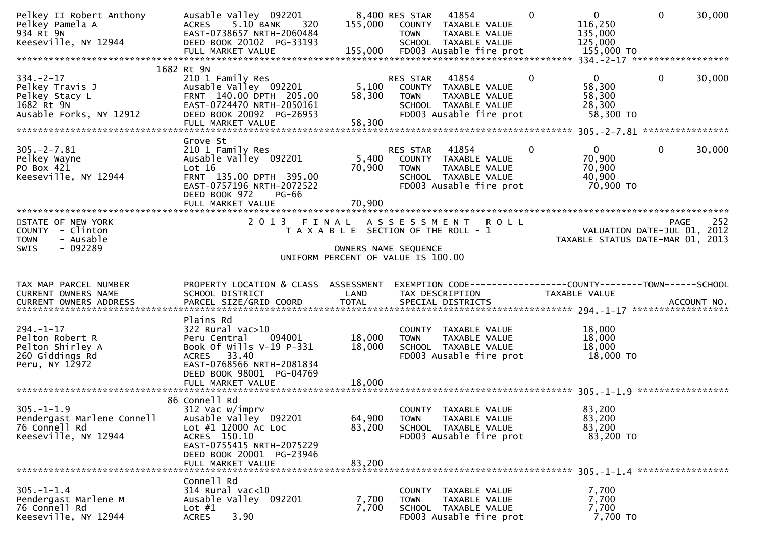| Pelkey II Robert Anthony<br>Pelkey Pamela A<br>934 Rt 9N<br>Keeseville, NY 12944             | Ausable Valley 092201<br>ACRES 5.10 BANK<br>320<br>EAST-0738657 NRTH-2060484<br>DEED BOOK 20102 PG-33193<br>FULL MARKET VALUE                                                  | 155,000                    | 8,400 RES STAR<br>41854<br>COUNTY TAXABLE VALUE<br>TAXABLE VALUE<br><b>TOWN</b><br>SCHOOL TAXABLE VALUE<br>155,000 FD003 Ausable fire prot | $\mathbf{0}$ | $\overline{0}$<br>116,250<br>135,000<br>125,000<br>155,000 TO   | $\mathbf 0$  | 30,000 |
|----------------------------------------------------------------------------------------------|--------------------------------------------------------------------------------------------------------------------------------------------------------------------------------|----------------------------|--------------------------------------------------------------------------------------------------------------------------------------------|--------------|-----------------------------------------------------------------|--------------|--------|
| $334. -2 - 17$<br>Pelkey Travis J<br>Pelkey Stacy L<br>1682 Rt 9N<br>Ausable Forks, NY 12912 | 1682 Rt 9N<br>210 1 Family Res<br>Ausable Valley 092201<br>FRNT 140.00 DPTH 205.00<br>EAST-0724470 NRTH-2050161<br>DEED BOOK 20092 PG-26953<br>FULL MARKET VALUE               | 5,100<br>58,300<br>58,300  | 41854<br>RES STAR<br>COUNTY TAXABLE VALUE<br><b>TOWN</b><br>TAXABLE VALUE<br>SCHOOL TAXABLE VALUE<br>FD003 Ausable fire prot               | 0            | $\mathbf{0}$<br>58,300<br>58,300<br>28,300<br>58,300 TO         | $\mathbf{0}$ | 30,000 |
| $305. -2 - 7.81$<br>Pelkey Wayne<br>PO Box 421<br>Keeseville, NY 12944                       | Grove St<br>210 1 Family Res<br>Ausable Valley 092201<br>Lot 16<br>FRNT 135.00 DPTH 395.00<br>EAST-0757196 NRTH-2072522<br>DEED BOOK 972<br><b>PG-66</b><br>FULL MARKET VALUE  | 5,400<br>70,900<br>70,900  | 41854<br>RES STAR<br>COUNTY TAXABLE VALUE<br><b>TOWN</b><br>TAXABLE VALUE<br>SCHOOL TAXABLE VALUE<br>FD003 Ausable fire prot               | 0            | $\mathbf 0$<br>70,900<br>70,900<br>40,900<br>70,900 TO          | $\mathbf 0$  | 30,000 |
| STATE OF NEW YORK<br>COUNTY - Clinton<br>- Ausable<br><b>TOWN</b><br>$-092289$<br>SWIS       | 2 0 1 3                                                                                                                                                                        | FINAL                      | <b>ROLL</b><br>A S S E S S M E N T<br>T A X A B L E SECTION OF THE ROLL - 1<br>OWNERS NAME SEQUENCE<br>UNIFORM PERCENT OF VALUE IS 100.00  |              | VALUATION DATE-JUL 01, 2012<br>TAXABLE STATUS DATE-MAR 01, 2013 | PAGE         | 252    |
| TAX MAP PARCEL NUMBER<br>CURRENT OWNERS NAME<br>CURRENT OWNERS ADDRESS                       | PROPERTY LOCATION & CLASS ASSESSMENT<br>SCHOOL DISTRICT                                                                                                                        | LAND                       | EXEMPTION CODE-----------------COUNTY-------TOWN------SCHOOL<br>TAX DESCRIPTION                                                            |              | TAXABLE VALUE                                                   |              |        |
| $294. - 1 - 17$<br>Pelton Robert R<br>Pelton Shirley A<br>260 Giddings Rd<br>Peru, NY 12972  | Plains Rd<br>$322$ Rural vac $>10$<br>Peru Central<br>094001<br>Book Of Wills V-19 P-331<br>ACRES 33.40<br>EAST-0768566 NRTH-2081834<br>DEED BOOK 98001 PG-04769               | 18,000<br>18,000           | COUNTY TAXABLE VALUE<br>TAXABLE VALUE<br><b>TOWN</b><br>SCHOOL TAXABLE VALUE<br>FD003 Ausable fire prot                                    |              | 18,000<br>18,000<br>18,000<br>18,000 TO                         |              |        |
| $305. -1 - 1.9$<br>Pendergast Marlene Connell<br>76 Connell Rd<br>Keeseville, NY 12944       | 86 Connell Rd<br>312 Vac w/imprv<br>Ausable Valley 092201<br>Lot #1 12000 Ac Loc<br>ACRES 150.10<br>EAST-0755415 NRTH-2075229<br>DEED BOOK 20001 PG-23946<br>FULL MARKET VALUE | 64,900<br>83,200<br>83,200 | COUNTY TAXABLE VALUE<br>TAXABLE VALUE<br><b>TOWN</b><br>SCHOOL TAXABLE VALUE<br>FD003 Ausable fire prot                                    |              | 83,200<br>83,200<br>83,200<br>83,200 TO                         |              |        |
| $305. - 1 - 1.4$<br>Pendergast Marlene M<br>76 Connell Rd<br>Keeseville, NY 12944            | Connell Rd<br>$314$ Rural vac<10<br>Ausable Valley 092201<br>Lot $#1$<br>3.90<br><b>ACRES</b>                                                                                  | 7,700<br>7,700             | COUNTY TAXABLE VALUE<br><b>TOWN</b><br>TAXABLE VALUE<br>SCHOOL TAXABLE VALUE<br>FD003 Ausable fire prot                                    |              | 7,700<br>7,700<br>7,700<br>7,700 TO                             |              |        |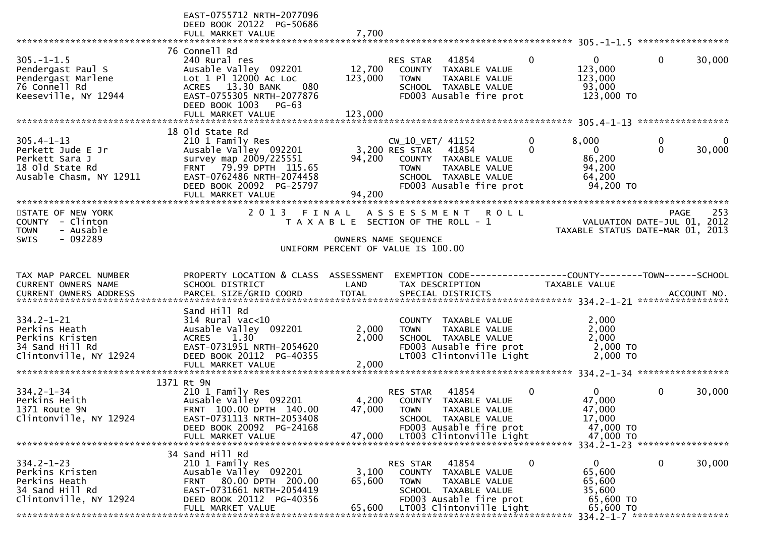|                                  | EAST-0755712 NRTH-2077096<br>DEED BOOK 20122 PG-50686 |                |                                                              |                          |                                  |                    |
|----------------------------------|-------------------------------------------------------|----------------|--------------------------------------------------------------|--------------------------|----------------------------------|--------------------|
|                                  | FULL MARKET VALUE                                     | 7,700          |                                                              |                          |                                  |                    |
|                                  |                                                       |                |                                                              |                          |                                  |                    |
| $305. -1 - 1.5$                  | 76 Connell Rd<br>240 Rural res                        |                | 41854<br>RES STAR                                            | $\Omega$                 | $\mathbf{0}$<br>$\overline{0}$   | 30,000             |
| Pendergast Paul S                | Ausable Valley 092201                                 | 12,700         | COUNTY TAXABLE VALUE                                         | 123,000                  |                                  |                    |
| Pendergast Marlene               | Lot 1 Pl 12000 Ac Loc                                 | 123,000        | TAXABLE VALUE<br><b>TOWN</b>                                 | 123,000                  |                                  |                    |
| 76 Connell Rd                    | ACRES 13.30 BANK<br>080                               |                | SCHOOL TAXABLE VALUE                                         |                          | 93,000                           |                    |
| Keeseville, NY 12944             | EAST-0755305 NRTH-2077876                             |                | FD003 Ausable fire prot                                      |                          | 123,000 TO                       |                    |
|                                  | DEED BOOK 1003 PG-63                                  |                |                                                              |                          |                                  |                    |
|                                  |                                                       |                |                                                              |                          |                                  |                    |
|                                  | 18 old state Rd                                       |                |                                                              |                          |                                  |                    |
| $305.4 - 1 - 13$                 | 210 1 Family Res                                      |                | CW_10_VET/ 41152                                             | 8,000<br>0               | 0                                | 0                  |
| Perkett Jude E Jr                | Ausable Valley 092201                                 |                | 3,200 RES STAR<br>41854                                      | $\Omega$<br>$\mathbf{0}$ | $\Omega$                         | 30,000             |
| Perkett Sara J                   | survey map 2009/225551                                | 94,200         | COUNTY TAXABLE VALUE                                         |                          | 86,200                           |                    |
| 18 old State Rd                  | FRNT 79.99 DPTH 115.65                                |                | TAXABLE VALUE<br><b>TOWN</b>                                 |                          | 94,200                           |                    |
| Ausable Chasm, NY 12911          | EAST-0762486 NRTH-2074458                             |                | SCHOOL TAXABLE VALUE<br>FD003 Ausable fire prot              |                          | 64,200<br>94,200 TO              |                    |
|                                  | DEED BOOK 20092 PG-25797<br>FULL MARKET VALUE         | 94,200         |                                                              |                          |                                  |                    |
| *************************        | ************************************                  |                |                                                              |                          |                                  |                    |
| STATE OF NEW YORK                | 2 0 1 3                                               | FINAL          | A S S E S S M E N T<br><b>ROLL</b>                           |                          |                                  | 253<br><b>PAGE</b> |
| COUNTY - Clinton                 |                                                       |                | T A X A B L E SECTION OF THE ROLL - 1                        |                          | VALUATION DATE-JUL 01, 2012      |                    |
| - Ausable<br><b>TOWN</b>         |                                                       |                |                                                              |                          | TAXABLE STATUS DATE-MAR 01, 2013 |                    |
| - 092289<br><b>SWIS</b>          |                                                       |                | OWNERS NAME SEQUENCE                                         |                          |                                  |                    |
|                                  |                                                       |                | UNIFORM PERCENT OF VALUE IS 100.00                           |                          |                                  |                    |
|                                  |                                                       |                |                                                              |                          |                                  |                    |
|                                  |                                                       |                |                                                              |                          |                                  |                    |
| TAX MAP PARCEL NUMBER            | PROPERTY LOCATION & CLASS ASSESSMENT                  |                | EXEMPTION CODE-----------------COUNTY-------TOWN------SCHOOL |                          |                                  |                    |
| CURRENT OWNERS NAME              | SCHOOL DISTRICT                                       | LAND           | TAX DESCRIPTION                                              | TAXABLE VALUE            |                                  |                    |
| CURRENT OWNERS ADDRESS           | PARCEL SIZE/GRID COORD                                | <b>TOTAL</b>   | SPECIAL DISTRICTS                                            |                          |                                  | ACCOUNT NO.        |
|                                  |                                                       |                |                                                              |                          |                                  |                    |
|                                  | Sand Hill Rd                                          |                |                                                              |                          |                                  |                    |
| $334.2 - 1 - 21$                 | $314$ Rural vac<10                                    |                | COUNTY TAXABLE VALUE<br><b>TOWN</b>                          |                          | 2,000                            |                    |
| Perkins Heath<br>Perkins Kristen | Ausable Valley 092201<br>1.30<br><b>ACRES</b>         | 2,000<br>2,000 | TAXABLE VALUE<br>SCHOOL TAXABLE VALUE                        |                          | 2,000<br>2,000                   |                    |
| 34 Sand Hill Rd                  | EAST-0731951 NRTH-2054620                             |                | FD003 Ausable fire prot                                      |                          | 2,000 TO                         |                    |
| Clintonville, NY 12924           | DEED BOOK 20112 PG-40355                              |                | LT003 Clintonville Light                                     |                          | 2,000 TO                         |                    |
|                                  | FULL MARKET VALUE                                     | 2,000          |                                                              |                          |                                  |                    |
|                                  |                                                       |                |                                                              |                          |                                  |                    |
| $334.2 - 1 - 34$                 | 1371 Rt 9N                                            |                | 41854<br>RES STAR                                            | 0<br>$\Omega$            | $\mathbf 0$                      |                    |
| Perkins Heith                    | 210 1 Family Res<br>Ausable Valley 092201             | 4,200          | TAXABLE VALUE<br>COUNTY                                      |                          | 47,000                           | 30,000             |
| 1371 Route 9N                    | FRNT 100.00 DPTH 140.00                               | 47,000         | <b>TOWN</b><br>TAXABLE VALUE                                 |                          | 47,000                           |                    |
| Clintonville, NY 12924           | EAST-0731113 NRTH-2053408                             |                | SCHOOL TAXABLE VALUE                                         |                          | 17,000                           |                    |
|                                  | DEED BOOK 20092 PG-24168                              |                | FD003 Ausable fire prot                                      |                          | 47,000 TO                        |                    |
|                                  | FULL MARKET VALUE                                     | 47.000         | LT003 Clintonville Light                                     |                          | 47,000 TO                        |                    |
|                                  |                                                       |                |                                                              |                          | 334.2-1-23 ******************    |                    |
| $334.2 - 1 - 23$                 | 34 Sand Hill Rd<br>210 1 Family Res                   |                | 41854<br>RES STAR                                            | 0<br>$\overline{0}$      | 0                                | 30,000             |
| Perkins Kristen                  | Ausable Valley 092201                                 | 3,100          | COUNTY<br>TAXABLE VALUE                                      |                          | 65,600                           |                    |
| Perkins Heath                    | 80.00 DPTH 200.00<br><b>FRNT</b>                      | 65,600         | <b>TOWN</b><br>TAXABLE VALUE                                 |                          | 65,600                           |                    |
| 34 Sand Hill Rd                  | EAST-0731661 NRTH-2054419                             |                | SCHOOL TAXABLE VALUE                                         |                          | 35,600                           |                    |
| Clintonville, NY 12924           | DEED BOOK 20112 PG-40356<br>FULL MARKET VALUE         | 65,600         | FD003 Ausable fire prot<br>LT003 Clintonville Light          |                          | 65,600 TO<br>65,600 TO           |                    |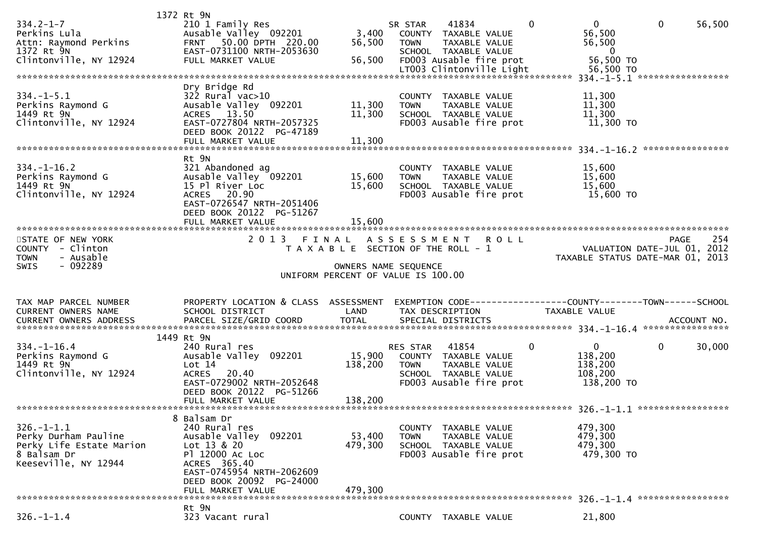|                          | 1372 Rt 9N                           |                                       |                     |                          |             |                                                              |              |        |
|--------------------------|--------------------------------------|---------------------------------------|---------------------|--------------------------|-------------|--------------------------------------------------------------|--------------|--------|
| $334.2 - 1 - 7$          | 210 1 Family Res                     |                                       | SR STAR             | 41834                    | 0           | $\overline{0}$                                               | $\mathbf{0}$ | 56,500 |
| Perkins Lula             | Ausable Valley 092201                | 3,400                                 |                     | COUNTY TAXABLE VALUE     |             | 56,500                                                       |              |        |
| Attn: Raymond Perkins    | FRNT 50.00 DPTH 220.00               | 56,500                                | <b>TOWN</b>         | TAXABLE VALUE            |             | 56,500                                                       |              |        |
| 1372 Rt 9N               | EAST-0731100 NRTH-2053630            |                                       |                     | SCHOOL TAXABLE VALUE     |             | $\overline{0}$                                               |              |        |
| Clintonville, NY 12924   | FULL MARKET VALUE                    | 56,500                                |                     | FD003 Ausable fire prot  |             | 56,500 TO                                                    |              |        |
|                          |                                      |                                       |                     | LT003 Clintonville Light |             | 56,500 TO                                                    |              |        |
|                          |                                      |                                       |                     |                          |             |                                                              |              |        |
|                          | Dry Bridge Rd                        |                                       |                     |                          |             |                                                              |              |        |
| $334. - 1 - 5.1$         | $322$ Rural vac $>10$                |                                       |                     | COUNTY TAXABLE VALUE     |             | 11,300                                                       |              |        |
| Perkins Raymond G        | Ausable Valley 092201                | 11,300                                | <b>TOWN</b>         | TAXABLE VALUE            |             | 11,300                                                       |              |        |
| 1449 Rt 9N               |                                      |                                       |                     |                          |             |                                                              |              |        |
|                          | ACRES 13.50                          | 11,300                                |                     | SCHOOL TAXABLE VALUE     |             | 11,300                                                       |              |        |
| Clintonville, NY 12924   | EAST-0727804 NRTH-2057325            |                                       |                     | FD003 Ausable fire prot  |             | 11,300 TO                                                    |              |        |
|                          | DEED BOOK 20122 PG-47189             |                                       |                     |                          |             |                                                              |              |        |
|                          | FULL MARKET VALUE                    | 11,300                                |                     |                          |             |                                                              |              |        |
|                          |                                      |                                       |                     |                          |             |                                                              |              |        |
|                          | Rt 9N                                |                                       |                     |                          |             |                                                              |              |        |
| $334. - 1 - 16.2$        | 321 Abandoned ag                     |                                       |                     | COUNTY TAXABLE VALUE     |             | 15,600                                                       |              |        |
| Perkins Raymond G        | Ausable Valley 092201                | 15,600                                | <b>TOWN</b>         | <b>TAXABLE VALUE</b>     |             | 15,600                                                       |              |        |
| 1449 Rt 9N               | 15 Pl River Loc                      | 15,600                                |                     | SCHOOL TAXABLE VALUE     |             | 15,600                                                       |              |        |
| Clintonville, NY 12924   | ACRES 20.90                          |                                       |                     | FD003 Ausable fire prot  |             | 15,600 TO                                                    |              |        |
|                          | EAST-0726547 NRTH-2051406            |                                       |                     |                          |             |                                                              |              |        |
|                          | DEED BOOK 20122 PG-51267             |                                       |                     |                          |             |                                                              |              |        |
|                          | FULL MARKET VALUE                    | 15,600                                |                     |                          |             |                                                              |              |        |
|                          |                                      |                                       |                     |                          |             |                                                              |              |        |
| STATE OF NEW YORK        | 2 0 1 3                              | FINAL                                 | A S S E S S M E N T |                          | <b>ROLL</b> |                                                              | <b>PAGE</b>  | 254    |
| COUNTY - Clinton         |                                      | T A X A B L E SECTION OF THE ROLL - 1 |                     |                          |             | VALUATION DATE-JUL 01, 2012                                  |              |        |
| - Ausable<br><b>TOWN</b> |                                      |                                       |                     |                          |             | TAXABLE STATUS DATE-MAR 01, 2013                             |              |        |
|                          |                                      |                                       |                     |                          |             |                                                              |              |        |
|                          |                                      |                                       |                     |                          |             |                                                              |              |        |
| - 092289<br>SWIS         |                                      | OWNERS NAME SEQUENCE                  |                     |                          |             |                                                              |              |        |
|                          |                                      | UNIFORM PERCENT OF VALUE IS 100.00    |                     |                          |             |                                                              |              |        |
|                          |                                      |                                       |                     |                          |             |                                                              |              |        |
|                          |                                      |                                       |                     |                          |             |                                                              |              |        |
| TAX MAP PARCEL NUMBER    | PROPERTY LOCATION & CLASS ASSESSMENT |                                       |                     |                          |             | EXEMPTION CODE-----------------COUNTY-------TOWN------SCHOOL |              |        |
| CURRENT OWNERS NAME      | SCHOOL DISTRICT                      | LAND                                  |                     | TAX DESCRIPTION          |             | TAXABLE VALUE                                                |              |        |
| CURRENT OWNERS ADDRESS   |                                      |                                       |                     |                          |             |                                                              |              |        |
|                          |                                      |                                       |                     |                          |             |                                                              |              |        |
|                          | 1449 Rt 9N                           |                                       |                     |                          |             |                                                              |              |        |
| $334. - 1 - 16.4$        | 240 Rural res                        |                                       | RES STAR            | 41854                    | $\mathbf 0$ | $\mathbf{0}$                                                 | $\mathbf 0$  | 30,000 |
| Perkins Raymond G        | Ausable Valley 092201                | 15,900                                |                     | COUNTY TAXABLE VALUE     |             | 138,200                                                      |              |        |
| 1449 Rt 9N               | Lot $14$                             | 138,200                               | <b>TOWN</b>         | TAXABLE VALUE            |             | 138,200                                                      |              |        |
| Clintonville, NY 12924   | <b>ACRES</b><br>20.40                |                                       |                     | SCHOOL TAXABLE VALUE     |             | 108,200                                                      |              |        |
|                          | EAST-0729002 NRTH-2052648            |                                       |                     | FD003 Ausable fire prot  |             | 138,200 TO                                                   |              |        |
|                          | DEED BOOK 20122 PG-51266             |                                       |                     |                          |             |                                                              |              |        |
|                          | FULL MARKET VALUE                    | 138,200                               |                     |                          |             |                                                              |              |        |
|                          |                                      |                                       |                     |                          |             |                                                              |              |        |
|                          | 8 Balsam Dr                          |                                       |                     |                          |             |                                                              |              |        |
| $326. - 1 - 1.1$         | 240 Rural res                        |                                       |                     | COUNTY TAXABLE VALUE     |             | 479,300                                                      |              |        |
| Perky Durham Pauline     | Ausable Valley 092201                | 53,400                                | <b>TOWN</b>         | TAXABLE VALUE            |             | 479,300                                                      |              |        |
| Perky Life Estate Marion | Lot 13 & 20                          | 479,300                               |                     | SCHOOL TAXABLE VALUE     |             | 479,300                                                      |              |        |
| 8 Balsam Dr              | P1 12000 AC LOC                      |                                       |                     | FD003 Ausable fire prot  |             | 479,300 TO                                                   |              |        |
| Keeseville, NY 12944     | ACRES 365.40                         |                                       |                     |                          |             |                                                              |              |        |
|                          | EAST-0745954 NRTH-2062609            |                                       |                     |                          |             |                                                              |              |        |
|                          | DEED BOOK 20092 PG-24000             |                                       |                     |                          |             |                                                              |              |        |
|                          | FULL MARKET VALUE                    | 479,300                               |                     |                          |             |                                                              |              |        |
|                          |                                      |                                       |                     |                          |             |                                                              |              |        |
|                          | Rt 9N                                |                                       |                     |                          |             |                                                              |              |        |
| $326. - 1 - 1.4$         | 323 Vacant rural                     |                                       |                     | COUNTY TAXABLE VALUE     |             | 21,800                                                       |              |        |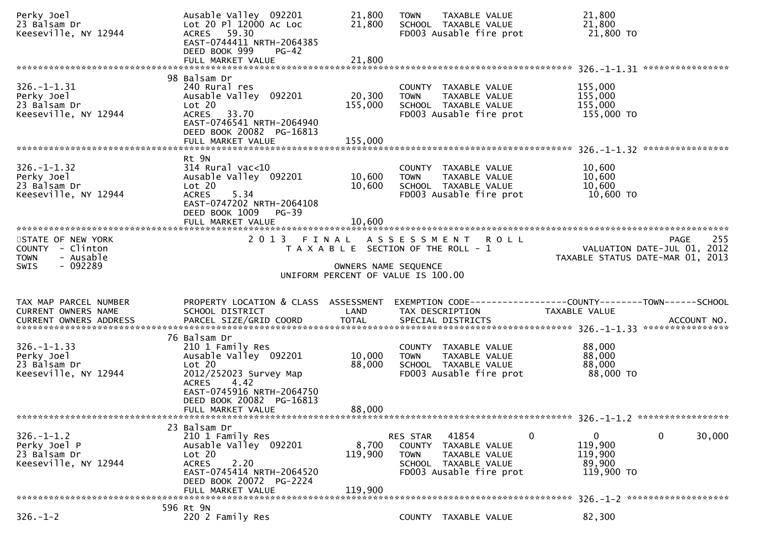| Perky Joel<br>23 Balsam Dr<br>Keeseville, NY 12944                                     | Ausable Valley 092201<br>Lot 20 Pl 12000 Ac Loc<br>ACRES 59.30<br>EAST-0744411 NRTH-2064385<br>DEED BOOK 999<br>$PG-42$                                                  | 21,800<br>21,800             | TAXABLE VALUE<br><b>TOWN</b><br>SCHOOL TAXABLE VALUE<br>FD003 Ausable fire prot                                              | 21,800<br>21,800<br>21,800 TO                                                          |                       |
|----------------------------------------------------------------------------------------|--------------------------------------------------------------------------------------------------------------------------------------------------------------------------|------------------------------|------------------------------------------------------------------------------------------------------------------------------|----------------------------------------------------------------------------------------|-----------------------|
|                                                                                        |                                                                                                                                                                          |                              |                                                                                                                              |                                                                                        |                       |
| $326. - 1 - 1.31$<br>Perky Joel<br>23 Balsam Dr<br>Keeseville, NY 12944                | 98 Balsam Dr<br>240 Rural res<br>Ausable Valley 092201<br>Lot 20<br>ACRES 33.70<br>EAST-0746541 NRTH-2064940<br>DEED BOOK 20082 PG-16813<br>FULL MARKET VALUE            | 20,300<br>155,000<br>155,000 | COUNTY TAXABLE VALUE<br>TAXABLE VALUE<br><b>TOWN</b><br>SCHOOL TAXABLE VALUE<br>FD003 Ausable fire prot                      | 155,000<br>155,000<br>155,000<br>155,000 TO                                            |                       |
|                                                                                        |                                                                                                                                                                          |                              |                                                                                                                              |                                                                                        |                       |
| $326. - 1 - 1.32$<br>Perky Joel<br>23 Balsam Dr<br>Keeseville, NY 12944                | Rt 9N<br>$314$ Rural vac<10<br>Ausable Valley 092201<br>Lot 20<br><b>ACRES</b><br>5.34<br>EAST-0747202 NRTH-2064108<br>DEED BOOK 1009<br>PG-39                           | 10,600<br>10,600             | COUNTY TAXABLE VALUE<br><b>TOWN</b><br>TAXABLE VALUE<br>SCHOOL TAXABLE VALUE<br>FD003 Ausable fire prot                      | 10,600<br>10,600<br>10,600<br>10,600 TO                                                |                       |
|                                                                                        | FULL MARKET VALUE                                                                                                                                                        | 10,600                       |                                                                                                                              |                                                                                        |                       |
| STATE OF NEW YORK<br>COUNTY - Clinton<br>- Ausable<br><b>TOWN</b><br>$-092289$<br>SWIS |                                                                                                                                                                          | OWNERS NAME SEQUENCE         | 2013 FINAL ASSESSMENT ROLL<br>T A X A B L E SECTION OF THE ROLL - 1                                                          | VALUATION DATE-JUL 01, 2012<br>TAXABLE STATUS DATE-MAR 01, 2013                        | 255<br>PAGE           |
|                                                                                        |                                                                                                                                                                          |                              | UNIFORM PERCENT OF VALUE IS 100.00                                                                                           |                                                                                        |                       |
|                                                                                        |                                                                                                                                                                          |                              |                                                                                                                              |                                                                                        |                       |
| TAX MAP PARCEL NUMBER<br>CURRENT OWNERS NAME                                           | PROPERTY LOCATION & CLASS ASSESSMENT<br>SCHOOL DISTRICT                                                                                                                  | LAND                         | TAX DESCRIPTION                                                                                                              | EXEMPTION CODE------------------COUNTY--------TOWN------SCHOOL<br><b>TAXABLE VALUE</b> |                       |
| $326. - 1 - 1.33$<br>Perky Joel<br>23 Balsam Dr<br>Keeseville, NY 12944                | 76 Balsam Dr<br>210 1 Family Res<br>Ausable Valley 092201<br>Lot 20<br>2012/252023 Survey Map                                                                            | 10,000<br>88,000             | COUNTY TAXABLE VALUE<br>TAXABLE VALUE<br><b>TOWN</b><br>SCHOOL TAXABLE VALUE                                                 | 88,000<br>88,000<br>88,000<br>88,000 TO                                                |                       |
|                                                                                        | <b>ACRES</b><br>4.42<br>EAST-0745916 NRTH-2064750<br>DEED BOOK 20082 PG-16813                                                                                            |                              | FD003 Ausable fire prot                                                                                                      |                                                                                        |                       |
|                                                                                        | FULL MARKET VALUE                                                                                                                                                        | 88,000                       |                                                                                                                              |                                                                                        |                       |
| $326. - 1 - 1.2$<br>Perky Joel P<br>23 Balsam Dr<br>Keeseville, NY 12944               | 23 Balsam Dr<br>210 1 Family Res<br>Ausable Valley 092201<br>Lot 20<br><b>ACRES</b><br>2.20<br>EAST-0745414 NRTH-2064520<br>DEED BOOK 20072 PG-2224<br>FULL MARKET VALUE | 8,700<br>119,900<br>119,900  | 41854<br>RES STAR<br>COUNTY TAXABLE VALUE<br>TAXABLE VALUE<br><b>TOWN</b><br>SCHOOL TAXABLE VALUE<br>FD003 Ausable fire prot | $\mathbf{0}$<br>0<br>119,900<br>119,900<br>89,900<br>119,900 TO                        | $\mathbf 0$<br>30,000 |
|                                                                                        | 596 Rt 9N                                                                                                                                                                |                              |                                                                                                                              |                                                                                        |                       |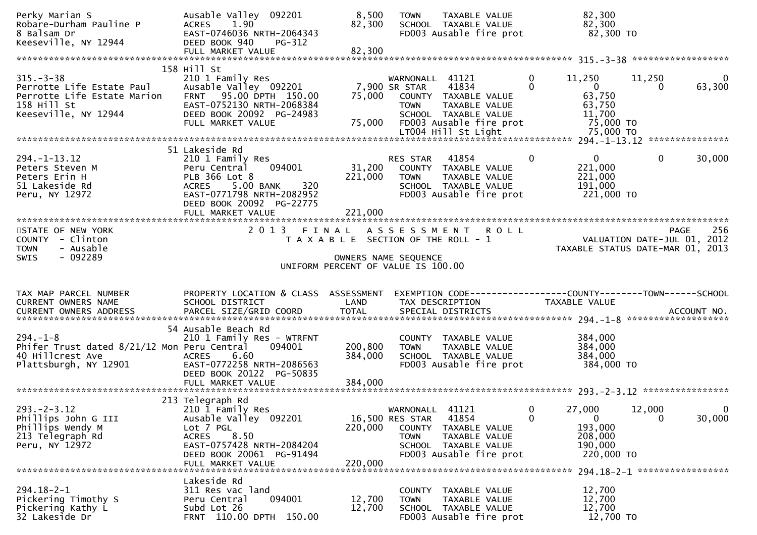| Perky Marian S<br>Robare-Durham Pauline P<br>8 Balsam Dr<br>Keeseville, NY 12944                                   | Ausable Valley 092201<br><b>ACRES</b><br>1.90<br>EAST-0746036 NRTH-2064343<br>DEED BOOK 940<br>PG-312<br>FULL MARKET VALUE                                                                      | 8,500<br>82,300<br>82,300    | TAXABLE VALUE<br><b>TOWN</b><br>SCHOOL TAXABLE VALUE<br>FD003 Ausable fire prot                                                                      |               | 82,300<br>82,300<br>82,300 TO                                     |                    |                        |
|--------------------------------------------------------------------------------------------------------------------|-------------------------------------------------------------------------------------------------------------------------------------------------------------------------------------------------|------------------------------|------------------------------------------------------------------------------------------------------------------------------------------------------|---------------|-------------------------------------------------------------------|--------------------|------------------------|
|                                                                                                                    |                                                                                                                                                                                                 |                              |                                                                                                                                                      |               |                                                                   |                    |                        |
| $315. - 3 - 38$<br>Perrotte Life Estate Paul<br>Perrotte Life Estate Marion<br>158 Hill St<br>Keeseville, NY 12944 | 158 Hill St<br>210 1 Family Res<br>Ausable Valley 092201<br>FRNT 95.00 DPTH 150.00<br>EAST-0752130 NRTH-2068384<br>DEED BOOK 20092 PG-24983<br>FULL MARKET VALUE                                | 75,000<br>75,000             | WARNONALL 41121<br>7,900 SR STAR<br>41834<br>COUNTY TAXABLE VALUE<br><b>TOWN</b><br>TAXABLE VALUE<br>SCHOOL TAXABLE VALUE<br>FD003 Ausable fire prot | 0<br>$\Omega$ | 11,250<br>$\mathbf{0}$<br>63,750<br>63,750<br>11,700<br>75,000 TO | 11,250<br>$\Omega$ | 0<br>63,300            |
|                                                                                                                    |                                                                                                                                                                                                 |                              |                                                                                                                                                      |               |                                                                   |                    |                        |
| $294. -1 - 13.12$<br>Peters Steven M<br>Peters Erin H<br>51 Lakeside Rd<br>Peru, NY 12972                          | 51 Lakeside Rd<br>210 1 Family Res<br>094001<br>Peru Central<br>PLB 366 Lot 8<br>320<br><b>ACRES</b><br>5.00 BANK<br>EAST-0771798 NRTH-2082952<br>DEED BOOK 20092 PG-22775<br>FULL MARKET VALUE | 31,200<br>221,000<br>221,000 | 41854<br>RES STAR<br>COUNTY TAXABLE VALUE<br><b>TOWN</b><br>TAXABLE VALUE<br>SCHOOL TAXABLE VALUE<br>FD003 Ausable fire prot                         | 0             | $\mathbf{0}$<br>221,000<br>221,000<br>191,000<br>221,000 TO       | $\mathbf{0}$       | 30,000                 |
|                                                                                                                    |                                                                                                                                                                                                 |                              |                                                                                                                                                      |               |                                                                   |                    |                        |
| STATE OF NEW YORK<br>COUNTY - Clinton<br><b>TOWN</b><br>- Ausable<br>$-092289$<br><b>SWIS</b>                      |                                                                                                                                                                                                 |                              | 2013 FINAL ASSESSMENT ROLL<br>T A X A B L E SECTION OF THE ROLL - 1<br>OWNERS NAME SEQUENCE<br>UNIFORM PERCENT OF VALUE IS 100.00                    |               | VALUATION DATE-JUL 01, 2012<br>TAXABLE STATUS DATE-MAR 01, 2013   |                    | 256<br>PAGE            |
|                                                                                                                    |                                                                                                                                                                                                 |                              |                                                                                                                                                      |               |                                                                   |                    |                        |
| TAX MAP PARCEL NUMBER<br>CURRENT OWNERS NAME                                                                       | PROPERTY LOCATION & CLASS ASSESSMENT<br>SCHOOL DISTRICT                                                                                                                                         | LAND                         | TAX DESCRIPTION                                                                                                                                      |               | TAXABLE VALUE                                                     |                    |                        |
| $294. -1 - 8$<br>Phifer Trust dated 8/21/12 Mon Peru Central<br>40 Hillcrest Ave<br>Plattsburgh, NY 12901          | 54 Ausable Beach Rd<br>210 1 Family Res - WTRFNT<br>094001<br>6.60<br><b>ACRES</b><br>EAST-0772258 NRTH-2086563<br>DEED BOOK 20122 PG-50835                                                     | 200,800<br>384,000           | COUNTY TAXABLE VALUE<br>TAXABLE VALUE<br><b>TOWN</b><br>SCHOOL TAXABLE VALUE<br>FD003 Ausable fire prot                                              |               | 384,000<br>384,000<br>384,000<br>384,000 TO                       |                    |                        |
|                                                                                                                    |                                                                                                                                                                                                 |                              |                                                                                                                                                      |               |                                                                   |                    |                        |
| $293. - 2 - 3.12$<br>Phillips John G III                                                                           | 213 Telegraph Rd<br>210 1 Family Res                                                                                                                                                            |                              | WARNONALL 41121                                                                                                                                      | 0             | 27,000                                                            | 12,000             | $\mathbf{0}$<br>30,000 |
| Phillips Wendy M<br>213 Telegraph Rd<br>Peru, NY 12972                                                             | Ausable Valley 092201<br>Lot 7 PGL<br><b>ACRES</b><br>8.50<br>EAST-0757428 NRTH-2084204<br>DEED BOOK 20061 PG-91494                                                                             | 220,000                      | 16,500 RES STAR<br>41854<br>COUNTY<br>TAXABLE VALUE<br><b>TOWN</b><br>TAXABLE VALUE<br>SCHOOL TAXABLE VALUE<br>FD003 Ausable fire prot               | 0             | $\mathbf{0}$<br>193,000<br>208,000<br>190,000<br>220,000 TO       | $\mathbf{0}$       |                        |
|                                                                                                                    | FULL MARKET VALUE<br>Lakeside Rd                                                                                                                                                                | 220,000                      |                                                                                                                                                      |               |                                                                   |                    |                        |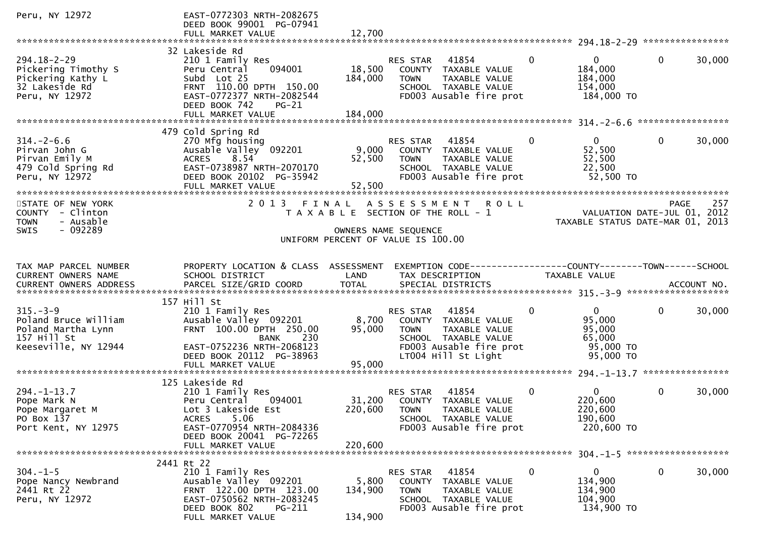| Peru, NY 12972                                                                                      | EAST-0772303 NRTH-2082675<br>DEED BOOK 99001 PG-07941<br>FULL MARKET VALUE                                                                                                        | 12,700                      |                                                                                                                                                  |                |                                                                      |              |        |
|-----------------------------------------------------------------------------------------------------|-----------------------------------------------------------------------------------------------------------------------------------------------------------------------------------|-----------------------------|--------------------------------------------------------------------------------------------------------------------------------------------------|----------------|----------------------------------------------------------------------|--------------|--------|
|                                                                                                     |                                                                                                                                                                                   |                             |                                                                                                                                                  |                |                                                                      |              |        |
| 294.18-2-29<br>Pickering Timothy S<br>Pickering Kathy L<br>32 Lakeside Rd<br>Peru, NY 12972         | 32 Lakeside Rd<br>210 1 Family Res<br>094001<br>Peru Central<br>Subd Lot 25<br>FRNT 110.00 DPTH 150.00<br>EAST-0772377 NRTH-2082544<br>DEED BOOK 742<br>$PG-21$                   | 18,500<br>184,000           | 41854<br>RES STAR<br>COUNTY TAXABLE VALUE<br>TAXABLE VALUE<br><b>TOWN</b><br>SCHOOL TAXABLE VALUE<br>FD003 Ausable fire prot                     | $\mathbf{0}$   | $\mathbf{0}$<br>184,000<br>184,000<br>154,000<br>184,000 TO          | $\Omega$     | 30,000 |
|                                                                                                     |                                                                                                                                                                                   |                             |                                                                                                                                                  |                |                                                                      |              |        |
| $314. - 2 - 6.6$<br>Pirvan John G<br>Pirvan Emily M<br>479 Cold Spring Rd<br>Peru, NY 12972         | 479 Cold Spring Rd<br>270 Mfg housing<br>Ausable Valley <sup>o 092201</sup><br>8.54<br><b>ACRES</b><br>EAST-0738987 NRTH-2070170<br>DEED BOOK 20102 PG-35942<br>FULL MARKET VALUE | 52,500<br>52,500            | RES STAR<br>41854<br>9,000 COUNTY TAXABLE VALUE<br><b>TOWN</b><br>TAXABLE VALUE<br>SCHOOL TAXABLE VALUE<br>FD003 Ausable fire prot               | $\mathbf{0}$   | $\mathbf{0}$<br>52,500<br>52,500<br>22,500<br>52,500 TO              | $\mathbf{0}$ | 30,000 |
| STATE OF NEW YORK<br>COUNTY - Clinton<br><b>TOWN</b><br>- Ausable                                   | 2 0 1 3                                                                                                                                                                           | FINAL                       | A S S E S S M E N T<br><b>ROLL</b><br>T A X A B L E SECTION OF THE ROLL - 1                                                                      |                | VALUATION DATE-JUL 01, 2012<br>TAXABLE STATUS DATE-MAR 01, 2013      | PAGE         | 257    |
| - 092289<br><b>SWIS</b>                                                                             |                                                                                                                                                                                   |                             | OWNERS NAME SEQUENCE<br>UNIFORM PERCENT OF VALUE IS 100.00                                                                                       |                |                                                                      |              |        |
| TAX MAP PARCEL NUMBER<br>CURRENT OWNERS NAME                                                        | PROPERTY LOCATION & CLASS ASSESSMENT<br>SCHOOL DISTRICT                                                                                                                           | LAND                        | EXEMPTION CODE-----------------COUNTY-------TOWN------SCHOOL<br>TAX DESCRIPTION                                                                  |                | TAXABLE VALUE                                                        |              |        |
|                                                                                                     | 157 Hill St                                                                                                                                                                       |                             |                                                                                                                                                  |                |                                                                      |              |        |
| $315. - 3 - 9$<br>Poland Bruce William<br>Poland Martha Lynn<br>157 Hill St<br>Keeseville, NY 12944 | 210 1 Family Res<br>Ausable Valley 092201<br>FRNT 100.00 DPTH 250.00<br><b>BANK</b><br>230<br>EAST-0752236 NRTH-2068123<br>DEED BOOK 20112 PG-38963<br>FULL MARKET VALUE          | 8,700<br>95,000<br>95,000   | RES STAR 41854<br>COUNTY TAXABLE VALUE<br><b>TOWN</b><br>TAXABLE VALUE<br>SCHOOL TAXABLE VALUE<br>FD003 Ausable fire prot<br>LT004 Hill St Light | $\mathbf{0}$   | $\mathbf{0}$<br>95,000<br>95,000<br>65,000<br>95,000 TO<br>95,000 TO | $\mathbf 0$  | 30,000 |
|                                                                                                     |                                                                                                                                                                                   |                             |                                                                                                                                                  |                |                                                                      |              |        |
| $294. -1 - 13.7$<br>Pope Mark N<br>Pope Margaret M<br>PO Box 137<br>Port Kent, NY 12975             | 125 Lakeside Rd<br>210 1 Family Res<br>094001<br>Peru Central<br>Lot 3 Lakeside Est<br>5.06<br>ACRES<br>EAST-0770954 NRTH-2084336<br>DEED BOOK 20041 PG-72265                     | 220,600                     | 41854<br><b>RES STAR</b><br>31,200 COUNTY TAXABLE VALUE<br><b>TOWN</b><br>TAXABLE VALUE<br>SCHOOL TAXABLE VALUE<br>FD003 Ausable fire prot       | $\mathbf{0}$   | $\overline{0}$<br>220,600<br>220,600<br>190,600<br>220,600 TO        | $\mathbf 0$  | 30,000 |
|                                                                                                     | FULL MARKET VALUE                                                                                                                                                                 | 220,600                     |                                                                                                                                                  |                |                                                                      |              |        |
| $304. -1 - 5$<br>Pope Nancy Newbrand<br>2441 Rt 22<br>Peru, NY 12972                                | 2441 Rt 22<br>210 1 Family Res<br>Ausable Valley 092201<br>FRNT 122.00 DPTH 123.00<br>EAST-0750562 NRTH-2083245<br>DEED BOOK 802<br><b>PG-211</b><br>FULL MARKET VALUE            | 5,800<br>134,900<br>134,900 | RES STAR<br>41854<br>COUNTY<br>TAXABLE VALUE<br>TAXABLE VALUE<br><b>TOWN</b><br>SCHOOL TAXABLE VALUE<br>FD003 Ausable fire prot                  | $\overline{0}$ | $\overline{0}$<br>134,900<br>134,900<br>104,900<br>134,900 TO        | $\mathbf 0$  | 30,000 |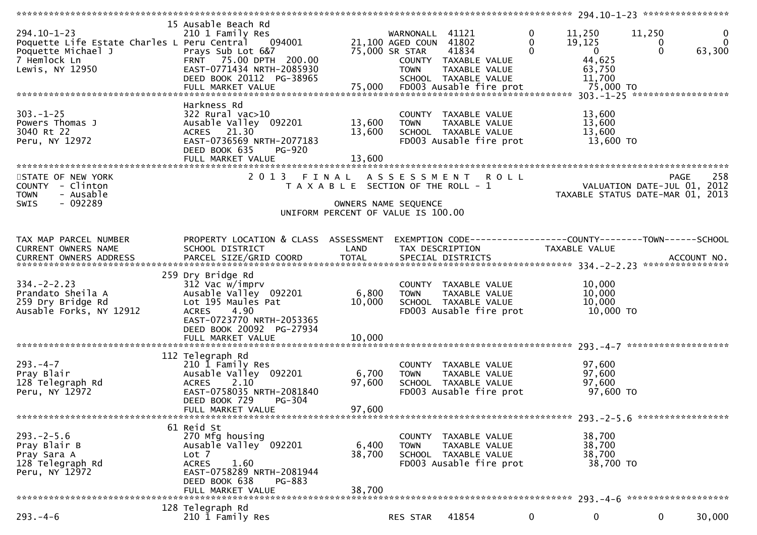|                                                                                                                           | *********************                                                                                                                                                                          |                                                                             |                                                                            |                                                                                                   |                           | ****************** 294.10-1-23 *****************                                                                    |                         |                                   |
|---------------------------------------------------------------------------------------------------------------------------|------------------------------------------------------------------------------------------------------------------------------------------------------------------------------------------------|-----------------------------------------------------------------------------|----------------------------------------------------------------------------|---------------------------------------------------------------------------------------------------|---------------------------|---------------------------------------------------------------------------------------------------------------------|-------------------------|-----------------------------------|
| $294.10 - 1 - 23$<br>Poquette Life Estate Charles L Peru Central<br>Poquette Michael J<br>7 Hemlock Ln<br>Lewis, NY 12950 | 15 Ausable Beach Rd<br>210 1 Family Res<br>094001<br>Prays Sub Lot 6&7<br>FRNT 75.00 DPTH 200.00<br>EAST-0771434 NRTH-2085930<br>DEED BOOK 20112 PG-38965<br>FULL MARKET VALUE                 | 75,000                                                                      | WARNONALL 41121<br>21,100 AGED COUN 41802<br>75,000 SR STAR<br><b>TOWN</b> | 41834<br>COUNTY TAXABLE VALUE<br>TAXABLE VALUE<br>SCHOOL TAXABLE VALUE<br>FD003 Ausable fire prot | $\bf{0}$<br>0<br>$\Omega$ | 11,250<br>19,125<br>$\overline{0}$<br>44,625<br>63,750<br>11,700<br>75,000 TO<br>$303 - 1 - 25$ ******************* | 11,250<br>0<br>$\Omega$ | $\mathbf 0$<br>$\Omega$<br>63,300 |
| $303. - 1 - 25$<br>Powers Thomas J<br>3040 Rt 22<br>Peru, NY 12972                                                        | Harkness Rd<br>$322$ Rural vac $>10$<br>Ausable Valley 092201<br>ACRES 21.30<br>EAST-0736569 NRTH-2077183<br>DEED BOOK 635<br><b>PG-920</b><br>FULL MARKET VALUE                               | 13,600<br>13,600<br>13,600                                                  | <b>TOWN</b>                                                                | COUNTY TAXABLE VALUE<br>TAXABLE VALUE<br>SCHOOL TAXABLE VALUE<br>FD003 Ausable fire prot          |                           | 13,600<br>13,600<br>13,600<br>13,600 TO                                                                             |                         |                                   |
| STATE OF NEW YORK<br>COUNTY - Clinton<br>- Ausable<br><b>TOWN</b><br>$-092289$<br><b>SWIS</b>                             |                                                                                                                                                                                                | T A X A B L E SECTION OF THE ROLL - 1<br>UNIFORM PERCENT OF VALUE IS 100.00 | OWNERS NAME SEQUENCE                                                       | 2013 FINAL ASSESSMENT ROLL                                                                        |                           | VALUATION DATE-JUL 01, 2012<br>TAXABLE STATUS DATE-MAR 01, 2013                                                     | PAGE                    | 258                               |
| TAX MAP PARCEL NUMBER<br>CURRENT OWNERS NAME                                                                              | PROPERTY LOCATION & CLASS ASSESSMENT<br>SCHOOL DISTRICT                                                                                                                                        | LAND                                                                        |                                                                            | EXEMPTION CODE-----------------COUNTY-------TOWN------SCHOOL<br>TAX DESCRIPTION                   |                           | <b>TAXABLE VALUE</b>                                                                                                |                         |                                   |
| $334 - 2 - 2.23$<br>Prandato Sheila A<br>259 Dry Bridge Rd<br>Ausable Forks, NY 12912                                     | 259 Dry Bridge Rd<br>$312$ Vac $w/$ imprv<br>Ausable Valley 092201<br>Lot 195 Maules Pat<br>4.90<br><b>ACRES</b><br>EAST-0723770 NRTH-2053365<br>DEED BOOK 20092 PG-27934<br>FULL MARKET VALUE | 6,800<br>10,000<br>10,000                                                   | <b>TOWN</b>                                                                | COUNTY TAXABLE VALUE<br>TAXABLE VALUE<br>SCHOOL TAXABLE VALUE<br>FD003 Ausable fire prot          |                           | 10,000<br>10,000<br>10,000<br>10,000 TO                                                                             |                         |                                   |
| $293. -4 - 7$<br>Pray Blair<br>128 Telegraph Rd<br>Peru, NY 12972                                                         | 112 Telegraph Rd<br>210 1 Family Res<br>Ausable Valley 092201<br>2.10<br><b>ACRES</b><br>EAST-0758035 NRTH-2081840<br>DEED BOOK 729<br>PG-304<br>FULL MARKET VALUE                             | 6,700<br>97,600<br>97,600                                                   | <b>TOWN</b>                                                                | COUNTY TAXABLE VALUE<br>TAXABLE VALUE<br>SCHOOL TAXABLE VALUE<br>FD003 Ausable fire prot          |                           | 97,600<br>97,600<br>97,600<br>97,600 TO<br>293. - 2 - 5.6 ******************                                        |                         |                                   |
| $293. - 2 - 5.6$<br>Pray Blair B<br>Pray Sara A<br>128 Telegraph Rd<br>Peru, NY 12972                                     | 61 Reid St<br>270 Mfg housing<br>Ausable Valley 092201<br>Lot 7<br>1.60<br><b>ACRES</b><br>EAST-0758289 NRTH-2081944<br>DEED BOOK 638<br>PG-883<br>FULL MARKET VALUE                           | 6,400<br>38,700<br>38,700                                                   | <b>TOWN</b>                                                                | COUNTY TAXABLE VALUE<br>TAXABLE VALUE<br>SCHOOL TAXABLE VALUE<br>FD003 Ausable fire prot          |                           | 38,700<br>38,700<br>38,700<br>38,700 TO                                                                             |                         |                                   |
|                                                                                                                           | 128 Telegraph Rd                                                                                                                                                                               |                                                                             |                                                                            |                                                                                                   |                           |                                                                                                                     |                         |                                   |
| $293. -4-6$                                                                                                               | 210 1 Family Res                                                                                                                                                                               |                                                                             | RES STAR                                                                   | 41854                                                                                             | $\mathbf{0}$              | 0                                                                                                                   | 0                       | 30,000                            |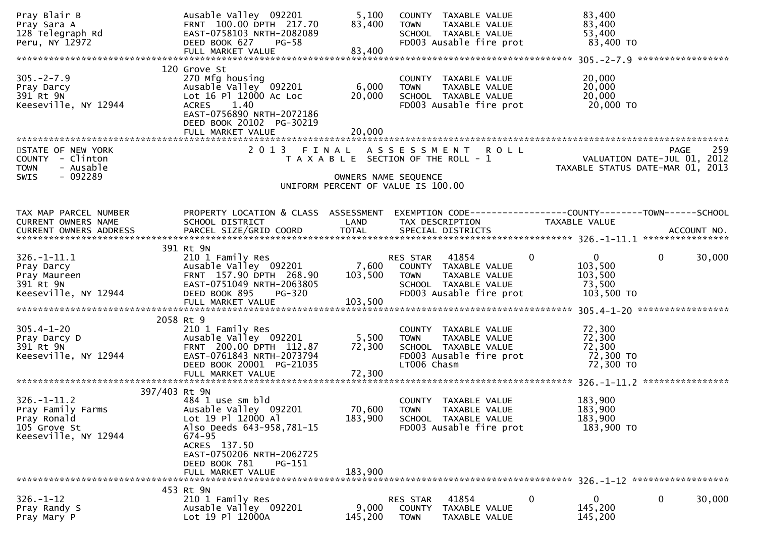| Pray Blair B<br>Pray Sara A<br>128 Telegraph Rd<br>Peru, NY 12972                             | Ausable Valley 092201<br>FRNT 100.00 DPTH 217.70<br>EAST-0758103 NRTH-2082089<br>DEED BOOK 627<br>$PG-58$<br>FULL MARKET VALUE                                                                      | 5,100<br>83,400<br>83,400                                                                           | <b>TOWN</b>                              | COUNTY TAXABLE VALUE<br>TAXABLE VALUE<br>SCHOOL TAXABLE VALUE<br>FD003 Ausable fire prot |             | 83,400<br>83,400<br>53,400<br>83,400 TO                         |             |        |
|-----------------------------------------------------------------------------------------------|-----------------------------------------------------------------------------------------------------------------------------------------------------------------------------------------------------|-----------------------------------------------------------------------------------------------------|------------------------------------------|------------------------------------------------------------------------------------------|-------------|-----------------------------------------------------------------|-------------|--------|
| $305. -2 - 7.9$<br>Pray Darcy<br>391 Rt 9N<br>Keeseville, NY 12944                            | 120 Grove St<br>270 Mfg housing<br>Ausable Valley 092201<br>Lot 16 Pl 12000 Ac Loc<br>ACRES 1.40<br>EAST-0756890 NRTH-2072186<br>DEED BOOK 20102 PG-30219<br>FULL MARKET VALUE                      | 6,000<br>20,000<br>20,000                                                                           | <b>TOWN</b>                              | COUNTY TAXABLE VALUE<br>TAXABLE VALUE<br>SCHOOL TAXABLE VALUE<br>FD003 Ausable fire prot |             | 20,000<br>20,000<br>20,000<br>20,000 TO                         |             |        |
| STATE OF NEW YORK<br>COUNTY - Clinton<br>- Ausable<br><b>TOWN</b><br>- 092289<br><b>SWIS</b>  | 2013 FINAL                                                                                                                                                                                          | T A X A B L E SECTION OF THE ROLL - 1<br>OWNERS NAME SEQUENCE<br>UNIFORM PERCENT OF VALUE IS 100.00 |                                          | ASSESSMENT ROLL                                                                          |             | VALUATION DATE-JUL 01, 2012<br>TAXABLE STATUS DATE-MAR 01, 2013 | PAGE        | 259    |
| TAX MAP PARCEL NUMBER<br>CURRENT OWNERS NAME                                                  | PROPERTY LOCATION & CLASS ASSESSMENT<br>SCHOOL DISTRICT                                                                                                                                             | LAND                                                                                                | TAX DESCRIPTION                          | EXEMPTION CODE-----------------COUNTY-------TOWN------SCHOOL                             |             | TAXABLE VALUE                                                   |             |        |
| $326. - 1 - 11.1$<br>Pray Darcy<br>Pray Maureen<br>391 Rt 9N<br>Keeseville, NY 12944          | 391 Rt 9N<br>210 1 Family Res<br>Ausable Valley 092201<br>FRNT 157.90 DPTH 268.90<br>EAST-0751049 NRTH-2063805<br>DEED BOOK 895<br><b>PG-320</b><br>FULL MARKET VALUE                               | 7,600<br>103,500<br>103,500                                                                         | RES STAR 41854<br><b>TOWN</b>            | COUNTY TAXABLE VALUE<br>TAXABLE VALUE<br>SCHOOL TAXABLE VALUE<br>FD003 Ausable fire prot | $\mathbf 0$ | 0<br>103,500<br>103,500<br>73,500<br>103,500 TO                 | $\mathbf 0$ | 30,000 |
|                                                                                               |                                                                                                                                                                                                     |                                                                                                     |                                          |                                                                                          |             |                                                                 |             |        |
| $305.4 - 1 - 20$<br>Pray Darcy D<br>391 Rt 9N<br>Keeseville, NY 12944                         | 2058 Rt 9<br>210 1 Family Res<br>Ausable Valley 092201<br>FRNT 200.00 DPTH 112.87<br>EAST-0761843 NRTH-2073794<br>DEED BOOK 20001 PG-21035<br>FULL MARKET VALUE                                     | 5,500<br>72,300<br>72,300                                                                           | <b>TOWN</b><br>LT006 Chasm               | COUNTY TAXABLE VALUE<br>TAXABLE VALUE<br>SCHOOL TAXABLE VALUE<br>FD003 Ausable fire prot |             | 72,300<br>72,300<br>72,300<br>72,300 TO<br>72,300 TO            |             |        |
| 397/403 Rt 9N                                                                                 |                                                                                                                                                                                                     |                                                                                                     |                                          |                                                                                          |             |                                                                 |             |        |
| $326. - 1 - 11.2$<br>Pray Family Farms<br>Pray Ronald<br>105 Grove St<br>Keeseville, NY 12944 | 484 1 use sm bld<br>Ausable Valley 092201<br>Lot 19 Pl 12000 Al<br>Also Deeds 643-958,781-15<br>674-95<br>ACRES 137.50<br>EAST-0750206 NRTH-2062725<br>DEED BOOK 781<br>PG-151<br>FULL MARKET VALUE | 70,600<br>183,900<br>183,900                                                                        | <b>TOWN</b>                              | COUNTY TAXABLE VALUE<br>TAXABLE VALUE<br>SCHOOL TAXABLE VALUE<br>FD003 Ausable fire prot |             | 183,900<br>183,900<br>183,900<br>183,900 TO                     |             |        |
|                                                                                               | 453 Rt 9N                                                                                                                                                                                           |                                                                                                     |                                          |                                                                                          |             |                                                                 |             |        |
| $326. - 1 - 12$<br>Pray Randy S<br>Pray Mary P                                                | 210 1 Family Res<br>Ausable Valley 092201<br>Lot 19 Pl 12000A                                                                                                                                       | 9,000<br>145,200                                                                                    | RES STAR<br><b>COUNTY</b><br><b>TOWN</b> | 41854<br>TAXABLE VALUE<br>TAXABLE VALUE                                                  | 0           | 0<br>145,200<br>145,200                                         | 0           | 30,000 |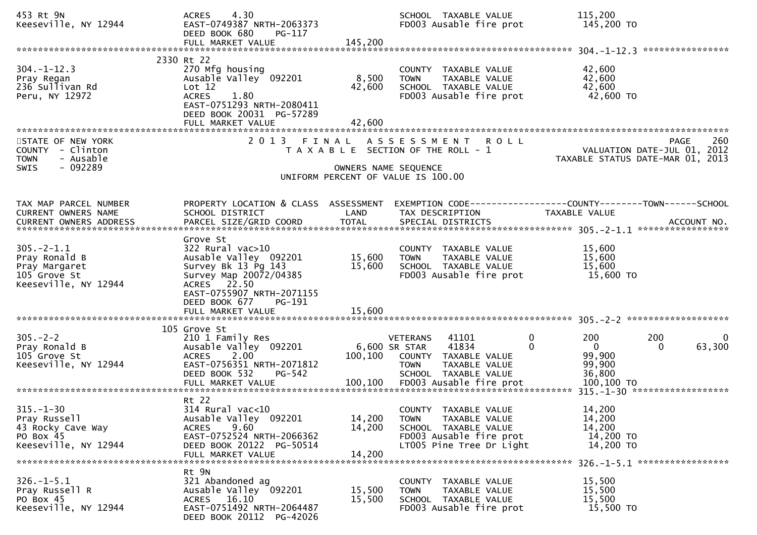| 453 Rt 9N<br>Keeseville, NY 12944                                                            | 4.30<br><b>ACRES</b><br>EAST-0749387 NRTH-2063373<br>DEED BOOK 680<br>PG-117<br>FULL MARKET VALUE                                                                                                       | 145,200                    | SCHOOL TAXABLE VALUE<br>FD003 Ausable fire prot                                                                                                        | 115,200<br>145,200 TO                                                                          |
|----------------------------------------------------------------------------------------------|---------------------------------------------------------------------------------------------------------------------------------------------------------------------------------------------------------|----------------------------|--------------------------------------------------------------------------------------------------------------------------------------------------------|------------------------------------------------------------------------------------------------|
|                                                                                              |                                                                                                                                                                                                         |                            |                                                                                                                                                        |                                                                                                |
| $304. -1 - 12.3$<br>Pray Regan<br>236 Sullivan Rd<br>Peru, NY 12972                          | 2330 Rt 22<br>270 Mfg housing<br>Ausable Valley 092201<br>Lot 12<br>1.80<br><b>ACRES</b><br>EAST-0751293 NRTH-2080411<br>DEED BOOK 20031 PG-57289<br>FULL MARKET VALUE                                  | 8,500<br>42,600<br>42,600  | COUNTY TAXABLE VALUE<br>TAXABLE VALUE<br><b>TOWN</b><br>SCHOOL TAXABLE VALUE<br>FD003 Ausable fire prot                                                | 42,600<br>42,600<br>42,600<br>42,600 TO                                                        |
| STATE OF NEW YORK<br>COUNTY - Clinton<br>- Ausable<br><b>TOWN</b><br>- 092289<br><b>SWIS</b> |                                                                                                                                                                                                         |                            | 2013 FINAL ASSESSMENT<br><b>ROLL</b><br>T A X A B L E SECTION OF THE ROLL - 1<br>OWNERS NAME SEQUENCE                                                  | 260<br>PAGE<br>VALUATION DATE-JUL 01, 2012<br>TAXABLE STATUS DATE-MAR 01, 2013                 |
|                                                                                              |                                                                                                                                                                                                         |                            | UNIFORM PERCENT OF VALUE IS 100.00                                                                                                                     |                                                                                                |
| TAX MAP PARCEL NUMBER<br>CURRENT OWNERS NAME<br>CURRENT OWNERS ADDRESS                       | PROPERTY LOCATION & CLASS ASSESSMENT<br>SCHOOL DISTRICT                                                                                                                                                 | LAND                       | TAX DESCRIPTION                                                                                                                                        | EXEMPTION CODE-----------------COUNTY-------TOWN------SCHOOL<br>TAXABLE VALUE                  |
| $305. -2 - 1.1$<br>Pray Ronald B<br>Pray Margaret<br>105 Grove St<br>Keeseville, NY 12944    | Grove St<br>$322$ Rural vac $>10$<br>Ausable Valley 092201<br>Survey Bk 13 Pg 143<br>Survey Map 20072/04385<br>ACRES 22.50<br>EAST-0755907 NRTH-2071155<br>DEED BOOK 677<br>PG-191<br>FULL MARKET VALUE | 15,600<br>15,600<br>15,600 | COUNTY TAXABLE VALUE<br>TAXABLE VALUE<br><b>TOWN</b><br>SCHOOL TAXABLE VALUE<br>FD003 Ausable fire prot                                                | 15,600<br>15,600<br>15,600<br>15,600 TO                                                        |
| $305. - 2 - 2$<br>Pray Ronald B<br>105 Grove St<br>Keeseville, NY 12944                      | 105 Grove St<br>210 1 Family Res<br>Ausable Valley 092201<br><b>ACRES</b><br>2.00<br>EAST-0756351 NRTH-2071812<br>DEED BOOK 532<br><b>PG-542</b>                                                        | 100,100                    | $\mathbf 0$<br>41101<br>VETERANS<br>41834<br>$\Omega$<br>6,600 SR STAR<br>COUNTY TAXABLE VALUE<br><b>TOWN</b><br>TAXABLE VALUE<br>SCHOOL TAXABLE VALUE | 200<br>200<br>$\mathbf{0}$<br>63,300<br>$\mathbf{0}$<br>$\Omega$<br>99,900<br>99,900<br>36,800 |
| $315. - 1 - 30$<br>Pray Russell<br>43 Rocky Cave Way<br>PO Box 45<br>Keeseville, NY 12944    | Rt 22<br>$314$ Rural vac<10<br>Ausable Valley 092201<br>9.60<br><b>ACRES</b><br>EAST-0752524 NRTH-2066362<br>DEED BOOK 20122 PG-50514<br>FULL MARKET VALUE                                              | 14,200<br>14,200<br>14,200 | COUNTY TAXABLE VALUE<br>TAXABLE VALUE<br><b>TOWN</b><br>SCHOOL TAXABLE VALUE<br>FD003 Ausable fire prot<br>LT005 Pine Tree Dr Light                    | 14,200<br>14,200<br>14,200<br>14,200 TO<br>14,200 TO<br>326. -1-5.1 *******************        |
| $326. - 1 - 5.1$<br>Pray Russell R<br>PO Box 45<br>Keeseville, NY 12944                      | Rt 9N<br>321 Abandoned ag<br>Ausable Valley 092201<br>ACRES 16.10<br>EAST-0751492 NRTH-2064487<br>DEED BOOK 20112 PG-42026                                                                              | 15,500<br>15,500           | COUNTY TAXABLE VALUE<br><b>TOWN</b><br>TAXABLE VALUE<br>SCHOOL TAXABLE VALUE<br>FD003 Ausable fire prot                                                | 15,500<br>15,500<br>15,500<br>15,500 TO                                                        |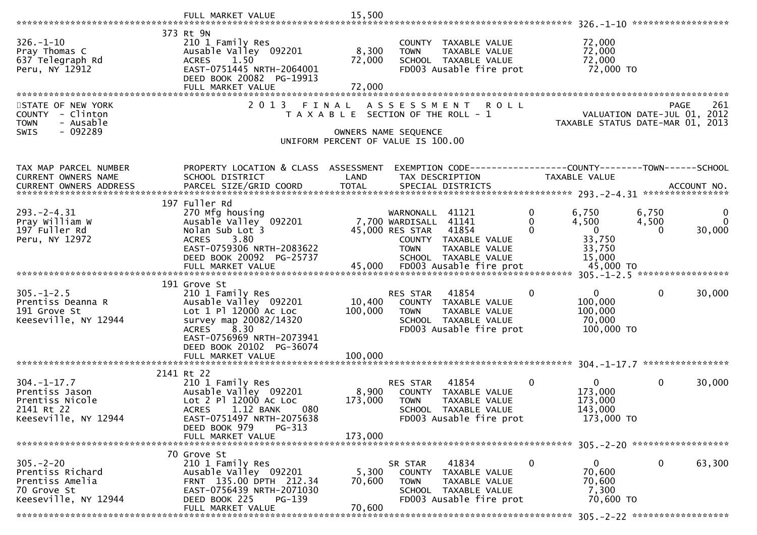|                                                                                               | FULL MARKET VALUE                                                                                                                                                                                                  | 15,500                       |                                                                                                                                                                                    |                                                                                                          |                                                                                |
|-----------------------------------------------------------------------------------------------|--------------------------------------------------------------------------------------------------------------------------------------------------------------------------------------------------------------------|------------------------------|------------------------------------------------------------------------------------------------------------------------------------------------------------------------------------|----------------------------------------------------------------------------------------------------------|--------------------------------------------------------------------------------|
| $326. - 1 - 10$<br>Pray Thomas C<br>637 Telegraph Rd<br>Peru, NY 12912                        | 373 Rt 9N<br>210 1 Family Res<br>Ausable Valley 092201<br>1.50<br><b>ACRES</b><br>EAST-0751445 NRTH-2064001<br>DEED BOOK 20082 PG-19913<br>FULL MARKET VALUE                                                       | 8,300<br>72,000<br>72,000    | COUNTY TAXABLE VALUE<br>TAXABLE VALUE<br><b>TOWN</b><br>SCHOOL TAXABLE VALUE<br>FD003 Ausable fire prot                                                                            | 72,000<br>72,000<br>72,000<br>72,000 TO                                                                  |                                                                                |
| STATE OF NEW YORK<br>COUNTY - Clinton<br>- Ausable<br><b>TOWN</b><br>$-092289$<br>SWIS        | 2 0 1 3<br>FINAL                                                                                                                                                                                                   |                              | ASSESSMENT ROLL<br>T A X A B L E SECTION OF THE ROLL - 1<br>OWNERS NAME SEQUENCE<br>UNIFORM PERCENT OF VALUE IS 100.00                                                             |                                                                                                          | PAGE<br>261<br>VALUATION DATE-JUL 01, 2012<br>TAXABLE STATUS DATE-MAR 01, 2013 |
| TAX MAP PARCEL NUMBER<br>CURRENT OWNERS NAME                                                  | PROPERTY LOCATION & CLASS ASSESSMENT<br>SCHOOL DISTRICT                                                                                                                                                            | LAND                         | EXEMPTION CODE-----------------COUNTY--------TOWN------SCHOOL<br>TAX DESCRIPTION                                                                                                   | TAXABLE VALUE                                                                                            |                                                                                |
| $293. -2 - 4.31$<br>Pray William W<br>197 Fuller Rd<br>Peru, NY 12972                         | 197 Fuller Rd<br>270 Mfg housing<br>Ausable Valley <sup>-</sup> 092201<br>Nolan Sub Lot 3<br>ACRES 3.80<br>EAST-0759306 NRTH-2083622<br>DEED BOOK 20092 PG-25737<br>FULL MARKET VALUE                              | 45,000                       | WARNONALL 41121<br>7,700 WARDISALL<br>41141<br>45,000 RES STAR<br>41854<br>COUNTY TAXABLE VALUE<br>TAXABLE VALUE<br><b>TOWN</b><br>SCHOOL TAXABLE VALUE<br>FD003 Ausable fire prot | 0<br>6,750<br>$\Omega$<br>4,500<br>$\overline{0}$<br>$\Omega$<br>33,750<br>33,750<br>15,000<br>45,000 TO | 6,750<br>0<br>$\Omega$<br>4,500<br>30,000<br>$\Omega$                          |
| $305. - 1 - 2.5$<br>Prentiss Deanna R<br>191 Grove St<br>Keeseville, NY 12944                 | 191 Grove St<br>210 1 Family Res<br>Ausable Valley 092201<br>Lot 1 Pl 12000 Ac Loc<br>survey map 20082/14320<br>8.30<br><b>ACRES</b><br>EAST-0756969 NRTH-2073941<br>DEED BOOK 20102 PG-36074<br>FULL MARKET VALUE | 10,400<br>100,000<br>100,000 | RES STAR<br>41854<br>COUNTY TAXABLE VALUE<br><b>TOWN</b><br>TAXABLE VALUE<br>SCHOOL TAXABLE VALUE<br>FD003 Ausable fire prot                                                       | $\mathbf{0}$<br>0<br>100,000<br>100,000<br>70,000<br>100,000 TO                                          | $\mathbf{0}$<br>30,000                                                         |
| $304. - 1 - 17.7$<br>Prentiss Jason<br>Prentiss Nicole<br>2141 Rt 22<br>Keeseville, NY 12944  | 2141 Rt 22<br>210 1 Family Res<br>Ausable Valley 092201<br>Lot 2 Pl 12000 Ac Loc<br>1.12 BANK<br>080<br><b>ACRES</b><br>EAST-0751497 NRTH-2075638<br>DEED BOOK 979<br>PG-313<br>FULL MARKET VALUE                  | 8,900<br>173,000<br>173,000  | 41854<br>RES STAR<br>COUNTY TAXABLE VALUE<br><b>TOWN</b><br>TAXABLE VALUE<br><b>SCHOOL</b><br>TAXABLE VALUE<br>FD003 Ausable fire prot                                             | $\mathbf{0}$<br>0<br>173,000<br>173,000<br>143,000<br>173,000 TO                                         | $\mathbf{0}$<br>30,000                                                         |
| $305. - 2 - 20$<br>Prentiss Richard<br>Prentiss Amelia<br>70 Grove St<br>Keeseville, NY 12944 | 70 Grove St<br>210 1 Family Res<br>Ausable Valley 092201<br>FRNT 135.00 DPTH 212.34<br>EAST-0756439 NRTH-2071030<br>$PG-139$<br>DEED BOOK 225<br>FULL MARKET VALUE                                                 | 5,300<br>70,600<br>70,600    | 41834<br>SR STAR<br>COUNTY TAXABLE VALUE<br><b>TOWN</b><br>TAXABLE VALUE<br>SCHOOL TAXABLE VALUE<br>FD003 Ausable fire prot                                                        | $\mathbf 0$<br>0<br>70,600<br>70,600<br>7,300<br>70,600 TO                                               | 0<br>63,300                                                                    |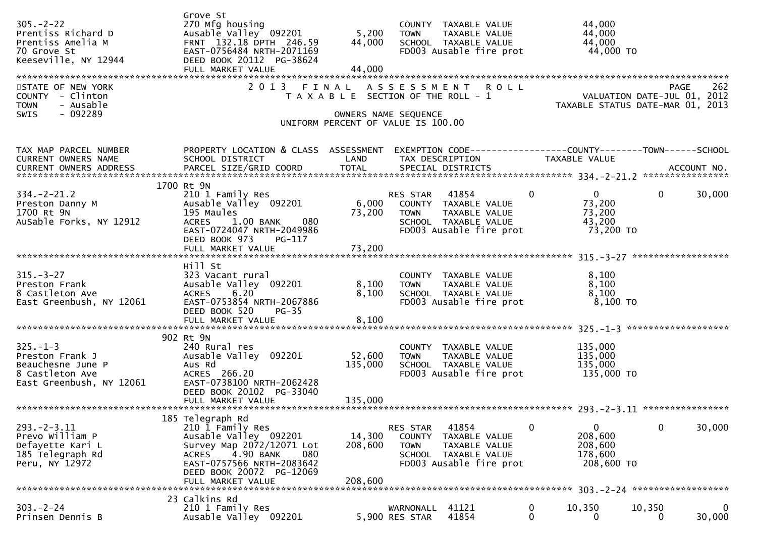| $305. -2 - 22$<br>Prentiss Richard D<br>Prentiss Amelia M<br>70 Grove St<br>Keeseville, NY 12944<br>STATE OF NEW YORK | Grove St<br>270 Mfg housing<br>Ausable Valley 092201<br>FRNT 132.18 DPTH 246.59<br>EAST-0756484 NRTH-2071169<br>DEED BOOK 20112 PG-38624<br>FULL MARKET VALUE<br>2013 FINAL             | 5,200<br>44,000<br>44,000                                                                           | <b>TOWN</b>                       | COUNTY TAXABLE VALUE<br>TAXABLE VALUE<br>SCHOOL TAXABLE VALUE<br>FD003 Ausable fire prot<br>ASSESSMENT ROLL                        |          | 44,000<br>44,000<br>44,000<br>44,000 TO                              | PAGE         | 262         |
|-----------------------------------------------------------------------------------------------------------------------|-----------------------------------------------------------------------------------------------------------------------------------------------------------------------------------------|-----------------------------------------------------------------------------------------------------|-----------------------------------|------------------------------------------------------------------------------------------------------------------------------------|----------|----------------------------------------------------------------------|--------------|-------------|
| COUNTY - Clinton<br>- Ausable<br><b>TOWN</b><br>$-092289$<br><b>SWIS</b>                                              |                                                                                                                                                                                         | T A X A B L E SECTION OF THE ROLL - 1<br>OWNERS NAME SEQUENCE<br>UNIFORM PERCENT OF VALUE IS 100.00 |                                   |                                                                                                                                    |          | VALUATION DATE-JUL 01, 2012<br>2012 TAXABLE STATUS DATE-MAR 01, 2013 |              |             |
| TAX MAP PARCEL NUMBER<br>CURRENT OWNERS NAME                                                                          | PROPERTY LOCATION & CLASS ASSESSMENT<br>SCHOOL DISTRICT                                                                                                                                 | LAND                                                                                                |                                   | EXEMPTION CODE-----------------COUNTY--------TOWN-----SCHOOL<br>TAX DESCRIPTION                                                    |          | TAXABLE VALUE                                                        |              |             |
|                                                                                                                       |                                                                                                                                                                                         |                                                                                                     |                                   |                                                                                                                                    |          |                                                                      |              |             |
| $334. - 2 - 21.2$<br>Preston Danny M<br>1700 Rt 9N<br>AuSable Forks, NY 12912                                         | 1700 Rt 9N<br>210 1 Family Res<br>Ausable Valley 092201<br>195 Maules<br>ACRES 1.00 BANK<br>080<br>EAST-0724047 NRTH-2049986<br>DEED BOOK 973<br>PG-117                                 | 6,000<br>73,200                                                                                     | RES STAR 41854<br><b>TOWN</b>     | COUNTY TAXABLE VALUE<br>TAXABLE VALUE<br>SCHOOL TAXABLE VALUE<br>FD003 Ausable fire prot                                           | $\Omega$ | $\mathbf{0}$<br>73,200<br>73,200<br>43,200<br>73,200 TO              | $\mathbf{0}$ | 30,000      |
|                                                                                                                       |                                                                                                                                                                                         |                                                                                                     |                                   |                                                                                                                                    |          |                                                                      |              |             |
|                                                                                                                       | Hill St                                                                                                                                                                                 |                                                                                                     |                                   |                                                                                                                                    |          |                                                                      |              |             |
| $315. - 3 - 27$<br>Preston Frank<br>8 Castleton Ave<br>East Greenbush, NY 12061                                       | 323 Vacant rural<br>Ausable Valley 092201<br>6.20<br><b>ACRES</b><br>EAST-0753854 NRTH-2067886<br>DEED BOOK 520<br>$PG-35$                                                              | 8,100<br>8,100                                                                                      | <b>TOWN</b>                       | COUNTY TAXABLE VALUE<br>TAXABLE VALUE<br>TOWN TAANDLE<br>SCHOOL TAXABLE VALUE<br>Allo Charles fire prot<br>FD003 Ausable fire prot |          | 8,100<br>8,100<br>8,100<br>8,100 то                                  |              |             |
|                                                                                                                       | 902 Rt 9N                                                                                                                                                                               |                                                                                                     |                                   |                                                                                                                                    |          |                                                                      |              |             |
| $325. - 1 - 3$<br>Preston Frank J<br>Beauchesne June P<br>8 Castleton Ave<br>East Greenbush, NY 12061                 | 240 Rural res<br>Ausable Valley 092201<br>Aus Rd<br>ACRES 266.20<br>EAST-0738100 NRTH-2062428<br>DEED BOOK 20102 PG-33040                                                               | 52,600<br>135,000                                                                                   | <b>TOWN</b>                       | COUNTY TAXABLE VALUE<br>TAXABLE VALUE<br>SCHOOL TAXABLE VALUE<br>FD003 Ausable fire prot                                           |          | 135,000<br>135,000<br>135,000<br>135,000 TO                          |              |             |
|                                                                                                                       |                                                                                                                                                                                         |                                                                                                     |                                   |                                                                                                                                    |          |                                                                      |              |             |
| $293. - 2 - 3.11$<br>Prevo William P<br>Defayette Kari L<br>185 Telegraph Rd<br>Peru, NY 12972                        | 185 Telegraph Rd<br>210 1 Family Res<br>Ausable Valley 092201<br>Survey Map 2072/12071 Lot<br>4.90 BANK<br>080<br><b>ACRES</b><br>EAST-0757566 NRTH-2083642<br>DEED BOOK 20072 PG-12069 | 14,300<br>208,600                                                                                   | RES STAR<br>COUNTY<br><b>TOWN</b> | 41854<br>TAXABLE VALUE<br>TAXABLE VALUE<br>SCHOOL TAXABLE VALUE<br>FD003 Ausable fire prot                                         | $\Omega$ | 0<br>208,600<br>208,600<br>178,600<br>208,600 TO                     | 0            | 30,000      |
|                                                                                                                       | FULL MARKET VALUE                                                                                                                                                                       | 208,600                                                                                             |                                   |                                                                                                                                    |          |                                                                      |              |             |
| $303 - 2 - 24$<br>Prinsen Dennis B                                                                                    | 23 Calkins Rd<br>210 1 Family Res<br>Ausable Valley 092201                                                                                                                              |                                                                                                     | WARNONALL<br>5,900 RES STAR       | 41121<br>41854                                                                                                                     | 0<br>0   | 10,350<br>0                                                          | 10,350<br>0  | 0<br>30,000 |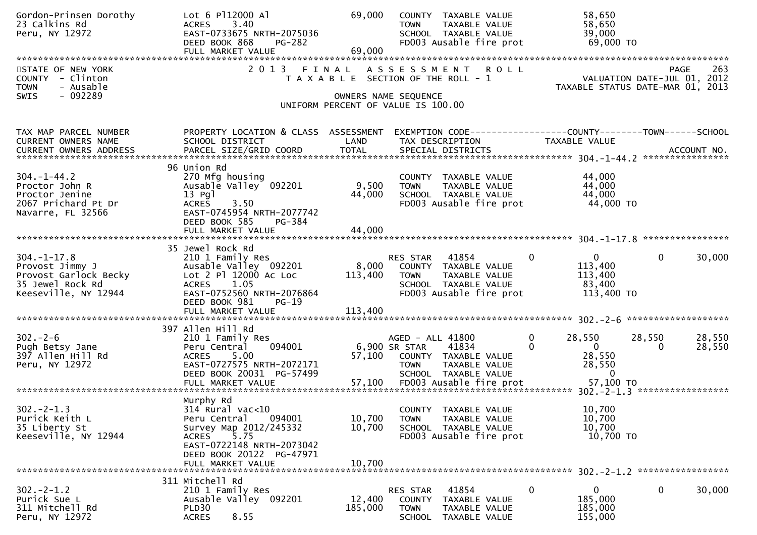| Gordon-Prinsen Dorothy<br>23 Calkins Rd<br>Peru, NY 12972                                                 | Lot 6 P112000 Al<br>3.40<br><b>ACRES</b><br>EAST-0733675 NRTH-2075036<br>DEED BOOK 868<br>PG-282<br>FULL MARKET VALUE                                                                        | 69,000<br>69,000            | COUNTY TAXABLE VALUE<br>TAXABLE VALUE<br><b>TOWN</b><br>SCHOOL TAXABLE VALUE<br>FD003 Ausable fire prot                           | 58,650<br>58,650<br>39,000<br>69,000 TO                                                   |                                                                                |
|-----------------------------------------------------------------------------------------------------------|----------------------------------------------------------------------------------------------------------------------------------------------------------------------------------------------|-----------------------------|-----------------------------------------------------------------------------------------------------------------------------------|-------------------------------------------------------------------------------------------|--------------------------------------------------------------------------------|
| STATE OF NEW YORK<br>COUNTY - Clinton<br>- Ausable<br><b>TOWN</b><br>$-092289$<br><b>SWIS</b>             |                                                                                                                                                                                              |                             | 2013 FINAL ASSESSMENT ROLL<br>T A X A B L E SECTION OF THE ROLL - 1<br>OWNERS NAME SEQUENCE<br>UNIFORM PERCENT OF VALUE IS 100.00 |                                                                                           | 263<br>PAGE<br>VALUATION DATE-JUL 01, 2012<br>TAXABLE STATUS DATE-MAR 01, 2013 |
| TAX MAP PARCEL NUMBER<br>CURRENT OWNERS NAME                                                              | PROPERTY LOCATION & CLASS ASSESSMENT<br>SCHOOL DISTRICT                                                                                                                                      | LAND                        | EXEMPTION CODE-----------------COUNTY-------TOWN------SCHOOL<br>TAX DESCRIPTION                                                   | <b>TAXABLE VALUE</b>                                                                      |                                                                                |
| $304. -1 - 44.2$<br>Proctor John R<br>Proctor Jenine<br>2067 Prichard Pt Dr<br>Navarre, FL 32566          | 96 Union Rd<br>270 Mfg housing<br>Ausable Valley 092201<br>13 Pgl<br><b>ACRES</b><br>3.50<br>EAST-0745954 NRTH-2077742<br>DEED BOOK 585<br>PG-384                                            | 9,500<br>44,000             | COUNTY TAXABLE VALUE<br><b>TOWN</b><br>TAXABLE VALUE<br>SCHOOL TAXABLE VALUE<br>FD003 Ausable fire prot                           | 44,000<br>44,000<br>44,000<br>44,000 TO                                                   |                                                                                |
| $304. - 1 - 17.8$<br>Provost Jimmy J<br>Provost Garlock Becky<br>35 Jewel Rock Rd<br>Keeseville, NY 12944 | 35 Jewel Rock Rd<br>210 1 Family Res<br>Ausable Valley 092201<br>Lot 2 Pl 12000 Ac Loc<br><b>ACRES</b><br>1.05<br>EAST-0752560 NRTH-2076864<br>DEED BOOK 981<br>$PG-19$<br>FULL MARKET VALUE | 8,000<br>113,400<br>113,400 | RES STAR 41854<br>COUNTY TAXABLE VALUE<br>TAXABLE VALUE<br><b>TOWN</b><br>SCHOOL TAXABLE VALUE<br>FD003 Ausable fire prot         | $\mathbf 0$<br>$\mathbf{0}$<br>113,400<br>113,400<br>83,400<br>113,400 TO                 | $\mathbf{0}$<br>30,000                                                         |
|                                                                                                           |                                                                                                                                                                                              |                             |                                                                                                                                   |                                                                                           |                                                                                |
| $302 - 2 - 6$<br>Pugh Betsy Jane<br>397 Allen Hill Rd<br>Peru, NY 12972                                   | 397 Allen Hill Rd<br>210 1 Family Res<br>Peru Central<br>094001<br>5.00<br><b>ACRES</b><br>EAST-0727575 NRTH-2072171<br>DEED BOOK 20031 PG-57499                                             | 57,100                      | AGED - ALL 41800<br>6,900 SR STAR<br>41834<br>COUNTY TAXABLE VALUE<br><b>TOWN</b><br>TAXABLE VALUE<br>SCHOOL TAXABLE VALUE        | $\mathbf 0$<br>28,550<br>$\overline{0}$<br>$\Omega$<br>28,550<br>28,550<br>$\overline{0}$ | 28,550<br>28,550<br>28,550<br>$\Omega$                                         |
| $302 - 2 - 1.3$<br>Purick Keith L<br>35 Liberty St<br>Keeseville, NY 12944                                | Murphy Rd<br>314 Rural vac<10<br>Peru Central<br>094001<br>Survey Map 2012/245332<br>5.75<br>ACRES<br>EAST-0722148 NRTH-2073042<br>DEED BOOK 20122 PG-47971<br>FULL MARKET VALUE             | 10,700<br>10,700<br>10,700  | COUNTY TAXABLE VALUE<br>TAXABLE VALUE<br><b>TOWN</b><br>SCHOOL TAXABLE VALUE<br>FD003 Ausable fire prot                           | 10,700<br>10,700<br>10,700<br>10,700 TO                                                   |                                                                                |
|                                                                                                           | 311 Mitchell Rd                                                                                                                                                                              |                             |                                                                                                                                   |                                                                                           |                                                                                |
| $302 - 2 - 1.2$<br>Purick Sue L<br>311 Mitchell Rd<br>Peru, NY 12972                                      | 210 1 Family Res<br>Ausable Valley 092201<br>PLD30<br><b>ACRES</b><br>8.55                                                                                                                   | 12,400<br>185,000           | 41854<br>RES STAR<br>COUNTY<br>TAXABLE VALUE<br><b>TOWN</b><br>TAXABLE VALUE<br><b>SCHOOL</b><br>TAXABLE VALUE                    | $\mathbf 0$<br>0<br>185,000<br>185,000<br>155,000                                         | 0<br>30,000                                                                    |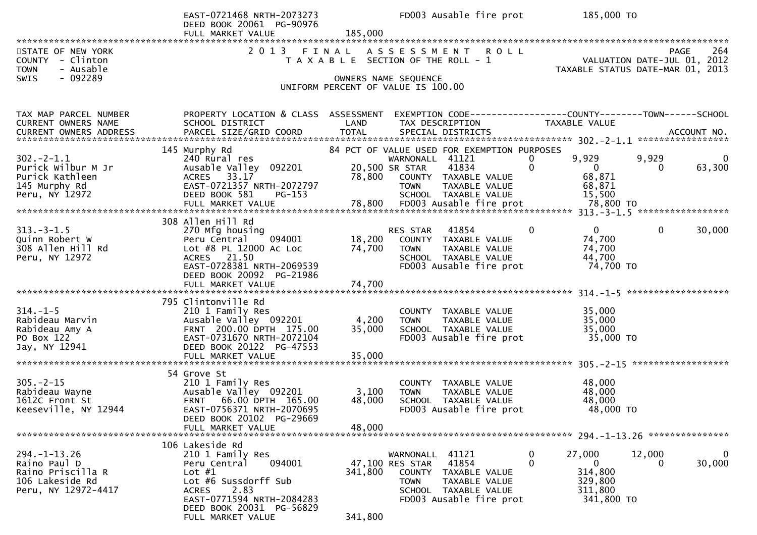|                                                                             | EAST-0721468 NRTH-2073273<br>DEED BOOK 20061 PG-90976<br>FULL MARKET VALUE | 185,000 | FD003 Ausable fire prot                                                     | 185,000 TO                   |                                                                                |
|-----------------------------------------------------------------------------|----------------------------------------------------------------------------|---------|-----------------------------------------------------------------------------|------------------------------|--------------------------------------------------------------------------------|
|                                                                             |                                                                            |         |                                                                             |                              |                                                                                |
| STATE OF NEW YORK<br><b>COUNTY</b><br>- Clinton<br>- Ausable<br><b>TOWN</b> | 2 0 1 3                                                                    | FINAL   | A S S E S S M E N T<br><b>ROLL</b><br>T A X A B L E SECTION OF THE ROLL - 1 |                              | 264<br>PAGE<br>VALUATION DATE-JUL 01, 2012<br>TAXABLE STATUS DATE-MAR 01, 2013 |
| - 092289<br>SWIS                                                            |                                                                            |         | OWNERS NAME SEQUENCE                                                        |                              |                                                                                |
|                                                                             |                                                                            |         | UNIFORM PERCENT OF VALUE IS 100.00                                          |                              |                                                                                |
|                                                                             |                                                                            |         |                                                                             |                              |                                                                                |
| TAX MAP PARCEL NUMBER                                                       | PROPERTY LOCATION & CLASS ASSESSMENT                                       |         | EXEMPTION CODE------------------COUNTY--------TOWN------SCHOOL              |                              |                                                                                |
| CURRENT OWNERS NAME                                                         | SCHOOL DISTRICT                                                            | LAND    | TAX DESCRIPTION                                                             | TAXABLE VALUE                |                                                                                |
|                                                                             |                                                                            |         |                                                                             |                              |                                                                                |
|                                                                             | 145 Murphy Rd                                                              |         | 84 PCT OF VALUE USED FOR EXEMPTION PURPOSES                                 |                              |                                                                                |
| $302 - 2 - 1.1$                                                             | 240 Rural res                                                              |         | WARNONALL 41121                                                             | 9,929<br>0                   | 9,929<br>0                                                                     |
| Purick Wilbur M Jr                                                          | Ausable Valley 092201                                                      |         | 20,500 SR STAR<br>41834                                                     | $\mathbf 0$<br>$\Omega$      | 63,300<br>0                                                                    |
| Purick Kathleen<br>145 Murphy Rd                                            | ACRES 33.17<br>EAST-0721357 NRTH-2072797                                   | 78,800  | COUNTY TAXABLE VALUE<br>TAXABLE VALUE<br><b>TOWN</b>                        | 68,871<br>68,871             |                                                                                |
| Peru, NY 12972                                                              | DEED BOOK 581<br>$PG-153$                                                  |         | SCHOOL TAXABLE VALUE                                                        | 15,500                       |                                                                                |
|                                                                             |                                                                            |         |                                                                             |                              |                                                                                |
|                                                                             |                                                                            |         |                                                                             |                              |                                                                                |
| $313. - 3 - 1.5$                                                            | 308 Allen Hill Rd<br>270 Mfg housing                                       |         | RES STAR 41854                                                              | $\mathbf{0}$<br>$\mathbf{0}$ | $\mathbf 0$<br>30,000                                                          |
| Quinn Robert W                                                              | Peru Central<br>094001                                                     | 18,200  | COUNTY TAXABLE VALUE                                                        | 74,700                       |                                                                                |
| 308 Allen Hill Rd                                                           | Lot #8 PL 12000 Ac Loc                                                     | 74,700  | <b>TOWN</b><br>TAXABLE VALUE                                                | 74,700                       |                                                                                |
| Peru, NY 12972                                                              | ACRES 21.50                                                                |         | SCHOOL TAXABLE VALUE                                                        | 44,700                       |                                                                                |
|                                                                             | EAST-0728381 NRTH-2069539                                                  |         | FD003 Ausable fire prot                                                     | 74,700 TO                    |                                                                                |
|                                                                             | DEED BOOK 20092 PG-21986                                                   |         |                                                                             |                              |                                                                                |
|                                                                             |                                                                            |         |                                                                             |                              | *******************                                                            |
|                                                                             | 795 Clintonville Rd                                                        |         |                                                                             |                              |                                                                                |
| $314. - 1 - 5$                                                              | 210 1 Family Res                                                           |         | COUNTY TAXABLE VALUE                                                        | 35,000                       |                                                                                |
| Rabideau Marvin                                                             | Ausable Valley 092201<br>FRNT 200.00 DPTH 175.00                           | 4,200   | <b>TOWN</b><br>TAXABLE VALUE                                                | 35,000                       |                                                                                |
| Rabideau Amy A<br>PO Box 122                                                | EAST-0731670 NRTH-2072104                                                  | 35,000  | SCHOOL TAXABLE VALUE<br>FD003 Ausable fire prot                             | 35,000<br>35,000 TO          |                                                                                |
| Jay, NY 12941                                                               | DEED BOOK 20122 PG-47553                                                   |         |                                                                             |                              |                                                                                |
|                                                                             | FULL MARKET VALUE                                                          | 35,000  |                                                                             |                              |                                                                                |
|                                                                             |                                                                            |         |                                                                             |                              |                                                                                |
| $305. -2 - 15$                                                              | 54 Grove St<br>210 1 Family Res                                            |         | COUNTY TAXABLE VALUE                                                        | 48,000                       |                                                                                |
| Rabideau Wayne                                                              | Ausable Valley 092201                                                      | 3,100   | <b>TOWN</b><br>TAXABLE VALUE                                                | 48,000                       |                                                                                |
| 1612C Front St                                                              | 66.00 DPTH 165.00<br><b>FRNT</b>                                           | 48,000  | SCHOOL TAXABLE VALUE                                                        | 48,000                       |                                                                                |
| Keeseville, NY 12944                                                        | EAST-0756371 NRTH-2070695                                                  |         | FD003 Ausable fire prot                                                     | 48,000 TO                    |                                                                                |
|                                                                             | DEED BOOK 20102 PG-29669<br>FULL MARKET VALUE                              | 48,000  |                                                                             |                              |                                                                                |
|                                                                             |                                                                            |         |                                                                             |                              |                                                                                |
|                                                                             | 106 Lakeside Rd                                                            |         |                                                                             |                              |                                                                                |
| $294. - 1 - 13.26$                                                          | 210 1 Family Res                                                           |         | WARNONALL 41121                                                             | 27,000<br>0                  | 12,000<br>0                                                                    |
| Raino Paul D<br>Raino Priscilla R                                           | 094001<br>Peru Central<br>Lot $#1$                                         | 341,800 | 41854<br>47,100 RES STAR<br>COUNTY TAXABLE VALUE                            | 0<br>0<br>314,800            | 30,000<br>$\Omega$                                                             |
| 106 Lakeside Rd                                                             | Lot #6 Sussdorff Sub                                                       |         | <b>TOWN</b><br>TAXABLE VALUE                                                | 329,800                      |                                                                                |
| Peru, NY 12972-4417                                                         | 2.83<br>ACRES                                                              |         | SCHOOL TAXABLE VALUE                                                        | 311,800                      |                                                                                |
|                                                                             | EAST-0771594 NRTH-2084283                                                  |         | FD003 Ausable fire prot                                                     | 341,800 TO                   |                                                                                |
|                                                                             | DEED BOOK 20031 PG-56829                                                   |         |                                                                             |                              |                                                                                |
|                                                                             | FULL MARKET VALUE                                                          | 341,800 |                                                                             |                              |                                                                                |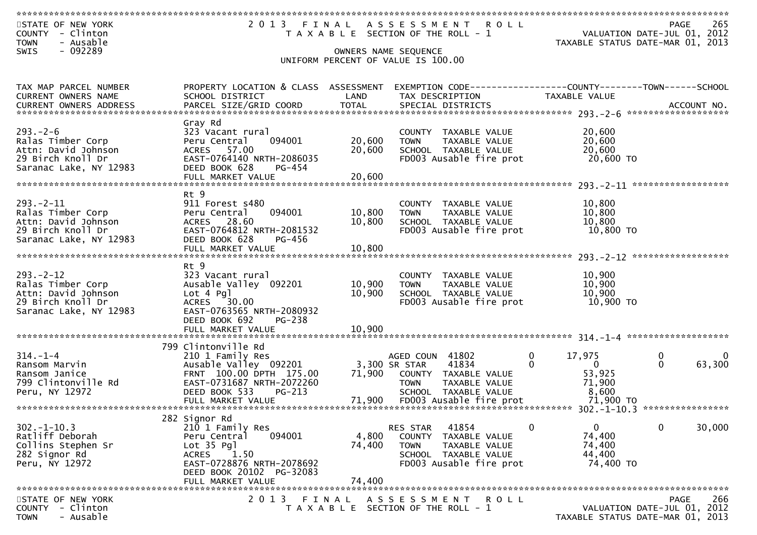| STATE OF NEW YORK<br>COUNTY - Clinton<br>- Ausable<br><b>TOWN</b> | 2013 FINAL ASSESSMENT ROLL<br>T A X A B L E SECTION OF THE ROLL - 1 |                                                            | 265<br><b>PAGE</b><br>VALUATION DATE-JUL 01, 2012<br>TAXABLE STATUS DATE-MAR 01, 2013 |                                                        |                                                    |                                                              |
|-------------------------------------------------------------------|---------------------------------------------------------------------|------------------------------------------------------------|---------------------------------------------------------------------------------------|--------------------------------------------------------|----------------------------------------------------|--------------------------------------------------------------|
| $-092289$<br>SWIS                                                 |                                                                     | OWNERS NAME SEQUENCE<br>UNIFORM PERCENT OF VALUE IS 100.00 |                                                                                       |                                                        |                                                    |                                                              |
|                                                                   |                                                                     |                                                            |                                                                                       |                                                        |                                                    |                                                              |
| TAX MAP PARCEL NUMBER                                             | PROPERTY LOCATION & CLASS ASSESSMENT                                |                                                            |                                                                                       |                                                        |                                                    | EXEMPTION CODE-----------------COUNTY-------TOWN------SCHOOL |
| CURRENT OWNERS NAME                                               | SCHOOL DISTRICT                                                     | LAND                                                       | TAX DESCRIPTION                                                                       |                                                        | TAXABLE VALUE                                      |                                                              |
|                                                                   |                                                                     |                                                            |                                                                                       |                                                        |                                                    |                                                              |
|                                                                   | Gray Rd                                                             |                                                            |                                                                                       |                                                        |                                                    |                                                              |
| $293 - 2 - 6$                                                     | 323 Vacant rural                                                    |                                                            |                                                                                       | COUNTY TAXABLE VALUE                                   | 20,600                                             |                                                              |
| Ralas Timber Corp<br>Attn: David Johnson                          | 094001<br>Peru Central<br>ACRES 57.00                               | 20,600<br>20,600                                           | <b>TOWN</b>                                                                           | TAXABLE VALUE<br>SCHOOL TAXABLE VALUE                  | 20,600<br>20,600                                   |                                                              |
| 29 Birch Knoll Dr                                                 | EAST-0764140 NRTH-2086035                                           |                                                            |                                                                                       | FD003 Ausable fire prot                                | 20,600 TO                                          |                                                              |
| Saranac Lake, NY 12983                                            | DEED BOOK 628<br>PG-454                                             |                                                            |                                                                                       |                                                        |                                                    |                                                              |
|                                                                   |                                                                     |                                                            |                                                                                       |                                                        |                                                    | ******************                                           |
|                                                                   | Rt 9                                                                |                                                            |                                                                                       |                                                        |                                                    |                                                              |
| $293 - 2 - 11$<br>Ralas Timber Corp                               | 911 Forest s480<br>094001<br>Peru Central                           | 10,800                                                     | <b>TOWN</b>                                                                           | COUNTY TAXABLE VALUE<br>TAXABLE VALUE                  | 10,800<br>10,800                                   |                                                              |
| Attn: David Johnson                                               | ACRES 28.60                                                         | 10,800                                                     |                                                                                       | SCHOOL TAXABLE VALUE                                   | 10,800                                             |                                                              |
| 29 Birch Knoll Dr                                                 | EAST-0764812 NRTH-2081532                                           |                                                            |                                                                                       | FD003 Ausable fire prot                                | 10,800 TO                                          |                                                              |
| Saranac Lake, NY 12983                                            | DEED BOOK 628<br>PG-456<br>FULL MARKET VALUE                        | 10,800                                                     |                                                                                       |                                                        |                                                    |                                                              |
|                                                                   |                                                                     |                                                            |                                                                                       |                                                        |                                                    |                                                              |
| $293 - 2 - 12$                                                    | Rt 9<br>323 Vacant rural                                            |                                                            |                                                                                       | COUNTY TAXABLE VALUE                                   | 10,900                                             |                                                              |
| Ralas Timber Corp                                                 | Ausable Valley 092201                                               | 10,900                                                     | <b>TOWN</b>                                                                           | TAXABLE VALUE                                          | 10,900                                             |                                                              |
| Attn: David Johnson<br>29 Birch Knoll Dr                          | Lot 4 Pgl<br>ACRES 30.00                                            | 10,900                                                     |                                                                                       | SCHOOL TAXABLE VALUE<br>FD003 Ausable fire prot        | 10,900<br>10,900 TO                                |                                                              |
| Saranac Lake, NY 12983                                            | EAST-0763565 NRTH-2080932                                           |                                                            |                                                                                       |                                                        |                                                    |                                                              |
|                                                                   | DEED BOOK 692<br>PG-238                                             |                                                            |                                                                                       |                                                        |                                                    |                                                              |
|                                                                   |                                                                     |                                                            |                                                                                       |                                                        |                                                    |                                                              |
|                                                                   | 799 Clintonville Rd                                                 |                                                            |                                                                                       |                                                        |                                                    |                                                              |
| $314. - 1 - 4$<br>Ransom Marvin                                   | 210 1 Family Res<br>Ausable Valley 092201                           | 3,300 SR STAR                                              | AGED COUN 41802                                                                       | 41834                                                  | $\mathbf{0}$<br>17,975<br>$\Omega$<br>$\mathbf{0}$ | $\mathbf 0$<br>0<br>63,300<br>$\Omega$                       |
| Ransom Janice                                                     | FRNT 100.00 DPTH 175.00                                             |                                                            |                                                                                       | 71,900 COUNTY TAXABLE VALUE                            | 53,925                                             |                                                              |
| 799 Clintonville Rd                                               | EAST-0731687 NRTH-2072260                                           |                                                            | <b>TOWN</b>                                                                           | TAXABLE VALUE                                          | 71,900                                             |                                                              |
| Peru, NY 12972                                                    | DEED BOOK 533<br>PG-213<br>FULL MARKET VALUE                        |                                                            |                                                                                       | SCHOOL TAXABLE VALUE<br>71,900 FD003 Ausable fire prot | 8,600<br>71,900 TO                                 |                                                              |
|                                                                   |                                                                     |                                                            |                                                                                       |                                                        |                                                    |                                                              |
| $302 - 1 - 10.3$                                                  | 282 Signor Rd<br>210 1 Family Res                                   |                                                            | RES STAR                                                                              | 41854                                                  | 0<br>$\Omega$                                      | $\mathbf{0}$<br>30,000                                       |
| Ratliff Deborah                                                   | 094001<br>Peru Central                                              | 4,800                                                      | COUNTY                                                                                | TAXABLE VALUE                                          | 74,400                                             |                                                              |
| Collins Stephen Sr                                                | Lot 35 Pgl                                                          | 74,400                                                     | <b>TOWN</b>                                                                           | TAXABLE VALUE                                          | 74,400                                             |                                                              |
| 282 Signor Rd<br>Peru, NY 12972                                   | <b>ACRES</b><br>1.50<br>EAST-0728876 NRTH-2078692                   |                                                            |                                                                                       | SCHOOL TAXABLE VALUE<br>FD003 Ausable fire prot        | 44,400<br>74,400 TO                                |                                                              |
|                                                                   | DEED BOOK 20102 PG-32083                                            |                                                            |                                                                                       |                                                        |                                                    |                                                              |
|                                                                   | FULL MARKET VALUE                                                   | 74,400                                                     |                                                                                       |                                                        |                                                    |                                                              |
| STATE OF NEW YORK                                                 | 2 0 1 3                                                             | FINAL                                                      | A S S E S S M E N T                                                                   | <b>ROLL</b>                                            |                                                    | <b>PAGE</b><br>266                                           |
| <b>COUNTY</b><br>- Clinton                                        |                                                                     | T A X A B L E SECTION OF THE ROLL - 1                      |                                                                                       |                                                        |                                                    | VALUATION DATE-JUL 01, 2012                                  |
| - Ausable<br><b>TOWN</b>                                          |                                                                     |                                                            |                                                                                       |                                                        |                                                    | TAXABLE STATUS DATE-MAR 01, 2013                             |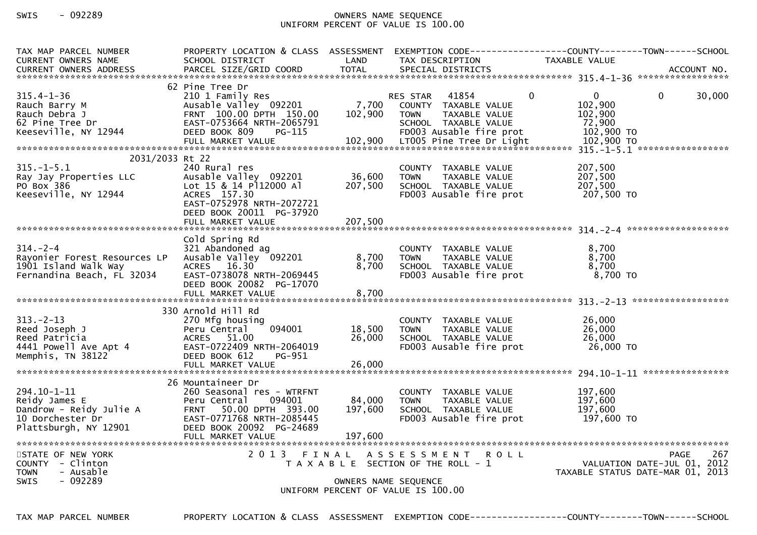# SWIS - 092289 OWNERS NAME SEQUENCE UNIFORM PERCENT OF VALUE IS 100.00

| TAX MAP PARCEL NUMBER<br><b>CURRENT OWNERS NAME</b>                                                  | PROPERTY LOCATION & CLASS ASSESSMENT<br>SCHOOL DISTRICT                                                                                                                          | LAND                         | TAX DESCRIPTION                                                                                                                                          | TAXABLE VALUE                                                                                        |        |
|------------------------------------------------------------------------------------------------------|----------------------------------------------------------------------------------------------------------------------------------------------------------------------------------|------------------------------|----------------------------------------------------------------------------------------------------------------------------------------------------------|------------------------------------------------------------------------------------------------------|--------|
|                                                                                                      |                                                                                                                                                                                  |                              |                                                                                                                                                          |                                                                                                      |        |
| $315.4 - 1 - 36$<br>Rauch Barry M<br>Rauch Debra J<br>62 Pine Tree Dr<br>Keeseville, NY 12944        | 62 Pine Tree Dr<br>210 1 Family Res<br>Ausable Valley 092201<br>FRNT 100.00 DPTH 150.00<br>EAST-0753664 NRTH-2065791<br>DEED BOOK 809<br>$PG-115$<br>FULL MARKET VALUE           | 7,700<br>102,900<br>102,900  | RES STAR<br>41854<br>COUNTY TAXABLE VALUE<br>TAXABLE VALUE<br><b>TOWN</b><br>SCHOOL TAXABLE VALUE<br>FD003 Ausable fire prot<br>LT005 Pine Tree Dr Light | $\Omega$<br>$\mathbf{0}$<br>$\mathbf{0}$<br>102,900<br>102,900<br>72,900<br>102,900 TO<br>102,900 TO | 30,000 |
| 2031/2033 Rt 22                                                                                      |                                                                                                                                                                                  |                              |                                                                                                                                                          |                                                                                                      |        |
| $315. - 1 - 5.1$<br>Ray Jay Properties LLC<br>PO Box 386<br>Keeseville, NY 12944                     | 240 Rural res<br>Ausable Valley 092201<br>Lot 15 & 14 P112000 Al<br>ACRES 157.30<br>EAST-0752978 NRTH-2072721                                                                    | 36,600<br>207,500            | COUNTY TAXABLE VALUE<br>TAXABLE VALUE<br><b>TOWN</b><br>SCHOOL TAXABLE VALUE<br>FD003 Ausable fire prot                                                  | 207,500<br>207,500<br>207,500<br>207,500 TO                                                          |        |
|                                                                                                      | DEED BOOK 20011 PG-37920<br>FULL MARKET VALUE                                                                                                                                    | 207,500                      |                                                                                                                                                          |                                                                                                      |        |
|                                                                                                      | Cold Spring Rd                                                                                                                                                                   |                              |                                                                                                                                                          |                                                                                                      |        |
| $314. - 2 - 4$<br>Rayonier Forest Resources LP<br>1901 Island Walk Way<br>Fernandina Beach, FL 32034 | 321 Abandoned ag<br>Ausable Valley 092201<br>ACRES 16.30<br>EAST-0738078 NRTH-2069445<br>DEED BOOK 20082 PG-17070                                                                | 8,700<br>8,700               | COUNTY TAXABLE VALUE<br>TAXABLE VALUE<br><b>TOWN</b><br>SCHOOL TAXABLE VALUE<br>FD003 Ausable fire prot                                                  | 8.700<br>8,700<br>8.700<br>8,700 TO                                                                  |        |
|                                                                                                      | FULL MARKET VALUE                                                                                                                                                                | 8,700                        |                                                                                                                                                          |                                                                                                      |        |
| $313. - 2 - 13$<br>Reed Joseph J<br>Reed Patricia<br>4441 Powell Ave Apt 4<br>Memphis, TN 38122      | 330 Arnold Hill Rd<br>270 Mfg housing<br>094001<br>Peru Central<br>ACRES 51.00<br>EAST-0722409 NRTH-2064019<br>DEED BOOK 612<br>PG-951<br>FULL MARKET VALUE                      | 18,500<br>26,000<br>26,000   | COUNTY TAXABLE VALUE<br>TAXABLE VALUE<br><b>TOWN</b><br>SCHOOL TAXABLE VALUE<br>FD003 Ausable fire prot                                                  | 26,000<br>26,000<br>26,000<br>26,000 TO                                                              |        |
|                                                                                                      |                                                                                                                                                                                  |                              |                                                                                                                                                          |                                                                                                      |        |
| 294.10-1-11<br>Reidy James E<br>Dandrow - Reidy Julie A<br>10 Dorchester Dr<br>Plattsburgh, NY 12901 | 26 Mountaineer Dr<br>260 Seasonal res - WTRFNT<br>094001<br>Peru Central<br>FRNT 50.00 DPTH 393.00<br>EAST-0771768 NRTH-2085445<br>DEED BOOK 20092 PG-24689<br>FULL MARKET VALUE | 84,000<br>197,600<br>197,600 | COUNTY TAXABLE VALUE<br><b>TOWN</b><br>TAXABLE VALUE<br>SCHOOL TAXABLE VALUE<br>FD003 Ausable fire prot                                                  | 197,600<br>197,600<br>197,600<br>197,600 TO                                                          |        |
| STATE OF NEW YORK<br>COUNTY - Clinton<br>- Ausable<br><b>TOWN</b><br>$-092289$<br><b>SWIS</b>        |                                                                                                                                                                                  |                              | 2013 FINAL ASSESSMENT ROLL<br>T A X A B L E SECTION OF THE ROLL - 1<br>OWNERS NAME SEQUENCE<br>UNIFORM PERCENT OF VALUE IS 100.00                        | <b>PAGE</b><br>VALUATION DATE-JUL 01, 2012<br>TAXABLE STATUS DATE-MAR 01, 2013                       | 267    |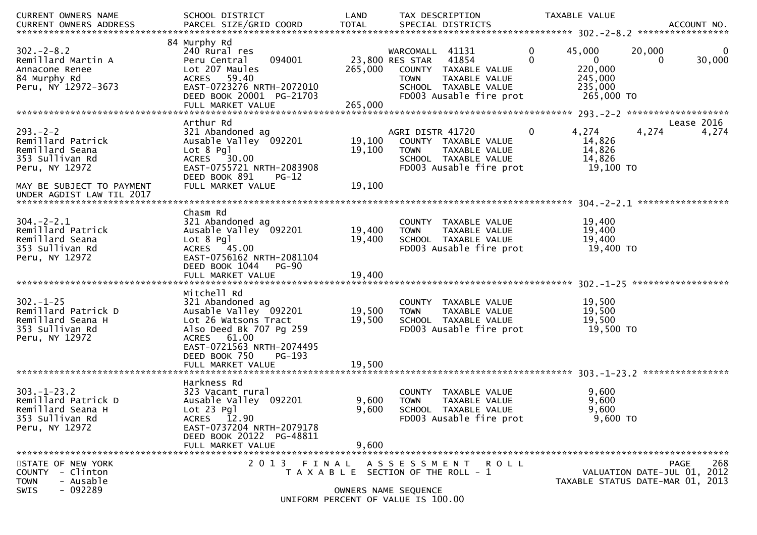| <b>CURRENT OWNERS NAME</b><br>CURRENT OWNERS ADDRESS                                                                     | SCHOOL DISTRICT<br>PARCEL SIZE/GRID COORD                                                                                                                                                               | LAND<br>TOTAL              | TAX DESCRIPTION<br>SPECIAL DISTRICTS                                                                                                                   | TAXABLE VALUE                                                                              | ACCOUNT NO.                                                                           |
|--------------------------------------------------------------------------------------------------------------------------|---------------------------------------------------------------------------------------------------------------------------------------------------------------------------------------------------------|----------------------------|--------------------------------------------------------------------------------------------------------------------------------------------------------|--------------------------------------------------------------------------------------------|---------------------------------------------------------------------------------------|
| $302 - 2 - 8.2$<br>Remillard Martin A<br>Annacone Renee<br>84 Murphy Rd<br>Peru, NY 12972-3673                           | 84 Murphy Rd<br>240 Rural res<br>Peru Central<br>094001<br>Lot 207 Maules<br>59.40<br><b>ACRES</b><br>EAST-0723276 NRTH-2072010<br>DEED BOOK 20001 PG-21703<br>FULL MARKET VALUE                        | 265,000<br>265,000         | WARCOMALL 41131<br>23,800 RES STAR<br>41854<br>COUNTY TAXABLE VALUE<br>TAXABLE VALUE<br><b>TOWN</b><br>SCHOOL TAXABLE VALUE<br>FD003 Ausable fire prot | 0<br>45,000<br>$\mathbf{0}$<br>$\mathbf{0}$<br>220,000<br>245,000<br>235,000<br>265,000 TO | 20,000<br>0<br>30,000<br>$\Omega$                                                     |
| $293. - 2 - 2$<br>Remillard Patrick<br>Remillard Seana<br>353 Sullivan Rd<br>Peru, NY 12972<br>MAY BE SUBJECT TO PAYMENT | Arthur Rd<br>321 Abandoned ag<br>Ausable Valley 092201<br>$Lot 8$ Pgl<br>30.00<br>ACRES<br>EAST-0755721 NRTH-2083908<br>DEED BOOK 891<br>$PG-12$<br>FULL MARKET VALUE                                   | 19,100<br>19,100<br>19,100 | AGRI DISTR 41720<br>COUNTY TAXABLE VALUE<br><b>TOWN</b><br>TAXABLE VALUE<br>SCHOOL TAXABLE VALUE<br>FD003 Ausable fire prot                            | 4,274<br>0<br>14,826<br>14,826<br>14,826<br>19,100 TO                                      | Lease 2016<br>4,274<br>4,274                                                          |
| $304. - 2 - 2.1$<br>Remillard Patrick<br>Remillard Seana<br>353 Sullivan Rd<br>Peru, NY 12972                            | Chasm Rd<br>321 Abandoned ag<br>Ausable Valley 092201<br>$Lot 8$ Pgl<br>ACRES 45.00<br>EAST-0756162 NRTH-2081104<br>DEED BOOK 1044<br>$PG-90$                                                           | 19,400<br>19,400           | COUNTY TAXABLE VALUE<br><b>TOWN</b><br>TAXABLE VALUE<br>SCHOOL TAXABLE VALUE<br>FD003 Ausable fire prot                                                | 19,400<br>19,400<br>19,400<br>19,400 TO                                                    | ******************                                                                    |
| $302 - 1 - 25$<br>Remillard Patrick D<br>Remillard Seana H<br>353 Sullivan Rd<br>Peru, NY 12972                          | Mitchell Rd<br>321 Abandoned ag<br>Ausable Valley 092201<br>Lot 26 Watsons Tract<br>Also Deed Bk 707 Pg 259<br>ACRES 61.00<br>EAST-0721563 NRTH-2074495<br>DEED BOOK 750<br>PG-193<br>FULL MARKET VALUE | 19,500<br>19,500<br>19,500 | COUNTY TAXABLE VALUE<br>TAXABLE VALUE<br><b>TOWN</b><br>SCHOOL TAXABLE VALUE<br>FD003 Ausable fire prot                                                | 19,500<br>19,500<br>19,500<br>19,500 TO                                                    |                                                                                       |
| $303 - 1 - 23.2$<br>Remillard Patrick D<br>Remillard Seana H<br>353 Sullivan Rd<br>Peru, NY 12972                        | Harkness Rd<br>323 Vacant rural<br>Ausable Valley 092201<br>$Lot 23$ Pgl<br>ACRES 12.90<br>EAST-0737204 NRTH-2079178<br>DEED BOOK 20122 PG-48811<br>FULL MARKET VALUE                                   | 9,600<br>9,600<br>9,600    | COUNTY TAXABLE VALUE<br><b>TOWN</b><br>TAXABLE VALUE<br>SCHOOL TAXABLE VALUE<br>FD003 Ausable fire prot                                                | 9,600<br>9,600<br>9,600<br>9,600 TO                                                        |                                                                                       |
| STATE OF NEW YORK<br>- Clinton<br><b>COUNTY</b><br>- Ausable<br><b>TOWN</b><br>$-092289$<br>SWIS                         |                                                                                                                                                                                                         | OWNERS NAME SEQUENCE       | 2013 FINAL ASSESSMENT ROLL<br>T A X A B L E SECTION OF THE ROLL - 1<br>UNIFORM PERCENT OF VALUE IS 100.00                                              |                                                                                            | 268<br><b>PAGE</b><br>VALUATION DATE-JUL 01, 2012<br>TAXABLE STATUS DATE-MAR 01, 2013 |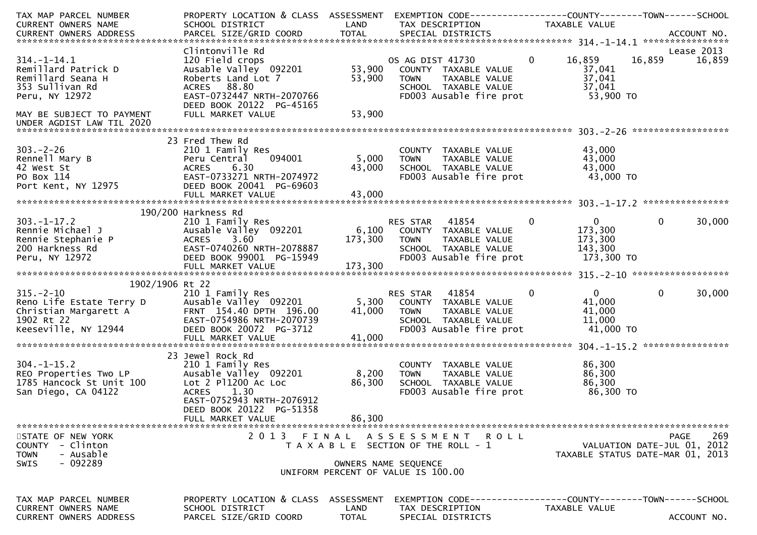| TAX MAP PARCEL NUMBER<br>CURRENT OWNERS NAME                                                                                          | PROPERTY LOCATION & CLASS ASSESSMENT EXEMPTION CODE----------------COUNTY-------TOWN------SCHOOL<br>SCHOOL DISTRICT                               | LAND               | TAX DESCRIPTION                                                                                                                 | TAXABLE VALUE  |                                                                 |                |             |
|---------------------------------------------------------------------------------------------------------------------------------------|---------------------------------------------------------------------------------------------------------------------------------------------------|--------------------|---------------------------------------------------------------------------------------------------------------------------------|----------------|-----------------------------------------------------------------|----------------|-------------|
|                                                                                                                                       |                                                                                                                                                   |                    |                                                                                                                                 |                |                                                                 |                |             |
|                                                                                                                                       |                                                                                                                                                   |                    |                                                                                                                                 |                |                                                                 |                |             |
| $314. - 1 - 14.1$<br>Remillard Patrick D<br>Remillard Seana H<br>353 Sullivan Rd<br>Peru, NY 12972                                    | Clintonville Rd<br>120 Field crops<br>Ausable Valley 092201<br>Roberts Land Lot 7<br>ACRES 88.80<br>EAST-0732447 NRTH-2070766                     | 53,900<br>53,900   | OS AG DIST 41730<br>COUNTY TAXABLE VALUE<br>TAXABLE VALUE<br>TOWN<br>SCHOOL TAXABLE VALUE<br>FD003 Ausable fire prot            | $\overline{0}$ | 16,859<br>37,041<br>37,041<br>37,041<br>53,900 TO               | 16,859 16,859  | Lease 2013  |
| MAY BE SUBJECT TO PAYMENT<br>UNDER AGDIST LAW TIL 2020                                                                                | DEED BOOK 20122 PG-45165<br>FULL MARKET VALUE                                                                                                     | 53,900             |                                                                                                                                 |                |                                                                 |                |             |
|                                                                                                                                       |                                                                                                                                                   |                    |                                                                                                                                 |                |                                                                 |                |             |
| $303 - 2 - 26$<br>Rennell Mary B<br>42 West St<br>PO Box 114<br>Port Kent, NY 12975                                                   | 23 Fred Thew Rd<br>210 1 Family Res<br>094001<br>Peru Central<br>ACRES<br>6.30<br>EAST-0733271 NRTH-2074972<br>DEED BOOK 20041 PG-69603           | 5,000<br>43,000    | COUNTY TAXABLE VALUE<br>TAXABLE VALUE<br><b>TOWN</b><br>SCHOOL TAXABLE VALUE<br>FD003 Ausable fire prot                         |                | 43,000<br>43,000<br>43,000<br>43,000 TO                         |                |             |
|                                                                                                                                       |                                                                                                                                                   |                    |                                                                                                                                 |                |                                                                 |                |             |
| $303. - 1 - 17.2$                                                                                                                     | 190/200 Harkness Rd<br>210 1 Family Res                                                                                                           |                    | RES STAR 41854                                                                                                                  | $\overline{0}$ | $\mathbf{0}$                                                    | $\overline{0}$ | 30,000      |
| Rennie Michael J<br>Rennie Stephanie P<br>200 Harkness Rd<br>Peru, NY 12972                                                           | Ausable Valley 092201<br>ACRES 3.60<br>EAST-0740260 NRTH-2078887<br>DEED BOOK 99001 PG-15949<br>FULL MARKET VALUE                                 | 173,300<br>173,300 | 6,100 COUNTY TAXABLE VALUE<br><b>TOWN</b><br>TAXABLE VALUE<br>SCHOOL TAXABLE VALUE<br>FD003 Ausable fire prot                   |                | 173,300<br>173,300<br>143,300<br>173,300 TO                     |                |             |
|                                                                                                                                       |                                                                                                                                                   |                    |                                                                                                                                 |                |                                                                 |                |             |
| 1902/1906 Rt 22                                                                                                                       |                                                                                                                                                   |                    |                                                                                                                                 |                |                                                                 |                |             |
| $315. - 2 - 10$<br>315.-2-10<br>Reno Life Estate Terry D<br>Christian Margarett A<br>1902 Rt 22<br>1902 Rt 22<br>Keeseville, NY 12944 | 210 1 Family Res<br>Ausable Valley 092201<br>FRNT 154.40 DPTH 196.00<br>EAST-0754986 NRTH-2070739<br>DEED BOOK 20072 PG-3712<br>FULL MARKET VALUE | 41,000<br>41,000   | RES STAR 41854<br>5,300 COUNTY TAXABLE VALUE<br><b>TOWN</b><br>TAXABLE VALUE<br>SCHOOL TAXABLE VALUE<br>FD003 Ausable fire prot | $\mathbf{0}$   | $\mathbf{0}$<br>41,000<br>41,000<br>11,000<br>41,000 TO         | $\mathbf{0}$   | 30,000      |
|                                                                                                                                       | 23 Jewel Rock Rd                                                                                                                                  |                    |                                                                                                                                 |                |                                                                 |                |             |
| $304. -1 - 15.2$<br>REO Properties Two LP<br>1785 Hancock St Unit 100<br>San Diego, CA 04122                                          | 210 1 Family Res<br>Ausable Valley 092201<br>Lot 2 P11200 Ac Loc<br>ACRES 1.30<br>EAST-0752943 NRTH-2076912<br>DEED BOOK 20122 PG-51358           | 8,200<br>86,300    | COUNTY TAXABLE VALUE<br><b>TOWN</b><br>TAXABLE VALUE<br>SCHOOL TAXABLE VALUE<br>FD003 Ausable fire prot                         |                | 86,300<br>86,300<br>86,300<br>86,300 то                         |                |             |
|                                                                                                                                       | FULL MARKET VALUE                                                                                                                                 | 86,300             |                                                                                                                                 |                |                                                                 |                |             |
| STATE OF NEW YORK<br>- Clinton<br>COUNTY<br>- Ausable<br><b>TOWN</b>                                                                  | 2013                                                                                                                                              | FINAL              | ASSESSMENT ROLL<br>T A X A B L E SECTION OF THE ROLL - 1                                                                        |                | VALUATION DATE-JUL 01, 2012<br>TAXABLE STATUS DATE-MAR 01, 2013 | <b>PAGE</b>    | 269         |
| $-092289$<br><b>SWIS</b>                                                                                                              |                                                                                                                                                   |                    | OWNERS NAME SEQUENCE<br>UNIFORM PERCENT OF VALUE IS 100.00                                                                      |                |                                                                 |                |             |
| TAX MAP PARCEL NUMBER<br>CURRENT OWNERS NAME                                                                                          | PROPERTY LOCATION & CLASS<br>SCHOOL DISTRICT                                                                                                      | ASSESSMENT<br>LAND | EXEMPTION CODE-----------------COUNTY-------TOWN------SCHOOL<br>TAX DESCRIPTION                                                 |                | <b>TAXABLE VALUE</b>                                            |                |             |
| CURRENT OWNERS ADDRESS                                                                                                                | PARCEL SIZE/GRID COORD                                                                                                                            | TOTAL              | SPECIAL DISTRICTS                                                                                                               |                |                                                                 |                | ACCOUNT NO. |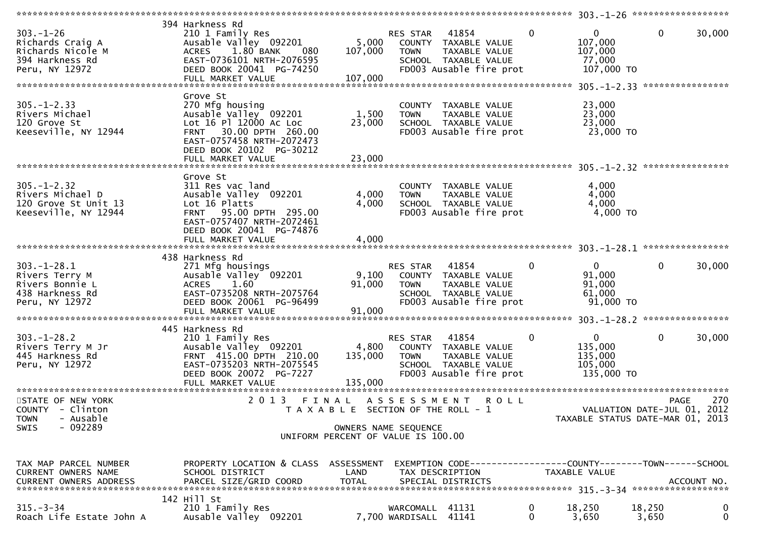| $303 - 1 - 26$<br>Richards Craig A<br>Richards Nicole M<br>394 Harkness Rd<br>Peru, NY 12972 | 394 Harkness Rd<br>210 1 Family Res<br>Ausable Valley 092201<br>1.80 BANK<br>080<br>ACRES<br>EAST-0736101 NRTH-2076595<br>DEED BOOK 20041 PG-74250<br>FULL MARKET VALUE              | 5,000<br>107,000<br>107,000           | RES STAR<br><b>TOWN</b>            | 41854<br>COUNTY TAXABLE VALUE<br>TAXABLE VALUE<br>SCHOOL TAXABLE VALUE<br>FD003 Ausable fire prot    | $\mathbf 0$  | $\Omega$<br>107,000<br>107,000<br>77,000<br>107,000 TO      | $\mathbf{0}$                               | 30,000      |
|----------------------------------------------------------------------------------------------|--------------------------------------------------------------------------------------------------------------------------------------------------------------------------------------|---------------------------------------|------------------------------------|------------------------------------------------------------------------------------------------------|--------------|-------------------------------------------------------------|--------------------------------------------|-------------|
|                                                                                              | Grove St                                                                                                                                                                             |                                       |                                    |                                                                                                      |              |                                                             |                                            |             |
| $305. - 1 - 2.33$<br>Rivers Michael<br>120 Grove St<br>Keeseville, NY 12944                  | 270 Mfg housing<br>Ausable Valley 092201<br>Lot 16 Pl 12000 Ac Loc<br>30.00 DPTH 260.00<br><b>FRNT</b><br>EAST-0757458 NRTH-2072473<br>DEED BOOK 20102 PG-30212<br>FULL MARKET VALUE | 1,500<br>23,000<br>23,000             | <b>TOWN</b>                        | COUNTY TAXABLE VALUE<br>TAXABLE VALUE<br>SCHOOL TAXABLE VALUE<br>FD003 Ausable fire prot             |              | 23,000<br>23,000<br>23,000<br>23,000 TO                     |                                            |             |
|                                                                                              |                                                                                                                                                                                      |                                       |                                    |                                                                                                      |              |                                                             |                                            |             |
| $305. - 1 - 2.32$<br>Rivers Michael D<br>120 Grove St Unit 13<br>Keeseville, NY 12944        | Grove St<br>311 Res vac land<br>Ausable Valley 092201<br>Lot 16 Platts<br>95.00 DPTH 295.00<br><b>FRNT</b><br>EAST-0757407 NRTH-2072461<br>DEED BOOK 20041 PG-74876                  | 4,000<br>4,000                        | <b>TOWN</b>                        | COUNTY TAXABLE VALUE<br>TAXABLE VALUE<br>SCHOOL TAXABLE VALUE<br>FD003 Ausable fire prot             |              | 4,000<br>4,000<br>4,000<br>4,000 TO                         |                                            |             |
|                                                                                              |                                                                                                                                                                                      |                                       |                                    |                                                                                                      |              |                                                             |                                            |             |
|                                                                                              | 438 Harkness Rd                                                                                                                                                                      |                                       |                                    |                                                                                                      |              |                                                             |                                            |             |
| $303. - 1 - 28.1$<br>Rivers Terry M<br>Rivers Bonnie L<br>438 Harkness Rd<br>Peru, NY 12972  | 271 Mfg housings<br>Ausable Valley 092201<br>1.60<br><b>ACRES</b><br>EAST-0735208 NRTH-2075764<br>DEED BOOK 20061 PG-96499<br>FULL MARKET VALUE                                      | 9,100<br>91,000<br>91,000             | RES STAR<br><b>TOWN</b>            | 41854<br>COUNTY TAXABLE VALUE<br>TAXABLE VALUE<br>SCHOOL TAXABLE VALUE<br>FD003 Ausable fire prot    | $\mathbf{0}$ | $\overline{0}$<br>91,000<br>91,000<br>61,000<br>91,000 TO   | $\Omega$                                   | 30,000      |
|                                                                                              |                                                                                                                                                                                      |                                       |                                    |                                                                                                      |              |                                                             |                                            |             |
| $303. - 1 - 28.2$<br>Rivers Terry M Jr<br>445 Harkness Rd<br>Peru, NY 12972                  | 445 Harkness Rd<br>210 1 Family Res<br>Ausable Valley 092201<br>FRNT 415.00 DPTH 210.00<br>EAST-0735203 NRTH-2075545<br>DEED BOOK 20072 PG-7227                                      | 4,800<br>135,000                      | RES STAR<br><b>TOWN</b>            | 41854<br>COUNTY TAXABLE VALUE<br>TAXABLE VALUE<br>SCHOOL TAXABLE VALUE<br>FD003 Ausable fire prot    | 0            | $\mathbf{0}$<br>135,000<br>135,000<br>105,000<br>135,000 TO | $\mathbf{0}$                               | 30,000      |
|                                                                                              |                                                                                                                                                                                      |                                       |                                    |                                                                                                      |              |                                                             |                                            |             |
| STATE OF NEW YORK<br>COUNTY - Clinton<br><b>TOWN</b><br>- Ausable                            | 2013 FINAL                                                                                                                                                                           | T A X A B L E SECTION OF THE ROLL - 1 | A S S E S S M E N T                | R O L L                                                                                              |              | TAXABLE STATUS DATE-MAR 01, 2013                            | <b>PAGE</b><br>VALUATION DATE-JUL 01, 2012 | 270         |
| $-092289$<br>SWIS                                                                            |                                                                                                                                                                                      | OWNERS NAME SEQUENCE                  |                                    |                                                                                                      |              |                                                             |                                            |             |
|                                                                                              |                                                                                                                                                                                      | UNIFORM PERCENT OF VALUE IS 100.00    |                                    |                                                                                                      |              |                                                             |                                            |             |
| TAX MAP PARCEL NUMBER<br><b>CURRENT OWNERS NAME</b><br>CURRENT OWNERS ADDRESS                | PROPERTY LOCATION & CLASS ASSESSMENT<br>SCHOOL DISTRICT<br>PARCEL SIZE/GRID COORD                                                                                                    | LAND<br><b>TOTAL</b>                  |                                    | EXEMPTION CODE-----------------COUNTY-------TOWN------SCHOOL<br>TAX DESCRIPTION<br>SPECIAL DISTRICTS |              | <b>TAXABLE VALUE</b>                                        |                                            | ACCOUNT NO. |
|                                                                                              | 142 Hill St                                                                                                                                                                          |                                       |                                    |                                                                                                      |              |                                                             |                                            |             |
| $315. - 3 - 34$<br>Roach Life Estate John A                                                  | 210 1 Family Res<br>Ausable Valley 092201                                                                                                                                            |                                       | WARCOMALL 41131<br>7,700 WARDISALL | 41141                                                                                                | 0<br>0       | 18,250<br>3,650                                             | 18,250<br>3,650                            | 0<br>0      |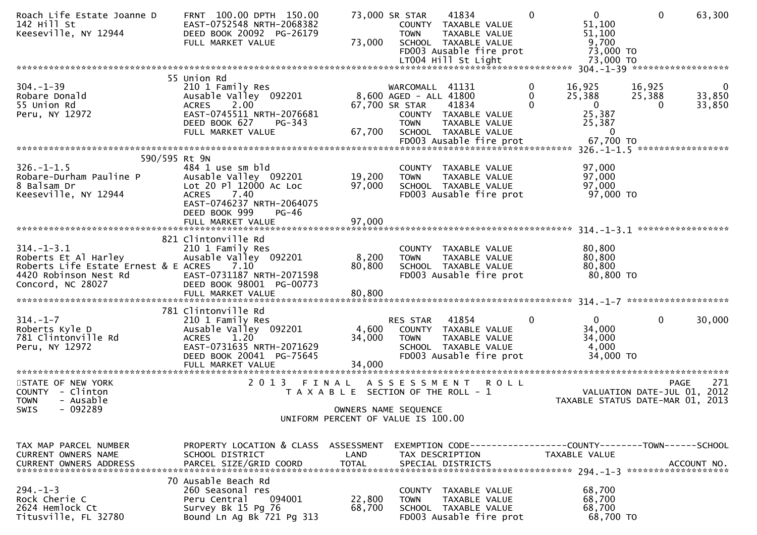| Roach Life Estate Joanne D<br>142 Hill St<br>Keeseville, NY 12944                                                              | FRNT 100.00 DPTH 150.00<br>EAST-0752548 NRTH-2068382<br>DEED BOOK 20092 PG-26179<br>FULL MARKET VALUE                                                         | 73,000                                                                                                       | 73,000 SR STAR<br><b>TOWN</b>                                              | 41834<br>COUNTY TAXABLE VALUE<br>TAXABLE VALUE<br>SCHOOL TAXABLE VALUE<br>FD003 Ausable fire prot<br>LT004 Hill St Light | $\Omega$      | $\mathbf{0}$<br>51,100<br>51,100<br>9,700<br>73,000 TO<br>73,000 TO                | $\mathbf{0}$                 | 63,300                |
|--------------------------------------------------------------------------------------------------------------------------------|---------------------------------------------------------------------------------------------------------------------------------------------------------------|--------------------------------------------------------------------------------------------------------------|----------------------------------------------------------------------------|--------------------------------------------------------------------------------------------------------------------------|---------------|------------------------------------------------------------------------------------|------------------------------|-----------------------|
|                                                                                                                                |                                                                                                                                                               |                                                                                                              |                                                                            |                                                                                                                          |               |                                                                                    |                              |                       |
| $304. - 1 - 39$<br>Robare Donald<br>55 Union Rd<br>Peru, NY 12972                                                              | 55 Union Rd<br>210 1 Family Res<br>Ausable Valley 092201<br>2.00<br><b>ACRES</b><br>EAST-0745511 NRTH-2076681<br>DEED BOOK 627<br>PG-343<br>FULL MARKET VALUE | 67,700                                                                                                       | WARCOMALL 41131<br>8,600 AGED - ALL 41800<br>67,700 SR STAR<br><b>TOWN</b> | 41834<br>COUNTY TAXABLE VALUE<br>TAXABLE VALUE<br>SCHOOL TAXABLE VALUE<br>FD003 Ausable fire prot                        | 0<br>$\Omega$ | 16,925<br>25,388<br>$\overline{0}$<br>25,387<br>25,387<br>$\mathbf 0$<br>67,700 TO | 16,925<br>25,388<br>$\Omega$ | 0<br>33,850<br>33,850 |
|                                                                                                                                |                                                                                                                                                               |                                                                                                              |                                                                            |                                                                                                                          |               |                                                                                    |                              |                       |
| 590/595 Rt 9N                                                                                                                  |                                                                                                                                                               |                                                                                                              |                                                                            |                                                                                                                          |               |                                                                                    |                              |                       |
| $326. - 1 - 1.5$<br>Robare-Durham Pauline P<br>8 Balsam Dr<br>Keeseville, NY 12944                                             | 484 1 use sm bld<br>Ausable Valley 092201<br>Lot 20 Pl 12000 Ac Loc<br>7.40<br><b>ACRES</b><br>EAST-0746237 NRTH-2064075<br>DEED BOOK 999<br>$PG-46$          | 19,200<br>97,000                                                                                             | <b>TOWN</b>                                                                | COUNTY TAXABLE VALUE<br>TAXABLE VALUE<br>SCHOOL TAXABLE VALUE<br>FD003 Ausable fire prot                                 |               | 97,000<br>97,000<br>97,000<br>97,000 TO                                            |                              |                       |
|                                                                                                                                |                                                                                                                                                               |                                                                                                              |                                                                            |                                                                                                                          |               |                                                                                    |                              |                       |
| $314. - 1 - 3.1$<br>Roberts Et Al Harley<br>Roberts Life Estate Ernest & E ACRES<br>4420 Robinson Nest Rd<br>Concord, NC 28027 | 821 Clintonville Rd<br>210 1 Family Res<br>Ausable Valley 092201<br>7.10<br>EAST-0731187 NRTH-2071598<br>DEED BOOK 98001 PG-00773<br>FULL MARKET VALUE        | 8,200<br>80,800<br>80,800                                                                                    | <b>TOWN</b>                                                                | COUNTY TAXABLE VALUE<br>TAXABLE VALUE<br>SCHOOL TAXABLE VALUE<br>FD003 Ausable fire prot                                 |               | 80,800<br>80,800<br>80,800<br>80,800 TO                                            |                              |                       |
|                                                                                                                                | 781 Clintonville Rd                                                                                                                                           |                                                                                                              |                                                                            |                                                                                                                          |               |                                                                                    |                              |                       |
| $314. - 1 - 7$<br>Roberts Kyle D<br>781 Clintonville Rd<br>Peru, NY 12972                                                      | 210 1 Family Res<br>Ausable Valley 092201<br><b>ACRES</b><br>1.20<br>EAST-0731635 NRTH-2071629<br>DEED BOOK 20041 PG-75645<br>FULL MARKET VALUE               | 4,600<br>34,000<br>34,000                                                                                    | RES STAR<br><b>TOWN</b>                                                    | 41854<br>COUNTY TAXABLE VALUE<br>TAXABLE VALUE<br>SCHOOL TAXABLE VALUE<br>FD003 Ausable fire prot                        | $\mathbf{0}$  | $\mathbf{0}$<br>34,000<br>34,000<br>4,000<br>34,000 TO                             | $\mathbf{0}$                 | 30,000                |
|                                                                                                                                |                                                                                                                                                               |                                                                                                              |                                                                            |                                                                                                                          |               |                                                                                    |                              |                       |
| STATE OF NEW YORK<br>COUNTY - Clinton<br><b>TOWN</b><br>- Ausable<br>$-092289$<br><b>SWIS</b>                                  | 2 0 1 3                                                                                                                                                       | FINAL<br>T A X A B L E SECTION OF THE ROLL - 1<br>OWNERS NAME SEOUENCE<br>UNIFORM PERCENT OF VALUE IS 100.00 | ASSESSMENT                                                                 | <b>ROLL</b>                                                                                                              |               | VALUATION DATE-JUL 01, 2012<br>TAXABLE STATUS DATE-MAR 01, 2013                    | PAGE                         | 271                   |
| TAX MAP PARCEL NUMBER<br>CURRENT OWNERS NAME                                                                                   | PROPERTY LOCATION & CLASS ASSESSMENT<br>SCHOOL DISTRICT                                                                                                       | LAND                                                                                                         |                                                                            | TAX DESCRIPTION                                                                                                          |               | EXEMPTION CODE------------------COUNTY--------TOWN------SCHOOL<br>TAXABLE VALUE    |                              |                       |
| $294. - 1 - 3$<br>Rock Cherie C<br>2624 Hemlock Ct<br>Titusville, FL 32780                                                     | 70 Ausable Beach Rd<br>260 Seasonal res<br>Peru Central<br>094001<br>Survey Bk 15 Pg 76<br>Bound Ln Ag Bk 721 Pg 313                                          | 22,800<br>68,700                                                                                             | <b>TOWN</b>                                                                | COUNTY TAXABLE VALUE<br>TAXABLE VALUE<br>SCHOOL TAXABLE VALUE<br>FD003 Ausable fire prot                                 |               | 68,700<br>68,700<br>68,700<br>68,700 TO                                            |                              |                       |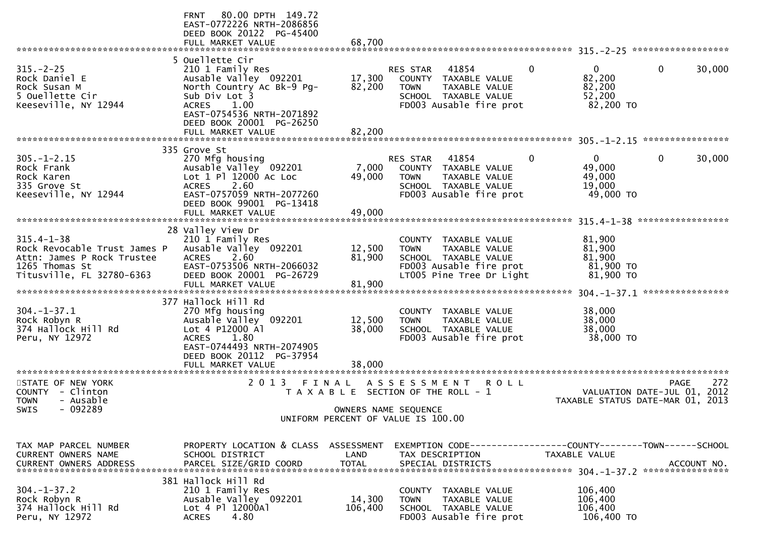|                                                                                                                               | 80.00 DPTH 149.72<br><b>FRNT</b><br>EAST-0772226 NRTH-2086856<br>DEED BOOK 20122 PG-45400<br>FULL MARKET VALUE                                                                              | 68,700                     |                                                                                                                                        |                                                                |                                |
|-------------------------------------------------------------------------------------------------------------------------------|---------------------------------------------------------------------------------------------------------------------------------------------------------------------------------------------|----------------------------|----------------------------------------------------------------------------------------------------------------------------------------|----------------------------------------------------------------|--------------------------------|
| $315. - 2 - 25$<br>Rock Daniel E<br>Rock Susan M<br>5 Ouellette Cir<br>Keeseville, NY 12944                                   | 5 Ouellette Cir<br>210 1 Family Res<br>Ausable Valley 092201<br>North Country Ac Bk-9 Pg-<br>Sub Div Lot 3<br>1.00<br><b>ACRES</b><br>EAST-0754536 NRTH-2071892<br>DEED BOOK 20001 PG-26250 | 17,300<br>82,200           | RES STAR<br>41854<br>COUNTY TAXABLE VALUE<br>TAXABLE VALUE<br><b>TOWN</b><br>SCHOOL TAXABLE VALUE<br>FD003 Ausable fire prot           | 0<br>$\mathbf{0}$<br>82,200<br>82,200<br>52,200<br>82,200 TO   | $\mathbf 0$<br>30,000          |
|                                                                                                                               | FULL MARKET VALUE                                                                                                                                                                           | 82,200                     |                                                                                                                                        |                                                                | ****************               |
| $305. - 1 - 2.15$<br>Rock Frank<br>Rock Karen<br>335 Grove St<br>Keeseville, NY 12944                                         | 335 Grove St<br>270 Mfg housing<br>Ausable Valley 092201<br>Lot 1 Pl 12000 Ac Loc<br>2.60<br><b>ACRES</b><br>EAST-0757059 NRTH-2077260<br>DEED BOOK 99001 PG-13418<br>FULL MARKET VALUE     | 7,000<br>49,000<br>49,000  | 41854<br><b>RES STAR</b><br>COUNTY<br>TAXABLE VALUE<br><b>TOWN</b><br>TAXABLE VALUE<br>SCHOOL TAXABLE VALUE<br>FD003 Ausable fire prot | 0<br>$\overline{0}$<br>49,000<br>49,000<br>19,000<br>49,000 TO | $\mathbf{0}$<br>30,000         |
|                                                                                                                               |                                                                                                                                                                                             |                            |                                                                                                                                        |                                                                | *****************              |
| $315.4 - 1 - 38$<br>Rock Revocable Trust James P<br>Attn: James P Rock Trustee<br>1265 Thomas St<br>Titusville, FL 32780-6363 | 28 Valley View Dr<br>210 1 Family Res<br>Ausable Valley 092201<br>2.60<br><b>ACRES</b><br>EAST-0753506 NRTH-2066032<br>DEED BOOK 20001 PG-26729<br>FULL MARKET VALUE                        | 12,500<br>81,900<br>81,900 | COUNTY TAXABLE VALUE<br>TAXABLE VALUE<br><b>TOWN</b><br>SCHOOL TAXABLE VALUE<br>FD003 Ausable fire prot<br>LT005 Pine Tree Dr Light    | 81,900<br>81,900<br>81,900<br>81,900 TO<br>81,900 TO           | ****************               |
| $304. - 1 - 37.1$<br>Rock Robyn R<br>374 Hallock Hill Rd<br>Peru, NY 12972                                                    | 377 Hallock Hill Rd<br>270 Mfg housing<br>Ausable Valley 092201<br>Lot 4 P12000 Al<br><b>ACRES</b><br>1.80<br>EAST-0744493 NRTH-2074905<br>DEED BOOK 20112 PG-37954<br>FULL MARKET VALUE    | 12,500<br>38,000<br>38,000 | COUNTY TAXABLE VALUE<br><b>TOWN</b><br>TAXABLE VALUE<br>SCHOOL TAXABLE VALUE<br>FD003 Ausable fire prot                                | 38,000<br>38,000<br>38,000<br>38,000 TO                        |                                |
| STATE OF NEW YORK                                                                                                             | 2 0 1 3                                                                                                                                                                                     | FINAL                      | A S S E S S M E N T<br><b>ROLL</b>                                                                                                     |                                                                | 272<br><b>PAGE</b>             |
| COUNTY - Clinton<br><b>TOWN</b><br>- Ausable<br>$-092289$<br>SWIS                                                             |                                                                                                                                                                                             | OWNERS NAME SEQUENCE       | T A X A B L E SECTION OF THE ROLL - 1<br>UNIFORM PERCENT OF VALUE IS 100.00                                                            | TAXABLE STATUS DATE-MAR 01, 2013                               | VALUATION DATE-JUL 01,<br>2012 |
| TAX MAP PARCEL NUMBER<br>CURRENT OWNERS NAME<br><b>CURRENT OWNERS ADDRESS</b>                                                 | PROPERTY LOCATION & CLASS ASSESSMENT<br>SCHOOL DISTRICT<br>PARCEL SIZE/GRID COORD                                                                                                           | LAND<br><b>TOTAL</b>       | EXEMPTION        CODE-----------------COUNTY-------TOWN------SCHOOL<br>TAX DESCRIPTION<br>SPECIAL DISTRICTS                            | TAXABLE VALUE                                                  | ACCOUNT NO.                    |
| $304. - 1 - 37.2$<br>Rock Robyn R<br>374 Hallock Hill Rd<br>Peru, NY 12972                                                    | 381 Hallock Hill Rd<br>210 1 Family Res<br>Ausable Valley 092201<br>Lot 4 Pl 12000Al<br>4.80<br><b>ACRES</b>                                                                                | 14,300<br>106,400          | COUNTY TAXABLE VALUE<br>TAXABLE VALUE<br><b>TOWN</b><br>SCHOOL TAXABLE VALUE<br>FD003 Ausable fire prot                                | 106,400<br>106,400<br>106,400<br>106,400 TO                    |                                |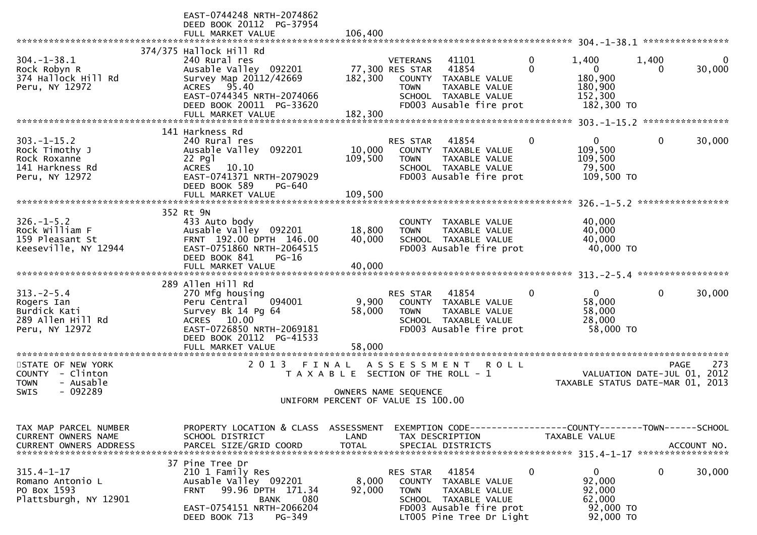|                                   | EAST-0744248 NRTH-2074862                                 |                                       |                              |                                                 |              |                                                               |             |          |
|-----------------------------------|-----------------------------------------------------------|---------------------------------------|------------------------------|-------------------------------------------------|--------------|---------------------------------------------------------------|-------------|----------|
|                                   | DEED BOOK 20112 PG-37954                                  |                                       |                              |                                                 |              |                                                               |             |          |
|                                   | FULL MARKET VALUE                                         | 106,400                               |                              |                                                 |              |                                                               |             |          |
|                                   | 374/375 Hallock Hill Rd                                   |                                       |                              |                                                 |              |                                                               |             |          |
| $304. - 1 - 38.1$                 | 240 Rural res                                             |                                       | <b>VETERANS</b>              | 41101                                           | $\mathbf{0}$ | 1,400                                                         | 1,400       | $\Omega$ |
| Rock Robyn R                      | Ausable Valley 092201                                     |                                       | 77,300 RES STAR              | 41854                                           | $\Omega$     | $\mathbf{0}$                                                  | $\Omega$    | 30,000   |
| 374 Hallock Hill Rd               | Survey Map 20112/42669                                    | 182,300                               |                              | COUNTY TAXABLE VALUE                            |              | 180,900                                                       |             |          |
| Peru, NY 12972                    | ACRES 95.40                                               |                                       | <b>TOWN</b>                  | TAXABLE VALUE                                   |              | 180,900                                                       |             |          |
|                                   | EAST-0744345 NRTH-2074066<br>DEED BOOK 20011 PG-33620     |                                       |                              | SCHOOL TAXABLE VALUE<br>FD003 Ausable fire prot |              | 152,300<br>182,300 TO                                         |             |          |
|                                   | FULL MARKET VALUE                                         | 182,300                               |                              |                                                 |              |                                                               |             |          |
|                                   |                                                           |                                       |                              |                                                 |              | ******************* 303.-1-15.2 *****************             |             |          |
|                                   | 141 Harkness Rd                                           |                                       |                              |                                                 |              |                                                               |             |          |
| $303. -1 - 15.2$                  | 240 Rural res                                             |                                       | <b>RES STAR</b>              | 41854                                           | 0            | $\Omega$                                                      | 0           | 30,000   |
| Rock Timothy J                    | Ausable Valley 092201                                     | 10,000                                |                              | COUNTY TAXABLE VALUE                            |              | 109,500                                                       |             |          |
| Rock Roxanne<br>141 Harkness Rd   | 22 Pg1<br><b>ACRES</b><br>10.10                           | 109,500                               | <b>TOWN</b>                  | TAXABLE VALUE<br>SCHOOL TAXABLE VALUE           |              | 109,500<br>79,500                                             |             |          |
| Peru, NY 12972                    | EAST-0741371 NRTH-2079029                                 |                                       |                              | FD003 Ausable fire prot                         |              | 109,500 TO                                                    |             |          |
|                                   | DEED BOOK 589<br>PG-640                                   |                                       |                              |                                                 |              |                                                               |             |          |
|                                   | FULL MARKET VALUE                                         | 109,500                               |                              |                                                 |              |                                                               |             |          |
|                                   |                                                           |                                       |                              |                                                 |              |                                                               |             |          |
|                                   | 352 Rt 9N                                                 |                                       |                              |                                                 |              |                                                               |             |          |
| $326. - 1 - 5.2$                  | 433 Auto body                                             |                                       | COUNTY                       | TAXABLE VALUE                                   |              | 40,000                                                        |             |          |
| Rock William F<br>159 Pleasant St | Ausable Valley 092201<br>FRNT 192.00 DPTH 146.00          | 18,800<br>40,000                      | <b>TOWN</b>                  | TAXABLE VALUE<br>SCHOOL TAXABLE VALUE           |              | 40,000<br>40,000                                              |             |          |
| Keeseville, NY 12944              | EAST-0751860 NRTH-2064515                                 |                                       |                              | FD003 Ausable fire prot                         |              | 40,000 TO                                                     |             |          |
|                                   | DEED BOOK 841<br>$PG-16$                                  |                                       |                              |                                                 |              |                                                               |             |          |
|                                   | FULL MARKET VALUE                                         | 40,000                                |                              |                                                 |              |                                                               |             |          |
|                                   |                                                           |                                       |                              |                                                 |              |                                                               |             |          |
|                                   | 289 Allen Hill Rd                                         |                                       |                              |                                                 |              | $\overline{0}$                                                |             |          |
| $313. - 2 - 5.4$<br>Rogers Ian    | 270 Mfg housing<br>094001<br>Peru Central                 | 9,900                                 | RES STAR                     | 41854<br>COUNTY TAXABLE VALUE                   | 0            | 58,000                                                        | 0           | 30,000   |
| Burdick Kati                      | Survey Bk 14 Pg 64                                        | 58,000                                | <b>TOWN</b>                  | TAXABLE VALUE                                   |              | 58,000                                                        |             |          |
| 289 Allen Hill Rd                 | ACRES 10.00                                               |                                       |                              | SCHOOL TAXABLE VALUE                            |              | 28,000                                                        |             |          |
| Peru, NY 12972                    | EAST-0726850 NRTH-2069181                                 |                                       |                              | FD003 Ausable fire prot                         |              | 58,000 TO                                                     |             |          |
|                                   | DEED BOOK 20112 PG-41533                                  |                                       |                              |                                                 |              |                                                               |             |          |
| *********************             | FULL MARKET VALUE<br>********************                 | 58,000                                |                              |                                                 |              |                                                               |             |          |
| STATE OF NEW YORK                 | 2 0 1 3<br>FINAL                                          |                                       | A S S E S S M E N T          | R O L L                                         |              |                                                               | <b>PAGE</b> | 273      |
| <b>COUNTY</b><br>- Clinton        |                                                           | T A X A B L E SECTION OF THE ROLL - 1 |                              |                                                 |              | VALUATION DATE-JUL 01, 2012                                   |             |          |
| - Ausable<br><b>TOWN</b>          |                                                           |                                       |                              |                                                 |              | TAXABLE STATUS DATE-MAR 01, 2013                              |             |          |
| $-092289$<br>SWIS                 |                                                           |                                       | OWNERS NAME SEQUENCE         |                                                 |              |                                                               |             |          |
|                                   |                                                           | UNIFORM PERCENT OF VALUE IS 100.00    |                              |                                                 |              |                                                               |             |          |
|                                   |                                                           |                                       |                              |                                                 |              |                                                               |             |          |
| TAX MAP PARCEL NUMBER             | PROPERTY LOCATION & CLASS                                 | ASSESSMENT                            |                              |                                                 |              | EXEMPTION CODE-----------------COUNTY--------TOWN------SCHOOL |             |          |
| CURRENT OWNERS NAME               | SCHOOL DISTRICT                                           | LAND                                  | TAX DESCRIPTION              |                                                 |              | TAXABLE VALUE                                                 |             |          |
|                                   |                                                           |                                       |                              |                                                 |              |                                                               |             |          |
|                                   |                                                           |                                       |                              |                                                 |              |                                                               |             |          |
|                                   | 37 Pine Tree Dr                                           |                                       |                              |                                                 |              |                                                               |             |          |
| $315.4 - 1 - 17$                  | 210 1 Family Res                                          |                                       | RES STAR                     | 41854                                           | 0            | $\mathbf{0}$                                                  | $\mathbf 0$ | 30,000   |
| Romano Antonio L<br>PO Box 1593   | Ausable Valley 092201<br>99.96 DPTH 171.34<br><b>FRNT</b> | 8,000<br>92,000                       | <b>COUNTY</b><br><b>TOWN</b> | TAXABLE VALUE<br>TAXABLE VALUE                  |              | 92,000<br>92,000                                              |             |          |
| Plattsburgh, NY 12901             | BANK<br>080                                               |                                       |                              | SCHOOL TAXABLE VALUE                            |              | 62,000                                                        |             |          |
|                                   | EAST-0754151 NRTH-2066204                                 |                                       |                              | FD003 Ausable fire prot                         |              | 92,000 TO                                                     |             |          |
|                                   | DEED BOOK 713<br>PG-349                                   |                                       |                              | LT005 Pine Tree Dr Light                        |              | 92,000 TO                                                     |             |          |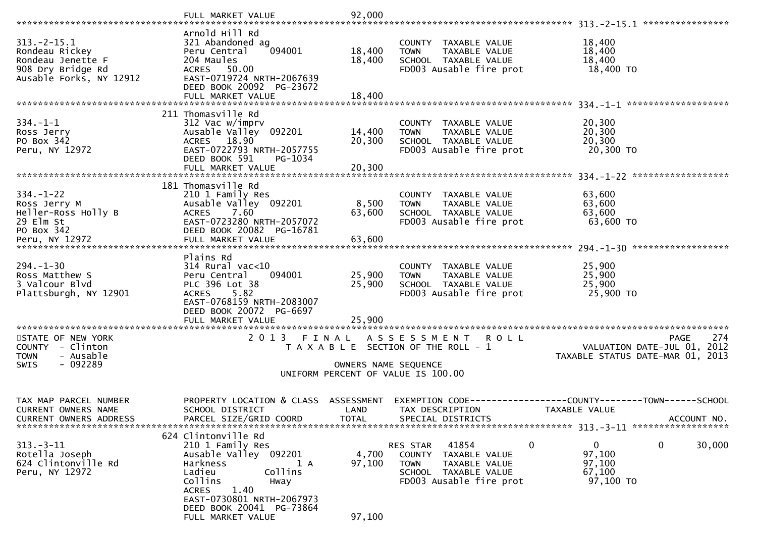|                                                     | FULL MARKET VALUE                                     | 92,000               |                                                      |                                               |
|-----------------------------------------------------|-------------------------------------------------------|----------------------|------------------------------------------------------|-----------------------------------------------|
| $313.-2-15.1$                                       | Arnold Hill Rd                                        |                      |                                                      |                                               |
| Rondeau Rickey                                      | 321 Abandoned ag<br>Peru Central<br>094001            | 18,400               | COUNTY TAXABLE VALUE<br>TAXABLE VALUE<br><b>TOWN</b> | 18,400<br>18,400                              |
| Rondeau Jenette F                                   | 204 Maules                                            | 18,400               | SCHOOL TAXABLE VALUE                                 | 18,400                                        |
| 908 Dry Bridge Rd                                   | ACRES 50.00                                           |                      | FD003 Ausable fire prot                              | 18,400 TO                                     |
| Ausable Forks, NY 12912                             | EAST-0719724 NRTH-2067639                             |                      |                                                      |                                               |
|                                                     | DEED BOOK 20092 PG-23672<br>FULL MARKET VALUE         | 18,400               |                                                      |                                               |
|                                                     |                                                       |                      |                                                      |                                               |
| $334. - 1 - 1$                                      | 211 Thomasville Rd<br>312 Vac w/imprv                 |                      | COUNTY TAXABLE VALUE                                 | 20,300                                        |
| Ross Jerry                                          | Ausable Valley 092201                                 | 14,400               | <b>TOWN</b><br>TAXABLE VALUE                         | 20,300                                        |
| PO Box 342                                          | ACRES 18.90                                           | 20,300               | SCHOOL TAXABLE VALUE                                 | 20,300                                        |
| Peru, NY 12972                                      | EAST-0722793 NRTH-2057755                             |                      | FD003 Ausable fire prot                              | 20,300 TO                                     |
|                                                     | DEED BOOK 591<br>PG-1034<br>FULL MARKET VALUE         | 20,300               |                                                      |                                               |
|                                                     |                                                       |                      |                                                      |                                               |
|                                                     | 181 Thomasville Rd                                    |                      |                                                      |                                               |
| $334. - 1 - 22$<br>Ross Jerry M                     | 210 1 Family Res<br>Ausable Valley 092201             | 8,500                | COUNTY TAXABLE VALUE<br><b>TOWN</b><br>TAXABLE VALUE | 63,600<br>63,600                              |
| Heller-Ross Holly B                                 | 7.60<br><b>ACRES</b>                                  | 63,600               | SCHOOL TAXABLE VALUE                                 | 63,600                                        |
| 29 Elm St                                           | EAST-0723280 NRTH-2057072                             |                      | FD003 Ausable fire prot                              | 63,600 TO                                     |
| PO Box 342                                          | DEED BOOK 20082 PG-16781                              |                      |                                                      |                                               |
|                                                     |                                                       |                      |                                                      |                                               |
|                                                     | Plains Rd                                             |                      |                                                      |                                               |
| $294. - 1 - 30$                                     | $314$ Rural vac<10                                    |                      | COUNTY TAXABLE VALUE                                 | 25,900                                        |
| Ross Matthew S<br>3 Valcour Blvd                    | Peru Central<br>094001<br>PLC 396 Lot 38              | 25,900<br>25,900     | TAXABLE VALUE<br><b>TOWN</b><br>SCHOOL TAXABLE VALUE | 25,900<br>25,900                              |
| Plattsburgh, NY 12901                               | ACRES 5.82                                            |                      | FD003 Ausable fire prot                              | 25,900 TO                                     |
|                                                     | EAST-0768159 NRTH-2083007                             |                      |                                                      |                                               |
|                                                     | DEED BOOK 20072 PG-6697                               |                      |                                                      |                                               |
|                                                     |                                                       |                      |                                                      |                                               |
| STATE OF NEW YORK                                   |                                                       |                      | 2013 FINAL ASSESSMENT ROLL                           | 274<br>PAGE                                   |
| COUNTY - Clinton                                    |                                                       |                      | T A X A B L E SECTION OF THE ROLL - 1                | VALUATION DATE-JUL 01, 2012                   |
| - Ausable<br><b>TOWN</b><br>- 092289<br><b>SWIS</b> |                                                       | OWNERS NAME SEQUENCE |                                                      | TAXABLE STATUS DATE-MAR 01, 2013              |
|                                                     |                                                       |                      | UNIFORM PERCENT OF VALUE IS 100.00                   |                                               |
|                                                     |                                                       |                      |                                                      |                                               |
| TAX MAP PARCEL NUMBER                               | PROPERTY LOCATION & CLASS                             | ASSESSMENT           | EXEMPTION CODE--                                     | ---------------COUNTY--------TOWN------SCHOOL |
| CURRENT OWNERS NAME                                 | SCHOOL DISTRICT                                       | LAND                 | TAX DESCRIPTION                                      | TAXABLE VALUE                                 |
| <b>CURRENT OWNERS ADDRESS</b>                       | PARCEL SIZE/GRID COORD                                | <b>TOTAL</b>         | SPECIAL DISTRICTS                                    | ACCOUNT NO.                                   |
|                                                     | 624 Clintonville Rd                                   |                      |                                                      |                                               |
| $313 - 3 - 11$                                      | 210 1 Family Res                                      |                      | 41854<br>0<br>RES STAR                               | 0<br>0<br>30,000                              |
| Rotella Joseph                                      | Ausable Valley 092201                                 | 4,700                | COUNTY<br>TAXABLE VALUE                              | 97,100                                        |
| 624 Clintonville Rd<br>Peru, NY 12972               | Harkness<br>1 A<br>Ladieu<br>Collins                  | 97,100               | <b>TOWN</b><br>TAXABLE VALUE<br>SCHOOL TAXABLE VALUE | 97,100<br>67,100                              |
|                                                     | Collins<br>Hway                                       |                      | FD003 Ausable fire prot                              | 97,100 TO                                     |
|                                                     | <b>ACRES</b><br>1.40                                  |                      |                                                      |                                               |
|                                                     | EAST-0730801 NRTH-2067973<br>DEED BOOK 20041 PG-73864 |                      |                                                      |                                               |
|                                                     | FULL MARKET VALUE                                     | 97,100               |                                                      |                                               |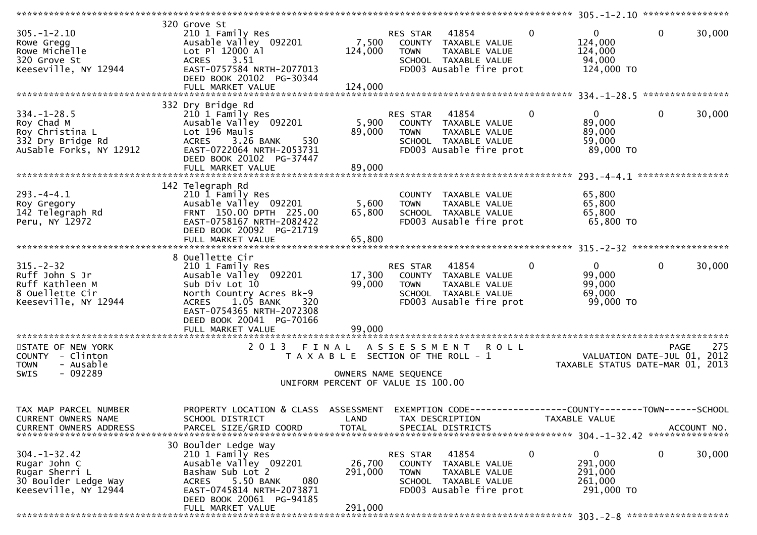|                                                                                                      |                                                                                                                                                                                                             |                              |                                                                                                                              |              | 305.-1-2.10 *****************                                   |                   |             |
|------------------------------------------------------------------------------------------------------|-------------------------------------------------------------------------------------------------------------------------------------------------------------------------------------------------------------|------------------------------|------------------------------------------------------------------------------------------------------------------------------|--------------|-----------------------------------------------------------------|-------------------|-------------|
| $305. - 1 - 2.10$<br>Rowe Gregg<br>Rowe Michelle<br>320 Grove St<br>Keeseville, NY 12944             | 320 Grove St<br>210 1 Family Res<br>Ausable Valley 092201<br>Lot Pl 12000 Al<br><b>ACRES</b><br>3.51<br>EAST-0757584 NRTH-2077013<br>DEED BOOK 20102 PG-30344<br>FULL MARKET VALUE                          | 7,500<br>124,000<br>124,000  | 41854<br>RES STAR<br>COUNTY TAXABLE VALUE<br>TAXABLE VALUE<br><b>TOWN</b><br>SCHOOL TAXABLE VALUE<br>FD003 Ausable fire prot | $\mathbf{0}$ | 0<br>124,000<br>124,000<br>94,000<br>124,000 TO                 | $\mathbf 0$       | 30,000      |
|                                                                                                      |                                                                                                                                                                                                             |                              |                                                                                                                              |              |                                                                 | ****************  |             |
| $334. - 1 - 28.5$<br>Roy Chad M<br>Roy Christina L<br>332 Dry Bridge Rd<br>AuSable Forks, NY 12912   | 332 Dry Bridge Rd<br>210 1 Family Res<br>Ausable Valley 092201<br>Lot 196 Mauls<br>3.26 BANK<br>530<br><b>ACRES</b><br>EAST-0722064 NRTH-2053731<br>DEED BOOK 20102 PG-37447<br>FULL MARKET VALUE           | 5,900<br>89,000<br>89,000    | RES STAR<br>41854<br>COUNTY TAXABLE VALUE<br><b>TOWN</b><br>TAXABLE VALUE<br>SCHOOL TAXABLE VALUE<br>FD003 Ausable fire prot | $\mathbf 0$  | $\mathbf{0}$<br>89,000<br>89,000<br>59,000<br>89,000 TO         | $\mathbf 0$       | 30,000      |
|                                                                                                      |                                                                                                                                                                                                             |                              |                                                                                                                              |              |                                                                 | ***************** |             |
| $293. -4 -4.1$<br>Roy Gregory<br>142 Telegraph Rd<br>Peru, NY 12972                                  | 142 Telegraph Rd<br>210 1 Family Res<br>Ausable Valley 092201<br>FRNT 150.00 DPTH 225.00<br>EAST-0758167 NRTH-2082422<br>DEED BOOK 20092 PG-21719<br>FULL MARKET VALUE                                      | 5,600<br>65,800<br>65,800    | COUNTY TAXABLE VALUE<br>TAXABLE VALUE<br><b>TOWN</b><br>SCHOOL TAXABLE VALUE<br>FD003 Ausable fire prot                      |              | 65,800<br>65,800<br>65,800<br>65,800 TO                         |                   |             |
|                                                                                                      | 8 Ouellette Cir                                                                                                                                                                                             |                              |                                                                                                                              |              |                                                                 |                   |             |
| $315. - 2 - 32$<br>Ruff John S Jr<br>Ruff Kathleen M<br>8 Ouellette Cir<br>Keeseville, NY 12944      | 210 1 Family Res<br>Ausable Valley 092201<br>Sub Div Lot 10<br>North Country Acres Bk-9<br>$1.05$ BANK<br><b>ACRES</b><br>320<br>EAST-0754365 NRTH-2072308<br>DEED BOOK 20041 PG-70166<br>FULL MARKET VALUE | 17,300<br>99,000<br>99,000   | RES STAR<br>41854<br>COUNTY TAXABLE VALUE<br><b>TOWN</b><br>TAXABLE VALUE<br>SCHOOL TAXABLE VALUE<br>FD003 Ausable fire prot | $\mathbf 0$  | $\mathbf{0}$<br>99,000<br>99,000<br>69,000<br>99,000 TO         | $\mathbf{0}$      | 30,000      |
| STATE OF NEW YORK                                                                                    | ***********************<br>2 0 1 3<br>FINAL                                                                                                                                                                 |                              |                                                                                                                              |              |                                                                 | <b>PAGE</b>       | 275         |
| COUNTY - Clinton<br><b>TOWN</b><br>- Ausable<br>$-092289$<br>SWIS                                    |                                                                                                                                                                                                             |                              | ASSESSMENT ROLL<br>T A X A B L E SECTION OF THE ROLL - 1<br>OWNERS NAME SEQUENCE<br>UNIFORM PERCENT OF VALUE IS 100.00       |              | VALUATION DATE-JUL 01, 2012<br>TAXABLE STATUS DATE-MAR 01, 2013 |                   |             |
| TAX MAP PARCEL NUMBER                                                                                | PROPERTY LOCATION & CLASS ASSESSMENT                                                                                                                                                                        |                              | EXEMPTION CODE------------------COUNTY--------TOWN------SCHOOL                                                               |              |                                                                 |                   |             |
| CURRENT OWNERS NAME<br><b>CURRENT OWNERS ADDRESS</b>                                                 | SCHOOL DISTRICT<br>PARCEL SIZE/GRID COORD                                                                                                                                                                   | LAND<br><b>TOTAL</b>         | TAX DESCRIPTION<br>SPECIAL DISTRICTS                                                                                         |              | TAXABLE VALUE                                                   |                   | ACCOUNT NO. |
|                                                                                                      | 30 Boulder Ledge Way                                                                                                                                                                                        |                              |                                                                                                                              |              |                                                                 |                   |             |
| $304. - 1 - 32.42$<br>Rugar John C<br>Rugar Sherri L<br>30 Boulder Ledge Way<br>Keeseville, NY 12944 | 210 1 Family Res<br>Ausable Valley 092201<br>Bashaw Sub Lot 2<br>5.50 BANK<br>080<br><b>ACRES</b><br>EAST-0745814 NRTH-2073871<br>DEED BOOK 20061 PG-94185<br>FULL MARKET VALUE                             | 26,700<br>291,000<br>291,000 | 41854<br>RES STAR<br>COUNTY TAXABLE VALUE<br>TAXABLE VALUE<br><b>TOWN</b><br>SCHOOL TAXABLE VALUE<br>FD003 Ausable fire prot | $\mathbf 0$  | $\mathbf 0$<br>291,000<br>291,000<br>261,000<br>291,000 TO      | 0                 | 30,000      |
|                                                                                                      |                                                                                                                                                                                                             |                              |                                                                                                                              |              |                                                                 |                   |             |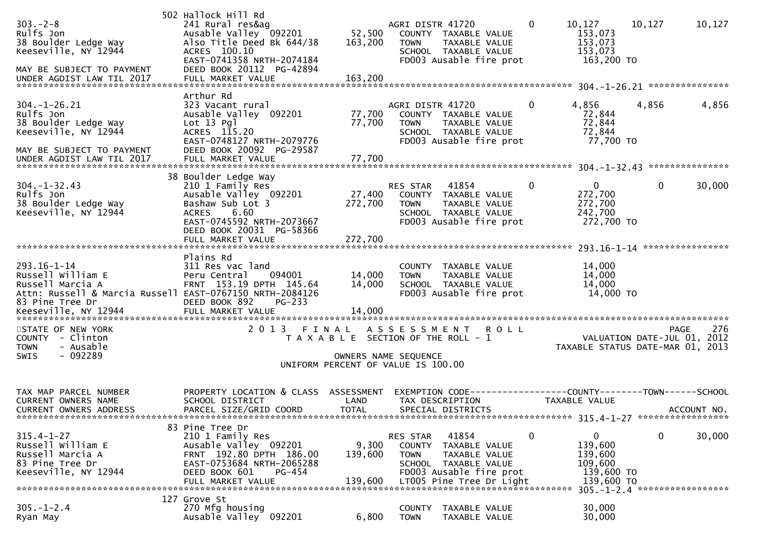| $303. - 2 - 8$<br>Rulfs Jon<br>38 Boulder Ledge Way<br>Keeseville, NY 12944<br>MAY BE SUBJECT TO PAYMENT                                                                            | 502 Hallock Hill Rd<br>241 Rural res&ag<br>Ausable Valley 092201<br>Also Title Deed Bk 644/38<br>ACRES 100.10<br>EAST-0741358 NRTH-2074184<br>DEED BOOK 20112 PG-42894 | 52,500<br>163,200                                                                                   | AGRI DISTR 41720<br><b>TOWN</b> | COUNTY TAXABLE VALUE<br>TAXABLE VALUE<br>SCHOOL TAXABLE VALUE<br>FD003 Ausable fire prot                     | $\bf{0}$       | 10,127<br>153,073<br>153,073<br>153,073<br>163,200 TO           | 10,127         | 10,127      |
|-------------------------------------------------------------------------------------------------------------------------------------------------------------------------------------|------------------------------------------------------------------------------------------------------------------------------------------------------------------------|-----------------------------------------------------------------------------------------------------|---------------------------------|--------------------------------------------------------------------------------------------------------------|----------------|-----------------------------------------------------------------|----------------|-------------|
| $304. - 1 - 26.21$<br>Rulfs Jon<br>38 Boulder Ledge Way<br>Keeseville, NY 12944<br>MAY BE SUBJECT TO PAYMENT<br>UNDER AGDIST LAW TIL 2017                                           | Arthur Rd<br>323 Vacant rural<br>Ausable Valley 092201<br>$Lot 13$ $Pq$<br>ACRES 115.20<br>EAST-0748127 NRTH-2079776<br>DEED BOOK 20092 PG-29587<br>FULL MARKET VALUE  | 77,700<br>77,700<br>77,700                                                                          | AGRI DISTR 41720<br><b>TOWN</b> | COUNTY TAXABLE VALUE<br>TAXABLE VALUE<br>SCHOOL TAXABLE VALUE<br>FD003 Ausable fire prot                     | $\overline{0}$ | 4,856<br>72,844<br>72,844<br>72,844<br>77,700 TO                | 4,856          | 4,856       |
| $304. - 1 - 32.43$<br>Rulfs Jon<br>38 Boulder Ledge Way<br>Keeseville, NY 12944                                                                                                     | 38 Boulder Ledge Way<br>210 1 Family Res<br>Ausable Valley 092201<br>Bashaw Sub Lot 3<br>6.60<br><b>ACRES</b><br>EAST-0745592 NRTH-2073667<br>DEED BOOK 20031 PG-58366 | 27,400<br>272,700                                                                                   | RES STAR<br><b>TOWN</b>         | 41854<br>COUNTY TAXABLE VALUE<br>TAXABLE VALUE<br>SCHOOL TAXABLE VALUE<br>FD003 Ausable fire prot            | $\mathbf 0$    | $\overline{0}$<br>272,700<br>272,700<br>242,700<br>272,700 TO   | $\overline{0}$ | 30,000      |
| $293.16 - 1 - 14$<br>Russell William E<br>Russell Marcia A<br>Attn: Russell & Marcia Russell EAST-0767150 NRTH-2084126<br>83 Pine Tree Dr<br>Keeseville, NY 12944 FULL MARKET VALUE | Plains Rd<br>311 Res vac land<br>094001<br>Peru Central<br>FRNT 153.19 DPTH 145.64<br>DEED BOOK 892<br>$PG-233$                                                        | 14,000<br>14,000<br>14,000                                                                          | <b>TOWN</b>                     | COUNTY TAXABLE VALUE<br>TAXABLE VALUE<br>SCHOOL TAXABLE VALUE<br>FD003 Ausable fire prot                     |                | 14,000<br>14,000<br>14,000<br>14,000 TO                         |                |             |
| STATE OF NEW YORK<br>COUNTY - Clinton<br>- Ausable<br><b>TOWN</b><br>$-092289$<br>SWIS                                                                                              | 2 0 1 3                                                                                                                                                                | T A X A B L E SECTION OF THE ROLL - 1<br>OWNERS NAME SEQUENCE<br>UNIFORM PERCENT OF VALUE IS 100.00 |                                 | FINAL ASSESSMENT ROLL                                                                                        |                | VALUATION DATE-JUL 01, 2012<br>TAXABLE STATUS DATE-MAR 01, 2013 | <b>PAGE</b>    | 276         |
| TAX MAP PARCEL NUMBER<br><b>CURRENT OWNERS NAME</b><br>CURRENT OWNERS ADDRESS                                                                                                       | PROPERTY LOCATION & CLASS<br>SCHOOL DISTRICT<br>PARCEL SIZE/GRID COORD                                                                                                 | ASSESSMENT<br>LAND<br>TOTAL                                                                         |                                 | EXEMPTION        CODE------------------COUNTY-------TOWN------SCHOOL<br>TAX DESCRIPTION<br>SPECIAL DISTRICTS |                | <b>TAXABLE VALUE</b>                                            |                | ACCOUNT NO. |
| $315.4 - 1 - 27$<br>Russell William E<br>Russell Marcia A<br>83 Pine Tree Dr<br>Keeseville, NY 12944                                                                                | 83 Pine Tree Dr<br>210 1 Family Res<br>Ausable Valley 092201<br>FRNT 192.80 DPTH 186.00<br>EAST-0753684 NRTH-2065288<br>DEED BOOK 601<br>PG-454                        | 9,300<br>139,600                                                                                    | RES STAR 41854<br><b>TOWN</b>   | COUNTY TAXABLE VALUE<br>TAXABLE VALUE<br>SCHOOL TAXABLE VALUE<br>FD003 Ausable fire prot                     | 0              | $\overline{0}$<br>139,600<br>139,600<br>109,600<br>139,600 TO   | $\mathbf{0}$   | 30,000      |
| $305. - 1 - 2.4$<br>Ryan May                                                                                                                                                        | 127 Grove St<br>270 Mfg housing<br>Ausable Valley 092201                                                                                                               | 6,800                                                                                               | <b>TOWN</b>                     | COUNTY TAXABLE VALUE<br>TAXABLE VALUE                                                                        |                | 30,000<br>30,000                                                |                |             |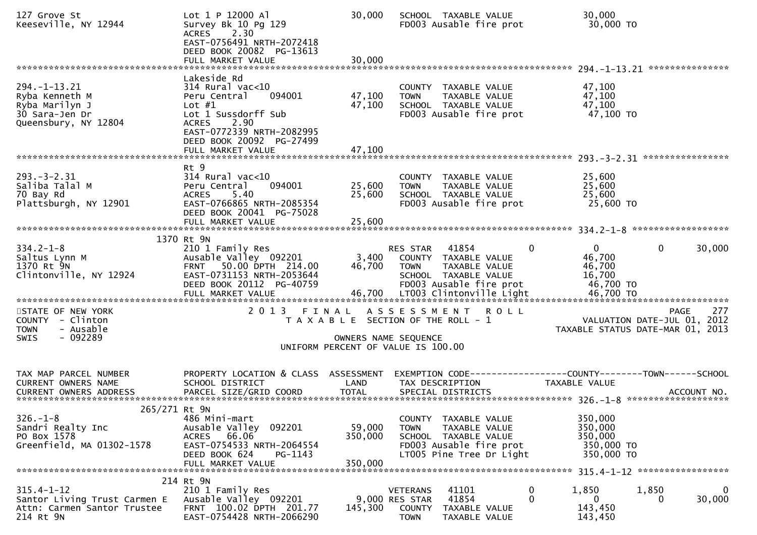| 127 Grove St<br>Keeseville, NY 12944                                                                  | Lot 1 P 12000 Al<br>Survey Bk 10 Pg 129<br>2.30<br><b>ACRES</b><br>EAST-0756491 NRTH-2072418<br>DEED BOOK 20082 PG-13613<br>FULL MARKET VALUE                                                           | 30,000<br>30,000             | SCHOOL TAXABLE VALUE<br>FD003 Ausable fire prot                                                                                                      | 30,000<br>30,000 TO                                                                   |
|-------------------------------------------------------------------------------------------------------|---------------------------------------------------------------------------------------------------------------------------------------------------------------------------------------------------------|------------------------------|------------------------------------------------------------------------------------------------------------------------------------------------------|---------------------------------------------------------------------------------------|
|                                                                                                       |                                                                                                                                                                                                         |                              |                                                                                                                                                      |                                                                                       |
| $294. -1 - 13.21$<br>Ryba Kenneth M<br>Ryba Marilyn J<br>30 Sara-Jen Dr<br>Queensbury, NY 12804       | Lakeside Rd<br>$314$ Rural vac< $10$<br>094001<br>Peru Central<br>Lot $#1$<br>Lot 1 Sussdorff Sub<br><b>ACRES</b><br>2.90<br>EAST-0772339 NRTH-2082995<br>DEED BOOK 20092 PG-27499<br>FULL MARKET VALUE | 47,100<br>47,100<br>47,100   | COUNTY TAXABLE VALUE<br>TAXABLE VALUE<br><b>TOWN</b><br>SCHOOL TAXABLE VALUE<br>FD003 Ausable fire prot                                              | 47,100<br>47,100<br>47,100<br>47,100 TO                                               |
|                                                                                                       |                                                                                                                                                                                                         |                              |                                                                                                                                                      |                                                                                       |
| $293. -3 - 2.31$<br>Saliba Talal M<br>70 Bay Rd<br>Plattsburgh, NY 12901                              | Rt 9<br>$314$ Rural vac<10<br>094001<br>Peru Central<br>5.40<br><b>ACRES</b><br>EAST-0766865 NRTH-2085354<br>DEED BOOK 20041 PG-75028<br>FULL MARKET VALUE                                              | 25,600<br>25,600<br>25,600   | COUNTY TAXABLE VALUE<br><b>TOWN</b><br>TAXABLE VALUE<br>SCHOOL TAXABLE VALUE<br>FD003 Ausable fire prot                                              | 25,600<br>25,600<br>25,600<br>25,600 TO                                               |
|                                                                                                       |                                                                                                                                                                                                         |                              |                                                                                                                                                      |                                                                                       |
| $334.2 - 1 - 8$<br>Saltus Lynn M<br>1370 Rt 9N<br>Clintonville, NY 12924<br>************************* | 1370 Rt 9N<br>210 1 Family Res<br>Ausable Valley 092201<br>FRNT 50.00 DPTH 214.00<br>EAST-0731153 NRTH-2053644<br>DEED BOOK 20112 PG-40759<br>FULL MARKET VALUE<br>***************************          | 3,400<br>46,700              | RES STAR 41854<br>$\Omega$<br>COUNTY TAXABLE VALUE<br><b>TOWN</b><br>TAXABLE VALUE<br>SCHOOL TAXABLE VALUE<br>FD003 Ausable fire prot                | $\overline{0}$<br>30,000<br>$\mathbf{0}$<br>46,700<br>46,700<br>16,700<br>46,700 TO   |
| STATE OF NEW YORK<br>COUNTY - Clinton<br><b>TOWN</b><br>- Ausable<br>- 092289<br><b>SWIS</b>          | 2 0 1 3<br>FINAL                                                                                                                                                                                        |                              | ASSESSMENT ROLL<br>T A X A B L E SECTION OF THE ROLL - 1<br>OWNERS NAME SEQUENCE                                                                     | 277<br><b>PAGE</b><br>VALUATION DATE-JUL 01, 2012<br>TAXABLE STATUS DATE-MAR 01, 2013 |
|                                                                                                       |                                                                                                                                                                                                         |                              | UNIFORM PERCENT OF VALUE IS 100.00                                                                                                                   |                                                                                       |
| TAX MAP PARCEL NUMBER<br><b>CURRENT OWNERS NAME</b>                                                   | PROPERTY LOCATION & CLASS ASSESSMENT<br>SCHOOL DISTRICT                                                                                                                                                 | LAND                         | TAX DESCRIPTION                                                                                                                                      | EXEMPTION CODE------------------COUNTY--------TOWN------SCHOOL<br>TAXABLE VALUE       |
| 265/271 Rt 9N<br>$326. - 1 - 8$<br>Sandri Realty Inc<br>PO Box 1578<br>Greenfield, MA 01302-1578      | 486 Mini-mart<br>Ausable Valley 092201<br>ACRES 66.06<br>EAST-0754533 NRTH-2064554<br>DEED BOOK 624<br>PG-1143<br>FULL MARKET VALUE                                                                     | 59,000<br>350,000<br>350,000 | TAXABLE VALUE<br><b>COUNTY</b><br><b>TOWN</b><br>TAXABLE VALUE<br>SCHOOL TAXABLE VALUE<br>FD003 Ausable fire prot<br>LT005 Pine Tree Dr Light        | 350,000<br>350,000<br>350,000<br>350,000 TO<br>350,000 TO                             |
|                                                                                                       | 214 Rt 9N                                                                                                                                                                                               |                              |                                                                                                                                                      |                                                                                       |
| $315.4 - 1 - 12$<br>Santor Living Trust Carmen E<br>Attn: Carmen Santor Trustee<br>214 Rt 9N          | 210 1 Family Res<br>Ausable Valley 092201<br>FRNT 100.02 DPTH 201.77<br>EAST-0754428 NRTH-2066290                                                                                                       | 145,300                      | 41101<br>$\mathbf 0$<br><b>VETERANS</b><br>41854<br>9,000 RES STAR<br>$\mathbf{0}$<br><b>COUNTY</b><br>TAXABLE VALUE<br><b>TOWN</b><br>TAXABLE VALUE | 1,850<br>1,850<br>30,000<br>0<br>0<br>143,450<br>143,450                              |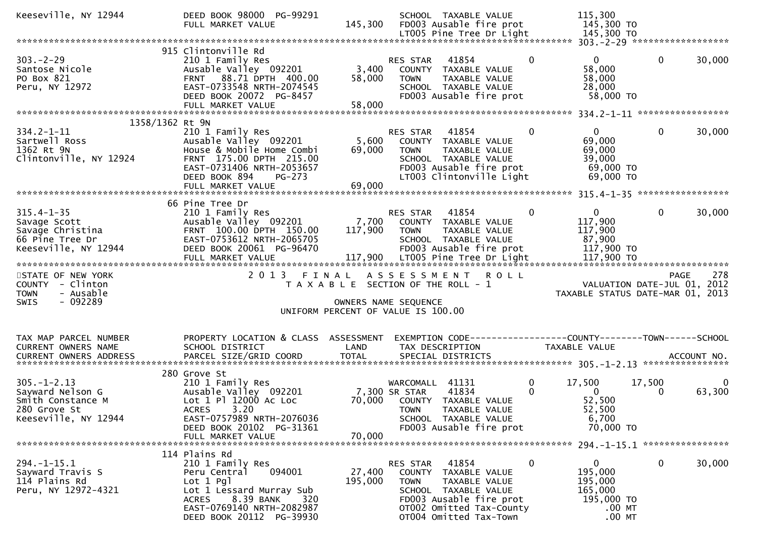| Keeseville, NY 12944                                                                                                                                            | DEED BOOK 98000 PG-99291<br>FULL MARKET VALUE                                                                                                                                  | 145,300                                                                                                      |                                                 | SCHOOL TAXABLE VALUE<br>FD003 Ausable fire prot<br>LT005 Pine Tree Dr Light                                                                    |               | 115,300<br>145,300 TO<br>145,300 TO                                               |              |             |
|-----------------------------------------------------------------------------------------------------------------------------------------------------------------|--------------------------------------------------------------------------------------------------------------------------------------------------------------------------------|--------------------------------------------------------------------------------------------------------------|-------------------------------------------------|------------------------------------------------------------------------------------------------------------------------------------------------|---------------|-----------------------------------------------------------------------------------|--------------|-------------|
|                                                                                                                                                                 |                                                                                                                                                                                |                                                                                                              |                                                 |                                                                                                                                                |               |                                                                                   |              |             |
| $303 - 2 - 29$<br>Santose Nicole<br>PO Box 821<br>Peru, NY 12972                                                                                                | 915 Clintonville Rd<br>210 1 Family Res<br>Ausable Valley 092201<br>FRNT 88.71 DPTH 400.00<br>EAST-0733548 NRTH-2074545<br>DEED BOOK 20072 PG-8457<br>FULL MARKET VALUE        | 3,400<br>58,000<br>58,000                                                                                    | RES STAR<br><b>TOWN</b>                         | 41854<br>COUNTY TAXABLE VALUE<br>TAXABLE VALUE<br>SCHOOL TAXABLE VALUE<br>FD003 Ausable fire prot                                              | $\mathbf 0$   | $\mathbf{0}$<br>58,000<br>58,000<br>28,000<br>58,000 TO                           | $\mathbf 0$  | 30,000      |
|                                                                                                                                                                 |                                                                                                                                                                                |                                                                                                              |                                                 |                                                                                                                                                |               |                                                                                   |              |             |
| 1358/1362 Rt 9N<br>$334.2 - 1 - 11$<br>Sartwell Ross<br>1362 Rt 9N<br>Clintonville, NY 12924                                                                    | 210 1 Family Res<br>Ausable Valley 092201<br>House & Mobile Home Combi<br>FRNT 175.00 DPTH 215.00<br>EAST-0731406 NRTH-2053657<br>DEED BOOK 894<br>PG-273<br>FULL MARKET VALUE | 5,600<br>69,000<br>69,000                                                                                    | RES STAR<br><b>TOWN</b>                         | 41854<br>COUNTY TAXABLE VALUE<br>TAXABLE VALUE<br>SCHOOL TAXABLE VALUE<br>FD003 Ausable fire prot<br>LT003 Clintonville Light                  | 0             | $\mathbf{0}$<br>69,000<br>69,000<br>39,000<br>69,000 TO<br>69,000 TO              | $\mathbf{0}$ | 30,000      |
|                                                                                                                                                                 | 66 Pine Tree Dr                                                                                                                                                                |                                                                                                              |                                                 |                                                                                                                                                |               |                                                                                   |              |             |
| $315.4 - 1 - 35$<br>Savage Scott<br>Savage Christina<br>66 Pine Tree Dr<br>Keeseville, NY 12944                                                                 | 210 1 Family Res<br>Ausable Valley 092201<br>FRNT 100.00 DPTH 150.00<br>EAST-0753612 NRTH-2065705<br>DEED BOOK 20061 PG-96470                                                  | 7,700<br>117,900                                                                                             | <b>RES STAR</b><br><b>TOWN</b>                  | 41854<br>COUNTY TAXABLE VALUE<br>TAXABLE VALUE<br>SCHOOL TAXABLE VALUE<br>FD003 Ausable fire prot                                              | $\mathbf{0}$  | $\mathbf{0}$<br>117,900<br>117,900<br>87,900<br>117,900 TO                        | $\mathbf{0}$ | 30,000      |
|                                                                                                                                                                 | FULL MARKET VALUE                                                                                                                                                              |                                                                                                              |                                                 | 117,900 LT005 Pine Tree Dr Light                                                                                                               |               | 117,900 TO                                                                        |              |             |
| STATE OF NEW YORK<br>COUNTY - Clinton<br>- Ausable<br><b>TOWN</b><br>$-092289$<br><b>SWIS</b>                                                                   | 2 0 1 3                                                                                                                                                                        | FINAL<br>T A X A B L E SECTION OF THE ROLL - 1<br>OWNERS NAME SEQUENCE<br>UNIFORM PERCENT OF VALUE IS 100.00 | ASSESSMENT                                      |                                                                                                                                                | <b>ROLL</b>   | VALUATION DATE-JUL 01, 2012<br>TAXABLE STATUS DATE-MAR 01, 2013                   | PAGE         | 278         |
| TAX MAP PARCEL NUMBER<br>CURRENT OWNERS NAME<br>.CURRENT OWNERS ADDRESS PARCEL SIZE/GRID COORD TOTAL SPECIAL DISTRICTS ACCOUNT NO ACCOUNT NO ACCOUNT NO ACCOUNT | PROPERTY LOCATION & CLASS<br>SCHOOL DISTRICT                                                                                                                                   | ASSESSMENT<br>LAND                                                                                           |                                                 | TAX DESCRIPTION                                                                                                                                |               | EXEMPTION CODE-----------------COUNTY-------TOWN------SCHOOL<br>TAXABLE VALUE     |              |             |
| $305. - 1 - 2.13$<br>Sayward Nelson G<br>Smith Constance M<br>280 Grove St<br>Keeseville, NY 12944                                                              | 280 Grove St<br>210 1 Family Res<br>Ausable Valley 092201<br>Lot 1 Pl 12000 Ac Loc<br><b>ACRES</b><br>3.20<br>EAST-0757989 NRTH-2076036<br>DEED BOOK 20102 PG-31361            | 70,000                                                                                                       | WARCOMALL 41131<br>7,300 SR STAR<br><b>TOWN</b> | 41834<br>COUNTY TAXABLE VALUE<br>TAXABLE VALUE<br>SCHOOL TAXABLE VALUE<br>FD003 Ausable fire prot                                              | 0<br>$\Omega$ | 17,500<br>$\Omega$<br>52,500<br>52,500<br>6,700<br>70,000 TO                      | 17,500<br>0  | 0<br>63,300 |
|                                                                                                                                                                 | FULL MARKET VALUE                                                                                                                                                              | 70,000                                                                                                       |                                                 |                                                                                                                                                |               |                                                                                   |              |             |
|                                                                                                                                                                 | 114 Plains Rd                                                                                                                                                                  |                                                                                                              |                                                 |                                                                                                                                                |               |                                                                                   |              |             |
| $294. -1 - 15.1$<br>Sayward Travis S<br>114 Plains Rd<br>Peru, NY 12972-4321                                                                                    | 210 1 Family Res<br>094001<br>Peru Central<br>Lot 1 Pgl<br>Lot 1 Lessard Murray Sub<br>8.39 BANK<br>ACRES<br>320<br>EAST-0769140 NRTH-2082987<br>DEED BOOK 20112 PG-39930      | 27,400<br>195,000                                                                                            | RES STAR 41854<br><b>TOWN</b>                   | COUNTY TAXABLE VALUE<br>TAXABLE VALUE<br>SCHOOL TAXABLE VALUE<br>FD003 Ausable fire prot<br>OT002 Omitted Tax-County<br>OT004 Omitted Tax-Town | $\mathbf 0$   | $\mathbf{0}$<br>195,000<br>195,000<br>165,000<br>195,000 TO<br>.00 MT<br>$.00$ MT | $\mathbf 0$  | 30,000      |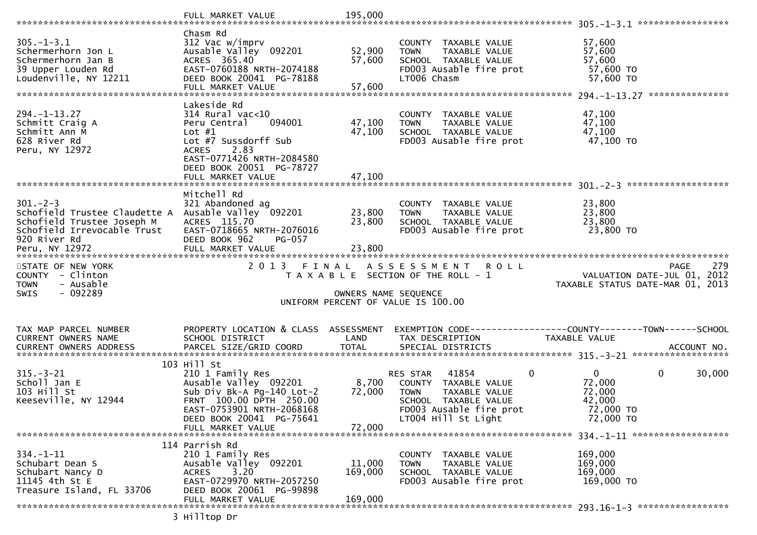|                                                      | FULL MARKET VALUE                                    | 195,000              |                                                      |                                                                     |
|------------------------------------------------------|------------------------------------------------------|----------------------|------------------------------------------------------|---------------------------------------------------------------------|
|                                                      | Chasm Rd                                             |                      |                                                      |                                                                     |
| $305. - 1 - 3.1$                                     | 312 Vac w/imprv                                      |                      | COUNTY TAXABLE VALUE                                 | 57,600                                                              |
| Schermerhorn Jon L                                   | Ausable Valley 092201                                | 52,900               | TAXABLE VALUE<br><b>TOWN</b>                         | 57,600                                                              |
| Schermerhorn Jan B                                   | ACRES 365.40                                         | 57,600               | SCHOOL TAXABLE VALUE                                 | 57,600                                                              |
| 39 Upper Louden Rd                                   | EAST-0760188 NRTH-2074188                            |                      | FD003 Ausable fire prot                              | 57,600 TO                                                           |
| Loudenville, NY 12211                                | DEED BOOK 20041 PG-78188                             | 57,600               | LT006 Chasm                                          | 57,600 TO                                                           |
|                                                      | FULL MARKET VALUE                                    |                      |                                                      | ***************                                                     |
|                                                      | Lakeside Rd                                          |                      |                                                      |                                                                     |
| $294. -1 - 13.27$<br>Schmitt Craig A                 | $314$ Rural vac<10<br>094001<br>Peru Central         | 47,100               | COUNTY TAXABLE VALUE<br><b>TOWN</b>                  | 47,100<br>47,100                                                    |
| Schmitt Ann M                                        | Lot $#1$                                             | 47,100               | TAXABLE VALUE<br>SCHOOL TAXABLE VALUE                | 47,100                                                              |
| 628 River Rd                                         | Lot #7 Sussdorff Sub                                 |                      | FD003 Ausable fire prot                              | 47,100 TO                                                           |
| Peru, NY 12972                                       | 2.83<br><b>ACRES</b>                                 |                      |                                                      |                                                                     |
|                                                      | EAST-0771426 NRTH-2084580                            |                      |                                                      |                                                                     |
|                                                      | DEED BOOK 20051 PG-78727                             |                      |                                                      |                                                                     |
|                                                      | FULL MARKET VALUE                                    | 47,100               |                                                      |                                                                     |
|                                                      | Mitchell Rd                                          |                      |                                                      |                                                                     |
| $301. -2 - 3$                                        | 321 Abandoned ag                                     |                      | COUNTY TAXABLE VALUE                                 | 23,800                                                              |
| Schofield Trustee Claudette A                        | Ausable Valley 092201                                | 23,800               | <b>TOWN</b><br><b>TAXABLE VALUE</b>                  | 23,800                                                              |
| Schofield Trustee Joseph M                           | ACRES 115.70                                         | 23,800               | SCHOOL TAXABLE VALUE                                 | 23,800                                                              |
| Schofield Irrevocable Trust                          | EAST-0718665 NRTH-2076016                            |                      | FD003 Ausable fire prot                              | 23,800 TO                                                           |
| 920 River Rd<br>Peru, NY 12972                       | DEED BOOK 962<br>PG-057<br>FULL MARKET VALUE         | 23,800               |                                                      |                                                                     |
|                                                      |                                                      |                      |                                                      |                                                                     |
| STATE OF NEW YORK                                    | 2 0 1 3                                              |                      |                                                      | 279<br><b>PAGE</b>                                                  |
|                                                      |                                                      | FINAL                | A S S E S S M E N T<br>R O L L                       |                                                                     |
| COUNTY - Clinton                                     |                                                      |                      | T A X A B L E SECTION OF THE ROLL - 1                | VALUATION DATE-JUL 01, 2012                                         |
| - Ausable<br><b>TOWN</b>                             |                                                      |                      |                                                      | TAXABLE STATUS DATE-MAR 01, 2013                                    |
| $-092289$<br>SWIS                                    |                                                      | OWNERS NAME SEQUENCE |                                                      |                                                                     |
|                                                      |                                                      |                      | UNIFORM PERCENT OF VALUE IS 100.00                   |                                                                     |
|                                                      |                                                      |                      |                                                      |                                                                     |
| TAX MAP PARCEL NUMBER                                | PROPERTY LOCATION & CLASS ASSESSMENT                 |                      |                                                      | EXEMPTION        CODE-----------------COUNTY-------TOWN------SCHOOL |
| CURRENT OWNERS NAME<br><b>CURRENT OWNERS ADDRESS</b> | SCHOOL DISTRICT                                      | LAND<br><b>TOTAL</b> | TAX DESCRIPTION<br>SPECIAL DISTRICTS                 | TAXABLE VALUE<br>ACCOUNT NO.                                        |
|                                                      | PARCEL SIZE/GRID COORD                               |                      |                                                      |                                                                     |
|                                                      | 103 Hill St                                          |                      |                                                      |                                                                     |
| $315. - 3 - 21$                                      | 210 1 Family Res                                     |                      | $\mathbf 0$<br>41854<br>RES STAR                     | $\mathbf{0}$<br>0<br>30,000                                         |
| Scholl Jan E                                         | Ausable Valley 092201                                | 8,700                | COUNTY TAXABLE VALUE                                 | 72,000                                                              |
| 103 Hill St                                          | Sub Div Bk-A Pg-140 Lot-2<br>FRNT 100.00 DPTH 250.00 | 72,000               | <b>TOWN</b><br>TAXABLE VALUE<br>SCHOOL TAXABLE VALUE | 72,000<br>42,000                                                    |
| Keeseville, NY 12944                                 | EAST-0753901 NRTH-2068168                            |                      | FD003 Ausable fire prot                              | 72,000 TO                                                           |
|                                                      | DEED BOOK 20041 PG-75641                             |                      | LT004 Hill St Light                                  | 72,000 TO                                                           |
|                                                      | FULL MARKET VALUE                                    | 72,000               |                                                      |                                                                     |
|                                                      |                                                      |                      |                                                      |                                                                     |
| $334. - 1 - 11$                                      | 114 Parrish Rd<br>210 1 Family Res                   |                      | COUNTY TAXABLE VALUE                                 | 169,000                                                             |
| Schubart Dean S                                      | Ausable Valley 092201                                | 11,000               | TAXABLE VALUE<br><b>TOWN</b>                         | 169,000                                                             |
| Schubart Nancy D                                     | 3.20<br><b>ACRES</b>                                 | 169,000              | SCHOOL TAXABLE VALUE                                 | 169,000                                                             |
| 11145 4th St E                                       | EAST-0729970 NRTH-2057250                            |                      | FD003 Ausable fire prot                              | 169,000 TO                                                          |
| Treasure Island, FL 33706                            | DEED BOOK 20061 PG-99898                             |                      |                                                      |                                                                     |
|                                                      | FULL MARKET VALUE<br>3 Hilltop Dr                    | 169,000              |                                                      |                                                                     |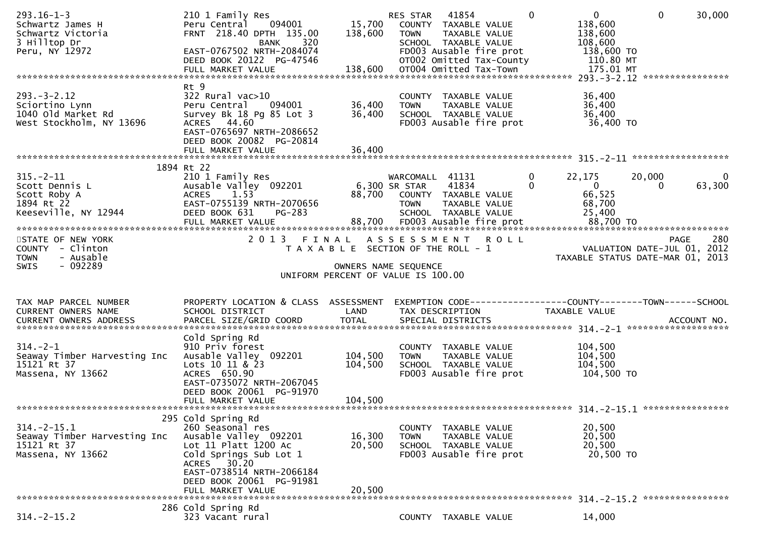| $293.16 - 1 - 3$<br>Schwartz James H<br>Schwartz Victoria<br>3 Hilltop Dr<br>Peru, NY 12972 | 210 1 Family Res<br>Peru Central<br>094001<br>FRNT 218.40 DPTH 135.00<br>320<br><b>BANK</b><br>EAST-0767502 NRTH-2084074<br>DEED BOOK 20122 PG-47546                        | 15,700<br>138,600                                             | RES STAR 41854<br><b>TOWN</b>                   | COUNTY TAXABLE VALUE<br>TAXABLE VALUE<br>SCHOOL TAXABLE VALUE<br>FD003 Ausable fire prot<br>OT002 Omitted Tax-County | $\Omega$                 | $\overline{0}$<br>138,600<br>138,600<br>108,600<br>138,600 TO<br>110.80 MT    | $\mathbf{0}$                | 30,000                   |
|---------------------------------------------------------------------------------------------|-----------------------------------------------------------------------------------------------------------------------------------------------------------------------------|---------------------------------------------------------------|-------------------------------------------------|----------------------------------------------------------------------------------------------------------------------|--------------------------|-------------------------------------------------------------------------------|-----------------------------|--------------------------|
|                                                                                             |                                                                                                                                                                             |                                                               |                                                 |                                                                                                                      |                          |                                                                               |                             | ****************         |
| $293. - 3 - 2.12$<br>Sciortino Lynn<br>1040 old Market Rd<br>West Stockholm, NY 13696       | Rt 9<br>322 Rural vac>10<br>Peru Central<br>094001<br>Survey Bk 18 Pg 85 Lot 3<br>ACRES 44.60<br>EAST-0765697 NRTH-2086652<br>DEED BOOK 20082 PG-20814                      | 36,400<br>36,400                                              | <b>TOWN</b>                                     | COUNTY TAXABLE VALUE<br>TAXABLE VALUE<br>SCHOOL TAXABLE VALUE<br>FD003 Ausable fire prot                             |                          | 36,400<br>36,400<br>36,400<br>36,400 TO                                       |                             |                          |
|                                                                                             | 1894 Rt 22                                                                                                                                                                  |                                                               |                                                 |                                                                                                                      |                          |                                                                               |                             |                          |
| $315. - 2 - 11$<br>Scott Dennis L<br>Scott Roby A<br>1894 Rt 22<br>Keeseville, NY 12944     | 210 1 Family Res<br>Ausable Valley 092201<br><b>ACRES</b><br>1.53<br>EAST-0755139 NRTH-2070656<br>DEED BOOK 631<br>PG-283                                                   |                                                               | WARCOMALL 41131<br>6,300 SR STAR<br><b>TOWN</b> | 41834<br>88,700 COUNTY TAXABLE VALUE<br>TAXABLE VALUE<br>SCHOOL TAXABLE VALUE                                        | $\mathbf{0}$<br>$\Omega$ | 22,175<br>$\mathbf{0}$<br>66,525<br>68,700<br>25,400                          | 20,000<br>$\Omega$          | $\overline{0}$<br>63,300 |
| STATE OF NEW YORK<br>COUNTY - Clinton<br>- Ausable<br><b>TOWN</b><br>$-092289$<br>SWIS      | 2 0 1 3                                                                                                                                                                     | T A X A B L E SECTION OF THE ROLL - 1<br>OWNERS NAME SEQUENCE |                                                 | FINAL ASSESSMENT ROLL                                                                                                |                          | TAXABLE STATUS DATE-MAR 01, 2013                                              | VALUATION DATE-JUL 01, 2012 | 280<br>PAGE              |
|                                                                                             |                                                                                                                                                                             | UNIFORM PERCENT OF VALUE IS 100.00                            |                                                 |                                                                                                                      |                          |                                                                               |                             |                          |
| TAX MAP PARCEL NUMBER<br>CURRENT OWNERS NAME                                                | PROPERTY LOCATION & CLASS ASSESSMENT<br>SCHOOL DISTRICT                                                                                                                     | LAND                                                          |                                                 | TAX DESCRIPTION                                                                                                      |                          | EXEMPTION CODE-----------------COUNTY-------TOWN------SCHOOL<br>TAXABLE VALUE |                             |                          |
| $314. - 2 - 1$<br>Seaway Timber Harvesting Inc<br>15121 Rt 37<br>Massena, NY 13662          | Cold Spring Rd<br>910 Priv forest<br>Ausable Valley 092201<br>Lots 10 11 & 23<br>ACRES 650.90<br>EAST-0735072 NRTH-2067045<br>DEED BOOK 20061 PG-91970<br>FULL MARKET VALUE | 104,500<br>104,500<br>104,500                                 | <b>TOWN</b>                                     | COUNTY TAXABLE VALUE<br>TAXABLE VALUE<br>SCHOOL TAXABLE VALUE<br>FD003 Ausable fire prot                             |                          | 104,500<br>104,500<br>104,500<br>104,500 TO                                   |                             |                          |
|                                                                                             | 295 Cold Spring Rd                                                                                                                                                          |                                                               |                                                 |                                                                                                                      |                          |                                                                               |                             |                          |
| $314. - 2 - 15.1$<br>Seaway Timber Harvesting Inc<br>15121 Rt 37<br>Massena, NY 13662       | 260 Seasonal res<br>Ausable Valley 092201<br>Lot 11 Platt 1200 Ac<br>Cold Springs Sub Lot 1<br>ACRES 30.20<br>EAST-0738514 NRTH-2066184<br>DEED BOOK 20061 PG-91981         | 16,300<br>20,500                                              | <b>TOWN</b>                                     | COUNTY TAXABLE VALUE<br>TAXABLE VALUE<br>SCHOOL TAXABLE VALUE<br>FD003 Ausable fire prot                             |                          | 20,500<br>20,500<br>20,500<br>20,500 TO                                       |                             |                          |
|                                                                                             | FULL MARKET VALUE                                                                                                                                                           | 20,500                                                        |                                                 |                                                                                                                      |                          |                                                                               |                             |                          |
| $314. -2 - 15.2$                                                                            | 286 Cold Spring Rd                                                                                                                                                          |                                                               |                                                 |                                                                                                                      |                          |                                                                               |                             |                          |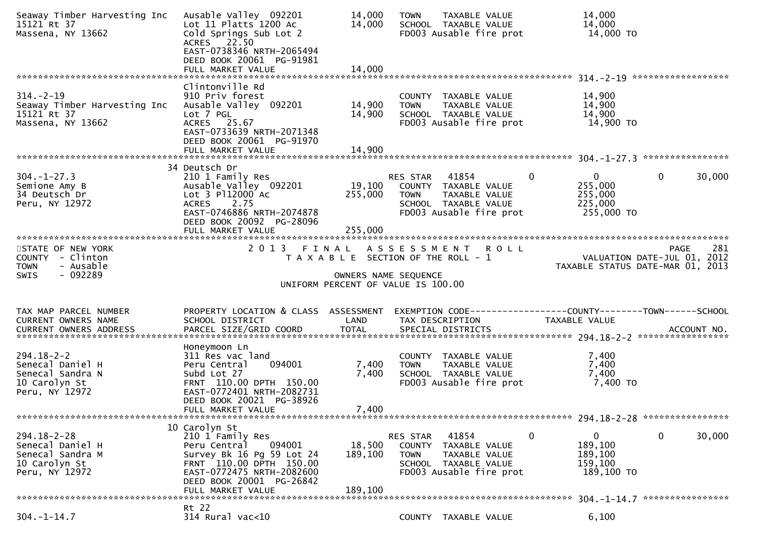| Seaway Timber Harvesting Inc<br>15121 Rt 37<br>Massena, NY 13662                             | Ausable Valley 092201<br>Lot 11 Platts 1200 Ac<br>Cold Springs Sub Lot 2<br>ACRES 22.50<br>EAST-0738346 NRTH-2065494<br>DEED BOOK 20061 PG-91981                                                  | 14,000<br>14,000                                           | <b>TOWN</b>                   | TAXABLE VALUE<br>SCHOOL TAXABLE VALUE<br>FD003 Ausable fire prot                         |               | 14,000<br>14,000<br>14,000 TO                                   |              |        |
|----------------------------------------------------------------------------------------------|---------------------------------------------------------------------------------------------------------------------------------------------------------------------------------------------------|------------------------------------------------------------|-------------------------------|------------------------------------------------------------------------------------------|---------------|-----------------------------------------------------------------|--------------|--------|
|                                                                                              | FULL MARKET VALUE                                                                                                                                                                                 | 14,000                                                     |                               |                                                                                          |               |                                                                 |              |        |
| $314. - 2 - 19$<br>Seaway Timber Harvesting Inc<br>15121 Rt 37<br>Massena, NY 13662          | Clintonville Rd<br>910 Priv forest<br>Ausable Valley 092201<br>Lot 7 PGL<br>ACRES 25.67<br>EAST-0733639 NRTH-2071348<br>DEED BOOK 20061 PG-91970                                                  | 14,900<br>14,900                                           | <b>TOWN</b>                   | COUNTY TAXABLE VALUE<br>TAXABLE VALUE<br>SCHOOL TAXABLE VALUE<br>FD003 Ausable fire prot |               | 14,900<br>14,900<br>14,900<br>14,900 TO                         |              |        |
|                                                                                              | 34 Deutsch Dr                                                                                                                                                                                     |                                                            |                               |                                                                                          |               |                                                                 |              |        |
| $304. - 1 - 27.3$<br>Semione Amy B<br>34 Deutsch Dr<br>Peru, NY 12972                        | 210 1 Family Res<br>Ausable Valley 092201<br>Lot 3 P112000 Ac<br>2.75<br><b>ACRES</b><br>EAST-0746886 NRTH-2074878<br>DEED BOOK 20092 PG-28096<br>FULL MARKET VALUE                               | 19,100<br>255,000<br>255,000                               | RES STAR 41854<br><b>TOWN</b> | COUNTY TAXABLE VALUE<br>TAXABLE VALUE<br>SCHOOL TAXABLE VALUE<br>FD003 Ausable fire prot | $\mathbf{0}$  | $\overline{0}$<br>255,000<br>255,000<br>225,000<br>255,000 TO   | $\mathbf{0}$ | 30,000 |
|                                                                                              |                                                                                                                                                                                                   |                                                            |                               |                                                                                          |               |                                                                 |              |        |
| STATE OF NEW YORK<br>COUNTY - Clinton<br><b>TOWN</b><br>- Ausable<br>- 092289<br><b>SWIS</b> | 2 0 1 3                                                                                                                                                                                           | T A X A B L E SECTION OF THE ROLL - 1                      |                               | FINAL ASSESSMENT ROLL                                                                    |               | VALUATION DATE-JUL 01, 2012<br>TAXABLE STATUS DATE-MAR 01, 2013 | <b>PAGE</b>  | 281    |
|                                                                                              |                                                                                                                                                                                                   | OWNERS NAME SEQUENCE<br>UNIFORM PERCENT OF VALUE IS 100.00 |                               |                                                                                          |               |                                                                 |              |        |
|                                                                                              |                                                                                                                                                                                                   |                                                            |                               |                                                                                          |               |                                                                 |              |        |
| TAX MAP PARCEL NUMBER<br>CURRENT OWNERS NAME                                                 | PROPERTY LOCATION & CLASS ASSESSMENT<br>SCHOOL DISTRICT                                                                                                                                           | LAND                                                       |                               | EXEMPTION CODE-----------------COUNTY-------TOWN------SCHOOL<br>TAX DESCRIPTION          | TAXABLE VALUE |                                                                 |              |        |
| $294.18 - 2 - 2$<br>Senecal Daniel H<br>Senecal Sandra N<br>10 Carolyn St<br>Peru, NY 12972  | Honeymoon Ln<br>311 Res vac land<br>094001<br>Peru Central<br>Subd Lot 27<br>FRNT 110.00 DPTH 150.00<br>EAST-0772401 NRTH-2082731<br>DEED BOOK 20021 PG-38926                                     | 7,400<br>7,400                                             | <b>TOWN</b>                   | COUNTY TAXABLE VALUE<br>TAXABLE VALUE<br>SCHOOL TAXABLE VALUE<br>FD003 Ausable fire prot |               | 7,400<br>7,400<br>7,400<br>7,400 TO                             |              |        |
|                                                                                              | FULL MARKET VALUE                                                                                                                                                                                 | 7,400                                                      |                               |                                                                                          |               |                                                                 |              |        |
| $294.18 - 2 - 28$<br>Senecal Daniel H<br>Senecal Sandra M<br>10 Carolyn St<br>Peru, NY 12972 | 10 Carolyn St<br>210 1 Family Res<br>094001<br>Peru Central<br>Survey Bk 16 Pg 59 Lot 24<br>FRNT 110.00 DPTH 150.00<br>EAST-0772475 NRTH-2082600<br>DEED BOOK 20001 PG-26842<br>FULL MARKET VALUE | 18,500<br>189,100<br>189,100                               | RES STAR 41854<br><b>TOWN</b> | COUNTY TAXABLE VALUE<br>TAXABLE VALUE<br>SCHOOL TAXABLE VALUE<br>FD003 Ausable fire prot | $\mathbf 0$   | $\mathbf{0}$<br>189,100<br>189,100<br>159,100<br>189,100 TO     | 0            | 30,000 |
|                                                                                              | Rt 22                                                                                                                                                                                             |                                                            |                               |                                                                                          |               |                                                                 |              |        |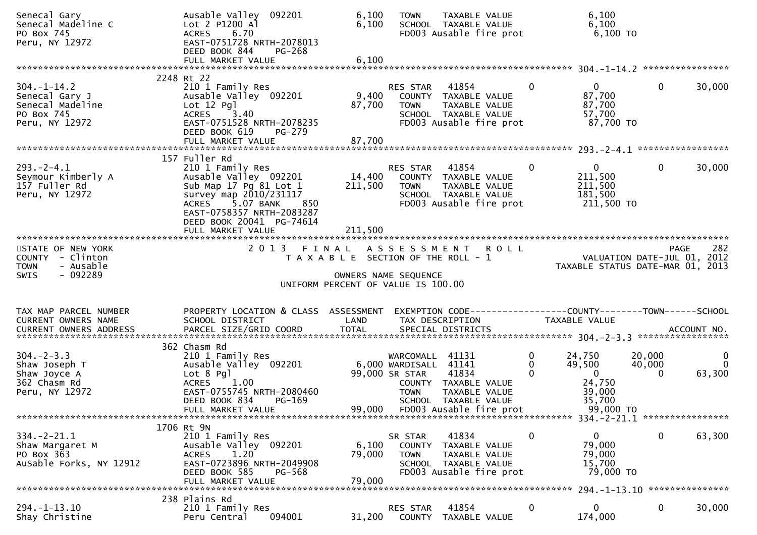| Senecal Gary<br>Senecal Madeline C<br>PO Box 745<br>Peru, NY 12972                      | Ausable Valley 092201<br>Lot 2 P1200 Al<br>6.70<br><b>ACRES</b><br>EAST-0751728 NRTH-2078013<br>DEED BOOK 844<br>PG-268                                                                                                | 6,100<br>6,100               | <b>TOWN</b>                                                               | <b>TAXABLE VALUE</b><br>SCHOOL TAXABLE VALUE<br>FD003 Ausable fire prot                           |                                                   | 6,100<br>6,100<br>$6,100$ TO                                            |                                       |
|-----------------------------------------------------------------------------------------|------------------------------------------------------------------------------------------------------------------------------------------------------------------------------------------------------------------------|------------------------------|---------------------------------------------------------------------------|---------------------------------------------------------------------------------------------------|---------------------------------------------------|-------------------------------------------------------------------------|---------------------------------------|
|                                                                                         |                                                                                                                                                                                                                        |                              |                                                                           |                                                                                                   |                                                   |                                                                         |                                       |
| $304. - 1 - 14.2$<br>Senecal Gary J<br>Senecal Madeline<br>PO Box 745<br>Peru, NY 12972 | 2248 Rt 22<br>210 1 Family Res<br>Ausable Valley 092201<br>$Lot 12$ Pq $l$<br><b>ACRES</b><br>3.40<br>EAST-0751528 NRTH-2078235<br>DEED BOOK 619<br>PG-279                                                             | 9,400<br>87,700              | RES STAR<br>TOWN                                                          | 41854<br>COUNTY TAXABLE VALUE<br>TAXABLE VALUE<br>SCHOOL TAXABLE VALUE<br>FD003 Ausable fire prot | 0                                                 | 0<br>$\mathbf 0$<br>87,700<br>87,700<br>57,700<br>87,700 TO             | 30,000                                |
|                                                                                         | FULL MARKET VALUE                                                                                                                                                                                                      | 87,700                       |                                                                           |                                                                                                   |                                                   |                                                                         |                                       |
| $293. -2 - 4.1$<br>Seymour Kimberly A<br>157 Fuller Rd<br>Peru, NY 12972                | 157 Fuller Rd<br>210 1 Family Res<br>Ausable Valley 092201<br>Sub Map 17 Pg 81 Lot 1<br>survey map 2010/231117<br>ACRES 5.07 BANK<br>850<br>EAST-0758357 NRTH-2083287<br>DEED BOOK 20041 PG-74614<br>FULL MARKET VALUE | 14,400<br>211,500<br>211,500 | RES STAR 41854<br><b>TOWN</b>                                             | COUNTY TAXABLE VALUE<br>TAXABLE VALUE<br>SCHOOL TAXABLE VALUE<br>FD003 Ausable fire prot          | $\mathbf{0}$<br>211,500<br>211,500<br>181,500     | $\overline{0}$<br>$\mathbf 0$<br>211,500 TO                             | 30,000                                |
| STATE OF NEW YORK<br>COUNTY - Clinton                                                   | 2013 FINAL                                                                                                                                                                                                             |                              | T A X A B L E SECTION OF THE ROLL - 1                                     | ASSESSMENT ROLL                                                                                   |                                                   | VALUATION DATE-JUL 01, 2012                                             | 282<br>PAGE                           |
| <b>TOWN</b><br>- Ausable<br>$-092289$<br><b>SWIS</b>                                    |                                                                                                                                                                                                                        |                              | OWNERS NAME SEQUENCE<br>UNIFORM PERCENT OF VALUE IS 100.00                |                                                                                                   |                                                   | TAXABLE STATUS DATE-MAR 01, 2013                                        |                                       |
| TAX MAP PARCEL NUMBER<br>CURRENT OWNERS NAME                                            | PROPERTY LOCATION & CLASS ASSESSMENT<br>SCHOOL DISTRICT                                                                                                                                                                | LAND                         | TAX DESCRIPTION                                                           | EXEMPTION CODE-----------------COUNTY-------TOWN-----SCHOOL                                       | TAXABLE VALUE                                     |                                                                         |                                       |
| $304 - 2 - 3.3$<br>Shaw Joseph T<br>Shaw Joyce A<br>362 Chasm Rd<br>Peru, NY 12972      | 362 Chasm Rd<br>210 1 Family Res<br>Ausable Valley 092201<br>Lot 8 Pgl<br>1.00<br><b>ACRES</b><br>EAST-0755745 NRTH-2080460<br>DEED BOOK 834<br>PG-169<br>FULL MARKET VALUE                                            | 99,000                       | WARCOMALL 41131<br>6,000 WARDISALL 41141<br>99,000 SR STAR<br><b>TOWN</b> | 41834<br>COUNTY TAXABLE VALUE<br>TAXABLE VALUE<br>SCHOOL TAXABLE VALUE<br>FD003 Ausable fire prot | 0<br>24,750<br>0<br>49,500<br>0<br>$\overline{0}$ | 20,000<br>40,000<br>$\Omega$<br>24,750<br>39,000<br>35,700<br>99,000 TO | $\mathbf 0$<br>$\mathbf{0}$<br>63,300 |
|                                                                                         |                                                                                                                                                                                                                        |                              |                                                                           |                                                                                                   |                                                   | 334. - 2 - 21. 1 *****************                                      |                                       |
| $334. - 2 - 21.1$<br>Shaw Margaret M<br>PO Box 363<br>AuSable Forks, NY 12912           | 1706 Rt 9N<br>210 1 Family Res<br>Ausable Valley 092201<br><b>ACRES</b><br>1.20<br>EAST-0723896 NRTH-2049908<br>DEED BOOK 585<br>PG-568                                                                                | 6,100<br>79,000              | SR STAR<br><b>COUNTY</b><br><b>TOWN</b>                                   | 41834<br>TAXABLE VALUE<br>TAXABLE VALUE<br>SCHOOL TAXABLE VALUE<br>FD003 Ausable fire prot        | $\mathbf{0}$<br>0                                 | $\mathbf 0$<br>79,000<br>79,000<br>15,700<br>79,000 TO                  | 63,300                                |
|                                                                                         | FULL MARKET VALUE<br>238 Plains Rd                                                                                                                                                                                     | 79,000                       |                                                                           |                                                                                                   |                                                   |                                                                         |                                       |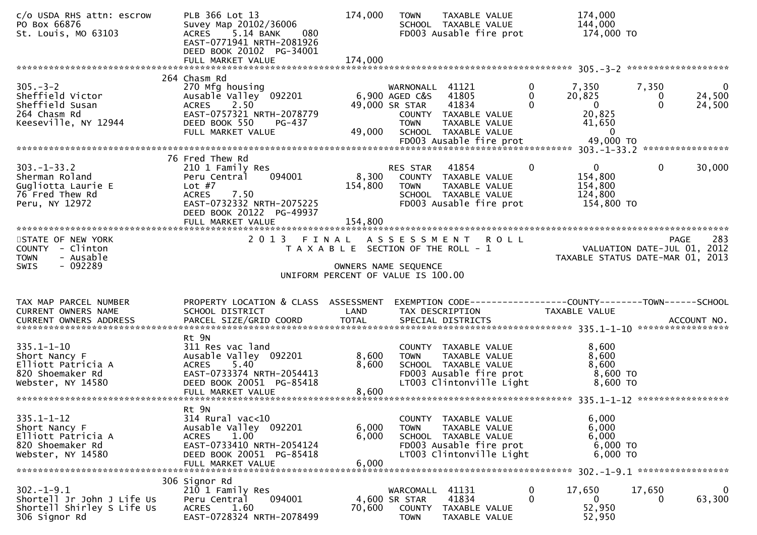| c/o USDA RHS attn: escrow<br>PO Box 66876<br>St. Louis, MO 63103                                 | PLB 366 Lot 13<br>Suvey Map 20102/36006<br>080<br>5.14 BANK<br>ACRES<br>EAST-0771941 NRTH-2081926<br>DEED BOOK 20102 PG-34001<br>FULL MARKET VALUE                              | 174,000<br>174,000                                                                                                      | <b>TOWN</b>                                                        | TAXABLE VALUE<br>SCHOOL TAXABLE VALUE<br>FD003 Ausable fire prot                                                     |                               | 174,000<br>144,000<br>174,000 TO                                    |                        |                              |
|--------------------------------------------------------------------------------------------------|---------------------------------------------------------------------------------------------------------------------------------------------------------------------------------|-------------------------------------------------------------------------------------------------------------------------|--------------------------------------------------------------------|----------------------------------------------------------------------------------------------------------------------|-------------------------------|---------------------------------------------------------------------|------------------------|------------------------------|
|                                                                                                  | 264 Chasm Rd                                                                                                                                                                    |                                                                                                                         |                                                                    |                                                                                                                      |                               |                                                                     |                        |                              |
| $305 - 3 - 2$<br>Sheffield Victor<br>Sheffield Susan<br>264 Chasm Rd<br>Keeseville, NY 12944     | 270 Mfg housing<br>Ausable Valley 092201<br>2.50<br><b>ACRES</b><br>EAST-0757321 NRTH-2078779<br>DEED BOOK 550<br>PG-437<br>FULL MARKET VALUE                                   | 49,000                                                                                                                  | WARNONALL 41121<br>6,900 AGED C&S<br>49,000 SR STAR<br><b>TOWN</b> | 41805<br>41834<br>COUNTY TAXABLE VALUE<br>TAXABLE VALUE<br>SCHOOL TAXABLE VALUE                                      | 0<br>$\mathbf{0}$<br>$\Omega$ | 7,350<br>20,825<br>$\mathbf{0}$<br>20,825<br>41,650<br>$\mathbf{0}$ | 7,350<br>0<br>$\Omega$ | $\bf{0}$<br>24,500<br>24,500 |
|                                                                                                  |                                                                                                                                                                                 |                                                                                                                         |                                                                    |                                                                                                                      |                               |                                                                     |                        |                              |
| $303. - 1 - 33.2$<br>Sherman Roland<br>Gugliotta Laurie E<br>76 Fred Thew Rd<br>Peru, NY 12972   | 76 Fred Thew Rd<br>210 1 Family Res<br>094001<br>Peru Central<br>Lot $#7$<br>7.50<br><b>ACRES</b><br>EAST-0732332 NRTH-2075225<br>DEED BOOK 20122 PG-49937<br>FULL MARKET VALUE | 8,300<br>154,800<br>154,800                                                                                             | <b>RES STAR</b><br><b>TOWN</b>                                     | 41854<br>COUNTY TAXABLE VALUE<br>TAXABLE VALUE<br>SCHOOL TAXABLE VALUE<br>FD003 Ausable fire prot                    | $\mathbf{0}$                  | $\mathbf{0}$<br>154,800<br>154,800<br>124,800<br>154,800 TO         | $\mathbf{0}$           | 30,000                       |
| STATE OF NEW YORK<br>COUNTY - Clinton<br>- Ausable<br><b>TOWN</b><br>$-092289$<br><b>SWIS</b>    | 2 0 1 3                                                                                                                                                                         | FINAL ASSESSMENT<br>T A X A B L E SECTION OF THE ROLL - 1<br>OWNERS NAME SEQUENCE<br>UNIFORM PERCENT OF VALUE IS 100.00 |                                                                    | <b>ROLL</b>                                                                                                          |                               | VALUATION DATE-JUL 01, 2012<br>TAXABLE STATUS DATE-MAR 01, 2013     |                        | 283<br>PAGE                  |
| TAX MAP PARCEL NUMBER<br>CURRENT OWNERS NAME                                                     | PROPERTY LOCATION & CLASS ASSESSMENT<br>SCHOOL DISTRICT                                                                                                                         | LAND                                                                                                                    |                                                                    | EXEMPTION CODE------------------COUNTY--------TOWN------SCHOOL<br>TAX DESCRIPTION                                    |                               | <b>TAXABLE VALUE</b>                                                |                        |                              |
| $335.1 - 1 - 10$<br>Short Nancy F<br>Elliott Patricia A<br>820 Shoemaker Rd<br>Webster, NY 14580 | Rt 9N<br>311 Res vac land<br>Ausable Valley 092201<br>5.40<br><b>ACRES</b><br>EAST-0733374 NRTH-2054413<br>DEED BOOK 20051 PG-85418<br>FULL MARKET VALUE                        | 8,600<br>8,600<br>8,600                                                                                                 | <b>TOWN</b>                                                        | COUNTY TAXABLE VALUE<br>TAXABLE VALUE<br>SCHOOL TAXABLE VALUE<br>FD003 Ausable fire prot<br>LT003 Clintonville Light |                               | 8,600<br>8,600<br>8,600<br>8,600 TO<br>8,600 TO                     |                        |                              |
| $335.1 - 1 - 12$<br>Short Nancy F<br>Elliott Patricia A<br>820 Shoemaker Rd<br>Webster, NY 14580 | Rt 9N<br>314 Rural vac<10<br>Ausable Valley 092201<br>1.00<br><b>ACRES</b><br>EAST-0733410 NRTH-2054124<br>DEED BOOK 20051 PG-85418<br>FULL MARKET VALUE                        | 6,000<br>6,000<br>6,000                                                                                                 | <b>TOWN</b>                                                        | COUNTY TAXABLE VALUE<br>TAXABLE VALUE<br>SCHOOL TAXABLE VALUE<br>FD003 Ausable fire prot<br>LT003 Clintonville Light |                               | 6,000<br>6,000<br>6,000<br>6,000 TO<br>6,000 TO                     |                        |                              |
|                                                                                                  | 306 Signor Rd                                                                                                                                                                   |                                                                                                                         |                                                                    |                                                                                                                      |                               |                                                                     |                        |                              |
| $302 - 1 - 9.1$<br>Shortell Jr John J Life Us<br>Shortell Shirley S Life Us<br>306 Signor Rd     | 210 1 Family Res<br>094001<br>Peru Central<br>1.60<br><b>ACRES</b><br>EAST-0728324 NRTH-2078499                                                                                 | 70,600                                                                                                                  | WARCOMALL 41131<br>4,600 SR STAR<br>COUNTY<br><b>TOWN</b>          | 41834<br>TAXABLE VALUE<br>TAXABLE VALUE                                                                              | $\mathbf 0$<br>$\Omega$       | 17,650<br>$\overline{0}$<br>52,950<br>52,950                        | 17,650<br>0            | $\mathbf 0$<br>63,300        |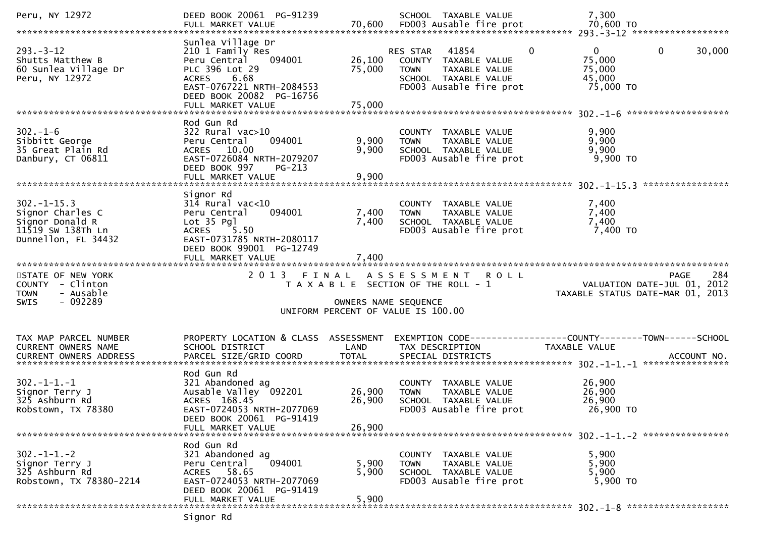| Peru, NY 12972                                                                                      | DEED BOOK 20061 PG-91239                                                                                                                                                      |                            | SCHOOL TAXABLE VALUE                                                                                                      | 7,300                                                                                            |
|-----------------------------------------------------------------------------------------------------|-------------------------------------------------------------------------------------------------------------------------------------------------------------------------------|----------------------------|---------------------------------------------------------------------------------------------------------------------------|--------------------------------------------------------------------------------------------------|
| $293 - 3 - 12$<br>Shutts Matthew B<br>60 Sunlea Village Dr<br>Peru, NY 12972                        | Sunlea Village Dr<br>210 1 Family Res<br>Peru Central<br>094001<br>PLC 396 Lot 29<br>ACRES 6.68<br>EAST-0767221 NRTH-2084553<br>DEED BOOK 20082 PG-16756<br>FULL MARKET VALUE | 26,100<br>75,000<br>75,000 | RES STAR 41854<br>COUNTY TAXABLE VALUE<br><b>TOWN</b><br>TAXABLE VALUE<br>SCHOOL TAXABLE VALUE<br>FD003 Ausable fire prot | $\mathbf{0}$<br>$\mathbf 0$<br>$\mathbf{0}$<br>30,000<br>75,000<br>75,000<br>45,000<br>75,000 TO |
| $302 - 1 - 6$<br>Sibbitt George<br>35 Great Plain Rd<br>Danbury, CT 06811                           | Rod Gun Rd<br>$322$ Rural vac $>10$<br>Peru Central<br>094001<br>ACRES 10.00<br>EAST-0726084 NRTH-2079207<br>DEED BOOK 997<br><b>PG-213</b>                                   | 9,900<br>9,900             | COUNTY TAXABLE VALUE<br>TAXABLE VALUE<br><b>TOWN</b><br>SCHOOL TAXABLE VALUE<br>FD003 Ausable fire prot                   | 9,900<br>9,900<br>9,900<br>$9,900$ TO                                                            |
| $302 - 1 - 15.3$<br>Signor Charles C<br>Signor Donald R<br>11519 SW 138Th Ln<br>Dunnellon, FL 34432 | Signor Rd<br>$314$ Rural vac<10<br>094001<br>Peru Central<br>Lot 35 Pgl<br>5.50<br><b>ACRES</b><br>EAST-0731785 NRTH-2080117<br>DEED BOOK 99001 PG-12749<br>FULL MARKET VALUE | 7,400<br>7,400<br>7,400    | COUNTY TAXABLE VALUE<br><b>TOWN</b><br>TAXABLE VALUE<br>SCHOOL TAXABLE VALUE<br>FD003 Ausable fire prot                   | 7,400<br>7,400<br>7,400<br>7,400 TO                                                              |
| STATE OF NEW YORK<br>COUNTY - Clinton<br>- Ausable<br><b>TOWN</b><br>$-092289$<br><b>SWIS</b>       | 2 0 1 3                                                                                                                                                                       | OWNERS NAME SEQUENCE       | FINAL ASSESSMENT ROLL<br>T A X A B L E SECTION OF THE ROLL - 1<br>UNIFORM PERCENT OF VALUE IS 100.00                      | 284<br><b>PAGE</b><br>VALUATION DATE-JUL 01, 2012<br>TAXABLE STATUS DATE-MAR 01, 2013            |
| TAX MAP PARCEL NUMBER<br>CURRENT OWNERS NAME<br><b>CURRENT OWNERS ADDRESS</b>                       | PROPERTY LOCATION & CLASS ASSESSMENT<br>SCHOOL DISTRICT                                                                                                                       | LAND                       | TAX DESCRIPTION                                                                                                           | EXEMPTION CODE-----------------COUNTY-------TOWN------SCHOOL<br>TAXABLE VALUE                    |
| $302 - 1 - 1 - 1$<br>Signor Terry J<br>325 Ashburn Rd<br>Robstown, TX 78380                         | Rod Gun Rd<br>321 Abandoned ag<br>Ausable Valley 092201<br>ACRES 168.45<br>EAST-0724053 NRTH-2077069<br>DEED BOOK 20061 PG-91419<br>FULL MARKET VALUE                         | 26,900<br>26,900<br>26,900 | COUNTY TAXABLE VALUE<br><b>TOWN</b><br>TAXABLE VALUE<br>SCHOOL TAXABLE VALUE<br>FD003 Ausable fire prot                   | 26,900<br>26,900<br>26,900<br>26,900 TO                                                          |
| $302 - 1 - 1 - 2$<br>Signor Terry J<br>325 Ashburn Rd<br>Robstown, TX 78380-2214                    | Rod Gun Rd<br>321 Abandoned ag<br>094001<br>Peru Central<br>ACRES 58.65<br>EAST-0724053 NRTH-2077069<br>DEED BOOK 20061 PG-91419<br>FULL MARKET VALUE                         | 5,900<br>5,900<br>5,900    | COUNTY TAXABLE VALUE<br>TAXABLE VALUE<br><b>TOWN</b><br>SCHOOL TAXABLE VALUE<br>FD003 Ausable fire prot                   | 5,900<br>5,900<br>5,900<br>5,900 TO                                                              |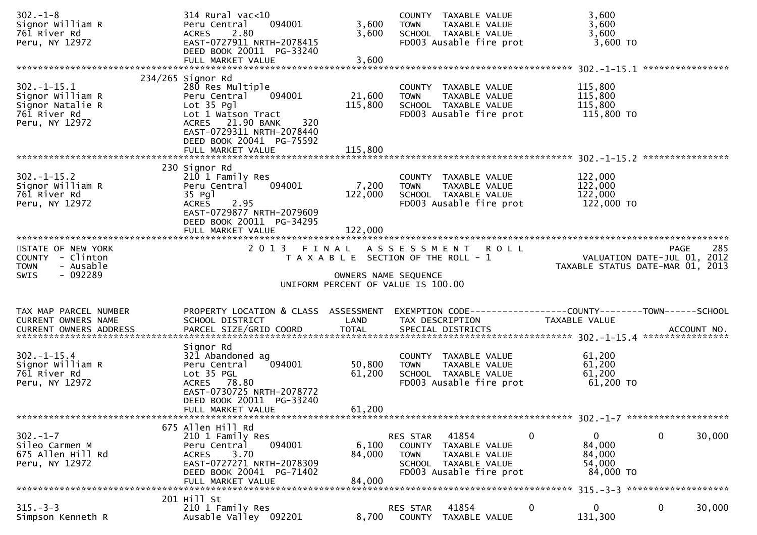| $302 - 1 - 8$<br>Signor William R<br>761 River Rd<br>Peru, NY 12972                        | $314$ Rural vac<10<br>Peru Central<br>094001<br>2.80<br><b>ACRES</b><br>EAST-0727911 NRTH-2078415<br>DEED BOOK 20011 PG-33240<br>FULL MARKET VALUE                                        | 3,600<br>3,600<br>3,600     | COUNTY TAXABLE VALUE<br>TAXABLE VALUE<br><b>TOWN</b><br>SCHOOL TAXABLE VALUE<br>FD003 Ausable fire prot                      | 3,600<br>3,600<br>3,600<br>$3,600$ TO                                                 |     |
|--------------------------------------------------------------------------------------------|-------------------------------------------------------------------------------------------------------------------------------------------------------------------------------------------|-----------------------------|------------------------------------------------------------------------------------------------------------------------------|---------------------------------------------------------------------------------------|-----|
|                                                                                            |                                                                                                                                                                                           |                             |                                                                                                                              |                                                                                       |     |
| $302 - 1 - 15.1$<br>Signor William R<br>Signor Natalie R<br>761 River Rd<br>Peru, NY 12972 | $234/265$ Signor Rd<br>280 Res Multiple<br>Peru Central<br>094001<br>Lot 35 Pgl<br>Lot 1 Watson Tract<br>ACRES 21.90 BANK<br>320<br>EAST-0729311 NRTH-2078440<br>DEED BOOK 20041 PG-75592 | 21,600<br>115,800           | COUNTY TAXABLE VALUE<br><b>TOWN</b><br>TAXABLE VALUE<br>SCHOOL TAXABLE VALUE<br>FD003 Ausable fire prot                      | 115,800<br>115,800<br>115,800<br>115,800 TO                                           |     |
|                                                                                            |                                                                                                                                                                                           |                             |                                                                                                                              |                                                                                       |     |
| $302 - 1 - 15.2$<br>Signor William R<br>761 River Rd<br>Peru, NY 12972                     | 230 Signor Rd<br>210 1 Family Res<br>Peru Central<br>094001<br>35 Pg1<br>2.95<br><b>ACRES</b><br>EAST-0729877 NRTH-2079609<br>DEED BOOK 20011 PG-34295<br>FULL MARKET VALUE               | 7,200<br>122,000<br>122,000 | COUNTY TAXABLE VALUE<br>TAXABLE VALUE<br><b>TOWN</b><br>SCHOOL TAXABLE VALUE<br>FD003 Ausable fire prot                      | 122,000<br>122,000<br>122,000<br>122,000 TO                                           |     |
|                                                                                            |                                                                                                                                                                                           |                             |                                                                                                                              |                                                                                       |     |
| STATE OF NEW YORK<br>COUNTY - Clinton                                                      | 2 0 1 3                                                                                                                                                                                   | FINAL                       | ASSESSMENT ROLL<br>T A X A B L E SECTION OF THE ROLL - 1                                                                     | <b>PAGE</b><br>VALUATION DATE-JUL 01, 2012                                            | 285 |
| <b>TOWN</b><br>- Ausable<br>- 092289<br>SWIS                                               |                                                                                                                                                                                           | OWNERS NAME SEQUENCE        | UNIFORM PERCENT OF VALUE IS 100.00                                                                                           | TAXABLE STATUS DATE-MAR 01, 2013                                                      |     |
|                                                                                            |                                                                                                                                                                                           |                             |                                                                                                                              |                                                                                       |     |
| TAX MAP PARCEL NUMBER<br><b>CURRENT OWNERS NAME</b>                                        | PROPERTY LOCATION & CLASS ASSESSMENT<br>SCHOOL DISTRICT                                                                                                                                   | LAND                        | TAX DESCRIPTION                                                                                                              | EXEMPTION CODE------------------COUNTY--------TOWN------SCHOOL<br>TAXABLE VALUE       |     |
|                                                                                            |                                                                                                                                                                                           |                             |                                                                                                                              |                                                                                       |     |
| $302 - 1 - 15.4$<br>Signor William R<br>761 River Rd<br>Peru, NY 12972                     | Signor Rd<br>321 Abandoned ag<br>094001<br>Peru Central<br>Lot 35 PGL<br>ACRES 78.80<br>EAST-0730725 NRTH-2078772<br>DEED BOOK 20011 PG-33240                                             | 50,800<br>61,200            | COUNTY TAXABLE VALUE<br><b>TOWN</b><br>TAXABLE VALUE<br>SCHOOL TAXABLE VALUE<br>FD003 Ausable fire prot                      | 61,200<br>61,200<br>61,200<br>61,200 TO                                               |     |
|                                                                                            | FULL MARKET VALUE                                                                                                                                                                         | 61,200                      |                                                                                                                              |                                                                                       |     |
| $302 - 1 - 7$<br>Sileo Carmen M<br>675 Allen Hill Rd<br>Peru, NY 12972                     | 675 Allen Hill Rd<br>210 1 Family Res<br>094001<br>Peru Central<br>3.70<br><b>ACRES</b><br>EAST-0727271 NRTH-2078309<br>DEED BOOK 20041 PG-71402<br>FULL MARKET VALUE                     | 6,100<br>84,000<br>84,000   | 41854<br>RES STAR<br>COUNTY TAXABLE VALUE<br>TAXABLE VALUE<br><b>TOWN</b><br>SCHOOL TAXABLE VALUE<br>FD003 Ausable fire prot | $\mathbf 0$<br>30,000<br>0<br>$\mathbf{0}$<br>84,000<br>84,000<br>54,000<br>84,000 TO |     |
|                                                                                            | 201 Hill St                                                                                                                                                                               |                             |                                                                                                                              |                                                                                       |     |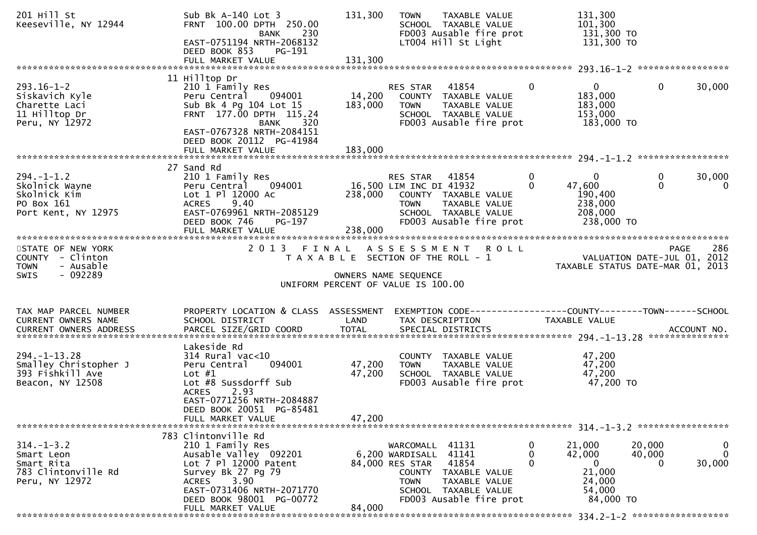| 201 Hill St<br>Keeseville, NY 12944                                                          | Sub Bk $A-140$ Lot 3<br>FRNT 100.00 DPTH 250.00<br>BANK 230<br>EAST-0751194 NRTH-2068132<br>DEED BOOK 853<br>PG-191                                                                                                   | 131,300                                                                     | <b>TOWN</b>                                              | TAXABLE VALUE<br>SCHOOL TAXABLE VALUE<br>FD003 Ausable fire prot<br>LT004 Hill St Light                             | 131,300<br>101,300                                                                 | 131,300 TO<br>131,300 TO                                                       |                             |
|----------------------------------------------------------------------------------------------|-----------------------------------------------------------------------------------------------------------------------------------------------------------------------------------------------------------------------|-----------------------------------------------------------------------------|----------------------------------------------------------|---------------------------------------------------------------------------------------------------------------------|------------------------------------------------------------------------------------|--------------------------------------------------------------------------------|-----------------------------|
|                                                                                              |                                                                                                                                                                                                                       |                                                                             |                                                          |                                                                                                                     |                                                                                    |                                                                                |                             |
| $293.16 - 1 - 2$<br>Siskavich Kyle<br>Charette Laci<br>11 Hilltop Dr<br>Peru, NY 12972       | 11 Hilltop Dr<br>210 1 Family Res<br>Peru Central 094001<br>Sub Bk 4 Pg 104 Lot 15<br>FRNT 177.00 DPTH 115.24<br>BANK<br>320<br>EAST-0767328 NRTH-2084151<br>DEED BOOK 20112 PG-41984                                 | 14,200<br>183,000                                                           | RES STAR<br>TOWN                                         | 41854<br>COUNTY TAXABLE VALUE<br>TAXABLE VALUE<br>SCHOOL TAXABLE VALUE<br>FD003 Ausable fire prot                   | $\mathbf{0}$<br>0<br>183,000<br>183,000<br>153,000                                 | 0<br>183,000 TO                                                                | 30,000                      |
|                                                                                              |                                                                                                                                                                                                                       |                                                                             |                                                          |                                                                                                                     |                                                                                    |                                                                                |                             |
| $294. - 1 - 1.2$<br>Skolnick Wayne<br>Skolnick Kim<br>PO Box 161<br>Port Kent, NY 12975      | 27 Sand Rd<br>210 1 Family Res<br>094001<br>Peru Central<br>Lot 1 Pl 12000 Ac<br>ACRES 9.40<br>EAST-0769961 NRTH-2085129<br>DEED BOOK 746<br>PG-197<br>FULL MARKET VALUE                                              | 238,000                                                                     | RES STAR 41854<br>16,500 LIM INC DI 41932<br><b>TOWN</b> | 238,000 COUNTY TAXABLE VALUE<br>TAXABLE VALUE<br>SCHOOL TAXABLE VALUE<br>FD003 Ausable fire prot                    | $\mathbf{0}$<br>$\Omega$<br>$\Omega$<br>47,600<br>190,400<br>238,000<br>208,000    | 0<br>$\Omega$<br>238,000 TO                                                    | 30,000<br>$\mathbf 0$       |
| STATE OF NEW YORK<br>COUNTY - Clinton<br><b>TOWN</b><br>- Ausable<br>- 092289<br><b>SWIS</b> |                                                                                                                                                                                                                       | T A X A B L E SECTION OF THE ROLL - 1<br>UNIFORM PERCENT OF VALUE IS 100.00 | OWNERS NAME SEQUENCE                                     | 2013 FINAL ASSESSMENT ROLL                                                                                          |                                                                                    | <b>PAGE</b><br>VALUATION DATE-JUL 01, 2012<br>TAXABLE STATUS DATE-MAR 01, 2013 | 286                         |
| TAX MAP PARCEL NUMBER<br>CURRENT OWNERS NAME                                                 | PROPERTY LOCATION & CLASS ASSESSMENT<br>SCHOOL DISTRICT                                                                                                                                                               | LAND                                                                        | TAX DESCRIPTION                                          |                                                                                                                     | TAXABLE VALUE                                                                      | EXEMPTION CODE------------------COUNTY--------TOWN------SCHOOL                 |                             |
| $294. - 1 - 13.28$<br>Smalley Christopher J<br>393 Fishkill Ave<br>Beacon, NY 12508          | Lakeside Rd<br>$314$ Rural vac<10<br>094001<br>Peru Central<br>Lot $#1$<br>Lot #8 Sussdorff Sub<br>2.93<br><b>ACRES</b><br>EAST-0771256 NRTH-2084887                                                                  | 47,200<br>47,200                                                            | <b>TOWN</b>                                              | COUNTY TAXABLE VALUE<br>TAXABLE VALUE<br>SCHOOL TAXABLE VALUE<br>FD003 Ausable fire prot                            | 47,200<br>47,200<br>47,200                                                         | 47,200 TO                                                                      |                             |
|                                                                                              | DEED BOOK 20051 PG-85481<br>FULL MARKET VALUE                                                                                                                                                                         | 47,200                                                                      |                                                          |                                                                                                                     |                                                                                    |                                                                                |                             |
| $314. - 1 - 3.2$<br>Smart Leon<br>Smart Rita<br>783 Clintonville Rd<br>Peru, NY 12972        | 783 Clintonville Rd<br>210 1 Family Res<br>Ausable Valley 092201<br>Lot 7 Pl 12000 Patent<br>Survey Bk 27 Pg 79<br>3.90<br><b>ACRES</b><br>EAST-0731406 NRTH-2071770<br>DEED BOOK 98001 PG-00772<br>FULL MARKET VALUE | 84,000                                                                      | WARCOMALL<br>6,200 WARDISALL<br>84,000 RES STAR<br>TOWN  | 41131<br>41141<br>41854<br>COUNTY TAXABLE VALUE<br>TAXABLE VALUE<br>SCHOOL TAXABLE VALUE<br>FD003 Ausable fire prot | 21,000<br>0<br>$\mathbf{0}$<br>42,000<br>$\mathbf 0$<br>21,000<br>24,000<br>54,000 | 20,000<br>40,000<br>$\Omega$<br>84,000 TO                                      | 0<br>$\mathbf{0}$<br>30,000 |
|                                                                                              |                                                                                                                                                                                                                       |                                                                             |                                                          |                                                                                                                     |                                                                                    |                                                                                |                             |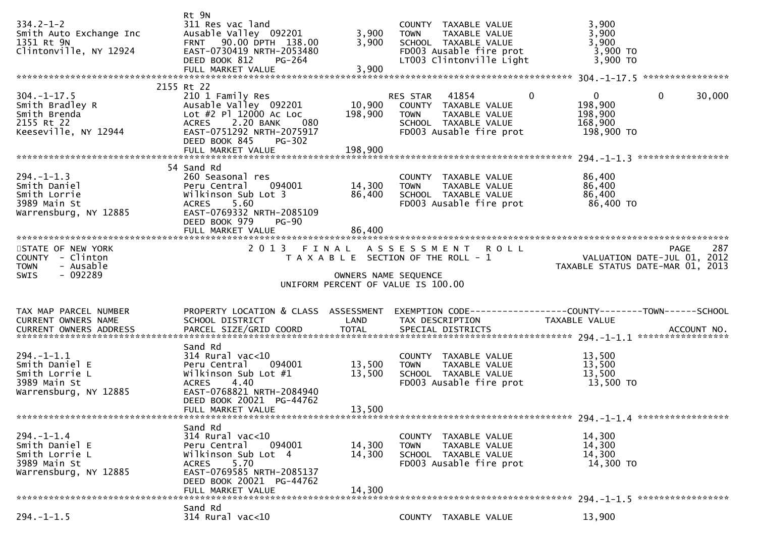| $334.2 - 1 - 2$<br>Smith Auto Exchange Inc<br>1351 Rt 9N<br>Clintonville, NY 12924                         | Rt 9N<br>311 Res vac land<br>Ausable Valley 092201<br>FRNT 90.00 DPTH 138.00<br>EAST-0730419 NRTH-2053480<br>DEED BOOK 812<br>PG-264                                               | 3,900<br>3,900             | COUNTY TAXABLE VALUE<br>TAXABLE VALUE<br><b>TOWN</b><br>SCHOOL TAXABLE VALUE<br>FD003 Ausable fire prot<br>LT003 Clintonville Light | 3,900<br>3,900<br>3,900<br>3,900 TO<br>3,900 TO                                            |        |
|------------------------------------------------------------------------------------------------------------|------------------------------------------------------------------------------------------------------------------------------------------------------------------------------------|----------------------------|-------------------------------------------------------------------------------------------------------------------------------------|--------------------------------------------------------------------------------------------|--------|
|                                                                                                            | 2155 Rt 22                                                                                                                                                                         |                            |                                                                                                                                     |                                                                                            |        |
| $304. - 1 - 17.5$<br>Smith Bradley R<br>Smith Brenda<br>Smith Brenda<br>2155 Rt 22<br>Keeseville, NY 12944 | 210 1 Family Res<br>Ausable Valley 092201<br>Lot #2 Pl 12000 Ac Loc<br>2.20 BANK<br>080<br><b>ACRES</b><br>EAST-0751292 NRTH-2075917<br>DEED BOOK 845<br>PG-302                    | 198,900                    | RES STAR 41854<br>10,900 COUNTY TAXABLE VALUE<br><b>TOWN</b><br>TAXABLE VALUE<br>SCHOOL TAXABLE VALUE<br>FD003 Ausable fire prot    | $\mathbf 0$<br>$\mathbf{0}$<br>$\mathbf{0}$<br>198,900<br>198,900<br>168,900<br>198,900 TO | 30,000 |
|                                                                                                            |                                                                                                                                                                                    |                            |                                                                                                                                     |                                                                                            |        |
| $294. -1 - 1.3$<br>Smith Daniel<br>Smith Lorrie<br>3989 Main St<br>Warrensburg, NY 12885                   | 54 Sand Rd<br>260 Seasonal res<br>Peru Central 094001<br>Wilkinson Sub Lot 3<br>5.60<br><b>ACRES</b><br>EAST-0769332 NRTH-2085109<br>DEED BOOK 979<br><b>PG-90</b>                 | 14,300<br>86,400           | COUNTY TAXABLE VALUE<br><b>TOWN</b><br>TAXABLE VALUE<br>SCHOOL TAXABLE VALUE<br>FD003 Ausable fire prot                             | 86,400<br>86,400<br>86,400<br>86,400 TO                                                    |        |
|                                                                                                            |                                                                                                                                                                                    |                            |                                                                                                                                     |                                                                                            |        |
| STATE OF NEW YORK<br>COUNTY - Clinton                                                                      |                                                                                                                                                                                    |                            | 2013 FINAL ASSESSMENT ROLL<br>T A X A B L E SECTION OF THE ROLL - 1                                                                 | PAGE<br>VALUATION DATE-JUL 01, 2012                                                        | 287    |
| - Ausable<br><b>TOWN</b><br>$-092289$<br>SWIS                                                              |                                                                                                                                                                                    | OWNERS NAME SEQUENCE       | UNIFORM PERCENT OF VALUE IS 100.00                                                                                                  | TAXABLE STATUS DATE-MAR 01, 2013                                                           |        |
| TAX MAP PARCEL NUMBER<br>CURRENT OWNERS NAME                                                               | PROPERTY LOCATION & CLASS ASSESSMENT<br>SCHOOL DISTRICT                                                                                                                            | LAND                       | TAX DESCRIPTION                                                                                                                     | EXEMPTION CODE------------------COUNTY--------TOWN------SCHOOL<br>TAXABLE VALUE            |        |
| $294. - 1 - 1.1$<br>Smith Daniel E<br>Smith Lorrie L<br>3989 Main St<br>Warrensburg, NY 12885              | Sand Rd<br>$314$ Rural vac<10<br>Peru Central 094001<br>Wilkinson Sub Lot #1<br>4.40<br><b>ACRES</b><br>EAST-0768821 NRTH-2084940<br>DEED BOOK 20021 PG-44762<br>FULL MARKET VALUE | 13,500<br>13,500<br>13,500 | COUNTY TAXABLE VALUE<br><b>TOWN</b><br>TAXABLE VALUE<br>SCHOOL TAXABLE VALUE<br>FD003 Ausable fire prot                             | 13,500<br>13,500<br>13,500<br>13,500 TO                                                    |        |
|                                                                                                            |                                                                                                                                                                                    |                            |                                                                                                                                     |                                                                                            |        |
| $294. - 1 - 1.4$<br>Smith Daniel E<br>Smith Lorrie L<br>3989 Main St<br>Warrensburg, NY 12885              | Sand Rd<br>314 Rural vac<10<br>Peru Central 094001<br>Wilkinson Sub Lot 4<br>5.70<br><b>ACRES</b><br>EAST-0769585 NRTH-2085137<br>DEED BOOK 20021 PG-44762<br>FULL MARKET VALUE    | 14,300<br>14,300<br>14,300 | COUNTY TAXABLE VALUE<br><b>TOWN</b><br>TAXABLE VALUE<br>SCHOOL TAXABLE VALUE<br>FD003 Ausable fire prot                             | 14,300<br>14,300<br>14,300<br>14,300 TO                                                    |        |
|                                                                                                            | Sand Rd                                                                                                                                                                            |                            |                                                                                                                                     |                                                                                            |        |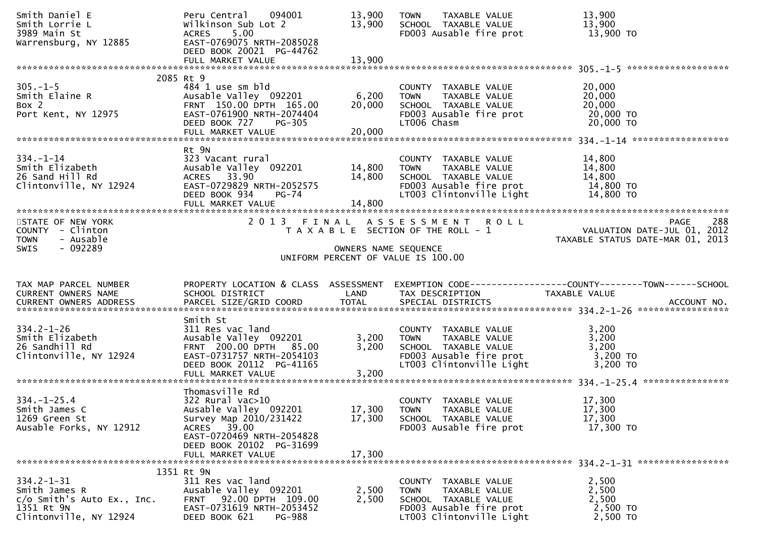| Smith Daniel E<br>Smith Lorrie L<br>3989 Main St<br>Warrensburg, NY 12885              | Peru Central 094001<br>Wilkinson Sub Lot 2<br>5.00<br><b>ACRES</b><br>EAST-0769075 NRTH-2085028<br>DEED BOOK 20021 PG-44762<br>FULL MARKET VALUE                                        | 13,900<br>13,900<br>13,900 | TAXABLE VALUE<br><b>TOWN</b><br>SCHOOL TAXABLE VALUE<br>FD003 Ausable fire prot                                                                                       | 13,900<br>13,900<br>13,900 TO                                                                                     |
|----------------------------------------------------------------------------------------|-----------------------------------------------------------------------------------------------------------------------------------------------------------------------------------------|----------------------------|-----------------------------------------------------------------------------------------------------------------------------------------------------------------------|-------------------------------------------------------------------------------------------------------------------|
|                                                                                        |                                                                                                                                                                                         |                            |                                                                                                                                                                       |                                                                                                                   |
| $305. - 1 - 5$<br>Smith Elaine R<br>Box 2<br>Port Kent, NY 12975                       | 2085 Rt 9<br>484 1 use sm bld<br>Ausable Valley 092201<br>FRNT 150.00 DPTH 165.00<br>EAST-0761900 NRTH-2074404<br>DEED BOOK 727 PG-305<br>FULL MARKET VALUE                             | 6,200<br>20,000<br>20,000  | COUNTY TAXABLE VALUE<br>TOWN     TAXABLE VALUE<br>SCHOOL   TAXABLE VALUE<br>FD003 Ausable fire prot<br>LT006 Chasm                                                    | 20,000<br>20,000<br>20,000<br>20,000 TO<br>$20,000$ TO                                                            |
| $334. - 1 - 14$<br>smith Elizabeth<br>26 Sand Hill Rd<br>Clintonville, NY 12924        | Rt 9N<br>323 Vacant rural<br>Ausable Valley 092201 14,800<br>ACRES 33.90<br>EAST-0729829 NRTH-2052575<br>DEED BOOK 934<br>PG-74                                                         | 14,800<br>14,800           | COUNTY TAXABLE VALUE<br>TAXABLE VALUE<br><b>TOWN</b><br>SCHOOL TAXABLE VALUE<br>FD003 Ausable fire prot<br>LT003 Clintonville Light                                   | 14,800<br>14,800<br>14,800<br>14,800 TO<br>14,800 TO                                                              |
| STATE OF NEW YORK<br>COUNTY - Clinton<br>- Ausable<br><b>TOWN</b><br>$-092289$<br>SWIS |                                                                                                                                                                                         | OWNERS NAME SEQUENCE       | 2013 FINAL ASSESSMENT ROLL<br>T A X A B L E SECTION OF THE ROLL - 1<br>UNIFORM PERCENT OF VALUE IS 100.00                                                             | 288<br><b>PAGE</b><br>0 L L<br>VALUATION DATE-JUL 01, 2012<br>TAXABLE STATUS DATE-MAR 01, 2013                    |
|                                                                                        |                                                                                                                                                                                         |                            |                                                                                                                                                                       |                                                                                                                   |
| TAX MAP PARCEL NUMBER<br>CURRENT OWNERS NAME                                           | SCHOOL DISTRICT                                                                                                                                                                         | LAND                       | TAX DESCRIPTION                                                                                                                                                       | PROPERTY LOCATION & CLASS ASSESSMENT EXEMPTION CODE----------------COUNTY-------TOWN------SCHOOL<br>TAXABLE VALUE |
| $334.2 - 1 - 26$<br>Smith Elizabeth<br>26 Sandhill Rd<br>Clintonville, NY 12924        | Smith St<br>311 Res vac land<br>Ausable Valley 092201<br>FRNT 200.00 DPTH 85.00<br>EAST-0731757 NRTH-2054103<br>DEED BOOK 20112 PG-41165<br>FULL MARKET VALUE                           | 3,200<br>3,200<br>3,200    | COUNTY TAXABLE VALUE<br>TAXABLE VALUE<br>TAXABLE VALUE<br>TAXABLE VALUE<br><b>TOWN</b><br>SCHOOL TAXABLE VALUE<br>FD003 Ausable fire prot<br>LT003 Clintonville Light | 3,200<br>3,200<br>3,200<br>3,200 TO<br>$3,200$ TO                                                                 |
| $334. - 1 - 25.4$<br>Smith James C<br>1269 Green St<br>Ausable Forks, NY 12912         | Thomasville Rd<br>$322$ Rural vac $>10$<br>Ausable Valley 092201<br>Survey Map 2010/231422<br>ACRES 39.00<br>EAST-0720469 NRTH-2054828<br>DEED BOOK 20102 PG-31699<br>FULL MARKET VALUE | 17,300<br>17,300<br>17,300 | COUNTY TAXABLE VALUE<br><b>TOWN</b><br>TAXABLE VALUE<br>SCHOOL TAXABLE VALUE<br>FD003 Ausable fire prot                                                               | 17,300<br>17,300<br>17,300<br>17,300 TO                                                                           |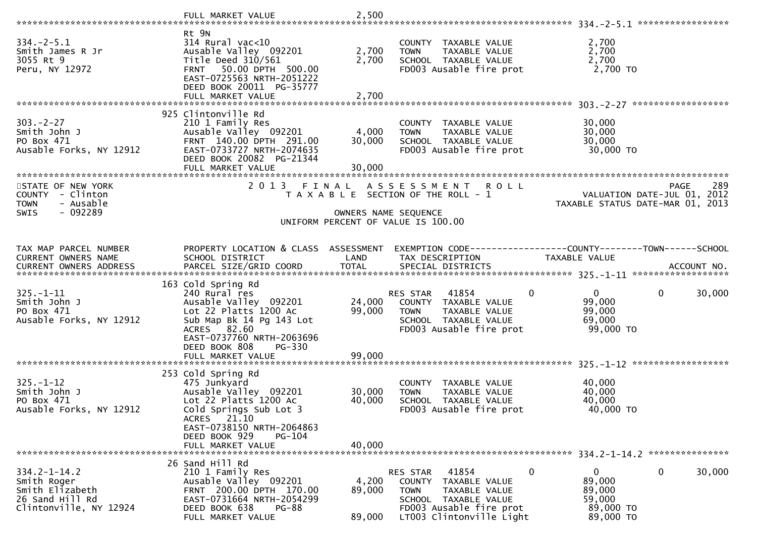|                                                                                                   | FULL MARKET VALUE                                                                                                                                                                                                 | 2,500                      |                                                                                                                                                                                   |                                                                                                                                                                                   |
|---------------------------------------------------------------------------------------------------|-------------------------------------------------------------------------------------------------------------------------------------------------------------------------------------------------------------------|----------------------------|-----------------------------------------------------------------------------------------------------------------------------------------------------------------------------------|-----------------------------------------------------------------------------------------------------------------------------------------------------------------------------------|
| $334 - 2 - 5.1$<br>Smith James R Jr<br>3055 Rt 9<br>Peru, NY 12972                                | Rt 9N<br>$314$ Rural vac<10<br>Ausable Valley 092201<br>Title Deed $310/561$<br>FRNT 50.00 DPTH 500.00<br>EAST-0725563 NRTH-2051222<br>DEED BOOK 20011 PG-35777<br>FULL MARKET VALUE                              | 2,700<br>2,700<br>2,700    | COUNTY TAXABLE VALUE<br>TAXABLE VALUE<br><b>TOWN</b><br>SCHOOL TAXABLE VALUE<br>FD003 Ausable fire prot                                                                           | 2,700<br>2,700<br>2,700<br>2,700 TO                                                                                                                                               |
| $303 - 2 - 27$<br>Smith John J<br>PO Box 471<br>Ausable Forks, NY 12912                           | 925 Clintonville Rd<br>210 1 Family Res<br>Ausable Valley 092201<br>FRNT 140.00 DPTH 291.00<br>EAST-0733727 NRTH-2074635<br>DEED BOOK 20082 PG-21344<br>FULL MARKET VALUE                                         | 4,000<br>30,000<br>30,000  | COUNTY TAXABLE VALUE<br><b>TOWN</b><br>TAXABLE VALUE<br>SCHOOL TAXABLE VALUE<br>FD003 Ausable fire prot                                                                           | 30,000<br>30,000<br>30,000<br>30,000 TO                                                                                                                                           |
| STATE OF NEW YORK<br>COUNTY - Clinton<br><b>TOWN</b><br>- Ausable<br>$-092289$<br><b>SWIS</b>     |                                                                                                                                                                                                                   |                            | 2013 FINAL ASSESSMENT ROLL<br>T A X A B L E SECTION OF THE ROLL - 1<br>OWNERS NAME SEQUENCE<br>UNIFORM PERCENT OF VALUE IS 100.00                                                 | 289<br>PAGE<br>VALUATION DATE-JUL 01, 2012<br>TAXABLE STATUS DATE-MAR 01, 2013                                                                                                    |
| TAX MAP PARCEL NUMBER<br>CURRENT OWNERS NAME                                                      | PROPERTY LOCATION & CLASS ASSESSMENT<br>SCHOOL DISTRICT                                                                                                                                                           | LAND                       | TAX DESCRIPTION                                                                                                                                                                   | EXEMPTION CODE------------------COUNTY--------TOWN------SCHOOL<br>TAXABLE VALUE<br>CURRENT OWNERS ADDRESS PARCEL SIZE/GRID COORD TOTAL SPECIAL DISTRICTS 701. SERVING ACCOUNT NO. |
| $325. - 1 - 11$<br>Smith John J<br>PO Box 471<br>Ausable Forks, NY 12912                          | 163 Cold Spring Rd<br>240 Rural res<br>Ausable Valley 092201<br>Lot 22 Platts 1200 Ac<br>Sub Map Bk 14 Pg 143 Lot<br>ACRES 82.60<br>EAST-0737760 NRTH-2063696<br>DEED BOOK 808<br>PG-330                          | 24,000<br>99,000           | RES STAR 41854<br>0<br>COUNTY TAXABLE VALUE<br><b>TOWN</b><br>TAXABLE VALUE<br>SCHOOL TAXABLE VALUE<br>FD003 Ausable fire prot                                                    | 30,000<br>0<br>$\mathbf{0}$<br>99,000<br>99,000<br>69,000<br>99,000 TO                                                                                                            |
| $325. - 1 - 12$<br>Smith John J<br>PO Box 471<br>Ausable Forks, NY 12912                          | 253 Cold Spring Rd<br>475 Junkyard<br>Ausable valley 092201<br>Lot 22 Platts 1200 Ac<br>Cold Springs Sub Lot 3<br>ACRES 21.10<br>EAST-0738150 NRTH-2064863<br>DEED BOOK 929<br><b>PG-104</b><br>FULL MARKET VALUE | 30,000<br>40,000<br>40,000 | COUNTY TAXABLE VALUE<br>TAXABLE VALUE<br><b>TOWN</b><br>SCHOOL TAXABLE VALUE<br>FD003 Ausable fire prot                                                                           | 40,000<br>40,000<br>40,000<br>40,000 TO                                                                                                                                           |
| $334.2 - 1 - 14.2$<br>Smith Roger<br>Smith Elizabeth<br>26 Sand Hill Rd<br>Clintonville, NY 12924 | 26 Sand Hill Rd<br>210 1 Family Res<br>Ausable Valley 092201<br>FRNT 200.00 DPTH 170.00<br>EAST-0731664 NRTH-2054299<br>DEED BOOK 638<br>PG-88<br>FULL MARKET VALUE                                               | 4,200<br>89,000<br>89,000  | 41854<br>$\mathbf 0$<br>RES STAR<br><b>COUNTY</b><br>TAXABLE VALUE<br><b>TOWN</b><br>TAXABLE VALUE<br>SCHOOL TAXABLE VALUE<br>FD003 Ausable fire prot<br>LT003 Clintonville Light | 0<br>30,000<br>$\mathbf{0}$<br>89,000<br>89,000<br>59,000<br>89,000 TO<br>89,000 TO                                                                                               |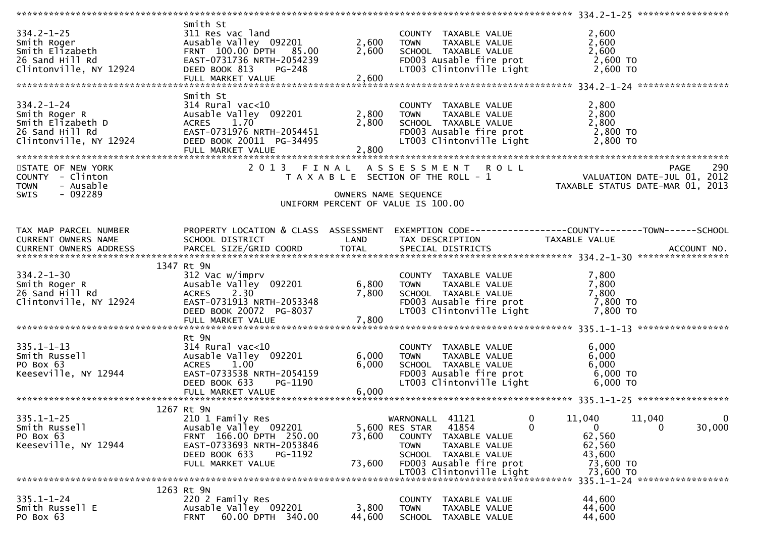| $334.2 - 1 - 25$<br>Smith Roger<br>Smith Elizabeth<br>26 Sand Hill Rd<br>Clintonville, NY 12924     | Smith St<br>311 Res vac land<br>Ausable Valley 092201<br>FRNT 100.00 DPTH 85.00<br>EAST-0731736 NRTH-2054239<br>DEED BOOK 813 PG-248<br>FULL MARKET VALUE | 2,600<br>2,600<br>2,600 | COUNTY TAXABLE VALUE<br><b>TOWN</b><br>TAXABLE VALUE<br>SCHOOL TAXABLE VALUE<br>FD003 Ausable fire prot<br>LT003 Clintonville Light | 2,600<br>2,600<br>2,600<br>2,600 TO<br>2,600 TO |
|-----------------------------------------------------------------------------------------------------|-----------------------------------------------------------------------------------------------------------------------------------------------------------|-------------------------|-------------------------------------------------------------------------------------------------------------------------------------|-------------------------------------------------|
|                                                                                                     | Smith St                                                                                                                                                  |                         |                                                                                                                                     |                                                 |
| $334.2 - 1 - 24$<br>Smith Roger R<br>Smith Elizabeth D<br>26 Sand Hill Rd<br>Clintonville, NY 12924 | $314$ Rural vac<10<br>Ausable Valley 092201<br>ACRES 1.70<br>EAST-0731976 NRTH-2054451<br>DEED BOOK 20011 PG-34495<br>FULL MARKET VALUE                   | 2,800<br>2,800<br>2,800 | COUNTY TAXABLE VALUE<br>TAXABLE VALUE<br><b>TOWN</b><br>SCHOOL TAXABLE VALUE<br>FD003 Ausable fire prot<br>LT003 Clintonville Light | 2,800<br>2,800<br>2,800<br>2,800 TO<br>2,800 TO |
| STATE OF NEW YORK                                                                                   |                                                                                                                                                           |                         | 2013 FINAL ASSESSMENT ROLL                                                                                                          | 290<br>PAGE                                     |
| COUNTY - Clinton<br>- Ausable                                                                       |                                                                                                                                                           |                         | T A X A B L E SECTION OF THE ROLL - 1                                                                                               | VALUATION DATE-JUL 01, 2012                     |
| <b>TOWN</b><br>$-092289$<br><b>SWIS</b>                                                             |                                                                                                                                                           |                         | OWNERS NAME SEQUENCE<br>UNIFORM PERCENT OF VALUE IS 100.00                                                                          | TAXABLE STATUS DATE-MAR 01, 2013                |
| TAX MAP PARCEL NUMBER                                                                               | PROPERTY LOCATION & CLASS ASSESSMENT                                                                                                                      |                         |                                                                                                                                     |                                                 |
| CURRENT OWNERS NAME                                                                                 | SCHOOL DISTRICT                                                                                                                                           | LAND                    | TAX DESCRIPTION                                                                                                                     | <b>TAXABLE VALUE</b>                            |
|                                                                                                     |                                                                                                                                                           |                         |                                                                                                                                     |                                                 |
|                                                                                                     | 1347 Rt 9N                                                                                                                                                |                         |                                                                                                                                     |                                                 |
| $334.2 - 1 - 30$                                                                                    | 312 Vac w/imprv                                                                                                                                           |                         | COUNTY TAXABLE VALUE                                                                                                                | 7,800                                           |
| Smith Roger R                                                                                       | Ausable Valley 092201                                                                                                                                     | 6,800                   | TAXABLE VALUE<br>TOWN                                                                                                               | 7,800                                           |
| 26 Sand Hill Rd                                                                                     | 2.30<br><b>ACRES</b>                                                                                                                                      | 7,800                   | SCHOOL TAXABLE VALUE                                                                                                                | 7,800                                           |
| Clintonville, NY 12924                                                                              | EAST-0731913 NRTH-2053348<br>DEED BOOK 20072 PG-8037                                                                                                      |                         | FD003 Ausable fire prot<br>LT003 Clintonville Light                                                                                 | 7,800 TO<br>7,800 TO                            |
|                                                                                                     |                                                                                                                                                           |                         |                                                                                                                                     |                                                 |
|                                                                                                     |                                                                                                                                                           |                         |                                                                                                                                     |                                                 |
|                                                                                                     | Rt 9N                                                                                                                                                     |                         |                                                                                                                                     |                                                 |
| $335.1 - 1 - 13$                                                                                    | $314$ Rural vac<10                                                                                                                                        |                         | COUNTY TAXABLE VALUE                                                                                                                | 6,000                                           |
| Smith Russell<br>PO Box 63                                                                          | Ausable Valley 092201<br>1.00<br><b>ACRES</b>                                                                                                             | 6,000<br>6,000          | TAXABLE VALUE<br><b>TOWN</b><br>SCHOOL TAXABLE VALUE                                                                                | 6,000<br>6,000                                  |
| Keeseville, NY 12944                                                                                | EAST-0733538 NRTH-2054159                                                                                                                                 |                         | FD003 Ausable fire prot                                                                                                             | 6,000 TO                                        |
|                                                                                                     | DEED BOOK 633<br>PG-1190                                                                                                                                  |                         | LT003 Clintonville Light                                                                                                            | 6,000 TO                                        |
|                                                                                                     | FULL MARKET VALUE                                                                                                                                         | 6,000                   |                                                                                                                                     |                                                 |
|                                                                                                     | 1267 Rt 9N                                                                                                                                                |                         |                                                                                                                                     |                                                 |
| $335.1 - 1 - 25$                                                                                    | 210 1 Family Res                                                                                                                                          |                         | WARNONALL<br>41121<br>0                                                                                                             | 11,040<br>11,040<br>$\mathbf{0}$                |
| Smith Russell                                                                                       | Ausable Valley 092201                                                                                                                                     |                         | $\mathbf{0}$<br>5,600 RES STAR<br>41854                                                                                             | 30,000<br>$\overline{0}$<br>0                   |
| PO Box 63                                                                                           | FRNT 166.00 DPTH 250.00                                                                                                                                   | 73,600                  | <b>COUNTY</b><br>TAXABLE VALUE                                                                                                      | 62,560                                          |
| Keeseville, NY 12944                                                                                | EAST-0733693 NRTH-2053846<br>DEED BOOK 633<br>PG-1192                                                                                                     |                         | TAXABLE VALUE<br><b>TOWN</b><br>SCHOOL TAXABLE VALUE                                                                                | 62,560<br>43,600                                |
|                                                                                                     | FULL MARKET VALUE                                                                                                                                         | 73,600                  | FD003 Ausable fire prot                                                                                                             | 73,600 TO                                       |
|                                                                                                     |                                                                                                                                                           |                         | LT003 Clintonville Light                                                                                                            | 73,600 TO                                       |
|                                                                                                     |                                                                                                                                                           |                         |                                                                                                                                     | 335.1-1-24 ******************                   |
| $335.1 - 1 - 24$                                                                                    | 1263 Rt 9N<br>220 2 Family Res                                                                                                                            |                         | <b>COUNTY</b><br>TAXABLE VALUE                                                                                                      | 44,600                                          |
| Smith Russell E                                                                                     | Ausable Valley 092201                                                                                                                                     | 3,800                   | <b>TOWN</b><br>TAXABLE VALUE                                                                                                        | 44,600                                          |
| PO Box 63                                                                                           | 60.00 DPTH 340.00<br><b>FRNT</b>                                                                                                                          | 44,600                  | <b>SCHOOL</b><br>TAXABLE VALUE                                                                                                      | 44,600                                          |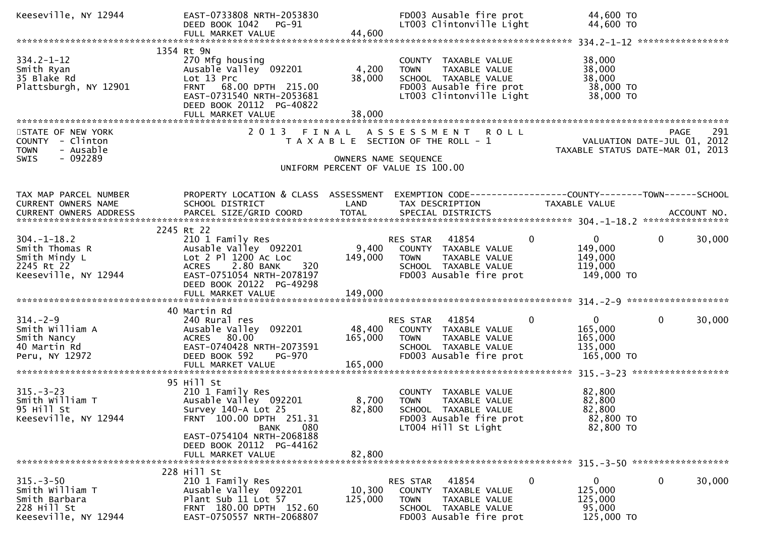| Keeseville, NY 12944                                                                         | EAST-0733808 NRTH-2053830<br>DEED BOOK 1042 PG-91<br>FULL MARKET VALUE                                                                                                       | 44,600                       | FD003 Ausable fire prot<br>LT003 Clintonville Light                                                                                   | 44,600 TO<br>44,600 TO                                                        |                                                                                |
|----------------------------------------------------------------------------------------------|------------------------------------------------------------------------------------------------------------------------------------------------------------------------------|------------------------------|---------------------------------------------------------------------------------------------------------------------------------------|-------------------------------------------------------------------------------|--------------------------------------------------------------------------------|
|                                                                                              |                                                                                                                                                                              |                              |                                                                                                                                       |                                                                               |                                                                                |
| $334.2 - 1 - 12$<br>Smith Ryan<br>35 Blake Rd<br>Plattsburgh, NY 12901                       | 1354 Rt 9N<br>270 Mfg housing<br>Ausable Valley 092201<br>Lot 13 Prc<br>FRNT 68.00 DPTH 215.00<br>EAST-0731540 NRTH-2053681<br>DEED BOOK 20112 PG-40822<br>FULL MARKET VALUE | 4,200<br>38,000<br>38,000    | COUNTY TAXABLE VALUE<br>TAXABLE VALUE<br><b>TOWN</b><br>SCHOOL TAXABLE VALUE<br>FD003 Ausable fire prot<br>LT003 Clintonville Light   | 38,000<br>38,000<br>38,000<br>38,000 TO<br>38,000 TO                          |                                                                                |
| STATE OF NEW YORK<br>COUNTY - Clinton<br>- Ausable<br><b>TOWN</b><br>- 092289<br><b>SWIS</b> |                                                                                                                                                                              | OWNERS NAME SEQUENCE         | 2013 FINAL ASSESSMENT ROLL<br>T A X A B L E SECTION OF THE ROLL - 1<br>UNIFORM PERCENT OF VALUE IS 100.00                             |                                                                               | 291<br>PAGE<br>VALUATION DATE-JUL 01, 2012<br>TAXABLE STATUS DATE-MAR 01, 2013 |
| TAX MAP PARCEL NUMBER<br>CURRENT OWNERS NAME                                                 | PROPERTY LOCATION & CLASS ASSESSMENT<br>SCHOOL DISTRICT                                                                                                                      | LAND                         | EXEMPTION CODE------------------COUNTY--------TOWN------SCHOOL<br>TAX DESCRIPTION                                                     | <b>TAXABLE VALUE</b>                                                          |                                                                                |
| $304. - 1 - 18.2$<br>Smith Thomas R<br>Smith Mindy L<br>2245 Rt 22<br>Keeseville, NY 12944   | 2245 Rt 22<br>210 1 Family Res<br>Ausable Valley 092201<br>Lot 2 Pl 1200 Ac Loc<br>2.80 BANK<br>320<br><b>ACRES</b><br>EAST-0751054 NRTH-2078197<br>DEED BOOK 20122 PG-49298 | 9,400<br>149,000             | RES STAR 41854<br>COUNTY TAXABLE VALUE<br><b>TOWN</b><br>TAXABLE VALUE<br>SCHOOL TAXABLE VALUE<br>FD003 Ausable fire prot             | $\overline{0}$<br>$\mathbf{0}$<br>149,000<br>149,000<br>119,000<br>149,000 TO | 30,000<br>$\mathbf{0}$                                                         |
|                                                                                              | 40 Martin Rd                                                                                                                                                                 |                              |                                                                                                                                       |                                                                               |                                                                                |
| $314. - 2 - 9$<br>Smith William A<br>Smith Nancy<br>40 Martin Rd<br>Peru, NY 12972           | 240 Rural res<br>Ausable Valley 092201<br>ACRES 80.00<br>EAST-0740428 NRTH-2073591<br>DEED BOOK 592<br>PG-970<br>FULL MARKET VALUE                                           | 48,400<br>165,000<br>165,000 | 41854<br>RES STAR<br>COUNTY TAXABLE VALUE<br><b>TOWN</b><br>TAXABLE VALUE<br>SCHOOL TAXABLE VALUE<br>FD003 Ausable fire prot          | $\mathbf{0}$<br>$\mathbf{0}$<br>165,000<br>165,000<br>135,000<br>165,000 TO   | $\mathbf 0$<br>30,000                                                          |
|                                                                                              |                                                                                                                                                                              |                              |                                                                                                                                       |                                                                               |                                                                                |
| $315 - 3 - 23$<br>Smith William T<br>95 Hill St<br>Keeseville, NY 12944                      | 95 Hill St<br>210 1 Family Res<br>Ausable Valley 092201<br>Survey 140-A Lot 25<br>FRNT 100.00 DPTH 251.31<br>080<br>BANK                                                     | 8,700<br>82,800              | COUNTY TAXABLE VALUE<br><b>TOWN</b><br><b>TAXABLE VALUE</b><br>SCHOOL TAXABLE VALUE<br>FD003 Ausable fire prot<br>LT004 Hill St Light | 82,800<br>82,800<br>82,800<br>82,800 TO<br>82,800 TO                          |                                                                                |
|                                                                                              | EAST-0754104 NRTH-2068188<br>DEED BOOK 20112 PG-44162<br>FULL MARKET VALUE                                                                                                   | 82,800                       |                                                                                                                                       |                                                                               |                                                                                |
| $315. - 3 - 50$<br>Smith William T<br>Smith Barbara<br>228 Hill St<br>Keeseville, NY 12944   | 228 Hill St<br>210 1 Family Res<br>Ausable Valley 092201<br>Plant Sub 11 Lot 57<br>FRNT 180.00 DPTH 152.60<br>EAST-0750557 NRTH-2068807                                      | 10,300<br>125,000            | 41854<br>RES STAR<br>COUNTY TAXABLE VALUE<br><b>TOWN</b><br>TAXABLE VALUE<br>SCHOOL TAXABLE VALUE<br>FD003 Ausable fire prot          | $\mathbf{0}$<br>0<br>125,000<br>125,000<br>95,000<br>125,000 TO               | 30,000<br>0                                                                    |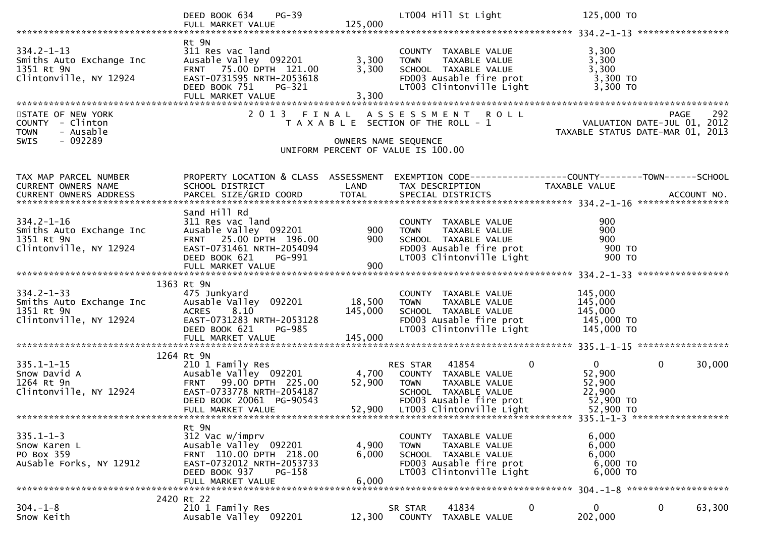|                                                                                                    | $PG-39$<br>DEED BOOK 634<br>FULL MARKET VALUE                                                                                                                         | 125,000                 | LT004 Hill St Light                                                                                                                                                | 125,000 TO                                                                                                                                                                                                             |
|----------------------------------------------------------------------------------------------------|-----------------------------------------------------------------------------------------------------------------------------------------------------------------------|-------------------------|--------------------------------------------------------------------------------------------------------------------------------------------------------------------|------------------------------------------------------------------------------------------------------------------------------------------------------------------------------------------------------------------------|
| $334.2 - 1 - 13$<br>S34.2-1-13<br>Smiths Auto Exchange Inc<br>1351 Rt 9N<br>Clintonville, NY 12924 | Rt 9N<br>311 Res vac land<br>Ausable Valley 092201<br>FRNT 75.00 DPTH 121.00<br>EAST-0731595 NRTH-2053618<br>DEED BOOK 751<br>PG-321<br>FULL MARKET VALUE             | 3,300<br>3,300<br>3,300 | COUNTY TAXABLE VALUE<br>TAXABLE VALUE<br>TAXABLE VALUE<br>IL TAYADLE<br><b>TOWN</b><br>SCHOOL TAXABLE VALUE<br>FD003 Ausable fire prot<br>LT003 Clintonville Light | 3,300<br>3,300<br>3,300<br>3,300 TO<br>3,300 TO                                                                                                                                                                        |
| STATE OF NEW YORK<br>COUNTY - Clinton<br>- Ausable<br><b>TOWN</b><br>$-092289$<br><b>SWIS</b>      |                                                                                                                                                                       | OWNERS NAME SEQUENCE    | 2013 FINAL ASSESSMENT ROLL<br>T A X A B L E SECTION OF THE ROLL - 1<br>UNIFORM PERCENT OF VALUE IS 100.00                                                          | 292<br>PAGE<br>292 PAGE<br>2012 VALUATION DATE-JUL 01, 2012<br>TAXABLE STATUS DATE-MAR 01, 2013                                                                                                                        |
| TAX MAP PARCEL NUMBER<br>CURRENT OWNERS NAME                                                       | SCHOOL DISTRICT                                                                                                                                                       | LAND                    | TAX DESCRIPTION                                                                                                                                                    | PROPERTY LOCATION & CLASS ASSESSMENT EXEMPTION CODE----------------COUNTY-------TOWN------SCHOOL<br>TAXABLE VALUE<br>CONNENT OWNERS ADDRESS FORCEL SIZE/GRID COORD TOTAL SPECIAL DISTRICTS AND RESERVE AND ACCOUNT NO. |
| $334.2 - 1 - 16$<br>Smiths Auto Exchange Inc<br>Clintonville, NY 12924                             | Sand Hill Rd<br>311 Res vac land<br>Ausable Valley 092201<br>FRNT 25.00 DPTH 196.00<br>EAST-0731461 NRTH-2054094<br>DEED BOOK 621<br>PG-991                           | 900<br>900              | COUNTY TAXABLE VALUE<br><b>TOWN</b><br>TAXABLE VALUE<br>SCHOOL TAXABLE VALUE<br>SCHOOL TAXABLE VALUE<br>FDOO3 Ausable fire prot<br>LT003 Clintonville Light        | 900<br>900<br>900<br>900 то<br>900 TO                                                                                                                                                                                  |
|                                                                                                    | 1363 Rt 9N                                                                                                                                                            |                         |                                                                                                                                                                    |                                                                                                                                                                                                                        |
| $334.2 - 1 - 33$<br>Smiths Auto Exchange Inc<br>1351 Rt 9N<br>Clintonville, NY 12924               | 475 Junkyard<br>DEED BOOK 621<br>PG-985                                                                                                                               | 18,500<br>145,000       | COUNTY TAXABLE VALUE<br>TAXABLE VALUE<br><b>TOWN</b><br>SCHOOL TAXABLE VALUE<br>FD003 Ausable fire prot<br>LT003 Clintonville Light                                | 145,000<br>145,000<br>145,000<br>145,000 TO<br>145,000 TO                                                                                                                                                              |
|                                                                                                    | 1264 Rt 9N                                                                                                                                                            |                         |                                                                                                                                                                    |                                                                                                                                                                                                                        |
| $335.1 - 1 - 15$<br>Snow David A<br>1264 Rt 9n<br>Clintonville, NY 12924                           | ב ב ב רמשווץ Res<br>Ausable Valley 092201<br>ERNT - 00 00 הרב<br>FRNT 99.00 DPTH 225.00<br>EAST-0733778 NRTH-2054187<br>DEED BOOK 20061 PG-90543<br>FULL MARKET VALUE | 52,900                  | RES STAR 41854<br>4,700 COUNTY TAXABLE VALUE<br>TAXABLE VALUE<br><b>TOWN</b><br>SCHOOL TAXABLE VALUE<br>FD003 Ausable fire prot<br>52,900 LT003 Clintonville Light | 0<br>$\mathbf 0$<br>$\mathbf{0}$<br>30,000<br>52,900<br>52,900<br>22,900<br>52,900 TO<br>52,900 TO                                                                                                                     |
|                                                                                                    | Rt 9N                                                                                                                                                                 |                         |                                                                                                                                                                    |                                                                                                                                                                                                                        |
| $335.1 - 1 - 3$<br>Snow Karen L<br>PO Box 359<br>AuSable Forks, NY 12912                           | 312 Vac w/imprv<br>Ausable Valley 092201<br>FRNT 110.00 DPTH 218.00<br>EAST-0732012 NRTH-2053733<br>DEED BOOK 937<br>PG-158<br>FULL MARKET VALUE                      | 4,900<br>6,000<br>6,000 | COUNTY TAXABLE VALUE<br><b>TOWN</b><br>TAXABLE VALUE<br>SCHOOL TAXABLE VALUE<br>FD003 Ausable fire prot<br>LT003 Clintonville Light                                | 6,000<br>6,000<br>6,000<br>6,000 TO<br>6,000 TO                                                                                                                                                                        |
|                                                                                                    |                                                                                                                                                                       |                         |                                                                                                                                                                    |                                                                                                                                                                                                                        |
| $304. - 1 - 8$<br>Snow Keith                                                                       | 2420 Rt 22<br>210 1 Family Res<br>Ausable Valley 092201                                                                                                               | 12,300                  | 41834<br>SR STAR<br>COUNTY TAXABLE VALUE                                                                                                                           | 0<br>0<br>$\mathbf{0}$<br>63,300<br>202,000                                                                                                                                                                            |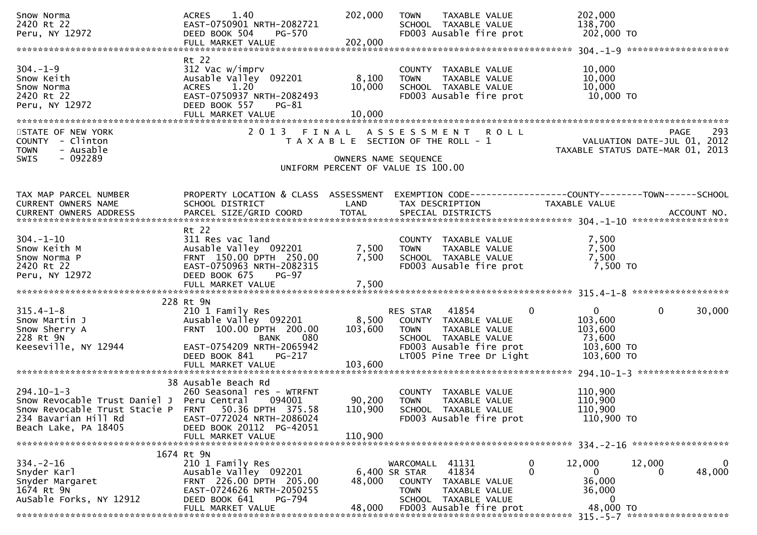| Snow Norma<br>2420 Rt 22<br>Peru, NY 12972                                                                                                                             | 1.40<br><b>ACRES</b><br>EAST-0750901 NRTH-2082721<br>DEED BOOK 504<br>PG-570<br>FULL MARKET VALUE                                                                                    | 202,000<br>202,000           | TAXABLE VALUE<br><b>TOWN</b><br>SCHOOL TAXABLE VALUE<br>FD003 Ausable fire prot                                                                       | 202,000<br>138,700<br>202,000 TO                                                                                  |
|------------------------------------------------------------------------------------------------------------------------------------------------------------------------|--------------------------------------------------------------------------------------------------------------------------------------------------------------------------------------|------------------------------|-------------------------------------------------------------------------------------------------------------------------------------------------------|-------------------------------------------------------------------------------------------------------------------|
| $304. - 1 - 9$<br>Snow Keith<br>Snow Norma<br>2420 Rt 22<br>Peru, NY 12972                                                                                             | Rt 22<br>312 Vac w/imprv<br>Ausable Valley 092201<br><b>ACRES</b><br>1.20<br>EAST-0750937 NRTH-2082493<br>DEED BOOK 557<br>PG-81                                                     | 8,100<br>10,000              | COUNTY TAXABLE VALUE<br>TAXABLE VALUE<br><b>TOWN</b><br>SCHOOL TAXABLE VALUE<br>FD003 Ausable fire prot                                               | 10,000<br>10,000<br>10,000<br>10,000 TO                                                                           |
| STATE OF NEW YORK<br>COUNTY - Clinton<br>- Ausable<br><b>TOWN</b><br>$-092289$<br><b>SWIS</b>                                                                          |                                                                                                                                                                                      |                              | 2013 FINAL ASSESSMENT ROLL<br>T A X A B L E SECTION OF THE ROLL - 1<br>OWNERS NAME SEQUENCE<br>UNIFORM PERCENT OF VALUE IS 100.00                     | 293<br>PAGE<br>VALUATION DATE-JUL 01, 2012<br>TAXABLE STATUS DATE-MAR 01, 2013                                    |
| TAX MAP PARCEL NUMBER<br>CURRENT OWNERS NAME                                                                                                                           | PROPERTY LOCATION & CLASS ASSESSMENT<br>SCHOOL DISTRICT                                                                                                                              | LAND                         | TAX DESCRIPTION                                                                                                                                       | EXEMPTION CODE-----------------COUNTY--------TOWN------SCHOOL<br>TAXABLE VALUE                                    |
| $304. - 1 - 10$<br>Snow Keith M<br>Snow Norma P<br>2420 Rt 22<br>Peru, NY 12972                                                                                        | Rt 22<br>311 Res vac land<br>Ausable Valley 092201<br>FRNT 150.00 DPTH 250.00<br>EAST-0750963 NRTH-2082315<br>DEED BOOK 675<br>$PG-97$<br>FULL MARKET VALUE                          | 7,500<br>7,500<br>7,500      | COUNTY TAXABLE VALUE<br><b>TOWN</b><br>TAXABLE VALUE<br>SCHOOL TAXABLE VALUE<br>FD003 Ausable fire prot                                               | 7,500<br>7,500<br>7,500<br>7,500 TO                                                                               |
| $315.4 - 1 - 8$<br>Snow Martin J<br>Snow Sherry A<br>228 Rt 9N<br>Keeseville, NY 12944                                                                                 | 228 Rt 9N<br>210 1 Family Res<br>Ausable Valley 092201<br>FRNT 100.00 DPTH 200.00<br>080<br><b>BANK</b><br>EAST-0754209 NRTH-2065942<br>DEED BOOK 841<br>PG-217<br>FULL MARKET VALUE | 8,500<br>103,600<br>103,600  | RES STAR 41854<br>COUNTY TAXABLE VALUE<br><b>TOWN</b><br>TAXABLE VALUE<br>SCHOOL TAXABLE VALUE<br>FD003 Ausable fire prot<br>LT005 Pine Tree Dr Light | $\mathbf{0}$<br>$\mathbf{0}$<br>$\mathbf 0$<br>30,000<br>103,600<br>103,600<br>73,600<br>103,600 TO<br>103,600 TO |
| $294.10 - 1 - 3$<br>Snow Revocable Trust Daniel J Peru Central<br>Snow Revocable Trust Stacie P FRNT 50.36 DPTH 375.58<br>234 Bavarian Hill Rd<br>Beach Lake, PA 18405 | 38 Ausable Beach Rd<br>260 Seasonal res - WTRFNT<br>094001<br>EAST-0772024 NRTH-2086024<br>DEED BOOK 20112 PG-42051<br>FULL MARKET VALUE                                             | 90,200<br>110,900<br>110,900 | COUNTY TAXABLE VALUE<br>TAXABLE VALUE<br><b>TOWN</b><br>SCHOOL TAXABLE VALUE<br>FD003 Ausable fire prot                                               | 110,900<br>110,900<br>110,900<br>110,900 TO                                                                       |
|                                                                                                                                                                        | 1674 Rt 9N                                                                                                                                                                           |                              |                                                                                                                                                       |                                                                                                                   |
| $334 - 2 - 16$<br>Snyder Karl<br>Snyder Margaret<br>1674 Rt 9N<br>AuSable Forks, NY 12912                                                                              | 210 1 Family Res<br>Ausable Valley 092201<br>FRNT 226.00 DPTH 205.00<br>EAST-0724626 NRTH-2050255<br>DEED BOOK 641<br>PG-794<br>FULL MARKET VALUE                                    | 48,000<br>48,000             | WARCOMALL 41131<br>41834<br>6,400 SR STAR<br>COUNTY TAXABLE VALUE<br><b>TOWN</b><br>TAXABLE VALUE<br>SCHOOL TAXABLE VALUE<br>FD003 Ausable fire prot  | 0<br>12,000<br>12,000<br>0<br>0<br>48,000<br>0<br>0<br>36,000<br>36,000<br>0<br>48,000 TO                         |
|                                                                                                                                                                        |                                                                                                                                                                                      |                              |                                                                                                                                                       |                                                                                                                   |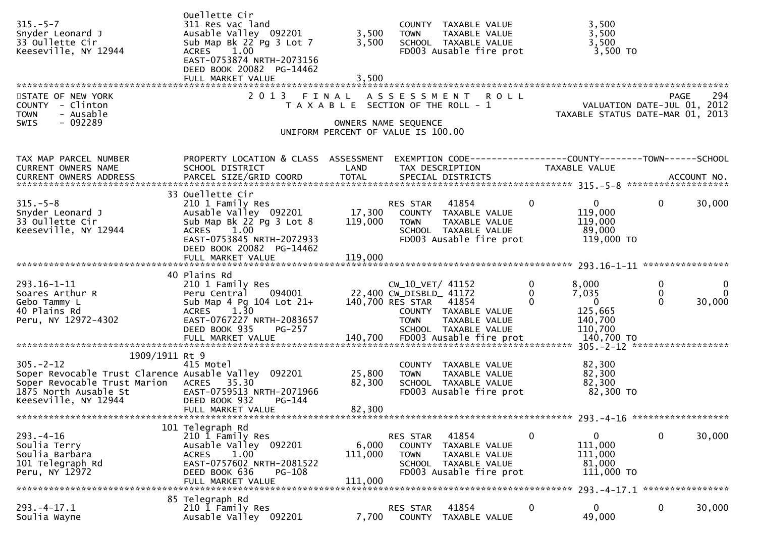| $315. - 5 - 7$<br>Snyder Leonard J<br>33 Oullette Cir<br>Keeseville, NY 12944                                                                                        | Ouellette Cir<br>311 Res vac land<br>Ausable Valley 092201<br>Sub Map Bk 22 Pg 3 Lot 7<br>1.00<br><b>ACRES</b><br>EAST-0753874 NRTH-2073156<br>DEED BOOK 20082 PG-14462<br>FULL MARKET VALUE | 3,500<br>3,500<br>3,500           | COUNTY TAXABLE VALUE<br>TAXABLE VALUE<br><b>TOWN</b><br>SCHOOL TAXABLE VALUE<br>FD003 Ausable fire prot                                               | 3,500<br>3,500<br>3,500<br>3,500 TO                                                   |                                                      |
|----------------------------------------------------------------------------------------------------------------------------------------------------------------------|----------------------------------------------------------------------------------------------------------------------------------------------------------------------------------------------|-----------------------------------|-------------------------------------------------------------------------------------------------------------------------------------------------------|---------------------------------------------------------------------------------------|------------------------------------------------------|
| STATE OF NEW YORK<br>COUNTY - Clinton<br>- Ausable<br><b>TOWN</b><br>$-092289$<br><b>SWIS</b>                                                                        | 2 0 1 3                                                                                                                                                                                      | FINAL                             | ASSESSMENT ROLL<br>T A X A B L E SECTION OF THE ROLL - 1<br>OWNERS NAME SEQUENCE<br>UNIFORM PERCENT OF VALUE IS 100.00                                | VALUATION DATE-JUL 01, 2012<br>TAXABLE STATUS DATE-MAR 01, 2013                       | 294<br>PAGE                                          |
| TAX MAP PARCEL NUMBER<br>CURRENT OWNERS NAME                                                                                                                         | PROPERTY LOCATION & CLASS ASSESSMENT<br>SCHOOL DISTRICT                                                                                                                                      | LAND                              | EXEMPTION CODE------------------COUNTY--------TOWN------SCHOOL<br>TAX DESCRIPTION                                                                     | TAXABLE VALUE                                                                         |                                                      |
| $315. - 5 - 8$<br>Snyder Leonard J<br>33 Oullette Cir<br>Keeseville, NY 12944                                                                                        | 33 Ouellette Cir<br>210 1 Family Res<br>Ausable Valley 092201<br>Sub Map Bk 22 Pg 3 Lot 8<br>ACRES 1.00<br>EAST-0753845 NRTH-2072933<br>DEED BOOK 20082 PG-14462                             | $\frac{17}{110}$ , 300<br>119,000 | 41854<br>RES STAR<br>COUNTY TAXABLE VALUE<br><b>TOWN</b><br>TAXABLE VALUE<br>SCHOOL TAXABLE VALUE<br>FD003 Ausable fire prot                          | $\mathbf{0}$<br>$\overline{0}$<br>119,000<br>119,000<br>89,000<br>119,000 TO          | $\mathbf{0}$<br>30,000                               |
|                                                                                                                                                                      |                                                                                                                                                                                              |                                   |                                                                                                                                                       |                                                                                       |                                                      |
| 293.16-1-11<br>Soares Arthur R<br>Gebo Tammy L<br>40 Plains Rd<br>Peru, NY 12972-4302                                                                                | 40 Plains Rd<br>210 1 Family Res<br>Peru Central 094001<br>$Sub Map 4 Py 104 Lot 21+$<br>ACRES 1.30<br>EAST-0767227 NRTH-2083657<br>DEED BOOK 935<br>PG-257                                  |                                   | CW_10_VET/ 41152<br>22,400 CW_DISBLD_ 41172<br>140,700 RES STAR 41854<br>COUNTY TAXABLE VALUE<br><b>TOWN</b><br>TAXABLE VALUE<br>SCHOOL TAXABLE VALUE | $\mathbf 0$<br>8,000<br>7,035<br>0<br>$\overline{0}$<br>125,665<br>140,700<br>110,700 | 0<br>0<br>$\Omega$<br>$\bf{0}$<br>$\Omega$<br>30,000 |
| 1909/1911 Rt 9                                                                                                                                                       |                                                                                                                                                                                              |                                   |                                                                                                                                                       |                                                                                       |                                                      |
| $305. - 2 - 12$<br>Soper Revocable Trust Clarence Ausable Valley 092201<br>Soper Revocable Trust Marion ACRES 35.30<br>1875 North Ausable St<br>Keeseville, NY 12944 | 415 Motel<br>EAST-0759513 NRTH-2071966<br>DEED BOOK 932<br>PG-144<br>FULL MARKET VALUE                                                                                                       | 25,800<br>82,300<br>82,300        | COUNTY TAXABLE VALUE<br>TAXABLE VALUE<br><b>TOWN</b><br>SCHOOL TAXABLE VALUE<br>FD003 Ausable fire prot                                               | 82,300<br>82,300<br>82,300<br>82,300 TO                                               |                                                      |
| ******************************                                                                                                                                       |                                                                                                                                                                                              |                                   |                                                                                                                                                       |                                                                                       |                                                      |
| $293. -4 - 16$<br>Soulia Terry<br>Soulia Barbara<br>101 Telegraph Rd<br>Peru, NY 12972                                                                               | 101 Telegraph Rd<br>210 1 Family Res<br>Ausable Valley 092201<br>1.00<br><b>ACRES</b><br>EAST-0757602 NRTH-2081522<br>DEED BOOK 636<br>PG-108<br>FULL MARKET VALUE                           | 6,000<br>111,000<br>111,000       | RES STAR<br>41854<br>COUNTY<br>TAXABLE VALUE<br><b>TOWN</b><br>TAXABLE VALUE<br>SCHOOL TAXABLE VALUE<br>FD003 Ausable fire prot                       | 0<br>0<br>111,000<br>111,000<br>81,000<br>111,000 TO                                  | $\mathbf 0$<br>30,000                                |
|                                                                                                                                                                      |                                                                                                                                                                                              |                                   |                                                                                                                                                       |                                                                                       | 293. -4-17.1 *****************                       |
| $293. -4 - 17.1$<br>Soulia Wayne                                                                                                                                     | 85 Telegraph Rd<br>210 1 Family Res<br>Ausable Valley 092201                                                                                                                                 | 7,700                             | RES STAR<br>41854<br>COUNTY<br>TAXABLE VALUE                                                                                                          | $\overline{0}$<br>$\mathbf{0}$<br>49,000                                              | 0<br>30,000                                          |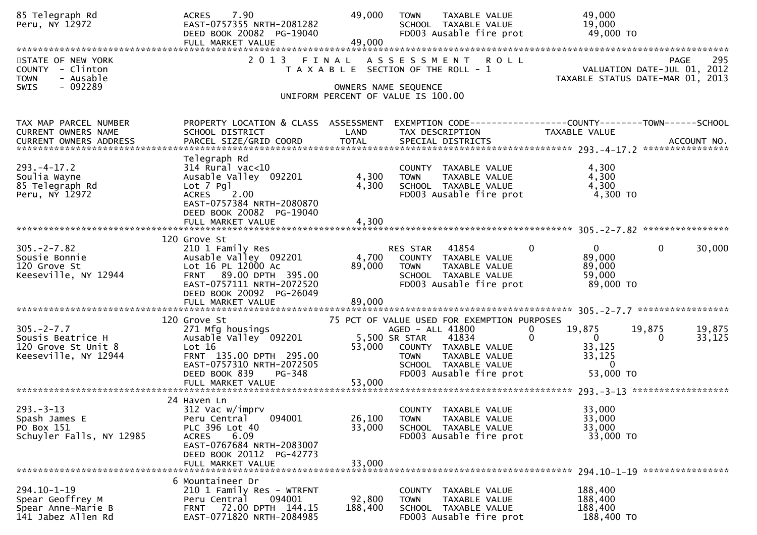| 85 Telegraph Rd<br>Peru, NY 12972                                                            | 7.90<br><b>ACRES</b><br>EAST-0757355 NRTH-2081282<br>DEED BOOK 20082 PG-19040<br>FULL MARKET VALUE                                                                                      | 49,000<br>49,000           | <b>TAXABLE VALUE</b><br><b>TOWN</b><br>SCHOOL TAXABLE VALUE<br>FD003 Ausable fire prot                                                                | 49,000<br>19,000<br>49,000 TO                                                        |                              |
|----------------------------------------------------------------------------------------------|-----------------------------------------------------------------------------------------------------------------------------------------------------------------------------------------|----------------------------|-------------------------------------------------------------------------------------------------------------------------------------------------------|--------------------------------------------------------------------------------------|------------------------------|
| STATE OF NEW YORK<br>COUNTY - Clinton<br>- Ausable<br><b>TOWN</b><br>- 092289<br><b>SWIS</b> | 2 0 1 3                                                                                                                                                                                 | FINAL                      | <b>ROLL</b><br>A S S E S S M E N T<br>T A X A B L E SECTION OF THE ROLL - 1<br>OWNERS NAME SEQUENCE                                                   | VALUATION DATE-JUL 01, 2012<br>TAXABLE STATUS DATE-MAR 01,                           | 295<br>PAGE<br>2013          |
|                                                                                              |                                                                                                                                                                                         |                            | UNIFORM PERCENT OF VALUE IS 100.00                                                                                                                    |                                                                                      |                              |
| TAX MAP PARCEL NUMBER<br>CURRENT OWNERS NAME<br><b>CURRENT OWNERS ADDRESS</b>                | PROPERTY LOCATION & CLASS ASSESSMENT<br>SCHOOL DISTRICT<br>PARCEL SIZE/GRID COORD                                                                                                       | LAND<br><b>TOTAL</b>       | TAX DESCRIPTION<br>SPECIAL DISTRICTS                                                                                                                  | TAXABLE VALUE                                                                        | ACCOUNT NO.                  |
| $293. -4 - 17.2$<br>Soulia Wayne<br>85 Telegraph Rd<br>Peru, NY 12972                        | Telegraph Rd<br>$314$ Rural vac<10<br>Ausable Valley 092201<br>$Lot$ 7 $Pg1$<br><b>ACRES</b><br>2.00<br>EAST-0757384 NRTH-2080870<br>DEED BOOK 20082 PG-19040<br>FULL MARKET VALUE      | 4,300<br>4,300<br>4,300    | COUNTY TAXABLE VALUE<br><b>TOWN</b><br>TAXABLE VALUE<br>SCHOOL TAXABLE VALUE<br>FD003 Ausable fire prot                                               | 4,300<br>4,300<br>4,300<br>4,300 TO                                                  |                              |
| $305. -2 - 7.82$<br>Sousie Bonnie<br>120 Grove St<br>Keeseville, NY 12944                    | 120 Grove St<br>210 1 Family Res<br>Ausable Valley 092201<br>Lot 16 PL 12000 Ac<br>FRNT 89.00 DPTH 395.00<br>EAST-0757111 NRTH-2072520<br>DEED BOOK 20092 PG-26049<br>FULL MARKET VALUE | 4,700<br>89,000<br>89,000  | 41854<br>RES STAR<br>COUNTY TAXABLE VALUE<br>TAXABLE VALUE<br><b>TOWN</b><br>SCHOOL TAXABLE VALUE<br>FD003 Ausable fire prot                          | $\mathbf{0}$<br>$\mathbf{0}$<br>89,000<br>89,000<br>59,000<br>89,000 TO              | 30,000<br>0                  |
|                                                                                              | 120 Grove St                                                                                                                                                                            |                            | 75 PCT OF VALUE USED FOR EXEMPTION PURPOSES                                                                                                           |                                                                                      |                              |
| $305. -2 - 7.7$<br>Sousis Beatrice H<br>120 Grove St Unit 8<br>Keeseville, NY 12944          | 271 Mfg housings<br>Ausable Valley 092201<br>Lot 16<br>FRNT 135.00 DPTH 295.00<br>EAST-0757310 NRTH-2072505<br>DEED BOOK 839<br>PG-348                                                  | 53,000<br>53,000           | AGED - ALL 41800<br>5,500 SR STAR<br>41834<br>COUNTY TAXABLE VALUE<br>TAXABLE VALUE<br><b>TOWN</b><br>SCHOOL TAXABLE VALUE<br>FD003 Ausable fire prot | 19,875<br>19,875<br>0<br>$\overline{0}$<br>33,125<br>33,125<br>$\bf{0}$<br>53,000 TO | 19,875<br>33,125<br>$\Omega$ |
|                                                                                              | FULL MARKET VALUE<br>24 Haven Ln                                                                                                                                                        |                            |                                                                                                                                                       |                                                                                      |                              |
| $293 - 3 - 13$<br>Spash James E<br>PO Box 151<br>Schuyler Falls, NY 12985                    | 312 Vac w/imprv<br>094001<br>Peru Central<br>PLC 396 Lot 40<br>6.09<br><b>ACRES</b><br>EAST-0767684 NRTH-2083007<br>DEED BOOK 20112 PG-42773<br>FULL MARKET VALUE                       | 26,100<br>33,000<br>33,000 | COUNTY TAXABLE VALUE<br>TAXABLE VALUE<br><b>TOWN</b><br>SCHOOL TAXABLE VALUE<br>FD003 Ausable fire prot                                               | 33,000<br>33,000<br>33,000<br>33,000 TO                                              |                              |
|                                                                                              | 6 Mountaineer Dr                                                                                                                                                                        |                            |                                                                                                                                                       |                                                                                      |                              |
| 294.10-1-19<br>Spear Geoffrey M<br>Spear Anne-Marie B<br>141 Jabez Allen Rd                  | 210 1 Family Res - WTRFNT<br>094001<br>Peru Central<br>FRNT 72.00 DPTH 144.15<br>EAST-0771820 NRTH-2084985                                                                              | 92,800<br>188,400          | COUNTY TAXABLE VALUE<br>TAXABLE VALUE<br><b>TOWN</b><br>SCHOOL TAXABLE VALUE<br>FD003 Ausable fire prot                                               | 188,400<br>188,400<br>188,400<br>188,400 TO                                          |                              |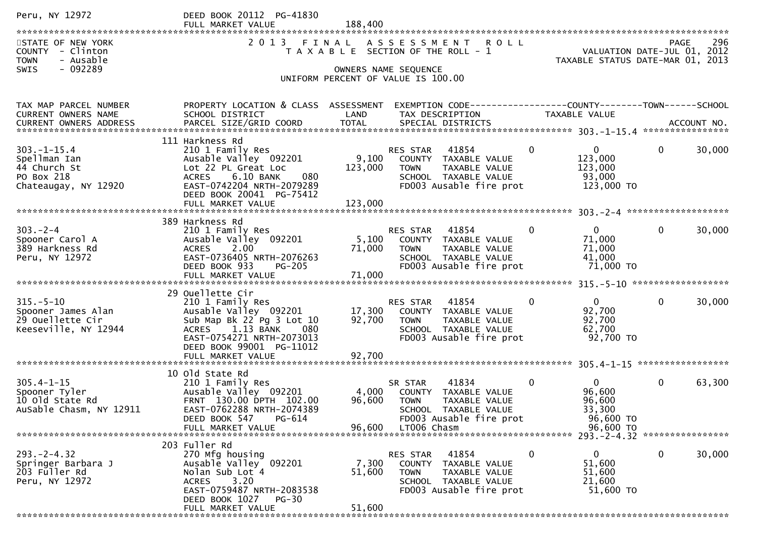| Peru, NY 12972                                                                          | DEED BOOK 20112 PG-41830<br>FULL MARKET VALUE                                                                                                                       | 188,400          |                                                                                                                                 |                |                                                                 |              |        |
|-----------------------------------------------------------------------------------------|---------------------------------------------------------------------------------------------------------------------------------------------------------------------|------------------|---------------------------------------------------------------------------------------------------------------------------------|----------------|-----------------------------------------------------------------|--------------|--------|
| STATE OF NEW YORK<br>COUNTY - Clinton<br>- Ausable<br><b>TOWN</b>                       | 2 0 1 3                                                                                                                                                             |                  | FINAL ASSESSMENT ROLL<br>T A X A B L E SECTION OF THE ROLL - 1                                                                  |                | VALUATION DATE-JUL 01, 2012<br>TAXABLE STATUS DATE-MAR 01, 2013 | <b>PAGE</b>  | 296    |
| SWIS<br>- 092289                                                                        |                                                                                                                                                                     |                  | OWNERS NAME SEQUENCE<br>UNIFORM PERCENT OF VALUE IS 100.00                                                                      |                |                                                                 |              |        |
| TAX MAP PARCEL NUMBER<br>CURRENT OWNERS NAME                                            | PROPERTY LOCATION & CLASS ASSESSMENT EXEMPTION CODE----------------COUNTY--------TOWN------SCHOOL<br>SCHOOL DISTRICT                                                | LAND             | TAX DESCRIPTION                                                                                                                 |                | TAXABLE VALUE                                                   |              |        |
|                                                                                         | 111 Harkness Rd                                                                                                                                                     |                  |                                                                                                                                 |                |                                                                 |              |        |
| $303. - 1 - 15.4$<br>Spellman Ian<br>44 Church St<br>PO Box 218<br>Chateaugay, NY 12920 | 210 1 Family Res<br>Ausable Valley 092201<br>Lot 22 PL Great Loc<br>6.10 BANK<br><b>ACRES</b><br>080<br>EAST-0742204 NRTH-2079289<br>DEED BOOK 20041 PG-75412       | 9,100<br>123,000 | 41854<br>RES STAR<br>COUNTY TAXABLE VALUE<br><b>TOWN</b><br>TAXABLE VALUE<br>SCHOOL TAXABLE VALUE<br>FD003 Ausable fire prot    | $\mathbf{0}$   | $\mathbf{0}$<br>123,000<br>123,000<br>93,000<br>123,000 TO      | $\mathbf 0$  | 30,000 |
|                                                                                         | FULL MARKET VALUE                                                                                                                                                   | 123,000          |                                                                                                                                 |                |                                                                 |              |        |
|                                                                                         | 389 Harkness Rd                                                                                                                                                     |                  |                                                                                                                                 |                |                                                                 |              |        |
| $303 - 2 - 4$<br>Spooner Carol A<br>389 Harkness Rd<br>Peru, NY 12972                   | 210 1 Family Res<br>Ausable Valley 092201<br>2.00<br><b>ACRES</b><br>EAST-0736405 NRTH-2076263<br><b>PG-205</b><br>DEED BOOK 933                                    | 71,000           | <b>RES STAR 41854</b><br>5,100 COUNTY TAXABLE VALUE<br>TAXABLE VALUE<br>TOWN<br>SCHOOL TAXABLE VALUE<br>FD003 Ausable fire prot | $\Omega$       | $\mathbf{0}$<br>71,000<br>71,000<br>41,000<br>71,000 TO         | $\mathbf 0$  | 30,000 |
|                                                                                         | FULL MARKET VALUE                                                                                                                                                   | 71,000           |                                                                                                                                 |                |                                                                 |              |        |
|                                                                                         | 29 Ouellette Cir                                                                                                                                                    |                  |                                                                                                                                 |                |                                                                 |              |        |
| $315. - 5 - 10$<br>Spooner James Alan<br>29 Ouellette Cir<br>Keeseville, NY 12944       | 210 1 Family Res<br>Ausable Valley 092201<br>Sub Map Bk 22 Pg 3 Lot 10<br>1.13 BANK<br>080<br><b>ACRES</b><br>EAST-0754271 NRTH-2073013<br>DEED BOOK 99001 PG-11012 | 92,700           | 41854<br>RES STAR<br>17,300 COUNTY TAXABLE VALUE<br>TAXABLE VALUE<br>TOWN<br>SCHOOL TAXABLE VALUE<br>FD003 Ausable fire prot    | $\overline{0}$ | $\mathbf{0}$<br>92,700<br>92,700<br>62,700<br>92,700 TO         | $\mathbf{0}$ | 30,000 |
|                                                                                         |                                                                                                                                                                     |                  |                                                                                                                                 |                |                                                                 |              |        |
| $305.4 - 1 - 15$<br>Spooner Tyler<br>10 old State Rd<br>AuSable Chasm, NY 12911         | 10 old State Rd<br>210 1 Family Res<br>Ausable Valley 092201<br>FRNT 130.00 DPTH 102.00<br>EAST-0762288 NRTH-2074389<br>PG-614<br>DEED BOOK 547                     | 4,000<br>96,600  | 41834<br>SR STAR<br>COUNTY TAXABLE VALUE<br>TAXABLE VALUE<br><b>TOWN</b><br>SCHOOL TAXABLE VALUE<br>FD003 Ausable fire prot     | $\mathbf{0}$   | $\overline{0}$<br>96,600<br>96,600<br>33,300<br>96,600 TO       | $\mathbf{0}$ | 63,300 |
|                                                                                         | FULL MARKET VALUE                                                                                                                                                   | 96.600           | LT006 Chasm                                                                                                                     |                | 96,600 TO<br>293. - 2 - 4.32 *****************                  |              |        |
| $293. -2 - 4.32$<br>Springer Barbara J<br>203 Fuller Rd<br>Peru, NY 12972               | 203 Fuller Rd<br>270 Mfg housing<br>Ausable Valley 092201<br>Nolan Sub Lot 4<br>3.20<br><b>ACRES</b>                                                                | 7,300<br>51,600  | 41854<br>RES STAR<br>TAXABLE VALUE<br>COUNTY<br><b>TOWN</b><br>TAXABLE VALUE<br>SCHOOL TAXABLE VALUE                            | 0              | 0<br>51,600<br>51,600<br>21,600                                 | $\mathbf{0}$ | 30,000 |
|                                                                                         | EAST-0759487 NRTH-2083538<br>DEED BOOK 1027<br><b>PG-30</b><br>FULL MARKET VALUE                                                                                    | 51,600           | FD003 Ausable fire prot                                                                                                         |                | 51,600 TO                                                       |              |        |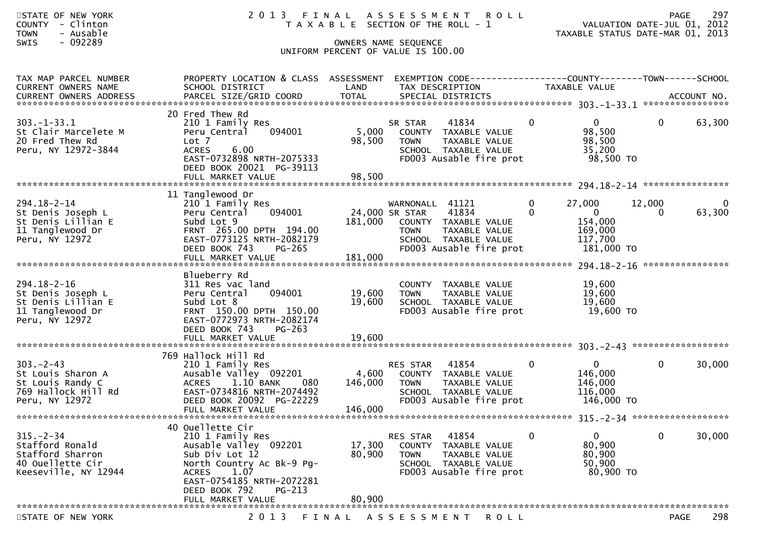| STATE OF NEW YORK<br><b>COUNTY</b><br>- Clinton<br>- Ausable<br><b>TOWN</b><br>- 092289<br>SWIS    | 2013 FINAL                                                                                                                                                                                                        |                             | ASSESSMENT ROLL<br>T A X A B L E SECTION OF THE ROLL - 1<br>OWNERS NAME SEQUENCE<br>UNIFORM PERCENT OF VALUE IS 100.00                                |                                                                                        | 297<br><b>PAGE</b><br>VALUATION DATE-JUL 01, 2012<br>TAXABLE STATUS DATE-MAR 01, 2013 |
|----------------------------------------------------------------------------------------------------|-------------------------------------------------------------------------------------------------------------------------------------------------------------------------------------------------------------------|-----------------------------|-------------------------------------------------------------------------------------------------------------------------------------------------------|----------------------------------------------------------------------------------------|---------------------------------------------------------------------------------------|
| TAX MAP PARCEL NUMBER<br>CURRENT OWNERS NAME<br><b>CURRENT OWNERS ADDRESS</b>                      | PROPERTY LOCATION & CLASS ASSESSMENT<br>SCHOOL DISTRICT                                                                                                                                                           | LAND                        | EXEMPTION CODE-----------------COUNTY--------TOWN------SCHOOL<br>TAX DESCRIPTION                                                                      | TAXABLE VALUE                                                                          |                                                                                       |
| $303. - 1 - 33.1$<br>St Clair Marcelete M<br>20 Fred Thew Rd<br>Peru, NY 12972-3844                | 20 Fred Thew Rd<br>210 1 Family Res<br>094001<br>Peru Central<br>Lot <sub>7</sub><br><b>ACRES</b><br>6.00<br>EAST-0732898 NRTH-2075333<br>DEED BOOK 20021 PG-39113<br>FULL MARKET VALUE                           | 5,000<br>98,500<br>98,500   | 41834<br>SR STAR<br>COUNTY TAXABLE VALUE<br><b>TOWN</b><br>TAXABLE VALUE<br>SCHOOL TAXABLE VALUE<br>FD003 Ausable fire prot                           | $\mathbf{0}$<br>0<br>98,500<br>98,500<br>35,200<br>98,500 TO                           | $\mathbf{0}$<br>63,300                                                                |
| 294.18-2-14<br>St Denis Joseph L<br>St Denis Lillian E<br>11 Tanglewood Dr<br>Peru, NY 12972       | 11 Tanglewood Dr<br>210 1 Family Res<br>094001<br>Peru Central<br>Subd Lot 9<br>FRNT 265.00 DPTH 194.00<br>EAST-0773125 NRTH-2082179<br>DEED BOOK 743<br>$PG-265$<br>FULL MARKET VALUE                            | 181,000<br>181,000          | WARNONALL 41121<br>24,000 SR STAR<br>41834<br>COUNTY TAXABLE VALUE<br>TAXABLE VALUE<br><b>TOWN</b><br>SCHOOL TAXABLE VALUE<br>FD003 Ausable fire prot | 0<br>27,000<br>$\Omega$<br>$\mathbf{0}$<br>154,000<br>169,000<br>117,700<br>181,000 TO | 12,000<br>0<br>63,300<br>$\Omega$<br>****************                                 |
| 294.18-2-16<br>St Denis Joseph L<br>St Denis Lillian E<br>11 Tanglewood Dr<br>Peru, NY 12972       | Blueberry Rd<br>311 Res vac land<br>094001<br>Peru Central<br>Subd Lot 8<br>FRNT 150.00 DPTH 150.00<br>EAST-0772973 NRTH-2082174<br>DEED BOOK 743<br>$PG-263$<br>FULL MARKET VALUE                                | 19,600<br>19,600<br>19,600  | COUNTY TAXABLE VALUE<br>TAXABLE VALUE<br><b>TOWN</b><br>SCHOOL TAXABLE VALUE<br>FD003 Ausable fire prot                                               | 19,600<br>19,600<br>19,600<br>19,600 TO                                                |                                                                                       |
| $303 - 2 - 43$<br>St Louis Sharon A<br>St Louis Randy C<br>769 Hallock Hill Rd<br>Peru, NY 12972   | 769 Hallock Hill Rd<br>210 1 Family Res<br>Ausable Valley 092201<br><b>ACRES</b><br>1.10 BANK<br>080<br>EAST-0734816 NRTH-2074492<br>DEED BOOK 20092 PG-22229<br>FULL MARKET VALUE                                | 4,600<br>146,000<br>146,000 | 41854<br>RES STAR<br>COUNTY TAXABLE VALUE<br>TAXABLE VALUE<br><b>TOWN</b><br>SCHOOL TAXABLE VALUE<br>FD003 Ausable fire prot                          | $\mathbf{0}$<br>0<br>146,000<br>146,000<br>116,000<br>146,000 TO                       | 30,000<br>$\mathbf{0}$                                                                |
| $315. - 2 - 34$<br>Stafford Ronald<br>Stafford Sharron<br>40 Ouellette Cir<br>Keeseville, NY 12944 | 40 Ouellette Cir<br>210 1 Family Res<br>Ausable Valley 092201<br>Sub Div Lot 12<br>North Country Ac Bk-9 Pg-<br>1.07<br><b>ACRES</b><br>EAST-0754185 NRTH-2072281<br>DEED BOOK 792<br>PG-213<br>FULL MARKET VALUE | 17,300<br>80,900<br>80,900  | RES STAR<br>41854<br>COUNTY TAXABLE VALUE<br>TAXABLE VALUE<br><b>TOWN</b><br>SCHOOL TAXABLE VALUE<br>FD003 Ausable fire prot                          | 0<br>$\overline{0}$<br>80,900<br>80,900<br>50,900<br>80,900 TO                         | 30,000<br>0                                                                           |
| STATE OF NEW YORK                                                                                  | 2 0 1 3                                                                                                                                                                                                           | FINAL                       | ASSESSMENT ROLL                                                                                                                                       |                                                                                        | 298<br>PAGE                                                                           |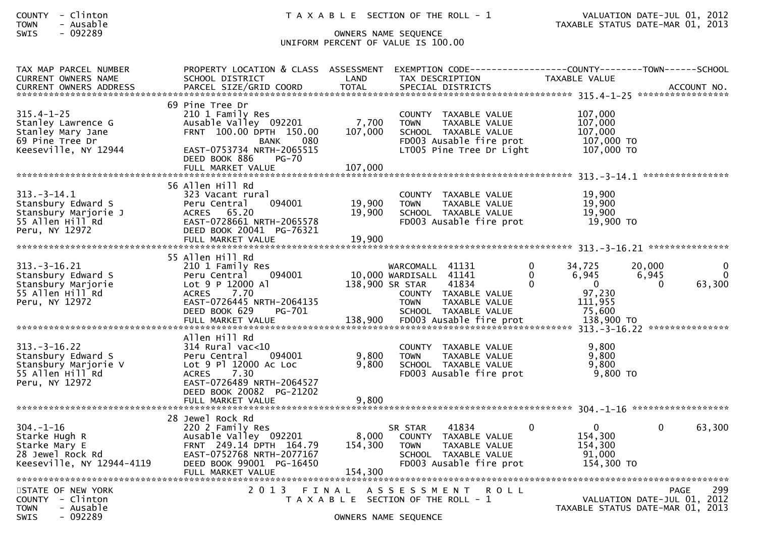| <b>COUNTY</b> | - | Clinton |
|---------------|---|---------|
| <b>TOWN</b>   |   | Ausable |

## SWIS - 092289 OWNERS NAME SEQUENCE UNIFORM PERCENT OF VALUE IS 100.00

| TAX MAP PARCEL NUMBER<br><b>CURRENT OWNERS NAME</b>                                                    | PROPERTY LOCATION & CLASS ASSESSMENT<br>SCHOOL DISTRICT                                                                                                                | LAND                        | EXEMPTION CODE-----------------COUNTY-------TOWN------SCHOOL<br>TAX DESCRIPTION                                                                                                  |                           | TAXABLE VALUE                                                                |                             |                         |
|--------------------------------------------------------------------------------------------------------|------------------------------------------------------------------------------------------------------------------------------------------------------------------------|-----------------------------|----------------------------------------------------------------------------------------------------------------------------------------------------------------------------------|---------------------------|------------------------------------------------------------------------------|-----------------------------|-------------------------|
| <b>CURRENT OWNERS ADDRESS</b>                                                                          | PARCEL SIZE/GRID COORD                                                                                                                                                 | <b>TOTAL</b>                | SPECIAL DISTRICTS                                                                                                                                                                |                           |                                                                              |                             | ACCOUNT NO.             |
| $315.4 - 1 - 25$<br>Stanley Lawrence G<br>Stanley Mary Jane<br>69 Pine Tree Dr<br>Keeseville, NY 12944 | 69 Pine Tree Dr<br>210 1 Family Res<br>Ausable Valley 092201<br>FRNT 100.00 DPTH 150.00<br>080<br>BANK<br>EAST-0753734 NRTH-2065515<br>DEED BOOK 886<br>$PG-70$        | 7,700<br>107,000            | COUNTY TAXABLE VALUE<br>TAXABLE VALUE<br><b>TOWN</b><br>SCHOOL TAXABLE VALUE<br>FD003 Ausable fire prot<br>LT005 Pine Tree Dr Light                                              |                           | 107,000<br>107,000<br>107,000<br>107,000 TO<br>107,000 TO                    |                             |                         |
|                                                                                                        | FULL MARKET VALUE                                                                                                                                                      | 107,000                     |                                                                                                                                                                                  |                           |                                                                              |                             | ****************        |
| $313 - 3 - 14.1$<br>Stansbury Edward S<br>Stansbury Marjorie J<br>55 Allen Hill Rd<br>Peru, NY 12972   | 56 Allen Hill Rd<br>323 Vacant rural<br>094001<br>Peru Central<br>ACRES 65.20<br>EAST-0728661 NRTH-2065578<br>DEED BOOK 20041 PG-76321<br>FULL MARKET VALUE            | 19,900<br>19,900<br>19,900  | COUNTY TAXABLE VALUE<br>TAXABLE VALUE<br><b>TOWN</b><br>SCHOOL TAXABLE VALUE<br>FD003 Ausable fire prot                                                                          |                           | 19,900<br>19,900<br>19.900<br>19,900 TO                                      |                             |                         |
|                                                                                                        | 55 Allen Hill Rd                                                                                                                                                       |                             |                                                                                                                                                                                  |                           |                                                                              |                             |                         |
| $313 - 3 - 16.21$<br>Stansbury Edward S<br>Stansbury Marjorie<br>55 Allen Hill Rd<br>Peru, NY 12972    | 210 1 Family Res<br>094001<br>Peru Central<br>Lot 9 P 12000 AT<br><b>ACRES</b><br>7.70<br>EAST-0726445 NRTH-2064135<br>DEED BOOK 629<br>PG-701<br>FULL MARKET VALUE    | 138,900                     | WARCOMALL 41131<br>10,000 WARDISALL 41141<br>138,900 SR STAR<br>41834<br>COUNTY TAXABLE VALUE<br><b>TOWN</b><br>TAXABLE VALUE<br>SCHOOL TAXABLE VALUE<br>FD003 Ausable fire prot | $\Omega$<br>$\Omega$<br>0 | 34,725<br>6,945<br>$\mathbf{0}$<br>97,230<br>111,955<br>75,600<br>138,900 TO | 20,000<br>6,945<br>$\Omega$ | 0<br>$\Omega$<br>63,300 |
|                                                                                                        | Allen Hill Rd                                                                                                                                                          |                             |                                                                                                                                                                                  |                           |                                                                              |                             |                         |
| $313 - 3 - 16.22$<br>Stansbury Edward S<br>Stansbury Marjorie V<br>55 Allen Hill Rd<br>Peru, NY 12972  | $314$ Rural vac< $10$<br>094001<br>Peru Central<br>Lot 9 Pl 12000 Ac Loc<br><b>ACRES</b><br>7.30<br>EAST-0726489 NRTH-2064527<br>DEED BOOK 20082 PG-21202              | 9,800<br>9,800              | COUNTY TAXABLE VALUE<br><b>TAXABLE VALUE</b><br><b>TOWN</b><br>SCHOOL TAXABLE VALUE<br>FD003 Ausable fire prot                                                                   |                           | 9,800<br>9,800<br>9,800<br>9,800 TO                                          |                             |                         |
|                                                                                                        | FULL MARKET VALUE                                                                                                                                                      | 9,800                       |                                                                                                                                                                                  |                           |                                                                              |                             |                         |
| 304. –1–16<br>Starke Hugh R<br>Starke Mary E<br>28 Jewel Rock Rd<br>Keeseville, NY 12944-4119          | 28 Jewel Rock Rd<br>220 2 Family Res<br>Ausable Valley 092201<br>FRNT 249.14 DPTH 164.79<br>EAST-0752768 NRTH-2077167<br>DEED BOOK 99001 PG-16450<br>FULL MARKET VALUE | 8,000<br>154,300<br>154,300 | 41834<br>SR STAR<br>COUNTY TAXABLE VALUE<br>TAXABLE VALUE<br><b>TOWN</b><br>SCHOOL TAXABLE VALUE<br>FD003 Ausable fire prot                                                      |                           | $\Omega$<br>154,300<br>154,300<br>91,000<br>154,300 TO                       | $\Omega$                    | 63,300                  |
| STATE OF NEW YORK<br>COUNTY - Clinton<br><b>TOWN</b><br>- Ausable<br><b>SWIS</b><br>- 092289           | 2 0 1 3                                                                                                                                                                | FINAL                       | A S S E S S M E N T<br><b>ROLL</b><br>T A X A B L E SECTION OF THE ROLL - 1<br>OWNERS NAME SEQUENCE                                                                              |                           | VALUATION DATE-JUL 01, 2012<br>TAXABLE STATUS DATE-MAR 01, 2013              |                             | 299<br><b>PAGE</b>      |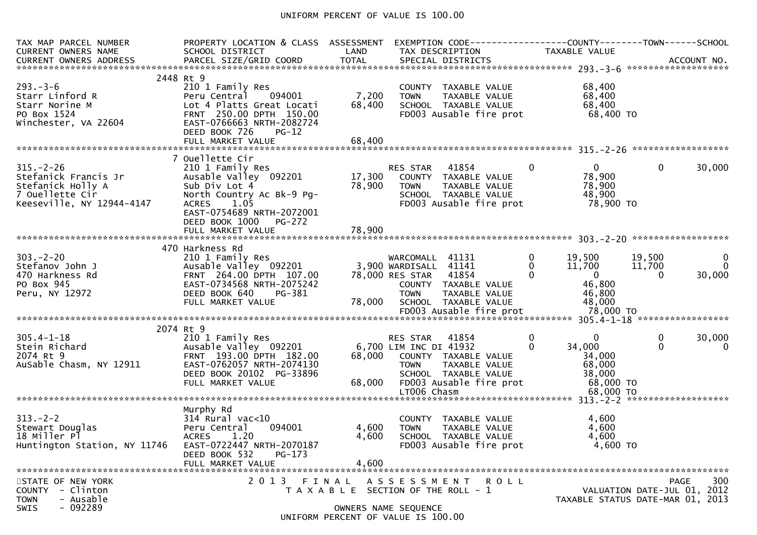### UNIFORM PERCENT OF VALUE IS 100.00

| TAX MAP PARCEL NUMBER<br>CURRENT OWNERS NAME                                               | PROPERTY LOCATION & CLASS ASSESSMENT EXEMPTION CODE----------------COUNTY-------TOWN------SCHOOL<br>SCHOOL DISTRICT                                                                                        |                                                                             | LAND TAX DESCRIPTION                                    |                                                                                                                           |                                      | TAXABLE VALUE                                                              |                              |                                          |
|--------------------------------------------------------------------------------------------|------------------------------------------------------------------------------------------------------------------------------------------------------------------------------------------------------------|-----------------------------------------------------------------------------|---------------------------------------------------------|---------------------------------------------------------------------------------------------------------------------------|--------------------------------------|----------------------------------------------------------------------------|------------------------------|------------------------------------------|
| $293. - 3 - 6$<br>Starr Linford R<br>Starr Norine M<br>PO Box 1524<br>Winchester, VA 22604 | 2448 Rt 9<br>210 1 Family Res<br>Peru Central 094001<br>Lot 4 Platts Great Locati<br>FRNT 250.00 DPTH 150.00<br>EAST-0766663 NRTH-2082724<br>DEED BOOK 726<br>$PG-12$                                      | 7,200<br>68,400                                                             | <b>TOWN</b>                                             | COUNTY TAXABLE VALUE<br>TAXABLE VALUE<br>SCHOOL TAXABLE VALUE<br>FD003 Ausable fire prot                                  |                                      | 68,400<br>68,400<br>68,400<br>68,400 TO                                    |                              |                                          |
| 68,400<br>FULL MARKET VALUE                                                                |                                                                                                                                                                                                            |                                                                             |                                                         |                                                                                                                           |                                      |                                                                            |                              |                                          |
| $315. - 2 - 26$                                                                            | 7 Ouellette Cir<br>210 1 Family Res<br>$Ausab$ <sup>1</sup> e Valley 092201<br>Sub Div Lot 4<br>North Country Ac Bk-9 Pg-<br><b>ACRES</b><br>1.05<br>EAST-0754689 NRTH-2072001<br>DEED BOOK 1000<br>PG-272 | 78,900                                                                      | TOWN                                                    | RES STAR    41854<br>17,300    COUNTY   TAXABLE VALUE<br>TAXABLE VALUE<br>SCHOOL TAXABLE VALUE<br>FD003 Ausable fire prot | $\mathbf{0}$                         | $\mathbf{0}$<br>78,900<br>78,900<br>48,900<br>78,900 TO                    | $\mathbf{0}$                 | 30,000                                   |
|                                                                                            | FULL MARKET VALUE                                                                                                                                                                                          | 78,900                                                                      |                                                         |                                                                                                                           |                                      |                                                                            |                              |                                          |
| $303 - 2 - 20$<br>Stefanov John J<br>470 Harkness Rd<br>PO Box 945<br>Peru, NY 12972       | 470 Harkness Rd<br>210 1 Family Res<br>Ausable Valley 092201 3,900 WARDISALL 41141<br>FRNT 264.00 DPTH 107.00<br>EAST-0734568 NRTH-2075242<br>DEED BOOK 640<br>PG-381<br>FULL MARKET VALUE                 | 78,000                                                                      | WARCOMALL 41131<br>78,000 RES STAR 41854<br><b>TOWN</b> | COUNTY TAXABLE VALUE<br>TAXABLE VALUE<br>SCHOOL TAXABLE VALUE                                                             | $\mathbf{0}$<br>$\Omega$<br>$\Omega$ | 19,500<br>11,700<br>$\mathbf{0}$<br>46,800<br>46,800<br>48,000             | 19,500<br>11,700<br>$\Omega$ | $\overline{0}$<br>$\mathbf{0}$<br>30,000 |
| 2074 Rt 9                                                                                  |                                                                                                                                                                                                            |                                                                             |                                                         |                                                                                                                           |                                      |                                                                            |                              |                                          |
| $305.4 - 1 - 18$<br>Stein Richard<br>2074 Rt 9<br>AuSable Chasm, NY 12911                  | 210 1 Family Res<br>Ausable Valley 092201 6,700 LIM INC DI 41932<br>FRNT 193.00 DPTH 182.00<br>EAST-0762057 NRTH-2074130<br>DEED BOOK 20102 PG-33896<br>FULL MARKET VALUE                                  | 68,000                                                                      | RES STAR<br><b>TOWN</b><br>LT006 Chasm                  | 41854<br>68,000 COUNTY TAXABLE VALUE<br>TAXABLE VALUE<br>SCHOOL TAXABLE VALUE<br>FD003 Ausable fire prot                  | $\mathbf{0}$<br>$\Omega$             | $\Omega$<br>34,000<br>34,000<br>68,000<br>38,000<br>68,000 TO<br>68,000 TO | 0<br>$\Omega$                | 30,000<br>0                              |
| Murphy Rd                                                                                  |                                                                                                                                                                                                            |                                                                             |                                                         |                                                                                                                           |                                      |                                                                            |                              |                                          |
| $313. - 2 - 2$<br>Stewart Douglas<br>18 Miller Pl<br>Huntington Station, NY 11746          | 314 Rural vac<10<br>Peru Central<br>094001<br>1.20<br><b>ACRES</b><br>EAST-0722447 NRTH-2070187<br>DEED BOOK 532<br>$PG-173$<br>FULL MARKET VALUE                                                          | 4,600<br>4,600<br>4,600                                                     | <b>TOWN</b>                                             | COUNTY TAXABLE VALUE<br>TAXABLE VALUE<br>SCHOOL TAXABLE VALUE<br>FD003 Ausable fire prot                                  |                                      | 4,600<br>4,600<br>4,600<br>4,600 TO                                        |                              |                                          |
|                                                                                            |                                                                                                                                                                                                            |                                                                             |                                                         |                                                                                                                           |                                      |                                                                            |                              |                                          |
| STATE OF NEW YORK<br>COUNTY - Clinton<br>- Ausable<br><b>TOWN</b><br>$-092289$<br>SWIS     | 2 0 1 3<br>FINAL                                                                                                                                                                                           | T A X A B L E SECTION OF THE ROLL - 1<br>UNIFORM PERCENT OF VALUE IS 100.00 | OWNERS NAME SEQUENCE                                    | A S S E S S M E N T R O L L                                                                                               |                                      | TAXABLE STATUS DATE-MAR 01, 2013                                           | VALUATION DATE-JUL 01, 2012  | 300<br><b>PAGE</b>                       |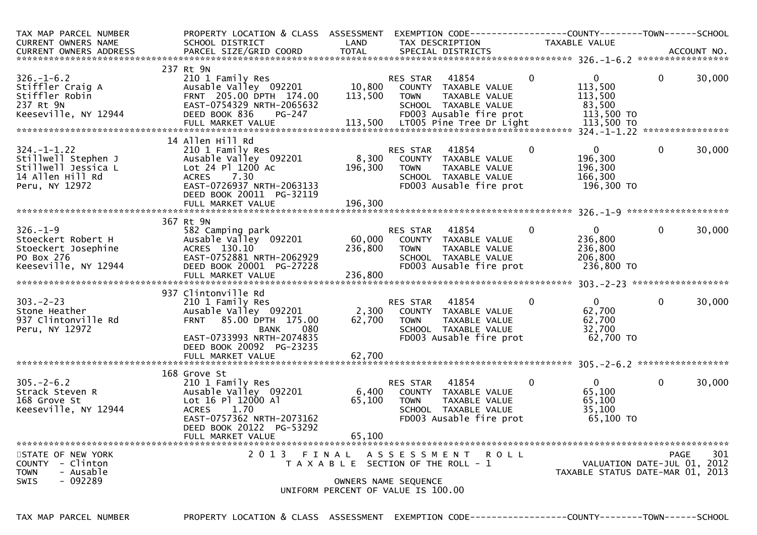| TAX MAP PARCEL NUMBER<br>CURRENT OWNERS NAME<br>CURRENT OWNERS ADDRESS                                                                                                                           | PROPERTY LOCATION & CLASS ASSESSMENT<br>SCHOOL DISTRICT                                                                                                                               | LAND                         | TAX DESCRIPTION                                                                                                                     |             | TAXABLE VALUE                                                   |              |        |
|--------------------------------------------------------------------------------------------------------------------------------------------------------------------------------------------------|---------------------------------------------------------------------------------------------------------------------------------------------------------------------------------------|------------------------------|-------------------------------------------------------------------------------------------------------------------------------------|-------------|-----------------------------------------------------------------|--------------|--------|
|                                                                                                                                                                                                  |                                                                                                                                                                                       |                              |                                                                                                                                     |             |                                                                 |              |        |
| $326. - 1 - 6.2$<br>Stiffler Craig A<br>Stiffler Robin<br>237 Rt 9N<br>Keeseville, NY 12944<br>113,500 LT005 Pine Tree Dr Light<br>FULL MARKET VALUE 113,500 LT005 Pine Tree Dr Light 113,500 TO | 237 Rt 9N<br>210 1 Family Res<br>Ausable Valley 092201<br>FRNT 205.00 DPTH 174.00<br>EAST-0754329 NRTH-2065632<br>DEED BOOK 836<br><b>PG-247</b>                                      | 10,800<br>113,500            | 41854<br>RES STAR<br>COUNTY TAXABLE VALUE<br>TAXABLE VALUE<br><b>TOWN</b><br>SCHOOL TAXABLE VALUE<br>FD003 Ausable fire prot        | $\mathbf 0$ | $\mathbf{0}$<br>113,500<br>113,500<br>83,500<br>113,500 TO      | $\mathbf{0}$ | 30,000 |
|                                                                                                                                                                                                  | 14 Allen Hill Rd                                                                                                                                                                      |                              |                                                                                                                                     |             |                                                                 |              |        |
| $324. - 1 - 1.22$<br>Stillwell Stephen J<br>Stillwell Jessica L<br>14 Allen Hill Rd<br>Peru, NY 12972                                                                                            | 210 1 Family Res<br>Ausable Valley 092201<br>Lot 24 Pl 1200 Ac<br>7.30<br>ACRES<br>EAST-0726937 NRTH-2063133<br>DEED BOOK 20011 PG-32119                                              | 8,300<br>196,300             | 41854<br>RES STAR<br>COUNTY TAXABLE VALUE<br>TAXABLE VALUE<br>TOWN<br>SCHOOL TAXABLE VALUE<br>FD003 Ausable fire prot               | 0           | $\overline{0}$<br>196,300<br>196,300<br>166,300<br>196,300 TO   | $\mathbf 0$  | 30,000 |
|                                                                                                                                                                                                  | FULL MARKET VALUE                                                                                                                                                                     | 196,300                      |                                                                                                                                     |             |                                                                 |              |        |
|                                                                                                                                                                                                  | 367 Rt 9N                                                                                                                                                                             |                              |                                                                                                                                     |             |                                                                 |              |        |
| $326. - 1 - 9$<br>Stoeckert Robert H<br>Stoeckert Josephine<br>PO Box 276<br>Keeseville, NY 12944                                                                                                | 582 Camping park<br>Ausable Valley 092201<br>ACRES 130.10<br>EAST-0752881 NRTH-2062929<br>DEED BOOK 20001 PG-27228<br>FULL MARKET VALUE                                               | 60,000<br>236,800<br>236,800 | 41854<br>RES STAR<br>COUNTY TAXABLE VALUE<br>TAXABLE VALUE<br>TOWN<br>SCHOOL TAXABLE VALUE<br>FD003 Ausable fire prot               | 0           | $\mathbf{0}$<br>236,800<br>236,800<br>206,800<br>236,800 TO     | $\mathbf{0}$ | 30,000 |
|                                                                                                                                                                                                  |                                                                                                                                                                                       |                              |                                                                                                                                     |             |                                                                 |              |        |
| $303 - 2 - 23$<br>Stone Heather<br>937 Clintonville Rd<br>Peru, NY 12972                                                                                                                         | 937 Clintonville Rd<br>210 1 Family Res<br>Ausable Valley 092201<br>FRNT 85.00 DPTH 175.00<br>080<br><b>BANK</b><br>EAST-0733993 NRTH-2074835<br>DEED BOOK 20092 PG-23235             | 2,300<br>62,700              | 41854<br>RES STAR<br>COUNTY TAXABLE VALUE<br><b>TOWN</b><br>TAXABLE VALUE<br>SCHOOL TAXABLE VALUE<br>FD003 Ausable fire prot        | 0           | $\mathbf{0}$<br>62,700<br>62,700<br>32,700<br>62,700 TO         | $\mathbf 0$  | 30,000 |
|                                                                                                                                                                                                  |                                                                                                                                                                                       |                              |                                                                                                                                     |             |                                                                 |              |        |
| $305. - 2 - 6.2$<br>Strack Steven R<br>168 Grove St<br>Keeseville, NY 12944                                                                                                                      | 168 Grove St<br>210 1 Family Res<br>Ausable Valley 092201<br>Lot 16 Pl 12000 Al<br>1.70<br><b>ACRES</b><br>EAST-0757362 NRTH-2073162<br>DEED BOOK 20122 PG-53292<br>FULL MARKET VALUE | 6,400<br>65,100<br>65,100    | 41854<br><b>RES STAR</b><br>COUNTY TAXABLE VALUE<br><b>TOWN</b><br>TAXABLE VALUE<br>SCHOOL TAXABLE VALUE<br>FD003 Ausable fire prot | 0           | $\overline{0}$<br>65,100<br>65,100<br>35,100<br>65,100 TO       | 0            | 30,000 |
|                                                                                                                                                                                                  |                                                                                                                                                                                       |                              |                                                                                                                                     |             |                                                                 |              |        |
| STATE OF NEW YORK<br>COUNTY - Clinton<br>- Ausable<br><b>TOWN</b><br>$-092289$<br>SWIS                                                                                                           | 2 0 1 3                                                                                                                                                                               | FINAL                        | A S S E S S M E N T<br>T A X A B L E SECTION OF THE ROLL - 1<br>OWNERS NAME SEQUENCE<br>UNIFORM PERCENT OF VALUE IS 100.00          | R O L L     | VALUATION DATE-JUL 01, 2012<br>TAXABLE STATUS DATE-MAR 01, 2013 | PAGE         | 301    |

TAX MAP PARCEL NUMBER PROPERTY LOCATION & CLASS ASSESSMENT EXEMPTION CODE------------------COUNTY--------TOWN------SCHOOL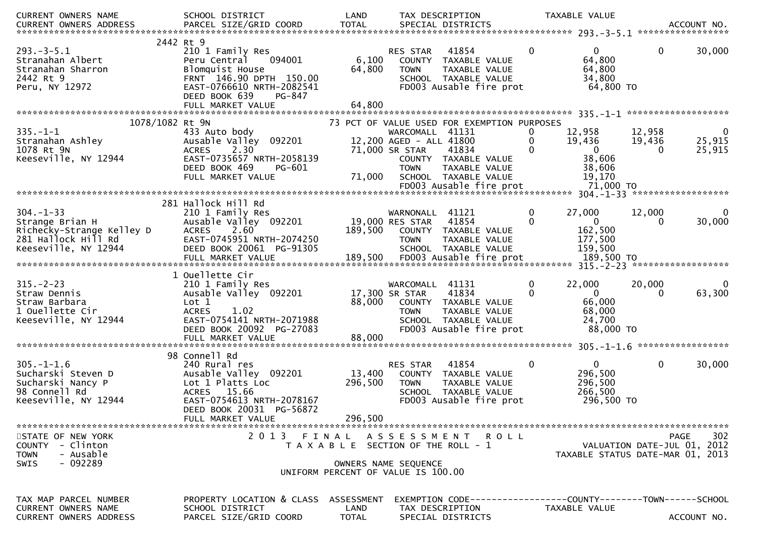| CURRENT OWNERS NAME                                                                                           | SCHOOL DISTRICT                                                                                                                                               | LAND                               | TAX DESCRIPTION                                                                                                                                                                     |               |                                     | TAXABLE VALUE                                                  |                                     |                                  |
|---------------------------------------------------------------------------------------------------------------|---------------------------------------------------------------------------------------------------------------------------------------------------------------|------------------------------------|-------------------------------------------------------------------------------------------------------------------------------------------------------------------------------------|---------------|-------------------------------------|----------------------------------------------------------------|-------------------------------------|----------------------------------|
|                                                                                                               |                                                                                                                                                               |                                    |                                                                                                                                                                                     |               |                                     |                                                                |                                     | ACCOUNT NO.<br>***************** |
| $293 - 3 - 5.1$<br>Stranahan Albert<br>Stranahan Sharron<br>2442 Rt 9<br>Peru, NY 12972                       | 2442 Rt 9<br>210 1 Family Res<br>094001<br>Peru Central<br>Blomquist House<br>FRNT 146.90 DPTH 150.00<br>EAST-0766610 NRTH-2082541<br>DEED BOOK 639<br>PG-847 | 6,100<br>64,800<br>64,800          | 41854<br><b>RES STAR</b><br>COUNTY TAXABLE VALUE<br><b>TOWN</b><br>SCHOOL TAXABLE VALUE<br>FD003 Ausable fire prot                                                                  | TAXABLE VALUE | $\Omega$                            | $\Omega$<br>64,800<br>64,800<br>34,800<br>64,800 TO            | 0                                   | 30,000                           |
|                                                                                                               | FULL MARKET VALUE                                                                                                                                             |                                    |                                                                                                                                                                                     |               |                                     |                                                                |                                     |                                  |
| 1078/1082 Rt 9N<br>$335. - 1 - 1$<br>Stranahan Ashley<br>1078 Rt 9N<br>Keeseville, NY 12944                   | 433 Auto body<br>Ausable Valley 092201<br>2.30<br><b>ACRES</b><br>EAST-0735657 NRTH-2058139<br>DEED BOOK 469<br>PG-601<br>FULL MARKET VALUE                   | 71,000                             | 73 PCT OF VALUE USED FOR EXEMPTION PURPOSES<br>WARCOMALL 41131<br>12,200 AGED - ALL 41800<br>71,000 SR STAR<br>41834<br>COUNTY TAXABLE VALUE<br><b>TOWN</b><br>SCHOOL TAXABLE VALUE | TAXABLE VALUE | $\bf{0}$<br>$\Omega$<br>$\mathbf 0$ | 12,958<br>19,436<br>$\mathbf{0}$<br>38,606<br>38,606<br>19,170 | 12,958<br>19,436<br>0               | 0<br>25,915<br>25,915            |
|                                                                                                               |                                                                                                                                                               |                                    | FD003 Ausable fire prot                                                                                                                                                             |               |                                     | 71,000 TO                                                      |                                     |                                  |
| $304. -1 - 33$<br>Strange Brian H<br>Richecky-Strange Kelley D<br>281 Hallock Hill Rd<br>Keeseville, NY 12944 | 281 Hallock Hill Rd<br>210 1 Family Res<br>Ausable Valley 092201<br>2.60<br><b>ACRES</b><br>EAST-0745951 NRTH-2074250<br>DEED BOOK 20061 PG-91305             | 189,500                            | WARNONALL 41121<br>19,000 RES STAR<br>41854<br>COUNTY TAXABLE VALUE<br><b>TOWN</b><br>SCHOOL TAXABLE VALUE                                                                          | TAXABLE VALUE | 0<br>$\Omega$                       | 27,000<br>$\Omega$<br>162,500<br>177,500<br>159,500            | 12,000                              | 30,000                           |
|                                                                                                               | 1 Ouellette Cir                                                                                                                                               |                                    |                                                                                                                                                                                     |               |                                     |                                                                |                                     |                                  |
| $315. - 2 - 23$<br>Straw Dennis<br>Straw Barbara<br>1 Ouellette Cir<br>Keeseville, NY 12944                   | 210 1 Family Res<br>Ausable Valley 092201<br>Lot 1<br><b>ACRES</b><br>1.02<br>EAST-0754141 NRTH-2071988<br>DEED BOOK 20092 PG-27083                           | 88,000                             | WARCOMALL 41131<br>41834<br>17,300 SR STAR<br>COUNTY TAXABLE VALUE<br><b>TOWN</b><br>SCHOOL TAXABLE VALUE<br>FD003 Ausable fire prot                                                | TAXABLE VALUE | $\mathbf 0$<br>$\Omega$             | 22,000<br>$\Omega$<br>66,000<br>68,000<br>24,700<br>88,000 TO  | 20,000<br>$\Omega$                  | $\bf{0}$<br>63,300               |
|                                                                                                               | 98 Connell Rd                                                                                                                                                 |                                    |                                                                                                                                                                                     |               |                                     |                                                                |                                     |                                  |
| $305. - 1 - 1.6$<br>Sucharski Steven D<br>Sucharski Nancy P<br>98 Connell Rd<br>Keeseville, NY 12944          | 240 Rural res<br>Ausable Valley 092201<br>Lot 1 Platts Loc<br>ACRES 15.66<br>EAST-0754613 NRTH-2078167<br>DEED BOOK 20031 PG-56872                            | 13,400<br>296,500                  | RES STAR<br>41854<br>COUNTY TAXABLE VALUE<br><b>TOWN</b><br>SCHOOL TAXABLE VALUE<br>FD003 Ausable fire prot                                                                         | TAXABLE VALUE | $\mathbf 0$                         | $\mathbf 0$<br>296,500<br>296,500<br>266,500<br>296,500 TO     | $\mathbf 0$                         | 30,000                           |
|                                                                                                               | FULL MARKET VALUE                                                                                                                                             | 296,500                            |                                                                                                                                                                                     |               |                                     |                                                                |                                     |                                  |
| STATE OF NEW YORK<br>COUNTY - Clinton<br>- Ausable<br><b>TOWN</b><br>$-092289$<br>SWIS                        | 2 0 1 3                                                                                                                                                       | FINAL                              | ASSESSMENT ROLL<br>T A X A B L E SECTION OF THE ROLL - 1<br>OWNERS NAME SEQUENCE<br>UNIFORM PERCENT OF VALUE IS 100.00                                                              |               |                                     | TAXABLE STATUS DATE-MAR 01, 2013                               | PAGE<br>VALUATION DATE-JUL 01, 2012 | 302                              |
| TAX MAP PARCEL NUMBER<br><b>CURRENT OWNERS NAME</b><br><b>CURRENT OWNERS ADDRESS</b>                          | PROPERTY LOCATION & CLASS<br>SCHOOL DISTRICT<br>PARCEL SIZE/GRID COORD                                                                                        | ASSESSMENT<br>LAND<br><b>TOTAL</b> | TAX DESCRIPTION<br>SPECIAL DISTRICTS                                                                                                                                                |               |                                     | TAXABLE VALUE                                                  |                                     | ACCOUNT NO.                      |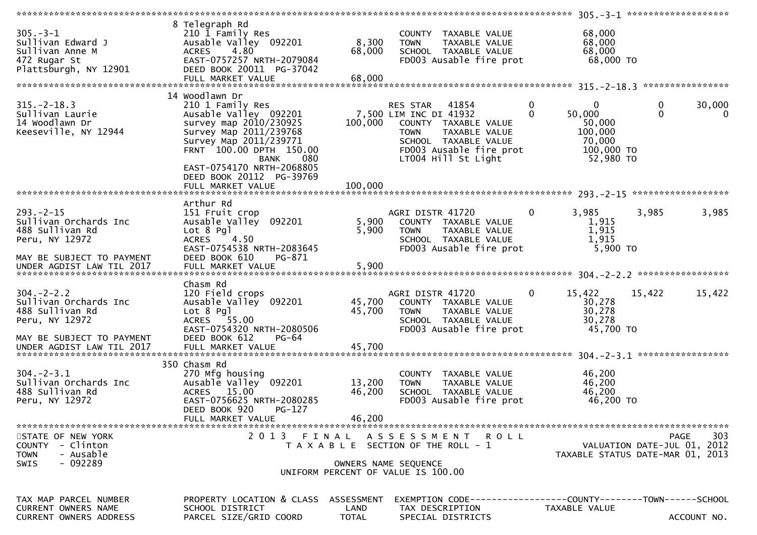| $305. - 3 - 1$<br>Sullivan Edward J<br>Sullivan Anne M<br>472 Rugar St<br>Plattsburgh, NY 12901 | 8 Telegraph Rd<br>210 1 Family Res<br>Ausable Valley 092201<br>4.80<br><b>ACRES</b><br>EAST-0757257 NRTH-2079084<br>DEED BOOK 20011 PG-37042<br>FULL MARKET VALUE        | 8,300<br>68,000<br>68,000 | COUNTY TAXABLE VALUE<br><b>TOWN</b><br>TAXABLE VALUE<br>SCHOOL TAXABLE VALUE<br>FD003 Ausable fire prot                                                                              | 68,000<br>68,000<br>68,000<br>68,000 TO                                                |                                                                                |
|-------------------------------------------------------------------------------------------------|--------------------------------------------------------------------------------------------------------------------------------------------------------------------------|---------------------------|--------------------------------------------------------------------------------------------------------------------------------------------------------------------------------------|----------------------------------------------------------------------------------------|--------------------------------------------------------------------------------|
|                                                                                                 | 14 Woodlawn Dr                                                                                                                                                           |                           |                                                                                                                                                                                      |                                                                                        |                                                                                |
| $315. - 2 - 18.3$<br>Sullivan Laurie<br>14 Woodlawn Dr<br>Keeseville, NY 12944                  | 210 1 Family Res<br>Ausable Valley 092201<br>survey map 2010/230925<br>Survey Map 2011/239768<br>Survey Map 2011/239771<br>FRNT 100.00 DPTH 150.00<br>080<br><b>BANK</b> | 100,000                   | 41854<br><b>RES STAR</b><br>7,500 LIM INC DI 41932<br>COUNTY TAXABLE VALUE<br>TAXABLE VALUE<br><b>TOWN</b><br>SCHOOL TAXABLE VALUE<br>FD003 Ausable fire prot<br>LT004 Hill St Light | 0<br>0<br>$\Omega$<br>50,000<br>50,000<br>100,000<br>70,000<br>100,000 TO<br>52,980 TO | 30,000<br>0<br>$\Omega$<br>$\Omega$                                            |
|                                                                                                 | EAST-0754170 NRTH-2068805<br>DEED BOOK 20112 PG-39769<br>FULL MARKET VALUE                                                                                               | 100,000                   |                                                                                                                                                                                      |                                                                                        |                                                                                |
|                                                                                                 | Arthur Rd                                                                                                                                                                |                           |                                                                                                                                                                                      |                                                                                        |                                                                                |
| $293. - 2 - 15$<br>Sullivan Orchards Inc<br>488 Sullivan Rd<br>Peru, NY 12972                   | 151 Fruit crop<br>Ausable Valley 092201<br>Lot 8 Pgl<br>4.50<br><b>ACRES</b><br>EAST-0754538 NRTH-2083645                                                                | 5,900<br>5,900            | AGRI DISTR 41720<br>COUNTY TAXABLE VALUE<br>TAXABLE VALUE<br><b>TOWN</b><br>SCHOOL TAXABLE VALUE<br>FD003 Ausable fire prot                                                          | 3,985<br>0<br>1,915<br>1,915<br>1,915<br>5,900 TO                                      | 3,985<br>3,985                                                                 |
| MAY BE SUBJECT TO PAYMENT                                                                       | DEED BOOK 610<br>PG-871                                                                                                                                                  |                           |                                                                                                                                                                                      |                                                                                        |                                                                                |
| $304. -2 - 2.2$<br>Sullivan Orchards Inc<br>488 Sullivan Rd<br>Peru, NY 12972                   | Chasm Rd<br>120 Field crops<br>Ausable Valley 092201<br>Lot 8 Pgl<br>ACRES 55.00<br>EAST-0754320 NRTH-2080506<br>DEED BOOK 612<br>PG-64                                  | 45,700<br>45,700          | AGRI DISTR 41720<br>COUNTY TAXABLE VALUE<br>TAXABLE VALUE<br>TOWN<br>SCHOOL TAXABLE VALUE<br>FD003 Ausable fire prot                                                                 | 15,422<br>$\bf{0}$<br>30,278<br>30,278<br>30,278<br>45,700 TO                          | 15,422<br>15,422                                                               |
| MAY BE SUBJECT TO PAYMENT<br>UNDER AGDIST LAW TIL 2017                                          | FULL MARKET VALUE                                                                                                                                                        | 45,700                    |                                                                                                                                                                                      |                                                                                        |                                                                                |
|                                                                                                 | 350 Chasm Rd                                                                                                                                                             |                           |                                                                                                                                                                                      |                                                                                        |                                                                                |
| $304. - 2 - 3.1$<br>Sullivan Orchards Inc<br>488 Sullivan Rd<br>Peru, NY 12972                  | 270 Mfg housing<br>Ausable Valley 092201<br>ACRES 15.00<br>EAST-0756625 NRTH-2080285<br>DEED BOOK 920<br>PG-127                                                          | 13,200<br>46,200          | COUNTY TAXABLE VALUE<br>TAXABLE VALUE<br><b>TOWN</b><br>SCHOOL TAXABLE VALUE<br>FD003 Ausable fire prot                                                                              | 46,200<br>46,200<br>46,200<br>46,200 TO                                                |                                                                                |
|                                                                                                 | FULL MARKET VALUE                                                                                                                                                        | 46,200                    |                                                                                                                                                                                      |                                                                                        |                                                                                |
| STATE OF NEW YORK<br>COUNTY - Clinton<br>- Ausable<br><b>TOWN</b><br>$-092289$<br><b>SWIS</b>   | 2013 FINAL                                                                                                                                                               |                           | ASSESSMENT ROLL<br>T A X A B L E SECTION OF THE ROLL - 1<br>OWNERS NAME SEQUENCE<br>UNIFORM PERCENT OF VALUE IS 100.00                                                               |                                                                                        | 303<br>PAGE<br>VALUATION DATE-JUL 01, 2012<br>TAXABLE STATUS DATE-MAR 01, 2013 |
|                                                                                                 |                                                                                                                                                                          |                           |                                                                                                                                                                                      |                                                                                        |                                                                                |
| TAX MAP PARCEL NUMBER<br>CURRENT OWNERS NAME                                                    | PROPERTY LOCATION & CLASS<br>SCHOOL DISTRICT                                                                                                                             | ASSESSMENT<br>LAND        | EXEMPTION CODE-----------------COUNTY-------TOWN------SCHOOL<br>TAX DESCRIPTION                                                                                                      | TAXABLE VALUE                                                                          |                                                                                |
| CURRENT OWNERS ADDRESS                                                                          | PARCEL SIZE/GRID COORD                                                                                                                                                   | <b>TOTAL</b>              | SPECIAL DISTRICTS                                                                                                                                                                    |                                                                                        | ACCOUNT NO.                                                                    |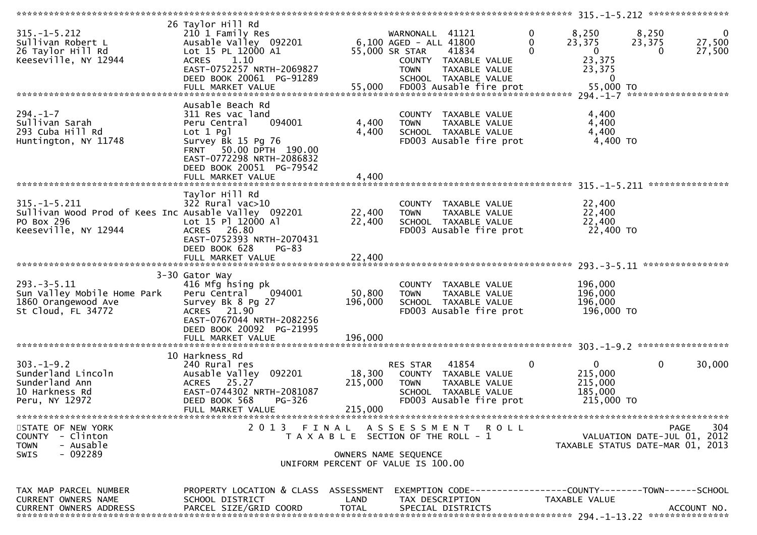|                                                                                                                  |                                                                                                                                                                                          |                                                                             |                                                                            |                                                                                                   |                    | ***************** 315.-1-5.212 ****************                 |                                     |                                  |
|------------------------------------------------------------------------------------------------------------------|------------------------------------------------------------------------------------------------------------------------------------------------------------------------------------------|-----------------------------------------------------------------------------|----------------------------------------------------------------------------|---------------------------------------------------------------------------------------------------|--------------------|-----------------------------------------------------------------|-------------------------------------|----------------------------------|
| $315. - 1 - 5.212$<br>Sullivan Robert L<br>26 Taylor Hill Rd<br>Keeseville, NY 12944                             | 26 Taylor Hill Rd<br>210 1 Family Res<br>Ausable Valley 092201<br>Lot 15 PL 12000 A1<br>1.10<br><b>ACRES</b><br>EAST-0752257 NRTH-2069827<br>DEED BOOK 20061 PG-91289                    |                                                                             | WARNONALL 41121<br>6,100 AGED - ALL 41800<br>55,000 SR STAR<br><b>TOWN</b> | 41834<br>COUNTY TAXABLE VALUE<br>TAXABLE VALUE<br>SCHOOL TAXABLE VALUE                            | 0<br>0<br>$\Omega$ | 8,250<br>23,375<br>$\mathbf{0}$<br>23,375<br>23,375<br>$\bf{0}$ | 8,250<br>23,375<br>$\Omega$         | $\mathbf{0}$<br>27,500<br>27,500 |
|                                                                                                                  |                                                                                                                                                                                          |                                                                             |                                                                            |                                                                                                   |                    |                                                                 |                                     |                                  |
| $294. - 1 - 7$<br>Sullivan Sarah<br>293 Cuba Hill Rd<br>Huntington, NY 11748                                     | Ausable Beach Rd<br>311 Res vac land<br>094001<br>Peru Central<br>$Lot 1$ $Pg1$<br>Survey Bk 15 Pg 76<br>FRNT 50.00 DPTH 190.00<br>EAST-0772298 NRTH-2086832<br>DEED BOOK 20051 PG-79542 | 4,400<br>4,400                                                              | <b>TOWN</b>                                                                | COUNTY TAXABLE VALUE<br>TAXABLE VALUE<br>SCHOOL TAXABLE VALUE<br>FD003 Ausable fire prot          |                    | 4,400<br>4,400<br>4,400<br>4,400 TO                             |                                     |                                  |
|                                                                                                                  | FULL MARKET VALUE                                                                                                                                                                        | 4,400                                                                       |                                                                            |                                                                                                   |                    |                                                                 |                                     | ***************                  |
| $315. - 1 - 5.211$<br>Sullivan Wood Prod of Kees Inc Ausable Valley 092201<br>PO Box 296<br>Keeseville, NY 12944 | Taylor Hill Rd<br>322 Rural vac>10<br>Lot 15 Pl 12000 Al<br>ACRES 26.80<br>EAST-0752393 NRTH-2070431<br>DEED BOOK 628<br>$PG-83$                                                         | 22,400<br>22,400                                                            | <b>TOWN</b>                                                                | COUNTY TAXABLE VALUE<br>TAXABLE VALUE<br>SCHOOL TAXABLE VALUE<br>FD003 Ausable fire prot          |                    | 22,400<br>22,400<br>22,400<br>22,400 TO                         |                                     |                                  |
|                                                                                                                  |                                                                                                                                                                                          |                                                                             |                                                                            |                                                                                                   |                    |                                                                 |                                     |                                  |
| $293. -3 - 5.11$<br>Sun Valley Mobile Home Park<br>1860 Orangewood Ave<br>St Cloud, FL 34772                     | 3-30 Gator Way<br>416 Mfg hsing pk<br>Peru Central<br>094001<br>Survey Bk 8 Pg 27<br>ACRES 21.90<br>EAST-0767044 NRTH-2082256<br>DEED BOOK 20092 PG-21995<br>FULL MARKET VALUE           | 50,800<br>196,000<br>196,000                                                | <b>TOWN</b>                                                                | COUNTY TAXABLE VALUE<br>TAXABLE VALUE<br>SCHOOL TAXABLE VALUE<br>FD003 Ausable fire prot          |                    | 196,000<br>196,000<br>196,000<br>196,000 TO                     |                                     |                                  |
|                                                                                                                  | 10 Harkness Rd                                                                                                                                                                           |                                                                             |                                                                            |                                                                                                   |                    |                                                                 |                                     |                                  |
| $303. -1 - 9.2$<br>Sunderland Lincoln<br>Sunderland Ann<br>10 Harkness Rd<br>Peru, NY 12972                      | 240 Rural res<br>Ausable Valley 092201<br>ACRES 25.27<br>EAST-0744302 NRTH-2081087<br>DEED BOOK 568<br>PG-326                                                                            | 18,300<br>215,000                                                           | RES STAR<br><b>TOWN</b>                                                    | 41854<br>COUNTY TAXABLE VALUE<br>TAXABLE VALUE<br>SCHOOL TAXABLE VALUE<br>FD003 Ausable fire prot | $\mathbf 0$        | $\mathbf{0}$<br>215,000<br>215,000<br>185,000<br>215,000 TO     | $\mathbf 0$                         | 30,000                           |
|                                                                                                                  | FULL MARKET VALUE                                                                                                                                                                        | 215,000                                                                     |                                                                            |                                                                                                   |                    |                                                                 |                                     | ***************                  |
| STATE OF NEW YORK<br>COUNTY - Clinton<br><b>TOWN</b><br>- Ausable<br>- 092289<br><b>SWIS</b>                     | 2013 FINAL                                                                                                                                                                               | T A X A B L E SECTION OF THE ROLL - 1<br>UNIFORM PERCENT OF VALUE IS 100.00 | OWNERS NAME SEQUENCE                                                       | ASSESSMENT ROLL                                                                                   |                    | TAXABLE STATUS DATE-MAR 01, 2013                                | PAGE<br>VALUATION DATE-JUL 01, 2012 | 304                              |
| TAX MAP PARCEL NUMBER<br>CURRENT OWNERS NAME<br>CURRENT OWNERS ADDRESS                                           | PROPERTY LOCATION & CLASS ASSESSMENT<br>SCHOOL DISTRICT<br>PARCEL SIZE/GRID COORD                                                                                                        | LAND<br><b>TOTAL</b>                                                        | TAX DESCRIPTION                                                            | EXEMPTION CODE-----------------COUNTY-------TOWN------SCHOOL<br>SPECIAL DISTRICTS                 |                    | TAXABLE VALUE                                                   |                                     | ACCOUNT NO.                      |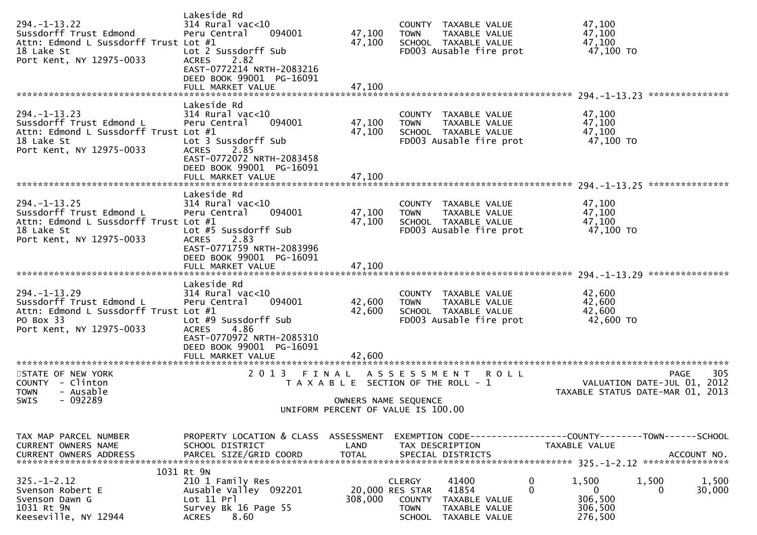| $294. -1 - 13.22$<br>Sussdorff Trust Edmond<br>Attn: Edmond L Sussdorff Trust Lot #1<br>18 Lake St<br>Port Kent, NY 12975-0033   | Lakeside Rd<br>314 Rural vac<10<br>Peru Central<br>094001<br>Lot 2 Sussdorff Sub<br>2.82<br><b>ACRES</b><br>EAST-0772214 NRTH-2083216<br>DEED BOOK 99001 PG-16091<br>FULL MARKET VALUE    | 47,100<br>47,100<br>47,100 | COUNTY TAXABLE VALUE<br><b>TOWN</b><br>TAXABLE VALUE<br>SCHOOL TAXABLE VALUE<br>FD003 Ausable fire prot                                          | 47,100<br>47,100<br>47,100<br>47,100 TO<br>***************                             |
|----------------------------------------------------------------------------------------------------------------------------------|-------------------------------------------------------------------------------------------------------------------------------------------------------------------------------------------|----------------------------|--------------------------------------------------------------------------------------------------------------------------------------------------|----------------------------------------------------------------------------------------|
| $294. -1 - 13.23$<br>Sussdorff Trust Edmond L<br>Attn: Edmond L Sussdorff Trust Lot #1<br>18 Lake St<br>Port Kent, NY 12975-0033 | Lakeside Rd<br>$314$ Rural vac<10<br>Peru Central<br>094001<br>Lot 3 Sussdorff Sub<br>2.85<br><b>ACRES</b><br>EAST-0772072 NRTH-2083458<br>DEED BOOK 99001 PG-16091<br>FULL MARKET VALUE  | 47,100<br>47,100<br>47,100 | COUNTY TAXABLE VALUE<br>TAXABLE VALUE<br><b>TOWN</b><br>SCHOOL TAXABLE VALUE<br>FD003 Ausable fire prot                                          | 47,100<br>47,100<br>47,100<br>47,100 TO                                                |
| $294. -1 - 13.25$<br>Sussdorff Trust Edmond L<br>Attn: Edmond L Sussdorff Trust Lot #1<br>18 Lake St<br>Port Kent, NY 12975-0033 | Lakeside Rd<br>$314$ Rural vac<10<br>Peru Central<br>094001<br>Lot #5 Sussdorff Sub<br>2.83<br><b>ACRES</b><br>EAST-0771759 NRTH-2083996<br>DEED BOOK 99001 PG-16091<br>FULL MARKET VALUE | 47,100<br>47,100<br>47,100 | COUNTY TAXABLE VALUE<br>TAXABLE VALUE<br><b>TOWN</b><br>SCHOOL TAXABLE VALUE<br>FD003 Ausable fire prot                                          | 47,100<br>47,100<br>47,100<br>47,100 TO                                                |
| $294. -1 - 13.29$<br>Sussdorff Trust Edmond L<br>Attn: Edmond L Sussdorff Trust Lot #1<br>PO Box 33<br>Port Kent, NY 12975-0033  | Lakeside Rd<br>$314$ Rural vac<10<br>Peru Central<br>094001<br>Lot #9 Sussdorff Sub<br>4.86<br><b>ACRES</b><br>EAST-0770972 NRTH-2085310<br>DEED BOOK 99001 PG-16091<br>FULL MARKET VALUE | 42,600<br>42,600<br>42.600 | COUNTY TAXABLE VALUE<br>TAXABLE VALUE<br><b>TOWN</b><br>SCHOOL TAXABLE VALUE<br>FD003 Ausable fire prot                                          | 42,600<br>42,600<br>42,600<br>42,600 TO                                                |
| STATE OF NEW YORK<br>COUNTY - Clinton<br><b>TOWN</b><br>- Ausable<br>$-092289$<br>SWIS                                           | 2 0 1 3<br>FINAL                                                                                                                                                                          |                            | A S S E S S M E N T<br>R O L L<br>T A X A B L E SECTION OF THE ROLL - 1<br>OWNERS NAME SEQUENCE<br>UNIFORM PERCENT OF VALUE IS 100.00            | 305<br>PAGE<br>VALUATION DATE-JUL 01,<br>2012<br>TAXABLE STATUS DATE-MAR 01,<br>2013   |
| TAX MAP PARCEL NUMBER<br>CURRENT OWNERS NAME<br><b>CURRENT OWNERS ADDRESS</b>                                                    | PROPERTY LOCATION & CLASS ASSESSMENT<br>SCHOOL DISTRICT<br>PARCEL SIZE/GRID COORD                                                                                                         | LAND<br><b>TOTAL</b>       | EXEMPTION CODE-----------------COUNTY-------TOWN------SCHOOL<br>TAX DESCRIPTION<br>SPECIAL DISTRICTS                                             | TAXABLE VALUE<br>ACCOUNT NO.                                                           |
| $325 - 1 - 2.12$<br>Svenson Robert E<br>Svenson Dawn G<br>1031 Rt 9N<br>Keeseville, NY 12944                                     | 1031 Rt 9N<br>210 1 Family Res<br>Ausable Valley 092201<br>Lot 11 Prl<br>Survey Bk 16 Page 55<br>8.60<br>ACRES                                                                            | 20,000 RES STAR<br>308,000 | $\mathbf 0$<br><b>CLERGY</b><br>41400<br>$\mathbf 0$<br>41854<br>COUNTY<br>TAXABLE VALUE<br><b>TOWN</b><br>TAXABLE VALUE<br>SCHOOL TAXABLE VALUE | 1,500<br>1,500<br>1,500<br>$\mathbf 0$<br>30,000<br>0<br>306,500<br>306,500<br>276,500 |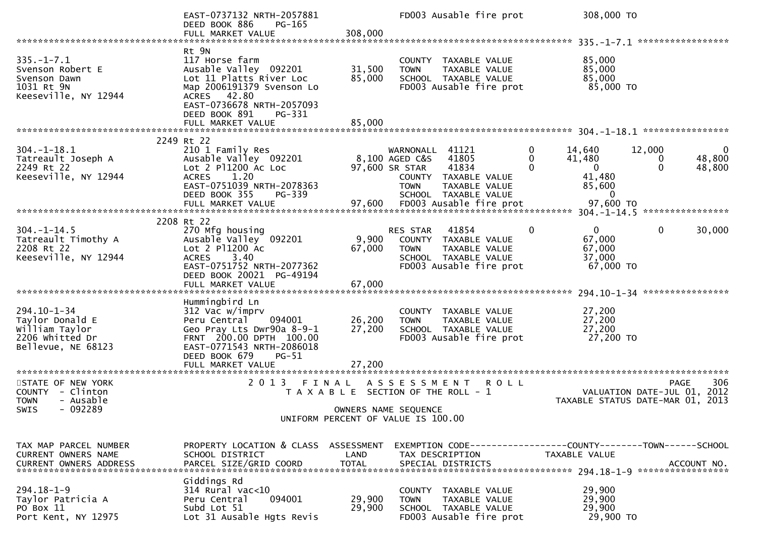|                                                                                                 | EAST-0737132 NRTH-2057881<br>DEED BOOK 886<br>PG-165<br>FULL MARKET VALUE                                                                                                                         | 308,000                    | FD003 Ausable fire prot                                                                                                                                  | 308,000 TO                                                                     |                                                                    |
|-------------------------------------------------------------------------------------------------|---------------------------------------------------------------------------------------------------------------------------------------------------------------------------------------------------|----------------------------|----------------------------------------------------------------------------------------------------------------------------------------------------------|--------------------------------------------------------------------------------|--------------------------------------------------------------------|
|                                                                                                 |                                                                                                                                                                                                   |                            |                                                                                                                                                          |                                                                                |                                                                    |
| $335. - 1 - 7.1$<br>Svenson Robert E<br>Svenson Dawn<br>1031 Rt 9N<br>Keeseville, NY 12944      | Rt 9N<br>117 Horse farm<br>Ausable Valley 092201<br>Lot 11 Platts River Loc<br>Map 2006191379 Svenson Lo<br>ACRES 42.80<br>EAST-0736678 NRTH-2057093<br>DEED BOOK 891<br>PG-331                   | 31,500<br>85,000           | COUNTY TAXABLE VALUE<br><b>TOWN</b><br>TAXABLE VALUE<br>SCHOOL TAXABLE VALUE<br>FD003 Ausable fire prot                                                  | 85,000<br>85,000<br>85,000<br>85,000 TO                                        |                                                                    |
|                                                                                                 |                                                                                                                                                                                                   |                            |                                                                                                                                                          |                                                                                |                                                                    |
|                                                                                                 |                                                                                                                                                                                                   |                            |                                                                                                                                                          |                                                                                |                                                                    |
| $304. - 1 - 18.1$<br>Tatreault Joseph A<br>2249 Rt 22<br>Keeseville, NY 12944                   | 2249 Rt 22<br>210 1 Family Res<br>Ausable Valley 092201<br>Lot 2 P11200 Ac Loc<br>1.20<br><b>ACRES</b><br>EAST-0751039 NRTH-2078363<br>DEED BOOK 355<br>PG-339                                    |                            | 41121<br>WARNONALL<br>8,100 AGED C&S<br>41805<br>97,600 SR STAR<br>41834<br>COUNTY TAXABLE VALUE<br><b>TOWN</b><br>TAXABLE VALUE<br>SCHOOL TAXABLE VALUE | 0<br>14,640<br>0<br>41,480<br>$\mathbf{0}$<br>41,480<br>85,600<br>$\mathbf{0}$ | 12,000<br>0<br>48,800<br>0<br>$\Omega$<br>48,800                   |
|                                                                                                 |                                                                                                                                                                                                   |                            |                                                                                                                                                          |                                                                                |                                                                    |
| $304. - 1 - 14.5$<br>Tatreault Timothy A<br>2208 Rt 22<br>Keeseville, NY 12944                  | 2208 Rt 22<br>270 Mfg housing<br>Ausable Valley 092201<br>Lot 2 P11200 Ac<br>3.40<br><b>ACRES</b><br>EAST-0751752 NRTH-2077362<br>DEED BOOK 20021 PG-49194<br>FULL MARKET VALUE                   | 9,900<br>67,000<br>67,000  | 41854<br><b>RES STAR</b><br>COUNTY TAXABLE VALUE<br><b>TOWN</b><br>TAXABLE VALUE<br>SCHOOL TAXABLE VALUE<br>FD003 Ausable fire prot                      | $\Omega$<br>$\Omega$<br>67,000<br>67,000<br>37,000<br>$67,000$ TO              | $\mathbf{0}$<br>30,000                                             |
|                                                                                                 |                                                                                                                                                                                                   |                            |                                                                                                                                                          |                                                                                |                                                                    |
| $294.10 - 1 - 34$<br>Taylor Donald E<br>William Taylor<br>2206 Whitted Dr<br>Bellevue, NE 68123 | Hummingbird Ln<br>312 Vac w/imprv<br>094001<br>Peru Central<br>Geo Pray Lts Dwr90a 8-9-1<br>FRNT 200.00 DPTH 100.00<br>EAST-0771543 NRTH-2086018<br>DEED BOOK 679<br>$PG-51$<br>FULL MARKET VALUE | 26,200<br>27,200<br>27,200 | COUNTY TAXABLE VALUE<br><b>TOWN</b><br>TAXABLE VALUE<br>SCHOOL TAXABLE VALUE<br>FD003 Ausable fire prot                                                  | 27,200<br>27,200<br>27,200<br>27,200 TO                                        |                                                                    |
| STATE OF NEW YORK                                                                               | 2 0 1 3                                                                                                                                                                                           | FINAL                      | A S S E S S M E N T<br><b>ROLL</b>                                                                                                                       |                                                                                | 306<br><b>PAGE</b>                                                 |
| COUNTY - Clinton<br>- Ausable<br><b>TOWN</b>                                                    |                                                                                                                                                                                                   |                            | T A X A B L E SECTION OF THE ROLL - 1                                                                                                                    |                                                                                | 2012<br>VALUATION DATE-JUL 01,<br>TAXABLE STATUS DATE-MAR 01, 2013 |
| - 092289<br>SWIS                                                                                |                                                                                                                                                                                                   |                            | OWNERS NAME SEQUENCE<br>UNIFORM PERCENT OF VALUE IS 100.00                                                                                               |                                                                                |                                                                    |
|                                                                                                 |                                                                                                                                                                                                   |                            |                                                                                                                                                          |                                                                                |                                                                    |
| TAX MAP PARCEL NUMBER<br>CURRENT OWNERS NAME<br>CURRENT OWNERS ADDRESS                          | PROPERTY LOCATION & CLASS ASSESSMENT<br>SCHOOL DISTRICT<br>PARCEL SIZE/GRID COORD                                                                                                                 | LAND<br><b>TOTAL</b>       | EXEMPTION CODE-----------------COUNTY-------TOWN------SCHOOL<br>TAX DESCRIPTION<br>SPECIAL DISTRICTS                                                     | TAXABLE VALUE                                                                  | ACCOUNT NO.                                                        |
| $294.18 - 1 - 9$<br>Taylor Patricia A<br>PO Box 11<br>Port Kent, NY 12975                       | Giddings Rd<br>314 Rural vac<10<br>Peru Central<br>094001<br>Subd Lot 51<br>Lot 31 Ausable Hgts Revis                                                                                             | 29,900<br>29,900           | COUNTY TAXABLE VALUE<br><b>TOWN</b><br>TAXABLE VALUE<br>SCHOOL TAXABLE VALUE<br>FD003 Ausable fire prot                                                  | 29,900<br>29,900<br>29,900<br>29,900 TO                                        |                                                                    |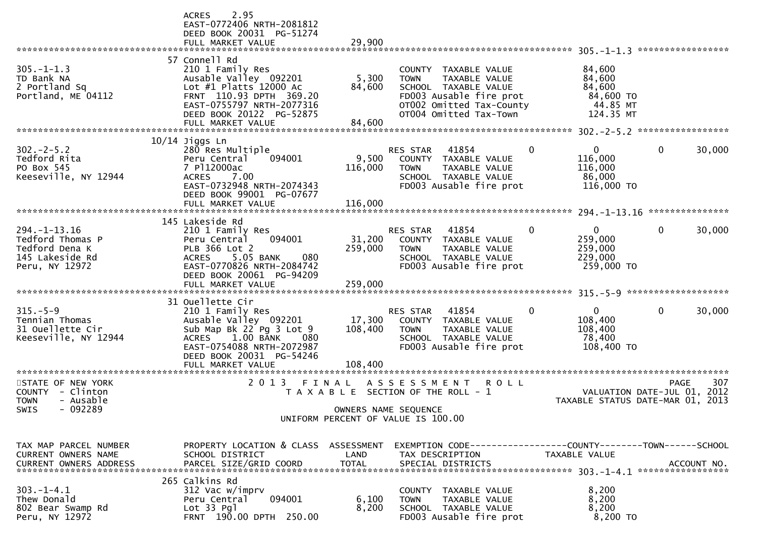|                                                                                                                                      | 2.95<br><b>ACRES</b><br>EAST-0772406 NRTH-2081812<br>DEED BOOK 20031 PG-51274<br>FULL MARKET VALUE                                                                                                            | 29,900                       |                                                                                                                                                                         |                                                                  | *****************                                 |
|--------------------------------------------------------------------------------------------------------------------------------------|---------------------------------------------------------------------------------------------------------------------------------------------------------------------------------------------------------------|------------------------------|-------------------------------------------------------------------------------------------------------------------------------------------------------------------------|------------------------------------------------------------------|---------------------------------------------------|
| $305. -1 - 1.3$<br>TD Bank NA<br>2 Portland Sq<br>Portland, ME 04112                                                                 | 57 Connell Rd<br>210 1 Family Res<br>Ausable Valley 092201<br>Lot $#1$ Platts 12000 Ac<br>FRNT 110.93 DPTH 369.20<br>EAST-0755797 NRTH-2077316<br>DEED BOOK 20122 PG-52875<br>FULL MARKET VALUE               | 5,300<br>84,600<br>84,600    | TAXABLE VALUE<br><b>COUNTY</b><br>TAXABLE VALUE<br><b>TOWN</b><br>SCHOOL TAXABLE VALUE<br>FD003 Ausable fire prot<br>OT002 Omitted Tax-County<br>OT004 Omitted Tax-Town | 84,600<br>84,600<br>84,600<br>84,600 TO<br>44.85 MT<br>124.35 MT |                                                   |
| $302 - 2 - 5.2$<br>Tedford Rita<br>PO Box 545<br>Keeseville, NY 12944                                                                | $10/14$ Jiggs Ln<br>280 Res Multiple<br>Peru Central<br>094001<br>7 P112000ac<br>7.00<br><b>ACRES</b><br>EAST-0732948 NRTH-2074343<br>DEED BOOK 99001 PG-07677<br>FULL MARKET VALUE                           | 9,500<br>116,000<br>116,000  | 41854<br><b>RES STAR</b><br>COUNTY TAXABLE VALUE<br>TAXABLE VALUE<br><b>TOWN</b><br>SCHOOL TAXABLE VALUE<br>FD003 Ausable fire prot                                     | 0<br>$\mathbf{0}$<br>116,000<br>116,000<br>86,000<br>116,000 TO  | *****************<br>$\mathbf{0}$<br>30,000       |
| $294. -1 - 13.16$<br>Tedford Thomas P<br>Tedford Dena K<br>145 Lakeside Rd<br>Peru, NY 12972                                         | 145 Lakeside Rd<br>210 1 Family Res<br>Peru Central<br>094001<br>PLB 366 Lot 2<br>5.05 BANK<br><b>ACRES</b><br>080<br>EAST-0770826 NRTH-2084742<br>DEED BOOK 20061 PG-94209<br>FULL MARKET VALUE              | 31,200<br>259,000<br>259,000 | 41854<br>RES STAR<br>COUNTY<br>TAXABLE VALUE<br>TAXABLE VALUE<br><b>TOWN</b><br>SCHOOL TAXABLE VALUE<br>FD003 Ausable fire prot                                         | 0<br>$\mathbf{0}$<br>259,000<br>259,000<br>229,000<br>259,000 TO | ***************<br>$\mathbf{0}$<br>30,000         |
| $315. - 5 - 9$<br>Tennian Thomas<br>31 Ouellette Cir<br>Keeseville, NY 12944                                                         | 31 Ouellette Cir<br>210 1 Family Res<br>Ausable Valley 092201<br>Sub Map Bk 22 Pg 3 Lot 9<br>$1.00$ BANK<br><b>ACRES</b><br>080<br>EAST-0754088 NRTH-2072987<br>DEED BOOK 20031 PG-54246<br>FULL MARKET VALUE | 17,300<br>108,400<br>108,400 | 41854<br>RES STAR<br>COUNTY TAXABLE VALUE<br>TAXABLE VALUE<br><b>TOWN</b><br>SCHOOL TAXABLE VALUE<br>FD003 Ausable fire prot                                            | 0<br>0<br>108,400<br>108,400<br>78,400<br>108,400 TO             | $\mathbf{0}$<br>30,000                            |
| STATE OF NEW YORK<br><b>COUNTY</b><br>- Clinton<br>- Ausable<br>TOWN<br>- 092289<br>SWIS                                             | 2 0 1 3<br>FINAL                                                                                                                                                                                              |                              | A S S E S S M E N T<br><b>ROLL</b><br>T A X A B L E SECTION OF THE ROLL - 1<br>OWNERS NAME SEQUENCE<br>UNIFORM PERCENT OF VALUE IS 100.00                               | TAXABLE STATUS DATE-MAR 01, 2013                                 | 307<br><b>PAGE</b><br>VALUATION DATE-JUL 01, 2012 |
| TAX MAP PARCEL NUMBER<br>CURRENT OWNERS NAME<br><b>CURRENT OWNERS ADDRESS</b><br>$303. -1 - 4.1$<br>Thew Donald<br>802 Bear Swamp Rd | PROPERTY LOCATION & CLASS ASSESSMENT<br>SCHOOL DISTRICT<br>265 Calkins Rd<br>312 Vac w/imprv<br>094001<br>Peru Central<br>$Lot 33$ Pgl                                                                        | LAND<br>6,100<br>8,200       | TAX DESCRIPTION<br>COUNTY TAXABLE VALUE<br><b>TOWN</b><br>TAXABLE VALUE<br>SCHOOL TAXABLE VALUE                                                                         | TAXABLE VALUE<br>8,200<br>8,200<br>8,200                         |                                                   |
| Peru, NY 12972                                                                                                                       | FRNT 190.00 DPTH 250.00                                                                                                                                                                                       |                              | FD003 Ausable fire prot                                                                                                                                                 | 8,200 TO                                                         |                                                   |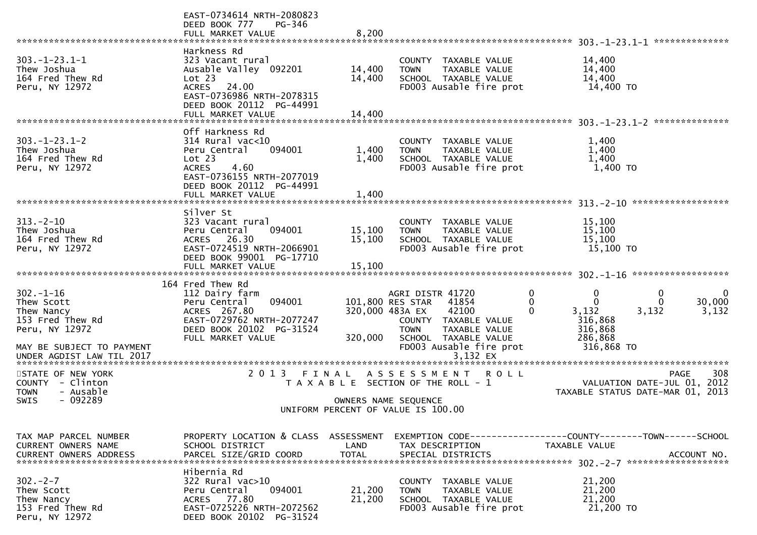|                                                                                                               | EAST-0734614 NRTH-2080823<br>DEED BOOK 777<br>PG-346<br>FULL MARKET VALUE                                                                                                       | 8,200                      |                                                                                                                                                                                                  |                                                                                           |                                                                                             |
|---------------------------------------------------------------------------------------------------------------|---------------------------------------------------------------------------------------------------------------------------------------------------------------------------------|----------------------------|--------------------------------------------------------------------------------------------------------------------------------------------------------------------------------------------------|-------------------------------------------------------------------------------------------|---------------------------------------------------------------------------------------------|
| $303. -1 - 23.1 - 1$<br>Thew Joshua<br>164 Fred Thew Rd<br>Peru, NY 12972                                     | Harkness Rd<br>323 Vacant rural<br>Ausable Valley 092201<br>Lot 23<br>ACRES 24.00<br>EAST-0736986 NRTH-2078315<br>DEED BOOK 20112 PG-44991<br>FULL MARKET VALUE                 | 14,400<br>14,400<br>14,400 | COUNTY<br>TAXABLE VALUE<br><b>TOWN</b><br>TAXABLE VALUE<br>SCHOOL TAXABLE VALUE<br>FD003 Ausable fire prot                                                                                       | 14,400<br>14,400<br>14,400<br>14,400 TO                                                   |                                                                                             |
| $303. - 1 - 23.1 - 2$<br>Thew Joshua<br>164 Fred Thew Rd<br>Peru, NY 12972                                    | Off Harkness Rd<br>$314$ Rural vac<10<br>094001<br>Peru Central<br>Lot 23<br><b>ACRES</b><br>4.60<br>EAST-0736155 NRTH-2077019<br>DEED BOOK 20112 PG-44991<br>FULL MARKET VALUE | 1,400<br>1,400<br>1,400    | COUNTY TAXABLE VALUE<br>TAXABLE VALUE<br><b>TOWN</b><br>SCHOOL TAXABLE VALUE<br>FD003 Ausable fire prot                                                                                          | 1,400<br>1,400<br>1,400<br>1,400 TO                                                       |                                                                                             |
| $313 - 2 - 10$<br>Thew Joshua<br>164 Fred Thew Rd<br>Peru, NY 12972                                           | Silver St<br>323 Vacant rural<br>094001<br>Peru Central<br>ACRES 26.30<br>EAST-0724519 NRTH-2066901<br>DEED BOOK 99001 PG-17710                                                 | 15,100<br>15,100           | COUNTY TAXABLE VALUE<br>TAXABLE VALUE<br><b>TOWN</b><br>SCHOOL TAXABLE VALUE<br>FD003 Ausable fire prot                                                                                          | 15,100<br>15,100<br>15,100<br>15,100 TO                                                   |                                                                                             |
| $302 - 1 - 16$<br>Thew Scott<br>Thew Nancy<br>153 Fred Thew Rd<br>Peru, NY 12972<br>MAY BE SUBJECT TO PAYMENT | 164 Fred Thew Rd<br>112 Dairy farm<br>094001<br>Peru Central<br>ACRES 267.80<br>EAST-0729762 NRTH-2077247<br>DEED BOOK 20102 PG-31524<br>FULL MARKET VALUE                      | 320,000                    | AGRI DISTR 41720<br>101,800 RES STAR<br>41854<br>42100<br>320,000 483A EX<br>COUNTY TAXABLE VALUE<br><b>TOWN</b><br>TAXABLE VALUE<br>SCHOOL TAXABLE VALUE<br>FD003 Ausable fire prot<br>3,132 EX | 0<br>$\mathbf 0$<br>$\Omega$<br>0<br>3,132<br>316,868<br>316,868<br>286,868<br>316,868 TO | 0<br>0<br>30,000<br>0<br>3,132<br>3,132                                                     |
| STATE OF NEW YORK<br>COUNTY - Clinton<br><b>TOWN</b><br>- Ausable<br>SWIS<br>- 092289                         | 2 0 1 3                                                                                                                                                                         | FINAL                      | A S S E S S M E N T<br><b>ROLL</b><br>T A X A B L E SECTION OF THE ROLL - 1<br>OWNERS NAME SEQUENCE<br>UNIFORM PERCENT OF VALUE IS 100.00                                                        |                                                                                           | 308<br><b>PAGE</b><br>2012<br>VALUATION DATE-JUL 01,<br>TAXABLE STATUS DATE-MAR 01,<br>2013 |
| TAX MAP PARCEL NUMBER<br>CURRENT OWNERS NAME<br><b>CURRENT OWNERS ADDRESS</b>                                 | PROPERTY LOCATION & CLASS ASSESSMENT<br>SCHOOL DISTRICT<br>PARCEL SIZE/GRID COORD                                                                                               | LAND<br><b>TOTAL</b>       | EXEMPTION CODE-----------------COUNTY-------TOWN------SCHOOL<br>TAX DESCRIPTION<br>SPECIAL DISTRICTS                                                                                             | TAXABLE VALUE                                                                             | ACCOUNT NO.                                                                                 |
| $302 - 2 - 7$<br>Thew Scott<br>Thew Nancy<br>153 Fred Thew Rd<br>Peru, NY 12972                               | Hibernia Rd<br>322 Rural vac>10<br>094001<br>Peru Central<br>ACRES 77.80<br>EAST-0725226 NRTH-2072562<br>DEED BOOK 20102 PG-31524                                               | 21,200<br>21,200           | COUNTY TAXABLE VALUE<br><b>TOWN</b><br><b>TAXABLE VALUE</b><br>SCHOOL TAXABLE VALUE<br>FD003 Ausable fire prot                                                                                   | 21,200<br>21,200<br>21,200<br>21,200 TO                                                   |                                                                                             |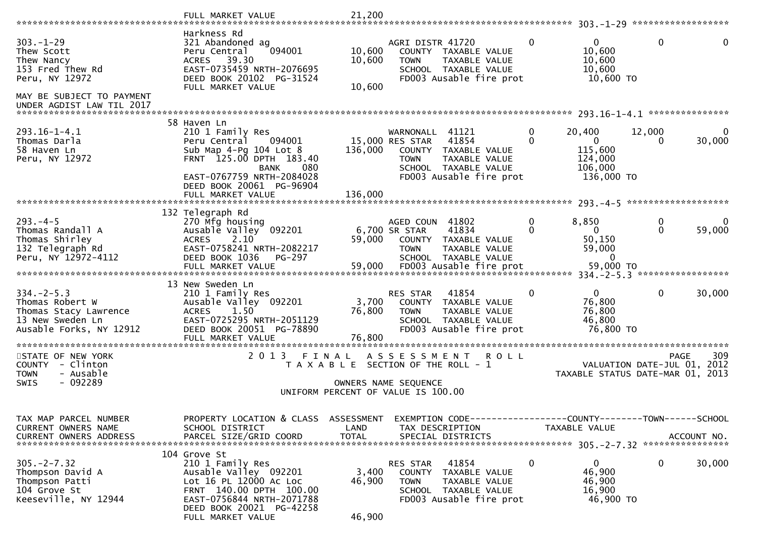|                                                                                                                                             | FULL MARKET VALUE                                                                                                                                                                            | 21,200                     |                                                                                                                                                           |                   | $303 - 1 - 29$                                                          | ******************                         |             |
|---------------------------------------------------------------------------------------------------------------------------------------------|----------------------------------------------------------------------------------------------------------------------------------------------------------------------------------------------|----------------------------|-----------------------------------------------------------------------------------------------------------------------------------------------------------|-------------------|-------------------------------------------------------------------------|--------------------------------------------|-------------|
| $303. - 1 - 29$<br>Thew Scott<br>Thew Nancy<br>153 Fred Thew Rd<br>Peru, NY 12972<br>MAY BE SUBJECT TO PAYMENT<br>UNDER AGDIST LAW TIL 2017 | Harkness Rd<br>321 Abandoned ag<br>094001<br>Peru Central<br>ACRES 39.30<br>EAST-0735459 NRTH-2076695<br>DEED BOOK 20102 PG-31524<br>FULL MARKET VALUE                                       | 10,600<br>10,600<br>10,600 | AGRI DISTR 41720<br>COUNTY TAXABLE VALUE<br><b>TOWN</b><br>TAXABLE VALUE<br>SCHOOL TAXABLE VALUE<br>FD003 Ausable fire prot                               | $\Omega$          | $\mathbf{0}$<br>10,600<br>10,600<br>10,600<br>10,600 TO                 | $\mathbf{0}$                               | 0           |
|                                                                                                                                             | 58 Haven Ln                                                                                                                                                                                  |                            |                                                                                                                                                           |                   |                                                                         |                                            |             |
| $293.16 - 1 - 4.1$<br>Thomas Darla<br>58 Haven Ln<br>Peru, NY 12972                                                                         | 210 1 Family Res<br>Peru Central<br>094001<br>Sub Map $4-Pg$ 104 Lot $8$<br>FRNT 125.00 DPTH 183.40<br>080<br><b>BANK</b><br>EAST-0767759 NRTH-2084028<br>DEED BOOK 20061 PG-96904           | 136,000                    | 41121<br>WARNONALL<br>15,000 RES STAR<br>41854<br>COUNTY TAXABLE VALUE<br><b>TOWN</b><br>TAXABLE VALUE<br>SCHOOL TAXABLE VALUE<br>FD003 Ausable fire prot | 0<br>$\Omega$     | 20,400<br>$\overline{0}$<br>115,600<br>124,000<br>106,000<br>136,000 TO | 12,000<br>0                                | 30,000      |
|                                                                                                                                             |                                                                                                                                                                                              |                            |                                                                                                                                                           |                   | $293 - 4 - 5$                                                           | *******************                        |             |
| $293 - 4 - 5$<br>Thomas Randall A<br>Thomas Shirley<br>132 Telegraph Rd<br>Peru, NY 12972-4112                                              | 132 Telegraph Rd<br>270 Mfg housing<br>Ausable Valley 092201<br><b>ACRES</b><br>2.10<br>EAST-0758241 NRTH-2082217<br>DEED BOOK 1036<br>PG-297                                                | 59,000                     | AGED COUN 41802<br>41834<br>6,700 SR STAR<br>COUNTY<br>TAXABLE VALUE<br><b>TOWN</b><br>TAXABLE VALUE<br>SCHOOL TAXABLE VALUE                              | $\mathbf{0}$<br>0 | 8,850<br>$\mathbf{0}$<br>50,150<br>59,000<br>$\Omega$                   | 0<br>0                                     | 0<br>59,000 |
|                                                                                                                                             | 13 New Sweden Ln                                                                                                                                                                             |                            |                                                                                                                                                           |                   |                                                                         |                                            |             |
| $334. -2 - 5.3$<br>Thomas Robert W<br>Thomas Stacy Lawrence<br>13 New Sweden Ln<br>Ausable Forks, NY 12912                                  | 210 1 Family Res<br>Ausable Valley 092201<br>1.50<br><b>ACRES</b><br>EAST-0725295 NRTH-2051129<br>DEED BOOK 20051 PG-78890<br>FULL MARKET VALUE                                              | 3,700<br>76,800<br>76,800  | 41854<br><b>RES STAR</b><br>COUNTY TAXABLE VALUE<br><b>TOWN</b><br>TAXABLE VALUE<br>SCHOOL TAXABLE VALUE<br>FD003 Ausable fire prot                       | 0                 | $\overline{0}$<br>76,800<br>76,800<br>46,800<br>76,800 TO               | 0                                          | 30,000      |
| STATE OF NEW YORK<br>COUNTY<br>- Clinton<br>- Ausable<br><b>TOWN</b><br>$-092289$<br>SWIS                                                   | 2 0 1 3<br>FINAL                                                                                                                                                                             |                            | A S S E S S M E N T<br><b>ROLL</b><br>T A X A B L E SECTION OF THE ROLL - 1<br>OWNERS NAME SEQUENCE                                                       |                   | TAXABLE STATUS DATE-MAR 01, 2013                                        | <b>PAGE</b><br>VALUATION DATE-JUL 01, 2012 | 309         |
|                                                                                                                                             |                                                                                                                                                                                              |                            | UNIFORM PERCENT OF VALUE IS 100.00                                                                                                                        |                   |                                                                         |                                            |             |
| TAX MAP PARCEL NUMBER<br>CURRENT OWNERS NAME<br>CURRENT OWNERS ADDRESS                                                                      | PROPERTY LOCATION & CLASS ASSESSMENT<br>SCHOOL DISTRICT<br>PARCEL SIZE/GRID COORD                                                                                                            | LAND<br><b>TOTAL</b>       | EXEMPTION CODE------------------COUNTY--------TOWN------SCHOOL<br>TAX DESCRIPTION<br>SPECIAL DISTRICTS                                                    |                   | TAXABLE VALUE                                                           |                                            | ACCOUNT NO. |
| $305. -2 - 7.32$<br>Thompson David A<br>Thompson Patti<br>104 Grove St<br>Keeseville, NY 12944                                              | 104 Grove St<br>210 1 Family Res<br>Ausable Valley 092201<br>Lot 16 PL 12000 Ac Loc<br>FRNT 140.00 DPTH 100.00<br>EAST-0756844 NRTH-2071788<br>DEED BOOK 20021 PG-42258<br>FULL MARKET VALUE | 3,400<br>46,900<br>46,900  | 41854<br>RES STAR<br>COUNTY TAXABLE VALUE<br><b>TOWN</b><br>TAXABLE VALUE<br>SCHOOL TAXABLE VALUE<br>FD003 Ausable fire prot                              | 0                 | $\mathbf{0}$<br>46,900<br>46,900<br>16,900<br>46,900 TO                 | $\mathbf{0}$                               | 30,000      |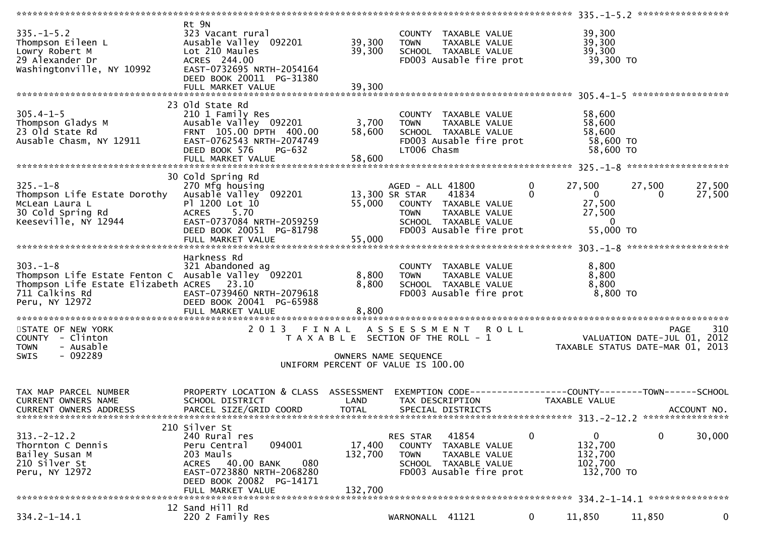| 335.-1-5.2<br>Thompson Eileen L<br>Lowry Robert M<br>29 Alexander Dr<br>Washingtonville, NY 10992                                 | Rt 9N<br>11, Vacant Tural<br>Ausable Valley 092201 39,300<br>Lot 210 Maules 39,300<br>ACRES 244.00<br>ACRES 2336.0<br>EAST-0732695 NRTH-2054164<br>DEED BOOK 20011 PG-31380                                   |                                                                             |                            | COUNTY TAXABLE VALUE 39,300<br>TOWN TAXABLE VALUE 39,300<br>SCHOOL TAXABLE VALUE 39,300<br>FDOO3 Ausable fire prot 39,300 TO      |                            |                                                                                      |                        |                  |
|-----------------------------------------------------------------------------------------------------------------------------------|---------------------------------------------------------------------------------------------------------------------------------------------------------------------------------------------------------------|-----------------------------------------------------------------------------|----------------------------|-----------------------------------------------------------------------------------------------------------------------------------|----------------------------|--------------------------------------------------------------------------------------|------------------------|------------------|
|                                                                                                                                   |                                                                                                                                                                                                               |                                                                             |                            |                                                                                                                                   |                            |                                                                                      |                        |                  |
|                                                                                                                                   | 23 Old State Rd<br>∠⊥∪ ⊥ ⊦amı∣y Res<br>Ausable Valley_ 092201<br>EPNT_ 105 00 -<br>DEED BOOK 576<br>PG-632<br>FULL MARKET VALUE                                                                               | 3,700<br>58,600<br>58,600                                                   | <b>TOWN</b><br>LT006 Chasm | COUNTY TAXABLE VALUE<br>TUWN TAXABLE VALUE<br>SCHOOL TAXABLE VALUE<br>EDOOL TAXABLE VALUE<br>FD003 Ausable fire prot 58,600 TO    |                            | 58,600<br>58,600<br>58,600<br>58,600 TO                                              |                        |                  |
|                                                                                                                                   | 30 Cold Spring Rd                                                                                                                                                                                             |                                                                             |                            |                                                                                                                                   |                            |                                                                                      |                        |                  |
| $325. - 1 - 8$<br>Thompson Life Estate Dorothy<br>McLean Laura L<br>30 Cold Spring Rd<br>Keeseville, NY 12944                     | 270 Mfg housing<br>270 Mfg housing<br>Ausable Valley 092201 13,300 SR STAR<br>Pl 1200 Lot 10 55,000 COUNTY<br>ACRES 5.70<br>EAST-0737084 NRTH-2059259<br>DEED BOOK 20051 PG-81798<br>DEED BOOK 20051 PG-81798 |                                                                             |                            | AGED - ALL 41800<br>41834<br>55,000 COUNTY TAXABLE VALUE<br>TOWN TAXABLE VALUE<br>SCHOOL TAXABLE VALUE<br>FD003 Ausable fire prot | $\overline{0}$<br>$\Omega$ | 27,500<br>$\overline{0}$<br>27,500<br>27,500<br>$\overline{\mathbf{0}}$<br>55,000 TO | 27,500<br>$\mathbf{0}$ | 27,500<br>27,500 |
|                                                                                                                                   | FULL MARKET VALUE                                                                                                                                                                                             | 55,000                                                                      |                            |                                                                                                                                   |                            |                                                                                      |                        |                  |
| 303.-1-8<br>321 Abandoned ag<br>Thompson Life Estate Fenton C Ausable Valley 092201<br>Thompson Life Estate Elizabeth ACRES 23.10 | Harkness Rd<br>FULL MARKET VALUE                                                                                                                                                                              | 8,800<br>8,800<br>8,800                                                     |                            | COUNTY TAXABLE VALUE<br>TOWN - TAXABLE VALUE<br>SCUOOL TAXABLE VALUE<br>SCHOOL TAXABLE VALUE<br>FD003 Ausable fire prot           |                            | 8,800<br>8,800<br>8,800<br>8,800 TO                                                  |                        |                  |
|                                                                                                                                   |                                                                                                                                                                                                               |                                                                             |                            |                                                                                                                                   |                            |                                                                                      |                        |                  |
| STATE OF NEW YORK<br>COUNTY - Clinton<br>- Ausable<br><b>TOWN</b><br>$-092289$<br>SWIS                                            |                                                                                                                                                                                                               | T A X A B L E SECTION OF THE ROLL - 1<br>UNIFORM PERCENT OF VALUE IS 100.00 | OWNERS NAME SEQUENCE       | 2013 FINAL ASSESSMENT ROLL                                                                                                        |                            | O L L<br>VALUATION DATE-JUL 01, 2012<br>TAXABLE STATUS DATE-MAR 01, 2013             | <b>PAGE</b>            | 310              |
|                                                                                                                                   |                                                                                                                                                                                                               |                                                                             |                            |                                                                                                                                   |                            |                                                                                      |                        |                  |
| TAX MAP PARCEL NUMBER<br><b>CURRENT OWNERS NAME</b><br>CURRENT OWNERS ADDRESS                                                     | PROPERTY LOCATION & CLASS ASSESSMENT<br>SCHOOL DISTRICT<br>PARCEL SIZE/GRID COORD                                                                                                                             | LAND<br><b>TOTAL</b>                                                        |                            | EXEMPTION CODE------------------COUNTY--------TOWN------SCHOOL<br>TAX DESCRIPTION<br>SPECIAL DISTRICTS                            |                            | TAXABLE VALUE                                                                        |                        | ACCOUNT NO.      |
|                                                                                                                                   | 210 Silver St                                                                                                                                                                                                 |                                                                             |                            |                                                                                                                                   |                            |                                                                                      |                        |                  |
| $313 - 2 - 12.2$<br>Thornton C Dennis<br>Bailey Susan M<br>210 Silver St<br>Peru, NY 12972                                        | 240 Rural res<br>094001<br>Peru Central<br>203 Mauls<br>ACRES 40.00 BANK<br>080<br>EAST-0723880 NRTH-2068280<br>DEED BOOK 20082 PG-14171<br>FULL MARKET VALUE                                                 | 17,400<br>132,700<br>132,700                                                | RES STAR<br><b>TOWN</b>    | 41854<br>COUNTY TAXABLE VALUE<br>TAXABLE VALUE<br>SCHOOL TAXABLE VALUE<br>FD003 Ausable fire prot                                 | 0                          | 0<br>132,700<br>132,700<br>102,700<br>132,700 TO                                     | $\mathbf 0$            | 30,000           |
|                                                                                                                                   |                                                                                                                                                                                                               |                                                                             |                            |                                                                                                                                   |                            |                                                                                      |                        |                  |
| $334.2 - 1 - 14.1$                                                                                                                | 12 Sand Hill Rd<br>220 2 Family Res                                                                                                                                                                           |                                                                             | WARNONALL 41121            |                                                                                                                                   | $\mathbf{0}$               | 11,850                                                                               | 11,850                 | 0                |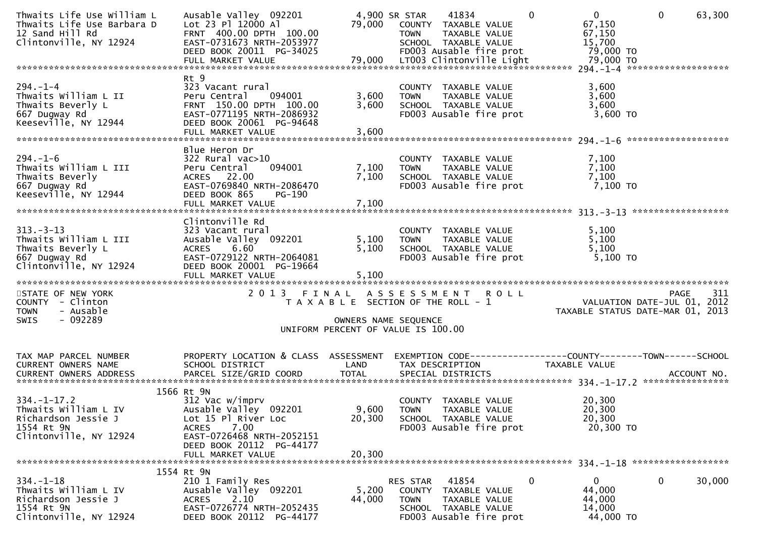| Thwaits Life Use William L<br>Thwaits Life Use Barbara D<br>12 Sand Hill Rd<br>Clintonville, NY 12924<br>011110111110, 11 1232-1<br>DEED BOOK 20011 PG-34025 FD003 Ausable fire prot 79,000 TO<br>FULL MARKET VALUE 79,000 LT003 Clintonville Light 79,000 TO FULL MARKET VALUE 79,000 TO | Ausable Valley 092201<br>Lot 23 Pl 12000 Al<br>FRNT 400.00 DPTH 100.00<br>EAST-0731673 NRTH-2053977                                                          | 79,000                                | 4,900 SR STAR<br><b>TOWN</b>             | 41834<br>COUNTY TAXABLE VALUE<br>TAXABLE VALUE<br>SCHOOL TAXABLE VALUE                     | $\Omega$ | 0<br>67,150<br>67,150<br>15,700                         | $\Omega$    | 63,300                                                                      |
|-------------------------------------------------------------------------------------------------------------------------------------------------------------------------------------------------------------------------------------------------------------------------------------------|--------------------------------------------------------------------------------------------------------------------------------------------------------------|---------------------------------------|------------------------------------------|--------------------------------------------------------------------------------------------|----------|---------------------------------------------------------|-------------|-----------------------------------------------------------------------------|
|                                                                                                                                                                                                                                                                                           |                                                                                                                                                              |                                       |                                          |                                                                                            |          |                                                         |             |                                                                             |
| $294. - 1 - 4$<br>Thwaits William L II<br>Thwaits Beverly L<br>667 Dugway Rd<br>Keeseville, NY 12944                                                                                                                                                                                      | Rt 9<br>323 Vacant rural<br>Peru Central<br>094001<br>FRNT 150.00 DPTH 100.00<br>EAST-0771195 NRTH-2086932<br>DEED BOOK 20061 PG-94648<br>FULL MARKET VALUE  | 3,600<br>3,600<br>3,600               | <b>TOWN</b>                              | COUNTY TAXABLE VALUE<br>TAXABLE VALUE<br>SCHOOL TAXABLE VALUE<br>FD003 Ausable fire prot   |          | 3,600<br>3,600<br>3,600<br>3,600 TO                     |             |                                                                             |
|                                                                                                                                                                                                                                                                                           |                                                                                                                                                              |                                       |                                          |                                                                                            |          |                                                         |             |                                                                             |
| $294. - 1 - 6$<br>Thwaits William L III<br>Thwaits Beverly<br>667 Dugway Rd<br>Keeseville, NY 12944                                                                                                                                                                                       | Blue Heron Dr<br>$322$ Rural vac $>10$<br>Peru Central<br>094001<br>ACRES 22.00<br>EAST-0769840 NRTH-2086470<br>DEED BOOK 865<br>PG-190<br>FULL MARKET VALUE | 7,100<br>7,100<br>7,100               | <b>TOWN</b>                              | COUNTY TAXABLE VALUE<br>TAXABLE VALUE<br>SCHOOL TAXABLE VALUE<br>FD003 Ausable fire prot   |          | 7,100<br>7,100<br>7,100<br>7,100 TO                     |             |                                                                             |
|                                                                                                                                                                                                                                                                                           |                                                                                                                                                              |                                       |                                          |                                                                                            |          |                                                         |             |                                                                             |
| $313 - 3 - 13$<br>Thwaits William L III<br>Thwaits Beverly L<br>667 Dugway Rd<br>Clintonville, NY 12924                                                                                                                                                                                   | Clintonville Rd<br>323 Vacant rural<br>Ausable Valley 092201<br>ACRES 6.60<br>EAST-0729122 NRTH-2064081<br>DEED BOOK 20001 PG-19664                          | 5,100<br>5,100                        | <b>TOWN</b>                              | COUNTY TAXABLE VALUE<br>TAXABLE VALUE<br>SCHOOL TAXABLE VALUE<br>FD003 Ausable fire prot   |          | 5,100<br>5,100<br>5,100<br>5,100 TO                     |             |                                                                             |
| STATE OF NEW YORK<br>COUNTY - Clinton<br><b>TOWN</b><br>- Ausable                                                                                                                                                                                                                         | 2013 FINAL ASSESSMENT ROLL                                                                                                                                   | T A X A B L E SECTION OF THE ROLL - 1 |                                          |                                                                                            |          |                                                         |             | PAGE 311<br>VALUATION DATE-JUL 01, 2012<br>TAXABLE STATUS DATE-MAR 01, 2013 |
| $-092289$<br><b>SWIS</b>                                                                                                                                                                                                                                                                  |                                                                                                                                                              | OWNERS NAME SEQUENCE                  |                                          |                                                                                            |          |                                                         |             |                                                                             |
|                                                                                                                                                                                                                                                                                           |                                                                                                                                                              | UNIFORM PERCENT OF VALUE IS 100.00    |                                          |                                                                                            |          |                                                         |             |                                                                             |
| TAX MAP PARCEL NUMBER<br>CURRENT OWNERS NAME                                                                                                                                                                                                                                              | PROPERTY LOCATION & CLASS ASSESSMENT<br>SCHOOL DISTRICT                                                                                                      | LAND                                  |                                          | TAX DESCRIPTION                                                                            |          | TAXABLE VALUE                                           |             | EXEMPTION CODE------------------COUNTY--------TOWN------SCHOOL              |
|                                                                                                                                                                                                                                                                                           | 1566 Rt 9N                                                                                                                                                   |                                       |                                          |                                                                                            |          |                                                         |             |                                                                             |
| $334. - 1 - 17.2$<br>Thwaits William L IV<br>Richardson Jessie J<br>1554 Rt 9N<br>Clintonville, NY 12924                                                                                                                                                                                  | 312 Vac w/imprv<br>Ausable Valley 092201<br>Lot 15 Pl River Loc<br>7.00<br><b>ACRES</b><br>EAST-0726468 NRTH-2052151                                         | 9,600<br>20,300                       | <b>TOWN</b>                              | COUNTY TAXABLE VALUE<br>TAXABLE VALUE<br>SCHOOL TAXABLE VALUE<br>FD003 Ausable fire prot   |          | 20,300<br>20,300<br>20,300<br>20,300 TO                 |             |                                                                             |
|                                                                                                                                                                                                                                                                                           | DEED BOOK 20112 PG-44177<br>FULL MARKET VALUE                                                                                                                | 20,300                                |                                          |                                                                                            |          |                                                         |             |                                                                             |
|                                                                                                                                                                                                                                                                                           | 1554 Rt 9N                                                                                                                                                   |                                       |                                          |                                                                                            |          |                                                         |             |                                                                             |
| $334. - 1 - 18$<br>Thwaits William L IV<br>Richardson Jessie J<br>1554 Rt 9N<br>Clintonville, NY 12924                                                                                                                                                                                    | 210 1 Family Res<br>Ausable Valley 092201<br>2.10<br><b>ACRES</b><br>EAST-0726774 NRTH-2052435<br>DEED BOOK 20112 PG-44177                                   | 5,200<br>44,000                       | <b>RES STAR</b><br><b>COUNTY</b><br>TOWN | 41854<br>TAXABLE VALUE<br>TAXABLE VALUE<br>SCHOOL TAXABLE VALUE<br>FD003 Ausable fire prot | 0        | $\mathbf{0}$<br>44,000<br>44,000<br>14,000<br>44,000 TO | $\mathbf 0$ | 30,000                                                                      |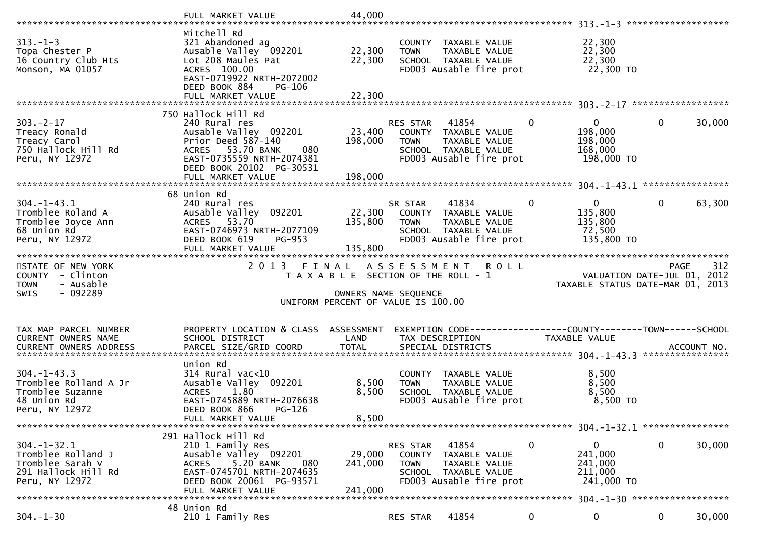|                                                                                                      | FULL MARKET VALUE                                                                                                                                                                  | 44,000                                                                                                       |                                          |                                                                                                   |              |                                                                                                                  |             |             |
|------------------------------------------------------------------------------------------------------|------------------------------------------------------------------------------------------------------------------------------------------------------------------------------------|--------------------------------------------------------------------------------------------------------------|------------------------------------------|---------------------------------------------------------------------------------------------------|--------------|------------------------------------------------------------------------------------------------------------------|-------------|-------------|
| $313. - 1 - 3$<br>Topa Chester P<br>16 Country Club Hts<br>Monson, MA 01057                          | Mitchell Rd<br>321 Abandoned ag<br>Ausable Valley 092201<br>Lot 208 Maules Pat<br>ACRES 100.00<br>EAST-0719922 NRTH-2072002<br>DEED BOOK 884<br>PG-106<br>FULL MARKET VALUE        | 22,300<br>22,300<br>22,300                                                                                   | <b>TOWN</b>                              | COUNTY TAXABLE VALUE<br>TAXABLE VALUE<br>SCHOOL TAXABLE VALUE<br>FD003 Ausable fire prot          |              | 22,300<br>22,300<br>22,300<br>22,300 TO                                                                          |             |             |
|                                                                                                      |                                                                                                                                                                                    |                                                                                                              |                                          |                                                                                                   |              |                                                                                                                  |             |             |
| $303 - 2 - 17$<br>Treacy Ronald<br>Treacy Carol<br>750 Hallock Hill Rd<br>Peru, NY 12972             | 750 Hallock Hill Rd<br>240 Rural res<br>Ausable Valley 092201<br>Prior Deed 587-140<br>ACRES 53.70 BANK<br>080<br>EAST-0735559 NRTH-2074381<br>DEED BOOK 20102 PG-30531            | 23,400<br>198,000                                                                                            | RES STAR 41854<br><b>TOWN</b>            | COUNTY TAXABLE VALUE<br>TAXABLE VALUE<br>SCHOOL TAXABLE VALUE<br>FD003 Ausable fire prot          | $\mathbf{0}$ | $\overline{0}$<br>198,000<br>198,000<br>168,000<br>198,000 TO                                                    | $\mathbf 0$ | 30,000      |
|                                                                                                      |                                                                                                                                                                                    |                                                                                                              |                                          |                                                                                                   |              |                                                                                                                  |             |             |
| $304. - 1 - 43.1$<br>Tromblee Roland A<br>Tromblee Joyce Ann<br>68 Union Rd<br>Peru, NY 12972        | 68 Union Rd<br>240 Rural res<br>Ausable Valley 092201<br>ACRES 53.70<br>EAST-0746973 NRTH-2077109<br>DEED BOOK 619<br>PG-953                                                       | 22,300<br>135,800                                                                                            | SR STAR<br><b>TOWN</b>                   | 41834<br>COUNTY TAXABLE VALUE<br>TAXABLE VALUE<br>SCHOOL TAXABLE VALUE<br>FD003 Ausable fire prot | $\mathbf{0}$ | $\mathbf 0$<br>135,800<br>135,800<br>72,500<br>135,800 TO                                                        | $\mathbf 0$ | 63,300      |
|                                                                                                      | FULL MARKET VALUE                                                                                                                                                                  | 135,800                                                                                                      |                                          |                                                                                                   |              |                                                                                                                  |             |             |
|                                                                                                      |                                                                                                                                                                                    |                                                                                                              |                                          |                                                                                                   |              |                                                                                                                  |             |             |
| STATE OF NEW YORK<br>COUNTY - Clinton<br>- Ausable<br><b>TOWN</b><br>$-092289$<br><b>SWIS</b>        | 2 0 1 3                                                                                                                                                                            | FINAL<br>T A X A B L E SECTION OF THE ROLL - 1<br>OWNERS NAME SEQUENCE<br>UNIFORM PERCENT OF VALUE IS 100.00 | A S S E S S M E N T                      | <b>ROLL</b>                                                                                       |              | PAGE 312<br>VALUATION DATE-JUL 01, 2012<br>TAXARLE STATIS DATE :::- 21, 2012<br>TAXABLE STATUS DATE-MAR 01, 2013 |             |             |
| TAX MAP PARCEL NUMBER<br>CURRENT OWNERS NAME<br><b>CURRENT OWNERS ADDRESS</b>                        | PROPERTY LOCATION & CLASS ASSESSMENT<br>SCHOOL DISTRICT<br>PARCEL SIZE/GRID COORD                                                                                                  | LAND<br><b>TOTAL</b>                                                                                         | TAX DESCRIPTION                          | EXEMPTION CODE-----------------COUNTY--------TOWN------SCHOOL<br>SPECIAL DISTRICTS                |              | TAXABLE VALUE                                                                                                    |             | ACCOUNT NO. |
| $304. -1 - 43.3$<br>Tromblee Rolland A Jr<br>Tromblee Suzanne<br>48 Union Rd<br>Peru, NY 12972       | Union Rd<br>$314$ Rural vac< $10$<br>Ausable Valley 092201<br>1.80<br><b>ACRES</b><br>EAST-0745889 NRTH-2076638<br>DEED BOOK 866<br>$PG-126$                                       | 8,500<br>8,500                                                                                               | <b>TOWN</b>                              | COUNTY TAXABLE VALUE<br>TAXABLE VALUE<br>SCHOOL TAXABLE VALUE<br>FD003 Ausable fire prot          |              | 8,500<br>8,500<br>8,500<br>8,500 TO                                                                              |             |             |
|                                                                                                      | FULL MARKET VALUE                                                                                                                                                                  | 8,500                                                                                                        |                                          |                                                                                                   |              |                                                                                                                  |             |             |
| $304. - 1 - 32.1$<br>Tromblee Rolland J<br>Tromblee Sarah V<br>291 Hallock Hill Rd<br>Peru, NY 12972 | 291 Hallock Hill Rd<br>210 1 Family Res<br>Ausable Valley 092201<br>5.20 BANK<br><b>ACRES</b><br>080<br>EAST-0745701 NRTH-2074635<br>DEED BOOK 20061 PG-93571<br>FULL MARKET VALUE | 29,000<br>241,000<br>241,000                                                                                 | RES STAR<br><b>COUNTY</b><br><b>TOWN</b> | 41854<br>TAXABLE VALUE<br>TAXABLE VALUE<br>SCHOOL TAXABLE VALUE<br>FD003 Ausable fire prot        | 0            | 0<br>241,000<br>241,000<br>211,000<br>241,000 TO                                                                 | $\mathbf 0$ | 30,000      |
|                                                                                                      | 48 Union Rd                                                                                                                                                                        |                                                                                                              |                                          |                                                                                                   |              | 304. -1-30 *******************                                                                                   |             |             |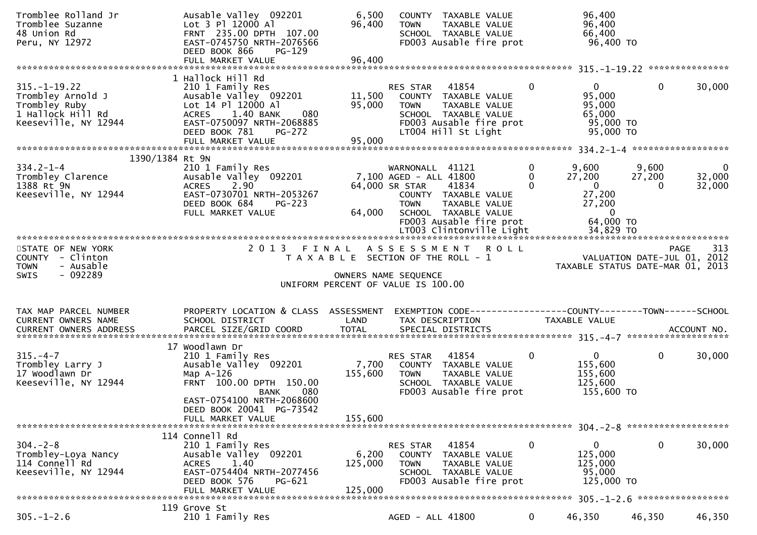| Tromblee Rolland Jr<br>Tromblee Suzanne<br>48 Union Rd<br>Peru, NY 12972                                                 | Ausable Valley 092201<br>Lot 3 Pl 12000 Al<br>FRNT 235.00 DPTH 107.00<br>EAST-0745750 NRTH-2076566<br>DEED BOOK 866<br><b>PG-129</b>                                                                  | 6,500<br>96,400             | COUNTY TAXABLE VALUE<br><b>TOWN</b><br>TAXABLE VALUE<br>SCHOOL TAXABLE VALUE<br>FD003 Ausable fire prot                                                                                |                                 | 96,400<br>96,400<br>66,400<br>96,400 TO                                                       |                             |                                                   |
|--------------------------------------------------------------------------------------------------------------------------|-------------------------------------------------------------------------------------------------------------------------------------------------------------------------------------------------------|-----------------------------|----------------------------------------------------------------------------------------------------------------------------------------------------------------------------------------|---------------------------------|-----------------------------------------------------------------------------------------------|-----------------------------|---------------------------------------------------|
|                                                                                                                          |                                                                                                                                                                                                       |                             |                                                                                                                                                                                        |                                 |                                                                                               |                             |                                                   |
| $315. - 1 - 19.22$<br>Trombley Arnold J<br>Trombley Ruby<br>1 Hallock Hill Rd<br>Keeseville, NY 12944                    | 1 Hallock Hill Rd<br>210 1 Family Res<br>Ausable Valley 092201<br>Lot 14 Pl 12000 Al<br>080<br>1.40 BANK<br>ACRES<br>EAST-0750097 NRTH-2068885<br>DEED BOOK 781<br><b>PG-272</b><br>FULL MARKET VALUE | 95,000<br>95,000            | 41854<br>RES STAR<br>11,500 COUNTY TAXABLE VALUE<br><b>TOWN</b><br>TAXABLE VALUE<br>SCHOOL TAXABLE VALUE<br>FD003 Ausable fire prot<br>LT004 Hill St Light                             | $\Omega$                        | $\mathbf{0}$<br>95,000<br>95,000<br>65,000<br>95,000 TO<br>95,000 TO                          | $\mathbf{0}$                | 30,000                                            |
|                                                                                                                          |                                                                                                                                                                                                       |                             |                                                                                                                                                                                        |                                 |                                                                                               |                             |                                                   |
| 1390/1384 Rt 9N<br>$334.2 - 1 - 4$<br>334.2-1-4<br>Trombley Clarence<br>1388 Rt 9N<br>1388 Rt 9N<br>Keeseville, NY 12944 | 210 1 Family Res<br>Ausable Valley 092201<br>ACRES 2.90<br>EAST-0730701 NRTH-2053267<br>DEED BOOK 684<br>$PG-223$<br>FULL MARKET VALUE                                                                |                             | WARNONALL 41121<br>7,100 AGED - ALL 41800<br>64,000 SR STAR<br>41834<br>COUNTY TAXABLE VALUE<br><b>TOWN</b><br>TAXABLE VALUE<br>64,000 SCHOOL TAXABLE VALUE<br>FD003 Ausable fire prot | $\overline{0}$<br>0<br>$\Omega$ | 9,600<br>27,200<br>$\overline{0}$<br>27,200<br>27,200<br>$\overline{\mathbf{0}}$<br>64,000 TO | 9,600<br>27,200<br>$\Omega$ | $\mathbf{0}$<br>32,000<br>32,000                  |
|                                                                                                                          |                                                                                                                                                                                                       |                             |                                                                                                                                                                                        |                                 |                                                                                               |                             |                                                   |
| STATE OF NEW YORK<br>COUNTY - Clinton                                                                                    | 2 0 1 3                                                                                                                                                                                               |                             | FINAL ASSESSMENT ROLL<br>T A X A B L E SECTION OF THE ROLL - 1                                                                                                                         |                                 |                                                                                               |                             | 313<br><b>PAGE</b><br>VALUATION DATE-JUL 01, 2012 |
| <b>TOWN</b><br>- Ausable<br>- 092289<br>SWIS                                                                             |                                                                                                                                                                                                       |                             | OWNERS NAME SEQUENCE<br>UNIFORM PERCENT OF VALUE IS 100.00                                                                                                                             |                                 | TAXABLE STATUS DATE-MAR 01, 2013                                                              |                             |                                                   |
| TAX MAP PARCEL NUMBER<br>CURRENT OWNERS NAME                                                                             | PROPERTY LOCATION & CLASS ASSESSMENT EXEMPTION CODE----------------COUNTY-------TOWN------SCHOOL<br>SCHOOL DISTRICT                                                                                   | LAND                        | TAX DESCRIPTION                                                                                                                                                                        |                                 | TAXABLE VALUE                                                                                 |                             |                                                   |
| $315. - 4 - 7$<br>Trombley Larry J<br>17 Woodlawn Dr<br>Keeseville, NY 12944                                             | 17 Woodlawn Dr<br>210 1 Family Res<br>Ausable Valley 092201<br>Map A-126<br>FRNT 100.00 DPTH 150.00<br>080<br><b>BANK</b><br>EAST-0754100 NRTH-2068600<br>DEED BOOK 20041 PG-73542                    | 155,600                     | 41854<br>RES STAR<br>7,700 COUNTY TAXABLE VALUE<br><b>TOWN</b><br>TAXABLE VALUE<br>SCHOOL TAXABLE VALUE<br>FD003 Ausable fire prot                                                     | $\mathbf{0}$                    | $\mathbf{0}$<br>155,600<br>155,600<br>125,600<br>155,600 TO                                   | $\mathbf 0$                 | 30,000                                            |
|                                                                                                                          | FULL MARKET VALUE                                                                                                                                                                                     | 155,600                     |                                                                                                                                                                                        |                                 |                                                                                               |                             |                                                   |
|                                                                                                                          |                                                                                                                                                                                                       |                             |                                                                                                                                                                                        |                                 |                                                                                               |                             |                                                   |
| $304. -2 - 8$<br>Trombley-Loya Nancy<br>114 Connell Rd<br>Keeseville, NY 12944                                           | 114 Connell Rd<br>210 1 Family Res<br>Ausable Valley 092201<br>1.40<br><b>ACRES</b><br>EAST-0754404 NRTH-2077456<br>DEED BOOK 576<br>PG-621<br>FULL MARKET VALUE                                      | 6,200<br>125,000<br>125,000 | 41854<br>RES STAR<br><b>COUNTY</b><br>TAXABLE VALUE<br><b>TOWN</b><br>TAXABLE VALUE<br>SCHOOL TAXABLE VALUE<br>FD003 Ausable fire prot                                                 | 0                               | 0<br>125,000<br>125,000<br>95,000<br>125,000 TO                                               | 0                           |                                                   |
|                                                                                                                          | 119 Grove St                                                                                                                                                                                          |                             |                                                                                                                                                                                        |                                 |                                                                                               |                             | 30,000                                            |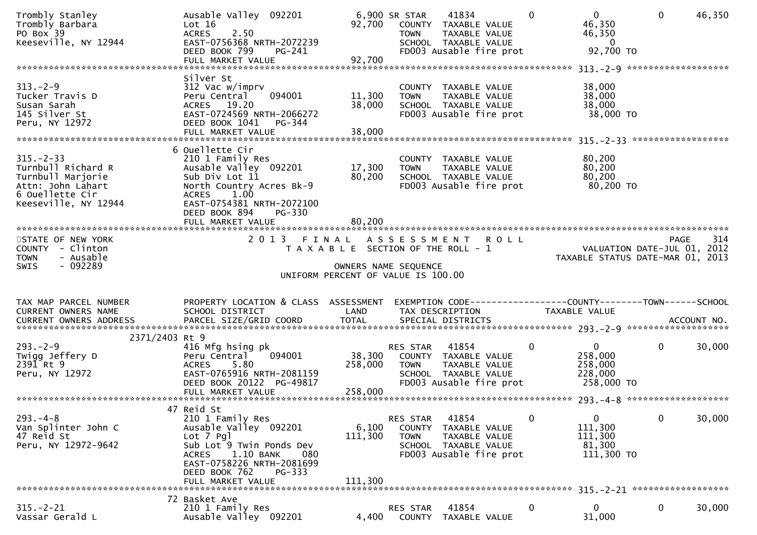| Trombly Stanley<br>Trombly Barbara<br>PO Box 39<br>Keeseville, NY 12944                                                    | Ausable Valley 092201<br>Lot 16<br>2.50<br><b>ACRES</b><br>EAST-0756368 NRTH-2072239<br>DEED BOOK 799<br>PG-241                                                                                                        | 92,700                                                                                              | 6,900 SR STAR<br><b>TOWN</b>      | 41834<br>COUNTY TAXABLE VALUE<br>TAXABLE VALUE<br>SCHOOL TAXABLE VALUE<br>FD003 Ausable fire prot | $\Omega$ | $\overline{0}$<br>46,350<br>46,350<br>- 0<br>92,700 TO      | $\mathbf{0}$                                                    | 46,350      |
|----------------------------------------------------------------------------------------------------------------------------|------------------------------------------------------------------------------------------------------------------------------------------------------------------------------------------------------------------------|-----------------------------------------------------------------------------------------------------|-----------------------------------|---------------------------------------------------------------------------------------------------|----------|-------------------------------------------------------------|-----------------------------------------------------------------|-------------|
|                                                                                                                            |                                                                                                                                                                                                                        |                                                                                                     |                                   |                                                                                                   |          |                                                             |                                                                 |             |
|                                                                                                                            | Silver St                                                                                                                                                                                                              |                                                                                                     |                                   |                                                                                                   |          |                                                             |                                                                 |             |
| $313 - 2 - 9$<br>Tucker Travis D<br>Susan Sarah<br>145 Silver St<br>Peru, NY 12972                                         | 312 Vac w/imprv<br>094001<br>Peru Central<br>ACRES 19.20<br>EAST-0724569 NRTH-2066272<br>DEED BOOK 1041<br>PG-344<br>FULL MARKET VALUE                                                                                 | 11,300<br>38,000<br>38,000                                                                          | <b>TOWN</b>                       | COUNTY TAXABLE VALUE<br>TAXABLE VALUE<br>SCHOOL TAXABLE VALUE<br>FD003 Ausable fire prot          |          | 38,000<br>38,000<br>38,000<br>38,000 TO                     |                                                                 |             |
|                                                                                                                            |                                                                                                                                                                                                                        |                                                                                                     |                                   |                                                                                                   |          |                                                             |                                                                 |             |
| $315. - 2 - 33$<br>Turnbull Richard R<br>Turnbull Marjorie<br>Attn: John Lahart<br>6 Ouellette Cir<br>Keeseville, NY 12944 | 6 Ouellette Cir<br>210 1 Family Res<br>Ausable Valley 092201<br>Sub Div Lot 11<br>North Country Acres Bk-9<br>1.00<br><b>ACRES</b><br>EAST-0754381 NRTH-2072100<br>DEED BOOK 894<br><b>PG-330</b><br>FULL MARKET VALUE | 17,300<br>80,200<br>80,200                                                                          | <b>TOWN</b>                       | COUNTY TAXABLE VALUE<br>TAXABLE VALUE<br>SCHOOL TAXABLE VALUE<br>FD003 Ausable fire prot          |          | 80,200<br>80,200<br>80,200<br>80,200 TO                     |                                                                 |             |
|                                                                                                                            |                                                                                                                                                                                                                        |                                                                                                     |                                   |                                                                                                   |          |                                                             |                                                                 |             |
| STATE OF NEW YORK<br>COUNTY - Clinton<br>- Ausable<br><b>TOWN</b><br>$-092289$<br><b>SWIS</b>                              | 2013 FINAL ASSESSMENT ROLL                                                                                                                                                                                             | T A X A B L E SECTION OF THE ROLL - 1<br>OWNERS NAME SEQUENCE<br>UNIFORM PERCENT OF VALUE IS 100.00 |                                   |                                                                                                   |          |                                                             | VALUATION DATE-JUL 01, 2012<br>TAXABLE STATUS DATE-MAR 01, 2013 | 314<br>PAGE |
|                                                                                                                            |                                                                                                                                                                                                                        |                                                                                                     |                                   |                                                                                                   |          |                                                             |                                                                 |             |
| TAX MAP PARCEL NUMBER<br>CURRENT OWNERS NAME<br>CURRENT OWNERS ADDRESS                                                     | PROPERTY LOCATION & CLASS ASSESSMENT<br>SCHOOL DISTRICT                                                                                                                                                                | LAND                                                                                                |                                   | TAX DESCRIPTION                                                                                   |          | TAXABLE VALUE                                               |                                                                 |             |
| 2371/2403 Rt 9                                                                                                             |                                                                                                                                                                                                                        |                                                                                                     |                                   |                                                                                                   |          |                                                             |                                                                 |             |
| $293. - 2 - 9$<br>Twigg Jeffery D<br>$239\tilde{1}$ Rt $9$<br>Peru, NY 12972                                               | 416 Mfg hsing pk<br>094001<br>Peru Central<br><b>ACRES</b><br>5.80<br>EAST-0765916 NRTH-2081159<br>DEED BOOK 20122 PG-49817                                                                                            | 38,300<br>258,000                                                                                   | RES STAR<br><b>TOWN</b>           | 41854<br>COUNTY TAXABLE VALUE<br>TAXABLE VALUE<br>SCHOOL TAXABLE VALUE<br>FD003 Ausable fire prot | 0        | $\mathbf{0}$<br>258,000<br>258,000<br>228,000<br>258,000 TO | $\mathbf{0}$                                                    | 30,000      |
|                                                                                                                            | FULL MARKET VALUE                                                                                                                                                                                                      | 258,000                                                                                             |                                   |                                                                                                   |          |                                                             |                                                                 |             |
|                                                                                                                            | 47 Reid St                                                                                                                                                                                                             |                                                                                                     |                                   |                                                                                                   |          |                                                             |                                                                 |             |
| $293. -4 - 8$<br>Van Splinter John C<br>47 Reid St<br>Peru, NY 12972-9642                                                  | 210 1 Family Res<br>Ausable Valley 092201<br>Lot 7 Pgl<br>Sub Lot 9 Twin Ponds Dev<br>1.10 BANK<br>080<br><b>ACRES</b><br>EAST-0758226 NRTH-2081699<br>DEED BOOK 762<br>PG-333                                         | 6,100<br>111,300                                                                                    | RES STAR<br>COUNTY<br><b>TOWN</b> | 41854<br>TAXABLE VALUE<br>TAXABLE VALUE<br>SCHOOL TAXABLE VALUE<br>FD003 Ausable fire prot        | 0        | $\mathbf{0}$<br>111,300<br>111,300<br>81,300<br>111,300 TO  | $\mathbf 0$                                                     | 30,000      |
|                                                                                                                            | FULL MARKET VALUE                                                                                                                                                                                                      | 111,300                                                                                             |                                   |                                                                                                   |          |                                                             |                                                                 |             |
|                                                                                                                            |                                                                                                                                                                                                                        |                                                                                                     |                                   |                                                                                                   |          |                                                             |                                                                 |             |
| $315. - 2 - 21$<br>Vassar Gerald L                                                                                         | 72 Basket Ave<br>210 1 Family Res                                                                                                                                                                                      | 4,400                                                                                               | RES STAR                          | 41854                                                                                             | 0        | $\mathbf{0}$                                                | 0                                                               | 30,000      |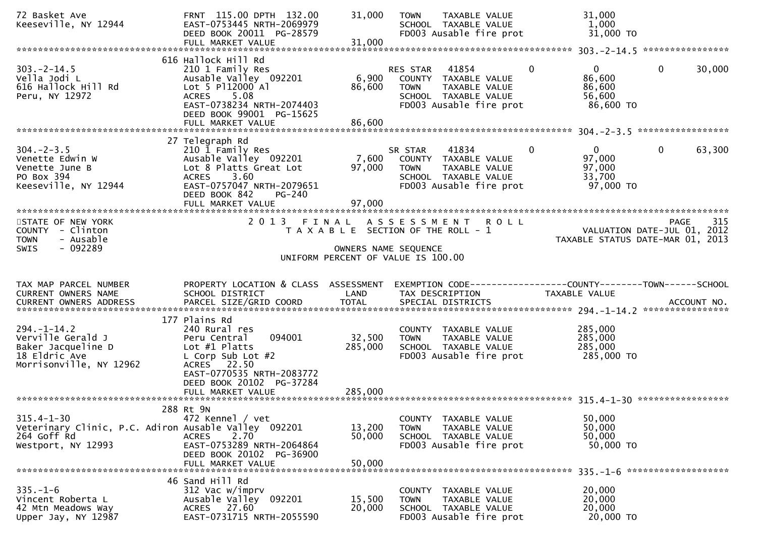| 72 Basket Ave<br>Keeseville, NY 12944                                                                         | FRNT 115.00 DPTH 132.00<br>EAST-0753445 NRTH-2069979<br>DEED BOOK 20011 PG-28579<br>FULL MARKET VALUE                                                                                      | 31,000<br>31,000          | TAXABLE VALUE<br><b>TOWN</b><br>SCHOOL TAXABLE VALUE<br>FD003 Ausable fire prot                                             | 31,000<br>1,000<br>31,000 TO                                              |                                            |
|---------------------------------------------------------------------------------------------------------------|--------------------------------------------------------------------------------------------------------------------------------------------------------------------------------------------|---------------------------|-----------------------------------------------------------------------------------------------------------------------------|---------------------------------------------------------------------------|--------------------------------------------|
|                                                                                                               |                                                                                                                                                                                            |                           |                                                                                                                             |                                                                           |                                            |
| $303 - 2 - 14.5$<br>Vella Jodi L<br>616 Hallock Hill Rd<br>Peru, NY 12972                                     | 616 Hallock Hill Rd<br>210 1 Family Res<br>Ausable Valley 092201<br>Lot 5 P112000 Al<br>5.08<br><b>ACRES</b><br>EAST-0738234 NRTH-2074403<br>DEED BOOK 99001 PG-15625<br>FULL MARKET VALUE | 6,900<br>86,600<br>86,600 | RES STAR 41854<br>COUNTY TAXABLE VALUE<br>TAXABLE VALUE<br>TOWN<br>SCHOOL TAXABLE VALUE<br>FD003 Ausable fire prot          | $\overline{0}$<br>$\mathbf 0$<br>86,600<br>86,600<br>56,600<br>86,600 TO  | $\mathbf 0$<br>30,000<br>***************** |
|                                                                                                               | 27 Telegraph Rd                                                                                                                                                                            |                           |                                                                                                                             |                                                                           |                                            |
| $304. - 2 - 3.5$<br>Venette Edwin W<br>Venette June B<br>PO Box 394<br>Keeseville, NY 12944                   | 210 1 Family Res<br>Ausable Valley 092201<br>Lot 8 Platts Great Lot<br>3.60<br><b>ACRES</b><br>EAST-0757047 NRTH-2079651<br>DEED BOOK 842<br>PG-240<br>FULL MARKET VALUE                   | 7,600<br>97,000<br>97,000 | SR STAR<br>41834<br>COUNTY TAXABLE VALUE<br>TAXABLE VALUE<br><b>TOWN</b><br>SCHOOL TAXABLE VALUE<br>FD003 Ausable fire prot | $\overline{0}$<br>$\mathbf{0}$<br>97,000<br>97,000<br>33,700<br>97,000 TO | $\mathbf{0}$<br>63,300                     |
|                                                                                                               |                                                                                                                                                                                            |                           |                                                                                                                             |                                                                           |                                            |
| STATE OF NEW YORK<br>COUNTY - Clinton<br>- Ausable<br><b>TOWN</b><br>- 092289<br>SWIS                         | 2 0 1 3                                                                                                                                                                                    | FINAL                     | <b>ROLL</b><br>A S S E S S M E N T<br>T A X A B L E SECTION OF THE ROLL - 1<br>OWNERS NAME SEQUENCE                         | TAXABLE STATUS DATE-MAR 01, 2013                                          | 315<br>PAGE<br>VALUATION DATE-JUL 01, 2012 |
|                                                                                                               |                                                                                                                                                                                            |                           | UNIFORM PERCENT OF VALUE IS 100.00                                                                                          |                                                                           |                                            |
|                                                                                                               |                                                                                                                                                                                            |                           |                                                                                                                             |                                                                           |                                            |
|                                                                                                               |                                                                                                                                                                                            |                           |                                                                                                                             |                                                                           |                                            |
| TAX MAP PARCEL NUMBER<br>CURRENT OWNERS NAME<br><b>CURRENT OWNERS ADDRESS</b>                                 | PROPERTY LOCATION & CLASS ASSESSMENT<br>SCHOOL DISTRICT<br>PARCEL SIZE/GRID COORD                                                                                                          | LAND<br><b>TOTAL</b>      | EXEMPTION CODE------------------COUNTY--------TOWN------SCHOOL<br>TAX DESCRIPTION<br>SPECIAL DISTRICTS                      | TAXABLE VALUE                                                             | ACCOUNT NO.                                |
|                                                                                                               |                                                                                                                                                                                            |                           |                                                                                                                             |                                                                           |                                            |
| $294. - 1 - 14.2$<br>Verville Gerald J<br>Baker Jacqueline D<br>18 Eldric Ave<br>Morrisonville, NY 12962      | 177 Plains Rd<br>240 Rural res<br>094001<br>Peru Central<br>Lot $#1$ Platts<br>L Corp Sub Lot $#2$<br>ACRES 22.50<br>EAST-0770535 NRTH-2083772                                             | 32,500<br>285,000         | COUNTY TAXABLE VALUE<br>TAXABLE VALUE<br><b>TOWN</b><br>SCHOOL TAXABLE VALUE<br>FD003 Ausable fire prot                     | 285,000<br>285,000<br>285,000<br>285,000 TO                               |                                            |
|                                                                                                               | DEED BOOK 20102 PG-37284<br>FULL MARKET VALUE                                                                                                                                              | 285,000                   |                                                                                                                             |                                                                           |                                            |
|                                                                                                               |                                                                                                                                                                                            |                           |                                                                                                                             |                                                                           |                                            |
| $315.4 - 1 - 30$<br>Veterinary Clinic, P.C. Adiron Ausable Valley 092201<br>264 Goff Rd<br>Westport, NY 12993 | 288 Rt 9N<br>472 Kennel / vet<br><b>ACRES</b><br>2.70<br>EAST-0753289 NRTH-2064864<br>DEED BOOK 20102 PG-36900                                                                             | 13,200<br>50,000          | COUNTY TAXABLE VALUE<br>TAXABLE VALUE<br><b>TOWN</b><br>SCHOOL TAXABLE VALUE<br>FD003 Ausable fire prot                     | 50,000<br>50,000<br>50,000<br>50,000 TO                                   |                                            |
|                                                                                                               | FULL MARKET VALUE                                                                                                                                                                          | 50,000                    |                                                                                                                             |                                                                           |                                            |
|                                                                                                               | 46 Sand Hill Rd                                                                                                                                                                            |                           |                                                                                                                             |                                                                           |                                            |
| $335. - 1 - 6$<br>Vincent Roberta L                                                                           | 312 Vac w/imprv<br>Ausable Valley 092201                                                                                                                                                   | 15,500                    | COUNTY TAXABLE VALUE<br>TAXABLE VALUE<br><b>TOWN</b>                                                                        | 20,000<br>20,000                                                          |                                            |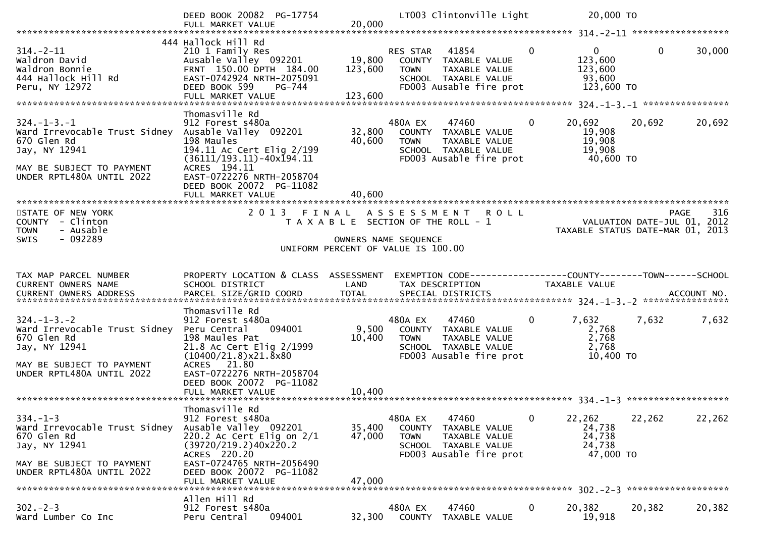|                                                                                                                                                | DEED BOOK 20082 PG-17754<br>FULL MARKET VALUE                                                                                                                            | 20,000                       | LT003 Clintonville Light                                                                                                    |             | 20,000 TO                                                                |             |                    |
|------------------------------------------------------------------------------------------------------------------------------------------------|--------------------------------------------------------------------------------------------------------------------------------------------------------------------------|------------------------------|-----------------------------------------------------------------------------------------------------------------------------|-------------|--------------------------------------------------------------------------|-------------|--------------------|
|                                                                                                                                                |                                                                                                                                                                          |                              |                                                                                                                             |             |                                                                          |             |                    |
| $314. - 2 - 11$<br>Waldron David<br>Waldron Bonnie<br>444 Hallock Hill Rd<br>Peru, NY 12972                                                    | 444 Hallock Hill Rd<br>210 1 Family Res<br>Ausable Valley 092201<br>FRNT 150.00 DPTH 184.00<br>EAST-0742924 NRTH-2075091<br>DEED BOOK 599<br>PG-744<br>FULL MARKET VALUE | 19,800<br>123,600<br>123,600 | RES STAR 41854<br>COUNTY TAXABLE VALUE<br>TAXABLE VALUE<br><b>TOWN</b><br>SCHOOL TAXABLE VALUE<br>FD003 Ausable fire prot   | $\mathbf 0$ | 0<br>123,600<br>123,600<br>93,600<br>123,600 TO                          | $\mathbf 0$ | 30,000             |
|                                                                                                                                                | Thomasville Rd                                                                                                                                                           |                              |                                                                                                                             |             |                                                                          |             |                    |
| $324. - 1 - 3. - 1$<br>Ward Irrevocable Trust Sidney<br>670 Glen Rd<br>Jay, NY 12941<br>MAY BE SUBJECT TO PAYMENT<br>UNDER RPTL480A UNTIL 2022 | 912 Forest s480a<br>Ausable Valley 092201<br>198 Maules<br>194.11 Ac Cert Elig 2/199<br>$(36111/193.11) - 40x194.11$<br>ACRES 194.11<br>EAST-0722276 NRTH-2058704        | 32,800<br>40,600             | 480A EX<br>47460<br>COUNTY TAXABLE VALUE<br><b>TOWN</b><br>TAXABLE VALUE<br>SCHOOL TAXABLE VALUE<br>FD003 Ausable fire prot | $\mathbf 0$ | 20,692<br>19,908<br>19,908<br>19,908<br>40,600 TO                        | 20,692      | 20,692             |
|                                                                                                                                                | DEED BOOK 20072 PG-11082<br>FULL MARKET VALUE                                                                                                                            | 40,600                       |                                                                                                                             |             |                                                                          |             |                    |
|                                                                                                                                                |                                                                                                                                                                          |                              |                                                                                                                             |             |                                                                          |             |                    |
| STATE OF NEW YORK<br>COUNTY - Clinton<br>- Ausable<br><b>TOWN</b>                                                                              | 2013 FINAL                                                                                                                                                               |                              | A S S E S S M E N T R O L L<br>T A X A B L E SECTION OF THE ROLL - 1                                                        |             | O L L<br>VALUATION DATE-JUL 01, 2012<br>TAXABLE STATUS DATE-MAR 01, 2013 |             | 316<br><b>PAGE</b> |
| - 092289<br><b>SWIS</b>                                                                                                                        |                                                                                                                                                                          |                              | OWNERS NAME SEQUENCE<br>UNIFORM PERCENT OF VALUE IS 100.00                                                                  |             |                                                                          |             |                    |
|                                                                                                                                                |                                                                                                                                                                          |                              |                                                                                                                             |             |                                                                          |             |                    |
| TAX MAP PARCEL NUMBER                                                                                                                          | PROPERTY LOCATION & CLASS ASSESSMENT                                                                                                                                     |                              | EXEMPTION CODE------------------COUNTY--------TOWN------SCHOOL                                                              |             |                                                                          |             |                    |
| CURRENT OWNERS NAME                                                                                                                            | SCHOOL DISTRICT                                                                                                                                                          | LAND                         | TAX DESCRIPTION                                                                                                             |             | TAXABLE VALUE                                                            |             |                    |
| .CURRENT OWNERS ADDRESS PARCEL SIZE/GRID COORD TOTAL SPECIAL DISTRICTS ACCOUNT NO ACCOUNT NO ACCOUNT NO ACCOUNT                                |                                                                                                                                                                          |                              |                                                                                                                             |             |                                                                          |             |                    |
| $324. - 1 - 3. - 2$<br>Ward Irrevocable Trust Sidney<br>670 Glen Rd<br>Jay, NY 12941                                                           | Thomasville Rd<br>912 Forest s480a<br>094001<br>Peru Central<br>198 Maules Pat<br>21.8 Ac Cert Elig 2/1999<br>$(10400/21.8)$ x 21.8 x 80                                 | 9,500<br>10,400              | 480A EX<br>47460<br>COUNTY TAXABLE VALUE<br><b>TOWN</b><br>TAXABLE VALUE<br>SCHOOL TAXABLE VALUE<br>FD003 Ausable fire prot | $\mathbf 0$ | 7,632<br>2,768<br>2,768<br>2,768<br>10,400 TO                            | 7,632       | 7,632              |
| MAY BE SUBJECT TO PAYMENT<br>UNDER RPTL480A UNTIL 2022                                                                                         | ACRES 21.80<br>EAST-0722276 NRTH-2058704<br>DEED BOOK 20072 PG-11082                                                                                                     |                              |                                                                                                                             |             |                                                                          |             |                    |
|                                                                                                                                                |                                                                                                                                                                          |                              |                                                                                                                             |             |                                                                          |             |                    |
| $334. - 1 - 3$<br>Ward Irrevocable Trust Sidney<br>670 Glen Rd<br>Jay, NY 12941                                                                | Thomasville Rd<br>912 Forest s480a<br>Ausable Valley 092201<br>220.2 Ac Cert Elig on $2/1$<br>(39720/219.2)40x220.2                                                      | 35,400<br>47,000             | 480A EX<br>47460<br>COUNTY<br>TAXABLE VALUE<br>TAXABLE VALUE<br><b>TOWN</b><br>SCHOOL TAXABLE VALUE                         | 0           | 22,262<br>24,738<br>24,738<br>24,738                                     | 22,262      | 22,262             |
| MAY BE SUBJECT TO PAYMENT<br>UNDER RPTL480A UNTIL 2022                                                                                         | ACRES 220.20<br>EAST-0724765 NRTH-2056490<br>DEED BOOK 20072 PG-11082<br>FULL MARKET VALUE                                                                               | 47,000                       | FD003 Ausable fire prot                                                                                                     |             | 47,000 TO                                                                |             |                    |
|                                                                                                                                                | Allen Hill Rd                                                                                                                                                            |                              |                                                                                                                             |             |                                                                          |             |                    |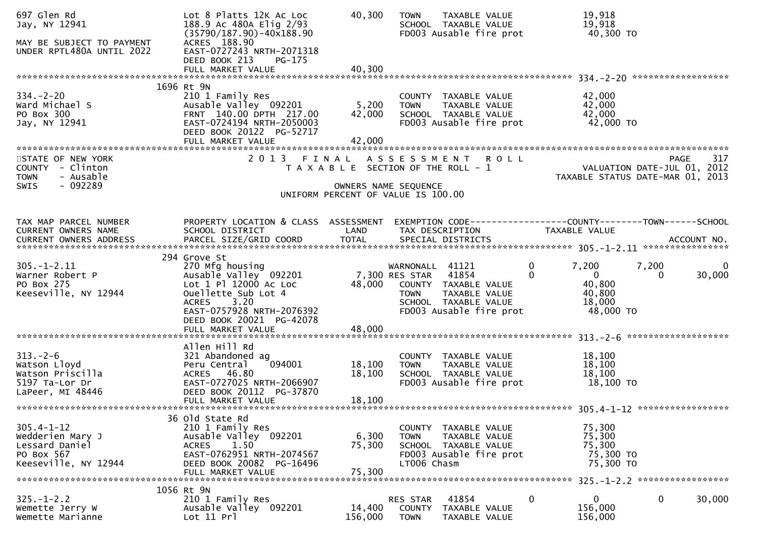| 697 Glen Rd<br>Jay, NY 12941<br>MAY BE SUBJECT TO PAYMENT<br>UNDER RPTL480A UNTIL 2022        | Lot 8 Platts 12K Ac Loc<br>188.9 Ac 480A Elig 2/93<br>$(35790/187.90) - 40x188.90$<br>ACRES 188.90<br>EAST-0727243 NRTH-2071318<br>DEED BOOK 213<br>$PG-175$                              | 40,300                                                                                              | <b>TOWN</b>                                      | TAXABLE VALUE<br>SCHOOL TAXABLE VALUE<br>FD003 Ausable fire prot                                  | 19,918<br>19,918<br>40,300 TO                                                       |                                                                                       |
|-----------------------------------------------------------------------------------------------|-------------------------------------------------------------------------------------------------------------------------------------------------------------------------------------------|-----------------------------------------------------------------------------------------------------|--------------------------------------------------|---------------------------------------------------------------------------------------------------|-------------------------------------------------------------------------------------|---------------------------------------------------------------------------------------|
| $334. - 2 - 20$<br>Ward Michael S<br>PO Box 300<br>Jay, NY 12941                              | 1696 Rt 9N<br>210 1 Family Res<br>Ausable Valley 092201<br>FRNT 140.00 DPTH 217.00<br>EAST-0724194 NRTH-2050003<br>DEED BOOK 20122 PG-52717<br>FULL MARKET VALUE                          | 5,200<br>42,000<br>42,000                                                                           | <b>TOWN</b>                                      | COUNTY TAXABLE VALUE<br>TAXABLE VALUE<br>SCHOOL TAXABLE VALUE<br>FD003 Ausable fire prot          | 42,000<br>42,000<br>42,000<br>42,000 TO                                             |                                                                                       |
| STATE OF NEW YORK<br>COUNTY - Clinton<br>- Ausable<br><b>TOWN</b><br>$-092289$<br><b>SWIS</b> | 2 0 1 3                                                                                                                                                                                   | T A X A B L E SECTION OF THE ROLL - 1<br>OWNERS NAME SEQUENCE<br>UNIFORM PERCENT OF VALUE IS 100.00 |                                                  | FINAL ASSESSMENT ROLL                                                                             |                                                                                     | 317<br><b>PAGE</b><br>VALUATION DATE-JUL 01, 2012<br>TAXABLE STATUS DATE-MAR 01, 2013 |
| TAX MAP PARCEL NUMBER<br>CURRENT OWNERS NAME<br><b>CURRENT OWNERS ADDRESS</b>                 | PROPERTY LOCATION & CLASS ASSESSMENT<br>SCHOOL DISTRICT                                                                                                                                   | LAND                                                                                                |                                                  | TAX DESCRIPTION                                                                                   | TAXABLE VALUE                                                                       | EXEMPTION CODE------------------COUNTY--------TOWN------SCHOOL                        |
| $305. - 1 - 2.11$<br>Warner Robert P<br>PO Box 275<br>Keeseville, NY 12944                    | 294 Grove St<br>270 Mfg housing<br>Ausable Valley 092201<br>Lot 1 Pl 12000 Ac Loc<br>Ouellette Sub Lot 4<br>3.20<br><b>ACRES</b><br>EAST-0757928 NRTH-2076392<br>DEED BOOK 20021 PG-42078 | 48,000                                                                                              | WARNONALL 41121<br>7,300 RES STAR<br><b>TOWN</b> | 41854<br>COUNTY TAXABLE VALUE<br>TAXABLE VALUE<br>SCHOOL TAXABLE VALUE<br>FD003 Ausable fire prot | 7,200<br>0<br>$\Omega$<br>$\overline{0}$<br>40,800<br>40,800<br>18,000<br>48,000 TO | 7,200<br>$\Omega$<br>30,000<br>$\Omega$                                               |
| $313 - 2 - 6$<br>Watson Lloyd<br>Watson Priscilla<br>5197 Ta-Lor Dr<br>LaPeer, MI 48446       | Allen Hill Rd<br>321 Abandoned ag<br>094001<br>Peru Central<br>ACRES 46.80<br>EAST-0727025 NRTH-2066907<br>DEED BOOK 20112 PG-37870<br>FULL MARKET VALUE                                  | 18,100<br>18,100<br>18,100                                                                          | <b>TOWN</b>                                      | COUNTY TAXABLE VALUE<br>TAXABLE VALUE<br>SCHOOL TAXABLE VALUE<br>FD003 Ausable fire prot          | 18,100<br>18,100<br>18,100<br>18,100 TO                                             |                                                                                       |
| $305.4 - 1 - 12$<br>Wedderien Mary J<br>Lessard Daniel<br>PO Box 567<br>Keeseville, NY 12944  | 36 Old State Rd<br>210 1 Family Res<br>Ausable Valley 092201<br>1.50<br><b>ACRES</b><br>EAST-0762951 NRTH-2074567<br>DEED BOOK 20082 PG-16496<br>FULL MARKET VALUE                        | 6,300<br>75,300<br>75,300                                                                           | <b>TOWN</b><br>LT006 Chasm                       | COUNTY TAXABLE VALUE<br>TAXABLE VALUE<br>SCHOOL TAXABLE VALUE<br>FD003 Ausable fire prot          | 75,300<br>75,300<br>75,300<br>75,300 TO<br>75,300 TO                                |                                                                                       |
| $325. - 1 - 2.2$<br>Wemette Jerry W<br>Wemette Marianne                                       | 1056 Rt 9N<br>210 1 Family Res<br>Ausable Valley 092201<br>Lot 11 Pr                                                                                                                      | 14,400<br>156,000                                                                                   | RES STAR<br><b>COUNTY</b><br><b>TOWN</b>         | 41854<br>TAXABLE VALUE<br>TAXABLE VALUE                                                           | 0<br>0<br>156,000<br>156,000                                                        | 0<br>30,000                                                                           |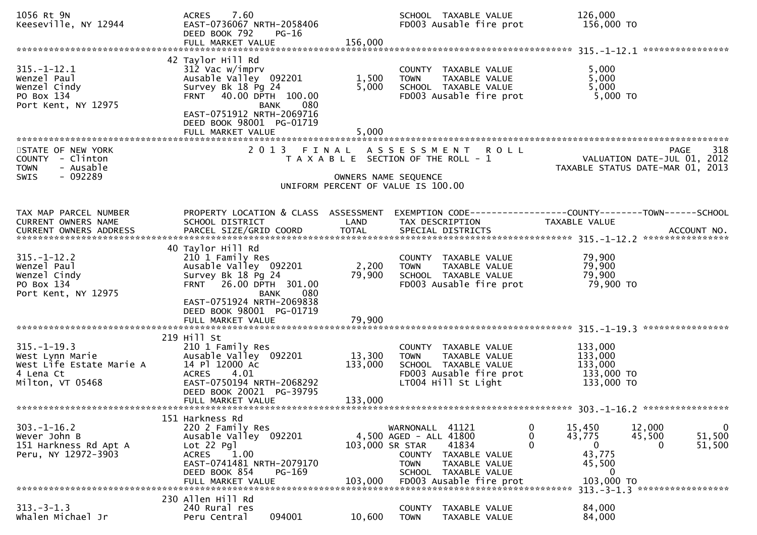| 1056 Rt 9N<br>Keeseville, NY 12944                                                                | 7.60<br><b>ACRES</b><br>EAST-0736067 NRTH-2058406<br>DEED BOOK 792<br>PG-16                                                                                                                                 | 156,000                      | SCHOOL TAXABLE VALUE<br>FD003 Ausable fire prot                                                                                                                  | 126,000<br>156,000 TO                                                                  |                                                                                       |
|---------------------------------------------------------------------------------------------------|-------------------------------------------------------------------------------------------------------------------------------------------------------------------------------------------------------------|------------------------------|------------------------------------------------------------------------------------------------------------------------------------------------------------------|----------------------------------------------------------------------------------------|---------------------------------------------------------------------------------------|
|                                                                                                   | FULL MARKET VALUE                                                                                                                                                                                           |                              |                                                                                                                                                                  |                                                                                        |                                                                                       |
| $315. - 1 - 12.1$<br>Wenzel Paul<br>Wenzel Cindy<br>PO Box 134<br>Port Kent, NY 12975             | 42 Taylor Hill Rd<br>312 Vac w/imprv<br>Ausable Valley 092201<br>Survey Bk 18 Pg 24<br>FRNT 40.00 DPTH 100.00<br>080<br>BANK                                                                                | 1,500<br>5,000               | COUNTY TAXABLE VALUE<br>TAXABLE VALUE<br><b>TOWN</b><br>SCHOOL TAXABLE VALUE<br>FD003 Ausable fire prot                                                          | 5,000<br>5,000<br>5,000<br>$5,000$ TO                                                  |                                                                                       |
|                                                                                                   | EAST-0751912 NRTH-2069716<br>DEED BOOK 98001 PG-01719<br>FULL MARKET VALUE                                                                                                                                  | 5,000                        |                                                                                                                                                                  |                                                                                        |                                                                                       |
| STATE OF NEW YORK<br>COUNTY - Clinton<br><b>TOWN</b><br>- Ausable                                 |                                                                                                                                                                                                             |                              | 2013 FINAL ASSESSMENT ROLL<br>T A X A B L E SECTION OF THE ROLL - 1                                                                                              |                                                                                        | 318<br><b>PAGE</b><br>VALUATION DATE-JUL 01, 2012<br>TAXABLE STATUS DATE-MAR 01, 2013 |
| $-092289$<br><b>SWIS</b>                                                                          |                                                                                                                                                                                                             |                              | OWNERS NAME SEQUENCE<br>UNIFORM PERCENT OF VALUE IS 100.00                                                                                                       |                                                                                        |                                                                                       |
| TAX MAP PARCEL NUMBER<br>CURRENT OWNERS NAME                                                      | PROPERTY LOCATION & CLASS ASSESSMENT<br>SCHOOL DISTRICT                                                                                                                                                     | LAND                         | EXEMPTION CODE------------------COUNTY--------TOWN------SCHOOL<br>TAX DESCRIPTION                                                                                | TAXABLE VALUE                                                                          |                                                                                       |
| $315. - 1 - 12.2$<br>Wenzel Paul<br>Wenzel Cindy<br>PO Box 134<br>Port Kent, NY 12975             | 40 Taylor Hill Rd<br>210 1 Family Res<br>Ausable Valley 092201<br>Survey Bk 18 Pg 24<br>FRNT 26.00 DPTH 301.00<br>BANK<br>080<br>EAST-0751924 NRTH-2069838<br>DEED BOOK 98001 PG-01719<br>FULL MARKET VALUE | 2,200<br>79,900<br>79,900    | COUNTY TAXABLE VALUE<br>TAXABLE VALUE<br><b>TOWN</b><br>SCHOOL TAXABLE VALUE<br>FD003 Ausable fire prot                                                          | 79,900<br>79,900<br>79,900<br>79,900 TO                                                |                                                                                       |
| $315. - 1 - 19.3$<br>West Lynn Marie<br>West Life Estate Marie A<br>4 Lena Ct<br>Milton, VT 05468 | 219 Hill St<br>210 1 Family Res<br>Ausable Valley 092201<br>14 Pl 12000 Ac<br>4.01<br><b>ACRES</b><br>EAST-0750194 NRTH-2068292<br>DEED BOOK 20021 PG-39795<br>FULL MARKET VALUE                            | 13,300<br>133,000<br>133,000 | COUNTY TAXABLE VALUE<br>TAXABLE VALUE<br><b>TOWN</b><br>SCHOOL TAXABLE VALUE<br>FD003 Ausable fire prot<br>LT004 Hill St Light                                   | 133,000<br>133,000<br>133,000<br>133,000 TO<br>133,000 TO                              |                                                                                       |
| $303. - 1 - 16.2$<br>Wever John B<br>151 Harkness Rd Apt A<br>Peru, NY 12972-3903                 | 151 Harkness Rd<br>220 2 Family Res<br>Ausable Valley 092201<br>$Lot 22$ Pgl<br><b>ACRES</b><br>1.00<br>EAST-0741481 NRTH-2079170<br>DEED BOOK 854<br>PG-169<br>FULL MARKET VALUE                           | 103,000 SR STAR<br>103,000   | WARNONALL 41121<br>4,500 AGED - ALL 41800<br>41834<br>TAXABLE VALUE<br>COUNTY<br><b>TOWN</b><br>TAXABLE VALUE<br>SCHOOL TAXABLE VALUE<br>FD003 Ausable fire prot | 15,450<br>O<br>0<br>43,775<br>0<br>$\mathbf{0}$<br>43,775<br>45,500<br>0<br>103,000 TO | 12,000<br>0<br>51,500<br>45,500<br>51,500<br>0                                        |
| $313 - 3 - 1.3$<br>Whalen Michael Jr                                                              | 230 Allen Hill Rd<br>240 Rural res<br>094001<br>Peru Central                                                                                                                                                | 10,600                       | COUNTY<br>TAXABLE VALUE<br>TAXABLE VALUE<br><b>TOWN</b>                                                                                                          | 84,000<br>84,000                                                                       | 313. - 3 - 1.3 *******************                                                    |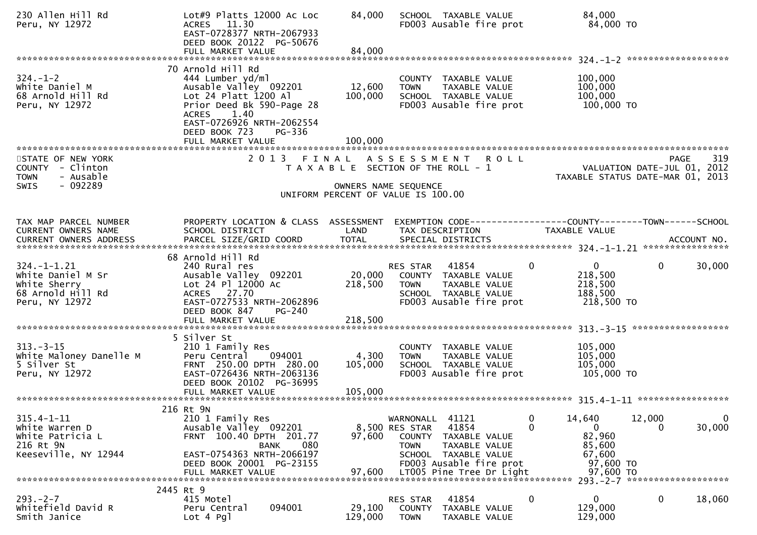| 230 Allen Hill Rd<br>Peru, NY 12972                                     | Lot#9 Platts 12000 Ac Loc<br>ACRES 11.30<br>EAST-0728377 NRTH-2067933<br>DEED BOOK 20122 PG-50676                                                                  | 84,000               | SCHOOL TAXABLE VALUE<br>FD003 Ausable fire prot                                                         | 84,000<br>84,000 TO                                                   |
|-------------------------------------------------------------------------|--------------------------------------------------------------------------------------------------------------------------------------------------------------------|----------------------|---------------------------------------------------------------------------------------------------------|-----------------------------------------------------------------------|
|                                                                         |                                                                                                                                                                    |                      |                                                                                                         |                                                                       |
| $324. - 1 - 2$<br>White Daniel M<br>68 Arnold Hill Rd<br>Peru, NY 12972 | 70 Arnold Hill Rd<br>444 Lumber yd/ml<br>Ausable Valley 092201<br>Lot $24$ Platt $1200$ Al<br>Prior Deed Bk 590-Page 28<br>ACRES 1.40<br>EAST-0726926 NRTH-2062554 | 12,600<br>100,000    | COUNTY TAXABLE VALUE<br><b>TOWN</b><br>TAXABLE VALUE<br>SCHOOL TAXABLE VALUE<br>FD003 Ausable fire prot | 100,000<br>100,000<br>100,000<br>100,000 TO                           |
| ************************                                                | DEED BOOK 723<br>PG-336<br>FULL MARKET VALUE                                                                                                                       | 100,000              |                                                                                                         |                                                                       |
| STATE OF NEW YORK                                                       | 2 0 1 3                                                                                                                                                            | FINAL                | ASSESSMENT ROLL                                                                                         | 319<br>PAGE                                                           |
| COUNTY - Clinton<br>- Ausable<br><b>TOWN</b>                            |                                                                                                                                                                    |                      | T A X A B L E SECTION OF THE ROLL - 1                                                                   | VALUATION DATE-JUL 01, 2012<br>TAXABLE STATUS DATE-MAR 01, 2013       |
| - 092289<br><b>SWIS</b>                                                 |                                                                                                                                                                    | OWNERS NAME SEQUENCE | UNIFORM PERCENT OF VALUE IS 100.00                                                                      |                                                                       |
| TAX MAP PARCEL NUMBER                                                   | PROPERTY LOCATION & CLASS ASSESSMENT                                                                                                                               |                      |                                                                                                         | EXEMPTION        CODE------------------COUNTY--------TOWN------SCHOOL |
| CURRENT OWNERS NAME                                                     | SCHOOL DISTRICT                                                                                                                                                    | LAND                 | TAX DESCRIPTION                                                                                         | TAXABLE VALUE                                                         |
|                                                                         |                                                                                                                                                                    |                      |                                                                                                         |                                                                       |
|                                                                         | 68 Arnold Hill Rd                                                                                                                                                  |                      |                                                                                                         |                                                                       |
| $324. - 1 - 1.21$                                                       | 240 Rural res                                                                                                                                                      |                      | <b>RES STAR 41854</b>                                                                                   | $\overline{0}$<br>$\mathbf{0}$<br>$\mathbf{0}$<br>30,000              |
| White Daniel M Sr<br>white Sherry                                       | Ausable Valley 092201<br>Lot 24 Pl 12000 Ac                                                                                                                        | 20,000<br>218,500    | COUNTY TAXABLE VALUE<br><b>TOWN</b><br>TAXABLE VALUE                                                    | 218,500<br>218,500                                                    |
| 68 Arnold Hill Rd                                                       | ACRES 27.70                                                                                                                                                        |                      | SCHOOL TAXABLE VALUE                                                                                    | 188,500                                                               |
| Peru, NY 12972                                                          | EAST-0727533 NRTH-2062896                                                                                                                                          |                      | FD003 Ausable fire prot                                                                                 | 218,500 TO                                                            |
|                                                                         | DEED BOOK 847<br>$PG-240$                                                                                                                                          |                      |                                                                                                         |                                                                       |
|                                                                         |                                                                                                                                                                    |                      |                                                                                                         |                                                                       |
|                                                                         | 5 Silver St                                                                                                                                                        |                      |                                                                                                         |                                                                       |
| $313 - 3 - 15$                                                          | 210 1 Family Res<br>094001                                                                                                                                         | 4,300                | COUNTY TAXABLE VALUE<br><b>TOWN</b>                                                                     | 105,000                                                               |
| White Maloney Danelle M<br>5 Silver St                                  | Peru Central<br>FRNT 250.00 DPTH 280.00                                                                                                                            | 105,000              | TAXABLE VALUE<br>SCHOOL TAXABLE VALUE                                                                   | 105,000<br>105,000                                                    |
| Peru, NY 12972                                                          | EAST-0726436 NRTH-2063136                                                                                                                                          |                      | FD003 Ausable fire prot                                                                                 | 105,000 TO                                                            |
|                                                                         | DEED BOOK 20102 PG-36995                                                                                                                                           |                      |                                                                                                         |                                                                       |
|                                                                         |                                                                                                                                                                    |                      |                                                                                                         |                                                                       |
|                                                                         | 216 Rt 9N                                                                                                                                                          |                      |                                                                                                         |                                                                       |
| $315.4 - 1 - 11$                                                        | 210 1 Family Res                                                                                                                                                   |                      | 41121<br>WARNONALL                                                                                      | 12,000<br>0<br>14,640<br>$\overline{0}$<br>0                          |
| White Warren D<br>White Patricia L                                      | Ausable Valley 092201<br>FRNT 100.40 DPTH 201.77                                                                                                                   | 97,600               | 41854<br>8,500 RES STAR<br>COUNTY<br>TAXABLE VALUE                                                      | 0<br>30,000<br>$\Omega$<br>82,960                                     |
| 216 Rt 9N                                                               | 080<br><b>BANK</b>                                                                                                                                                 |                      | <b>TOWN</b><br>TAXABLE VALUE                                                                            | 85,600                                                                |
| Keeseville, NY 12944                                                    | EAST-0754363 NRTH-2066197                                                                                                                                          |                      | SCHOOL TAXABLE VALUE                                                                                    | 67,600                                                                |
|                                                                         | DEED BOOK 20001 PG-23155<br>FULL MARKET VALUE                                                                                                                      | 97,600               | FD003 Ausable fire prot<br>LT005 Pine Tree Dr Light                                                     | 97,600 TO<br>97,600 TO                                                |
|                                                                         |                                                                                                                                                                    |                      |                                                                                                         |                                                                       |
| $293. -2 - 7$                                                           | 2445 Rt 9<br>415 Motel                                                                                                                                             |                      | 41854<br>RES STAR                                                                                       | 0<br>0<br>$\mathbf 0$<br>18,060                                       |
| Whitefield David R                                                      | 094001<br>Peru Central                                                                                                                                             | 29,100               | <b>COUNTY</b><br>TAXABLE VALUE                                                                          | 129,000                                                               |
| Smith Janice                                                            | Lot 4 Pgl                                                                                                                                                          | 129,000              | <b>TOWN</b><br>TAXABLE VALUE                                                                            | 129,000                                                               |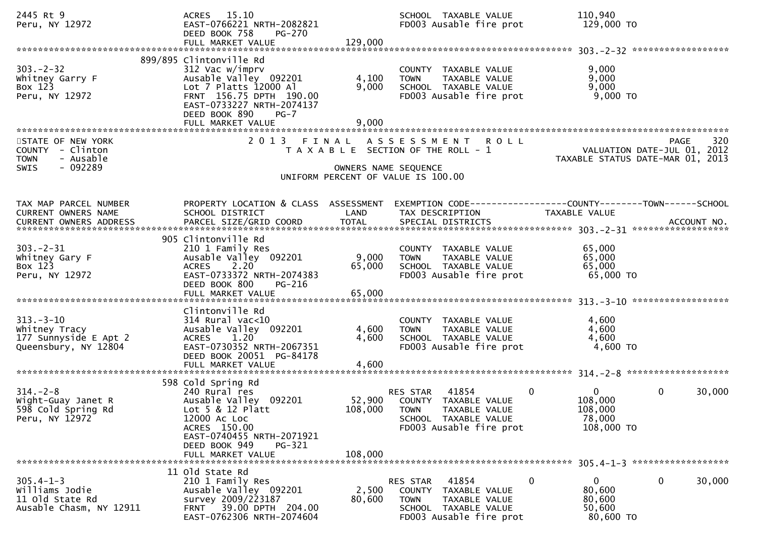| 2445 Rt 9<br>Peru, NY 12972                                                            | ACRES 15.10<br>EAST-0766221 NRTH-2082821<br>DEED BOOK 758<br>PG-270<br>FULL MARKET VALUE                                                                                                             | 129,000                 | SCHOOL TAXABLE VALUE<br>FD003 Ausable fire prot                                                                                                   | 110,940<br>129,000 TO                                                                 |
|----------------------------------------------------------------------------------------|------------------------------------------------------------------------------------------------------------------------------------------------------------------------------------------------------|-------------------------|---------------------------------------------------------------------------------------------------------------------------------------------------|---------------------------------------------------------------------------------------|
| $303 - 2 - 32$<br>Whitney Garry F<br>Box 123<br>Peru, NY 12972                         | 899/895 Clintonville Rd<br>312 Vac w/imprv<br>Ausable Valley 092201<br>Lot 7 Platts 12000 Al<br>FRNT 156.75 DPTH 190.00<br>EAST-0733227 NRTH-2074137<br>DEED BOOK 890<br>$PG-7$<br>FULL MARKET VALUE | 4,100<br>9,000<br>9,000 | COUNTY TAXABLE VALUE<br><b>TOWN</b><br>TAXABLE VALUE<br>SCHOOL TAXABLE VALUE<br>FD003 Ausable fire prot                                           | 9,000<br>9,000<br>9,000<br>$9,000$ TO                                                 |
| STATE OF NEW YORK<br>COUNTY - Clinton<br>- Ausable<br><b>TOWN</b><br>$-092289$<br>SWIS |                                                                                                                                                                                                      | OWNERS NAME SEQUENCE    | 2013 FINAL ASSESSMENT ROLL<br>T A X A B L E SECTION OF THE ROLL - 1<br>UNIFORM PERCENT OF VALUE IS 100.00                                         | 320<br>PAGE<br>VALUATION DATE-JUL 01, 2012<br>TAXABLE STATUS DATE-MAR 01, 2013        |
| TAX MAP PARCEL NUMBER<br>CURRENT OWNERS NAME                                           | PROPERTY LOCATION & CLASS ASSESSMENT<br>SCHOOL DISTRICT                                                                                                                                              | LAND                    | TAX DESCRIPTION                                                                                                                                   | EXEMPTION CODE-----------------COUNTY-------TOWN------SCHOOL<br>TAXABLE VALUE         |
| $303 - 2 - 31$<br>Whitney Gary F<br>Box 123<br>Peru, NY 12972                          | 905 Clintonville Rd<br>210 1 Family Res<br>Ausable Valley 092201<br>ACRES 2.20<br>EAST-0733372 NRTH-2074383<br>DEED BOOK 800<br>PG-216                                                               | 9,000<br>65,000         | COUNTY TAXABLE VALUE<br>TAXABLE VALUE<br><b>TOWN</b><br>SCHOOL TAXABLE VALUE<br>FD003 Ausable fire prot                                           | 65,000<br>65,000<br>65,000<br>$65,000$ TO                                             |
| $313 - 3 - 10$<br>Whitney Tracy<br>177 Sunnyside E Apt 2<br>Queensbury, NY 12804       | Clintonville Rd<br>$314$ Rural vac<10<br>Ausable Valley 092201<br>1.20<br><b>ACRES</b><br>EAST-0730352 NRTH-2067351<br>DEED BOOK 20051 PG-84178<br>FULL MARKET VALUE                                 | 4,600<br>4,600<br>4,600 | COUNTY TAXABLE VALUE<br>TAXABLE VALUE<br><b>TOWN</b><br>SCHOOL TAXABLE VALUE<br>FD003 Ausable fire prot                                           | 4,600<br>4,600<br>4,600<br>4,600 TO                                                   |
| $314. - 2 - 8$<br>Wight-Guay Janet R<br>598 Cold Spring Rd<br>Peru, NY 12972           | 598 Cold Spring Rd<br>240 Rural res<br>Ausable Valley 092201<br>Lot $5 & 12$ Platt<br>12000 Ac Loc<br>ACRES 150.00<br>EAST-0740455 NRTH-2071921<br>DEED BOOK 949<br>PG-321<br>FULL MARKET VALUE      | 108,000                 | 41854<br>$\mathbf{0}$<br>RES STAR<br>52,900 COUNTY TAXABLE VALUE<br>108,000 TOWN TAXABLE VALUE<br>SCHOOL TAXABLE VALUE<br>FD003 Ausable fire prot | $\overline{0}$<br>$\mathbf 0$<br>30,000<br>108,000<br>108,000<br>78,000<br>108,000 TO |
| $305.4 - 1 - 3$<br>Williams Jodie<br>11 old State Rd<br>Ausable Chasm, NY 12911        | 11 old state Rd<br>210 1 Family Res<br>Ausable Valley 092201<br>survey 2009/223187<br>FRNT 39.00 DPTH 204.00<br>EAST-0762306 NRTH-2074604                                                            | 2,500<br>80,600         | 41854<br>0<br>RES STAR<br>COUNTY TAXABLE VALUE<br><b>TOWN</b><br>TAXABLE VALUE<br>SCHOOL TAXABLE VALUE<br>FD003 Ausable fire prot                 | $\mathbf 0$<br>$\mathbf{0}$<br>30,000<br>80,600<br>80,600<br>50,600<br>80,600 TO      |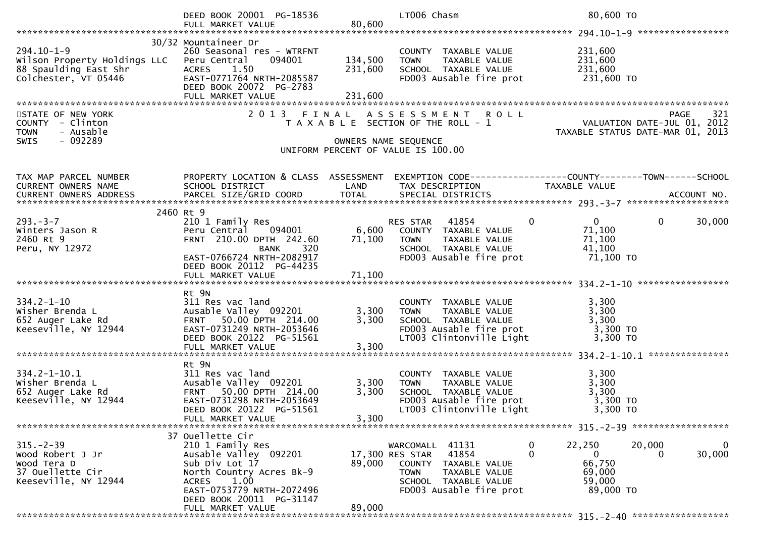|                                                                                                   | DEED BOOK 20001 PG-18536<br>FULL MARKET VALUE                                                                                                                                      | 80,600                        | LT006 Chasm                                                                                                                                            | 80,600 TO                                                                                                         |             |
|---------------------------------------------------------------------------------------------------|------------------------------------------------------------------------------------------------------------------------------------------------------------------------------------|-------------------------------|--------------------------------------------------------------------------------------------------------------------------------------------------------|-------------------------------------------------------------------------------------------------------------------|-------------|
|                                                                                                   |                                                                                                                                                                                    |                               |                                                                                                                                                        |                                                                                                                   |             |
| $294.10 - 1 - 9$<br>Wilson Property Holdings LLC<br>88 Spaulding East Shr<br>Colchester, VT 05446 | 30/32 Mountaineer Dr<br>260 Seasonal res - WTRFNT<br>094001<br>Peru Central<br><b>ACRES</b><br>1.50<br>EAST-0771764 NRTH-2085587<br>DEED BOOK 20072 PG-2783<br>FULL MARKET VALUE   | 134,500<br>231,600<br>231,600 | COUNTY TAXABLE VALUE<br>TAXABLE VALUE<br><b>TOWN</b><br>SCHOOL TAXABLE VALUE<br>FD003 Ausable fire prot                                                | 231,600<br>231,600<br>231,600<br>231,600 TO                                                                       |             |
|                                                                                                   |                                                                                                                                                                                    |                               |                                                                                                                                                        |                                                                                                                   |             |
| STATE OF NEW YORK<br>COUNTY - Clinton<br>- Ausable<br><b>TOWN</b><br>- 092289<br><b>SWIS</b>      | 2 0 1 3                                                                                                                                                                            | FINAL                         | ASSESSMENT ROLL<br>T A X A B L E SECTION OF THE ROLL - 1<br>OWNERS NAME SEQUENCE<br>UNIFORM PERCENT OF VALUE IS 100.00                                 | PAGE 321<br>VALUATION DATE-JUL 01, 2012<br>TAXARLE STATUS DATE ::: - 21, 2012<br>TAXABLE STATUS DATE-MAR 01, 2013 |             |
| TAX MAP PARCEL NUMBER                                                                             |                                                                                                                                                                                    |                               |                                                                                                                                                        | PROPERTY LOCATION & CLASS ASSESSMENT EXEMPTION CODE----------------COUNTY-------TOWN------SCHOOL                  |             |
| CURRENT OWNERS NAME                                                                               | SCHOOL DISTRICT                                                                                                                                                                    | LAND                          | TAX DESCRIPTION                                                                                                                                        | TAXABLE VALUE                                                                                                     |             |
| CURRENT OWNERS ADDRESS                                                                            |                                                                                                                                                                                    |                               |                                                                                                                                                        |                                                                                                                   |             |
|                                                                                                   |                                                                                                                                                                                    |                               |                                                                                                                                                        |                                                                                                                   |             |
| $293 - 3 - 7$<br>Winters Jason R<br>2460 Rt 9<br>Peru, NY 12972                                   | 2460 Rt 9<br>210 1 Family Res<br>Peru Central 094001<br>FRNT 210.00 DPTH 242.60<br><b>BANK</b><br>320<br>EAST-0766724 NRTH-2082917<br>DEED BOOK 20112 PG-44235                     | 71,100                        | 41854<br>RES STAR<br>6,600 COUNTY TAXABLE VALUE<br>TAXABLE VALUE<br><b>TOWN</b><br>SCHOOL TAXABLE VALUE<br>FD003 Ausable fire prot                     | $\mathbf{0}$<br>0<br>$\mathbf{0}$<br>71,100<br>71,100<br>41,100<br>71,100 TO                                      | 30,000      |
|                                                                                                   |                                                                                                                                                                                    |                               |                                                                                                                                                        |                                                                                                                   |             |
| $334.2 - 1 - 10$<br>Wisher Brenda L<br>652 Auger Lake Rd<br>Keeseville, NY 12944                  | Rt 9N<br>311 Res vac land<br>Ausable Valley 092201<br>FRNT 50.00 DPTH 214.00<br>EAST-0731249 NRTH-2053646<br>DEED BOOK 20122 PG-51561<br>FULL MARKET VALUE                         | 3,300<br>3,300<br>3,300       | COUNTY TAXABLE VALUE<br><b>TOWN</b><br>TAXABLE VALUE<br>SCHOOL TAXABLE VALUE<br>FD003 Ausable fire prot<br>LT003 Clintonville Light                    | 3,300<br>3,300<br>3,300<br>3,300 TO<br>3,300 TO                                                                   |             |
|                                                                                                   | Rt 9N                                                                                                                                                                              |                               |                                                                                                                                                        |                                                                                                                   |             |
| $334.2 - 1 - 10.1$<br>Wisher Brenda L<br>652 Auger Lake Rd<br>Keeseville, NY 12944                | 311 Res vac land<br>Ausable Valley 092201<br>FRNT 50.00 DPTH 214.00<br>EAST-0731298 NRTH-2053649<br>DEED BOOK 20122 PG-51561<br>FULL MARKET VALUE                                  | 3,300<br>3,300<br>3,300       | COUNTY TAXABLE VALUE<br>TAXABLE VALUE<br><b>TOWN</b><br>SCHOOL TAXABLE VALUE<br>FD003 Ausable fire prot<br>LT003 Clintonville Light                    | 3,300<br>3,300<br>3,300<br>3,300 TO<br>3,300 TO                                                                   |             |
|                                                                                                   |                                                                                                                                                                                    |                               |                                                                                                                                                        |                                                                                                                   |             |
| $315. - 2 - 39$<br>Wood Robert J Jr<br>Wood Tera D<br>37 Ouellette Cir<br>Keeseville, NY 12944    | 37 Ouellette Cir<br>210 1 Family Res<br>Ausable Valley 092201<br>Sub Div Lot 17<br>North Country Acres Bk-9<br>ACRES 1.00<br>EAST-0753779 NRTH-2072496<br>DEED BOOK 20011 PG-31147 | 89,000                        | WARCOMALL 41131<br>41854<br>17,300 RES STAR<br>COUNTY TAXABLE VALUE<br><b>TOWN</b><br>TAXABLE VALUE<br>SCHOOL TAXABLE VALUE<br>FD003 Ausable fire prot | 0<br>22,250<br>20,000<br>$\Omega$<br>0<br>66,750<br>69,000<br>59,000<br>89,000 TO                                 | 0<br>30,000 |
|                                                                                                   | FULL MARKET VALUE                                                                                                                                                                  | 89,000                        |                                                                                                                                                        |                                                                                                                   |             |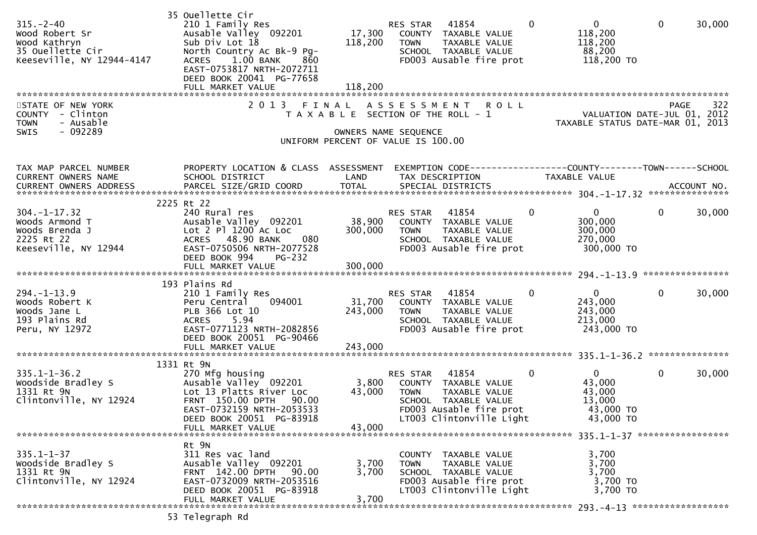| $315. - 2 - 40$<br>Wood Robert Sr<br>Wood Kathryn<br>35 Ouellette Cir<br>Keeseville, NY 12944-4147 | 35 Ouellette Cir<br>210 1 Family Res<br>Ausable Valley 092201<br>Sub Div Lot 18<br>North Country Ac Bk-9 Pg-<br>$1.00$ BANK<br>860<br><b>ACRES</b><br>EAST-0753817 NRTH-2072711<br>DEED BOOK 20041 PG-77658<br>FULL MARKET VALUE | 118,200<br>118,200           | RES STAR 41854<br>17,300 COUNTY TAXABLE VALUE<br>TAXABLE VALUE<br><b>TOWN</b><br>SCHOOL TAXABLE VALUE<br>FD003 Ausable fire prot                         | $\mathbf 0$  | $\overline{0}$<br>118,200<br>118,200<br>88,200<br>118,200 TO         | $\mathbf 0$  | 30,000 |
|----------------------------------------------------------------------------------------------------|----------------------------------------------------------------------------------------------------------------------------------------------------------------------------------------------------------------------------------|------------------------------|----------------------------------------------------------------------------------------------------------------------------------------------------------|--------------|----------------------------------------------------------------------|--------------|--------|
| STATE OF NEW YORK<br>COUNTY - Clinton<br>- Ausable<br><b>TOWN</b><br>- 092289<br>SWIS              | 2013 FINAL                                                                                                                                                                                                                       |                              | ASSESSMENT ROLL<br>T A X A B L E SECTION OF THE ROLL - 1<br>OWNERS NAME SEQUENCE<br>UNIFORM PERCENT OF VALUE IS 100.00                                   |              | VALUATION DATE-JUL 01, 2012<br>TAXABLE STATUS DATE-MAR 01, 2013      | <b>PAGE</b>  | 322    |
| TAX MAP PARCEL NUMBER<br>CURRENT OWNERS NAME                                                       | PROPERTY LOCATION & CLASS ASSESSMENT<br>SCHOOL DISTRICT                                                                                                                                                                          | LAND                         | EXEMPTION CODE-----------------COUNTY--------TOWN-----SCHOOL<br>TAX DESCRIPTION                                                                          |              | TAXABLE VALUE                                                        |              |        |
| $304. - 1 - 17.32$<br>Woods Armond T<br>Woods Brenda J<br>2225 Rt 22<br>Keeseville, NY 12944       | 2225 Rt 22<br>240 Rural res<br>Ausable Valley 092201<br>Lot 2 Pl 1200 Ac Loc<br>ACRES 48.90 BANK<br>080<br>EAST-0750506 NRTH-2077528<br>DEED BOOK 994<br>PG-232<br>FULL MARKET VALUE                                             | 38,900<br>300,000<br>300,000 | RES STAR 41854<br>COUNTY TAXABLE VALUE<br><b>TOWN</b><br>TAXABLE VALUE<br>SCHOOL TAXABLE VALUE<br>FD003 Ausable fire prot                                | $\mathbf{0}$ | $\overline{0}$<br>300,000<br>300,000<br>270,000<br>300,000 TO        | $\mathbf 0$  | 30,000 |
| $294. -1 - 13.9$<br>Woods Robert K<br>Woods Jane L<br>193 Plains Rd<br>Peru, NY 12972              | 193 Plains Rd<br>210 1 Family Res<br>Peru Central<br>094001<br>PLB 366 Lot 10<br>5.94<br><b>ACRES</b><br>EAST-0771123 NRTH-2082856<br>DEED BOOK 20051 PG-90466<br>FULL MARKET VALUE                                              | 243,000<br>243,000           | RES STAR 41854<br>31,700 COUNTY TAXABLE VALUE<br><b>TOWN</b><br>TAXABLE VALUE<br>SCHOOL TAXABLE VALUE<br>FD003 Ausable fire prot                         | $\Omega$     | $\overline{0}$<br>243,000<br>243,000<br>213,000<br>243,000 TO        | $\mathbf 0$  | 30,000 |
| $335.1 - 1 - 36.2$<br>Woodside Bradley S<br>1331 Rt 9N<br>Clintonville, NY 12924                   | 1331 Rt 9N<br>270 Mfg housing<br>Ausable Valley 092201<br>Lot 13 Platts River Loc<br>FRNT 150.00 DPTH 90.00<br>EAST-0732159 NRTH-2053533<br>DEED BOOK 20051 PG-83918<br>FULL MARKET VALUE                                        | 3,800<br>43,000<br>43,000    | RES STAR<br>41854<br>COUNTY TAXABLE VALUE<br><b>TOWN</b><br>TAXABLE VALUE<br>SCHOOL TAXABLE VALUE<br>FD003 Ausable fire prot<br>LT003 Clintonville Light | $\mathbf{0}$ | $\mathbf{0}$<br>43,000<br>43,000<br>13,000<br>43,000 TO<br>43,000 TO | $\mathbf{0}$ | 30,000 |
| $335.1 - 1 - 37$<br>Woodside Bradley S<br>1331 Rt 9N<br>Clintonville, NY 12924                     | Rt 9N<br>311 Res vac land<br>Ausable Valley 092201<br>FRNT 142.00 DPTH<br>90.00<br>EAST-0732009 NRTH-2053516<br>DEED BOOK 20051 PG-83918<br>FULL MARKET VALUE                                                                    | 3,700<br>3,700<br>3,700      | COUNTY TAXABLE VALUE<br>TAXABLE VALUE<br><b>TOWN</b><br>SCHOOL TAXABLE VALUE<br>FD003 Ausable fire prot<br>LT003 Clintonville Light                      |              | 3,700<br>3,700<br>3,700<br>3,700 TO<br>3,700 TO                      |              |        |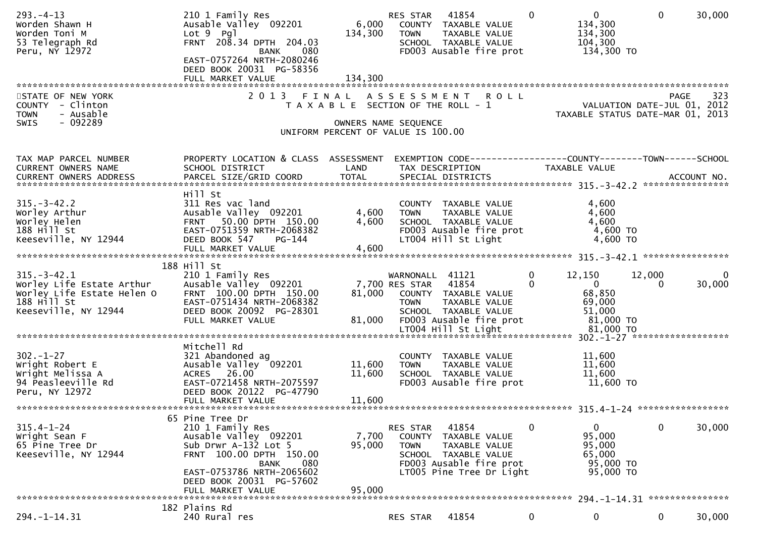| $293. -4 - 13$<br>Worden Shawn H<br>Worden Toni M<br>53 Telegraph Rd<br>Peru, NY 12972                                | 210 1 Family Res<br>Ausable Valley 092201<br>$Lot 9$ $Pq$ ]<br>FRNT 208.34 DPTH 204.03<br>080<br>BANK<br>EAST-0757264 NRTH-2080246<br>DEED BOOK 20031 PG-58356<br>FULL MARKET VALUE | 134,300<br>134,300                                                          | RES STAR<br><b>TOWN</b>                                | 41854<br>6,000 COUNTY TAXABLE VALUE<br>TAXABLE VALUE<br>SCHOOL TAXABLE VALUE<br>FD003 Ausable fire prot                | $\Omega$                | $\mathbf{0}$<br>134,300<br>134,300<br>104,300<br>134,300 TO                                                 | $\mathbf{0}$       | 30,000          |
|-----------------------------------------------------------------------------------------------------------------------|-------------------------------------------------------------------------------------------------------------------------------------------------------------------------------------|-----------------------------------------------------------------------------|--------------------------------------------------------|------------------------------------------------------------------------------------------------------------------------|-------------------------|-------------------------------------------------------------------------------------------------------------|--------------------|-----------------|
| STATE OF NEW YORK<br>COUNTY - Clinton<br><b>TOWN</b><br>- Ausable<br>- 092289<br>SWIS                                 | 2013 FINAL                                                                                                                                                                          | T A X A B L E SECTION OF THE ROLL - 1<br>UNIFORM PERCENT OF VALUE IS 100.00 | OWNERS NAME SEQUENCE                                   | ASSESSMENT ROLL                                                                                                        |                         | PAGE 323<br>VALUATION DATE-JUL 01, 2012<br>TAXARLE STATUS DATE :::- 21.<br>TAXABLE STATUS DATE-MAR 01, 2013 |                    |                 |
| TAX MAP PARCEL NUMBER<br>CURRENT OWNERS NAME                                                                          | PROPERTY LOCATION & CLASS ASSESSMENT<br>SCHOOL DISTRICT                                                                                                                             | LAND                                                                        |                                                        | EXEMPTION CODE-----------------COUNTY-------TOWN------SCHOOL<br>TAX DESCRIPTION                                        |                         | TAXABLE VALUE                                                                                               |                    |                 |
| $315. - 3 - 42.2$<br>Worley Arthur<br>Worley Helen<br>188 Hill St<br>Keeseville, NY 12944                             | Hill St<br>311 Res vac land<br>Ausable Valley 092201<br>FRNT 50.00 DPTH 150.00<br>EAST-0751359 NRTH-2068382<br>DEED BOOK 547<br>$PG-144$<br>FULL MARKET VALUE                       | 4,600<br>4,600<br>4,600                                                     | <b>TOWN</b>                                            | COUNTY TAXABLE VALUE<br>TAXABLE VALUE<br>SCHOOL TAXABLE VALUE<br>FD003 Ausable fire prot<br>LT004 Hill St Light        |                         | 4,600<br>4,600<br>4,600<br>4,600 TO<br>4,600 TO                                                             |                    |                 |
|                                                                                                                       | 188 Hill St                                                                                                                                                                         |                                                                             |                                                        |                                                                                                                        |                         |                                                                                                             |                    |                 |
| $315. - 3 - 42.1$<br>Worley Life Estate Arthur<br>Worley Life Estate Helen O<br>$188$ Hill St<br>Keeseville, NY 12944 | 210 1 Family Res<br>Ausable Valley 092201<br>FRNT 100.00 DPTH 150.00<br>EAST-0751434 NRTH-2068382<br>DEED BOOK 20092 PG-28301<br>FULL MARKET VALUE                                  | 81,000<br>81,000                                                            | WARNONALL 41121<br>7,700 RES STAR 41854<br><b>TOWN</b> | COUNTY TAXABLE VALUE<br>TAXABLE VALUE<br>SCHOOL TAXABLE VALUE<br>FD003 Ausable fire prot                               | $\mathbf 0$<br>$\Omega$ | 12,150<br>$\overline{0}$<br>68,850<br>69,000<br>51,000<br>81,000 TO                                         | 12,000<br>$\Omega$ | 0<br>30,000     |
|                                                                                                                       | Mitchell Rd                                                                                                                                                                         |                                                                             |                                                        |                                                                                                                        |                         |                                                                                                             |                    |                 |
| $302 - 1 - 27$<br>Wright Robert E<br>Wright Melissa A<br>94 Peasleeville Rd<br>Peru, NY 12972                         | 321 Abandoned ag<br>Ausable Valley 092201<br>ACRES 26.00<br>EAST-0721458 NRTH-2075597<br>DEED BOOK 20122 PG-47790<br>FULL MARKET VALUE                                              | 11,600<br>11,600<br>11,600                                                  | <b>TOWN</b>                                            | COUNTY TAXABLE VALUE<br>TAXABLE VALUE<br>SCHOOL TAXABLE VALUE<br>FD003 Ausable fire prot                               |                         | 11,600<br>11,600<br>11,600<br>11,600 TO                                                                     |                    |                 |
|                                                                                                                       |                                                                                                                                                                                     |                                                                             |                                                        |                                                                                                                        |                         |                                                                                                             |                    |                 |
| $315.4 - 1 - 24$<br>Wright Sean F<br>65 Pine Tree Dr<br>Keeseville, NY 12944                                          | 65 Pine Tree Dr<br>210 1 Family Res<br>Ausable Valley 092201<br>Sub Drwr A-132 Lot 5<br>FRNT 100.00 DPTH 150.00<br><b>BANK</b><br>080<br>EAST-0753786 NRTH-2065602                  | 7,700<br>95,000                                                             | <b>RES STAR</b><br>COUNTY<br><b>TOWN</b>               | 41854<br>TAXABLE VALUE<br>TAXABLE VALUE<br>SCHOOL TAXABLE VALUE<br>FD003 Ausable fire prot<br>LT005 Pine Tree Dr Light | 0                       | 0<br>95,000<br>95,000<br>65,000<br>95,000 TO<br>95,000 TO                                                   | 0                  | 30,000          |
| *******************************                                                                                       | DEED BOOK 20031 PG-57602<br>FULL MARKET VALUE                                                                                                                                       | 95,000                                                                      |                                                        |                                                                                                                        |                         | 294. –1–14. 31                                                                                              |                    | *************** |
| $294. -1 - 14.31$                                                                                                     | 182 Plains Rd<br>240 Rural res                                                                                                                                                      |                                                                             | RES STAR                                               | 41854                                                                                                                  | $\mathbf 0$             | 0                                                                                                           | $\mathbf{0}$       | 30,000          |
|                                                                                                                       |                                                                                                                                                                                     |                                                                             |                                                        |                                                                                                                        |                         |                                                                                                             |                    |                 |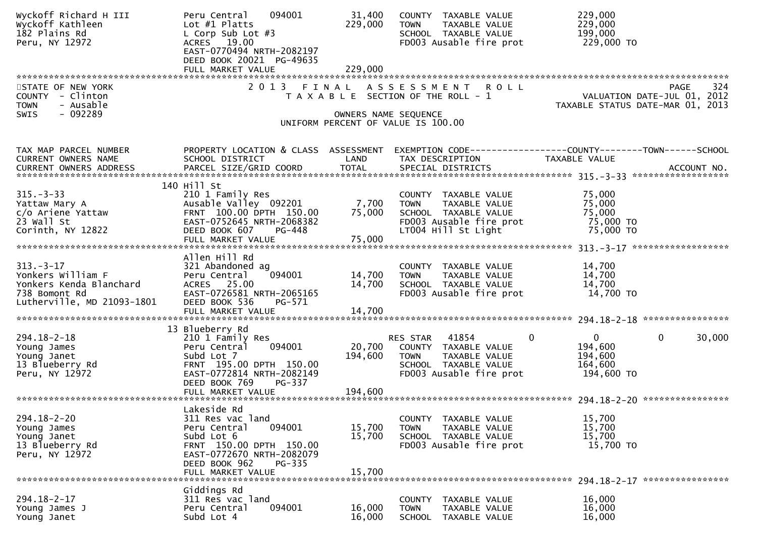| Wyckoff Richard H III<br>Wyckoff Kathleen<br>182 Plains Rd<br>Peru, NY 12972                                   | 094001<br>Peru Central<br>Lot $#1$ Platts<br>L Corp Sub Lot #3<br>ACRES 19.00<br>EAST-0770494 NRTH-2082197<br>DEED BOOK 20021 PG-49635                                                 | 31,400<br>229,000          | COUNTY TAXABLE VALUE<br><b>TOWN</b><br>TAXABLE VALUE<br>SCHOOL TAXABLE VALUE<br>FD003 Ausable fire prot                           | 229,000<br>229,000<br>199,000<br>229,000 TO                                         |
|----------------------------------------------------------------------------------------------------------------|----------------------------------------------------------------------------------------------------------------------------------------------------------------------------------------|----------------------------|-----------------------------------------------------------------------------------------------------------------------------------|-------------------------------------------------------------------------------------|
|                                                                                                                | FULL MARKET VALUE                                                                                                                                                                      | 229,000                    |                                                                                                                                   |                                                                                     |
| STATE OF NEW YORK<br>COUNTY - Clinton<br><b>TOWN</b><br>- Ausable<br>- 092289<br>SWIS                          |                                                                                                                                                                                        |                            | 2013 FINAL ASSESSMENT ROLL<br>T A X A B L E SECTION OF THE ROLL - 1<br>OWNERS NAME SEQUENCE<br>UNIFORM PERCENT OF VALUE IS 100.00 | 324<br>PAGE<br>VALUATION DATE-JUL 01, 2012<br>TAXABLE STATUS DATE-MAR 01, 2013      |
| TAX MAP PARCEL NUMBER<br>CURRENT OWNERS NAME                                                                   | PROPERTY LOCATION & CLASS ASSESSMENT<br>SCHOOL DISTRICT                                                                                                                                | LAND                       | TAX DESCRIPTION                                                                                                                   | EXEMPTION CODE------------------COUNTY--------TOWN------SCHOOL<br>TAXABLE VALUE     |
| $315. - 3 - 33$<br>Yattaw Mary A<br>c/o Ariene Yattaw<br>$23$ Wall St<br>Corinth, NY 12822                     | 140 Hill St<br>210 1 Family Res<br>Ausable Valley 092201<br>FRNT 100.00 DPTH 150.00<br>EAST-0752645 NRTH-2068382<br>DEED BOOK 607<br>PG-448<br>FULL MARKET VALUE                       | 7,700<br>75,000<br>75,000  | COUNTY TAXABLE VALUE<br><b>TOWN</b><br>TAXABLE VALUE<br>SCHOOL TAXABLE VALUE<br>FD003 Ausable fire prot<br>LT004 Hill St Light    | 75,000<br>75,000<br>75,000<br>75,000 TO<br>75,000 TO                                |
| $313. - 3 - 17$<br>Yonkers William F<br>Yonkers Kenda Blanchard<br>738 Bomont Rd<br>Lutherville, MD 21093-1801 | Allen Hill Rd<br>321 Abandoned ag<br>094001<br>Peru Central<br>ACRES 25.00<br>EAST-0726581 NRTH-2065165<br>DEED BOOK 536<br>PG-571<br>FULL MARKET VALUE                                | 14,700<br>14,700<br>14,700 | COUNTY TAXABLE VALUE<br>TAXABLE VALUE<br><b>TOWN</b><br>SCHOOL TAXABLE VALUE<br>FD003 Ausable fire prot                           | 14,700<br>14,700<br>14,700<br>14,700 TO                                             |
|                                                                                                                |                                                                                                                                                                                        |                            |                                                                                                                                   |                                                                                     |
| $294.18 - 2 - 18$<br>Young James<br>Young Janet<br>13 Blueberry Rd<br>Peru, NY 12972                           | 13 Blueberry Rd<br>210 1 Family Res<br>094001<br>Peru Central<br>Subd Lot 7<br>FRNT 195.00 DPTH 150.00<br>EAST-0772814 NRTH-2082149<br>DEED BOOK 769<br>PG-337                         | 20,700<br>194,600          | RES STAR 41854<br>0<br>COUNTY TAXABLE VALUE<br><b>TOWN</b><br>TAXABLE VALUE<br>SCHOOL TAXABLE VALUE<br>FD003 Ausable fire prot    | $\Omega$<br>30,000<br>$\overline{0}$<br>194,600<br>194,600<br>164,600<br>194,600 TO |
|                                                                                                                | FULL MARKET VALUE                                                                                                                                                                      | 194,600                    |                                                                                                                                   |                                                                                     |
| $294.18 - 2 - 20$<br>Young James<br>Young Janet<br>13 Blueberry Rd<br>Peru, NY 12972                           | Lakeside Rd<br>311 Res vac land<br>094001<br>Peru Central<br>Subd Lot 6<br>FRNT 150.00 DPTH 150.00<br>EAST-0772670 NRTH-2082079<br>DEED BOOK 962<br><b>PG-335</b><br>FULL MARKET VALUE | 15,700<br>15,700<br>15,700 | <b>COUNTY</b><br>TAXABLE VALUE<br><b>TOWN</b><br>TAXABLE VALUE<br>SCHOOL TAXABLE VALUE<br>FD003 Ausable fire prot                 | 15,700<br>15,700<br>15,700<br>15,700 TO                                             |
|                                                                                                                | Giddings Rd                                                                                                                                                                            |                            |                                                                                                                                   |                                                                                     |
| $294.18 - 2 - 17$<br>Young James J<br>Young Janet                                                              | 311 Res vac land<br>094001<br>Peru Central<br>Subd Lot 4                                                                                                                               | 16,000<br>16,000           | COUNTY<br>TAXABLE VALUE<br><b>TOWN</b><br>TAXABLE VALUE<br>SCHOOL TAXABLE VALUE                                                   | 16,000<br>16,000<br>16,000                                                          |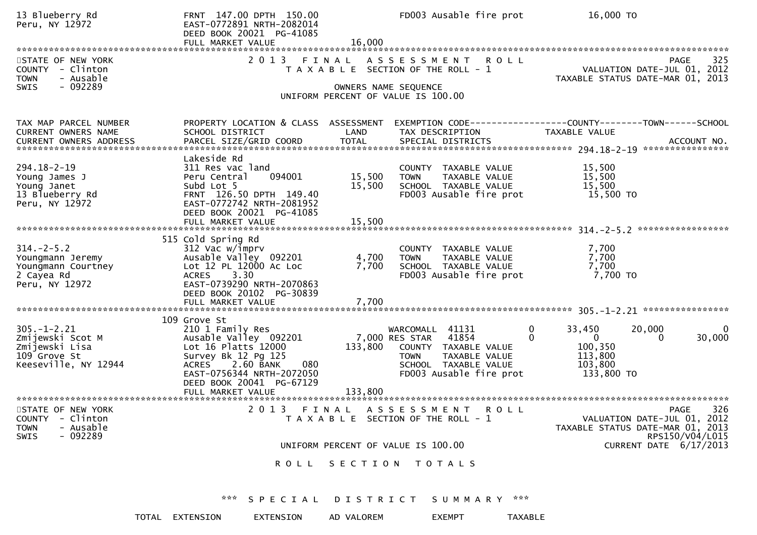| 13 Blueberry Rd<br>Peru, NY 12972                                                                | FULL MARKET VALUE                                                                                 | FRNT 147.00 DPTH 150.00<br>EAST-0772891 NRTH-2082014<br>DEED BOOK 20021 PG-41085                                 | 16,000                     | FD003 Ausable fire prot                                                                                                              |                                    | 16,000 TO                                                                      |                                                                                                                                    |
|--------------------------------------------------------------------------------------------------|---------------------------------------------------------------------------------------------------|------------------------------------------------------------------------------------------------------------------|----------------------------|--------------------------------------------------------------------------------------------------------------------------------------|------------------------------------|--------------------------------------------------------------------------------|------------------------------------------------------------------------------------------------------------------------------------|
| STATE OF NEW YORK<br>COUNTY - Clinton<br><b>TOWN</b><br>- Ausable                                |                                                                                                   | 2 0 1 3                                                                                                          | FINAL                      | A S S E S S M E N T<br>T A X A B L E SECTION OF THE ROLL - 1                                                                         | <b>ROLL</b>                        | PAGE 325<br>VALUATION DATE-JUL 01, 2012<br>TAXARLE STATUS DATE :::- 21, 2012   | 325<br>TAXABLE STATUS DATE-MAR 01, 2013                                                                                            |
| - 092289<br><b>SWIS</b>                                                                          |                                                                                                   |                                                                                                                  |                            | OWNERS NAME SEQUENCE<br>UNIFORM PERCENT OF VALUE IS 100.00                                                                           |                                    |                                                                                |                                                                                                                                    |
| TAX MAP PARCEL NUMBER<br>CURRENT OWNERS NAME<br><b>CURRENT OWNERS ADDRESS</b>                    | SCHOOL DISTRICT                                                                                   | PROPERTY LOCATION & CLASS ASSESSMENT<br>PARCEL SIZE/GRID COORD                                                   | LAND<br><b>TOTAL</b>       | TAX DESCRIPTION<br>SPECIAL DISTRICTS                                                                                                 |                                    | EXEMPTION CODE-----------------COUNTY--------TOWN------SCHOOL<br>TAXABLE VALUE | ACCOUNT NO.                                                                                                                        |
| $294.18 - 2 - 19$<br>Young James J<br>Young Janet<br>13 Blueberry Rd<br>Peru, NY 12972           | Lakeside Rd<br>311 Res vac land<br>Peru Central<br>Subd Lot 5<br>FULL MARKET VALUE                | 094001<br>FRNT 126.50 DPTH 149.40<br>EAST-0772742 NRTH-2081952<br>DEED BOOK 20021 PG-41085                       | 15,500<br>15,500<br>15,500 | COUNTY TAXABLE VALUE<br><b>TOWN</b><br>SCHOOL TAXABLE VALUE<br>FD003 Ausable fire prot                                               | TAXABLE VALUE                      | 15,500<br>15,500<br>15,500<br>15,500 TO                                        |                                                                                                                                    |
| $314. - 2 - 5.2$<br>Youngmann Jeremy<br>Youngmann Courtney<br>2 Cayea Rd<br>Peru, NY 12972       | 515 Cold Spring Rd<br>312 Vac w/imprv<br><b>ACRES</b><br>FULL MARKET VALUE                        | Ausable Valley 092201<br>Lot 12 PL 12000 Ac Loc<br>3.30<br>EAST-0739290 NRTH-2070863<br>DEED BOOK 20102 PG-30839 | 4,700<br>7,700<br>7,700    | COUNTY TAXABLE VALUE<br><b>TOWN</b><br>SCHOOL TAXABLE VALUE<br>FD003 Ausable fire prot                                               | TAXABLE VALUE                      | 7,700<br>7,700<br>7,700<br>7,700 TO                                            |                                                                                                                                    |
| $305. - 1 - 2.21$<br>Zmijewski Scot M<br>Zmijewski Lisa<br>109 Grove St<br>Keeseville, NY 12944  | 109 Grove St<br>210 1 Family Res<br>Lot 16 Platts 12000<br>Survey Bk 12 Pg 125<br>ACRES 2.60 BANK | Ausable Valley 092201<br>080<br>EAST-0756344 NRTH-2072050<br>DEED BOOK 20041 PG-67129                            | 133,800                    | WARCOMALL 41131<br>41854<br>7,000 RES STAR<br>COUNTY TAXABLE VALUE<br><b>TOWN</b><br>SCHOOL TAXABLE VALUE<br>FD003 Ausable fire prot | 0<br>$\mathbf{0}$<br>TAXABLE VALUE | 33,450<br>$\overline{0}$<br>100,350<br>113,800<br>103,800<br>133,800 TO        | 20,000<br>0<br>30,000<br>$\Omega$                                                                                                  |
| STATE OF NEW YORK<br>- Clinton<br><b>COUNTY</b><br>- Ausable<br><b>TOWN</b><br>$-092289$<br>SWIS |                                                                                                   | 2013                                                                                                             |                            | FINAL ASSESSMENT<br>T A X A B L E SECTION OF THE ROLL - 1                                                                            | <b>ROLL</b>                        |                                                                                | 326<br>PAGE<br>VALUATION DATE-JUL 01, 2012<br>TAXABLE STATUS DATE-MAR 01, 2013<br>RPS150/V04/L015<br><b>CURRENT DATE 6/17/2013</b> |
|                                                                                                  |                                                                                                   |                                                                                                                  |                            | UNIFORM PERCENT OF VALUE IS 100.00<br>ROLL SECTION TOTALS                                                                            |                                    |                                                                                |                                                                                                                                    |
|                                                                                                  |                                                                                                   | *** SPECIAL DISTRICT SUMMARY ***                                                                                 |                            |                                                                                                                                      |                                    |                                                                                |                                                                                                                                    |
|                                                                                                  | TOTAL EXTENSION                                                                                   | EXTENSION                                                                                                        | AD VALOREM                 | <b>EXEMPT</b>                                                                                                                        | TAXABLE                            |                                                                                |                                                                                                                                    |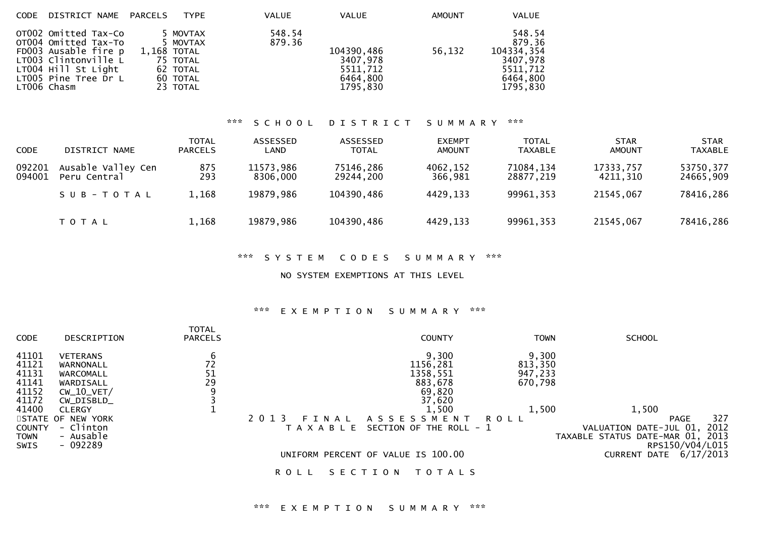| CODE DISTRICT NAME PARCELS                                                                                                                                 | <b>TYPE</b>                                                                         | VALUE            | <b>VALUE</b>                                               | <b>AMOUNT</b> | VALUE                                                                          |
|------------------------------------------------------------------------------------------------------------------------------------------------------------|-------------------------------------------------------------------------------------|------------------|------------------------------------------------------------|---------------|--------------------------------------------------------------------------------|
| OT002 Omitted Tax-Co<br>OT004 Omitted Tax-To<br>FD003 Ausable fire p<br>LT003 Clintonville L<br>LT004 Hill St Light<br>LT005 Pine Tree Dr L<br>LTOO6 Chasm | 5 MOVTAX<br>5 MOVTAX<br>1,168 TOTAL<br>75 TOTAL<br>62 TOTAL<br>60 TOTAL<br>23 TOTAL | 548.54<br>879.36 | 104390,486<br>3407,978<br>5511,712<br>6464,800<br>1795,830 | 56,132        | 548.54<br>879.36<br>104334,354<br>3407,978<br>5511,712<br>6464,800<br>1795,830 |
|                                                                                                                                                            |                                                                                     |                  |                                                            |               |                                                                                |

## \*\*\* S C H O O L D I S T R I C T S U M M A R Y \*\*\*

| <b>CODE</b>      | DISTRICT NAME                      | <b>TOTAL</b><br><b>PARCELS</b> | ASSESSED<br>LAND      | ASSESSED<br><b>TOTAL</b> | <b>EXEMPT</b><br><b>AMOUNT</b> | <b>TOTAL</b><br><b>TAXABLE</b> | <b>STAR</b><br>AMOUNT | <b>STAR</b><br><b>TAXABLE</b> |
|------------------|------------------------------------|--------------------------------|-----------------------|--------------------------|--------------------------------|--------------------------------|-----------------------|-------------------------------|
| 092201<br>094001 | Ausable Valley Cen<br>Peru Central | 875<br>293                     | 11573,986<br>8306.000 | 75146,286<br>29244,200   | 4062,152<br>366,981            | 71084,134<br>28877,219         | 17333,757<br>4211,310 | 53750,377<br>24665,909        |
|                  | SUB-TOTAL                          | 1,168                          | 19879,986             | 104390,486               | 4429,133                       | 99961,353                      | 21545,067             | 78416,286                     |
|                  | T O T A L                          | 1,168                          | 19879,986             | 104390,486               | 4429,133                       | 99961,353                      | 21545,067             | 78416,286                     |

## \*\*\* S Y S T E M C O D E S S U M M A R Y \*\*\*

NO SYSTEM EXEMPTIONS AT THIS LEVEL

## \*\*\* E X E M P T I O N S U M M A R Y \*\*\*

| <b>CODE</b>                                 | DESCRIPTION                                              | <b>TOTAL</b><br><b>PARCELS</b> | <b>COUNTY</b>                                                            | <b>TOWN</b>      | <b>SCHOOL</b>                                                                                 |
|---------------------------------------------|----------------------------------------------------------|--------------------------------|--------------------------------------------------------------------------|------------------|-----------------------------------------------------------------------------------------------|
| 41101<br>41121                              | <b>VETERANS</b><br>WARNONALL                             | 6<br>72                        | 9,300<br>1156,281                                                        | 9,300<br>813,350 |                                                                                               |
| 41131                                       | WARCOMALL                                                | 51                             | 1358,551                                                                 | 947,233          |                                                                                               |
| 41141<br>41152                              | WARDISALL<br>$CW_10_VET/$                                | 29<br>9                        | 883,678<br>69,820                                                        | 670,798          |                                                                                               |
| 41172                                       | CW_DISBLD_                                               |                                | 37,620                                                                   |                  |                                                                                               |
| 41400                                       | <b>CLERGY</b>                                            |                                | 1,500<br>2 0 1 3                                                         | 1,500            | 1,500<br>327                                                                                  |
| <b>COUNTY</b><br><b>TOWN</b><br><b>SWIS</b> | STATE OF NEW YORK<br>- Clinton<br>- Ausable<br>$-092289$ |                                | A S S E S S M E N T<br>FINAL<br>SECTION OF THE ROLL - 1<br>T A X A B L E | <b>ROLL</b>      | PAGE<br>2012<br>VALUATION DATE-JUL 01,<br>TAXABLE STATUS DATE-MAR 01, 2013<br>RPS150/V04/L015 |
|                                             |                                                          |                                | UNIFORM PERCENT OF VALUE IS 100.00                                       |                  | CURRENT DATE 6/17/2013                                                                        |
|                                             |                                                          |                                | T O T A L S<br>ROLL<br>SECT<br>ON                                        |                  |                                                                                               |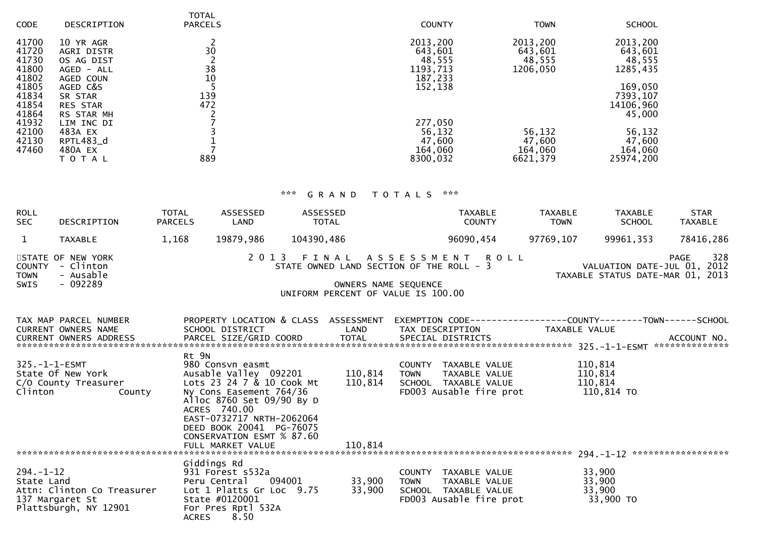| <b>CODE</b>    | DESCRIPTION             | <b>TOTAL</b><br><b>PARCELS</b> | <b>COUNTY</b>       | <b>TOWN</b>         | <b>SCHOOL</b>       |
|----------------|-------------------------|--------------------------------|---------------------|---------------------|---------------------|
| 41700<br>41720 | 10 YR AGR<br>AGRI DISTR | 30                             | 2013,200<br>643,601 | 2013,200<br>643,601 | 2013,200<br>643,601 |
| 41730          | OS AG DIST              |                                | 48,555              | 48,555              | 48,555              |
| 41800          | AGED - ALL              | 38                             | 1193,713            | 1206,050            | 1285,435            |
| 41802          | AGED COUN               | 10                             | 187,233             |                     |                     |
| 41805          | AGED C&S                |                                | 152,138             |                     | 169,050             |
| 41834          | SR STAR                 | 139                            |                     |                     | 7393,107            |
| 41854          | <b>RES STAR</b>         | 472                            |                     |                     | 14106,960           |
| 41864          | RS STAR MH              |                                |                     |                     | 45,000              |
| 41932          | LIM INC DI              |                                | 277,050             |                     |                     |
| 42100          | 483A EX                 |                                | 56,132              | 56,132              | 56,132              |
| 42130          | RPTL483_d               |                                | 47,600              | 47,600              | 47,600              |
| 47460          | 480A EX                 |                                | 164,060             | 164,060             | 164,060             |
|                | T O T A L               | 889                            | 8300,032            | 6621,379            | 25974,200           |

# \*\*\* G R A N D T O T A L S \*\*\*

| <b>ROLL</b><br><b>SEC</b>                   | DESCRIPTION                                                            | <b>TOTAL</b><br><b>PARCELS</b> | <b>ASSESSED</b><br>LAND                                                                                                                                                                                                              | ASSESSED<br>TOTAL                                                              |                      |             | <b>TAXABLE</b><br><b>COUNTY</b>                                                                                     | <b>TAXABLE</b><br><b>TOWN</b> | <b>TAXABLE</b><br><b>SCHOOL</b>                                 | <b>STAR</b><br><b>TAXABLE</b> |
|---------------------------------------------|------------------------------------------------------------------------|--------------------------------|--------------------------------------------------------------------------------------------------------------------------------------------------------------------------------------------------------------------------------------|--------------------------------------------------------------------------------|----------------------|-------------|---------------------------------------------------------------------------------------------------------------------|-------------------------------|-----------------------------------------------------------------|-------------------------------|
| $\mathbf{1}$                                | <b>TAXABLE</b>                                                         | 1,168                          | 19879,986                                                                                                                                                                                                                            | 104390,486                                                                     |                      |             | 96090,454                                                                                                           | 97769,107                     | 99961,353                                                       | 78416,286                     |
| <b>COUNTY</b><br><b>TOWN</b><br><b>SWIS</b> | STATE OF NEW YORK<br>- Clinton<br>- Ausable<br>$-092289$               |                                | 2 0 1 3                                                                                                                                                                                                                              | STATE OWNED LAND SECTION OF THE ROLL - 3<br>UNIFORM PERCENT OF VALUE IS 100.00 | OWNERS NAME SEQUENCE |             | FINAL ASSESSMENT ROLL                                                                                               |                               | VALUATION DATE-JUL 01, 2012<br>TAXABLE STATUS DATE-MAR 01, 2013 | 328<br><b>PAGE</b>            |
|                                             | TAX MAP PARCEL NUMBER<br><b>CURRENT OWNERS NAME</b>                    |                                | SCHOOL DISTRICT                                                                                                                                                                                                                      |                                                                                | LAND                 |             | PROPERTY LOCATION & CLASS ASSESSMENT EXEMPTION CODE----------------COUNTY-------TOWN------SCHOOL<br>TAX DESCRIPTION | TAXABLE VALUE                 |                                                                 |                               |
| $325. - 1 - 1 - ESMT$<br>Clinton            | State Of New York<br>C/O County Treasurer<br>County                    | Rt 9N                          | 980 Consvn easmt<br>Ausable Valley 092201<br>Lots 23 24 7 & 10 Cook Mt<br>Ny Cons Easement 764/36<br>Alloc 8760 Set 09/90 By D<br>ACRES 740.00<br>EAST-0732717 NRTH-2062064<br>DEED BOOK 20041 PG-76075<br>CONSERVATION ESMT % 87.60 |                                                                                | 110,814<br>110,814   | <b>TOWN</b> | COUNTY TAXABLE VALUE<br>TAXABLE VALUE<br>SCHOOL TAXABLE VALUE<br>FD003 Ausable fire prot                            |                               | 110,814<br>110,814<br>110,814<br>110,814 TO                     |                               |
| $294. - 1 - 12$<br>State Land               | Attn: Clinton Co Treasurer<br>137 Margaret St<br>Plattsburgh, NY 12901 | <b>ACRES</b>                   | Giddings Rd<br>931 Forest s532a<br>Peru Central<br>Lot 1 Platts Gr Loc 9.75<br>State #0120001<br>For Pres Rptl 532A<br>8.50                                                                                                          | 094001                                                                         | 33,900<br>33,900     | <b>TOWN</b> | COUNTY TAXABLE VALUE<br>TAXABLE VALUE<br>SCHOOL TAXABLE VALUE<br>FD003 Ausable fire prot                            |                               | 33,900<br>33,900<br>33,900<br>33,900 TO                         |                               |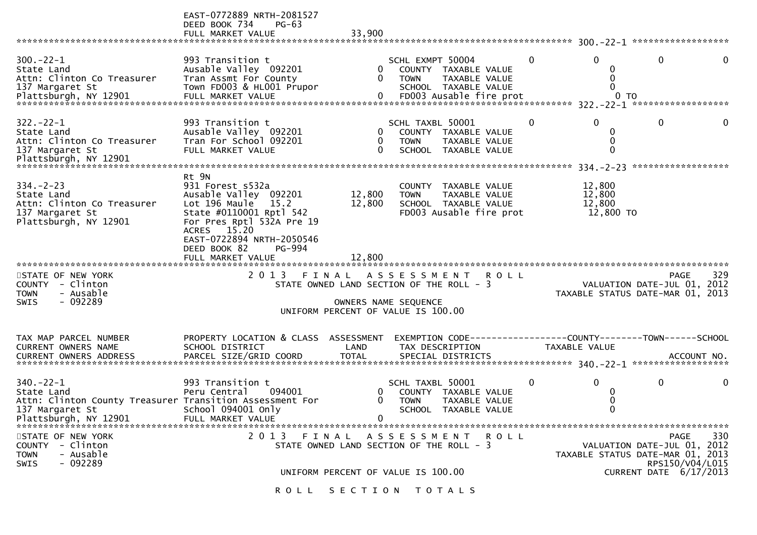|                                                                                                                                      | EAST-0772889 NRTH-2081527<br>DEED BOOK 734<br>$PG-63$<br>FULL MARKET VALUE                                                                                                                                                            | 33,900                                                                                                 |                                 |                                                                                          |              |                                                                 |                                                   |              |
|--------------------------------------------------------------------------------------------------------------------------------------|---------------------------------------------------------------------------------------------------------------------------------------------------------------------------------------------------------------------------------------|--------------------------------------------------------------------------------------------------------|---------------------------------|------------------------------------------------------------------------------------------|--------------|-----------------------------------------------------------------|---------------------------------------------------|--------------|
| $300 - 22 - 1$<br>State Land<br>Attn: Clinton Co Treasurer<br>137 Margaret St                                                        | 993 Transition t<br>Ausable Valley 092201<br>Tran Assmt For County<br>Town FD003 & HL001 Prupor                                                                                                                                       | $\Omega$                                                                                               | SCHL EXMPT 50004<br><b>TOWN</b> | COUNTY TAXABLE VALUE<br>TAXABLE VALUE<br>SCHOOL TAXABLE VALUE                            | $\mathbf 0$  | $\Omega$                                                        | 0                                                 | $\mathbf{0}$ |
| $322 - 22 - 1$<br>State Land<br>Attn: Clinton Co Treasurer<br>137 Margaret St                                                        | 993 Transition t<br>Ausable Valley 092201<br>Tran For School 092201<br>FULL MARKET VALUE                                                                                                                                              | $\mathbf{0}$<br>$\bf{0}$<br>0                                                                          | SCHL TAXBL 50001<br><b>TOWN</b> | COUNTY TAXABLE VALUE<br>TAXABLE VALUE<br>SCHOOL TAXABLE VALUE                            | $\mathbf{0}$ | $\Omega$<br>0<br>0                                              | 0                                                 | 0            |
| $334. - 2 - 23$<br>State Land<br>Attn: Clinton Co Treasurer<br>137 Margaret St<br>Plattsburgh, NY 12901                              | Rt 9N<br>931 Forest s532a<br>Ausable Valley 092201<br>15.2<br>Lot 196 Maule<br>State #0110001 Rptl 542<br>For Pres Rptl 532A Pre 19<br>ACRES 15.20<br>EAST-0722894 NRTH-2050546<br>DEED BOOK 82<br><b>PG-994</b><br>FULL MARKET VALUE | 12,800<br>12,800<br>12,800                                                                             | <b>TOWN</b>                     | COUNTY TAXABLE VALUE<br>TAXABLE VALUE<br>SCHOOL TAXABLE VALUE<br>FD003 Ausable fire prot |              | 12,800<br>12,800<br>12,800<br>12,800 TO                         |                                                   |              |
| STATE OF NEW YORK<br>COUNTY - Clinton<br><b>TOWN</b><br>- Ausable<br>$-092289$<br><b>SWIS</b>                                        | 2013 FINAL                                                                                                                                                                                                                            | STATE OWNED LAND SECTION OF THE ROLL - 3<br>OWNERS NAME SEQUENCE<br>UNIFORM PERCENT OF VALUE IS 100.00 |                                 | A S S E S S M E N T R O L L                                                              |              | VALUATION DATE-JUL 01, 2012<br>TAXABLE STATUS DATE-MAR 01, 2013 | PAGE                                              | 329          |
| TAX MAP PARCEL NUMBER<br>CURRENT OWNERS NAME                                                                                         | PROPERTY LOCATION & CLASS ASSESSMENT<br>SCHOOL DISTRICT                                                                                                                                                                               | LAND                                                                                                   |                                 | EXEMPTION CODE-----------------COUNTY-------TOWN------SCHOOL<br>TAX DESCRIPTION          |              | TAXABLE VALUE                                                   |                                                   |              |
| $340 - 22 - 1$<br>State Land<br>Attn: Clinton County Treasurer Transition Assessment For<br>137 Margaret St<br>Plattsburgh, NY 12901 | 993 Transition t<br>Peru Central<br>094001<br>School 094001 only<br>FULL MARKET VALUE                                                                                                                                                 | $\mathbf{0}$<br>$\Omega$<br>0                                                                          | SCHL TAXBL 50001<br><b>TOWN</b> | COUNTY TAXABLE VALUE<br>TAXABLE VALUE<br>SCHOOL TAXABLE VALUE                            | 0            | $\mathbf{0}$<br>O                                               | $\mathbf 0$                                       | 0            |
| STATE OF NEW YORK<br>COUNTY - Clinton<br>- Ausable<br><b>TOWN</b><br>$-092289$<br>SWIS                                               | 2013 FINAL ASSESSMENT ROLL                                                                                                                                                                                                            | STATE OWNED LAND SECTION OF THE ROLL - 3<br>UNIFORM PERCENT OF VALUE IS 100.00                         |                                 |                                                                                          |              | VALUATION DATE-JUL 01, 2012<br>TAXABLE STATUS DATE-MAR 01, 2013 | PAGE<br>RPS150/V04/L015<br>CURRENT DATE 6/17/2013 | 330          |
|                                                                                                                                      |                                                                                                                                                                                                                                       |                                                                                                        |                                 |                                                                                          |              |                                                                 |                                                   |              |

ROLL SECTION TOTALS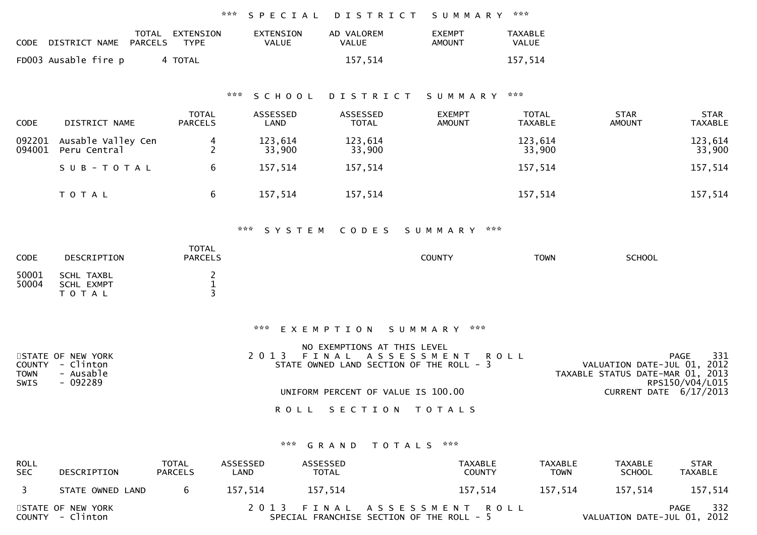|                              |                                             | ***                                 | SPECIAL                          | DISTRICT                                        | SUMMARY                                                                          | ***                            |                                                                 |                               |
|------------------------------|---------------------------------------------|-------------------------------------|----------------------------------|-------------------------------------------------|----------------------------------------------------------------------------------|--------------------------------|-----------------------------------------------------------------|-------------------------------|
|                              | CODE DISTRICT NAME<br><b>PARCELS</b>        | TOTAL EXTENSION<br><b>TYPE</b>      | <b>EXTENSION</b><br><b>VALUE</b> | AD VALOREM<br>VALUE                             | <b>EXEMPT</b><br><b>AMOUNT</b>                                                   | <b>TAXABLE</b><br>VALUE        |                                                                 |                               |
|                              | FD003 Ausable fire p                        | 4 TOTAL                             |                                  | 157,514                                         |                                                                                  | 157,514                        |                                                                 |                               |
|                              |                                             | ***                                 | SCHOOL                           | DISTRICT                                        | SUMMARY                                                                          | ***                            |                                                                 |                               |
| <b>CODE</b>                  | DISTRICT NAME                               | <b>TOTAL</b><br><b>PARCELS</b>      | ASSESSED<br>LAND                 | ASSESSED<br><b>TOTAL</b>                        | <b>EXEMPT</b><br><b>AMOUNT</b>                                                   | <b>TOTAL</b><br><b>TAXABLE</b> | <b>STAR</b><br><b>AMOUNT</b>                                    | <b>STAR</b><br><b>TAXABLE</b> |
| 092201<br>094001             | Ausable Valley Cen<br>Peru Central          | 4<br>$\overline{2}$                 | 123,614<br>33,900                | 123,614<br>33,900                               |                                                                                  | 123,614<br>33,900              |                                                                 | 123,614<br>33,900             |
|                              | SUB-TOTAL                                   | 6                                   | 157,514                          | 157,514                                         |                                                                                  | 157,514                        |                                                                 | 157,514                       |
|                              | T O T A L                                   | 6                                   | 157,514                          | 157,514                                         |                                                                                  | 157,514                        |                                                                 | 157,514                       |
|                              |                                             |                                     | *** SYSTEM                       | CODES                                           | SUMMARY ***                                                                      |                                |                                                                 |                               |
| CODE                         | DESCRIPTION                                 | <b>TOTAL</b><br><b>PARCELS</b>      |                                  |                                                 | <b>COUNTY</b>                                                                    | <b>TOWN</b>                    | <b>SCHOOL</b>                                                   |                               |
| 50001<br>50004               | <b>SCHL TAXBL</b><br>SCHL EXMPT<br>TOTAL    | $\overline{c}$<br>$\mathbf{1}$<br>3 |                                  |                                                 |                                                                                  |                                |                                                                 |                               |
|                              |                                             |                                     |                                  | *** EXEMPTION SUMMARY ***                       |                                                                                  |                                |                                                                 |                               |
| <b>COUNTY</b><br><b>TOWN</b> | STATE OF NEW YORK<br>- Clinton<br>- Ausable |                                     | 2 0 1 3                          | NO EXEMPTIONS AT THIS LEVEL<br>FINAL ASSESSMENT | STATE OWNED LAND SECTION OF THE ROLL - 3                                         | <b>ROLL</b>                    | VALUATION DATE-JUL 01, 2012<br>TAXABLE STATUS DATE-MAR 01, 2013 | 331<br>PAGE                   |
| <b>SWIS</b>                  | $-092289$                                   |                                     |                                  | UNIFORM PERCENT OF VALUE IS 100.00              |                                                                                  |                                | CURRENT DATE 6/17/2013                                          | RPS150/V04/L015               |
|                              |                                             |                                     |                                  | ROLL SECTION TOTALS                             |                                                                                  |                                |                                                                 |                               |
|                              |                                             |                                     | ***                              | GRAND<br>TOTALS                                 | $\boldsymbol{\mathcal{R}}$ $\boldsymbol{\mathcal{R}}$ $\boldsymbol{\mathcal{R}}$ |                                |                                                                 |                               |
| ROL L                        |                                             | <b>TOTAL</b><br><b>ASSESSED</b>     |                                  | ASSESSED                                        | TAYARI F                                                                         | TAYARI F                       | TAYARIF                                                         | <b>STAR</b>                   |

| ROLL<br><b>SEC</b> | DESCRIPTION                           | TOTAL<br><b>PARCELS</b> | ASSESSED<br>LAND | ASSESSED<br><b>TOTAL</b> | TAXABLE<br><b>COUNTY</b>                                                | TAXABLE<br><b>TOWN</b> | TAXABLE<br><b>SCHOOL</b>    | <b>STAR</b><br>TAXABLE |
|--------------------|---------------------------------------|-------------------------|------------------|--------------------------|-------------------------------------------------------------------------|------------------------|-----------------------------|------------------------|
|                    | STATE OWNED LAND                      | <sub>b</sub>            | 157.514          | 157.514                  | 157.514                                                                 | 157.514                | 157.514                     | 157,514                |
|                    | STATE OF NEW YORK<br>COUNTY - Clinton |                         |                  |                          | 2013 FINAL ASSESSMENT ROLL<br>SPECIAL FRANCHISE SECTION OF THE ROLL - 5 |                        | VALUATION DATE-JUL 01, 2012 | 332<br>PAGE            |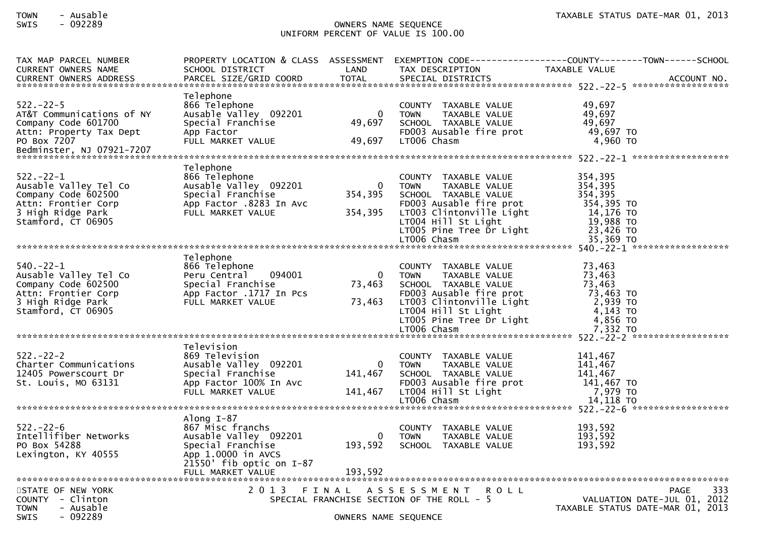# TOWN - Ausable TAXABLE STATUS DATE-MAR 01, 2013SWIS - 092289 OWNERS NAME SEQUENCE UNIFORM PERCENT OF VALUE IS 100.00

| TAX MAP PARCEL NUMBER                                                       |                              |                      |                                                      | PROPERTY LOCATION & CLASS ASSESSMENT EXEMPTION CODE----------------COUNTY-------TOWN------SCHOOL |
|-----------------------------------------------------------------------------|------------------------------|----------------------|------------------------------------------------------|--------------------------------------------------------------------------------------------------|
| <b>CURRENT OWNERS NAME</b>                                                  | SCHOOL DISTRICT              | LAND                 | TAX DESCRIPTION                                      | TAXABLE VALUE                                                                                    |
| <b>CURRENT OWNERS ADDRESS</b>                                               | PARCEL SIZE/GRID COORD TOTAL |                      | SPECIAL DISTRICTS                                    | ACCOUNT NO.                                                                                      |
|                                                                             |                              |                      |                                                      |                                                                                                  |
|                                                                             | Telephone                    |                      |                                                      |                                                                                                  |
| $522 - 22 - 5$                                                              | 866 Telephone                |                      | COUNTY TAXABLE VALUE                                 | 49.697                                                                                           |
| AT&T Communications of NY                                                   | Ausable Valley 092201        | $\mathbf 0$          | TAXABLE VALUE<br><b>TOWN</b>                         | 49,697                                                                                           |
| Company Code 601700                                                         | Special Franchise            | 49,697               | SCHOOL TAXABLE VALUE                                 | 49,697                                                                                           |
| Attn: Property Tax Dept                                                     | App Factor                   |                      | FD003 Ausable fire prot                              | 49,697 TO                                                                                        |
| PO Box 7207                                                                 | FULL MARKET VALUE            | 49,697               | LT006 Chasm                                          | 4,960 TO                                                                                         |
| Bedminster, NJ 07921-7207                                                   |                              |                      |                                                      |                                                                                                  |
|                                                                             |                              |                      |                                                      |                                                                                                  |
|                                                                             | Telephone                    |                      |                                                      |                                                                                                  |
| $522 - 22 - 1$                                                              | 866 Telephone                |                      | COUNTY TAXABLE VALUE                                 | 354,395                                                                                          |
| Ausable Valley Tel Co                                                       | Ausable valley 092201        | $\mathbf{0}$         | TAXABLE VALUE<br><b>TOWN</b>                         | 354,395                                                                                          |
| Company Code 602500                                                         | Special Franchise            | 354,395              | SCHOOL TAXABLE VALUE                                 | 354,395                                                                                          |
| Attn: Frontier Corp                                                         | App Factor .8283 In Avc      |                      | FD003 Ausable fire prot                              | 354,395 TO                                                                                       |
| 3 High Ridge Park                                                           | FULL MARKET VALUE            | 354,395              |                                                      | 14,176 TO                                                                                        |
| Stamford, CT 06905                                                          |                              |                      | LT003 Clintonville Light<br>LT004 Hill St Light      | 19,988 то<br>23,426 то                                                                           |
|                                                                             |                              |                      |                                                      |                                                                                                  |
|                                                                             |                              |                      |                                                      |                                                                                                  |
|                                                                             |                              |                      |                                                      |                                                                                                  |
|                                                                             | Telephone                    |                      |                                                      |                                                                                                  |
| $540.-22-1$                                                                 | 866 Telephone                |                      | COUNTY TAXABLE VALUE                                 | 73,463                                                                                           |
| Ausable Valley Tel Co                                                       | 094001<br>Peru Central       | $\Omega$             | TAXABLE VALUE<br><b>TOWN</b>                         | 73,463                                                                                           |
|                                                                             | Special Franchise            | 73,463               | SCHOOL TAXABLE VALUE                                 | 73,463                                                                                           |
| ر المرسم:<br>Attn: Frontier Corp<br>3 High Ridge Park<br>Stamford, CT 06905 |                              |                      |                                                      | $73,463$ TO                                                                                      |
|                                                                             | App Factor .1717 In Pcs      |                      | FD003 Ausable fire prot<br>LT003 Clintonville Light  |                                                                                                  |
|                                                                             | FULL MARKET VALUE            | 73,463               |                                                      | 2,939 то<br>4,143 то                                                                             |
|                                                                             |                              |                      | LT004 Hill St Light                                  |                                                                                                  |
|                                                                             |                              |                      | LTOO5 Pine Tree Dr Light<br>LTOO5 Pine Tree Dr Light | 4,856 TO                                                                                         |
|                                                                             |                              |                      |                                                      | 7,332 TO                                                                                         |
|                                                                             |                              |                      |                                                      |                                                                                                  |
|                                                                             | Television                   |                      |                                                      |                                                                                                  |
| $522 - 22 - 2$                                                              | 869 Television               |                      | COUNTY TAXABLE VALUE                                 | 141,467                                                                                          |
| Charter Communications                                                      | Ausable Valley 092201        | $\mathbf{0}$         | <b>TOWN</b><br>TAXABLE VALUE                         | 141,467                                                                                          |
| 12405 Powerscourt Dr<br>St Louis Mo Casa                                    | Special Franchise            | 141,467              | SCHOOL TAXABLE VALUE                                 | 141,467                                                                                          |
| St. Louis, MO 63131                                                         | App Factor 100% In Avc       |                      | FD003 Ausable fire prot                              | 141,467 TO                                                                                       |
|                                                                             | FULL MARKET VALUE            | 141,467              | LT004 Hill St Light                                  | 7,979 TO                                                                                         |
|                                                                             |                              |                      | LT006 Chasm                                          | 14,118 TO                                                                                        |
|                                                                             |                              |                      |                                                      |                                                                                                  |
|                                                                             | Along $I-87$                 |                      |                                                      |                                                                                                  |
| $522 - 22 - 6$                                                              | 867 Misc franchs             |                      | COUNTY TAXABLE VALUE                                 | 193,592                                                                                          |
| Intellifiber Networks                                                       | Ausable Valley 092201        |                      | 0 TOWN<br>TAXABLE VALUE                              | 193,592                                                                                          |
| PO Box 54288                                                                | Special Franchise            | 193,592              | SCHOOL TAXABLE VALUE                                 | 193,592                                                                                          |
| Lexington, KY 40555                                                         | App 1.0000 in AVCS           |                      |                                                      |                                                                                                  |
|                                                                             | $21550'$ fib optic on $I-87$ |                      |                                                      |                                                                                                  |
|                                                                             | FULL MARKET VALUE            | 193,592              |                                                      |                                                                                                  |
|                                                                             |                              |                      |                                                      |                                                                                                  |
| STATE OF NEW YORK                                                           | 2 0 1 3                      |                      | <b>ROLL</b><br>FINAL ASSESSMENT                      | 333<br><b>PAGE</b>                                                                               |
| $COUNTY - Clinton$                                                          |                              |                      | SPECIAL FRANCHISE SECTION OF THE ROLL - 5            | VALUATION DATE-JUL 01, 2012                                                                      |
| <b>TOWN</b><br>- Ausable                                                    |                              |                      |                                                      | TAXABLE STATUS DATE-MAR 01, 2013                                                                 |
| <b>SWIS</b><br>- 092289                                                     |                              |                      |                                                      |                                                                                                  |
|                                                                             |                              | OWNERS NAME SEQUENCE |                                                      |                                                                                                  |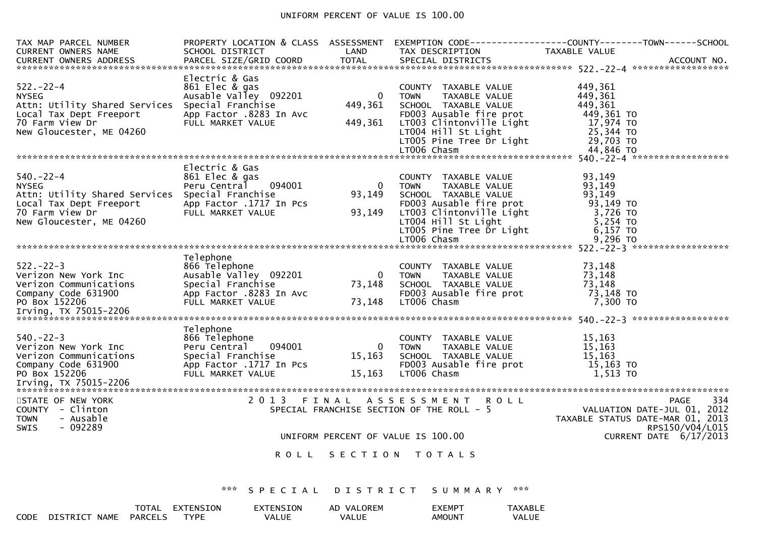# UNIFORM PERCENT OF VALUE IS 100.00

| TAX MAP PARCEL NUMBER                                                                                                                                       |                                                                                                                                |                                    |                                                                                                                                                                                                       | PROPERTY LOCATION & CLASS ASSESSMENT EXEMPTION CODE----------------COUNTY-------TOWN------SCHOOL  |
|-------------------------------------------------------------------------------------------------------------------------------------------------------------|--------------------------------------------------------------------------------------------------------------------------------|------------------------------------|-------------------------------------------------------------------------------------------------------------------------------------------------------------------------------------------------------|---------------------------------------------------------------------------------------------------|
| <b>CURRENT OWNERS NAME</b>                                                                                                                                  | SCHOOL DISTRICT                                                                                                                | LAND                               | TAX DESCRIPTION                                                                                                                                                                                       | TAXABLE VALUE                                                                                     |
|                                                                                                                                                             |                                                                                                                                |                                    |                                                                                                                                                                                                       |                                                                                                   |
| $522 - 22 - 4$<br><b>NYSEG</b><br>Attn: Utility Shared Services<br>Local Tax Dept Freeport<br>70 Farm View Dr<br>New Gloucester, ME 04260                   | Electric & Gas<br>861 Elec & gas<br>Ausable Valley 092201<br>Special Franchise<br>App Factor .8283 In Avc<br>FULL MARKET VALUE | $\Omega$<br>449,361<br>449,361     | COUNTY TAXABLE VALUE<br>TAXABLE VALUE<br><b>TOWN</b><br>SCHOOL TAXABLE VALUE<br>FD003 Ausable fire prot<br>LT003 Clintonville Light<br>LTOO4 Hill St Light<br>LTOO5 Pine Tree Dr Light<br>LTOO6 Chasm | 449,361<br>449,361<br>449,361<br>449,361 TO<br>17,974 TO<br>25,344 TO<br>29,703 TO                |
|                                                                                                                                                             |                                                                                                                                |                                    |                                                                                                                                                                                                       |                                                                                                   |
| $540 - 22 - 4$<br><b>NYSEG</b><br>Attn: Utility Shared Services Special Franchise<br>Local Tax Dept Freeport<br>70 Farm View Dr<br>New Gloucester, ME 04260 | Electric & Gas<br>861 Elec & gas<br>Peru Central 094001<br>App Factor .1717 In Pcs<br>FULL MARKET VALUE                        | $\Omega$<br>93,149<br>93,149       | COUNTY TAXABLE VALUE<br><b>TOWN</b><br>TAXABLE VALUE<br>SCHOOL TAXABLE VALUE<br>FD003 Ausable fire prot<br>LT003 Clintonville Light<br>LT004 Hill St Light<br>LT005 Pine Tree Dr Light<br>LT006 Chasm | 93.149<br>93,149<br>93,149<br>93,149 то<br>3,726 TO<br>5,254 TO<br>$6,157$ TO<br>9,296 то         |
|                                                                                                                                                             |                                                                                                                                |                                    |                                                                                                                                                                                                       |                                                                                                   |
| $522 - 22 - 3$<br>Verizon New York Inc<br>Verizon Communications<br>Company Code 631900<br>PO Box 152206                                                    | Telephone<br>866 Telephone<br>Ausable valley 092201<br>Special Franchise<br>App Factor .8283 In Avc<br>FULL MARKET VALUE       | $\overline{0}$<br>73,148<br>73,148 | COUNTY TAXABLE VALUE<br>TAXABLE VALUE<br><b>TOWN</b><br>SCHOOL TAXABLE VALUE<br>FD003 Ausable fire prot<br>LT006 Chasm                                                                                | 73,148<br>73,148<br>73,148<br>73,148 TO<br>7,300 TO                                               |
| $540. -22 - 3$<br>Verizon New York Inc<br>Verizon Communications<br>Company Code 631900                                                                     | Telephone<br>866 Telephone<br>Peru Central 094001<br>Special Franchise<br>App Factor .1717 In Pcs                              | $\Omega$<br>15,163                 | COUNTY TAXABLE VALUE<br><b>TOWN</b><br>TAXABLE VALUE<br>SCHOOL TAXABLE VALUE<br>FD003 Ausable fire prot                                                                                               | 15.163<br>15,163<br>15, 163<br>15,163 TO                                                          |
| PO Box 152206                                                                                                                                               | FULL MARKET VALUE                                                                                                              | 15,163                             | LT006 Chasm                                                                                                                                                                                           | 1,513 TO                                                                                          |
|                                                                                                                                                             |                                                                                                                                |                                    |                                                                                                                                                                                                       |                                                                                                   |
| STATE OF NEW YORK<br>COUNTY - Clinton<br>- Ausable<br><b>TOWN</b><br>$-092289$<br><b>SWIS</b>                                                               |                                                                                                                                |                                    | 2013 FINAL ASSESSMENT ROLL<br>SPECIAL FRANCHISE SECTION OF THE ROLL - 5                                                                                                                               | 334<br>PAGE<br>VALUATION DATE-JUL 01, 2012<br>TAXABLE STATUS DATE-MAR 01, 2013<br>RPS150/V04/L015 |
|                                                                                                                                                             |                                                                                                                                |                                    | UNIFORM PERCENT OF VALUE IS 100.00                                                                                                                                                                    | CURRENT DATE 6/17/2013                                                                            |
|                                                                                                                                                             |                                                                                                                                |                                    | ROLL SECTION TOTALS                                                                                                                                                                                   |                                                                                                   |
|                                                                                                                                                             | ***<br>SPECIAL                                                                                                                 |                                    | DISTRICT SUMMARY ***                                                                                                                                                                                  |                                                                                                   |
|                                                                                                                                                             |                                                                                                                                |                                    |                                                                                                                                                                                                       |                                                                                                   |

|      |                            | TOTAL          | EXTENSION | <b>EXTENSION</b> | VALOREM<br>AD | EXEMPI             | TAXABLE |
|------|----------------------------|----------------|-----------|------------------|---------------|--------------------|---------|
| CODE | <b>NAME</b><br>$DTSTRTC^-$ | <b>PARCELS</b> | TVPF      | VALUE            | VALUE         | AMOUN <sup>-</sup> | VALUE   |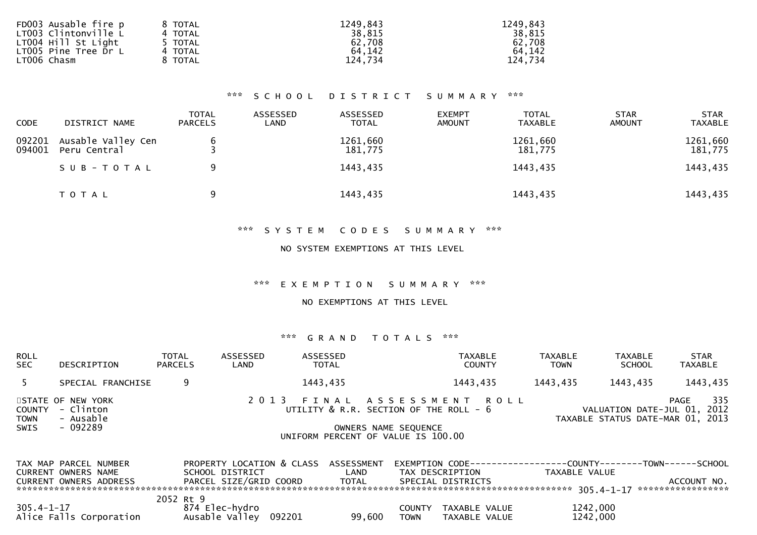| FD003 Ausable fire p | 8 TOTAL | 1249,843 | 1249,843 |
|----------------------|---------|----------|----------|
| LT003 Clintonville L | 4 TOTAL | 38,815   | 38,815   |
| LT004 Hill St Light  | TOTAL   | 62,708   | 62,708   |
| LT005 Pine Tree Dr L | 4 TOTAL | 64.142   | 64,142   |
| LT006 Chasm          | TOTAL   | 124.734  | 124,734  |
|                      |         |          |          |

## \*\*\* S C H O O L D I S T R I C T S U M M A R Y \*\*\*

| <b>CODE</b>      | DISTRICT NAME                      | <b>TOTAL</b><br><b>PARCELS</b> | ASSESSED<br>LAND | ASSESSED<br><b>TOTAL</b> | <b>EXEMPT</b><br><b>AMOUNT</b> | <b>TOTAL</b><br><b>TAXABLE</b> | <b>STAR</b><br><b>AMOUNT</b> | <b>STAR</b><br><b>TAXABLE</b> |
|------------------|------------------------------------|--------------------------------|------------------|--------------------------|--------------------------------|--------------------------------|------------------------------|-------------------------------|
| 092201<br>094001 | Ausable Valley Cen<br>Peru Central |                                |                  | 1261,660<br>181,775      |                                | 1261,660<br>181,775            |                              | 1261,660<br>181,775           |
|                  | SUB-TOTAL                          | 9                              |                  | 1443,435                 |                                | 1443,435                       |                              | 1443,435                      |
|                  | T O T A L                          | 9                              |                  | 1443,435                 |                                | 1443,435                       |                              | 1443,435                      |

#### \*\*\* S Y S T E M C O D E S S U M M A R Y \*\*\*

## NO SYSTEM EXEMPTIONS AT THIS LEVEL

#### \*\*\* E X E M P T I O N S U M M A R Y \*\*\*

### NO EXEMPTIONS AT THIS LEVEL

## \*\*\* G R A N D T O T A L S \*\*\*

| <b>ROLL</b><br><b>SEC</b>    | DESCRIPTION                                                 | <b>TOTAL</b><br><b>PARCELS</b> | ASSESSED<br>LAND                                |         | ASSESSED<br><b>TOTAL</b> |                                                                      | <b>TAXABLE</b><br><b>COUNTY</b>      | <b>TAXABLE</b><br><b>TOWN</b> | TAXABLE<br><b>SCHOOL</b> | <b>STAR</b><br><b>TAXABLE</b>                                                  |
|------------------------------|-------------------------------------------------------------|--------------------------------|-------------------------------------------------|---------|--------------------------|----------------------------------------------------------------------|--------------------------------------|-------------------------------|--------------------------|--------------------------------------------------------------------------------|
| .5.                          | SPECIAL FRANCHISE                                           |                                | 9                                               |         | 1443,435                 |                                                                      | 1443,435                             | 1443,435                      | 1443,435                 | 1443,435                                                                       |
| <b>COUNTY</b><br><b>TOWN</b> | STATE OF NEW YORK<br>- Clinton<br>- Ausable                 |                                |                                                 | 2 0 1 3 |                          | FINAL ASSESSMENT ROLL<br>UTILITY $\&$ R.R. SECTION OF THE ROLL - $6$ |                                      |                               |                          | 335<br>PAGE<br>VALUATION DATE-JUL 01, 2012<br>TAXABLE STATUS DATE-MAR 01, 2013 |
| SWIS                         | - 092289                                                    |                                |                                                 |         |                          | OWNERS NAME SEQUENCE<br>UNIFORM PERCENT OF VALUE IS 100.00           |                                      |                               |                          |                                                                                |
|                              | TAX MAP PARCEL NUMBER                                       |                                | PROPERTY LOCATION & CLASS                       |         | ASSESSMENT               | EXEMPTION CODE---                                                    |                                      |                               |                          | -----------COUNTY--------TOWN------SCHOOL                                      |
|                              | <b>CURRENT OWNERS NAME</b><br><b>CURRENT OWNERS ADDRESS</b> |                                | SCHOOL DISTRICT<br>PARCEL SIZE/GRID COORD TOTAL |         | LAND                     |                                                                      | TAX DESCRIPTION<br>SPECIAL DISTRICTS |                               | TAXABLE VALUE            | ACCOUNT NO.<br>*****************                                               |
|                              |                                                             | 2052 Rt 9                      |                                                 |         |                          |                                                                      |                                      |                               |                          |                                                                                |
| 305.4-1-17                   | Alice Falls Corporation                                     |                                | 874 Elec-hydro<br>Ausable Valley 092201         |         | 99.600                   | <b>COUNTY</b><br><b>TOWN</b>                                         | TAXABLE VALUE<br>TAXABLE VALUE       |                               | 1242,000<br>1242,000     |                                                                                |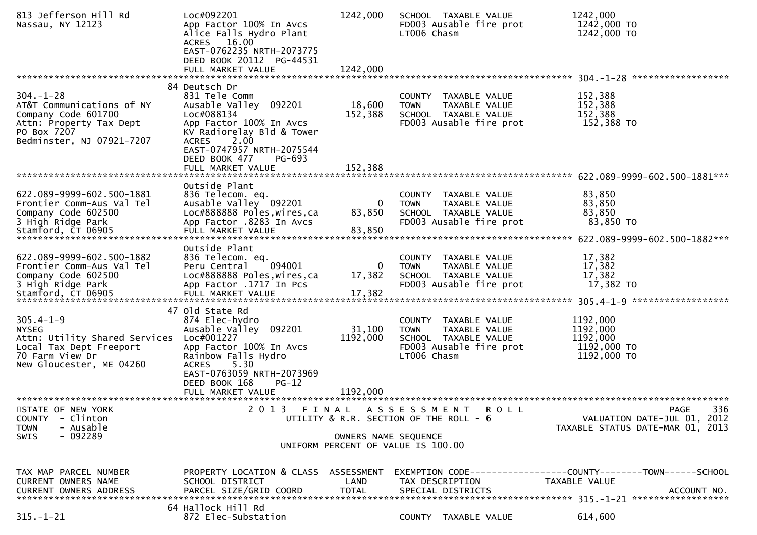| 813 Jefferson Hill Rd<br>Nassau, NY 12123                                                                                                  | Loc#092201<br>App Factor 100% In Avcs<br>Alice Falls Hydro Plant<br>ACRES 16.00<br>EAST-0762235 NRTH-2073775<br>DEED BOOK 20112 PG-44531                                                                                                  | 1242,000                       | SCHOOL TAXABLE VALUE<br>FD003 Ausable fire prot<br>LT006 Chasm                                                         | 1242,000<br>1242,000 TO<br>1242,000 TO                                                              |
|--------------------------------------------------------------------------------------------------------------------------------------------|-------------------------------------------------------------------------------------------------------------------------------------------------------------------------------------------------------------------------------------------|--------------------------------|------------------------------------------------------------------------------------------------------------------------|-----------------------------------------------------------------------------------------------------|
|                                                                                                                                            | FULL MARKET VALUE                                                                                                                                                                                                                         | 1242,000                       |                                                                                                                        |                                                                                                     |
| $304. - 1 - 28$<br>AT&T Communications of NY<br>Company Code 601700<br>Attn: Property Tax Dept<br>PO Box 7207<br>Bedminster, NJ 07921-7207 | 84 Deutsch Dr<br>831 Tele Comm<br>Ausable Valley 092201<br>Loc#088134<br>App Factor 100% In Avcs<br>KV Radiorelay Bld & Tower<br><b>ACRES</b><br>2.00<br>EAST-0747957 NRTH-2075544<br>DEED BOOK 477<br><b>PG-693</b><br>FULL MARKET VALUE | 18,600<br>152,388<br>152,388   | COUNTY TAXABLE VALUE<br><b>TOWN</b><br>TAXABLE VALUE<br>SCHOOL TAXABLE VALUE<br>FD003 Ausable fire prot                | 152,388<br>152,388<br>152,388<br>152,388 TO                                                         |
|                                                                                                                                            |                                                                                                                                                                                                                                           |                                |                                                                                                                        |                                                                                                     |
| 622.089-9999-602.500-1881<br>Frontier Comm-Aus Val Tel<br>Company Code 602500<br>3 High Ridge Park<br>Stamford, CT 06905                   | Outside Plant<br>836 Telecom. eq.<br>Ausable Valley 092201<br>Loc#888888 Poles, wires, ca<br>App Factor .8283 In Avcs<br>FULL MARKET VALUE                                                                                                | 0<br>83,850<br>83,850          | COUNTY TAXABLE VALUE<br><b>TOWN</b><br>TAXABLE VALUE<br>SCHOOL TAXABLE VALUE<br>FD003 Ausable fire prot                | 83,850<br>83,850<br>83,850<br>83,850 TO                                                             |
| 622.089-9999-602.500-1882<br>Frontier Comm-Aus Val Tel<br>Company Code 602500<br>3 High Ridge Park<br>Stamford, CT 06905                   | Outside Plant<br>836 Telecom. eq.<br>094001<br>Peru Central<br>Loc#888888 Poles, wires, ca<br>App Factor .1717 In Pcs<br>FULL MARKET VALUE                                                                                                | 0<br>17,382<br>17,382          | COUNTY TAXABLE VALUE<br><b>TOWN</b><br>TAXABLE VALUE<br>SCHOOL TAXABLE VALUE<br>FD003 Ausable fire prot                | 17,382<br>17,382<br>17,382<br>17,382 TO                                                             |
| $305.4 - 1 - 9$<br><b>NYSEG</b><br>Attn: Utility Shared Services<br>Local Tax Dept Freeport<br>70 Farm View Dr<br>New Gloucester, ME 04260 | 47 Old State Rd<br>874 Elec-hydro<br>Ausable Valley 092201<br>Loc#001227<br>App Factor 100% In Avcs<br>Rainbow Falls Hydro<br>5.30<br><b>ACRES</b><br>EAST-0763059 NRTH-2073969<br>DEED BOOK 168<br>$PG-12$<br>FULL MARKET VALUE          | 31,100<br>1192,000<br>1192,000 | COUNTY TAXABLE VALUE<br><b>TOWN</b><br>TAXABLE VALUE<br>SCHOOL TAXABLE VALUE<br>FD003 Ausable fire prot<br>LT006 Chasm | 1192,000<br>1192,000<br>1192,000<br>1192,000 TO<br>1192,000 TO                                      |
| STATE OF NEW YORK<br>- Clinton<br><b>COUNTY</b><br>- Ausable<br><b>TOWN</b><br>$-092289$<br>SWIS                                           | 2 0 1 3                                                                                                                                                                                                                                   | FINAL<br>OWNERS NAME SEQUENCE  | A S S E S S M E N T<br>R O L L<br>UTILITY & R.R. SECTION OF THE ROLL - 6<br>UNIFORM PERCENT OF VALUE IS 100.00         | 336<br><b>PAGE</b><br>VALUATION DATE-JUL 01, 2012<br>TAXABLE STATUS DATE-MAR 01, 2013               |
| TAX MAP PARCEL NUMBER<br>CURRENT OWNERS NAME<br><b>CURRENT OWNERS ADDRESS</b>                                                              | PROPERTY LOCATION & CLASS ASSESSMENT<br>SCHOOL DISTRICT<br>PARCEL SIZE/GRID COORD                                                                                                                                                         | LAND<br><b>TOTAL</b>           | TAX DESCRIPTION<br>SPECIAL DISTRICTS                                                                                   | EXEMPTION        CODE-----------------COUNTY-------TOWN------SCHOOL<br>TAXABLE VALUE<br>ACCOUNT NO. |
| $315. - 1 - 21$                                                                                                                            | 64 Hallock Hill Rd<br>872 Elec-Substation                                                                                                                                                                                                 |                                | COUNTY TAXABLE VALUE                                                                                                   | 614,600                                                                                             |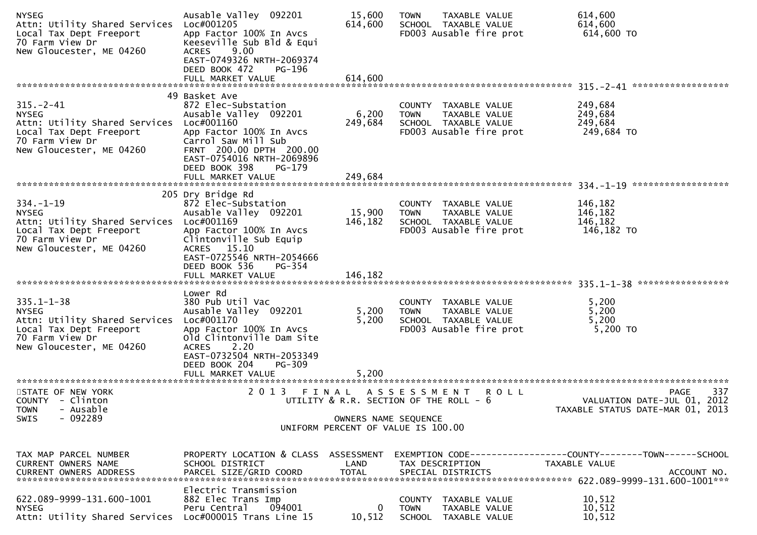| <b>NYSEG</b><br>Attn: Utility Shared Services<br>Local Tax Dept Freeport<br>70 Farm View Dr<br>New Gloucester, ME 04260                     | Ausable Valley 092201<br>Loc#001205<br>App Factor 100% In Avcs<br>Keeseville Sub Bld & Equi<br>9.00<br><b>ACRES</b><br>EAST-0749326 NRTH-2069374<br>DEED BOOK 472<br>PG-196<br>FULL MARKET VALUE                 | 15,600<br>614,600<br>614,600 | <b>TOWN</b><br>TAXABLE VALUE<br>SCHOOL TAXABLE VALUE<br>FD003 Ausable fire prot                         | 614,600<br>614,600<br>614,600 TO                                                      |
|---------------------------------------------------------------------------------------------------------------------------------------------|------------------------------------------------------------------------------------------------------------------------------------------------------------------------------------------------------------------|------------------------------|---------------------------------------------------------------------------------------------------------|---------------------------------------------------------------------------------------|
|                                                                                                                                             |                                                                                                                                                                                                                  |                              |                                                                                                         |                                                                                       |
| $315. - 2 - 41$<br><b>NYSEG</b><br>Attn: Utility Shared Services<br>Local Tax Dept Freeport<br>70 Farm View Dr<br>New Gloucester, ME 04260  | 49 Basket Ave<br>872 Elec-Substation<br>Ausable Valley 092201<br>Loc#001160<br>App Factor 100% In Avcs<br>Carrol Saw Mill Sub<br>FRNT 200.00 DPTH 200.00<br>EAST-0754016 NRTH-2069896<br>DEED BOOK 398<br>PG-179 | 6,200<br>249,684             | COUNTY TAXABLE VALUE<br>TAXABLE VALUE<br><b>TOWN</b><br>SCHOOL TAXABLE VALUE<br>FD003 Ausable fire prot | 249,684<br>249,684<br>249,684<br>249,684 TO                                           |
|                                                                                                                                             |                                                                                                                                                                                                                  |                              |                                                                                                         |                                                                                       |
| $334. - 1 - 19$<br><b>NYSEG</b><br>Attn: Utility Shared Services<br>Local Tax Dept Freeport<br>70 Farm View Dr<br>New Gloucester, ME 04260  | 205 Dry Bridge Rd<br>872 Elec-Substation<br>Ausable Valley 092201<br>Loc#001169<br>App Factor 100% In Avcs<br>Clintonville Sub Equip<br>ACRES 15.10<br>EAST-0725546 NRTH-2054666<br>DEED BOOK 536<br>$PG-354$    | 15,900<br>146,182            | COUNTY TAXABLE VALUE<br>TAXABLE VALUE<br><b>TOWN</b><br>SCHOOL TAXABLE VALUE<br>FD003 Ausable fire prot | 146,182<br>146,182<br>146,182<br>146,182 TO                                           |
|                                                                                                                                             |                                                                                                                                                                                                                  |                              |                                                                                                         |                                                                                       |
| $335.1 - 1 - 38$<br><b>NYSEG</b><br>Attn: Utility Shared Services<br>Local Tax Dept Freeport<br>70 Farm View Dr<br>New Gloucester, ME 04260 | Lower Rd<br>380 Pub Util Vac<br>Ausable Valley 092201<br>Loc#001170<br>App Factor 100% In Avcs<br>old Clintonville Dam Site<br>ACRES<br>2.20<br>EAST-0732504 NRTH-2053349<br>DEED BOOK 204<br>PG-309             | 5,200<br>5,200               | COUNTY TAXABLE VALUE<br>TAXABLE VALUE<br><b>TOWN</b><br>SCHOOL TAXABLE VALUE<br>FD003 Ausable fire prot | 5,200<br>5,200<br>5,200<br>5,200 TO                                                   |
|                                                                                                                                             | FULL MARKET VALUE                                                                                                                                                                                                | 5,200                        |                                                                                                         |                                                                                       |
| STATE OF NEW YORK<br>COUNTY - Clinton<br>- Ausable<br><b>TOWN</b><br>$-092289$                                                              | 2013 FINAL                                                                                                                                                                                                       |                              | A S S E S S M E N T<br><b>ROLL</b><br>UTILITY & R.R. SECTION OF THE ROLL - 6                            | 337<br><b>PAGE</b><br>VALUATION DATE-JUL 01, 2012<br>TAXABLE STATUS DATE-MAR 01, 2013 |
| <b>SWIS</b>                                                                                                                                 |                                                                                                                                                                                                                  | OWNERS NAME SEQUENCE         | UNIFORM PERCENT OF VALUE IS 100.00                                                                      |                                                                                       |
| TAX MAP PARCEL NUMBER<br>CURRENT OWNERS NAME                                                                                                | PROPERTY LOCATION & CLASS ASSESSMENT<br>SCHOOL DISTRICT                                                                                                                                                          | LAND                         | TAX DESCRIPTION                                                                                         | EXEMPTION CODE-----------------COUNTY-------TOWN------SCHOOL<br>TAXABLE VALUE         |
| 622.089-9999-131.600-1001<br><b>NYSEG</b><br>Attn: Utility Shared Services                                                                  | Electric Transmission<br>882 Elec Trans Imp<br>Peru Central<br>094001<br>Loc#000015 Trans Line 15                                                                                                                | $\bf{0}$<br>10,512           | COUNTY TAXABLE VALUE<br>TAXABLE VALUE<br><b>TOWN</b><br>SCHOOL TAXABLE VALUE                            | 10,512<br>10,512<br>10,512                                                            |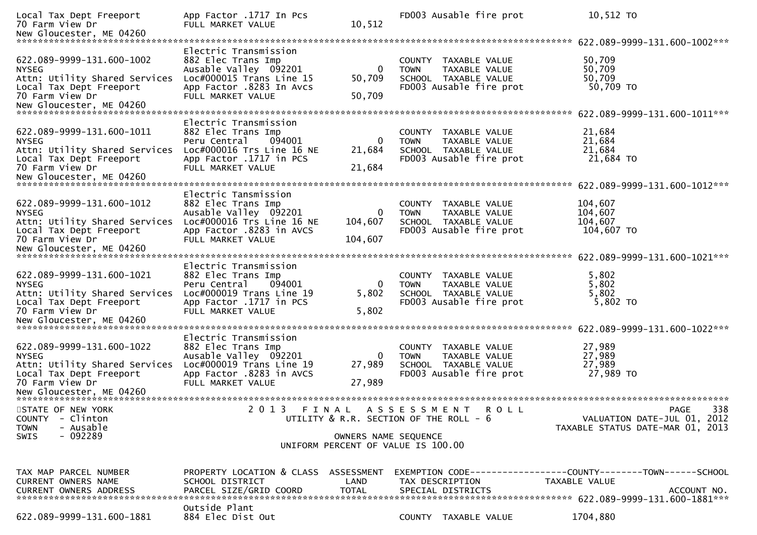| Local Tax Dept Freeport<br>70 Farm View Dr                                                                                                                                              | App Factor .1717 In Pcs<br>FULL MARKET VALUE                                                                                                         | 10,512                             | FD003 Ausable fire prot                                                                                 | 10,512 TO                                                                                    |
|-----------------------------------------------------------------------------------------------------------------------------------------------------------------------------------------|------------------------------------------------------------------------------------------------------------------------------------------------------|------------------------------------|---------------------------------------------------------------------------------------------------------|----------------------------------------------------------------------------------------------|
|                                                                                                                                                                                         |                                                                                                                                                      |                                    |                                                                                                         | 622.089-9999-131.600-1002***                                                                 |
| 622.089-9999-131.600-1002<br><b>NYSEG</b><br>Attn: Utility Shared Services<br>Local Tax Dept Freeport<br>70 Farm View Dr                                                                | Electric Transmission<br>882 Elec Trans Imp<br>Ausable Valley 092201<br>Loc#000015 Trans Line 15<br>App Factor .8283 In Avcs<br>FULL MARKET VALUE    | 50,709<br>50,709                   | COUNTY TAXABLE VALUE<br><b>TOWN</b><br>TAXABLE VALUE<br>SCHOOL TAXABLE VALUE<br>FD003 Ausable fire prot | 50,709<br>50,709<br>50,709<br>50,709 TO                                                      |
|                                                                                                                                                                                         |                                                                                                                                                      |                                    |                                                                                                         |                                                                                              |
| 622.089-9999-131.600-1011<br><b>NYSEG</b><br>Attn: Utility Shared Services<br>Local Tax Dept Freeport<br>70 Farm View Dr<br>New Gloucester, ME 04260<br>******************************* | Electric Transmission<br>882 Elec Trans Imp<br>Peru Central<br>094001<br>$Loc#000016$ Trs Line 16 NE<br>App Factor .1717 in PCS<br>FULL MARKET VALUE | 21,684<br>21,684                   | COUNTY TAXABLE VALUE<br>TAXABLE VALUE<br><b>TOWN</b><br>SCHOOL TAXABLE VALUE<br>FD003 Ausable fire prot | 21,684<br>21,684<br>21,684<br>21,684 TO                                                      |
|                                                                                                                                                                                         |                                                                                                                                                      |                                    |                                                                                                         | 622.089-9999-131.600-1012***                                                                 |
| 622.089-9999-131.600-1012<br><b>NYSEG</b><br>Attn: Utility Shared Services<br>Local Tax Dept Freeport<br>70 Farm View Dr                                                                | Electric Tansmission<br>882 Elec Trans Imp<br>Ausable Valley 092201<br>Loc#000016 Trs Line 16 NE<br>App Factor .8283 in AVCS<br>FULL MARKET VALUE    | 0<br>104,607<br>104,607            | COUNTY TAXABLE VALUE<br>TAXABLE VALUE<br><b>TOWN</b><br>SCHOOL TAXABLE VALUE<br>FD003 Ausable fire prot | 104,607<br>104,607<br>104,607<br>104,607 TO                                                  |
|                                                                                                                                                                                         |                                                                                                                                                      |                                    |                                                                                                         |                                                                                              |
| 622.089-9999-131.600-1021<br><b>NYSEG</b><br>Attn: Utility Shared Services<br>Local Tax Dept Freeport<br>70 Farm View Dr                                                                | Electric Transmission<br>882 Elec Trans Imp<br>Peru Central<br>094001<br>Loc#000019 Trans Line 19<br>App Factor .1717 in PCS<br>FULL MARKET VALUE    | 0<br>5,802<br>5,802                | COUNTY TAXABLE VALUE<br>TAXABLE VALUE<br><b>TOWN</b><br>SCHOOL TAXABLE VALUE<br>FD003 Ausable fire prot | 5,802<br>5,802<br>5,802<br>5,802 TO                                                          |
|                                                                                                                                                                                         |                                                                                                                                                      |                                    |                                                                                                         |                                                                                              |
| 622.089-9999-131.600-1022<br><b>NYSEG</b><br>Attn: Utility Shared Services<br>Local Tax Dept Freeport<br>70 Farm View Dr                                                                | Electric Transmission<br>882 Elec Trans Imp<br>Ausable Valley 092201<br>Loc#000019 Trans Line 19<br>App Factor .8283 in AVCS<br>FULL MARKET VALUE    | 27,989<br>27,989                   | COUNTY TAXABLE VALUE<br>TAXABLE VALUE<br><b>TOWN</b><br>SCHOOL TAXABLE VALUE<br>FD003 Ausable fire prot | 27,989<br>27,989<br>27,989<br>27,989 TO                                                      |
|                                                                                                                                                                                         |                                                                                                                                                      |                                    |                                                                                                         |                                                                                              |
| STATE OF NEW YORK<br>- Clinton<br><b>COUNTY</b><br><b>TOWN</b><br>- Ausable<br>$-092289$<br><b>SWIS</b>                                                                                 | 2 0 1 3                                                                                                                                              | OWNERS NAME SEQUENCE               | FINAL ASSESSMENT ROLL<br>UTILITY & R.R. SECTION OF THE ROLL - 6                                         | 338<br><b>PAGE</b><br>VALUATION DATE-JUL 01, 2012<br>TAXABLE STATUS DATE-MAR 01, 2013        |
|                                                                                                                                                                                         |                                                                                                                                                      |                                    | UNIFORM PERCENT OF VALUE IS 100.00                                                                      |                                                                                              |
|                                                                                                                                                                                         |                                                                                                                                                      |                                    |                                                                                                         |                                                                                              |
| TAX MAP PARCEL NUMBER<br>CURRENT OWNERS NAME<br><b>CURRENT OWNERS ADDRESS</b>                                                                                                           | PROPERTY LOCATION & CLASS<br>SCHOOL DISTRICT<br>PARCEL SIZE/GRID COORD                                                                               | ASSESSMENT<br>LAND<br><b>TOTAL</b> | TAX DESCRIPTION<br>SPECIAL DISTRICTS                                                                    | EXEMPTION CODE-----------------COUNTY-------TOWN------SCHOOL<br>TAXABLE VALUE<br>ACCOUNT NO. |
| 622.089-9999-131.600-1881                                                                                                                                                               | Outside Plant<br>884 Elec Dist Out                                                                                                                   |                                    | COUNTY TAXABLE VALUE                                                                                    | 1704,880                                                                                     |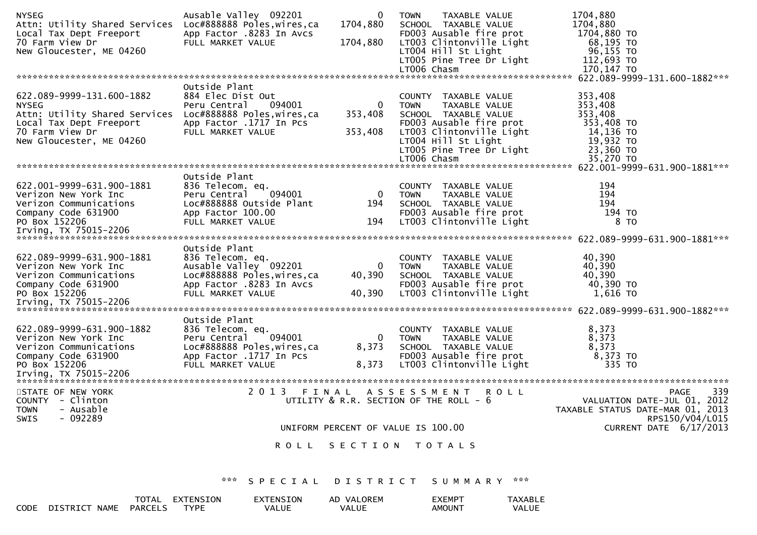| <b>NYSEG</b><br>Attn: Utility Shared Services<br>Local Tax Dept Freeport                                                                                                         | Ausable Valley 092201<br>Loc#888888 Poles, wires, ca<br>App Factor .8283 In Avcs                                                           | 0<br>1704,880                | <b>TAXABLE VALUE</b><br><b>TOWN</b><br>SCHOOL TAXABLE VALUE<br>FD003 Ausable fire prot                                                                                                                       | 1704,880<br>1704,880<br>1704,880 TO                                                             |                                                     |
|----------------------------------------------------------------------------------------------------------------------------------------------------------------------------------|--------------------------------------------------------------------------------------------------------------------------------------------|------------------------------|--------------------------------------------------------------------------------------------------------------------------------------------------------------------------------------------------------------|-------------------------------------------------------------------------------------------------|-----------------------------------------------------|
| 70 Farm View Dr<br>New Gloucester, ME 04260                                                                                                                                      | FULL MARKET VALUE                                                                                                                          | 1704,880                     | LT003 Clintonville Light<br>LT004 Hill St Light<br>LT005 Pine Tree Dr Light                                                                                                                                  | 68,195 TO<br>96,155 TO<br>112,693 TO                                                            |                                                     |
|                                                                                                                                                                                  |                                                                                                                                            |                              | LT006 Chasm                                                                                                                                                                                                  | 170,147 TO                                                                                      |                                                     |
| 622.089-9999-131.600-1882<br><b>NYSEG</b><br>Attn: Utility Shared Services Loc#888888 Poles, wires, ca<br>Local Tax Dept Freeport<br>70 Farm View Dr<br>New Gloucester, ME 04260 | Outside Plant<br>884 Elec Dist Out<br>094001<br>Peru Central<br>App Factor .1717 In Pcs<br>FULL MARKET VALUE                               | 0<br>353,408<br>353,408      | COUNTY TAXABLE VALUE<br><b>TOWN</b><br><b>TAXABLE VALUE</b><br>SCHOOL TAXABLE VALUE<br>FD003 Ausable fire prot<br>LT003 Clintonville Light<br>LT004 Hill St Light<br>LT005 Pine Tree Dr Light<br>LT006 Chasm | 353,408<br>353,408<br>353,408<br>353,408 TO<br>14,136 TO<br>19,932 TO<br>23,360 TO<br>35,270 TO |                                                     |
|                                                                                                                                                                                  | Outside Plant                                                                                                                              |                              |                                                                                                                                                                                                              |                                                                                                 |                                                     |
| 622.001-9999-631.900-1881<br>Verizon New York Inc<br>Verizon Communications<br>Company Code 631900<br>PO Box 152206                                                              | 836 Telecom. eq.<br>094001<br>Peru Central<br>Loc#888888 Outside Plant<br>App Factor 100.00<br>FULL MARKET VALUE                           | $\overline{0}$<br>194<br>194 | COUNTY TAXABLE VALUE<br><b>TOWN</b><br>TAXABLE VALUE<br>SCHOOL TAXABLE VALUE<br>FD003 Ausable fire prot<br>LT003 Clintonville Light                                                                          | 194<br>194<br>194<br>194 TO<br>8 TO                                                             |                                                     |
|                                                                                                                                                                                  |                                                                                                                                            |                              |                                                                                                                                                                                                              |                                                                                                 |                                                     |
| 622.089-9999-631.900-1881<br>Verizon New York Inc<br>Verizon Communications<br>Company Code 631900<br>PO Box 152206                                                              | Outside Plant<br>836 Telecom. eq.<br>Ausable Valley 092201<br>Loc#888888 Poles, wires, ca<br>App Factor .8283 In Avcs<br>FULL MARKET VALUE | 0<br>40,390<br>40,390        | COUNTY TAXABLE VALUE<br>TAXABLE VALUE<br><b>TOWN</b><br>SCHOOL TAXABLE VALUE<br>FD003 Ausable fire prot<br>LT003 Clintonville Light                                                                          | 40,390<br>40,390<br>40,390<br>40,390 TO<br>1,616 TO                                             |                                                     |
| 622.089-9999-631.900-1882<br>Verizon New York Inc<br>Verizon Communications<br>Company Code 631900<br>PO Box 152206                                                              | Outside Plant<br>836 Telecom. eq.<br>094001<br>Peru Central<br>Loc#888888 Poles, wires, ca<br>App Factor .1717 In Pcs<br>FULL MARKET VALUE | 0<br>8,373<br>8,373          | COUNTY TAXABLE VALUE<br>TAXABLE VALUE<br>TOWN<br>SCHOOL TAXABLE VALUE<br>FD003 Ausable fire prot<br>LT003 Clintonville Light                                                                                 | 8,373<br>8,373<br>8,373<br>8,373 TO<br>335 TO                                                   |                                                     |
| STATE OF NEW YORK<br>COUNTY - Clinton                                                                                                                                            | 2 0 1 3                                                                                                                                    | FINAL                        | ASSESSMENT ROLL<br>UTILITY & R.R. SECTION OF THE ROLL - 6                                                                                                                                                    |                                                                                                 | 339<br><b>PAGE</b><br>VALUATION DATE-JUL 01, 2012   |
| - Ausable<br><b>TOWN</b><br>SWIS<br>$-092289$                                                                                                                                    |                                                                                                                                            |                              |                                                                                                                                                                                                              |                                                                                                 | TAXABLE STATUS DATE-MAR 01, 2013<br>RPS150/V04/L015 |
|                                                                                                                                                                                  |                                                                                                                                            |                              | UNIFORM PERCENT OF VALUE IS 100.00                                                                                                                                                                           |                                                                                                 | CURRENT DATE 6/17/2013                              |
|                                                                                                                                                                                  |                                                                                                                                            |                              | ROLL SECTION TOTALS                                                                                                                                                                                          |                                                                                                 |                                                     |
|                                                                                                                                                                                  | *** SPECIAL                                                                                                                                |                              | DISTRICT SUMMARY ***                                                                                                                                                                                         |                                                                                                 |                                                     |
| CODE DISTRICT NAME PARCELS TYPE                                                                                                                                                  | TOTAL EXTENSION<br>EXTENSION<br>VALUE                                                                                                      | AD VALOREM<br>VALUE          | <b>EXEMPT</b><br><b>AMOUNT</b>                                                                                                                                                                               | <b>TAXABLE</b><br>VALUE                                                                         |                                                     |

VALUE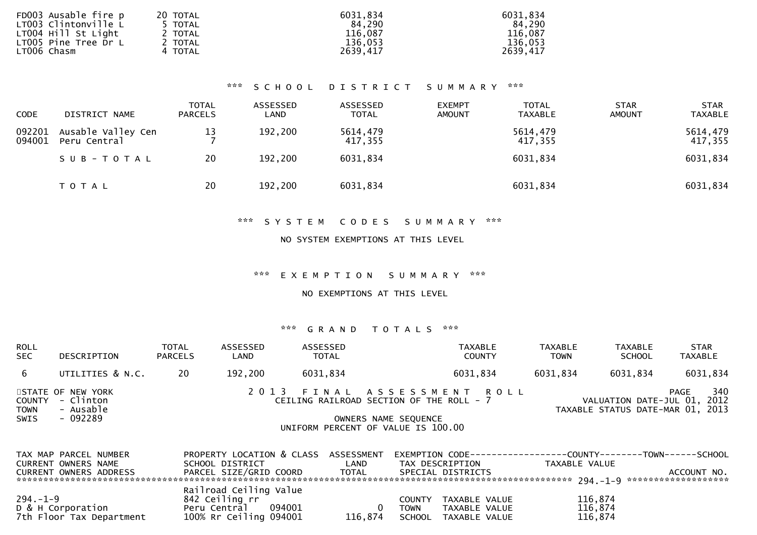| FD003 Ausable fire p | 20 TOTAL | 6031,834 | 6031,834 |
|----------------------|----------|----------|----------|
| LT003 Clintonville L | 5 TOTAL  | 84.290   | 84,290   |
| LT004 Hill St Light  | 2 TOTAL  | 116,087  | 116,087  |
| LT005 Pine Tree Dr L | 2 TOTAL  | 136,053  | 136.053  |
| LT006 Chasm          | 4 TOTAL  | 2639,417 | 2639,417 |
|                      |          |          |          |

### \*\*\* S C H O O L D I S T R I C T S U M M A R Y \*\*\*

| <b>CODE</b>      | DISTRICT NAME                      | <b>TOTAL</b><br><b>PARCELS</b> | ASSESSED<br>LAND | ASSESSED<br><b>TOTAL</b> | <b>EXEMPT</b><br><b>AMOUNT</b> | <b>TOTAL</b><br><b>TAXABLE</b> | <b>STAR</b><br><b>AMOUNT</b> | <b>STAR</b><br><b>TAXABLE</b> |
|------------------|------------------------------------|--------------------------------|------------------|--------------------------|--------------------------------|--------------------------------|------------------------------|-------------------------------|
| 092201<br>094001 | Ausable Valley Cen<br>Peru Central | 13                             | 192,200          | 5614,479<br>417,355      |                                | 5614,479<br>417,355            |                              | 5614,479<br>417,355           |
|                  | SUB-TOTAL                          | 20                             | 192,200          | 6031,834                 |                                | 6031,834                       |                              | 6031,834                      |
|                  | T O T A L                          | 20                             | 192,200          | 6031,834                 |                                | 6031,834                       |                              | 6031,834                      |

### \*\*\* S Y S T E M C O D E S S U M M A R Y \*\*\*

#### NO SYSTEM EXEMPTIONS AT THIS LEVEL

\*\*\* E X E M P T I O N S U M M A R Y \*\*\*

#### NO EXEMPTIONS AT THIS LEVEL

| <b>ROLL</b><br><b>SEC</b>            | DESCRIPTION                                             | <b>TOTAL</b><br><b>PARCELS</b> | ASSESSED<br>LAND                     | <b>ASSESSED</b><br><b>TOTAL</b> | <b>TAXABLE</b><br><b>COUNTY</b>                                                                                                      | <b>TAXABLE</b><br><b>TOWN</b> | <b>TAXABLE</b><br><b>SCHOOL</b>                            | <b>STAR</b><br>TAXABLE |
|--------------------------------------|---------------------------------------------------------|--------------------------------|--------------------------------------|---------------------------------|--------------------------------------------------------------------------------------------------------------------------------------|-------------------------------|------------------------------------------------------------|------------------------|
| 6.                                   | UTILITIES & N.C.                                        | 20                             | 192,200                              | 6031,834                        | 6031,834                                                                                                                             | 6031,834                      | 6031,834                                                   | 6031,834               |
| <b>COUNTY</b><br><b>TOWN</b><br>SWIS | STATE OF NEW YORK<br>- Clinton<br>- Ausable<br>- 092289 |                                |                                      |                                 | 2013 FINAL ASSESSMENT ROLL<br>CEILING RAILROAD SECTION OF THE ROLL - 7<br>OWNERS NAME SEQUENCE<br>UNIFORM PERCENT OF VALUE IS 100.00 |                               | VALUATION DATE-JUL 01,<br>TAXABLE STATUS DATE-MAR 01, 2013 | 340<br>PAGE<br>2012    |
|                                      | TAX MAP PARCEL NUMRER                                   |                                | PROPERTY LOCATION & CLASS ASSESSMENT |                                 | FXFMPTTON CODE------------------COUNTY--------TOWN-------SCHOOL                                                                      |                               |                                                            |                        |

| TAX MAP PARCEL NUMBER    | PROPERTY LOCATION & CLASS ASSESSMENT |              | EXEMPTION        CODE------------------COUNTY-------TOWN------SCHOOL |               |             |
|--------------------------|--------------------------------------|--------------|----------------------------------------------------------------------|---------------|-------------|
| CURRENT OWNERS NAME      | SCHOOL DISTRICT                      | LAND         | TAX DESCRIPTION                                                      | TAXABLE VALUE |             |
| CURRENT OWNERS ADDRESS   | PARCEL SIZE/GRID COORD               | <b>TOTAL</b> | SPECIAL DISTRICTS                                                    |               | ACCOUNT NO. |
|                          |                                      |              |                                                                      |               |             |
|                          | Railroad Ceiling Value               |              |                                                                      |               |             |
| $294. - 1 - 9$           | 842 Ceiling rr                       |              | TAXABLE VALUE<br>COUNTY                                              | 116,874       |             |
| D & H Corporation        | 094001<br>Peru Central               |              | TAXABLE VALUE<br><b>TOWN</b>                                         | 116,874       |             |
| 7th Floor Tax Department | 100% Rr Ceiling 094001               | 116.874      | SCHOOL TAXABLE VALUE                                                 | 116,874       |             |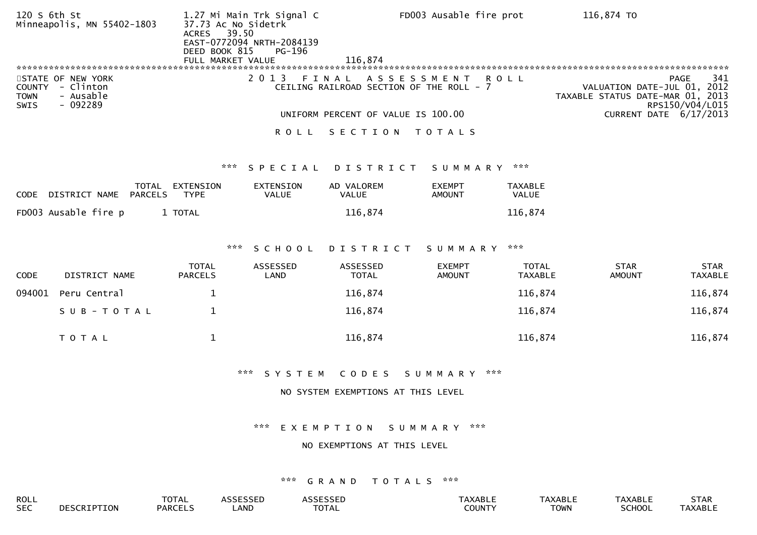| 120 S 6th St<br>Minneapolis, MN 55402-1803                                                    | 37.73 Ac No Sidetrk<br>39.50<br><b>ACRES</b><br>DEED BOOK 815<br>FULL MARKET VALUE | 1.27 Mi Main Trk Signal C<br>EAST-0772094 NRTH-2084139<br>PG-196 | 116.874                                           | FD003 Ausable fire prot        |                                | 116,874 TO                                                      |                                       |
|-----------------------------------------------------------------------------------------------|------------------------------------------------------------------------------------|------------------------------------------------------------------|---------------------------------------------------|--------------------------------|--------------------------------|-----------------------------------------------------------------|---------------------------------------|
| STATE OF NEW YORK<br>COUNTY - Clinton<br><b>TOWN</b><br>- Ausable<br>$-092289$<br><b>SWIS</b> |                                                                                    | 2 0 1 3                                                          | FINAL<br>CEILING RAILROAD SECTION OF THE ROLL - 7 | ASSESSMENT                     | R O L L                        | VALUATION DATE-JUL 01, 2012<br>TAXABLE STATUS DATE-MAR 01, 2013 | <b>PAGE</b><br>341<br>RPS150/V04/L015 |
|                                                                                               |                                                                                    |                                                                  | UNIFORM PERCENT OF VALUE IS 100.00                |                                |                                | <b>CURRENT DATE 6/17/2013</b>                                   |                                       |
|                                                                                               |                                                                                    | <b>ROLL</b>                                                      | SECTION TOTALS                                    |                                |                                |                                                                 |                                       |
|                                                                                               | ***                                                                                | SPECIAL                                                          | DISTRICT                                          | SUMMARY ***                    |                                |                                                                 |                                       |
| TOTAL<br><b>PARCELS</b><br>DISTRICT NAME<br><b>CODE</b>                                       | EXTENSION<br><b>TYPE</b>                                                           | <b>EXTENSION</b><br><b>VALUE</b>                                 | AD VALOREM<br><b>VALUE</b>                        | <b>EXEMPT</b><br><b>AMOUNT</b> | <b>TAXABLE</b><br>VALUE        |                                                                 |                                       |
| FD003 Ausable fire p                                                                          | 1 TOTAL                                                                            |                                                                  | 116,874                                           |                                | 116,874                        |                                                                 |                                       |
|                                                                                               |                                                                                    |                                                                  |                                                   |                                |                                |                                                                 |                                       |
|                                                                                               | $\mathbf{x}\times\mathbf{x}$                                                       | SCHOOL                                                           | DISTRICT                                          | SUMMARY                        | ***                            |                                                                 |                                       |
| CODE<br>DISTRICT NAME                                                                         | <b>TOTAL</b><br><b>PARCELS</b>                                                     | ASSESSED<br>LAND                                                 | ASSESSED<br><b>TOTAL</b>                          | <b>EXEMPT</b><br><b>AMOUNT</b> | <b>TOTAL</b><br><b>TAXABLE</b> | <b>STAR</b><br><b>AMOUNT</b>                                    | <b>STAR</b><br><b>TAXABLE</b>         |
| 094001<br>Peru Central                                                                        | $\mathbf{1}$                                                                       |                                                                  | 116,874                                           |                                | 116,874                        |                                                                 | 116,874                               |
| SUB-TOTAL                                                                                     | $\mathbf 1$                                                                        |                                                                  | 116,874                                           |                                | 116,874                        |                                                                 | 116,874                               |
| T O T A L                                                                                     | $\mathbf{1}$                                                                       |                                                                  | 116,874                                           |                                | 116,874                        |                                                                 | 116,874                               |
|                                                                                               |                                                                                    | *** SYSTEM                                                       | CODES                                             | S U M M A R Y                  | $\mathbf{x} \mathbf{x}$        |                                                                 |                                       |
|                                                                                               |                                                                                    |                                                                  | NO SYSTEM EXEMPTIONS AT THIS LEVEL                |                                |                                |                                                                 |                                       |
|                                                                                               |                                                                                    |                                                                  |                                                   |                                |                                |                                                                 |                                       |
|                                                                                               |                                                                                    | $\mathbf{x} \times \mathbf{x}$                                   | EXEMPTION                                         | SUMMARY<br>***                 |                                |                                                                 |                                       |
|                                                                                               |                                                                                    |                                                                  | NO EXEMPTIONS AT THIS LEVEL                       |                                |                                |                                                                 |                                       |
|                                                                                               |                                                                                    |                                                                  |                                                   |                                |                                |                                                                 |                                       |

| <b>ROLL</b> | $-2$<br>IΔ    | $\cdots$   |             | <b>ADI</b><br>ᄓᅴᇅ | ᄓᄂ | 7.71 |
|-------------|---------------|------------|-------------|-------------------|----|------|
| <b>SEC</b>  | <b>DARCEL</b> | <b>AND</b> | <b>COUN</b> | TOWN              |    |      |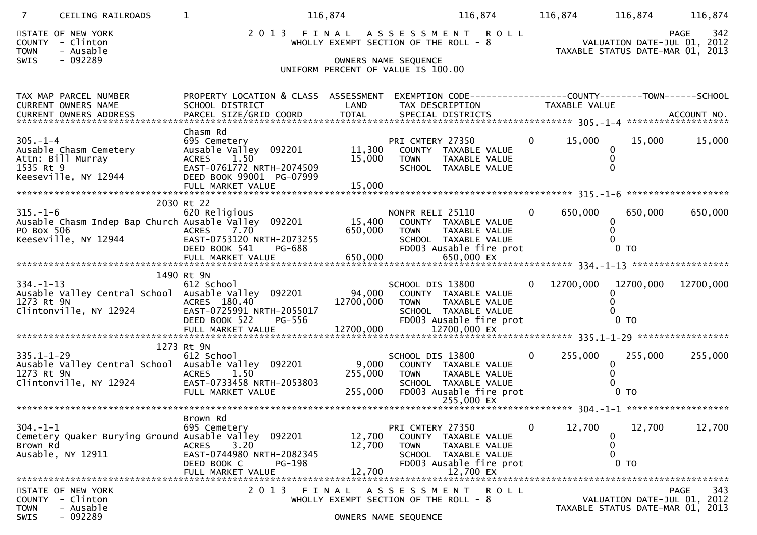| 7                                    | CEILING RAILROADS                                                         |                                                                                                                                                                            | 116,874                     | 116,874                                                                                                                                          |                | 116,874 116,874                                                                                                  | 116,874            |
|--------------------------------------|---------------------------------------------------------------------------|----------------------------------------------------------------------------------------------------------------------------------------------------------------------------|-----------------------------|--------------------------------------------------------------------------------------------------------------------------------------------------|----------------|------------------------------------------------------------------------------------------------------------------|--------------------|
| <b>TOWN</b><br><b>SWIS</b>           | STATE OF NEW YORK<br>COUNTY - Clinton<br>- Ausable<br>$-092289$           |                                                                                                                                                                            |                             | 2013 FINAL ASSESSMENT ROLL<br>WHOLLY EXEMPT SECTION OF THE ROLL - 8<br>OWNERS NAME SEQUENCE<br>UNIFORM PERCENT OF VALUE IS 100.00                |                | 942 PAGE<br>2012 ,VALUATION DATE-JUL 01<br>2013 - TAYARLE STATUS DATE-MAR 01<br>TAXABLE STATUS DATE-MAR 01, 2013 | 342<br>PAGE        |
|                                      | TAX MAP PARCEL NUMBER<br>CURRENT OWNERS NAME                              | PROPERTY LOCATION & CLASS ASSESSMENT<br>SCHOOL DISTRICT                                                                                                                    | LAND                        | EXEMPTION CODE-----------------COUNTY-------TOWN------SCHOOL<br>TAX DESCRIPTION                                                                  |                | TAXABLE VALUE                                                                                                    |                    |
| $305. - 1 - 4$<br>1535 Rt 9          | Ausable Chasm Cemetery<br>Attn: Bill Murray<br>Keeseville, NY 12944       | Chasm Rd<br>695 Cemetery<br>Ausable Valley 092201<br>ACRES 1.50<br>EAST-0761772 NRTH-2074509<br>DEED BOOK 99001 PG-07999<br>FULL MARKET VALUE                              | 11,300<br>15,000<br>15,000  | PRI CMTERY 27350<br>COUNTY TAXABLE VALUE<br><b>TOWN</b><br>TAXABLE VALUE<br>SCHOOL TAXABLE VALUE                                                 | $\overline{0}$ | 15,000<br>15,000<br>0                                                                                            | 15,000             |
| $315. - 1 - 6$<br>PO Box 506         | Keeseville, NY 12944                                                      | 2030 Rt 22<br>620 Religious<br>Ausable Chasm Indep Bap Church Ausable Valley 092201<br>7.70<br><b>ACRES</b><br>EAST-0753120 NRTH-2073255<br>DEED BOOK 541<br><b>PG-688</b> | 15,400<br>650,000           | NONPR RELI 25110<br>COUNTY TAXABLE VALUE<br>TAXABLE VALUE<br><b>TOWN</b><br>SCHOOL TAXABLE VALUE<br>FD003 Ausable fire prot                      | $\overline{0}$ | 650,000<br>650,000<br>0<br>0 <sub>T</sub>                                                                        | 650,000            |
|                                      |                                                                           | 1490 Rt 9N                                                                                                                                                                 |                             |                                                                                                                                                  |                |                                                                                                                  |                    |
| $334. - 1 - 13$<br>1273 Rt 9N        | Ausable Valley Central School<br>Clintonville, NY 12924                   | 612 School<br>Ausable Valley 092201<br>ACRES 180.40<br>EAST-0725991 NRTH-2055017<br>DEED BOOK 522<br>PG-556                                                                | 94,000<br>12700,000         | SCHOOL DIS 13800<br>COUNTY TAXABLE VALUE<br><b>TOWN</b><br>TAXABLE VALUE<br>SCHOOL TAXABLE VALUE<br>FD003 Ausable fire prot                      | $\Omega$       | 12700,000<br>12700,000<br>$0$ TO                                                                                 | 12700,000          |
|                                      |                                                                           |                                                                                                                                                                            |                             |                                                                                                                                                  |                |                                                                                                                  |                    |
| $335.1 - 1 - 29$<br>1273 Rt 9N       | Clintonville, NY 12924                                                    | 1273 Rt 9N<br>612 School<br>Ausable Valley Central School Ausable Valley 092201<br>1.50<br><b>ACRES</b><br>EAST-0733458 NRTH-2053803<br>FULL MARKET VALUE                  | 9,000<br>255,000<br>255,000 | SCHOOL DIS 13800<br>COUNTY TAXABLE VALUE<br><b>TOWN</b><br><b>TAXABLE VALUE</b><br>SCHOOL TAXABLE VALUE<br>FD003 Ausable fire prot<br>255,000 EX | $\mathbf{0}$   | 255,000<br>255,000<br>$\mathbf{0}$<br>0 <sub>T</sub>                                                             | 255,000            |
|                                      |                                                                           | Brown Rd                                                                                                                                                                   |                             |                                                                                                                                                  |                |                                                                                                                  |                    |
| $304. -1 -1$<br>Brown Rd             | Cemetery Quaker Burying Ground Ausable Valley 092201<br>Ausable, NY 12911 | 695 Cemetery<br>3.20<br><b>ACRES</b><br>EAST-0744980 NRTH-2082345<br>PG-198<br>DEED BOOK C<br>FULL MARKET VALUE                                                            | 12,700<br>12,700<br>12,700  | PRI CMTERY 27350<br>COUNTY TAXABLE VALUE<br>TAXABLE VALUE<br><b>TOWN</b><br>SCHOOL TAXABLE VALUE<br>FD003 Ausable fire prot<br>12,700 EX         | 0              | 12,700<br>12,700<br>0<br>0<br>0<br>0 <sub>T</sub>                                                                | 12,700             |
| <b>COUNTY</b><br><b>TOWN</b><br>SWIS | STATE OF NEW YORK<br>- Clinton<br>- Ausable<br>$-092289$                  | 2 0 1 3                                                                                                                                                                    | FINAL                       | R O L L<br>ASSE<br>55 M<br>EN<br>WHOLLY EXEMPT SECTION OF THE ROLL - 8<br>OWNERS NAME SEQUENCE                                                   |                | VALUATION DATE-JUL 01, 2012<br>TAXABLE STATUS DATE-MAR 01, 2013                                                  | 343<br><b>PAGE</b> |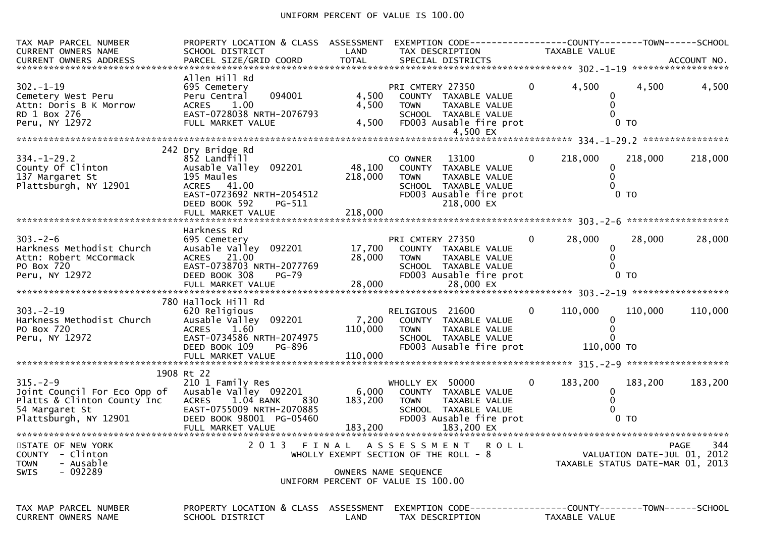# UNIFORM PERCENT OF VALUE IS 100.00

| TAX MAP PARCEL NUMBER<br>CURRENT OWNERS NAME                                                                                                                                                                                                                       | PROPERTY LOCATION & CLASS ASSESSMENT<br>SCHOOL DISTRICT                                                                                           | LAND               | EXEMPTION CODE------------------COUNTY--------TOWN------SCHOOL<br>TAX DESCRIPTION                                                              | TAXABLE VALUE             |                                                                 |             |
|--------------------------------------------------------------------------------------------------------------------------------------------------------------------------------------------------------------------------------------------------------------------|---------------------------------------------------------------------------------------------------------------------------------------------------|--------------------|------------------------------------------------------------------------------------------------------------------------------------------------|---------------------------|-----------------------------------------------------------------|-------------|
| CURRENT OWNERS ADDRESS                                                                                                                                                                                                                                             | PARCEL SIZE/GRID COORD                                                                                                                            | <b>TOTAL</b>       | SPECIAL DISTRICTS                                                                                                                              |                           |                                                                 | ACCOUNT NO. |
| $302 - 1 - 19$<br>Cemetery West Peru<br>Attn: Doris B K Morrow<br>RD 1 Box 276<br>Peru, NY 12972                                                                                                                                                                   | Allen Hill Rd<br>695 Cemetery<br>094001<br>Peru Central<br>ACRES 1.00<br>EAST-0728038 NRTH-2076793<br>FULL MARKET VALUE                           | 4,500<br>4,500     | PRI CMTERY 27350<br>COUNTY TAXABLE VALUE<br>TAXABLE VALUE<br><b>TOWN</b><br>SCHOOL TAXABLE VALUE<br>4,500 FD003 Ausable fire prot<br>4,500 EX  | 4,500<br>$\mathbf{0}$     | 4,500<br>0<br>$\mathbf{0}$<br>0 <sub>T</sub>                    | 4,500       |
|                                                                                                                                                                                                                                                                    |                                                                                                                                                   |                    |                                                                                                                                                |                           |                                                                 |             |
| $334. - 1 - 29.2$<br>County Of Clinton<br>137 Margaret St<br>Plattsburgh, NY 12901<br>Plattsburgn, NY 12901 ACKES 41.00<br>EAST-0723692 NRTH-2054512 FD003 Ausable fire prot 60 TO<br>DEED BOOK 592 PG-511 218,000 218,000 EX FULL MARKET VALUE 218,000 218,000 EX | 242 Dry Bridge Rd<br>852 Landfill<br>Ausable Valley 092201 48,100<br>195 Maules<br>ACRES 41.00                                                    | 218,000            | CO OWNER<br>13100<br>COUNTY TAXABLE VALUE<br><b>TOWN</b><br>TAXABLE VALUE<br>SCHOOL TAXABLE VALUE                                              | $\mathbf{0}$<br>218,000   | 218,000<br>0<br>$\mathbf{0}$                                    | 218,000     |
|                                                                                                                                                                                                                                                                    |                                                                                                                                                   |                    |                                                                                                                                                |                           |                                                                 |             |
|                                                                                                                                                                                                                                                                    | Harkness Rd                                                                                                                                       |                    |                                                                                                                                                |                           |                                                                 |             |
| $303 - 2 - 6$<br>Harkness Methodist Church<br>Attn: Robert McCormack<br>PO Box 720<br>Peru, NY 12972                                                                                                                                                               | 695 Cemetery<br>Ausable Valley 092201 17,700<br>ACRES 21.00<br>EAST-0738703 NRTH-2077769<br>DEED BOOK 308<br><b>PG-79</b><br>FULL MARKET VALUE    | 28,000<br>28,000   | PRI CMTERY 27350<br>COUNTY TAXABLE VALUE<br>TAXABLE VALUE<br><b>TOWN</b><br>SCHOOL TAXABLE VALUE<br>FD003 Ausable fire prot<br>28,000 EX       | 28,000<br>$\overline{0}$  | 28,000<br>0<br>$\mathbf{0}$<br>$0$ TO                           | 28,000      |
|                                                                                                                                                                                                                                                                    | 780 Hallock Hill Rd                                                                                                                               |                    |                                                                                                                                                |                           |                                                                 |             |
| $303 - 2 - 19$<br>Harkness Methodist Church<br>PO Box 720<br>Peru, NY 12972                                                                                                                                                                                        | 620 Religious<br>Ausable Valley 092201<br>ACRES 1.60<br>EAST-0734586 NRTH-2074975<br>PG-896<br>DEED BOOK 109                                      | 110,000            | RELIGIOUS 21600<br>7,200 COUNTY TAXABLE VALUE<br>TAXABLE VALUE<br>TOWN<br>SCHOOL TAXABLE VALUE<br>FD003 Ausable fire prot                      | $\overline{0}$<br>110,000 | 110,000<br>0<br>0<br>110,000 TO                                 | 110,000     |
|                                                                                                                                                                                                                                                                    |                                                                                                                                                   |                    |                                                                                                                                                |                           |                                                                 |             |
|                                                                                                                                                                                                                                                                    | 1908 Rt 22                                                                                                                                        |                    |                                                                                                                                                |                           |                                                                 |             |
| $315. - 2 - 9$<br>Joint Council For Eco Opp of<br>Platts & Clinton County Inc<br>54 Margaret St<br>э4 margaret St<br>Plattsburgh, NY 12901                                                                                                                         | 210 1 Family Res<br>Ausable Valley 092201<br>ACRES 1.04 BANK<br>830<br>EAST-0755009 NRTH-2070885<br>DEED BOOK 98001 PG-05460<br>FULL MARKET VALUE | 183,200<br>183,200 | WHOLLY EX 50000<br>6,000 COUNTY TAXABLE VALUE<br><b>TOWN</b><br>TAXABLE VALUE<br>SCHOOL TAXABLE VALUE<br>FD003 Ausable fire prot<br>183,200 EX | $\overline{0}$<br>183,200 | 183,200<br>0<br>0<br>$0$ TO                                     | 183,200     |
| STATE OF NEW YORK                                                                                                                                                                                                                                                  | 2013 FINAL                                                                                                                                        |                    | A S S E S S M E N T<br><b>ROLL</b>                                                                                                             |                           |                                                                 | 344<br>PAGE |
| <b>COUNTY</b><br>- Clinton<br>- Ausable<br><b>TOWN</b>                                                                                                                                                                                                             |                                                                                                                                                   |                    | WHOLLY EXEMPT SECTION OF THE ROLL - 8                                                                                                          |                           | VALUATION DATE-JUL 01, 2012<br>TAXABLE STATUS DATE-MAR 01, 2013 |             |
| - 092289<br><b>SWIS</b>                                                                                                                                                                                                                                            |                                                                                                                                                   |                    | OWNERS NAME SEQUENCE<br>UNIFORM PERCENT OF VALUE IS 100.00                                                                                     |                           |                                                                 |             |
| TAX MAP PARCEL NUMBER<br>CURRENT OWNERS NAME                                                                                                                                                                                                                       | PROPERTY LOCATION & CLASS ASSESSMENT<br>SCHOOL DISTRICT                                                                                           | LAND               | TAX DESCRIPTION                                                                                                                                | TAXABLE VALUE             |                                                                 |             |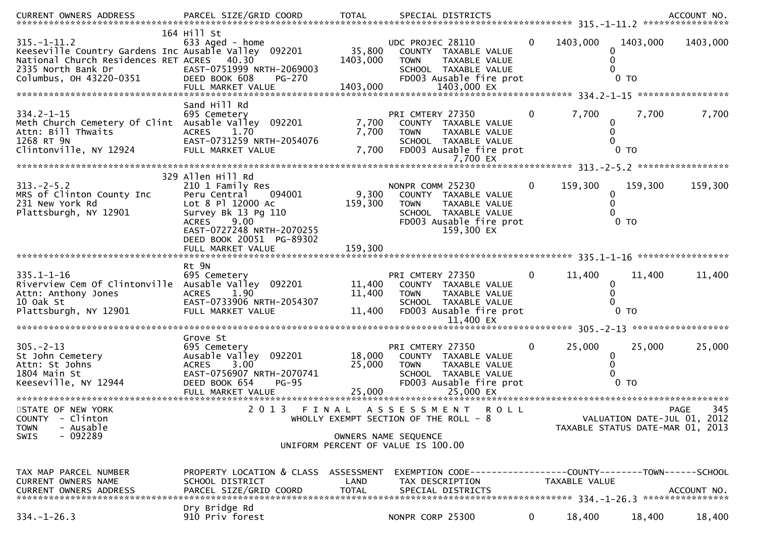| $315. - 1 - 11.2$<br>Keeseville Country Gardens Inc Ausable Valley 092201<br>National Church Residences RET ACRES<br>2335 North Bank Dr<br>Columbus, OH 43220-0351 | 164 Hill St<br>633 Aged - home<br>40.30<br>EAST-0751999 NRTH-2069003<br>DEED BOOK 608<br>PG-270<br>FULL MARKET VALUE                                                                                              | 35,800<br>1403,000<br>1403,000 | UDC PROJEC 28110<br>COUNTY TAXABLE VALUE<br>TAXABLE VALUE<br><b>TOWN</b><br>SCHOOL TAXABLE VALUE<br>FD003 Ausable fire prot<br>1403,000 EX | $\Omega$     | 1403,000<br>0<br>0                 | 1403,000<br>$0$ TO          | 1403,000                        |
|--------------------------------------------------------------------------------------------------------------------------------------------------------------------|-------------------------------------------------------------------------------------------------------------------------------------------------------------------------------------------------------------------|--------------------------------|--------------------------------------------------------------------------------------------------------------------------------------------|--------------|------------------------------------|-----------------------------|---------------------------------|
| $334.2 - 1 - 15$<br>Meth Church Cemetery Of Clint Ausable Valley 092201<br>Attn: Bill Thwaits<br>1268 RT 9N<br>Clintonville, NY 12924                              | Sand Hill Rd<br>695 Cemetery<br>1.70<br>ACRES<br>EAST-0731259 NRTH-2054076<br>FULL MARKET VALUE                                                                                                                   | 7,700<br>7,700<br>7,700        | PRI CMTERY 27350<br>COUNTY TAXABLE VALUE<br><b>TOWN</b><br>TAXABLE VALUE<br>SCHOOL TAXABLE VALUE<br>FD003 Ausable fire prot<br>7,700 EX    | 0            | 7,700<br>0<br>$\Omega$             | 7,700<br>$0$ TO             | 7,700                           |
| $313 - 2 - 5.2$<br>MRS of Clinton County Inc<br>231 New York Rd<br>Plattsburgh, NY 12901                                                                           | 329 Allen Hill Rd<br>210 1 Family Res<br>094001<br>Peru Central<br>Lot 8 Pl 12000 Ac<br>Survey Bk 13 Pg 110<br><b>ACRES</b><br>9.00<br>EAST-0727248 NRTH-2070255<br>DEED BOOK 20051 PG-89302<br>FULL MARKET VALUE | 9,300<br>159,300<br>159,300    | NONPR COMM 25230<br>COUNTY TAXABLE VALUE<br>TAXABLE VALUE<br><b>TOWN</b><br>SCHOOL TAXABLE VALUE<br>FD003 Ausable fire prot<br>159,300 EX  | $\mathbf{0}$ | 159,300<br>0<br>0                  | 159,300<br>0 <sub>T</sub>   | 159,300                         |
|                                                                                                                                                                    | Rt 9N                                                                                                                                                                                                             |                                |                                                                                                                                            |              |                                    |                             |                                 |
| $335.1 - 1 - 16$<br>Riverview Cem Of Clintonville Ausable Valley 092201<br>Attn: Anthony Jones<br>10 Oak St<br>Plattsburgh, NY 12901                               | 695 Cemetery<br>1.90<br><b>ACRES</b><br>EAST-0733906 NRTH-2054307<br>FULL MARKET VALUE                                                                                                                            | 11,400<br>11,400<br>11,400     | PRI CMTERY 27350<br>COUNTY TAXABLE VALUE<br><b>TOWN</b><br>TAXABLE VALUE<br>SCHOOL TAXABLE VALUE<br>FD003 Ausable fire prot<br>11,400 EX   | 0            | 11,400<br>0                        | 11,400<br>$0$ TO            | 11,400                          |
|                                                                                                                                                                    |                                                                                                                                                                                                                   |                                |                                                                                                                                            |              |                                    |                             |                                 |
| $305. -2 - 13$<br>St John Cemetery<br>Attn: St Johns<br>Attn: St Johns<br>1804 Main St<br>Keeseville, NY 12944                                                     | Grove St<br>695 Cemetery<br>Ausable Valley 092201<br>3.00<br><b>ACRES</b><br>EAST-0756907 NRTH-2070741<br>DEED BOOK 654<br><b>PG-95</b><br>FULL MARKET VALUE                                                      | 18,000<br>25,000<br>25,000     | PRI CMTERY 27350<br>COUNTY TAXABLE VALUE<br><b>TOWN</b><br>TAXABLE VALUE<br>SCHOOL TAXABLE VALUE<br>FD003 Ausable fire prot<br>25,000 EX   | $\mathbf{0}$ | 25,000<br>$\bf{0}$<br>$\mathbf{0}$ | 25,000<br>0 <sub>T</sub>    | 25,000                          |
| STATE OF NEW YORK<br><b>COUNTY</b><br>- Clinton<br>- Ausable<br><b>TOWN</b>                                                                                        | 2 0 1 3                                                                                                                                                                                                           | FINAL                          | ASSESSMENT<br><b>ROLL</b><br>WHOLLY EXEMPT SECTION OF THE ROLL - 8                                                                         |              | TAXABLE STATUS DATE-MAR 01, 2013   | VALUATION DATE-JUL 01, 2012 | 345<br>PAGE                     |
| $-092289$<br><b>SWIS</b>                                                                                                                                           |                                                                                                                                                                                                                   |                                | OWNERS NAME SEQUENCE<br>UNIFORM PERCENT OF VALUE IS 100.00                                                                                 |              |                                    |                             |                                 |
| TAX MAP PARCEL NUMBER<br>CURRENT OWNERS NAME                                                                                                                       | PROPERTY LOCATION & CLASS ASSESSMENT<br>SCHOOL DISTRICT                                                                                                                                                           | LAND                           | EXEMPTION CODE-----------------COUNTY-------TOWN------SCHOOL<br>TAX DESCRIPTION                                                            |              | TAXABLE VALUE                      |                             | ACCOUNT NO.<br>**************** |
| $334. - 1 - 26.3$                                                                                                                                                  | Dry Bridge Rd<br>910 Priv forest                                                                                                                                                                                  |                                | NONPR CORP 25300                                                                                                                           | $\mathbf{0}$ | 18,400                             | 18,400                      | 18,400                          |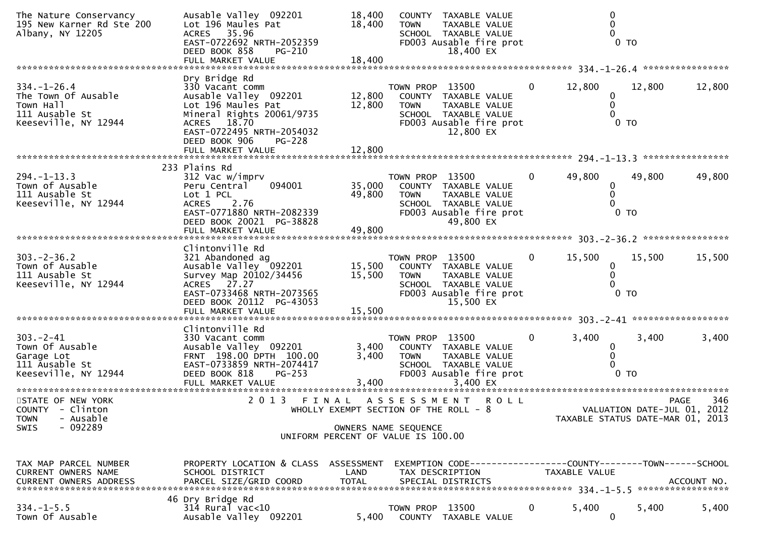| The Nature Conservancy<br>195 New Karner Rd Ste 200<br>Albany, NY 12205                         | Ausable Valley 092201<br>Lot 196 Maules Pat<br>35.96<br><b>ACRES</b><br>EAST-0722692 NRTH-2052359<br>DEED BOOK 858<br>PG-210                                                        | 18,400<br>18,400                      | <b>TOWN</b>                    | COUNTY TAXABLE VALUE<br>TAXABLE VALUE<br>SCHOOL TAXABLE VALUE<br>FD003 Ausable fire prot<br>18,400 EX |              |                  | 0 <sub>T</sub>                                                  |             |
|-------------------------------------------------------------------------------------------------|-------------------------------------------------------------------------------------------------------------------------------------------------------------------------------------|---------------------------------------|--------------------------------|-------------------------------------------------------------------------------------------------------|--------------|------------------|-----------------------------------------------------------------|-------------|
|                                                                                                 |                                                                                                                                                                                     |                                       |                                |                                                                                                       |              |                  |                                                                 |             |
| $334. - 1 - 26.4$<br>The Town Of Ausable<br>Town Hall<br>111 Ausable St<br>Keeseville, NY 12944 | Dry Bridge Rd<br>330 Vacant comm<br>Ausable Valley 092201<br>Lot 196 Maules Pat<br>Mineral Rights 20061/9735<br>ACRES 18.70<br>EAST-0722495 NRTH-2054032<br>DEED BOOK 906<br>PG-228 | 12,800<br>12,800                      | TOWN PROP 13500<br><b>TOWN</b> | COUNTY TAXABLE VALUE<br>TAXABLE VALUE<br>SCHOOL TAXABLE VALUE<br>FD003 Ausable fire prot<br>12,800 EX | $\mathbf{0}$ | 12,800<br>0<br>0 | 12,800<br>$0$ TO                                                | 12,800      |
|                                                                                                 |                                                                                                                                                                                     |                                       |                                |                                                                                                       |              |                  |                                                                 |             |
| $294. -1 - 13.3$<br>Town of Ausable<br>111 Ausable St<br>Keeseville, NY 12944                   | 233 Plains Rd<br>312 Vac w/imprv<br>094001<br>Peru Central<br>Lot 1 PCL<br><b>ACRES</b><br>2.76<br>EAST-0771880 NRTH-2082339<br>DEED BOOK 20021 PG-38828                            | 35,000<br>49,800                      | TOWN PROP 13500<br><b>TOWN</b> | COUNTY TAXABLE VALUE<br>TAXABLE VALUE<br>SCHOOL TAXABLE VALUE<br>FD003 Ausable fire prot<br>49,800 EX | $\bf{0}$     | 49,800<br>0      | 49,800<br>$0$ TO                                                | 49,800      |
|                                                                                                 | FULL MARKET VALUE                                                                                                                                                                   | 49,800                                |                                |                                                                                                       |              |                  |                                                                 |             |
|                                                                                                 |                                                                                                                                                                                     |                                       |                                |                                                                                                       |              |                  |                                                                 |             |
| $303. -2 - 36.2$<br>Town of Ausable<br>111 Ausable St<br>Keeseville, NY 12944                   | Clintonville Rd<br>321 Abandoned ag<br>Ausable Valley 092201<br>Survey Map 20102/34456<br>ACRES 27.27<br>EAST-0733468 NRTH-2073565<br>DEED BOOK 20112 PG-43053                      | 15,500<br>15,500                      | TOWN PROP 13500<br><b>TOWN</b> | COUNTY TAXABLE VALUE<br>TAXABLE VALUE<br>SCHOOL TAXABLE VALUE<br>FD003 Ausable fire prot<br>15,500 EX | $\mathbf{0}$ | 15,500<br>0<br>0 | 15,500<br>$0$ TO                                                | 15,500      |
|                                                                                                 | FULL MARKET VALUE                                                                                                                                                                   | 15,500                                |                                |                                                                                                       |              |                  |                                                                 |             |
|                                                                                                 |                                                                                                                                                                                     |                                       |                                |                                                                                                       |              |                  |                                                                 |             |
| $303 - 2 - 41$<br>Town Of Ausable<br>Garage Lot<br>111 Ausable St<br>Keeseville, NY 12944       | Clintonville Rd<br>330 Vacant comm<br>Ausable Valley 092201<br>FRNT 198.00 DPTH 100.00<br>EAST-0733859 NRTH-2074417<br>DEED BOOK 818<br>$PG-253$                                    | 3,400<br>3,400                        | TOWN PROP 13500<br><b>TOWN</b> | COUNTY TAXABLE VALUE<br>TAXABLE VALUE<br>SCHOOL TAXABLE VALUE<br>FD003 Ausable fire prot              | 0            | 3,400<br>0       | 3,400<br>0 <sub>T</sub>                                         | 3,400       |
| STATE OF NEW YORK                                                                               | 2013 FINAL                                                                                                                                                                          |                                       |                                | <b>ROLL</b>                                                                                           |              |                  |                                                                 | 346         |
| COUNTY - Clinton<br><b>TOWN</b><br>- Ausable                                                    |                                                                                                                                                                                     | WHOLLY EXEMPT SECTION OF THE ROLL - 8 | A S S E S S M E N T            |                                                                                                       |              |                  | VALUATION DATE-JUL 01, 2012<br>TAXABLE STATUS DATE-MAR 01, 2013 | PAGE        |
| $-092289$<br><b>SWIS</b>                                                                        |                                                                                                                                                                                     | UNIFORM PERCENT OF VALUE IS 100.00    | OWNERS NAME SEQUENCE           |                                                                                                       |              |                  |                                                                 |             |
|                                                                                                 |                                                                                                                                                                                     |                                       |                                |                                                                                                       |              |                  |                                                                 |             |
| TAX MAP PARCEL NUMBER<br>CURRENT OWNERS NAME<br><b>CURRENT OWNERS ADDRESS</b>                   | PROPERTY LOCATION & CLASS ASSESSMENT<br>SCHOOL DISTRICT<br>PARCEL SIZE/GRID COORD                                                                                                   | LAND<br><b>TOTAL</b>                  | TAX DESCRIPTION                | SPECIAL DISTRICTS                                                                                     |              | TAXABLE VALUE    |                                                                 | ACCOUNT NO. |
| $334. -1 - 5.5$<br>Town Of Ausable                                                              | 46 Dry Bridge Rd<br>$314$ Rural vac< $10$<br>Ausable Valley 092201                                                                                                                  | 5,400                                 | TOWN PROP 13500<br>COUNTY      | TAXABLE VALUE                                                                                         | 0            | 5,400<br>0       | 5,400                                                           | 5,400       |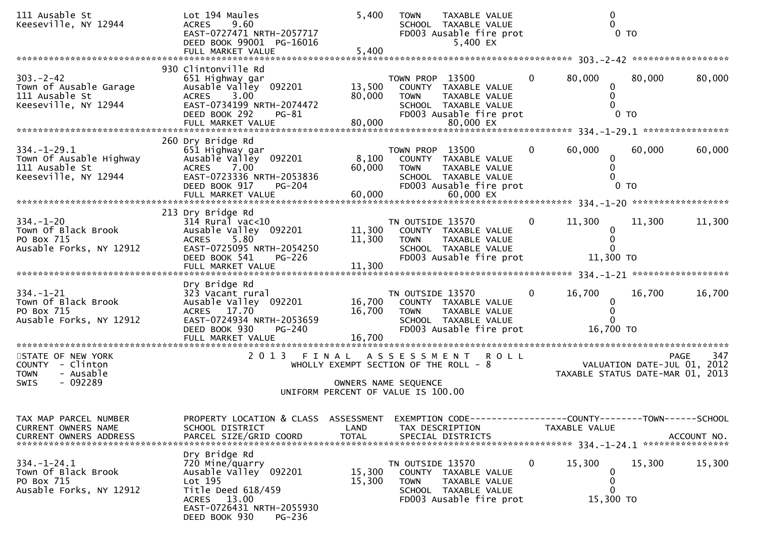| 111 Ausable St<br>Keeseville, NY 12944                                                                     | Lot 194 Maules<br><b>ACRES</b><br>9.60<br>EAST-0727471 NRTH-2057717<br>DEED BOOK 99001 PG-16016<br>FULL MARKET VALUE                                                              | 5,400<br>5,400                                 | <b>TOWN</b>                                                                                         | TAXABLE VALUE<br>SCHOOL TAXABLE VALUE<br>FD003 Ausable fire prot<br>5,400 EX                    |                | $\mathbf 0$                                            | $0$ TO                      |                    |
|------------------------------------------------------------------------------------------------------------|-----------------------------------------------------------------------------------------------------------------------------------------------------------------------------------|------------------------------------------------|-----------------------------------------------------------------------------------------------------|-------------------------------------------------------------------------------------------------|----------------|--------------------------------------------------------|-----------------------------|--------------------|
| $303 - 2 - 42$<br>Town of Ausable Garage<br>111 Ausable St<br>Keeseville, NY 12944                         | 930 Clintonville Rd<br>651 Highway gar<br>Ausable Valley 092201<br>3.00<br><b>ACRES</b><br>EAST-0734199 NRTH-2074472<br>DEED BOOK 292<br>$PG-81$                                  | 13,500<br>80,000                               | TOWN PROP 13500<br><b>TOWN</b>                                                                      | COUNTY TAXABLE VALUE<br>TAXABLE VALUE<br>SCHOOL TAXABLE VALUE<br>FD003 Ausable fire prot        | $\mathbf{0}$   | 80,000<br>0<br>0                                       | 80,000<br>$0$ TO            | 80,000             |
| $334. - 1 - 29.1$<br>Town Of Ausable Highway<br>111 Ausable St<br>Keeseville, NY 12944                     | 260 Dry Bridge Rd<br>651 Highway gar<br>Ausable Valley 092201<br><b>ACRES</b><br>7.00<br>EAST-0723336 NRTH-2053836<br>DEED BOOK 917<br><b>PG-204</b>                              | 8,100<br>60,000                                | TOWN PROP 13500<br><b>TOWN</b>                                                                      | COUNTY TAXABLE VALUE<br>TAXABLE VALUE<br>SCHOOL TAXABLE VALUE<br>FD003 Ausable fire prot        | $\mathbf{0}$   | 60,000<br>0<br>0                                       | 60,000<br>$0$ TO            | 60,000             |
| $334. - 1 - 20$<br>Town Of Black Brook<br>PO Box 715<br>Ausable Forks, NY 12912                            | 213 Dry Bridge Rd<br>$314$ Rural vac<10<br>Ausable Valley 092201<br>5.80<br><b>ACRES</b><br>EAST-0725095 NRTH-2054250<br>DEED BOOK 541<br><b>PG-226</b>                           | 11,300<br>11,300                               | TN OUTSIDE 13570<br><b>TOWN</b>                                                                     | COUNTY TAXABLE VALUE<br><b>TAXABLE VALUE</b><br>SCHOOL TAXABLE VALUE<br>FD003 Ausable fire prot | $\mathbf{0}$   | 11,300<br>0<br>$\Omega$<br>11,300 TO                   | 11,300                      | 11,300             |
| $334. - 1 - 21$<br>Town Of Black Brook<br>PO Box 715<br>Ausable Forks, NY 12912<br>*********************** | Dry Bridge Rd<br>323 Vacant rural<br>Ausable Valley 092201<br>ACRES 17.70<br>EAST-0724934 NRTH-2053659<br>DEED BOOK 930<br>PG-240<br>FULL MARKET VALUE<br>*********************** | 16,700<br>16,700<br>16,700<br>**************** | TN OUTSIDE 13570<br><b>TOWN</b>                                                                     | COUNTY TAXABLE VALUE<br>TAXABLE VALUE<br>SCHOOL TAXABLE VALUE<br>FD003 Ausable fire prot        | $\bf{0}$       | 16,700<br>$\mathbf 0$<br>16,700 TO                     | 16,700                      | 16,700             |
| STATE OF NEW YORK<br>COUNTY - Clinton<br>- Ausable<br><b>TOWN</b><br>$-092289$<br>SWIS                     | 2013 FINAL ASSESSMENT                                                                                                                                                             |                                                | WHOLLY EXEMPT SECTION OF THE ROLL - 8<br>OWNERS NAME SEQUENCE<br>UNIFORM PERCENT OF VALUE IS 100.00 | <b>ROLL</b>                                                                                     |                | TAXABLE STATUS DATE-MAR 01, 2013                       | VALUATION DATE-JUL 01, 2012 | 347<br><b>PAGE</b> |
| TAX MAP PARCEL NUMBER<br>CURRENT OWNERS NAME<br>CURRENT OWNERS ADDRESS                                     | PROPERTY LOCATION & CLASS ASSESSMENT<br>SCHOOL DISTRICT<br>PARCEL SIZE/GRID COORD                                                                                                 | LAND<br><b>TOTAL</b>                           | TAX DESCRIPTION                                                                                     | EXEMPTION CODE-----------------COUNTY-------TOWN------SCHOOL<br>SPECIAL DISTRICTS               |                | TAXABLE VALUE                                          |                             | ACCOUNT NO.        |
| $334. - 1 - 24.1$<br>Town Of Black Brook<br>PO Box 715<br>Ausable Forks, NY 12912                          | Dry Bridge Rd<br>720 Mine/quarry<br>Ausable Valley 092201<br>Lot 195<br>Title Deed 618/459<br>ACRES 13.00<br>EAST-0726431 NRTH-2055930<br>DEED BOOK 930<br>PG-236                 | 15,300<br>15,300                               | TN OUTSIDE 13570<br>TOWN                                                                            | COUNTY TAXABLE VALUE<br>TAXABLE VALUE<br>SCHOOL TAXABLE VALUE<br>FD003 Ausable fire prot        | $\overline{0}$ | 15,300<br>$\mathbf 0$<br>0<br>$\mathbf 0$<br>15,300 TO | 15,300                      | 15,300             |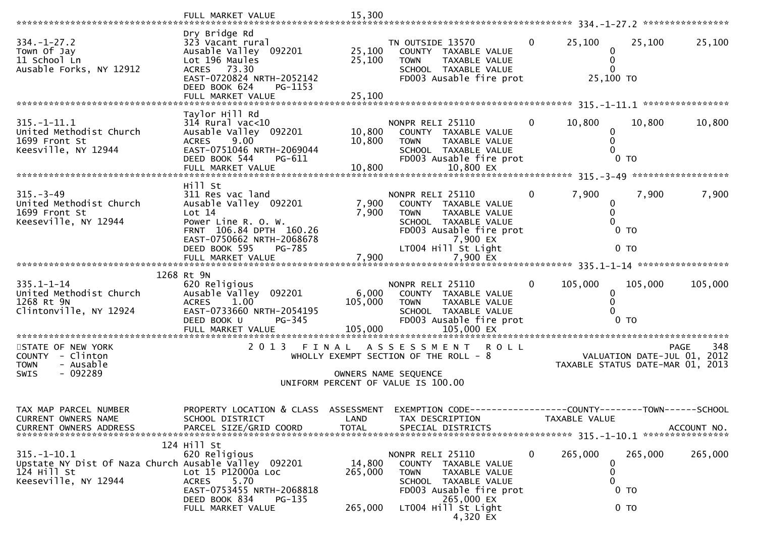|                                                                                                                    | FULL MARKET VALUE                                                                                                                                                         | 15,300                     |                                                                                                                                           |                |                                    |                             |             |
|--------------------------------------------------------------------------------------------------------------------|---------------------------------------------------------------------------------------------------------------------------------------------------------------------------|----------------------------|-------------------------------------------------------------------------------------------------------------------------------------------|----------------|------------------------------------|-----------------------------|-------------|
| $334. - 1 - 27.2$<br>Town Of Jay<br>11 School Ln<br>Ausable Forks, NY 12912                                        | Dry Bridge Rd<br>323 Vacant rural<br>Ausable Valley 092201<br>Lot 196 Maules<br>ACRES 73.30<br>EAST-0720824 NRTH-2052142<br>DEED BOOK 624<br>PG-1153<br>FULL MARKET VALUE | 25,100<br>25,100<br>25,100 | TN OUTSIDE 13570<br>COUNTY TAXABLE VALUE<br><b>TOWN</b><br>TAXABLE VALUE<br>SCHOOL TAXABLE VALUE<br>FD003 Ausable fire prot               | $\overline{0}$ | 25,100<br>0<br>0<br>0<br>25,100 TO | 25,100                      | 25,100      |
|                                                                                                                    |                                                                                                                                                                           |                            |                                                                                                                                           |                |                                    |                             |             |
| $315. - 1 - 11.1$<br>United Methodist Church<br>1699 Front St<br>Keesville, NY 12944                               | Taylor Hill Rd<br>$314$ Rural vac<10<br>Ausable Valley 092201<br>$9.00^{\circ}$<br><b>ACRES</b><br>EAST-0751046 NRTH-2069044<br>DEED BOOK 544<br>PG-611                   | 10,800<br>10,800           | NONPR RELI 25110<br>COUNTY TAXABLE VALUE<br>TAXABLE VALUE<br><b>TOWN</b><br>SCHOOL TAXABLE VALUE<br>FD003 Ausable fire prot               | $\mathbf{0}$   | 10,800<br>0<br>0                   | 10,800<br>0 <sub>T</sub>    | 10,800      |
|                                                                                                                    | Hill St                                                                                                                                                                   |                            |                                                                                                                                           |                |                                    |                             |             |
| $315 - 3 - 49$<br>United Methodist Church<br>1699 Front St<br>Keeseville, NY 12944                                 | 311 Res vac land<br>Ausable Valley 092201<br>Lot 14<br>Power Line R. O. W.<br>FRNT 106.84 DPTH 160.26<br>EAST-0750662 NRTH-2068678                                        | 7,900<br>7,900             | NONPR RELI 25110<br>COUNTY TAXABLE VALUE<br>TAXABLE VALUE<br><b>TOWN</b><br>SCHOOL TAXABLE VALUE<br>FD003 Ausable fire prot<br>7,900 EX   | $\mathbf{0}$   | 7,900<br>0<br>0                    | 7,900<br>$0$ TO             | 7,900       |
|                                                                                                                    | DEED BOOK 595<br><b>PG-785</b>                                                                                                                                            |                            | LT004 Hill St Light                                                                                                                       |                |                                    | 0 <sub>T</sub>              |             |
|                                                                                                                    |                                                                                                                                                                           |                            |                                                                                                                                           |                |                                    |                             |             |
| $335.1 - 1 - 14$<br>United Methodist Church<br>1268 Rt 9N<br>Clintonville, NY 12924                                | 1268 Rt 9N<br>620 Religious<br>Ausable Valley 092201<br>1.00<br><b>ACRES</b><br>EAST-0733660 NRTH-2054195<br>DEED BOOK U<br>PG-345                                        | 6,000<br>105,000           | NONPR RELI 25110<br>COUNTY TAXABLE VALUE<br><b>TOWN</b><br>TAXABLE VALUE<br>SCHOOL TAXABLE VALUE<br>FD003 Ausable fire prot               | $\Omega$       | 105,000<br>0<br>0                  | 105,000<br>0 TO             | 105,000     |
| STATE OF NEW YORK<br>COUNTY - Clinton<br><b>TOWN</b><br>- Ausable<br>$-092289$<br><b>SWIS</b>                      | 2013 FINAL                                                                                                                                                                |                            | A S S E S S M E N T<br><b>ROLL</b><br>WHOLLY EXEMPT SECTION OF THE ROLL - 8<br>OWNERS NAME SEQUENCE<br>UNIFORM PERCENT OF VALUE IS 100.00 |                | TAXABLE STATUS DATE-MAR 01, 2013   | VALUATION DATE-JUL 01, 2012 | 348<br>PAGE |
| TAX MAP PARCEL NUMBER<br>CURRENT OWNERS NAME<br>CURRENT OWNERS ADDRESS                                             | PROPERTY LOCATION & CLASS ASSESSMENT EXEMPTION CODE----------------COUNTY-------TOWN------SCHOOL<br>SCHOOL DISTRICT<br>PARCEL SIZE/GRID COORD                             | LAND<br><b>TOTAL</b>       | TAX DESCRIPTION<br>SPECIAL DISTRICTS                                                                                                      |                | TAXABLE VALUE                      |                             | ACCOUNT NO. |
| $315. - 1 - 10.1$<br>Upstate NY Dist Of Naza Church Ausable Valley 092201<br>$124$ Hill St<br>Keeseville, NY 12944 | 124 Hill St<br>620 Religious<br>Lot 15 P12000a Loc<br>5.70<br><b>ACRES</b><br>EAST-0753455 NRTH-2068818<br>DEED BOOK 834<br>$PG-135$<br>FULL MARKET VALUE                 | 14,800<br>265,000          | NONPR RELI 25110<br>COUNTY TAXABLE VALUE<br>TAXABLE VALUE<br><b>TOWN</b><br>SCHOOL TAXABLE VALUE<br>FD003 Ausable fire prot<br>265,000 EX | $\bf{0}$       | 265,000<br>0<br>0<br>0             | 265,000<br>0 <sub>T</sub>   | 265,000     |
|                                                                                                                    |                                                                                                                                                                           | 265,000                    | LT004 Hill St Light                                                                                                                       |                |                                    | 0 <sub>T</sub>              |             |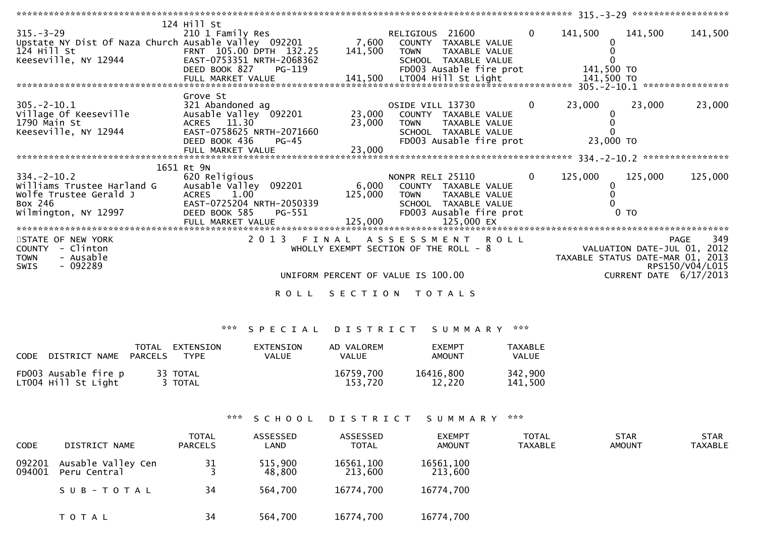| 315.-3-29<br>Upstate NY Dist Of Naza Church Ausable Valley 092201 7,600 COUNTY TAXABLE VALUE<br>124 Hill St TRNT 105.00 DPTH 132.25 141,500 TOWN TAXABLE VALUE<br>124 Hill St<br>Keeseville, NY 12944                                                            | 124 Hill St                 |                                                                                                     | RELIGIOUS 21600 0                           | 141,500                                                                         | 141,500                | 141,500                |
|------------------------------------------------------------------------------------------------------------------------------------------------------------------------------------------------------------------------------------------------------------------|-----------------------------|-----------------------------------------------------------------------------------------------------|---------------------------------------------|---------------------------------------------------------------------------------|------------------------|------------------------|
|                                                                                                                                                                                                                                                                  | Grove St                    |                                                                                                     | OSIDE VILL 13730<br>FD003 Ausable fire prot | 23,000<br>23,000 TO                                                             | 23,000                 | 23,000                 |
| $334 - 2 - 10.2$<br>WITH TAXABLE VALUE<br>WOLF TUSSEE Gerald J<br>BOX 246<br>Wilmington, NY 12997 EAST-0725204 NRTH-2050339<br>EED BOOK 585 PG-551 FD003 Ausable fire prot<br>FULL MARKET VALUE 125,000 125,000 EX<br>FULL MARKET VALUE 125,000 125,000 EX<br>FU | 1651 Rt 9N<br>620 Religious |                                                                                                     | NONPR RELI 25110 0                          | 125,000                                                                         | 125,000                | 125,000                |
| STATE OF NEW YORK<br>COUNTY - Clinton<br>- Ausable<br><b>TOWN</b><br>- 092289<br>SWIS                                                                                                                                                                            |                             | WHOLLY EXEMPT SECTION OF THE ROLL $-8$<br>UNIFORM PERCENT OF VALUE IS 100.00<br>ROLL SECTION TOTALS | 2013 FINAL ASSESSMENT ROLL                  | 949 PAGE 349<br>VALUATION DATE-JUL 01, 2012<br>TAXABLE STATUS DATE-MAR 01, 2013 | CURRENT DATE 6/17/2013 | 349<br>RPS150/V04/L015 |

# \*\*\* S P E C I A L D I S T R I C T S U M M A R Y \*\*\*

| CODE DISTRICT NAME                          | TOTAL<br>PARCELS | EXTENSION<br>TYPE   | EXTENSION<br><b>VALUE</b> | AD VALOREM<br>VALUE  | <b>FXFMPT</b><br>AMOUNT | <b>TAXABLE</b><br>VALUE |
|---------------------------------------------|------------------|---------------------|---------------------------|----------------------|-------------------------|-------------------------|
| FD003 Ausable fire p<br>LT004 Hill St Light |                  | 33 TOTAL<br>3 TOTAL |                           | 16759,700<br>153.720 | 16416,800<br>12.220     | 342,900<br>141,500      |

# \*\*\* S C H O O L D I S T R I C T S U M M A R Y \*\*\*

| <b>CODE</b>      | DISTRICT NAME                      | <b>TOTAL</b><br><b>PARCELS</b> | ASSESSED<br>LAND  | ASSESSED<br><b>TOTAL</b> | <b>EXEMPT</b><br><b>AMOUNT</b> | <b>TOTAL</b><br>TAXABLE | <b>STAR</b><br><b>AMOUNT</b> | <b>STAR</b><br>TAXABLE |
|------------------|------------------------------------|--------------------------------|-------------------|--------------------------|--------------------------------|-------------------------|------------------------------|------------------------|
| 092201<br>094001 | Ausable Valley Cen<br>Peru Central | 31                             | 515,900<br>48,800 | 16561,100<br>213,600     | 16561,100<br>213,600           |                         |                              |                        |
|                  | SUB-TOTAL                          | 34                             | 564,700           | 16774,700                | 16774,700                      |                         |                              |                        |
|                  | T O T A L                          | 34                             | 564,700           | 16774,700                | 16774,700                      |                         |                              |                        |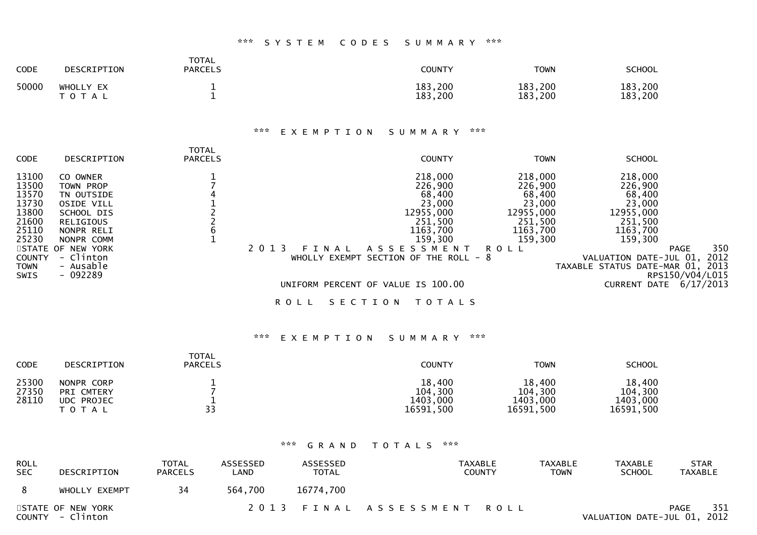### \*\*\* S Y S T E M C O D E S S U M M A R Y \*\*\*

| <b>CODE</b> | DESCRIPTION            | TOTAL<br><b>PARCELS</b> | COUNTY             | <b>TOWN</b>        | <b>SCHOOL</b>           |
|-------------|------------------------|-------------------------|--------------------|--------------------|-------------------------|
| 50000       | WHOLLY EX<br>T O T A L |                         | 183,200<br>183,200 | 183,200<br>183,200 | , 200<br>183<br>183,200 |

### \*\*\* E X E M P T I O N S U M M A R Y \*\*\*

| <b>CODE</b>   | DESCRIPTION       | TOTAL<br><b>PARCELS</b> |                  | <b>COUNTY</b>                      | <b>TOWN</b> | <b>SCHOOL</b>                    |                    |
|---------------|-------------------|-------------------------|------------------|------------------------------------|-------------|----------------------------------|--------------------|
| 13100         | CO OWNER          |                         |                  | 218,000                            | 218,000     | 218,000                          |                    |
| 13500         | TOWN PROP         |                         |                  | 226,900                            | 226,900     | 226,900                          |                    |
| 13570         | TN OUTSIDE        |                         |                  | 68,400                             | 68,400      | 68,400                           |                    |
| 13730         | <b>OSIDE VILL</b> |                         |                  | 23,000                             | 23,000      | 23,000                           |                    |
| 13800         | SCHOOL DIS        |                         |                  | 12955,000                          | 12955,000   | 12955,000                        |                    |
| 21600         | <b>RELIGIOUS</b>  |                         |                  | 251,500                            | 251,500     | 251,500                          |                    |
| 25110         | NONPR RELI        | b                       |                  | 1163,700                           | 1163,700    | 1163,700                         |                    |
| 25230         | NONPR COMM        |                         |                  | 159,300                            | 159,300     | 159,300                          |                    |
|               | STATE OF NEW YORK |                         | 2 0 1 3<br>N A L | A S S E S S M E N T                | ROLL        |                                  | 350<br><b>PAGE</b> |
| <b>COUNTY</b> | - Clinton         |                         | WHOLLY           | EXEMPT SECTION OF THE ROLL         | - 8         | VALUATION DATE-JUL 01,           | 2012               |
| <b>TOWN</b>   | - Ausable         |                         |                  |                                    |             | TAXABLE STATUS DATE-MAR 01, 2013 |                    |
| SWIS          | $-092289$         |                         |                  |                                    |             |                                  | RPS150/V04/L015    |
|               |                   |                         |                  | UNIFORM PERCENT OF VALUE IS 100.00 |             | <b>CURRENT DATE</b>              | 6/17/2013          |
|               |                   |                         | <b>ROLL</b>      | SECTION<br>T O T A L S             |             |                                  |                    |

# \*\*\* E X E M P T I O N S U M M A R Y \*\*\*

| CODE                    | DESCRIPTION                                         | <b>TOTAL</b><br><b>PARCELS</b> | <b>COUNTY</b>                              | <b>TOWN</b>                                | <b>SCHOOL</b>                              |
|-------------------------|-----------------------------------------------------|--------------------------------|--------------------------------------------|--------------------------------------------|--------------------------------------------|
| 25300<br>27350<br>28110 | NONPR CORP<br>PRI CMTERY<br>UDC PROJEC<br>T O T A L | 33                             | 18,400<br>104,300<br>1403,000<br>16591,500 | 18,400<br>104,300<br>1403,000<br>16591,500 | 18,400<br>104,300<br>1403,000<br>16591,500 |

| <b>ROLL</b><br><b>SEC</b> | DESCRIPTION                           | <b>TOTAL</b><br><b>PARCELS</b> | ASSESSED<br>∟AND | ASSESSED<br>TOTAL | TAXABLE                    | <b>COUNTY</b> | TAXABLE<br>TOWN | TAXABLE<br><b>SCHOOL</b>    | <b>STAR</b><br><b>TAXABLE</b> |  |
|---------------------------|---------------------------------------|--------------------------------|------------------|-------------------|----------------------------|---------------|-----------------|-----------------------------|-------------------------------|--|
| 8                         | WHOLLY EXEMPT                         | 34                             | 564.700          | 16774.700         |                            |               |                 |                             |                               |  |
|                           | STATE OF NEW YORK<br>COUNTY - Clinton |                                |                  |                   | 2013 FINAL ASSESSMENT ROLL |               |                 | VALUATION DATE-JUL 01, 2012 | 351<br>PAGE                   |  |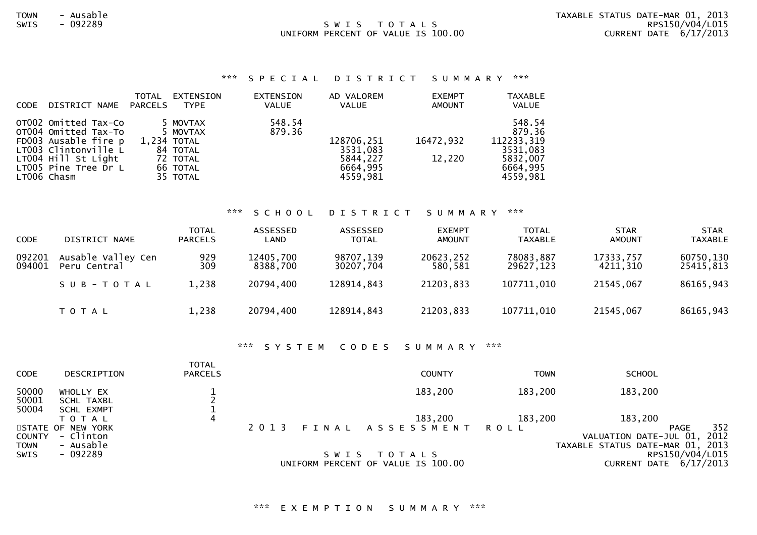### SWIS TOTALS UNIFORM PERCENT OF VALUE IS 100.00

### \*\*\* S P E C I A L D I S T R I C T S U M M A R Y \*\*\*

|             |                                             | <b>TOTAL</b>   | EXTENSION            | EXTENSION | AD VALOREM           | <b>EXEMPT</b> | <b>TAXABLE</b>       |
|-------------|---------------------------------------------|----------------|----------------------|-----------|----------------------|---------------|----------------------|
| <b>CODE</b> | DISTRICT NAME                               | <b>PARCELS</b> | <b>TYPE</b>          | VALUE     | <b>VALUE</b>         | <b>AMOUNT</b> | <b>VALUE</b>         |
|             | OT002 Omitted Tax-Co                        |                | 5 MOVTAX             | 548.54    |                      |               | 548.54               |
|             | OT004 Omitted Tax-To                        |                | 5 MOVTAX             | 879.36    |                      |               | 879.36               |
|             | FD003 Ausable fire p                        |                | 1,234 TOTAL          |           | 128706,251           | 16472,932     | 112233,319           |
|             | LT003 Clintonville L<br>LT004 Hill St Light |                | 84 TOTAL<br>72 TOTAL |           | 3531,083<br>5844,227 | 12,220        | 3531,083<br>5832,007 |
|             | LT005 Pine Tree Dr L                        |                | 66 TOTAL             |           | 6664,995             |               | 6664,995             |
|             | LT006 Chasm                                 |                | 35 TOTAL             |           | 4559,981             |               | 4559,981             |
|             |                                             |                |                      |           |                      |               |                      |

#### \*\*\* S C H O O L D I S T R I C T S U M M A R Y \*\*\*

| <b>CODE</b>      | DISTRICT NAME                      | <b>TOTAL</b><br><b>PARCELS</b> | ASSESSED<br>LAND      | ASSESSED<br><b>TOTAL</b> | <b>EXEMPT</b><br><b>AMOUNT</b> | <b>TOTAL</b><br>TAXABLE | <b>STAR</b><br><b>AMOUNT</b> | <b>STAR</b><br><b>TAXABLE</b> |
|------------------|------------------------------------|--------------------------------|-----------------------|--------------------------|--------------------------------|-------------------------|------------------------------|-------------------------------|
| 092201<br>094001 | Ausable Valley Cen<br>Peru Central | 929<br>309                     | 12405,700<br>8388,700 | 98707,139<br>30207,704   | 20623,252<br>580,581           | 78083,887<br>29627,123  | 17333,757<br>4211,310        | 60750,130<br>25415,813        |
|                  | SUB-TOTAL                          | 1,238                          | 20794,400             | 128914,843               | 21203,833                      | 107711,010              | 21545,067                    | 86165,943                     |
|                  | T O T A L                          | 1,238                          | 20794,400             | 128914,843               | 21203,833                      | 107711,010              | 21545,067                    | 86165,943                     |

#### \*\*\* S Y S T E M C O D E S S U M M A R Y \*\*\*

| <b>CODE</b>                | DESCRIPTION                                               | <b>TOTAL</b><br><b>PARCELS</b> |         | <b>COUNTY</b>                                     | <b>TOWN</b> | <b>SCHOOL</b>                                                                 |             |
|----------------------------|-----------------------------------------------------------|--------------------------------|---------|---------------------------------------------------|-------------|-------------------------------------------------------------------------------|-------------|
| 50000<br>50001             | WHOLLY EX<br><b>SCHL TAXBL</b>                            |                                |         | 183,200                                           | 183,200     | 183,200                                                                       |             |
| 50004<br><b>COUNTY</b>     | SCHL EXMPT<br>T O T A L<br>STATE OF NEW YORK<br>- Clinton | 4                              | 2 0 1 3 | 183,200<br>FINAL ASSESSMENT ROLL                  | 183,200     | 183,200<br><b>PAGE</b><br>VALUATION DATE-JUL 01,                              | 352<br>2012 |
| <b>TOWN</b><br><b>SWIS</b> | - Ausable<br>- 092289                                     |                                |         | SWIS TOTALS<br>UNIFORM PERCENT OF VALUE IS 100.00 |             | TAXABLE STATUS DATE-MAR 01, 2013<br>RPS150/V04/L015<br>CURRENT DATE 6/17/2013 |             |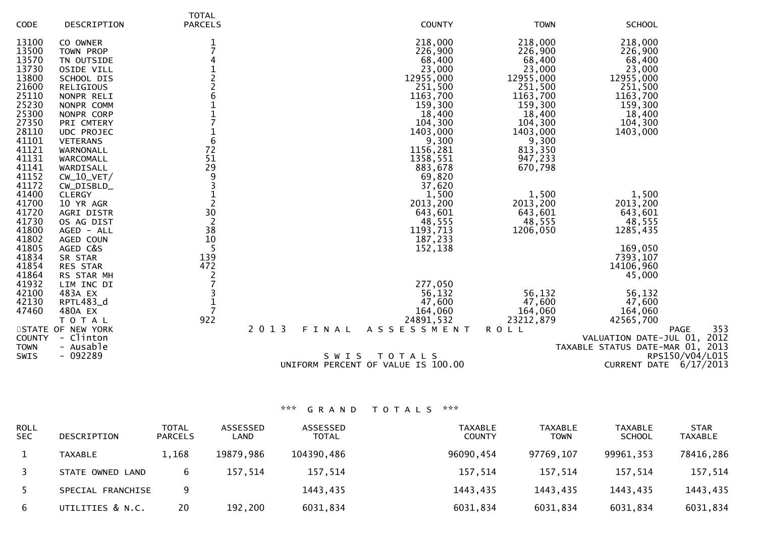|               |                   | <b>TOTAL</b>   |                                    |             |                                  |
|---------------|-------------------|----------------|------------------------------------|-------------|----------------------------------|
| CODE          | DESCRIPTION       | <b>PARCELS</b> | <b>COUNTY</b>                      | <b>TOWN</b> | <b>SCHOOL</b>                    |
| 13100         | CO OWNER          | 1              | 218,000                            | 218,000     | 218,000                          |
| 13500         | TOWN PROP         |                | 226,900                            | 226,900     | 226,900                          |
| 13570         | TN OUTSIDE        |                | 68,400                             | 68,400      | 68,400                           |
| 13730         | OSIDE VILL        |                | 23,000                             | 23,000      | 23,000                           |
| 13800         | SCHOOL DIS        |                | 12955,000                          | 12955,000   | 12955,000                        |
| 21600         | <b>RELIGIOUS</b>  |                | 251,500                            | 251,500     | 251,500                          |
| 25110         | NONPR RELI        | 6              | 1163,700                           | 1163,700    | 1163,700                         |
| 25230         | NONPR COMM        |                | 159,300                            | 159,300     | 159,300                          |
| 25300         | NONPR CORP        |                | 18,400                             | 18,400      | 18,400                           |
| 27350         | PRI CMTERY        |                | 104,300                            | 104,300     | 104,300                          |
| 28110         | UDC PROJEC        |                | 1403,000                           | 1403,000    | 1403,000                         |
| 41101         | <b>VETERANS</b>   | 6              | 9,300                              | 9,300       |                                  |
| 41121         | WARNONALL         | 72             | 1156,281                           | 813,350     |                                  |
| 41131         | WARCOMALL         | 51             | 1358,551                           | 947,233     |                                  |
| 41141         | WARDISALL         | 29             | 883,678                            | 670,798     |                                  |
| 41152         | $CW_10_VET/$      | 9              | 69,820                             |             |                                  |
| 41172         | CW_DISBLD_        | 3              | 37,620                             |             |                                  |
| 41400         | <b>CLERGY</b>     |                | 1,500                              | 1,500       | 1,500                            |
| 41700         | 10 YR AGR         | $\overline{2}$ | 2013,200                           | 2013,200    | 2013,200                         |
| 41720         | AGRI DISTR        | 30             | 643,601                            | 643,601     | 643,601                          |
| 41730         | OS AG DIST        | $\overline{2}$ | 48,555                             | 48,555      | 48,555                           |
| 41800         | AGED - ALL        | 38             | 1193,713                           | 1206,050    | 1285,435                         |
| 41802         | AGED COUN         | 10             | 187,233                            |             |                                  |
| 41805         | AGED C&S          | -5             | 152,138                            |             | 169,050                          |
| 41834         | SR STAR           | 139            |                                    |             | 7393,107                         |
| 41854         | RES STAR          | 472            |                                    |             | 14106,960                        |
| 41864         | RS STAR MH        | $\overline{2}$ |                                    |             | 45,000                           |
| 41932         | LIM INC DI        |                | 277,050                            |             |                                  |
| 42100         | 483A EX           |                | 56,132                             | 56,132      | 56,132                           |
| 42130         | RPTL483_d         | $\mathbf{1}$   | 47,600                             | 47,600      | 47,600                           |
| 47460         | 480A EX           | $\overline{7}$ | 164,060                            | 164,060     | 164,060                          |
|               | T O T A L         | 922            | 24891,532                          | 23212,879   | 42565,700                        |
|               | STATE OF NEW YORK | 2013           | FINAL<br>A S S E S S M E N T       | <b>ROLL</b> | 353<br>PAGE                      |
| <b>COUNTY</b> | - Clinton         |                |                                    |             | VALUATION DATE-JUL 01, 2012      |
| <b>TOWN</b>   | - Ausable         |                |                                    |             | TAXABLE STATUS DATE-MAR 01, 2013 |
| <b>SWIS</b>   | $-092289$         |                | SWIS<br>TOTALS                     |             | RPS150/V04/L015                  |
|               |                   |                | UNIFORM PERCENT OF VALUE IS 100.00 |             | CURRENT DATE 6/17/2013           |
|               |                   |                |                                    |             |                                  |

| ROLL<br><b>SEC</b> | DESCRIPTION       | <b>TOTAL</b><br><b>PARCELS</b> | ASSESSED<br>LAND | ASSESSED<br><b>TOTAL</b> | <b>TAXABLE</b><br><b>COUNTY</b> | <b>TAXABLE</b><br><b>TOWN</b> | <b>TAXABLE</b><br><b>SCHOOL</b> | <b>STAR</b><br><b>TAXABLE</b> |
|--------------------|-------------------|--------------------------------|------------------|--------------------------|---------------------------------|-------------------------------|---------------------------------|-------------------------------|
|                    | <b>TAXABLE</b>    | 1,168                          | 19879,986        | 104390,486               | 96090,454                       | 97769,107                     | 99961,353                       | 78416,286                     |
|                    | STATE OWNED LAND  | 6                              | 157.514          | 157,514                  | 157,514                         | 157,514                       | 157,514                         | 157,514                       |
|                    | SPECIAL FRANCHISE |                                |                  | 1443,435                 | 1443,435                        | 1443,435                      | 1443,435                        | 1443,435                      |
| 6                  | UTILITIES & N.C.  | 20                             | 192,200          | 6031,834                 | 6031,834                        | 6031,834                      | 6031,834                        | 6031,834                      |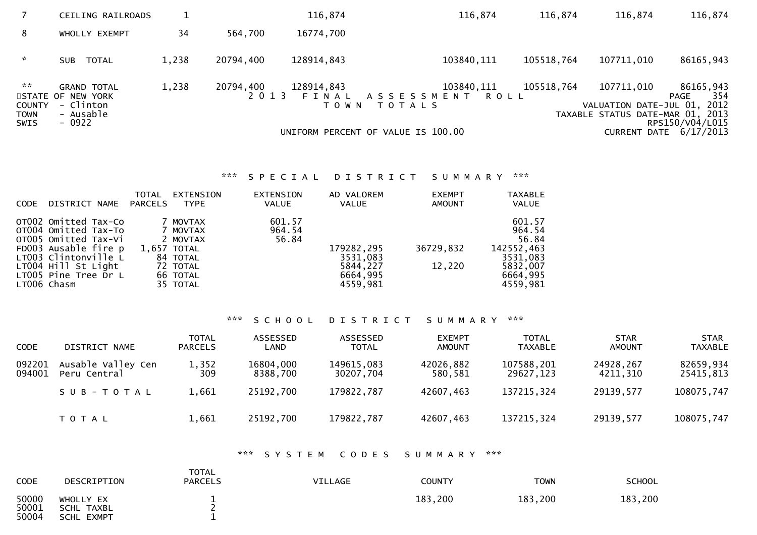|                                                                                 | <b>CEILING RAILROADS</b>                                                    |       |                      | 116,874               | 116,874                                                                                        | 116,874    | 116,874                                                                       | 116,874                                                                 |
|---------------------------------------------------------------------------------|-----------------------------------------------------------------------------|-------|----------------------|-----------------------|------------------------------------------------------------------------------------------------|------------|-------------------------------------------------------------------------------|-------------------------------------------------------------------------|
| 8                                                                               | WHOLLY EXEMPT                                                               | 34    | 564,700              | 16774,700             |                                                                                                |            |                                                                               |                                                                         |
| $\sim$                                                                          | SUB TOTAL                                                                   | 1,238 | 20794,400            | 128914,843            | 103840, 111                                                                                    | 105518,764 | 107711,010                                                                    | 86165,943                                                               |
| $\mathcal{H} \times \mathcal{H}$<br><b>COUNTY</b><br><b>TOWN</b><br><b>SWIS</b> | <b>GRAND TOTAL</b><br>STATE OF NEW YORK<br>- Clinton<br>- Ausable<br>- 0922 | 1,238 | 20794,400<br>2 0 1 3 | 128914,843<br>T O W N | 103840, 111<br>FINAL ASSESSMENT<br>ROLL<br><b>TOTALS</b><br>UNIFORM PERCENT OF VALUE IS 100.00 | 105518,764 | 107711,010<br>VALUATION DATE-JUL 01, 2012<br>TAXABLE STATUS DATE-MAR 01, 2013 | 86165,943<br>354<br>PAGE<br>RPS150/V04/L015<br>CURRENT DATE $6/17/2013$ |

# \*\*\* S P E C I A L D I S T R I C T S U M M A R Y \*\*\*

| <b>CODE</b> | DISTRICT NAME                                                                                                                                                                      | TOTAL<br>PARCELS | EXTENSION<br><b>TYPE</b>                                                                        | EXTENSION<br><b>VALUE</b> | AD VALOREM<br><b>VALUE</b>                                 | <b>EXEMPT</b><br><b>AMOUNT</b> | <b>TAXABLE</b><br><b>VALUE</b>                                                          |
|-------------|------------------------------------------------------------------------------------------------------------------------------------------------------------------------------------|------------------|-------------------------------------------------------------------------------------------------|---------------------------|------------------------------------------------------------|--------------------------------|-----------------------------------------------------------------------------------------|
|             | OTOO2 Omitted Tax-Co<br>OT004 Omitted Tax-To<br>OT005 Omitted Tax-Vi<br>FD003 Ausable fire p<br>LT003 Clintonville L<br>LT004 Hill St Light<br>LT005 Pine Tree Dr L<br>LT006 Chasm |                  | 7 MOVTAX<br>MOVTAX<br>2 MOVTAX<br>$1.657$ TOTAL<br>84 TOTAL<br>72 TOTAL<br>66 TOTAL<br>35 TOTAL | 601.57<br>964.54<br>56.84 | 179282,295<br>3531,083<br>5844,227<br>6664,995<br>4559,981 | 36729,832<br>12,220            | 601.57<br>964.54<br>56.84<br>142552,463<br>3531,083<br>5832,007<br>6664,995<br>4559,981 |
|             |                                                                                                                                                                                    |                  |                                                                                                 |                           |                                                            |                                |                                                                                         |

# \*\*\* S C H O O L D I S T R I C T S U M M A R Y \*\*\*

| <b>CODE</b>      | DISTRICT NAME                      | <b>TOTAL</b><br><b>PARCELS</b> | ASSESSED<br>LAND      | ASSESSED<br><b>TOTAL</b> | <b>EXEMPT</b><br><b>AMOUNT</b> | <b>TOTAL</b><br><b>TAXABLE</b> | <b>STAR</b><br><b>AMOUNT</b> | <b>STAR</b><br><b>TAXABLE</b> |
|------------------|------------------------------------|--------------------------------|-----------------------|--------------------------|--------------------------------|--------------------------------|------------------------------|-------------------------------|
| 092201<br>094001 | Ausable Valley Cen<br>Peru Central | 1,352<br>309                   | 16804,000<br>8388,700 | 149615,083<br>30207,704  | 42026,882<br>580,581           | 107588,201<br>29627,123        | 24928,267<br>4211,310        | 82659,934<br>25415,813        |
|                  | SUB-TOTAL                          | 1,661                          | 25192,700             | 179822,787               | 42607,463                      | 137215,324                     | 29139,577                    | 108075,747                    |
|                  | <b>TOTAL</b>                       | 1,661                          | 25192,700             | 179822,787               | 42607,463                      | 137215,324                     | 29139,577                    | 108075,747                    |

### \*\*\* S Y S T E M C O D E S S U M M A R Y \*\*\*

| <b>CODE</b>             | DESCRIPTION                                  | <b>TOTAL</b><br><b>PARCELS</b> | <b>VILLAGE</b> | <b>COUNTY</b> | TOWN    | <b>SCHOOL</b> |
|-------------------------|----------------------------------------------|--------------------------------|----------------|---------------|---------|---------------|
| 50000<br>50001<br>50004 | WHOLLY EX<br>SCHL TAXBL<br><b>SCHL EXMPT</b> | <b>__</b>                      |                | 183.200       | 183,200 | 183,200       |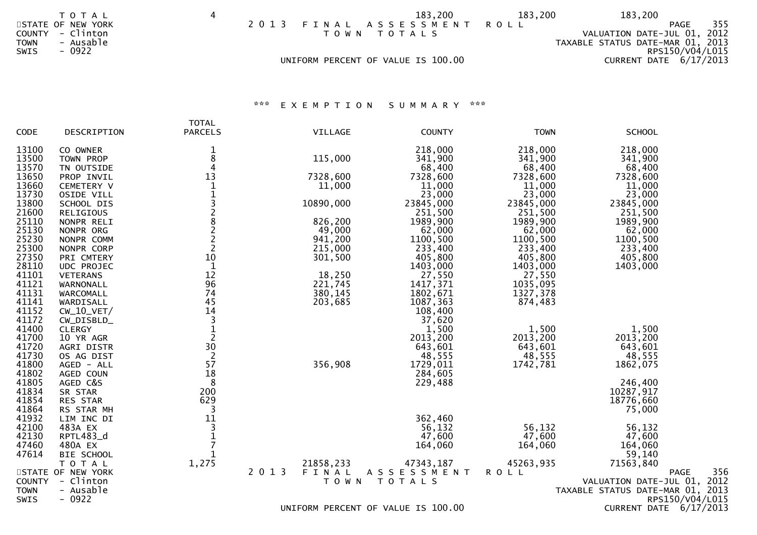|                                      | T O T A L                                   | 4 |         |                                    |             | 183,200               | 183,200 | 183,200                                                                 |                 |
|--------------------------------------|---------------------------------------------|---|---------|------------------------------------|-------------|-----------------------|---------|-------------------------------------------------------------------------|-----------------|
| <b>COUNTY</b><br><b>TOWN</b><br>SWIS | STATE OF NEW YORK<br>- Clinton<br>- Ausable |   | 2 0 1 3 |                                    | TOWN TOTALS | FINAL ASSESSMENT ROLL |         | PAGE<br>VALUATION DATE-JUL 01, 2012<br>TAXABLE STATUS DATE-MAR 01, 2013 | 355             |
|                                      | - 0922                                      |   |         | UNIFORM PERCENT OF VALUE IS 100.00 |             |                       |         | CURRENT DATE $6/17/2013$                                                | RPS150/V04/L015 |
|                                      |                                             |   |         |                                    |             |                       |         |                                                                         |                 |

\*\*\* E X E M P T I O N S U M M A R Y \*\*\*

|                            |                                 | <b>TOTAL</b>   |                                             |                    |                     |                                  |                    |
|----------------------------|---------------------------------|----------------|---------------------------------------------|--------------------|---------------------|----------------------------------|--------------------|
| CODE                       | DESCRIPTION                     | <b>PARCELS</b> | VILLAGE                                     | <b>COUNTY</b>      | <b>TOWN</b>         | <b>SCHOOL</b>                    |                    |
| 13100                      | CO OWNER                        | 1              |                                             | 218,000            | 218,000             | 218,000                          |                    |
| 13500                      | TOWN PROP                       | 8              | 115,000                                     | 341,900            | 341,900             | 341,900                          |                    |
| 13570                      | TN OUTSIDE                      | $\overline{4}$ |                                             | 68,400             | 68,400              | 68,400                           |                    |
| 13650                      | PROP INVIL                      | 13             | 7328,600                                    | 7328,600           | 7328,600            | 7328,600                         |                    |
| 13660                      | CEMETERY V                      | $\mathbf{1}$   | 11,000                                      | 11,000             | 11,000              | 11,000                           |                    |
| 13730                      | OSIDE VILL                      |                |                                             | 23,000             | 23,000              | 23,000                           |                    |
| 13800                      | SCHOOL DIS                      | 132822         | 10890,000                                   | 23845,000          | 23845,000           | 23845,000                        |                    |
| 21600                      | RELIGIOUS                       |                |                                             | 251,500            | 251,500             | 251,500                          |                    |
| 25110                      | NONPR RELI                      |                | 826,200                                     | 1989,900           | 1989,900            | 1989,900                         |                    |
| 25130                      | NONPR ORG                       |                | 49,000                                      | 62,000             | 62,000              | 62,000                           |                    |
| 25230<br>25300             | NONPR COMM                      |                | 941,200                                     | 1100,500           | 1100,500            | 1100,500                         |                    |
| 27350                      | NONPR CORP                      | 10             | 215,000<br>301,500                          | 233,400<br>405,800 | 233,400             | 233,400<br>405,800               |                    |
| 28110                      | PRI CMTERY<br><b>UDC PROJEC</b> | $\mathbf{1}$   |                                             | 1403,000           | 405,800<br>1403,000 | 1403,000                         |                    |
| 41101                      | <b>VETERANS</b>                 | 12             | 18,250                                      | 27,550             | 27,550              |                                  |                    |
| 41121                      | WARNONALL                       | 96             | 221,745                                     | 1417,371           | 1035,095            |                                  |                    |
| 41131                      | WARCOMALL                       | 74             | 380,145                                     | 1802,671           | 1327,378            |                                  |                    |
| 41141                      | WARDISALL                       | 45             | 203,685                                     | 1087,363           | 874,483             |                                  |                    |
| 41152                      | $CW_10_VET/$                    | 14             |                                             | 108,400            |                     |                                  |                    |
| 41172                      | CW_DISBLD_                      |                |                                             | 37,620             |                     |                                  |                    |
| 41400                      | <b>CLERGY</b>                   | $\frac{3}{2}$  |                                             | 1,500              | 1,500               | 1,500                            |                    |
| 41700                      | 10 YR AGR                       |                |                                             | 2013,200           | 2013,200            | 2013,200                         |                    |
| 41720                      | AGRI DISTR                      | 30             |                                             | 643,601            | 643,601             | 643,601                          |                    |
| 41730                      | OS AG DIST                      | $\overline{2}$ |                                             | 48,555             | 48,555              | 48,555                           |                    |
| 41800                      | AGED - ALL                      | 57             | 356,908                                     | 1729,011           | 1742,781            | 1862,075                         |                    |
| 41802                      | AGED COUN                       | 18             |                                             | 284,605            |                     |                                  |                    |
| 41805                      | AGED C&S                        | 8              |                                             | 229,488            |                     | 246,400                          |                    |
| 41834                      | SR STAR                         | 200            |                                             |                    |                     | 10287,917                        |                    |
| 41854                      | RES STAR                        | 629            |                                             |                    |                     | 18776,660                        |                    |
| 41864                      | RS STAR MH                      | 3              |                                             |                    |                     | 75,000                           |                    |
| 41932                      | LIM INC DI                      | 11             |                                             | 362,460            |                     |                                  |                    |
| 42100                      | 483A EX                         | $\frac{3}{1}$  |                                             | 56,132             | 56,132              | 56,132                           |                    |
| 42130                      | RPTL483_d                       |                |                                             | 47,600             | 47,600              | 47,600                           |                    |
| 47460                      | 480A EX                         | $\overline{7}$ |                                             | 164,060            | 164,060             | 164,060                          |                    |
| 47614                      | BIE SCHOOL                      |                |                                             |                    |                     | 59,140                           |                    |
|                            | TOTAL                           | 1,275          | 21858,233                                   | 47343,187          | 45263,935           | 71563,840                        |                    |
|                            | STATE OF NEW YORK               |                | 2 0 1 3<br>FINAL                            | ASSESSMENT         | <b>ROLL</b>         |                                  | 356<br><b>PAGE</b> |
| <b>COUNTY</b>              | - Clinton                       |                | T O W N                                     | <b>TOTALS</b>      |                     | VALUATION DATE-JUL 01, 2012      |                    |
| <b>TOWN</b><br><b>SWIS</b> | - Ausable<br>$-0922$            |                |                                             |                    |                     | TAXABLE STATUS DATE-MAR 01, 2013 | RPS150/V04/L015    |
|                            |                                 |                | $MITFOMI$ $DFDCFNT$ $OF$ $MIUT$ $TC$ 100 00 |                    |                     | $CUDDENT$ $DATE$ $C/17/2012$     |                    |

UNIFORM PERCENT OF VALUE IS 100.00

CURRENT DATE  $6/17/2013$